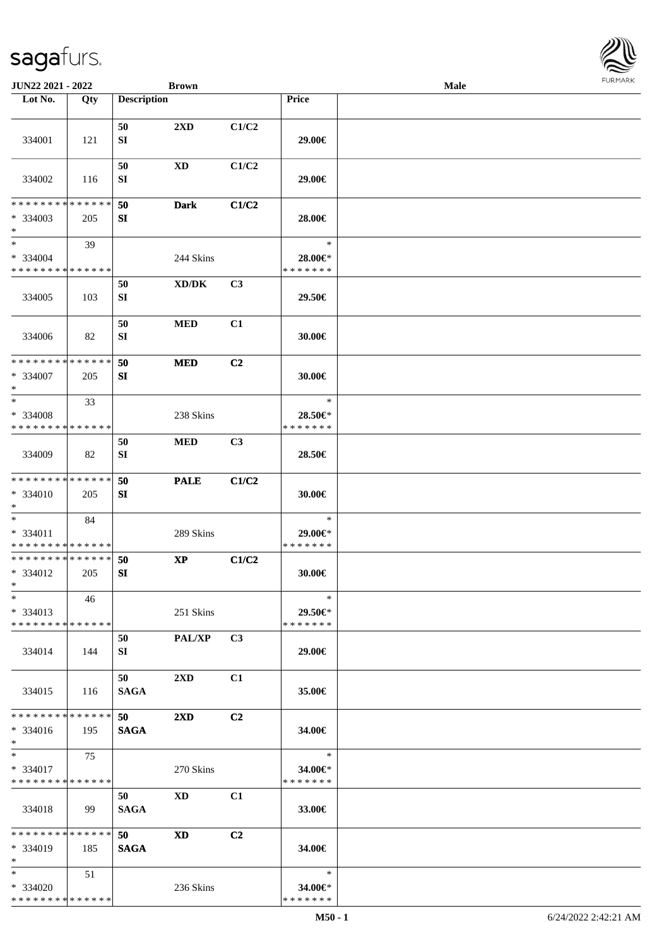| <b>JUN22 2021 - 2022</b>                         |     |                        | <b>Brown</b>            |                |                                    | <b>Male</b> |  |
|--------------------------------------------------|-----|------------------------|-------------------------|----------------|------------------------------------|-------------|--|
| Lot No.                                          | Qty | <b>Description</b>     |                         |                | Price                              |             |  |
| 334001                                           | 121 | 50<br>${\bf S}{\bf I}$ | 2XD                     | C1/C2          | 29.00€                             |             |  |
|                                                  |     | 50                     | XD                      | C1/C2          |                                    |             |  |
| 334002                                           | 116 | SI                     |                         |                | 29.00€                             |             |  |
| * * * * * * * * * * * * * *<br>* 334003<br>$*$   | 205 | 50<br>SI               | <b>Dark</b>             | C1/C2          | 28.00€                             |             |  |
| $*$<br>* 334004<br>* * * * * * * * * * * * * *   | 39  |                        | 244 Skins               |                | $\ast$<br>28.00€*<br>* * * * * * * |             |  |
| 334005                                           | 103 | 50<br>SI               | XD/DK                   | C3             | 29.50€                             |             |  |
| 334006                                           | 82  | 50<br>SI               | <b>MED</b>              | C1             | 30.00€                             |             |  |
| * * * * * * * * * * * * * *<br>* 334007<br>$*$   | 205 | 50<br>SI               | <b>MED</b>              | C <sub>2</sub> | 30.00€                             |             |  |
| $*$<br>* 334008<br>* * * * * * * * * * * * * *   | 33  |                        | 238 Skins               |                | $\ast$<br>28.50€*<br>* * * * * * * |             |  |
| 334009                                           | 82  | 50<br>SI               | <b>MED</b>              | C3             | 28.50€                             |             |  |
| * * * * * * * * * * * * * *<br>* 334010<br>$*$   | 205 | 50<br>SI               | <b>PALE</b>             | C1/C2          | 30.00€                             |             |  |
| $*$<br>* 334011<br>* * * * * * * * * * * * * *   | 84  |                        | 289 Skins               |                | $\ast$<br>29.00€*<br>* * * * * * * |             |  |
| * * * * * * * * * * * * * *<br>* 334012<br>$*$   | 205 | 50<br>SI               | <b>XP</b>               | C1/C2          | 30.00€                             |             |  |
| $*$<br>$*334013$<br>* * * * * * * * * * * * * *  | 46  |                        | 251 Skins               |                | $\ast$<br>29.50€*<br>* * * * * * * |             |  |
| 334014                                           | 144 | 50<br>SI               | <b>PAL/XP</b>           | C3             | 29.00€                             |             |  |
| 334015                                           | 116 | 50<br><b>SAGA</b>      | $2\mathbf{X}\mathbf{D}$ | C1             | 35.00€                             |             |  |
| * * * * * * * * * * * * * *<br>$* 334016$<br>$*$ | 195 | 50<br><b>SAGA</b>      | $2\mathbf{X}\mathbf{D}$ | C <sub>2</sub> | 34.00€                             |             |  |
| $*$<br>* 334017<br>* * * * * * * * * * * * * *   | 75  |                        | 270 Skins               |                | $\ast$<br>34.00€*<br>* * * * * * * |             |  |
| 334018                                           | 99  | 50<br><b>SAGA</b>      | <b>XD</b>               | C1             | 33.00€                             |             |  |
| * * * * * * * * * * * * * *<br>* 334019<br>$*$   | 185 | 50<br><b>SAGA</b>      | XD                      | C <sub>2</sub> | 34.00€                             |             |  |
| $*$<br>* 334020<br>* * * * * * * * * * * * * *   | 51  |                        | 236 Skins               |                | $\ast$<br>34.00€*<br>* * * * * * * |             |  |

**FURMARK**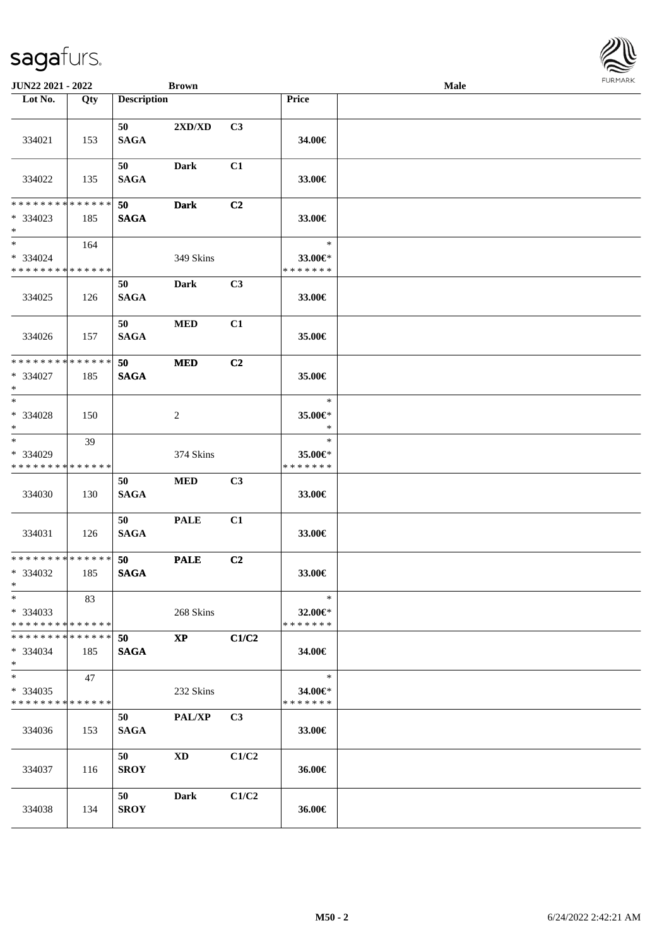| JUN22 2021 - 2022                                              |     |                    | <b>Brown</b>  |                |                                    | Male |  |
|----------------------------------------------------------------|-----|--------------------|---------------|----------------|------------------------------------|------|--|
| Lot No.                                                        | Qty | <b>Description</b> |               |                | Price                              |      |  |
| 334021                                                         | 153 | 50<br><b>SAGA</b>  | 2XD/XD        | C3             | 34.00€                             |      |  |
| 334022                                                         | 135 | 50<br><b>SAGA</b>  | Dark          | C1             | 33.00€                             |      |  |
| * * * * * * * * * * * * * * *<br>* 334023<br>$*$               | 185 | 50<br><b>SAGA</b>  | <b>Dark</b>   | C <sub>2</sub> | 33.00€                             |      |  |
| $*$<br>* 334024<br>* * * * * * * * * * * * * *                 | 164 |                    | 349 Skins     |                | $\ast$<br>33.00€*<br>* * * * * * * |      |  |
| 334025                                                         | 126 | 50<br><b>SAGA</b>  | <b>Dark</b>   | C3             | 33.00€                             |      |  |
| 334026                                                         | 157 | 50<br><b>SAGA</b>  | <b>MED</b>    | C1             | 35.00€                             |      |  |
| * * * * * * * * <mark>* * * * * *</mark><br>$* 334027$<br>$*$  | 185 | 50<br><b>SAGA</b>  | <b>MED</b>    | C2             | 35.00€                             |      |  |
| $*$<br>* 334028<br>$*$                                         | 150 |                    | 2             |                | $\ast$<br>35.00€*<br>$\ast$        |      |  |
| $\ast$<br>* 334029<br>* * * * * * * * * * * * * *              | 39  |                    | 374 Skins     |                | $\ast$<br>35.00€*<br>* * * * * * * |      |  |
| 334030                                                         | 130 | 50<br><b>SAGA</b>  | <b>MED</b>    | C3             | 33.00€                             |      |  |
| 334031                                                         | 126 | 50<br><b>SAGA</b>  | <b>PALE</b>   | C1             | 33.00€                             |      |  |
| * * * * * * * * * * * * * * *<br>* 334032<br>$*$ $-$           | 185 | 50<br><b>SAGA</b>  | <b>PALE</b>   | C2             | 33.00€                             |      |  |
| $\ast$<br>* 334033<br>* * * * * * * * <mark>* * * * * *</mark> | 83  |                    | 268 Skins     |                | $\ast$<br>32.00€*<br>* * * * * * * |      |  |
| * * * * * * * * * * * * * * *<br>* 334034<br>$*$               | 185 | 50<br><b>SAGA</b>  | $\mathbf{XP}$ | C1/C2          | 34.00€                             |      |  |
| $*$<br>* 334035<br>* * * * * * * * * * * * * *                 | 47  |                    | 232 Skins     |                | $\ast$<br>34.00€*<br>* * * * * * * |      |  |
| 334036                                                         | 153 | 50<br><b>SAGA</b>  | PAL/XP        | C3             | 33.00€                             |      |  |
| 334037                                                         | 116 | 50<br><b>SROY</b>  | XD            | C1/C2          | 36.00€                             |      |  |
| 334038                                                         | 134 | 50<br><b>SROY</b>  | <b>Dark</b>   | C1/C2          | 36.00€                             |      |  |

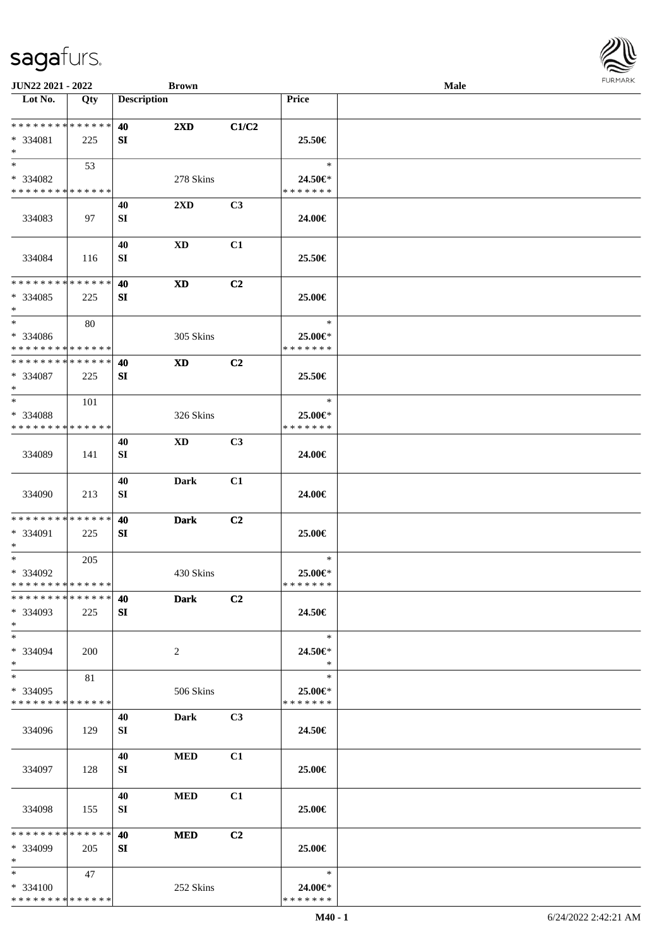\* \* \* \* \* \* \* \* \* \* \* \* \* \* \* 334099 205

\* \* \* \* \* \* \* \* \* \* \* \* \* \*

47

\*

\*

\* 334100

**SI**

**40 MED C2**

252 Skins

| JUN22 2021 - 2022                                            |     |                        | <b>Brown</b>           |       |                                    | Male | <b>FURMARK</b> |
|--------------------------------------------------------------|-----|------------------------|------------------------|-------|------------------------------------|------|----------------|
| Lot No.                                                      | Qty | <b>Description</b>     |                        |       | Price                              |      |                |
| * * * * * * * * * * * * * *<br>* 334081<br>$*$               | 225 | 40<br>SI               | 2XD                    | C1/C2 | 25.50€                             |      |                |
| $*$<br>* 334082<br>* * * * * * * * * * * * * *               | 53  |                        | 278 Skins              |       | $\ast$<br>24.50€*<br>* * * * * * * |      |                |
| 334083                                                       | 97  | 40<br>SI               | 2XD                    | C3    | 24.00€                             |      |                |
| 334084                                                       | 116 | 40<br>SI               | $\mathbf{X}\mathbf{D}$ | C1    | 25.50€                             |      |                |
| * * * * * * * * * * * * * * *<br>* 334085<br>$\ast$          | 225 | 40<br>SI               | $\mathbf{X}\mathbf{D}$ | C2    | 25.00€                             |      |                |
| $\overline{\ast}$<br>* 334086<br>* * * * * * * * * * * * * * | 80  |                        | 305 Skins              |       | $\ast$<br>25.00€*<br>* * * * * * * |      |                |
| **************<br>$* 334087$<br>$\ast$                       | 225 | 40<br>SI               | <b>XD</b>              | C2    | 25.50€                             |      |                |
| $*$<br>* 334088<br>* * * * * * * * * * * * * *               | 101 |                        | 326 Skins              |       | $\ast$<br>25.00€*<br>* * * * * * * |      |                |
| 334089                                                       | 141 | 40<br>SI               | $\mathbf{X}\mathbf{D}$ | C3    | 24.00€                             |      |                |
| 334090                                                       | 213 | 40<br>SI               | <b>Dark</b>            | C1    | 24.00€                             |      |                |
| * * * * * * * * * * * * * * *<br>* 334091<br>$*$             | 225 | 40<br>SI               | <b>Dark</b>            | C2    | 25.00€                             |      |                |
| $*$<br>* 334092<br>**************                            | 205 |                        | 430 Skins              |       | $\ast$<br>25.00€*<br>* * * * * * * |      |                |
| **************<br>* 334093<br>$*$                            | 225 | 40<br>SI               | <b>Dark</b>            | C2    | 24.50€                             |      |                |
| $*$<br>* 334094<br>$*$                                       | 200 |                        | $\overline{2}$         |       | $\ast$<br>24.50€*<br>$\ast$        |      |                |
| $\ast$<br>* 334095<br>* * * * * * * * * * * * * * *          | 81  |                        | 506 Skins              |       | $\ast$<br>25.00€*<br>* * * * * * * |      |                |
| 334096                                                       | 129 | 40<br>SI               | Dark                   | C3    | 24.50€                             |      |                |
| 334097                                                       | 128 | 40<br>SI               | $\bf MED$              | C1    | 25.00€                             |      |                |
| 334098                                                       | 155 | 40<br>${\bf S}{\bf I}$ | $\bf MED$              | C1    | 25.00€                             |      |                |

\* \* **24.00€**\* \* \* \* \* \* \*

**25.00€**

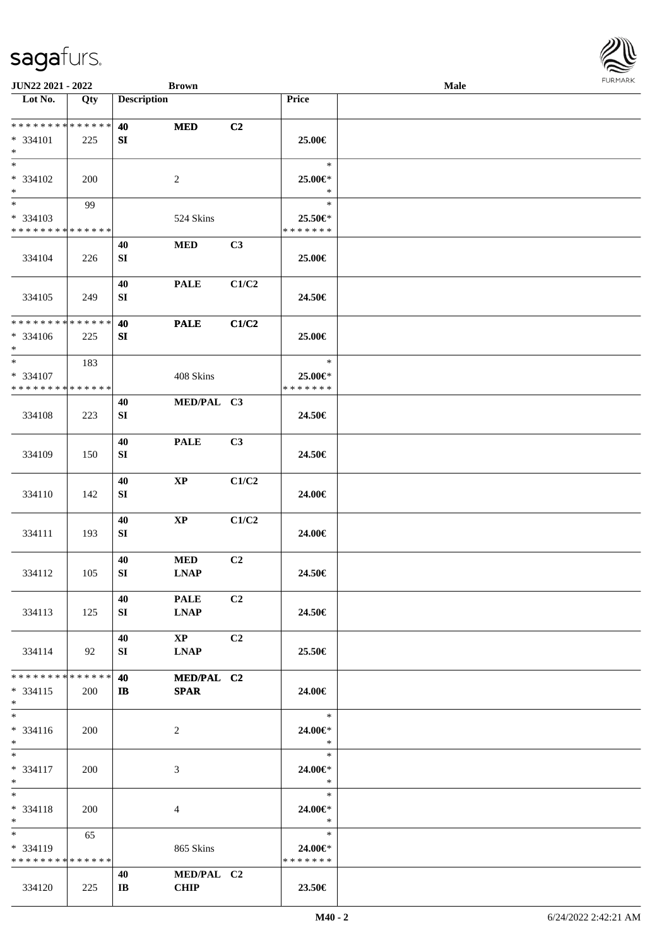| <b>JUN22 2021 - 2022</b>                             |            |                               | <b>Brown</b>           |                |                   | Male | <b>FURPIARA</b> |
|------------------------------------------------------|------------|-------------------------------|------------------------|----------------|-------------------|------|-----------------|
| Lot No.                                              | Qty        | <b>Description</b>            |                        |                | Price             |      |                 |
|                                                      |            |                               |                        |                |                   |      |                 |
| * * * * * * * * <mark>* * * * * *</mark><br>* 334101 |            | 40                            | <b>MED</b>             | C2             | 25.00€            |      |                 |
| $\ast$                                               | 225        | SI                            |                        |                |                   |      |                 |
| $*$                                                  |            |                               |                        |                | $\ast$            |      |                 |
| * 334102<br>$*$                                      | 200        |                               | 2                      |                | 25.00€*<br>$\ast$ |      |                 |
| $*$                                                  | 99         |                               |                        |                | $\ast$            |      |                 |
| * 334103                                             |            |                               | 524 Skins              |                | 25.50€*           |      |                 |
| * * * * * * * * <mark>* * * * * *</mark>             |            |                               |                        |                | * * * * * * *     |      |                 |
|                                                      |            | 40                            | <b>MED</b>             | C3             |                   |      |                 |
| 334104                                               | 226        | ${\bf SI}$                    |                        |                | 25.00€            |      |                 |
|                                                      |            |                               |                        |                |                   |      |                 |
|                                                      |            | 40                            | <b>PALE</b>            | C1/C2          |                   |      |                 |
| 334105                                               | 249        | SI                            |                        |                | 24.50€            |      |                 |
| * * * * * * * * <mark>* * * * * * *</mark>           |            |                               |                        |                |                   |      |                 |
|                                                      |            | 40                            | <b>PALE</b>            | C1/C2          |                   |      |                 |
| * 334106<br>$*$                                      | 225        | SI                            |                        |                | 25.00€            |      |                 |
| $\ast$                                               | 183        |                               |                        |                | $\ast$            |      |                 |
| * 334107                                             |            |                               | 408 Skins              |                | 25.00€*           |      |                 |
| * * * * * * * * <mark>* * * * * *</mark> *           |            |                               |                        |                | * * * * * * *     |      |                 |
|                                                      |            | 40                            | MED/PAL C3             |                |                   |      |                 |
| 334108                                               | 223        | SI                            |                        |                | 24.50€            |      |                 |
|                                                      |            |                               |                        |                |                   |      |                 |
|                                                      |            | 40                            | <b>PALE</b>            | C3             |                   |      |                 |
| 334109                                               | 150        | ${\bf SI}$                    |                        |                | 24.50€            |      |                 |
|                                                      |            |                               |                        |                |                   |      |                 |
| 334110                                               | 142        | 40<br>SI                      | $\mathbf{XP}$          | C1/C2          | 24.00€            |      |                 |
|                                                      |            |                               |                        |                |                   |      |                 |
|                                                      |            | 40                            | $\mathbf{XP}$          | C1/C2          |                   |      |                 |
| 334111                                               | 193        | SI                            |                        |                | 24.00€            |      |                 |
|                                                      |            |                               |                        |                |                   |      |                 |
|                                                      |            | 40                            | <b>MED</b>             | C2             |                   |      |                 |
| 334112                                               | 105        | SI                            | <b>LNAP</b>            |                | 24.50€            |      |                 |
|                                                      |            |                               |                        |                |                   |      |                 |
|                                                      |            | 40                            | <b>PALE</b>            | C <sub>2</sub> |                   |      |                 |
| 334113                                               | 125        | SI                            | <b>LNAP</b>            |                | 24.50€            |      |                 |
|                                                      |            | 40                            | $\mathbf{X}\mathbf{P}$ | C <sub>2</sub> |                   |      |                 |
| 334114                                               | 92         | SI                            | <b>LNAP</b>            |                | 25.50€            |      |                 |
|                                                      |            |                               |                        |                |                   |      |                 |
| * * * * * * * * * * * * * * *                        |            | 40                            | MED/PAL C2             |                |                   |      |                 |
| $* 334115$                                           | <b>200</b> | $\mathbf{I}$                  | <b>SPAR</b>            |                | 24.00€            |      |                 |
| $\ast$                                               |            |                               |                        |                |                   |      |                 |
| $*$                                                  |            |                               |                        |                | $*$               |      |                 |
| $* 334116$                                           | 200        |                               | 2                      |                | 24.00€*<br>$\ast$ |      |                 |
| $*$<br>$*$                                           |            |                               |                        |                | $\ast$            |      |                 |
| $* 334117$                                           | 200        |                               | 3                      |                | 24.00€*           |      |                 |
| $*$                                                  |            |                               |                        |                | $\ast$            |      |                 |
| $*$                                                  |            |                               |                        |                | $*$               |      |                 |
| $* 334118$                                           | 200        |                               | 4                      |                | 24.00€*           |      |                 |
| $*$                                                  |            |                               |                        |                | $\ast$            |      |                 |
| $*$ $-$                                              | 65         |                               |                        |                | $\ast$            |      |                 |
| $* 334119$                                           |            |                               | 865 Skins              |                | 24.00€*           |      |                 |
| * * * * * * * * * * * * * *                          |            |                               |                        |                | * * * * * * *     |      |                 |
|                                                      | 225        | 40<br>$\mathbf{I} \mathbf{B}$ | MED/PAL C2<br>CHIP     |                | $23.50\epsilon$   |      |                 |
| 334120                                               |            |                               |                        |                |                   |      |                 |

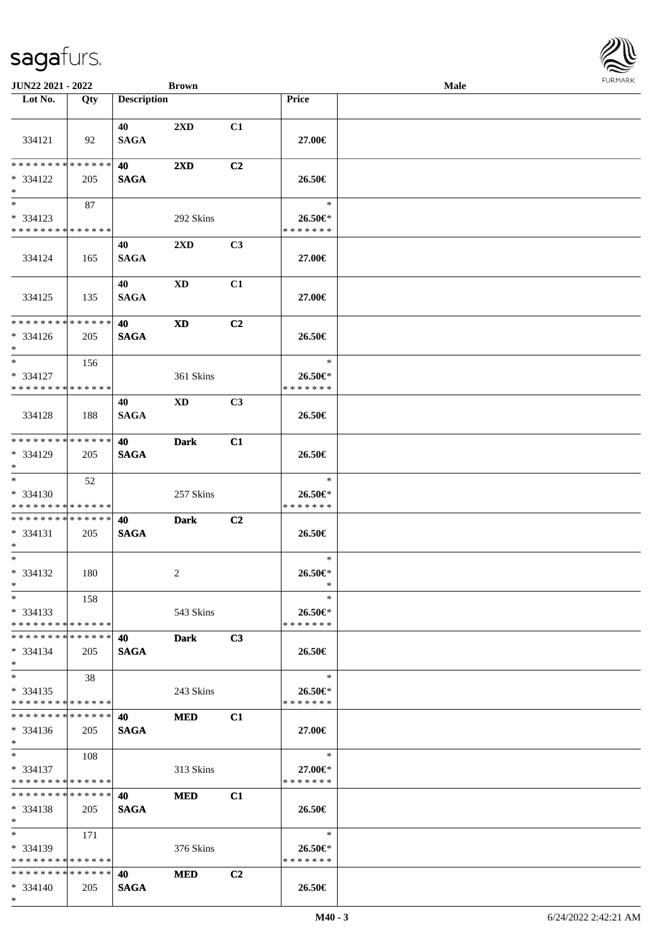| JUN22 2021 - 2022                         |     |                    | <b>Brown</b>            |                |                          | Male |  |
|-------------------------------------------|-----|--------------------|-------------------------|----------------|--------------------------|------|--|
| Lot No.                                   | Qty | <b>Description</b> |                         |                | <b>Price</b>             |      |  |
|                                           |     | 40                 | $2\mathbf{X}\mathbf{D}$ | C1             |                          |      |  |
| 334121                                    | 92  | <b>SAGA</b>        |                         |                | 27.00€                   |      |  |
| * * * * * * * * * * * * * *               |     | 40                 | $2\mathbf{X}\mathbf{D}$ | C <sub>2</sub> |                          |      |  |
| * 334122<br>$*$                           | 205 | <b>SAGA</b>        |                         |                | 26.50€                   |      |  |
| $*$                                       | 87  |                    |                         |                | $\ast$                   |      |  |
| * 334123                                  |     |                    | 292 Skins               |                | 26.50€*                  |      |  |
| * * * * * * * * * * * * * *               |     |                    |                         |                | * * * * * * *            |      |  |
| 334124                                    | 165 | 40<br><b>SAGA</b>  | $2\mathbf{X}\mathbf{D}$ | C3             | 27.00€                   |      |  |
|                                           |     | 40                 | <b>XD</b>               | C1             |                          |      |  |
| 334125                                    | 135 | <b>SAGA</b>        |                         |                | 27.00€                   |      |  |
| ******** <mark>******</mark>              |     | 40                 | <b>XD</b>               | C <sub>2</sub> |                          |      |  |
| $* 334126$<br>$*$                         | 205 | <b>SAGA</b>        |                         |                | 26.50€                   |      |  |
| $*$                                       | 156 |                    |                         |                | $\ast$                   |      |  |
| * 334127<br>* * * * * * * * * * * * * *   |     |                    | 361 Skins               |                | 26.50€*<br>* * * * * * * |      |  |
|                                           |     | 40                 | XD                      | C3             |                          |      |  |
| 334128                                    | 188 | <b>SAGA</b>        |                         |                | 26.50€                   |      |  |
| * * * * * * * * * * * * * *               |     | 40                 | <b>Dark</b>             | C1             |                          |      |  |
| * 334129<br>$*$                           | 205 | <b>SAGA</b>        |                         |                | 26.50€                   |      |  |
| $*$                                       | 52  |                    |                         |                | $\ast$                   |      |  |
| * 334130                                  |     |                    | 257 Skins               |                | 26.50€*                  |      |  |
| * * * * * * * * * * * * * *               |     |                    |                         |                | * * * * * * *            |      |  |
| * * * * * * * * * * * * * * *<br>* 334131 |     | 40                 | <b>Dark</b>             | C <sub>2</sub> | 26.50€                   |      |  |
| $*$                                       | 205 | <b>SAGA</b>        |                         |                |                          |      |  |
| $*$                                       |     |                    |                         |                | $\ast$                   |      |  |
| $* 334132$<br>$*$ $*$                     | 180 |                    | 2                       |                | $26.50 \in$<br>$\ast$    |      |  |
| $*$                                       | 158 |                    |                         |                | $\ast$                   |      |  |
| $* 334133$<br>* * * * * * * * * * * * * * |     |                    | 543 Skins               |                | 26.50€*<br>* * * * * * * |      |  |
| * * * * * * * * * * * * * *               |     | 40                 | <b>Dark</b>             | C3             |                          |      |  |
| $* 334134$<br>$*$                         | 205 | <b>SAGA</b>        |                         |                | 26.50€                   |      |  |
| $*$                                       | 38  |                    |                         |                | $\ast$                   |      |  |
| $*334135$<br>* * * * * * * * * * * * * *  |     |                    | 243 Skins               |                | 26.50€*<br>* * * * * * * |      |  |
| * * * * * * * * * * * * * *               |     | 40                 | <b>MED</b>              | C1             |                          |      |  |
| $* 334136$<br>$*$                         | 205 | <b>SAGA</b>        |                         |                | 27.00€                   |      |  |
| $*$ $-$                                   | 108 |                    |                         |                | $\ast$                   |      |  |
| * 334137                                  |     |                    | 313 Skins               |                | 27.00€*                  |      |  |
| * * * * * * * * * * * * * *               |     |                    |                         |                | * * * * * * *            |      |  |
| * * * * * * * * * * * * * *               |     | 40                 | <b>MED</b>              | C1             |                          |      |  |
| $* 334138$<br>$*$                         | 205 | <b>SAGA</b>        |                         |                | 26.50€                   |      |  |
| $*$                                       | 171 |                    |                         |                | $\ast$                   |      |  |
| * 334139<br>* * * * * * * * * * * * * *   |     |                    | 376 Skins               |                | 26.50€*<br>* * * * * * * |      |  |
| * * * * * * * * * * * * * *               |     | 40                 | <b>MED</b>              | C <sub>2</sub> |                          |      |  |
| $* 334140$                                | 205 | <b>SAGA</b>        |                         |                | 26.50€                   |      |  |

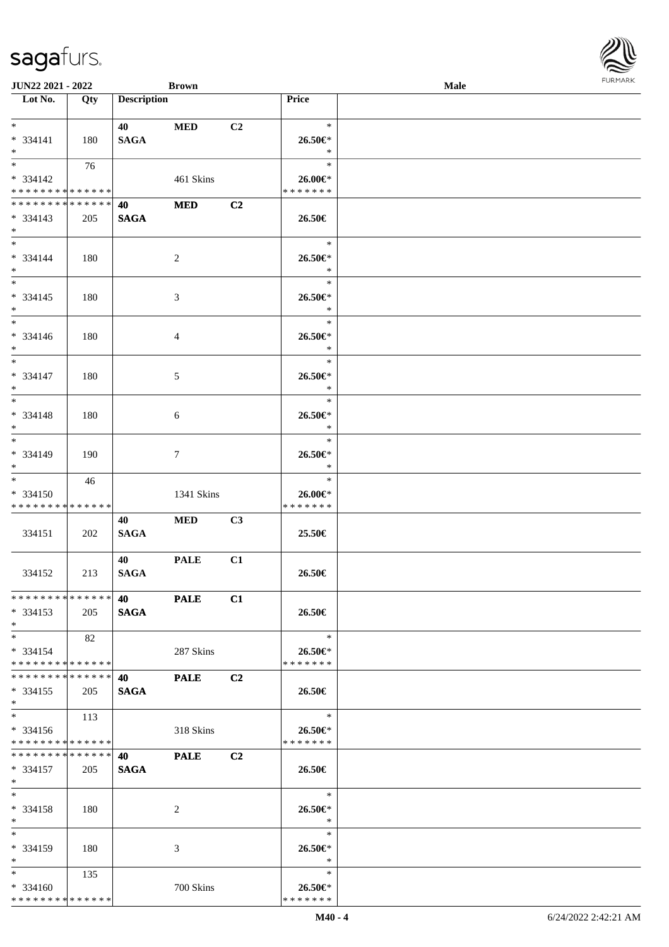| JUN22 2021 - 2022             |     |                    | <b>Brown</b>    |                |               | Male |  |
|-------------------------------|-----|--------------------|-----------------|----------------|---------------|------|--|
| Lot No.                       | Qty | <b>Description</b> |                 |                | Price         |      |  |
|                               |     |                    |                 |                |               |      |  |
| $*$                           |     | 40                 | <b>MED</b>      | C2             | $\ast$        |      |  |
| * 334141                      | 180 | <b>SAGA</b>        |                 |                | 26.50€*       |      |  |
| $*$                           |     |                    |                 |                | $\ast$        |      |  |
|                               | 76  |                    |                 |                | $\ast$        |      |  |
| * 334142                      |     |                    | 461 Skins       |                | 26.00€*       |      |  |
| * * * * * * * * * * * * * *   |     |                    |                 |                | *******       |      |  |
| * * * * * * * * * * * * * *   |     |                    |                 |                |               |      |  |
|                               |     | 40                 | <b>MED</b>      | C2             |               |      |  |
| $* 334143$                    | 205 | <b>SAGA</b>        |                 |                | 26.50€        |      |  |
| $*$                           |     |                    |                 |                |               |      |  |
| $*$                           |     |                    |                 |                | $\ast$        |      |  |
| * 334144                      | 180 |                    | $\overline{c}$  |                | 26.50€*       |      |  |
| $*$                           |     |                    |                 |                | $\ast$        |      |  |
| $\overline{\phantom{0}}$      |     |                    |                 |                | $\ast$        |      |  |
| $* 334145$                    | 180 |                    | $\mathfrak{Z}$  |                | 26.50€*       |      |  |
| $\ast$                        |     |                    |                 |                | $\ast$        |      |  |
| $\overline{\phantom{a}^*}$    |     |                    |                 |                | $\ast$        |      |  |
| $* 334146$                    | 180 |                    | $\overline{4}$  |                | 26.50€*       |      |  |
| $*$                           |     |                    |                 |                | $\ast$        |      |  |
| $\overline{\phantom{a}^*}$    |     |                    |                 |                | $\ast$        |      |  |
|                               |     |                    |                 |                |               |      |  |
| $* 334147$                    | 180 |                    | 5               |                | 26.50€*       |      |  |
| $*$<br>$*$                    |     |                    |                 |                | $\ast$        |      |  |
|                               |     |                    |                 |                | $\ast$        |      |  |
| * 334148                      | 180 |                    | $\sqrt{6}$      |                | 26.50€*       |      |  |
| $*$                           |     |                    |                 |                | $\ast$        |      |  |
| $\overline{\phantom{0}}$      |     |                    |                 |                | $\ast$        |      |  |
| * 334149                      | 190 |                    | $7\phantom{.0}$ |                | 26.50€*       |      |  |
| $*$                           |     |                    |                 |                | $\ast$        |      |  |
| $\overline{\phantom{0}}$      | 46  |                    |                 |                | $\ast$        |      |  |
| $* 334150$                    |     |                    | 1341 Skins      |                | $26.00 \in$ * |      |  |
| * * * * * * * * * * * * * *   |     |                    |                 |                | * * * * * * * |      |  |
|                               |     | 40                 | <b>MED</b>      | C3             |               |      |  |
| 334151                        | 202 | <b>SAGA</b>        |                 |                | 25.50€        |      |  |
|                               |     |                    |                 |                |               |      |  |
|                               |     | 40                 | <b>PALE</b>     | C1             |               |      |  |
| 334152                        |     | <b>SAGA</b>        |                 |                | 26.50€        |      |  |
|                               | 213 |                    |                 |                |               |      |  |
| **************                |     |                    |                 |                |               |      |  |
|                               |     | 40 PALE            |                 | C1             |               |      |  |
| $* 334153$                    | 205 | <b>SAGA</b>        |                 |                | 26.50€        |      |  |
| $*$                           |     |                    |                 |                |               |      |  |
| $*$                           | 82  |                    |                 |                | $\ast$        |      |  |
| $* 334154$                    |     |                    | 287 Skins       |                | 26.50€*       |      |  |
| * * * * * * * * * * * * * * * |     |                    |                 |                | * * * * * * * |      |  |
| * * * * * * * * * * * * * * * |     | <b>40</b>          | <b>PALE</b>     | C2             |               |      |  |
| $*334155$                     | 205 | <b>SAGA</b>        |                 |                | 26.50€        |      |  |
| $*$                           |     |                    |                 |                |               |      |  |
| $*$                           | 113 |                    |                 |                | $\ast$        |      |  |
| $* 334156$                    |     |                    | 318 Skins       |                | 26.50€*       |      |  |
| * * * * * * * * * * * * * * * |     |                    |                 |                | * * * * * * * |      |  |
| **************                |     | <b>40</b>          | <b>PALE</b>     | C <sub>2</sub> |               |      |  |
| $* 334157$                    |     | <b>SAGA</b>        |                 |                | 26.50€        |      |  |
| $*$ $-$                       | 205 |                    |                 |                |               |      |  |
| $*$                           |     |                    |                 |                |               |      |  |
|                               |     |                    |                 |                | $\ast$        |      |  |
| * 334158                      | 180 |                    | $\overline{2}$  |                | 26.50€*       |      |  |
| $*$                           |     |                    |                 |                | $\ast$        |      |  |
| $*$                           |     |                    |                 |                | $\ast$        |      |  |
| * 334159                      | 180 |                    | 3               |                | 26.50€*       |      |  |
| $*$                           |     |                    |                 |                | $\ast$        |      |  |
| $*$ $*$                       | 135 |                    |                 |                | $\ast$        |      |  |
| $* 334160$                    |     |                    | 700 Skins       |                | 26.50€*       |      |  |
| * * * * * * * * * * * * * *   |     |                    |                 |                | * * * * * * * |      |  |

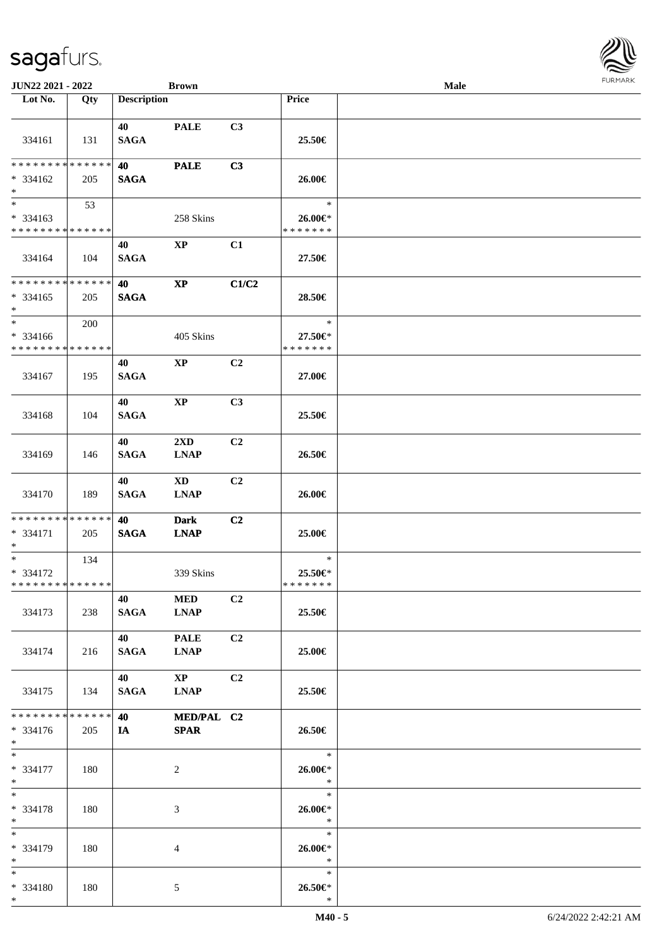| <b>JUN22 2021 - 2022</b>                                        |     |                        | <b>Brown</b>                 |                |                                    | Male |  |
|-----------------------------------------------------------------|-----|------------------------|------------------------------|----------------|------------------------------------|------|--|
| Lot No.                                                         | Qty | <b>Description</b>     |                              |                | Price                              |      |  |
| 334161                                                          | 131 | 40<br><b>SAGA</b>      | <b>PALE</b>                  | C3             | 25.50€                             |      |  |
| * * * * * * * * <mark>* * * * * * *</mark><br>* 334162<br>$*$   | 205 | 40<br><b>SAGA</b>      | <b>PALE</b>                  | C3             | 26.00€                             |      |  |
| * 334163<br>* * * * * * * * * * * * * *                         | 53  |                        | 258 Skins                    |                | $\ast$<br>26.00€*<br>* * * * * * * |      |  |
| 334164                                                          | 104 | 40<br><b>SAGA</b>      | $\mathbf{X}\mathbf{P}$       | C1             | 27.50€                             |      |  |
| ******** <mark>******</mark><br>$* 334165$<br>$*$               | 205 | 40<br><b>SAGA</b>      | $\mathbf{XP}$                | C1/C2          | 28.50€                             |      |  |
| $*$<br>$* 334166$<br>* * * * * * * * <mark>* * * * * * *</mark> | 200 |                        | 405 Skins                    |                | $\ast$<br>27.50€*<br>* * * * * * * |      |  |
| 334167                                                          | 195 | 40<br><b>SAGA</b>      | $\mathbf{X}\mathbf{P}$       | C2             | 27.00€                             |      |  |
| 334168                                                          | 104 | 40<br><b>SAGA</b>      | <b>XP</b>                    | C <sub>3</sub> | 25.50€                             |      |  |
| 334169                                                          | 146 | 40<br><b>SAGA</b>      | 2XD<br><b>LNAP</b>           | C <sub>2</sub> | 26.50€                             |      |  |
| 334170                                                          | 189 | 40<br><b>SAGA</b>      | XD<br><b>LNAP</b>            | C <sub>2</sub> | 26.00€                             |      |  |
| * * * * * * * * <mark>* * * * * * *</mark><br>* 334171<br>$*$   | 205 | 40<br><b>SAGA</b>      | <b>Dark</b><br><b>LNAP</b>   | C <sub>2</sub> | 25.00€                             |      |  |
| $*$ $-$<br>* 334172<br>* * * * * * * * * * * * * *              | 134 |                        | 339 Skins                    |                | $\ast$<br>25.50€*<br>* * * * * * * |      |  |
| 334173                                                          | 238 | 40 — 10<br><b>SAGA</b> | <b>MED</b><br><b>LNAP</b>    | C2             | 25.50€                             |      |  |
| 334174                                                          | 216 | 40 — 20<br>SAGA        | <b>PALE</b><br><b>LNAP</b>   | C <sub>2</sub> | 25.00€                             |      |  |
| 334175                                                          | 134 | 40<br><b>SAGA</b>      | $\mathbf{XP}$<br><b>LNAP</b> | C <sub>2</sub> | 25.50€                             |      |  |
| * * * * * * * * <mark>* * * * * *</mark> *<br>* 334176<br>$*$   | 205 | 40 — 10<br><b>IA</b>   | MED/PAL C2<br><b>SPAR</b>    |                | 26.50€                             |      |  |
| $*$<br>* 334177<br>$*$                                          | 180 |                        | 2                            |                | $\rightarrow$<br>26.00€*<br>$\ast$ |      |  |
| $*$ $-$<br>* 334178<br>$*$                                      | 180 |                        | 3                            |                | $\ast$<br>26.00€*<br>$*$           |      |  |
| $*$<br>* 334179<br>$*$                                          | 180 |                        | 4                            |                | $\ast$<br>26.00€*<br>$*$           |      |  |
| $*$<br>* 334180<br>$*$                                          | 180 |                        | 5                            |                | $\ast$<br>$26.50 \in$ *<br>$\ast$  |      |  |

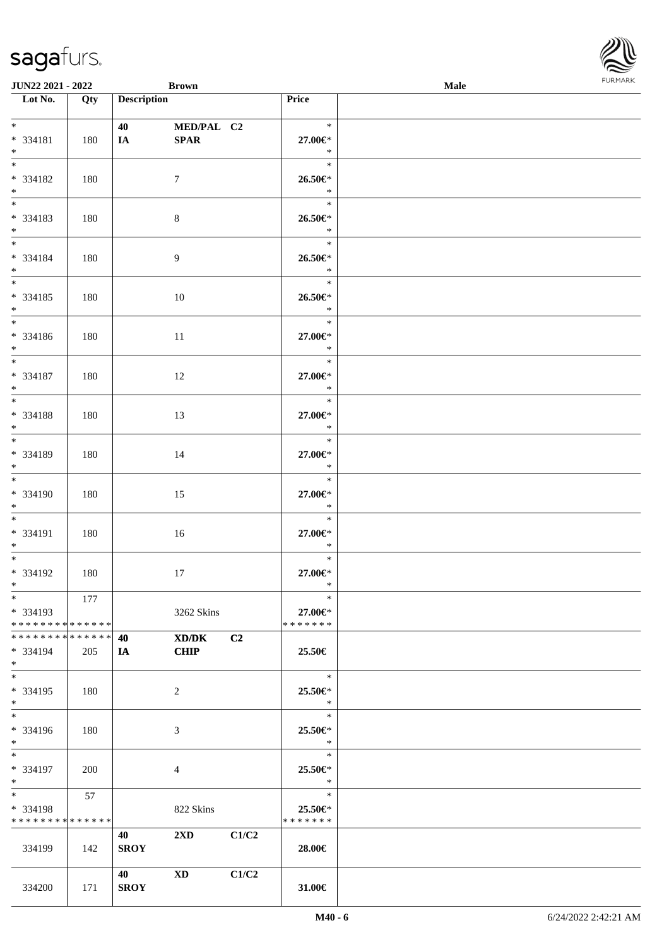| <b>JUN22 2021 - 2022</b>                   |     | <b>Brown</b>       |                         |       |                   | Male | . 0.14. 0.034. |
|--------------------------------------------|-----|--------------------|-------------------------|-------|-------------------|------|----------------|
| Lot No.                                    | Qty | <b>Description</b> |                         |       | Price             |      |                |
| $*$ $*$                                    |     | 40 — 20            | MED/PAL C2              |       | $\ast$            |      |                |
| * 334181                                   | 180 | IA                 | <b>SPAR</b>             |       | 27.00€*           |      |                |
| $*$                                        |     |                    |                         |       | $\ast$            |      |                |
|                                            |     |                    |                         |       | $\ast$            |      |                |
| * 334182                                   | 180 |                    | $\tau$                  |       | 26.50€*           |      |                |
| $*$                                        |     |                    |                         |       | $\ast$<br>$\ast$  |      |                |
| * 334183                                   | 180 |                    | $8\,$                   |       | $26.50 \in$       |      |                |
| $*$                                        |     |                    |                         |       | $\ast$            |      |                |
| $*$                                        |     |                    |                         |       | $\ast$            |      |                |
| * 334184                                   | 180 |                    | 9                       |       | 26.50€*           |      |                |
| $*$<br>$\overline{\ }$                     |     |                    |                         |       | $\ast$<br>$\ast$  |      |                |
| * 334185                                   | 180 |                    | 10                      |       | 26.50€*           |      |                |
| $*$                                        |     |                    |                         |       | $\ast$            |      |                |
| $*$                                        |     |                    |                         |       | $\ast$            |      |                |
| * 334186                                   | 180 |                    | 11                      |       | 27.00€*           |      |                |
| $*$<br>$*$                                 |     |                    |                         |       | $\ast$<br>$\ast$  |      |                |
| * 334187                                   | 180 |                    | 12                      |       | 27.00€*           |      |                |
| $*$                                        |     |                    |                         |       | $\ast$            |      |                |
| $*$                                        |     |                    |                         |       | $\ast$            |      |                |
| * 334188<br>$*$                            | 180 |                    | 13                      |       | 27.00€*<br>$\ast$ |      |                |
| $*$                                        |     |                    |                         |       | $\ast$            |      |                |
| * 334189                                   | 180 |                    | 14                      |       | 27.00€*           |      |                |
| $*$                                        |     |                    |                         |       | $\ast$            |      |                |
| $*$                                        |     |                    |                         |       | $\ast$            |      |                |
| * 334190<br>$*$                            | 180 |                    | 15                      |       | 27.00€*<br>$\ast$ |      |                |
| $*$                                        |     |                    |                         |       | $\ast$            |      |                |
| * 334191                                   | 180 |                    | 16                      |       | 27.00€*           |      |                |
| $*$                                        |     |                    |                         |       | $\ast$            |      |                |
| $*$ $-$                                    |     |                    |                         |       | $\ast$            |      |                |
| * 334192<br>$*$ $-$                        | 180 |                    | 17                      |       | 27.00€*<br>$\ast$ |      |                |
| $*$ $-$                                    | 177 |                    |                         |       | $\ast$            |      |                |
| * 334193                                   |     |                    | 3262 Skins              |       | 27.00€*           |      |                |
| * * * * * * * * <mark>* * * * * *</mark> * |     |                    |                         |       | * * * * * * *     |      |                |
| * * * * * * * * * * * * * * *<br>* 334194  | 205 | 40<br><b>IA</b>    | XD/DK<br><b>CHIP</b>    | C2    | 25.50€            |      |                |
| $*$                                        |     |                    |                         |       |                   |      |                |
| $*$                                        |     |                    |                         |       | $\ast$            |      |                |
| * 334195                                   | 180 |                    | 2                       |       | 25.50€*           |      |                |
| $*$<br>$*$ $-$                             |     |                    |                         |       | $\ast$<br>$\ast$  |      |                |
| * 334196                                   | 180 |                    | 3                       |       | 25.50€*           |      |                |
| $*$                                        |     |                    |                         |       | $\ast$            |      |                |
| $*$                                        |     |                    |                         |       | $\ast$            |      |                |
| * 334197                                   | 200 |                    | 4                       |       | 25.50€*           |      |                |
| $*$ $-$<br>$*$ and $*$                     | 57  |                    |                         |       | $\ast$<br>$\ast$  |      |                |
| * 334198                                   |     |                    | 822 Skins               |       | $25.50 \in$       |      |                |
| * * * * * * * * * * * * * *                |     |                    |                         |       | * * * * * * *     |      |                |
|                                            |     | 40                 | $2\mathbf{X}\mathbf{D}$ | C1/C2 |                   |      |                |
| 334199                                     | 142 | <b>SROY</b>        |                         |       | 28.00€            |      |                |
|                                            |     | 40                 | XD                      | C1/C2 |                   |      |                |
| 334200                                     | 171 | <b>SROY</b>        |                         |       | 31.00€            |      |                |

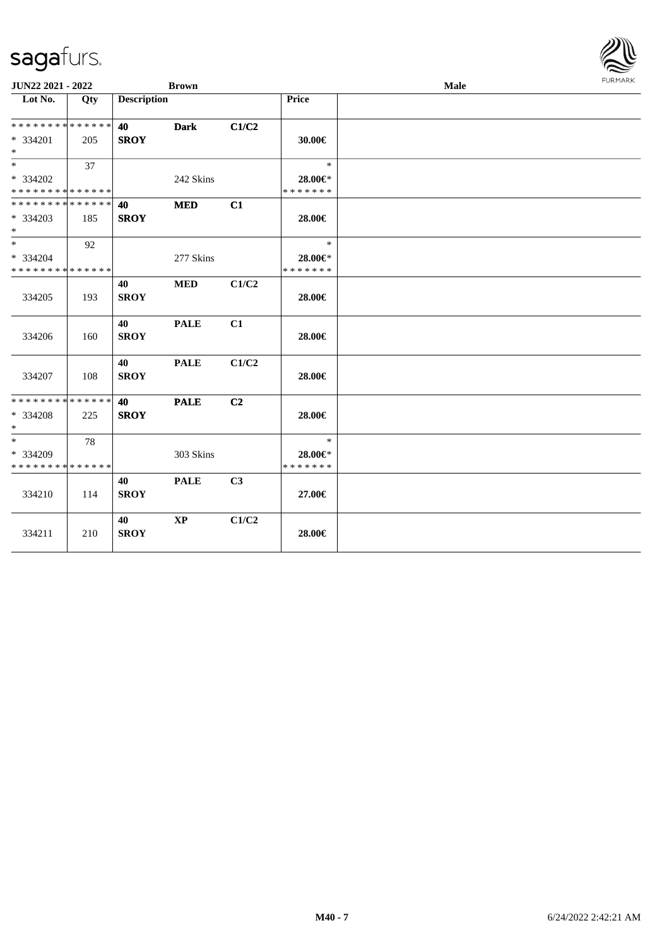| <b>JUN22 2021 - 2022</b>      |     |                    | <b>Brown</b>  |                |               | Male | <b>FURMARK</b> |
|-------------------------------|-----|--------------------|---------------|----------------|---------------|------|----------------|
| Lot No.                       | Qty | <b>Description</b> |               |                | <b>Price</b>  |      |                |
| * * * * * * * * * * * * * *   |     | 40                 | <b>Dark</b>   | C1/C2          |               |      |                |
| $* 334201$                    | 205 | <b>SROY</b>        |               |                | 30.00€        |      |                |
| $*$                           |     |                    |               |                |               |      |                |
| $*$                           | 37  |                    |               |                | $\ast$        |      |                |
| * 334202                      |     |                    | 242 Skins     |                | 28.00€*       |      |                |
| * * * * * * * * * * * * * *   |     |                    |               |                | * * * * * * * |      |                |
| * * * * * * * * * * * * * * * |     | 40                 | <b>MED</b>    | C1             |               |      |                |
| $*334203$<br>$*$              | 185 | <b>SROY</b>        |               |                | 28.00€        |      |                |
| $*$                           | 92  |                    |               |                | $\ast$        |      |                |
| $* 334204$                    |     |                    | 277 Skins     |                | 28.00€*       |      |                |
| * * * * * * * * * * * * * *   |     |                    |               |                | * * * * * * * |      |                |
|                               |     | 40                 | <b>MED</b>    | C1/C2          |               |      |                |
| 334205                        | 193 | <b>SROY</b>        |               |                | 28.00€        |      |                |
|                               |     | 40                 | <b>PALE</b>   | C1             |               |      |                |
| 334206                        | 160 | <b>SROY</b>        |               |                | 28.00€        |      |                |
|                               |     | 40                 | <b>PALE</b>   | C1/C2          |               |      |                |
| 334207                        | 108 | <b>SROY</b>        |               |                | 28.00€        |      |                |
| * * * * * * * * * * * * * *   |     | 40                 | <b>PALE</b>   | C <sub>2</sub> |               |      |                |
| * 334208                      | 225 | <b>SROY</b>        |               |                | 28.00€        |      |                |
| $*$                           |     |                    |               |                |               |      |                |
| $*$                           | 78  |                    |               |                | $\ast$        |      |                |
| * 334209                      |     |                    | 303 Skins     |                | 28.00€*       |      |                |
| * * * * * * * * * * * * * *   |     |                    |               |                | * * * * * * * |      |                |
|                               |     | 40                 | <b>PALE</b>   | C <sub>3</sub> |               |      |                |
| 334210                        | 114 | <b>SROY</b>        |               |                | 27.00€        |      |                |
|                               |     |                    |               |                |               |      |                |
|                               |     | 40                 | $\mathbf{XP}$ | C1/C2          |               |      |                |
| 334211                        | 210 | <b>SROY</b>        |               |                | 28.00€        |      |                |
|                               |     |                    |               |                |               |      |                |

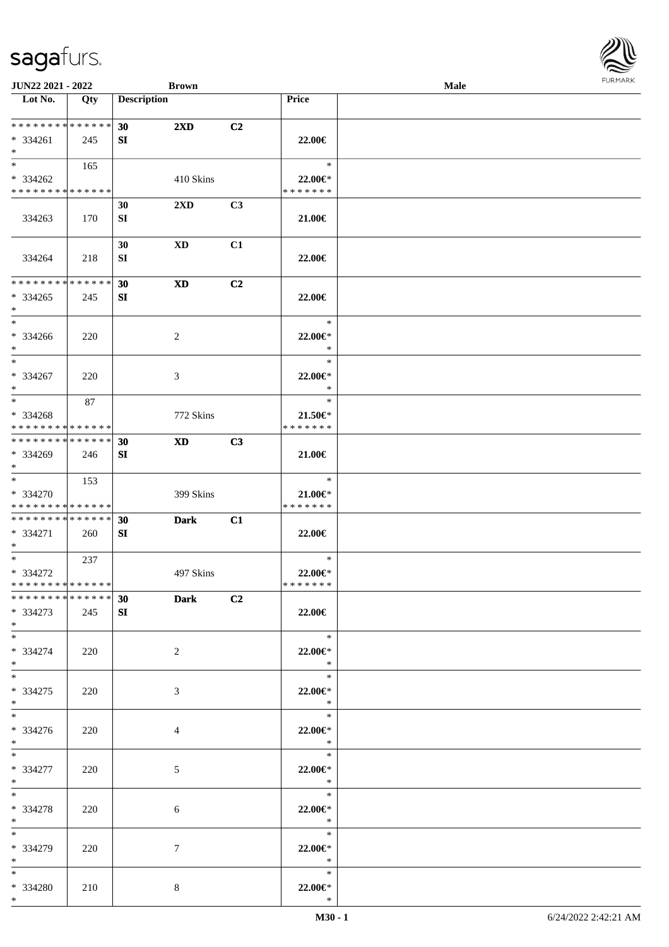| JUN22 2021 - 2022                                               |     |                    | <b>Brown</b>            |    |                                          | Male | <b>FURMAR</b> |
|-----------------------------------------------------------------|-----|--------------------|-------------------------|----|------------------------------------------|------|---------------|
| $\overline{\text{Lot No.}}$                                     | Qty | <b>Description</b> |                         |    | Price                                    |      |               |
| **************<br>$* 334261$<br>$*$                             | 245 | 30<br>SI           | $2\mathbf{X}\mathbf{D}$ | C2 | 22.00€                                   |      |               |
| $\overline{\ast}$<br>$* 334262$<br>******** <mark>******</mark> | 165 |                    | 410 Skins               |    | $\ast$<br>22.00€*<br>* * * * * * *       |      |               |
| 334263                                                          | 170 | 30<br>SI           | 2XD                     | C3 | 21.00€                                   |      |               |
| 334264                                                          | 218 | 30<br>SI           | <b>XD</b>               | C1 | 22.00€                                   |      |               |
| **************<br>$*334265$<br>$\ast$                           | 245 | 30<br>SI           | $\mathbf{X}\mathbf{D}$  | C2 | 22.00€                                   |      |               |
| $\ast$<br>* 334266<br>$\ast$                                    | 220 |                    | $\overline{c}$          |    | $\ast$<br>22.00€*<br>$\ast$              |      |               |
| $\ast$<br>$* 334267$<br>$*$                                     | 220 |                    | $\mathfrak{Z}$          |    | $\ast$<br>22.00€*<br>$\ast$              |      |               |
| $\overline{\phantom{1}}$<br>* 334268<br>**************          | 87  |                    | 772 Skins               |    | $\ast$<br>$21.50 \in$<br>* * * * * * *   |      |               |
| ******** <mark>******</mark><br>$* 334269$<br>$\ast$            | 246 | 30<br>SI           | <b>XD</b>               | C3 | $21.00 \in$                              |      |               |
| $\ast$<br>* 334270<br>******** <mark>******</mark>              | 153 |                    | 399 Skins               |    | $\ast$<br>$21.00 \in$ *<br>* * * * * * * |      |               |
| ******** <mark>******</mark><br>$* 334271$<br>$\ast$            | 260 | 30<br>SI           | <b>Dark</b>             | C1 | 22.00€                                   |      |               |
| $\ast$<br>* 334272<br>**************                            | 237 |                    | 497 Skins               |    | $\ast$<br>22.00€*<br>* * * * * * *       |      |               |
| *************** 30<br>$*334273$<br>$*$                          | 245 | SI                 | <b>Dark</b>             | C2 | 22.00€                                   |      |               |
| $\ast$<br>$* 334274$<br>$\ast$                                  | 220 |                    | $\overline{2}$          |    | $\ast$<br>22.00€*<br>$*$                 |      |               |
| $*$<br>$*334275$<br>$\ast$                                      | 220 |                    | $\mathfrak{Z}$          |    | $\ast$<br>22.00€*<br>$*$                 |      |               |
| $\ast$<br>* 334276<br>$*$                                       | 220 |                    | $\overline{4}$          |    | $\ast$<br>22.00€*<br>$\ast$              |      |               |
| $\ast$<br>* 334277<br>$*$                                       | 220 |                    | 5 <sup>5</sup>          |    | $\ast$<br>22.00€*<br>$\ast$              |      |               |
| $*$<br>* 334278<br>$*$                                          | 220 |                    | 6                       |    | $\ast$<br>22.00 $\in$ *<br>$\ast$        |      |               |
| $\ast$<br>* 334279<br>$*$                                       | 220 |                    | $7\phantom{.0}$         |    | $\ast$<br>22.00€*<br>$\ast$              |      |               |
| $\ast$<br>* 334280<br>$*$                                       | 210 |                    | $8\,$                   |    | $\ast$<br>22.00€*<br>$\ast$              |      |               |

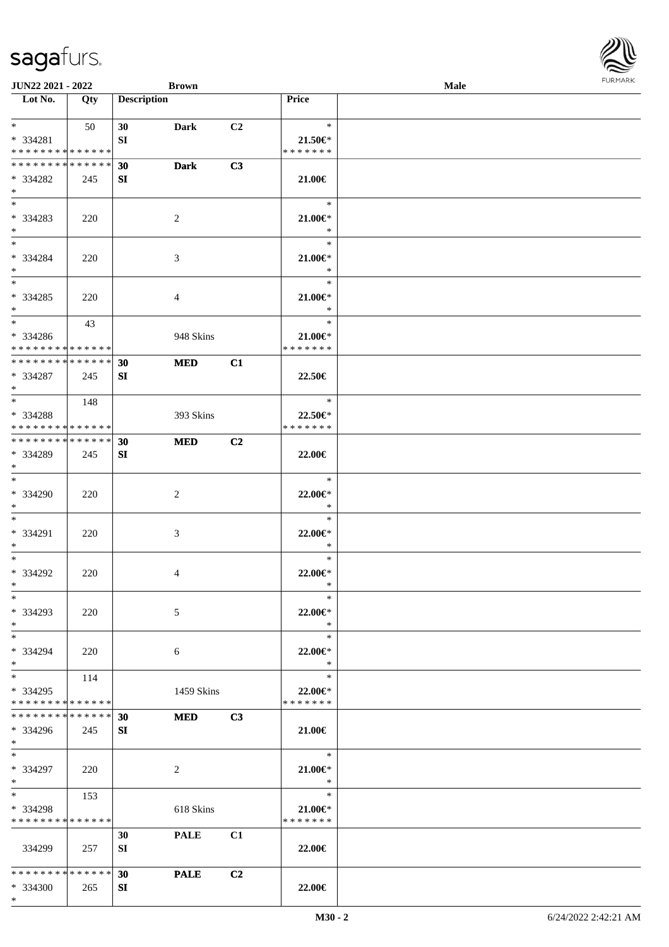| <b>JUN22 2021 - 2022</b>                   |             |                    | <b>Brown</b>   |                |                       | <b>Male</b> |  |
|--------------------------------------------|-------------|--------------------|----------------|----------------|-----------------------|-------------|--|
| Lot No.                                    | Qty         | <b>Description</b> |                |                | Price                 |             |  |
|                                            |             |                    |                |                |                       |             |  |
| $*$ $*$                                    | 50          | 30                 | Dark           | C2             | $\ast$                |             |  |
| * 334281                                   |             | SI                 |                |                | $21.50 \in$           |             |  |
| * * * * * * * * <mark>* * * * * * *</mark> |             |                    |                |                | * * * * * * *         |             |  |
| * * * * * * * * * * * * * *                |             | 30                 | <b>Dark</b>    | C3             |                       |             |  |
| * 334282                                   | 245         | SI                 |                |                | 21.00€                |             |  |
| $\ast$<br>$*$                              |             |                    |                |                |                       |             |  |
|                                            |             |                    |                |                | $\rightarrow$         |             |  |
| * 334283                                   | 220         |                    | 2              |                | $21.00 \in$           |             |  |
| $*$<br>$\ddot{x}$                          |             |                    |                |                | $\ast$                |             |  |
|                                            |             |                    |                |                | $\ast$                |             |  |
| * 334284                                   | 220         |                    | 3              |                | $21.00 \in$<br>$\ast$ |             |  |
| $*$<br>$*$                                 |             |                    |                |                | $\ast$                |             |  |
| * 334285                                   |             |                    |                |                | $21.00 \in$           |             |  |
| $*$                                        | 220         |                    | $\overline{4}$ |                | $\ast$                |             |  |
| $*$                                        | 43          |                    |                |                | $\ast$                |             |  |
| * 334286                                   |             |                    | 948 Skins      |                | 21.00€*               |             |  |
| * * * * * * * * <mark>* * * * * *</mark>   |             |                    |                |                | * * * * * * *         |             |  |
| * * * * * * * * <mark>* * * * * * *</mark> |             | 30                 | <b>MED</b>     | C1             |                       |             |  |
| * 334287                                   | 245         | SI                 |                |                | 22.50€                |             |  |
| $*$                                        |             |                    |                |                |                       |             |  |
| $\overline{\ast}$                          | 148         |                    |                |                | $\ast$                |             |  |
| * 334288                                   |             |                    | 393 Skins      |                | 22.50€*               |             |  |
| * * * * * * * * <mark>* * * * * *</mark>   |             |                    |                |                | * * * * * * *         |             |  |
| * * * * * * * * * * * * * * *              |             | 30                 | <b>MED</b>     | C2             |                       |             |  |
| * 334289                                   | 245         | SI                 |                |                | 22.00€                |             |  |
| $\ast$                                     |             |                    |                |                |                       |             |  |
| $\ddot{x}$                                 |             |                    |                |                | $\ast$                |             |  |
| * 334290                                   | 220         |                    | 2              |                | 22.00 $\in$ *         |             |  |
| $*$                                        |             |                    |                |                | $\ast$                |             |  |
| $\ddot{x}$                                 |             |                    |                |                | $\ast$                |             |  |
| * 334291                                   | 220         |                    | 3              |                | 22.00 $\in$ *         |             |  |
| $*$                                        |             |                    |                |                | $\ast$                |             |  |
| $\ddot{x}$                                 |             |                    |                |                | $\ast$                |             |  |
| * 334292                                   | 220         |                    | 4              |                | 22.00€*               |             |  |
| $*$ $-$                                    |             |                    |                |                | $\ast$                |             |  |
| $\ast$                                     |             |                    |                |                | $\ast$                |             |  |
| * 334293                                   | 220         |                    | 5              |                | 22.00€*               |             |  |
| $*$                                        |             |                    |                |                | $\ast$                |             |  |
| $*$ $-$                                    |             |                    |                |                | $\ast$                |             |  |
| * 334294                                   | 220         |                    | 6              |                | 22.00 $\in$ *<br>$*$  |             |  |
| $\ast$<br>$*$                              |             |                    |                |                | $\ast$                |             |  |
| * 334295                                   | 114         |                    |                |                | 22.00€*               |             |  |
| * * * * * * * * * * * * * * *              |             |                    | 1459 Skins     |                | * * * * * * *         |             |  |
| * * * * * * * * <mark>* * * * * *</mark>   |             | 30                 | <b>MED</b>     | C3             |                       |             |  |
| * 334296                                   | 245         | SI                 |                |                | 21.00€                |             |  |
| $*$                                        |             |                    |                |                |                       |             |  |
| $*$ $-$                                    |             |                    |                |                | $\ast$                |             |  |
| * 334297                                   | 220         |                    | 2              |                | $21.00 \in$           |             |  |
| $*$                                        |             |                    |                |                | $\ast$                |             |  |
| $*$ and $*$                                | 153         |                    |                |                | $\ast$                |             |  |
| * 334298                                   |             |                    | 618 Skins      |                | 21.00€*               |             |  |
| * * * * * * * *                            | * * * * * * |                    |                |                | * * * * * * *         |             |  |
|                                            |             | 30                 | <b>PALE</b>    | C1             |                       |             |  |
| 334299                                     | 257         | SI                 |                |                | 22.00€                |             |  |
|                                            |             |                    |                |                |                       |             |  |
| * * * * * * * * <mark>* * * * * *</mark>   |             | 30                 | <b>PALE</b>    | C <sub>2</sub> |                       |             |  |
| $* 334300$                                 | 265         | SI                 |                |                | 22.00€                |             |  |
|                                            |             |                    |                |                |                       |             |  |

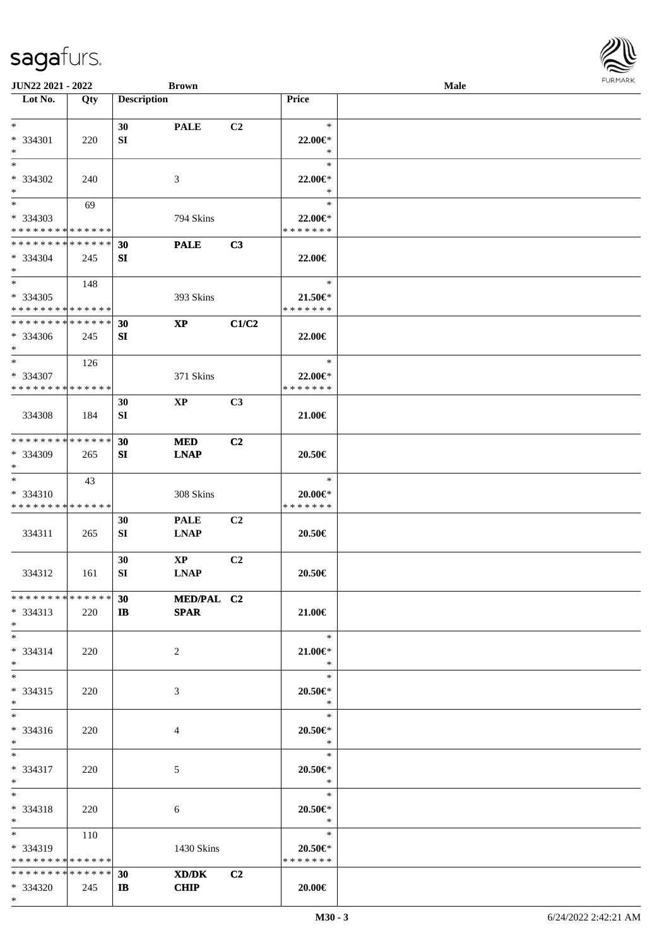| <b>JUN22 2021 - 2022</b>                                            |     |                    | <b>Brown</b>                          |                |                                          | Male | <b>FURMARK</b> |
|---------------------------------------------------------------------|-----|--------------------|---------------------------------------|----------------|------------------------------------------|------|----------------|
| Lot No.                                                             | Qty | <b>Description</b> |                                       |                | Price                                    |      |                |
| $*$<br>* 334301<br>$*$                                              | 220 | 30<br>SI           | <b>PALE</b>                           | C2             | $\ast$<br>22.00 $\in$ *<br>$\ast$        |      |                |
| $*$<br>* 334302<br>$*$                                              | 240 |                    | 3                                     |                | $\ast$<br>$22.00 \in$ *<br>$\ast$        |      |                |
| $*$ $-$<br>* 334303<br>* * * * * * * * <mark>* * * * * * *</mark>   | 69  |                    | 794 Skins                             |                | $\ast$<br>22.00€*<br>* * * * * * *       |      |                |
| * * * * * * * * * * * * * * *<br>* 334304<br>$*$                    | 245 | 30<br>SI           | <b>PALE</b>                           | C3             | 22.00€                                   |      |                |
| * 334305<br>* * * * * * * * <mark>* * * * * * *</mark>              | 148 |                    | 393 Skins                             |                | $\ast$<br>$21.50 \in$<br>* * * * * * *   |      |                |
| * * * * * * * * * * * * * *<br>* 334306<br>$*$                      | 245 | 30<br>SI           | $\bold{XP}$                           | C1/C2          | 22.00€                                   |      |                |
| $*$<br>* 334307<br>* * * * * * * * * * * * * *                      | 126 |                    | 371 Skins                             |                | $\ast$<br>22.00 $\in$ *<br>* * * * * * * |      |                |
| 334308                                                              | 184 | 30<br>SI           | $\mathbf{X}\mathbf{P}$                | C3             | 21.00€                                   |      |                |
| * * * * * * * * * * * * * *<br>* 334309<br>$\ast$                   | 265 | 30<br>SI           | <b>MED</b><br><b>LNAP</b>             | C <sub>2</sub> | 20.50€                                   |      |                |
| $*$<br>$* 334310$<br>* * * * * * * * <mark>* * * * * *</mark>       | 43  |                    | 308 Skins                             |                | $\ast$<br>20.00€*<br>* * * * * * *       |      |                |
| 334311                                                              | 265 | 30<br>SI           | <b>PALE</b><br><b>LNAP</b>            | C <sub>2</sub> | 20.50€                                   |      |                |
| 334312                                                              | 161 | 30<br>SI           | $\mathbf{X}\mathbf{P}$<br><b>LNAP</b> | C <sub>2</sub> | 20.50€                                   |      |                |
| * * * * * * * * * * * * * * *<br>$* 334313$<br>$*$                  | 220 | 30<br>$\mathbf{I}$ | <b>MED/PAL C2</b><br><b>SPAR</b>      |                | 21.00€                                   |      |                |
| $*$<br>$* 334314$<br>$*$ $-$                                        | 220 |                    | 2                                     |                | $\ast$<br>21.00 $\in$ *<br>$\ast$        |      |                |
| $*$ $-$<br>* 334315<br>$*$ $-$                                      | 220 |                    | 3                                     |                | $\ast$<br>$20.50 \in$ *<br>$*$           |      |                |
| $*$<br>* 334316<br>$*$                                              | 220 |                    | 4                                     |                | $\ast$<br>$20.50 \in$<br>$\ast$          |      |                |
| $*$<br>* 334317<br>$*$                                              | 220 |                    | 5                                     |                | $\ast$<br>$20.50 \in$ *<br>$\ast$        |      |                |
| $*$<br>* 334318<br>$*$                                              | 220 |                    | 6                                     |                | $\ast$<br>$20.50 \in$ *<br>$\rightarrow$ |      |                |
| $*$ $-$<br>$* 334319$<br>* * * * * * * * <mark>* * * * * *</mark> * | 110 |                    | 1430 Skins                            |                | $\ast$<br>20.50€*<br>* * * * * * *       |      |                |
| * * * * * * * * <mark>* * * * * *</mark> *<br>* 334320              | 245 | 30<br>$\mathbf{I}$ | XD/DK<br><b>CHIP</b>                  | C <sub>2</sub> | 20.00€                                   |      |                |

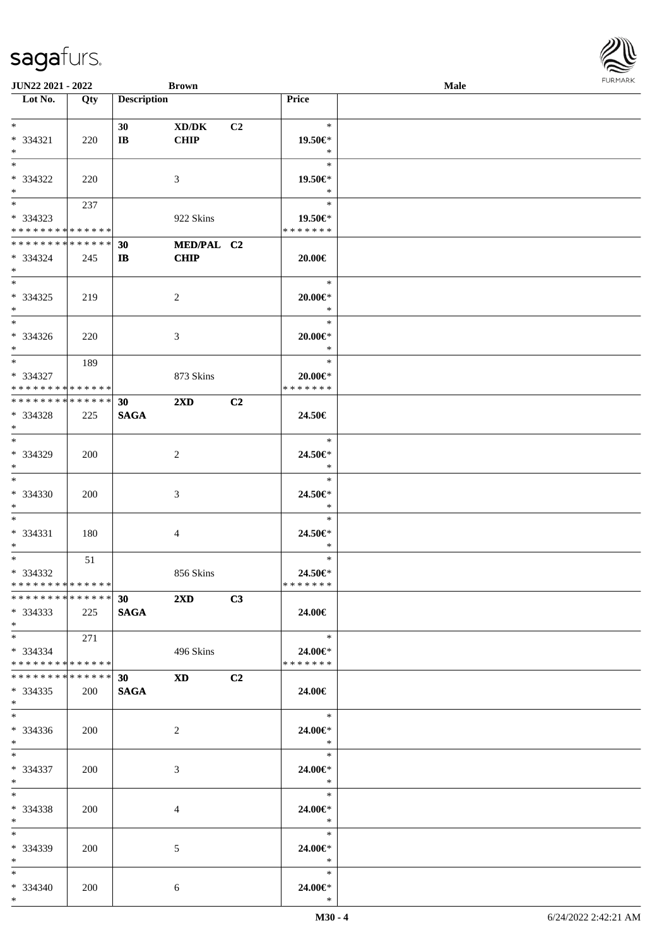| <b>JUN22 2021 - 2022</b>                   |     |                        | <b>Brown</b>            |                |                                               | Male | <b>FURPIARA</b> |
|--------------------------------------------|-----|------------------------|-------------------------|----------------|-----------------------------------------------|------|-----------------|
| Lot No.                                    | Qty | <b>Description</b>     |                         |                | Price                                         |      |                 |
|                                            |     |                        |                         |                |                                               |      |                 |
| $\ast$                                     |     | 30 <sup>1</sup>        | XD/DK                   | C <sub>2</sub> | $\ast$                                        |      |                 |
| * 334321                                   | 220 | $\mathbf{I}\mathbf{B}$ | <b>CHIP</b>             |                | 19.50€*                                       |      |                 |
| $\ast$                                     |     |                        |                         |                | $\ast$                                        |      |                 |
| $\ast$                                     |     |                        |                         |                | $\ast$                                        |      |                 |
| * 334322                                   | 220 |                        | 3                       |                | 19.50€*                                       |      |                 |
| $\ast$                                     |     |                        |                         |                | $*$                                           |      |                 |
| $*$ and $*$                                | 237 |                        |                         |                | $\ast$                                        |      |                 |
| * 334323                                   |     |                        | 922 Skins               |                | 19.50€*                                       |      |                 |
| * * * * * * * * <mark>* * * * * *</mark>   |     |                        |                         |                | * * * * * * *                                 |      |                 |
| * * * * * * * * <mark>* * * * * *</mark>   |     | 30                     | MED/PAL C2              |                |                                               |      |                 |
| * 334324                                   | 245 | IB                     | <b>CHIP</b>             |                | 20.00€                                        |      |                 |
| $\ast$                                     |     |                        |                         |                |                                               |      |                 |
| $\overline{\mathbf{r}}$                    |     |                        |                         |                | $\ast$                                        |      |                 |
| * 334325                                   | 219 |                        | 2                       |                | $20.00 \in$ *                                 |      |                 |
| $*$                                        |     |                        |                         |                | $\ast$                                        |      |                 |
| $*$                                        |     |                        |                         |                | $\ast$                                        |      |                 |
| * 334326                                   | 220 |                        | 3                       |                | 20.00€*                                       |      |                 |
| $*$                                        |     |                        |                         |                | $\ast$                                        |      |                 |
| $\ddot{x}$                                 | 189 |                        |                         |                | $\ast$                                        |      |                 |
| * 334327                                   |     |                        | 873 Skins               |                | $20.00 \in$ *                                 |      |                 |
| * * * * * * * * <mark>* * * * * * *</mark> |     |                        |                         |                | * * * * * * *                                 |      |                 |
| * * * * * * * * <mark>* * * * * * *</mark> |     | 30 <sup>°</sup>        | $2\mathbf{X}\mathbf{D}$ | C2             |                                               |      |                 |
| * 334328                                   | 225 | <b>SAGA</b>            |                         |                | 24.50€                                        |      |                 |
| $\ast$                                     |     |                        |                         |                |                                               |      |                 |
| $*$                                        |     |                        |                         |                | $\ast$                                        |      |                 |
| * 334329                                   | 200 |                        | 2                       |                | 24.50€*                                       |      |                 |
| $*$                                        |     |                        |                         |                | $\ast$                                        |      |                 |
| $*$                                        |     |                        |                         |                | $\ast$                                        |      |                 |
|                                            |     |                        |                         |                |                                               |      |                 |
| * 334330                                   | 200 |                        | 3                       |                | 24.50€*                                       |      |                 |
| $\ast$                                     |     |                        |                         |                | $\ast$<br>$\ast$                              |      |                 |
|                                            |     |                        |                         |                |                                               |      |                 |
| * 334331                                   | 180 |                        | 4                       |                | 24.50€*                                       |      |                 |
| $*$                                        |     |                        |                         |                | $\ast$                                        |      |                 |
| $\ast$                                     | 51  |                        |                         |                | $\ast$                                        |      |                 |
| * 334332                                   |     |                        | 856 Skins               |                | 24.50€*                                       |      |                 |
| * * * * * * * * <mark>* * * * * * *</mark> |     |                        |                         |                | * * * * * * *                                 |      |                 |
|                                            |     |                        | *************** 30 2XD  | C3             |                                               |      |                 |
| $*334333$                                  | 225 | <b>SAGA</b>            |                         |                | 24.00€                                        |      |                 |
| $*$                                        |     |                        |                         |                |                                               |      |                 |
| $*$ and $*$                                | 271 |                        |                         |                | $\begin{array}{c}\n\ast \\ \ast\n\end{array}$ |      |                 |
| $*334334$                                  |     |                        | 496 Skins               |                | 24.00€*                                       |      |                 |
| * * * * * * * * <mark>* * * * * *</mark> * |     |                        |                         |                | * * * * * * *                                 |      |                 |
| * * * * * * * * * * * * * * <mark>*</mark> |     |                        | 30 XD C2                |                |                                               |      |                 |
| $*334335$                                  | 200 | SAGA                   |                         |                | 24.00€                                        |      |                 |
| $\ast$                                     |     |                        |                         |                |                                               |      |                 |
| $*$ $-$                                    |     |                        |                         |                | $\ast$                                        |      |                 |
| $*334336$                                  | 200 |                        | 2                       |                | 24.00€*                                       |      |                 |
| $*$ $-$                                    |     |                        |                         |                | $\ast$                                        |      |                 |
| $\ast$                                     |     |                        |                         |                | $*$                                           |      |                 |
| * 334337                                   | 200 |                        | 3                       |                | 24.00€*                                       |      |                 |
| $\ast$                                     |     |                        |                         |                | $\ddot{x}$                                    |      |                 |
| $*$ $-$                                    |     |                        |                         |                | $\ast$                                        |      |                 |
| * 334338                                   | 200 |                        | 4                       |                | 24.00€*                                       |      |                 |
| $*$ $-$                                    |     |                        |                         |                | $\frac{1}{2}$                                 |      |                 |
| $*$ $-$                                    |     |                        |                         |                |                                               |      |                 |
| $* 334339$                                 | 200 |                        | 5                       |                | 24.00€*                                       |      |                 |
| $*$ $-$                                    |     |                        |                         |                | $\ast$                                        |      |                 |
| $*$ and $*$                                |     |                        |                         |                | $\ast$                                        |      |                 |
| $* 334340$                                 | 200 |                        | 6                       |                | 24.00€*                                       |      |                 |
| $\ddot{x}$                                 |     |                        |                         |                | $\ast$                                        |      |                 |

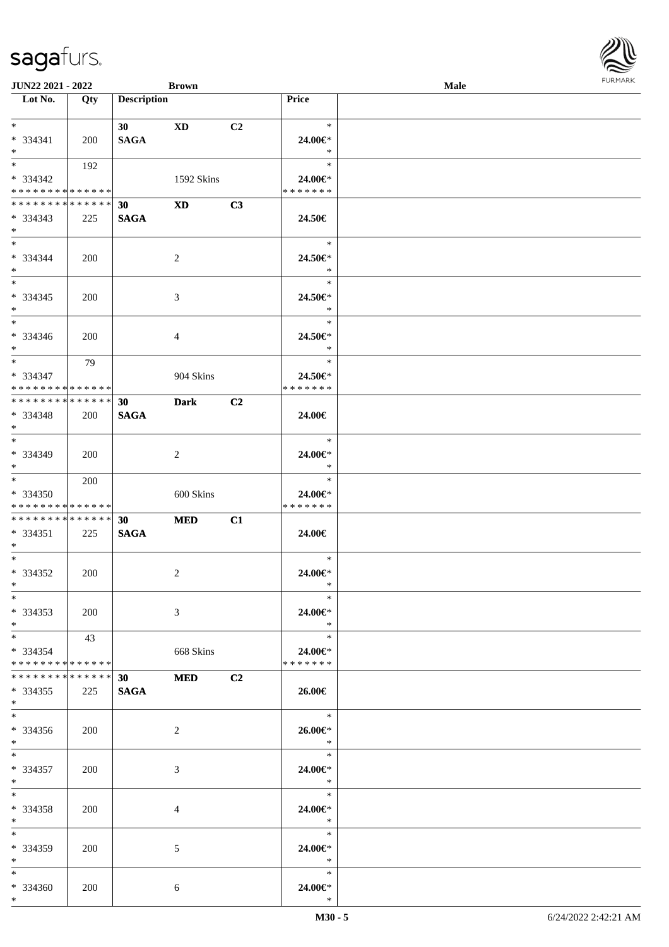| <b>JUN22 2021 - 2022</b>                   |             |                    | <b>Brown</b>   |                |                                               | Male |  |
|--------------------------------------------|-------------|--------------------|----------------|----------------|-----------------------------------------------|------|--|
| Lot No.                                    | Qty         | <b>Description</b> |                |                | Price                                         |      |  |
|                                            |             |                    |                |                |                                               |      |  |
| $*$                                        |             | 30                 | XD             | C2             | $\ast$                                        |      |  |
| $* 334341$                                 | <b>200</b>  | <b>SAGA</b>        |                |                | 24.00€*                                       |      |  |
| $\ast$<br>$\overline{\mathbf{r}}$          |             |                    |                |                | $\ast$<br>$\ast$                              |      |  |
|                                            | 192         |                    |                |                |                                               |      |  |
| * 334342<br>* * * * * * * * * * * * * * *  |             |                    | 1592 Skins     |                | 24.00€*<br>* * * * * * *                      |      |  |
| * * * * * * * * <mark>* * * * * * *</mark> |             |                    |                |                |                                               |      |  |
|                                            |             | 30                 | <b>XD</b>      | C3             |                                               |      |  |
| * 334343<br>$\ast$                         | 225         | <b>SAGA</b>        |                |                | 24.50€                                        |      |  |
| $*$ $*$                                    |             |                    |                |                | $\ast$                                        |      |  |
| * 334344                                   | 200         |                    | 2              |                | 24.50€*                                       |      |  |
| $*$                                        |             |                    |                |                | $\ast$                                        |      |  |
| $*$                                        |             |                    |                |                | $\ast$                                        |      |  |
| $* 334345$                                 | 200         |                    | 3              |                | 24.50€*                                       |      |  |
| $*$                                        |             |                    |                |                | $\ast$                                        |      |  |
| $*$                                        |             |                    |                |                | $\ast$                                        |      |  |
| $* 334346$                                 | 200         |                    | 4              |                | 24.50€*                                       |      |  |
| $\ast$                                     |             |                    |                |                | $*$                                           |      |  |
| $\ast$                                     | 79          |                    |                |                | $*$                                           |      |  |
| $* 334347$                                 |             |                    | 904 Skins      |                | 24.50€*                                       |      |  |
| * * * * * * * * <mark>* * * * * *</mark>   |             |                    |                |                | * * * * * * *                                 |      |  |
| * * * * * * * * <mark>* * * * * * *</mark> |             | 30                 | <b>Dark</b>    | C <sub>2</sub> |                                               |      |  |
| * 334348                                   | 200         | <b>SAGA</b>        |                |                | 24.00€                                        |      |  |
| $\ast$                                     |             |                    |                |                |                                               |      |  |
| $*$                                        |             |                    |                |                | $\ast$                                        |      |  |
| $* 334349$                                 | 200         |                    | $\overline{2}$ |                | 24.00€*                                       |      |  |
| $\ddot{x}$                                 |             |                    |                |                | $\ast$                                        |      |  |
| $*$                                        | 200         |                    |                |                | $\ast$                                        |      |  |
| * 334350                                   |             |                    | 600 Skins      |                | 24.00€*                                       |      |  |
| * * * * * * * * <mark>* * * * * *</mark>   |             |                    |                |                | * * * * * * *                                 |      |  |
| * * * * * * * * * * * * * * *              |             | 30 <sup>°</sup>    | <b>MED</b>     | C1             |                                               |      |  |
| $* 334351$                                 | 225         | <b>SAGA</b>        |                |                | 24.00€                                        |      |  |
| $*$ $-$                                    |             |                    |                |                |                                               |      |  |
| $*$ $-$                                    |             |                    |                |                | $\ast$                                        |      |  |
| * 334352                                   | 200         |                    | 2              |                | 24.00€*                                       |      |  |
| $*$ $\qquad$                               |             |                    |                |                | $\ast$                                        |      |  |
| $\ast$                                     |             |                    |                |                | $\ast$                                        |      |  |
| $*334353$                                  | 200         |                    | 3              |                | 24.00€*                                       |      |  |
| $*$                                        |             |                    |                |                | $\ast$                                        |      |  |
| $*$ $-$                                    | 43          |                    |                |                | $\ast$                                        |      |  |
| $* 334354$                                 |             |                    | 668 Skins      |                | 24.00€*                                       |      |  |
| * * * * * * * * <mark>* * * * * *</mark>   |             |                    |                |                | * * * * * * *                                 |      |  |
| * * * * * * * *                            | * * * * * * | 30                 | <b>MED</b>     | C2             |                                               |      |  |
| * 334355                                   | 225         | <b>SAGA</b>        |                |                | 26.00€                                        |      |  |
| $\ast$<br>$\ddot{x}$                       |             |                    |                |                | $\overline{\phantom{a}}$                      |      |  |
|                                            |             |                    |                |                |                                               |      |  |
| $*334356$                                  | 200         |                    | 2              |                | 26.00€*<br>$\mathbb{R}$                       |      |  |
| $*$<br>$*$ $-$                             |             |                    |                |                |                                               |      |  |
| * 334357                                   |             |                    |                |                | 24.00€*                                       |      |  |
| $*$                                        | 200         |                    | 3              |                | $\ast$                                        |      |  |
| $*$ $-$                                    |             |                    |                |                | $\begin{array}{c}\n\ast \\ \ast\n\end{array}$ |      |  |
| * 334358                                   | 200         |                    | 4              |                | 24.00€*                                       |      |  |
| $*$ $-$                                    |             |                    |                |                | $\ast$                                        |      |  |
| $*$ $-$                                    |             |                    |                |                | $\ast$                                        |      |  |
| * 334359                                   | 200         |                    | 5              |                | 24.00€*                                       |      |  |
| $*$ $-$                                    |             |                    |                |                | $\ast$                                        |      |  |
| $*$ $-$                                    |             |                    |                |                | $\ast$                                        |      |  |
| * 334360                                   | 200         |                    | 6              |                | 24.00€*                                       |      |  |
| $\ast$                                     |             |                    |                |                | $\ast$                                        |      |  |

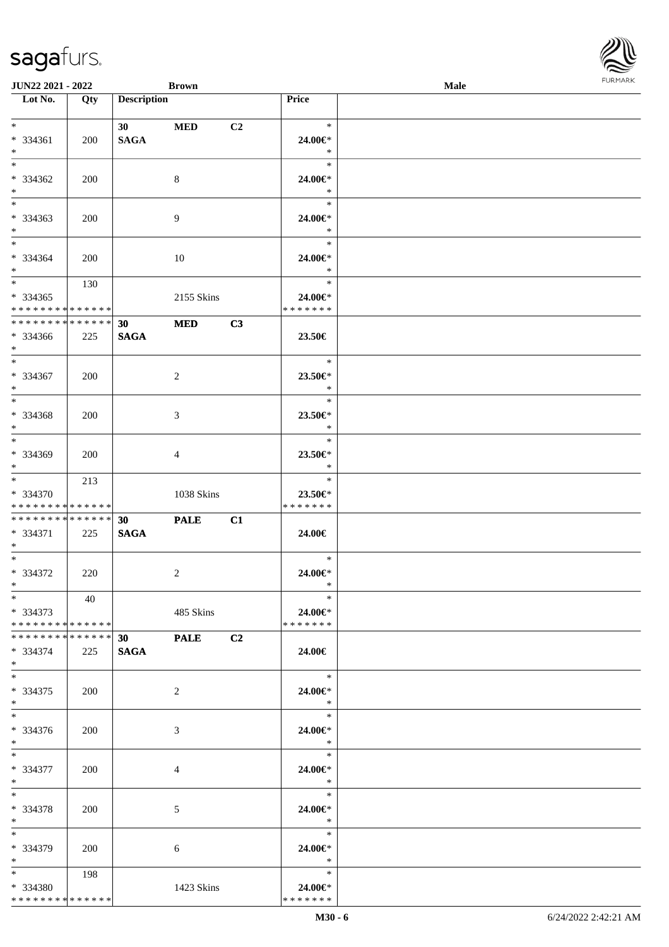| <b>JUN22 2021 - 2022</b>                  |     |                    | <b>Brown</b>   |    |                          | <b>Male</b> |  |
|-------------------------------------------|-----|--------------------|----------------|----|--------------------------|-------------|--|
| Lot No.                                   | Qty | <b>Description</b> |                |    | <b>Price</b>             |             |  |
|                                           |     |                    |                |    |                          |             |  |
| $*$ $*$                                   |     | 30                 | <b>MED</b>     | C2 | $\ast$                   |             |  |
| * 334361                                  | 200 | <b>SAGA</b>        |                |    | 24.00€*                  |             |  |
| $*$                                       |     |                    |                |    | $\ast$                   |             |  |
| $\overline{\ast}$                         |     |                    |                |    | $\ast$                   |             |  |
| * 334362                                  | 200 |                    | 8              |    | 24.00€*                  |             |  |
| $*$                                       |     |                    |                |    | $\ast$                   |             |  |
|                                           |     |                    |                |    | $\ast$                   |             |  |
| * 334363                                  | 200 |                    | 9              |    | 24.00€*                  |             |  |
| $*$                                       |     |                    |                |    | $\ast$                   |             |  |
| $*$                                       |     |                    |                |    | $\ast$                   |             |  |
| * 334364                                  | 200 |                    | 10             |    | 24.00€*                  |             |  |
| $*$                                       |     |                    |                |    | $\ast$                   |             |  |
| $*$                                       | 130 |                    |                |    | $\ast$                   |             |  |
| $* 334365$                                |     |                    | 2155 Skins     |    | 24.00€*                  |             |  |
| * * * * * * * * * * * * * *               |     |                    |                |    | * * * * * * *            |             |  |
| ******** <mark>******</mark>              |     | 30 <sup>°</sup>    | <b>MED</b>     | C3 |                          |             |  |
| * 334366                                  | 225 | <b>SAGA</b>        |                |    | 23.50€                   |             |  |
| $*$                                       |     |                    |                |    |                          |             |  |
| $*$                                       |     |                    |                |    | $\ast$                   |             |  |
| * 334367                                  | 200 |                    | $\overline{2}$ |    | $23.50 \in$              |             |  |
| $*$<br>$\overline{\ast}$                  |     |                    |                |    | $\ast$                   |             |  |
|                                           |     |                    |                |    | $\ast$                   |             |  |
| * 334368                                  | 200 |                    | 3              |    | 23.50€*                  |             |  |
| $*$                                       |     |                    |                |    | $\ast$                   |             |  |
|                                           |     |                    |                |    | $\ast$                   |             |  |
| * 334369                                  | 200 |                    | 4              |    | 23.50€*                  |             |  |
| $*$                                       |     |                    |                |    | $\ast$                   |             |  |
| $*$                                       | 213 |                    |                |    | $\ast$                   |             |  |
| * 334370                                  |     |                    | 1038 Skins     |    | 23.50€*                  |             |  |
| * * * * * * * * * * * * * *               |     |                    |                |    | * * * * * * *            |             |  |
| * * * * * * * * * * * * * * *             |     | 30 <sup>°</sup>    | <b>PALE</b>    | C1 |                          |             |  |
| * 334371                                  | 225 | <b>SAGA</b>        |                |    | 24.00€                   |             |  |
| $*$ $-$<br>$*$                            |     |                    |                |    |                          |             |  |
|                                           |     |                    |                |    | $\ast$                   |             |  |
| $* 334372$<br>$*$ $*$                     | 220 |                    | $\overline{2}$ |    | 24.00€*                  |             |  |
| $*$                                       |     |                    |                |    | $\ast$<br>$\ast$         |             |  |
|                                           | 40  |                    |                |    |                          |             |  |
| * 334373<br>* * * * * * * * * * * * * * * |     |                    | 485 Skins      |    | 24.00€*<br>* * * * * * * |             |  |
| * * * * * * * * * * * * * * *             |     |                    |                |    |                          |             |  |
|                                           |     | 30                 | <b>PALE</b>    | C2 |                          |             |  |
| * 334374<br>$*$                           | 225 | <b>SAGA</b>        |                |    | 24.00€                   |             |  |
| $*$                                       |     |                    |                |    | $\ast$                   |             |  |
| * 334375                                  | 200 |                    | 2              |    | 24.00€*                  |             |  |
| $*$                                       |     |                    |                |    | $*$                      |             |  |
| $*$                                       |     |                    |                |    | $\ast$                   |             |  |
| * 334376                                  | 200 |                    | 3              |    | 24.00€*                  |             |  |
| $*$                                       |     |                    |                |    | $\ast$                   |             |  |
| $*$                                       |     |                    |                |    | $\ast$                   |             |  |
| * 334377                                  | 200 |                    | 4              |    | 24.00€*                  |             |  |
| $*$ $*$                                   |     |                    |                |    | $\ast$                   |             |  |
| $*$                                       |     |                    |                |    | $\ast$                   |             |  |
| * 334378                                  | 200 |                    | 5              |    | 24.00€*                  |             |  |
| $*$                                       |     |                    |                |    | $\ast$                   |             |  |
| $*$                                       |     |                    |                |    | $\ast$                   |             |  |
| * 334379                                  | 200 |                    | 6              |    | 24.00€*                  |             |  |
| $*$ $*$                                   |     |                    |                |    | $\ast$                   |             |  |
| $*$ and $*$                               | 198 |                    |                |    | $\ast$                   |             |  |
| * 334380                                  |     |                    | 1423 Skins     |    | 24.00€*                  |             |  |
| * * * * * * * * * * * * * *               |     |                    |                |    | * * * * * * *            |             |  |
|                                           |     |                    |                |    |                          |             |  |

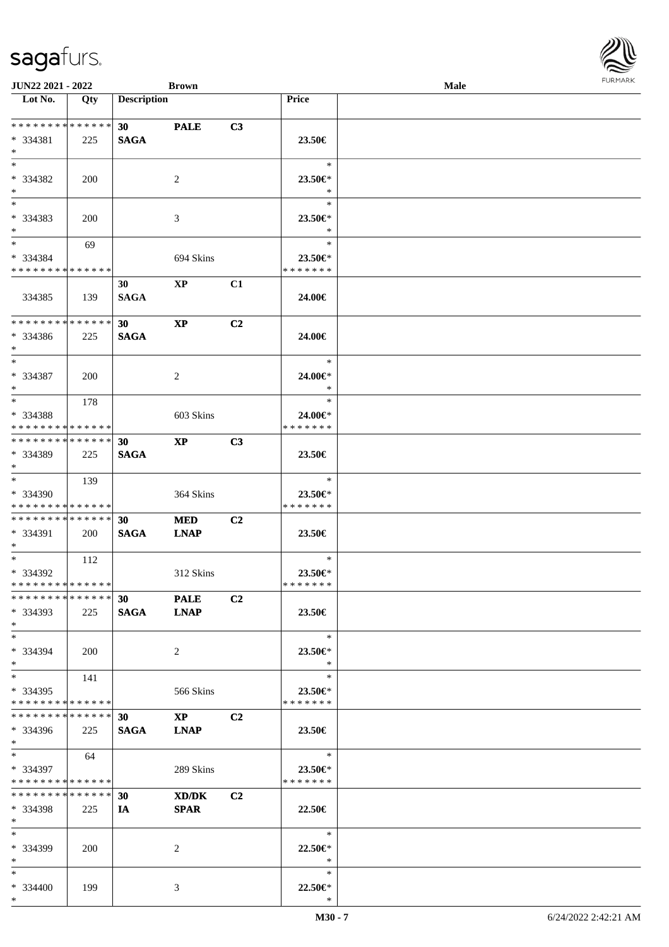| <b>JUN22 2021 - 2022</b>                                                                 |     |                    | <b>Brown</b>           |                |                          | Male | $1 \times 1 \times 1 \times 1 \times 1$ |
|------------------------------------------------------------------------------------------|-----|--------------------|------------------------|----------------|--------------------------|------|-----------------------------------------|
| Lot No.                                                                                  | Qty | <b>Description</b> |                        |                | <b>Price</b>             |      |                                         |
|                                                                                          |     |                    |                        |                |                          |      |                                         |
| ******** <mark>******</mark>                                                             |     | 30                 | <b>PALE</b>            | C3             |                          |      |                                         |
| $* 334381$                                                                               | 225 | <b>SAGA</b>        |                        |                | 23.50€                   |      |                                         |
| $\ast$                                                                                   |     |                    |                        |                |                          |      |                                         |
| $*$                                                                                      |     |                    |                        |                | $\ast$                   |      |                                         |
| * 334382                                                                                 | 200 |                    | 2                      |                | $23.50 \in$              |      |                                         |
| $*$                                                                                      |     |                    |                        |                | $\ast$                   |      |                                         |
| $\overline{\mathbf{r}}$                                                                  |     |                    |                        |                | $\ast$                   |      |                                         |
| * 334383                                                                                 | 200 |                    | 3                      |                | 23.50€*                  |      |                                         |
| $\ast$                                                                                   |     |                    |                        |                | $\ast$                   |      |                                         |
| $*$                                                                                      | 69  |                    |                        |                | $\ast$                   |      |                                         |
| * 334384                                                                                 |     |                    | 694 Skins              |                | 23.50€*                  |      |                                         |
| * * * * * * * * * * * * * *                                                              |     |                    |                        |                | * * * * * * *            |      |                                         |
|                                                                                          |     | 30                 | $\mathbf{X}\mathbf{P}$ | C1             |                          |      |                                         |
| 334385                                                                                   | 139 | <b>SAGA</b>        |                        |                | 24.00€                   |      |                                         |
|                                                                                          |     |                    |                        |                |                          |      |                                         |
| * * * * * * * * * * * * * * <mark>*</mark>                                               |     | 30 <sub>1</sub>    | $\bold{XP}$            | C2             |                          |      |                                         |
| * 334386                                                                                 | 225 | <b>SAGA</b>        |                        |                | 24.00€                   |      |                                         |
| $*$                                                                                      |     |                    |                        |                |                          |      |                                         |
| $\ddot{x}$                                                                               |     |                    |                        |                | $\ast$                   |      |                                         |
| * 334387                                                                                 | 200 |                    | 2                      |                | 24.00€*                  |      |                                         |
| $\ast$                                                                                   |     |                    |                        |                | $\ast$                   |      |                                         |
| $*$                                                                                      | 178 |                    |                        |                | $\ast$                   |      |                                         |
| * 334388                                                                                 |     |                    | 603 Skins              |                | 24.00€*                  |      |                                         |
| * * * * * * * * <mark>* * * * * *</mark>                                                 |     |                    |                        |                | * * * * * * *            |      |                                         |
| * * * * * * * * * * * * * * <mark>*</mark>                                               |     | 30                 | $\mathbf{X}\mathbf{P}$ | C3             |                          |      |                                         |
| * 334389                                                                                 | 225 | <b>SAGA</b>        |                        |                | 23.50€                   |      |                                         |
| $*$                                                                                      |     |                    |                        |                |                          |      |                                         |
| $*$                                                                                      | 139 |                    |                        |                | $\ast$                   |      |                                         |
| * 334390                                                                                 |     |                    | 364 Skins              |                | 23.50€*                  |      |                                         |
| * * * * * * * * <mark>* * * * * *</mark>                                                 |     |                    |                        |                | * * * * * * *            |      |                                         |
| * * * * * * * * <mark>* * * * * * *</mark>                                               |     | 30                 | <b>MED</b>             | C2             |                          |      |                                         |
| * 334391                                                                                 | 200 | <b>SAGA</b>        | <b>LNAP</b>            |                | 23.50€                   |      |                                         |
| $*$ $-$                                                                                  |     |                    |                        |                |                          |      |                                         |
| $*$ $*$                                                                                  | 112 |                    |                        |                | $\ast$                   |      |                                         |
| * 334392                                                                                 |     |                    | 312 Skins              |                | 23.50€*                  |      |                                         |
| * * * * * * * * * * * * * * *                                                            |     |                    |                        |                | * * * * * * *            |      |                                         |
| * * * * * * * * * * * * * * <mark>*</mark>                                               |     | 30                 | <b>PALE</b>            | C2             |                          |      |                                         |
| * 334393                                                                                 | 225 | SAGA LNAP          |                        |                | 23.50€                   |      |                                         |
| $*$                                                                                      |     |                    |                        |                |                          |      |                                         |
| $\ast$                                                                                   |     |                    |                        |                | $\ast$                   |      |                                         |
| * 334394                                                                                 | 200 |                    | $\overline{2}$         |                | 23.50 $\in$ *            |      |                                         |
| $*$                                                                                      |     |                    |                        |                | $*$                      |      |                                         |
| $*$ $-$                                                                                  | 141 |                    |                        |                | $\ast$                   |      |                                         |
| * 334395                                                                                 |     |                    | 566 Skins              |                | 23.50€*                  |      |                                         |
| * * * * * * * * <mark>* * * * * *</mark> *<br>* * * * * * * * * * * * * * <mark>*</mark> |     |                    |                        |                | * * * * * * *            |      |                                         |
|                                                                                          |     | 30                 | $\mathbf{X}\mathbf{P}$ | C <sub>2</sub> |                          |      |                                         |
| * 334396                                                                                 | 225 | SAGA LNAP          |                        |                | $23.50\in$               |      |                                         |
| $*$ $-$<br>$\ddot{x}$                                                                    |     |                    |                        |                | $\ddot{x}$               |      |                                         |
|                                                                                          | 64  |                    |                        |                |                          |      |                                         |
| * 334397<br>* * * * * * * * <mark>* * * * * *</mark>                                     |     |                    | 289 Skins              |                | 23.50€*<br>* * * * * * * |      |                                         |
| * * * * * * * * <mark>* * * * * *</mark> *                                               |     | 30                 |                        | C <sub>2</sub> |                          |      |                                         |
| * 334398                                                                                 | 225 |                    | XD/DK                  |                | $22.50\in$               |      |                                         |
| $*$ $-$                                                                                  |     | IA —               | <b>SPAR</b>            |                |                          |      |                                         |
| $*$ $-$                                                                                  |     |                    |                        |                | $\overline{\phantom{a}}$ |      |                                         |
| * 334399                                                                                 |     |                    |                        |                | $22.50 \in$ *            |      |                                         |
| $*$ $-$                                                                                  | 200 |                    | 2                      |                | $\ast$                   |      |                                         |
| $\ast$                                                                                   |     |                    |                        |                | $\ast$                   |      |                                         |
| * 334400                                                                                 | 199 |                    | 3                      |                | $22.50 \in$ *            |      |                                         |
| $\ast$                                                                                   |     |                    |                        |                | $\ast$                   |      |                                         |
|                                                                                          |     |                    |                        |                |                          |      |                                         |

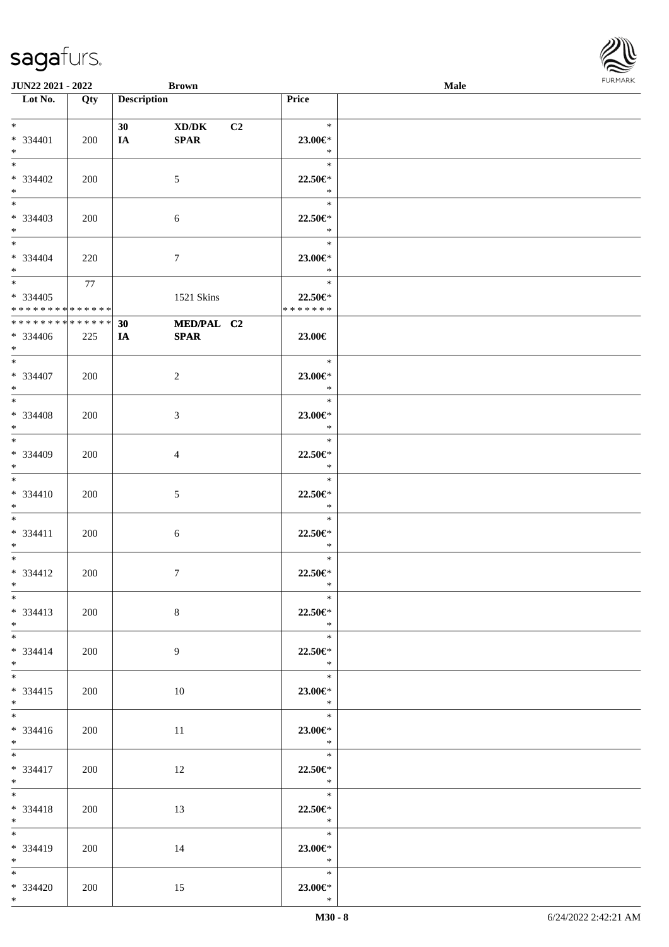| <b>JUN22 2021 - 2022</b>                 |        |                    | <b>Brown</b>   |                |                           | Male |  |
|------------------------------------------|--------|--------------------|----------------|----------------|---------------------------|------|--|
| Lot No.                                  | Qty    | <b>Description</b> |                |                | Price                     |      |  |
|                                          |        |                    |                |                |                           |      |  |
| $*$                                      |        | 30 <sub>1</sub>    | XD/DK          | C <sub>2</sub> | $\ast$                    |      |  |
| $* 334401$                               | 200    | IA                 | <b>SPAR</b>    |                | 23.00€*                   |      |  |
| $*$                                      |        |                    |                |                | $\ast$                    |      |  |
| $\overline{\ast}$                        |        |                    |                |                | $\ast$                    |      |  |
| $* 334402$                               | 200    |                    | 5              |                | 22.50€*                   |      |  |
| $\ast$                                   |        |                    |                |                | $\ast$                    |      |  |
| $\overline{\ast}$                        |        |                    |                |                | $\ast$                    |      |  |
| * 334403                                 | 200    |                    | 6              |                | 22.50€*                   |      |  |
| $\ast$                                   |        |                    |                |                | $\ast$                    |      |  |
| $*$                                      |        |                    |                |                | $\ast$                    |      |  |
| * 334404                                 | 220    |                    | $\tau$         |                | 23.00€*                   |      |  |
| $*$                                      |        |                    |                |                | $\ast$                    |      |  |
| $\overline{\mathbf{r}}$                  | 77     |                    |                |                | $\ast$                    |      |  |
| $* 334405$                               |        |                    | 1521 Skins     |                | 22.50€*                   |      |  |
| * * * * * * * * <mark>* * * * * *</mark> |        |                    |                |                | * * * * * * *             |      |  |
| * * * * * * * *                          | ****** | 30                 | MED/PAL C2     |                |                           |      |  |
| * 334406                                 | 225    | IA                 | <b>SPAR</b>    |                | 23.00€                    |      |  |
| $\ast$                                   |        |                    |                |                |                           |      |  |
| $*$                                      |        |                    |                |                | $\ast$                    |      |  |
| * 334407                                 | 200    |                    | 2              |                | 23.00€*                   |      |  |
| $*$                                      |        |                    |                |                | $\ast$                    |      |  |
| $\overline{\ast}$                        |        |                    |                |                | $\ast$                    |      |  |
| * 334408                                 | 200    |                    | 3              |                | 23.00€*                   |      |  |
| $*$                                      |        |                    |                |                | $\ast$                    |      |  |
| $*$                                      |        |                    |                |                | $\ast$                    |      |  |
| * 334409                                 | 200    |                    | 4              |                | 22.50€*                   |      |  |
| $\ast$                                   |        |                    |                |                | $\ast$                    |      |  |
| $*$                                      |        |                    |                |                | $\ast$                    |      |  |
| $* 334410$                               | 200    |                    | 5              |                | 22.50€*                   |      |  |
| $*$                                      |        |                    |                |                | $\ast$                    |      |  |
| $\ddot{x}$                               |        |                    |                |                | $\ast$                    |      |  |
| $* 334411$                               | 200    |                    | $\sqrt{6}$     |                | 22.50€*                   |      |  |
| $\ast$                                   |        |                    |                |                | $\ast$                    |      |  |
| $\ddot{x}$                               |        |                    |                |                | $\ast$                    |      |  |
| * 334412                                 | 200    |                    | $\overline{7}$ |                | 22.50€*                   |      |  |
| $*$ $-$                                  |        |                    |                |                | $\ast$                    |      |  |
| $\ddot{x}$                               |        |                    |                |                | $\ast$                    |      |  |
| $* 334413$                               | 200    |                    | 8              |                | 22.50€*                   |      |  |
| $*$ $\qquad$                             |        |                    |                |                | $\ast$                    |      |  |
| $\overline{\ast}$                        |        |                    |                |                | $\ast$                    |      |  |
| $* 334414$                               | 200    |                    | 9              |                | 22.50€*                   |      |  |
| $\ast$                                   |        |                    |                |                | $\ast$                    |      |  |
| $\ddot{x}$                               |        |                    |                |                | $*$                       |      |  |
| $* 334415$                               | 200    |                    | 10             |                | 23.00€*                   |      |  |
| $\ast$                                   |        |                    |                |                | $\mathbb{R}$              |      |  |
|                                          |        |                    |                |                |                           |      |  |
| $* 334416$                               | 200    |                    | 11             |                | 23.00€*                   |      |  |
| $*$                                      |        |                    |                |                | $\overline{\mathbf{r}}$   |      |  |
| $*$                                      |        |                    |                |                | $\overline{\phantom{a}}$  |      |  |
| $* 334417$                               | 200    |                    | 12             |                | 22.50€*                   |      |  |
| $*$                                      |        |                    |                |                | $\ast$                    |      |  |
| $\ddot{x}$                               |        |                    |                |                | $\overline{\phantom{a}}$  |      |  |
|                                          |        |                    |                |                |                           |      |  |
| * 334418<br>$*$ $-$                      | 200    |                    | 13             |                | 22.50€*<br>$\mathbb{R}^2$ |      |  |
|                                          |        |                    |                |                | $\overline{\phantom{a}}$  |      |  |
|                                          |        |                    |                |                |                           |      |  |
| * 334419                                 | 200    |                    | 14             |                | 23.00€*<br>$\ast$         |      |  |
| $*$<br>$*$                               |        |                    |                |                | $\ddot{x}$                |      |  |
|                                          |        |                    |                |                |                           |      |  |
| * 334420<br>$*$ $-$                      | 200    |                    | 15             |                | 23.00€*                   |      |  |
|                                          |        |                    |                |                | $\ast$                    |      |  |

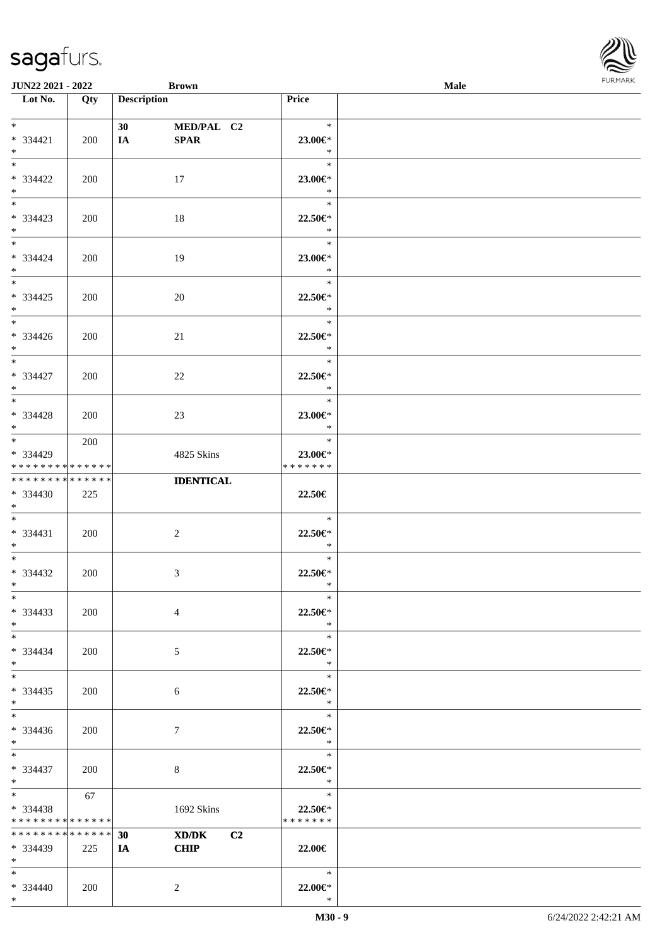| <b>JUN22 2021 - 2022</b>                   |             | <b>Brown</b>                  |                | <b>Male</b> |  |
|--------------------------------------------|-------------|-------------------------------|----------------|-------------|--|
| Lot No.                                    | Qty         | <b>Description</b>            | Price          |             |  |
|                                            |             |                               |                |             |  |
| $*$                                        |             | 30<br>MED/PAL C2              | $\ast$         |             |  |
| * 334421                                   | 200         | <b>SPAR</b><br>IA             | 23.00€*        |             |  |
| $*$                                        |             |                               | $\ast$         |             |  |
| $*$                                        |             |                               | $\ast$         |             |  |
| * 334422                                   | 200         | 17                            | 23.00€*        |             |  |
| $*$                                        |             |                               | $\ast$         |             |  |
|                                            |             |                               | $\ast$         |             |  |
| * 334423                                   | 200         | 18                            | 22.50€*        |             |  |
| $*$                                        |             |                               | $\ast$         |             |  |
| $*$                                        |             |                               | $\ast$         |             |  |
| $* 334424$                                 | 200         | 19                            | 23.00€*        |             |  |
| $*$                                        |             |                               | $\ast$         |             |  |
| $*$                                        |             |                               | $\ast$         |             |  |
| $* 334425$                                 | 200         | 20                            | 22.50€*        |             |  |
| $*$ $*$                                    |             |                               | $\ast$         |             |  |
| $*$                                        |             |                               | $\ast$         |             |  |
| $* 334426$                                 | 200         | 21                            | 22.50€*        |             |  |
| $*$                                        |             |                               | $\ast$         |             |  |
| $*$                                        |             |                               | $\ast$         |             |  |
| * 334427                                   | 200         | 22                            | $22.50 \in$ *  |             |  |
| $*$                                        |             |                               | $\ast$         |             |  |
| $*$                                        |             |                               | $\ast$         |             |  |
| $* 334428$                                 | 200         | 23                            | 23.00€*        |             |  |
| $*$                                        |             |                               | $\ast$         |             |  |
| $*$ $*$                                    | 200         |                               | $\ast$         |             |  |
| * 334429                                   |             | 4825 Skins                    | 23.00€*        |             |  |
| * * * * * * * * <mark>* * * * * * *</mark> |             |                               | * * * * * * *  |             |  |
| * * * * * * * * <mark>* * * * * * *</mark> |             | <b>IDENTICAL</b>              |                |             |  |
| * 334430                                   | 225         |                               | 22.50€         |             |  |
| $*$ $-$                                    |             |                               |                |             |  |
| $*$                                        |             |                               | $\ast$         |             |  |
| $* 334431$                                 | 200         | 2                             | 22.50€*        |             |  |
| $*$                                        |             |                               | $\ast$         |             |  |
| $*$ $-$                                    |             |                               | $\ast$         |             |  |
| * 334432                                   | 200         | 3                             | 22.50€*        |             |  |
| $*$ $-$                                    |             |                               | $\ast$         |             |  |
| $*$                                        |             |                               | $\ast$         |             |  |
| $* 334433$                                 | 200         | $\overline{4}$                | 22.50€*        |             |  |
| $*$                                        |             |                               | $\ast$         |             |  |
| $*$                                        |             |                               | $\ast$         |             |  |
| * 334434                                   | 200         | 5                             | 22.50€*        |             |  |
| $*$ $-$                                    |             |                               | $\ast$         |             |  |
| $*$ $*$                                    |             |                               | $\ast$         |             |  |
| * 334435                                   | 200         | 6                             | 22.50€*        |             |  |
| $*$                                        |             |                               | $\ast$         |             |  |
| $*$ $-$                                    |             |                               | $\ast$         |             |  |
| * 334436                                   | 200         | 7                             | 22.50€*        |             |  |
| $*$                                        |             |                               | $\ast$         |             |  |
| $*$                                        |             |                               | $\ast$         |             |  |
| $* 334437$                                 | 200         | 8                             | 22.50€*        |             |  |
| $*$                                        |             |                               | $\ddot{x}$     |             |  |
| $*$ and $*$                                | 67          |                               | $\mathbb{R}^n$ |             |  |
| * 334438                                   |             | 1692 Skins                    | 22.50€*        |             |  |
| * * * * * * * * <mark>* * * * * *</mark>   |             |                               | * * * * * * *  |             |  |
| * * * * * * * *                            | * * * * * * | XD/DK<br>C <sub>2</sub><br>30 |                |             |  |
| $* 334439$                                 | 225         | <b>CHIP</b><br>IA             | 22.00€         |             |  |
| $*$ $-$                                    |             |                               |                |             |  |
| $*$                                        |             |                               | $\ast$         |             |  |
| $* 334440$                                 | 200         | $\overline{2}$                | 22.00€*        |             |  |
| $*$                                        |             |                               | $\ast$         |             |  |

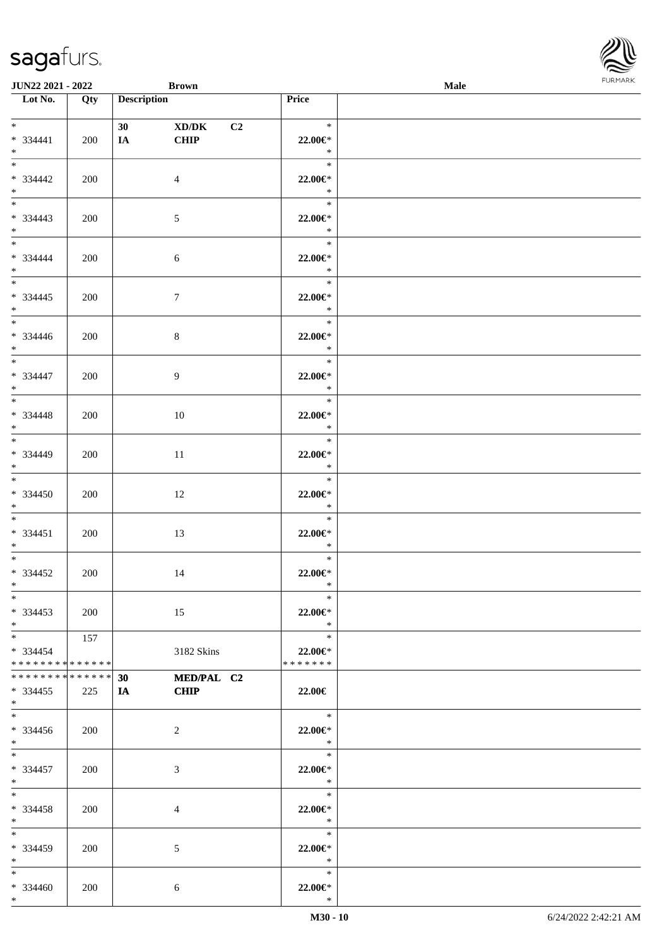| <b>JUN22 2021 - 2022</b>                                                |                    | <b>Brown</b>       |                      |                          |                                                                                                  | Male |  |
|-------------------------------------------------------------------------|--------------------|--------------------|----------------------|--------------------------|--------------------------------------------------------------------------------------------------|------|--|
| Lot No.                                                                 | Qty                | <b>Description</b> |                      | Price                    |                                                                                                  |      |  |
| $*$<br>$* 334441$<br>$*$ and $*$                                        | 200                | 30<br><b>IA</b>    | XD/DK<br><b>CHIP</b> | C2                       | $\star$<br>22.00€*<br>$\mathbb{R}^n$                                                             |      |  |
| $\overline{\mathbf{r}}$<br>* 334442<br>$*$                              | 200                |                    | $\overline{4}$       |                          | $\ast$<br>22.00€*<br>$\ast$                                                                      |      |  |
| $\overline{\ast}$<br>* 334443<br>$\ddot{x}$                             | 200                |                    | 5                    |                          | $\ast$<br>$22.00 \in$ *<br>$\ast$                                                                |      |  |
| $*$<br>* 334444<br>$*$<br>$\overline{\ast}$                             | 200                |                    | 6                    |                          | $\mathbb{R}^2$<br>22.00€*<br>$\ast$                                                              |      |  |
| * 334445<br>$*$ $-$                                                     | 200                |                    | $\tau$               |                          | $\ast$<br>22.00€*<br>$\ast$                                                                      |      |  |
| * 334446<br>$*$<br>$\overline{\mathbf{r}}$                              | 200                |                    | 8                    |                          | $\ast$<br>22.00€*<br>$\ast$                                                                      |      |  |
| * 334447<br>$*$<br>$\overline{\ast}$                                    | 200                |                    | 9                    |                          | $\ast$<br>22.00 $\in$ *<br>$\ast$                                                                |      |  |
| $* 334448$<br>$\ast$                                                    | 200                |                    | 10                   |                          | $\ast$<br>22.00€*<br>$\ast$                                                                      |      |  |
| $\overline{\ast}$<br>* 334449<br>$\ast$                                 | 200                |                    | 11                   |                          | $\ast$<br>22.00€*<br>$\ast$                                                                      |      |  |
| $\overline{\ast}$<br>$* 334450$<br>$*$                                  | 200                |                    | 12                   |                          | $\ast$<br>22.00€*<br>$\ast$                                                                      |      |  |
| $*$ $*$<br>$* 334451$<br>$*$                                            | 200                |                    | 13                   |                          | $\ast$<br>22.00€*<br>$\ast$                                                                      |      |  |
| $\ast$<br>* 334452<br>$*$ $-$                                           | 200                |                    | 14                   |                          | $\ast$<br>22.00€*<br>$\ast$                                                                      |      |  |
| $*$<br>$*334453$<br>$*$ $-$                                             | 200                |                    | 15                   |                          | $*$<br>22.00€*<br>$\ast$                                                                         |      |  |
| $*$ and $*$<br>$* 334454$<br>* * * * * * * * <mark>* * * * * *</mark> * | 157                |                    | 3182 Skins           | 22.00€*<br>* * * * * * * | $\ast$                                                                                           |      |  |
| * * * * * * * *<br>$* 334455$<br>$\ast$                                 | * * * * * *<br>225 | 30<br>IA CHIP      | MED/PAL C2           | 22.00€                   |                                                                                                  |      |  |
| $*$ $-$<br>$*334456$<br>$*$                                             | 200                |                    | 2                    |                          | $\overline{\phantom{a}}$<br>22.00 $\in$ *<br>$\ast$<br>$\begin{array}{c c}\n\hline\n\end{array}$ |      |  |
| $*$ and $*$<br>$* 334457$<br>$*$ $-$                                    | 200                |                    | 3                    |                          | 22.00 $\in$ *<br>$\ast$                                                                          |      |  |
| $*$ $-$<br>* 334458<br>$*$ $-$                                          | 200                |                    | 4                    |                          | $\begin{array}{c}\n\ast \\ \ast\n\end{array}$<br>22.00€*<br>$\ast$                               |      |  |
| $*$ $-$<br>$* 334459$<br>$*$                                            | 200                |                    | 5                    |                          | $\ddot{x}$<br>22.00 $\in$ *<br>$\ast$                                                            |      |  |
| $*$ $-$<br>$* 334460$<br>$*$ $-$                                        | 200                |                    | 6                    |                          | $\ast$<br>22.00 $\in$ *<br>$\ast$                                                                |      |  |

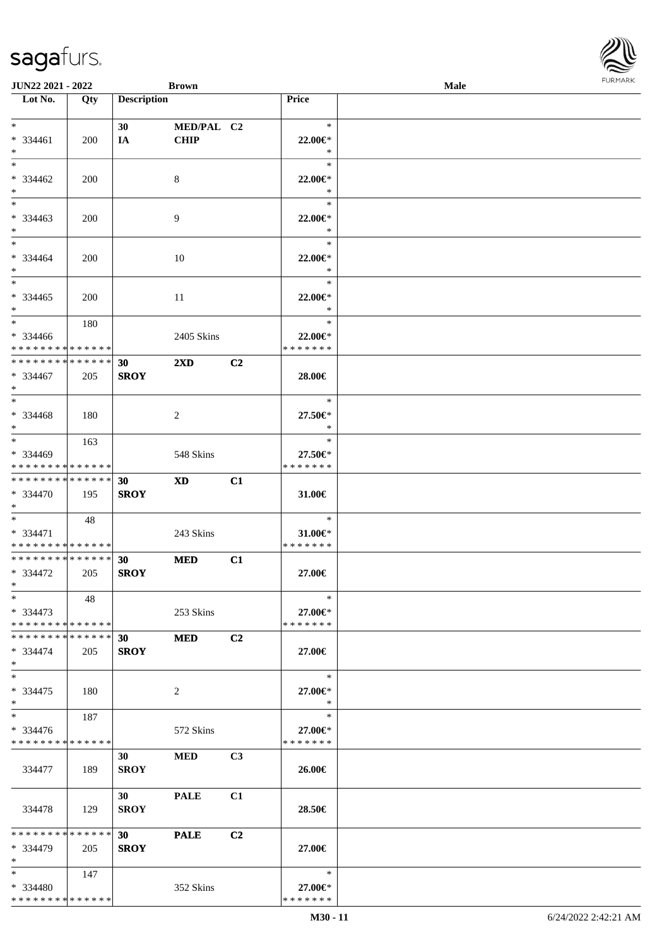| <b>JUN22 2021 - 2022</b>                |            |                    | <b>Brown</b>            |                |                          | Male |  |
|-----------------------------------------|------------|--------------------|-------------------------|----------------|--------------------------|------|--|
| Lot No.                                 | Qty        | <b>Description</b> |                         |                | <b>Price</b>             |      |  |
|                                         |            |                    |                         |                |                          |      |  |
| $*$                                     |            | 30                 | MED/PAL C2              |                | $\ast$                   |      |  |
| * 334461                                | 200        | IA                 | <b>CHIP</b>             |                | $22.00 \in$ *            |      |  |
| $*$                                     |            |                    |                         |                | $\ast$                   |      |  |
| $*$                                     |            |                    |                         |                | $\ast$                   |      |  |
| * 334462                                | 200        |                    | 8                       |                | 22.00€*                  |      |  |
| $*$                                     |            |                    |                         |                | $\ast$                   |      |  |
|                                         |            |                    |                         |                | $\ast$                   |      |  |
| * 334463                                | 200        |                    | 9                       |                | 22.00€*                  |      |  |
| $*$                                     |            |                    |                         |                | $\ast$                   |      |  |
| $*$                                     |            |                    |                         |                | $\ast$                   |      |  |
| * 334464                                | <b>200</b> |                    | 10                      |                | 22.00 $\in$ *            |      |  |
| $*$                                     |            |                    |                         |                | $\ast$                   |      |  |
| $*$                                     |            |                    |                         |                | $\ast$                   |      |  |
| $* 334465$                              | 200        |                    | 11                      |                | 22.00€*                  |      |  |
| $*$                                     |            |                    |                         |                | $\ast$                   |      |  |
| $*$                                     | 180        |                    |                         |                | $\ast$                   |      |  |
| * 334466                                |            |                    | 2405 Skins              |                | 22.00€*                  |      |  |
| * * * * * * * * * * * * * *             |            |                    |                         |                | * * * * * * *            |      |  |
| * * * * * * * * * * * * * *             |            | 30                 | $2\mathbf{X}\mathbf{D}$ | C <sub>2</sub> |                          |      |  |
| * 334467                                | 205        | <b>SROY</b>        |                         |                | 28.00€                   |      |  |
| $*$                                     |            |                    |                         |                |                          |      |  |
| $*$                                     |            |                    |                         |                | $\ast$                   |      |  |
|                                         |            |                    |                         |                |                          |      |  |
| * 334468<br>$*$                         | 180        |                    | 2                       |                | 27.50€*<br>$\ast$        |      |  |
| $*$                                     |            |                    |                         |                | $\ast$                   |      |  |
|                                         | 163        |                    |                         |                |                          |      |  |
| * 334469<br>* * * * * * * * * * * * * * |            |                    | 548 Skins               |                | 27.50€*<br>* * * * * * * |      |  |
|                                         |            |                    |                         |                |                          |      |  |
| * * * * * * * * * * * * * * *           |            | 30                 | <b>XD</b>               | C1             |                          |      |  |
| * 334470                                | 195        | <b>SROY</b>        |                         |                | 31.00€                   |      |  |
| $*$                                     |            |                    |                         |                |                          |      |  |
| $*$                                     | 48         |                    |                         |                | $\ast$                   |      |  |
| * 334471                                |            |                    | 243 Skins               |                | 31.00€*                  |      |  |
| * * * * * * * * * * * * * *             |            |                    |                         |                | * * * * * * *            |      |  |
| * * * * * * * * * * * * * * *           |            | 30                 | <b>MED</b>              | C1             |                          |      |  |
| * 334472                                | 205        | <b>SROY</b>        |                         |                | 27.00€                   |      |  |
| $*$ $*$                                 |            |                    |                         |                |                          |      |  |
| $*$                                     | 48         |                    |                         |                | $\ast$                   |      |  |
| $*334473$                               |            |                    | 253 Skins               |                | 27.00€*                  |      |  |
| * * * * * * * * * * * * * * *           |            |                    |                         |                | * * * * * * *            |      |  |
| * * * * * * * * * * * * * * *           |            | 30                 | <b>MED</b>              | C <sub>2</sub> |                          |      |  |
| $* 334474$                              | 205        | <b>SROY</b>        |                         |                | 27.00€                   |      |  |
| $*$                                     |            |                    |                         |                |                          |      |  |
| $*$                                     |            |                    |                         |                | $\ast$                   |      |  |
| $* 334475$                              | 180        |                    | 2                       |                | 27.00€*                  |      |  |
| $*$                                     |            |                    |                         |                | $\ast$                   |      |  |
| $*$ $*$                                 | 187        |                    |                         |                | $\ast$                   |      |  |
| $* 334476$                              |            |                    | 572 Skins               |                | 27.00€*                  |      |  |
| * * * * * * * * * * * * * *             |            |                    |                         |                | * * * * * * *            |      |  |
|                                         |            | 30 <sup>1</sup>    | <b>MED</b>              | C3             |                          |      |  |
| 334477                                  | 189        | <b>SROY</b>        |                         |                | 26.00€                   |      |  |
|                                         |            |                    |                         |                |                          |      |  |
|                                         |            | 30 <sup>1</sup>    | <b>PALE</b>             | C1             |                          |      |  |
| 334478                                  | 129        | <b>SROY</b>        |                         |                | 28.50€                   |      |  |
|                                         |            |                    |                         |                |                          |      |  |
| * * * * * * * * * * * * * * *           |            | 30                 | <b>PALE</b>             | C <sub>2</sub> |                          |      |  |
| * 334479                                | 205        | <b>SROY</b>        |                         |                | 27.00€                   |      |  |
| $*$                                     |            |                    |                         |                |                          |      |  |
| $*$                                     | 147        |                    |                         |                | $\ast$                   |      |  |
| * 334480                                |            |                    | 352 Skins               |                | 27.00€*                  |      |  |
| * * * * * * * * * * * * * *             |            |                    |                         |                | * * * * * * *            |      |  |

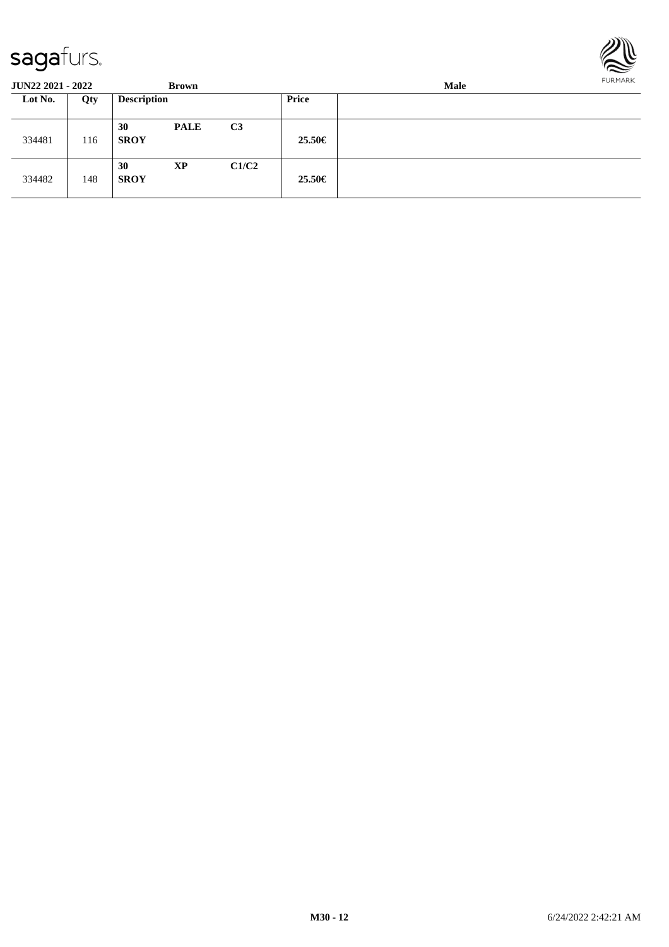

| <b>JUN22 2021 - 2022</b> |     |                    | <b>Brown</b> |                | FURMARK<br>Male |  |  |  |  |
|--------------------------|-----|--------------------|--------------|----------------|-----------------|--|--|--|--|
| Lot No.                  | Qty | <b>Description</b> |              |                | Price           |  |  |  |  |
| 334481                   | 116 | 30<br><b>SROY</b>  | <b>PALE</b>  | C <sub>3</sub> | 25.50€          |  |  |  |  |
| 334482                   | 148 | 30<br><b>SROY</b>  | XP           | C1/C2          | $25.50\in$      |  |  |  |  |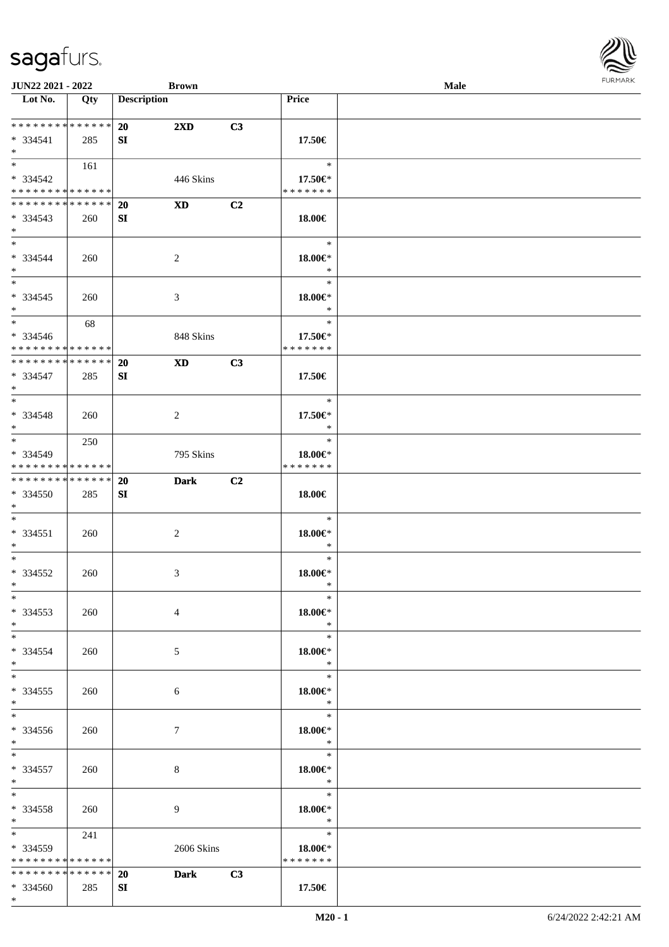\* \*

\* \*

\* \* \*

> \* \* \*

\* \*

\* \* \*

\* \*

\* \* \*

\* \* \*

\* \* \*

\* \* \*

\* \* \*

> \* \* \*

> \* \* \*

> \* \* \*

\* \*

| Lot No.                                                                                  | Qty | <b>Description</b> |                                                                                                                                                                                                                                |                | Price                    |  |
|------------------------------------------------------------------------------------------|-----|--------------------|--------------------------------------------------------------------------------------------------------------------------------------------------------------------------------------------------------------------------------|----------------|--------------------------|--|
| * * * * * * * * * * * * * *                                                              |     | 20                 | $2\mathbf{X}\mathbf{D}$                                                                                                                                                                                                        | C3             |                          |  |
| $* 334541$<br>$*$                                                                        | 285 | SI                 |                                                                                                                                                                                                                                |                | 17.50€                   |  |
|                                                                                          | 161 |                    |                                                                                                                                                                                                                                |                | $\ast$                   |  |
| * 334542<br>* * * * * * * * <mark>* * * * * * *</mark>                                   |     |                    | 446 Skins                                                                                                                                                                                                                      |                | 17.50€*<br>* * * * * * * |  |
| * * * * * * * * <mark>* * * * * * *</mark>                                               |     | <b>20</b>          | XD and the set of the set of the set of the set of the set of the set of the set of the set of the set of the set of the set of the set of the set of the set of the set of the set of the set of the set of the set of the se | C <sub>2</sub> |                          |  |
| $* 334543$<br>$*$                                                                        | 260 | SI                 |                                                                                                                                                                                                                                |                | 18.00€                   |  |
| $\ast$                                                                                   |     |                    |                                                                                                                                                                                                                                |                | $\ast$                   |  |
| * 334544<br>$*$                                                                          | 260 |                    | 2                                                                                                                                                                                                                              |                | 18.00€*<br>$\ast$        |  |
|                                                                                          |     |                    |                                                                                                                                                                                                                                |                | $\ast$                   |  |
| $* 334545$<br>$*$                                                                        | 260 |                    | 3                                                                                                                                                                                                                              |                | 18.00€*<br>$\ast$        |  |
| $*$                                                                                      | 68  |                    |                                                                                                                                                                                                                                |                | $\ast$                   |  |
| * 334546                                                                                 |     |                    | 848 Skins                                                                                                                                                                                                                      |                | 17.50€*                  |  |
| * * * * * * * * <mark>* * * * * * *</mark><br>* * * * * * * * <mark>* * * * * * *</mark> |     | 20                 | <b>XD</b>                                                                                                                                                                                                                      | C3             | * * * * * * *            |  |
| * 334547<br>$*$                                                                          | 285 | SI                 |                                                                                                                                                                                                                                |                | 17.50€                   |  |
| $\overline{\phantom{0}}$                                                                 |     |                    |                                                                                                                                                                                                                                |                | $\ast$                   |  |
| * 334548                                                                                 | 260 |                    | $\overline{2}$                                                                                                                                                                                                                 |                | 17.50€*                  |  |
| $*$<br>$\overline{\ast}$                                                                 | 250 |                    |                                                                                                                                                                                                                                |                | $\ast$<br>$\ast$         |  |
| * 334549                                                                                 |     |                    | 795 Skins                                                                                                                                                                                                                      |                | 18.00€*                  |  |
| * * * * * * * * <mark>* * * * * * *</mark>                                               |     |                    |                                                                                                                                                                                                                                |                | * * * * * * *            |  |
| * * * * * * * * <mark>* * * * * * *</mark>                                               |     | 20                 | <b>Dark</b>                                                                                                                                                                                                                    | C <sub>2</sub> |                          |  |
| * 334550<br>$*$                                                                          | 285 | SI                 |                                                                                                                                                                                                                                |                | 18.00€                   |  |
| $*$                                                                                      |     |                    |                                                                                                                                                                                                                                |                | $\ast$                   |  |
| $* 334551$                                                                               | 260 |                    | $\overline{2}$                                                                                                                                                                                                                 |                | 18.00€*                  |  |
| $\ast$<br>$\ddot{x}$                                                                     |     |                    |                                                                                                                                                                                                                                |                | $\ast$<br>$\ast$         |  |
| $* 334552$                                                                               | 260 |                    | $\mathfrak{Z}$                                                                                                                                                                                                                 |                | $18.00 \in$ *            |  |
| $\ast$                                                                                   |     |                    |                                                                                                                                                                                                                                |                | $\ast$                   |  |
| $\ast$                                                                                   |     |                    |                                                                                                                                                                                                                                |                | $\ast$                   |  |
| * 334553<br>$\ast$                                                                       | 260 |                    | $\overline{4}$                                                                                                                                                                                                                 |                | $18.00 \in$ *<br>$\ast$  |  |
| $\ast$                                                                                   |     |                    |                                                                                                                                                                                                                                |                | $\ast$                   |  |
| * 334554                                                                                 | 260 |                    | 5                                                                                                                                                                                                                              |                | $18.00 \in$              |  |
| $\ast$                                                                                   |     |                    |                                                                                                                                                                                                                                |                | $\ast$                   |  |
| $*$                                                                                      |     |                    |                                                                                                                                                                                                                                |                | $\ast$                   |  |
| * 334555<br>$\ast$                                                                       | 260 |                    | 6                                                                                                                                                                                                                              |                | $18.00 \in$ *<br>$\ast$  |  |
| $\ast$                                                                                   |     |                    |                                                                                                                                                                                                                                |                | $\ast$                   |  |
| * 334556                                                                                 | 260 |                    | $\tau$                                                                                                                                                                                                                         |                | $18.00 \in$ *            |  |
| $*$<br>$*$                                                                               |     |                    |                                                                                                                                                                                                                                |                | $\ast$<br>$\ast$         |  |
| * 334557                                                                                 | 260 |                    | 8                                                                                                                                                                                                                              |                | $18.00 \in$ *            |  |
| $*$                                                                                      |     |                    |                                                                                                                                                                                                                                |                | $\ast$                   |  |
| $*$ $*$                                                                                  |     |                    |                                                                                                                                                                                                                                |                | $\ast$                   |  |
| * 334558<br>$*$ $-$                                                                      | 260 |                    | 9                                                                                                                                                                                                                              |                | 18.00€*<br>$\ast$        |  |
| $*$ and $*$                                                                              | 241 |                    |                                                                                                                                                                                                                                |                | $\ast$                   |  |
| * 334559                                                                                 |     |                    | 2606 Skins                                                                                                                                                                                                                     |                | 18.00€*                  |  |
| * * * * * * * * * * * * * *                                                              |     |                    |                                                                                                                                                                                                                                |                | * * * * * * *            |  |
| * * * * * * * * <mark>* * * * * * *</mark>                                               |     | <b>20</b>          | <b>Dark</b>                                                                                                                                                                                                                    | C3             |                          |  |
| $* 334560$                                                                               | 285 | SI                 |                                                                                                                                                                                                                                |                | 17.50€                   |  |

**JUN22 2021 - 2022 Brown Male**

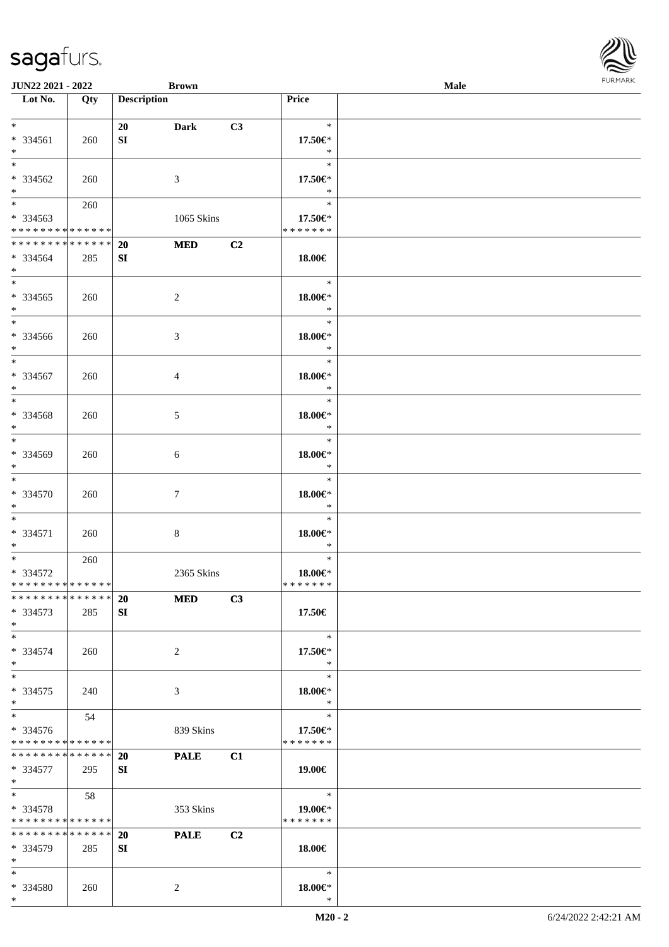| <b>JUN22 2021 - 2022</b>                                                              |            | <b>Brown</b>       |                          |                |                                             | <b>Male</b> |  |
|---------------------------------------------------------------------------------------|------------|--------------------|--------------------------|----------------|---------------------------------------------|-------------|--|
| Lot No.                                                                               | Qty        | <b>Description</b> |                          |                | Price                                       |             |  |
| $*$<br>* 334561<br>$*$                                                                | 260        | 20<br>SI           | <b>Dark</b>              | C3             | $\ast$<br>17.50€*<br>$\ast$                 |             |  |
| * 334562<br>$\ast$                                                                    | 260        |                    | 3                        |                | $\ast$<br>17.50€*<br>$\ast$                 |             |  |
| $\overline{\mathbf{r}}$<br>* 334563<br>* * * * * * * * <mark>* * * * * * *</mark>     | 260        |                    | 1065 Skins               |                | $\ast$<br>17.50€*<br>* * * * * * *          |             |  |
| * * * * * * * * <mark>* * * * * * *</mark><br>* 334564<br>$*$                         | 285        | 20<br>SI           | <b>MED</b>               | C <sub>2</sub> | 18.00€                                      |             |  |
| * 334565<br>$*$<br>$*$                                                                | 260        |                    | $\overline{c}$           |                | $\ast$<br>$18.00 \in$ *<br>$\ast$<br>$\ast$ |             |  |
| * 334566<br>$*$<br>$\overline{\ast}$                                                  | 260        |                    | 3                        |                | $18.00 \in$<br>$\ast$<br>$\ast$             |             |  |
| * 334567<br>$*$                                                                       | 260        |                    | 4                        |                | 18.00€*<br>$\ast$<br>$\ast$                 |             |  |
| * 334568<br>$*$<br>$*$                                                                | 260        |                    | 5                        |                | $18.00 \in$ *<br>$\ast$<br>$\ast$           |             |  |
| * 334569<br>$\ast$<br>$*$                                                             | 260        |                    | 6                        |                | $18.00 \in$ *<br>$\ast$<br>$\ast$           |             |  |
| * 334570<br>$*$<br>$\ast$                                                             | 260        |                    | 7                        |                | $18.00 \in$ *<br>$\ast$<br>$\ast$           |             |  |
| * 334571<br>$*$<br>$\overline{\ast}$                                                  | 260<br>260 |                    | 8                        |                | $18.00 \in$ *<br>$\ast$<br>$\ast$           |             |  |
| * 334572<br>* * * * * * * * * * * * * * *<br>* * * * * * * * <mark>* * * * * *</mark> |            | 20                 | 2365 Skins<br><b>MED</b> | C3             | 18.00€*<br>* * * * * * *                    |             |  |
| * 334573<br>$*$<br>$\ast$                                                             | 285        | SI                 |                          |                | 17.50€<br>$\ast$                            |             |  |
| * 334574<br>$\ast$<br>$*$                                                             | 260        |                    | 2                        |                | 17.50€*<br>$\ast$<br>$\ast$                 |             |  |
| * 334575<br>$*$<br>$\ddot{x}$                                                         | 240        |                    | 3                        |                | 18.00€*<br>$\rightarrow$<br>$\ast$          |             |  |
| * 334576<br>* * * * * * * * <mark>* * * * * *</mark>                                  | 54         |                    | 839 Skins                |                | 17.50€*<br>* * * * * * *                    |             |  |
| * * * * * * * * <mark>* * * * * * *</mark><br>* 334577<br>$*$ $-$<br>$\ddot{x}$       | 295        | <b>20</b><br>SI    | <b>PALE</b>              | C1             | 19.00€                                      |             |  |
| * 334578<br>* * * * * * * * <mark>* * * * * *</mark>                                  | 58         |                    | 353 Skins                |                | $\ast$<br>19.00€*<br>* * * * * * *          |             |  |
| * * * * * * * * <mark>* * * * * * *</mark><br>* 334579<br>$\ast$                      | 285        | 20<br>SI           | <b>PALE</b>              | C <sub>2</sub> | 18.00€                                      |             |  |
| $\ast$<br>* 334580<br>$*$ $-$                                                         | 260        |                    | 2                        |                | $\ast$<br>18.00€*<br>$\ast$                 |             |  |

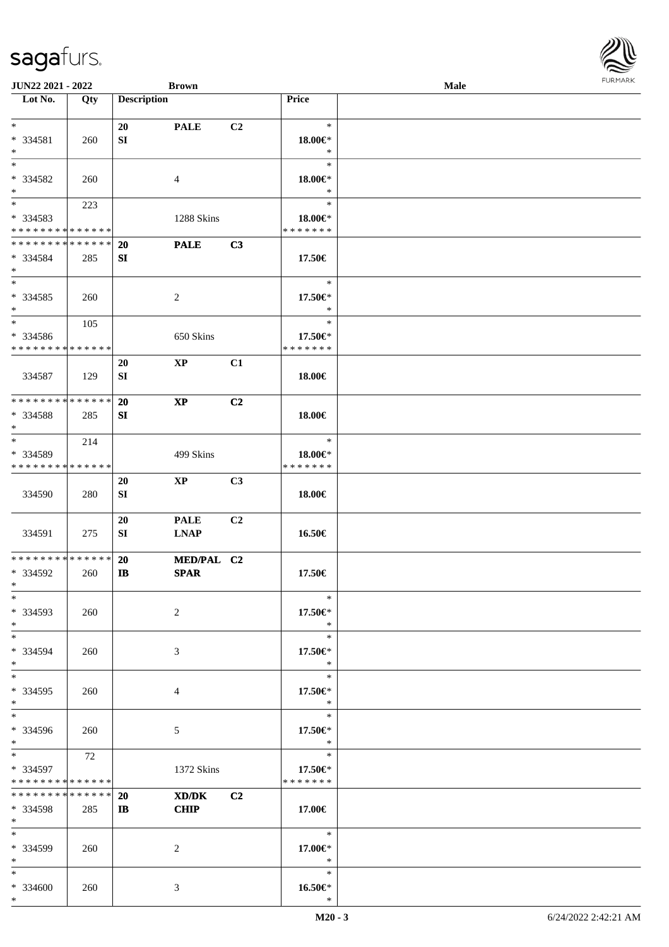| <b>JUN22 2021 - 2022</b>                                          |               |                        | <b>Brown</b>               |                |                                    | <b>Male</b> |  |
|-------------------------------------------------------------------|---------------|------------------------|----------------------------|----------------|------------------------------------|-------------|--|
| Lot No.                                                           | Qty           | <b>Description</b>     |                            |                | Price                              |             |  |
| $*$<br>* 334581<br>$*$                                            | 260           | 20<br>SI               | <b>PALE</b>                | C2             | $\ast$<br>18.00€*<br>$\ast$        |             |  |
| $*$<br>* 334582<br>$*$                                            | 260           |                        | 4                          |                | $\ast$<br>18.00€*<br>$\ast$        |             |  |
| * 334583<br>* * * * * * * * * * * * * *                           | 223           |                        | 1288 Skins                 |                | $\ast$<br>18.00€*<br>* * * * * * * |             |  |
| * * * * * * * * <mark>* * * * * * *</mark><br>* 334584<br>$*$     | 285           | 20<br>SI               | <b>PALE</b>                | C3             | 17.50€                             |             |  |
| $*$<br>* 334585<br>$*$                                            | 260           |                        | 2                          |                | $\ast$<br>17.50€*<br>$\ast$        |             |  |
| $*$<br>* 334586<br>* * * * * * * * <mark>* * * * * *</mark>       | 105           |                        | 650 Skins                  |                | $\ast$<br>17.50€*<br>* * * * * * * |             |  |
| 334587                                                            | 129           | 20<br>SI               | $\mathbf{XP}$              | C1             | 18.00€                             |             |  |
| * * * * * * * * <mark>* * * * * *</mark><br>* 334588<br>$*$       | 285           | 20<br>SI               | $\mathbf{X}\mathbf{P}$     | C2             | 18.00€                             |             |  |
| $*$<br>* 334589<br>* * * * * * * * <mark>* * * * * *</mark>       | 214           |                        | 499 Skins                  |                | $\ast$<br>18.00€*<br>* * * * * * * |             |  |
| 334590                                                            | 280           | 20<br>SI               | $\mathbf{X}\mathbf{P}$     | C3             | 18.00€                             |             |  |
| 334591                                                            | 275           | 20<br>SI               | <b>PALE</b><br><b>LNAP</b> | C2             | 16.50€                             |             |  |
| * * * * * * * * <mark>* * * * * *</mark> *<br>* 334592<br>$*$ $-$ | 260           | <b>20</b><br>IB        | MED/PAL C2<br><b>SPAR</b>  |                | 17.50€                             |             |  |
| $*$<br>* 334593<br>$*$                                            | 260           |                        | 2                          |                | $\ast$<br>17.50€*<br>$\ast$        |             |  |
| $*$<br>* 334594<br>$*$                                            | 260           |                        | 3                          |                | $\ast$<br>17.50€*<br>$\ast$        |             |  |
| $*$ $-$<br>* 334595<br>$*$                                        | 260           |                        | 4                          |                | $\ast$<br>17.50€*<br>$\ast$        |             |  |
| $*$<br>* 334596<br>$*$                                            | 260           |                        | 5                          |                | $\ast$<br>17.50€*<br>$\ast$        |             |  |
| $*$<br>* 334597<br>* * * * * * * * * * * * * *                    | 72            |                        | 1372 Skins                 |                | $\ast$<br>17.50€*<br>* * * * * * * |             |  |
| * * * * * * * *<br>* 334598<br>$*$                                | ******<br>285 | <b>20</b><br>$\bf{IB}$ | XD/DK<br><b>CHIP</b>       | C <sub>2</sub> | 17.00€                             |             |  |
| $*$ $-$<br>* 334599<br>$*$                                        | 260           |                        | 2                          |                | $*$<br>17.00€*<br>$\ast$           |             |  |
| $*$<br>* 334600<br>$*$                                            | 260           |                        | 3                          |                | $\ast$<br>$16.50 \in$<br>$\ast$    |             |  |

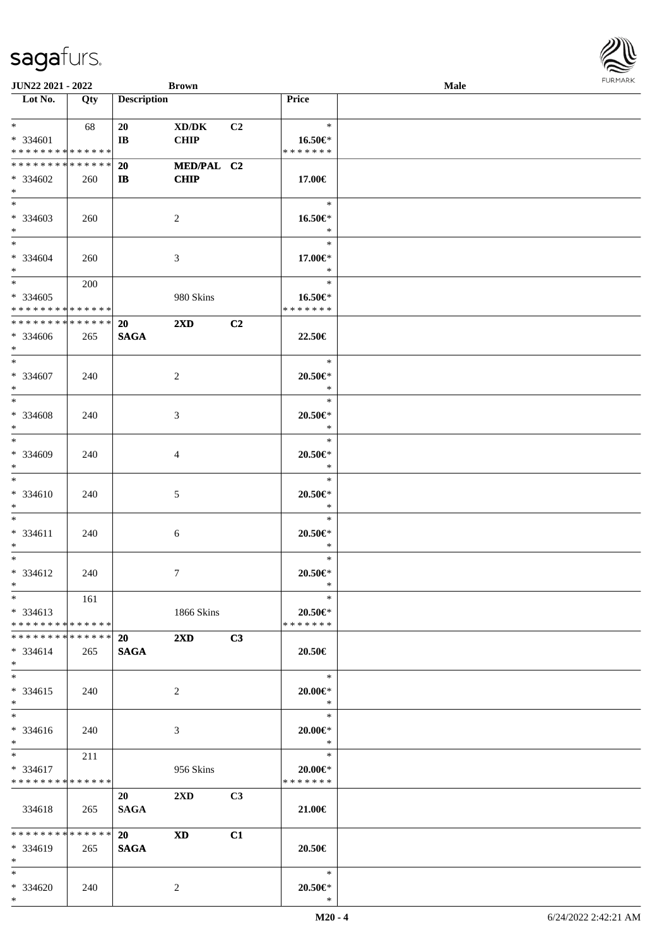| <b>JUN22 2021 - 2022</b>                                      |     |                             | <b>Brown</b>              |                |                                             | Male | $1 \times 1 \times 1 \times 1 \times 1$ |
|---------------------------------------------------------------|-----|-----------------------------|---------------------------|----------------|---------------------------------------------|------|-----------------------------------------|
| Lot No.                                                       | Qty | <b>Description</b>          |                           |                | Price                                       |      |                                         |
| $*$ $*$<br>* 334601                                           | 68  | 20<br>$\mathbf{I}$ <b>B</b> | XD/DK<br><b>CHIP</b>      | C <sub>2</sub> | $\ast$<br>16.50€*                           |      |                                         |
| * * * * * * * * * * * * * *                                   |     |                             |                           |                | * * * * * * *                               |      |                                         |
| * * * * * * * * <mark>* * * * * * *</mark><br>* 334602<br>$*$ | 260 | 20<br>$\bf{IB}$             | MED/PAL C2<br><b>CHIP</b> |                | 17.00€                                      |      |                                         |
| $*$<br>* 334603<br>$*$                                        | 260 |                             | 2                         |                | $\ast$<br>16.50€*<br>$\ast$                 |      |                                         |
| $\overline{\mathbf{r}}$<br>* 334604<br>$*$                    | 260 |                             | 3                         |                | $\ast$<br>17.00€*<br>$\ast$                 |      |                                         |
| $* 334605$<br>* * * * * * * * * * * * * *                     | 200 |                             | 980 Skins                 |                | $\ast$<br>16.50€*<br>* * * * * * *          |      |                                         |
| * * * * * * * * <mark>* * * * * * *</mark><br>* 334606<br>$*$ | 265 | 20<br><b>SAGA</b>           | $2\mathbf{X}\mathbf{D}$   | C2             | 22.50€                                      |      |                                         |
| $*$<br>* 334607<br>$*$                                        | 240 |                             | 2                         |                | $\ast$<br>20.50€*<br>$\ast$                 |      |                                         |
| $*$<br>* 334608<br>$*$                                        | 240 |                             | 3                         |                | $\ast$<br>$20.50 \in$<br>$\ast$             |      |                                         |
| $*$<br>* 334609<br>$*$                                        | 240 |                             | 4                         |                | $\ast$<br>$20.50 \in$ *<br>$\ast$           |      |                                         |
| $*$<br>* 334610<br>$\ast$<br>$*$                              | 240 |                             | 5                         |                | $\ast$<br>$20.50 \in$ *<br>$\ast$           |      |                                         |
| * 334611<br>$*$<br>$*$                                        | 240 |                             | 6                         |                | $\ast$<br>$20.50 \in$ *<br>$\ast$<br>$\ast$ |      |                                         |
| * 334612<br>$*$ $-$<br>$*$                                    | 240 |                             | 7                         |                | $20.50 \in$ *<br>$\ast$<br>$\ast$           |      |                                         |
| * 334613<br>* * * * * * * * * * * * * * <mark>*</mark>        | 161 |                             | 1866 Skins                |                | 20.50€*<br>* * * * * * *                    |      |                                         |
| * * * * * * * * * * * * * * *<br>$* 334614$<br>$*$            | 265 | <b>20</b><br><b>SAGA</b>    | $2\mathbf{X}\mathbf{D}$   | C3             | 20.50€                                      |      |                                         |
| $*$<br>$* 334615$<br>$*$                                      | 240 |                             | 2                         |                | $\ast$<br>$20.00 \in$ *<br>$*$              |      |                                         |
| $*$<br>* 334616<br>$*$                                        | 240 |                             | 3                         |                | $\ast$<br>$20.00 \in$ *<br>$\ast$           |      |                                         |
| $*$ $-$<br>$* 334617$<br>* * * * * * * * * * * * * *          | 211 |                             | 956 Skins                 |                | $\ast$<br>$20.00 \in$ *<br>* * * * * * *    |      |                                         |
| 334618                                                        | 265 | 20<br><b>SAGA</b>           | $2\mathbf{X}\mathbf{D}$   | C <sub>3</sub> | 21.00€                                      |      |                                         |
| ******** <mark>******</mark><br>$* 334619$<br>$*$ $-$         | 265 | 20<br><b>SAGA</b>           | <b>XD</b>                 | C1             | 20.50€                                      |      |                                         |
| $*$ $-$<br>* 334620<br>$*$                                    | 240 |                             | 2                         |                | $\ast$<br>$20.50 \in$ *<br>$\ast$           |      |                                         |

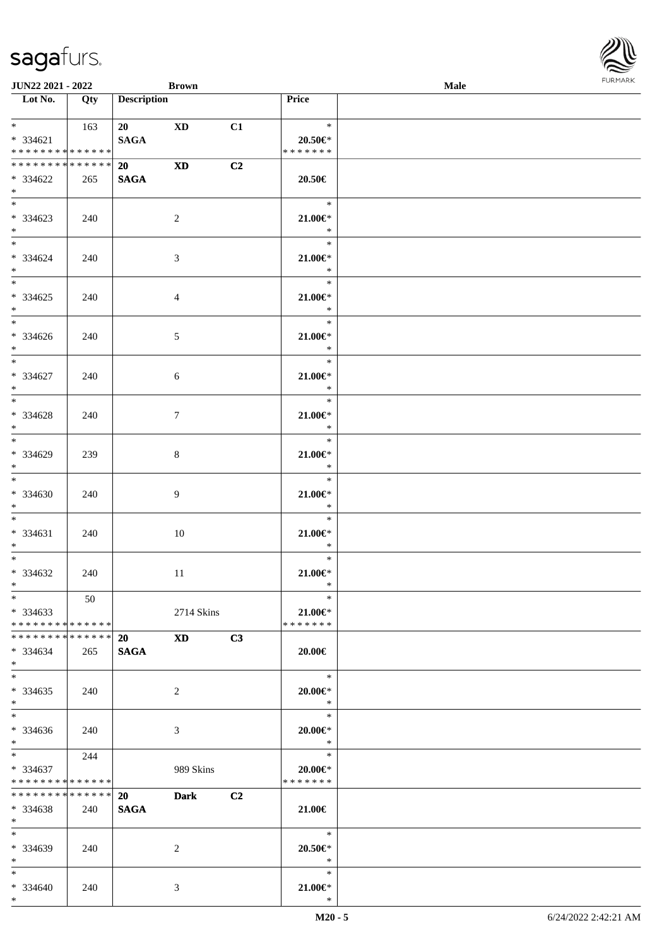| <b>JUN22 2021 - 2022</b>                                           |                      | <b>Brown</b>             |                                                                                                                                                                                                                                |                |                                        | <b>Male</b> |  |
|--------------------------------------------------------------------|----------------------|--------------------------|--------------------------------------------------------------------------------------------------------------------------------------------------------------------------------------------------------------------------------|----------------|----------------------------------------|-------------|--|
| Lot No.                                                            | Qty                  | <b>Description</b>       |                                                                                                                                                                                                                                |                | Price                                  |             |  |
| $\ast$<br>$* 334621$<br>* * * * * * * * * * * * * * *              | 163                  | 20 XD<br><b>SAGA</b>     |                                                                                                                                                                                                                                | C1             | $\ast$<br>$20.50 \in$<br>* * * * * * * |             |  |
| * * * * * * * * * * * * * * *<br>* 334622<br>$*$                   | 265                  | 20<br><b>SAGA</b>        | <b>XD</b>                                                                                                                                                                                                                      | C <sub>2</sub> | 20.50€                                 |             |  |
| $\overline{\ast}$<br>* 334623<br>$\ddot{x}$                        | 240                  |                          | 2                                                                                                                                                                                                                              |                | $\ast$<br>$21.00 \in$<br>$\ast$        |             |  |
| $*$<br>* 334624<br>$*$                                             | 240                  |                          | $\mathfrak{Z}$                                                                                                                                                                                                                 |                | $\ast$<br>$21.00 \in$ *<br>$\ast$      |             |  |
| * 334625<br>$*$                                                    | 240                  |                          | $\overline{4}$                                                                                                                                                                                                                 |                | $\ast$<br>$21.00 \in$<br>$\ast$        |             |  |
| $\overline{\ast}$<br>* 334626<br>$*$                               | 240                  |                          | 5                                                                                                                                                                                                                              |                | $\ast$<br>$21.00 \in$ *<br>$*$         |             |  |
| $\overline{\phantom{0}}$<br>$* 334627$<br>$\ast$                   | 240                  |                          | 6                                                                                                                                                                                                                              |                | $\ast$<br>$21.00 \in$ *<br>$*$         |             |  |
| $\overline{\ast}$<br>* 334628<br>$*$                               | 240                  |                          | $\tau$                                                                                                                                                                                                                         |                | $\ast$<br>$21.00 \in$<br>$\ast$        |             |  |
| $*$<br>* 334629<br>$\ddot{x}$                                      | 239                  |                          | 8                                                                                                                                                                                                                              |                | $\ast$<br>$21.00 \in$<br>$\ast$        |             |  |
| $*$<br>* 334630<br>$*$                                             | 240                  |                          | 9                                                                                                                                                                                                                              |                | $\ast$<br>$21.00 \in$ *<br>$*$         |             |  |
| $*$ $*$<br>$* 334631$<br>$*$                                       | 240                  |                          | 10                                                                                                                                                                                                                             |                | $\ast$<br>$21.00 \in$ *<br>$\ast$      |             |  |
| $*$ $-$<br>* 334632<br>$*$ $-$                                     | 240                  |                          | 11                                                                                                                                                                                                                             |                | $\ast$<br>$21.00 \in$ *<br>$\ast$      |             |  |
| $*$<br>$*334633$<br>* * * * * * * * <mark>* * * * * *</mark> *     | 50                   |                          | 2714 Skins                                                                                                                                                                                                                     |                | $\ast$<br>$21.00 \in$<br>* * * * * * * |             |  |
| * * * * * * * * <mark>* * * * * * *</mark><br>$* 334634$<br>$\ast$ | 265                  | 20<br><b>SAGA</b>        | XD and the set of the set of the set of the set of the set of the set of the set of the set of the set of the set of the set of the set of the set of the set of the set of the set of the set of the set of the set of the se | C3             | $20.00 \in$                            |             |  |
| $\ddot{x}$<br>$* 334635$<br>$\ast$                                 | 240                  |                          | 2                                                                                                                                                                                                                              |                | $*$<br>$20.00 \in$ *<br>$\ast$         |             |  |
| $\ddot{x}$<br>$* 334636$<br>$*$                                    | 240                  |                          | 3                                                                                                                                                                                                                              |                | $\ast$<br>$20.00 \in$ *<br>$\ast$      |             |  |
| $*$ $*$<br>$* 334637$<br>* * * * * * * * <mark>* * * * * *</mark>  | 244                  |                          | 989 Skins                                                                                                                                                                                                                      |                | $\ast$<br>20.00€*<br>* * * * * * *     |             |  |
| * * * * * * * *<br>* 334638<br>$\ast$                              | * * * * * *  <br>240 | <b>20</b><br><b>SAGA</b> | <b>Dark</b>                                                                                                                                                                                                                    | C <sub>2</sub> | 21.00€                                 |             |  |
| $*$ $-$<br>* 334639<br>$*$ $*$                                     | 240                  |                          | 2                                                                                                                                                                                                                              |                | $\ast$<br>$20.50 \in$ *<br>$\ast$      |             |  |
| $*$ $-$<br>* 334640<br>$\ast$                                      | 240                  |                          | 3                                                                                                                                                                                                                              |                | $\ast$<br>21.00€*<br>$\ast$            |             |  |

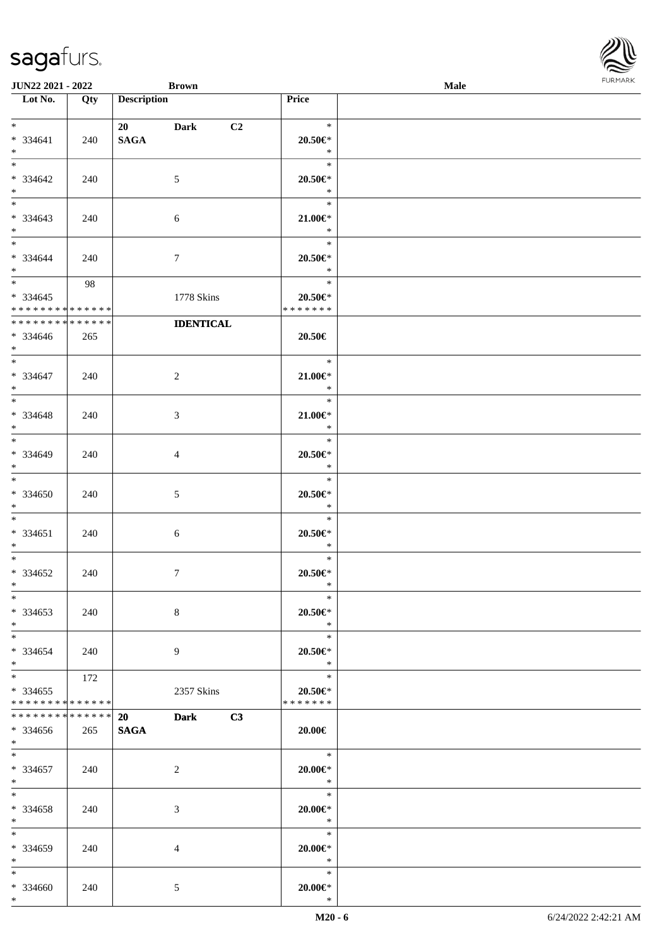| <b>JUN22 2021 - 2022</b>                                                          |             | <b>Brown</b>       |                  |                                                     | Male |  |
|-----------------------------------------------------------------------------------|-------------|--------------------|------------------|-----------------------------------------------------|------|--|
| Lot No.                                                                           | Qty         | <b>Description</b> |                  | Price                                               |      |  |
| $*$                                                                               |             | 20 Dark            | C <sub>2</sub>   | $\ast$                                              |      |  |
| $* 334641$<br>$*$<br>$\overline{\ast}$                                            | 240         | <b>SAGA</b>        |                  | $20.50 \in$ *<br>$\ast$<br>$\ast$                   |      |  |
| $* 334642$<br>$*$                                                                 | 240         | 5                  |                  | $20.50 \in$ *<br>$\ast$                             |      |  |
| * 334643<br>$\ast$                                                                | 240         | 6                  |                  | $\ast$<br>$21.00 \in$<br>$\ast$                     |      |  |
| $*$<br>* 334644<br>$*$                                                            | 240         | $\tau$             |                  | $\ast$<br>$20.50 \in$ *<br>$\ast$                   |      |  |
| $\overline{\mathbf{r}}$<br>$* 334645$<br>* * * * * * * * <mark>* * * * * *</mark> | 98          | 1778 Skins         |                  | $\ast$<br>$20.50 \in$ *<br>* * * * * * *            |      |  |
| * * * * * * * *                                                                   | * * * * * * |                    | <b>IDENTICAL</b> |                                                     |      |  |
| * 334646<br>$\ast$                                                                | 265         |                    |                  | 20.50€                                              |      |  |
| $*$<br>$* 334647$<br>$*$                                                          | 240         | 2                  |                  | $\ast$<br>$21.00 \in$<br>$\ast$                     |      |  |
| $\overline{\ast}$<br>* 334648<br>$*$                                              | 240         | 3                  |                  | $\ast$<br>$21.00 \in$<br>$\ast$                     |      |  |
| $*$<br>* 334649<br>$\ast$                                                         | 240         | 4                  |                  | $\ast$<br>$20.50 \in$ *<br>$\ast$                   |      |  |
| $\ddot{x}$<br>$* 334650$<br>$*$                                                   | 240         | 5                  |                  | $\ast$<br>$20.50 \in$ *<br>$\ast$                   |      |  |
| $\ddot{x}$<br>$* 334651$<br>$*$ $-$                                               | 240         | $\sqrt{6}$         |                  | $\ast$<br>$20.50 \in$ *<br>$\ast$                   |      |  |
| $\ast$<br>* 334652<br>$*$ $-$                                                     | 240         | $\overline{7}$     |                  | $\ast$<br>$20.50 \in$ *<br>$\ast$                   |      |  |
| $\ast$<br>* 334653<br>$*$                                                         | 240         | $8\,$              |                  | $\ast$<br>$20.50 \in$ *<br>$*$                      |      |  |
| $*$ $-$<br>$*334654$<br>$*$                                                       | 240         | 9                  |                  | $\ast$<br>$20.50 \in$ *<br>$*$                      |      |  |
| $\ddot{x}$<br>* 334655<br>* * * * * * * * <mark>* * * * * *</mark>                | 172         | 2357 Skins         |                  | $\ast$<br>$20.50 \in$ *<br>* * * * * * *            |      |  |
| * * * * * * * *                                                                   | * * * * * * | <b>20</b>          | Dark C3          |                                                     |      |  |
| * 334656<br>$*$                                                                   | 265         | <b>SAGA</b>        |                  | 20.00€                                              |      |  |
| $*$ $-$<br>$* 334657$<br>$*$ $-$                                                  | 240         | 2                  |                  | $\overline{\phantom{a}}$<br>$20.00 \in$ *<br>$\ast$ |      |  |
| $*$ $*$<br>* 334658<br>$*$                                                        | 240         | 3                  |                  | $\ast$<br>$20.00 \in$ *<br>$\ast$                   |      |  |
| $\ast$<br>* 334659<br>$*$ $-$                                                     | 240         | 4                  |                  | $\ast$<br>$20.00 \in$ *<br>$\ast$                   |      |  |
| $\ddot{x}$<br>* 334660<br>$*$                                                     | 240         | 5                  |                  | $\ast$<br>$20.00 \in$ *<br>$\ast$                   |      |  |

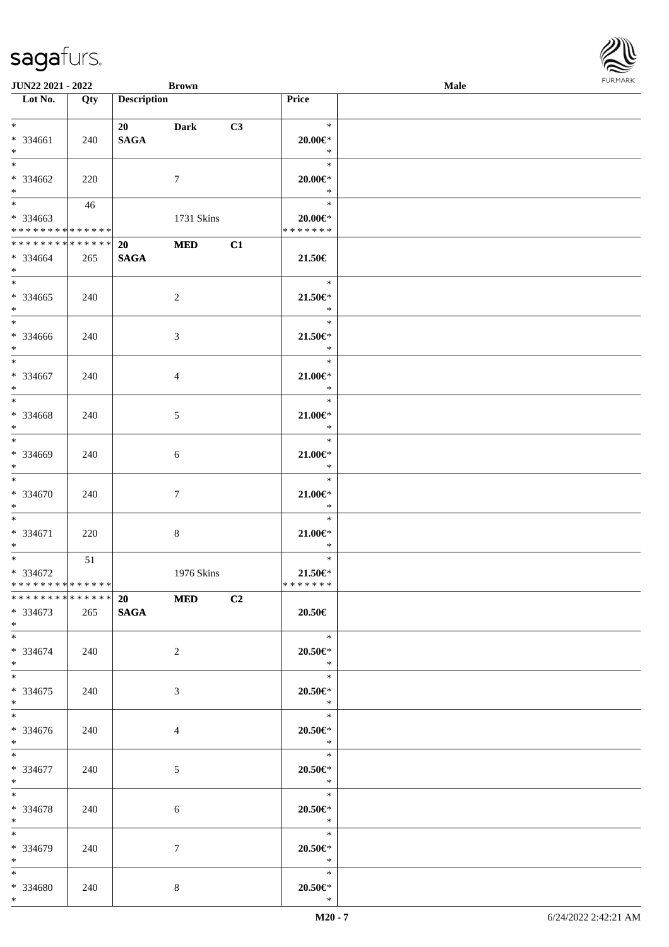| <b>JUN22 2021 - 2022</b>                                                          |     | <b>Brown</b>            |                |    |                                                     | Male |  |
|-----------------------------------------------------------------------------------|-----|-------------------------|----------------|----|-----------------------------------------------------|------|--|
| Lot No.                                                                           | Qty | <b>Description</b>      |                |    | Price                                               |      |  |
| $*$<br>* 334661<br>$\ddot{x}$                                                     | 240 | 20 Dark<br><b>SAGA</b>  |                | C3 | $\ast$<br>$20.00 \in$ *<br>$\ast$                   |      |  |
| $*$<br>* 334662<br>$\ast$                                                         | 220 |                         | $\tau$         |    | $\ast$<br>$20.00 \in$ *<br>$\ast$                   |      |  |
| $\overline{\mathbf{r}}$<br>* 334663<br>* * * * * * * * <mark>* * * * * * *</mark> | 46  |                         | 1731 Skins     |    | $\ast$<br>$20.00 \in$ *<br>* * * * * * *            |      |  |
| * * * * * * * * * * * * * *<br>* 334664<br>$*$                                    | 265 | 20<br><b>SAGA</b>       | <b>MED</b>     | C1 | 21.50€                                              |      |  |
| $\overline{\ast}$<br>* 334665<br>$*$<br>$*$                                       | 240 |                         | $\overline{2}$ |    | $\ast$<br>$21.50 \in$<br>$\ast$                     |      |  |
| * 334666<br>$*$                                                                   | 240 |                         | 3              |    | $\ast$<br>$21.50 \in$<br>$\ast$                     |      |  |
| $\overline{\ast}$<br>* 334667<br>$*$                                              | 240 |                         | 4              |    | $\ast$<br>$21.00 \in$ *<br>$\ast$                   |      |  |
| * 334668<br>$*$                                                                   | 240 |                         | $\mathfrak{S}$ |    | $\ast$<br>$21.00 \in$<br>$\ast$                     |      |  |
| $*$<br>* 334669<br>$\ast$                                                         | 240 |                         | 6              |    | $\ast$<br>$21.00 \in$<br>$\ast$                     |      |  |
| $*$<br>* 334670<br>$*$                                                            | 240 |                         | $\tau$         |    | $\ast$<br>$21.00 \in$ *<br>$\ast$                   |      |  |
| $*$<br>* 334671<br>$*$                                                            | 220 |                         | 8              |    | $\ast$<br>$21.00 \in$<br>$\ast$                     |      |  |
| $\ast$<br>* 334672<br>* * * * * * * * <mark>* * * * * *</mark>                    | 51  |                         | 1976 Skins     |    | $\ast$<br>$21.50 \in$<br>* * * * * * *              |      |  |
| ******** <mark>******</mark><br>$*334673$<br>$*$                                  | 265 | $20$ MED<br><b>SAGA</b> |                | C2 | 20.50€                                              |      |  |
| $*$ $-$<br>* 334674<br>$*$                                                        | 240 |                         | $\overline{2}$ |    | $\ddot{x}$<br>$20.50 \in$ *<br>$\ast$               |      |  |
| $\ddot{x}$<br>* 334675<br>$\ast$                                                  | 240 |                         | 3              |    | $\ast$<br>$20.50 \in$<br>$\mathbb{R}$               |      |  |
| $\overline{\mathbf{r}}$<br>$* 334676$<br>$*$                                      | 240 |                         | $\overline{4}$ |    | $20.50 \in$<br>$\ddot{x}$                           |      |  |
| $\ast$<br>* 334677<br>$*$                                                         | 240 |                         | 5              |    | $20.50 \in$ *<br>$\ast$                             |      |  |
| $*$ and $*$<br>* 334678<br>$*$ $-$                                                | 240 |                         | 6              |    | $\ddot{x}$<br>$20.50 \in$<br>$\ast$                 |      |  |
| $*$ $*$<br>* 334679<br>$*$ and $*$                                                | 240 |                         | 7              |    | $\overline{\phantom{a}}$<br>$20.50 \in$ *<br>$\ast$ |      |  |
| $*$<br>* 334680<br>$\ddot{x}$                                                     | 240 |                         | 8              |    | $\ast$<br>$20.50 \in$<br>$\ast$                     |      |  |

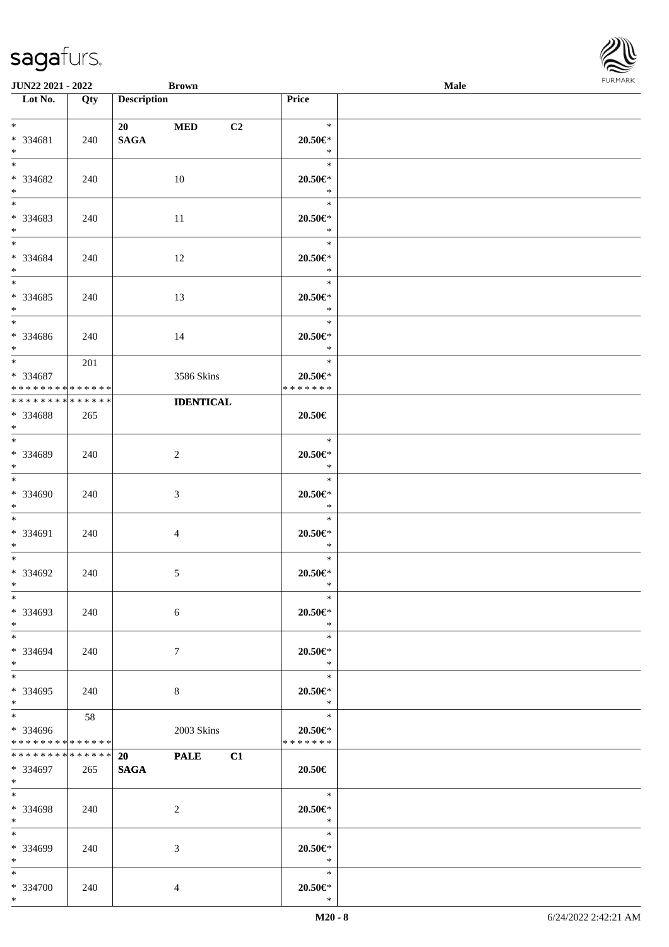| <b>JUN22 2021 - 2022</b>                                           |                    | <b>Brown</b>                            |                                                   | Male |  |
|--------------------------------------------------------------------|--------------------|-----------------------------------------|---------------------------------------------------|------|--|
| Lot No.                                                            | Qty                | <b>Description</b>                      | Price                                             |      |  |
| $*$ $*$<br>* 334681<br>$\ast$                                      | 240                | 20 MED<br>C <sub>2</sub><br><b>SAGA</b> | $\ast$<br>20.50€*<br>$\ast$                       |      |  |
| $*$<br>* 334682<br>$*$                                             | 240                | 10                                      | $\ast$<br>$20.50 \in$ *<br>$\ast$                 |      |  |
| $\overline{\mathbf{r}}$<br>* 334683<br>$\ddot{x}$                  | 240                | -11                                     | $\ast$<br>$20.50 \in$<br>$\ast$                   |      |  |
| $*$<br>* 334684<br>$*$                                             | 240                | 12                                      | $\ast$<br>$20.50 \in$<br>$\ast$                   |      |  |
| $*$<br>* 334685<br>$*$                                             | 240                | 13                                      | $\ast$<br>$20.50 \in$<br>$\ast$                   |      |  |
| $\overline{\phantom{0}}$<br>* 334686<br>$\ast$                     | 240                | 14                                      | $\ast$<br>$20.50 \in$ *<br>$*$                    |      |  |
| $*$<br>* 334687<br>* * * * * * * * <mark>* * * * * *</mark>        | 201                | 3586 Skins                              | $\ast$<br>$20.50 \in$ *<br>* * * * * * *          |      |  |
| * * * * * * * *<br>* 334688<br>$*$                                 | * * * * * *<br>265 | <b>IDENTICAL</b>                        | 20.50€                                            |      |  |
| $*$<br>* 334689<br>$*$                                             | 240                | $\overline{2}$                          | $\ast$<br>$20.50 \in$<br>$\ast$                   |      |  |
| $*$<br>* 334690<br>$*$                                             | 240                | 3                                       | $\ast$<br>$20.50 \in$ *<br>$\ast$                 |      |  |
| $\ddot{x}$<br>* 334691<br>$*$ $-$                                  | 240                | 4                                       | $\ast$<br>$20.50 \in$<br>$\ast$                   |      |  |
| $*$ $-$<br>* 334692<br>$*$ $-$                                     | 240                | $\sqrt{5}$                              | $\ast$<br>$20.50 \in$<br>$\ast$                   |      |  |
| $\ast$<br>* 334693<br>$*$                                          | 240                | 6                                       | $*$<br>20.50€*<br>$\ast$                          |      |  |
| $*$ $-$<br>* 334694<br>$\ast$                                      | 240                | $7\phantom{.0}$                         | $\ast$<br>$20.50 \in$<br>$*$                      |      |  |
| $\ast$<br>$* 334695$<br>$\ddot{x}$                                 | 240                | 8                                       | $\ast$<br>$20.50 \in$<br>$\mathbb{R}^n$           |      |  |
| $\ddot{x}$<br>* 334696<br>* * * * * * * * <mark>* * * * * *</mark> | 58                 | 2003 Skins                              | 20.50€*<br>* * * * * * *                          |      |  |
| * * * * * * * * * * * * * * <mark>*</mark><br>* 334697<br>$*$ $-$  | 265                | 20 PALE C1<br><b>SAGA</b>               | 20.50€                                            |      |  |
| $*$ $-$<br>* 334698<br>$*$                                         | 240                | 2                                       | $\overline{\phantom{a}}$<br>$20.50 \in$<br>$\ast$ |      |  |
| $*$ $*$<br>* 334699<br>$*$ $-$                                     | 240                | 3                                       | $\ast$<br>$20.50 \in$ *<br>$\ast$                 |      |  |
| $*$ $*$<br>* 334700<br>$*$                                         | 240                | 4                                       | $\ast$<br>$20.50 \in$<br>$\ast$                   |      |  |

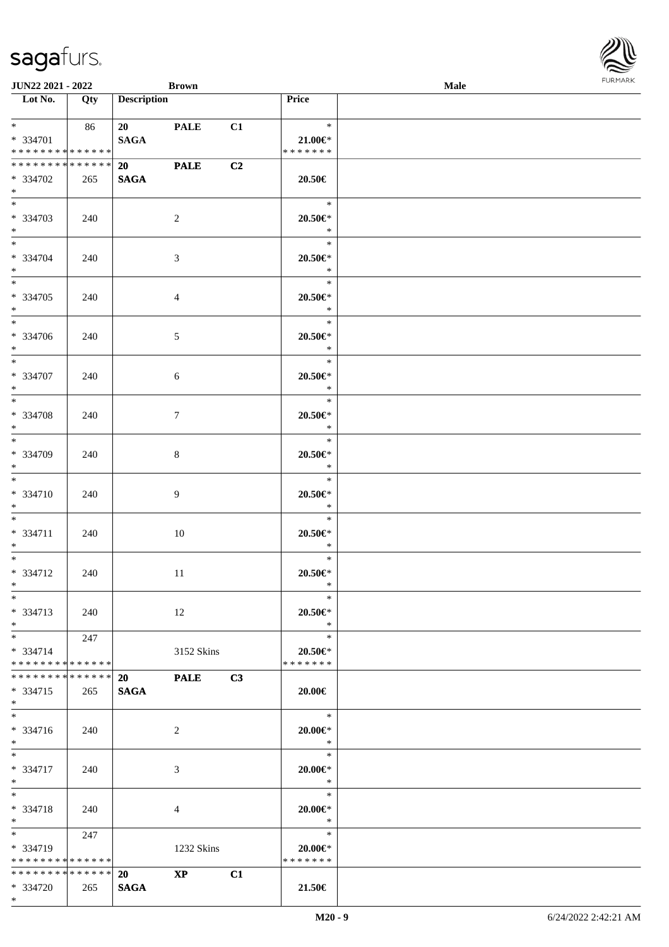| <b>JUN22 2021 - 2022</b>                                                          |     | <b>Brown</b>             |                        |    |                                          | Male |  |
|-----------------------------------------------------------------------------------|-----|--------------------------|------------------------|----|------------------------------------------|------|--|
| Lot No.                                                                           | Qty | <b>Description</b>       |                        |    | Price                                    |      |  |
| $\ddot{x}$<br>* 334701<br>* * * * * * * * <mark>* * * * * *</mark>                | 86  | 20 PALE<br><b>SAGA</b>   |                        | C1 | $\star$<br>$21.00 \in$<br>* * * * * * *  |      |  |
| * * * * * * * * <mark>* * * * * *</mark><br>* 334702<br>$*$                       | 265 | 20 PALE<br><b>SAGA</b>   |                        | C2 | 20.50€                                   |      |  |
| $\overline{\mathbf{r}}$<br>* 334703<br>$\ddot{x}$                                 | 240 |                          | 2                      |    | $\ast$<br>$20.50 \in$ *<br>$\ast$        |      |  |
| $\ddot{x}$<br>* 334704<br>$*$                                                     | 240 |                          | $\mathfrak{Z}$         |    | $\ast$<br>$20.50 \in$ *<br>$\ast$        |      |  |
| * 334705<br>$*$                                                                   | 240 |                          | $\overline{4}$         |    | $\ast$<br>$20.50 \in$ *<br>$*$           |      |  |
| * 334706<br>$\ast$                                                                | 240 |                          | 5                      |    | $\ast$<br>$20.50 \in$ *<br>$*$           |      |  |
| $*$<br>* 334707<br>$*$                                                            | 240 |                          | 6                      |    | $\ast$<br>20.50€*<br>$\ast$              |      |  |
| * 334708<br>$*$                                                                   | 240 |                          | $\tau$                 |    | $\ast$<br>$20.50 \in$ *<br>$\ast$        |      |  |
| $*$<br>* 334709<br>$\ast$                                                         | 240 |                          | 8                      |    | $\ast$<br>$20.50 \in$ *<br>$\ast$        |      |  |
| $\ast$<br>* 334710<br>$*$                                                         | 240 |                          | 9                      |    | $\ast$<br>$20.50 \in$ *<br>$\ast$        |      |  |
| $\ddot{x}$<br>* 334711<br>$*$                                                     | 240 |                          | 10                     |    | $\ast$<br>$20.50 \in$ *<br>$\ast$        |      |  |
| $*$ $-$<br>* 334712<br>$*$ $-$                                                    | 240 |                          | 11                     |    | $\ast$<br>$20.50 \in$ *<br>$\ast$        |      |  |
| $\ast$<br>$* 334713$<br>$*$                                                       | 240 |                          | 12                     |    | $\ast$<br>$20.50 \in$ *<br>$\ast$        |      |  |
| $*$ $-$<br>$* 334714$<br>* * * * * * * * <mark>* * * * * *</mark>                 | 247 |                          | 3152 Skins             |    | $\ast$<br>$20.50 \in$ *<br>* * * * * * * |      |  |
| * * * * * * * * * * * * * * <mark>*</mark><br>* 334715<br>$*$                     | 265 | <b>20</b><br><b>SAGA</b> | <b>PALE</b>            | C3 | $20.00 \in$                              |      |  |
| $\overline{\cdot}$<br>$* 334716$<br>$*$                                           | 240 |                          | 2                      |    | $\ast$<br>$20.00 \in$ *<br>$\ast$        |      |  |
| $*$ $*$<br>* 334717<br>$*$                                                        | 240 |                          | 3                      |    | $\ast$<br>$20.00 \in$ *<br>$\ast$        |      |  |
| $\ast$<br>* 334718<br>$*$                                                         | 240 |                          | 4                      |    | $\ast$<br>$20.00 \in$ *<br>$\ast$        |      |  |
| $\overline{\mathbf{r}}$<br>* 334719<br>* * * * * * * * <mark>* * * * * *</mark> * | 247 |                          | 1232 Skins             |    | $\ast$<br>$20.00 \in$ *<br>* * * * * * * |      |  |
| * * * * * * * * <mark>* * * * * *</mark> *<br>* 334720                            | 265 | 20<br><b>SAGA</b>        | $\mathbf{X}\mathbf{P}$ | C1 | 21.50€                                   |      |  |

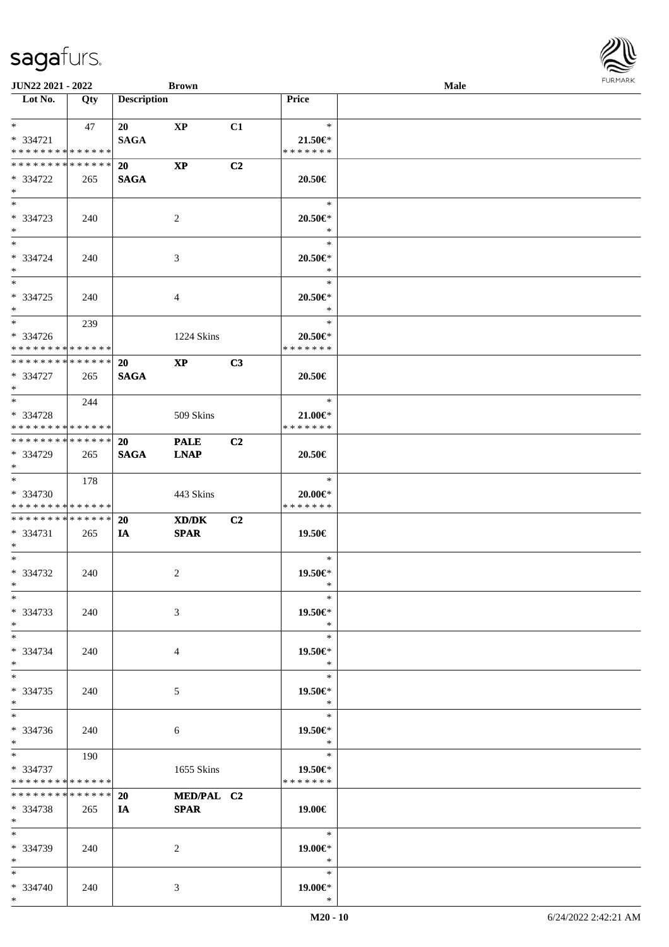| <b>JUN22 2021 - 2022</b>                                                            |                    |                          | <b>Brown</b>               |                |                                          | Male |  |
|-------------------------------------------------------------------------------------|--------------------|--------------------------|----------------------------|----------------|------------------------------------------|------|--|
| Lot No.                                                                             | Qty                | <b>Description</b>       |                            |                | Price                                    |      |  |
| $*$ $-$<br>$* 334721$<br>* * * * * * * * <mark>* * * * * *</mark>                   | 47                 | 20<br><b>SAGA</b>        | XP                         | C1             | $\ast$<br>$21.50 \in$<br>* * * * * * *   |      |  |
| * * * * * * * * <mark>* * * * * *</mark><br>* 334722<br>$\ast$                      | 265                | <b>20</b><br><b>SAGA</b> | $\mathbf{X}\mathbf{P}$     | C2             | 20.50€                                   |      |  |
| $\overline{\ast}$<br>* 334723<br>$*$                                                | 240                |                          | 2                          |                | $\ast$<br>20.50€*<br>$\ast$              |      |  |
| $*$<br>* 334724<br>$*$                                                              | 240                |                          | 3                          |                | $*$<br>$20.50 \in$ *<br>$\ast$           |      |  |
| $*$<br>* 334725<br>$*$                                                              | 240                |                          | 4                          |                | $\ast$<br>$20.50 \in$ *<br>$\ast$        |      |  |
| $\ast$<br>* 334726<br>* * * * * * * * <mark>* * * * * *</mark>                      | 239                |                          | 1224 Skins                 |                | $\ast$<br>20.50€*<br>* * * * * * *       |      |  |
| * * * * * * * * <mark>* * * * * * *</mark><br>* 334727<br>$*$                       | 265                | <b>20</b><br><b>SAGA</b> | $\bold{X}\bold{P}$         | C3             | 20.50€                                   |      |  |
| $\ddot{x}$<br>* 334728<br>* * * * * * * * <mark>* * * * * *</mark>                  | 244                |                          | 509 Skins                  |                | $\ast$<br>$21.00 \in$<br>* * * * * * *   |      |  |
| * * * * * * * * <mark>* * * * * * *</mark><br>* 334729<br>$\ddot{x}$                | 265                | <b>20</b><br><b>SAGA</b> | <b>PALE</b><br><b>LNAP</b> | C <sub>2</sub> | 20.50€                                   |      |  |
| $\ddot{x}$<br>* 334730<br>* * * * * * * * <mark>* * * * * *</mark>                  | 178                |                          | 443 Skins                  |                | $\ast$<br>$20.00 \in$ *<br>* * * * * * * |      |  |
| * * * * * * * * <mark>* * * * * * *</mark><br>* 334731<br>$*$ $-$                   | 265                | <b>20</b><br>IA          | XD/DK<br><b>SPAR</b>       | C2             | 19.50€                                   |      |  |
| $*$ $-$<br>* 334732<br>$*$ $-$                                                      | 240                |                          | 2                          |                | $\ast$<br>19.50€*<br>$\ast$              |      |  |
| $\ast$<br>* 334733<br>$*$                                                           | 240                |                          | 3                          |                | $\ast$<br>19.50€*<br>$\ast$              |      |  |
| $*$ $-$<br>* 334734<br>$\ast$                                                       | 240                |                          | 4                          |                | $\ast$<br>19.50€*<br>$*$                 |      |  |
| $*$<br>* 334735<br>$\ast$                                                           | 240                |                          | 5                          |                | $\ast$<br>19.50€*<br>$\ast$              |      |  |
| $\ast$<br>* 334736<br>$*$                                                           | 240                |                          | 6                          |                | $*$<br>19.50€*<br>$\ast$                 |      |  |
| $\overline{\mathbf{r}^*}$<br>* 334737<br>* * * * * * * * <mark>* * * * * * *</mark> | 190                |                          | 1655 Skins                 |                | $\ast$<br>19.50€*<br>* * * * * * *       |      |  |
| * * * * * * * *<br>* 334738<br>$\ast$                                               | * * * * * *<br>265 | 20<br>IA                 | MED/PAL C2<br><b>SPAR</b>  |                | 19.00€                                   |      |  |
| $*$<br>* 334739<br>$*$ $-$                                                          | 240                |                          | 2                          |                | $*$<br>19.00€*<br>$\ast$                 |      |  |
| $\ddot{x}$<br>* 334740<br>$\ast$                                                    | 240                |                          | 3                          |                | $\ast$<br>19.00€*<br>$\ast$              |      |  |

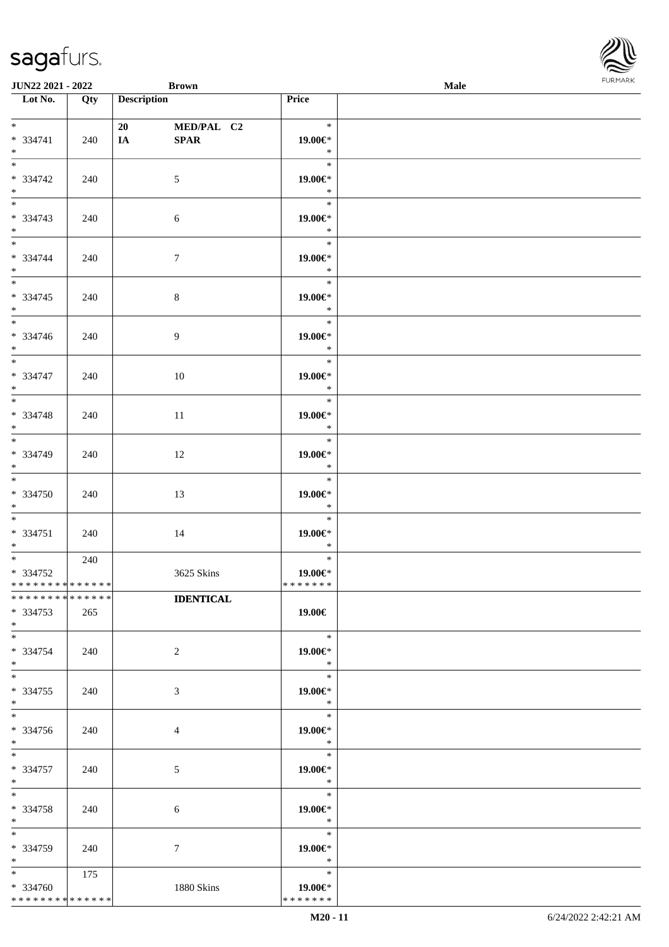| <b>JUN22 2021 - 2022</b>     |     | <b>Brown</b>       |                  |                   | <b>Male</b> |  |
|------------------------------|-----|--------------------|------------------|-------------------|-------------|--|
| Lot No.                      | Qty | <b>Description</b> |                  | Price             |             |  |
|                              |     |                    |                  |                   |             |  |
| $*$                          |     | 20                 | MED/PAL C2       | $\ast$            |             |  |
| * 334741<br>$*$              | 240 | IA                 | SPAR             | 19.00€*<br>$\ast$ |             |  |
| $\overline{\ast}$            |     |                    |                  | $\ast$            |             |  |
| $* 334742$                   | 240 |                    | 5                | 19.00€*           |             |  |
| $*$                          |     |                    |                  | $\ast$            |             |  |
| $*$                          |     |                    |                  | $\ast$            |             |  |
| $* 334743$                   | 240 |                    | 6                | 19.00€*           |             |  |
| $*$                          |     |                    |                  | $\ast$            |             |  |
| $*$                          |     |                    |                  | $\ast$            |             |  |
| * 334744                     | 240 |                    | $\boldsymbol{7}$ | 19.00 $\in$ *     |             |  |
| $*$                          |     |                    |                  | $\ast$<br>$\ast$  |             |  |
| $* 334745$                   |     |                    |                  |                   |             |  |
| $*$                          | 240 |                    | $8\,$            | 19.00€*<br>$\ast$ |             |  |
|                              |     |                    |                  | $\ast$            |             |  |
| $* 334746$                   | 240 |                    | 9                | 19.00€*           |             |  |
| $*$                          |     |                    |                  | $\ast$            |             |  |
| $*$                          |     |                    |                  | $\ast$            |             |  |
| * 334747                     | 240 |                    | 10               | 19.00€*           |             |  |
| $*$                          |     |                    |                  | $\ast$            |             |  |
|                              |     |                    |                  | $\ast$            |             |  |
| * 334748<br>$*$              | 240 |                    | 11               | 19.00€*<br>$\ast$ |             |  |
|                              |     |                    |                  | $\ast$            |             |  |
| * 334749                     | 240 |                    | 12               | 19.00 $\in$ *     |             |  |
| $*$                          |     |                    |                  | $\ast$            |             |  |
| $*$                          |     |                    |                  | $\ast$            |             |  |
| $* 334750$                   | 240 |                    | 13               | 19.00€*           |             |  |
| $*$                          |     |                    |                  | $\ast$            |             |  |
| $*$                          |     |                    |                  | $\ast$            |             |  |
| $* 334751$<br>$*$ $-$        | 240 |                    | 14               | 19.00€*<br>$\ast$ |             |  |
| $*$                          | 240 |                    |                  | $\ast$            |             |  |
| * 334752                     |     |                    | 3625 Skins       | 19.00€*           |             |  |
| ******** <mark>******</mark> |     |                    |                  | *******           |             |  |
| * * * * * * * * * * * * * *  |     |                    | <b>IDENTICAL</b> |                   |             |  |
| * 334753                     | 265 |                    |                  | 19.00€            |             |  |
| $*$                          |     |                    |                  |                   |             |  |
| $*$                          |     |                    |                  | $\ast$            |             |  |
| * 334754<br>$*$              | 240 |                    | 2                | 19.00€*<br>$\ast$ |             |  |
| $*$                          |     |                    |                  | $\ast$            |             |  |
| * 334755                     | 240 |                    | 3                | 19.00€*           |             |  |
| $*$                          |     |                    |                  | $\ast$            |             |  |
| $*$                          |     |                    |                  | $\ast$            |             |  |
| * 334756                     | 240 |                    | $\overline{4}$   | 19.00€*           |             |  |
| $*$                          |     |                    |                  | $*$               |             |  |
| $*$                          |     |                    |                  | $\ast$            |             |  |
| * 334757<br>$*$              | 240 |                    | 5                | 19.00€*<br>$\ast$ |             |  |
| $*$                          |     |                    |                  | $\ast$            |             |  |
| * 334758                     | 240 |                    | 6                | 19.00€*           |             |  |
| $*$                          |     |                    |                  | $\ast$            |             |  |
| $*$                          |     |                    |                  | $\ast$            |             |  |
| * 334759                     | 240 |                    | $\tau$           | 19.00€*           |             |  |
| $*$<br>$*$                   |     |                    |                  | $\ast$<br>$\ast$  |             |  |
| * 334760                     | 175 |                    | 1880 Skins       | 19.00€*           |             |  |
| * * * * * * * * * * * * * *  |     |                    |                  | * * * * * * *     |             |  |
|                              |     |                    |                  |                   |             |  |

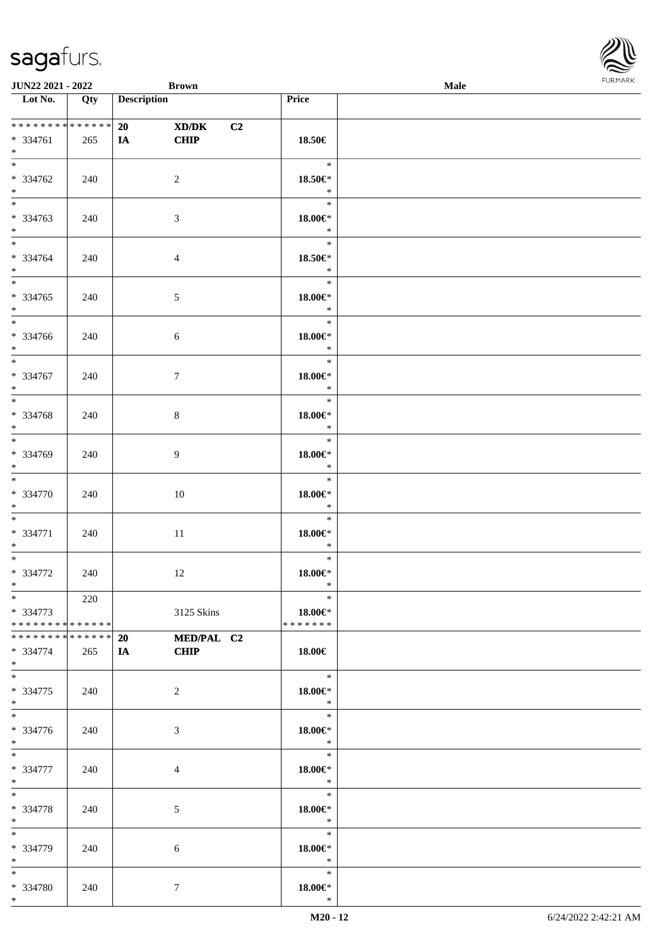| <b>JUN22 2021 - 2022</b>                                                    |     | <b>Brown</b>            |                         |                                                                            | Male |  |
|-----------------------------------------------------------------------------|-----|-------------------------|-------------------------|----------------------------------------------------------------------------|------|--|
| Lot No.                                                                     | Qty | <b>Description</b>      |                         | Price                                                                      |      |  |
| * * * * * * * * * * * * * * *<br>* 334761<br>$\ast$                         | 265 | 20<br><b>CHIP</b><br>IA | XD/DK<br>C <sub>2</sub> | 18.50€                                                                     |      |  |
| $\ddot{x}$<br>* 334762<br>$*$                                               | 240 | 2                       |                         | $\ast$<br>18.50€*<br>$\ast$                                                |      |  |
| $\overline{\mathbf{r}}$<br>* 334763<br>$\ddot{x}$                           | 240 | 3                       |                         | $\ast$<br>$18.00 \in$<br>$\ast$                                            |      |  |
| $*$<br>* 334764<br>$*$<br>$\overline{\mathbf{r}}$                           | 240 | $\overline{4}$          |                         | $\ast$<br>18.50€*<br>$\ast$                                                |      |  |
| * 334765<br>$*$<br>$\overline{\phantom{0}}$                                 | 240 | 5                       |                         | $\ast$<br>$18.00 \in$<br>$\ast$                                            |      |  |
| * 334766<br>$*$<br>$\overline{\mathbf{r}}$                                  | 240 | 6                       |                         | $\ast$<br>$18.00 \in$<br>$*$                                               |      |  |
| * 334767<br>$*$                                                             | 240 | $\tau$                  |                         | $\ast$<br>18.00€*<br>$\ast$                                                |      |  |
| * 334768<br>$*$<br>$*$                                                      | 240 | 8                       |                         | $\ast$<br>$18.00 \in$ *<br>$\ast$                                          |      |  |
| * 334769<br>$\ast$<br>$*$                                                   | 240 | 9                       |                         | $\ast$<br>$18.00 \in$<br>$\ast$<br>$\ast$                                  |      |  |
| * 334770<br>$*$                                                             | 240 | 10                      |                         | $18.00 \in$ *<br>$\ast$                                                    |      |  |
| $\ddot{x}$<br>* 334771<br>$*$                                               | 240 | 11                      |                         | $\ast$<br>$18.00 \in$ *<br>$*$                                             |      |  |
| $\ast$<br>* 334772<br>$\ast$                                                | 240 | 12                      |                         | $\ast$<br>$18.00 \in$ *<br>$\ast$<br>$\ddot{x}$                            |      |  |
| $\ast$<br>* 334773<br>* * * * * * * * * * * * * * <mark>*</mark>            | 220 |                         | 3125 Skins              | 18.00€*<br>* * * * * * *                                                   |      |  |
| * * * * * * * * * * * * * * <mark>*</mark><br>* 334774<br>$*$ $-$<br>$\ast$ | 265 | 20<br>IA CHIP           | MED/PAL C2              | $18.00 \in$<br>$\ast$                                                      |      |  |
| * 334775<br>$\ast$<br>$\ddot{x}$                                            | 240 | 2                       |                         | $18.00 \in$<br>$\rightarrow$<br>$\overline{\phantom{0}}$                   |      |  |
| * 334776<br>$*$<br>$\ddot{x}$                                               | 240 | 3                       |                         | $18.00 \in$ *<br>$\mathbb{R}$<br>$\begin{array}{c c}\n\hline\n\end{array}$ |      |  |
| * 334777<br>$*$<br>$*$ $-$                                                  | 240 | $\overline{4}$          |                         | $18.00 \in$ *<br>$\ast$<br>$\overline{\phantom{a}}$                        |      |  |
| * 334778<br>$*$ $-$<br>$*$                                                  | 240 | 5                       |                         | $18.00 \in$ *<br>$\ast$<br>$\ast$                                          |      |  |
| * 334779<br>$*$ $-$<br>$*$ $*$                                              | 240 | 6                       |                         | 18.00€*<br>$\ast$                                                          |      |  |
| * 334780<br>$*$ $-$                                                         | 240 | $\tau$                  |                         | $\ast$<br>$18.00 \in$ *<br>$\ast$                                          |      |  |

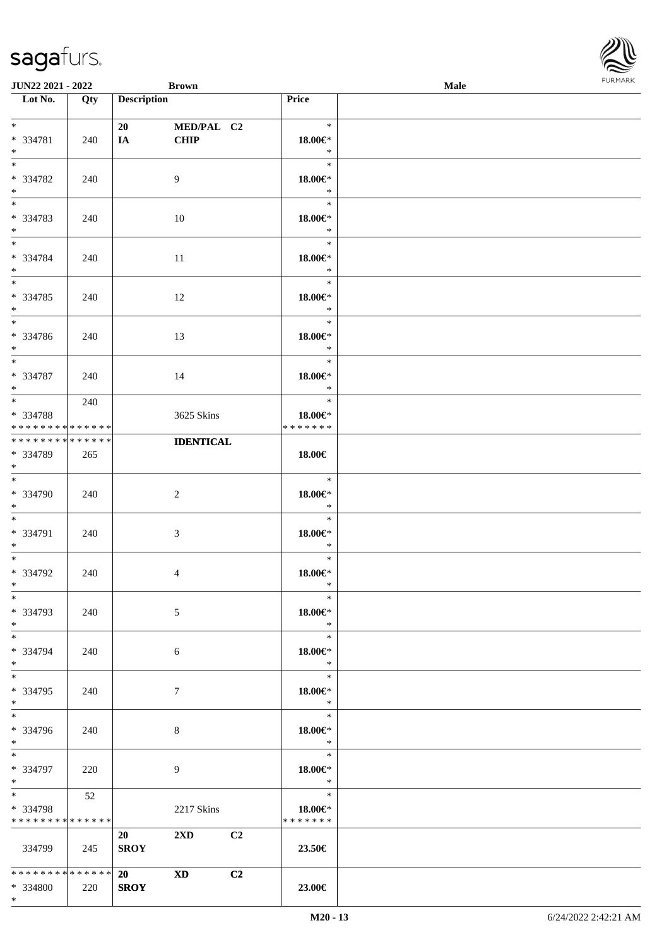| <b>JUN22 2021 - 2022</b>                                                          |     | <b>Brown</b>                   |                           |                |                                          | Male |  |
|-----------------------------------------------------------------------------------|-----|--------------------------------|---------------------------|----------------|------------------------------------------|------|--|
| Lot No.                                                                           | Qty | <b>Description</b>             |                           |                | Price                                    |      |  |
| $*$<br>* 334781<br>$*$                                                            | 240 | 20<br>IA                       | MED/PAL C2<br><b>CHIP</b> |                | $\ast$<br>18.00€*<br>$\ast$              |      |  |
| $\overline{\mathbf{r}}$<br>* 334782<br>$*$                                        | 240 | 9                              |                           |                | $\ast$<br>$18.00 \in$ *<br>$\ast$        |      |  |
| $\overline{\ast}$<br>* 334783<br>$\ast$                                           | 240 | 10                             |                           |                | $\ast$<br>$18.00 \in$ *<br>$\ast$        |      |  |
| $\ddot{x}$<br>* 334784<br>$*$                                                     | 240 | 11                             |                           |                | $\ast$<br>$18.00 \in$ *<br>$\ast$        |      |  |
| $\overline{\ast}$<br>* 334785<br>$*$<br>$*$                                       | 240 | 12                             |                           |                | $\ast$<br>$18.00 \in$ *<br>$\ast$        |      |  |
| * 334786<br>$*$                                                                   | 240 | 13                             |                           |                | $\ast$<br>$18.00 \in$ *<br>$\ast$        |      |  |
| $*$<br>* 334787<br>$*$                                                            | 240 | 14                             |                           |                | $\ast$<br>18.00€*<br>$\ast$              |      |  |
| $\overline{\mathbf{r}}$<br>* 334788<br>* * * * * * * * <mark>* * * * * * *</mark> | 240 |                                | 3625 Skins                |                | $\ast$<br>18.00€*<br>* * * * * * *       |      |  |
| * * * * * * * * <mark>* * * * * * *</mark><br>* 334789<br>$\ast$                  | 265 |                                | <b>IDENTICAL</b>          |                | 18.00€                                   |      |  |
| $\ddot{x}$<br>* 334790<br>$*$                                                     | 240 | 2                              |                           |                | $\ast$<br>$18.00 \in$ *<br>$\ast$        |      |  |
| $\ddot{x}$<br>* 334791<br>$*$ $-$                                                 | 240 | 3                              |                           |                | $\ast$<br>$18.00 \in$ *<br>$*$           |      |  |
| $*$ $-$<br>* 334792<br>$\ast$                                                     | 240 | 4                              |                           |                | $\ast$<br>18.00€*<br>$\ast$              |      |  |
| $\ast$<br>* 334793<br>$*$                                                         | 240 | 5                              |                           |                | $\ast$<br>18.00€*<br>$*$                 |      |  |
| $\ddot{x}$<br>* 334794<br>$\ast$                                                  | 240 | 6                              |                           |                | $\ast$<br>18.00€*<br>$*$                 |      |  |
| $*$<br>* 334795<br>$*$                                                            | 240 | $\tau$                         |                           |                | $\ast$<br>$18.00 \in$ *<br>$\rightarrow$ |      |  |
| $\overline{\cdot}$<br>* 334796<br>$*$                                             | 240 | 8                              |                           |                | $\ast$<br>18.00€*<br>$\ast$              |      |  |
| $\ddot{x}$<br>* 334797<br>$*$                                                     | 220 | 9                              |                           |                | $\ast$<br>18.00€*<br>$\star$             |      |  |
| $*$ $\overline{\phantom{1}}$<br>* 334798<br>* * * * * * * * * * * * * * *         | 52  |                                | 2217 Skins                |                | $\ast$<br>18.00€*<br>* * * * * * *       |      |  |
| 334799                                                                            | 245 | 20<br><b>SROY</b>              | $2\mathbf{X}\mathbf{D}$   | C <sub>2</sub> | 23.50€                                   |      |  |
| * * * * * * * * * * * * * * *<br>* 334800<br>$\ast$                               | 220 | 20<br><b>XD</b><br><b>SROY</b> |                           | C2             | 23.00€                                   |      |  |

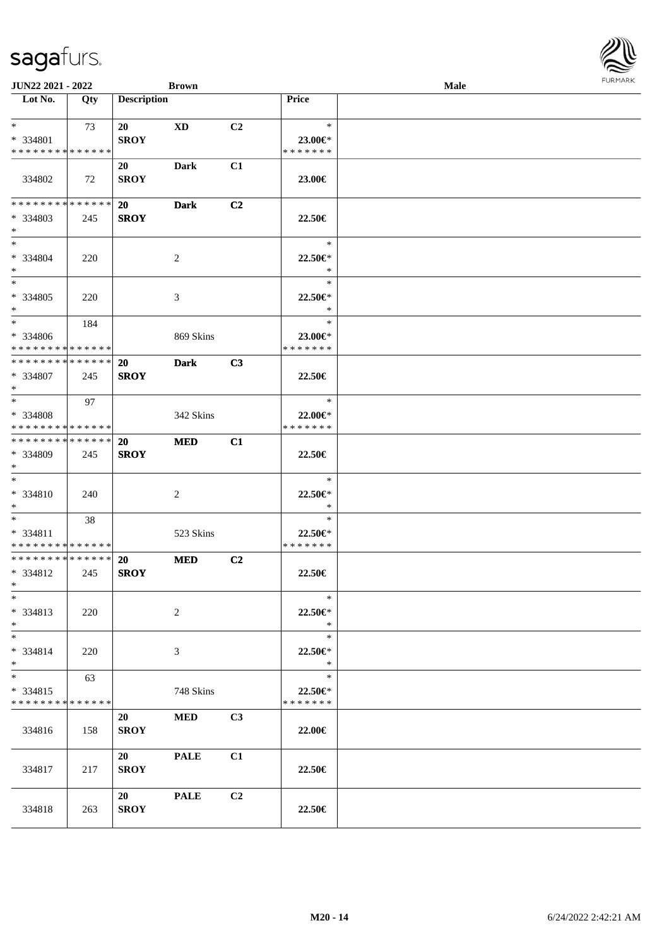| <b>JUN22 2021 - 2022</b>                   |     |                    | <b>Brown</b> |                |               | Male |  |
|--------------------------------------------|-----|--------------------|--------------|----------------|---------------|------|--|
| Lot No.                                    | Qty | <b>Description</b> |              |                | <b>Price</b>  |      |  |
| $*$                                        | 73  | 20                 | XD           | C2             | $\ast$        |      |  |
| * 334801                                   |     | <b>SROY</b>        |              |                | 23.00€*       |      |  |
| * * * * * * * * * * * * * *                |     |                    |              |                | * * * * * * * |      |  |
|                                            |     | 20                 | Dark         | C1             |               |      |  |
| 334802                                     | 72  | <b>SROY</b>        |              |                | 23.00€        |      |  |
|                                            |     |                    |              |                |               |      |  |
| * * * * * * * * <mark>* * * * * * *</mark> |     | 20                 | <b>Dark</b>  | C <sub>2</sub> |               |      |  |
| * 334803                                   | 245 | <b>SROY</b>        |              |                | 22.50€        |      |  |
| $*$                                        |     |                    |              |                |               |      |  |
| $*$                                        |     |                    |              |                | $\ast$        |      |  |
| * 334804                                   | 220 |                    | 2            |                | $22.50 \in$   |      |  |
| $*$                                        |     |                    |              |                | $\ast$        |      |  |
| $*$                                        |     |                    |              |                | $\ast$        |      |  |
| * 334805                                   | 220 |                    | 3            |                | 22.50€*       |      |  |
| $\ast$                                     |     |                    |              |                | $\ast$        |      |  |
| $*$                                        | 184 |                    |              |                | $\ast$        |      |  |
| * 334806                                   |     |                    | 869 Skins    |                | $23.00 \in$   |      |  |
| * * * * * * * * <mark>* * * * * * *</mark> |     |                    |              |                | * * * * * * * |      |  |
| * * * * * * * * * * * * * * *              |     | 20                 | <b>Dark</b>  | C3             |               |      |  |
| * 334807                                   | 245 | <b>SROY</b>        |              |                | 22.50€        |      |  |
| $\ast$                                     |     |                    |              |                |               |      |  |
| $*$ $-$                                    | 97  |                    |              |                | $\ast$        |      |  |
| * 334808                                   |     |                    | 342 Skins    |                | 22.00€*       |      |  |
| * * * * * * * * <mark>* * * * * * *</mark> |     |                    |              |                | * * * * * * * |      |  |
| * * * * * * * * * * * * * * *              |     | 20                 | <b>MED</b>   | C1             |               |      |  |
| * 334809                                   | 245 | <b>SROY</b>        |              |                | 22.50€        |      |  |
| $*$                                        |     |                    |              |                |               |      |  |
| $*$                                        |     |                    |              |                | $\ast$        |      |  |
| * 334810                                   | 240 |                    | 2            |                | 22.50€*       |      |  |
| $*$                                        |     |                    |              |                | $\ast$        |      |  |
| $*$                                        | 38  |                    |              |                | $\ast$        |      |  |
| * 334811                                   |     |                    | 523 Skins    |                | 22.50€*       |      |  |
| * * * * * * * * * * * * * *                |     |                    |              |                | * * * * * * * |      |  |
| * * * * * * * * <mark>* * * * * * *</mark> |     | <b>20</b>          | <b>MED</b>   | C <sub>2</sub> |               |      |  |
| * 334812                                   | 245 | <b>SROY</b>        |              |                | 22.50€        |      |  |
| $*$ $*$                                    |     |                    |              |                |               |      |  |
| $\ast$                                     |     |                    |              |                | $\ast$        |      |  |
| * 334813                                   | 220 |                    | 2            |                | 22.50€*       |      |  |
| $*$                                        |     |                    |              |                | $\ast$        |      |  |
| $*$                                        |     |                    |              |                | $\ast$        |      |  |
| * 334814                                   | 220 |                    | 3            |                | $22.50 \in$   |      |  |
| $*$                                        |     |                    |              |                | $\ast$        |      |  |
| $*$                                        | 63  |                    |              |                | $\ast$        |      |  |
| $* 334815$                                 |     |                    | 748 Skins    |                | 22.50€*       |      |  |
| * * * * * * * * * * * * * *                |     |                    |              |                | * * * * * * * |      |  |
|                                            |     | 20                 | MED          | C3             |               |      |  |
| 334816                                     | 158 | <b>SROY</b>        |              |                | 22.00€        |      |  |
|                                            |     |                    |              |                |               |      |  |
|                                            |     | 20                 | <b>PALE</b>  | C1             |               |      |  |
| 334817                                     | 217 | <b>SROY</b>        |              |                | 22.50€        |      |  |
|                                            |     |                    |              |                |               |      |  |
|                                            |     | 20                 | <b>PALE</b>  | C <sub>2</sub> |               |      |  |
| 334818                                     | 263 | <b>SROY</b>        |              |                | 22.50€        |      |  |

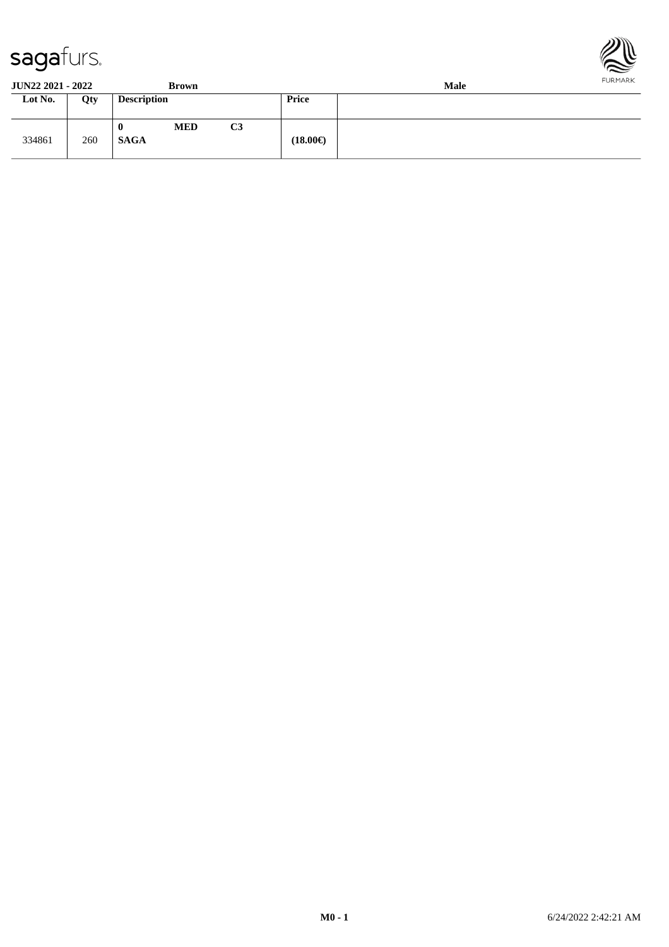

334861 260



**JUN22 2021 - 2022 Brown Male**<br> **Lot No.** Qty **Description Price Price Loty Description Price 0 MED C3**

**SAGA (18.00€)**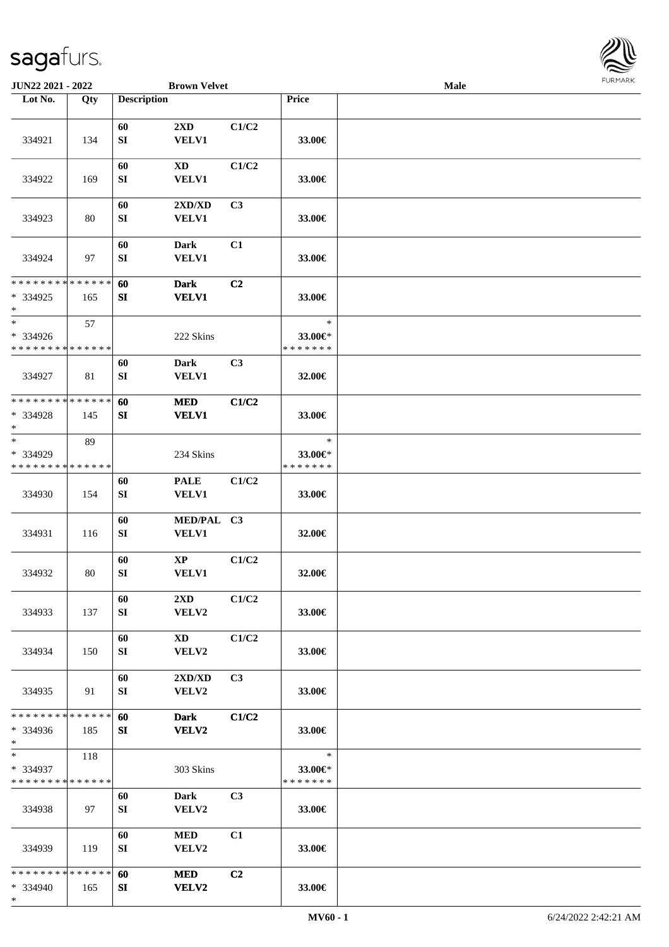

| <b>JUN22 2021 - 2022</b>                         |     |                    | <b>Brown Velvet</b>                    |                |                                    | <b>Male</b> |  |
|--------------------------------------------------|-----|--------------------|----------------------------------------|----------------|------------------------------------|-------------|--|
| Lot No.                                          | Qty | <b>Description</b> |                                        |                | Price                              |             |  |
| 334921                                           | 134 | 60<br>SI           | 2XD<br><b>VELV1</b>                    | C1/C2          | 33.00€                             |             |  |
| 334922                                           | 169 | 60<br>SI           | $\mathbf{X}\mathbf{D}$<br><b>VELV1</b> | C1/C2          | 33.00€                             |             |  |
| 334923                                           | 80  | 60<br>SI           | 2XD/XD<br>VELV1                        | C3             | 33.00€                             |             |  |
| 334924                                           | 97  | 60<br>${\bf SI}$   | <b>Dark</b><br><b>VELV1</b>            | C1             | 33.00€                             |             |  |
| * * * * * * * * * * * * * *                      |     | 60                 | <b>Dark</b>                            | C2             |                                    |             |  |
| $*334925$<br>$\ast$                              | 165 | SI                 | <b>VELV1</b>                           |                | 33.00€                             |             |  |
| $\ast$                                           | 57  |                    |                                        |                | $\ast$                             |             |  |
| * 334926<br>* * * * * * * * * * * * * *          |     |                    | 222 Skins                              |                | 33.00€*<br>* * * * * * *           |             |  |
| 334927                                           | 81  | 60<br>${\bf SI}$   | <b>Dark</b><br><b>VELV1</b>            | C3             | 32.00€                             |             |  |
| * * * * * * * * * * * * * *                      |     | 60                 | <b>MED</b>                             | C1/C2          |                                    |             |  |
| * 334928<br>$*$                                  | 145 | SI                 | <b>VELV1</b>                           |                | 33.00€                             |             |  |
| $\ast$                                           | 89  |                    |                                        |                | $\ast$                             |             |  |
| * 334929<br>* * * * * * * * * * * * * *          |     |                    | 234 Skins                              |                | 33.00€*<br>* * * * * * *           |             |  |
|                                                  |     | 60                 | <b>PALE</b>                            | C1/C2          |                                    |             |  |
| 334930                                           | 154 | ${\bf SI}$         | <b>VELV1</b>                           |                | 33.00€                             |             |  |
| 334931                                           | 116 | 60<br>SI           | MED/PAL C3<br>VELV1                    |                | 32.00€                             |             |  |
| 334932                                           | 80  | 60<br>${\bf SI}$   | $\mathbf{X}\mathbf{P}$<br>VELV1        | C1/C2          | 32.00€                             |             |  |
| 334933                                           | 137 | 60<br>SI           | $2\mathbf{X}\mathbf{D}$<br>VELV2       | C1/C2          | 33.00€                             |             |  |
| 334934                                           | 150 | 60<br>SI           | XD<br>VELV2                            | C1/C2          | 33.00€                             |             |  |
| 334935                                           | 91  | 60<br>SI           | 2XD/XD<br>VELV2                        | C3             | 33.00€                             |             |  |
| * * * * * * * * * * * * * *<br>* 334936<br>$*$   | 185 | 60<br>SI           | <b>Dark</b><br>VELV2                   | C1/C2          | 33.00€                             |             |  |
| $*$<br>* 334937<br>* * * * * * * * * * * * * *   | 118 |                    | 303 Skins                              |                | $\ast$<br>33.00€*<br>* * * * * * * |             |  |
| 334938                                           | 97  | 60<br>SI           | Dark<br>VELV2                          | C <sub>3</sub> | 33.00€                             |             |  |
| 334939                                           | 119 | 60<br>SI           | <b>MED</b><br>VELV2                    | C1             | 33.00€                             |             |  |
| * * * * * * * * * * * * * *<br>$* 334940$<br>$*$ | 165 | 60<br>SI           | <b>MED</b><br>VELV2                    | C2             | 33.00€                             |             |  |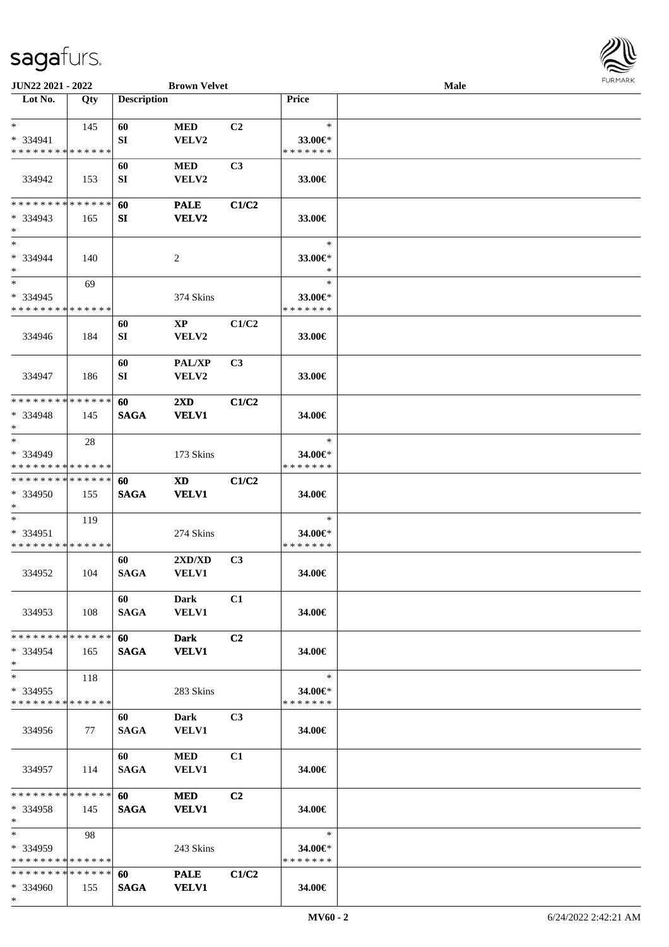

| JUN22 2021 - 2022           |             |                    | <b>Brown Velvet</b>    |       |               | Male |  |
|-----------------------------|-------------|--------------------|------------------------|-------|---------------|------|--|
| Lot No.                     | Qty         | <b>Description</b> |                        |       | Price         |      |  |
|                             |             |                    |                        |       |               |      |  |
| $\ast$                      | 145         | 60                 | <b>MED</b>             | C2    | $\ast$        |      |  |
| $* 334941$                  |             | SI                 | VELV2                  |       | 33.00€*       |      |  |
| * * * * * * * * * * * * * * |             |                    |                        |       | * * * * * * * |      |  |
|                             |             | 60                 | <b>MED</b>             | C3    |               |      |  |
| 334942                      | 153         | SI                 | VELV2                  |       | 33.00€        |      |  |
|                             |             |                    |                        |       |               |      |  |
| * * * * * * * *             | * * * * * * | 60                 |                        | C1/C2 |               |      |  |
|                             |             |                    | <b>PALE</b>            |       |               |      |  |
| $* 334943$<br>$*$           | 165         | SI                 | <b>VELV2</b>           |       | 33.00€        |      |  |
| $\ast$                      |             |                    |                        |       | $\ast$        |      |  |
|                             |             |                    |                        |       |               |      |  |
| * 334944                    | 140         |                    | $\overline{c}$         |       | 33.00€*       |      |  |
| $\ast$<br>$\ast$            |             |                    |                        |       | $\ast$        |      |  |
|                             | 69          |                    |                        |       | $\ast$        |      |  |
| * 334945                    |             |                    | 374 Skins              |       | 33.00€*       |      |  |
| * * * * * * * * * * * * * * |             |                    |                        |       | * * * * * * * |      |  |
|                             |             | 60                 | $\mathbf{X}\mathbf{P}$ | C1/C2 |               |      |  |
| 334946                      | 184         | SI                 | VELV2                  |       | 33.00€        |      |  |
|                             |             |                    |                        |       |               |      |  |
|                             |             | 60                 | PAL/XP                 | C3    |               |      |  |
| 334947                      | 186         | SI                 | VELV2                  |       | 33.00€        |      |  |
|                             |             |                    |                        |       |               |      |  |
| * * * * * * * *             | * * * * * * | 60                 | 2XD                    | C1/C2 |               |      |  |
| * 334948                    | 145         | <b>SAGA</b>        | <b>VELV1</b>           |       | 34.00€        |      |  |
| $\ast$                      |             |                    |                        |       |               |      |  |
| $\ast$                      | 28          |                    |                        |       | $\ast$        |      |  |
| * 334949                    |             |                    | 173 Skins              |       | 34.00€*       |      |  |
| * * * * * * * * * * * * * * |             |                    |                        |       | * * * * * * * |      |  |
| * * * * * * * * * * * * * * |             | 60                 | <b>XD</b>              | C1/C2 |               |      |  |
| * 334950                    | 155         | <b>SAGA</b>        | <b>VELV1</b>           |       | 34.00€        |      |  |
| $\ast$                      |             |                    |                        |       |               |      |  |
| $\ast$                      | 119         |                    |                        |       | $\ast$        |      |  |
| * 334951                    |             |                    | 274 Skins              |       | 34.00€*       |      |  |
| * * * * * * * * * * * * * * |             |                    |                        |       | * * * * * * * |      |  |
|                             |             | 60                 | 2XD/XD                 | C3    |               |      |  |
| 334952                      | 104         | <b>SAGA</b>        | <b>VELV1</b>           |       | 34.00€        |      |  |
|                             |             |                    |                        |       |               |      |  |
|                             |             | 60                 | <b>Dark</b>            | C1    |               |      |  |
| 334953                      | 108         | <b>SAGA</b>        | <b>VELV1</b>           |       | 34.00€        |      |  |
|                             |             |                    |                        |       |               |      |  |
| * * * * * * * * * * * * * * |             | <b>60</b>          |                        | C2    |               |      |  |
|                             |             |                    | <b>Dark</b>            |       |               |      |  |
| * 334954<br>$*$             | 165         | <b>SAGA</b>        | <b>VELV1</b>           |       | 34.00€        |      |  |
| $\ast$                      |             |                    |                        |       | $\ast$        |      |  |
|                             | 118         |                    |                        |       |               |      |  |
| * 334955                    |             |                    | 283 Skins              |       | 34.00€*       |      |  |
| * * * * * * * * * * * * * * |             |                    |                        |       | * * * * * * * |      |  |
|                             |             | 60                 | <b>Dark</b>            | C3    |               |      |  |
| 334956                      | 77          | <b>SAGA</b>        | <b>VELV1</b>           |       | 34.00€        |      |  |
|                             |             |                    |                        |       |               |      |  |
|                             |             | 60                 | <b>MED</b>             | C1    |               |      |  |
| 334957                      | 114         | <b>SAGA</b>        | <b>VELV1</b>           |       | 34.00€        |      |  |
|                             |             |                    |                        |       |               |      |  |
| * * * * * * * * * * * * * * |             | 60 —               | <b>MED</b>             | C2    |               |      |  |
| * 334958                    | 145         | <b>SAGA</b>        | <b>VELV1</b>           |       | 34.00€        |      |  |
| $*$                         |             |                    |                        |       |               |      |  |
| $*$                         | 98          |                    |                        |       | $\ast$        |      |  |
| $*334959$                   |             |                    | 243 Skins              |       | 34.00€*       |      |  |
| * * * * * * * * * * * * * * |             |                    |                        |       | * * * * * * * |      |  |
| * * * * * * * * * * * * * * |             | 60                 | <b>PALE</b>            | C1/C2 |               |      |  |
| $* 334960$                  | 155         | <b>SAGA</b>        | <b>VELV1</b>           |       | 34.00€        |      |  |
| $*$                         |             |                    |                        |       |               |      |  |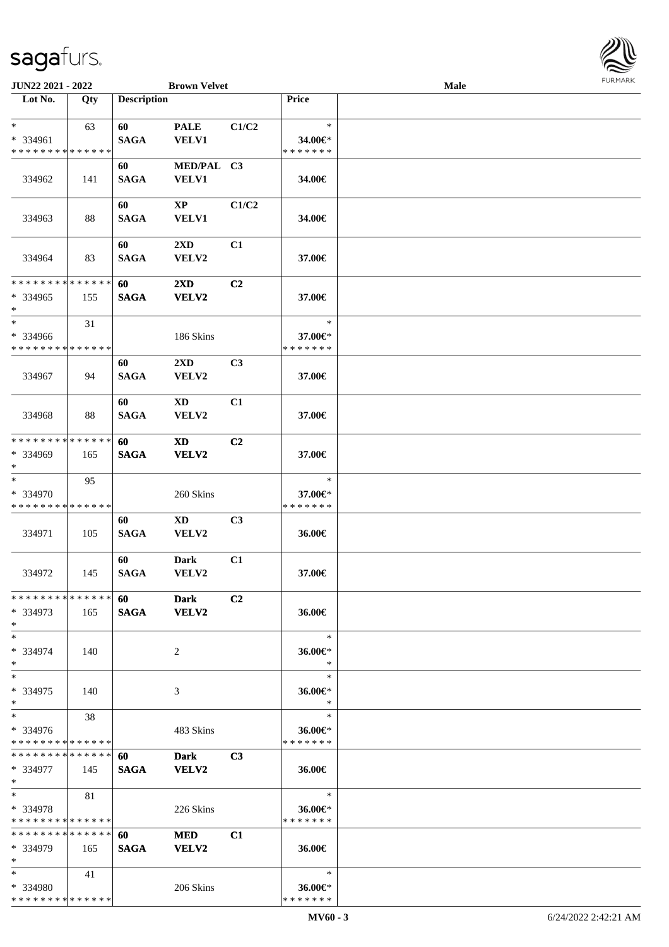**Lot No. Qty Description** 

| $\ast$                                  | 63  | 60                | <b>PALE</b>                            | C1/C2          | $\ast$                   |  |
|-----------------------------------------|-----|-------------------|----------------------------------------|----------------|--------------------------|--|
| * 334961                                |     | <b>SAGA</b>       | <b>VELV1</b>                           |                | 34.00€*                  |  |
| * * * * * * * * * * * * * *             |     |                   |                                        |                | * * * * * * *            |  |
|                                         |     | 60                | MED/PAL C3                             |                |                          |  |
| 334962                                  | 141 | <b>SAGA</b>       | <b>VELV1</b>                           |                | 34.00€                   |  |
|                                         |     |                   |                                        |                |                          |  |
| 334963                                  | 88  | 60<br><b>SAGA</b> | $\mathbf{X}\mathbf{P}$<br><b>VELV1</b> | C1/C2          | 34.00€                   |  |
|                                         |     |                   |                                        |                |                          |  |
|                                         |     | 60                | 2XD                                    | C1             |                          |  |
| 334964                                  | 83  | <b>SAGA</b>       | VELV2                                  |                | 37.00€                   |  |
|                                         |     |                   |                                        |                |                          |  |
| * * * * * * * * * * * * * *             |     | 60                | $2\mathbf{X}\mathbf{D}$                | C2             |                          |  |
| $*334965$                               | 155 | <b>SAGA</b>       | VELV2                                  |                | 37.00€                   |  |
| $\ast$                                  |     |                   |                                        |                |                          |  |
| $\ast$                                  | 31  |                   |                                        |                | $\ast$                   |  |
| * 334966<br>* * * * * * * * * * * * * * |     |                   | 186 Skins                              |                | 37.00€*<br>* * * * * * * |  |
|                                         |     | 60                | $2\mathbf{X}\mathbf{D}$                | C <sub>3</sub> |                          |  |
| 334967                                  | 94  | <b>SAGA</b>       | <b>VELV2</b>                           |                | 37.00€                   |  |
|                                         |     |                   |                                        |                |                          |  |
|                                         |     | 60                | <b>XD</b>                              | C1             |                          |  |
| 334968                                  | 88  | <b>SAGA</b>       | VELV2                                  |                | 37.00€                   |  |
|                                         |     |                   |                                        |                |                          |  |
| * * * * * * * * * * * * * *             |     | 60                | <b>XD</b>                              | C2             |                          |  |
| * 334969                                | 165 | <b>SAGA</b>       | VELV2                                  |                | 37.00€                   |  |
| $\ast$<br>$\ast$                        |     |                   |                                        |                | $\ast$                   |  |
| $* 334970$                              | 95  |                   | 260 Skins                              |                | 37.00€*                  |  |
| * * * * * * * * * * * * * *             |     |                   |                                        |                | * * * * * * *            |  |
|                                         |     | 60                | XD                                     | C <sub>3</sub> |                          |  |
| 334971                                  | 105 | <b>SAGA</b>       | VELV2                                  |                | 36.00€                   |  |
|                                         |     |                   |                                        |                |                          |  |
|                                         |     | 60                | <b>Dark</b>                            | C1             |                          |  |
| 334972                                  | 145 | <b>SAGA</b>       | VELV2                                  |                | 37.00€                   |  |
| **************                          |     |                   |                                        |                |                          |  |
| * 334973                                | 165 | 60<br><b>SAGA</b> | <b>Dark</b><br><b>VELV2</b>            | C2             | 36.00€                   |  |
| ∗                                       |     |                   |                                        |                |                          |  |
| $\ast$                                  |     |                   |                                        |                | $\ast$                   |  |
| * 334974                                | 140 |                   | 2                                      |                | 36.00€*                  |  |
| $*$                                     |     |                   |                                        |                | $\ast$                   |  |
| $\ast$                                  |     |                   |                                        |                | $\ast$                   |  |
| * 334975                                | 140 |                   | 3                                      |                | $36.00 \in$ *            |  |
| $\ast$                                  |     |                   |                                        |                | $\ast$                   |  |
| $\ast$                                  | 38  |                   |                                        |                | $\ast$                   |  |
| * 334976<br>* * * * * * * * * * * * * * |     |                   | 483 Skins                              |                | 36.00€*<br>* * * * * * * |  |
| * * * * * * * * * * * * * *             |     | 60                | <b>Dark</b>                            | C3             |                          |  |
| $*334977$                               | 145 | <b>SAGA</b>       | VELV2                                  |                | 36.00€                   |  |
| $*$                                     |     |                   |                                        |                |                          |  |
| $\ast$                                  | 81  |                   |                                        |                | $\ast$                   |  |
| $* 334978$                              |     |                   | 226 Skins                              |                | 36.00€*                  |  |
|                                         |     |                   |                                        |                | * * * * * * *            |  |
| * * * * * * * * * * * * * *             |     |                   |                                        |                |                          |  |
| * * * * * * * * * * * * * *             |     | 60                | <b>MED</b>                             | C1             |                          |  |
| * 334979                                | 165 | <b>SAGA</b>       | VELV2                                  |                | 36.00€                   |  |
| $\ast$                                  |     |                   |                                        |                |                          |  |
| $\ast$<br>* 334980                      | 41  |                   | 206 Skins                              |                | $\ast$<br>36.00€*        |  |

**JUN22 2021 - 2022 Brown Velvet Male**<br> **Lot No.**  $\begin{array}{|c|c|c|c|c|} \hline \textbf{Dot No.} & \textbf{Oveription} & \textbf{Price} & \textbf{Price} \\ \hline \end{array}$ 

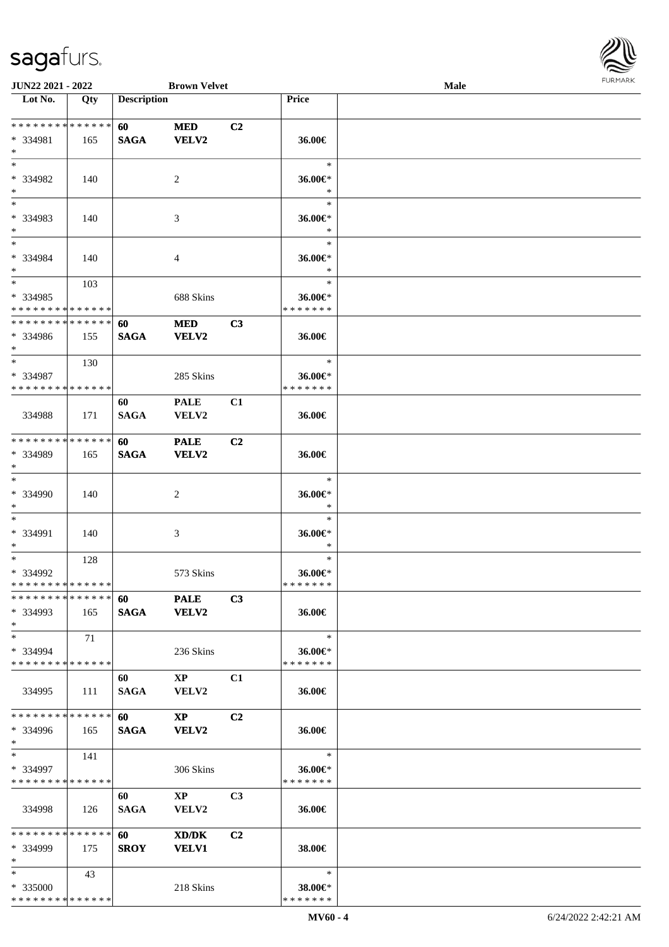

| JUN22 2021 - 2022                          |       |                    | <b>Brown Velvet</b>    |                |                   | Male |  |
|--------------------------------------------|-------|--------------------|------------------------|----------------|-------------------|------|--|
| Lot No.                                    | Qty   | <b>Description</b> |                        |                | <b>Price</b>      |      |  |
|                                            |       |                    |                        |                |                   |      |  |
| **************                             |       | 60                 | <b>MED</b>             | C2             |                   |      |  |
| * 334981                                   | 165   | <b>SAGA</b>        | <b>VELV2</b>           |                | 36.00€            |      |  |
| $\ast$                                     |       |                    |                        |                |                   |      |  |
| $*$                                        |       |                    |                        |                | $\ast$            |      |  |
| * 334982                                   | 140   |                    | 2                      |                | 36.00€*           |      |  |
| $\ast$                                     |       |                    |                        |                | $\ast$            |      |  |
| $\overline{\phantom{0}}$                   |       |                    |                        |                | $\ast$            |      |  |
| * 334983                                   | 140   |                    | 3                      |                | 36.00€*           |      |  |
| $\ast$                                     |       |                    |                        |                | $\ast$            |      |  |
| $\ast$                                     |       |                    |                        |                | $\ast$            |      |  |
| * 334984                                   | 140   |                    | 4                      |                | 36.00€*           |      |  |
| $\ast$                                     |       |                    |                        |                | $\ast$            |      |  |
| $*$                                        | 103   |                    |                        |                | $\ast$            |      |  |
| * 334985                                   |       |                    | 688 Skins              |                | 36.00€*           |      |  |
| * * * * * * * * * * * * * *                |       |                    |                        |                | * * * * * * *     |      |  |
| **************                             |       | 60                 | <b>MED</b>             | C3             |                   |      |  |
| * 334986                                   | 155   | <b>SAGA</b>        | <b>VELV2</b>           |                | 36.00€            |      |  |
| $*$                                        |       |                    |                        |                |                   |      |  |
| $\ast$                                     | 130   |                    |                        |                | $\ast$            |      |  |
| * 334987                                   |       |                    | 285 Skins              |                | 36.00€*           |      |  |
| * * * * * * * * * * * * * *                |       |                    |                        |                | * * * * * * *     |      |  |
|                                            |       | 60                 | <b>PALE</b>            | C1             |                   |      |  |
| 334988                                     | 171   | <b>SAGA</b>        | VELV2                  |                | 36.00€            |      |  |
|                                            |       |                    |                        |                |                   |      |  |
| * * * * * * * * * * * * * *                |       | 60                 | <b>PALE</b>            | C <sub>2</sub> |                   |      |  |
| * 334989                                   | 165   | <b>SAGA</b>        | <b>VELV2</b>           |                | 36.00€            |      |  |
| $*$<br>$\ast$                              |       |                    |                        |                | $\ast$            |      |  |
|                                            |       |                    |                        |                |                   |      |  |
| * 334990<br>$\ast$                         | 140   |                    | 2                      |                | 36.00€*<br>$\ast$ |      |  |
| $\ast$                                     |       |                    |                        |                | $\ast$            |      |  |
| * 334991                                   | 140   |                    |                        |                | 36.00€*           |      |  |
| $\ast$                                     |       |                    | 3                      |                | $\ast$            |      |  |
| $\ast$                                     | 128   |                    |                        |                | $\ast$            |      |  |
| * 334992                                   |       |                    | 573 Skins              |                | 36.00€*           |      |  |
| **************                             |       |                    |                        |                | *******           |      |  |
| * * * * * * * * * * * * * *                |       |                    | 60 PALE                | C3             |                   |      |  |
| * 334993                                   | 165   | <b>SAGA</b>        | <b>VELV2</b>           |                | 36.00€            |      |  |
| $*$                                        |       |                    |                        |                |                   |      |  |
| $*$                                        | 71    |                    |                        |                | $\ast$            |      |  |
| * 334994                                   |       |                    | 236 Skins              |                | 36.00€*           |      |  |
| * * * * * * * * * * * * * *                |       |                    |                        |                | * * * * * * *     |      |  |
|                                            |       | 60                 | $\mathbf{X}\mathbf{P}$ | C1             |                   |      |  |
| 334995                                     | - 111 | <b>SAGA</b>        | <b>VELV2</b>           |                | 36.00€            |      |  |
|                                            |       |                    |                        |                |                   |      |  |
| * * * * * * * * * * * * * *                |       | 60                 | $\mathbf{X}\mathbf{P}$ | C <sub>2</sub> |                   |      |  |
| * 334996                                   | 165   | <b>SAGA</b>        | <b>VELV2</b>           |                | 36.00€            |      |  |
| $*$                                        |       |                    |                        |                |                   |      |  |
| $*$ $-$                                    | 141   |                    |                        |                | $\ast$            |      |  |
| * 334997                                   |       |                    | 306 Skins              |                | 36.00€*           |      |  |
| * * * * * * * * * * * * * *                |       |                    |                        |                | * * * * * * *     |      |  |
|                                            |       | 60                 | $\mathbf{X}\mathbf{P}$ | C <sub>3</sub> |                   |      |  |
| 334998                                     | 126   | <b>SAGA</b>        | VELV2                  |                | 36.00€            |      |  |
|                                            |       |                    |                        |                |                   |      |  |
| * * * * * * * * * * * * * *                |       | 60 —               | XD/DK                  | C2             |                   |      |  |
| * 334999                                   | 175   | <b>SROY</b>        | <b>VELV1</b>           |                | 38.00€            |      |  |
| $*$                                        |       |                    |                        |                |                   |      |  |
| $*$                                        | 43    |                    |                        |                | $\ast$            |      |  |
| * 335000                                   |       |                    | 218 Skins              |                | 38.00€*           |      |  |
| * * * * * * * * <mark>* * * * * * *</mark> |       |                    |                        |                | * * * * * * *     |      |  |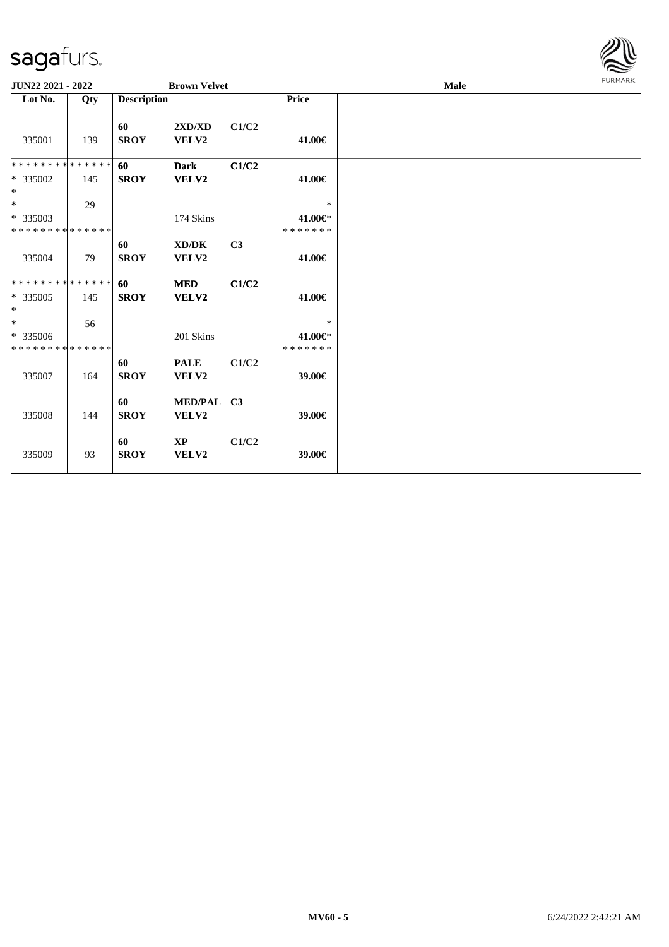| JUN22 2021 - 2022                               |     |                    | <b>Brown Velvet</b>        |       |                                    | Male |  |  |  |
|-------------------------------------------------|-----|--------------------|----------------------------|-------|------------------------------------|------|--|--|--|
| Lot No.                                         | Qty | <b>Description</b> |                            |       | Price                              |      |  |  |  |
| 335001                                          | 139 | 60<br><b>SROY</b>  | 2XD/XD<br>VELV2            | C1/C2 | 41.00€                             |      |  |  |  |
| * * * * * * * * * * * * * *<br>* 335002<br>$*$  | 145 | 60<br><b>SROY</b>  | <b>Dark</b><br>VELV2       | C1/C2 | 41.00€                             |      |  |  |  |
| $*$<br>* 335003<br>* * * * * * * * * * * * * *  | 29  |                    | 174 Skins                  |       | $\ast$<br>41.00€*<br>* * * * * * * |      |  |  |  |
| 335004                                          | 79  | 60<br><b>SROY</b>  | XD/DK<br>VELV2             | C3    | 41.00€                             |      |  |  |  |
| * * * * * * * * * * * * * *<br>$*335005$<br>$*$ | 145 | 60<br><b>SROY</b>  | <b>MED</b><br><b>VELV2</b> | C1/C2 | 41.00€                             |      |  |  |  |
| $*$<br>* 335006<br>* * * * * * * * * * * * * *  | 56  |                    | 201 Skins                  |       | $\ast$<br>41.00€*<br>* * * * * * * |      |  |  |  |
| 335007                                          | 164 | 60<br><b>SROY</b>  | <b>PALE</b><br>VELV2       | C1/C2 | 39.00€                             |      |  |  |  |
| 335008                                          | 144 | 60<br><b>SROY</b>  | MED/PAL C3<br><b>VELV2</b> |       | 39.00€                             |      |  |  |  |
| 335009                                          | 93  | 60<br><b>SROY</b>  | XP<br>VELV2                | C1/C2 | 39.00€                             |      |  |  |  |

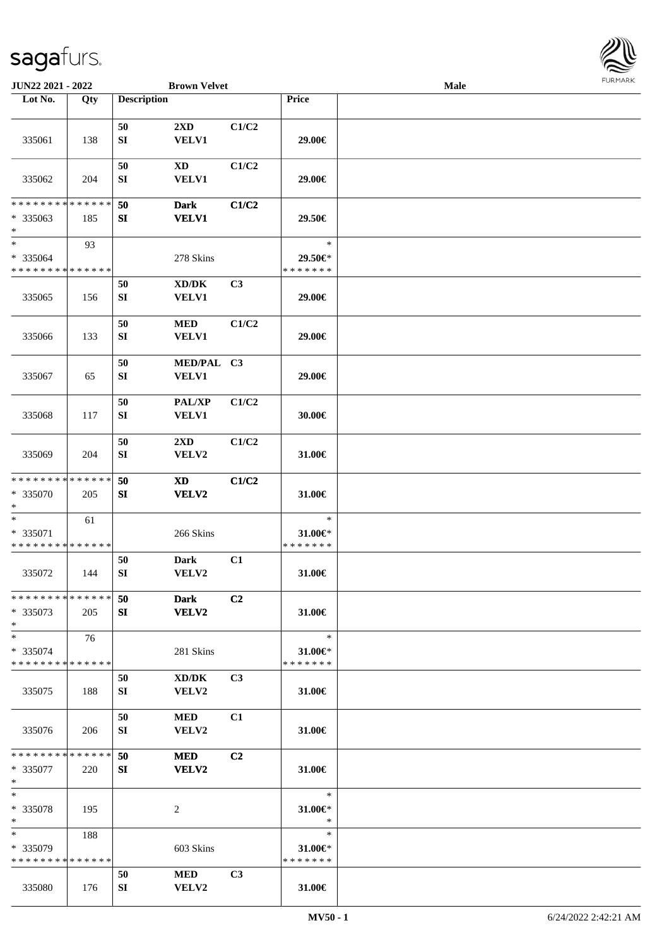

| JUN22 2021 - 2022                                  |     |                        | <b>Brown Velvet</b>                          |                |                                          | Male |  |
|----------------------------------------------------|-----|------------------------|----------------------------------------------|----------------|------------------------------------------|------|--|
| Lot No.                                            | Qty | <b>Description</b>     |                                              |                | Price                                    |      |  |
| 335061                                             | 138 | 50<br>${\bf SI}$       | 2XD<br>VELV1                                 | C1/C2          | 29.00€                                   |      |  |
| 335062                                             | 204 | 50<br>SI               | <b>XD</b><br><b>VELV1</b>                    | C1/C2          | 29.00€                                   |      |  |
| * * * * * * * * * * * * * *<br>$*335063$<br>$\ast$ | 185 | 50<br>${\bf S}{\bf I}$ | <b>Dark</b><br><b>VELV1</b>                  | C1/C2          | 29.50€                                   |      |  |
| $\ast$<br>* 335064<br>* * * * * * * * * * * * * *  | 93  |                        | 278 Skins                                    |                | $\ast$<br>29.50€*<br>* * * * * * *       |      |  |
| 335065                                             | 156 | 50<br>${\bf SI}$       | $\bold{X}\bold{D}/\bold{D}\bold{K}$<br>VELV1 | C3             | 29.00€                                   |      |  |
| 335066                                             | 133 | 50<br>${\bf SI}$       | <b>MED</b><br>VELV1                          | C1/C2          | 29.00€                                   |      |  |
| 335067                                             | 65  | 50<br>${\bf SI}$       | MED/PAL C3<br><b>VELV1</b>                   |                | 29.00€                                   |      |  |
| 335068                                             | 117 | 50<br>${\bf SI}$       | PAL/XP<br><b>VELV1</b>                       | C1/C2          | 30.00€                                   |      |  |
| 335069                                             | 204 | $50\,$<br>${\bf SI}$   | $2\mathbf{X}\mathbf{D}$<br>VELV2             | C1/C2          | 31.00€                                   |      |  |
| * * * * * * * * * * * * * *<br>* 335070<br>$*$     | 205 | 50<br>SI               | <b>XD</b><br>VELV2                           | C1/C2          | 31.00€                                   |      |  |
| $\ast$<br>* 335071<br>* * * * * * * * * * * * * *  | 61  |                        | 266 Skins                                    |                | $\ast$<br>31.00€*<br>* * * * * * *       |      |  |
| 335072                                             | 144 | 50<br>${\bf SI}$       | <b>Dark</b><br>VELV2                         | C1             | 31.00€                                   |      |  |
| * * * * * * * * * * * * * *<br>* 335073<br>$*$     | 205 | 50<br>SI               | <b>Dark</b><br>VELV2                         | C2             | 31.00€                                   |      |  |
| $*$<br>* 335074<br>* * * * * * * * * * * * * *     | 76  |                        | 281 Skins                                    |                | $\ast$<br>31.00€*<br>* * * * * * *       |      |  |
| 335075                                             | 188 | 50<br>SI               | XD/DK<br>VELV2                               | C <sub>3</sub> | 31.00€                                   |      |  |
| 335076                                             | 206 | 50<br>SI               | <b>MED</b><br>VELV2                          | C1             | 31.00€                                   |      |  |
| * * * * * * * * * * * * * *<br>* 335077<br>$\ast$  | 220 | 50<br>SI               | <b>MED</b><br>VELV2                          | C2             | 31.00€                                   |      |  |
| $\ast$<br>* 335078<br>$*$                          | 195 |                        | 2                                            |                | $\ast$<br>31.00€*<br>$\ast$              |      |  |
| $*$<br>* 335079<br>* * * * * * * * * * * * * *     | 188 |                        | 603 Skins                                    |                | $\ast$<br>$31.00 \in$ *<br>* * * * * * * |      |  |
| 335080                                             | 176 | 50<br>SI               | <b>MED</b><br>VELV2                          | C3             | 31.00€                                   |      |  |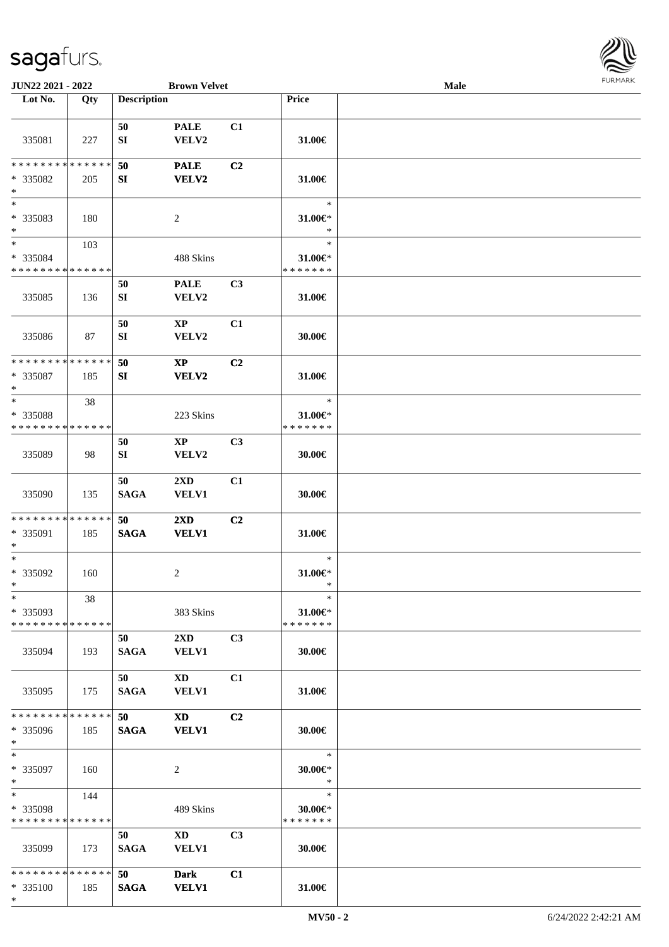

| JUN22 2021 - 2022             |     |                    | <b>Brown Velvet</b>     |    |               | <b>Male</b> |  |
|-------------------------------|-----|--------------------|-------------------------|----|---------------|-------------|--|
| Lot No.                       | Qty | <b>Description</b> |                         |    | Price         |             |  |
|                               |     |                    |                         |    |               |             |  |
|                               |     | 50                 | <b>PALE</b>             | C1 |               |             |  |
| 335081                        | 227 | SI                 | VELV2                   |    | 31.00€        |             |  |
| * * * * * * * * * * * * * *   |     |                    |                         |    |               |             |  |
|                               |     | 50                 | <b>PALE</b>             | C2 |               |             |  |
| * 335082<br>$\ast$            | 205 | SI                 | VELV2                   |    | 31.00€        |             |  |
| $\overline{\ast}$             |     |                    |                         |    | $\ast$        |             |  |
| * 335083                      | 180 |                    | 2                       |    | 31.00€*       |             |  |
| $\ast$                        |     |                    |                         |    | $\ast$        |             |  |
| $\overline{\phantom{a}^*}$    | 103 |                    |                         |    | $\ast$        |             |  |
| * 335084                      |     |                    | 488 Skins               |    | $31.00 \in$ * |             |  |
| * * * * * * * * * * * * * *   |     |                    |                         |    | * * * * * * * |             |  |
|                               |     | 50                 | <b>PALE</b>             | C3 |               |             |  |
| 335085                        | 136 | SI                 | VELV2                   |    | 31.00€        |             |  |
|                               |     |                    |                         |    |               |             |  |
|                               |     | 50                 | $\mathbf{X}\mathbf{P}$  | C1 |               |             |  |
| 335086                        | 87  | SI                 | VELV2                   |    | 30.00€        |             |  |
|                               |     |                    |                         |    |               |             |  |
| * * * * * * * * * * * * * *   |     | 50                 | $\mathbf{X}\mathbf{P}$  | C2 |               |             |  |
| * 335087<br>$\ast$            | 185 | SI                 | <b>VELV2</b>            |    | 31.00€        |             |  |
| $\ast$                        | 38  |                    |                         |    | $\ast$        |             |  |
| * 335088                      |     |                    | 223 Skins               |    | 31.00€*       |             |  |
| * * * * * * * * * * * * * *   |     |                    |                         |    | * * * * * * * |             |  |
|                               |     | 50                 | XP                      | C3 |               |             |  |
| 335089                        | 98  | SI                 | VELV2                   |    | 30.00€        |             |  |
|                               |     |                    |                         |    |               |             |  |
|                               |     | 50                 | $2\mathbf{X}\mathbf{D}$ | C1 |               |             |  |
| 335090                        | 135 | <b>SAGA</b>        | VELV1                   |    | 30.00€        |             |  |
|                               |     |                    |                         |    |               |             |  |
| * * * * * * * * * * * * * * * |     | 50                 | $2\mathbf{X}\mathbf{D}$ | C2 |               |             |  |
| * 335091                      | 185 | <b>SAGA</b>        | <b>VELV1</b>            |    | 31.00€        |             |  |
| $\ast$<br>$\ast$              |     |                    |                         |    | $\ast$        |             |  |
| $* 335092$                    | 160 |                    | $\overline{c}$          |    | 31.00€*       |             |  |
| $*$                           |     |                    |                         |    | $\ast$        |             |  |
| $*$                           | 38  |                    |                         |    | $\ast$        |             |  |
| * 335093                      |     |                    | 383 Skins               |    | $31.00 \in$   |             |  |
| * * * * * * * * * * * * * * * |     |                    |                         |    | * * * * * * * |             |  |
|                               |     | 50                 | $2\mathbf{X}\mathbf{D}$ | C3 |               |             |  |
| 335094                        | 193 | SAGA               | <b>VELV1</b>            |    | $30.00 \in$   |             |  |
|                               |     |                    |                         |    |               |             |  |
|                               |     | 50                 | $\mathbf{X}\mathbf{D}$  | C1 |               |             |  |
| 335095                        | 175 | <b>SAGA</b>        | <b>VELV1</b>            |    | 31.00€        |             |  |
|                               |     |                    |                         |    |               |             |  |
| ******** <mark>******</mark>  |     | 50                 | XD 1                    | C2 |               |             |  |
| * 335096<br>$*$               | 185 | <b>SAGA</b>        | <b>VELV1</b>            |    | 30.00€        |             |  |
| $*$                           |     |                    |                         |    | $\ast$        |             |  |
| * 335097                      | 160 |                    | $\overline{c}$          |    | $30.00 \in$ * |             |  |
| $*$                           |     |                    |                         |    | $\ast$        |             |  |
| $*$                           | 144 |                    |                         |    | $\ast$        |             |  |
| * 335098                      |     |                    | 489 Skins               |    | $30.00 \in$ * |             |  |
| * * * * * * * * * * * * * *   |     |                    |                         |    | * * * * * * * |             |  |
|                               |     | 50                 | $\mathbf{X}\mathbf{D}$  | C3 |               |             |  |
| 335099                        | 173 | <b>SAGA</b>        | VELV1                   |    | 30.00€        |             |  |
|                               |     |                    |                         |    |               |             |  |
| * * * * * * * * * * * * * * * |     | 50                 | <b>Dark</b>             | C1 |               |             |  |
| * 335100                      | 185 | <b>SAGA</b>        | <b>VELV1</b>            |    | 31.00€        |             |  |
| $*$                           |     |                    |                         |    |               |             |  |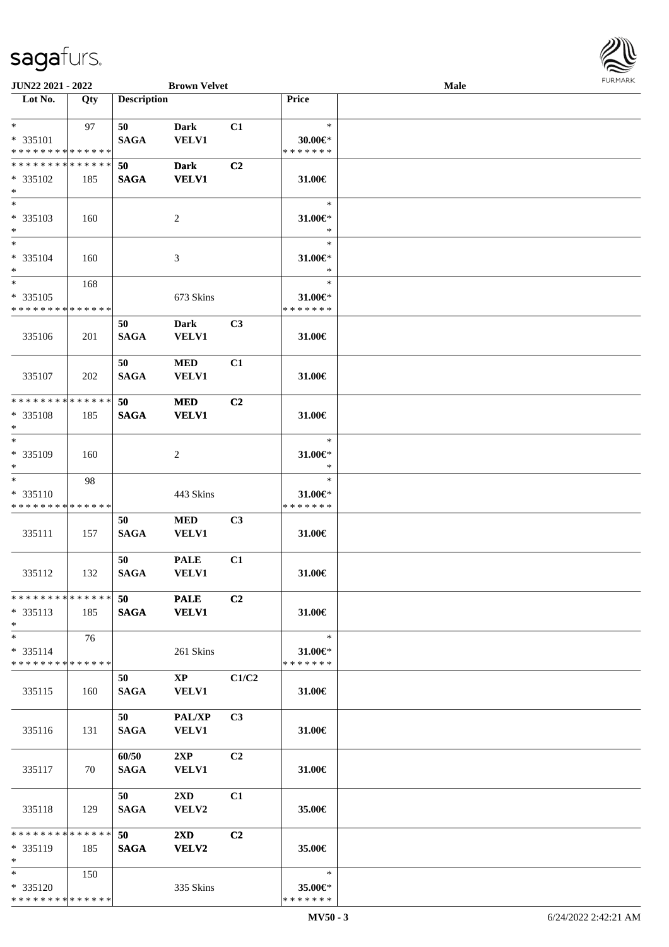| JUN22 2021 - 2022                                                  |                    |                      | <b>Brown Velvet</b>                    |                |                                          | Male |  |
|--------------------------------------------------------------------|--------------------|----------------------|----------------------------------------|----------------|------------------------------------------|------|--|
| Lot No.                                                            | Qty                | <b>Description</b>   |                                        |                | Price                                    |      |  |
| $*$<br>* 335101<br>* * * * * * * * * * * * * *                     | 97                 | 50<br><b>SAGA</b>    | <b>Dark</b><br><b>VELV1</b>            | C1             | $\ast$<br>$30.00 \in$ *<br>* * * * * * * |      |  |
| * * * * * * * * * * * * * *<br>* 335102<br>$\ast$                  | 185                | 50<br><b>SAGA</b>    | <b>Dark</b><br><b>VELV1</b>            | C2             | 31.00€                                   |      |  |
| $*$<br>* 335103<br>$\ast$<br>$\overline{\phantom{0}}$              | 160                |                      | $\sqrt{2}$                             |                | $\ast$<br>$31.00 \in$ *<br>$\ast$        |      |  |
| * 335104<br>$\ast$                                                 | 160                |                      | 3                                      |                | $\ast$<br>$31.00 \in$ *<br>$\ast$        |      |  |
| $\overline{\phantom{1}}$<br>$* 335105$<br>* * * * * * * *          | 168<br>* * * * * * |                      | 673 Skins                              |                | $\ast$<br>31.00€*<br>* * * * * * *       |      |  |
| 335106                                                             | 201                | 50<br><b>SAGA</b>    | <b>Dark</b><br>VELV1                   | C3             | 31.00€                                   |      |  |
| 335107                                                             | 202                | 50<br><b>SAGA</b>    | <b>MED</b><br><b>VELV1</b>             | C1             | 31.00€                                   |      |  |
| * * * * * * * * * * * * * *<br>* 335108<br>$\ast$                  | 185                | 50<br><b>SAGA</b>    | <b>MED</b><br><b>VELV1</b>             | C2             | 31.00€                                   |      |  |
| $\ast$<br>* 335109<br>$\ast$                                       | 160                |                      | $\overline{c}$                         |                | $\ast$<br>$31.00 \in$ *<br>$\ast$        |      |  |
| $\ast$<br>* 335110<br>* * * * * * * * * * * * * *                  | 98                 |                      | 443 Skins                              |                | $\ast$<br>31.00€*<br>* * * * * * *       |      |  |
| 335111                                                             | 157                | 50<br><b>SAGA</b>    | $\bf MED$<br><b>VELV1</b>              | C <sub>3</sub> | 31.00€                                   |      |  |
| 335112                                                             | 132                | 50<br><b>SAGA</b>    | <b>PALE</b><br><b>VELV1</b>            | C1             | 31.00€                                   |      |  |
| * * * * * * * * * * * * * * *<br>$* 335113$<br>$*$                 | 185                | 50<br><b>SAGA</b>    | <b>PALE</b><br><b>VELV1</b>            | C2             | 31.00€                                   |      |  |
| $\ast$<br>$* 335114$<br>* * * * * * * * <mark>* * * * * * *</mark> | 76                 |                      | 261 Skins                              |                | $\ast$<br>31.00€*<br>* * * * * * *       |      |  |
| 335115                                                             | 160                | 50<br><b>SAGA</b>    | $\mathbf{X}\mathbf{P}$<br><b>VELV1</b> | C1/C2          | 31.00€                                   |      |  |
| 335116                                                             | 131                | 50<br><b>SAGA</b>    | PAL/XP<br><b>VELV1</b>                 | C3             | 31.00€                                   |      |  |
| 335117                                                             | 70                 | 60/50<br><b>SAGA</b> | 2XP<br><b>VELV1</b>                    | C <sub>2</sub> | 31.00€                                   |      |  |
| 335118                                                             | 129                | 50<br><b>SAGA</b>    | $2\mathbf{X}\mathbf{D}$<br>VELV2       | C1             | 35.00€                                   |      |  |
| * * * * * * * *<br>* 335119<br>$\ast$                              | * * * * * *<br>185 | 50<br><b>SAGA</b>    | $2\mathbf{X}\mathbf{D}$<br>VELV2       | C2             | 35.00€                                   |      |  |
| $*$<br>* 335120<br>* * * * * * * * * * * * * *                     | 150                |                      | 335 Skins                              |                | $\ast$<br>35.00€*<br>* * * * * * *       |      |  |

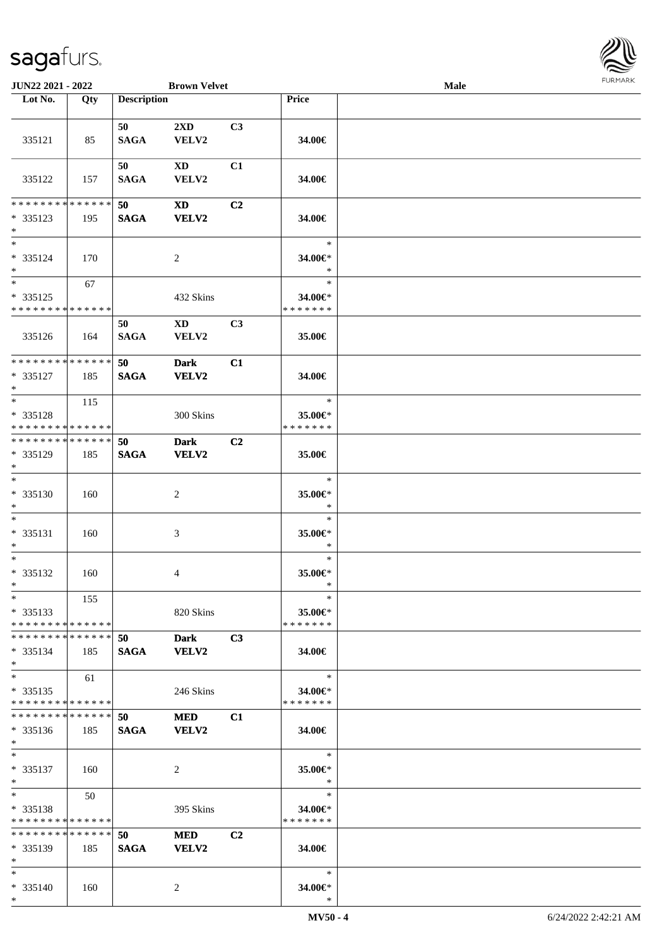

| JUN22 2021 - 2022                                  |     |                    | <b>Brown Velvet</b>             |                |                                    | Male |  |
|----------------------------------------------------|-----|--------------------|---------------------------------|----------------|------------------------------------|------|--|
| Lot No.                                            | Qty | <b>Description</b> |                                 |                | Price                              |      |  |
|                                                    |     |                    |                                 |                |                                    |      |  |
| 335121                                             | 85  | 50<br><b>SAGA</b>  | 2XD<br>VELV2                    | C3             | 34.00€                             |      |  |
| 335122                                             | 157 | 50<br><b>SAGA</b>  | <b>XD</b><br>VELV2              | C1             | 34.00€                             |      |  |
| * * * * * * * * * * * * * *                        |     | 50                 | <b>XD</b>                       | C <sub>2</sub> |                                    |      |  |
| $* 335123$<br>$*$                                  | 195 | <b>SAGA</b>        | <b>VELV2</b>                    |                | 34.00€                             |      |  |
| $\overline{\ast}$<br>$* 335124$<br>$*$             | 170 |                    | 2                               |                | $\ast$<br>34.00€*<br>$\ast$        |      |  |
| $*$<br>$* 335125$<br>* * * * * * * * * * * * * *   | 67  |                    | 432 Skins                       |                | $\ast$<br>34.00€*<br>* * * * * * * |      |  |
| 335126                                             | 164 | 50<br><b>SAGA</b>  | $\mathbf{X}\mathbf{D}$<br>VELV2 | C3             | 35.00€                             |      |  |
| * * * * * * * * * * * * * *<br>* 335127<br>$\ast$  | 185 | 50<br><b>SAGA</b>  | <b>Dark</b><br><b>VELV2</b>     | C1             | 34.00€                             |      |  |
| $*$<br>* 335128<br>* * * * * * * * * * * * * *     | 115 |                    | 300 Skins                       |                | $\ast$<br>35.00€*<br>* * * * * * * |      |  |
| * * * * * * * * * * * * * *<br>* 335129<br>$*$     | 185 | 50<br><b>SAGA</b>  | <b>Dark</b><br><b>VELV2</b>     | C <sub>2</sub> | 35.00€                             |      |  |
| $*$<br>$* 335130$<br>$*$                           | 160 |                    | $\overline{c}$                  |                | $\ast$<br>35.00€*<br>$\ast$        |      |  |
| $*$<br>$* 335131$<br>$*$                           | 160 |                    | 3                               |                | $\ast$<br>35.00€*<br>$\ast$        |      |  |
| $*$<br>$* 335132$<br>$*$                           | 160 |                    | 4                               |                | $\ast$<br>35.00€*<br>$\ast$        |      |  |
| $*$<br>$* 335133$<br>* * * * * * * * * * * * * *   | 155 |                    | 820 Skins                       |                | $\ast$<br>35.00€*<br>* * * * * * * |      |  |
| * * * * * * * * * * * * * * *<br>$* 335134$<br>$*$ | 185 | 50<br><b>SAGA</b>  | <b>Dark</b><br><b>VELV2</b>     | C3             | 34.00€                             |      |  |
| $*$<br>$*335135$<br>* * * * * * * * * * * * * *    | 61  |                    | 246 Skins                       |                | $\ast$<br>34.00€*<br>* * * * * * * |      |  |
| * * * * * * * * * * * * * *<br>$* 335136$<br>$*$   | 185 | 50<br><b>SAGA</b>  | <b>MED</b><br>VELV2             | C1             | 34.00€                             |      |  |
| $*$<br>* 335137<br>$*$                             | 160 |                    | 2                               |                | $\ast$<br>35.00€*<br>$\ast$        |      |  |
| $*$<br>* 335138<br>* * * * * * * * * * * * * *     | 50  |                    | 395 Skins                       |                | $\ast$<br>34.00€*<br>* * * * * * * |      |  |
| * * * * * * * * * * * * * *<br>$* 335139$<br>$*$   | 185 | 50<br><b>SAGA</b>  | <b>MED</b><br><b>VELV2</b>      | C <sub>2</sub> | 34.00€                             |      |  |
| $*$<br>* 335140<br>$*$                             | 160 |                    | 2                               |                | $\ast$<br>34.00€*<br>$\ast$        |      |  |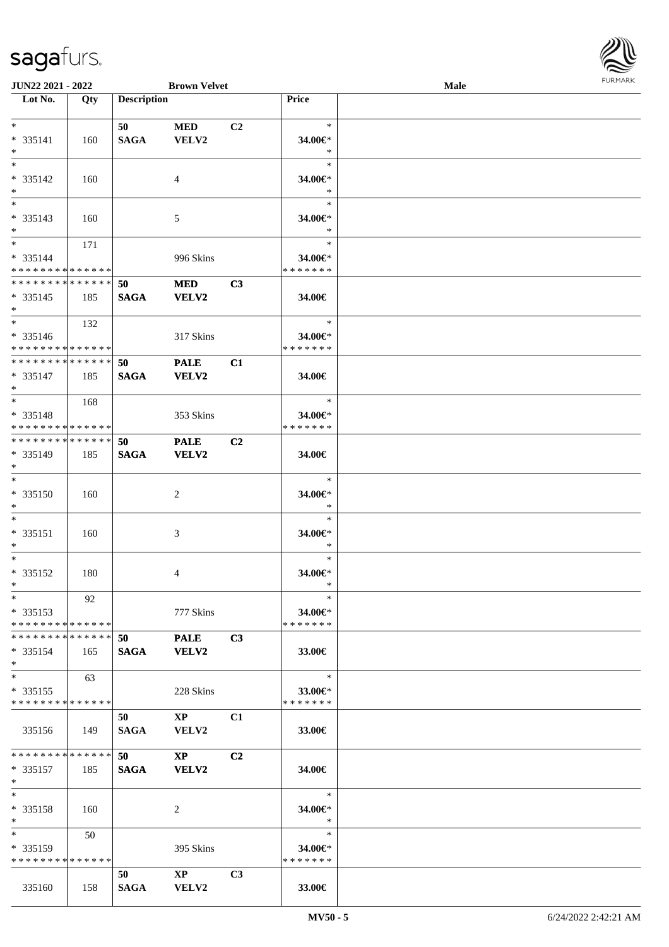

| <b>JUN22 2021 - 2022</b>      |     |                    | <b>Brown Velvet</b>    |                |               | <b>Male</b> |  |
|-------------------------------|-----|--------------------|------------------------|----------------|---------------|-------------|--|
| Lot No.                       | Qty | <b>Description</b> |                        |                | Price         |             |  |
|                               |     |                    |                        |                |               |             |  |
| $*$                           |     | 50                 | <b>MED</b>             | C <sub>2</sub> | $\ast$        |             |  |
| * 335141                      | 160 | <b>SAGA</b>        | VELV2                  |                | 34.00€*       |             |  |
| $*$                           |     |                    |                        |                | $\ast$        |             |  |
| $*$                           |     |                    |                        |                | $\ast$        |             |  |
| * 335142                      | 160 |                    | $\overline{4}$         |                | 34.00€*       |             |  |
| $*$                           |     |                    |                        |                | $\ast$        |             |  |
|                               |     |                    |                        |                | $\ast$        |             |  |
| * 335143                      | 160 |                    | 5                      |                | 34.00€*       |             |  |
| $*$                           |     |                    |                        |                | $\ast$        |             |  |
| $*$                           | 171 |                    |                        |                | $\ast$        |             |  |
| * 335144                      |     |                    | 996 Skins              |                | 34.00€*       |             |  |
| * * * * * * * * * * * * * * * |     |                    |                        |                | * * * * * * * |             |  |
| * * * * * * * * * * * * * *   |     | 50                 | <b>MED</b>             | C3             |               |             |  |
| $* 335145$                    | 185 | <b>SAGA</b>        | <b>VELV2</b>           |                | 34.00€        |             |  |
| $*$                           |     |                    |                        |                |               |             |  |
| $*$                           | 132 |                    |                        |                | $\ast$        |             |  |
| * 335146                      |     |                    | 317 Skins              |                | 34.00€*       |             |  |
| * * * * * * * * * * * * * * * |     |                    |                        |                | * * * * * * * |             |  |
| * * * * * * * * * * * * * *   |     | 50                 | <b>PALE</b>            | C1             |               |             |  |
| $* 335147$                    | 185 | <b>SAGA</b>        | <b>VELV2</b>           |                | 34.00€        |             |  |
| $*$                           |     |                    |                        |                |               |             |  |
| $*$                           | 168 |                    |                        |                | $\ast$        |             |  |
| * 335148                      |     |                    | 353 Skins              |                | 34.00€*       |             |  |
| * * * * * * * * * * * * * *   |     |                    |                        |                | * * * * * * * |             |  |
| * * * * * * * * * * * * * * * |     | 50                 | <b>PALE</b>            | C2             |               |             |  |
| * 335149                      | 185 | <b>SAGA</b>        | <b>VELV2</b>           |                | 34.00€        |             |  |
| $*$                           |     |                    |                        |                |               |             |  |
| $\overline{\ }$               |     |                    |                        |                | $\ast$        |             |  |
| * 335150                      | 160 |                    | 2                      |                | 34.00€*       |             |  |
| $*$                           |     |                    |                        |                | $\ast$        |             |  |
| $*$                           |     |                    |                        |                | $\ast$        |             |  |
| * 335151                      | 160 |                    | 3                      |                | 34.00€*       |             |  |
| $*$                           |     |                    |                        |                | $\ast$        |             |  |
| $*$                           |     |                    |                        |                | $\ast$        |             |  |
| * 335152                      | 180 |                    | 4                      |                | 34.00€*       |             |  |
| $*$                           |     |                    |                        |                | $\ast$        |             |  |
| $*$                           | 92  |                    |                        |                | $\ast$        |             |  |
| $*335153$                     |     |                    | 777 Skins              |                | 34.00€*       |             |  |
| * * * * * * * * * * * * * * * |     |                    |                        |                | * * * * * * * |             |  |
| * * * * * * * * * * * * * * * |     | 50                 | <b>PALE</b>            | C3             |               |             |  |
| * 335154                      | 165 | <b>SAGA</b>        | <b>VELV2</b>           |                | 33.00€        |             |  |
| $*$                           |     |                    |                        |                |               |             |  |
| $*$                           | 63  |                    |                        |                | $\ast$        |             |  |
| $* 335155$                    |     |                    | 228 Skins              |                | 33.00€        |             |  |
| * * * * * * * * * * * * * *   |     |                    |                        |                | * * * * * * * |             |  |
|                               |     | 50                 | $\mathbf{XP}$          | C <sub>1</sub> |               |             |  |
| 335156                        | 149 | SAGA               | <b>VELV2</b>           |                | 33.00€        |             |  |
|                               |     |                    |                        |                |               |             |  |
| * * * * * * * * * * * * * * * |     | 50                 | $\mathbf{X}\mathbf{P}$ | C2             |               |             |  |
| $* 335157$                    | 185 | <b>SAGA</b>        | <b>VELV2</b>           |                | 34.00€        |             |  |
| $*$                           |     |                    |                        |                |               |             |  |
| $*$                           |     |                    |                        |                | $\ast$        |             |  |
| * 335158                      | 160 |                    | 2                      |                | 34.00€*       |             |  |
| $*$                           |     |                    |                        |                | $\ast$        |             |  |
| $*$ and $*$                   | 50  |                    |                        |                | $\ast$        |             |  |
| * 335159                      |     |                    | 395 Skins              |                | 34.00€*       |             |  |
| * * * * * * * * * * * * * * * |     |                    |                        |                | * * * * * * * |             |  |
|                               |     | 50                 | $\mathbf{X}\mathbf{P}$ | C <sub>3</sub> |               |             |  |
| 335160                        | 158 | SAGA               | <b>VELV2</b>           |                | 33.00€        |             |  |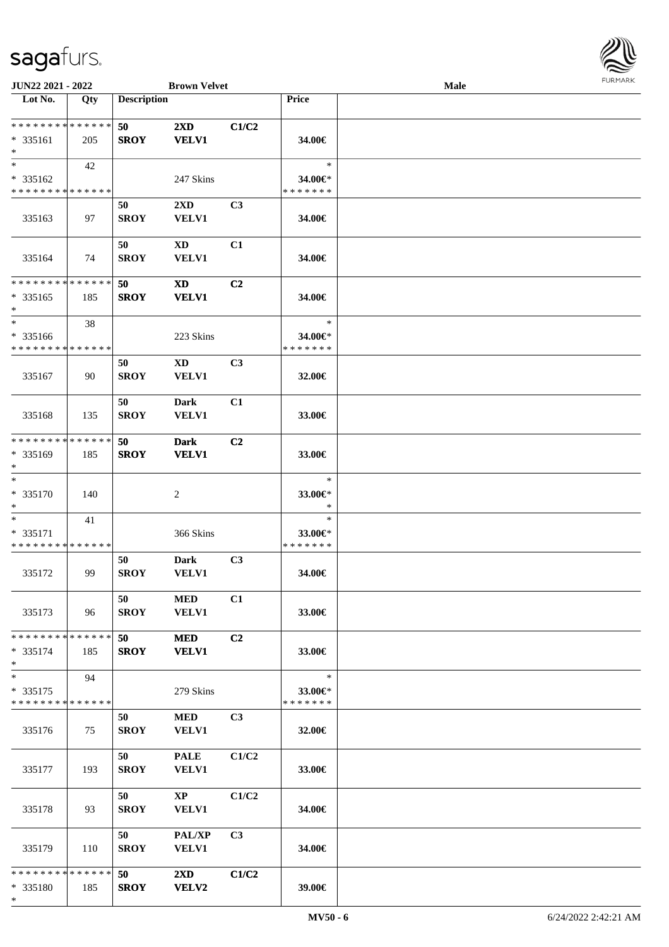

| JUN22 2021 - 2022                                  |     |                    | <b>Brown Velvet</b>                     |                |                                    | Male |  |
|----------------------------------------------------|-----|--------------------|-----------------------------------------|----------------|------------------------------------|------|--|
| Lot No.                                            | Qty | <b>Description</b> |                                         |                | <b>Price</b>                       |      |  |
| * * * * * * * * * * * * * *<br>* 335161<br>$\ast$  | 205 | 50<br><b>SROY</b>  | $2\mathbf{X}\mathbf{D}$<br><b>VELV1</b> | C1/C2          | 34.00€                             |      |  |
| $*$<br>* 335162<br>* * * * * * * * * * * * * *     | 42  |                    | 247 Skins                               |                | $\ast$<br>34.00€*<br>* * * * * * * |      |  |
| 335163                                             | 97  | 50<br><b>SROY</b>  | 2XD<br><b>VELV1</b>                     | C <sub>3</sub> | 34.00€                             |      |  |
| 335164                                             | 74  | 50<br><b>SROY</b>  | <b>XD</b><br><b>VELV1</b>               | C1             | 34.00€                             |      |  |
| **************<br>* 335165<br>$\ast$               | 185 | 50<br><b>SROY</b>  | <b>XD</b><br><b>VELV1</b>               | C2             | 34.00€                             |      |  |
| $\ast$<br>* 335166<br>* * * * * * * * * * * * * *  | 38  |                    | 223 Skins                               |                | $\ast$<br>34.00€*<br>* * * * * * * |      |  |
| 335167                                             | 90  | 50<br><b>SROY</b>  | $\mathbf{X}\mathbf{D}$<br><b>VELV1</b>  | C3             | 32.00€                             |      |  |
| 335168                                             | 135 | 50<br><b>SROY</b>  | Dark<br><b>VELV1</b>                    | C1             | 33.00€                             |      |  |
| * * * * * * * * * * * * * *<br>* 335169<br>$*$     | 185 | 50<br><b>SROY</b>  | <b>Dark</b><br><b>VELV1</b>             | C <sub>2</sub> | 33.00€                             |      |  |
| $\ast$<br>* 335170<br>$*$                          | 140 |                    | $\overline{c}$                          |                | $\ast$<br>33.00€*<br>$\ast$        |      |  |
| $*$<br>* 335171<br>* * * * * * * * * * * * * *     | 41  |                    | 366 Skins                               |                | $\ast$<br>33.00€*<br>* * * * * * * |      |  |
| 335172                                             | 99  | 50<br><b>SROY</b>  | <b>Dark</b><br><b>VELV1</b>             | C <sub>3</sub> | 34.00€                             |      |  |
| 335173                                             | 96  | 50<br><b>SROY</b>  | <b>MED</b><br><b>VELV1</b>              | C1             | 33.00€                             |      |  |
| * * * * * * * * * * * * * * *<br>$* 335174$<br>$*$ | 185 | 50<br><b>SROY</b>  | <b>MED</b><br><b>VELV1</b>              | C2             | 33.00€                             |      |  |
| $*$<br>$* 335175$<br>* * * * * * * * * * * * * *   | 94  |                    | 279 Skins                               |                | $\ast$<br>33.00€*<br>* * * * * * * |      |  |
| 335176                                             | 75  | 50<br><b>SROY</b>  | <b>MED</b><br><b>VELV1</b>              | C3             | 32.00€                             |      |  |
| 335177                                             | 193 | 50<br><b>SROY</b>  | <b>PALE</b><br><b>VELV1</b>             | C1/C2          | 33.00€                             |      |  |
| 335178                                             | 93  | 50<br><b>SROY</b>  | $\mathbf{X}\mathbf{P}$<br><b>VELV1</b>  | C1/C2          | 34.00€                             |      |  |
| 335179                                             | 110 | 50<br><b>SROY</b>  | PAL/XP<br><b>VELV1</b>                  | C3             | 34.00€                             |      |  |
| * * * * * * * * * * * * * * *<br>* 335180<br>$*$   | 185 | 50<br><b>SROY</b>  | $2\mathbf{X}\mathbf{D}$<br><b>VELV2</b> | C1/C2          | 39.00€                             |      |  |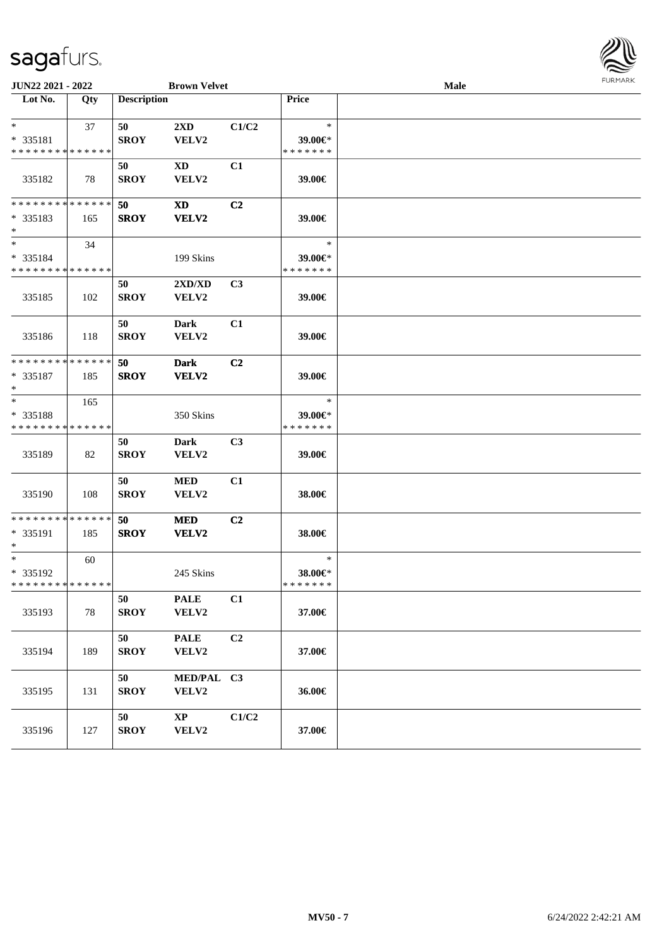| <b>JUN22 2021 - 2022</b>                            |     |                    | <b>Brown Velvet</b>              |                |                                    | Male |  |  |
|-----------------------------------------------------|-----|--------------------|----------------------------------|----------------|------------------------------------|------|--|--|
| Lot No.                                             | Qty | <b>Description</b> |                                  |                | Price                              |      |  |  |
| $*$<br>* 335181<br>* * * * * * * * * * * * * *      | 37  | 50<br><b>SROY</b>  | $2\mathbf{X}\mathbf{D}$<br>VELV2 | C1/C2          | $\ast$<br>39.00€*<br>* * * * * * * |      |  |  |
| 335182                                              | 78  | 50<br><b>SROY</b>  | <b>XD</b><br>VELV2               | C1             | 39.00€                             |      |  |  |
| * * * * * * * * * * * * * * *<br>* 335183<br>$\ast$ | 165 | 50<br><b>SROY</b>  | XD<br>VELV2                      | C <sub>2</sub> | 39.00€                             |      |  |  |
| $\ast$<br>* 335184<br>* * * * * * * * * * * * * *   | 34  |                    | 199 Skins                        |                | $\ast$<br>39.00€*<br>* * * * * * * |      |  |  |
| 335185                                              | 102 | 50<br><b>SROY</b>  | 2XD/XD<br>VELV2                  | C <sub>3</sub> | 39.00€                             |      |  |  |
| 335186                                              | 118 | 50<br><b>SROY</b>  | <b>Dark</b><br>VELV2             | C1             | 39.00€                             |      |  |  |
| * * * * * * * * * * * * * *<br>* 335187<br>$\ast$   | 185 | 50<br><b>SROY</b>  | <b>Dark</b><br>VELV2             | C2             | 39.00€                             |      |  |  |
| $\ast$<br>* 335188<br>* * * * * * * * * * * * * *   | 165 |                    | 350 Skins                        |                | $\ast$<br>39.00€*<br>* * * * * * * |      |  |  |
| 335189                                              | 82  | 50<br><b>SROY</b>  | Dark<br>VELV2                    | C <sub>3</sub> | 39.00€                             |      |  |  |
| 335190                                              | 108 | 50<br><b>SROY</b>  | <b>MED</b><br>VELV2              | C1             | 38.00€                             |      |  |  |
| * * * * * * * * * * * * * *<br>* 335191<br>$*$      | 185 | 50<br><b>SROY</b>  | <b>MED</b><br>VELV2              | C <sub>2</sub> | 38.00€                             |      |  |  |
| $*$<br>* 335192<br>* * * * * * * * * * * * * * *    | 60  |                    | 245 Skins                        |                | $\ast$<br>38.00€*<br>* * * * * * * |      |  |  |
| 335193                                              | 78  | 50<br><b>SROY</b>  | <b>PALE</b><br>VELV2             | C1             | 37.00€                             |      |  |  |
| 335194                                              | 189 | 50<br><b>SROY</b>  | <b>PALE</b><br>VELV2             | C2             | 37.00€                             |      |  |  |
| 335195                                              | 131 | 50<br><b>SROY</b>  | MED/PAL C3<br>VELV2              |                | 36.00€                             |      |  |  |
| 335196                                              | 127 | 50<br><b>SROY</b>  | $\mathbf{X}\mathbf{P}$<br>VELV2  | C1/C2          | 37.00€                             |      |  |  |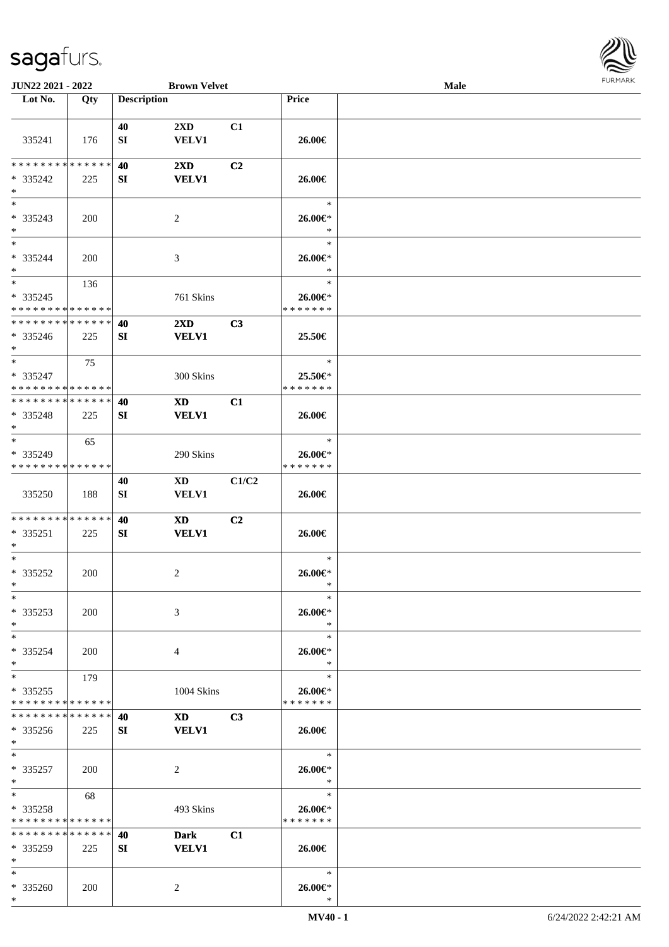

| <b>JUN22 2021 - 2022</b>                                     |            |                    | <b>Brown Velvet</b>                                                                                                                                                                                                            |       |                              | Male |  |
|--------------------------------------------------------------|------------|--------------------|--------------------------------------------------------------------------------------------------------------------------------------------------------------------------------------------------------------------------------|-------|------------------------------|------|--|
| Lot No.                                                      | Qty        | <b>Description</b> |                                                                                                                                                                                                                                |       | Price                        |      |  |
|                                                              |            |                    |                                                                                                                                                                                                                                |       |                              |      |  |
|                                                              |            | 40                 | $2\mathbf{X}\mathbf{D}$                                                                                                                                                                                                        | C1    |                              |      |  |
| 335241                                                       | 176        | SI                 | <b>VELV1</b>                                                                                                                                                                                                                   |       | 26.00€                       |      |  |
|                                                              |            |                    |                                                                                                                                                                                                                                |       |                              |      |  |
| * * * * * * * * * * * * * *                                  |            | 40                 | $2\mathbf{X}\mathbf{D}$                                                                                                                                                                                                        | C2    |                              |      |  |
| * 335242                                                     | 225        | SI                 | <b>VELV1</b>                                                                                                                                                                                                                   |       | 26.00€                       |      |  |
| $*$                                                          |            |                    |                                                                                                                                                                                                                                |       |                              |      |  |
| $\overline{\ast}$                                            |            |                    |                                                                                                                                                                                                                                |       | $\ast$                       |      |  |
| * 335243                                                     | 200        |                    | 2                                                                                                                                                                                                                              |       | 26.00€*                      |      |  |
| $*$                                                          |            |                    |                                                                                                                                                                                                                                |       | $\ast$                       |      |  |
| $*$                                                          |            |                    |                                                                                                                                                                                                                                |       | $\ast$                       |      |  |
| * 335244                                                     | <b>200</b> |                    | 3                                                                                                                                                                                                                              |       | 26.00€*                      |      |  |
| $*$<br>$*$                                                   |            |                    |                                                                                                                                                                                                                                |       | $\ast$<br>$\ast$             |      |  |
|                                                              | 136        |                    |                                                                                                                                                                                                                                |       |                              |      |  |
| * 335245<br>* * * * * * * * * * * * * *                      |            |                    | 761 Skins                                                                                                                                                                                                                      |       | $26.00 \in$<br>* * * * * * * |      |  |
| * * * * * * * * * * * * * *                                  |            |                    |                                                                                                                                                                                                                                |       |                              |      |  |
|                                                              |            | 40                 | $2\mathbf{X}\mathbf{D}$                                                                                                                                                                                                        | C3    |                              |      |  |
| $*335246$<br>$*$                                             | 225        | SI                 | <b>VELV1</b>                                                                                                                                                                                                                   |       | 25.50€                       |      |  |
| $*$                                                          |            |                    |                                                                                                                                                                                                                                |       | $\ast$                       |      |  |
|                                                              | 75         |                    |                                                                                                                                                                                                                                |       |                              |      |  |
| * 335247<br>* * * * * * * * * * * * * *                      |            |                    | 300 Skins                                                                                                                                                                                                                      |       | 25.50€*<br>* * * * * * *     |      |  |
| * * * * * * * * * * * * * * *                                |            | 40                 |                                                                                                                                                                                                                                | C1    |                              |      |  |
|                                                              |            |                    | XD                                                                                                                                                                                                                             |       |                              |      |  |
| * 335248<br>$*$                                              | 225        | SI                 | <b>VELV1</b>                                                                                                                                                                                                                   |       | 26.00€                       |      |  |
| $*$                                                          | 65         |                    |                                                                                                                                                                                                                                |       | $\ast$                       |      |  |
| * 335249                                                     |            |                    | 290 Skins                                                                                                                                                                                                                      |       | $26.00 \in$                  |      |  |
| * * * * * * * * * * * * * *                                  |            |                    |                                                                                                                                                                                                                                |       | * * * * * * *                |      |  |
|                                                              |            | 40                 | XD                                                                                                                                                                                                                             | C1/C2 |                              |      |  |
| 335250                                                       | 188        | SI                 | VELV1                                                                                                                                                                                                                          |       | 26.00€                       |      |  |
|                                                              |            |                    |                                                                                                                                                                                                                                |       |                              |      |  |
| * * * * * * * * * * * * * *                                  |            | 40                 | <b>XD</b>                                                                                                                                                                                                                      | C2    |                              |      |  |
| * 335251                                                     | 225        | SI                 | <b>VELV1</b>                                                                                                                                                                                                                   |       | 26.00€                       |      |  |
| $*$                                                          |            |                    |                                                                                                                                                                                                                                |       |                              |      |  |
| $*$                                                          |            |                    |                                                                                                                                                                                                                                |       | $\ast$                       |      |  |
| * 335252                                                     | 200        |                    | 2                                                                                                                                                                                                                              |       | 26.00€*                      |      |  |
| $*$                                                          |            |                    |                                                                                                                                                                                                                                |       | $\ast$                       |      |  |
| $*$                                                          |            |                    |                                                                                                                                                                                                                                |       | $\ast$                       |      |  |
| * 335253                                                     | <b>200</b> |                    | 3                                                                                                                                                                                                                              |       | 26.00€*                      |      |  |
| $*$                                                          |            |                    |                                                                                                                                                                                                                                |       | $\ast$                       |      |  |
| $*$                                                          |            |                    |                                                                                                                                                                                                                                |       | $\ast$                       |      |  |
| * 335254                                                     | 200        |                    | 4                                                                                                                                                                                                                              |       | 26.00€*                      |      |  |
| $*$                                                          |            |                    |                                                                                                                                                                                                                                |       | $\ast$                       |      |  |
| $*$ $*$                                                      | 179        |                    |                                                                                                                                                                                                                                |       | $\ast$                       |      |  |
| * 335255                                                     |            |                    | 1004 Skins                                                                                                                                                                                                                     |       | 26.00€*<br>* * * * * * *     |      |  |
| * * * * * * * * * * * * * *<br>* * * * * * * * * * * * * * * |            |                    |                                                                                                                                                                                                                                |       |                              |      |  |
|                                                              |            | 40                 | XD and the set of the set of the set of the set of the set of the set of the set of the set of the set of the set of the set of the set of the set of the set of the set of the set of the set of the set of the set of the se | C3    |                              |      |  |
| * 335256<br>$*$                                              | 225        | SI                 | <b>VELV1</b>                                                                                                                                                                                                                   |       | 26.00€                       |      |  |
| $*$                                                          |            |                    |                                                                                                                                                                                                                                |       | $\ast$                       |      |  |
| * 335257                                                     | 200        |                    | 2                                                                                                                                                                                                                              |       | $26.00 \text{E}^*$           |      |  |
| $*$                                                          |            |                    |                                                                                                                                                                                                                                |       | $\ast$                       |      |  |
| $*$ and $*$                                                  | 68         |                    |                                                                                                                                                                                                                                |       | $\ast$                       |      |  |
| * 335258                                                     |            |                    | 493 Skins                                                                                                                                                                                                                      |       | 26.00€*                      |      |  |
| * * * * * * * * * * * * * *                                  |            |                    |                                                                                                                                                                                                                                |       | * * * * * * *                |      |  |
| * * * * * * * * * * * * * *                                  |            | 40                 | <b>Dark</b>                                                                                                                                                                                                                    | C1    |                              |      |  |
| $*335259$                                                    | 225        | SI                 | <b>VELV1</b>                                                                                                                                                                                                                   |       | 26.00€                       |      |  |
| $*$                                                          |            |                    |                                                                                                                                                                                                                                |       |                              |      |  |
| $*$                                                          |            |                    |                                                                                                                                                                                                                                |       | $\ast$                       |      |  |
| * 335260                                                     | 200        |                    | $\overline{2}$                                                                                                                                                                                                                 |       | 26.00€*                      |      |  |
|                                                              |            |                    |                                                                                                                                                                                                                                |       |                              |      |  |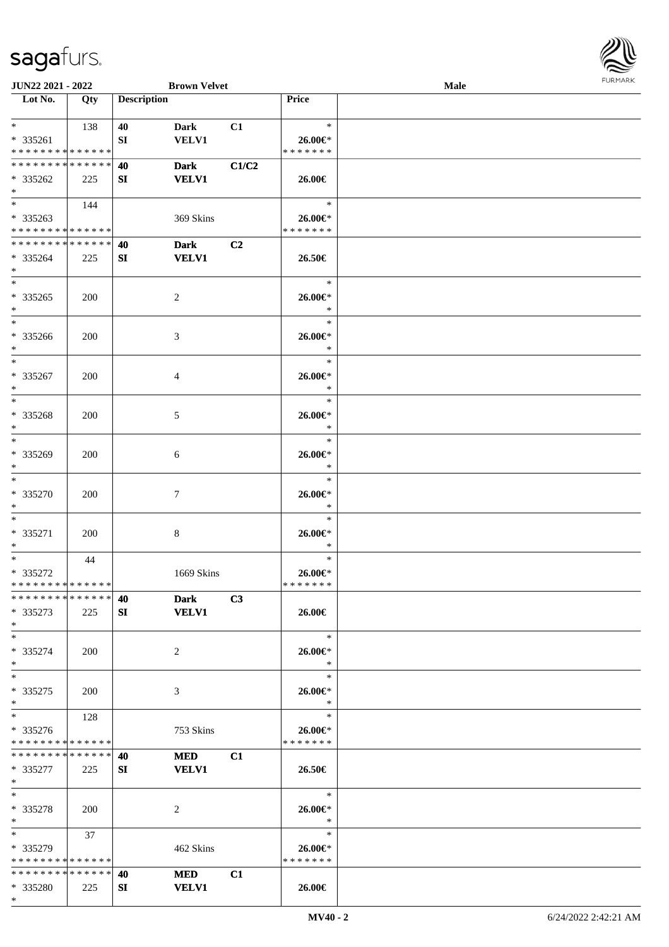\*

| JUN22 2021 - 2022             |            |                    | <b>Brown Velvet</b>               |                   | <b>Male</b> | <b>FURMA</b> |
|-------------------------------|------------|--------------------|-----------------------------------|-------------------|-------------|--------------|
| $\overline{\text{Lot No.}}$   | Qty        | <b>Description</b> |                                   | Price             |             |              |
| $*$ and $*$<br>$* 335261$     | 138        | 40<br>SI           | <b>Dark</b><br>C1<br><b>VELV1</b> | $\ast$<br>26.00€* |             |              |
| **************                |            |                    |                                   | * * * * * * *     |             |              |
| * * * * * * * * * * * * * *   |            | 40                 | <b>Dark</b><br>C1/C2              |                   |             |              |
| $*335262$                     | 225        | SI                 | <b>VELV1</b>                      | 26.00€            |             |              |
| $*$                           |            |                    |                                   |                   |             |              |
| $\overline{\phantom{a}^*}$    | 144        |                    |                                   | $\ast$            |             |              |
| $*335263$                     |            |                    | 369 Skins                         | 26.00€*           |             |              |
| ******** <mark>******</mark>  |            |                    |                                   | * * * * * * *     |             |              |
| **************                |            | 40                 | <b>Dark</b><br>C2                 |                   |             |              |
| $* 335264$<br>$*$             | 225        | SI                 | <b>VELV1</b>                      | 26.50€            |             |              |
| $\ast$                        |            |                    |                                   | $\ast$            |             |              |
|                               |            |                    |                                   |                   |             |              |
| $*335265$<br>$\ast$           | <b>200</b> |                    | $\overline{c}$                    | 26.00€*<br>$\ast$ |             |              |
| $\ast$                        |            |                    |                                   | $\ast$            |             |              |
|                               |            |                    |                                   |                   |             |              |
| * 335266                      | 200        |                    | 3                                 | 26.00€*           |             |              |
| $\ast$                        |            |                    |                                   | $\ast$            |             |              |
| $\ast$                        |            |                    |                                   | $\ast$            |             |              |
| * 335267                      | 200        |                    | $\overline{4}$                    | 26.00€*           |             |              |
| $\ast$                        |            |                    |                                   | $\ast$            |             |              |
| $\ast$                        |            |                    |                                   | $\ast$            |             |              |
| * 335268                      | <b>200</b> |                    | $\mathfrak{S}$                    | 26.00€*           |             |              |
| $\ast$                        |            |                    |                                   | $\ast$            |             |              |
| $\overline{\phantom{a}^*}$    |            |                    |                                   | $\ast$            |             |              |
| * 335269                      | 200        |                    | $\sqrt{6}$                        | 26.00€*           |             |              |
| $\ast$                        |            |                    |                                   | $\ast$            |             |              |
| $\overline{\ast}$             |            |                    |                                   | $\ast$            |             |              |
| * 335270                      | 200        |                    | $\tau$                            | 26.00€*           |             |              |
| $\ast$                        |            |                    |                                   | $\ast$            |             |              |
| $\ast$                        |            |                    |                                   | $\ast$            |             |              |
| * 335271                      | <b>200</b> |                    | $\,8\,$                           | 26.00€*           |             |              |
| $\ast$                        |            |                    |                                   | $\ast$            |             |              |
| $\overline{\phantom{a}^*}$    | 44         |                    |                                   | $\ast$            |             |              |
| * 335272                      |            |                    | 1669 Skins                        | 26.00€*           |             |              |
| * * * * * * * * * * * * * *   |            |                    |                                   | * * * * * * *     |             |              |
| **************                |            | 40                 | C3<br><b>Dark</b>                 |                   |             |              |
| $*335273$                     | 225        | SI                 | <b>VELV1</b>                      | 26.00€            |             |              |
| $\ast$                        |            |                    |                                   |                   |             |              |
| $\ast$                        |            |                    |                                   | $\ast$            |             |              |
| * 335274                      | <b>200</b> |                    | $\sqrt{2}$                        | 26.00€*           |             |              |
| $\ast$                        |            |                    |                                   | $\ast$            |             |              |
| $\overline{\phantom{a}^*}$    |            |                    |                                   | $\ast$            |             |              |
| $*335275$                     | <b>200</b> |                    | 3                                 | 26.00€*           |             |              |
| $\ast$                        |            |                    |                                   | $\ast$            |             |              |
| $\ast$                        | 128        |                    |                                   | $\ast$            |             |              |
| * 335276                      |            |                    | 753 Skins                         | 26.00€*           |             |              |
| * * * * * * * * * * * * * *   |            |                    |                                   | * * * * * * *     |             |              |
| ******** <mark>******</mark>  |            | 40                 | <b>MED</b><br>C1                  |                   |             |              |
|                               |            |                    |                                   |                   |             |              |
| $*335277$<br>$\ast$           | 225        | SI                 | <b>VELV1</b>                      | 26.50€            |             |              |
| $\ast$                        |            |                    |                                   | $\ast$            |             |              |
|                               |            |                    |                                   |                   |             |              |
| * 335278                      | <b>200</b> |                    | $\overline{c}$                    | 26.00€*           |             |              |
| $\ast$                        |            |                    |                                   | $\ast$            |             |              |
| $\ast$                        | 37         |                    |                                   | $\ast$            |             |              |
| * 335279                      |            |                    | 462 Skins                         | 26.00€*           |             |              |
| ******** <mark>*****</mark> * |            |                    |                                   | * * * * * * *     |             |              |
| ******** <mark>******</mark>  |            | 40                 | <b>MED</b><br>C1                  |                   |             |              |
| * 335280                      | 225        | SI                 | <b>VELV1</b>                      | 26.00€            |             |              |

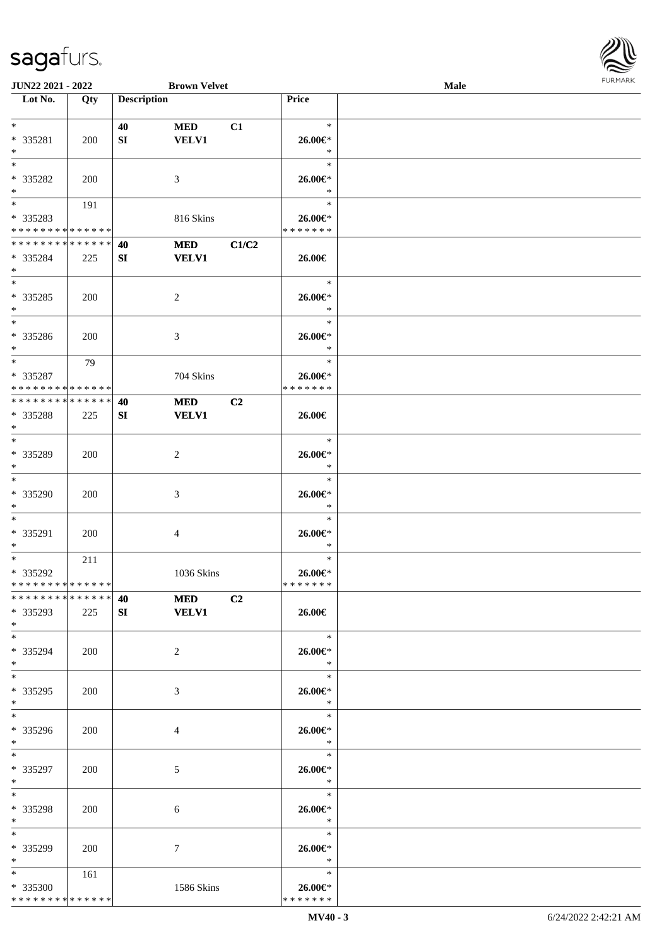

| JUN22 2021 - 2022                  |     |                    | <b>Brown Velvet</b> |                |               | Male |  |
|------------------------------------|-----|--------------------|---------------------|----------------|---------------|------|--|
| Lot No.                            | Qty | <b>Description</b> |                     |                | Price         |      |  |
|                                    |     |                    |                     |                |               |      |  |
| $\ast$                             |     | 40                 | <b>MED</b>          | C1             | $\ast$        |      |  |
| * 335281                           | 200 | SI                 | <b>VELV1</b>        |                | 26.00€*       |      |  |
| $\ast$                             |     |                    |                     |                | $\ast$        |      |  |
| $\ast$                             |     |                    |                     |                | $\ast$        |      |  |
| * 335282                           | 200 |                    | 3                   |                | 26.00€*       |      |  |
| $\ast$                             |     |                    |                     |                | $\ast$        |      |  |
| $\overline{\phantom{0}}$           | 191 |                    |                     |                | $\ast$        |      |  |
| * 335283                           |     |                    | 816 Skins           |                | 26.00€*       |      |  |
| * * * * * * * * * * * * * *        |     |                    |                     |                | * * * * * * * |      |  |
| **************                     |     |                    |                     |                |               |      |  |
|                                    |     | 40                 | <b>MED</b>          | C1/C2          |               |      |  |
| * 335284                           | 225 | SI                 | <b>VELV1</b>        |                | 26.00€        |      |  |
| $\ast$<br>$\overline{\phantom{0}}$ |     |                    |                     |                |               |      |  |
|                                    |     |                    |                     |                | $\ast$        |      |  |
| $* 335285$                         | 200 |                    | $\sqrt{2}$          |                | 26.00€*       |      |  |
| $\ast$                             |     |                    |                     |                | $\ast$        |      |  |
| $\overline{\phantom{1}}$           |     |                    |                     |                | $\ast$        |      |  |
| * 335286                           | 200 |                    | 3                   |                | 26.00€*       |      |  |
| $\ast$                             |     |                    |                     |                | $\ast$        |      |  |
| $\ast$                             | 79  |                    |                     |                | $\ast$        |      |  |
| * 335287                           |     |                    | 704 Skins           |                | 26.00€*       |      |  |
| * * * * * * * * * * * * * *        |     |                    |                     |                | * * * * * * * |      |  |
| * * * * * * * * * * * * * *        |     | 40                 | <b>MED</b>          | C2             |               |      |  |
| * 335288                           | 225 | SI                 | <b>VELV1</b>        |                | 26.00€        |      |  |
| $\ast$                             |     |                    |                     |                |               |      |  |
| $\overline{\phantom{a}^*}$         |     |                    |                     |                | $\ast$        |      |  |
| * 335289                           | 200 |                    | $\overline{c}$      |                | 26.00€*       |      |  |
| $\ast$                             |     |                    |                     |                | $\ast$        |      |  |
| $\ast$                             |     |                    |                     |                | $\ast$        |      |  |
|                                    |     |                    |                     |                |               |      |  |
| $* 335290$                         | 200 |                    | $\mathfrak{Z}$      |                | $26.00 \in$   |      |  |
| $\ast$                             |     |                    |                     |                | $\ast$        |      |  |
| $\ast$                             |     |                    |                     |                | $\ast$        |      |  |
| * 335291                           | 200 |                    | 4                   |                | 26.00€*       |      |  |
| $\ast$                             |     |                    |                     |                | $\ast$        |      |  |
| $\ast$                             | 211 |                    |                     |                | $\ast$        |      |  |
| * 335292                           |     |                    | 1036 Skins          |                | $26.00 \in$ * |      |  |
| **************                     |     |                    |                     |                | * * * * * * * |      |  |
| * * * * * * * * * * * * * * *      |     | 40                 | <b>MED</b>          | C <sub>2</sub> |               |      |  |
| * 335293                           | 225 | SI                 | <b>VELV1</b>        |                | 26.00€        |      |  |
| $*$                                |     |                    |                     |                |               |      |  |
| $*$                                |     |                    |                     |                | $\ast$        |      |  |
| * 335294                           | 200 |                    | $\overline{2}$      |                | 26.00€*       |      |  |
| $*$                                |     |                    |                     |                | $\ast$        |      |  |
| $*$                                |     |                    |                     |                | $\ast$        |      |  |
| * 335295                           | 200 |                    | 3                   |                | 26.00€*       |      |  |
| $*$                                |     |                    |                     |                | $\ast$        |      |  |
| $\overline{\phantom{0}}$           |     |                    |                     |                | $\ast$        |      |  |
|                                    |     |                    |                     |                |               |      |  |
| * 335296                           | 200 |                    | $\overline{4}$      |                | 26.00€*       |      |  |
| $*$                                |     |                    |                     |                | $\ast$        |      |  |
| $*$                                |     |                    |                     |                | $\ast$        |      |  |
| * 335297                           | 200 |                    | 5                   |                | 26.00€*       |      |  |
| $*$                                |     |                    |                     |                | $\ast$        |      |  |
| $\ast$                             |     |                    |                     |                | $\ast$        |      |  |
| * 335298                           | 200 |                    | 6                   |                | 26.00€*       |      |  |
| $*$                                |     |                    |                     |                | $\ast$        |      |  |
| $*$                                |     |                    |                     |                | $\ast$        |      |  |
| * 335299                           | 200 |                    | 7                   |                | 26.00€*       |      |  |
| $*$                                |     |                    |                     |                | $\ast$        |      |  |
| $*$ $*$                            | 161 |                    |                     |                | $\ast$        |      |  |
| * 335300                           |     |                    | 1586 Skins          |                | 26.00€*       |      |  |
| * * * * * * * * * * * * * *        |     |                    |                     |                | * * * * * * * |      |  |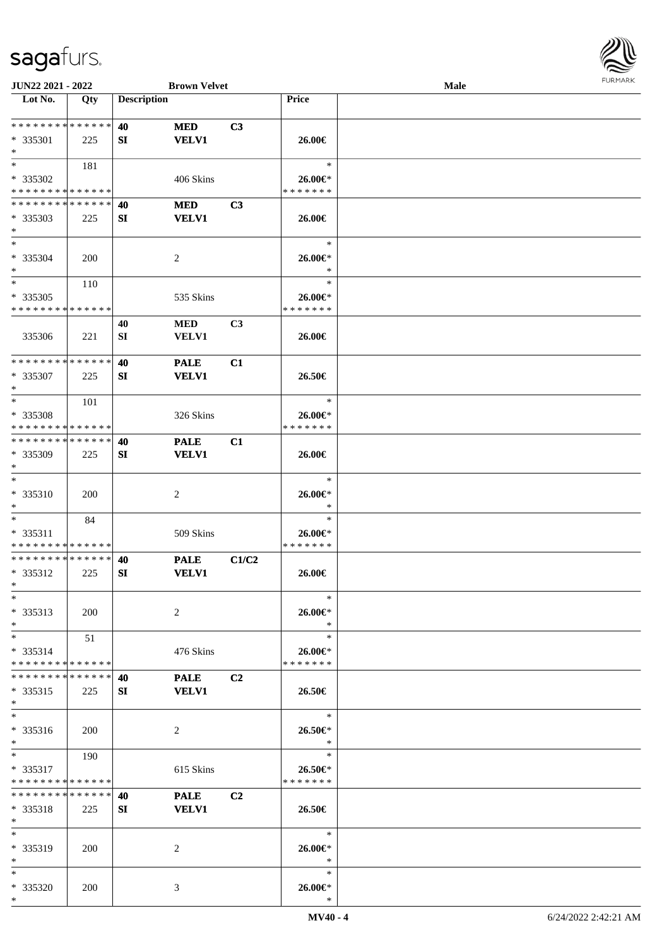

| JUN22 2021 - 2022           |            |                    | <b>Brown Velvet</b> |                |                | Male |  |
|-----------------------------|------------|--------------------|---------------------|----------------|----------------|------|--|
| Lot No.                     | Qty        | <b>Description</b> |                     |                | <b>Price</b>   |      |  |
|                             |            |                    |                     |                |                |      |  |
| **************              |            | 40                 | <b>MED</b>          | C3             |                |      |  |
| $* 335301$                  | 225        | SI                 | <b>VELV1</b>        |                | 26.00€         |      |  |
| $\ast$                      |            |                    |                     |                |                |      |  |
| $\ast$                      | 181        |                    |                     |                | $\ast$         |      |  |
|                             |            |                    |                     |                |                |      |  |
| * 335302                    |            |                    | 406 Skins           |                | 26.00€*        |      |  |
| * * * * * * * * * * * * * * |            |                    |                     |                | * * * * * * *  |      |  |
| * * * * * * * * * * * * * * |            | 40                 | <b>MED</b>          | C3             |                |      |  |
| $*335303$                   | 225        | SI                 | <b>VELV1</b>        |                | 26.00€         |      |  |
| $\ast$                      |            |                    |                     |                |                |      |  |
| $*$                         |            |                    |                     |                | $\ast$         |      |  |
| * 335304                    | <b>200</b> |                    | $\overline{c}$      |                | 26.00€*        |      |  |
| $\ast$                      |            |                    |                     |                | $\ast$         |      |  |
| $\ast$                      | 110        |                    |                     |                | $\ast$         |      |  |
| * 335305                    |            |                    | 535 Skins           |                | $26.00 \in$    |      |  |
| * * * * * * * * * * * * * * |            |                    |                     |                | * * * * * * *  |      |  |
|                             |            | 40                 | <b>MED</b>          | C <sub>3</sub> |                |      |  |
|                             |            |                    |                     |                |                |      |  |
| 335306                      | 221        | ${\bf SI}$         | <b>VELV1</b>        |                | 26.00€         |      |  |
| * * * * * * * * * * * * * * |            |                    |                     |                |                |      |  |
|                             |            | 40                 | <b>PALE</b>         | C1             |                |      |  |
| $*335307$                   | 225        | SI                 | <b>VELV1</b>        |                | 26.50€         |      |  |
| $\ast$                      |            |                    |                     |                |                |      |  |
| $*$                         | 101        |                    |                     |                | $\ast$         |      |  |
| * 335308                    |            |                    | 326 Skins           |                | 26.00€*        |      |  |
| * * * * * * * * * * * * * * |            |                    |                     |                | * * * * * * *  |      |  |
| * * * * * * * * * * * * * * |            | 40                 | <b>PALE</b>         | C1             |                |      |  |
| * 335309                    | 225        | SI                 | <b>VELV1</b>        |                | 26.00€         |      |  |
| $\ast$                      |            |                    |                     |                |                |      |  |
| $\ast$                      |            |                    |                     |                | $\ast$         |      |  |
|                             |            |                    |                     |                |                |      |  |
| * 335310                    | <b>200</b> |                    | $\sqrt{2}$          |                | 26.00€*        |      |  |
| $\ast$                      |            |                    |                     |                | $\ast$         |      |  |
| $*$                         | 84         |                    |                     |                | $\ast$         |      |  |
| * 335311                    |            |                    | 509 Skins           |                | 26.00€*        |      |  |
| * * * * * * * * * * * * * * |            |                    |                     |                | * * * * * * *  |      |  |
| * * * * * * * * * * * * * * |            | 40                 | <b>PALE</b>         | C1/C2          |                |      |  |
| * 335312                    | 225        | SI                 | <b>VELV1</b>        |                | 26.00€         |      |  |
| $*$                         |            |                    |                     |                |                |      |  |
| $*$                         |            |                    |                     |                | $\ast$         |      |  |
| $* 335313$                  | <b>200</b> |                    | 2                   |                | 26.00€*        |      |  |
| $*$                         |            |                    |                     |                | $\ast$         |      |  |
| $*$                         | 51         |                    |                     |                | $\ast$         |      |  |
| $* 335314$                  |            |                    | 476 Skins           |                | $26.00 \in$    |      |  |
| * * * * * * * * * * * * * * |            |                    |                     |                | * * * * * * *  |      |  |
|                             |            |                    |                     |                |                |      |  |
| * * * * * * * * * * * * * * |            | 40                 | <b>PALE</b>         | C2             |                |      |  |
| $* 335315$                  | 225        | SI                 | <b>VELV1</b>        |                | 26.50€         |      |  |
| $*$                         |            |                    |                     |                |                |      |  |
| $*$                         |            |                    |                     |                | $\ast$         |      |  |
| * 335316                    | 200        |                    | 2                   |                | 26.50€*        |      |  |
| $*$                         |            |                    |                     |                | $\mathbb{R}^2$ |      |  |
| $*$ and $*$                 | 190        |                    |                     |                | $\ast$         |      |  |
| $* 335317$                  |            |                    | 615 Skins           |                | 26.50€*        |      |  |
| * * * * * * * * * * * * * * |            |                    |                     |                | * * * * * * *  |      |  |
| * * * * * * * * * * * * * * |            | 40                 | <b>PALE</b>         | C <sub>2</sub> |                |      |  |
|                             |            |                    |                     |                |                |      |  |
| $* 335318$<br>$*$           | 225        | SI                 | <b>VELV1</b>        |                | 26.50€         |      |  |
|                             |            |                    |                     |                |                |      |  |
| $*$                         |            |                    |                     |                | $\ast$         |      |  |
| * 335319                    | 200        |                    | 2                   |                | 26.00€*        |      |  |
| $*$                         |            |                    |                     |                | $\ast$         |      |  |
| $*$                         |            |                    |                     |                | $\ast$         |      |  |
| * 335320                    | 200        |                    | 3                   |                | 26.00€*        |      |  |
| $*$                         |            |                    |                     |                | $\ast$         |      |  |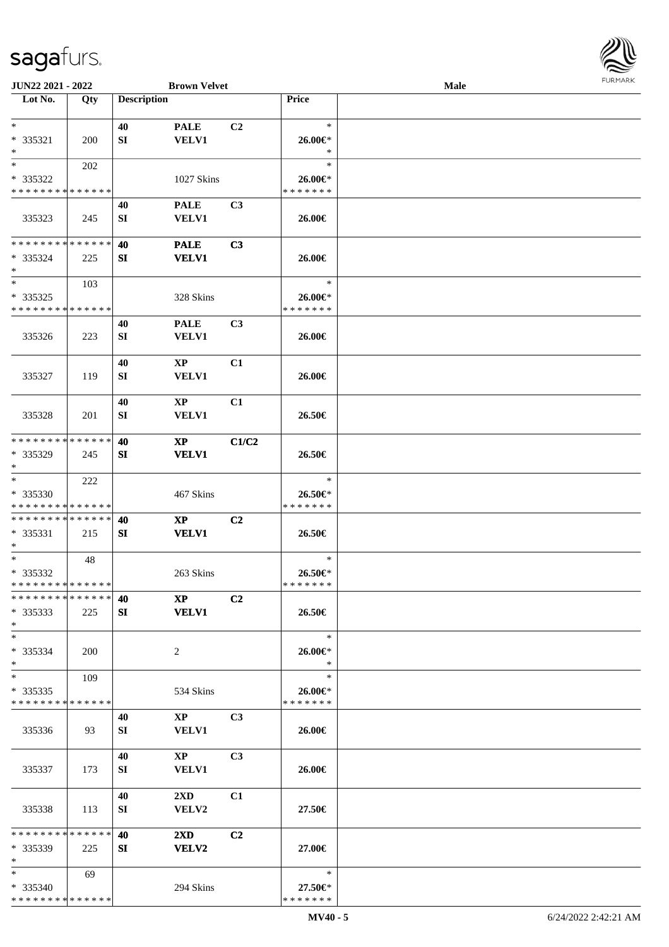

| JUN22 2021 - 2022                       |     |                    | <b>Brown Velvet</b>       |                |                          | Male |  |
|-----------------------------------------|-----|--------------------|---------------------------|----------------|--------------------------|------|--|
| Lot No.                                 | Qty | <b>Description</b> |                           |                | Price                    |      |  |
|                                         |     |                    |                           |                |                          |      |  |
| $*$                                     |     | 40                 | <b>PALE</b>               | C2             | $\ast$                   |      |  |
| $* 335321$                              | 200 | SI                 | <b>VELV1</b>              |                | 26.00€*                  |      |  |
| $\ast$<br>$*$                           |     |                    |                           |                | $\ast$<br>$\ast$         |      |  |
|                                         | 202 |                    |                           |                |                          |      |  |
| * 335322<br>* * * * * * * * * * * * * * |     |                    | 1027 Skins                |                | 26.00€*<br>* * * * * * * |      |  |
|                                         |     | 40                 | <b>PALE</b>               | C <sub>3</sub> |                          |      |  |
| 335323                                  | 245 | SI                 | <b>VELV1</b>              |                | 26.00€                   |      |  |
|                                         |     |                    |                           |                |                          |      |  |
| * * * * * * * * * * * * * *             |     | 40                 | <b>PALE</b>               | C3             |                          |      |  |
| $*335324$                               | 225 | SI                 | <b>VELV1</b>              |                | 26.00€                   |      |  |
| $\ast$                                  |     |                    |                           |                |                          |      |  |
| $\ast$                                  | 103 |                    |                           |                | $\ast$                   |      |  |
| $*335325$                               |     |                    | 328 Skins                 |                | 26.00€*                  |      |  |
| * * * * * * * * * * * * * *             |     |                    |                           |                | * * * * * * *            |      |  |
|                                         |     | 40                 | <b>PALE</b>               | C <sub>3</sub> |                          |      |  |
| 335326                                  | 223 | SI                 | <b>VELV1</b>              |                | 26.00€                   |      |  |
|                                         |     |                    |                           |                |                          |      |  |
|                                         |     | 40                 | $\mathbf{X}\mathbf{P}$    | C1             |                          |      |  |
| 335327                                  | 119 | SI                 | VELV1                     |                | 26.00€                   |      |  |
|                                         |     |                    |                           |                |                          |      |  |
|                                         |     | 40                 | $\bold{XP}$               | C1             |                          |      |  |
| 335328                                  | 201 | SI                 | <b>VELV1</b>              |                | 26.50€                   |      |  |
| * * * * * * * * * * * * * *             |     | 40                 |                           |                |                          |      |  |
| * 335329                                | 245 | SI                 | <b>XP</b><br><b>VELV1</b> | C1/C2          | 26.50€                   |      |  |
| $\ast$                                  |     |                    |                           |                |                          |      |  |
| $\ast$                                  | 222 |                    |                           |                | $\ast$                   |      |  |
| * 335330                                |     |                    | 467 Skins                 |                | 26.50€*                  |      |  |
| * * * * * * * * * * * * * *             |     |                    |                           |                | * * * * * * *            |      |  |
| **************                          |     | 40                 | $\mathbf{X}\mathbf{P}$    | C <sub>2</sub> |                          |      |  |
| $* 335331$                              | 215 | SI                 | <b>VELV1</b>              |                | 26.50€                   |      |  |
| $\ast$                                  |     |                    |                           |                |                          |      |  |
| $*$                                     | 48  |                    |                           |                | $\ast$                   |      |  |
| * 335332                                |     |                    | 263 Skins                 |                | 26.50€*                  |      |  |
| **************                          |     |                    |                           |                | * * * * * * *            |      |  |
| * * * * * * * * * * * * * * *           |     | 40                 | $\mathbf{X}\mathbf{P}$    | C2             |                          |      |  |
| $* 335333$                              | 225 | SI                 | <b>VELV1</b>              |                | 26.50€                   |      |  |
| $*$                                     |     |                    |                           |                |                          |      |  |
| $*$                                     |     |                    |                           |                | $\ast$                   |      |  |
| * 335334                                | 200 |                    | 2                         |                | 26.00€*                  |      |  |
| $*$<br>$*$                              |     |                    |                           |                | $\ast$<br>$\ast$         |      |  |
| $*335335$                               | 109 |                    | 534 Skins                 |                | 26.00€*                  |      |  |
| * * * * * * * * * * * * * *             |     |                    |                           |                | * * * * * * *            |      |  |
|                                         |     | 40                 | $\mathbf{X}\mathbf{P}$    | C <sub>3</sub> |                          |      |  |
| 335336                                  | 93  | SI                 | <b>VELV1</b>              |                | 26.00€                   |      |  |
|                                         |     |                    |                           |                |                          |      |  |
|                                         |     | 40                 | $\mathbf{XP}$             | C <sub>3</sub> |                          |      |  |
| 335337                                  | 173 | SI                 | <b>VELV1</b>              |                | 26.00€                   |      |  |
|                                         |     |                    |                           |                |                          |      |  |
|                                         |     | 40                 | $2\mathbf{X}\mathbf{D}$   | C1             |                          |      |  |
| 335338                                  | 113 | SI                 | VELV2                     |                | 27.50€                   |      |  |
|                                         |     |                    |                           |                |                          |      |  |
| * * * * * * * * * * * * * *             |     | 40                 | $2\mathbf{X}\mathbf{D}$   | C <sub>2</sub> |                          |      |  |
| * 335339                                | 225 | SI                 | <b>VELV2</b>              |                | 27.00€                   |      |  |
| $*$                                     |     |                    |                           |                |                          |      |  |
| $*$                                     | 69  |                    |                           |                | $\ast$                   |      |  |
| * 335340<br>* * * * * * * * * * * * * * |     |                    | 294 Skins                 |                | 27.50€*<br>* * * * * * * |      |  |
|                                         |     |                    |                           |                |                          |      |  |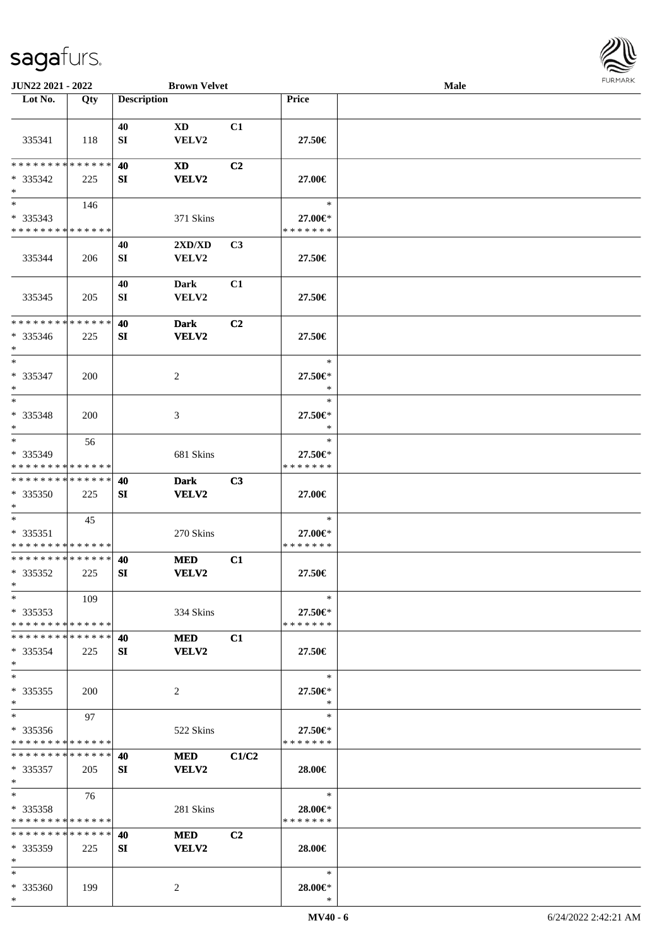

| JUN22 2021 - 2022             |     |                    | <b>Brown Velvet</b> |                |               | Male |  |
|-------------------------------|-----|--------------------|---------------------|----------------|---------------|------|--|
| Lot No.                       | Qty | <b>Description</b> |                     |                | <b>Price</b>  |      |  |
|                               |     |                    |                     |                |               |      |  |
|                               |     | 40                 | XD                  | C1             |               |      |  |
| 335341                        | 118 | ${\bf SI}$         | VELV2               |                | 27.50€        |      |  |
|                               |     |                    |                     |                |               |      |  |
| * * * * * * * * * * * * * *   |     | 40                 | <b>XD</b>           | C <sub>2</sub> |               |      |  |
| * 335342                      | 225 | SI                 | <b>VELV2</b>        |                | 27.00€        |      |  |
| $\ast$                        |     |                    |                     |                |               |      |  |
| $\overline{\phantom{1}}$      |     |                    |                     |                |               |      |  |
|                               | 146 |                    |                     |                | $\ast$        |      |  |
| * 335343                      |     |                    | 371 Skins           |                | 27.00€*       |      |  |
| * * * * * * * * * * * * * *   |     |                    |                     |                | * * * * * * * |      |  |
|                               |     | 40                 | 2XD/XD              | C3             |               |      |  |
| 335344                        | 206 | SI                 | VELV2               |                | 27.50€        |      |  |
|                               |     |                    |                     |                |               |      |  |
|                               |     | 40                 | <b>Dark</b>         | C1             |               |      |  |
| 335345                        | 205 | SI                 | VELV2               |                | 27.50€        |      |  |
|                               |     |                    |                     |                |               |      |  |
| * * * * * * * * * * * * * *   |     | 40                 | <b>Dark</b>         | C2             |               |      |  |
| * 335346                      | 225 | SI                 | <b>VELV2</b>        |                | 27.50€        |      |  |
| $\ast$                        |     |                    |                     |                |               |      |  |
| $\ast$                        |     |                    |                     |                | $\ast$        |      |  |
|                               |     |                    |                     |                |               |      |  |
| $* 335347$                    | 200 |                    | $\sqrt{2}$          |                | 27.50€*       |      |  |
| $\ast$                        |     |                    |                     |                | $\ast$        |      |  |
| $\ast$                        |     |                    |                     |                | $\ast$        |      |  |
| * 335348                      | 200 |                    | 3                   |                | 27.50€*       |      |  |
| $\ast$                        |     |                    |                     |                | $\ast$        |      |  |
| $\ast$                        | 56  |                    |                     |                | $\ast$        |      |  |
| * 335349                      |     |                    | 681 Skins           |                | 27.50€*       |      |  |
| * * * * * * * * * * * * * *   |     |                    |                     |                | * * * * * * * |      |  |
| ******** <mark>******</mark>  |     | 40                 | <b>Dark</b>         | C3             |               |      |  |
| * 335350                      | 225 | SI                 | VELV2               |                | 27.00€        |      |  |
| $\ast$                        |     |                    |                     |                |               |      |  |
| $\ast$                        | 45  |                    |                     |                | $\ast$        |      |  |
| $* 335351$                    |     |                    | 270 Skins           |                | 27.00€*       |      |  |
| **************                |     |                    |                     |                | * * * * * * * |      |  |
| **************                |     |                    |                     |                |               |      |  |
|                               |     | 40                 | <b>MED</b>          | C1             |               |      |  |
| $*335352$                     | 225 | <b>SI</b>          | <b>VELV2</b>        |                | 27.50€        |      |  |
| $*$                           |     |                    |                     |                |               |      |  |
| $*$                           | 109 |                    |                     |                | $\ast$        |      |  |
| $*335353$                     |     |                    | 334 Skins           |                | 27.50€*       |      |  |
| * * * * * * * * * * * * * *   |     |                    |                     |                | * * * * * * * |      |  |
| * * * * * * * * * * * * * *   |     | 40                 | <b>MED</b>          | C1             |               |      |  |
| $*335354$                     | 225 | SI                 | <b>VELV2</b>        |                | 27.50€        |      |  |
| $\ast$                        |     |                    |                     |                |               |      |  |
| $\ast$                        |     |                    |                     |                | $\ast$        |      |  |
| $*335355$                     | 200 |                    | 2                   |                | 27.50€*       |      |  |
| $\ast$                        |     |                    |                     |                | *             |      |  |
| $\ast$                        | 97  |                    |                     |                | $\ast$        |      |  |
| $*335356$                     |     |                    | 522 Skins           |                | 27.50€*       |      |  |
| * * * * * * * * * * * * * *   |     |                    |                     |                | * * * * * * * |      |  |
| * * * * * * * * * * * * * * * |     | 40                 | <b>MED</b>          | C1/C2          |               |      |  |
|                               |     |                    |                     |                |               |      |  |
| $*335357$                     | 205 | SI                 | <b>VELV2</b>        |                | 28.00€        |      |  |
| $\ast$                        |     |                    |                     |                |               |      |  |
| $\ast$                        | 76  |                    |                     |                | $\ast$        |      |  |
| $*335358$                     |     |                    | 281 Skins           |                | 28.00€*       |      |  |
| **************                |     |                    |                     |                | * * * * * * * |      |  |
| * * * * * * * * * * * * * *   |     | 40                 | <b>MED</b>          | C <sub>2</sub> |               |      |  |
| $*335359$                     | 225 | <b>SI</b>          | <b>VELV2</b>        |                | 28.00€        |      |  |
| $*$                           |     |                    |                     |                |               |      |  |
| $*$                           |     |                    |                     |                | $\ast$        |      |  |
| * 335360                      | 199 |                    | 2                   |                | 28.00€*       |      |  |
| $*$                           |     |                    |                     |                | $\ast$        |      |  |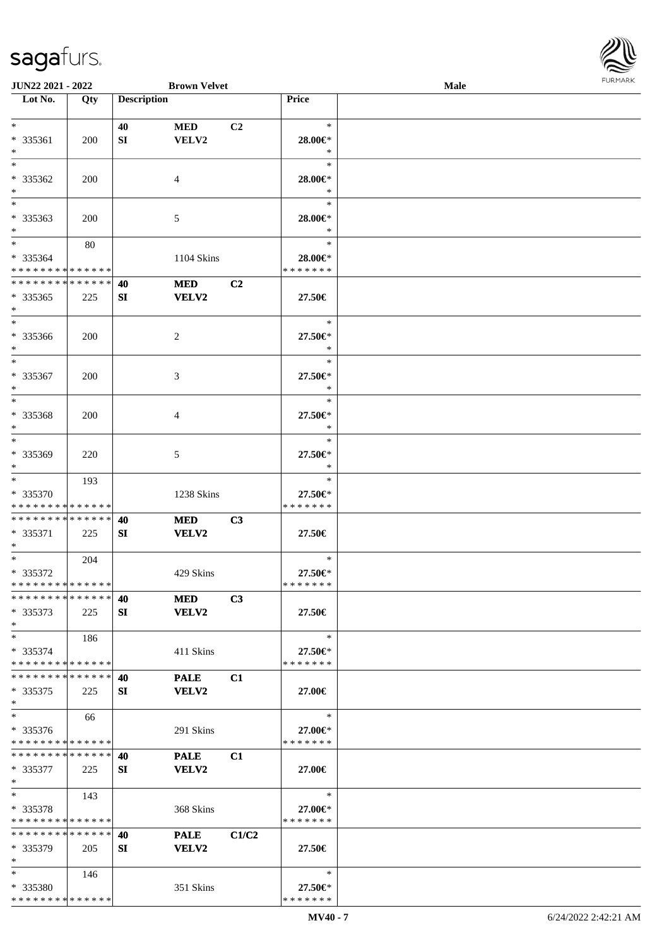

| JUN22 2021 - 2022                  |     |                    | <b>Brown Velvet</b> |       |                   | Male |  |
|------------------------------------|-----|--------------------|---------------------|-------|-------------------|------|--|
| Lot No.                            | Qty | <b>Description</b> |                     |       | Price             |      |  |
|                                    |     |                    |                     |       |                   |      |  |
| $*$                                |     | 40                 | <b>MED</b>          | C2    | $\ast$            |      |  |
| $* 335361$                         | 200 | SI                 | VELV2               |       | 28.00€*           |      |  |
| $\ast$                             |     |                    |                     |       | $\ast$            |      |  |
| $\ast$                             |     |                    |                     |       | $\ast$            |      |  |
| * 335362                           | 200 |                    |                     |       |                   |      |  |
|                                    |     |                    | 4                   |       | 28.00€*<br>$\ast$ |      |  |
| $\ast$<br>$\overline{\phantom{0}}$ |     |                    |                     |       |                   |      |  |
|                                    |     |                    |                     |       | $\ast$            |      |  |
| * 335363                           | 200 |                    | 5                   |       | 28.00€*           |      |  |
| $\ast$                             |     |                    |                     |       | $\ast$            |      |  |
| $\ast$                             | 80  |                    |                     |       | $\ast$            |      |  |
| * 335364                           |     |                    | 1104 Skins          |       | 28.00€*           |      |  |
| * * * * * * * * * * * * * *        |     |                    |                     |       | * * * * * * *     |      |  |
| **************                     |     | 40                 | <b>MED</b>          | C2    |                   |      |  |
| $*335365$                          | 225 | SI                 | VELV2               |       | 27.50€            |      |  |
| $\ast$                             |     |                    |                     |       |                   |      |  |
| $\ast$                             |     |                    |                     |       | $\ast$            |      |  |
| $* 335366$                         | 200 |                    | 2                   |       | 27.50€*           |      |  |
| $\ast$                             |     |                    |                     |       | $\ast$            |      |  |
| $\ast$                             |     |                    |                     |       | $\ast$            |      |  |
|                                    |     |                    |                     |       |                   |      |  |
| * 335367                           | 200 |                    | 3                   |       | 27.50€*           |      |  |
| $\ast$                             |     |                    |                     |       | $\ast$            |      |  |
| $\ast$                             |     |                    |                     |       | $\ast$            |      |  |
| * 335368                           | 200 |                    | 4                   |       | 27.50€*           |      |  |
| $\ast$                             |     |                    |                     |       | $\ast$            |      |  |
| $\ast$                             |     |                    |                     |       | $\ast$            |      |  |
| * 335369                           | 220 |                    | 5                   |       | 27.50€*           |      |  |
| $\ast$                             |     |                    |                     |       | *                 |      |  |
| $\ast$                             | 193 |                    |                     |       | $\ast$            |      |  |
| * 335370                           |     |                    | 1238 Skins          |       | 27.50€*           |      |  |
| * * * * * * * * * * * * * *        |     |                    |                     |       | * * * * * * *     |      |  |
| **************                     |     | 40                 | <b>MED</b>          | C3    |                   |      |  |
|                                    |     |                    |                     |       |                   |      |  |
| * 335371                           | 225 | SI                 | <b>VELV2</b>        |       | 27.50€            |      |  |
| $*$                                |     |                    |                     |       | $\ast$            |      |  |
| $*$                                | 204 |                    |                     |       |                   |      |  |
| * 335372                           |     |                    | 429 Skins           |       | 27.50€*           |      |  |
| **************                     |     |                    |                     |       | * * * * * * *     |      |  |
| * * * * * * * * * * * * * * *      |     | 40                 | <b>MED</b>          | C3    |                   |      |  |
| $*335373$                          | 225 | SI                 | VELV2               |       | 27.50€            |      |  |
| $*$                                |     |                    |                     |       |                   |      |  |
| $*$                                | 186 |                    |                     |       | $\ast$            |      |  |
| * 335374                           |     |                    | 411 Skins           |       | 27.50€*           |      |  |
| * * * * * * * * * * * * * *        |     |                    |                     |       | * * * * * * *     |      |  |
| * * * * * * * * * * * * * * *      |     | 40                 | <b>PALE</b>         | C1    |                   |      |  |
| $*335375$                          | 225 | SI                 | VELV2               |       | 27.00€            |      |  |
| $*$                                |     |                    |                     |       |                   |      |  |
| $\ast$                             |     |                    |                     |       | $\ast$            |      |  |
|                                    | 66  |                    |                     |       |                   |      |  |
| $* 335376$                         |     |                    | 291 Skins           |       | 27.00€*           |      |  |
| * * * * * * * * * * * * * *        |     |                    |                     |       | * * * * * * *     |      |  |
| * * * * * * * * * * * * * * *      |     | 40                 | <b>PALE</b>         | C1    |                   |      |  |
| * 335377                           | 225 | SI                 | <b>VELV2</b>        |       | 27.00€            |      |  |
| $*$                                |     |                    |                     |       |                   |      |  |
| $*$                                | 143 |                    |                     |       | $\ast$            |      |  |
| $* 335378$                         |     |                    | 368 Skins           |       | 27.00€*           |      |  |
| * * * * * * * * * * * * * *        |     |                    |                     |       | * * * * * * *     |      |  |
| * * * * * * * * * * * * * *        |     | 40                 | <b>PALE</b>         | C1/C2 |                   |      |  |
| * 335379                           | 205 | SI                 | <b>VELV2</b>        |       | 27.50€            |      |  |
| $*$                                |     |                    |                     |       |                   |      |  |
| $*$                                | 146 |                    |                     |       | $\ast$            |      |  |
| * 335380                           |     |                    | 351 Skins           |       | 27.50€*           |      |  |
| * * * * * * * * * * * * * *        |     |                    |                     |       | * * * * * * *     |      |  |
|                                    |     |                    |                     |       |                   |      |  |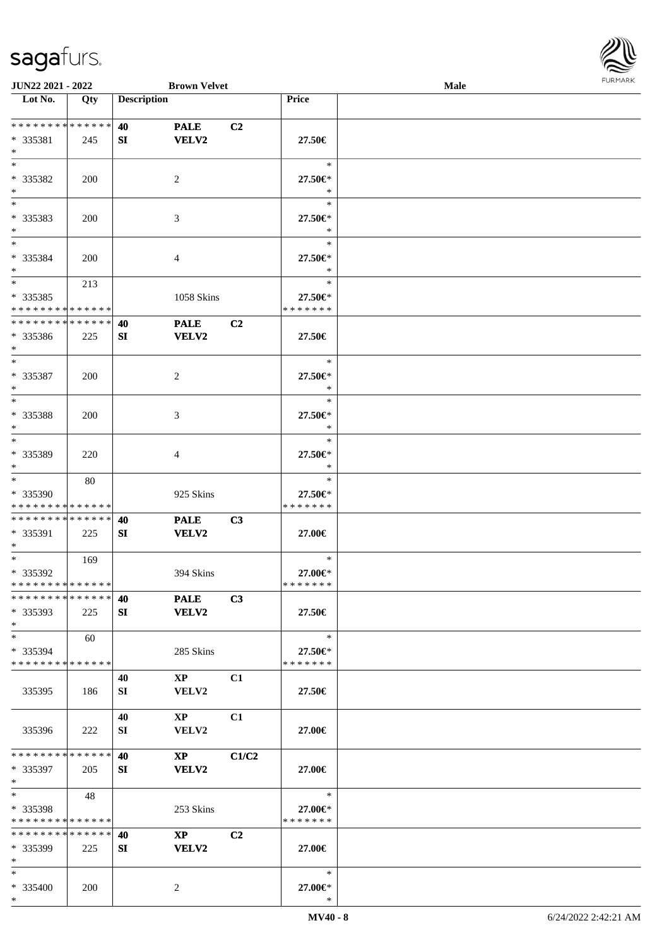

| JUN22 2021 - 2022                                 |            |                    | <b>Brown Velvet</b>             |                |                                    | Male |  |
|---------------------------------------------------|------------|--------------------|---------------------------------|----------------|------------------------------------|------|--|
| Lot No.                                           | Qty        | <b>Description</b> |                                 |                | Price                              |      |  |
| ******** <mark>******</mark><br>* 335381<br>$*$   | 245        | 40<br>SI           | <b>PALE</b><br>VELV2            | C2             | 27.50€                             |      |  |
| $*$<br>* 335382<br>$\ast$                         | 200        |                    | 2                               |                | $\ast$<br>27.50€*<br>$\ast$        |      |  |
| $\overline{\phantom{0}}$<br>* 335383<br>$*$       | 200        |                    | 3                               |                | $\ast$<br>27.50€*<br>$\ast$        |      |  |
| $*$<br>* 335384<br>$*$                            | 200        |                    | 4                               |                | $\ast$<br>27.50€*<br>$\ast$        |      |  |
| $\ast$<br>* 335385<br>* * * * * * * * * * * * * * | 213        |                    | 1058 Skins                      |                | $\ast$<br>27.50€*<br>* * * * * * * |      |  |
| * * * * * * * * * * * * * *<br>* 335386<br>$\ast$ | 225        | 40<br>SI           | <b>PALE</b><br><b>VELV2</b>     | C2             | 27.50€                             |      |  |
| $*$<br>$* 335387$<br>$*$                          | 200        |                    | 2                               |                | $\ast$<br>27.50€*<br>$\ast$        |      |  |
| $\ast$<br>* 335388<br>$\ast$                      | 200        |                    | 3                               |                | $\ast$<br>27.50€*<br>$\ast$        |      |  |
| $\ast$<br>* 335389<br>$*$                         | 220        |                    | 4                               |                | $\ast$<br>27.50€*<br>$\ast$        |      |  |
| $*$<br>* 335390<br>* * * * * * * * * * * * * *    | 80         |                    | 925 Skins                       |                | $\ast$<br>27.50€*<br>* * * * * * * |      |  |
| * * * * * * * * * * * * * *<br>* 335391<br>$*$    | 225        | 40<br>SI           | <b>PALE</b><br><b>VELV2</b>     | C3             | 27.00€                             |      |  |
| $*$<br>$* 335392$<br>* * * * * * * * * * * * * *  | 169        |                    | 394 Skins                       |                | $\ast$<br>27.00€*<br>* * * * * * * |      |  |
| * * * * * * * * * * * * * *<br>$*335393$<br>$*$   | 225        | 40<br>SI           | <b>PALE</b><br>VELV2            | C3             | 27.50€                             |      |  |
| $\ast$<br>* 335394<br>* * * * * * * * * * * * * * | 60         |                    | 285 Skins                       |                | $\ast$<br>27.50€*<br>* * * * * * * |      |  |
| 335395                                            | 186        | 40<br>SI           | $\mathbf{XP}$<br>VELV2          | C1             | 27.50€                             |      |  |
| 335396                                            | 222        | 40<br>SI           | $\mathbf{X}\mathbf{P}$<br>VELV2 | C1             | $27.00\in$                         |      |  |
| * * * * * * * * * * * * * *<br>$*335397$<br>$*$   | 205        | 40<br>SI           | $\mathbf{X}\mathbf{P}$<br>VELV2 | C1/C2          | 27.00€                             |      |  |
| $*$<br>* 335398<br>* * * * * * * * * * * * * *    | 48         |                    | 253 Skins                       |                | $\ast$<br>27.00€*<br>* * * * * * * |      |  |
| * * * * * * * * * * * * * *<br>* 335399<br>$*$    | 225        | 40<br>SI           | $\mathbf{XP}$<br>VELV2          | C <sub>2</sub> | 27.00€                             |      |  |
| $*$<br>* 335400<br>$*$                            | <b>200</b> |                    | 2                               |                | ∗<br>27.00€*<br>$\ast$             |      |  |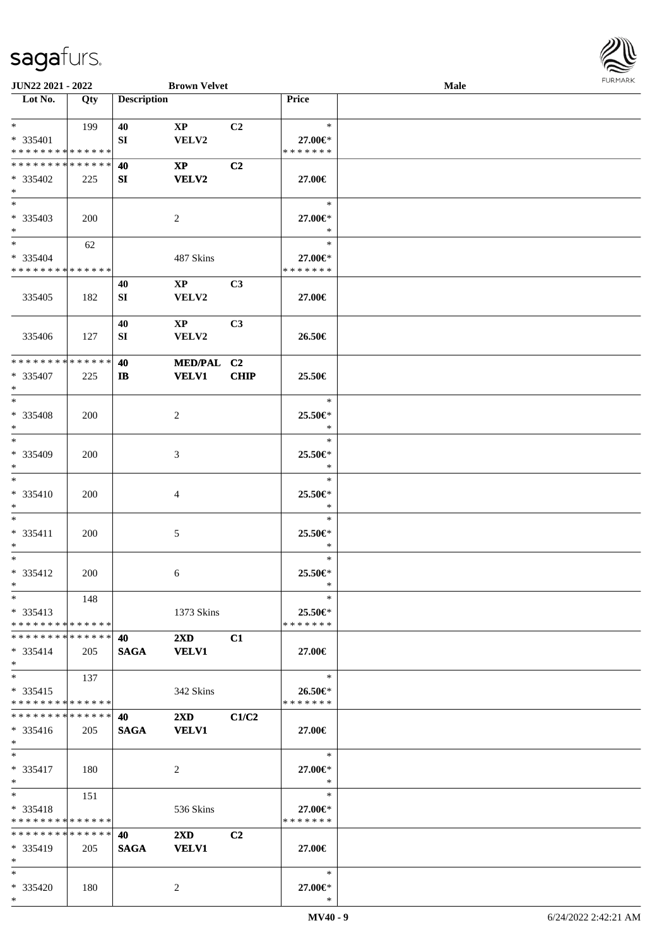

| JUN22 2021 - 2022             |     |                    | <b>Brown Velvet</b>     |                |               | Male |
|-------------------------------|-----|--------------------|-------------------------|----------------|---------------|------|
| Lot No.                       | Qty | <b>Description</b> |                         |                | Price         |      |
|                               |     |                    |                         |                |               |      |
| $*$                           | 199 | 40                 | $\mathbf{X}\mathbf{P}$  | C2             | $\ast$        |      |
|                               |     |                    |                         |                |               |      |
| * 335401                      |     | SI                 | VELV2                   |                | 27.00€*       |      |
| * * * * * * * * * * * * * *   |     |                    |                         |                | * * * * * * * |      |
| * * * * * * * * * * * * * *   |     | 40                 | $\mathbf{X}\mathbf{P}$  | C <sub>2</sub> |               |      |
| * 335402                      | 225 | SI                 | <b>VELV2</b>            |                | 27.00€        |      |
| $\ast$                        |     |                    |                         |                |               |      |
| $\overline{\phantom{0}}$      |     |                    |                         |                | $\ast$        |      |
| * 335403                      |     |                    | $\overline{2}$          |                | 27.00€*       |      |
|                               | 200 |                    |                         |                |               |      |
| $*$                           |     |                    |                         |                | $\ast$        |      |
| $\overline{\phantom{a}^*}$    | 62  |                    |                         |                | $\ast$        |      |
| * 335404                      |     |                    | 487 Skins               |                | 27.00€*       |      |
| * * * * * * * * * * * * * *   |     |                    |                         |                | * * * * * * * |      |
|                               |     | 40                 | $\mathbf{XP}$           | C3             |               |      |
|                               |     |                    | VELV2                   |                |               |      |
| 335405                        | 182 | SI                 |                         |                | 27.00€        |      |
|                               |     |                    |                         |                |               |      |
|                               |     | 40                 | $\mathbf{X}\mathbf{P}$  | C <sub>3</sub> |               |      |
| 335406                        | 127 | SI                 | VELV2                   |                | 26.50€        |      |
|                               |     |                    |                         |                |               |      |
| * * * * * * * * * * * * * *   |     | 40                 | MED/PAL C2              |                |               |      |
| * 335407                      |     |                    | <b>VELV1</b>            | CHIP           |               |      |
|                               | 225 | $\mathbf{I}$       |                         |                | 25.50€        |      |
| $\ast$                        |     |                    |                         |                |               |      |
| $*$                           |     |                    |                         |                | $\ast$        |      |
| * 335408                      | 200 |                    | $\overline{c}$          |                | 25.50€*       |      |
| $\ast$                        |     |                    |                         |                | $\ast$        |      |
| $\ast$                        |     |                    |                         |                | $\ast$        |      |
| * 335409                      |     |                    |                         |                | 25.50€*       |      |
|                               | 200 |                    | 3                       |                |               |      |
| $\ast$                        |     |                    |                         |                | $\ast$        |      |
| $\ast$                        |     |                    |                         |                | $\ast$        |      |
| * 335410                      | 200 |                    | 4                       |                | 25.50€*       |      |
| $\ast$                        |     |                    |                         |                | $\ast$        |      |
| $\ast$                        |     |                    |                         |                | $\ast$        |      |
| * 335411                      |     |                    |                         |                |               |      |
|                               | 200 |                    | $\mathfrak{S}$          |                | 25.50€*       |      |
| $*$                           |     |                    |                         |                | $\ast$        |      |
| $\ast$                        |     |                    |                         |                | $\ast$        |      |
| * 335412                      | 200 |                    | 6                       |                | 25.50€*       |      |
| $*$                           |     |                    |                         |                | $\ast$        |      |
| $*$                           | 148 |                    |                         |                | $\ast$        |      |
| $* 335413$                    |     |                    | 1373 Skins              |                | 25.50€*       |      |
|                               |     |                    |                         |                |               |      |
| * * * * * * * * * * * * * *   |     |                    |                         |                | * * * * * * * |      |
| * * * * * * * * * * * * * * * |     | 40                 | $2\mathbf{X}\mathbf{D}$ | C1             |               |      |
| $* 335414$                    | 205 | <b>SAGA</b>        | <b>VELV1</b>            |                | 27.00€        |      |
| $*$                           |     |                    |                         |                |               |      |
| $\ast$                        | 137 |                    |                         |                | $\ast$        |      |
| $* 335415$                    |     |                    |                         |                | 26.50€*       |      |
| * * * * * * * * * * * * * *   |     |                    | 342 Skins               |                | * * * * * * * |      |
|                               |     |                    |                         |                |               |      |
| * * * * * * * * * * * * * *   |     | 40                 | $2\mathbf{X}\mathbf{D}$ | C1/C2          |               |      |
| $* 335416$                    | 205 | <b>SAGA</b>        | <b>VELV1</b>            |                | 27.00€        |      |
| $*$                           |     |                    |                         |                |               |      |
| $*$                           |     |                    |                         |                | $\ast$        |      |
| $* 335417$                    | 180 |                    | $\overline{c}$          |                | 27.00€*       |      |
|                               |     |                    |                         |                | $\ast$        |      |
| $*$                           |     |                    |                         |                |               |      |
| $\ast$                        | 151 |                    |                         |                | $\ast$        |      |
| $* 335418$                    |     |                    | 536 Skins               |                | 27.00€*       |      |
| * * * * * * * * * * * * * *   |     |                    |                         |                | * * * * * * * |      |
| * * * * * * * * * * * * * *   |     | 40                 | $2\mathbf{X}\mathbf{D}$ | C2             |               |      |
| * 335419                      | 205 |                    |                         |                |               |      |
|                               |     | <b>SAGA</b>        | <b>VELV1</b>            |                | 27.00€        |      |
| $\ast$                        |     |                    |                         |                |               |      |
| $*$                           |     |                    |                         |                | $\ast$        |      |
| * 335420                      | 180 |                    | 2                       |                | 27.00€*       |      |
| $*$                           |     |                    |                         |                | $\ast$        |      |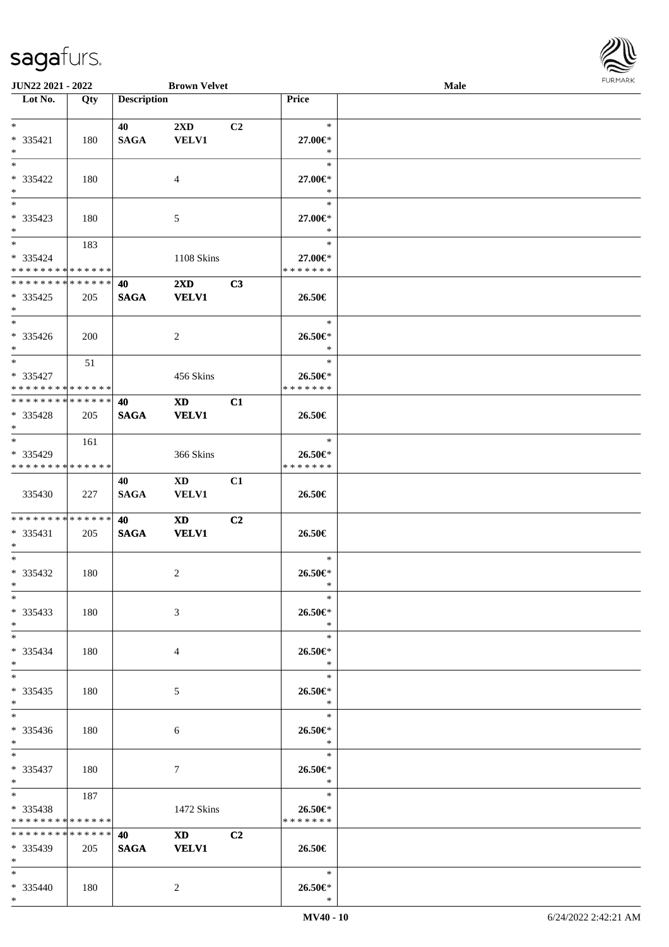

| JUN22 2021 - 2022           |     |                    | <b>Brown Velvet</b>                                                                                                                                                                                                            |                |                    | Male |  |
|-----------------------------|-----|--------------------|--------------------------------------------------------------------------------------------------------------------------------------------------------------------------------------------------------------------------------|----------------|--------------------|------|--|
| Lot No.                     | Qty | <b>Description</b> |                                                                                                                                                                                                                                |                | Price              |      |  |
|                             |     |                    |                                                                                                                                                                                                                                |                |                    |      |  |
| $\ast$                      |     | 40                 | $2\mathbf{X}\mathbf{D}$                                                                                                                                                                                                        | C <sub>2</sub> | $\ast$             |      |  |
| * 335421                    | 180 | <b>SAGA</b>        | <b>VELV1</b>                                                                                                                                                                                                                   |                | 27.00€*            |      |  |
| $\ast$                      |     |                    |                                                                                                                                                                                                                                |                | $\ast$             |      |  |
| $*$                         |     |                    |                                                                                                                                                                                                                                |                | $\ast$             |      |  |
|                             |     |                    |                                                                                                                                                                                                                                |                |                    |      |  |
| * 335422                    | 180 |                    | 4                                                                                                                                                                                                                              |                | 27.00€*            |      |  |
| $\ast$                      |     |                    |                                                                                                                                                                                                                                |                | $\ast$             |      |  |
| $\overline{\phantom{a}^*}$  |     |                    |                                                                                                                                                                                                                                |                | $\ast$             |      |  |
| * 335423                    | 180 |                    | 5                                                                                                                                                                                                                              |                | 27.00€*            |      |  |
| $*$                         |     |                    |                                                                                                                                                                                                                                |                | $\ast$             |      |  |
| $\overline{\phantom{0}}$    | 183 |                    |                                                                                                                                                                                                                                |                | $\ast$             |      |  |
| $* 335424$                  |     |                    | 1108 Skins                                                                                                                                                                                                                     |                | 27.00€*            |      |  |
| * * * * * * * * * * * * * * |     |                    |                                                                                                                                                                                                                                |                | * * * * * * *      |      |  |
| **************              |     |                    |                                                                                                                                                                                                                                |                |                    |      |  |
|                             |     | 40                 | $2\mathbf{X}\mathbf{D}$                                                                                                                                                                                                        | C3             |                    |      |  |
| $*335425$                   | 205 | <b>SAGA</b>        | <b>VELV1</b>                                                                                                                                                                                                                   |                | 26.50€             |      |  |
| $\ast$                      |     |                    |                                                                                                                                                                                                                                |                |                    |      |  |
| $\overline{\phantom{a}^*}$  |     |                    |                                                                                                                                                                                                                                |                | $\ast$             |      |  |
| $* 335426$                  | 200 |                    | $\overline{2}$                                                                                                                                                                                                                 |                | 26.50€*            |      |  |
| $*$                         |     |                    |                                                                                                                                                                                                                                |                | $\ast$             |      |  |
| $*$                         | 51  |                    |                                                                                                                                                                                                                                |                | $\ast$             |      |  |
| * 335427                    |     |                    | 456 Skins                                                                                                                                                                                                                      |                | 26.50€*            |      |  |
| * * * * * * * * * * * * * * |     |                    |                                                                                                                                                                                                                                |                | * * * * * * *      |      |  |
| **************              |     |                    |                                                                                                                                                                                                                                |                |                    |      |  |
|                             |     | 40                 | $\mathbf{X}\mathbf{D}$                                                                                                                                                                                                         | C1             |                    |      |  |
| * 335428                    | 205 | <b>SAGA</b>        | <b>VELV1</b>                                                                                                                                                                                                                   |                | 26.50€             |      |  |
| $*$                         |     |                    |                                                                                                                                                                                                                                |                |                    |      |  |
| $*$                         | 161 |                    |                                                                                                                                                                                                                                |                | $\ast$             |      |  |
| * 335429                    |     |                    | 366 Skins                                                                                                                                                                                                                      |                | 26.50€*            |      |  |
| * * * * * * * * * * * * * * |     |                    |                                                                                                                                                                                                                                |                | * * * * * * *      |      |  |
|                             |     | 40                 | $\mathbf{X}\mathbf{D}$                                                                                                                                                                                                         | C1             |                    |      |  |
| 335430                      | 227 | <b>SAGA</b>        | <b>VELV1</b>                                                                                                                                                                                                                   |                | 26.50€             |      |  |
|                             |     |                    |                                                                                                                                                                                                                                |                |                    |      |  |
| **************              |     | 40                 | <b>XD</b>                                                                                                                                                                                                                      | C2             |                    |      |  |
| $* 335431$                  |     | <b>SAGA</b>        | <b>VELV1</b>                                                                                                                                                                                                                   |                | 26.50€             |      |  |
|                             | 205 |                    |                                                                                                                                                                                                                                |                |                    |      |  |
| $*$                         |     |                    |                                                                                                                                                                                                                                |                |                    |      |  |
| $\ast$                      |     |                    |                                                                                                                                                                                                                                |                | $\ast$             |      |  |
| $* 335432$                  | 180 |                    | $\overline{c}$                                                                                                                                                                                                                 |                | 26.50€*            |      |  |
| $*$                         |     |                    |                                                                                                                                                                                                                                |                | $\ast$             |      |  |
| $*$                         |     |                    |                                                                                                                                                                                                                                |                | $\ast$             |      |  |
| * 335433                    | 180 |                    | 3                                                                                                                                                                                                                              |                | 26.50€*            |      |  |
| $*$                         |     |                    |                                                                                                                                                                                                                                |                | $\ast$             |      |  |
| $*$                         |     |                    |                                                                                                                                                                                                                                |                | $\ast$             |      |  |
| * 335434                    | 180 |                    | 4                                                                                                                                                                                                                              |                | 26.50€*            |      |  |
| $*$                         |     |                    |                                                                                                                                                                                                                                |                | $\ast$             |      |  |
| $\overline{\ast}$           |     |                    |                                                                                                                                                                                                                                |                | $\ast$             |      |  |
|                             |     |                    |                                                                                                                                                                                                                                |                |                    |      |  |
| * 335435                    | 180 |                    | 5                                                                                                                                                                                                                              |                | 26.50€*            |      |  |
| $*$                         |     |                    |                                                                                                                                                                                                                                |                | $\ast$             |      |  |
| $\overline{\phantom{0}}$    |     |                    |                                                                                                                                                                                                                                |                | $\ast$             |      |  |
| $* 335436$                  | 180 |                    | 6                                                                                                                                                                                                                              |                | 26.50€*            |      |  |
| $*$                         |     |                    |                                                                                                                                                                                                                                |                | $\ddot{x}$         |      |  |
| $*$ $-$                     |     |                    |                                                                                                                                                                                                                                |                | $\equiv$<br>$\ast$ |      |  |
| * 335437                    | 180 |                    | $\tau$                                                                                                                                                                                                                         |                | 26.50€*            |      |  |
| $*$ $*$                     |     |                    |                                                                                                                                                                                                                                |                | $\ast$             |      |  |
| $*$ and $*$                 | 187 |                    |                                                                                                                                                                                                                                |                | $\ast$             |      |  |
|                             |     |                    |                                                                                                                                                                                                                                |                |                    |      |  |
| * 335438                    |     |                    | 1472 Skins                                                                                                                                                                                                                     |                | 26.50€*            |      |  |
| * * * * * * * * * * * * * * |     |                    |                                                                                                                                                                                                                                |                | * * * * * * *      |      |  |
| * * * * * * * * * * * * * * |     | 40                 | XD and the set of the set of the set of the set of the set of the set of the set of the set of the set of the set of the set of the set of the set of the set of the set of the set of the set of the set of the set of the se | C2             |                    |      |  |
| * 335439                    | 205 | <b>SAGA</b>        | <b>VELV1</b>                                                                                                                                                                                                                   |                | 26.50€             |      |  |
| $*$                         |     |                    |                                                                                                                                                                                                                                |                |                    |      |  |
| $*$                         |     |                    |                                                                                                                                                                                                                                |                | $\ast$             |      |  |
| * 335440                    | 180 |                    | 2                                                                                                                                                                                                                              |                | 26.50€*            |      |  |
| $*$                         |     |                    |                                                                                                                                                                                                                                |                | $\ast$             |      |  |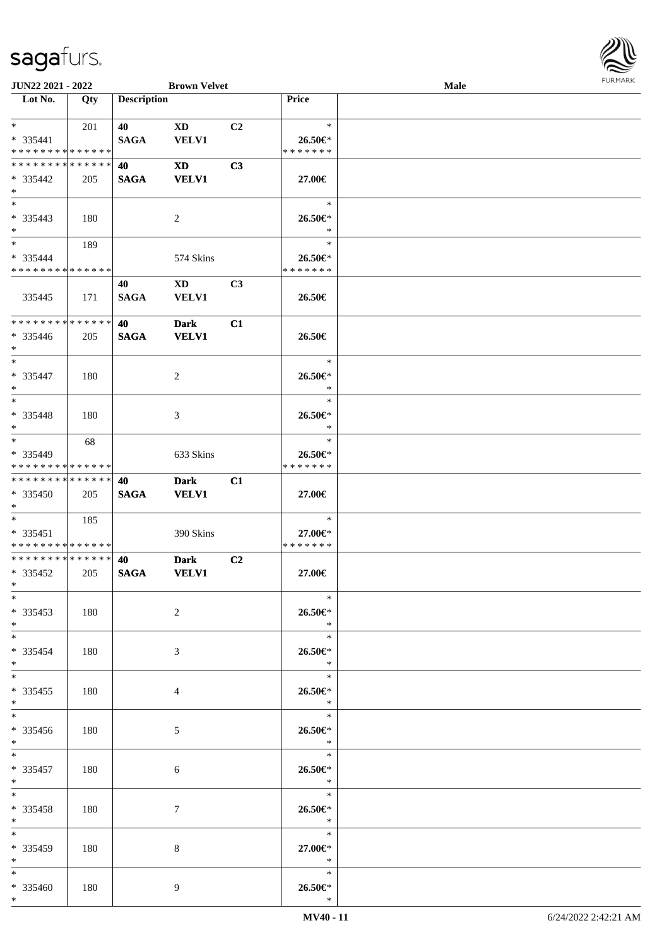\* 335459 180 8

\* 335460 180 9

\*

\*

\*

\*

| JUN22 2021 - 2022                         |     |                    | <b>Brown Velvet</b>                    |                |                               | <b>Male</b> | <b>FURPIARR</b> |
|-------------------------------------------|-----|--------------------|----------------------------------------|----------------|-------------------------------|-------------|-----------------|
| $\overline{\phantom{1}}$ Lot No.          | Qty | <b>Description</b> |                                        |                | Price                         |             |                 |
| $*$ $*$                                   | 201 | 40                 | $\mathbf{X}\mathbf{D}$                 | C2             | $\ast$                        |             |                 |
| * 335441<br>* * * * * * * * * * * * * *   |     | <b>SAGA</b>        | <b>VELV1</b>                           |                | 26.50€<br>* * * * * * *       |             |                 |
| **************                            |     | 40                 | $\boldsymbol{\mathrm{XD}}$             | C3             |                               |             |                 |
| * 335442                                  | 205 | <b>SAGA</b>        | <b>VELV1</b>                           |                | 27.00€                        |             |                 |
| $*$                                       |     |                    |                                        |                |                               |             |                 |
| $*$                                       |     |                    |                                        |                | $\ast$                        |             |                 |
| $* 335443$<br>$*$                         | 180 |                    | 2                                      |                | 26.50€*<br>$\ast$             |             |                 |
| $*$                                       | 189 |                    |                                        |                | $\ast$                        |             |                 |
| * 335444                                  |     |                    | 574 Skins                              |                | 26.50€*                       |             |                 |
| * * * * * * * * * * * * * *               |     |                    |                                        |                | * * * * * * *                 |             |                 |
| 335445                                    | 171 | 40<br><b>SAGA</b>  | $\mathbf{X}\mathbf{D}$<br><b>VELV1</b> | C <sub>3</sub> | 26.50€                        |             |                 |
| * * * * * * * * * * * * * *               |     | 40                 | <b>Dark</b>                            | C1             |                               |             |                 |
| $* 335446$<br>$*$                         | 205 | <b>SAGA</b>        | <b>VELV1</b>                           |                | 26.50€                        |             |                 |
| $*$                                       |     |                    |                                        |                | $\ast$                        |             |                 |
| * 335447<br>$\ast$                        | 180 |                    | 2                                      |                | 26.50€*<br>$\ast$             |             |                 |
| $\ast$                                    |     |                    |                                        |                | $\ast$                        |             |                 |
| * 335448<br>$\ast$                        | 180 |                    | 3                                      |                | 26.50€*<br>$\ast$             |             |                 |
| $\overline{\phantom{0}}$                  | 68  |                    |                                        |                | $\ast$                        |             |                 |
| * 335449                                  |     |                    | 633 Skins                              |                | 26.50€*                       |             |                 |
| * * * * * * * * * * * * * *               |     |                    |                                        |                | * * * * * * *                 |             |                 |
| **************                            |     | 40                 | <b>Dark</b>                            | C1             |                               |             |                 |
| * 335450<br>$\ast$                        | 205 | <b>SAGA</b>        | <b>VELV1</b>                           |                | 27.00€                        |             |                 |
| $*$                                       | 185 |                    |                                        |                | $\ast$                        |             |                 |
| $* 335451$<br>* * * * * * * * * * * * * * |     |                    | 390 Skins                              |                | 27.00€*<br>* * * * * * *      |             |                 |
| ******** <mark>******</mark>              |     | 40                 | <b>Dark</b>                            | C2             |                               |             |                 |
| $*335452$<br>ski star                     | 205 | <b>SAGA</b>        | <b>VELV1</b>                           |                | $27.00\in$                    |             |                 |
| $*$                                       |     |                    |                                        |                | $\ast$                        |             |                 |
| $*335453$<br>$*$                          | 180 |                    | $\overline{2}$                         |                | 26.50€*<br>$*$                |             |                 |
| $*$                                       |     |                    |                                        |                | $\mathbb{R}^n$                |             |                 |
| * 335454<br>$*$ $*$                       | 180 |                    | 3                                      |                | 26.50€*<br>$\ast$             |             |                 |
| $\overline{\phantom{0}}$                  |     |                    |                                        |                | $\ast$                        |             |                 |
| $*335455$<br>$*$                          | 180 |                    | 4                                      |                | 26.50€*<br>$\ast$             |             |                 |
| $\overline{\ast}$                         |     |                    |                                        |                | $\ast$                        |             |                 |
| $*335456$<br>$*$                          | 180 |                    | 5                                      |                | 26.50€*<br>$\ast$             |             |                 |
| $*$<br>* 335457                           | 180 |                    | 6                                      |                | $\ast$<br>$26.50\mathrm{e}$ * |             |                 |
| $*$ $-$                                   |     |                    |                                        |                | $\ddot{x}$                    |             |                 |
| $*$<br>* 335458                           | 180 |                    | 7                                      |                | $*$<br>26.50€*                |             |                 |
| $*$                                       |     |                    |                                        |                | $\ast$                        |             |                 |

\* \* **27.00€** \*

\* \* **26.50€**

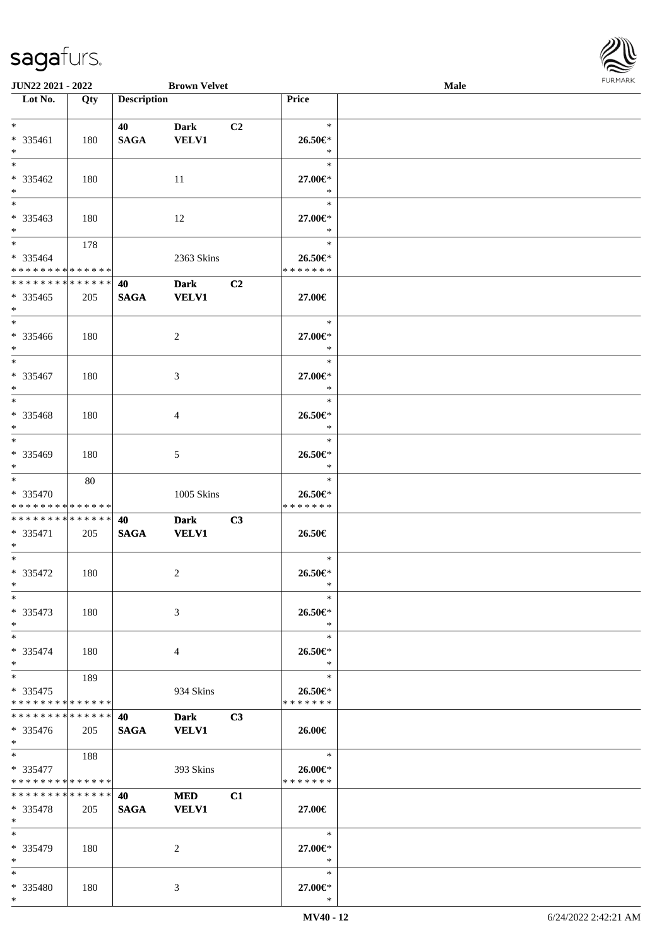

| JUN22 2021 - 2022                |     |                    | <b>Brown Velvet</b> |    |                       | <b>Male</b> |  |
|----------------------------------|-----|--------------------|---------------------|----|-----------------------|-------------|--|
| $\overline{\phantom{1}}$ Lot No. | Qty | <b>Description</b> |                     |    | Price                 |             |  |
|                                  |     |                    |                     |    |                       |             |  |
| $*$                              |     | 40                 | <b>Dark</b>         | C2 | $\ast$                |             |  |
| * 335461                         | 180 | <b>SAGA</b>        | <b>VELV1</b>        |    | 26.50€*               |             |  |
| $*$                              |     |                    |                     |    | $\ast$                |             |  |
| $*$                              |     |                    |                     |    | $\ast$                |             |  |
| * 335462                         | 180 |                    | 11                  |    | 27.00€*               |             |  |
| $*$                              |     |                    |                     |    | $\ast$                |             |  |
|                                  |     |                    |                     |    | $\ast$                |             |  |
| * 335463                         | 180 |                    | 12                  |    | 27.00€*               |             |  |
| $*$                              |     |                    |                     |    | $\ast$                |             |  |
| $\overline{\ast}$                | 178 |                    |                     |    | $\ast$                |             |  |
| * 335464                         |     |                    | 2363 Skins          |    | 26.50€*               |             |  |
| * * * * * * * * * * * * * *      |     |                    |                     |    | * * * * * * *         |             |  |
| * * * * * * * * * * * * * * *    |     | 40                 | <b>Dark</b>         | C2 |                       |             |  |
| $* 335465$                       | 205 | <b>SAGA</b>        | <b>VELV1</b>        |    | 27.00€                |             |  |
| $*$                              |     |                    |                     |    |                       |             |  |
| $*$                              |     |                    |                     |    | $\ast$                |             |  |
| * 335466                         | 180 |                    | $\overline{c}$      |    | 27.00€*               |             |  |
| $*$                              |     |                    |                     |    | $\ast$                |             |  |
| $\overline{\ast}$                |     |                    |                     |    | $\ast$                |             |  |
| * 335467                         | 180 |                    | 3                   |    | 27.00€*               |             |  |
| $*$                              |     |                    |                     |    | $\ast$                |             |  |
| $*$                              |     |                    |                     |    | $\ast$                |             |  |
| $* 335468$                       | 180 |                    | 4                   |    | 26.50€*               |             |  |
| $*$                              |     |                    |                     |    | $\ast$                |             |  |
|                                  |     |                    |                     |    | $\ast$                |             |  |
| * 335469                         | 180 |                    | 5                   |    | 26.50€*               |             |  |
| $*$                              |     |                    |                     |    | $\ast$                |             |  |
| $*$                              | 80  |                    |                     |    | $\ast$                |             |  |
| * 335470                         |     |                    | 1005 Skins          |    | 26.50€*               |             |  |
| * * * * * * * * * * * * * *      |     |                    |                     |    | * * * * * * *         |             |  |
| * * * * * * * * * * * * * * *    |     | 40                 | <b>Dark</b>         | C3 |                       |             |  |
| * 335471                         | 205 | $\mathbf{SAGA}$    | <b>VELV1</b>        |    | 26.50€                |             |  |
| $*$<br>$*$                       |     |                    |                     |    | $\ast$                |             |  |
|                                  |     |                    |                     |    |                       |             |  |
| $* 335472$                       | 180 |                    | 2                   |    | $26.50 \in$<br>$\ast$ |             |  |
| $*$ $-$<br>$*$                   |     |                    |                     |    | $\ast$                |             |  |
|                                  |     |                    |                     |    |                       |             |  |
| * 335473<br>$*$                  | 180 |                    | 3                   |    | 26.50€*<br>$\ast$     |             |  |
| $*$                              |     |                    |                     |    | $\ast$                |             |  |
| * 335474                         |     |                    |                     |    |                       |             |  |
| $*$                              | 180 |                    | 4                   |    | 26.50€*<br>$\ast$     |             |  |
| $*$ $*$                          | 189 |                    |                     |    | $\ast$                |             |  |
| * 335475                         |     |                    | 934 Skins           |    | 26.50€*               |             |  |
| * * * * * * * * * * * * * *      |     |                    |                     |    | * * * * * * *         |             |  |
| * * * * * * * * * * * * * * *    |     | 40                 | <b>Dark</b>         | C3 |                       |             |  |
| * 335476                         | 205 | <b>SAGA</b>        | <b>VELV1</b>        |    | 26.00€                |             |  |
| $*$ $-$                          |     |                    |                     |    |                       |             |  |
| $*$ $*$                          | 188 |                    |                     |    | $\ast$                |             |  |
| * 335477                         |     |                    | 393 Skins           |    | 26.00€*               |             |  |
| * * * * * * * * * * * * * * *    |     |                    |                     |    | * * * * * * *         |             |  |
| * * * * * * * * * * * * * * *    |     | 40                 | <b>MED</b>          | C1 |                       |             |  |
| * 335478                         | 205 | <b>SAGA</b>        | <b>VELV1</b>        |    | 27.00€                |             |  |
| $*$                              |     |                    |                     |    |                       |             |  |
| $*$                              |     |                    |                     |    | $\ast$                |             |  |
| * 335479                         | 180 |                    | 2                   |    | 27.00€*               |             |  |
| $*$                              |     |                    |                     |    | $\ast$                |             |  |
| $*$                              |     |                    |                     |    | $\ast$                |             |  |
| * 335480                         | 180 |                    | 3                   |    | 27.00€*               |             |  |
| $*$                              |     |                    |                     |    | $\ast$                |             |  |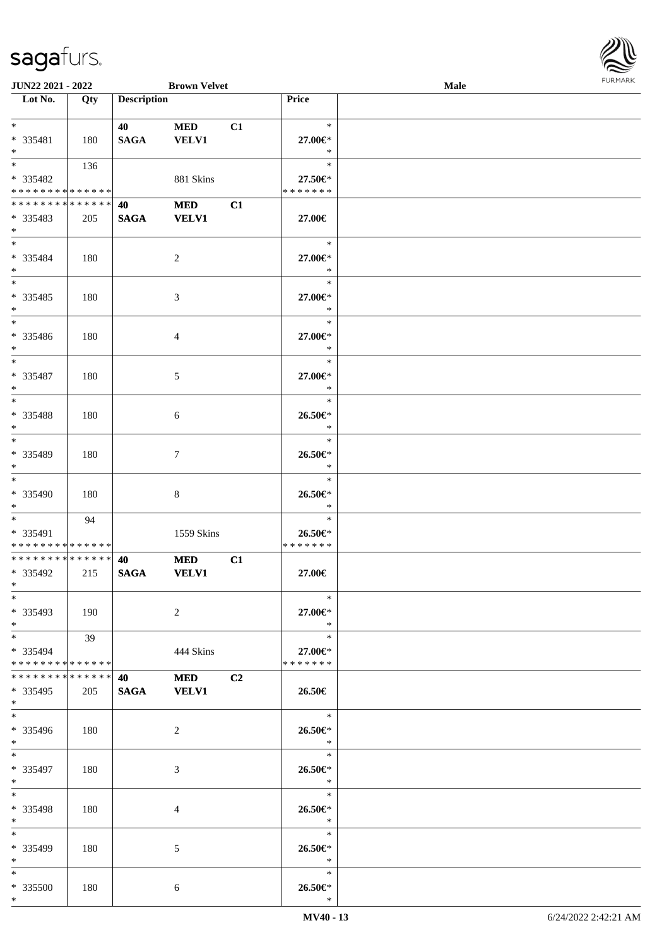

| <b>JUN22 2021 - 2022</b>      |     |                    | <b>Brown Velvet</b> |    |                     | <b>Male</b> |  |
|-------------------------------|-----|--------------------|---------------------|----|---------------------|-------------|--|
| Lot No.                       | Qty | <b>Description</b> |                     |    | Price               |             |  |
|                               |     |                    |                     |    |                     |             |  |
| $*$                           |     | 40                 | <b>MED</b>          | C1 | $\ast$              |             |  |
| * 335481                      | 180 | <b>SAGA</b>        | <b>VELV1</b>        |    | 27.00€*             |             |  |
| $*$                           |     |                    |                     |    | $\ast$              |             |  |
| $\overline{\ast}$             | 136 |                    |                     |    | $\ast$              |             |  |
|                               |     |                    |                     |    |                     |             |  |
| $* 335482$                    |     |                    | 881 Skins           |    | 27.50€*             |             |  |
| * * * * * * * * * * * * * *   |     |                    |                     |    | * * * * * * *       |             |  |
| * * * * * * * * * * * * * * * |     | 40                 | <b>MED</b>          | C1 |                     |             |  |
| * 335483                      | 205 | <b>SAGA</b>        | <b>VELV1</b>        |    | 27.00€              |             |  |
| $*$                           |     |                    |                     |    |                     |             |  |
| $*$                           |     |                    |                     |    | $\ast$              |             |  |
| * 335484                      | 180 |                    | $\overline{c}$      |    | 27.00€*             |             |  |
| $*$                           |     |                    |                     |    | $\ast$              |             |  |
|                               |     |                    |                     |    | $\ast$              |             |  |
| * 335485                      | 180 |                    |                     |    | 27.00€*             |             |  |
| $*$                           |     |                    | 3                   |    | $\ast$              |             |  |
| $*$                           |     |                    |                     |    |                     |             |  |
|                               |     |                    |                     |    | $\ast$              |             |  |
| * 335486                      | 180 |                    | 4                   |    | 27.00€*             |             |  |
| $*$                           |     |                    |                     |    | $\ast$              |             |  |
| $*$                           |     |                    |                     |    | $\ast$              |             |  |
| * 335487                      | 180 |                    | 5                   |    | 27.00€*             |             |  |
| $*$                           |     |                    |                     |    | $\ast$              |             |  |
| $\overline{\ast}$             |     |                    |                     |    | $\ast$              |             |  |
| * 335488                      | 180 |                    | 6                   |    | 26.50€*             |             |  |
| $*$                           |     |                    |                     |    | $\ast$              |             |  |
| $*$                           |     |                    |                     |    | $\ast$              |             |  |
|                               |     |                    |                     |    |                     |             |  |
| * 335489                      | 180 |                    | 7                   |    | 26.50€*             |             |  |
| $*$                           |     |                    |                     |    | $\ast$              |             |  |
| $*$                           |     |                    |                     |    | $\ast$              |             |  |
| * 335490                      | 180 |                    | 8                   |    | 26.50€*             |             |  |
| $*$                           |     |                    |                     |    | $\ast$              |             |  |
| $*$ $*$                       | 94  |                    |                     |    | $\ast$              |             |  |
| * 335491                      |     |                    | 1559 Skins          |    | 26.50€*             |             |  |
| * * * * * * * * * * * * * *   |     |                    |                     |    | * * * * * * *       |             |  |
| * * * * * * * * * * * * * * * |     | 40                 | <b>MED</b>          | C1 |                     |             |  |
| * 335492                      | 215 | <b>SAGA</b>        | <b>VELV1</b>        |    | 27.00€              |             |  |
| $*$                           |     |                    |                     |    |                     |             |  |
| $*$                           |     |                    |                     |    | $\ast$              |             |  |
|                               |     |                    |                     |    |                     |             |  |
| * 335493                      | 190 |                    | 2                   |    | 27.00€*             |             |  |
| $*$                           |     |                    |                     |    | $\ast$              |             |  |
| $*$ $*$                       | 39  |                    |                     |    | $\ast$              |             |  |
| * 335494                      |     |                    | 444 Skins           |    | 27.00€*             |             |  |
| * * * * * * * * * * * * * * * |     |                    |                     |    | * * * * * * *       |             |  |
| * * * * * * * * * * * * * * * |     | 40                 | <b>MED</b>          | C2 |                     |             |  |
| * 335495                      | 205 | SAGA VELV1         |                     |    | 26.50€              |             |  |
| $*$                           |     |                    |                     |    |                     |             |  |
| $*$                           |     |                    |                     |    | $\ast$              |             |  |
| * 335496                      | 180 |                    | 2                   |    | 26.50€*             |             |  |
| $*$                           |     |                    |                     |    | $\ast$              |             |  |
| $*$                           |     |                    |                     |    | $\ast$              |             |  |
|                               |     |                    |                     |    |                     |             |  |
| * 335497                      | 180 |                    | 3                   |    | 26.50€*             |             |  |
| $*$ $*$                       |     |                    |                     |    | $\ast$              |             |  |
| $*$                           |     |                    |                     |    | $\ast$              |             |  |
| * 335498                      | 180 |                    | 4                   |    | 26.50€*             |             |  |
| $*$                           |     |                    |                     |    | $\bullet$ $\bullet$ |             |  |
| $*$                           |     |                    |                     |    | $\ast$              |             |  |
| * 335499                      | 180 |                    | 5                   |    | 26.50€*             |             |  |
| $*$                           |     |                    |                     |    | $\ast$              |             |  |
| $*$                           |     |                    |                     |    | $\ast$              |             |  |
| * 335500                      | 180 |                    | 6                   |    | 26.50€*             |             |  |
| $*$                           |     |                    |                     |    | $\ast$              |             |  |
|                               |     |                    |                     |    |                     |             |  |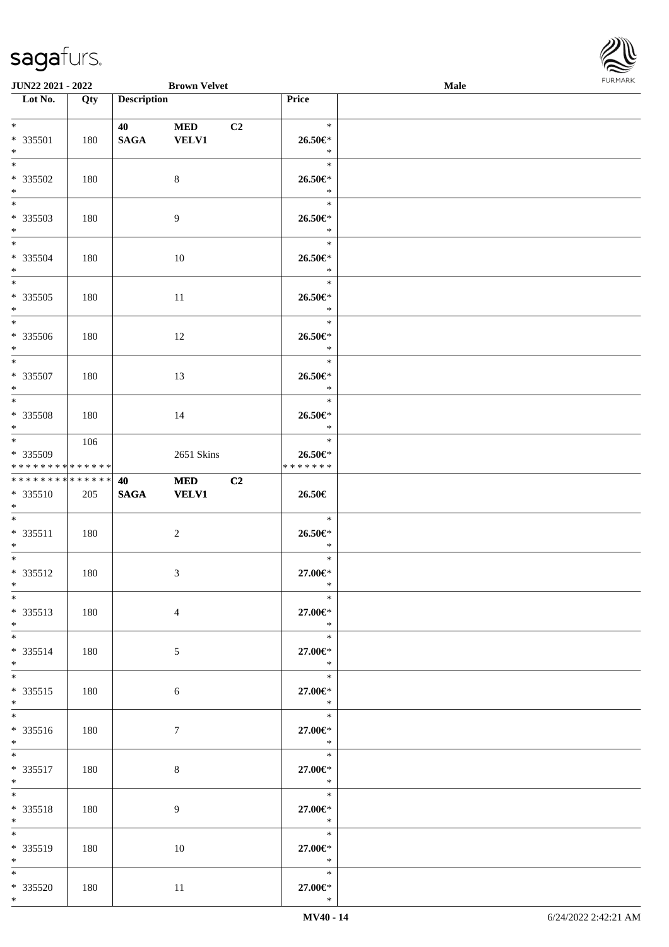

| <b>JUN22 2021 - 2022</b>                   |     |                    | <b>Brown Velvet</b> |                |               | Male |  |
|--------------------------------------------|-----|--------------------|---------------------|----------------|---------------|------|--|
| Lot No.                                    | Qty | <b>Description</b> |                     |                | Price         |      |  |
|                                            |     |                    |                     |                |               |      |  |
| $*$                                        |     | 40                 | <b>MED</b>          | C <sub>2</sub> | $\ast$        |      |  |
| * 335501                                   | 180 | <b>SAGA</b>        | <b>VELV1</b>        |                | 26.50€*       |      |  |
| $*$                                        |     |                    |                     |                | $\ast$        |      |  |
| $\overline{\ast}$                          |     |                    |                     |                | $\ast$        |      |  |
| * 335502                                   | 180 |                    | 8                   |                | 26.50€*       |      |  |
| $*$                                        |     |                    |                     |                | $\ast$        |      |  |
|                                            |     |                    |                     |                | $\ast$        |      |  |
| * 335503                                   | 180 |                    | $\overline{9}$      |                | 26.50€*       |      |  |
| $*$                                        |     |                    |                     |                | $\ast$        |      |  |
| $*$                                        |     |                    |                     |                | $\ast$        |      |  |
| * 335504                                   | 180 |                    | 10                  |                | 26.50€*       |      |  |
| $*$                                        |     |                    |                     |                | $\ast$        |      |  |
|                                            |     |                    |                     |                | $\ast$        |      |  |
| * 335505                                   | 180 |                    | 11                  |                | 26.50€*       |      |  |
| $*$                                        |     |                    |                     |                | $\ast$        |      |  |
| $\overline{\mathbf{r}^*}$                  |     |                    |                     |                | $\ast$        |      |  |
| * 335506                                   | 180 |                    | 12                  |                | 26.50€*       |      |  |
| $*$                                        |     |                    |                     |                | $\ast$        |      |  |
| $*$                                        |     |                    |                     |                | $\ast$        |      |  |
| * 335507                                   | 180 |                    | 13                  |                | 26.50€*       |      |  |
| $*$                                        |     |                    |                     |                | $\ast$        |      |  |
|                                            |     |                    |                     |                | $\ast$        |      |  |
| * 335508                                   | 180 |                    | 14                  |                | 26.50€*       |      |  |
| $*$                                        |     |                    |                     |                | $\ast$        |      |  |
|                                            | 106 |                    |                     |                | $\ast$        |      |  |
| * 335509                                   |     |                    | 2651 Skins          |                | 26.50€*       |      |  |
| * * * * * * * * <mark>* * * * * * *</mark> |     |                    |                     |                | * * * * * * * |      |  |
| * * * * * * * * <mark>* * * * * * *</mark> |     | 40                 | <b>MED</b>          | C2             |               |      |  |
| * 335510                                   | 205 | <b>SAGA</b>        | <b>VELV1</b>        |                | 26.50€        |      |  |
| $*$                                        |     |                    |                     |                |               |      |  |
| $*$                                        |     |                    |                     |                | $\ast$        |      |  |
| * 335511                                   | 180 |                    | $\overline{c}$      |                | 26.50€*       |      |  |
| $*$                                        |     |                    |                     |                | $\ast$        |      |  |
| $*$ $-$                                    |     |                    |                     |                | $\ast$        |      |  |
| * 335512                                   | 180 |                    | 3                   |                | 27.00€*       |      |  |
| $*$ $-$                                    |     |                    |                     |                | $\ast$        |      |  |
| $*$                                        |     |                    |                     |                | $\ast$        |      |  |
| * 335513                                   | 180 |                    | $\overline{4}$      |                | 27.00€*       |      |  |
| $*$                                        |     |                    |                     |                | $*$           |      |  |
| $*$                                        |     |                    |                     |                | $\ast$        |      |  |
| * 335514                                   | 180 |                    | 5                   |                | 27.00€*       |      |  |
| $*$                                        |     |                    |                     |                | $\ast$        |      |  |
| $*$                                        |     |                    |                     |                | $\ast$        |      |  |
| * 335515                                   | 180 |                    | 6                   |                | 27.00€*       |      |  |
| $*$                                        |     |                    |                     |                | $\ast$        |      |  |
|                                            |     |                    |                     |                | $\ast$        |      |  |
| * 335516                                   | 180 |                    | $\tau$              |                | 27.00€*       |      |  |
| $*$                                        |     |                    |                     |                | $\mathbb{R}$  |      |  |
| $\ddot{x}$                                 |     |                    |                     |                | $\ast$        |      |  |
| * 335517                                   | 180 |                    | $\,8\,$             |                | 27.00€*       |      |  |
| $*$ $-$                                    |     |                    |                     |                | $\star$       |      |  |
| $*$ $*$                                    |     |                    |                     |                | $\ast$        |      |  |
| * 335518                                   | 180 |                    | 9                   |                | 27.00€*       |      |  |
| $*$ $-$                                    |     |                    |                     |                | $\ast$        |      |  |
| $*$                                        |     |                    |                     |                | $\ast$        |      |  |
| * 335519                                   | 180 |                    | 10                  |                | 27.00€*       |      |  |
| $*$                                        |     |                    |                     |                | $\ast$        |      |  |
| $*$                                        |     |                    |                     |                | $\ast$        |      |  |
| * 335520                                   | 180 |                    | 11                  |                | 27.00€*       |      |  |
| $*$                                        |     |                    |                     |                | $\ast$        |      |  |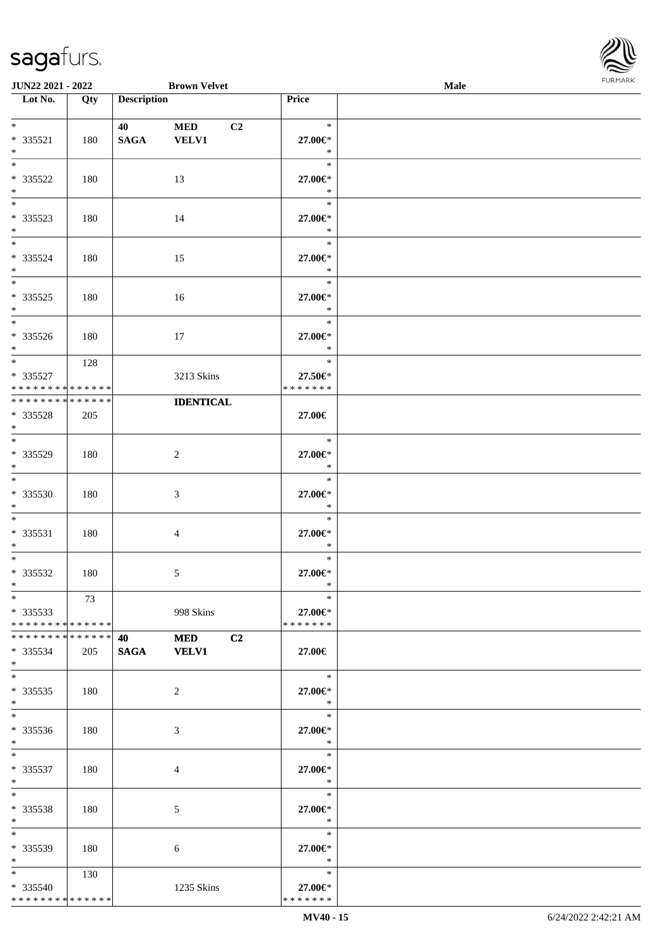

| JUN22 2021 - 2022                                                            |     |                                                 | <b>Brown Velvet</b>              |                                       | Male |  |
|------------------------------------------------------------------------------|-----|-------------------------------------------------|----------------------------------|---------------------------------------|------|--|
| Lot No.                                                                      | Qty | <b>Description</b>                              |                                  | Price                                 |      |  |
| $*$<br>* 335521<br>$\ast$                                                    | 180 | 40<br><b>SAGA</b>                               | C2<br><b>MED</b><br><b>VELV1</b> | $\ast$<br>27.00€*<br>$\ast$           |      |  |
| $\overline{\ast}$<br>* 335522<br>$\ast$                                      | 180 |                                                 | 13                               | $\ast$<br>27.00€*<br>$\ast$           |      |  |
| $\overline{\phantom{0}}$<br>* 335523<br>$\ast$<br>$\overline{\phantom{a}^*}$ | 180 |                                                 | 14                               | $\ast$<br>27.00€*<br>$\ast$           |      |  |
| * 335524<br>$\ast$<br>$\overline{\phantom{0}}$                               | 180 |                                                 | 15                               | $\ast$<br>27.00€*<br>$\ast$           |      |  |
| $*335525$<br>$\ast$<br>$\overline{\phantom{a}^*}$                            | 180 |                                                 | 16                               | $\ast$<br>27.00€*<br>$\ast$<br>$\ast$ |      |  |
| $*335526$<br>$*$                                                             | 180 |                                                 | 17                               | 27.00€*<br>$\ast$                     |      |  |
| $\ast$<br>* 335527<br>* * * * * * * * * * * * * *                            | 128 |                                                 | 3213 Skins                       | $\ast$<br>27.50€*<br>* * * * * * *    |      |  |
| * * * * * * * * * * * * * *<br>* 335528<br>$*$                               | 205 |                                                 | <b>IDENTICAL</b>                 | 27.00€                                |      |  |
| $\overline{\phantom{a}^*}$<br>* 335529<br>$*$                                | 180 |                                                 | $\overline{2}$                   | $\ast$<br>27.00€*<br>$\ast$           |      |  |
| $*$<br>* 335530<br>$*$                                                       | 180 |                                                 | $\mathfrak{Z}$                   | $\ast$<br>27.00€*<br>$\ast$           |      |  |
| $*$<br>* 335531<br>$*$                                                       | 180 |                                                 | 4                                | $\ast$<br>27.00€*<br>$\ast$           |      |  |
| $\ast$<br>$* 335532$<br>$*$                                                  | 180 |                                                 | $\sqrt{5}$                       | $\ast$<br>27.00€*<br>$\ast$           |      |  |
| $*$<br>$*335533$<br>* * * * * * * * * * * * * * *                            | 73  |                                                 | 998 Skins                        | $\ast$<br>27.00€*<br>* * * * * * *    |      |  |
| * * * * * * * * * * * * * * *<br>$*335534$<br>$*$                            | 205 | <b>40</b> and the set of $\theta$<br>SAGA VELV1 | <b>MED</b><br>C <sub>2</sub>     | 27.00€                                |      |  |
| $\ast$<br>$*335535$<br>$*$                                                   | 180 |                                                 | 2                                | $\ast$<br>27.00€*<br>$\ast$           |      |  |
| $\overline{\phantom{0}}$<br>* 335536<br>$*$                                  | 180 |                                                 | 3                                | $\ast$<br>27.00€*<br>$\ast$           |      |  |
| $*$<br>$* 335537$<br>$*$                                                     | 180 |                                                 | 4                                | $\ast$<br>27.00€*<br>$\ast$           |      |  |
| $*$<br>* 335538<br>$*$                                                       | 180 |                                                 | 5                                | $\ast$<br>27.00€*<br>$\ast$           |      |  |
| $*$<br>* 335539<br>$*$ $*$                                                   | 180 |                                                 | 6                                | $\ast$<br>27.00€*<br>$\ast$           |      |  |
| $*$ $*$<br>* 335540<br>* * * * * * * * * * * * * *                           | 130 |                                                 | 1235 Skins                       | $\ast$<br>27.00€*<br>* * * * * * *    |      |  |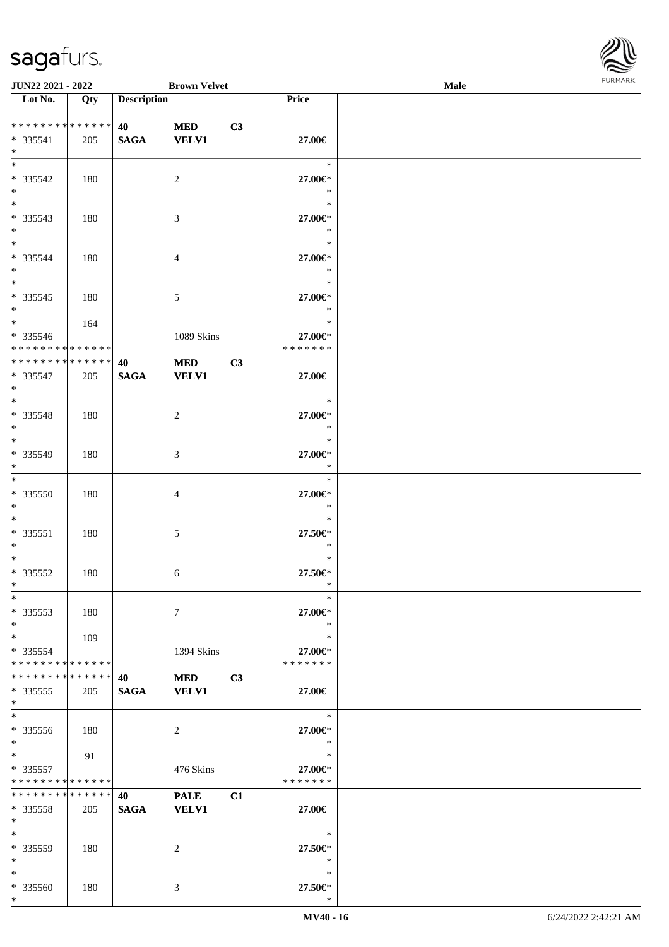

| <b>JUN22 2021 - 2022</b>      |     |                    | <b>Brown Velvet</b> |    |               | Male |  |
|-------------------------------|-----|--------------------|---------------------|----|---------------|------|--|
| Lot No.                       | Qty | <b>Description</b> |                     |    | Price         |      |  |
|                               |     |                    |                     |    |               |      |  |
| **************                |     | <b>40</b>          | <b>MED</b>          | C3 |               |      |  |
| * 335541                      | 205 | <b>SAGA</b>        | <b>VELV1</b>        |    | 27.00€        |      |  |
| $*$                           |     |                    |                     |    |               |      |  |
| $*$                           |     |                    |                     |    | $\ast$        |      |  |
| * 335542                      | 180 |                    | 2                   |    | 27.00€*       |      |  |
| $\ast$                        |     |                    |                     |    | $\ast$        |      |  |
|                               |     |                    |                     |    | $\ast$        |      |  |
| * 335543                      | 180 |                    | 3                   |    | 27.00€*       |      |  |
| $*$                           |     |                    |                     |    | $\ast$        |      |  |
| $*$                           |     |                    |                     |    | $\ast$        |      |  |
| * 335544                      | 180 |                    | 4                   |    | 27.00€*       |      |  |
| $*$                           |     |                    |                     |    | $\ast$        |      |  |
| $*$                           |     |                    |                     |    | $\ast$        |      |  |
| * 335545                      | 180 |                    | $\mathfrak{S}$      |    | 27.00€*       |      |  |
| $*$                           |     |                    |                     |    | $\ast$        |      |  |
| $*$                           | 164 |                    |                     |    | $\ast$        |      |  |
| * 335546                      |     |                    | 1089 Skins          |    | 27.00€*       |      |  |
| * * * * * * * * * * * * * * * |     |                    |                     |    | * * * * * * * |      |  |
| ******** <mark>******</mark>  |     | 40                 | <b>MED</b>          | C3 |               |      |  |
| * 335547                      | 205 | <b>SAGA</b>        | <b>VELV1</b>        |    | 27.00€        |      |  |
| $*$                           |     |                    |                     |    |               |      |  |
|                               |     |                    |                     |    | $\ast$        |      |  |
| * 335548                      | 180 |                    | 2                   |    | 27.00€*       |      |  |
| $*$                           |     |                    |                     |    | $\ast$        |      |  |
|                               |     |                    |                     |    | $\ast$        |      |  |
| * 335549                      | 180 |                    | 3                   |    | 27.00€*       |      |  |
| $*$                           |     |                    |                     |    | $\ast$        |      |  |
| $*$                           |     |                    |                     |    | $\ast$        |      |  |
| * 335550                      | 180 |                    | 4                   |    | 27.00€*       |      |  |
| $*$                           |     |                    |                     |    | $\ast$        |      |  |
| $*$                           |     |                    |                     |    | $\ast$        |      |  |
| * 335551                      | 180 |                    | 5                   |    | 27.50€*       |      |  |
| $*$                           |     |                    |                     |    | $\ast$        |      |  |
| $*$                           |     |                    |                     |    | $\ast$        |      |  |
| * 335552                      | 180 |                    | 6                   |    | 27.50€*       |      |  |
| $*$                           |     |                    |                     |    | $\ast$        |      |  |
| $*$                           |     |                    |                     |    | $\ast$        |      |  |
| * 335553                      | 180 |                    | $\tau$              |    | 27.00€*       |      |  |
| $*$                           |     |                    |                     |    | $\ast$        |      |  |
| $*$ $*$                       | 109 |                    |                     |    | $\ast$        |      |  |
| * 335554                      |     |                    | 1394 Skins          |    | 27.00€*       |      |  |
| * * * * * * * * * * * * * * * |     |                    |                     |    | * * * * * * * |      |  |
| * * * * * * * * * * * * * * * |     | 40                 | MED                 | C3 |               |      |  |
| * 335555                      | 205 | <b>SAGA</b>        | <b>VELV1</b>        |    | 27.00€        |      |  |
| $*$                           |     |                    |                     |    |               |      |  |
| $*$                           |     |                    |                     |    | $\ast$        |      |  |
| $*335556$                     | 180 |                    | 2                   |    | 27.00€*       |      |  |
| $*$                           |     |                    |                     |    | $\ast$        |      |  |
| $*$ $-$                       | 91  |                    |                     |    | $\ast$        |      |  |
| * 335557                      |     |                    | 476 Skins           |    | 27.00€*       |      |  |
| * * * * * * * * * * * * * *   |     |                    |                     |    | * * * * * * * |      |  |
| * * * * * * * * * * * * * * * |     | 40                 | <b>PALE</b>         | C1 |               |      |  |
| $*335558$                     | 205 | <b>SAGA</b>        | <b>VELV1</b>        |    | 27.00€        |      |  |
| $*$                           |     |                    |                     |    |               |      |  |
| $*$                           |     |                    |                     |    | $\ast$        |      |  |
| * 335559                      | 180 |                    | 2                   |    | 27.50€*       |      |  |
| $*$                           |     |                    |                     |    | $\ast$        |      |  |
| $*$                           |     |                    |                     |    | $\ast$        |      |  |
| * 335560                      | 180 |                    | 3                   |    | 27.50€*       |      |  |
|                               |     |                    |                     |    |               |      |  |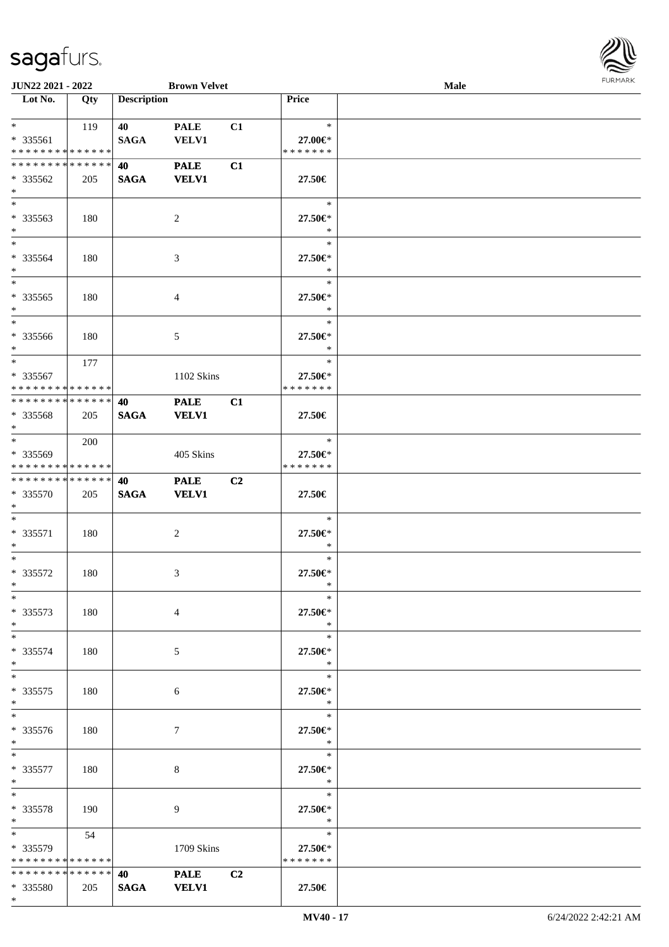| JUN22 2021 - 2022             |     |                                 | <b>Brown Velvet</b> |                |                                    | <b>Male</b> |  |
|-------------------------------|-----|---------------------------------|---------------------|----------------|------------------------------------|-------------|--|
| Lot No.                       | Qty | <b>Description</b>              |                     |                | Price                              |             |  |
|                               |     |                                 |                     |                |                                    |             |  |
| $\ast$                        | 119 | 40                              | <b>PALE</b>         | C1             | $\ast$                             |             |  |
| * 335561                      |     | <b>SAGA</b>                     | <b>VELV1</b>        |                | 27.00€*                            |             |  |
| * * * * * * * * * * * * * *   |     |                                 |                     |                | * * * * * * *                      |             |  |
| * * * * * * * * * * * * * *   |     | 40                              | <b>PALE</b>         | C1             |                                    |             |  |
| $* 335562$                    | 205 | <b>SAGA</b>                     | <b>VELV1</b>        |                | 27.50€                             |             |  |
| $\ast$                        |     |                                 |                     |                |                                    |             |  |
| $*$                           |     |                                 |                     |                |                                    |             |  |
|                               |     |                                 |                     |                | $\ast$                             |             |  |
| * 335563                      | 180 |                                 | $\overline{c}$      |                | 27.50€*                            |             |  |
| $\ast$                        |     |                                 |                     |                | $\ast$                             |             |  |
| $\ast$                        |     |                                 |                     |                | $\ast$                             |             |  |
| * 335564                      | 180 |                                 | 3                   |                | 27.50€*                            |             |  |
| $\ast$                        |     |                                 |                     |                | $\ast$                             |             |  |
| $\ast$                        |     |                                 |                     |                | $\ast$                             |             |  |
| $*335565$                     | 180 |                                 | $\overline{4}$      |                | 27.50€*                            |             |  |
| $\ast$                        |     |                                 |                     |                | $\ast$                             |             |  |
| $\overline{\phantom{1}}$      |     |                                 |                     |                | $\ast$                             |             |  |
|                               |     |                                 |                     |                |                                    |             |  |
| $* 335566$                    | 180 |                                 | 5                   |                | 27.50€*                            |             |  |
| $\ast$                        |     |                                 |                     |                | $\ast$                             |             |  |
| $\ast$                        | 177 |                                 |                     |                | $\ast$                             |             |  |
| * 335567                      |     |                                 | 1102 Skins          |                | $27.50 \in$                        |             |  |
| * * * * * * * * * * * * * *   |     |                                 |                     |                | * * * * * * *                      |             |  |
| * * * * * * * * * * * * * *   |     | 40                              | <b>PALE</b>         | C1             |                                    |             |  |
| * 335568                      | 205 | <b>SAGA</b>                     | <b>VELV1</b>        |                | 27.50€                             |             |  |
| $\ast$                        |     |                                 |                     |                |                                    |             |  |
| $\overline{\ast}$             | 200 |                                 |                     |                | $\ast$                             |             |  |
|                               |     |                                 |                     |                |                                    |             |  |
| * 335569                      |     |                                 | 405 Skins           |                | 27.50€*                            |             |  |
| * * * * * * * * * * * * * *   |     |                                 |                     |                | * * * * * * *                      |             |  |
| **************                |     | 40                              | <b>PALE</b>         | C <sub>2</sub> |                                    |             |  |
| * 335570                      | 205 | <b>SAGA</b>                     | <b>VELV1</b>        |                | 27.50€                             |             |  |
| $\ast$                        |     |                                 |                     |                |                                    |             |  |
| $*$                           |     |                                 |                     |                | $\ast$                             |             |  |
| * 335571                      | 180 |                                 | $\boldsymbol{2}$    |                | 27.50€*                            |             |  |
| $\ast$                        |     |                                 |                     |                | $\ast$                             |             |  |
| $\ast$                        |     |                                 |                     |                | $\ast$                             |             |  |
| * 335572                      | 180 |                                 | 3                   |                | 27.50€*                            |             |  |
| $*$                           |     |                                 |                     |                | $\ast$                             |             |  |
|                               |     |                                 |                     |                |                                    |             |  |
| $*$                           |     |                                 |                     |                | $\ast$                             |             |  |
| $*335573$                     | 180 |                                 | $\overline{4}$      |                | 27.50€*                            |             |  |
| $*$                           |     |                                 |                     |                | $\ast$                             |             |  |
| $*$                           |     |                                 |                     |                | $\ast$                             |             |  |
| * 335574                      | 180 |                                 | 5                   |                | 27.50€*                            |             |  |
| $*$                           |     |                                 |                     |                | $\ast$                             |             |  |
| $*$                           |     |                                 |                     |                | $\ast$                             |             |  |
| $*335575$                     | 180 |                                 | 6                   |                | 27.50€*                            |             |  |
| $*$                           |     |                                 |                     |                | $\ast$                             |             |  |
| $*$                           |     |                                 |                     |                | $\ast$                             |             |  |
|                               |     |                                 |                     |                |                                    |             |  |
| * 335576                      | 180 |                                 | $7\phantom{.0}$     |                | 27.50€*                            |             |  |
| $*$ and $*$                   |     |                                 |                     |                | $\ast$                             |             |  |
| $*$ and $*$                   |     |                                 |                     |                | $\overline{\phantom{a}}$<br>$\ast$ |             |  |
| * 335577                      | 180 |                                 | 8                   |                | 27.50€*                            |             |  |
| $*$ $*$                       |     |                                 |                     |                | $\ast$                             |             |  |
| $*$                           |     |                                 |                     |                | $\ast$                             |             |  |
| * 335578                      | 190 |                                 | 9                   |                | 27.50€*                            |             |  |
| $*$ $*$                       |     |                                 |                     |                | $\ast$                             |             |  |
| $*$ and $*$                   |     |                                 |                     |                | $\ast$                             |             |  |
|                               | 54  |                                 |                     |                |                                    |             |  |
| $*335579$                     |     |                                 | 1709 Skins          |                | 27.50€*                            |             |  |
| * * * * * * * * * * * * * *   |     |                                 |                     |                | * * * * * * *                      |             |  |
| * * * * * * * * * * * * * * * |     | <b>40</b> and the set of $\sim$ | PALE C2             |                |                                    |             |  |
| * 335580                      | 205 | <b>SAGA</b>                     | <b>VELV1</b>        |                | 27.50€                             |             |  |

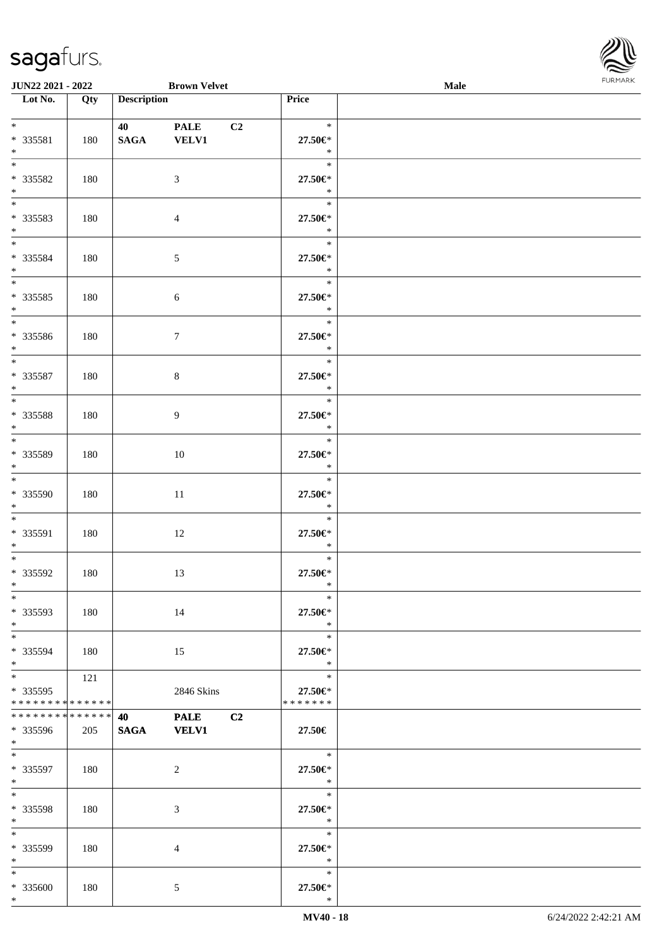

| JUN22 2021 - 2022                              |     |                           | <b>Brown Velvet</b>         |    |                                        | <b>Male</b> | <b>FURMARK</b> |
|------------------------------------------------|-----|---------------------------|-----------------------------|----|----------------------------------------|-------------|----------------|
| $\overline{\phantom{1}}$ Lot No.               | Qty | <b>Description</b>        |                             |    | Price                                  |             |                |
| $*$<br>* 335581<br>$*$                         | 180 | 40 40 40 $\sigma$<br>SAGA | <b>PALE</b><br><b>VELV1</b> | C2 | $\ast$<br>$27.50 \text{E}^*$<br>$\ast$ |             |                |
| $*$<br>$* 335582$<br>$*$                       | 180 |                           | $\mathfrak{Z}$              |    | $\ast$<br>$27.50 \in$<br>$\ast$        |             |                |
| * 335583<br>$*$                                | 180 |                           | $\overline{4}$              |    | $\ast$<br>27.50€*<br>$\ast$            |             |                |
| $*$<br>$* 335584$<br>$*$                       | 180 |                           | $5\,$                       |    | $\ast$<br>27.50€*<br>$\ast$            |             |                |
| $* 335585$<br>$*$                              | 180 |                           | 6                           |    | $\ast$<br>27.50€*<br>$\ast$            |             |                |
| $* 335586$<br>$*$                              | 180 |                           | $\tau$                      |    | $\ast$<br>27.50€*<br>$\ast$            |             |                |
| $*$<br>* 335587<br>$*$                         | 180 |                           | $8\,$                       |    | $\ast$<br>27.50€*<br>$\ast$            |             |                |
| * 335588<br>$*$                                | 180 |                           | 9                           |    | $\ast$<br>27.50€*<br>$\ast$            |             |                |
| $* 335589$<br>$*$                              | 180 |                           | $10\,$                      |    | $\ast$<br>$27.50 \in$<br>$\ast$        |             |                |
| $\overline{\ast}$<br>* 335590<br>$*$           | 180 |                           | $11\,$                      |    | $\ast$<br>27.50€*<br>$\ast$            |             |                |
| $*$<br>* 335591<br>$*$                         | 180 |                           | 12                          |    | $\ast$<br>27.50€*<br>$\ast$            |             |                |
| $* 335592$<br>$\ast$                           | 180 |                           | 13                          |    | $\ast$<br>27.50€*<br>$\ast$            |             |                |
| $\ast$<br>* 335593<br>$*$                      | 180 |                           | 14                          |    | $\ast$<br>27.50€*<br>$\ast$            |             |                |
| $*$<br>* 335594<br>$*$                         | 180 |                           | 15                          |    | $\ast$<br>27.50€*<br>$\ast$            |             |                |
| $*$<br>* 335595<br>* * * * * * * * * * * * * * | 121 |                           | 2846 Skins                  |    | $\ast$<br>27.50€*<br>* * * * * * *     |             |                |
| * * * * * * * * * * * * * *<br>* 335596<br>$*$ | 205 | 40<br><b>SAGA</b>         | <b>PALE</b><br><b>VELV1</b> | C2 | 27.50€                                 |             |                |
| $*$<br>* 335597<br>$*$                         | 180 |                           | 2                           |    | $\ast$<br>27.50€*<br>$\ast$            |             |                |
| * 335598<br>$*$                                | 180 |                           | 3                           |    | $\ast$<br>27.50€*<br>$\ast$            |             |                |
| $*$<br>* 335599<br>$*$                         | 180 |                           | $\overline{4}$              |    | $\ast$<br>27.50€*<br>$\ast$            |             |                |
| $*$<br>$* 335600$<br>$*$                       | 180 |                           | $\mathfrak{S}$              |    | $\ast$<br>$27.50 \in$<br>$\ast$        |             |                |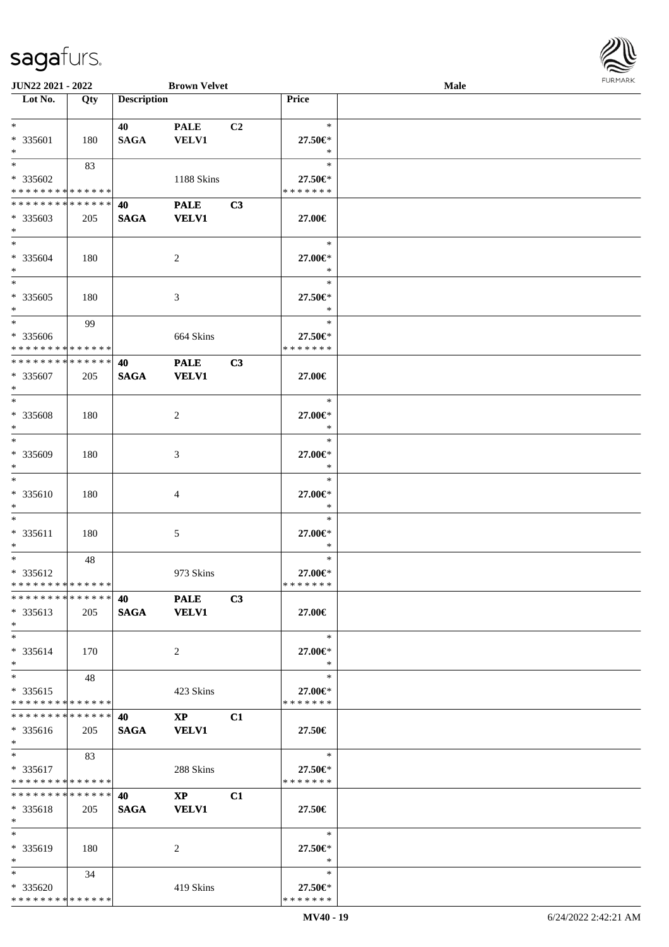| <b>FURMARK</b> |
|----------------|
|                |
|                |
|                |
|                |

| $\tilde{\phantom{a}}$                                                 |     |                        |                             |                |                                    |      | $\sim$<br><b>FURMARK</b> |
|-----------------------------------------------------------------------|-----|------------------------|-----------------------------|----------------|------------------------------------|------|--------------------------|
| JUN22 2021 - 2022<br>Lot No.                                          |     | <b>Description</b>     | <b>Brown Velvet</b>         |                | Price                              | Male |                          |
|                                                                       | Qty |                        |                             |                |                                    |      |                          |
| $\ast$<br>* 335601<br>$\ast$                                          | 180 | 40 — 10<br><b>SAGA</b> | <b>PALE</b><br><b>VELV1</b> | C <sub>2</sub> | $\ast$<br>27.50€*<br>$\ast$        |      |                          |
| $*$<br>* 335602<br>* * * * * * * * * * * * * * *                      | 83  |                        | 1188 Skins                  |                | $\ast$<br>27.50€*<br>* * * * * * * |      |                          |
| **************                                                        |     | 40                     | <b>PALE</b>                 | C3             |                                    |      |                          |
| $*335603$<br>$\ast$                                                   | 205 | <b>SAGA</b>            | <b>VELV1</b>                |                | 27.00€                             |      |                          |
| $\ast$<br>* 335604<br>$\ast$                                          | 180 |                        | $\overline{2}$              |                | $\ast$<br>27.00€*<br>$\ast$        |      |                          |
| $\overline{\phantom{1}}$<br>$*335605$<br>$\ast$                       | 180 |                        | 3                           |                | $\ast$<br>27.50€*<br>$\ast$        |      |                          |
| $\overline{\phantom{1}}$<br>* 335606<br>* * * * * * * * * * * * * * * | 99  |                        | 664 Skins                   |                | $\ast$<br>27.50€*<br>* * * * * * * |      |                          |
| * * * * * * * * * * * * * *                                           |     | 40                     | <b>PALE</b>                 | C3             |                                    |      |                          |
| * 335607<br>$\ast$                                                    | 205 | <b>SAGA</b>            | VELV1                       |                | 27.00€                             |      |                          |
| $\ast$                                                                |     |                        |                             |                | $\ast$                             |      |                          |
| * 335608<br>$\ast$<br>$\overline{\phantom{a}}$                        | 180 |                        | $\sqrt{2}$                  |                | 27.00€*<br>$\ast$<br>$\ast$        |      |                          |
| * 335609<br>$\ast$                                                    | 180 |                        | 3                           |                | 27.00€*<br>$\ast$                  |      |                          |
| $\ast$<br>* 335610<br>$\ast$                                          | 180 |                        | 4                           |                | $\ast$<br>27.00€*<br>$\ast$        |      |                          |
| $\ast$<br>* 335611<br>$\ast$                                          | 180 |                        | $\mathfrak{S}$              |                | $\ast$<br>27.00€*<br>$\ast$        |      |                          |
| $\ast$<br>* 335612<br>**************                                  | 48  |                        | 973 Skins                   |                | $\ast$<br>27.00€*<br>* * * * * * * |      |                          |
| **************<br>$* 335613$<br>$*$                                   | 205 | 40<br><b>SAGA</b>      | <b>PALE</b><br><b>VELV1</b> | C3             | 27.00€                             |      |                          |
| $\ast$<br>* 335614<br>$\ast$                                          | 170 |                        | 2                           |                | $\ast$<br>27.00€*<br>$\ast$        |      |                          |
| $\ast$<br>* 335615<br>* * * * * * * * * * * * * *                     | 48  |                        | 423 Skins                   |                | $\ast$<br>27.00€*<br>* * * * * * * |      |                          |
| **************                                                        |     | 40                     | $\mathbf{X}\mathbf{P}$      | C1             |                                    |      |                          |
| * 335616<br>$*$                                                       | 205 | <b>SAGA</b>            | <b>VELV1</b>                |                | 27.50€                             |      |                          |
| $\ast$                                                                | 83  |                        |                             |                | $\ast$                             |      |                          |
| $* 335617$<br>**************                                          |     |                        | 288 Skins                   |                | 27.50€*<br>* * * * * * *           |      |                          |
| **************                                                        |     | 40                     | $\mathbf{X}\mathbf{P}$      | C1             |                                    |      |                          |
| * 335618<br>$*$                                                       | 205 | <b>SAGA</b>            | <b>VELV1</b>                |                | 27.50€                             |      |                          |
| $\ast$<br>* 335619<br>$*$                                             | 180 |                        | 2                           |                | $\ast$<br>27.50€*<br>$\ast$        |      |                          |
| $\ast$                                                                | 34  |                        |                             |                | $\ast$                             |      |                          |
| * 335620<br>* * * * * * * * * * * * * * *                             |     |                        | 419 Skins                   |                | 27.50€*<br>* * * * * * *           |      |                          |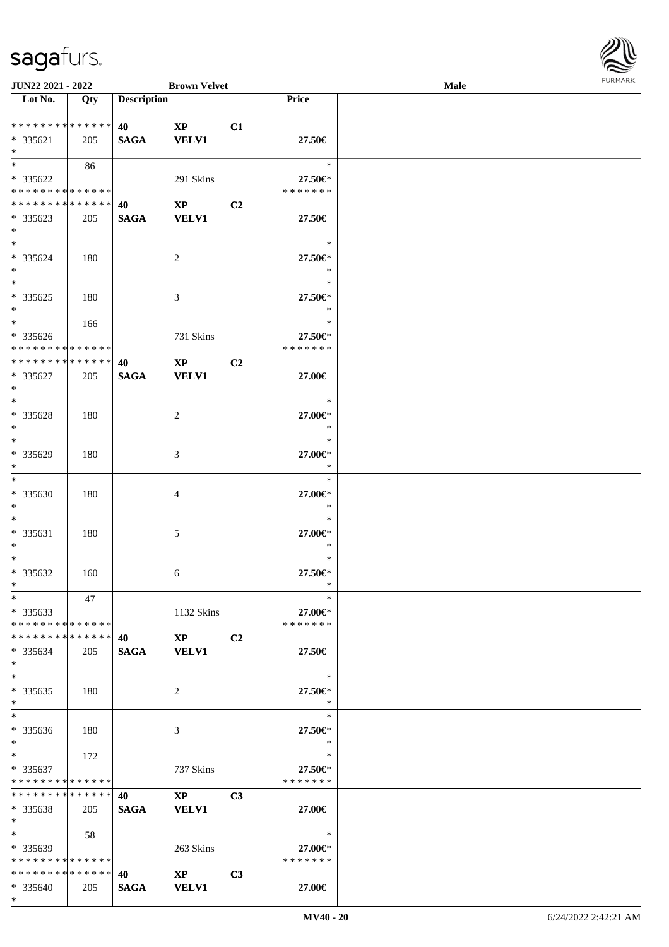

| JUN22 2021 - 2022                         |     |                                   | <b>Brown Velvet</b>    |    |                          | Male |  |
|-------------------------------------------|-----|-----------------------------------|------------------------|----|--------------------------|------|--|
| Lot No.                                   | Qty | <b>Description</b>                |                        |    | Price                    |      |  |
|                                           |     |                                   |                        |    |                          |      |  |
| **************                            |     | 40                                | $\mathbf{X}\mathbf{P}$ | C1 |                          |      |  |
| * 335621                                  | 205 | <b>SAGA</b>                       | <b>VELV1</b>           |    | $27.50\in$               |      |  |
| $\ast$                                    |     |                                   |                        |    |                          |      |  |
| $*$                                       | 86  |                                   |                        |    | $\ast$                   |      |  |
| * 335622                                  |     |                                   | 291 Skins              |    | 27.50€*                  |      |  |
| * * * * * * * * * * * * * *               |     |                                   |                        |    | * * * * * * *            |      |  |
|                                           |     |                                   |                        |    |                          |      |  |
| * * * * * * * * * * * * * *               |     | 40                                | $\mathbf{X}\mathbf{P}$ | C2 |                          |      |  |
| * 335623                                  | 205 | <b>SAGA</b>                       | <b>VELV1</b>           |    | 27.50€                   |      |  |
| $*$                                       |     |                                   |                        |    |                          |      |  |
| $\overline{\ast}$                         |     |                                   |                        |    | $\ast$                   |      |  |
| * 335624                                  | 180 |                                   | $\sqrt{2}$             |    | 27.50€*                  |      |  |
| $\ast$                                    |     |                                   |                        |    | $\ast$                   |      |  |
| $\overline{\phantom{0}}$                  |     |                                   |                        |    | $\ast$                   |      |  |
| * 335625                                  | 180 |                                   | $\mathfrak{Z}$         |    | 27.50€*                  |      |  |
| $\ast$                                    |     |                                   |                        |    | $\ast$                   |      |  |
| $\ast$                                    | 166 |                                   |                        |    | $\ast$                   |      |  |
|                                           |     |                                   |                        |    |                          |      |  |
| * 335626<br>* * * * * * * * * * * * * * * |     |                                   | 731 Skins              |    | 27.50€*<br>* * * * * * * |      |  |
|                                           |     |                                   |                        |    |                          |      |  |
| * * * * * * * * * * * * * *               |     | 40                                | $\mathbf{X}\mathbf{P}$ | C2 |                          |      |  |
| $* 335627$                                | 205 | <b>SAGA</b>                       | <b>VELV1</b>           |    | 27.00€                   |      |  |
| $\ast$                                    |     |                                   |                        |    |                          |      |  |
| $*$                                       |     |                                   |                        |    | $\ast$                   |      |  |
| * 335628                                  | 180 |                                   | $\overline{2}$         |    | 27.00€*                  |      |  |
| $\ast$                                    |     |                                   |                        |    | $\ast$                   |      |  |
| $\ast$                                    |     |                                   |                        |    | $\ast$                   |      |  |
| * 335629                                  | 180 |                                   | $\mathfrak{Z}$         |    | 27.00€*                  |      |  |
| $\ast$                                    |     |                                   |                        |    | $\ast$                   |      |  |
| $\ast$                                    |     |                                   |                        |    | $\ast$                   |      |  |
| * 335630                                  |     |                                   |                        |    |                          |      |  |
|                                           | 180 |                                   | $\overline{4}$         |    | 27.00€*                  |      |  |
| $\ast$                                    |     |                                   |                        |    | $\ast$                   |      |  |
| $\ast$                                    |     |                                   |                        |    | $\ast$                   |      |  |
| * 335631                                  | 180 |                                   | $\sqrt{5}$             |    | 27.00€*                  |      |  |
| $\ast$                                    |     |                                   |                        |    | $\ast$                   |      |  |
| $\ast$                                    |     |                                   |                        |    | $\ast$                   |      |  |
| $*335632$                                 | 160 |                                   | 6                      |    | 27.50€*                  |      |  |
| $*$                                       |     |                                   |                        |    | $\ast$                   |      |  |
| $*$                                       | 47  |                                   |                        |    | $\ast$                   |      |  |
| $*335633$                                 |     |                                   | 1132 Skins             |    | 27.00€*                  |      |  |
| * * * * * * * * * * * * * * *             |     |                                   |                        |    | * * * * * * *            |      |  |
| **************                            |     |                                   | $XP$ $C2$              |    |                          |      |  |
| $*335634$                                 | 205 |                                   | SAGA VELV1             |    | 27.50€                   |      |  |
| $\ast$                                    |     |                                   |                        |    |                          |      |  |
| $\ast$                                    |     |                                   |                        |    | $\ast$                   |      |  |
|                                           |     |                                   |                        |    |                          |      |  |
| $*335635$                                 | 180 |                                   | 2                      |    | 27.50€*                  |      |  |
| $*$                                       |     |                                   |                        |    | $\ast$                   |      |  |
| $\overline{\phantom{1}}$                  |     |                                   |                        |    | $\ast$                   |      |  |
| * 335636                                  | 180 |                                   | 3                      |    | 27.50€*                  |      |  |
| $*$                                       |     |                                   |                        |    | $\ast$                   |      |  |
| $*$ $*$                                   | 172 |                                   |                        |    | $\ast$                   |      |  |
| * 335637                                  |     |                                   | 737 Skins              |    | 27.50€*                  |      |  |
| * * * * * * * * * * * * * *               |     |                                   |                        |    | * * * * * * *            |      |  |
| **************                            |     | 40                                | $\mathbf{XP}$          | C3 |                          |      |  |
|                                           | 205 | <b>SAGA</b>                       | <b>VELV1</b>           |    | 27.00€                   |      |  |
| $* 335638$<br>$*$ $-$                     |     |                                   |                        |    |                          |      |  |
| $*$                                       |     |                                   |                        |    |                          |      |  |
|                                           | 58  |                                   |                        |    | $\ast$                   |      |  |
| $*335639$                                 |     |                                   | 263 Skins              |    | 27.00€*                  |      |  |
| * * * * * * * * * * * * * * *             |     |                                   |                        |    | * * * * * * *            |      |  |
| * * * * * * * * * * * * * *               |     | <b>40</b> and the set of $\theta$ | $\mathbf{XP}$          | C3 |                          |      |  |
| $* 335640$                                | 205 | SAGA                              | <b>VELV1</b>           |    | 27.00€                   |      |  |
| $*$                                       |     |                                   |                        |    |                          |      |  |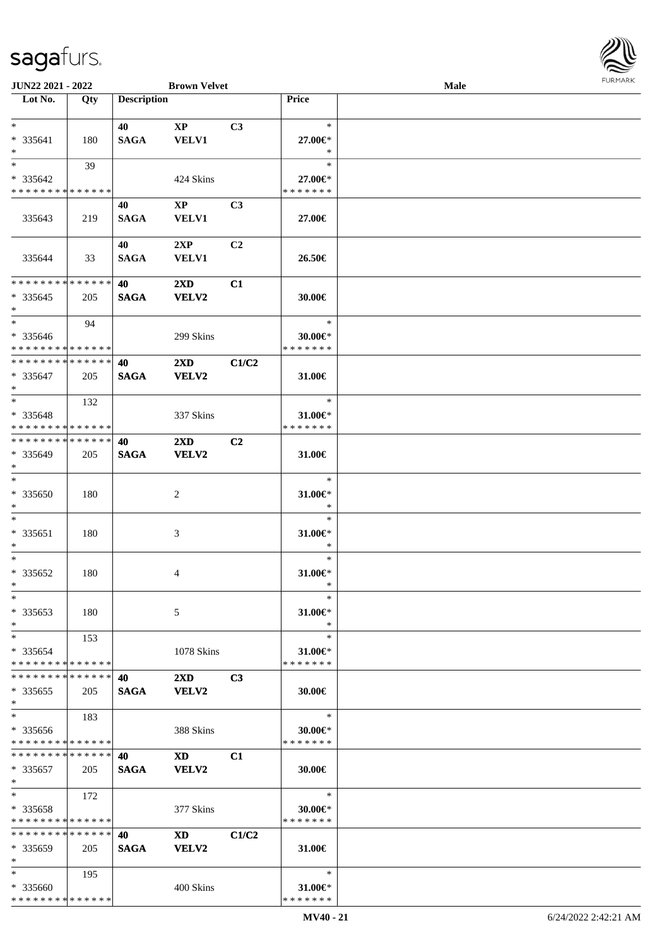

| <b>JUN22 2021 - 2022</b>      |     |                    | <b>Brown Velvet</b>     |                |               | <b>Male</b> |  |
|-------------------------------|-----|--------------------|-------------------------|----------------|---------------|-------------|--|
| Lot No.                       | Qty | <b>Description</b> |                         |                | Price         |             |  |
|                               |     |                    |                         |                |               |             |  |
| $*$                           |     | 40                 | $\mathbf{X}\mathbf{P}$  | C3             | $\ast$        |             |  |
| * 335641                      | 180 | <b>SAGA</b>        | <b>VELV1</b>            |                | 27.00€*       |             |  |
| $*$                           |     |                    |                         |                | $\ast$        |             |  |
| $*$                           |     |                    |                         |                | $\ast$        |             |  |
|                               | 39  |                    |                         |                |               |             |  |
| * 335642                      |     |                    | 424 Skins               |                | 27.00€*       |             |  |
| * * * * * * * * * * * * * *   |     |                    |                         |                | * * * * * * * |             |  |
|                               |     | 40                 | $\mathbf{X}\mathbf{P}$  | C <sub>3</sub> |               |             |  |
| 335643                        | 219 | <b>SAGA</b>        | <b>VELV1</b>            |                | 27.00€        |             |  |
|                               |     |                    |                         |                |               |             |  |
|                               |     | 40                 | 2XP                     | C <sub>2</sub> |               |             |  |
| 335644                        | 33  | <b>SAGA</b>        | <b>VELV1</b>            |                | 26.50€        |             |  |
|                               |     |                    |                         |                |               |             |  |
| * * * * * * * * * * * * * *   |     | 40                 | $2\mathbf{X}\mathbf{D}$ | C1             |               |             |  |
| $*335645$                     |     | <b>SAGA</b>        |                         |                |               |             |  |
| $*$                           | 205 |                    | <b>VELV2</b>            |                | 30.00€        |             |  |
| $*$                           |     |                    |                         |                | $\ast$        |             |  |
|                               | 94  |                    |                         |                |               |             |  |
| * 335646                      |     |                    | 299 Skins               |                | 30.00€*       |             |  |
| * * * * * * * * * * * * * * * |     |                    |                         |                | * * * * * * * |             |  |
| * * * * * * * * * * * * * *   |     | 40                 | $2\mathbf{X}\mathbf{D}$ | C1/C2          |               |             |  |
| $*335647$                     | 205 | <b>SAGA</b>        | VELV2                   |                | 31.00€        |             |  |
| $*$                           |     |                    |                         |                |               |             |  |
| $*$                           | 132 |                    |                         |                | $\ast$        |             |  |
| * 335648                      |     |                    | 337 Skins               |                | $31.00 \in$   |             |  |
| * * * * * * * * * * * * * * * |     |                    |                         |                | * * * * * * * |             |  |
| * * * * * * * * * * * * * * * |     |                    |                         |                |               |             |  |
|                               |     | 40                 | $2\mathbf{X}\mathbf{D}$ | C <sub>2</sub> |               |             |  |
| * 335649                      | 205 | <b>SAGA</b>        | VELV2                   |                | 31.00€        |             |  |
| $*$                           |     |                    |                         |                |               |             |  |
| $*$                           |     |                    |                         |                | $\ast$        |             |  |
| $* 335650$                    | 180 |                    | 2                       |                | $31.00 \in$   |             |  |
| $*$                           |     |                    |                         |                | $\ast$        |             |  |
| $*$                           |     |                    |                         |                | $\ast$        |             |  |
| * 335651                      | 180 |                    | 3                       |                | $31.00 \in$   |             |  |
| $*$                           |     |                    |                         |                | $\ast$        |             |  |
| $*$                           |     |                    |                         |                | $\ast$        |             |  |
|                               |     |                    |                         |                |               |             |  |
| $* 335652$                    | 180 |                    | 4                       |                | 31.00€*       |             |  |
| $*$                           |     |                    |                         |                | $\ast$        |             |  |
| $*$                           |     |                    |                         |                | $\ast$        |             |  |
| * 335653                      | 180 |                    | 5                       |                | 31.00€*       |             |  |
| $*$                           |     |                    |                         |                | $\ast$        |             |  |
| $*$                           | 153 |                    |                         |                | $\ast$        |             |  |
| * 335654                      |     |                    | 1078 Skins              |                | 31.00€*       |             |  |
| * * * * * * * * * * * * * *   |     |                    |                         |                | * * * * * * * |             |  |
| * * * * * * * * * * * * * * * |     | 40                 | $2\mathbf{X}\mathbf{D}$ | C <sub>3</sub> |               |             |  |
| $*335655$                     | 205 | <b>SAGA</b>        | VELV2                   |                | 30.00€        |             |  |
| $*$                           |     |                    |                         |                |               |             |  |
| $*$                           |     |                    |                         |                | $\ast$        |             |  |
|                               | 183 |                    |                         |                |               |             |  |
| * 335656                      |     |                    | 388 Skins               |                | $30.00 \in$   |             |  |
| * * * * * * * * * * * * * *   |     |                    |                         |                | * * * * * * * |             |  |
| * * * * * * * * * * * * * * * |     | 40                 | <b>XD</b>               | C1             |               |             |  |
| * 335657                      | 205 | <b>SAGA</b>        | <b>VELV2</b>            |                | $30.00 \in$   |             |  |
| $*$                           |     |                    |                         |                |               |             |  |
| $*$                           | 172 |                    |                         |                | $\ast$        |             |  |
| * 335658                      |     |                    | 377 Skins               |                | $30.00 \in$ * |             |  |
| * * * * * * * * * * * * * *   |     |                    |                         |                | * * * * * * * |             |  |
| * * * * * * * * * * * * * *   |     | 40                 | XD                      | C1/C2          |               |             |  |
| * 335659                      | 205 |                    | VELV2                   |                | 31.00 $\in$   |             |  |
| $*$                           |     | <b>SAGA</b>        |                         |                |               |             |  |
|                               |     |                    |                         |                |               |             |  |
| $*$                           | 195 |                    |                         |                | $\ast$        |             |  |
| * 335660                      |     |                    | 400 Skins               |                | $31.00 \in$ * |             |  |
| * * * * * * * * * * * * * *   |     |                    |                         |                | * * * * * * * |             |  |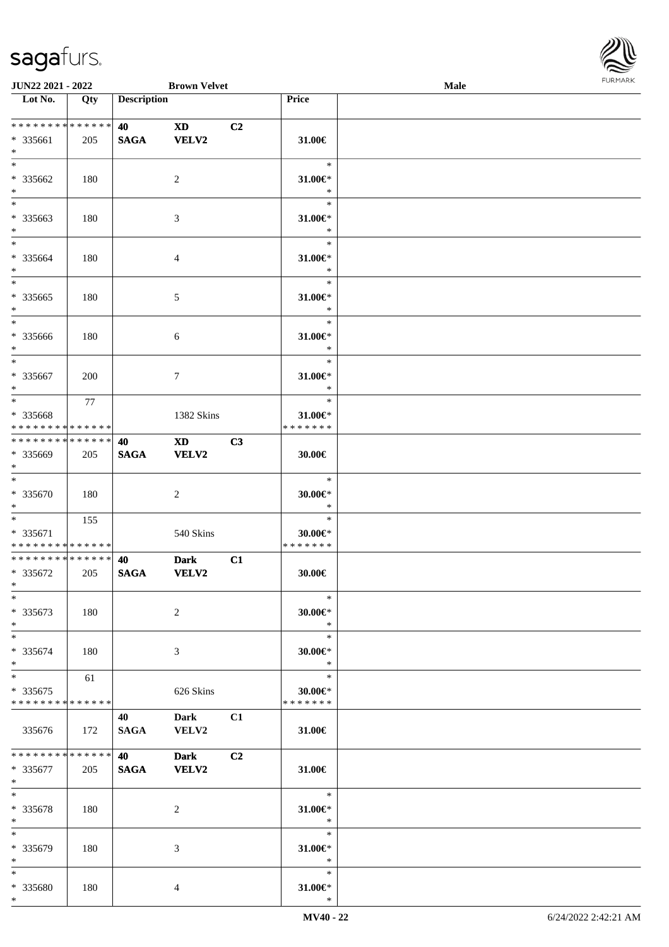

| <b>JUN22 2021 - 2022</b>                                                        |       |                    | <b>Brown Velvet</b>                                              |    |                                           | <b>Male</b> |  |
|---------------------------------------------------------------------------------|-------|--------------------|------------------------------------------------------------------|----|-------------------------------------------|-------------|--|
| Lot No.                                                                         | Qty   | <b>Description</b> |                                                                  |    | Price                                     |             |  |
| * * * * * * * * <mark>* * * * * *</mark><br>* 335661<br>$*$                     | 205   | 40<br><b>SAGA</b>  | <b>XD</b><br>VELV2                                               | C2 | 31.00€                                    |             |  |
| $*$<br>* 335662<br>$\ast$                                                       | 180   |                    | 2                                                                |    | $\ast$<br>$31.00 \in$<br>$\ast$           |             |  |
| $*$<br>* 335663<br>$\ast$                                                       | 180   |                    | 3                                                                |    | $\ast$<br>31.00€*<br>$\ast$               |             |  |
| $\ddot{x}$<br>* 335664<br>$*$                                                   | 180   |                    | $\overline{4}$                                                   |    | $\ast$<br>31.00 $\in$ *<br>$\ast$         |             |  |
| $\overline{\ast}$<br>* 335665<br>$*$                                            | 180   |                    | $\sqrt{5}$                                                       |    | $\ast$<br>31.00€*<br>$\ast$               |             |  |
| $*$<br>* 335666<br>$\ddot{x}$<br>$*$                                            | 180   |                    | 6                                                                |    | $\ast$<br>$31.00 \in$<br>$\ast$           |             |  |
| * 335667<br>$*$                                                                 | 200   |                    | $7\phantom{.0}$                                                  |    | $\ast$<br>31.00 $\varepsilon$ *<br>$\ast$ |             |  |
| $\overline{\mathbf{r}}$<br>* 335668<br>* * * * * * * * <mark>* * * * * *</mark> | 77    |                    | 1382 Skins                                                       |    | $\ast$<br>31.00€*<br>* * * * * * *        |             |  |
| * * * * * * * * <mark>* * * * * * *</mark><br>* 335669<br>$\ast$                | 205   | 40<br><b>SAGA</b>  | $\boldsymbol{\mathrm{X}}\boldsymbol{\mathrm{D}}$<br><b>VELV2</b> | C3 | 30.00€                                    |             |  |
| $*$<br>* 335670<br>$*$                                                          | 180   |                    | 2                                                                |    | $\ast$<br>$30.00 \in$ *<br>$\ast$         |             |  |
| $*$ $*$<br>* 335671<br>* * * * * * * * <mark>* * * * * * *</mark>               | 155   |                    | 540 Skins                                                        |    | $\ast$<br>$30.00 \in$ *<br>* * * * * * *  |             |  |
| * * * * * * * * <mark>* * * * * * *</mark><br>* 335672<br>$*$ $-$               | 205   | 40<br><b>SAGA</b>  | <b>Dark</b><br><b>VELV2</b>                                      | C1 | $30.00 \in$                               |             |  |
| $\ast$<br>* 335673<br>$*$                                                       | 180   |                    | 2                                                                |    | $\ast$<br>$30.00 \in$ *<br>$\ast$         |             |  |
| $\ddot{x}$<br>* 335674<br>$\ast$                                                | 180   |                    | 3                                                                |    | $\ast$<br>$30.00 \in$ *<br>$\ast$         |             |  |
| $*$<br>* 335675<br>* * * * * * * * <mark>* * * * * *</mark>                     | 61    |                    | 626 Skins                                                        |    | $\ast$<br>$30.00 \in$ *<br>* * * * * * *  |             |  |
| 335676                                                                          | 172   | 40<br>SAGA         | <b>Dark</b><br><b>VELV2</b>                                      | C1 | $31.00 \in$                               |             |  |
| * * * * * * * * * * * * * * <mark>*</mark><br>* 335677<br>$*$ $-$               | 205   | 40<br><b>SAGA</b>  | <b>Dark</b><br><b>VELV2</b>                                      | C2 | $31.00 \in$                               |             |  |
| $*$ $-$<br>* 335678<br>$\ast$                                                   | - 180 |                    | 2                                                                |    | $-$ *<br>31.00€*<br>$*$                   |             |  |
| $*$<br>* 335679<br>$*$                                                          | 180   |                    | 3                                                                |    | $\ast$<br>31.00 $\in$ *<br>$\ast$         |             |  |
| $\ddot{x}$<br>* 335680<br>$\ast$                                                | 180   |                    | $\overline{4}$                                                   |    | $\ast$<br>31.00 $\in$ *<br>$\ast$         |             |  |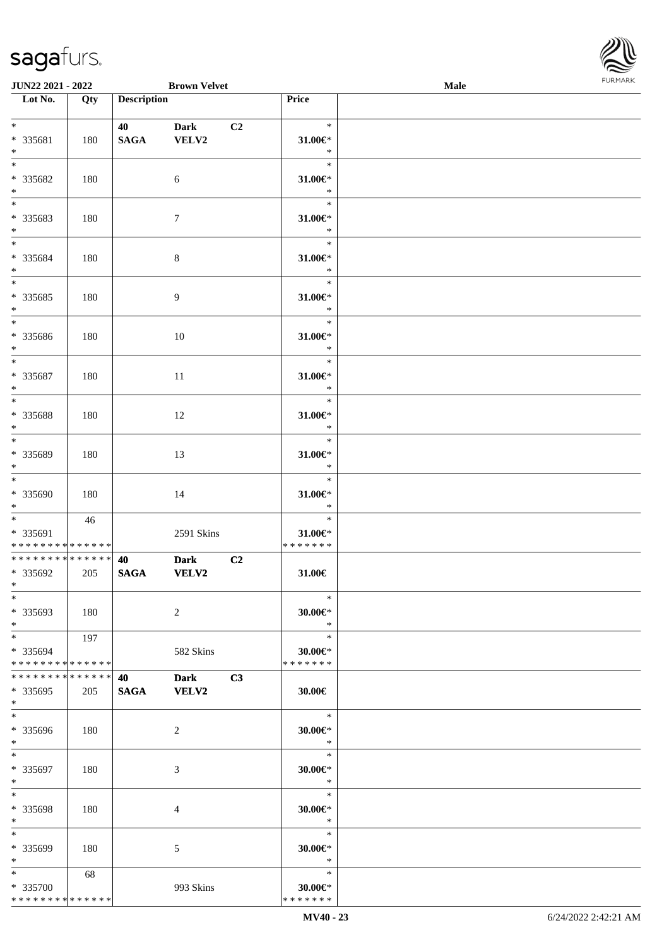

| JUN22 2021 - 2022                  |     |                    | <b>Brown Velvet</b> |    |                         | Male |  |
|------------------------------------|-----|--------------------|---------------------|----|-------------------------|------|--|
| Lot No.                            | Qty | <b>Description</b> |                     |    | Price                   |      |  |
|                                    |     |                    |                     |    |                         |      |  |
| $*$                                |     | 40                 | <b>Dark</b>         | C2 | $\ast$                  |      |  |
| * 335681                           | 180 | <b>SAGA</b>        | VELV2               |    | $31.00 \in$ *           |      |  |
| $\ast$                             |     |                    |                     |    | $\ast$                  |      |  |
| $\overline{\phantom{0}}$           |     |                    |                     |    | $\ast$                  |      |  |
| * 335682                           |     |                    |                     |    |                         |      |  |
|                                    | 180 |                    | 6                   |    | $31.00 \in$             |      |  |
| $\ast$<br>$\overline{\phantom{0}}$ |     |                    |                     |    | $\ast$                  |      |  |
|                                    |     |                    |                     |    | $\ast$                  |      |  |
| * 335683                           | 180 |                    | $\tau$              |    | 31.00€*                 |      |  |
| $*$                                |     |                    |                     |    | $\ast$                  |      |  |
| $\overline{\phantom{0}}$           |     |                    |                     |    | $\ast$                  |      |  |
| * 335684                           | 180 |                    | $8\,$               |    | $31.00 \in$ *           |      |  |
| $\ast$                             |     |                    |                     |    | $\ast$                  |      |  |
| $\overline{\phantom{a}^*}$         |     |                    |                     |    | $\ast$                  |      |  |
| * 335685                           | 180 |                    | $\overline{9}$      |    | 31.00€*                 |      |  |
| $\ast$                             |     |                    |                     |    | $\ast$                  |      |  |
| $\overline{\phantom{1}}$           |     |                    |                     |    | $\ast$                  |      |  |
|                                    |     |                    |                     |    |                         |      |  |
| * 335686                           | 180 |                    | $10\,$              |    | 31.00€*                 |      |  |
| $\ast$                             |     |                    |                     |    | $\ast$                  |      |  |
| $\ast$                             |     |                    |                     |    | $\ast$                  |      |  |
| * 335687                           | 180 |                    | 11                  |    | $31.00 \in$ *           |      |  |
| $\ast$                             |     |                    |                     |    | $\ast$                  |      |  |
| $\ast$                             |     |                    |                     |    | $\ast$                  |      |  |
| * 335688                           | 180 |                    | 12                  |    | $31.00 \in$ *           |      |  |
| $\ast$                             |     |                    |                     |    | $\ast$                  |      |  |
| $\overline{\phantom{a}^*}$         |     |                    |                     |    | $\ast$                  |      |  |
| * 335689                           | 180 |                    | 13                  |    | $31.00 \in$             |      |  |
| $\ast$                             |     |                    |                     |    | $\ast$                  |      |  |
| $\overline{\phantom{0}}$           |     |                    |                     |    | $\ast$                  |      |  |
|                                    |     |                    |                     |    |                         |      |  |
| * 335690                           | 180 |                    | 14                  |    | $31.00 \in$ *           |      |  |
| $*$                                |     |                    |                     |    | $\ast$                  |      |  |
| $*$ $*$                            | 46  |                    |                     |    | $\ast$                  |      |  |
| * 335691                           |     |                    | 2591 Skins          |    | $31.00 \in$ *           |      |  |
| * * * * * * * * * * * * * *        |     |                    |                     |    | * * * * * * *           |      |  |
| ******** <mark>******</mark>       |     | 40                 | <b>Dark</b>         | C2 |                         |      |  |
| * 335692                           | 205 | <b>SAGA</b>        | VELV2               |    | 31.00€                  |      |  |
| $\ast$                             |     |                    |                     |    |                         |      |  |
| $*$                                |     |                    |                     |    | $\ast$                  |      |  |
| * 335693                           | 180 |                    | $\sqrt{2}$          |    | $30.00 \in$ *           |      |  |
| $\ast$                             |     |                    |                     |    | $\ast$                  |      |  |
| $*$                                | 197 |                    |                     |    | $\ast$                  |      |  |
| * 335694                           |     |                    | 582 Skins           |    | $30.00 \in$ *           |      |  |
| * * * * * * * * * * * * * *        |     |                    |                     |    | * * * * * * *           |      |  |
|                                    |     |                    |                     |    |                         |      |  |
| * * * * * * * * * * * * * * *      |     | 40                 | <b>Dark</b>         | C3 |                         |      |  |
| * 335695                           | 205 | <b>SAGA</b>        | VELV2               |    | 30.00€                  |      |  |
| $*$                                |     |                    |                     |    |                         |      |  |
| $*$                                |     |                    |                     |    | $\ast$                  |      |  |
| * 335696                           | 180 |                    | 2                   |    | $30.00 \in$ *           |      |  |
| $*$                                |     |                    |                     |    | $\ast$                  |      |  |
| $*$                                |     |                    |                     |    | $\ast$                  |      |  |
| * 335697                           | 180 |                    | 3                   |    | $30.00 \in$ *           |      |  |
| $*$                                |     |                    |                     |    | $\bullet$ $\bullet$     |      |  |
| $\ast$                             |     |                    |                     |    | $\ast$                  |      |  |
| * 335698                           |     |                    |                     |    |                         |      |  |
| $*$                                | 180 |                    | 4                   |    | $30.00 \in$ *<br>$\ast$ |      |  |
| $\ast$                             |     |                    |                     |    |                         |      |  |
|                                    |     |                    |                     |    | $\ast$                  |      |  |
| * 335699                           | 180 |                    | 5                   |    | $30.00 \in$ *           |      |  |
| $*$                                |     |                    |                     |    | $\ast$                  |      |  |
| $*$                                | 68  |                    |                     |    | $\ast$                  |      |  |
| * 335700                           |     |                    | 993 Skins           |    | $30.00 \in$ *           |      |  |
| * * * * * * * * * * * * * *        |     |                    |                     |    | * * * * * * *           |      |  |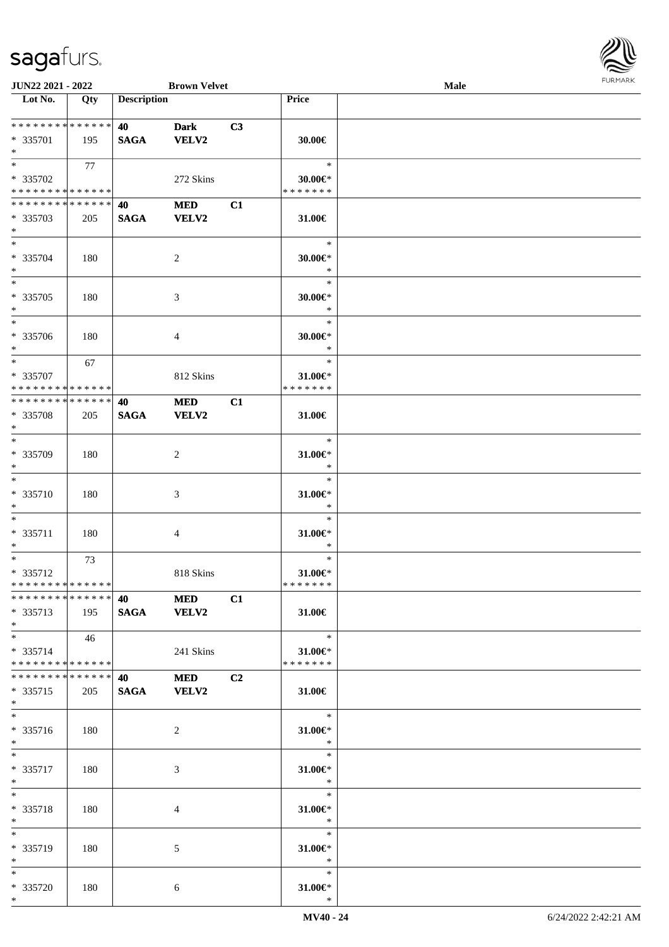

| JUN22 2021 - 2022                                            |     |                                   | <b>Brown Velvet</b> |                |                         | <b>Male</b> |  |
|--------------------------------------------------------------|-----|-----------------------------------|---------------------|----------------|-------------------------|-------------|--|
| Lot No.                                                      | Qty | <b>Description</b>                |                     |                | Price                   |             |  |
|                                                              |     |                                   |                     |                |                         |             |  |
| * * * * * * * * * * * * * *                                  |     | 40                                | <b>Dark</b>         | C3             |                         |             |  |
| * 335701                                                     | 195 | <b>SAGA</b>                       | <b>VELV2</b>        |                | 30.00€                  |             |  |
| $*$                                                          |     |                                   |                     |                |                         |             |  |
| $*$                                                          | 77  |                                   |                     |                | $\ast$                  |             |  |
| * 335702                                                     |     |                                   | 272 Skins           |                | $30.00 \in$ *           |             |  |
| * * * * * * * * * * * * * *                                  |     |                                   |                     |                | * * * * * * *           |             |  |
| * * * * * * * * * * * * * *                                  |     | 40                                | <b>MED</b>          | C1             |                         |             |  |
| * 335703                                                     | 205 | <b>SAGA</b>                       | <b>VELV2</b>        |                | 31.00€                  |             |  |
| $*$<br>$*$                                                   |     |                                   |                     |                | $\ast$                  |             |  |
|                                                              |     |                                   |                     |                |                         |             |  |
| * 335704<br>$*$                                              | 180 |                                   | $\boldsymbol{2}$    |                | $30.00 \in$ *<br>$\ast$ |             |  |
| $\ast$                                                       |     |                                   |                     |                | $\ast$                  |             |  |
| * 335705                                                     |     |                                   |                     |                | $30.00 \in$ *           |             |  |
| $\ast$                                                       | 180 |                                   | $\mathfrak{Z}$      |                | $\ast$                  |             |  |
| $\ast$                                                       |     |                                   |                     |                | $\ast$                  |             |  |
| * 335706                                                     | 180 |                                   | 4                   |                | $30.00 \in$ *           |             |  |
| $*$                                                          |     |                                   |                     |                | $\ast$                  |             |  |
| $*$                                                          | 67  |                                   |                     |                | $\ast$                  |             |  |
| * 335707                                                     |     |                                   | 812 Skins           |                | $31.00 \in$             |             |  |
| * * * * * * * * * * * * * *                                  |     |                                   |                     |                | * * * * * * *           |             |  |
| * * * * * * * * * * * * * *                                  |     | 40                                | <b>MED</b>          | C1             |                         |             |  |
| * 335708                                                     | 205 | <b>SAGA</b>                       | <b>VELV2</b>        |                | 31.00€                  |             |  |
| $*$                                                          |     |                                   |                     |                |                         |             |  |
| $*$                                                          |     |                                   |                     |                | $\ast$                  |             |  |
| * 335709                                                     | 180 |                                   | 2                   |                | 31.00€*                 |             |  |
| $*$                                                          |     |                                   |                     |                | $\ast$                  |             |  |
| $\ast$                                                       |     |                                   |                     |                | $\ast$                  |             |  |
| $* 335710$                                                   | 180 |                                   | $\mathfrak{Z}$      |                | $31.00 \in$ *           |             |  |
| $*$                                                          |     |                                   |                     |                | $\ast$                  |             |  |
| $\ast$                                                       |     |                                   |                     |                | $\ast$                  |             |  |
| * 335711                                                     | 180 |                                   | 4                   |                | 31.00€*                 |             |  |
| $*$                                                          |     |                                   |                     |                | $\ast$                  |             |  |
| $*$                                                          | 73  |                                   |                     |                | $\ast$                  |             |  |
| * 335712                                                     |     |                                   | 818 Skins           |                | $31.00 \in$ *           |             |  |
| * * * * * * * * * * * * * *<br>* * * * * * * * * * * * * * * |     |                                   |                     |                | * * * * * * *           |             |  |
|                                                              |     | <b>40</b> and the set of $\theta$ | <b>MED</b>          | C1             |                         |             |  |
| * 335713<br>$*$                                              | 195 | SAGA VELV2                        |                     |                | 31.00€                  |             |  |
| $*$                                                          | 46  |                                   |                     |                | $\ast$                  |             |  |
| * 335714                                                     |     |                                   | 241 Skins           |                | 31.00€*                 |             |  |
| * * * * * * * * * * * * * *                                  |     |                                   |                     |                | * * * * * * *           |             |  |
| * * * * * * * * * * * * * * *                                |     | 40                                | <b>MED</b>          | C <sub>2</sub> |                         |             |  |
| * 335715                                                     | 205 | SAGA VELV2                        |                     |                | 31.00€                  |             |  |
| $*$                                                          |     |                                   |                     |                |                         |             |  |
| $*$                                                          |     |                                   |                     |                | $\ast$                  |             |  |
| * 335716                                                     | 180 |                                   | 2                   |                | 31.00€*                 |             |  |
| $*$                                                          |     |                                   |                     |                | $\ast$                  |             |  |
| $*$                                                          |     |                                   |                     |                | $\ast$                  |             |  |
| * 335717                                                     | 180 |                                   | 3                   |                | 31.00€*                 |             |  |
| $*$ $-$                                                      |     |                                   |                     |                | $\ast$                  |             |  |
| $*$                                                          |     |                                   |                     |                | $\ast$                  |             |  |
| * 335718                                                     | 180 |                                   | 4                   |                | 31.00€*                 |             |  |
| $*$                                                          |     |                                   |                     |                | $\ast$                  |             |  |
| $*$                                                          |     |                                   |                     |                | $\ast$                  |             |  |
| * 335719<br>$*$                                              | 180 |                                   | 5                   |                | $31.00 \in$<br>$\ast$   |             |  |
| $*$                                                          |     |                                   |                     |                | $\ast$                  |             |  |
| * 335720                                                     | 180 |                                   | 6                   |                | 31.00€*                 |             |  |
| $*$                                                          |     |                                   |                     |                | $\ast$                  |             |  |
|                                                              |     |                                   |                     |                |                         |             |  |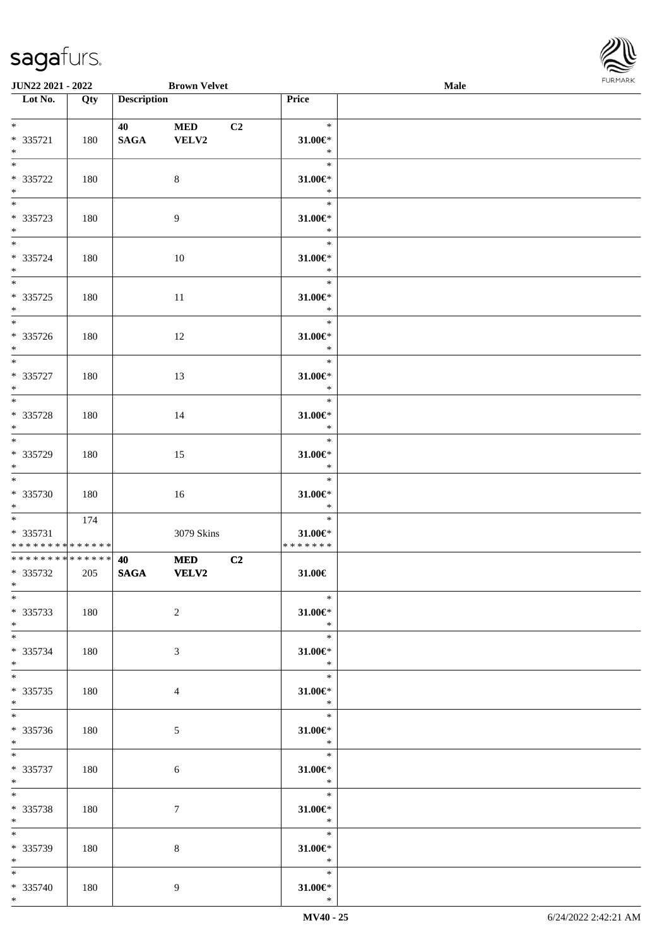

| <b>JUN22 2021 - 2022</b>                                          |     |                    | <b>Brown Velvet</b> |                |                                                           | Male |  |
|-------------------------------------------------------------------|-----|--------------------|---------------------|----------------|-----------------------------------------------------------|------|--|
| Lot No.                                                           | Qty | <b>Description</b> |                     |                | Price                                                     |      |  |
| $*$<br>* 335721                                                   | 180 | 40<br><b>SAGA</b>  | <b>MED</b><br>VELV2 | C <sub>2</sub> | $\ast$<br>31.00€*                                         |      |  |
| $*$<br>$\overline{\ast}$                                          |     |                    |                     |                | $\ast$<br>$\ast$                                          |      |  |
| * 335722<br>$*$                                                   | 180 |                    | 8                   |                | $31.00 \in$ *<br>$\ast$                                   |      |  |
| * 335723<br>$*$                                                   | 180 |                    | $\overline{9}$      |                | $\ast$<br>$31.00 \in$ *<br>$\ast$                         |      |  |
| $*$<br>* 335724<br>$*$                                            | 180 |                    | 10                  |                | $\ast$<br>$31.00 \in$<br>$\ast$                           |      |  |
| * 335725<br>$*$                                                   | 180 |                    | 11                  |                | $\ast$<br>$31.00 \in$<br>$\ast$                           |      |  |
| $\overline{\ast}$<br>* 335726<br>$*$                              | 180 |                    | 12                  |                | $\ast$<br>$31.00 \in$ *<br>$\ast$                         |      |  |
| $* 335727$<br>$*$                                                 | 180 |                    | 13                  |                | $\ast$<br>31.00€*<br>$\ast$                               |      |  |
| $\overline{\ast}$<br>* 335728<br>$*$                              | 180 |                    | 14                  |                | $\ast$<br>31.00€*<br>$\ast$                               |      |  |
| * 335729<br>$*$                                                   | 180 |                    | 15                  |                | $\ast$<br>$31.00 \in$ *<br>$\ast$                         |      |  |
| $*$<br>* 335730<br>$*$                                            | 180 |                    | 16                  |                | $\ast$<br>$31.00 \in$<br>$\ast$                           |      |  |
| $*$<br>* 335731<br>* * * * * * * * <mark>* * * * * * *</mark>     | 174 |                    | 3079 Skins          |                | $\ast$<br>$31.00 \in$<br>*******                          |      |  |
| * * * * * * * * <mark>* * * * * * *</mark><br>* 335732<br>$*$ $-$ | 205 | 40<br><b>SAGA</b>  | <b>MED</b><br>VELV2 | C2             | 31.00€                                                    |      |  |
| $*$<br>* 335733<br>$*$                                            | 180 |                    | $\overline{2}$      |                | $\ast$<br>$31.00 \in$ *<br>$\ast$                         |      |  |
| $*$<br>* 335734<br>$*$                                            | 180 |                    | 3                   |                | $\ast$<br>$31.00 \in$<br>$\ast$                           |      |  |
| $*$<br>* 335735<br>$*$                                            | 180 |                    | $\overline{4}$      |                | $\overline{\phantom{a}}$<br>$31.00 \in$<br>$\mathbb{R}^2$ |      |  |
| * 335736<br>$*$                                                   | 180 |                    | 5                   |                | $\overline{\phantom{0}}$<br>$31.00 \in$ *<br>$\ast$       |      |  |
| $*$ $*$<br>* 335737<br>$*$ $-$                                    | 180 |                    | $\sqrt{6}$          |                | $\ast$<br>$31.00 \in$ *<br>$\ast$                         |      |  |
| $*$ $-$<br>* 335738<br>$*$ $-$                                    | 180 |                    | $\tau$              |                | $\ast$<br>$31.00 \in$<br>$\ast$                           |      |  |
| $*$<br>* 335739<br>$*$                                            | 180 |                    | 8                   |                | $\ast$<br>$31.00 \in$<br>$\ast$                           |      |  |
| $*$<br>* 335740<br>$*$                                            | 180 |                    | 9                   |                | $\ast$<br>$31.00 \in$ *<br>$\ast$                         |      |  |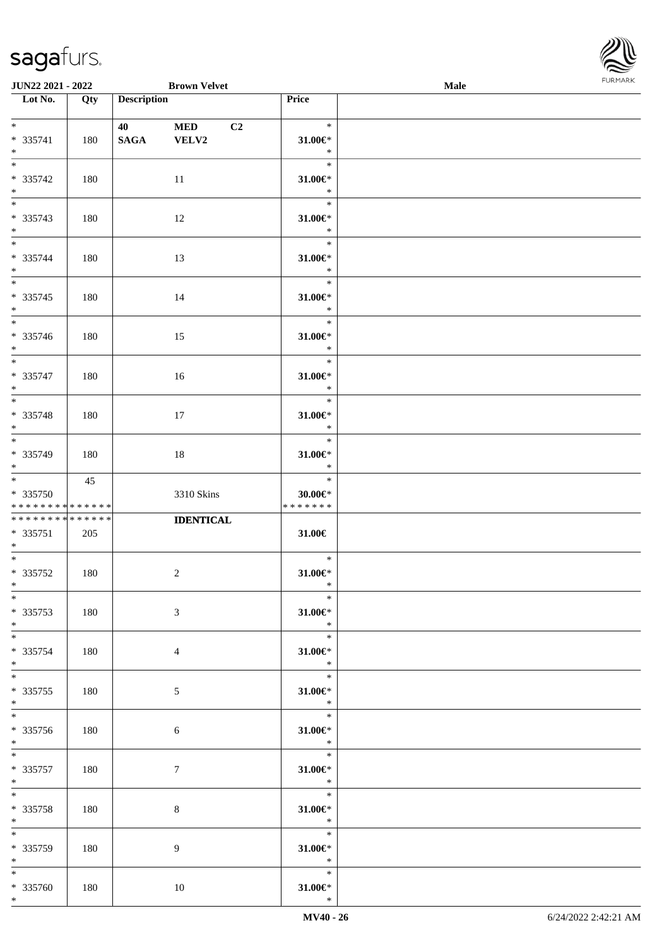

| <b>JUN22 2021 - 2022</b>                   |     |                    | <b>Brown Velvet</b> |                |                          | Male |  |
|--------------------------------------------|-----|--------------------|---------------------|----------------|--------------------------|------|--|
| Lot No.                                    | Qty | <b>Description</b> |                     |                | Price                    |      |  |
|                                            |     |                    |                     |                |                          |      |  |
| $*$                                        |     | 40                 | <b>MED</b>          | C <sub>2</sub> | $\ast$                   |      |  |
| * 335741                                   | 180 | <b>SAGA</b>        | VELV2               |                | 31.00€*                  |      |  |
| $*$                                        |     |                    |                     |                | $\ast$                   |      |  |
|                                            |     |                    |                     |                | $\ast$                   |      |  |
| * 335742                                   | 180 |                    | 11                  |                | $31.00 \in$ *            |      |  |
| $*$                                        |     |                    |                     |                | $\ast$                   |      |  |
|                                            |     |                    |                     |                | $\ast$                   |      |  |
| * 335743                                   | 180 |                    | 12                  |                | $31.00 \in$ *            |      |  |
| $*$                                        |     |                    |                     |                | $\ast$                   |      |  |
| $*$                                        |     |                    |                     |                | $\ast$                   |      |  |
| * 335744                                   |     |                    |                     |                | $31.00 \in$              |      |  |
| $*$                                        | 180 |                    | 13                  |                | $\ast$                   |      |  |
|                                            |     |                    |                     |                | $\ast$                   |      |  |
|                                            |     |                    |                     |                |                          |      |  |
| * 335745                                   | 180 |                    | 14                  |                | $31.00 \in$              |      |  |
| $*$<br>$\overline{\ast}$                   |     |                    |                     |                | $\ast$                   |      |  |
|                                            |     |                    |                     |                | $\ast$                   |      |  |
| * 335746                                   | 180 |                    | 15                  |                | $31.00 \in$ *            |      |  |
| $*$                                        |     |                    |                     |                | $\ast$                   |      |  |
|                                            |     |                    |                     |                | $\ast$                   |      |  |
| $* 335747$                                 | 180 |                    | 16                  |                | 31.00 $\varepsilon$ *    |      |  |
| $*$                                        |     |                    |                     |                | $\ast$                   |      |  |
| $\overline{\ast}$                          |     |                    |                     |                | $\ast$                   |      |  |
| * 335748                                   | 180 |                    | 17                  |                | 31.00€*                  |      |  |
| $*$                                        |     |                    |                     |                | $\ast$                   |      |  |
|                                            |     |                    |                     |                | $\ast$                   |      |  |
| * 335749                                   | 180 |                    | 18                  |                | 31.00€*                  |      |  |
| $*$                                        |     |                    |                     |                | $\ast$                   |      |  |
|                                            | 45  |                    |                     |                | $\ast$                   |      |  |
| * 335750                                   |     |                    | 3310 Skins          |                | $30.00 \in$ *            |      |  |
| * * * * * * * * <mark>* * * * * * *</mark> |     |                    |                     |                | * * * * * * *            |      |  |
| * * * * * * * * * * * * * *                |     |                    | <b>IDENTICAL</b>    |                |                          |      |  |
| * 335751                                   | 205 |                    |                     |                | 31.00€                   |      |  |
| $*$                                        |     |                    |                     |                |                          |      |  |
| $*$ $-$                                    |     |                    |                     |                | $\ast$                   |      |  |
| * 335752                                   | 180 |                    | $\overline{c}$      |                | $31.00 \in$              |      |  |
| $*$ $-$                                    |     |                    |                     |                | $\ast$                   |      |  |
| $*$                                        |     |                    |                     |                | $\ast$                   |      |  |
| * 335753                                   | 180 |                    | $\mathfrak{Z}$      |                | $31.00 \in$ *            |      |  |
| $*$                                        |     |                    |                     |                | $\ast$                   |      |  |
| $*$                                        |     |                    |                     |                | $\ast$                   |      |  |
| * 335754                                   | 180 |                    | $\overline{4}$      |                | $31.00 \in$              |      |  |
| $*$                                        |     |                    |                     |                | $\ast$                   |      |  |
| $*$                                        |     |                    |                     |                | $-$                      |      |  |
| * 335755                                   | 180 |                    | 5                   |                | $31.00 \in$              |      |  |
| $*$                                        |     |                    |                     |                | $\ast$                   |      |  |
|                                            |     |                    |                     |                | $\overline{\phantom{0}}$ |      |  |
| * 335756                                   | 180 |                    | $\sqrt{6}$          |                | $31.00 \in$              |      |  |
| $*$                                        |     |                    |                     |                | $\ast$                   |      |  |
| $*$ $*$                                    |     |                    |                     |                | $\ast$                   |      |  |
| * 335757                                   | 180 |                    | $\tau$              |                | $31.00 \in$ *            |      |  |
| $*$ $-$                                    |     |                    |                     |                | $\ast$                   |      |  |
| $*$ $*$                                    |     |                    |                     |                | $\ast$                   |      |  |
| * 335758                                   | 180 |                    | $8\,$               |                | $31.00 \in$              |      |  |
| $*$ $-$                                    |     |                    |                     |                | $\ast$                   |      |  |
| $*$                                        |     |                    |                     |                | $\ast$                   |      |  |
| * 335759                                   | 180 |                    | 9                   |                | $31.00 \in$              |      |  |
| $*$                                        |     |                    |                     |                | $\ast$                   |      |  |
| $*$                                        |     |                    |                     |                | $\ast$                   |      |  |
| * 335760                                   | 180 |                    | 10                  |                | $31.00 \in$ *            |      |  |
| $*$                                        |     |                    |                     |                | $\ast$                   |      |  |
|                                            |     |                    |                     |                |                          |      |  |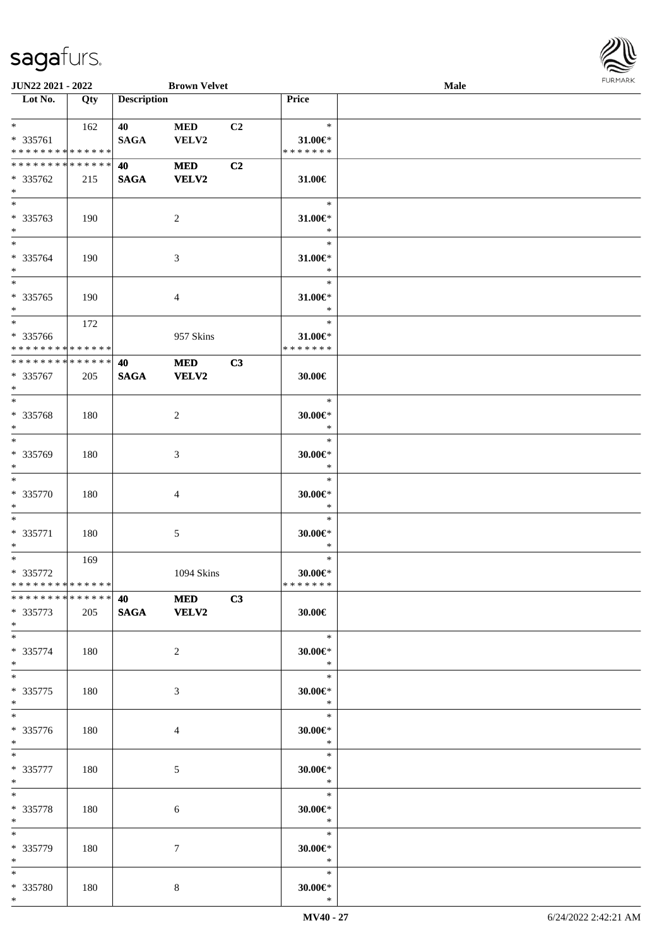

| JUN22 2021 - 2022                  |     |                    | <b>Brown Velvet</b> |                |                          | <b>Male</b> |  |
|------------------------------------|-----|--------------------|---------------------|----------------|--------------------------|-------------|--|
| Lot No.                            | Qty | <b>Description</b> |                     |                | Price                    |             |  |
|                                    |     |                    |                     |                |                          |             |  |
| $*$                                | 162 | 40                 | <b>MED</b>          | C <sub>2</sub> | $\ast$                   |             |  |
| * 335761                           |     | <b>SAGA</b>        | VELV2               |                | $31.00 \in$              |             |  |
| * * * * * * * * * * * * * *        |     |                    |                     |                | * * * * * * *            |             |  |
| * * * * * * * * * * * * * *        |     | 40                 | <b>MED</b>          | C <sub>2</sub> |                          |             |  |
|                                    |     |                    |                     |                |                          |             |  |
| * 335762                           | 215 | <b>SAGA</b>        | <b>VELV2</b>        |                | 31.00€                   |             |  |
| $\ast$<br>$\overline{\phantom{0}}$ |     |                    |                     |                |                          |             |  |
|                                    |     |                    |                     |                | $\ast$                   |             |  |
| * 335763                           | 190 |                    | $\overline{2}$      |                | $31.00 \in$ *            |             |  |
| $\ast$                             |     |                    |                     |                | $\ast$                   |             |  |
| $\ast$                             |     |                    |                     |                | $\ast$                   |             |  |
| * 335764                           | 190 |                    | $\mathfrak{Z}$      |                | $31.00 \in$ *            |             |  |
| $\ast$                             |     |                    |                     |                | $\ast$                   |             |  |
| $\overline{\ast}$                  |     |                    |                     |                | $\ast$                   |             |  |
| $* 335765$                         | 190 |                    | 4                   |                | $31.00 \in$              |             |  |
| $\ast$                             |     |                    |                     |                | $\ast$                   |             |  |
| $\overline{\ast}$                  | 172 |                    |                     |                | $\ast$                   |             |  |
|                                    |     |                    |                     |                |                          |             |  |
| * 335766                           |     |                    | 957 Skins           |                | 31.00€*<br>* * * * * * * |             |  |
| * * * * * * * * * * * * * *        |     |                    |                     |                |                          |             |  |
| ******** <mark>******</mark>       |     | 40                 | <b>MED</b>          | C3             |                          |             |  |
| * 335767                           | 205 | <b>SAGA</b>        | <b>VELV2</b>        |                | 30.00€                   |             |  |
| $\ast$                             |     |                    |                     |                |                          |             |  |
| $*$                                |     |                    |                     |                | $\ast$                   |             |  |
| * 335768                           | 180 |                    | $\overline{c}$      |                | $30.00 \in$ *            |             |  |
| $\ast$                             |     |                    |                     |                | $\ast$                   |             |  |
| $\ast$                             |     |                    |                     |                | $\ast$                   |             |  |
| * 335769                           | 180 |                    | 3                   |                | $30.00 \in$ *            |             |  |
| $\ast$                             |     |                    |                     |                | $\ast$                   |             |  |
| $\overline{\ast}$                  |     |                    |                     |                | $\ast$                   |             |  |
| $* 335770$                         |     |                    |                     |                | $30.00 \in$ *            |             |  |
|                                    | 180 |                    | $\overline{4}$      |                | $\ast$                   |             |  |
| $\ast$<br>$*$                      |     |                    |                     |                |                          |             |  |
|                                    |     |                    |                     |                | $\ast$                   |             |  |
| $* 335771$                         | 180 |                    | 5                   |                | $30.00 \in$ *            |             |  |
| $\ast$                             |     |                    |                     |                | $\ast$                   |             |  |
| $*$                                | 169 |                    |                     |                | $\ast$                   |             |  |
| $* 335772$                         |     |                    | 1094 Skins          |                | $30.00 \in$ *            |             |  |
| **************                     |     |                    |                     |                | *******                  |             |  |
| ******** <mark>******</mark>       |     | <b>40 MED</b>      |                     | C3             |                          |             |  |
| * 335773                           | 205 | SAGA VELV2         |                     |                | 30.00€                   |             |  |
| $*$                                |     |                    |                     |                |                          |             |  |
| $*$                                |     |                    |                     |                | $\ast$                   |             |  |
| * 335774                           | 180 |                    | $\overline{2}$      |                | 30.00€*                  |             |  |
| $*$                                |     |                    |                     |                | $\ast$                   |             |  |
| $\ast$                             |     |                    |                     |                | $\ast$                   |             |  |
|                                    |     |                    |                     |                |                          |             |  |
| $*335775$                          | 180 |                    | $\mathfrak{Z}$      |                | $30.00 \in$ *            |             |  |
| $*$                                |     |                    |                     |                | $\ast$                   |             |  |
| $*$                                |     |                    |                     |                | $\ast$                   |             |  |
| * 335776                           | 180 |                    | 4                   |                | $30.00 \in$ *            |             |  |
| $*$                                |     |                    |                     |                | $\ast$                   |             |  |
| $*$                                |     |                    |                     |                | $\ast$                   |             |  |
| $* 335777$                         | 180 |                    | $\mathfrak{S}$      |                | $30.00 \in$ *            |             |  |
| $*$                                |     |                    |                     |                | $\ast$                   |             |  |
| $\ast$                             |     |                    |                     |                | $\ast$                   |             |  |
| * 335778                           | 180 |                    | 6                   |                | $30.00 \in$ *            |             |  |
| $*$                                |     |                    |                     |                | $\ast$                   |             |  |
| $*$                                |     |                    |                     |                | $\ast$                   |             |  |
|                                    |     |                    |                     |                |                          |             |  |
| * 335779                           | 180 |                    | 7                   |                | $30.00 \in$              |             |  |
| $*$                                |     |                    |                     |                | $\ast$                   |             |  |
| $*$                                |     |                    |                     |                | $\ast$                   |             |  |
| * 335780                           | 180 |                    | 8                   |                | $30.00 \in$ *            |             |  |
| $*$                                |     |                    |                     |                | $\ast$                   |             |  |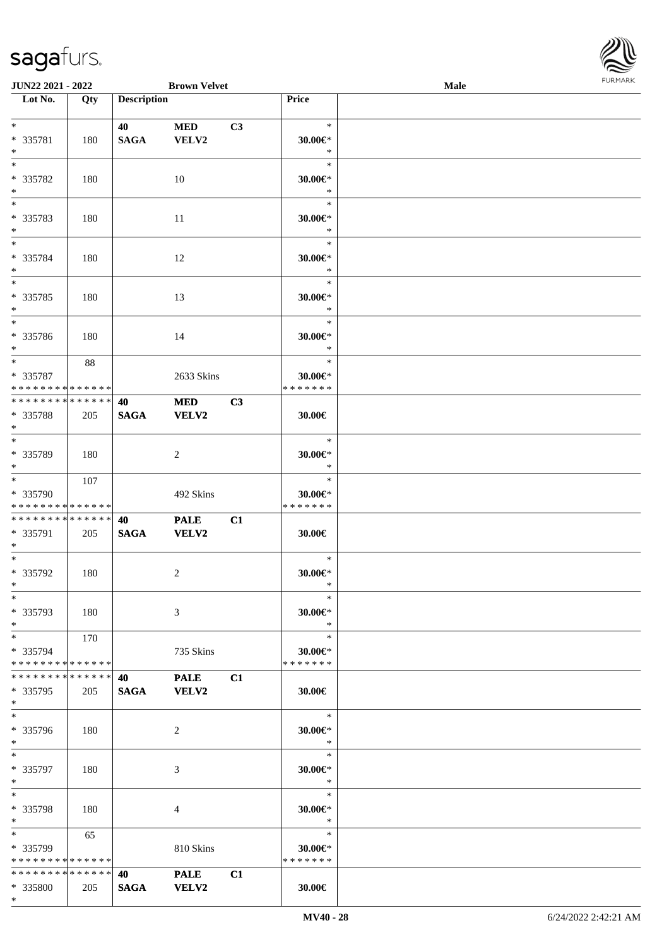

| JUN22 2021 - 2022                                      |                      |                       | <b>Brown Velvet</b>         |    |                                             | <b>Male</b> |  |
|--------------------------------------------------------|----------------------|-----------------------|-----------------------------|----|---------------------------------------------|-------------|--|
| $\overline{\phantom{1}}$ Lot No.                       | Qty                  | <b>Description</b>    |                             |    | Price                                       |             |  |
| $*$<br>* 335781<br>$*$                                 | 180                  | 40<br><b>SAGA</b>     | <b>MED</b><br>VELV2         | C3 | $\ast$<br>$30.00 \in$ *<br>$\ast$           |             |  |
| $\overline{\phantom{0}}$<br>* 335782<br>$\ast$         | 180                  |                       | 10                          |    | $\ast$<br>$30.00 \in$ *<br>$\ast$           |             |  |
| * 335783<br>$*$                                        | 180                  |                       | 11                          |    | $\ast$<br>$30.00 \in$ *<br>$\ast$           |             |  |
| * 335784<br>$*$<br>$*$                                 | 180                  |                       | 12                          |    | $\ast$<br>$30.00 \in$ *<br>$\ast$           |             |  |
| * 335785<br>$*$<br>$*$                                 | 180                  |                       | 13                          |    | $\ast$<br>$30.00 \in$ *<br>$\ast$<br>$\ast$ |             |  |
| * 335786<br>$*$                                        | 180                  |                       | 14                          |    | $30.00 \in$ *<br>$\ast$                     |             |  |
| $*$<br>* 335787<br>* * * * * * * * * * * * * * *       | 88                   |                       | 2633 Skins                  |    | $\ast$<br>$30.00 \in$ *<br>* * * * * * *    |             |  |
| * * * * * * * * * * * * * *<br>* 335788<br>$*$         | 205                  | 40<br><b>SAGA</b>     | <b>MED</b><br><b>VELV2</b>  | C3 | 30.00€                                      |             |  |
| $*$<br>* 335789<br>$*$<br>$\overline{\ast}$            | 180                  |                       | 2                           |    | $\ast$<br>$30.00 \in$ *<br>$\ast$           |             |  |
| * 335790<br>* * * * * * * * * * * * * *                | 107                  |                       | 492 Skins                   |    | $\ast$<br>$30.00 \in$ *<br>* * * * * * *    |             |  |
| * * * * * * * * * * * * * * *<br>* 335791<br>$*$       | 205                  | 40<br>$\mathbf{SAGA}$ | <b>PALE</b><br><b>VELV2</b> | C1 | 30.00€                                      |             |  |
| $*$<br>$* 335792$<br>$*$                               | 180                  |                       | 2                           |    | $\ast$<br>$30.00 \in$ *<br>$\ast$           |             |  |
| $*$<br>* 335793<br>$*$                                 | 180                  |                       | 3                           |    | $\ast$<br>$30.00 \in$ *<br>$\ast$           |             |  |
| $*$<br>* 335794<br>* * * * * * * * * * * * * * *       | 170                  |                       | 735 Skins                   |    | $\ast$<br>30.00€*<br>* * * * * * *          |             |  |
| * * * * * * * *<br>* 335795<br>$*$<br>$*$              | * * * * * *  <br>205 | 40<br><b>SAGA</b>     | <b>PALE</b><br><b>VELV2</b> | C1 | $30.00 \in$<br>$\ast$                       |             |  |
| * 335796<br>$*$<br>$*$                                 | 180                  |                       | 2                           |    | $30.00 \in$ *<br>$\ast$                     |             |  |
| * 335797<br>$*$                                        | 180                  |                       | 3                           |    | $\ast$<br>$30.00 \in$ *<br>$\ast$           |             |  |
| $*$<br>* 335798<br>$*$                                 | 180                  |                       | 4                           |    | $\ast$<br>$30.00 \in$ *<br>$\ast$           |             |  |
| $*$ and $*$<br>* 335799<br>* * * * * * * * * * * * * * | 65                   |                       | 810 Skins                   |    | $\ast$<br>$30.00 \in$ *<br>* * * * * * *    |             |  |
| * * * * * * * * * * * * * *<br>* 335800<br>$*$         | 205                  | 40<br><b>SAGA</b>     | <b>PALE</b><br><b>VELV2</b> | C1 | 30.00€                                      |             |  |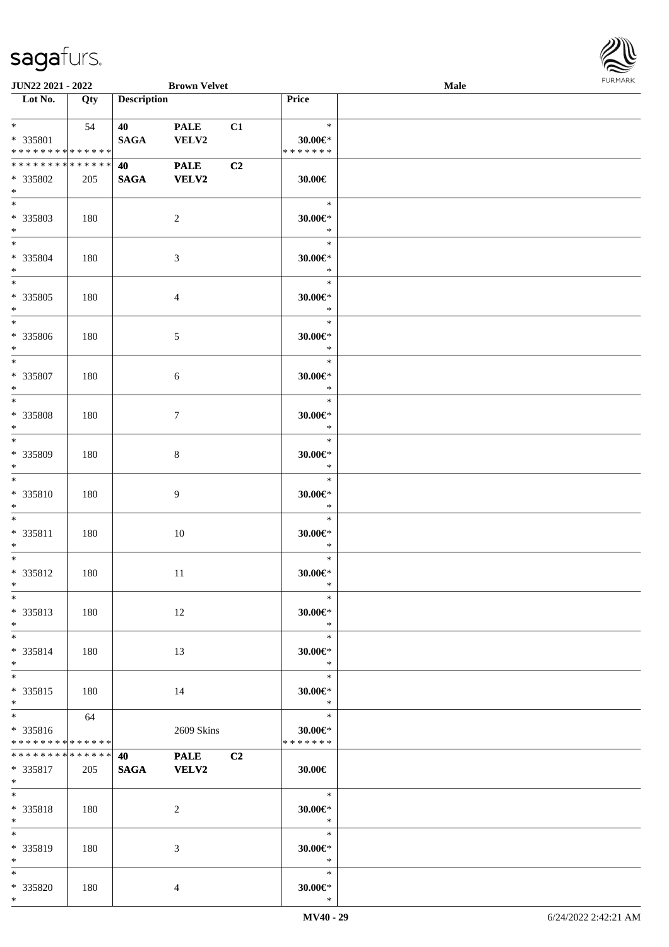

| <b>JUN22 2021 - 2022</b>      |     |                    | <b>Brown Velvet</b> |    |                   | <b>Male</b> |  |
|-------------------------------|-----|--------------------|---------------------|----|-------------------|-------------|--|
| Lot No.                       | Qty | <b>Description</b> |                     |    | Price             |             |  |
|                               |     |                    |                     |    |                   |             |  |
| $*$ and $*$                   | 54  | 40 — 10            | <b>PALE</b>         | C1 | $\ast$            |             |  |
| * 335801                      |     | <b>SAGA</b>        | VELV2               |    | 30.00€*           |             |  |
| * * * * * * * * * * * * * *   |     |                    |                     |    | * * * * * * *     |             |  |
| * * * * * * * * * * * * * * * |     | 40                 | <b>PALE</b>         | C2 |                   |             |  |
| * 335802                      | 205 | <b>SAGA</b>        | <b>VELV2</b>        |    | $30.00 \in$       |             |  |
| $*$                           |     |                    |                     |    |                   |             |  |
| $*$                           |     |                    |                     |    | $\ast$            |             |  |
| * 335803                      |     |                    |                     |    |                   |             |  |
| $*$                           | 180 |                    | $\overline{c}$      |    | 30.00€*<br>$\ast$ |             |  |
| $*$                           |     |                    |                     |    | $\ast$            |             |  |
|                               |     |                    |                     |    |                   |             |  |
| * 335804                      | 180 |                    | 3                   |    | $30.00 \in$ *     |             |  |
| $*$                           |     |                    |                     |    | $\ast$            |             |  |
|                               |     |                    |                     |    | $\ast$            |             |  |
| * 335805                      | 180 |                    | 4                   |    | $30.00 \in$ *     |             |  |
| $*$                           |     |                    |                     |    | $\ast$            |             |  |
| $*$                           |     |                    |                     |    | $\ast$            |             |  |
| * 335806                      | 180 |                    | 5                   |    | $30.00 \in$ *     |             |  |
| $*$                           |     |                    |                     |    | $\ast$            |             |  |
| $*$                           |     |                    |                     |    | $\ast$            |             |  |
| * 335807                      | 180 |                    | 6                   |    | $30.00 \in$       |             |  |
| $*$                           |     |                    |                     |    | $\ast$            |             |  |
| $*$                           |     |                    |                     |    | $\ast$            |             |  |
| * 335808                      | 180 |                    | 7                   |    | 30.00€*           |             |  |
| $*$                           |     |                    |                     |    | $\ast$            |             |  |
| $*$                           |     |                    |                     |    | $\ast$            |             |  |
| * 335809                      | 180 |                    | 8                   |    | 30.00€*           |             |  |
| $*$                           |     |                    |                     |    | $\ast$            |             |  |
| $\overline{\ }$               |     |                    |                     |    | $\ast$            |             |  |
| * 335810                      |     |                    |                     |    | $30.00 \in$ *     |             |  |
| $*$                           | 180 |                    | 9                   |    | $\ast$            |             |  |
| $*$                           |     |                    |                     |    | $\ast$            |             |  |
|                               |     |                    |                     |    |                   |             |  |
| * 335811                      | 180 |                    | 10                  |    | $30.00 \in$ *     |             |  |
| $*$                           |     |                    |                     |    | $\ast$            |             |  |
| $*$                           |     |                    |                     |    | $\ast$            |             |  |
| $* 335812$                    | 180 |                    | 11                  |    | 30.00€*           |             |  |
| $*$                           |     |                    |                     |    | $\ast$            |             |  |
| $*$                           |     |                    |                     |    | $\ast$            |             |  |
| * 335813                      | 180 |                    | 12                  |    | $30.00 \in$ *     |             |  |
| $*$                           |     |                    |                     |    | $\ast$            |             |  |
| $*$                           |     |                    |                     |    | $\ast$            |             |  |
| * 335814                      | 180 |                    | 13                  |    | 30.00€*           |             |  |
| $*$                           |     |                    |                     |    | $\ast$            |             |  |
| $*$                           |     |                    |                     |    | $\ast$            |             |  |
| * 335815                      | 180 |                    | 14                  |    | $30.00 \in$ *     |             |  |
| $*$                           |     |                    |                     |    | $\ast$            |             |  |
| $*$                           | 64  |                    |                     |    | $\ast$            |             |  |
| * 335816                      |     |                    | 2609 Skins          |    | $30.00 \in$ *     |             |  |
| * * * * * * * * * * * * * *   |     |                    |                     |    | * * * * * * *     |             |  |
| * * * * * * * * * * * * * * * |     | 40                 | <b>PALE</b>         | C2 |                   |             |  |
| * 335817                      | 205 | <b>SAGA</b>        | <b>VELV2</b>        |    | $30.00 \in$       |             |  |
| $*$ $-$                       |     |                    |                     |    |                   |             |  |
| $*$                           |     |                    |                     |    | $\ast$            |             |  |
|                               |     |                    |                     |    |                   |             |  |
| * 335818                      | 180 |                    | 2                   |    | $30.00 \in$ *     |             |  |
| $*$                           |     |                    |                     |    | $\ast$            |             |  |
| $*$                           |     |                    |                     |    | $\ast$            |             |  |
| * 335819                      | 180 |                    | 3                   |    | $30.00 \in$       |             |  |
| $*$ $-$                       |     |                    |                     |    | $\ast$            |             |  |
| $*$                           |     |                    |                     |    | $\ast$            |             |  |
| * 335820                      | 180 |                    | 4                   |    | $30.00 \in$       |             |  |
| $*$                           |     |                    |                     |    | $\ast$            |             |  |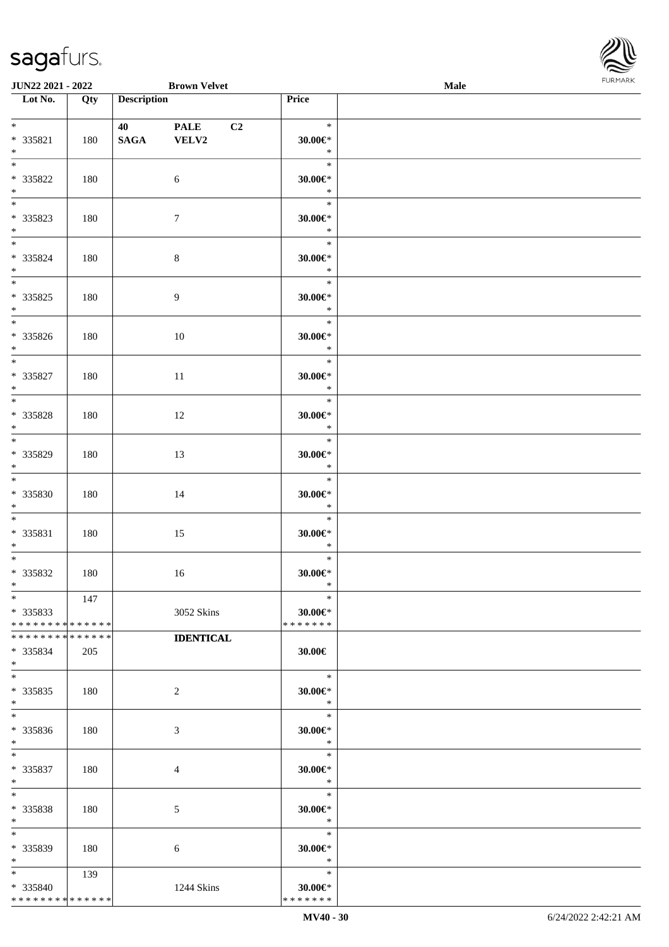

| JUN22 2021 - 2022                  |     |                    | <b>Brown Velvet</b> |    |                         | Male |  |
|------------------------------------|-----|--------------------|---------------------|----|-------------------------|------|--|
| Lot No.                            | Qty | <b>Description</b> |                     |    | Price                   |      |  |
|                                    |     |                    |                     |    |                         |      |  |
| $*$                                |     | 40 - 10            | <b>PALE</b>         | C2 | $\ast$                  |      |  |
| * 335821                           | 180 | <b>SAGA</b>        | <b>VELV2</b>        |    | $30.00 \in$ *           |      |  |
| $\ast$                             |     |                    |                     |    | $\ast$                  |      |  |
| $\overline{\phantom{0}}$           |     |                    |                     |    | $\ast$                  |      |  |
| * 335822                           | 180 |                    | 6                   |    | $30.00 \in$ *           |      |  |
| $\ast$                             |     |                    |                     |    | $\ast$                  |      |  |
|                                    |     |                    |                     |    | $\ast$                  |      |  |
| * 335823                           | 180 |                    | $7\phantom{.0}$     |    | $30.00 \in$ *           |      |  |
| $*$                                |     |                    |                     |    | $\ast$                  |      |  |
| $*$                                |     |                    |                     |    | $\ast$                  |      |  |
| $* 335824$                         | 180 |                    | $\,8\,$             |    | $30.00 \in$ *           |      |  |
| $*$<br>$\overline{\phantom{0}}$    |     |                    |                     |    | $\ast$                  |      |  |
|                                    |     |                    |                     |    | $\ast$                  |      |  |
| * 335825                           | 180 |                    | $\overline{9}$      |    | $30.00 \in$ *           |      |  |
| $*$<br>$\overline{\phantom{0}}$    |     |                    |                     |    | $\ast$                  |      |  |
|                                    |     |                    |                     |    | $\ast$                  |      |  |
| * 335826                           | 180 |                    | 10                  |    | $30.00 \in$ *           |      |  |
| $*$<br>$\overline{\phantom{0}}$    |     |                    |                     |    | $\ast$                  |      |  |
|                                    |     |                    |                     |    | $\ast$                  |      |  |
| $* 335827$                         | 180 |                    | 11                  |    | $30.00 \in$ *           |      |  |
| $\ast$<br>$\overline{\phantom{0}}$ |     |                    |                     |    | $\ast$                  |      |  |
|                                    |     |                    |                     |    | $\ast$                  |      |  |
| * 335828                           | 180 |                    | 12                  |    | $30.00 \in$ *           |      |  |
| $\ast$<br>$\overline{\phantom{0}}$ |     |                    |                     |    | $\ast$<br>$\ast$        |      |  |
|                                    |     |                    |                     |    |                         |      |  |
| * 335829<br>$*$                    | 180 |                    | 13                  |    | $30.00 \in$ *<br>$\ast$ |      |  |
| $\overline{\phantom{a}^*}$         |     |                    |                     |    | $\ast$                  |      |  |
| * 335830                           | 180 |                    | 14                  |    | $30.00 \text{E}^*$      |      |  |
| $*$                                |     |                    |                     |    | $\ast$                  |      |  |
| $*$                                |     |                    |                     |    | $\ast$                  |      |  |
| * 335831                           | 180 |                    | 15                  |    | $30.00 \in$ *           |      |  |
| $*$                                |     |                    |                     |    | $\ast$                  |      |  |
| $*$                                |     |                    |                     |    | $\ast$                  |      |  |
| * 335832                           | 180 |                    | 16                  |    | $30.00 \in$ *           |      |  |
| $*$                                |     |                    |                     |    | $\ast$                  |      |  |
| $*$                                | 147 |                    |                     |    | $\ast$                  |      |  |
| $*335833$                          |     |                    | 3052 Skins          |    | 30.00€*                 |      |  |
| * * * * * * * * * * * * * *        |     |                    |                     |    | * * * * * * *           |      |  |
| * * * * * * * * * * * * * *        |     |                    | <b>IDENTICAL</b>    |    |                         |      |  |
| * 335834                           | 205 |                    |                     |    | 30.00€                  |      |  |
| $*$                                |     |                    |                     |    |                         |      |  |
| $*$                                |     |                    |                     |    | $\ast$                  |      |  |
| * 335835                           | 180 |                    | 2                   |    | $30.00 \in$ *           |      |  |
| $*$                                |     |                    |                     |    | $*$                     |      |  |
| $*$                                |     |                    |                     |    | $\ast$                  |      |  |
| * 335836                           | 180 |                    | 3                   |    | $30.00 \in$ *           |      |  |
| $*$                                |     |                    |                     |    | $\ast$                  |      |  |
| $*$                                |     |                    |                     |    | $\Box$<br>$\ast$        |      |  |
| * 335837                           | 180 |                    | 4                   |    | $30.00 \in$ *           |      |  |
| $*$                                |     |                    |                     |    | $\bullet$ $\bullet$     |      |  |
| $*$                                |     |                    |                     |    | $\ast$                  |      |  |
| * 335838                           | 180 |                    | 5                   |    | 30.00€*                 |      |  |
| $*$                                |     |                    |                     |    | $\ast$                  |      |  |
| $\ast$                             |     |                    |                     |    | $\ast$                  |      |  |
| * 335839                           | 180 |                    | 6                   |    | $30.00 \in$ *           |      |  |
| $*$                                |     |                    |                     |    | $\ast$                  |      |  |
| $*$ and $*$                        | 139 |                    |                     |    | $\ast$                  |      |  |
| * 335840                           |     |                    | 1244 Skins          |    | $30.00 \in$ *           |      |  |
| * * * * * * * * * * * * * *        |     |                    |                     |    | * * * * * * *           |      |  |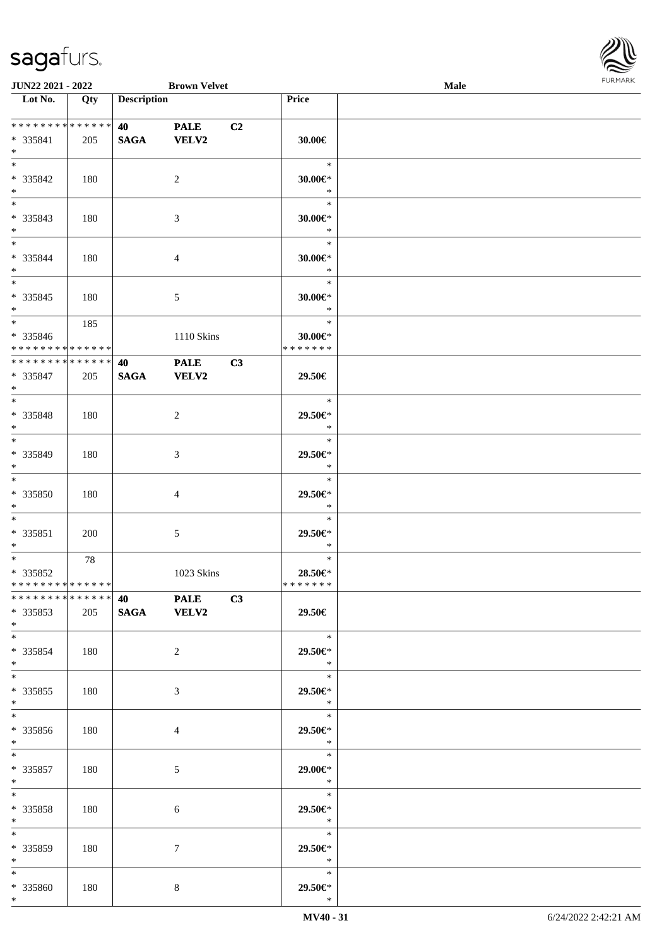

| <b>JUN22 2021 - 2022</b>                   |     |                                 | <b>Brown Velvet</b> |                |                          | Male |  |
|--------------------------------------------|-----|---------------------------------|---------------------|----------------|--------------------------|------|--|
| Lot No.                                    | Qty | <b>Description</b>              |                     |                | Price                    |      |  |
|                                            |     |                                 |                     |                |                          |      |  |
| ******** <mark>******</mark>               |     | <b>40</b> and the set of $\sim$ | <b>PALE</b>         | C <sub>2</sub> |                          |      |  |
| * 335841                                   | 205 | <b>SAGA</b>                     | <b>VELV2</b>        |                | 30.00€                   |      |  |
| $*$                                        |     |                                 |                     |                |                          |      |  |
|                                            |     |                                 |                     |                | $\ast$                   |      |  |
| * 335842                                   | 180 |                                 | 2                   |                | 30.00€*                  |      |  |
| $*$                                        |     |                                 |                     |                | $\ast$                   |      |  |
|                                            |     |                                 |                     |                | $\ast$                   |      |  |
| * 335843                                   | 180 |                                 | 3                   |                | $30.00 \in$ *            |      |  |
| $*$                                        |     |                                 |                     |                | $\ast$                   |      |  |
| $*$                                        |     |                                 |                     |                | $\ast$                   |      |  |
| * 335844                                   | 180 |                                 |                     |                | $30.00 \in$ *            |      |  |
| $*$                                        |     |                                 | $\overline{4}$      |                | $\ast$                   |      |  |
|                                            |     |                                 |                     |                | $\ast$                   |      |  |
|                                            |     |                                 |                     |                |                          |      |  |
| $* 335845$                                 | 180 |                                 | 5                   |                | $30.00 \in$ *            |      |  |
| $*$<br>$\overline{\ast}$                   |     |                                 |                     |                | $\ast$                   |      |  |
|                                            | 185 |                                 |                     |                | $\ast$                   |      |  |
| * 335846                                   |     |                                 | 1110 Skins          |                | $30.00 \in$ *            |      |  |
| * * * * * * * * * * * * * * *              |     |                                 |                     |                | * * * * * * *            |      |  |
| * * * * * * * * <mark>* * * * * * *</mark> |     | 40                              | <b>PALE</b>         | C3             |                          |      |  |
| * 335847                                   | 205 | <b>SAGA</b>                     | VELV2               |                | 29.50€                   |      |  |
| $*$                                        |     |                                 |                     |                |                          |      |  |
|                                            |     |                                 |                     |                | $\ast$                   |      |  |
| * 335848                                   | 180 |                                 | 2                   |                | 29.50€*                  |      |  |
| $*$                                        |     |                                 |                     |                | $\ast$                   |      |  |
| $\overline{\ast}$                          |     |                                 |                     |                | $\ast$                   |      |  |
| * 335849                                   | 180 |                                 | 3                   |                | 29.50€*                  |      |  |
| $*$                                        |     |                                 |                     |                | $\ast$                   |      |  |
| $*$                                        |     |                                 |                     |                | $\ast$                   |      |  |
| * 335850                                   | 180 |                                 | $\overline{4}$      |                | 29.50€*                  |      |  |
| $*$                                        |     |                                 |                     |                | $\ast$                   |      |  |
| $*$                                        |     |                                 |                     |                | $\ast$                   |      |  |
| * 335851                                   | 200 |                                 | 5                   |                | 29.50€*                  |      |  |
| $*$                                        |     |                                 |                     |                | $\ast$                   |      |  |
| $*$ $-$                                    | 78  |                                 |                     |                | $\ast$                   |      |  |
| * 335852                                   |     |                                 | 1023 Skins          |                | 28.50€*                  |      |  |
| * * * * * * * * * * * * * * *              |     |                                 |                     |                | *******                  |      |  |
| ******** <mark>******</mark>               |     |                                 |                     |                |                          |      |  |
|                                            |     |                                 | 40 PALE C3          |                |                          |      |  |
| * 335853                                   | 205 | SAGA VELV2                      |                     |                | 29.50€                   |      |  |
| $*$                                        |     |                                 |                     |                |                          |      |  |
| $*$                                        |     |                                 |                     |                | $\ast$                   |      |  |
| * 335854                                   | 180 |                                 | $\overline{2}$      |                | 29.50€*                  |      |  |
| $*$                                        |     |                                 |                     |                | $\star$                  |      |  |
| $*$ $-$                                    |     |                                 |                     |                | $\ast$                   |      |  |
| $*335855$                                  | 180 |                                 | 3                   |                | 29.50€*                  |      |  |
| $*$                                        |     |                                 |                     |                | $\mathbb{R}^2$           |      |  |
|                                            |     |                                 |                     |                | $\overline{\phantom{0}}$ |      |  |
| * 335856                                   | 180 |                                 | $\overline{4}$      |                | 29.50€*                  |      |  |
| $*$                                        |     |                                 |                     |                | $\ast$                   |      |  |
| $*$ $*$                                    |     |                                 |                     |                | $\ast$                   |      |  |
| * 335857                                   | 180 |                                 | $\mathfrak{S}$      |                | 29.00€*                  |      |  |
| $*$ $-$                                    |     |                                 |                     |                | $\ast$                   |      |  |
| $*$ $-$                                    |     |                                 |                     |                | $\ast$                   |      |  |
| * 335858                                   | 180 |                                 | 6                   |                | 29.50€*                  |      |  |
| $*$ $\qquad$                               |     |                                 |                     |                | $\ast$                   |      |  |
| $*$                                        |     |                                 |                     |                | $\ast$                   |      |  |
| * 335859                                   | 180 |                                 | $\tau$              |                | 29.50€*                  |      |  |
| $*$                                        |     |                                 |                     |                | $\ast$                   |      |  |
| $*$                                        |     |                                 |                     |                | $\ast$                   |      |  |
| * 335860                                   | 180 |                                 | 8                   |                | 29.50€*                  |      |  |
| $*$                                        |     |                                 |                     |                | $\ast$                   |      |  |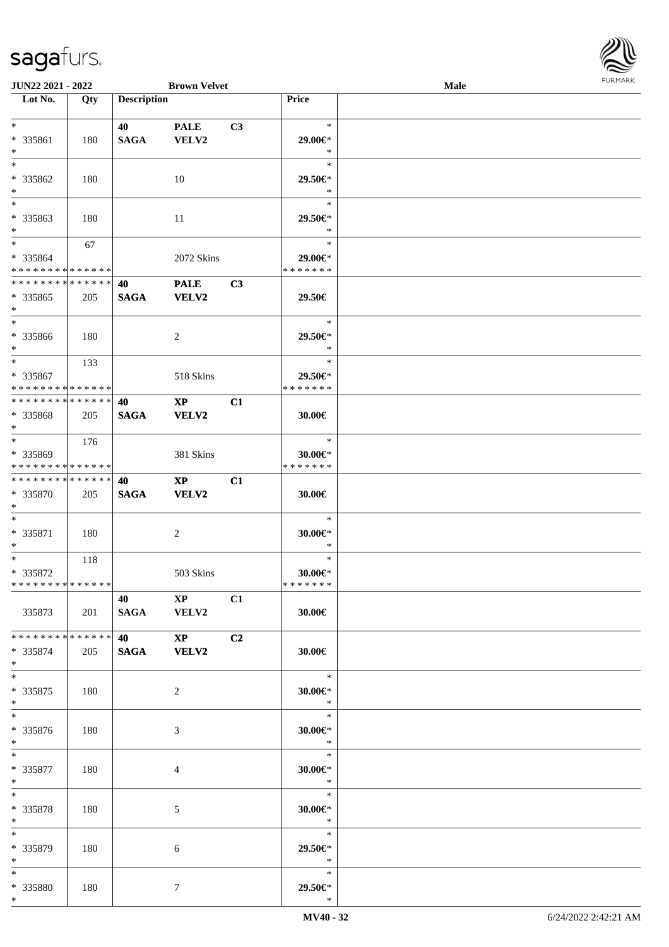

| JUN22 2021 - 2022                          |     |                    | <b>Brown Velvet</b>    |                |                     | <b>Male</b> |  |
|--------------------------------------------|-----|--------------------|------------------------|----------------|---------------------|-------------|--|
| Lot No.                                    | Qty | <b>Description</b> |                        |                | Price               |             |  |
|                                            |     |                    |                        |                |                     |             |  |
| $*$                                        |     | 40                 | <b>PALE</b>            | C3             | $\ast$              |             |  |
| * 335861                                   | 180 | <b>SAGA</b>        | VELV2                  |                | 29.00€*             |             |  |
| $*$                                        |     |                    |                        |                | $\ast$              |             |  |
| $*$                                        |     |                    |                        |                | $\ast$              |             |  |
|                                            |     |                    |                        |                |                     |             |  |
| * 335862                                   | 180 |                    | 10                     |                | 29.50€*             |             |  |
| $\ast$                                     |     |                    |                        |                | $\ast$              |             |  |
| $\overline{\phantom{0}}$                   |     |                    |                        |                | $\ast$              |             |  |
| * 335863                                   | 180 |                    | 11                     |                | 29.50€*             |             |  |
| $*$                                        |     |                    |                        |                | $\ast$              |             |  |
| $*$                                        | 67  |                    |                        |                | $\ast$              |             |  |
| * 335864                                   |     |                    | 2072 Skins             |                | 29.00€*             |             |  |
| * * * * * * * * * * * * * *                |     |                    |                        |                | * * * * * * *       |             |  |
| * * * * * * * * * * * * * *                |     | 40                 | <b>PALE</b>            | C3             |                     |             |  |
|                                            |     |                    |                        |                |                     |             |  |
| * 335865                                   | 205 | <b>SAGA</b>        | VELV2                  |                | 29.50€              |             |  |
| $*$                                        |     |                    |                        |                |                     |             |  |
| $*$                                        |     |                    |                        |                | $\ast$              |             |  |
| * 335866                                   | 180 |                    | 2                      |                | 29.50€*             |             |  |
| $*$                                        |     |                    |                        |                | $\ast$              |             |  |
| $*$                                        | 133 |                    |                        |                | $\ast$              |             |  |
| $* 335867$                                 |     |                    | 518 Skins              |                | 29.50€*             |             |  |
| * * * * * * * * * * * * * * *              |     |                    |                        |                | * * * * * * *       |             |  |
| * * * * * * * * * * * * * * *              |     | 40                 | $\mathbf{XP}$          | C1             |                     |             |  |
| * 335868                                   | 205 | <b>SAGA</b>        | VELV2                  |                | 30.00€              |             |  |
| $*$                                        |     |                    |                        |                |                     |             |  |
| $*$                                        |     |                    |                        |                | $\ast$              |             |  |
|                                            | 176 |                    |                        |                |                     |             |  |
| * 335869                                   |     |                    | 381 Skins              |                | $30.00 \in$ *       |             |  |
| * * * * * * * * * * * * * *                |     |                    |                        |                | * * * * * * *       |             |  |
| * * * * * * * * * * * * * * *              |     | 40                 | $\mathbf{XP}$          | C1             |                     |             |  |
| * 335870                                   | 205 | <b>SAGA</b>        | VELV2                  |                | 30.00€              |             |  |
| $*$                                        |     |                    |                        |                |                     |             |  |
| $*$                                        |     |                    |                        |                | $\ast$              |             |  |
| $* 335871$                                 | 180 |                    | $\overline{c}$         |                | $30.00 \in$ *       |             |  |
| $*$                                        |     |                    |                        |                | $\ast$              |             |  |
| $*$                                        | 118 |                    |                        |                | $\ast$              |             |  |
| * 335872                                   |     |                    | 503 Skins              |                | 30.00€*             |             |  |
| * * * * * * * * * * * * * * *              |     |                    |                        |                | *******             |             |  |
|                                            |     | 40 XP              |                        | C1             |                     |             |  |
| 335873                                     | 201 |                    | SAGA VELV2             |                | 30.00€              |             |  |
|                                            |     |                    |                        |                |                     |             |  |
| * * * * * * * * <mark>* * * * * * *</mark> |     |                    |                        |                |                     |             |  |
|                                            |     |                    | $\mathbf{X}\mathbf{P}$ | C <sub>2</sub> |                     |             |  |
| * 335874                                   | 205 |                    | SAGA VELV2             |                | 30.00€              |             |  |
| $*$                                        |     |                    |                        |                |                     |             |  |
| $*$                                        |     |                    |                        |                | $*$                 |             |  |
| * 335875                                   | 180 |                    | 2                      |                | 30.00€*             |             |  |
| $*$                                        |     |                    |                        |                | $\ast$              |             |  |
| $*$                                        |     |                    |                        |                | $\ast$              |             |  |
| * 335876                                   | 180 |                    | 3                      |                | $30.00 \in$         |             |  |
| $*$                                        |     |                    |                        |                | $\ast$              |             |  |
| $*$                                        |     |                    |                        |                | $\ast$              |             |  |
| * 335877                                   | 180 |                    | 4                      |                | $30.00 \in$ *       |             |  |
| $*$ $-$                                    |     |                    |                        |                | $\ast$              |             |  |
| $*$                                        |     |                    |                        |                | $\ast$              |             |  |
|                                            |     |                    |                        |                |                     |             |  |
| * 335878                                   | 180 |                    | 5                      |                | 30.00€*             |             |  |
| $*$ $-$                                    |     |                    |                        |                | $\bullet$ $\bullet$ |             |  |
| $*$                                        |     |                    |                        |                | $\ast$              |             |  |
| * 335879                                   | 180 |                    | 6                      |                | 29.50€*             |             |  |
| $*$                                        |     |                    |                        |                | $\ast$              |             |  |
| $*$                                        |     |                    |                        |                | $\ast$              |             |  |
| * 335880                                   | 180 |                    | 7                      |                | 29.50€*             |             |  |
| $*$                                        |     |                    |                        |                | $\ast$              |             |  |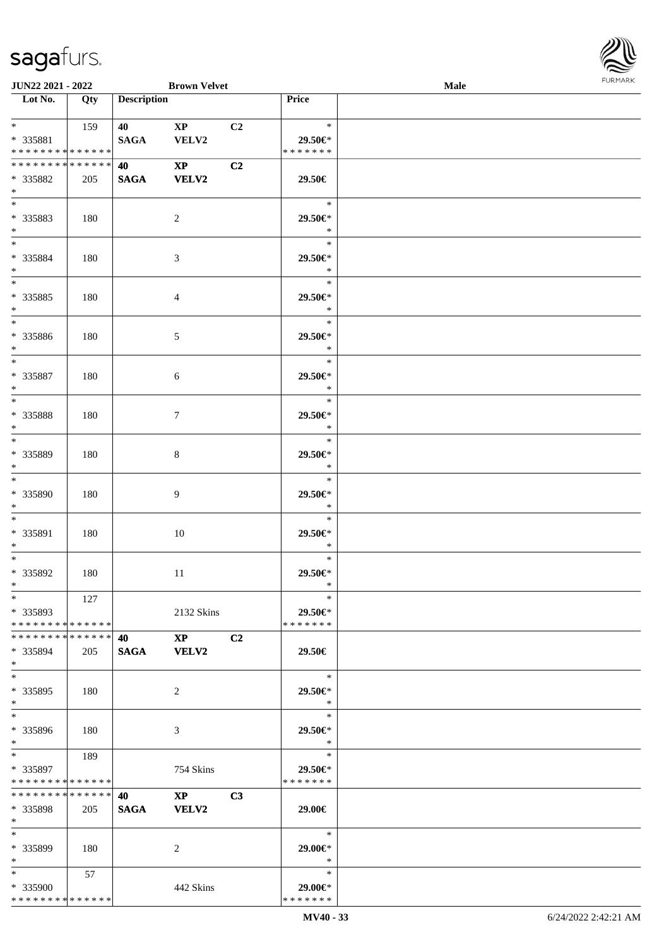

| JUN22 2021 - 2022                                      |     |                    | <b>Brown Velvet</b>                    |    |                                    | <b>Male</b> | <b>FURMARK</b> |
|--------------------------------------------------------|-----|--------------------|----------------------------------------|----|------------------------------------|-------------|----------------|
| $\overline{\phantom{1}}$ Lot No.                       | Qty | <b>Description</b> |                                        |    | Price                              |             |                |
| $*$ and $*$<br>* 335881<br>* * * * * * * * * * * * * * | 159 | 40 — 20<br>SAGA    | $\mathbf{XP}$<br>VELV2                 | C2 | $\ast$<br>29.50€*<br>* * * * * * * |             |                |
| * * * * * * * * * * * * * *<br>* 335882<br>$*$         | 205 | 40<br><b>SAGA</b>  | $\mathbf{X}\mathbf{P}$<br><b>VELV2</b> | C2 | 29.50€                             |             |                |
| $\overline{\phantom{0}}$<br>* 335883<br>$*$            | 180 |                    | $\overline{c}$                         |    | $\ast$<br>29.50€*<br>$\ast$        |             |                |
| $*$<br>* 335884<br>$*$                                 | 180 |                    | $\mathfrak{Z}$                         |    | $\ast$<br>29.50€*<br>$\ast$        |             |                |
| $*$<br>* 335885<br>$*$<br>$\overline{\phantom{0}}$     | 180 |                    | 4                                      |    | $\ast$<br>29.50€*<br>$\ast$        |             |                |
| * 335886<br>$*$                                        | 180 |                    | $\sqrt{5}$                             |    | $\ast$<br>29.50€*<br>$\ast$        |             |                |
| $\ast$<br>* 335887<br>$\ast$                           | 180 |                    | 6                                      |    | $\ast$<br>29.50€*<br>$\ast$        |             |                |
| $*$<br>* 335888<br>$\ast$<br>$\overline{\phantom{0}}$  | 180 |                    | $\tau$                                 |    | $\ast$<br>29.50€*<br>$\ast$        |             |                |
| * 335889<br>$\ast$                                     | 180 |                    | $\,8\,$                                |    | $\ast$<br>29.50€*<br>$\ast$        |             |                |
| $\overline{\ }$<br>* 335890<br>$\ast$                  | 180 |                    | 9                                      |    | $\ast$<br>29.50€*<br>$\ast$        |             |                |
| $*$<br>* 335891<br>$\ast$<br>$\overline{\phantom{0}}$  | 180 |                    | 10                                     |    | $\ast$<br>29.50€*<br>$\ast$        |             |                |
| * 335892<br>$\ast$                                     | 180 |                    | 11                                     |    | $\ast$<br>29.50€*<br>∗             |             |                |
| $\ast$<br>* 335893<br>* * * * * * * * * * * * * *      | 127 |                    | 2132 Skins                             |    | $\ast$<br>29.50€*<br>* * * * * * * |             |                |
| * * * * * * * * * * * * * *<br>* 335894<br>$*$         | 205 | 40<br><b>SAGA</b>  | $\mathbf{X}\mathbf{P}$<br><b>VELV2</b> | C2 | 29.50€                             |             |                |
| $*$<br>* 335895<br>$\ast$                              | 180 |                    | 2                                      |    | $\ast$<br>29.50€*<br>$\ast$        |             |                |
| $\overline{\phantom{a}^*}$<br>* 335896<br>$*$          | 180 |                    | 3                                      |    | $\ast$<br>29.50€*<br>$\ast$        |             |                |
| $*$<br>* 335897<br>* * * * * * * * * * * * * *         | 189 |                    | 754 Skins                              |    | $\ast$<br>29.50€*<br>* * * * * * * |             |                |
| * * * * * * * * * * * * * *<br>$*335898$<br>$\ast$     | 205 | 40<br><b>SAGA</b>  | $\mathbf{XP}$<br><b>VELV2</b>          | C3 | 29.00€                             |             |                |
| $\ast$<br>* 335899<br>$\ast$                           | 180 |                    | $\overline{2}$                         |    | $\ast$<br>29.00€*<br>$\ast$        |             |                |
| $*$<br>* 335900<br>* * * * * * * * * * * * * *         | 57  |                    | 442 Skins                              |    | $\ast$<br>29.00€*<br>* * * * * * * |             |                |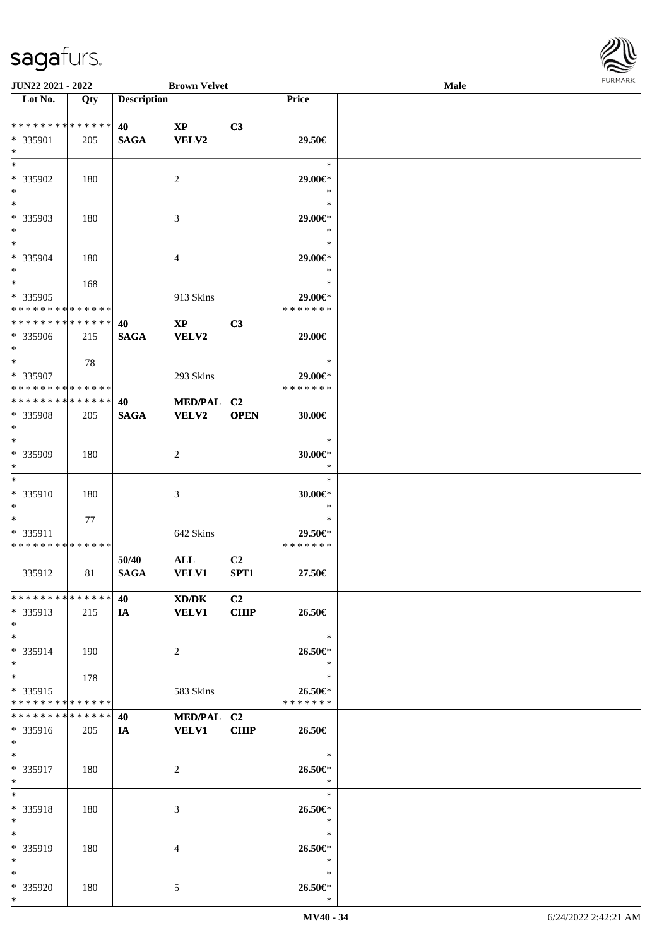

| <b>JUN22 2021 - 2022</b>                   |     |                    | <b>Brown Velvet</b>    |                |                   | <b>Male</b> |  |
|--------------------------------------------|-----|--------------------|------------------------|----------------|-------------------|-------------|--|
| Lot No.                                    | Qty | <b>Description</b> |                        |                | Price             |             |  |
|                                            |     |                    |                        |                |                   |             |  |
| * * * * * * * * <mark>* * * * * * *</mark> |     | 40                 | $\mathbf{XP}$          | C3             |                   |             |  |
| * 335901                                   | 205 | <b>SAGA</b>        | VELV2                  |                | 29.50€            |             |  |
| $*$                                        |     |                    |                        |                |                   |             |  |
| $*$                                        |     |                    |                        |                | $\ast$            |             |  |
| * 335902                                   |     |                    |                        |                |                   |             |  |
|                                            | 180 |                    | 2                      |                | 29.00€*           |             |  |
| $*$                                        |     |                    |                        |                | $\ast$            |             |  |
|                                            |     |                    |                        |                | $\ast$            |             |  |
| * 335903                                   | 180 |                    | 3                      |                | 29.00€*           |             |  |
| $\ast$                                     |     |                    |                        |                | $\ast$            |             |  |
| $*$                                        |     |                    |                        |                | $\ast$            |             |  |
| * 335904                                   | 180 |                    | $\overline{4}$         |                | 29.00€*           |             |  |
| $*$                                        |     |                    |                        |                | $\ast$            |             |  |
| $*$                                        | 168 |                    |                        |                | $\ast$            |             |  |
| * 335905                                   |     |                    |                        |                | $29.00 \in$ *     |             |  |
|                                            |     |                    | 913 Skins              |                | * * * * * * *     |             |  |
| * * * * * * * * * * * * * *                |     |                    |                        |                |                   |             |  |
| * * * * * * * * * * * * * *                |     | 40                 | $\mathbf{X}\mathbf{P}$ | C3             |                   |             |  |
| * 335906                                   | 215 | <b>SAGA</b>        | VELV2                  |                | 29.00€            |             |  |
| $*$                                        |     |                    |                        |                |                   |             |  |
| $*$                                        | 78  |                    |                        |                | $\ast$            |             |  |
| * 335907                                   |     |                    | 293 Skins              |                | 29.00€*           |             |  |
| * * * * * * * * * * * * * * *              |     |                    |                        |                | * * * * * * *     |             |  |
| * * * * * * * * * * * * * * *              |     | 40                 | MED/PAL C2             |                |                   |             |  |
| * 335908                                   |     |                    | <b>VELV2</b>           | <b>OPEN</b>    |                   |             |  |
|                                            | 205 | <b>SAGA</b>        |                        |                | 30.00€            |             |  |
| $*$                                        |     |                    |                        |                |                   |             |  |
| $*$                                        |     |                    |                        |                | $\ast$            |             |  |
| * 335909                                   | 180 |                    | 2                      |                | 30.00€*           |             |  |
| $*$                                        |     |                    |                        |                | $\ast$            |             |  |
| $*$                                        |     |                    |                        |                | $\ast$            |             |  |
| * 335910                                   | 180 |                    | 3                      |                | 30.00€*           |             |  |
| $*$                                        |     |                    |                        |                | $\ast$            |             |  |
| $*$                                        | 77  |                    |                        |                | $\ast$            |             |  |
| * 335911                                   |     |                    | 642 Skins              |                | 29.50€*           |             |  |
| * * * * * * * * * * * * * *                |     |                    |                        |                | * * * * * * *     |             |  |
|                                            |     |                    |                        |                |                   |             |  |
|                                            |     | 50/40              | $\mathbf{ALL}$         | C <sub>2</sub> |                   |             |  |
| 335912                                     | 81  | <b>SAGA</b>        | <b>VELV1</b>           | SPT1           | 27.50€            |             |  |
|                                            |     |                    |                        |                |                   |             |  |
| * * * * * * * * * * * * * * *              |     | 40                 | XD/DK                  | C <sub>2</sub> |                   |             |  |
| * 335913                                   | 215 | IA                 | <b>VELV1</b>           | <b>CHIP</b>    | 26.50€            |             |  |
| $*$                                        |     |                    |                        |                |                   |             |  |
| $*$                                        |     |                    |                        |                | $\ast$            |             |  |
| * 335914                                   | 190 |                    | 2                      |                | 26.50€*           |             |  |
| $*$                                        |     |                    |                        |                | $\ast$            |             |  |
| $*$                                        | 178 |                    |                        |                | $\ast$            |             |  |
|                                            |     |                    |                        |                |                   |             |  |
| * 335915                                   |     |                    | 583 Skins              |                | 26.50€*           |             |  |
| * * * * * * * * * * * * * *                |     |                    |                        |                | * * * * * * *     |             |  |
| * * * * * * * * * * * * * * *              |     | 40                 | MED/PAL C2             |                |                   |             |  |
| * 335916                                   | 205 | IA                 | <b>VELV1</b>           | <b>CHIP</b>    | 26.50€            |             |  |
| $*$                                        |     |                    |                        |                |                   |             |  |
| $*$                                        |     |                    |                        |                | $\ast$            |             |  |
| * 335917                                   | 180 |                    | 2                      |                | 26.50€*           |             |  |
| $*$                                        |     |                    |                        |                | $*$               |             |  |
| $*$                                        |     |                    |                        |                | $\ast$            |             |  |
|                                            | 180 |                    |                        |                |                   |             |  |
| * 335918                                   |     |                    | 3                      |                | 26.50€*<br>$\ast$ |             |  |
| $*$                                        |     |                    |                        |                |                   |             |  |
| $*$                                        |     |                    |                        |                | $\ast$            |             |  |
| * 335919                                   | 180 |                    | 4                      |                | 26.50€*           |             |  |
| $*$                                        |     |                    |                        |                | $\ast$            |             |  |
| $*$                                        |     |                    |                        |                | $\ast$            |             |  |
| * 335920                                   | 180 |                    | 5                      |                | 26.50€*           |             |  |
| $\ast$                                     |     |                    |                        |                | $\ast$            |             |  |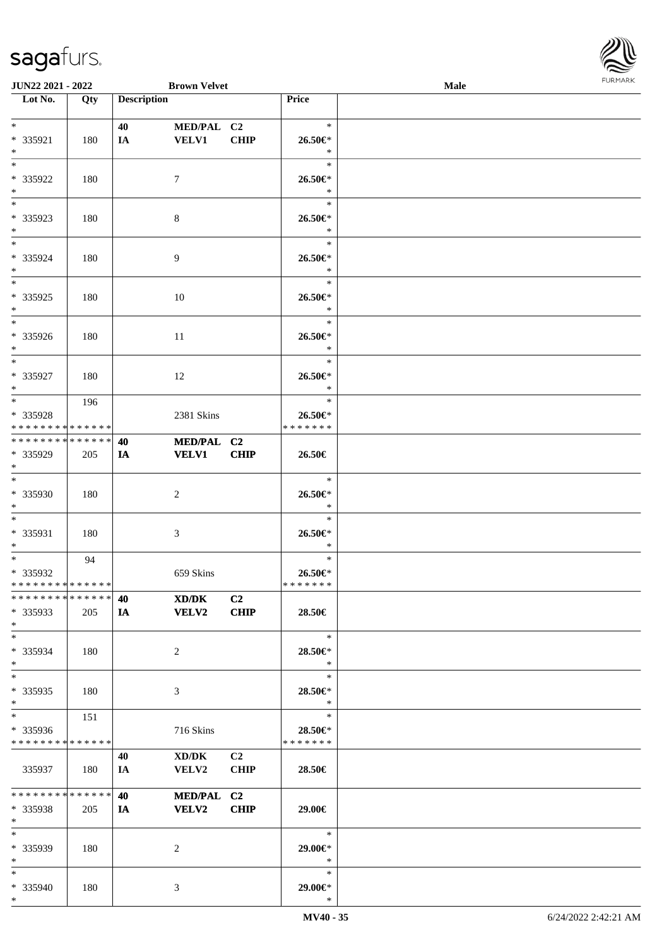

| <b>JUN22 2021 - 2022</b>                                                    |     |                    | <b>Brown Velvet</b> |             |               | <b>Male</b> |  |
|-----------------------------------------------------------------------------|-----|--------------------|---------------------|-------------|---------------|-------------|--|
| Lot No.                                                                     | Qty | <b>Description</b> |                     |             | Price         |             |  |
|                                                                             |     |                    |                     |             |               |             |  |
| $*$                                                                         |     | 40                 | MED/PAL C2          |             | $\ast$        |             |  |
| * 335921                                                                    | 180 | IA                 | <b>VELV1</b>        | <b>CHIP</b> | 26.50€*       |             |  |
| $*$                                                                         |     |                    |                     |             | $\ast$        |             |  |
| $*$                                                                         |     |                    |                     |             | $\ast$        |             |  |
| * 335922                                                                    | 180 |                    | $\tau$              |             | 26.50€*       |             |  |
| $*$                                                                         |     |                    |                     |             | $\ast$        |             |  |
|                                                                             |     |                    |                     |             | $\ast$        |             |  |
| * 335923                                                                    | 180 |                    | $8\,$               |             | 26.50€*       |             |  |
| $\ast$                                                                      |     |                    |                     |             | $\ast$        |             |  |
| $*$                                                                         |     |                    |                     |             | $\ast$        |             |  |
| * 335924                                                                    | 180 |                    | $\overline{9}$      |             | 26.50€*       |             |  |
| $*$                                                                         |     |                    |                     |             | $\ast$        |             |  |
|                                                                             |     |                    |                     |             | $\ast$        |             |  |
| * 335925                                                                    | 180 |                    | 10                  |             | 26.50€*       |             |  |
| $*$                                                                         |     |                    |                     |             | $\ast$        |             |  |
|                                                                             |     |                    |                     |             | $\ast$        |             |  |
| * 335926                                                                    | 180 |                    | 11                  |             | 26.50€*       |             |  |
| $*$                                                                         |     |                    |                     |             | $\ast$        |             |  |
| $*$                                                                         |     |                    |                     |             | $\ast$        |             |  |
| * 335927                                                                    | 180 |                    | 12                  |             | 26.50€*       |             |  |
| $*$                                                                         |     |                    |                     |             | $\ast$        |             |  |
|                                                                             | 196 |                    |                     |             | $\ast$        |             |  |
| * 335928                                                                    |     |                    | 2381 Skins          |             | 26.50€*       |             |  |
| * * * * * * * * <mark>* * * * * * *</mark><br>* * * * * * * * * * * * * * * |     |                    |                     |             | * * * * * * * |             |  |
|                                                                             |     | 40                 | MED/PAL C2          |             |               |             |  |
| * 335929<br>$*$                                                             | 205 | IA                 | <b>VELV1</b>        | <b>CHIP</b> | 26.50€        |             |  |
|                                                                             |     |                    |                     |             | $\ast$        |             |  |
| * 335930                                                                    | 180 |                    | 2                   |             | 26.50€*       |             |  |
| $*$                                                                         |     |                    |                     |             | $\ast$        |             |  |
| $*$                                                                         |     |                    |                     |             | $\ast$        |             |  |
| * 335931                                                                    | 180 |                    | 3                   |             | 26.50€*       |             |  |
| $*$                                                                         |     |                    |                     |             | $\ast$        |             |  |
| $*$                                                                         | 94  |                    |                     |             | $\ast$        |             |  |
| * 335932                                                                    |     |                    | 659 Skins           |             | 26.50€*       |             |  |
| * * * * * * * * * * * * * * *                                               |     |                    |                     |             | *******       |             |  |
| * * * * * * * * * * * * * * *                                               |     | 40                 | XD/DK               | C2          |               |             |  |
| * 335933                                                                    | 205 | IA                 | <b>VELV2</b>        | <b>CHIP</b> | 28.50€        |             |  |
| $*$                                                                         |     |                    |                     |             |               |             |  |
| $*$                                                                         |     |                    |                     |             | $\ast$        |             |  |
| * 335934                                                                    | 180 |                    | 2                   |             | 28.50€*       |             |  |
| $*$                                                                         |     |                    |                     |             | $\ast$        |             |  |
| $*$                                                                         |     |                    |                     |             | $\ast$        |             |  |
| * 335935                                                                    | 180 |                    | 3                   |             | 28.50€*       |             |  |
| $*$                                                                         |     |                    |                     |             | $\ast$        |             |  |
| $*$                                                                         | 151 |                    |                     |             | $\ast$        |             |  |
| * 335936                                                                    |     |                    | 716 Skins           |             | 28.50€*       |             |  |
| * * * * * * * * * * * * * *                                                 |     |                    |                     |             | * * * * * * * |             |  |
|                                                                             |     | 40                 | XD/DK               | C2          |               |             |  |
| 335937                                                                      | 180 | IA                 | <b>VELV2</b>        | <b>CHIP</b> | 28.50€        |             |  |
| * * * * * * * * <mark>* * * * * * *</mark>                                  |     |                    |                     |             |               |             |  |
|                                                                             |     | 40                 | MED/PAL C2          | <b>CHIP</b> |               |             |  |
| * 335938<br>$\ast$                                                          | 205 | IA                 | <b>VELV2</b>        |             | 29.00€        |             |  |
| $*$                                                                         |     |                    |                     |             | $\ast$        |             |  |
| * 335939                                                                    | 180 |                    | 2                   |             | 29.00€*       |             |  |
| $*$                                                                         |     |                    |                     |             | $\ast$        |             |  |
| $*$                                                                         |     |                    |                     |             | $\ast$        |             |  |
| * 335940                                                                    | 180 |                    | 3                   |             | 29.00€*       |             |  |
| $*$                                                                         |     |                    |                     |             | $\ast$        |             |  |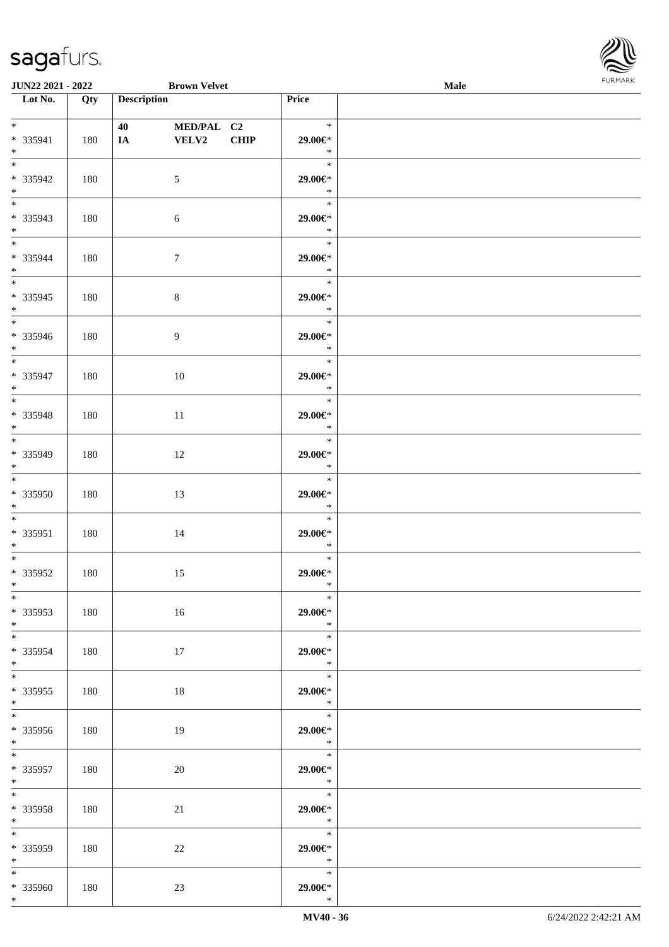

| <b>JUN22 2021 - 2022</b>             |     | <b>Brown Velvet</b>                         |      |                                               | Male |  |
|--------------------------------------|-----|---------------------------------------------|------|-----------------------------------------------|------|--|
| Lot No.                              | Qty | <b>Description</b>                          |      | Price                                         |      |  |
| $*$<br>* 335941<br>$*$               | 180 | 40 — 20<br>MED/PAL C2<br><b>VELV2</b><br>IA | CHIP | $\ast$<br>29.00€*<br>$\ast$                   |      |  |
| $\overline{\ast}$<br>* 335942<br>$*$ | 180 | 5                                           |      | $\ast$<br>29.00€*<br>$\ast$                   |      |  |
| * 335943<br>$*$                      | 180 | 6                                           |      | $\ast$<br>29.00€*<br>$\ast$                   |      |  |
| $*$<br>* 335944<br>$*$               | 180 | $\overline{7}$                              |      | $\ast$<br>29.00€*<br>$\ast$                   |      |  |
| * 335945<br>$*$                      | 180 | $\,8\,$                                     |      | $\ast$<br>29.00€*<br>$\ast$                   |      |  |
| * 335946<br>$*$                      | 180 | $\overline{9}$                              |      | $\ast$<br>29.00€*<br>$\rightarrow$<br>$\ast$  |      |  |
| * 335947<br>$*$                      | 180 | 10                                          |      | 29.00€*<br>$\ast$<br>$\ast$                   |      |  |
| * 335948<br>$*$                      | 180 | 11                                          |      | 29.00€*<br>$\ast$<br>$\ast$                   |      |  |
| * 335949<br>$*$<br>$\overline{\ast}$ | 180 | 12                                          |      | 29.00€*<br>$\ast$<br>$\ast$                   |      |  |
| * 335950<br>$*$<br>$*$               | 180 | 13                                          |      | 29.00€*<br>$\ast$<br>$\ast$                   |      |  |
| * 335951<br>$*$<br>$*$ $-$           | 180 | 14                                          |      | 29.00€*<br>$\ast$<br>$\ast$                   |      |  |
| * 335952<br>$*$ $-$<br>$*$           | 180 | 15                                          |      | 29.00€*<br>$\ast$<br>$\ast$                   |      |  |
| * 335953<br>$*$<br>$*$               | 180 | 16                                          |      | 29.00€*<br>$\ast$<br>$\ast$                   |      |  |
| * 335954<br>$*$<br>$*$               | 180 | 17                                          |      | 29.00€*<br>$\ast$<br>$\ast$                   |      |  |
| $*335955$<br>$*$                     | 180 | 18                                          |      | 29.00€*<br>$\ast$<br>$\overline{\phantom{0}}$ |      |  |
| $* 335956$<br>$*$<br>$*$             | 180 | 19                                          |      | 29.00€*<br>$\ast$                             |      |  |
| * 335957<br>$*$ $-$<br>$*$           | 180 | 20                                          |      | 29.00€*<br>$\ast$<br>$\ast$                   |      |  |
| * 335958<br>$*$ $-$<br>$*$           | 180 | 21                                          |      | 29.00€*<br>$\ast$<br>$\ast$                   |      |  |
| * 335959<br>$*$<br>$*$               | 180 | 22                                          |      | 29.00€*<br>$\ast$<br>$\ast$                   |      |  |
| * 335960<br>$*$                      | 180 | 23                                          |      | 29.00€*<br>$\ast$                             |      |  |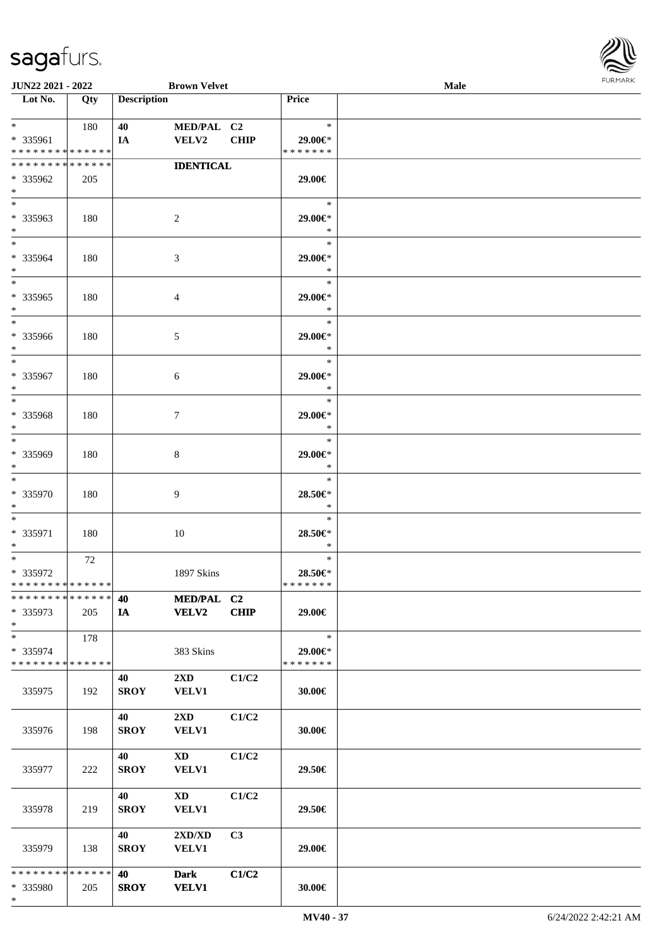

| <b>JUN22 2021 - 2022</b>                   |     |                    | <b>Brown Velvet</b>     |             |                          | Male |
|--------------------------------------------|-----|--------------------|-------------------------|-------------|--------------------------|------|
| Lot No.                                    | Qty | <b>Description</b> |                         |             | Price                    |      |
|                                            |     |                    |                         |             |                          |      |
| $*$ $*$                                    | 180 | 40                 | MED/PAL C2              |             | $\ast$                   |      |
| * 335961                                   |     | IA                 | <b>VELV2</b>            | <b>CHIP</b> | 29.00€*                  |      |
| * * * * * * * * * * * * * *                |     |                    |                         |             | * * * * * * *            |      |
| * * * * * * * * * * * * * *                |     |                    | <b>IDENTICAL</b>        |             |                          |      |
| * 335962                                   | 205 |                    |                         |             | 29.00€                   |      |
| $\ast$                                     |     |                    |                         |             |                          |      |
| $*$                                        |     |                    |                         |             | $\ast$                   |      |
|                                            |     |                    |                         |             |                          |      |
| * 335963                                   | 180 |                    | 2                       |             | 29.00€*                  |      |
| $*$                                        |     |                    |                         |             | $\ast$                   |      |
| $*$                                        |     |                    |                         |             | $\ast$                   |      |
| * 335964                                   | 180 |                    | 3                       |             | 29.00€*                  |      |
| $*$                                        |     |                    |                         |             | $\ast$                   |      |
| $*$                                        |     |                    |                         |             | $\ast$                   |      |
| * 335965                                   | 180 |                    | $\overline{4}$          |             | 29.00€*                  |      |
| $*$                                        |     |                    |                         |             | $\ast$                   |      |
| $*$                                        |     |                    |                         |             | $\ast$                   |      |
| * 335966                                   | 180 |                    | 5                       |             | 29.00€*                  |      |
| $*$                                        |     |                    |                         |             | $\ast$                   |      |
| $*$                                        |     |                    |                         |             | $\ast$                   |      |
| * 335967                                   | 180 |                    | 6                       |             | 29.00€*                  |      |
| $*$                                        |     |                    |                         |             | $\ast$                   |      |
| $*$                                        |     |                    |                         |             | $\ast$                   |      |
| * 335968                                   |     |                    |                         |             | 29.00€*                  |      |
| $*$                                        | 180 |                    | $\tau$                  |             | $\ast$                   |      |
| $*$                                        |     |                    |                         |             | $\ast$                   |      |
|                                            |     |                    |                         |             |                          |      |
| * 335969                                   | 180 |                    | 8                       |             | 29.00€*                  |      |
| $*$                                        |     |                    |                         |             | $\ast$                   |      |
| $*$                                        |     |                    |                         |             | $\ast$                   |      |
| * 335970                                   | 180 |                    | 9                       |             | 28.50€*                  |      |
| $*$                                        |     |                    |                         |             | $\ast$                   |      |
| $*$                                        |     |                    |                         |             | $\ast$                   |      |
| * 335971                                   | 180 |                    | 10                      |             | 28.50€*                  |      |
| $*$                                        |     |                    |                         |             | $\ast$                   |      |
| $*$                                        | 72  |                    |                         |             | $\ast$                   |      |
| * 335972                                   |     |                    | 1897 Skins              |             | 28.50€*                  |      |
| * * * * * * * * * * * * * * *              |     |                    |                         |             | *******                  |      |
| * * * * * * * * * * * * * * *              |     | 40                 | MED/PAL C2              |             |                          |      |
| * 335973                                   | 205 | IA                 | <b>VELV2</b>            | CHIP        | 29.00€                   |      |
| $*$                                        |     |                    |                         |             |                          |      |
| $*$                                        | 178 |                    |                         |             | $\ast$                   |      |
|                                            |     |                    |                         |             |                          |      |
| * 335974<br>* * * * * * * * * * * * * * *  |     |                    | 383 Skins               |             | 29.00€*<br>* * * * * * * |      |
|                                            |     |                    |                         |             |                          |      |
|                                            |     | 40                 | $2\mathbf{X}\mathbf{D}$ | C1/C2       |                          |      |
| 335975                                     | 192 | <b>SROY</b>        | <b>VELV1</b>            |             | 30.00€                   |      |
|                                            |     |                    |                         |             |                          |      |
|                                            |     | <b>40</b>          | $2\mathbf{X}\mathbf{D}$ | C1/C2       |                          |      |
| 335976                                     | 198 | <b>SROY</b>        | <b>VELV1</b>            |             | 30.00€                   |      |
|                                            |     |                    |                         |             |                          |      |
|                                            |     | 40                 | $\mathbf{X}\mathbf{D}$  | C1/C2       |                          |      |
| 335977                                     | 222 | <b>SROY</b>        | <b>VELV1</b>            |             | 29.50€                   |      |
|                                            |     |                    |                         |             |                          |      |
|                                            |     | 40                 | $\mathbf{X}\mathbf{D}$  | C1/C2       |                          |      |
| 335978                                     | 219 | <b>SROY</b>        | <b>VELV1</b>            |             | 29.50€                   |      |
|                                            |     |                    |                         |             |                          |      |
|                                            |     | 40                 | 2XD/XD                  | C3          |                          |      |
| 335979                                     | 138 | <b>SROY</b>        | <b>VELV1</b>            |             | 29.00€                   |      |
|                                            |     |                    |                         |             |                          |      |
| * * * * * * * * <mark>* * * * * * *</mark> |     | 40                 | <b>Dark</b>             | C1/C2       |                          |      |
| * 335980                                   |     | <b>SROY</b>        | <b>VELV1</b>            |             | 30.00€                   |      |
| $\ast$                                     | 205 |                    |                         |             |                          |      |
|                                            |     |                    |                         |             |                          |      |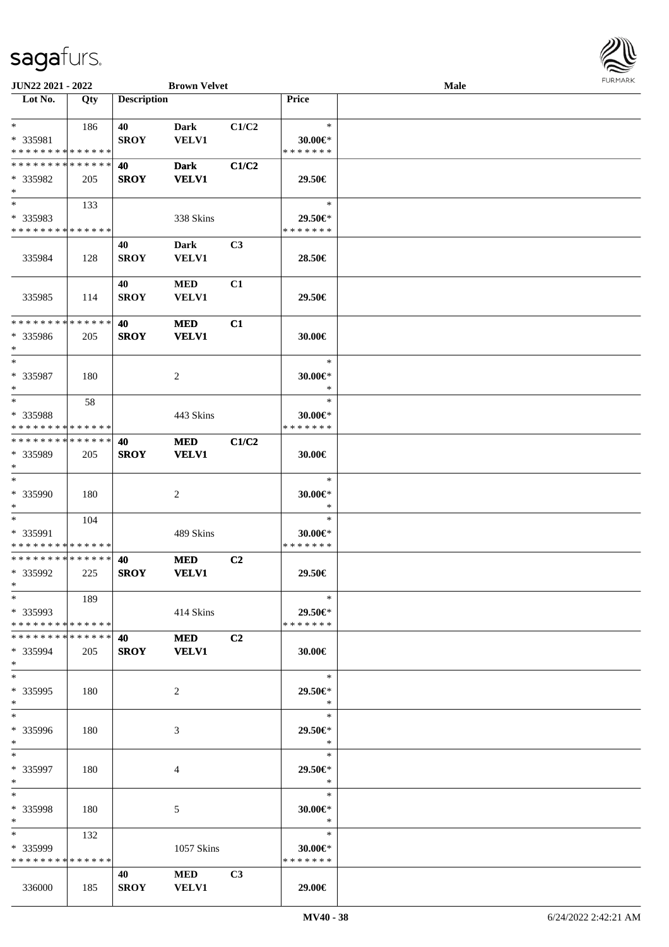| JUN22 2021 - 2022                       |     |                    | <b>Brown Velvet</b> |                |                                | Male | <b>FUNITAN</b> |
|-----------------------------------------|-----|--------------------|---------------------|----------------|--------------------------------|------|----------------|
| Lot No.                                 | Qty | <b>Description</b> |                     |                | <b>Price</b>                   |      |                |
|                                         |     |                    |                     |                |                                |      |                |
| $*$                                     | 186 | 40                 | <b>Dark</b>         | C1/C2          | $\ast$                         |      |                |
| * 335981<br>* * * * * * * * * * * * * * |     | <b>SROY</b>        | <b>VELV1</b>        |                | $30.00 \in$ *<br>* * * * * * * |      |                |
| * * * * * * * * * * * * * *             |     |                    |                     |                |                                |      |                |
|                                         |     | 40                 | <b>Dark</b>         | C1/C2          |                                |      |                |
| * 335982                                | 205 | <b>SROY</b>        | <b>VELV1</b>        |                | 29.50€                         |      |                |
| $*$                                     |     |                    |                     |                |                                |      |                |
| $*$                                     | 133 |                    |                     |                | $\ast$                         |      |                |
| * 335983                                |     |                    | 338 Skins           |                | 29.50€*                        |      |                |
| * * * * * * * * * * * * * *             |     |                    |                     |                | * * * * * * *                  |      |                |
|                                         |     | 40                 | <b>Dark</b>         | C <sub>3</sub> |                                |      |                |
| 335984                                  | 128 | <b>SROY</b>        | VELV1               |                | 28.50€                         |      |                |
|                                         |     |                    |                     |                |                                |      |                |
|                                         |     | 40                 | <b>MED</b>          | C1             |                                |      |                |
| 335985                                  | 114 | <b>SROY</b>        | <b>VELV1</b>        |                | 29.50€                         |      |                |
|                                         |     |                    |                     |                |                                |      |                |
| * * * * * * * * * * * * * *             |     | 40                 | <b>MED</b>          | C1             |                                |      |                |
| * 335986                                | 205 | <b>SROY</b>        | <b>VELV1</b>        |                | 30.00€                         |      |                |
| $\ast$                                  |     |                    |                     |                |                                |      |                |
| $\ast$                                  |     |                    |                     |                | $\ast$                         |      |                |
| * 335987                                | 180 |                    | $\overline{c}$      |                | 30.00€*                        |      |                |
| $\ast$                                  |     |                    |                     |                | $\ast$                         |      |                |
| $\ast$                                  | 58  |                    |                     |                | $\ast$                         |      |                |
| * 335988                                |     |                    | 443 Skins           |                | $30.00 \in$ *                  |      |                |
| * * * * * * * * * * * * * *             |     |                    |                     |                | * * * * * * *                  |      |                |
| * * * * * * * * * * * * * *             |     | 40                 | <b>MED</b>          | C1/C2          |                                |      |                |
| * 335989                                | 205 | <b>SROY</b>        | <b>VELV1</b>        |                | 30.00€                         |      |                |
| $\ast$                                  |     |                    |                     |                |                                |      |                |
| $*$                                     |     |                    |                     |                | $\ast$                         |      |                |
| * 335990                                | 180 |                    | $\overline{c}$      |                | $30.00 \in$ *                  |      |                |
| $\ast$                                  |     |                    |                     |                | $\ast$                         |      |                |
| $*$                                     | 104 |                    |                     |                | $\ast$                         |      |                |
| * 335991                                |     |                    | 489 Skins           |                | 30.00€*                        |      |                |
| * * * * * * * * * * * * * *             |     |                    |                     |                | * * * * * * *                  |      |                |
| * * * * * * * * * * * * * *             |     | 40                 | <b>MED</b>          | C <sub>2</sub> |                                |      |                |
| * 335992                                | 225 | <b>SROY</b>        | <b>VELV1</b>        |                | 29.50€                         |      |                |
| $\ast$                                  |     |                    |                     |                |                                |      |                |
| $\ast$                                  | 189 |                    |                     |                | $\ast$                         |      |                |
| * 335993                                |     |                    | 414 Skins           |                | 29.50€*                        |      |                |
| * * * * * * * * * * * * * *             |     |                    |                     |                | * * * * * * *                  |      |                |
| * * * * * * * * * * * * * *             |     | 40                 | <b>MED</b>          | C2             |                                |      |                |
| * 335994                                |     |                    | <b>VELV1</b>        |                | 30.00€                         |      |                |
| $*$                                     | 205 | <b>SROY</b>        |                     |                |                                |      |                |
| $*$                                     |     |                    |                     |                | $\ast$                         |      |                |
|                                         |     |                    |                     |                |                                |      |                |
| * 335995<br>$*$                         | 180 |                    | $\overline{2}$      |                | 29.50€*<br>$\ast$              |      |                |
| $*$                                     |     |                    |                     |                | $\ast$                         |      |                |
|                                         |     |                    |                     |                |                                |      |                |
| * 335996                                | 180 |                    | 3                   |                | 29.50€*                        |      |                |
| $*$                                     |     |                    |                     |                | $\ast$                         |      |                |
| $*$                                     |     |                    |                     |                | $\ast$                         |      |                |
| * 335997                                | 180 |                    | 4                   |                | 29.50€*                        |      |                |
| $*$                                     |     |                    |                     |                | $\ast$                         |      |                |
| $*$                                     |     |                    |                     |                | $\ast$                         |      |                |
| * 335998                                | 180 |                    | 5                   |                | 30.00€*                        |      |                |
| $*$                                     |     |                    |                     |                | $\ast$                         |      |                |
| $*$ and $*$                             | 132 |                    |                     |                | $\ast$                         |      |                |
| * 335999                                |     |                    | 1057 Skins          |                | 30.00€*                        |      |                |
| * * * * * * * * * * * * * *             |     |                    |                     |                | * * * * * * *                  |      |                |
|                                         |     | 40                 | <b>MED</b>          | C3             |                                |      |                |
| 336000                                  | 185 | <b>SROY</b>        | <b>VELV1</b>        |                | 29.00€                         |      |                |

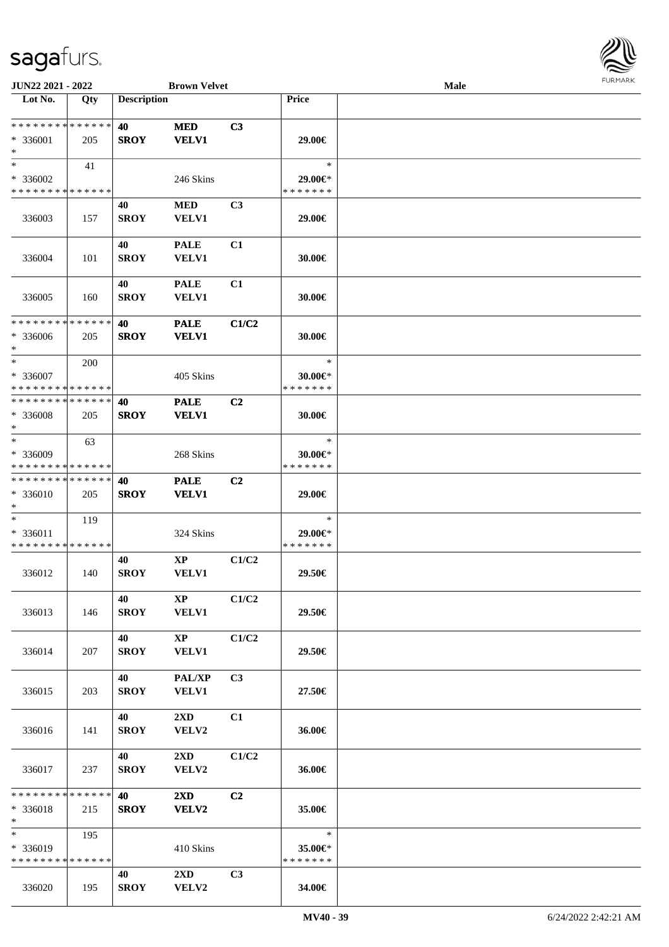

| JUN22 2021 - 2022                                   |     |                    | <b>Brown Velvet</b>                     |                |                                          | <b>Male</b> |  |
|-----------------------------------------------------|-----|--------------------|-----------------------------------------|----------------|------------------------------------------|-------------|--|
| Lot No.                                             | Qty | <b>Description</b> |                                         |                | Price                                    |             |  |
| * * * * * * * * * * * * * *<br>$* 336001$<br>$\ast$ | 205 | 40<br><b>SROY</b>  | <b>MED</b><br><b>VELV1</b>              | C3             | 29.00€                                   |             |  |
| $*$<br>* 336002<br>* * * * * * * * * * * * * *      | 41  |                    | 246 Skins                               |                | $\ast$<br>29.00€*<br>* * * * * * *       |             |  |
| 336003                                              | 157 | 40<br><b>SROY</b>  | <b>MED</b><br>VELV1                     | C3             | 29.00€                                   |             |  |
| 336004                                              | 101 | 40<br><b>SROY</b>  | <b>PALE</b><br><b>VELV1</b>             | C1             | 30.00€                                   |             |  |
| 336005                                              | 160 | 40<br><b>SROY</b>  | <b>PALE</b><br><b>VELV1</b>             | C1             | 30.00€                                   |             |  |
| ******** <mark>******</mark><br>* 336006<br>$\ast$  | 205 | 40<br><b>SROY</b>  | <b>PALE</b><br><b>VELV1</b>             | C1/C2          | 30.00€                                   |             |  |
| $\ast$<br>$*336007$<br>* * * * * * * * * * * * * *  | 200 |                    | 405 Skins                               |                | $\ast$<br>$30.00 \in$ *<br>* * * * * * * |             |  |
| * * * * * * * * * * * * * *<br>* 336008<br>$*$      | 205 | 40<br><b>SROY</b>  | <b>PALE</b><br><b>VELV1</b>             | C2             | 30.00€                                   |             |  |
| $\ast$<br>* 336009<br>* * * * * * * * * * * * * *   | 63  |                    | 268 Skins                               |                | $\ast$<br>$30.00 \in$ *<br>* * * * * * * |             |  |
| * * * * * * * * * * * * * *<br>* 336010<br>$*$      | 205 | 40<br><b>SROY</b>  | <b>PALE</b><br><b>VELV1</b>             | C <sub>2</sub> | 29.00€                                   |             |  |
| $\ast$<br>* 336011<br>* * * * * * * * * * * * * *   | 119 |                    | 324 Skins                               |                | $\ast$<br>29.00€*<br>* * * * * * *       |             |  |
| 336012                                              | 140 | 40<br><b>SROY</b>  | $\mathbf{X}\mathbf{P}$<br>VELV1         | C1/C2          | 29.50€                                   |             |  |
| 336013                                              | 146 | 40<br><b>SROY</b>  | $\mathbf{X}\mathbf{P}$<br><b>VELV1</b>  | C1/C2          | 29.50€                                   |             |  |
| 336014                                              | 207 | 40<br><b>SROY</b>  | $\mathbf{XP}$<br><b>VELV1</b>           | C1/C2          | 29.50€                                   |             |  |
| 336015                                              | 203 | 40<br><b>SROY</b>  | <b>PAL/XP</b><br><b>VELV1</b>           | C <sub>3</sub> | 27.50€                                   |             |  |
| 336016                                              | 141 | 40<br><b>SROY</b>  | $2\mathbf{X}\mathbf{D}$<br>VELV2        | C1             | 36.00€                                   |             |  |
| 336017                                              | 237 | 40<br><b>SROY</b>  | $2\mathbf{X}\mathbf{D}$<br>VELV2        | C1/C2          | 36.00€                                   |             |  |
| * * * * * * * * * * * * * *<br>$* 336018$<br>$*$    | 215 | 40<br><b>SROY</b>  | $2\mathbf{X}\mathbf{D}$<br><b>VELV2</b> | C <sub>2</sub> | 35.00€                                   |             |  |
| $\ast$<br>* 336019<br>* * * * * * * * * * * * * *   | 195 |                    | 410 Skins                               |                | $\ast$<br>35.00€*<br>* * * * * * *       |             |  |
| 336020                                              | 195 | 40<br><b>SROY</b>  | $2\mathbf{X}\mathbf{D}$<br>VELV2        | C3             | 34.00€                                   |             |  |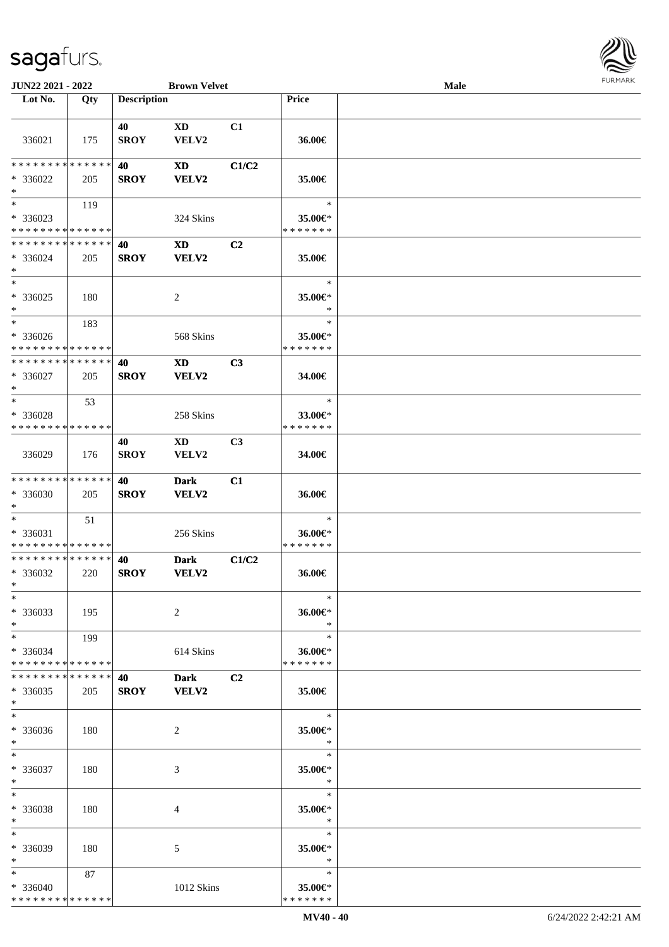

| JUN22 2021 - 2022                                                   |     |                    | <b>Brown Velvet</b>  |                |                                    | <b>Male</b> |  |
|---------------------------------------------------------------------|-----|--------------------|----------------------|----------------|------------------------------------|-------------|--|
| Lot No.                                                             | Qty | <b>Description</b> |                      |                | Price                              |             |  |
|                                                                     |     |                    |                      |                |                                    |             |  |
| 336021                                                              | 175 | 40<br><b>SROY</b>  | XD<br>VELV2          | C1             | 36.00€                             |             |  |
| * * * * * * * * * * * * * *<br>$* 336022$<br>$\ast$                 | 205 | 40<br><b>SROY</b>  | XD<br>VELV2          | C1/C2          | 35.00€                             |             |  |
| $\overline{\phantom{0}}$<br>* 336023<br>* * * * * * * * * * * * * * | 119 |                    | 324 Skins            |                | $\ast$<br>35.00€*<br>* * * * * * * |             |  |
| **************<br>$* 336024$<br>$\ast$                              | 205 | 40<br><b>SROY</b>  | <b>XD</b><br>VELV2   | C <sub>2</sub> | 35.00€                             |             |  |
| $\ast$<br>$* 336025$<br>$\ast$                                      | 180 |                    | $\overline{c}$       |                | $\ast$<br>35.00€*<br>$\ast$        |             |  |
| $\ast$<br>$* 336026$<br>* * * * * * * * * * * * * *                 | 183 |                    | 568 Skins            |                | $\ast$<br>35.00€*<br>* * * * * * * |             |  |
| * * * * * * * * * * * * * *<br>$* 336027$<br>$\ast$                 | 205 | 40<br><b>SROY</b>  | XD<br>VELV2          | C3             | 34.00€                             |             |  |
| $\ast$<br>* 336028<br>* * * * * * * * * * * * * *                   | 53  |                    | 258 Skins            |                | $\ast$<br>33.00€*<br>* * * * * * * |             |  |
| 336029                                                              | 176 | 40<br><b>SROY</b>  | XD<br>VELV2          | C3             | 34.00€                             |             |  |
| **************<br>* 336030<br>$\ast$                                | 205 | 40<br><b>SROY</b>  | <b>Dark</b><br>VELV2 | C1             | 36.00€                             |             |  |
| $\ast$<br>* 336031<br>* * * * * * * * * * * * * *                   | 51  |                    | 256 Skins            |                | $\ast$<br>36.00€*<br>* * * * * * * |             |  |
| **************<br>* 336032<br>$*$                                   | 220 | 40<br><b>SROY</b>  | <b>Dark</b><br>VELV2 | C1/C2          | 36.00€                             |             |  |
| $*$<br>* 336033<br>$\ast$                                           | 195 |                    | 2                    |                | $\ast$<br>36.00€*<br>$\ast$        |             |  |
| $*$ $*$<br>* 336034<br>* * * * * * * * * * * * * *                  | 199 |                    | 614 Skins            |                | $\ast$<br>36.00€*<br>* * * * * * * |             |  |
| * * * * * * * * * * * * * * *<br>$*336035$<br>$*$                   | 205 | 40<br><b>SROY</b>  | <b>Dark</b><br>VELV2 | C2             | 35.00€                             |             |  |
| $\ast$<br>* 336036<br>$*$                                           | 180 |                    | 2                    |                | $\ast$<br>35.00€*<br>$\ast$        |             |  |
| $*$<br>* 336037<br>$*$                                              | 180 |                    | 3                    |                | $\ast$<br>35.00€*<br>$\ast$        |             |  |
| $\ast$<br>* 336038<br>$\ast$                                        | 180 |                    | 4                    |                | $\ast$<br>35.00€*<br>$\ast$        |             |  |
| $\ast$<br>* 336039<br>$\ast$                                        | 180 |                    | 5                    |                | $\ast$<br>35.00€*<br>$\ast$        |             |  |
| $*$<br>* 336040<br>* * * * * * * * * * * * * *                      | 87  |                    | 1012 Skins           |                | $\ast$<br>35.00€*<br>* * * * * * * |             |  |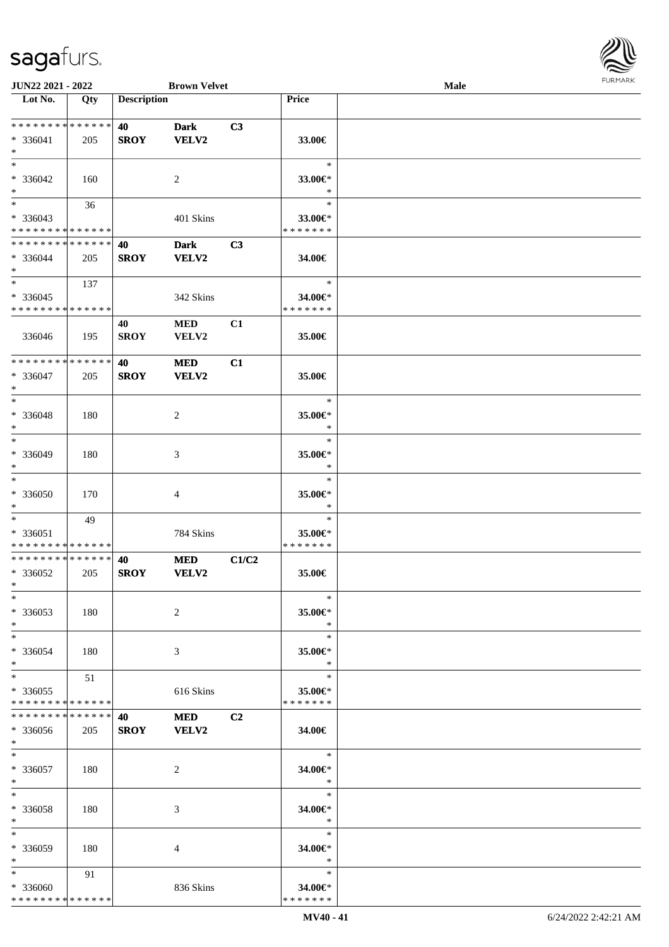

| JUN22 2021 - 2022                       |     |                    | <b>Brown Velvet</b> |                |                          | <b>Male</b> |  |
|-----------------------------------------|-----|--------------------|---------------------|----------------|--------------------------|-------------|--|
| Lot No.                                 | Qty | <b>Description</b> |                     |                | Price                    |             |  |
|                                         |     |                    |                     |                |                          |             |  |
| **************                          |     | 40                 | <b>Dark</b>         | C3             |                          |             |  |
| * 336041                                | 205 | <b>SROY</b>        | <b>VELV2</b>        |                | 33.00€                   |             |  |
| $\ast$                                  |     |                    |                     |                |                          |             |  |
| $\ast$                                  |     |                    |                     |                | $\ast$                   |             |  |
| $* 336042$                              | 160 |                    | $\sqrt{2}$          |                | 33.00€*                  |             |  |
| $\ast$                                  |     |                    |                     |                | $\ast$                   |             |  |
| $\ast$                                  | 36  |                    |                     |                | $\ast$                   |             |  |
|                                         |     |                    |                     |                |                          |             |  |
| * 336043<br>* * * * * * * * * * * * * * |     |                    | 401 Skins           |                | 33.00€*<br>* * * * * * * |             |  |
|                                         |     |                    |                     |                |                          |             |  |
| * * * * * * * * * * * * * *             |     | 40                 | <b>Dark</b>         | C3             |                          |             |  |
| * 336044                                | 205 | <b>SROY</b>        | <b>VELV2</b>        |                | 34.00€                   |             |  |
| $\ast$                                  |     |                    |                     |                |                          |             |  |
| $\overline{\ast}$                       | 137 |                    |                     |                | $\ast$                   |             |  |
| $*336045$                               |     |                    | 342 Skins           |                | 34.00€*                  |             |  |
| * * * * * * * * * * * * * *             |     |                    |                     |                | * * * * * * *            |             |  |
|                                         |     | 40                 | <b>MED</b>          | C1             |                          |             |  |
| 336046                                  | 195 | <b>SROY</b>        | VELV2               |                | 35.00€                   |             |  |
|                                         |     |                    |                     |                |                          |             |  |
| * * * * * * * * * * * * * *             |     | 40                 | <b>MED</b>          | C1             |                          |             |  |
| $* 336047$                              | 205 | <b>SROY</b>        | <b>VELV2</b>        |                | 35.00€                   |             |  |
| $\ast$                                  |     |                    |                     |                |                          |             |  |
| $\ast$                                  |     |                    |                     |                | $\ast$                   |             |  |
| * 336048                                |     |                    |                     |                | 35.00€*                  |             |  |
| $\ast$                                  | 180 |                    | $\overline{c}$      |                | $\ast$                   |             |  |
|                                         |     |                    |                     |                |                          |             |  |
| $\ast$                                  |     |                    |                     |                | $\ast$                   |             |  |
| * 336049                                | 180 |                    | 3                   |                | 35.00€*                  |             |  |
| $\ast$                                  |     |                    |                     |                | $\ast$                   |             |  |
| $\ast$                                  |     |                    |                     |                | $\ast$                   |             |  |
| $* 336050$                              | 170 |                    | 4                   |                | 35.00€*                  |             |  |
| $\ast$                                  |     |                    |                     |                | $\ast$                   |             |  |
| $\frac{1}{1}$                           | 49  |                    |                     |                | $\ast$                   |             |  |
| * 336051                                |     |                    | 784 Skins           |                | 35.00€*                  |             |  |
| * * * * * * * * * * * * * *             |     |                    |                     |                | * * * * * * *            |             |  |
| **************                          |     | 40                 | <b>MED</b>          | C1/C2          |                          |             |  |
| $*336052$                               | 205 | <b>SROY</b>        | VELV2               |                | 35.00€                   |             |  |
| $*$                                     |     |                    |                     |                |                          |             |  |
| $*$                                     |     |                    |                     |                | $\ast$                   |             |  |
| $*336053$                               | 180 |                    | $\overline{c}$      |                | 35.00€*                  |             |  |
| $\ast$                                  |     |                    |                     |                | $\ast$                   |             |  |
| $\ast$                                  |     |                    |                     |                | $\ast$                   |             |  |
|                                         |     |                    |                     |                |                          |             |  |
| * 336054                                | 180 |                    | 3                   |                | 35.00€*                  |             |  |
| $\ast$                                  |     |                    |                     |                | $\ast$                   |             |  |
| $\ast$                                  | 51  |                    |                     |                | $\ast$                   |             |  |
| $*336055$                               |     |                    | 616 Skins           |                | 35.00€*                  |             |  |
| * * * * * * * * * * * * * *             |     |                    |                     |                | * * * * * * *            |             |  |
| * * * * * * * * * * * * * *             |     | 40                 | <b>MED</b>          | C <sub>2</sub> |                          |             |  |
| * 336056                                | 205 | <b>SROY</b>        | <b>VELV2</b>        |                | 34.00€                   |             |  |
| $*$                                     |     |                    |                     |                |                          |             |  |
| $\ast$                                  |     |                    |                     |                | $\ast$                   |             |  |
| $*336057$                               | 180 |                    | 2                   |                | 34.00€*                  |             |  |
| $*$                                     |     |                    |                     |                | $\ast$                   |             |  |
| $\ast$                                  |     |                    |                     |                | $\ast$                   |             |  |
| * 336058                                | 180 |                    | 3                   |                | 34.00€*                  |             |  |
| $\ast$                                  |     |                    |                     |                | $\ast$                   |             |  |
| $\ast$                                  |     |                    |                     |                | $\ast$                   |             |  |
|                                         |     |                    |                     |                |                          |             |  |
| * 336059                                | 180 |                    | 4                   |                | 34.00€*                  |             |  |
| $\ast$                                  |     |                    |                     |                | $\ast$                   |             |  |
| $\ast$                                  | 91  |                    |                     |                | $\ast$                   |             |  |
| * 336060                                |     |                    | 836 Skins           |                | 34.00€*                  |             |  |
| * * * * * * * * * * * * * *             |     |                    |                     |                | * * * * * * *            |             |  |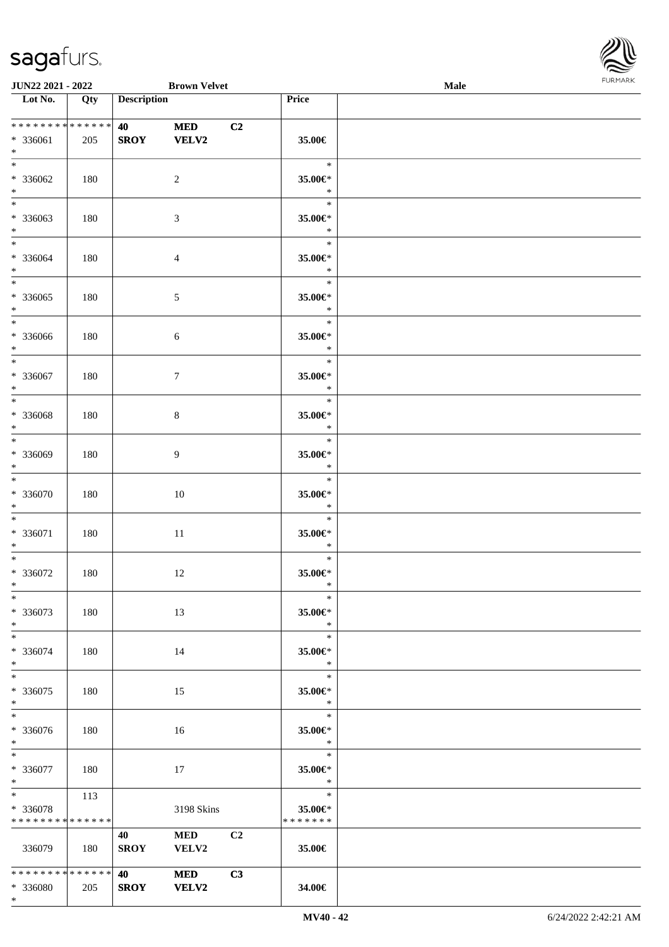\*



| <b>JUN22 2021 - 2022</b>                               |                   |                    | <b>Brown Velvet</b>        |    |                                        | Male |  |
|--------------------------------------------------------|-------------------|--------------------|----------------------------|----|----------------------------------------|------|--|
| Lot No.                                                | $\overline{Q}$ ty | <b>Description</b> |                            |    | Price                                  |      |  |
| ******** <mark>******</mark><br>* 336061<br>$*$        | 205               | 40<br><b>SROY</b>  | <b>MED</b><br><b>VELV2</b> | C2 | 35.00€                                 |      |  |
| $*$<br>* 336062<br>$\ast$                              | 180               |                    | $\overline{2}$             |    | $\ast$<br>35.00€*<br>$\ast$            |      |  |
| $\overline{\ }$<br>* 336063<br>$*$                     | 180               |                    | $\mathfrak{Z}$             |    | $\ast$<br>35.00€*<br>$\ast$            |      |  |
| $*$<br>* 336064<br>$*$                                 | 180               |                    | $\overline{4}$             |    | $\ast$<br>35.00€*<br>$\ast$            |      |  |
| $\overline{\ast}$<br>* 336065<br>$*$                   | 180               |                    | 5                          |    | $\ast$<br>35.00€*<br>$\ast$            |      |  |
| $\overline{\ast}$<br>* 336066<br>$\ast$                | 180               |                    | 6                          |    | $\ast$<br>35.00€*<br>$\ast$            |      |  |
| $*$<br>$* 336067$<br>$*$                               | 180               |                    | $\tau$                     |    | $\ast$<br>35.00€*<br>$\ast$            |      |  |
| $*$<br>$* 336068$<br>$*$                               | 180               |                    | $\,8\,$                    |    | $\ast$<br>35.00€*<br>$\ast$            |      |  |
| $*$<br>* 336069<br>$\ast$                              | 180               |                    | 9                          |    | $\ast$<br>$35.00 \text{E}^*$<br>$\ast$ |      |  |
| $*$<br>* 336070<br>$*$                                 | 180               |                    | 10                         |    | $\ast$<br>$35.00 \text{E}^*$<br>$\ast$ |      |  |
| $*$<br>* 336071<br>$*$                                 | 180               |                    | $11\,$                     |    | $\ast$<br>35.00€*<br>$\ast$            |      |  |
| $*$<br>* 336072<br>$*$                                 | 180               |                    | 12                         |    | $\ast$<br>35.00€*<br>$\ast$            |      |  |
| $*$<br>* 336073<br>$*$                                 | 180               |                    | 13                         |    | $\ast$<br>35.00€*<br>$\ast$            |      |  |
| $*$<br>* 336074<br>$*$                                 | 180               |                    | 14                         |    | $\ast$<br>35.00€*<br>$\ast$            |      |  |
| $*$<br>$* 336075$<br>$*$                               | 180               |                    | 15                         |    | $\ast$<br>35.00€*<br>$\ast$            |      |  |
| * 336076<br>$*$                                        | 180               |                    | 16                         |    | $\ast$<br>35.00€*<br>$\mathbb{R}$      |      |  |
| $*$ $*$<br>* 336077<br>$*$                             | 180               |                    | 17                         |    | $\ast$<br>35.00€*<br>$\ast$            |      |  |
| $*$ and $*$<br>* 336078<br>* * * * * * * * * * * * * * | 113               |                    | 3198 Skins                 |    | $\ast$<br>35.00€*<br>* * * * * * *     |      |  |
| 336079                                                 | 180               | 40<br><b>SROY</b>  | <b>MED</b><br><b>VELV2</b> | C2 | 35.00€                                 |      |  |
| * * * * * * * * <mark>* * * * * * *</mark><br>* 336080 | 205               | 40<br><b>SROY</b>  | <b>MED</b><br><b>VELV2</b> | C3 | 34.00€                                 |      |  |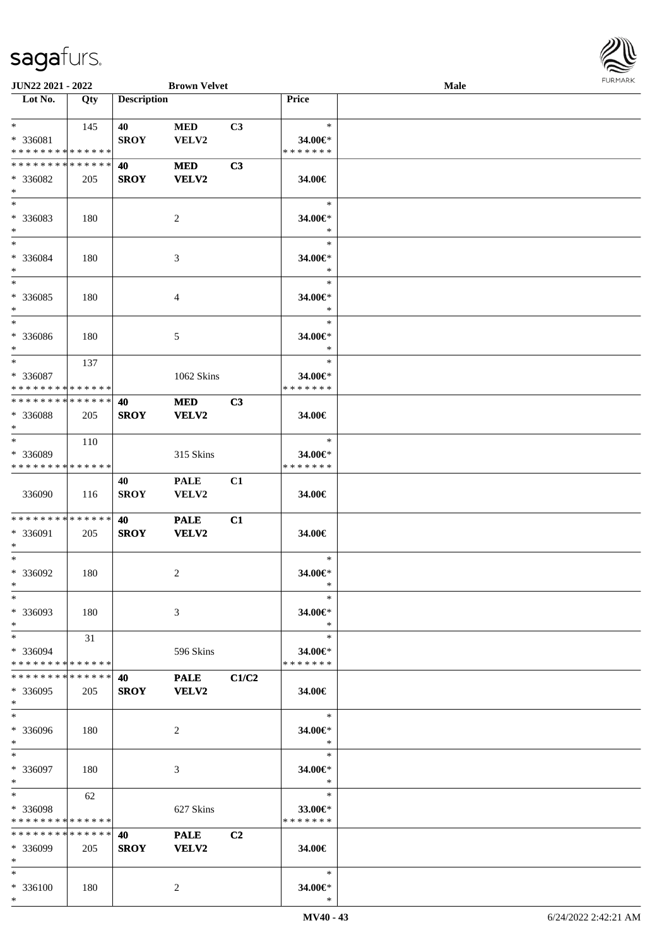

| JUN22 2021 - 2022           |     |                    | <b>Brown Velvet</b> |                |                   | Male |  |
|-----------------------------|-----|--------------------|---------------------|----------------|-------------------|------|--|
| Lot No.                     | Qty | <b>Description</b> |                     |                | Price             |      |  |
|                             |     |                    |                     |                |                   |      |  |
| $\ast$                      | 145 | 40                 | <b>MED</b>          | C3             | $\ast$            |      |  |
| * 336081                    |     | <b>SROY</b>        | VELV2               |                | 34.00€*           |      |  |
| * * * * * * * * * * * * * * |     |                    |                     |                | * * * * * * *     |      |  |
| * * * * * * * * * * * * * * |     | 40                 | <b>MED</b>          | C3             |                   |      |  |
| * 336082                    | 205 | <b>SROY</b>        | <b>VELV2</b>        |                | 34.00€            |      |  |
| $\ast$                      |     |                    |                     |                |                   |      |  |
| $\overline{\phantom{0}}$    |     |                    |                     |                | $\ast$            |      |  |
| * 336083                    | 180 |                    | $\overline{c}$      |                | 34.00€*           |      |  |
| $\ast$                      |     |                    |                     |                | $\ast$            |      |  |
| $_{\ast}$                   |     |                    |                     |                | $\ast$            |      |  |
| * 336084                    | 180 |                    | $\mathfrak{Z}$      |                | 34.00€*           |      |  |
| $\ast$                      |     |                    |                     |                | $\ast$            |      |  |
| $\overline{\phantom{0}}$    |     |                    |                     |                | $\ast$            |      |  |
| $* 336085$                  | 180 |                    | 4                   |                | 34.00€*           |      |  |
| $\ast$                      |     |                    |                     |                | $\ast$            |      |  |
| $\overline{\phantom{a}^*}$  |     |                    |                     |                | $\ast$            |      |  |
| $* 336086$                  | 180 |                    | 5                   |                | 34.00€*           |      |  |
| $\ast$                      |     |                    |                     |                | $\ast$            |      |  |
| $\ast$                      | 137 |                    |                     |                | $\ast$            |      |  |
| * 336087                    |     |                    | 1062 Skins          |                | 34.00€*           |      |  |
| * * * * * * * * * * * * * * |     |                    |                     |                | * * * * * * *     |      |  |
| * * * * * * * * * * * * * * |     | 40                 | <b>MED</b>          | C3             |                   |      |  |
| * 336088                    | 205 | <b>SROY</b>        | VELV2               |                | 34.00€            |      |  |
| $\ast$                      |     |                    |                     |                |                   |      |  |
| $\ast$                      | 110 |                    |                     |                | $\ast$            |      |  |
| * 336089                    |     |                    | 315 Skins           |                | 34.00€*           |      |  |
| * * * * * * * * * * * * * * |     |                    |                     |                | * * * * * * *     |      |  |
|                             |     | 40                 | <b>PALE</b>         | C1             |                   |      |  |
| 336090                      | 116 | <b>SROY</b>        | VELV2               |                | 34.00€            |      |  |
|                             |     |                    |                     |                |                   |      |  |
| **************              |     | 40                 | <b>PALE</b>         | C1             |                   |      |  |
| * 336091                    | 205 | <b>SROY</b>        | <b>VELV2</b>        |                | 34.00€            |      |  |
| $\ast$                      |     |                    |                     |                |                   |      |  |
| $\ast$                      |     |                    |                     |                | $\ast$            |      |  |
| $* 336092$                  | 180 |                    | $\overline{c}$      |                | 34.00€*           |      |  |
| $*$                         |     |                    |                     |                | $\ast$            |      |  |
| $*$                         |     |                    |                     |                | $\ast$            |      |  |
| * 336093                    | 180 |                    | 3                   |                | 34.00€*           |      |  |
| $\ast$                      |     |                    |                     |                | $\ast$            |      |  |
| $\ast$                      | 31  |                    |                     |                | $\ast$            |      |  |
| * 336094                    |     |                    | 596 Skins           |                | 34.00€*           |      |  |
| * * * * * * * * * * * * * * |     |                    |                     |                | * * * * * * *     |      |  |
| * * * * * * * * * * * * * * |     | 40                 | <b>PALE</b>         | C1/C2          |                   |      |  |
| * 336095<br>$*$             | 205 | <b>SROY</b>        | VELV2               |                | 34.00€            |      |  |
| $\ast$                      |     |                    |                     |                | $\ast$            |      |  |
|                             |     |                    |                     |                |                   |      |  |
| * 336096                    | 180 |                    | 2                   |                | 34.00€*<br>$\ast$ |      |  |
| $*$<br>$\ast$               |     |                    |                     |                | $\ast$            |      |  |
|                             |     |                    |                     |                |                   |      |  |
| * 336097<br>$\ast$          | 180 |                    | 3                   |                | 34.00€*<br>$\ast$ |      |  |
| $\ast$                      | 62  |                    |                     |                | $\ast$            |      |  |
| * 336098                    |     |                    | 627 Skins           |                | 33.00€*           |      |  |
| * * * * * * * * * * * * * * |     |                    |                     |                | * * * * * * *     |      |  |
| * * * * * * * * * * * * * * |     | 40                 | <b>PALE</b>         | C <sub>2</sub> |                   |      |  |
| * 336099                    | 205 | <b>SROY</b>        | VELV2               |                | 34.00€            |      |  |
| $\ast$                      |     |                    |                     |                |                   |      |  |
| $*$                         |     |                    |                     |                | $\ast$            |      |  |
| * 336100                    | 180 |                    | $\overline{c}$      |                | 34.00€*           |      |  |
| $*$                         |     |                    |                     |                | $\ast$            |      |  |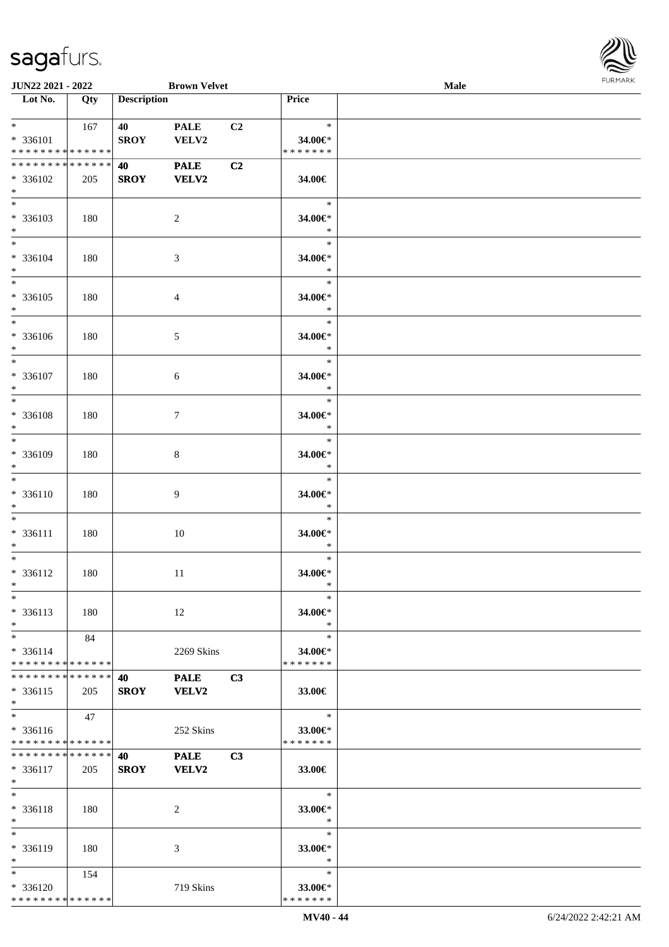

| JUN22 2021 - 2022                         |     |                    | <b>Brown Velvet</b> |    |                          | <b>Male</b> |  |
|-------------------------------------------|-----|--------------------|---------------------|----|--------------------------|-------------|--|
| Lot No.                                   | Qty | <b>Description</b> |                     |    | Price                    |             |  |
|                                           |     |                    |                     |    |                          |             |  |
| $*$ $*$                                   | 167 | 40                 | <b>PALE</b>         | C2 | $\ast$                   |             |  |
| * 336101                                  |     | <b>SROY</b>        | VELV2               |    | 34.00€*                  |             |  |
| * * * * * * * * * * * * * *               |     |                    |                     |    | * * * * * * *            |             |  |
| * * * * * * * * * * * * * * *             |     | 40                 | <b>PALE</b>         | C2 |                          |             |  |
| * 336102                                  | 205 | <b>SROY</b>        | <b>VELV2</b>        |    | 34.00€                   |             |  |
| $*$                                       |     |                    |                     |    |                          |             |  |
| $*$                                       |     |                    |                     |    | $\ast$                   |             |  |
| * 336103                                  | 180 |                    | 2                   |    | 34.00€*                  |             |  |
| $*$                                       |     |                    |                     |    | $\ast$                   |             |  |
| $*$                                       |     |                    |                     |    | $\ast$                   |             |  |
| $* 336104$                                | 180 |                    | 3                   |    | 34.00€*                  |             |  |
| $*$                                       |     |                    |                     |    | $\ast$                   |             |  |
|                                           |     |                    |                     |    | $\ast$                   |             |  |
| $* 336105$                                | 180 |                    | 4                   |    | 34.00€*                  |             |  |
| $*$                                       |     |                    |                     |    | $\ast$                   |             |  |
| $*$                                       |     |                    |                     |    | $\ast$                   |             |  |
| * 336106                                  | 180 |                    | 5                   |    | 34.00€*                  |             |  |
| $*$                                       |     |                    |                     |    | $\ast$                   |             |  |
| $*$                                       |     |                    |                     |    | $\ast$                   |             |  |
| $* 336107$                                | 180 |                    | 6                   |    | 34.00€*                  |             |  |
| $*$                                       |     |                    |                     |    | $\ast$                   |             |  |
| $*$                                       |     |                    |                     |    | $\ast$                   |             |  |
| * 336108                                  | 180 |                    | 7                   |    | 34.00€*                  |             |  |
| $*$                                       |     |                    |                     |    | $\ast$                   |             |  |
| $*$                                       |     |                    |                     |    | $\ast$                   |             |  |
| * 336109                                  | 180 |                    | 8                   |    | 34.00€*                  |             |  |
| $*$                                       |     |                    |                     |    | $\ast$                   |             |  |
| $*$                                       |     |                    |                     |    | $\ast$                   |             |  |
| $* 336110$                                | 180 |                    | 9                   |    | 34.00€*                  |             |  |
| $*$                                       |     |                    |                     |    | $\ast$                   |             |  |
| $*$                                       |     |                    |                     |    | $\ast$                   |             |  |
|                                           |     |                    |                     |    |                          |             |  |
| $* 336111$                                | 180 |                    | 10                  |    | 34.00€*<br>$\ast$        |             |  |
| $*$<br>$*$                                |     |                    |                     |    | $\ast$                   |             |  |
|                                           |     |                    |                     |    |                          |             |  |
| $* 336112$<br>$*$                         | 180 |                    | 11                  |    | 34.00€*<br>$\ast$        |             |  |
| $*$                                       |     |                    |                     |    | $\ast$                   |             |  |
|                                           |     |                    |                     |    |                          |             |  |
| * 336113<br>$*$                           | 180 |                    | 12                  |    | 34.00€*<br>$\ast$        |             |  |
|                                           |     |                    |                     |    | $\ast$                   |             |  |
| $*$                                       | 84  |                    |                     |    |                          |             |  |
| * 336114<br>* * * * * * * * * * * * * * * |     |                    | 2269 Skins          |    | 34.00€*<br>* * * * * * * |             |  |
| * * * * * * * * * * * * * * *             |     |                    |                     |    |                          |             |  |
|                                           |     | 40                 | <b>PALE</b>         | C3 |                          |             |  |
| * 336115<br>$*$                           | 205 | <b>SROY</b>        | <b>VELV2</b>        |    | 33.00€                   |             |  |
| $*$                                       |     |                    |                     |    | $\ast$                   |             |  |
|                                           | 47  |                    |                     |    |                          |             |  |
| * 336116<br>* * * * * * * * * * * * * *   |     |                    | 252 Skins           |    | 33.00€*<br>* * * * * * * |             |  |
| * * * * * * * * * * * * * * *             |     |                    |                     |    |                          |             |  |
|                                           |     | 40                 | <b>PALE</b>         | C3 |                          |             |  |
| * 336117<br>$*$                           | 205 | <b>SROY</b>        | VELV2               |    | 33.00€                   |             |  |
| $*$                                       |     |                    |                     |    | $\ast$                   |             |  |
|                                           |     |                    |                     |    |                          |             |  |
| * 336118                                  | 180 |                    | 2                   |    | 33.00€*<br>$\ast$        |             |  |
| $*$<br>$*$                                |     |                    |                     |    | $\ast$                   |             |  |
|                                           |     |                    |                     |    |                          |             |  |
| * 336119                                  | 180 |                    | 3                   |    | 33.00€*                  |             |  |
| $*$                                       |     |                    |                     |    | $\ast$<br>$\ast$         |             |  |
| $*$ $*$                                   | 154 |                    |                     |    |                          |             |  |
| * 336120                                  |     |                    | 719 Skins           |    | 33.00€*                  |             |  |
| * * * * * * * * * * * * * *               |     |                    |                     |    | * * * * * * *            |             |  |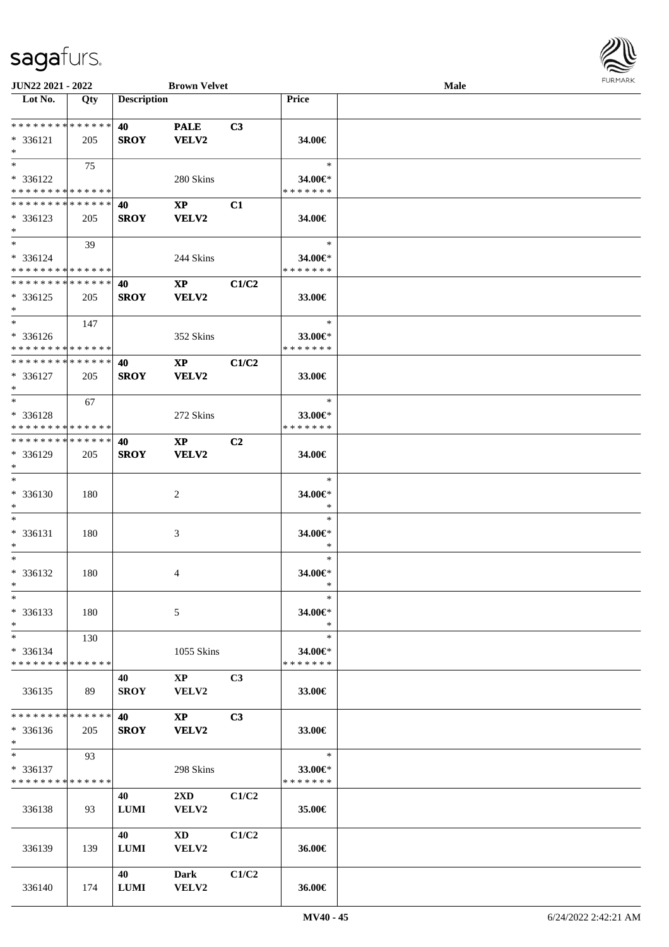

| JUN22 2021 - 2022            |     |                    | <b>Brown Velvet</b>     |                |               | Male |  |
|------------------------------|-----|--------------------|-------------------------|----------------|---------------|------|--|
| Lot No.                      | Qty | <b>Description</b> |                         |                | Price         |      |  |
|                              |     |                    |                         |                |               |      |  |
| **************               |     | 40                 | <b>PALE</b>             | C <sub>3</sub> |               |      |  |
| $* 336121$                   | 205 | <b>SROY</b>        | VELV2                   |                | 34.00€        |      |  |
| $\ast$                       |     |                    |                         |                |               |      |  |
| $*$                          | 75  |                    |                         |                | $\ast$        |      |  |
| * 336122                     |     |                    | 280 Skins               |                | 34.00€*       |      |  |
| * * * * * * * * * * * * * *  |     |                    |                         |                | * * * * * * * |      |  |
| * * * * * * * * * * * * * *  |     | 40                 | <b>XP</b>               | C1             |               |      |  |
| $* 336123$                   | 205 | <b>SROY</b>        | VELV2                   |                | 34.00€        |      |  |
| $*$                          |     |                    |                         |                |               |      |  |
| $\ast$                       | 39  |                    |                         |                | $\ast$        |      |  |
| * 336124                     |     |                    | 244 Skins               |                | 34.00€*       |      |  |
| * * * * * * * * * * * * * *  |     |                    |                         |                | * * * * * * * |      |  |
| **************               |     | 40                 | $\mathbf{XP}$           | C1/C2          |               |      |  |
| $* 336125$                   | 205 | <b>SROY</b>        | VELV2                   |                | 33.00€        |      |  |
| $\ast$                       |     |                    |                         |                |               |      |  |
| $\ast$                       | 147 |                    |                         |                | $\ast$        |      |  |
| $* 336126$                   |     |                    | 352 Skins               |                | 33.00€*       |      |  |
| * * * * * * * * * * * * * *  |     |                    |                         |                | * * * * * * * |      |  |
| ******** <mark>******</mark> |     | 40                 | $\mathbf{X}\mathbf{P}$  | C1/C2          |               |      |  |
| $* 336127$                   | 205 | <b>SROY</b>        | VELV2                   |                | 33.00€        |      |  |
| $\ast$                       |     |                    |                         |                |               |      |  |
| $*$                          | 67  |                    |                         |                | $\ast$        |      |  |
| * 336128                     |     |                    | 272 Skins               |                | 33.00€*       |      |  |
| * * * * * * * * * * * * * *  |     |                    |                         |                | * * * * * * * |      |  |
| * * * * * * * * * * * * * *  |     | 40                 | $\bold{X}\bold{P}$      | C <sub>2</sub> |               |      |  |
| * 336129                     | 205 | <b>SROY</b>        | VELV2                   |                | 34.00€        |      |  |
| $*$                          |     |                    |                         |                |               |      |  |
| $\ast$                       |     |                    |                         |                | $\ast$        |      |  |
| * 336130                     | 180 |                    | $\overline{c}$          |                | 34.00€*       |      |  |
| $\ast$                       |     |                    |                         |                | $\ast$        |      |  |
| $\ast$                       |     |                    |                         |                | $\ast$        |      |  |
| $* 336131$                   | 180 |                    | 3                       |                | 34.00€*       |      |  |
| $\ast$                       |     |                    |                         |                | $\ast$        |      |  |
| $\ast$                       |     |                    |                         |                | $\ast$        |      |  |
| * 336132                     | 180 |                    | 4                       |                | 34.00€*       |      |  |
| $*$                          |     |                    |                         |                | $\ast$        |      |  |
| $*$                          |     |                    |                         |                | $\ast$        |      |  |
| $* 336133$                   | 180 |                    | 5                       |                | 34.00€*       |      |  |
| $\ast$                       |     |                    |                         |                | $\ast$        |      |  |
| $*$                          | 130 |                    |                         |                | $\ast$        |      |  |
| * 336134                     |     |                    | 1055 Skins              |                | 34.00€*       |      |  |
| * * * * * * * * * * * * * *  |     |                    |                         |                | * * * * * * * |      |  |
|                              |     | 40                 | $\mathbf{X}\mathbf{P}$  | C <sub>3</sub> |               |      |  |
| 336135                       | 89  | <b>SROY</b>        | <b>VELV2</b>            |                | 33.00€        |      |  |
|                              |     |                    |                         |                |               |      |  |
| * * * * * * * * * * * * * *  |     | <b>40</b>          | $\mathbf{XP}$           | C <sub>3</sub> |               |      |  |
| * 336136                     | 205 | <b>SROY</b>        | <b>VELV2</b>            |                | 33.00€        |      |  |
| $*$                          |     |                    |                         |                |               |      |  |
| $*$ and $*$                  | 93  |                    |                         |                | $\ast$        |      |  |
| $* 336137$                   |     |                    | 298 Skins               |                | 33.00€*       |      |  |
| * * * * * * * * * * * * * *  |     |                    |                         |                | * * * * * * * |      |  |
|                              |     | 40                 | $2\mathbf{X}\mathbf{D}$ | C1/C2          |               |      |  |
| 336138                       | 93  | <b>LUMI</b>        | VELV2                   |                | 35.00€        |      |  |
|                              |     |                    |                         |                |               |      |  |
|                              |     | 40                 | XD                      | C1/C2          |               |      |  |
| 336139                       | 139 | <b>LUMI</b>        | VELV2                   |                | 36.00€        |      |  |
|                              |     |                    |                         |                |               |      |  |
|                              |     | 40                 | Dark                    | C1/C2          |               |      |  |
| 336140                       | 174 | <b>LUMI</b>        | VELV2                   |                | 36.00€        |      |  |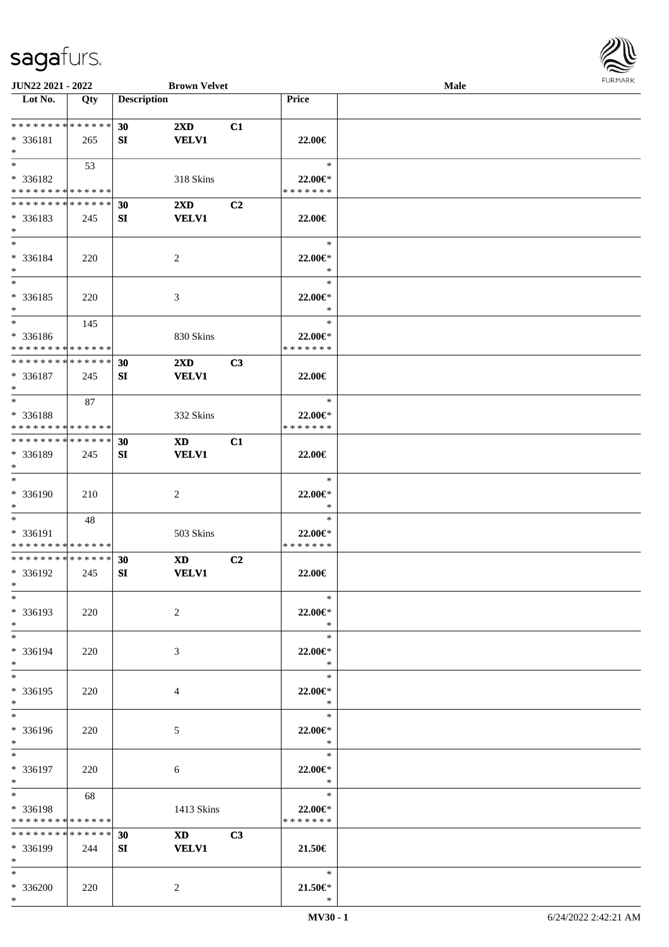\*



| JUN22 2021 - 2022           |     |                    | <b>Brown Velvet</b>     |                |               | <b>Male</b> |  |
|-----------------------------|-----|--------------------|-------------------------|----------------|---------------|-------------|--|
| Lot No.                     | Qty | <b>Description</b> |                         |                | Price         |             |  |
|                             |     |                    |                         |                |               |             |  |
| **************              |     | 30                 | $2\mathbf{X}\mathbf{D}$ | C1             |               |             |  |
| * 336181                    | 265 | SI                 | <b>VELV1</b>            |                | 22.00€        |             |  |
| $*$                         |     |                    |                         |                |               |             |  |
| $*$                         | 53  |                    |                         |                | $\ast$        |             |  |
| * 336182                    |     |                    | 318 Skins               |                | 22.00€*       |             |  |
| * * * * * * * * * * * * * * |     |                    |                         |                | * * * * * * * |             |  |
| * * * * * * * * * * * * * * |     | 30                 | $2\mathbf{X}\mathbf{D}$ | C <sub>2</sub> |               |             |  |
| * 336183                    | 245 | SI                 | <b>VELV1</b>            |                | 22.00€        |             |  |
| $*$                         |     |                    |                         |                |               |             |  |
| $*$                         |     |                    |                         |                | $\ast$        |             |  |
| * 336184                    | 220 |                    | 2                       |                | 22.00€*       |             |  |
| $*$                         |     |                    |                         |                | $\ast$        |             |  |
| $*$                         |     |                    |                         |                | $\ast$        |             |  |
| $* 336185$                  | 220 |                    | $\mathfrak{Z}$          |                | 22.00€*       |             |  |
| $\ast$                      |     |                    |                         |                | $\ast$        |             |  |
| $*$                         | 145 |                    |                         |                | $\ast$        |             |  |
| * 336186                    |     |                    | 830 Skins               |                | 22.00€*       |             |  |
| * * * * * * * * * * * * * * |     |                    |                         |                | * * * * * * * |             |  |
| * * * * * * * * * * * * * * |     | 30                 | 2XD                     | C3             |               |             |  |
| * 336187                    | 245 | SI                 | <b>VELV1</b>            |                | 22.00€        |             |  |
| $\ast$                      |     |                    |                         |                |               |             |  |
| $*$                         | 87  |                    |                         |                | $\ast$        |             |  |
| * 336188                    |     |                    | 332 Skins               |                | 22.00€*       |             |  |
| * * * * * * * * * * * * * * |     |                    |                         |                | * * * * * * * |             |  |
| * * * * * * * * * * * * * * |     | 30                 | <b>XD</b>               | C1             |               |             |  |
| * 336189                    | 245 | SI                 | <b>VELV1</b>            |                | 22.00€        |             |  |
| $*$                         |     |                    |                         |                |               |             |  |
| $\ast$                      |     |                    |                         |                | $\ast$        |             |  |
| * 336190                    | 210 |                    | 2                       |                | 22.00€*       |             |  |
| $*$                         |     |                    |                         |                | $\ast$        |             |  |
| $*$                         | 48  |                    |                         |                | $\ast$        |             |  |
| * 336191                    |     |                    | 503 Skins               |                | 22.00€*       |             |  |
| * * * * * * * * * * * * * * |     |                    |                         |                | * * * * * * * |             |  |
| * * * * * * * * * * * * * * |     | 30                 | <b>XD</b>               | C2             |               |             |  |
| * 336192                    | 245 | SI                 | <b>VELV1</b>            |                | 22.00€        |             |  |
| $*$                         |     |                    |                         |                |               |             |  |
| $*$                         |     |                    |                         |                | $\ast$        |             |  |
| * 336193                    | 220 |                    | 2                       |                | 22.00€*       |             |  |
| $*$                         |     |                    |                         |                | $\ast$        |             |  |
| $*$                         |     |                    |                         |                | $\ast$        |             |  |
| * 336194                    | 220 |                    | 3                       |                | 22.00€*       |             |  |
| $*$                         |     |                    |                         |                | $\ast$        |             |  |
| $*$                         |     |                    |                         |                | $\ast$        |             |  |
| * 336195                    | 220 |                    | 4                       |                | 22.00€*       |             |  |
| $*$                         |     |                    |                         |                | $\ast$        |             |  |
| $*$                         |     |                    |                         |                | $\ast$        |             |  |
| * 336196                    | 220 |                    | 5                       |                | 22.00€*       |             |  |
| $*$                         |     |                    |                         |                | $\ast$        |             |  |
| $*$                         |     |                    |                         |                | $\ast$        |             |  |
| * 336197                    | 220 |                    | 6                       |                | 22.00€*       |             |  |
| $*$                         |     |                    |                         |                | $\ast$        |             |  |
| $*$ $*$                     | 68  |                    |                         |                | $\ast$        |             |  |
| * 336198                    |     |                    | 1413 Skins              |                | 22.00€*       |             |  |
| * * * * * * * * * * * * * * |     |                    |                         |                | * * * * * * * |             |  |
| * * * * * * * * * * * * * * |     | 30                 | XD <sub>2</sub>         | C3             |               |             |  |
| * 336199                    | 244 | SI                 | <b>VELV1</b>            |                | 21.50€        |             |  |
| $*$                         |     |                    |                         |                |               |             |  |
| $*$                         |     |                    |                         |                | $\ast$        |             |  |
| * 336200                    | 220 |                    | 2                       |                | $21.50 \in$   |             |  |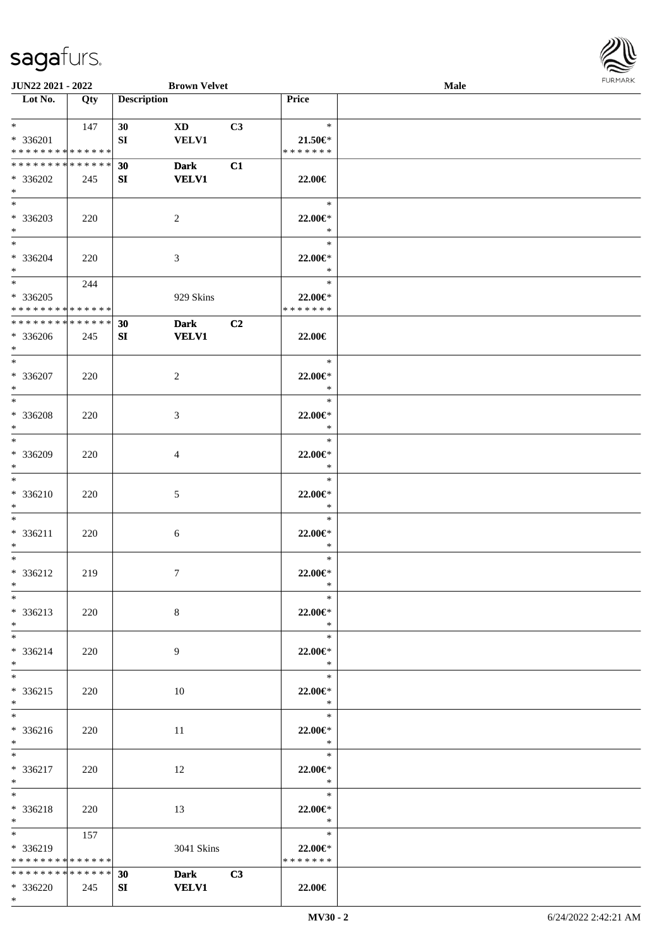

| <b>JUN22 2021 - 2022</b>                  |     |                    | <b>Brown Velvet</b> |    |                          | <b>Male</b> |  |
|-------------------------------------------|-----|--------------------|---------------------|----|--------------------------|-------------|--|
| Lot No.                                   | Qty | <b>Description</b> |                     |    | Price                    |             |  |
|                                           |     |                    |                     |    |                          |             |  |
| $*$ $*$                                   | 147 | 30                 | <b>XD</b>           | C3 | $\ast$                   |             |  |
| * 336201<br>* * * * * * * * * * * * * *   |     | SI                 | <b>VELV1</b>        |    | 21.50€*<br>* * * * * * * |             |  |
| * * * * * * * * * * * * * * *             |     | 30                 | <b>Dark</b>         | C1 |                          |             |  |
| * 336202                                  | 245 | SI                 | <b>VELV1</b>        |    | 22.00€                   |             |  |
| $*$                                       |     |                    |                     |    |                          |             |  |
| $*$                                       |     |                    |                     |    | $\ast$                   |             |  |
| * 336203                                  | 220 |                    | 2                   |    | 22.00€*                  |             |  |
| $*$                                       |     |                    |                     |    | $\ast$                   |             |  |
| $*$                                       |     |                    |                     |    | $\ast$                   |             |  |
| $* 336204$                                | 220 |                    | 3                   |    | 22.00€*                  |             |  |
| $*$<br>$*$                                |     |                    |                     |    | $\ast$<br>$\ast$         |             |  |
|                                           | 244 |                    |                     |    |                          |             |  |
| $* 336205$<br>* * * * * * * * * * * * * * |     |                    | 929 Skins           |    | 22.00€*<br>* * * * * * * |             |  |
| * * * * * * * * * * * * * *               |     | 30                 | <b>Dark</b>         | C2 |                          |             |  |
| * 336206                                  | 245 | SI                 | <b>VELV1</b>        |    | 22.00€                   |             |  |
| $*$                                       |     |                    |                     |    |                          |             |  |
| $*$                                       |     |                    |                     |    | $\ast$                   |             |  |
| * 336207                                  | 220 |                    | 2                   |    | 22.00€*                  |             |  |
| $*$                                       |     |                    |                     |    | $\ast$                   |             |  |
| $*$                                       |     |                    |                     |    | $\ast$                   |             |  |
| * 336208<br>$*$                           | 220 |                    | 3                   |    | 22.00€*<br>$\ast$        |             |  |
| $*$                                       |     |                    |                     |    | $\ast$                   |             |  |
| * 336209                                  | 220 |                    | 4                   |    | 22.00€*                  |             |  |
| $*$                                       |     |                    |                     |    | $\ast$                   |             |  |
| $*$                                       |     |                    |                     |    | $\ast$                   |             |  |
| $* 336210$                                | 220 |                    | 5                   |    | 22.00€*                  |             |  |
| $*$                                       |     |                    |                     |    | $\ast$                   |             |  |
| $*$                                       |     |                    |                     |    | $\ast$                   |             |  |
| $* 336211$<br>$*$                         | 220 |                    | 6                   |    | 22.00€*<br>$\ast$        |             |  |
| $*$                                       |     |                    |                     |    | $\ast$                   |             |  |
| $* 336212$                                | 219 |                    | $\tau$              |    | 22.00€*                  |             |  |
| $*$                                       |     |                    |                     |    | $\ast$                   |             |  |
| $*$                                       |     |                    |                     |    | $\ast$                   |             |  |
| * 336213                                  | 220 |                    | $8\,$               |    | 22.00€*                  |             |  |
| $*$                                       |     |                    |                     |    | $\ast$                   |             |  |
| $*$                                       |     |                    |                     |    | $\ast$                   |             |  |
| * 336214<br>$*$                           | 220 |                    | 9                   |    | 22.00€*<br>$\ast$        |             |  |
| $*$                                       |     |                    |                     |    | $\ast$                   |             |  |
| $* 336215$                                | 220 |                    | 10                  |    | 22.00€*                  |             |  |
| $*$                                       |     |                    |                     |    | $\ast$                   |             |  |
| $*$                                       |     |                    |                     |    | $\ast$                   |             |  |
| * 336216                                  | 220 |                    | 11                  |    | 22.00€*                  |             |  |
| $*$                                       |     |                    |                     |    | $\ddot{x}$               |             |  |
| $*$                                       |     |                    |                     |    | $\ast$                   |             |  |
| * 336217                                  | 220 |                    | 12                  |    | 22.00€*<br>$\ast$        |             |  |
| $*$ $*$<br>$*$                            |     |                    |                     |    | $\ast$                   |             |  |
| * 336218                                  | 220 |                    | 13                  |    | 22.00€*                  |             |  |
| $*$                                       |     |                    |                     |    | $\ast$                   |             |  |
| $*$ and $*$                               | 157 |                    |                     |    | $\ast$                   |             |  |
| * 336219                                  |     |                    | 3041 Skins          |    | 22.00€*                  |             |  |
| * * * * * * * * * * * * * * *             |     |                    |                     |    | * * * * * * *            |             |  |
| * * * * * * * * * * * * * * *             |     | 30                 | <b>Dark</b>         | C3 |                          |             |  |
| * 336220<br>$*$                           | 245 | SI                 | <b>VELV1</b>        |    | 22.00€                   |             |  |
|                                           |     |                    |                     |    |                          |             |  |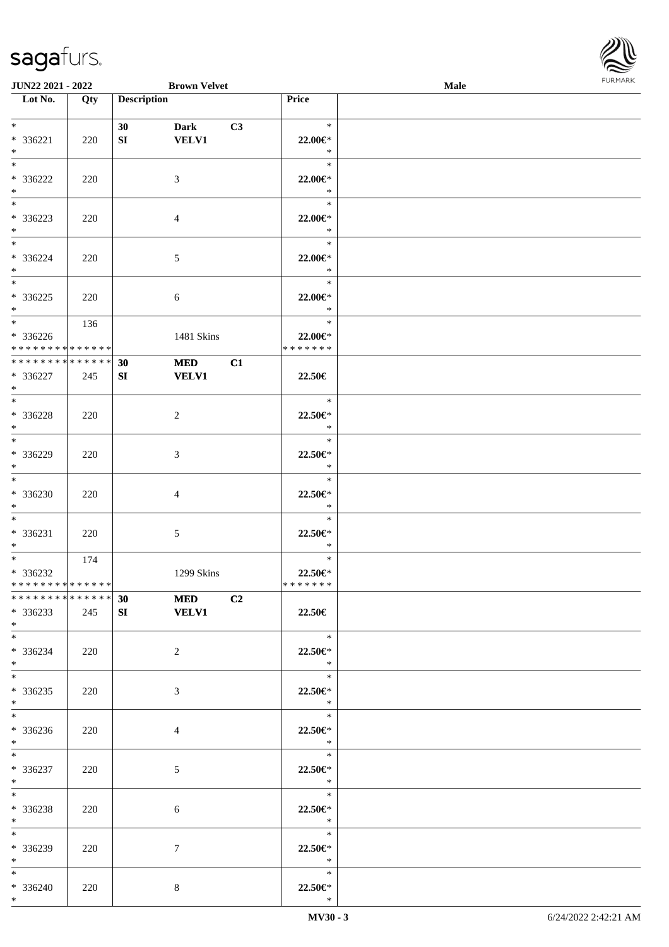

| <b>JUN22 2021 - 2022</b>      |     |                    | <b>Brown Velvet</b>       |    |                         | Male |  |
|-------------------------------|-----|--------------------|---------------------------|----|-------------------------|------|--|
| Lot No.                       | Qty | <b>Description</b> |                           |    | Price                   |      |  |
|                               |     |                    |                           |    |                         |      |  |
| $*$                           |     | 30                 | <b>Dark</b>               | C3 | $\ast$                  |      |  |
| * 336221                      | 220 | SI                 | <b>VELV1</b>              |    | 22.00€*                 |      |  |
| $*$                           |     |                    |                           |    | $\ast$                  |      |  |
|                               |     |                    |                           |    | $\ast$                  |      |  |
| * 336222                      | 220 |                    | 3                         |    | 22.00€*                 |      |  |
| $*$                           |     |                    |                           |    | $\ast$                  |      |  |
|                               |     |                    |                           |    | $\ast$                  |      |  |
| * 336223                      | 220 |                    | $\overline{4}$            |    | 22.00€*                 |      |  |
| $*$                           |     |                    |                           |    | $\ast$                  |      |  |
| $*$                           |     |                    |                           |    | $\ast$                  |      |  |
| * 336224                      | 220 |                    | 5                         |    | 22.00€*                 |      |  |
| $*$                           |     |                    |                           |    | $\ast$                  |      |  |
|                               |     |                    |                           |    | $\ast$                  |      |  |
| * 336225                      | 220 |                    | 6                         |    | 22.00€*                 |      |  |
| $*$                           |     |                    |                           |    | $\ast$                  |      |  |
| $*$                           | 136 |                    |                           |    | $\ast$                  |      |  |
| $* 336226$                    |     |                    | 1481 Skins                |    | 22.00€*                 |      |  |
| * * * * * * * * * * * * * * * |     |                    |                           |    | * * * * * * *           |      |  |
| * * * * * * * * * * * * * *   |     | 30                 | <b>MED</b>                | C1 |                         |      |  |
| $* 336227$                    | 245 | SI                 | <b>VELV1</b>              |    | 22.50€                  |      |  |
| $*$<br>$\overline{\ast}$      |     |                    |                           |    | $\ast$                  |      |  |
|                               |     |                    |                           |    |                         |      |  |
| $* 336228$<br>$*$             | 220 |                    | $\overline{2}$            |    | 22.50€*<br>$\ast$       |      |  |
| $*$                           |     |                    |                           |    | $\ast$                  |      |  |
| * 336229                      |     |                    |                           |    |                         |      |  |
| $*$                           | 220 |                    | 3                         |    | 22.50€*<br>$\ast$       |      |  |
| $\overline{\phantom{0}}$      |     |                    |                           |    | $\ast$                  |      |  |
| $* 336230$                    | 220 |                    | 4                         |    | 22.50€*                 |      |  |
| $*$                           |     |                    |                           |    | $\ast$                  |      |  |
| $*$                           |     |                    |                           |    | $\ast$                  |      |  |
| * 336231                      | 220 |                    | 5                         |    | 22.50€*                 |      |  |
| $*$                           |     |                    |                           |    | $\ast$                  |      |  |
| $*$                           | 174 |                    |                           |    | $\ast$                  |      |  |
| * 336232                      |     |                    | 1299 Skins                |    | 22.50€*                 |      |  |
| * * * * * * * * * * * * * * * |     |                    |                           |    | *******                 |      |  |
|                               |     |                    | *************** 30 MED C2 |    |                         |      |  |
| $* 336233$                    | 245 | SI                 | <b>VELV1</b>              |    | 22.50€                  |      |  |
| $*$                           |     |                    |                           |    |                         |      |  |
| $*$                           |     |                    |                           |    | $\ast$                  |      |  |
| * 336234                      | 220 |                    | $\overline{2}$            |    | 22.50€*                 |      |  |
| $*$                           |     |                    |                           |    | $\ast$                  |      |  |
| $*$                           |     |                    |                           |    | $\ast$                  |      |  |
| $*336235$                     | 220 |                    | 3                         |    | 22.50€*                 |      |  |
| $*$                           |     |                    |                           |    | $\ast$                  |      |  |
| $*$                           |     |                    |                           |    | $\ast$                  |      |  |
| $* 336236$                    | 220 |                    | $\overline{4}$            |    | $22.50 \in$             |      |  |
| $*$ $-$                       |     |                    |                           |    | $\mathbb{R}$            |      |  |
| $*$                           |     |                    |                           |    | $\ast$                  |      |  |
| * 336237                      | 220 |                    | 5                         |    | 22.50€*                 |      |  |
| $*$ $*$                       |     |                    |                           |    | $\ast$                  |      |  |
| $*$                           |     |                    |                           |    | $\overline{\mathbf{r}}$ |      |  |
| $* 336238$                    | 220 |                    | 6                         |    | 22.50€*                 |      |  |
| $*$                           |     |                    |                           |    | $\ast$                  |      |  |
| $*$                           |     |                    |                           |    | $\ast$                  |      |  |
| $* 336239$                    | 220 |                    | 7                         |    | $22.50 \in$ *<br>$\ast$ |      |  |
| $*$<br>$*$                    |     |                    |                           |    | $\ast$                  |      |  |
|                               |     |                    |                           |    | 22.50€*                 |      |  |
| * 336240<br>$*$               | 220 |                    | 8                         |    | $\ast$                  |      |  |
|                               |     |                    |                           |    |                         |      |  |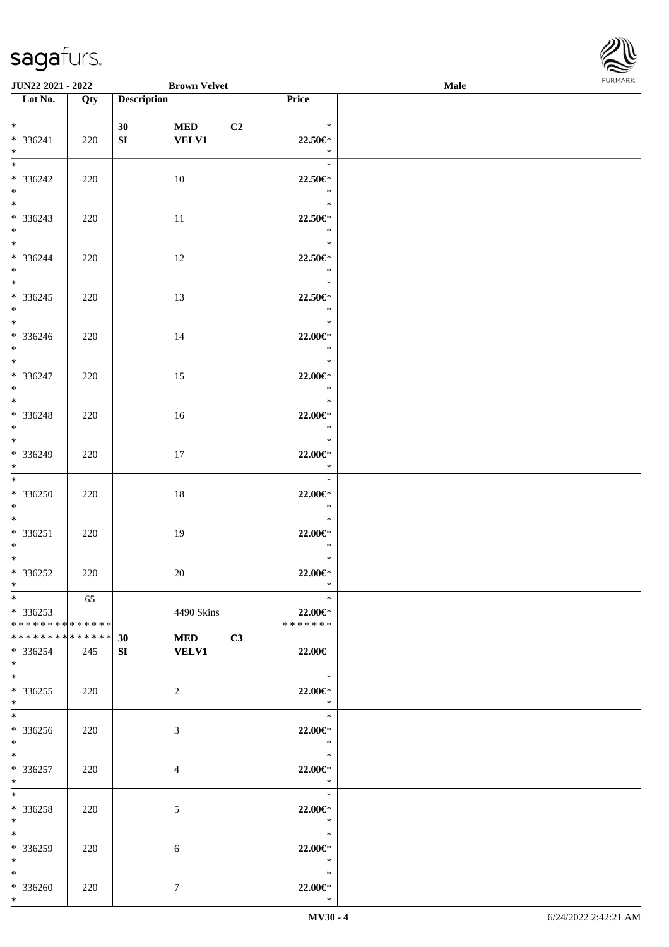

| <b>JUN22 2021 - 2022</b>                                                    |     | <b>Brown Velvet</b>                    |                                                   | Male |
|-----------------------------------------------------------------------------|-----|----------------------------------------|---------------------------------------------------|------|
| $\overline{\text{Lot No.}}$                                                 | Qty | <b>Description</b>                     | Price                                             |      |
| $*$ and $*$<br>* 336241                                                     | 220 | 30<br><b>MED</b><br>SI<br><b>VELV1</b> | $\ast$<br>C <sub>2</sub><br>22.50€*               |      |
| $*$<br>$\overline{\ast}$<br>* 336242                                        | 220 | 10                                     | $\ast$<br>$\ast$<br>22.50€*                       |      |
| $*$<br>* 336243<br>$*$                                                      | 220 | 11                                     | $\ast$<br>$\ast$<br>22.50€*<br>$\ast$             |      |
| $\overline{\ast}$<br>$* 336244$<br>$*$                                      | 220 | 12                                     | $\ast$<br>22.50€*<br>$\rightarrow$                |      |
| $* 336245$<br>$*$                                                           | 220 | 13                                     | $\ast$<br>22.50€*<br>$\ast$                       |      |
| $* 336246$<br>$*$                                                           | 220 | 14                                     | $\ast$<br>22.00€*<br>$\ast$                       |      |
| $* 336247$<br>$*$                                                           | 220 | 15                                     | $\ast$<br>22.00 $\in$ *<br>$\ast$                 |      |
| $*$<br>* 336248<br>$*$                                                      | 220 | 16                                     | $\ast$<br>22.00€*<br>$\ast$                       |      |
| * 336249<br>$*$<br>$\overline{\ast}$                                        | 220 | 17                                     | $\ast$<br>22.00€*<br>$*$                          |      |
| $* 336250$<br>$*$                                                           | 220 | 18                                     | $\ast$<br>$22.00 \in$ *<br>$\ast$                 |      |
| $*$<br>* 336251<br>$*$<br>$*$ $-$                                           | 220 | 19                                     | $\ast$<br>22.00€*<br>$\ast$<br>$\ast$             |      |
| * 336252<br>$*$ $*$<br>$*$                                                  | 220 | 20                                     | 22.00€*<br>$\ast$<br>$\ast$                       |      |
| $*336253$<br>* * * * * * * * * * * * * * *<br>* * * * * * * * * * * * * * * | 65  | 4490 Skins                             | 22.00€*<br>* * * * * * *                          |      |
| * 336254<br>$*$<br>$*$ $-$                                                  | 245 | <b>MED</b><br>30<br>SI<br><b>VELV1</b> | C3<br>22.00€<br>$\overline{\phantom{a}}$          |      |
| $*336255$<br>$*$<br>$*$ $-$                                                 | 220 | 2                                      | 22.00€*<br>$\ddot{x}$<br>$\overline{\phantom{0}}$ |      |
| $* 336256$<br>$*$<br>$*$ $-$                                                | 220 | 3                                      | 22.00€*<br>$\ddot{x}$<br>$-$                      |      |
| * 336257<br>$*$<br>$*$ $-$                                                  | 220 | $\overline{4}$                         | 22.00€*<br>$\ast$                                 |      |
| * 336258<br>$*$ $-$<br>$*$                                                  | 220 | 5                                      | 22.00€*<br>$\ast$<br>$\ast$                       |      |
| $* 336259$<br>$*$ $*$<br>$*$                                                | 220 | 6                                      | 22.00 $\in$ *<br>$\ast$<br>$\ast$                 |      |
| * 336260<br>$*$                                                             | 220 | $\tau$                                 | 22.00 $\in$ *<br>$\ast$                           |      |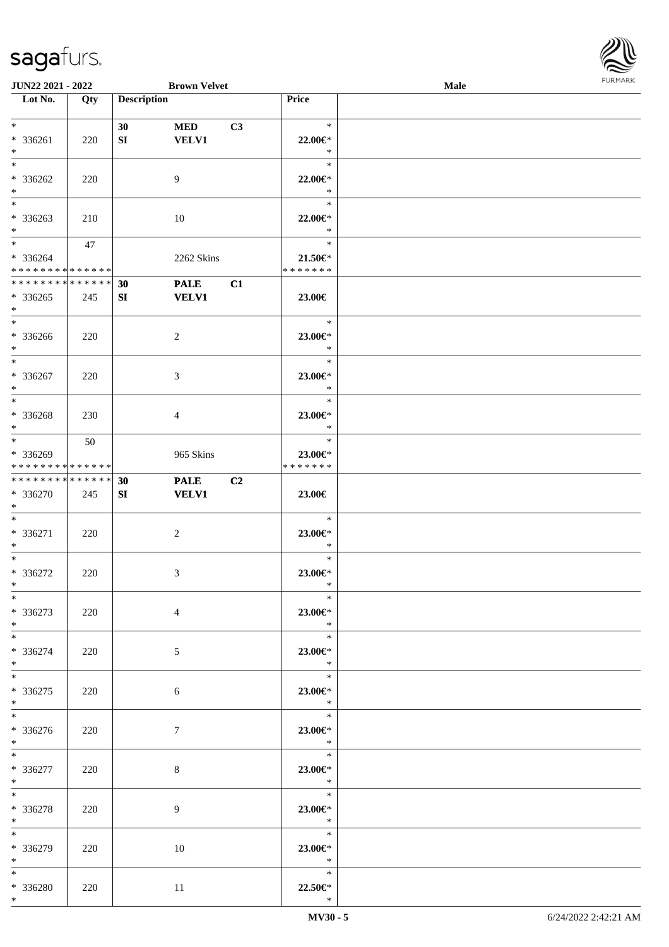

| JUN22 2021 - 2022             |     |                    | <b>Brown Velvet</b> |    |                  | <b>Male</b> |  |
|-------------------------------|-----|--------------------|---------------------|----|------------------|-------------|--|
| Lot No.                       | Qty | <b>Description</b> |                     |    | Price            |             |  |
|                               |     |                    |                     |    |                  |             |  |
| $*$                           |     | 30                 | <b>MED</b>          | C3 | $\ast$           |             |  |
| * 336261                      | 220 | SI                 | <b>VELV1</b>        |    | 22.00€*          |             |  |
| $*$                           |     |                    |                     |    | $\ast$           |             |  |
| $*$                           |     |                    |                     |    | $\ast$           |             |  |
|                               |     |                    |                     |    |                  |             |  |
| * 336262                      | 220 |                    | 9                   |    | 22.00€*          |             |  |
| $\ast$                        |     |                    |                     |    | $\ast$           |             |  |
| $\overline{\phantom{0}}$      |     |                    |                     |    | $\ast$           |             |  |
| * 336263                      | 210 |                    | 10                  |    | 22.00€*          |             |  |
| $*$                           |     |                    |                     |    | $\ast$           |             |  |
| $*$                           | 47  |                    |                     |    | $\ast$           |             |  |
| * 336264                      |     |                    | 2262 Skins          |    | $21.50 \in$      |             |  |
| * * * * * * * * * * * * * *   |     |                    |                     |    | * * * * * * *    |             |  |
| * * * * * * * * * * * * * *   |     | 30                 | <b>PALE</b>         | C1 |                  |             |  |
| $* 336265$                    | 245 | SI                 | <b>VELV1</b>        |    | 23.00€           |             |  |
| $*$                           |     |                    |                     |    |                  |             |  |
| $*$                           |     |                    |                     |    | $\ast$           |             |  |
| $* 336266$                    | 220 |                    | 2                   |    | 23.00€*          |             |  |
| $*$                           |     |                    |                     |    | $\ast$           |             |  |
| $*$                           |     |                    |                     |    | $\ast$           |             |  |
|                               |     |                    |                     |    |                  |             |  |
| $* 336267$                    | 220 |                    | 3                   |    | 23.00€*          |             |  |
| $*$                           |     |                    |                     |    | $\ast$           |             |  |
| $*$                           |     |                    |                     |    | $\ast$           |             |  |
| $* 336268$                    | 230 |                    | 4                   |    | 23.00€*          |             |  |
| $*$                           |     |                    |                     |    | $\ast$           |             |  |
| $*$                           | 50  |                    |                     |    | $\ast$           |             |  |
| * 336269                      |     |                    | 965 Skins           |    | 23.00€*          |             |  |
| * * * * * * * * * * * * * *   |     |                    |                     |    | * * * * * * *    |             |  |
| * * * * * * * * * * * * * * * |     | 30                 | <b>PALE</b>         | C2 |                  |             |  |
| * 336270                      | 245 | SI                 | <b>VELV1</b>        |    | 23.00€           |             |  |
| $*$                           |     |                    |                     |    |                  |             |  |
| $*$                           |     |                    |                     |    | $\ast$           |             |  |
| $* 336271$                    | 220 |                    | $\overline{c}$      |    | 23.00€*          |             |  |
| $*$                           |     |                    |                     |    | $\ast$           |             |  |
| $*$                           |     |                    |                     |    | $\ast$           |             |  |
| $* 336272$                    | 220 |                    | 3                   |    | 23.00€*          |             |  |
| $*$                           |     |                    |                     |    | $\ast$           |             |  |
| $*$                           |     |                    |                     |    | $\ast$           |             |  |
| * 336273                      |     |                    |                     |    | 23.00€*          |             |  |
|                               | 220 |                    | $\overline{4}$      |    |                  |             |  |
| $*$<br>$*$                    |     |                    |                     |    | $\ast$<br>$\ast$ |             |  |
|                               |     |                    |                     |    |                  |             |  |
| * 336274                      | 220 |                    | 5                   |    | 23.00€*          |             |  |
| $*$                           |     |                    |                     |    | $\ast$           |             |  |
| $*$                           |     |                    |                     |    | $\ast$           |             |  |
| * 336275                      | 220 |                    | 6                   |    | 23.00€*          |             |  |
| $*$ $-$                       |     |                    |                     |    | $\mathbb{R}^n$   |             |  |
| $*$                           |     |                    |                     |    | $\ast$           |             |  |
| * 336276                      | 220 |                    | $\tau$              |    | 23.00€*          |             |  |
| $*$ $*$                       |     |                    |                     |    | $\mathbb{R}$     |             |  |
| $*$                           |     |                    |                     |    | $\ast$           |             |  |
| * 336277                      | 220 |                    | 8                   |    | 23.00€*          |             |  |
| $*$ $*$                       |     |                    |                     |    | $\ast$           |             |  |
| $*$                           |     |                    |                     |    | $\ast$           |             |  |
| $* 336278$                    | 220 |                    | 9                   |    | 23.00€*          |             |  |
| $*$ $*$                       |     |                    |                     |    | $\ast$           |             |  |
| $*$                           |     |                    |                     |    | $\ast$           |             |  |
| $* 336279$                    | 220 |                    | 10                  |    | 23.00 $\in$ *    |             |  |
| $*$ $*$                       |     |                    |                     |    | $\ast$           |             |  |
| $*$                           |     |                    |                     |    | $\ast$           |             |  |
|                               |     |                    |                     |    |                  |             |  |
| * 336280                      | 220 |                    | 11                  |    | 22.50€*          |             |  |
| $*$                           |     |                    |                     |    | $\ast$           |             |  |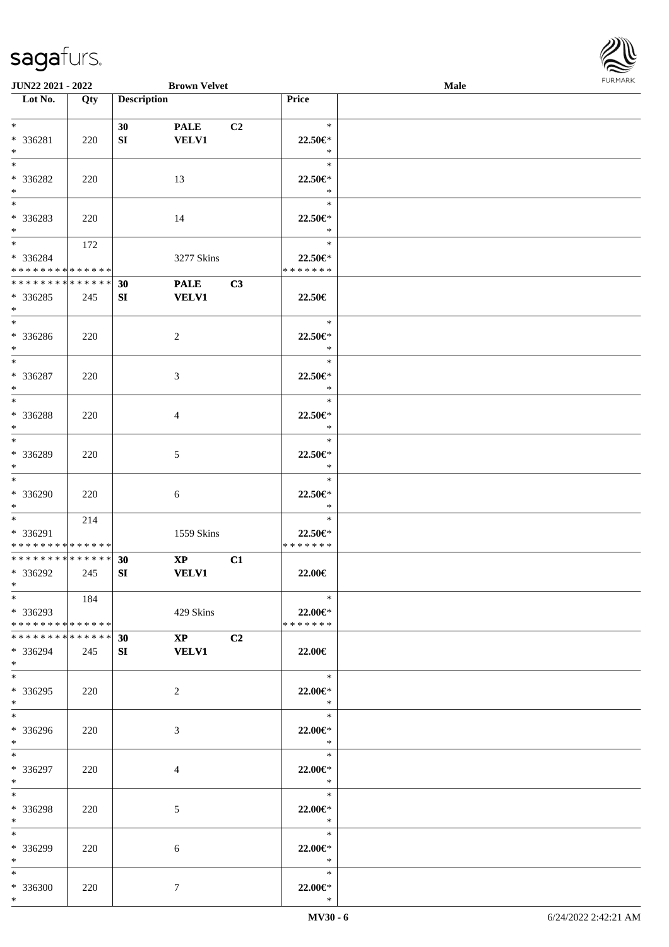

| JUN22 2021 - 2022                  |     |                    | <b>Brown Velvet</b>    |                |                   | <b>Male</b> |  |
|------------------------------------|-----|--------------------|------------------------|----------------|-------------------|-------------|--|
| Lot No.                            | Qty | <b>Description</b> |                        |                | Price             |             |  |
|                                    |     |                    |                        |                |                   |             |  |
| $*$                                |     | 30                 | <b>PALE</b>            | C <sub>2</sub> | $\ast$            |             |  |
| * 336281                           | 220 | SI                 | <b>VELV1</b>           |                | 22.50€*           |             |  |
| $\ast$                             |     |                    |                        |                | $\ast$            |             |  |
| $\overline{\phantom{0}}$           |     |                    |                        |                | $\ast$            |             |  |
|                                    |     |                    |                        |                |                   |             |  |
| * 336282                           | 220 |                    | 13                     |                | 22.50€*           |             |  |
| $\ast$<br>$\overline{\phantom{0}}$ |     |                    |                        |                | $\ast$            |             |  |
|                                    |     |                    |                        |                | $\ast$            |             |  |
| * 336283                           | 220 |                    | 14                     |                | 22.50€*           |             |  |
| $*$                                |     |                    |                        |                | $\ast$            |             |  |
| $\overline{\phantom{0}}$           | 172 |                    |                        |                | $\ast$            |             |  |
| * 336284                           |     |                    | 3277 Skins             |                | 22.50€*           |             |  |
| * * * * * * * * * * * * * * *      |     |                    |                        |                | * * * * * * *     |             |  |
| ******** <mark>******</mark>       |     | 30                 | <b>PALE</b>            | C3             |                   |             |  |
| $*336285$                          | 245 | SI                 | <b>VELV1</b>           |                | 22.50€            |             |  |
| $\ast$                             |     |                    |                        |                |                   |             |  |
| $\overline{\phantom{a}^*}$         |     |                    |                        |                | $\ast$            |             |  |
| * 336286                           |     |                    | $\overline{2}$         |                | 22.50€*           |             |  |
|                                    | 220 |                    |                        |                | $\ast$            |             |  |
| $*$<br>$\overline{\phantom{a}^*}$  |     |                    |                        |                |                   |             |  |
|                                    |     |                    |                        |                | $\ast$            |             |  |
| $* 336287$                         | 220 |                    | 3                      |                | 22.50€*           |             |  |
| $\ast$                             |     |                    |                        |                | $\ast$            |             |  |
| $*$                                |     |                    |                        |                | $\ast$            |             |  |
| * 336288                           | 220 |                    | 4                      |                | 22.50€*           |             |  |
| $\ast$                             |     |                    |                        |                | $\ast$            |             |  |
| $\overline{\phantom{0}}$           |     |                    |                        |                | $\ast$            |             |  |
| * 336289                           | 220 |                    | $\mathfrak{S}$         |                | 22.50€*           |             |  |
| $*$                                |     |                    |                        |                | $\ast$            |             |  |
| $\overline{\phantom{0}}$           |     |                    |                        |                | $\ast$            |             |  |
|                                    |     |                    |                        |                |                   |             |  |
| * 336290                           | 220 |                    | 6                      |                | 22.50€*           |             |  |
| $*$                                |     |                    |                        |                | $\ast$            |             |  |
| $*$                                | 214 |                    |                        |                | $\ast$            |             |  |
| * 336291                           |     |                    | 1559 Skins             |                | 22.50€*           |             |  |
| * * * * * * * * * * * * * *        |     |                    |                        |                | * * * * * * *     |             |  |
| * * * * * * * * * * * * * * *      |     | 30                 | $\mathbf{X}\mathbf{P}$ | C1             |                   |             |  |
| * 336292                           | 245 | SI                 | <b>VELV1</b>           |                | 22.00€            |             |  |
| $*$                                |     |                    |                        |                |                   |             |  |
| $*$                                | 184 |                    |                        |                | $\ast$            |             |  |
| * 336293                           |     |                    | 429 Skins              |                | $22.00 \in$ *     |             |  |
| * * * * * * * * * * * * * * *      |     |                    |                        |                | * * * * * * *     |             |  |
| * * * * * * * * * * * * * * *      |     | 30                 | $XP$ $C2$              |                |                   |             |  |
| * 336294                           | 245 | SI                 | <b>VELV1</b>           |                | 22.00€            |             |  |
| $*$ $*$                            |     |                    |                        |                |                   |             |  |
| $*$                                |     |                    |                        |                | $\ast$            |             |  |
|                                    |     |                    |                        |                |                   |             |  |
| * 336295                           | 220 |                    | 2                      |                | 22.00€*           |             |  |
| $*$                                |     |                    |                        |                | $\ast$            |             |  |
| $\overline{\phantom{0}}$           |     |                    |                        |                | $\ast$            |             |  |
| * 336296                           | 220 |                    | 3                      |                | 22.00€*           |             |  |
| $*$ $-$                            |     |                    |                        |                | $\ddot{x}$        |             |  |
| $*$                                |     |                    |                        |                | $\ast$            |             |  |
| * 336297                           | 220 |                    | 4                      |                | 22.00€*           |             |  |
| $*$ $*$                            |     |                    |                        |                | $\ast$            |             |  |
| $\ast$                             |     |                    |                        |                | $\ast$            |             |  |
|                                    |     |                    |                        |                |                   |             |  |
| * 336298<br>$*$ $-$                | 220 |                    | $\mathfrak{S}$         |                | 22.00€*<br>$\ast$ |             |  |
| $*$                                |     |                    |                        |                |                   |             |  |
|                                    |     |                    |                        |                | $\ast$            |             |  |
| * 336299                           | 220 |                    | 6                      |                | 22.00€*           |             |  |
| $*$                                |     |                    |                        |                | $\ast$            |             |  |
| $*$                                |     |                    |                        |                | $\ast$            |             |  |
| * 336300                           | 220 |                    | $\tau$                 |                | 22.00 $\in$ *     |             |  |
| $*$                                |     |                    |                        |                | $\ast$            |             |  |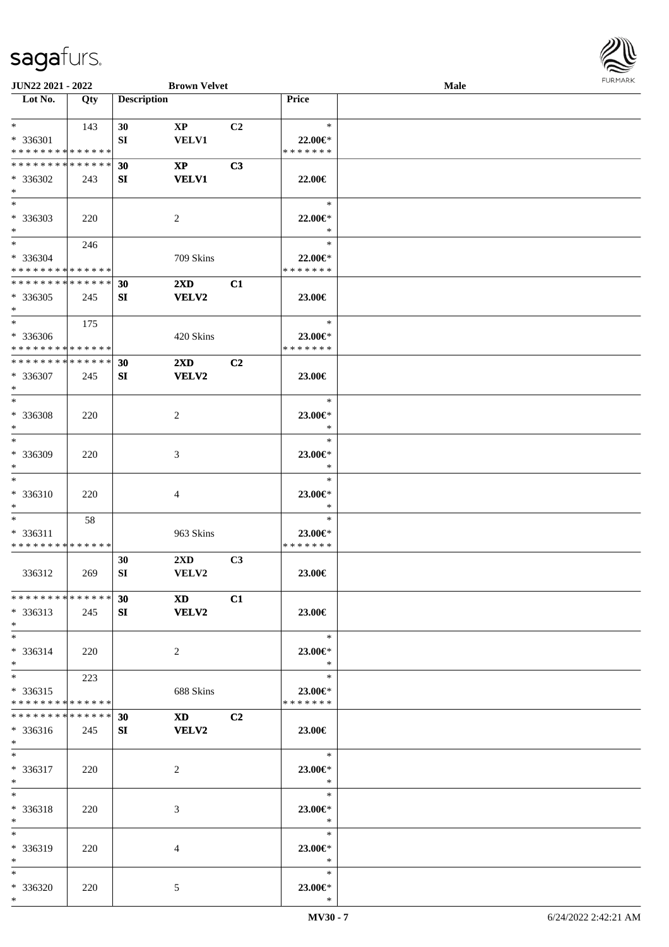

| JUN22 2021 - 2022           |     |                    | <b>Brown Velvet</b>                                                                                                                                                                                                            |                |                    | Male |  |
|-----------------------------|-----|--------------------|--------------------------------------------------------------------------------------------------------------------------------------------------------------------------------------------------------------------------------|----------------|--------------------|------|--|
| Lot No.                     | Qty | <b>Description</b> |                                                                                                                                                                                                                                |                | Price              |      |  |
|                             |     |                    |                                                                                                                                                                                                                                |                |                    |      |  |
| $*$                         | 143 | 30                 | $\mathbf{X}\mathbf{P}$                                                                                                                                                                                                         | C2             | $\ast$             |      |  |
| * 336301                    |     | SI                 | <b>VELV1</b>                                                                                                                                                                                                                   |                | 22.00€*            |      |  |
| * * * * * * * * * * * * * * |     |                    |                                                                                                                                                                                                                                |                | * * * * * * *      |      |  |
| * * * * * * * * * * * * * * |     |                    |                                                                                                                                                                                                                                |                |                    |      |  |
|                             |     | 30                 | $\mathbf{X}\mathbf{P}$                                                                                                                                                                                                         | C3             |                    |      |  |
| * 336302                    | 243 | SI                 | <b>VELV1</b>                                                                                                                                                                                                                   |                | 22.00€             |      |  |
| $\ast$                      |     |                    |                                                                                                                                                                                                                                |                |                    |      |  |
| $\overline{\phantom{a}^*}$  |     |                    |                                                                                                                                                                                                                                |                | $\ast$             |      |  |
| * 336303                    | 220 |                    | $\overline{2}$                                                                                                                                                                                                                 |                | 22.00€*            |      |  |
| $\ast$                      |     |                    |                                                                                                                                                                                                                                |                | $\ast$             |      |  |
| $\overline{\ast}$           | 246 |                    |                                                                                                                                                                                                                                |                | $\ast$             |      |  |
| * 336304                    |     |                    | 709 Skins                                                                                                                                                                                                                      |                | 22.00€*            |      |  |
| * * * * * * * * * * * * * * |     |                    |                                                                                                                                                                                                                                |                | * * * * * * *      |      |  |
| * * * * * * * * * * * * * * |     | 30                 | $2\mathbf{X}\mathbf{D}$                                                                                                                                                                                                        | C1             |                    |      |  |
| $*336305$                   |     | SI                 | VELV2                                                                                                                                                                                                                          |                | 23.00€             |      |  |
| $\ast$                      | 245 |                    |                                                                                                                                                                                                                                |                |                    |      |  |
| $\ast$                      |     |                    |                                                                                                                                                                                                                                |                |                    |      |  |
|                             | 175 |                    |                                                                                                                                                                                                                                |                | $\ast$             |      |  |
| * 336306                    |     |                    | 420 Skins                                                                                                                                                                                                                      |                | 23.00€*            |      |  |
| * * * * * * * * * * * * * * |     |                    |                                                                                                                                                                                                                                |                | * * * * * * *      |      |  |
| * * * * * * * * * * * * * * |     | 30                 | $2\mathbf{X}\mathbf{D}$                                                                                                                                                                                                        | C2             |                    |      |  |
| * 336307                    | 245 | SI                 | <b>VELV2</b>                                                                                                                                                                                                                   |                | 23.00€             |      |  |
| $\ast$                      |     |                    |                                                                                                                                                                                                                                |                |                    |      |  |
| $*$                         |     |                    |                                                                                                                                                                                                                                |                | $\ast$             |      |  |
| * 336308                    | 220 |                    | $\overline{c}$                                                                                                                                                                                                                 |                | 23.00€*            |      |  |
| $\ast$                      |     |                    |                                                                                                                                                                                                                                |                | $\ast$             |      |  |
| $\ast$                      |     |                    |                                                                                                                                                                                                                                |                | $\ast$             |      |  |
| * 336309                    | 220 |                    | 3                                                                                                                                                                                                                              |                | 23.00€*            |      |  |
| $\ast$                      |     |                    |                                                                                                                                                                                                                                |                | $\ast$             |      |  |
| $\ast$                      |     |                    |                                                                                                                                                                                                                                |                | $\ast$             |      |  |
|                             |     |                    |                                                                                                                                                                                                                                |                |                    |      |  |
| * 336310                    | 220 |                    | 4                                                                                                                                                                                                                              |                | 23.00€*            |      |  |
| $\ast$                      |     |                    |                                                                                                                                                                                                                                |                | $\ast$             |      |  |
| $\ast$                      | 58  |                    |                                                                                                                                                                                                                                |                | $\ast$             |      |  |
| $* 336311$                  |     |                    | 963 Skins                                                                                                                                                                                                                      |                | 23.00€*            |      |  |
| * * * * * * * * * * * * * * |     |                    |                                                                                                                                                                                                                                |                | * * * * * * *      |      |  |
|                             |     | 30                 | $2\mathbf{X}\mathbf{D}$                                                                                                                                                                                                        | C <sub>3</sub> |                    |      |  |
| 336312                      | 269 | SI                 | VELV2                                                                                                                                                                                                                          |                | 23.00€             |      |  |
|                             |     |                    |                                                                                                                                                                                                                                |                |                    |      |  |
| **************              |     | 30                 | XD and the set of the set of the set of the set of the set of the set of the set of the set of the set of the set of the set of the set of the set of the set of the set of the set of the set of the set of the set of the se | C1             |                    |      |  |
| * 336313                    | 245 | SI                 | <b>VELV2</b>                                                                                                                                                                                                                   |                | 23.00€             |      |  |
| $*$                         |     |                    |                                                                                                                                                                                                                                |                |                    |      |  |
| $*$                         |     |                    |                                                                                                                                                                                                                                |                | $\ast$             |      |  |
| $* 336314$                  | 220 |                    | $\overline{2}$                                                                                                                                                                                                                 |                | 23.00€*            |      |  |
| $*$                         |     |                    |                                                                                                                                                                                                                                |                | $\ast$             |      |  |
| $*$                         |     |                    |                                                                                                                                                                                                                                |                | $\ast$             |      |  |
|                             | 223 |                    |                                                                                                                                                                                                                                |                |                    |      |  |
| $* 336315$                  |     |                    | 688 Skins                                                                                                                                                                                                                      |                | 23.00€*            |      |  |
| * * * * * * * * * * * * * * |     |                    |                                                                                                                                                                                                                                |                | * * * * * * *      |      |  |
| * * * * * * * * * * * * * * |     | 30                 | XD <sub>2</sub>                                                                                                                                                                                                                | C <sub>2</sub> |                    |      |  |
| * 336316                    | 245 | SI                 | <b>VELV2</b>                                                                                                                                                                                                                   |                | 23.00€             |      |  |
| $*$ $*$                     |     |                    |                                                                                                                                                                                                                                |                |                    |      |  |
| $*$                         |     |                    |                                                                                                                                                                                                                                |                | $\equiv$<br>$\ast$ |      |  |
| * 336317                    | 220 |                    | $\overline{c}$                                                                                                                                                                                                                 |                | 23.00€*            |      |  |
| $*$                         |     |                    |                                                                                                                                                                                                                                |                | $\ast$             |      |  |
| $\ast$                      |     |                    |                                                                                                                                                                                                                                |                | $\ast$             |      |  |
| * 336318                    | 220 |                    | 3                                                                                                                                                                                                                              |                | 23.00€*            |      |  |
| $*$                         |     |                    |                                                                                                                                                                                                                                |                | $\ast$             |      |  |
| $\ast$                      |     |                    |                                                                                                                                                                                                                                |                | $\ast$             |      |  |
| * 336319                    |     |                    |                                                                                                                                                                                                                                |                |                    |      |  |
| $*$                         | 220 |                    | 4                                                                                                                                                                                                                              |                | 23.00€*<br>$\ast$  |      |  |
| $*$                         |     |                    |                                                                                                                                                                                                                                |                | $\ast$             |      |  |
|                             |     |                    |                                                                                                                                                                                                                                |                |                    |      |  |
| * 336320                    | 220 |                    | 5                                                                                                                                                                                                                              |                | 23.00€*<br>$\ast$  |      |  |
| $*$                         |     |                    |                                                                                                                                                                                                                                |                |                    |      |  |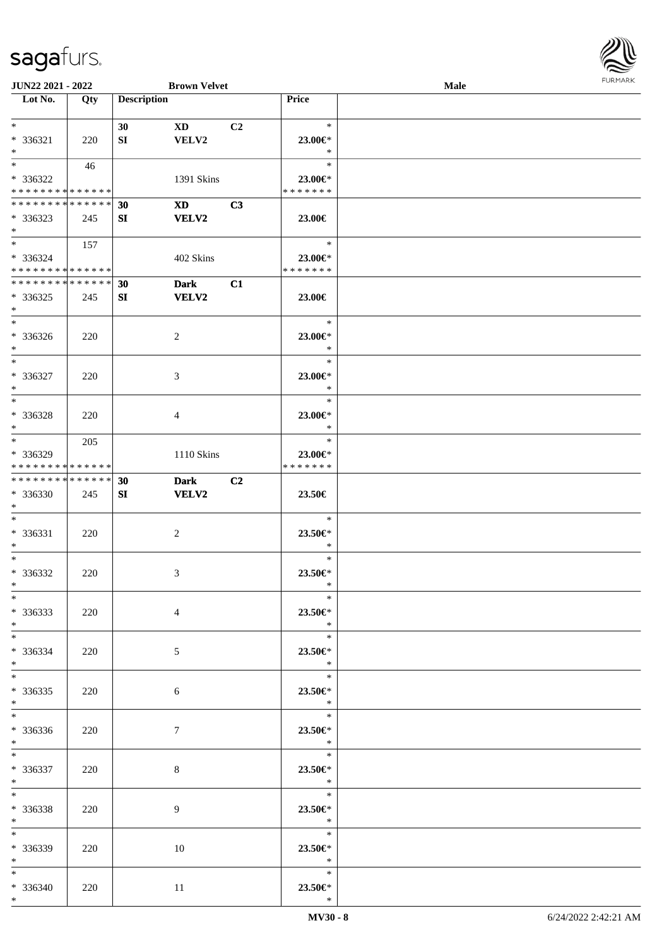

| JUN22 2021 - 2022             |     |                    | <b>Brown Velvet</b>    |                |                   | <b>Male</b> |  |
|-------------------------------|-----|--------------------|------------------------|----------------|-------------------|-------------|--|
| Lot No.                       | Qty | <b>Description</b> |                        |                | Price             |             |  |
|                               |     |                    |                        |                |                   |             |  |
| $\ast$                        |     | 30                 | $\mathbf{X}\mathbf{D}$ | C <sub>2</sub> | $\ast$            |             |  |
| $* 336321$                    | 220 | SI                 | VELV2                  |                | 23.00€*           |             |  |
| $\ast$                        |     |                    |                        |                | $\ast$            |             |  |
| $\overline{\phantom{0}}$      | 46  |                    |                        |                | $\ast$            |             |  |
|                               |     |                    |                        |                |                   |             |  |
| * 336322                      |     |                    | 1391 Skins             |                | 23.00€*           |             |  |
| * * * * * * * * * * * * * *   |     |                    |                        |                | * * * * * * *     |             |  |
| * * * * * * * * * * * * * * * |     | 30                 | <b>XD</b>              | C3             |                   |             |  |
| * 336323                      | 245 | SI                 | <b>VELV2</b>           |                | 23.00€            |             |  |
| $*$                           |     |                    |                        |                |                   |             |  |
| $\overline{\ }$               | 157 |                    |                        |                | $\ast$            |             |  |
| * 336324                      |     |                    | 402 Skins              |                | 23.00€*           |             |  |
| * * * * * * * * * * * * * * * |     |                    |                        |                | * * * * * * *     |             |  |
| **************                |     | 30                 | <b>Dark</b>            | C1             |                   |             |  |
| $*336325$                     | 245 | SI                 | <b>VELV2</b>           |                | 23.00€            |             |  |
| $\ast$                        |     |                    |                        |                |                   |             |  |
| $\overline{\phantom{a}^*}$    |     |                    |                        |                | $\ast$            |             |  |
|                               |     |                    |                        |                |                   |             |  |
| $* 336326$                    | 220 |                    | 2                      |                | 23.00€*           |             |  |
| $\ast$                        |     |                    |                        |                | $\ast$            |             |  |
| $\ast$                        |     |                    |                        |                | $\ast$            |             |  |
| * 336327                      | 220 |                    | 3                      |                | 23.00€*           |             |  |
| $\ast$                        |     |                    |                        |                | $\ast$            |             |  |
| $\ast$                        |     |                    |                        |                | $\ast$            |             |  |
| * 336328                      | 220 |                    | 4                      |                | 23.00€*           |             |  |
| $\ast$                        |     |                    |                        |                | $\ast$            |             |  |
| $\overline{\ast}$             | 205 |                    |                        |                | $\ast$            |             |  |
|                               |     |                    |                        |                |                   |             |  |
| * 336329                      |     |                    | 1110 Skins             |                | 23.00€*           |             |  |
| * * * * * * * * * * * * * *   |     |                    |                        |                | * * * * * * *     |             |  |
| **************                |     | 30                 | <b>Dark</b>            | C2             |                   |             |  |
| * 336330                      | 245 | SI                 | <b>VELV2</b>           |                | 23.50€            |             |  |
| $*$                           |     |                    |                        |                |                   |             |  |
| $*$                           |     |                    |                        |                | $\ast$            |             |  |
| * 336331                      | 220 |                    | $\overline{c}$         |                | 23.50€*           |             |  |
| $*$                           |     |                    |                        |                | $\ast$            |             |  |
| $\ast$                        |     |                    |                        |                | $\ast$            |             |  |
| $* 336332$                    | 220 |                    | 3                      |                | 23.50€*           |             |  |
| $*$                           |     |                    |                        |                | $\ast$            |             |  |
| $*$                           |     |                    |                        |                | $\ast$            |             |  |
| $*336333$                     | 220 |                    | $\overline{4}$         |                | 23.50€*           |             |  |
|                               |     |                    |                        |                |                   |             |  |
| $*$                           |     |                    |                        |                | $\ast$            |             |  |
| $*$                           |     |                    |                        |                | $\ast$            |             |  |
| * 336334                      | 220 |                    | 5 <sup>5</sup>         |                | 23.50€*           |             |  |
| $*$                           |     |                    |                        |                | $\ast$            |             |  |
| $*$                           |     |                    |                        |                | $\ast$            |             |  |
| $*336335$                     | 220 |                    | 6                      |                | 23.50€*           |             |  |
| $*$ $-$                       |     |                    |                        |                | $\ddot{x}$        |             |  |
| $\overline{\phantom{0}}$      |     |                    |                        |                |                   |             |  |
| * 336336                      | 220 |                    | $\tau$                 |                | 23.50€*           |             |  |
| $*$ $*$                       |     |                    |                        |                | $\ast$            |             |  |
| $*$                           |     |                    |                        |                | $\ast$            |             |  |
| $* 336337$                    |     |                    |                        |                |                   |             |  |
|                               | 220 |                    | $8\,$                  |                | 23.50€*<br>$\ast$ |             |  |
| $*$ $*$<br>$*$                |     |                    |                        |                | $\ast$            |             |  |
|                               |     |                    |                        |                |                   |             |  |
| * 336338                      | 220 |                    | 9                      |                | 23.50€*           |             |  |
| $*$ $*$                       |     |                    |                        |                | $\ast$            |             |  |
| $*$                           |     |                    |                        |                | $\ast$            |             |  |
| * 336339                      | 220 |                    | 10                     |                | 23.50€*           |             |  |
| $*$                           |     |                    |                        |                | $\ast$            |             |  |
| $*$                           |     |                    |                        |                | $\ast$            |             |  |
| $* 336340$                    | 220 |                    | 11                     |                | 23.50€*           |             |  |
| $*$                           |     |                    |                        |                | $\ast$            |             |  |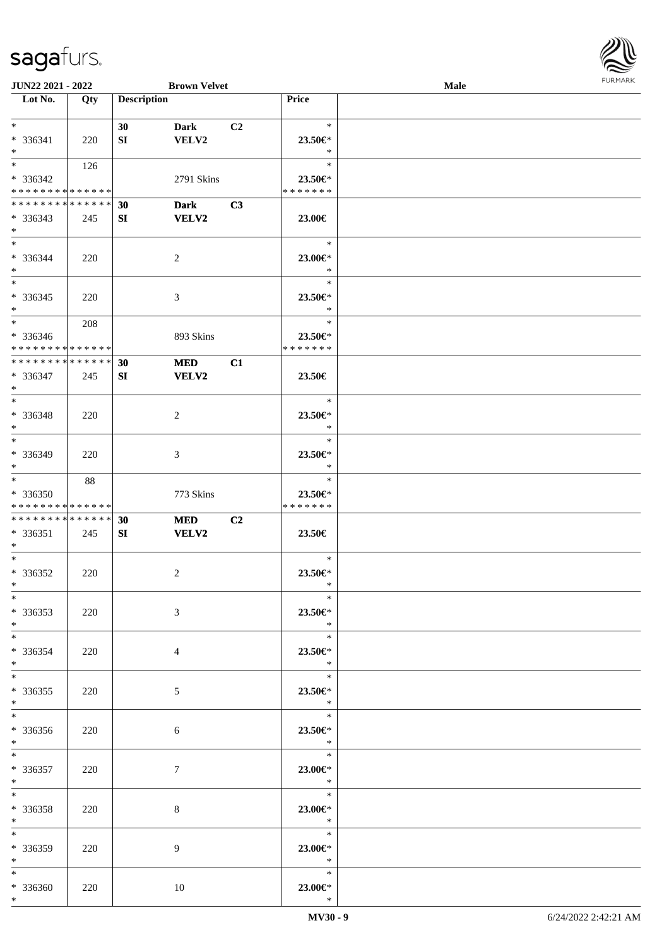

| JUN22 2021 - 2022             |     |                    | <b>Brown Velvet</b> |                |               | <b>Male</b> |  |
|-------------------------------|-----|--------------------|---------------------|----------------|---------------|-------------|--|
| Lot No.                       | Qty | <b>Description</b> |                     |                | Price         |             |  |
|                               |     |                    |                     |                |               |             |  |
| $\ast$                        |     | 30                 |                     | C <sub>2</sub> | $\ast$        |             |  |
|                               |     |                    | <b>Dark</b>         |                |               |             |  |
| * 336341                      | 220 | SI                 | VELV2               |                | 23.50€*       |             |  |
| $*$                           |     |                    |                     |                | $\ast$        |             |  |
| $\overline{\ast}$             | 126 |                    |                     |                | $\ast$        |             |  |
| * 336342                      |     |                    | 2791 Skins          |                | 23.50€*       |             |  |
| * * * * * * * * * * * * * *   |     |                    |                     |                | * * * * * * * |             |  |
| * * * * * * * * * * * * * * * |     |                    |                     |                |               |             |  |
|                               |     | 30                 | <b>Dark</b>         | C3             |               |             |  |
| $* 336343$                    | 245 | SI                 | <b>VELV2</b>        |                | 23.00€        |             |  |
| $*$                           |     |                    |                     |                |               |             |  |
| $\overline{\ast}$             |     |                    |                     |                | $\ast$        |             |  |
| * 336344                      | 220 |                    | $\overline{2}$      |                | 23.00€*       |             |  |
| $\ast$                        |     |                    |                     |                | $\ast$        |             |  |
| $\overline{\phantom{0}}$      |     |                    |                     |                |               |             |  |
|                               |     |                    |                     |                | $\ast$        |             |  |
| $* 336345$                    | 220 |                    | $\mathfrak{Z}$      |                | 23.50€*       |             |  |
| $\ast$                        |     |                    |                     |                | $\ast$        |             |  |
| $\overline{\phantom{0}}$      | 208 |                    |                     |                | $\ast$        |             |  |
| $* 336346$                    |     |                    |                     |                | 23.50€*       |             |  |
|                               |     |                    | 893 Skins           |                |               |             |  |
| * * * * * * * * * * * * * * * |     |                    |                     |                | * * * * * * * |             |  |
| **************                |     | 30                 | <b>MED</b>          | C1             |               |             |  |
| $* 336347$                    | 245 | SI                 | <b>VELV2</b>        |                | 23.50€        |             |  |
| $\ast$                        |     |                    |                     |                |               |             |  |
| $*$                           |     |                    |                     |                | $\ast$        |             |  |
|                               |     |                    |                     |                |               |             |  |
| * 336348                      | 220 |                    | $\overline{2}$      |                | 23.50€*       |             |  |
| $\ast$                        |     |                    |                     |                | $\ast$        |             |  |
| $\overline{\ast}$             |     |                    |                     |                | $\ast$        |             |  |
| * 336349                      | 220 |                    | 3                   |                | 23.50€*       |             |  |
| $*$                           |     |                    |                     |                | $\ast$        |             |  |
| $*$                           | 88  |                    |                     |                | $\ast$        |             |  |
|                               |     |                    |                     |                |               |             |  |
| * 336350                      |     |                    | 773 Skins           |                | 23.50€*       |             |  |
| * * * * * * * * * * * * * *   |     |                    |                     |                | * * * * * * * |             |  |
| **************                |     | 30                 | <b>MED</b>          | C2             |               |             |  |
| $* 336351$                    | 245 | SI                 | VELV2               |                | 23.50€        |             |  |
| $*$                           |     |                    |                     |                |               |             |  |
| $*$                           |     |                    |                     |                | $\ast$        |             |  |
|                               |     |                    |                     |                |               |             |  |
| $* 336352$                    | 220 |                    | $\overline{c}$      |                | 23.50€*       |             |  |
| $\ast$                        |     |                    |                     |                | $\ast$        |             |  |
| $*$                           |     |                    |                     |                | $\ast$        |             |  |
| $*336353$                     | 220 |                    | $\mathfrak{Z}$      |                | 23.50€*       |             |  |
| $*$                           |     |                    |                     |                | $\ast$        |             |  |
| $*$                           |     |                    |                     |                | $\ast$        |             |  |
|                               |     |                    |                     |                |               |             |  |
| * 336354                      | 220 |                    | 4                   |                | 23.50€*       |             |  |
| $*$                           |     |                    |                     |                | $\ast$        |             |  |
| $*$                           |     |                    |                     |                | $\ast$        |             |  |
| $*336355$                     | 220 |                    | 5 <sup>5</sup>      |                | 23.50€*       |             |  |
| $*$ $-$                       |     |                    |                     |                | $\ddot{x}$    |             |  |
| $\overline{\phantom{0}}$      |     |                    |                     |                | $\ast$        |             |  |
|                               |     |                    |                     |                |               |             |  |
| * 336356                      | 220 |                    | 6                   |                | 23.50€*       |             |  |
| $*$ and $*$                   |     |                    |                     |                | $\ddot{x}$    |             |  |
| $*$                           |     |                    |                     |                | $\ast$        |             |  |
| $* 336357$                    | 220 |                    | $\tau$              |                | 23.00€*       |             |  |
| $*$ $*$                       |     |                    |                     |                | $\ast$        |             |  |
| $\ast$                        |     |                    |                     |                | $\ast$        |             |  |
|                               |     |                    |                     |                |               |             |  |
| * 336358                      | 220 |                    | 8                   |                | 23.00€*       |             |  |
| $*$ $*$                       |     |                    |                     |                | $\ast$        |             |  |
| $\ast$                        |     |                    |                     |                | $\ast$        |             |  |
| * 336359                      | 220 |                    | 9                   |                | 23.00 $\in$ * |             |  |
| $*$                           |     |                    |                     |                | $\ast$        |             |  |
|                               |     |                    |                     |                | $\ast$        |             |  |
| $*$                           |     |                    |                     |                |               |             |  |
| * 336360                      | 220 |                    | 10                  |                | 23.00€*       |             |  |
| $*$                           |     |                    |                     |                | $\ast$        |             |  |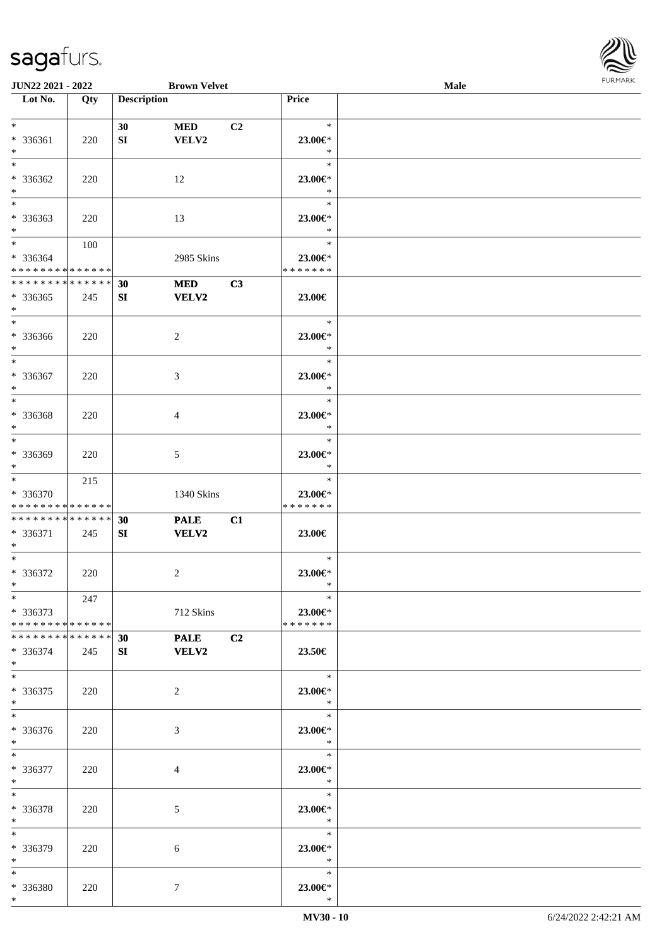

| <b>JUN22 2021 - 2022</b>      |     |                    | <b>Brown Velvet</b> |                |                     | Male |  |
|-------------------------------|-----|--------------------|---------------------|----------------|---------------------|------|--|
| Lot No.                       | Qty | <b>Description</b> |                     |                | Price               |      |  |
|                               |     |                    |                     |                |                     |      |  |
| $*$                           |     | 30                 | <b>MED</b>          | C <sub>2</sub> | $\ast$              |      |  |
| * 336361                      | 220 | SI                 | VELV2               |                | 23.00€*             |      |  |
| $*$                           |     |                    |                     |                | $\ast$              |      |  |
| $*$                           |     |                    |                     |                | $\ast$              |      |  |
| * 336362                      | 220 |                    | 12                  |                | 23.00€*             |      |  |
| $\ast$                        |     |                    |                     |                | $\ast$              |      |  |
| $\overline{\ast}$             |     |                    |                     |                | $\ast$              |      |  |
| * 336363                      | 220 |                    | 13                  |                | 23.00€*             |      |  |
| $*$                           |     |                    |                     |                | $\ast$              |      |  |
| $*$                           | 100 |                    |                     |                | $\ast$              |      |  |
|                               |     |                    |                     |                |                     |      |  |
| * 336364                      |     |                    | 2985 Skins          |                | 23.00€*             |      |  |
| * * * * * * * * * * * * * *   |     |                    |                     |                | * * * * * * *       |      |  |
| * * * * * * * * * * * * * *   |     | 30                 | <b>MED</b>          | C3             |                     |      |  |
| $*336365$                     | 245 | SI                 | <b>VELV2</b>        |                | 23.00€              |      |  |
| $*$                           |     |                    |                     |                |                     |      |  |
| $\ast$                        |     |                    |                     |                | $\ast$              |      |  |
| * 336366                      | 220 |                    | $\overline{2}$      |                | 23.00€*             |      |  |
| $*$                           |     |                    |                     |                | $\ast$              |      |  |
| $\ast$                        |     |                    |                     |                | $\ast$              |      |  |
| $* 336367$                    | 220 |                    | 3                   |                | 23.00€*             |      |  |
| $\ast$                        |     |                    |                     |                | $\ast$              |      |  |
| $*$                           |     |                    |                     |                | $\ast$              |      |  |
| $* 336368$                    |     |                    |                     |                |                     |      |  |
| $\ast$                        | 220 |                    | $\overline{4}$      |                | 23.00€*<br>$\ast$   |      |  |
|                               |     |                    |                     |                |                     |      |  |
| $*$                           |     |                    |                     |                | $\ast$              |      |  |
| * 336369                      | 220 |                    | 5                   |                | 23.00€*             |      |  |
| $*$                           |     |                    |                     |                | $\ast$              |      |  |
| $*$                           | 215 |                    |                     |                | $\ast$              |      |  |
| * 336370                      |     |                    | 1340 Skins          |                | 23.00€*             |      |  |
| * * * * * * * * * * * * * *   |     |                    |                     |                | * * * * * * *       |      |  |
| * * * * * * * * * * * * * *   |     | 30                 | <b>PALE</b>         | C1             |                     |      |  |
| * 336371                      | 245 | SI                 | <b>VELV2</b>        |                | 23.00€              |      |  |
| $*$                           |     |                    |                     |                |                     |      |  |
| $*$                           |     |                    |                     |                | $\ast$              |      |  |
| $* 336372$                    | 220 |                    | $\overline{c}$      |                | 23.00€*             |      |  |
| $*$                           |     |                    |                     |                | $\ast$              |      |  |
| $*$                           | 247 |                    |                     |                | $\ast$              |      |  |
| $*336373$                     |     |                    |                     |                |                     |      |  |
|                               |     |                    | 712 Skins           |                | 23.00€*             |      |  |
| * * * * * * * * * * * * * * * |     |                    |                     |                | * * * * * * *       |      |  |
| * * * * * * * * * * * * * * * |     | 30                 | PALE C2             |                |                     |      |  |
| * 336374                      | 245 | SI                 | <b>VELV2</b>        |                | 23.50€              |      |  |
| $*$                           |     |                    |                     |                |                     |      |  |
| $*$                           |     |                    |                     |                | $\ast$              |      |  |
| * 336375                      | 220 |                    | $\overline{2}$      |                | 23.00€*             |      |  |
| $*$                           |     |                    |                     |                | $\ast$              |      |  |
| $*$                           |     |                    |                     |                | $\ast$              |      |  |
| * 336376                      | 220 |                    | 3                   |                | 23.00€*             |      |  |
| $*$                           |     |                    |                     |                | $\ddot{x}$          |      |  |
| $*$ and $*$                   |     |                    |                     |                | $\ast$              |      |  |
| * 336377                      | 220 |                    | 4                   |                | 23.00€*             |      |  |
| $*$ $-$                       |     |                    |                     |                | $\ast$              |      |  |
| $\ast$                        |     |                    |                     |                | $\ast$              |      |  |
|                               |     |                    |                     |                |                     |      |  |
| * 336378                      | 220 |                    | $5\phantom{.0}$     |                | 23.00€*             |      |  |
| $*$                           |     |                    |                     |                | $\ast$              |      |  |
| $*$                           |     |                    |                     |                | $\ast$              |      |  |
| * 336379                      | 220 |                    | 6                   |                | 23.00 $\in$ *       |      |  |
| $*$                           |     |                    |                     |                | $\bullet$ $\bullet$ |      |  |
| $*$                           |     |                    |                     |                | $\ast$              |      |  |
| * 336380                      | 220 |                    | $\tau$              |                | 23.00€*             |      |  |
| $*$                           |     |                    |                     |                | $\ast$              |      |  |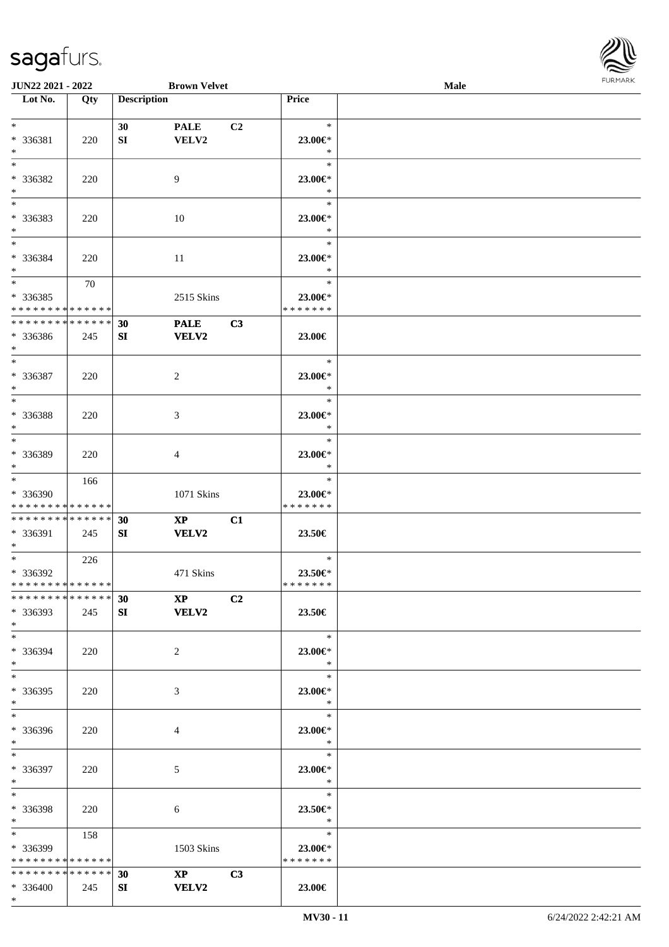

| JUN22 2021 - 2022             |     |                    | <b>Brown Velvet</b>                       |                |                     | <b>Male</b> |  |
|-------------------------------|-----|--------------------|-------------------------------------------|----------------|---------------------|-------------|--|
| Lot No.                       | Qty | <b>Description</b> |                                           |                | Price               |             |  |
|                               |     |                    |                                           |                |                     |             |  |
| $*$                           |     | 30                 | <b>PALE</b>                               | C <sub>2</sub> | $\ast$              |             |  |
| * 336381                      | 220 | SI                 | VELV2                                     |                | 23.00€*             |             |  |
| $\ast$                        |     |                    |                                           |                | $\ast$              |             |  |
| $*$                           |     |                    |                                           |                |                     |             |  |
|                               |     |                    |                                           |                | $\ast$              |             |  |
| * 336382                      | 220 |                    | 9                                         |                | 23.00€*             |             |  |
| $\ast$                        |     |                    |                                           |                | $\ast$              |             |  |
| $\overline{\phantom{0}}$      |     |                    |                                           |                | $\ast$              |             |  |
| * 336383                      | 220 |                    | 10                                        |                | 23.00€*             |             |  |
| $*$                           |     |                    |                                           |                | $\ast$              |             |  |
| $*$                           |     |                    |                                           |                | $\ast$              |             |  |
|                               |     |                    |                                           |                |                     |             |  |
| * 336384                      | 220 |                    | 11                                        |                | 23.00€*             |             |  |
| $*$                           |     |                    |                                           |                | $\ast$              |             |  |
| $*$                           | 70  |                    |                                           |                | $\ast$              |             |  |
| $* 336385$                    |     |                    | 2515 Skins                                |                | 23.00€*             |             |  |
| * * * * * * * * * * * * * *   |     |                    |                                           |                | * * * * * * *       |             |  |
| * * * * * * * * * * * * * *   |     | 30                 | <b>PALE</b>                               | C3             |                     |             |  |
| * 336386                      | 245 | SI                 | <b>VELV2</b>                              |                | 23.00€              |             |  |
| $*$                           |     |                    |                                           |                |                     |             |  |
| $\ast$                        |     |                    |                                           |                | $\ast$              |             |  |
|                               |     |                    |                                           |                |                     |             |  |
| $* 336387$                    | 220 |                    | $\overline{2}$                            |                | 23.00€*             |             |  |
| $\ast$                        |     |                    |                                           |                | $\ast$              |             |  |
| $*$                           |     |                    |                                           |                | $\ast$              |             |  |
| * 336388                      | 220 |                    | 3                                         |                | 23.00€*             |             |  |
| $\ast$                        |     |                    |                                           |                | $\ast$              |             |  |
| $*$                           |     |                    |                                           |                | $\ast$              |             |  |
| * 336389                      | 220 |                    |                                           |                | 23.00€*             |             |  |
| $*$                           |     |                    | 4                                         |                | $\ast$              |             |  |
|                               |     |                    |                                           |                |                     |             |  |
| $*$                           | 166 |                    |                                           |                | $\ast$              |             |  |
| * 336390                      |     |                    | 1071 Skins                                |                | 23.00€*             |             |  |
| * * * * * * * * * * * * * *   |     |                    |                                           |                | * * * * * * *       |             |  |
| * * * * * * * * * * * * * * * |     | 30                 | $\mathbf{X}\mathbf{P}$                    | C1             |                     |             |  |
| * 336391                      | 245 | SI                 | <b>VELV2</b>                              |                | 23.50€              |             |  |
| $*$                           |     |                    |                                           |                |                     |             |  |
| $*$                           | 226 |                    |                                           |                | $\ast$              |             |  |
| * 336392                      |     |                    | 471 Skins                                 |                | 23.50€*             |             |  |
| * * * * * * * * * * * * * *   |     |                    |                                           |                | * * * * * * *       |             |  |
| * * * * * * * * * * * * * * * |     |                    |                                           |                |                     |             |  |
|                               |     | 30                 | $\mathbf{XP}$ $\qquad \qquad \mathbf{C2}$ |                |                     |             |  |
| * 336393                      | 245 | SI                 | <b>VELV2</b>                              |                | 23.50€              |             |  |
| $*$                           |     |                    |                                           |                |                     |             |  |
| $*$                           |     |                    |                                           |                | $\ast$              |             |  |
| * 336394                      | 220 |                    | $\overline{2}$                            |                | 23.00€*             |             |  |
| $*$                           |     |                    |                                           |                | $\ast$              |             |  |
| $*$                           |     |                    |                                           |                | $\ast$              |             |  |
| * 336395                      | 220 |                    | 3                                         |                | 23.00€*             |             |  |
| $*$                           |     |                    |                                           |                | $\ast$              |             |  |
|                               |     |                    |                                           |                | $\ast$              |             |  |
|                               |     |                    |                                           |                |                     |             |  |
| * 336396                      | 220 |                    | 4                                         |                | 23.00€*             |             |  |
| $*$                           |     |                    |                                           |                | $\ast$              |             |  |
| $*$ and $*$                   |     |                    |                                           |                | $\pm$<br>$\ast$     |             |  |
| * 336397                      | 220 |                    | 5                                         |                | 23.00€*             |             |  |
| $*$                           |     |                    |                                           |                | $\bullet$ $\bullet$ |             |  |
| $*$                           |     |                    |                                           |                | $\ast$              |             |  |
| * 336398                      | 220 |                    |                                           |                | 23.50€*             |             |  |
| $*$ $-$                       |     |                    | 6                                         |                | $\ast$              |             |  |
|                               |     |                    |                                           |                |                     |             |  |
| $*$ and $*$                   | 158 |                    |                                           |                | $\ast$              |             |  |
| * 336399                      |     |                    | 1503 Skins                                |                | 23.00 $\in$ *       |             |  |
| * * * * * * * * * * * * * *   |     |                    |                                           |                | * * * * * * *       |             |  |
| * * * * * * * * * * * * * * * |     | 30                 | $\mathbf{XP}$                             | C3             |                     |             |  |
| * 336400                      | 245 | SI                 | <b>VELV2</b>                              |                | 23.00€              |             |  |
| $*$                           |     |                    |                                           |                |                     |             |  |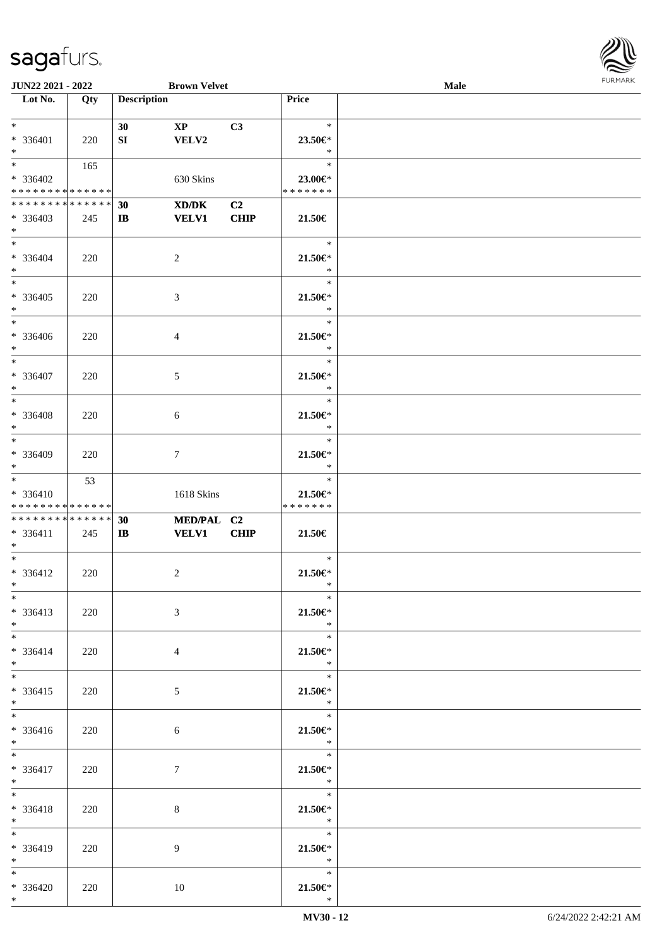

| <b>JUN22 2021 - 2022</b>      |     |                    | <b>Brown Velvet</b>    |                |                               | Male |  |
|-------------------------------|-----|--------------------|------------------------|----------------|-------------------------------|------|--|
| Lot No.                       | Qty | <b>Description</b> |                        |                | Price                         |      |  |
|                               |     |                    |                        |                |                               |      |  |
| $*$                           |     | 30                 | $\mathbf{X}\mathbf{P}$ | C3             | $\ast$                        |      |  |
| * 336401                      | 220 | SI                 | VELV2                  |                | 23.50€*                       |      |  |
| $*$                           |     |                    |                        |                | $\ast$                        |      |  |
|                               |     |                    |                        |                | $\ast$                        |      |  |
|                               | 165 |                    |                        |                |                               |      |  |
| * 336402                      |     |                    | 630 Skins              |                | 23.00€*                       |      |  |
| * * * * * * * * * * * * * *   |     |                    |                        |                | * * * * * * *                 |      |  |
| * * * * * * * * * * * * * * * |     | 30                 | XD/DK                  | C <sub>2</sub> |                               |      |  |
| * 336403                      | 245 | $\bf{IB}$          | <b>VELV1</b>           | <b>CHIP</b>    | 21.50€                        |      |  |
| $*$                           |     |                    |                        |                |                               |      |  |
| $*$                           |     |                    |                        |                | $\ast$                        |      |  |
| * 336404                      | 220 |                    | 2                      |                | 21.50€*                       |      |  |
| $*$                           |     |                    |                        |                | $\ast$                        |      |  |
| $*$                           |     |                    |                        |                | $\ast$                        |      |  |
| * 336405                      |     |                    |                        |                | $21.50 \in$                   |      |  |
|                               | 220 |                    | 3                      |                | $\ast$                        |      |  |
| $*$                           |     |                    |                        |                | $\ast$                        |      |  |
|                               |     |                    |                        |                |                               |      |  |
| * 336406                      | 220 |                    | 4                      |                | $21.50 \in$                   |      |  |
| $*$                           |     |                    |                        |                | $\ast$                        |      |  |
| $*$                           |     |                    |                        |                | $\ast$                        |      |  |
| * 336407                      | 220 |                    | 5                      |                | $21.50 \in$                   |      |  |
| $*$                           |     |                    |                        |                | $\ast$                        |      |  |
|                               |     |                    |                        |                | $\ast$                        |      |  |
| * 336408                      | 220 |                    | 6                      |                | 21.50€*                       |      |  |
| $*$                           |     |                    |                        |                | $\ast$                        |      |  |
| $*$                           |     |                    |                        |                | $\ast$                        |      |  |
| * 336409                      |     |                    |                        |                |                               |      |  |
| $*$                           | 220 |                    | $\tau$                 |                | 21.50€*<br>$\ast$             |      |  |
| $*$                           |     |                    |                        |                |                               |      |  |
|                               | 53  |                    |                        |                | $\ast$                        |      |  |
| * 336410                      |     |                    | 1618 Skins             |                | 21.50€*                       |      |  |
| * * * * * * * * * * * * * *   |     |                    |                        |                | * * * * * * *                 |      |  |
| * * * * * * * * * * * * * * * |     | 30                 | MED/PAL C2             |                |                               |      |  |
| * 336411                      | 245 | $\mathbf{I}$       | <b>VELV1</b>           | <b>CHIP</b>    | 21.50€                        |      |  |
| $*$                           |     |                    |                        |                |                               |      |  |
| $*$                           |     |                    |                        |                | $\ast$                        |      |  |
| * 336412                      | 220 |                    | 2                      |                | $21.50 \in$                   |      |  |
| $*$ $*$                       |     |                    |                        |                | $\ast$                        |      |  |
| $*$                           |     |                    |                        |                | $\ast$                        |      |  |
| $* 336413$                    | 220 |                    | 3                      |                | $21.50 \in$                   |      |  |
| $*$                           |     |                    |                        |                | $\ast$                        |      |  |
| $*$                           |     |                    |                        |                | $\ast$                        |      |  |
| $* 336414$                    | 220 |                    | 4                      |                | $21.50 \in$                   |      |  |
| $*$                           |     |                    |                        |                | $*$                           |      |  |
| $*$                           |     |                    |                        |                | $\ast$                        |      |  |
|                               |     |                    |                        |                |                               |      |  |
| $* 336415$                    | 220 |                    | 5                      |                | $21.50 \in$<br>$\mathbb{R}^n$ |      |  |
| $*$<br>$*$                    |     |                    |                        |                |                               |      |  |
|                               |     |                    |                        |                |                               |      |  |
| $* 336416$                    | 220 |                    | 6                      |                | $21.50 \in$                   |      |  |
| $*$ $*$                       |     |                    |                        |                | $\mathbb{R}$                  |      |  |
| $*$                           |     |                    |                        |                | $\ast$                        |      |  |
| $* 336417$                    | 220 |                    | $\tau$                 |                | $21.50 \in$                   |      |  |
| $*$ $*$                       |     |                    |                        |                | $\ast$                        |      |  |
| $*$                           |     |                    |                        |                | $\ast$                        |      |  |
| $* 336418$                    | 220 |                    | 8                      |                | $21.50 \in$                   |      |  |
| $*$ $*$                       |     |                    |                        |                | $\ast$                        |      |  |
| $*$                           |     |                    |                        |                | $\ast$                        |      |  |
| $* 336419$                    | 220 |                    | 9                      |                | $21.50 \in$                   |      |  |
| $*$                           |     |                    |                        |                | $\ast$                        |      |  |
| $*$                           |     |                    |                        |                | $\ast$                        |      |  |
| $* 336420$                    | 220 |                    | 10                     |                | $21.50 \in$                   |      |  |
| $*$                           |     |                    |                        |                | $\ast$                        |      |  |
|                               |     |                    |                        |                |                               |      |  |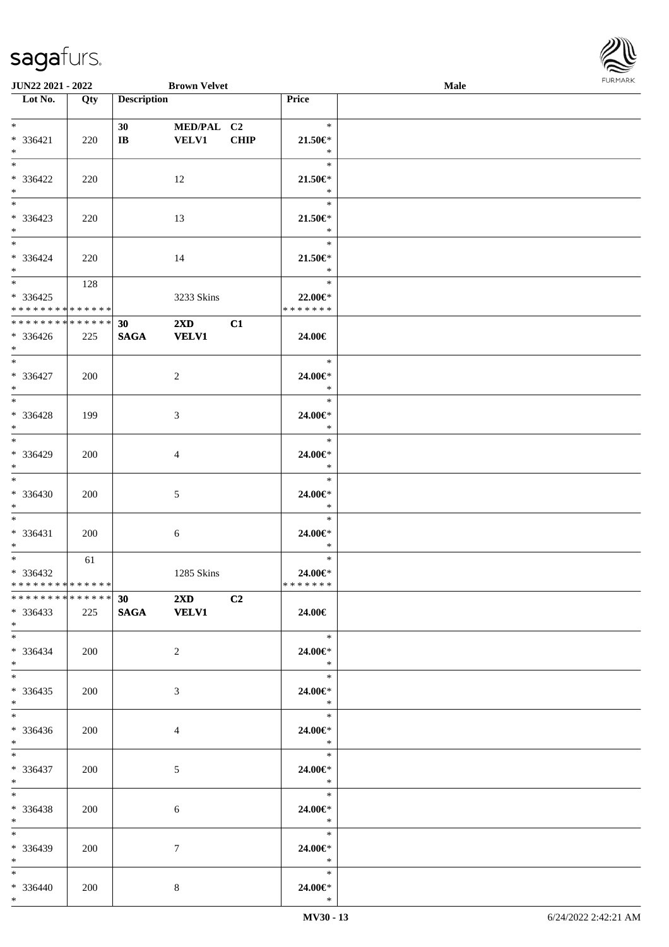

| <b>JUN22 2021 - 2022</b>      |     |                        | <b>Brown Velvet</b>     |                |                          | <b>Male</b> |  |
|-------------------------------|-----|------------------------|-------------------------|----------------|--------------------------|-------------|--|
| Lot No.                       | Qty | <b>Description</b>     |                         |                | <b>Price</b>             |             |  |
|                               |     |                        |                         |                |                          |             |  |
| $*$                           |     | 30 <sup>°</sup>        | MED/PAL C2              |                | $\ast$                   |             |  |
| * 336421                      | 220 | $\mathbf{I}\mathbf{B}$ | <b>VELV1</b>            | CHIP           | $21.50 \in$              |             |  |
| $*$                           |     |                        |                         |                | $\ast$                   |             |  |
| $*$                           |     |                        |                         |                | $\ast$                   |             |  |
|                               |     |                        |                         |                |                          |             |  |
| * 336422                      | 220 |                        | 12                      |                | $21.50 \in$              |             |  |
| $*$                           |     |                        |                         |                | $\ast$                   |             |  |
|                               |     |                        |                         |                | $\ast$                   |             |  |
| $* 336423$                    | 220 |                        | 13                      |                | $21.50 \in$              |             |  |
| $*$                           |     |                        |                         |                | $\ast$                   |             |  |
|                               |     |                        |                         |                | $\ast$                   |             |  |
| * 336424                      |     |                        |                         |                | $21.50 \in$              |             |  |
|                               | 220 |                        | 14                      |                | $\ast$                   |             |  |
| $*$                           |     |                        |                         |                |                          |             |  |
| $*$                           | 128 |                        |                         |                | $\ast$                   |             |  |
| $* 336425$                    |     |                        | 3233 Skins              |                | 22.00€*                  |             |  |
| * * * * * * * * * * * * * *   |     |                        |                         |                | * * * * * * *            |             |  |
| * * * * * * * * * * * * * * * |     | 30                     | $2\mathbf{X}\mathbf{D}$ | C1             |                          |             |  |
| $* 336426$                    | 225 | <b>SAGA</b>            | <b>VELV1</b>            |                | 24.00€                   |             |  |
| $*$                           |     |                        |                         |                |                          |             |  |
| $*$                           |     |                        |                         |                | $\ast$                   |             |  |
| * 336427                      |     |                        |                         |                |                          |             |  |
|                               | 200 |                        | 2                       |                | 24.00€*                  |             |  |
| $*$<br>$\overline{\ast}$      |     |                        |                         |                | $\ast$                   |             |  |
|                               |     |                        |                         |                | $\ast$                   |             |  |
| $* 336428$                    | 199 |                        | 3                       |                | 24.00€*                  |             |  |
| $*$                           |     |                        |                         |                | $\ast$                   |             |  |
|                               |     |                        |                         |                | $\ast$                   |             |  |
| * 336429                      | 200 |                        | $\overline{4}$          |                | 24.00€*                  |             |  |
| $*$                           |     |                        |                         |                | $\ast$                   |             |  |
| $*$                           |     |                        |                         |                | $\ast$                   |             |  |
|                               |     |                        |                         |                |                          |             |  |
| $* 336430$                    | 200 |                        | 5                       |                | $24.00 \in$ *            |             |  |
| $*$                           |     |                        |                         |                | $\ast$                   |             |  |
| $*$                           |     |                        |                         |                | $\ast$                   |             |  |
| $* 336431$                    | 200 |                        | 6                       |                | 24.00€*                  |             |  |
| $*$                           |     |                        |                         |                | $\ast$                   |             |  |
| $*$                           | 61  |                        |                         |                | $\ast$                   |             |  |
| * 336432                      |     |                        | 1285 Skins              |                | 24.00€*                  |             |  |
| * * * * * * * * * * * * * * * |     |                        |                         |                | *******                  |             |  |
| * * * * * * * * * * * * * * * |     |                        | 30 2XD                  | C <sub>2</sub> |                          |             |  |
| $* 336433$                    |     |                        |                         |                |                          |             |  |
|                               | 225 | SAGA VELV1             |                         |                | 24.00€                   |             |  |
| $*$                           |     |                        |                         |                |                          |             |  |
| $*$                           |     |                        |                         |                | $\overline{\phantom{1}}$ |             |  |
| $* 336434$                    | 200 |                        | 2                       |                | 24.00€*                  |             |  |
| $*$                           |     |                        |                         |                | $\ast$                   |             |  |
| $*$                           |     |                        |                         |                | $\ast$                   |             |  |
| $*336435$                     | 200 |                        | 3                       |                | 24.00€*                  |             |  |
| $*$                           |     |                        |                         |                | $\ast$                   |             |  |
| $*$                           |     |                        |                         |                | $^-$                     |             |  |
| $* 336436$                    |     |                        |                         |                |                          |             |  |
|                               | 200 |                        | $\overline{4}$          |                | 24.00€*<br>$\ast$        |             |  |
| $*$ $-$                       |     |                        |                         |                | $\equiv$                 |             |  |
| $*$                           |     |                        |                         |                | $\ast$                   |             |  |
| * 336437                      | 200 |                        | 5                       |                | 24.00€*                  |             |  |
| $*$ $*$                       |     |                        |                         |                | $\ast$                   |             |  |
| $*$                           |     |                        |                         |                | $\ast$                   |             |  |
| * 336438                      | 200 |                        | 6                       |                | 24.00€*                  |             |  |
| $*$ $*$                       |     |                        |                         |                | $\ast$                   |             |  |
| $*$                           |     |                        |                         |                | $\ast$                   |             |  |
|                               |     |                        |                         |                |                          |             |  |
| * 336439                      | 200 |                        | $\tau$                  |                | 24.00€*                  |             |  |
| $*$ $-$                       |     |                        |                         |                | $\ast$                   |             |  |
| $*$                           |     |                        |                         |                | $\ast$                   |             |  |
| $* 336440$                    | 200 |                        | 8                       |                | 24.00€*                  |             |  |
| $*$                           |     |                        |                         |                | $\ast$                   |             |  |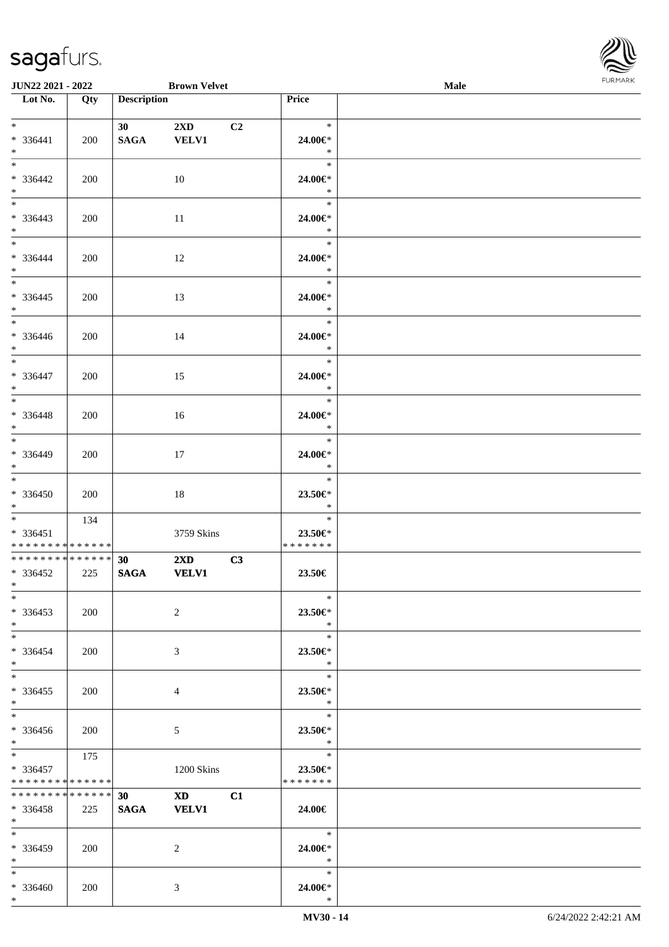\*



| <b>JUN22 2021 - 2022</b>                                                          |     |                                | <b>Brown Velvet</b>                     |    |                                    | <b>Male</b> |  |
|-----------------------------------------------------------------------------------|-----|--------------------------------|-----------------------------------------|----|------------------------------------|-------------|--|
| Lot No.                                                                           | Qty | <b>Description</b>             |                                         |    | Price                              |             |  |
| $*$ $*$<br>$* 336441$<br>$*$                                                      | 200 | 30<br><b>SAGA</b>              | $2\mathbf{X}\mathbf{D}$<br><b>VELV1</b> | C2 | $\ast$<br>24.00€*<br>$\ast$        |             |  |
| $\overline{\ast}$<br>* 336442<br>$*$                                              | 200 |                                | 10                                      |    | $\ast$<br>24.00€*<br>$\ast$        |             |  |
| $\overline{\mathbf{r}}$<br>* 336443<br>$\ddot{x}$                                 | 200 |                                | 11                                      |    | $\ast$<br>24.00€*<br>$\ast$        |             |  |
| $*$<br>$* 336444$<br>$*$                                                          | 200 |                                | 12                                      |    | $\ast$<br>24.00€*<br>$\ast$        |             |  |
| * 336445<br>$*$                                                                   | 200 |                                | 13                                      |    | $\ast$<br>24.00€*<br>$\ast$        |             |  |
| * 336446<br>$\ast$                                                                | 200 |                                | 14                                      |    | $\ast$<br>24.00€*<br>$\ast$        |             |  |
| $\ddot{x}$<br>$* 336447$<br>$*$                                                   | 200 |                                | 15                                      |    | $\ast$<br>24.00€*<br>$\ast$        |             |  |
| $\overline{\ast}$<br>$* 336448$<br>$*$                                            | 200 |                                | 16                                      |    | $\ast$<br>24.00€*<br>$\ast$        |             |  |
| $*$<br>* 336449<br>$\ddot{x}$                                                     | 200 |                                | 17                                      |    | $\ast$<br>24.00€*<br>$\ast$        |             |  |
| $\ast$<br>* 336450<br>$*$                                                         | 200 |                                | 18                                      |    | $\ast$<br>23.50€*<br>$\ast$        |             |  |
| $\ddot{x}$<br>$* 336451$<br>* * * * * * * * <mark>* * * * * * *</mark>            | 134 |                                | 3759 Skins                              |    | $\ast$<br>23.50€*<br>*******       |             |  |
| * * * * * * * * * * * * * * <mark>*</mark><br>$* 336452$<br>$*$ and $*$           | 225 | 30 <sup>°</sup><br><b>SAGA</b> | $2\mathbf{X}\mathbf{D}$<br><b>VELV1</b> | C3 | $23.50\in$                         |             |  |
| $\ast$<br>* 336453<br>$*$                                                         | 200 |                                | 2                                       |    | $\ast$<br>23.50€*<br>$*$           |             |  |
| $*$ $-$<br>* 336454<br>$\ddot{x}$                                                 | 200 |                                | 3                                       |    | $\ast$<br>23.50€*<br>$*$           |             |  |
| $*$ $-$<br>$* 336455$<br>$\ddot{x}$                                               | 200 |                                | $\overline{4}$                          |    | $\ast$<br>23.50€*<br>$\ast$        |             |  |
| $*$<br>$* 336456$<br>$*$                                                          | 200 |                                | $5\overline{)}$                         |    | $\ast$<br>23.50 $\in$ *<br>$\ast$  |             |  |
| $\overline{\mathbf{r}}$<br>$* 336457$<br>* * * * * * * * <mark>* * * * * *</mark> | 175 |                                | 1200 Skins                              |    | $\ast$<br>23.50€*<br>* * * * * * * |             |  |
| * * * * * * * * <mark>* * * * * * *</mark><br>* 336458<br>$*$ $-$                 | 225 | 30<br><b>SAGA</b>              | $\mathbf{X} \mathbf{D}$<br><b>VELV1</b> | C1 | 24.00€                             |             |  |
| $*$ $-$<br>* 336459<br>$*$                                                        | 200 |                                | 2                                       |    | $\ast$<br>24.00€*<br>$\ast$        |             |  |
| $\ddot{x}$<br>* 336460<br>$\ast$                                                  | 200 |                                | 3                                       |    | $\ast$<br>24.00€*<br>$\ast$        |             |  |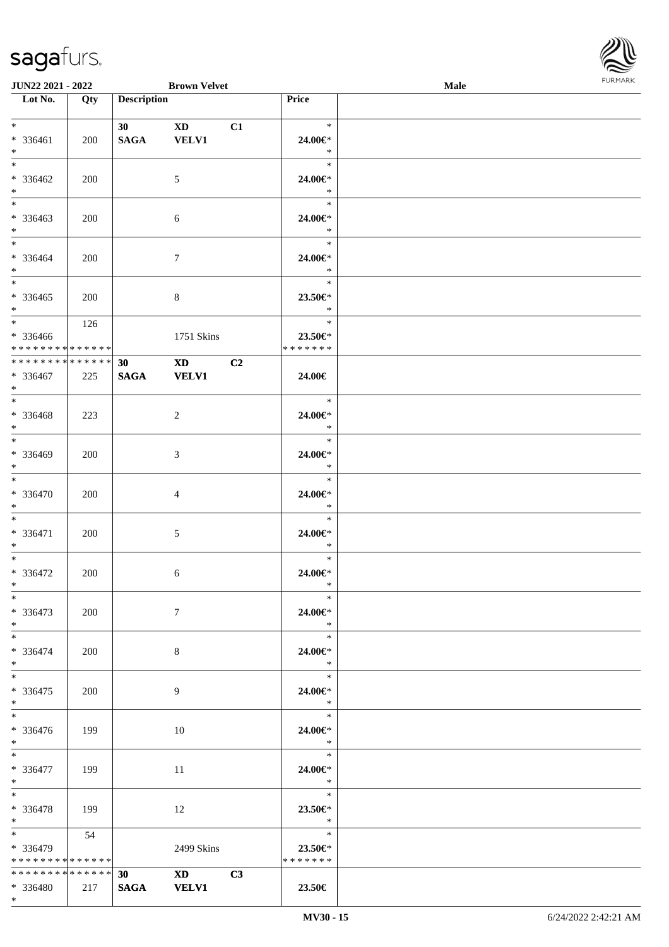\*



| <b>JUN22 2021 - 2022</b>                                      |     |                    | <b>Brown Velvet</b>                                                                                                                                                                                                                            |    |                                                 | Male | <b>FUNITANN</b> |
|---------------------------------------------------------------|-----|--------------------|------------------------------------------------------------------------------------------------------------------------------------------------------------------------------------------------------------------------------------------------|----|-------------------------------------------------|------|-----------------|
| Lot No.                                                       | Qty | <b>Description</b> |                                                                                                                                                                                                                                                |    | Price                                           |      |                 |
|                                                               |     |                    |                                                                                                                                                                                                                                                |    |                                                 |      |                 |
| $*$ $*$<br>* 336461<br>$*$                                    | 200 | 30<br><b>SAGA</b>  | $\mathbf{X}\mathbf{D}$<br><b>VELV1</b>                                                                                                                                                                                                         | C1 | $\ast$<br>24.00€*<br>$\ast$                     |      |                 |
| $*$<br>$* 336462$<br>$*$                                      | 200 |                    | 5                                                                                                                                                                                                                                              |    | $\ast$<br>24.00€*<br>$\ast$                     |      |                 |
| $*$<br>* 336463<br>$\ast$                                     | 200 |                    | 6                                                                                                                                                                                                                                              |    | $\ast$<br>24.00€*<br>$\ast$                     |      |                 |
| $\ddot{x}$<br>* 336464<br>$\ast$                              | 200 |                    | $\tau$                                                                                                                                                                                                                                         |    | $\ast$<br>24.00€*<br>$\ast$                     |      |                 |
| * 336465<br>$*$                                               | 200 |                    | 8                                                                                                                                                                                                                                              |    | $\ast$<br>23.50€*<br>$\ast$                     |      |                 |
| $*$<br>* 336466<br>* * * * * * * * <mark>* * * * * *</mark>   | 126 |                    | 1751 Skins                                                                                                                                                                                                                                     |    | $\ast$<br>23.50€*<br>* * * * * * *              |      |                 |
| * * * * * * * * <mark>* * * * * * *</mark><br>* 336467<br>$*$ | 225 | 30<br><b>SAGA</b>  | XD and the set of the set of the set of the set of the set of the set of the set of the set of the set of the set of the set of the set of the set of the set of the set of the set of the set of the set of the set of the se<br><b>VELV1</b> | C2 | 24.00€                                          |      |                 |
| * 336468<br>$*$                                               | 223 |                    | 2                                                                                                                                                                                                                                              |    | $\ast$<br>24.00€*<br>$\ast$                     |      |                 |
| * 336469<br>$\ast$                                            | 200 |                    | 3                                                                                                                                                                                                                                              |    | $\ast$<br>24.00€*<br>$\ast$                     |      |                 |
| $*$<br>* 336470<br>$\ast$                                     | 200 |                    | $\overline{4}$                                                                                                                                                                                                                                 |    | $\ast$<br>24.00€*<br>$\ast$                     |      |                 |
| $*$<br>* 336471<br>$*$                                        | 200 |                    | 5                                                                                                                                                                                                                                              |    | $\ast$<br>24.00€*<br>$\ast$                     |      |                 |
| $*$<br>$* 336472$<br>$\ast$                                   | 200 |                    | 6                                                                                                                                                                                                                                              |    | $\ast$<br>24.00€*<br>$*$                        |      |                 |
| $\ast$<br>$* 336473$<br>$*$                                   | 200 |                    | $\tau$                                                                                                                                                                                                                                         |    | $\ast$<br>24.00€*<br>$\ast$                     |      |                 |
| $\ddot{x}$<br>* 336474<br>$*$                                 | 200 |                    | 8                                                                                                                                                                                                                                              |    | $\ast$<br>24.00€*<br>$\ast$                     |      |                 |
| $*$ $-$<br>* 336475<br>$\ast$                                 | 200 |                    | 9                                                                                                                                                                                                                                              |    | $\ast$<br>24.00€*<br>$*$                        |      |                 |
| $\ddot{x}$<br>* 336476<br>$*$ $-$                             | 199 |                    | 10                                                                                                                                                                                                                                             |    | $\ast$<br>24.00€*<br>$\mathbb{R}^n$             |      |                 |
| $*$ $*$<br>* 336477<br>$\ast$                                 | 199 |                    | 11                                                                                                                                                                                                                                             |    | $\overline{\phantom{0}}$ *<br>24.00€*<br>$\ast$ |      |                 |
| $*$ $-$<br>* 336478<br>$*$ $-$                                | 199 |                    | 12                                                                                                                                                                                                                                             |    | $\ast$<br>23.50€*<br>$\ast$                     |      |                 |
| $* 336479$<br>* * * * * * * * <mark>* * * * * *</mark> *      | 54  |                    | 2499 Skins                                                                                                                                                                                                                                     |    | $\ast$<br>23.50€*<br>* * * * * * *              |      |                 |
| * * * * * * * * * * * * * * *<br>$* 336480$                   |     | 30                 | $XD$ $C3$<br>217   SAGA VELV1                                                                                                                                                                                                                  |    | 23.50€                                          |      |                 |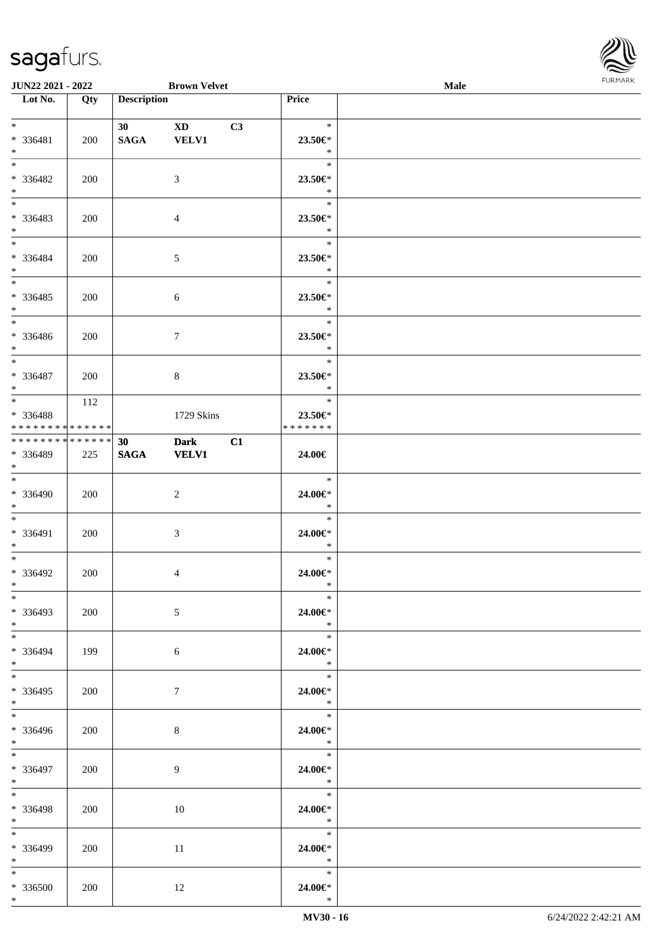

| <b>JUN22 2021 - 2022</b>                                                       |     |                    | <b>Brown Velvet</b>         |    |                                               | Male |  |
|--------------------------------------------------------------------------------|-----|--------------------|-----------------------------|----|-----------------------------------------------|------|--|
| Lot No.                                                                        | Qty | <b>Description</b> |                             |    | Price                                         |      |  |
| $*$<br>* 336481<br>$*$                                                         | 200 | 30<br><b>SAGA</b>  | XD 3<br><b>VELV1</b>        | C3 | $\ast$<br>23.50€*<br>$\ast$                   |      |  |
| $*$<br>* 336482<br>$*$                                                         | 200 |                    | 3                           |    | $\ast$<br>23.50€*<br>$\ast$                   |      |  |
| $*$<br>* 336483<br>$*$                                                         | 200 |                    | $\overline{4}$              |    | $\ast$<br>23.50€*<br>$\ast$                   |      |  |
| $\ddot{x}$<br>* 336484<br>$*$<br>$\overline{\ast}$                             | 200 |                    | $\mathfrak{S}$              |    | $\ast$<br>23.50€*<br>$\ast$                   |      |  |
| * 336485<br>$*$                                                                | 200 |                    | 6                           |    | $\ast$<br>23.50€*<br>$\ast$<br>$\ast$         |      |  |
| * 336486<br>$\ddot{x}$                                                         | 200 |                    | $\tau$                      |    | 23.50€*<br>$\ast$<br>$\ast$                   |      |  |
| * 336487<br>$*$<br>$\overline{\mathbf{r}}$                                     | 200 |                    | 8                           |    | 23.50€*<br>$\ast$<br>$\ast$                   |      |  |
| * 336488<br>* * * * * * * * <mark>* * * * * *</mark>                           | 112 |                    | 1729 Skins                  |    | 23.50€*<br>* * * * * * *                      |      |  |
| * * * * * * * * <mark>* * * * * * *</mark><br>* 336489<br>$\ddot{x}$<br>$\ast$ | 225 | 30<br><b>SAGA</b>  | <b>Dark</b><br><b>VELV1</b> | C1 | 24.00€                                        |      |  |
| * 336490<br>$*$<br>$\ast$                                                      | 200 |                    | 2                           |    | $\ast$<br>24.00€*<br>$\ast$<br>$\ast$         |      |  |
| * 336491<br>$*$<br>$*$                                                         | 200 |                    | $\mathfrak{Z}$              |    | 24.00€*<br>$\ast$<br>$\ast$                   |      |  |
| * 336492<br>$\ast$<br>$*$                                                      | 200 |                    | $\overline{4}$              |    | 24.00€*<br>$\ast$<br>$\ast$                   |      |  |
| * 336493<br>$*$<br>$*$                                                         | 200 |                    | 5                           |    | 24.00€*<br>$\ast$<br>$\ast$                   |      |  |
| * 336494<br>$\ast$<br>$\ast$                                                   | 199 |                    | 6                           |    | 24.00€*<br>$\ast$<br>$\ast$                   |      |  |
| * 336495<br>$\ast$<br>$\ddot{x}$                                               | 200 |                    | $7\phantom{.0}$             |    | 24.00€*<br>$\ast$<br>$\overline{\phantom{a}}$ |      |  |
| * 336496<br>$*$<br>$\overline{\mathbf{r}^*}$                                   | 200 |                    | 8                           |    | 24.00€*<br>$\mathbb{R}^2$<br>$\ast$           |      |  |
| * 336497<br>$*$ $-$<br>$*$                                                     | 200 |                    | 9                           |    | 24.00€*<br>$\ast$<br>$\ast$                   |      |  |
| * 336498<br>$*$ $-$<br>$*$                                                     | 200 |                    | 10                          |    | 24.00€*<br>$\ast$<br>$\ast$                   |      |  |
| * 336499<br>$*$ $-$<br>$*$                                                     | 200 |                    | 11                          |    | 24.00€*<br>$\rightarrow$<br>$\ast$            |      |  |
| * 336500<br>$\ast$                                                             | 200 |                    | 12                          |    | 24.00€*<br>$\ast$                             |      |  |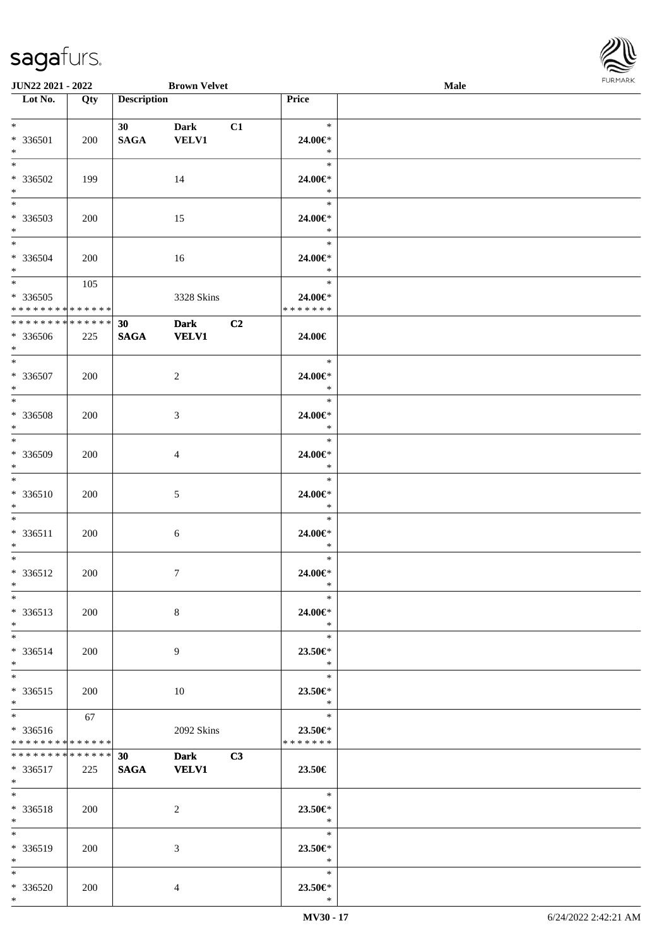\*

| $*$<br>$*$                      | * 336501                                                | 200        | 30<br>SAGA                     | <b>Dark</b><br><b>VELV1</b> | C1 | $\ast$<br>24.00€*<br>$\ast$        |  |
|---------------------------------|---------------------------------------------------------|------------|--------------------------------|-----------------------------|----|------------------------------------|--|
| $*$<br>$\ast$                   | * 336502                                                | 199        |                                | 14                          |    | $\ast$<br>24.00€*<br>$\ast$        |  |
| $\overline{\phantom{0}}$<br>$*$ | * 336503                                                | 200        |                                | 15                          |    | $\ast$<br>24.00€*<br>$\ast$        |  |
| $*$<br>$*$                      | * 336504                                                | 200        |                                | 16                          |    | $\ast$<br>24.00€*<br>$*$           |  |
| $*$                             | $*336505$<br>* * * * * * * * <mark>* * * * * * *</mark> | 105        |                                | 3328 Skins                  |    | $\ast$<br>24.00€*<br>*******       |  |
| $*$                             | ******** <mark>******</mark><br>* 336506                | 225        | 30 <sup>7</sup><br><b>SAGA</b> | Dark C2<br><b>VELV1</b>     |    | 24.00€                             |  |
| $*$<br>$*$                      | * 336507                                                | 200        |                                | $\overline{c}$              |    | $\ast$<br>24.00€*<br>$\ast$        |  |
| $\ast$<br>$*$                   | * 336508                                                | 200        |                                | $\mathfrak{Z}$              |    | $\ast$<br>24.00€*<br>$\ast$        |  |
| $\overline{\phantom{0}}$<br>$*$ | * 336509                                                | 200        |                                | $\overline{4}$              |    | $\ast$<br>24.00€*<br>$\ddot{x}$    |  |
| $*$<br>$*$                      | * 336510                                                | 200        |                                | $\mathfrak{S}$              |    | $\ast$<br>24.00€*<br>$\ast$        |  |
| $*$<br>$*$                      | * 336511                                                | 200        |                                | $6\,$                       |    | $\ast$<br>24.00€*<br>$\ast$        |  |
| $*$<br>$*$                      | * 336512                                                | 200        |                                | 7                           |    | $\ast$<br>24.00€*<br>$\ast$        |  |
| $*$<br>$\ast$                   | $*336513$                                               | 200        |                                | 8                           |    | $\ast$<br>24.00€*<br>$\ast$        |  |
| $*$<br>$*$                      | $* 336514$                                              | 200        |                                | 9                           |    | $\ast$<br>$23.50 \in$ *<br>$*$     |  |
| $*$<br>$*$                      | $* 336515$                                              | 200        |                                | $10\,$                      |    | $\ast$<br>$23.50 \in$ *<br>$\ast$  |  |
| $*$                             | * 336516<br>* * * * * * * * * * * * * *                 | 67         |                                | 2092 Skins                  |    | $\ast$<br>23.50€*<br>* * * * * * * |  |
|                                 | * * * * * * * * * * * * * * *<br>$* 336517$<br>$*$ $*$  | 225        | 30<br><b>SAGA</b>              | Dark C3<br><b>VELV1</b>     |    | 23.50€                             |  |
| $*$<br>$*$                      | * 336518                                                | 200        |                                | 2                           |    | $\ast$<br>23.50 $\in$ *<br>$\ast$  |  |
| $*$<br>$*$                      | * 336519                                                | <b>200</b> |                                | 3                           |    | $\ast$<br>23.50€*<br>$\ast$        |  |
| $*$                             | * 336520                                                | 200        |                                | 4                           |    | $\ast$<br>23.50€*                  |  |

 $\overline{\phantom{a}}$ 

**JUN22 2021 - 2022 Brown Velvet Male**

**Lot No. Qty Description Price**

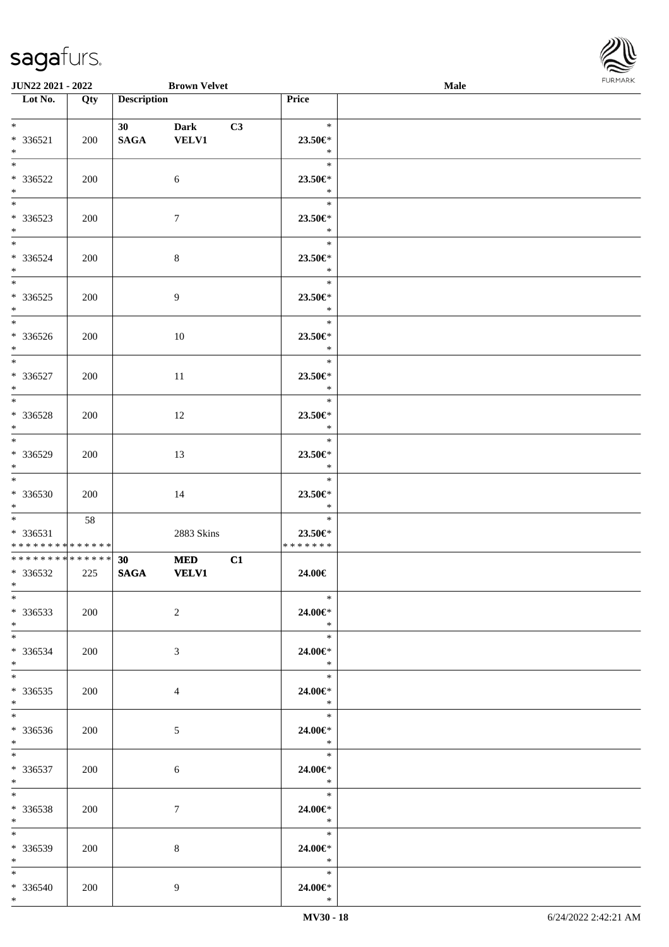

| <b>JUN22 2021 - 2022</b>                                          |     |                    | <b>Brown Velvet</b>         |    |                                                                | Male |  |
|-------------------------------------------------------------------|-----|--------------------|-----------------------------|----|----------------------------------------------------------------|------|--|
| Lot No.                                                           | Qty | <b>Description</b> |                             |    | <b>Price</b>                                                   |      |  |
| $*$<br>* 336521                                                   | 200 | 30<br><b>SAGA</b>  | <b>Dark</b><br><b>VELV1</b> | C3 | $\ast$<br>23.50€*                                              |      |  |
| $*$<br>$\overline{\ast}$<br>* 336522                              | 200 |                    | 6                           |    | $\ast$<br>$\ast$<br>23.50€*                                    |      |  |
| $*$<br>* 336523<br>$*$                                            | 200 |                    | $\tau$                      |    | $\ast$<br>$\ast$<br>23.50€*<br>$\ast$                          |      |  |
| $*$<br>* 336524<br>$*$                                            | 200 |                    | $\,8\,$                     |    | $\ast$<br>23.50€*<br>$\ast$                                    |      |  |
| * 336525<br>$*$                                                   | 200 |                    | 9                           |    | $\ast$<br>23.50€*<br>$\ast$                                    |      |  |
| * 336526<br>$*$                                                   | 200 |                    | 10                          |    | $\ast$<br>23.50€*<br>$\ast$                                    |      |  |
| $*$<br>$* 336527$<br>$*$                                          | 200 |                    | 11                          |    | $\ast$<br>$23.50 \in$ *<br>$\ast$                              |      |  |
| $\overline{\ast}$<br>* 336528<br>$*$                              | 200 |                    | 12                          |    | $\ast$<br>23.50€*<br>$\ast$                                    |      |  |
| * 336529<br>$*$                                                   | 200 |                    | 13                          |    | $\ast$<br>23.50€*<br>$\ast$                                    |      |  |
| $*$<br>* 336530<br>$*$                                            | 200 |                    | 14                          |    | $\ast$<br>23.50€*<br>$\ast$                                    |      |  |
| $\ddot{x}$<br>* 336531<br>* * * * * * * * * * * * * *             | 58  |                    | 2883 Skins                  |    | $\ast$<br>23.50€*<br>* * * * * * *                             |      |  |
| * * * * * * * * <mark>* * * * * * *</mark><br>* 336532<br>$*$ $*$ | 225 | 30<br><b>SAGA</b>  | <b>MED</b><br><b>VELV1</b>  | C1 | 24.00€                                                         |      |  |
| $*$<br>$*336533$<br>$*$                                           | 200 |                    | $\overline{2}$              |    | $\ast$<br>24.00€*<br>$\ast$                                    |      |  |
| $*$<br>$* 336534$<br>$*$                                          | 200 |                    | 3                           |    | $\ast$<br>24.00€*<br>$\ast$<br>$*$                             |      |  |
| $*$ $-$<br>* 336535<br>$*$                                        | 200 |                    | $\overline{4}$              |    | 24.00€*<br>$\mathbb{R}^2$                                      |      |  |
| $* 336536$<br>$*$<br>$*$ $*$                                      | 200 |                    | 5 <sup>5</sup>              |    | 24.00€*<br>$\ast$<br>$\begin{array}{c c}\n\hline\n\end{array}$ |      |  |
| * 336537<br>$*$ $-$<br>$*$ $-$                                    | 200 |                    | 6                           |    | 24.00€*<br>$\ast$<br>$\ast$                                    |      |  |
| * 336538<br>$*$ $-$<br>$*$                                        | 200 |                    | $\tau$                      |    | 24.00€*<br>$\ast$<br>$\ast$                                    |      |  |
| $* 336539$<br>$*$ $\qquad$<br>$*$                                 | 200 |                    | 8                           |    | 24.00€*<br>$\ast$<br>$\ast$                                    |      |  |
| * 336540<br>$*$                                                   | 200 |                    | 9                           |    | 24.00€*<br>$\ast$                                              |      |  |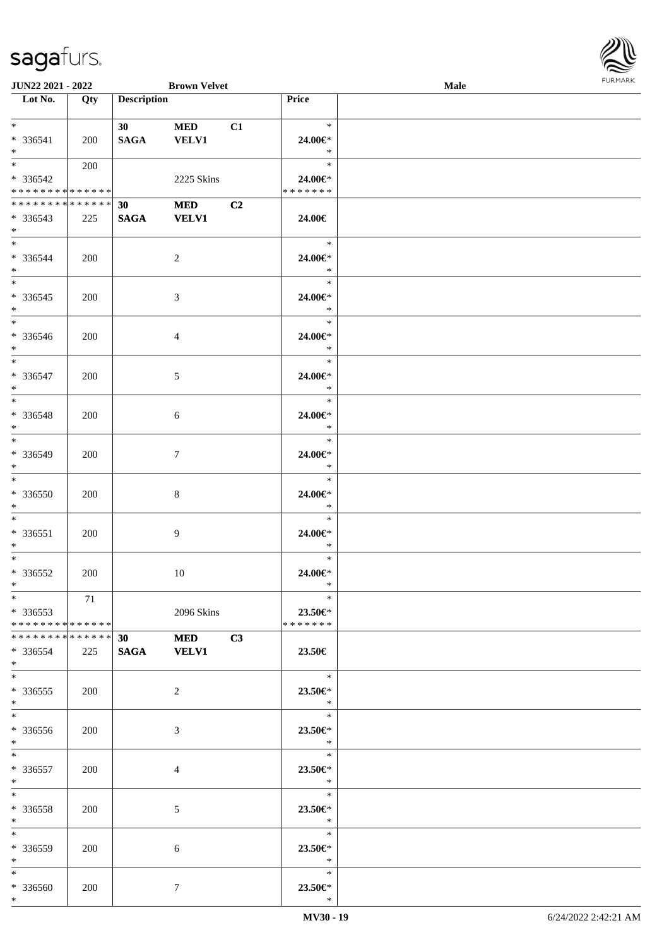

| <b>JUN22 2021 - 2022</b>      |     |                    | <b>Brown Velvet</b> |    |                         | <b>Male</b> |  |
|-------------------------------|-----|--------------------|---------------------|----|-------------------------|-------------|--|
| Lot No.                       | Qty | <b>Description</b> |                     |    | Price                   |             |  |
|                               |     |                    |                     |    |                         |             |  |
| $*$ $*$                       |     | 30                 | <b>MED</b>          | C1 | $\ast$                  |             |  |
| * 336541                      | 200 | <b>SAGA</b>        | <b>VELV1</b>        |    | 24.00€*                 |             |  |
| $*$                           |     |                    |                     |    | $\ast$                  |             |  |
| $*$                           | 200 |                    |                     |    | $\ast$                  |             |  |
| * 336542                      |     |                    | 2225 Skins          |    | 24.00€*                 |             |  |
| * * * * * * * * * * * * * * * |     |                    |                     |    | * * * * * * *           |             |  |
| * * * * * * * * * * * * * * * |     | 30                 | <b>MED</b>          | C2 |                         |             |  |
| * 336543                      | 225 | <b>SAGA</b>        | <b>VELV1</b>        |    | 24.00€                  |             |  |
| $*$                           |     |                    |                     |    |                         |             |  |
| $*$                           |     |                    |                     |    | $\ast$                  |             |  |
|                               |     |                    |                     |    |                         |             |  |
| * 336544                      | 200 |                    | $\overline{c}$      |    | 24.00€*                 |             |  |
| $*$<br>$\overline{\ast}$      |     |                    |                     |    | $\ast$                  |             |  |
|                               |     |                    |                     |    | $\ast$                  |             |  |
| $* 336545$                    | 200 |                    | 3                   |    | 24.00€*                 |             |  |
| $*$                           |     |                    |                     |    | $\ast$                  |             |  |
| $*$                           |     |                    |                     |    | $\ast$                  |             |  |
| * 336546                      | 200 |                    | 4                   |    | 24.00€*                 |             |  |
| $*$                           |     |                    |                     |    | $\ast$                  |             |  |
| $*$                           |     |                    |                     |    | $\ast$                  |             |  |
| * 336547                      | 200 |                    | 5                   |    | 24.00€*                 |             |  |
| $*$                           |     |                    |                     |    | $\ast$                  |             |  |
| $*$                           |     |                    |                     |    | $\ast$                  |             |  |
| $* 336548$                    | 200 |                    | 6                   |    | 24.00€*                 |             |  |
| $*$                           |     |                    |                     |    | $\ast$                  |             |  |
| $*$                           |     |                    |                     |    | $\ast$                  |             |  |
| * 336549                      | 200 |                    | $\tau$              |    | 24.00€*                 |             |  |
| $*$                           |     |                    |                     |    | $\ast$                  |             |  |
| $*$                           |     |                    |                     |    | $\ast$                  |             |  |
| $* 336550$                    | 200 |                    | 8                   |    | 24.00€*                 |             |  |
| $*$                           |     |                    |                     |    | $\ast$                  |             |  |
| $*$                           |     |                    |                     |    | $\ast$                  |             |  |
|                               |     |                    |                     |    |                         |             |  |
| $* 336551$                    | 200 |                    | 9                   |    | 24.00€*<br>$\ast$       |             |  |
| $*$                           |     |                    |                     |    |                         |             |  |
| $*$                           |     |                    |                     |    | $\ast$                  |             |  |
| $* 336552$                    | 200 |                    | $10\,$              |    | 24.00€*                 |             |  |
| $*$                           |     |                    |                     |    | $\ast$                  |             |  |
| $*$                           | 71  |                    |                     |    | $\ast$                  |             |  |
| $*336553$                     |     |                    | 2096 Skins          |    | 23.50€*                 |             |  |
| * * * * * * * * * * * * * * * |     |                    |                     |    | * * * * * * *           |             |  |
|                               |     |                    | <b>MED</b>          | C3 |                         |             |  |
| * 336554                      | 225 | SAGA VELV1         |                     |    | 23.50€                  |             |  |
| $*$                           |     |                    |                     |    |                         |             |  |
| $*$                           |     |                    |                     |    | $\ast$                  |             |  |
| $*336555$                     | 200 |                    | 2                   |    | 23.50€*                 |             |  |
| $*$                           |     |                    |                     |    | $\mathbb{R}^n$          |             |  |
| $*$                           |     |                    |                     |    | $\ast$                  |             |  |
| * 336556                      | 200 |                    | 3                   |    | 23.50€*                 |             |  |
| $*$ $-$                       |     |                    |                     |    | $\ddot{x}$              |             |  |
| $*$                           |     |                    |                     |    | $\ast$                  |             |  |
| * 336557                      | 200 |                    | 4                   |    | 23.50€*                 |             |  |
| $*$ $-$                       |     |                    |                     |    | $\ddot{x}$              |             |  |
| $*$                           |     |                    |                     |    | $\ast$                  |             |  |
| * 336558                      | 200 |                    | 5                   |    | 23.50€*                 |             |  |
| $*$                           |     |                    |                     |    | $\ast$                  |             |  |
| $*$                           |     |                    |                     |    | $\ast$                  |             |  |
|                               |     |                    |                     |    |                         |             |  |
| * 336559<br>$*$ $*$           | 200 |                    | 6                   |    | $23.50 \in$ *<br>$\ast$ |             |  |
|                               |     |                    |                     |    | $\ast$                  |             |  |
| $*$                           |     |                    |                     |    |                         |             |  |
| * 336560                      | 200 |                    | $\tau$              |    | 23.50€*                 |             |  |
| $*$                           |     |                    |                     |    | $\ast$                  |             |  |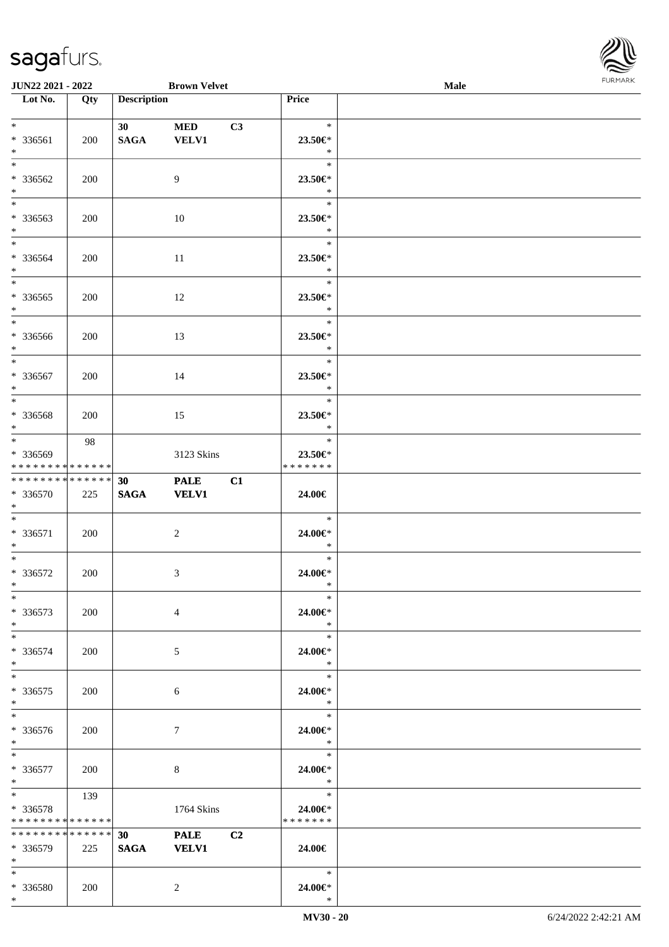\*



| <b>JUN22 2021 - 2022</b>                                       |     |                                | <b>Brown Velvet</b>         |    |                                                                                                                                            | Male |  |
|----------------------------------------------------------------|-----|--------------------------------|-----------------------------|----|--------------------------------------------------------------------------------------------------------------------------------------------|------|--|
| Lot No.                                                        | Qty | <b>Description</b>             |                             |    | <b>Price</b>                                                                                                                               |      |  |
| $*$<br>* 336561<br>$*$                                         | 200 | 30 <sup>°</sup><br><b>SAGA</b> | <b>MED</b><br><b>VELV1</b>  | C3 | $\ast$<br>23.50€*<br>$\ast$                                                                                                                |      |  |
| $\overline{\ast}$<br>* 336562<br>$*$                           | 200 |                                | 9                           |    | $\ast$<br>23.50€*<br>$\ast$                                                                                                                |      |  |
| * 336563<br>$*$                                                | 200 |                                | 10                          |    | $\ast$<br>23.50€*<br>$\ast$                                                                                                                |      |  |
| $*$<br>* 336564<br>$*$                                         | 200 |                                | 11                          |    | $\ast$<br>23.50€*<br>$\ast$                                                                                                                |      |  |
| * 336565<br>$*$                                                | 200 |                                | 12                          |    | $\ast$<br>23.50€*<br>$\ast$                                                                                                                |      |  |
| $\overline{\ast}$<br>* 336566<br>$*$                           | 200 |                                | 13                          |    | $\ast$<br>23.50€*<br>$\ast$                                                                                                                |      |  |
| $*$<br>* 336567<br>$*$                                         | 200 |                                | 14                          |    | $\ast$<br>$23.50 \in$ *<br>$\ast$                                                                                                          |      |  |
| * 336568<br>$*$                                                | 200 |                                | 15                          |    | $\ast$<br>23.50€*<br>$\ast$                                                                                                                |      |  |
| * 336569<br>* * * * * * * * <mark>* * * * * * *</mark>         | 98  |                                | 3123 Skins                  |    | $\ast$<br>23.50€*<br>* * * * * * *                                                                                                         |      |  |
| * * * * * * * * * * * * * *<br>* 336570<br>$*$                 | 225 | 30<br><b>SAGA</b>              | <b>PALE</b><br><b>VELV1</b> | C1 | 24.00€                                                                                                                                     |      |  |
| $*$<br>* 336571<br>$*$                                         | 200 |                                | $\overline{c}$              |    | $\ast$<br>24.00€*<br>$\ast$                                                                                                                |      |  |
| $*$ $-$<br>* 336572<br>$*$                                     | 200 |                                | 3                           |    | $\ast$<br>24.00€*<br>$\ast$                                                                                                                |      |  |
| $*$<br>* 336573<br>$*$                                         | 200 |                                | $\overline{4}$              |    | $\ast$<br>24.00€*<br>$\ast$                                                                                                                |      |  |
| $*$<br>* 336574<br>$\ast$                                      | 200 |                                | 5                           |    | $\ast$<br>24.00€*<br>$\ast$                                                                                                                |      |  |
| $*$<br>* 336575<br>$*$                                         | 200 |                                | 6                           |    | $\ast$<br>24.00€*<br>$\ast$                                                                                                                |      |  |
| * 336576<br>$*$                                                | 200 |                                | $\tau$                      |    | $\ast$<br>24.00€*<br>$\mathbb{R}^2$                                                                                                        |      |  |
| $*$ $*$<br>* 336577<br>$*$ $-$                                 | 200 |                                | 8                           |    | $\frac{1}{\sqrt{2\pi}}\int_{0}^{\pi}\frac{1}{\sqrt{2\pi}}\left( \frac{1}{\sqrt{2\pi}}\right) ^{2}d\mu d\nu$<br>$\ast$<br>24.00€*<br>$\ast$ |      |  |
| $\ast$<br>* 336578<br>* * * * * * * * <mark>* * * * * *</mark> | 139 |                                | 1764 Skins                  |    | $\ast$<br>24.00€*<br>* * * * * * *                                                                                                         |      |  |
| ******** <mark>******</mark><br>$*336579$<br>$\ast$            | 225 | 30<br><b>SAGA</b>              | <b>PALE</b><br><b>VELV1</b> | C2 | 24.00€                                                                                                                                     |      |  |
| $*$<br>* 336580                                                | 200 |                                | 2                           |    | $\ast$<br>24.00€*                                                                                                                          |      |  |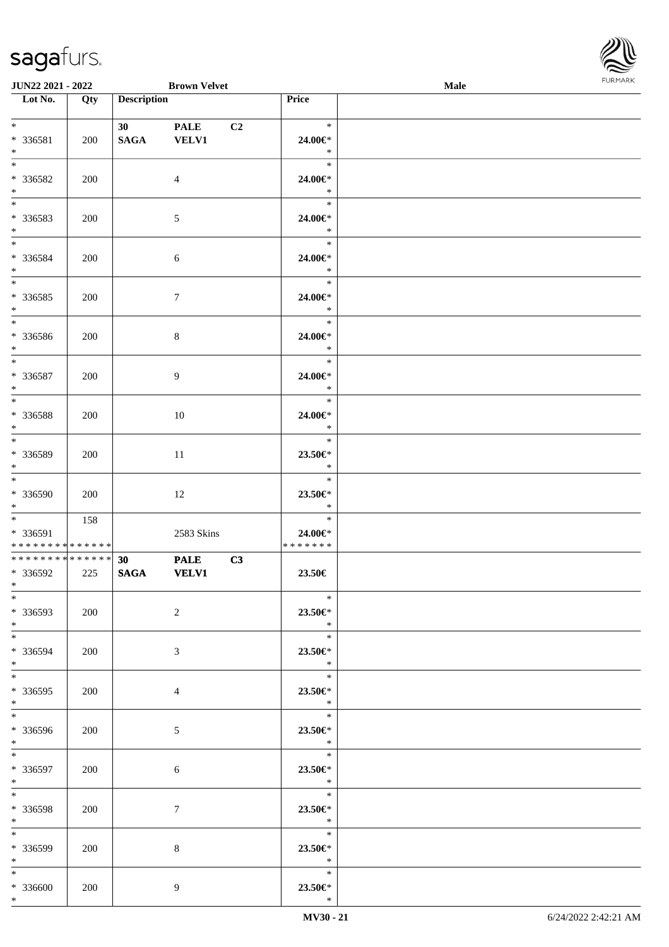

| <b>JUN22 2021 - 2022</b>                              |     |                    | <b>Brown Velvet</b>         |                |                                                       | Male |  |
|-------------------------------------------------------|-----|--------------------|-----------------------------|----------------|-------------------------------------------------------|------|--|
| Lot No.                                               | Qty | <b>Description</b> |                             |                | Price                                                 |      |  |
| $*$<br>* 336581<br>$*$                                | 200 | 30<br><b>SAGA</b>  | <b>PALE</b><br><b>VELV1</b> | C <sub>2</sub> | $\ast$<br>24.00€*<br>$\ast$                           |      |  |
| * 336582<br>$*$                                       | 200 |                    | $\overline{4}$              |                | $\ast$<br>24.00€*<br>$\ast$                           |      |  |
| $\overline{\phantom{0}}$<br>* 336583<br>$*$           | 200 |                    | 5                           |                | $\ast$<br>24.00€*<br>$\ast$                           |      |  |
| $*$<br>* 336584<br>$*$                                | 200 |                    | 6                           |                | $\ast$<br>24.00€*<br>$\ast$                           |      |  |
| * 336585<br>$*$                                       | 200 |                    | $7\phantom{.0}$             |                | $\ast$<br>24.00€*<br>$\ast$                           |      |  |
| $\overline{\ast}$<br>* 336586<br>$*$                  | 200 |                    | $8\,$                       |                | $\ast$<br>24.00€*<br>$\ast$                           |      |  |
| $*$<br>* 336587<br>$*$                                | 200 |                    | 9                           |                | $\ast$<br>24.00€*<br>$\ast$                           |      |  |
| * 336588<br>$*$                                       | 200 |                    | 10                          |                | $\ast$<br>24.00€*<br>$\ast$                           |      |  |
| $\overline{\ast}$<br>* 336589<br>$*$                  | 200 |                    | 11                          |                | $\ast$<br>23.50€*<br>$\ast$                           |      |  |
| $*$<br>* 336590<br>$*$                                | 200 |                    | 12                          |                | $\ast$<br>23.50€*<br>$\ast$                           |      |  |
| $\ddot{x}$<br>* 336591<br>* * * * * * * * * * * * * * | 158 |                    | 2583 Skins                  |                | $\ast$<br>24.00€*<br>*******                          |      |  |
| * * * * * * * * * * * * * *<br>* 336592<br>$*$ $-$    | 225 | 30<br><b>SAGA</b>  | <b>PALE</b><br><b>VELV1</b> | C3             | 23.50€                                                |      |  |
| $*$<br>* 336593<br>$*$                                | 200 |                    | $\overline{2}$              |                | $\ast$<br>23.50€*<br>$\ast$                           |      |  |
| $*$<br>* 336594<br>$*$                                | 200 |                    | 3                           |                | $\ast$<br>23.50€*<br>$\ast$<br>$\ast$                 |      |  |
| $*$ $-$<br>* 336595<br>$*$                            | 200 |                    | $\overline{4}$              |                | 23.50€*<br>$\mathbb{R}^2$<br>$\overline{\phantom{0}}$ |      |  |
| * 336596<br>$*$                                       | 200 |                    | $5\overline{)}$             |                | 23.50€*<br>$\ast$<br>$\overline{\qquad \qquad *}$     |      |  |
| $*$<br>* 336597<br>$*$ $-$                            | 200 |                    | $\sqrt{6}$                  |                | 23.50€*<br>$\ast$                                     |      |  |
| $*$ $-$<br>* 336598<br>$*$                            | 200 |                    | $\tau$                      |                | $\ast$<br>23.50€*<br>$\ast$                           |      |  |
| $*$<br>* 336599<br>$*$ $-$                            | 200 |                    | 8                           |                | $\ast$<br>23.50€*<br>$\ast$                           |      |  |
| $*$<br>* 336600<br>$*$                                | 200 |                    | 9                           |                | $\ast$<br>23.50€*<br>$\ast$                           |      |  |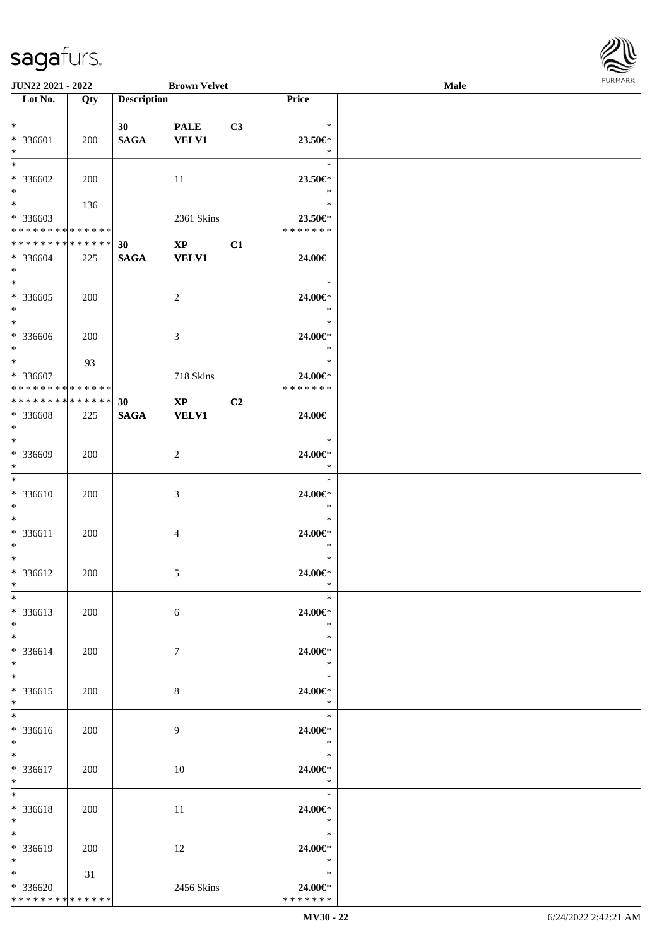| JUN22 2021 - 2022                                                |     |                                | <b>Brown Velvet</b>                    |                |                                        | Male | <b>FURMA</b> |
|------------------------------------------------------------------|-----|--------------------------------|----------------------------------------|----------------|----------------------------------------|------|--------------|
| Lot No.                                                          | Qty | <b>Description</b>             |                                        |                | Price                                  |      |              |
| $\ast$<br>* 336601<br>$\ast$                                     | 200 | 30 <sub>1</sub><br><b>SAGA</b> | <b>PALE</b><br><b>VELV1</b>            | C3             | $\ast$<br>23.50€*<br>$\ast$            |      |              |
| $\overline{\phantom{1}}$<br>* 336602<br>$\ast$                   | 200 |                                | $11\,$                                 |                | $\ast$<br>23.50€*<br>$\ast$            |      |              |
| $\ast$<br>$*336603$<br>**************                            | 136 |                                | 2361 Skins                             |                | $\ast$<br>23.50€*<br>* * * * * * *     |      |              |
| **************<br>* 336604<br>$*$                                | 225 | 30<br><b>SAGA</b>              | $\mathbf{X}\mathbf{P}$<br><b>VELV1</b> | C1             | 24.00€                                 |      |              |
| $\ast$<br>* 336605<br>$\ast$                                     | 200 |                                | $\sqrt{2}$                             |                | $\ast$<br>24.00€*<br>$\ast$            |      |              |
| $*$<br>* 336606<br>$\ast$<br>$_{\ast}^{-}$                       | 200 |                                | $\mathfrak{Z}$                         |                | $\ast$<br>24.00€*<br>$\ast$            |      |              |
| * 336607<br>* * * * * * * * * * * * * *                          | 93  |                                | 718 Skins                              |                | $\ast$<br>24.00€*<br>* * * * * * *     |      |              |
| **************<br>* 336608<br>$\ast$<br>$\overline{\phantom{0}}$ | 225 | 30<br>$\mathbf{SAGA}$          | $\mathbf{X}\mathbf{P}$<br><b>VELV1</b> | C <sub>2</sub> | 24.00€                                 |      |              |
| * 336609<br>$\ast$<br>$\overline{\phantom{a}^*}$                 | 200 |                                | $\overline{2}$                         |                | $\ast$<br>24.00€*<br>$\ast$            |      |              |
| * 336610<br>$\ast$                                               | 200 |                                | $\mathfrak{Z}$                         |                | $\ast$<br>24.00€*<br>$\ast$            |      |              |
| $\ast$<br>$* 336611$<br>$\ast$                                   | 200 |                                | $\overline{4}$                         |                | $\ast$<br>24.00€*<br>$\ast$            |      |              |
| $\ast$<br>* 336612<br>$*$<br>$\overline{\phantom{0}}$            | 200 |                                | 5                                      |                | $\ast$<br>24.00 $\in$ *<br>$\ast$      |      |              |
| $* 336613$<br>$*$                                                | 200 |                                | $6\,$                                  |                | 24.00€*<br>$*$                         |      |              |
| $\ast$<br>* 336614<br>$\ast$                                     | 200 |                                | $7\phantom{.0}$                        |                | $\ast$<br>$24.00 \in$<br>$*$           |      |              |
| $\ast$<br>$* 336615$<br>$\ast$<br>$\overline{\ast}$              | 200 |                                | $8\,$                                  |                | $\ddot{x}$<br>24.00€*<br>$\rightarrow$ |      |              |
| * 336616<br>$*$                                                  | 200 |                                | 9                                      |                | $\ast$<br>24.00€*<br>$\ast$            |      |              |
| $\ast$<br>* 336617<br>$\ast$                                     | 200 |                                | 10                                     |                | $\ast$<br>24.00€*<br>$\ast$            |      |              |
| $*$<br>* 336618<br>$\ast$                                        | 200 |                                | 11                                     |                | $*$<br>24.00€*<br>$\rightarrow$        |      |              |
| $\ast$<br>* 336619<br>$*$                                        | 200 |                                | 12                                     |                | $\ast$<br>24.00€*<br>$\ast$            |      |              |
| $\ast$<br>$* 336620$<br>**************                           | 31  |                                | 2456 Skins                             |                | $\ast$<br>$24.00 \in$<br>* * * * * * * |      |              |

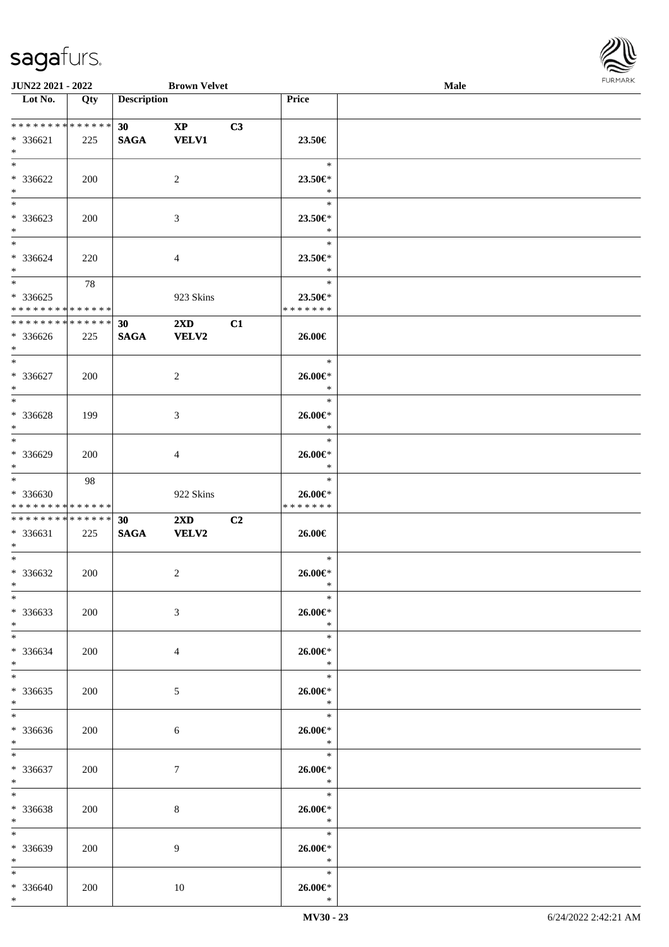

| JUN22 2021 - 2022                |     |                    | <b>Brown Velvet</b>     |    |                       | Male | <b>I ORI IMPORT</b> |
|----------------------------------|-----|--------------------|-------------------------|----|-----------------------|------|---------------------|
| $\overline{\phantom{1}}$ Lot No. | Qty | <b>Description</b> |                         |    | Price                 |      |                     |
|                                  |     |                    |                         |    |                       |      |                     |
| ******** <mark>******</mark>     |     | 30                 | $\mathbf{X}\mathbf{P}$  | C3 |                       |      |                     |
| * 336621<br>$*$                  | 225 | $\mathbf{SAGA}$    | <b>VELV1</b>            |    | 23.50€                |      |                     |
| $\overline{\ast}$                |     |                    |                         |    | $\ast$                |      |                     |
|                                  |     |                    |                         |    |                       |      |                     |
| $* 336622$<br>$*$                | 200 |                    | 2                       |    | 23.50€*<br>$\ast$     |      |                     |
| $*$                              |     |                    |                         |    | $\ast$                |      |                     |
| * 336623                         | 200 |                    | 3                       |    | 23.50€*               |      |                     |
| $\ast$                           |     |                    |                         |    | $\ast$                |      |                     |
|                                  |     |                    |                         |    | $\ast$                |      |                     |
| * 336624                         | 220 |                    | 4                       |    | 23.50€*               |      |                     |
| $*$                              |     |                    |                         |    | $\ast$                |      |                     |
|                                  | 78  |                    |                         |    | $\ast$                |      |                     |
| * 336625                         |     |                    | 923 Skins               |    | 23.50€*               |      |                     |
| * * * * * * * * * * * * * *      |     |                    |                         |    | * * * * * * *         |      |                     |
| * * * * * * * * * * * * * *      |     | 30                 | $2\mathbf{X}\mathbf{D}$ | C1 |                       |      |                     |
| * 336626                         | 225 | <b>SAGA</b>        | <b>VELV2</b>            |    | 26.00€                |      |                     |
| $*$                              |     |                    |                         |    |                       |      |                     |
| $*$                              |     |                    |                         |    | $\ast$                |      |                     |
| * 336627                         | 200 |                    | 2                       |    | 26.00€*               |      |                     |
| $*$                              |     |                    |                         |    | $\ast$                |      |                     |
| $\overline{\ast}$                |     |                    |                         |    | $\ast$                |      |                     |
| $* 336628$                       | 199 |                    | 3                       |    | 26.00€*               |      |                     |
| $*$<br>$*$                       |     |                    |                         |    | $\ast$<br>$\ast$      |      |                     |
|                                  |     |                    |                         |    |                       |      |                     |
| * 336629<br>$\ast$               | 200 |                    | 4                       |    | 26.00€*<br>$\ast$     |      |                     |
| $*$                              | 98  |                    |                         |    | $\ast$                |      |                     |
| * 336630                         |     |                    | 922 Skins               |    | $26.00 \in$           |      |                     |
| * * * * * * * * * * * * * *      |     |                    |                         |    | * * * * * * *         |      |                     |
| * * * * * * * * * * * * * * *    |     | 30                 | $2\mathbf{X}\mathbf{D}$ | C2 |                       |      |                     |
| * 336631                         | 225 | $\mathbf{SAGA}$    | <b>VELV2</b>            |    | 26.00€                |      |                     |
| $*$                              |     |                    |                         |    |                       |      |                     |
| $*$                              |     |                    |                         |    | $\ast$                |      |                     |
| $* 336632$                       | 200 |                    | $\overline{c}$          |    | $26.00 \in$           |      |                     |
| $*$                              |     |                    |                         |    | $\ast$                |      |                     |
| $*$                              |     |                    |                         |    | $\ast$                |      |                     |
| * 336633<br>$\ast$               | 200 |                    | 3                       |    | $26.00 \in$<br>$\ast$ |      |                     |
| $*$                              |     |                    |                         |    | $\ast$                |      |                     |
| * 336634                         | 200 |                    | 4                       |    | 26.00€*               |      |                     |
| $*$                              |     |                    |                         |    | $\ast$                |      |                     |
| $*$                              |     |                    |                         |    | $\ast$                |      |                     |
| $*336635$                        | 200 |                    | 5                       |    | 26.00€*               |      |                     |
| $*$                              |     |                    |                         |    | $\ast$                |      |                     |
| $*$                              |     |                    |                         |    | $\ast$                |      |                     |
| * 336636                         | 200 |                    | 6                       |    | 26.00€*               |      |                     |
| $*$                              |     |                    |                         |    | $\ast$                |      |                     |
| $*$                              |     |                    |                         |    | $\ast$                |      |                     |
| * 336637                         | 200 |                    | 7                       |    | $26.00 \in$<br>$\ast$ |      |                     |
| $*$<br>$*$                       |     |                    |                         |    | $\ast$                |      |                     |
| * 336638                         | 200 |                    | 8                       |    | 26.00€*               |      |                     |
| $*$                              |     |                    |                         |    | $\ast$                |      |                     |
| $*$                              |     |                    |                         |    | $\ast$                |      |                     |
| * 336639                         | 200 |                    | 9                       |    | 26.00€*               |      |                     |
| $*$                              |     |                    |                         |    | $\ddot{x}$            |      |                     |
| $*$                              |     |                    |                         |    | $\ast$                |      |                     |
| * 336640                         | 200 |                    | 10                      |    | 26.00€*               |      |                     |
| $*$                              |     |                    |                         |    | $\ast$                |      |                     |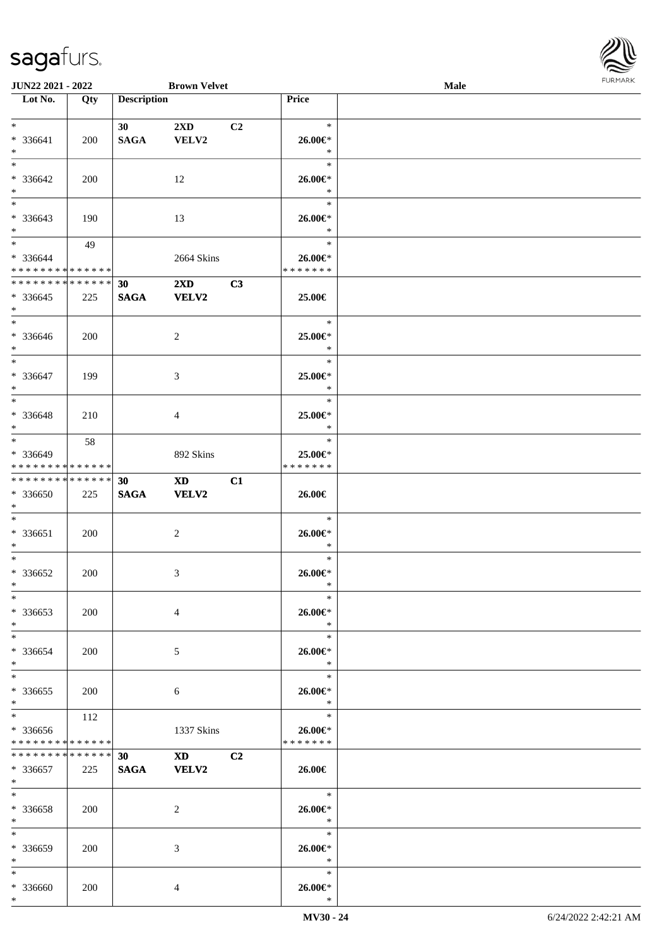

| <b>JUN22 2021 - 2022</b>         |     |                    | <b>Brown Velvet</b>                                                                                                                                                                                                            |                |                   | <b>Male</b> |  |
|----------------------------------|-----|--------------------|--------------------------------------------------------------------------------------------------------------------------------------------------------------------------------------------------------------------------------|----------------|-------------------|-------------|--|
| $\overline{\phantom{a}}$ Lot No. | Qty | <b>Description</b> |                                                                                                                                                                                                                                |                | Price             |             |  |
|                                  |     |                    |                                                                                                                                                                                                                                |                |                   |             |  |
| $*$                              |     | 30 <sup>°</sup>    | $2\mathbf{X}\mathbf{D}$                                                                                                                                                                                                        | C <sub>2</sub> | $\ast$            |             |  |
| * 336641                         | 200 | <b>SAGA</b>        | VELV2                                                                                                                                                                                                                          |                | 26.00€*           |             |  |
| $*$                              |     |                    |                                                                                                                                                                                                                                |                | $\ast$            |             |  |
| $*$                              |     |                    |                                                                                                                                                                                                                                |                | $\ast$            |             |  |
|                                  |     |                    |                                                                                                                                                                                                                                |                |                   |             |  |
| * 336642                         | 200 |                    | 12                                                                                                                                                                                                                             |                | 26.00€*           |             |  |
| $*$                              |     |                    |                                                                                                                                                                                                                                |                | $\ast$            |             |  |
| $\overline{\phantom{0}}$         |     |                    |                                                                                                                                                                                                                                |                | $\ast$            |             |  |
| * 336643                         | 190 |                    | 13                                                                                                                                                                                                                             |                | 26.00€*           |             |  |
| $*$                              |     |                    |                                                                                                                                                                                                                                |                | $\ast$            |             |  |
| $*$                              | 49  |                    |                                                                                                                                                                                                                                |                | $\ast$            |             |  |
| * 336644                         |     |                    | 2664 Skins                                                                                                                                                                                                                     |                | 26.00€*           |             |  |
| * * * * * * * * * * * * * *      |     |                    |                                                                                                                                                                                                                                |                | * * * * * * *     |             |  |
| * * * * * * * * * * * * * *      |     | 30                 | $2\mathbf{X}\mathbf{D}$                                                                                                                                                                                                        | C3             |                   |             |  |
| * 336645                         | 225 | <b>SAGA</b>        | <b>VELV2</b>                                                                                                                                                                                                                   |                | 25.00€            |             |  |
| $*$                              |     |                    |                                                                                                                                                                                                                                |                |                   |             |  |
| $*$                              |     |                    |                                                                                                                                                                                                                                |                | $\ast$            |             |  |
| * 336646                         | 200 |                    | 2                                                                                                                                                                                                                              |                | 25.00€*           |             |  |
| $*$                              |     |                    |                                                                                                                                                                                                                                |                | $\ast$            |             |  |
| $*$                              |     |                    |                                                                                                                                                                                                                                |                | $\ast$            |             |  |
|                                  |     |                    |                                                                                                                                                                                                                                |                |                   |             |  |
| * 336647                         | 199 |                    | 3                                                                                                                                                                                                                              |                | 25.00€*           |             |  |
| $*$                              |     |                    |                                                                                                                                                                                                                                |                | $\ast$            |             |  |
| $*$                              |     |                    |                                                                                                                                                                                                                                |                | $\ast$            |             |  |
| * 336648                         | 210 |                    | 4                                                                                                                                                                                                                              |                | 25.00€*           |             |  |
| $*$                              |     |                    |                                                                                                                                                                                                                                |                | $\ast$            |             |  |
| $*$                              | 58  |                    |                                                                                                                                                                                                                                |                | $\ast$            |             |  |
| * 336649                         |     |                    | 892 Skins                                                                                                                                                                                                                      |                | 25.00€*           |             |  |
| * * * * * * * * * * * * * *      |     |                    |                                                                                                                                                                                                                                |                | * * * * * * *     |             |  |
| * * * * * * * * * * * * * * *    |     | 30                 | XD and the set of the set of the set of the set of the set of the set of the set of the set of the set of the set of the set of the set of the set of the set of the set of the set of the set of the set of the set of the se | C1             |                   |             |  |
| * 336650                         | 225 | $\mathbf{SAGA}$    | VELV2                                                                                                                                                                                                                          |                | 26.00€            |             |  |
| $*$                              |     |                    |                                                                                                                                                                                                                                |                |                   |             |  |
| $*$                              |     |                    |                                                                                                                                                                                                                                |                | $\ast$            |             |  |
| $* 336651$                       | 200 |                    | $\overline{c}$                                                                                                                                                                                                                 |                | 26.00€*           |             |  |
| $*$                              |     |                    |                                                                                                                                                                                                                                |                | $\ast$            |             |  |
| $*$                              |     |                    |                                                                                                                                                                                                                                |                | $\ast$            |             |  |
| $* 336652$                       | 200 |                    | 3                                                                                                                                                                                                                              |                | 26.00€*           |             |  |
| $*$                              |     |                    |                                                                                                                                                                                                                                |                | $\ast$            |             |  |
| $\ast$                           |     |                    |                                                                                                                                                                                                                                |                | $\ast$            |             |  |
| $* 336653$                       | 200 |                    | $\overline{4}$                                                                                                                                                                                                                 |                | 26.00€*           |             |  |
| $*$                              |     |                    |                                                                                                                                                                                                                                |                | $\ast$            |             |  |
| $*$                              |     |                    |                                                                                                                                                                                                                                |                | $\ast$            |             |  |
|                                  |     |                    |                                                                                                                                                                                                                                |                |                   |             |  |
| * 336654                         | 200 |                    | 5                                                                                                                                                                                                                              |                | 26.00€*           |             |  |
| $*$                              |     |                    |                                                                                                                                                                                                                                |                | $\ast$            |             |  |
| $*$                              |     |                    |                                                                                                                                                                                                                                |                | $\ast$            |             |  |
| * 336655                         | 200 |                    | 6                                                                                                                                                                                                                              |                | 26.00€*           |             |  |
| $*$                              |     |                    |                                                                                                                                                                                                                                |                | $\ast$            |             |  |
| $*$                              | 112 |                    |                                                                                                                                                                                                                                |                | $\ast$            |             |  |
| * 336656                         |     |                    | 1337 Skins                                                                                                                                                                                                                     |                | 26.00€*           |             |  |
| * * * * * * * * * * * * * *      |     |                    |                                                                                                                                                                                                                                |                | * * * * * * *     |             |  |
| * * * * * * * * * * * * * * *    |     | 30 <sup>°</sup>    | XD and the set of the set of the set of the set of the set of the set of the set of the set of the set of the set of the set of the set of the set of the set of the set of the set of the set of the set of the set of the se | C2             |                   |             |  |
| * 336657                         | 225 | <b>SAGA</b>        | <b>VELV2</b>                                                                                                                                                                                                                   |                | 26.00€            |             |  |
| $*$                              |     |                    |                                                                                                                                                                                                                                |                |                   |             |  |
| $*$                              |     |                    |                                                                                                                                                                                                                                |                | $\ast$            |             |  |
| * 336658                         | 200 |                    | 2                                                                                                                                                                                                                              |                | 26.00€*           |             |  |
| $*$                              |     |                    |                                                                                                                                                                                                                                |                | $\ast$            |             |  |
| $*$                              |     |                    |                                                                                                                                                                                                                                |                | $\ast$            |             |  |
| * 336659                         | 200 |                    | 3                                                                                                                                                                                                                              |                | 26.00€*           |             |  |
| $*$                              |     |                    |                                                                                                                                                                                                                                |                | $\ast$            |             |  |
| $*$                              |     |                    |                                                                                                                                                                                                                                |                | $\ast$            |             |  |
| * 336660                         |     |                    |                                                                                                                                                                                                                                |                |                   |             |  |
| $*$                              | 200 |                    | 4                                                                                                                                                                                                                              |                | 26.00€*<br>$\ast$ |             |  |
|                                  |     |                    |                                                                                                                                                                                                                                |                |                   |             |  |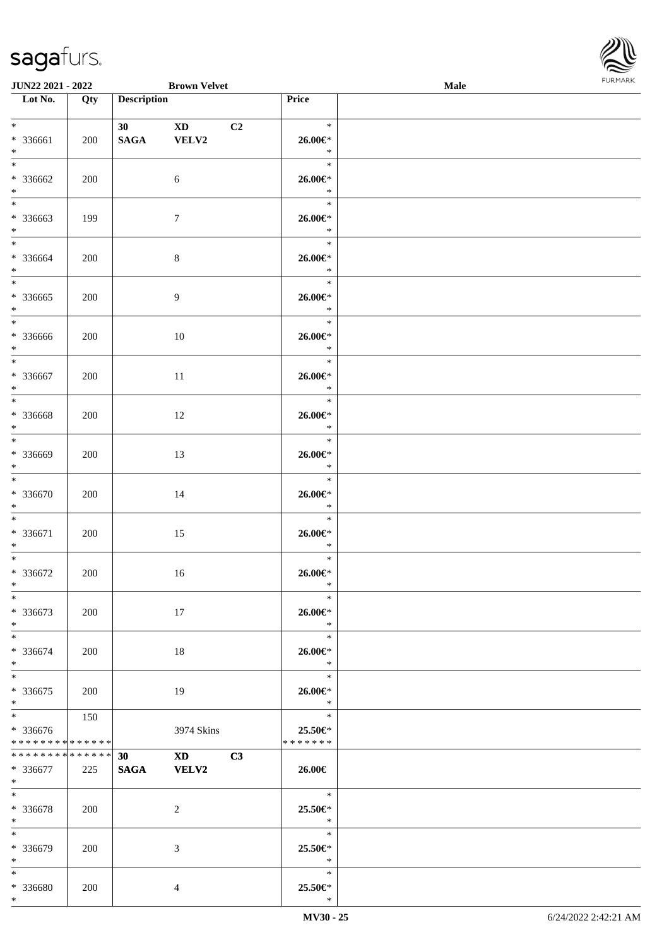

| <b>JUN22 2021 - 2022</b>                                      |     |                    | <b>Brown Velvet</b>             |                |                                               | <b>Male</b> |  |
|---------------------------------------------------------------|-----|--------------------|---------------------------------|----------------|-----------------------------------------------|-------------|--|
| Lot No.                                                       | Qty | <b>Description</b> |                                 |                | Price                                         |             |  |
| $*$<br>* 336661<br>$*$                                        | 200 | 30<br><b>SAGA</b>  | $\mathbf{X}\mathbf{D}$<br>VELV2 | C <sub>2</sub> | $\ast$<br>26.00€*<br>$\ast$                   |             |  |
| $*$<br>* 336662<br>$*$                                        | 200 |                    | 6                               |                | $\ast$<br>26.00€*<br>$\ast$                   |             |  |
| $\overline{\phantom{0}}$<br>* 336663<br>$*$                   | 199 |                    | $\tau$                          |                | $\ast$<br>26.00€*<br>$\ast$                   |             |  |
| $*$<br>* 336664<br>$*$                                        | 200 |                    | $\,8\,$                         |                | $\ast$<br>26.00€*<br>$\ast$                   |             |  |
| $\overline{\ast}$<br>* 336665<br>$*$                          | 200 |                    | $\overline{9}$                  |                | $\ast$<br>26.00€*<br>$\ast$                   |             |  |
| $*$<br>* 336666<br>$*$                                        | 200 |                    | 10                              |                | $\ast$<br>26.00€*<br>$\ast$                   |             |  |
| $\ddot{x}$<br>* 336667<br>$*$                                 | 200 |                    | 11                              |                | $\ast$<br>26.00€*<br>$\ast$                   |             |  |
| $*$<br>* 336668<br>$\ast$                                     | 200 |                    | 12                              |                | $\ast$<br>26.00€*<br>$\ast$                   |             |  |
| $*$<br>* 336669<br>$\ast$                                     | 200 |                    | 13                              |                | $\ast$<br>26.00€*<br>$\ast$                   |             |  |
| $*$<br>* 336670<br>$*$                                        | 200 |                    | 14                              |                | $\ast$<br>$26.00 \in$ *<br>$\ast$             |             |  |
| $*$<br>* 336671<br>$*$                                        | 200 |                    | 15                              |                | $\ast$<br>26.00€*<br>$\ast$                   |             |  |
| $\ast$<br>* 336672<br>$*$                                     | 200 |                    | 16                              |                | $\ast$<br>$26.00 \in$<br>$\ast$               |             |  |
| $\ast$<br>* 336673<br>$*$                                     | 200 |                    | 17                              |                | $\ast$<br>26.00€*<br>$*$                      |             |  |
| $*$ $-$<br>* 336674<br>$\ast$                                 | 200 |                    | 18                              |                | $\ast$<br>26.00€*<br>$\ast$                   |             |  |
| $\ddot{x}$<br>* 336675<br>$\ast$                              | 200 |                    | 19                              |                | $\ast$<br>26.00€*<br>$\ast$                   |             |  |
| $*$<br>* 336676<br>* * * * * * * * <mark>* * * * * *</mark> * | 150 |                    | 3974 Skins                      |                | $\ast$<br>25.50€*<br>* * * * * * *            |             |  |
| * * * * * * * * * * * * * * *<br>* 336677<br>$*$ $-$          | 225 | 30<br>SAGA VELV2   | XD <sub>2</sub>                 | C3             | 26.00€                                        |             |  |
| $*$ and $*$<br>* 336678<br>$*$                                | 200 |                    | 2                               |                | $\overline{\phantom{a}}$<br>25.50€*<br>$\ast$ |             |  |
| $\ast$<br>* 336679<br>$*$                                     | 200 |                    | 3                               |                | $\ast$<br>25.50€*<br>$\ast$                   |             |  |
| $*$<br>* 336680<br>$\ast$                                     | 200 |                    | $\overline{4}$                  |                | $\ast$<br>25.50€*<br>$\ast$                   |             |  |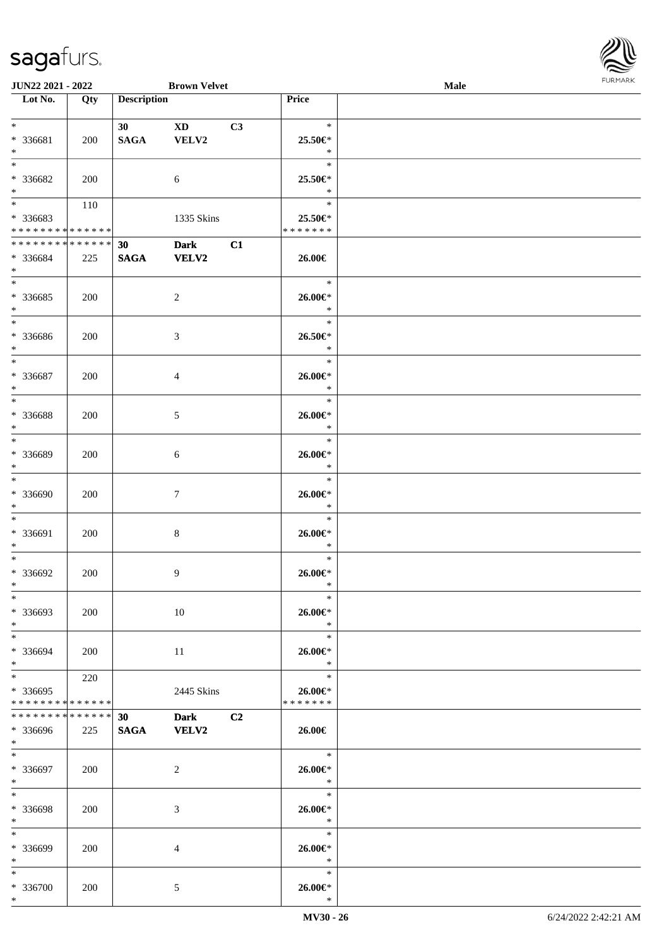

| <b>JUN22 2021 - 2022</b>                   |             |                    | <b>Brown Velvet</b> |    |                          | Male |  |
|--------------------------------------------|-------------|--------------------|---------------------|----|--------------------------|------|--|
| Lot No.                                    | Qty         | <b>Description</b> |                     |    | Price                    |      |  |
|                                            |             |                    |                     |    |                          |      |  |
| $*$                                        |             | 30                 | XD 1                | C3 | $\ast$                   |      |  |
| * 336681                                   | 200         | <b>SAGA</b>        | VELV2               |    | 25.50€*                  |      |  |
| $*$                                        |             |                    |                     |    | $\ast$                   |      |  |
| $*$                                        |             |                    |                     |    | $\ast$                   |      |  |
|                                            |             |                    |                     |    |                          |      |  |
| * 336682                                   | 200         |                    | 6                   |    | 25.50€*                  |      |  |
| $*$                                        |             |                    |                     |    | $\ast$                   |      |  |
|                                            | 110         |                    |                     |    | $\ast$                   |      |  |
| * 336683                                   |             |                    | 1335 Skins          |    | 25.50€*                  |      |  |
| * * * * * * * * <mark>* * * * * * *</mark> |             |                    |                     |    | * * * * * * *            |      |  |
| ******** <mark>******</mark>               |             | 30                 | <b>Dark</b>         | C1 |                          |      |  |
| * 336684                                   | 225         | <b>SAGA</b>        | <b>VELV2</b>        |    | 26.00€                   |      |  |
| $*$                                        |             |                    |                     |    |                          |      |  |
| $*$                                        |             |                    |                     |    | $\ast$                   |      |  |
|                                            |             |                    |                     |    |                          |      |  |
| * 336685                                   | 200         |                    | $\overline{2}$      |    | $26.00 \in$              |      |  |
| $*$                                        |             |                    |                     |    | $\ast$                   |      |  |
|                                            |             |                    |                     |    | $\ast$                   |      |  |
| * 336686                                   | 200         |                    | 3                   |    | 26.50€*                  |      |  |
| $*$                                        |             |                    |                     |    | $\ast$                   |      |  |
| $*$                                        |             |                    |                     |    | $\ast$                   |      |  |
| $* 336687$                                 |             |                    | $\overline{4}$      |    | 26.00€*                  |      |  |
| $*$                                        | 200         |                    |                     |    | $\ast$                   |      |  |
|                                            |             |                    |                     |    |                          |      |  |
|                                            |             |                    |                     |    | $\ast$                   |      |  |
| * 336688                                   | 200         |                    | 5                   |    | $26.00 \in$              |      |  |
| $*$                                        |             |                    |                     |    | $\ast$                   |      |  |
| $*$                                        |             |                    |                     |    | $\ast$                   |      |  |
| * 336689                                   | 200         |                    | 6                   |    | $26.00 \in$              |      |  |
| $*$                                        |             |                    |                     |    | $\ast$                   |      |  |
| $*$                                        |             |                    |                     |    | $\ast$                   |      |  |
| * 336690                                   |             |                    |                     |    |                          |      |  |
|                                            | 200         |                    | $\boldsymbol{7}$    |    | 26.00€*                  |      |  |
| $*$                                        |             |                    |                     |    | $\ast$                   |      |  |
| $*$                                        |             |                    |                     |    | $\ast$                   |      |  |
| * 336691                                   | 200         |                    | $8\,$               |    | $26.00 \in$ *            |      |  |
| $*$                                        |             |                    |                     |    | $\ast$                   |      |  |
| $*$                                        |             |                    |                     |    | $\ast$                   |      |  |
| * 336692                                   | 200         |                    | 9                   |    | $26.00 \in$ *            |      |  |
| $*$                                        |             |                    |                     |    | $\ast$                   |      |  |
| $*$                                        |             |                    |                     |    | $\ast$                   |      |  |
|                                            |             |                    |                     |    |                          |      |  |
| * 336693                                   | 200         |                    | 10                  |    | $26.00 \in$              |      |  |
| $*$                                        |             |                    |                     |    | $*$                      |      |  |
| $*$                                        |             |                    |                     |    | $\ast$                   |      |  |
| * 336694                                   | 200         |                    | 11                  |    | 26.00€*                  |      |  |
| $*$                                        |             |                    |                     |    | $\ast$                   |      |  |
| $*$ $-$                                    | 220         |                    |                     |    | $\ast$                   |      |  |
| * 336695                                   |             |                    | 2445 Skins          |    | $26.00 \in$              |      |  |
| * * * * * * * * * * * * * *                |             |                    |                     |    | * * * * * * *            |      |  |
| * * * * * * * *                            | * * * * * * | 30                 |                     | C2 |                          |      |  |
|                                            |             |                    | <b>Dark</b>         |    |                          |      |  |
| * 336696                                   | 225         | <b>SAGA</b>        | <b>VELV2</b>        |    | 26.00€                   |      |  |
| $*$ $*$                                    |             |                    |                     |    |                          |      |  |
| $*$ $*$                                    |             |                    |                     |    | $\overline{\phantom{0}}$ |      |  |
| * 336697                                   | 200         |                    | 2                   |    | $26.00 \in$              |      |  |
| $*$                                        |             |                    |                     |    | $\ast$                   |      |  |
| $*$                                        |             |                    |                     |    | $\ast$                   |      |  |
| * 336698                                   | 200         |                    | 3                   |    | $26.00 \in$              |      |  |
| $*$                                        |             |                    |                     |    | $\ast$                   |      |  |
| $*$                                        |             |                    |                     |    | $\ast$                   |      |  |
|                                            |             |                    |                     |    |                          |      |  |
| * 336699                                   | 200         |                    | $\overline{4}$      |    | 26.00€*                  |      |  |
| $*$                                        |             |                    |                     |    | $\ast$                   |      |  |
| $*$                                        |             |                    |                     |    | $\ast$                   |      |  |
| * 336700                                   | 200         |                    | $\mathfrak{S}$      |    | $26.00 \in$              |      |  |
| $*$                                        |             |                    |                     |    | $\ast$                   |      |  |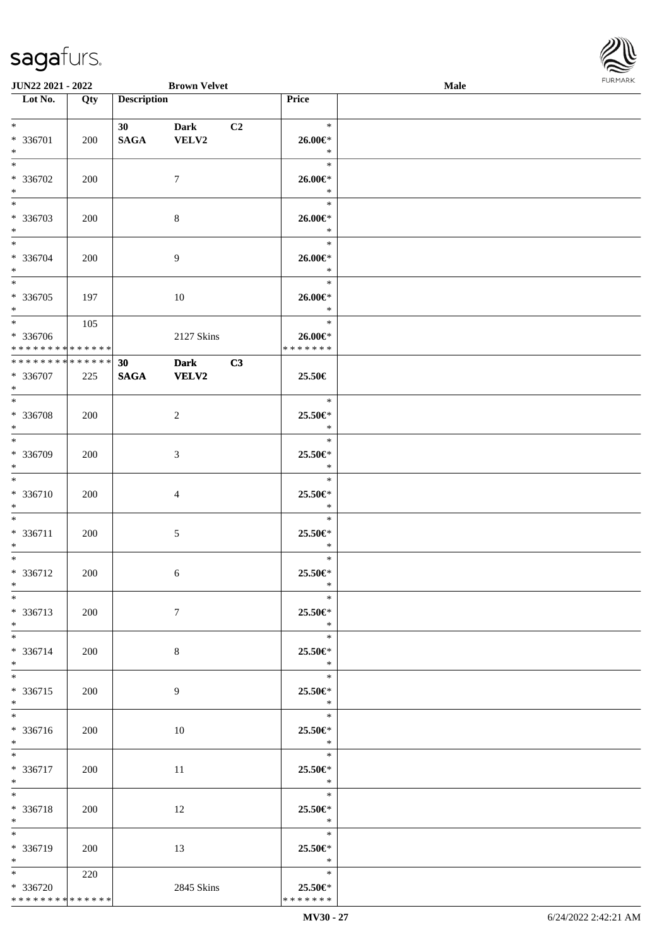

| JUN22 2021 - 2022             |     |                    | <b>Brown Velvet</b> |    |                    | Male |  |
|-------------------------------|-----|--------------------|---------------------|----|--------------------|------|--|
| Lot No.                       | Qty | <b>Description</b> |                     |    | Price              |      |  |
|                               |     |                    |                     |    |                    |      |  |
| $*$                           |     | 30                 | <b>Dark</b>         | C2 | $\ast$             |      |  |
| * 336701                      | 200 | <b>SAGA</b>        | VELV2               |    | $26.00 \in$ *      |      |  |
| $\ast$                        |     |                    |                     |    | $\ast$             |      |  |
| $\overline{\ast}$             |     |                    |                     |    | $\ast$             |      |  |
| * 336702                      | 200 |                    | $\tau$              |    | 26.00€*            |      |  |
| $\ast$                        |     |                    |                     |    | $\ast$             |      |  |
| $\overline{\phantom{a}^*}$    |     |                    |                     |    | $\ast$             |      |  |
| * 336703                      | 200 |                    | $\,8\,$             |    | $26.00 \in$ *      |      |  |
| $\ast$                        |     |                    |                     |    | $\ast$             |      |  |
| $\ast$                        |     |                    |                     |    | $\ast$             |      |  |
| * 336704                      | 200 |                    | $\overline{9}$      |    | $26.00 \text{E}^*$ |      |  |
| $\ast$                        |     |                    |                     |    | $\ast$             |      |  |
| $\overline{\phantom{0}}$      |     |                    |                     |    | $\ast$             |      |  |
| * 336705                      | 197 |                    | 10                  |    | 26.00€*            |      |  |
| $\ast$                        |     |                    |                     |    | $\ast$             |      |  |
| $\overline{\ast}$             | 105 |                    |                     |    | $\ast$             |      |  |
| * 336706                      |     |                    | 2127 Skins          |    | 26.00€*            |      |  |
| * * * * * * * * * * * * * * * |     |                    |                     |    | * * * * * * *      |      |  |
| **************                |     | 30                 | <b>Dark</b>         | C3 |                    |      |  |
| $* 336707$                    | 225 | <b>SAGA</b>        | <b>VELV2</b>        |    | 25.50€             |      |  |
| $\ast$                        |     |                    |                     |    |                    |      |  |
| $*$                           |     |                    |                     |    | $\ast$             |      |  |
| * 336708                      | 200 |                    | $\overline{c}$      |    | 25.50€*            |      |  |
| $\ast$                        |     |                    |                     |    | $\ast$             |      |  |
| $\overline{\ast}$             |     |                    |                     |    | $\ast$             |      |  |
| * 336709                      | 200 |                    | 3                   |    | 25.50€*            |      |  |
| $\ast$                        |     |                    |                     |    | $\ast$             |      |  |
| $\ast$                        |     |                    |                     |    | $\ast$             |      |  |
| * 336710                      | 200 |                    | $\overline{4}$      |    | 25.50€*            |      |  |
| $\ast$                        |     |                    |                     |    | $\ast$             |      |  |
| $\ast$                        |     |                    |                     |    | $\ast$             |      |  |
| * 336711                      | 200 |                    | $\sqrt{5}$          |    | 25.50€*            |      |  |
| $\ast$                        |     |                    |                     |    | $\ast$             |      |  |
| $\ast$                        |     |                    |                     |    | $\ast$             |      |  |
| * 336712                      | 200 |                    | 6                   |    | 25.50€*            |      |  |
| $*$                           |     |                    |                     |    | $\ast$             |      |  |
| $*$                           |     |                    |                     |    | $\ast$             |      |  |
| * 336713                      | 200 |                    | $\tau$              |    | 25.50€*            |      |  |
| $*$                           |     |                    |                     |    | $\ast$             |      |  |
| $*$                           |     |                    |                     |    | $\ast$             |      |  |
| * 336714                      | 200 |                    | $8\,$               |    | 25.50€*            |      |  |
| $*$                           |     |                    |                     |    | $\ast$             |      |  |
| $*$                           |     |                    |                     |    | $\ast$             |      |  |
| * 336715                      | 200 |                    | 9                   |    | 25.50€*            |      |  |
| $*$                           |     |                    |                     |    | $\ddot{x}$         |      |  |
| $\overline{\phantom{0}}$      |     |                    |                     |    | $\ast$             |      |  |
| * 336716                      | 200 |                    | 10                  |    | 25.50€*            |      |  |
| $*$ $*$                       |     |                    |                     |    | $\ast$             |      |  |
| $*$                           |     |                    |                     |    | $\ast$             |      |  |
| * 336717                      | 200 |                    | 11                  |    | 25.50€*            |      |  |
| $*$ $*$                       |     |                    |                     |    | $\ast$             |      |  |
| $*$                           |     |                    |                     |    | $\ast$             |      |  |
| * 336718                      | 200 |                    | 12                  |    | 25.50€*            |      |  |
| $*$ $*$                       |     |                    |                     |    | $\ast$             |      |  |
| $*$                           |     |                    |                     |    | $\ast$             |      |  |
| * 336719                      | 200 |                    | 13                  |    | 25.50€*            |      |  |
| $*$ $*$                       |     |                    |                     |    | $\ast$             |      |  |
| $*$ $*$                       | 220 |                    |                     |    | $\ast$             |      |  |
| * 336720                      |     |                    | 2845 Skins          |    | 25.50€*            |      |  |
| * * * * * * * * * * * * * * * |     |                    |                     |    | * * * * * * *      |      |  |
|                               |     |                    |                     |    |                    |      |  |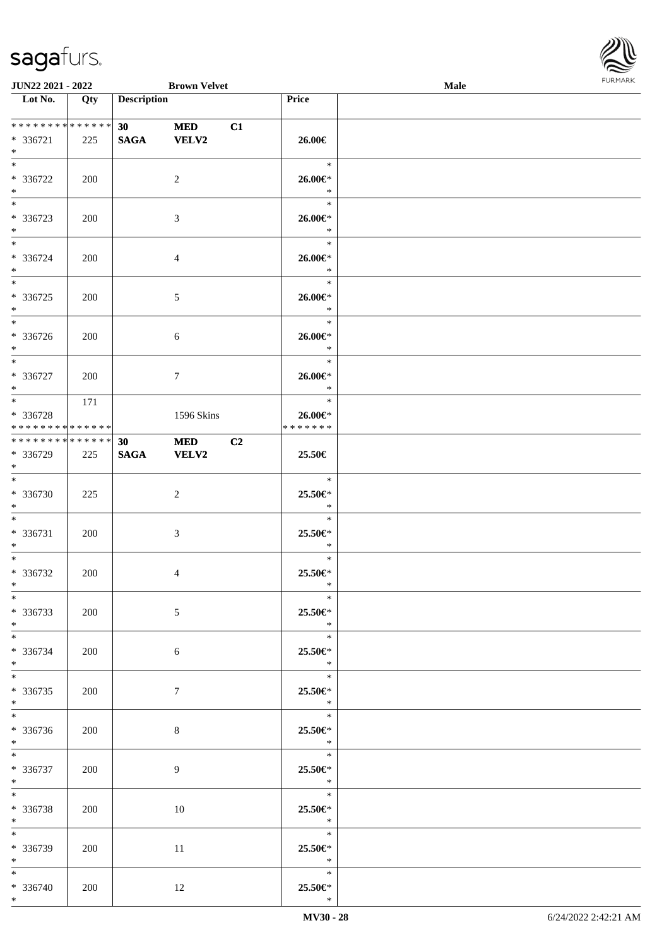

| <b>JUN22 2021 - 2022</b>                       |     |                    | <b>Brown Velvet</b>        |    |                                                                 | Male |  |
|------------------------------------------------|-----|--------------------|----------------------------|----|-----------------------------------------------------------------|------|--|
| Lot No.                                        | Qty | <b>Description</b> |                            |    | Price                                                           |      |  |
| ******** <mark>******</mark><br>* 336721       | 225 | 30<br><b>SAGA</b>  | <b>MED</b><br><b>VELV2</b> | C1 | 26.00€                                                          |      |  |
| $*$<br>* 336722                                | 200 |                    | 2                          |    | $\ast$<br>26.00€*<br>$\ast$                                     |      |  |
| $*$<br>$\overline{\ast}$<br>* 336723<br>$*$    | 200 |                    | 3                          |    | $\ast$<br>26.00€*<br>$\ast$                                     |      |  |
| $*$<br>* 336724<br>$*$                         | 200 |                    | $\overline{4}$             |    | $\ast$<br>$26.00 \in$ *<br>$\ast$                               |      |  |
| * 336725<br>$*$                                | 200 |                    | $\mathfrak{S}$             |    | $\ast$<br>26.00€*<br>$\ast$                                     |      |  |
| $\overline{\ast}$<br>* 336726<br>$*$           | 200 |                    | 6                          |    | $\ast$<br>26.00€*<br>$\ast$                                     |      |  |
| * 336727<br>$*$                                | 200 |                    | $\tau$                     |    | $\ast$<br>26.00€*<br>$\ast$                                     |      |  |
| * 336728<br>* * * * * * * * * * * * * *        | 171 |                    | 1596 Skins                 |    | $\ast$<br>26.00€*<br>* * * * * * *                              |      |  |
| * * * * * * * * * * * * * *<br>* 336729<br>$*$ | 225 | 30<br><b>SAGA</b>  | <b>MED</b><br><b>VELV2</b> | C2 | 25.50€                                                          |      |  |
| $*$<br>* 336730<br>$*$                         | 225 |                    | 2                          |    | $\ast$<br>25.50€*<br>$\ast$                                     |      |  |
| $*$ $-$<br>* 336731<br>$\ast$                  | 200 |                    | $\mathfrak{Z}$             |    | $\ast$<br>25.50€*<br>$\ast$                                     |      |  |
| $*$<br>* 336732<br>$*$                         | 200 |                    | $\overline{4}$             |    | $\ast$<br>25.50€*<br>$\ast$                                     |      |  |
| $*$<br>* 336733<br>$*$                         | 200 |                    | 5                          |    | $\ast$<br>25.50€*<br>$\ast$                                     |      |  |
| $*$ $*$<br>* 336734<br>$*$                     | 200 |                    | 6                          |    | $\ast$<br>25.50€*<br>$\ast$                                     |      |  |
| $*$ $-$<br>* 336735<br>$*$                     | 200 |                    | $\tau$                     |    | $\ast$<br>25.50€*<br>$\mathbb{R}^2$<br>$\overline{\phantom{0}}$ |      |  |
| * 336736<br>$*$                                | 200 |                    | 8                          |    | 25.50€*<br>$\ast$<br>$\overline{\qquad \qquad *}$               |      |  |
| $*$<br>* 336737<br>$*$ $\qquad$                | 200 |                    | 9                          |    | 25.50€*<br>$\ast$                                               |      |  |
| $*$ $-$<br>* 336738<br>$*$                     | 200 |                    | 10                         |    | $*$<br>25.50€*<br>$\ast$                                        |      |  |
| $*$<br>* 336739<br>$*$                         | 200 |                    | 11                         |    | $\ast$<br>25.50€*<br>$\ast$                                     |      |  |
| $*$<br>* 336740<br>$*$                         | 200 |                    | 12                         |    | $\ast$<br>25.50€*<br>$\ast$                                     |      |  |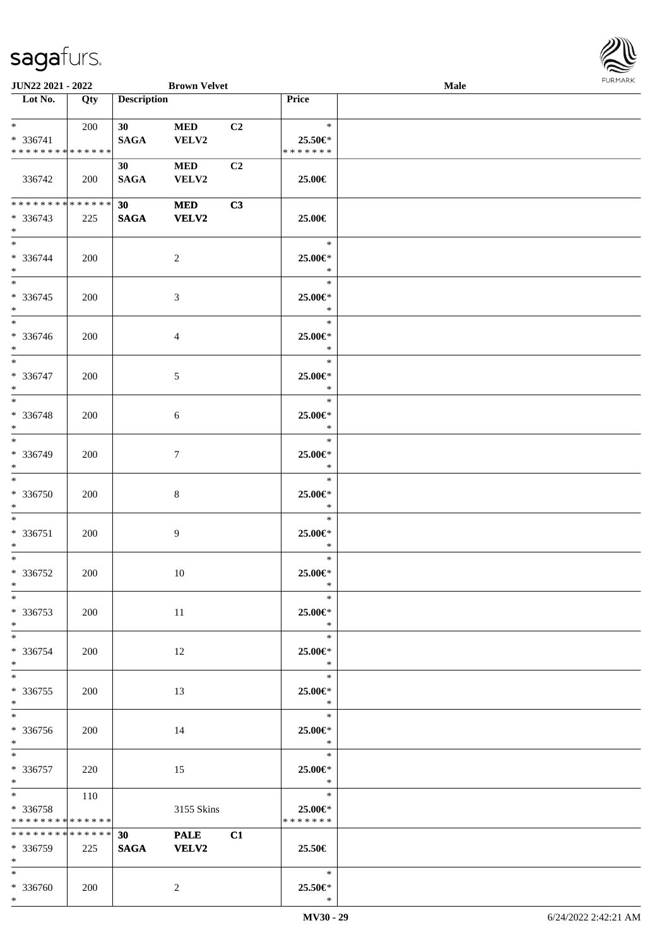| <b>Male</b> | <b>FURMARK</b> |
|-------------|----------------|
|             |                |
|             |                |
|             |                |
|             |                |
|             |                |
|             |                |
|             |                |
|             |                |
|             |                |
|             |                |
|             |                |
|             |                |
|             |                |
|             |                |

| JUN22 2021 - 2022                                                                                                                     |            |                               | <b>Brown Velvet</b>        |    |                                        | Male | <b>FURMARK</b> |
|---------------------------------------------------------------------------------------------------------------------------------------|------------|-------------------------------|----------------------------|----|----------------------------------------|------|----------------|
| $\overline{\phantom{1}}$ Lot No.                                                                                                      | Qty        | <b>Description</b>            |                            |    | Price                                  |      |                |
| $\ast$ .<br><br><br><br><br><br><br><br><br><br><br><br><br><br><br><br><br><br><br><br><br>$* 336741$<br>* * * * * * * * * * * * * * | 200        | 30<br>SAGA                    | <b>MED</b><br>VELV2        | C2 | $\ast$<br>$25.50 \in$<br>* * * * * * * |      |                |
| 336742                                                                                                                                | 200        | 30<br><b>SAGA</b>             | <b>MED</b><br>VELV2        | C2 | 25.00€                                 |      |                |
| **************<br>$* 336743$<br>$*$                                                                                                   | 225        | 30<br><b>SAGA</b>             | <b>MED</b><br><b>VELV2</b> | C3 | 25.00€                                 |      |                |
| $\ast$<br>* 336744<br>$*$                                                                                                             | <b>200</b> |                               | $\boldsymbol{2}$           |    | $\ast$<br>25.00€*<br>$\ast$            |      |                |
| $\ast$<br>$*336745$<br>$*$                                                                                                            | 200        |                               | $\mathfrak{Z}$             |    | $\ast$<br>25.00€*<br>$\ast$            |      |                |
| $*$<br>* 336746<br>$*$                                                                                                                | 200        |                               | $\overline{4}$             |    | $\ast$<br>25.00€*<br>$\ast$            |      |                |
| $*$<br>* 336747<br>$\ast$                                                                                                             | 200        |                               | 5                          |    | $\ast$<br>25.00€*<br>$\ast$            |      |                |
| $\overline{\phantom{0}}$<br>* 336748<br>$\ast$                                                                                        | 200        |                               | 6                          |    | $\ast$<br>25.00€*<br>$\ast$            |      |                |
| $\overline{\ast}$<br>* 336749<br>$\ast$                                                                                               | 200        |                               | $\boldsymbol{7}$           |    | $\ast$<br>25.00€*<br>$\ast$            |      |                |
| $\ast$<br>* 336750<br>$\ast$                                                                                                          | 200        |                               | $8\,$                      |    | $\ast$<br>25.00€*<br>$\ast$            |      |                |
| $_{\ast}^{-}$<br>$* 336751$<br>$\ast$                                                                                                 | 200        |                               | 9                          |    | $\ast$<br>25.00€*<br>$\ast$            |      |                |
| $*$<br>* 336752<br>$\ast$                                                                                                             | 200        |                               | 10                         |    | $\ast$<br>25.00€*                      |      |                |
| $\ast$<br>$*336753$<br>$*$<br>$\overline{\phantom{a}^*}$                                                                              | 200        |                               | 11                         |    | $\ast$<br>25.00€*<br>$\ast$            |      |                |
| * 336754<br>$*$<br>$_{\ast}^{-}$                                                                                                      | 200        |                               | 12                         |    | $\ast$<br>25.00€*<br>$\ast$            |      |                |
| $*336755$<br>$\ast$<br>$\overline{\phantom{a}^*}$                                                                                     | 200        |                               | 13                         |    | $\ast$<br>25.00€*<br>$\ast$            |      |                |
| * 336756<br>$*$<br>$\overline{\phantom{a}^*}$                                                                                         | 200        |                               | 14                         |    | $\ast$<br>25.00€*<br>$\ast$            |      |                |
| * 336757<br>$*$                                                                                                                       | 220        |                               | 15                         |    | $\ast$<br>25.00€*<br>$\ast$            |      |                |
| $*$<br>* 336758<br>******** <mark>******</mark>                                                                                       | 110        |                               | 3155 Skins                 |    | $\ast$<br>25.00€*<br>* * * * * * *     |      |                |
| ******** <mark>******</mark><br>$*336759$<br>$*$                                                                                      | 225        | 30 <sup>1</sup><br>SAGA VELV2 | <b>PALE</b>                | C1 | 25.50€                                 |      |                |
| $\ast$<br>* 336760<br>$*$                                                                                                             | 200        |                               | $\overline{c}$             |    | $\ast$<br>25.50€*<br>$\ast$            |      |                |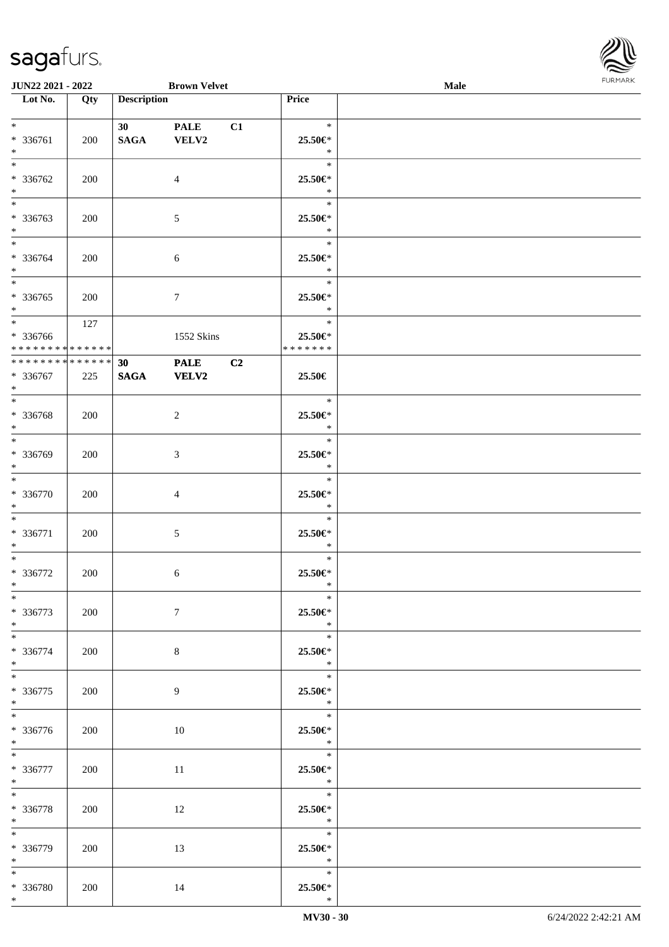

| <b>JUN22 2021 - 2022</b>                                      |     |                    | <b>Brown Velvet</b>  |                |                                                   | Male |  |
|---------------------------------------------------------------|-----|--------------------|----------------------|----------------|---------------------------------------------------|------|--|
| Lot No.                                                       | Qty | <b>Description</b> |                      |                | <b>Price</b>                                      |      |  |
| $*$                                                           |     | 30                 | <b>PALE</b>          | C1             | $\ast$                                            |      |  |
| $* 336761$<br>$*$<br>$*$                                      | 200 | <b>SAGA</b>        | VELV2                |                | 25.50€*<br>$\ast$<br>$\ast$                       |      |  |
| * 336762<br>$*$                                               | 200 |                    | $\overline{4}$       |                | 25.50€*<br>$\ast$                                 |      |  |
| * 336763<br>$\ast$                                            | 200 |                    | 5                    |                | $\ast$<br>25.50€*<br>$\ast$                       |      |  |
| $*$<br>* 336764<br>$*$                                        | 200 |                    | 6                    |                | $\ast$<br>25.50€*<br>$\ast$                       |      |  |
| $*$<br>* 336765<br>$*$                                        | 200 |                    | $\tau$               |                | $\ast$<br>25.50€*<br>$\ast$                       |      |  |
| $*$<br>* 336766<br>* * * * * * * * <mark>* * * * * * *</mark> | 127 |                    | 1552 Skins           |                | $\ast$<br>25.50€*<br>* * * * * * *                |      |  |
| ******** <mark>******</mark><br>* 336767<br>$*$               | 225 | 30<br><b>SAGA</b>  | <b>PALE</b><br>VELV2 | C <sub>2</sub> | 25.50€                                            |      |  |
| * 336768<br>$\ast$                                            | 200 |                    | 2                    |                | $\ast$<br>25.50€*<br>$\ast$                       |      |  |
| $*$<br>* 336769<br>$\ast$                                     | 200 |                    | $\mathfrak{Z}$       |                | $\ast$<br>25.50€*<br>$\ast$                       |      |  |
| $*$<br>* 336770<br>$*$                                        | 200 |                    | $\overline{4}$       |                | $\ast$<br>25.50€*<br>$\ast$                       |      |  |
| $*$<br>* 336771<br>$\ast$                                     | 200 |                    | $\sqrt{5}$           |                | $\ast$<br>25.50€*<br>$\ast$                       |      |  |
| $\ddot{x}$<br>* 336772<br>$*$                                 | 200 |                    | $\sqrt{6}$           |                | $\ast$<br>25.50€*<br>$\ast$                       |      |  |
| $*$<br>* 336773<br>$*$                                        | 200 |                    | $\tau$               |                | $*$<br>25.50€*<br>$\ast$                          |      |  |
| $\overline{\mathbf{r}}$<br>* 336774<br>$*$                    | 200 |                    | $8\phantom{.}$       |                | $\ast$<br>25.50€*<br>$*$                          |      |  |
| $\ddot{x}$<br>* 336775<br>$*$                                 | 200 |                    | 9                    |                | $\ast$<br>25.50€*<br>$\ast$                       |      |  |
| $*$<br>* 336776<br>$*$                                        | 200 |                    | 10                   |                | $\overline{\phantom{0}}$<br>25.50€*<br>$\ast$     |      |  |
| $*$ and $*$<br>* 336777<br>$*$                                | 200 |                    | 11                   |                | $\overline{\qquad \qquad *}$<br>25.50€*<br>$\ast$ |      |  |
| $*$<br>* 336778<br>$*$ $-$                                    | 200 |                    | 12                   |                | $\overline{\phantom{a}}$<br>25.50€*<br>$\ast$     |      |  |
| $\overline{\ast}$<br>* 336779<br>$*$                          | 200 |                    | 13                   |                | 25.50€*<br>$\ast$                                 |      |  |
| $*$<br>* 336780<br>$\ast$                                     | 200 |                    | 14                   |                | $\ast$<br>25.50€*<br>$\ast$                       |      |  |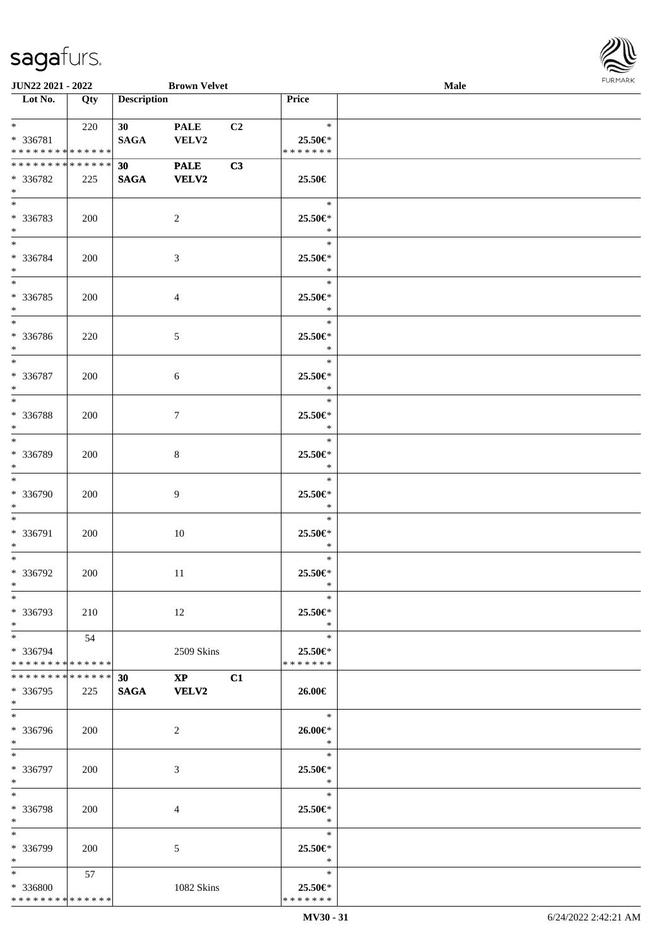

| JUN22 2021 - 2022                                                       |     |                       | <b>Brown Velvet</b>         |                |                                       | Male | FURMARK |
|-------------------------------------------------------------------------|-----|-----------------------|-----------------------------|----------------|---------------------------------------|------|---------|
| $\overline{\phantom{1}}$ Lot No.                                        | Qty | <b>Description</b>    |                             |                | Price                                 |      |         |
| $*$ $*$<br>* 336781<br>* * * * * * * * * * * * * *                      | 220 | 30<br>SAGA            | <b>PALE</b><br>VELV2        | C <sub>2</sub> | $\ast$<br>25.50€*<br>*******          |      |         |
| * * * * * * * * * * * * * *<br>* 336782<br>$*$                          | 225 | 30<br>$\mathbf{SAGA}$ | <b>PALE</b><br><b>VELV2</b> | C3             | 25.50€                                |      |         |
| $\ast$<br>* 336783<br>$*$                                               | 200 |                       | $\sqrt{2}$                  |                | $\ast$<br>25.50€*<br>$\ast$           |      |         |
| $*$<br>* 336784<br>$*$                                                  | 200 |                       | $\ensuremath{\mathfrak{Z}}$ |                | $\ast$<br>25.50€*<br>$\ast$           |      |         |
| $*$<br>$* 336785$<br>$*$<br>$\overline{\phantom{a}^*}$                  | 200 |                       | $\overline{4}$              |                | $\ast$<br>25.50€*<br>$\ast$           |      |         |
| * 336786<br>$\ast$<br>$*$                                               | 220 |                       | 5                           |                | $\ast$<br>25.50€*<br>$\ast$<br>$\ast$ |      |         |
| * 336787<br>$\ast$<br>$\overline{\phantom{0}}$                          | 200 |                       | 6                           |                | 25.50€*<br>$\ast$<br>$\ast$           |      |         |
| * 336788<br>$\ast$<br>$\overline{\phantom{a}^*}$                        | 200 |                       | $\tau$                      |                | 25.50€*<br>$\ast$<br>$\ast$           |      |         |
| * 336789<br>$\ast$<br>$\ast$                                            | 200 |                       | $\,8\,$                     |                | 25.50€*<br>$\ast$<br>$\ast$           |      |         |
| * 336790<br>$\ast$<br>$\ast$                                            | 200 |                       | $\overline{9}$              |                | 25.50€*<br>$\ast$<br>$\ast$           |      |         |
| * 336791<br>$\ast$<br>$\overline{\phantom{a}^*}$                        | 200 |                       | 10                          |                | 25.50€*<br>$\ast$<br>$\ast$           |      |         |
| * 336792<br>$\ast$<br>$\ast$                                            | 200 |                       | 11                          |                | 25.50€*<br>$\ast$<br>$\ast$           |      |         |
| * 336793<br>$\ast$<br>$\overline{\phantom{0}}$                          | 210 |                       | 12                          |                | 25.50€*<br>$\ast$<br>$\ast$           |      |         |
| * 336794<br>* * * * * * * * * * * * * *<br>******** <mark>******</mark> | 54  | 30                    | 2509 Skins<br>$\mathbf{XP}$ | C1             | 25.50€*<br>* * * * * * *              |      |         |
| * 336795<br>$*$<br>$\ast$                                               | 225 | <b>SAGA</b>           | <b>VELV2</b>                |                | 26.00€<br>$\ast$                      |      |         |
| * 336796<br>$*$<br>$\ast$                                               | 200 |                       | 2                           |                | 26.00€*<br>$\ast$<br>$\ast$           |      |         |
| * 336797<br>$*$<br>$\ast$                                               | 200 |                       | 3                           |                | 25.50€*<br>$\ast$<br>$\ast$           |      |         |
| * 336798<br>$\ast$<br>$\ast$                                            | 200 |                       | 4                           |                | 25.50€*<br>$\ast$<br>$\ast$           |      |         |
| * 336799<br>$\ast$                                                      | 200 |                       | 5                           |                | 25.50€*<br>$\ast$                     |      |         |
| $\ast$<br>* 336800<br>* * * * * * * * * * * * * *                       | 57  |                       | 1082 Skins                  |                | $\ast$<br>25.50€*<br>* * * * * * *    |      |         |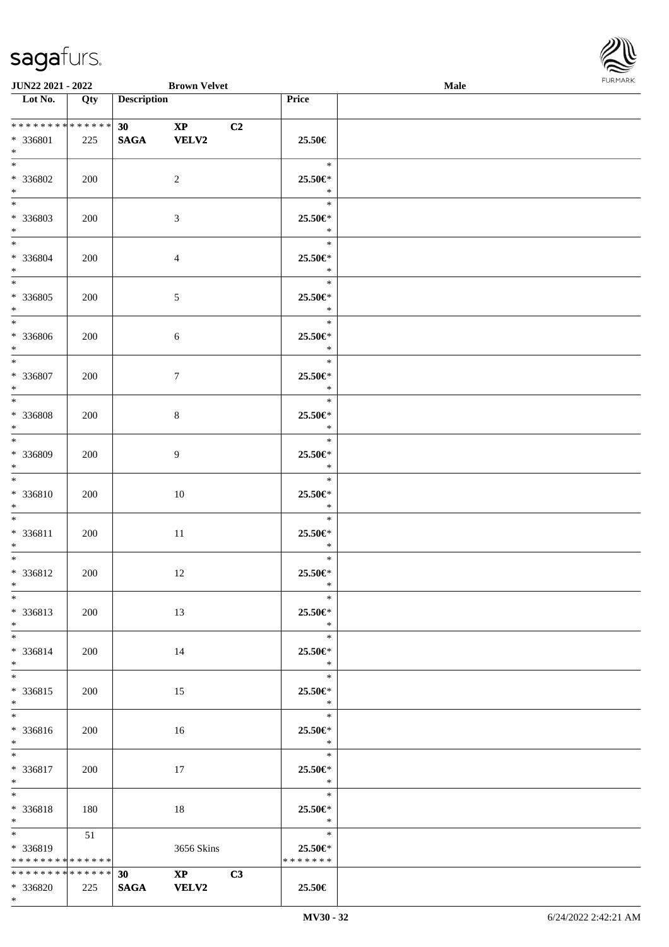\*



| <b>JUN22 2021 - 2022</b>                                  |     |                    | <b>Brown Velvet</b>                     |                |                                               | <b>Male</b> |  |
|-----------------------------------------------------------|-----|--------------------|-----------------------------------------|----------------|-----------------------------------------------|-------------|--|
| Lot No.                                                   | Qty | <b>Description</b> |                                         |                | Price                                         |             |  |
| * * * * * * * * * * * * * * *<br>* 336801<br>$*$          | 225 | 30<br><b>SAGA</b>  | $\mathbf{X} \mathbf{P}$<br><b>VELV2</b> | C <sub>2</sub> | 25.50€                                        |             |  |
| $*$<br>* 336802<br>$*$                                    | 200 |                    | 2                                       |                | $\ast$<br>25.50€*<br>$\ast$                   |             |  |
| $\overline{\ast}$<br>* 336803<br>$*$                      | 200 |                    | 3                                       |                | $\ast$<br>25.50€*<br>$\ast$                   |             |  |
| $*$<br>* 336804<br>$*$<br>$\overline{\ast}$               | 200 |                    | $\overline{4}$                          |                | $\ast$<br>25.50€*<br>$\ast$                   |             |  |
| * 336805<br>$*$<br>$*$                                    | 200 |                    | $\mathfrak{S}$                          |                | $\ast$<br>25.50€*<br>$\ast$                   |             |  |
| * 336806<br>$\ast$<br>$*$                                 | 200 |                    | $\sqrt{6}$                              |                | $\ast$<br>25.50€*<br>$\ast$                   |             |  |
| * 336807<br>$*$<br>$\overline{\mathbf{r}}$                | 200 |                    | $\tau$                                  |                | $\ast$<br>25.50€*<br>$\ast$<br>$\ast$         |             |  |
| * 336808<br>$*$<br>$*$                                    | 200 |                    | $\,8\,$                                 |                | 25.50€*<br>$\ast$<br>$\ast$                   |             |  |
| * 336809<br>$\ast$<br>$*$                                 | 200 |                    | $\overline{9}$                          |                | 25.50€*<br>$\ast$<br>$\ast$                   |             |  |
| * 336810<br>$*$<br>$*$ $-$                                | 200 |                    | 10                                      |                | 25.50€*<br>$\ast$<br>$\ast$                   |             |  |
| * 336811<br>$*$<br>$\ast$                                 | 200 |                    | 11                                      |                | 25.50€*<br>$\ast$<br>$\ast$                   |             |  |
| * 336812<br>$*$ $-$<br>$\ast$                             | 200 |                    | 12                                      |                | 25.50€*<br>$\ast$<br>$\ast$                   |             |  |
| * 336813<br>$*$                                           | 200 |                    | 13                                      |                | 25.50€*<br>$\ast$                             |             |  |
| $*$ $-$<br>$* 336814$<br>$*$                              | 200 |                    | 14                                      |                | $\ast$<br>25.50€*<br>$\ast$<br>$\ast$         |             |  |
| $\ddot{x}$<br>* 336815<br>$\ast$<br>$*$                   | 200 |                    | 15                                      |                | 25.50€*<br>$\ast$<br>$\overline{\phantom{a}}$ |             |  |
| * 336816<br>$*$                                           | 200 |                    | 16                                      |                | 25.50€*<br>$\ast$                             |             |  |
| $\overline{\mathbf{r}}$<br>* 336817<br>$*$                | 200 |                    | 17                                      |                | $\ast$<br>25.50€*<br>$\ast$                   |             |  |
| $*$ $*$<br>* 336818<br>$*$ $-$<br>$\overline{\mathbf{r}}$ | 180 |                    | 18                                      |                | $\ast$<br>25.50€*<br>$\ast$                   |             |  |
| * 336819<br>* * * * * * * * * * * * * * <mark>*</mark>    | 51  |                    | 3656 Skins                              |                | $\ast$<br>25.50€*<br>* * * * * * *            |             |  |
| * * * * * * * * <mark>* * * * * * *</mark><br>* 336820    | 225 | SAGA VELV2         | 30 XP C3                                |                | 25.50€                                        |             |  |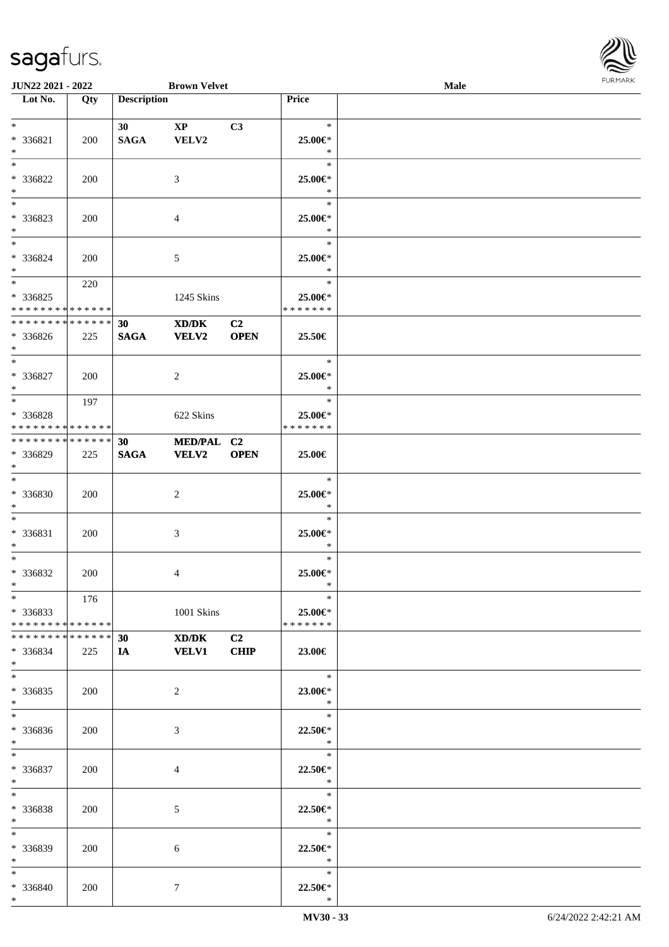

| <b>JUN22 2021 - 2022</b>                   |     |                    | <b>Brown Velvet</b>                         |                |               | Male |  |
|--------------------------------------------|-----|--------------------|---------------------------------------------|----------------|---------------|------|--|
| Lot No.                                    | Qty | <b>Description</b> |                                             |                | Price         |      |  |
|                                            |     |                    |                                             |                |               |      |  |
| $*$                                        |     | 30 <sup>1</sup>    | $\mathbf{X}\mathbf{P}$                      | C3             | $\ast$        |      |  |
| * 336821                                   | 200 | <b>SAGA</b>        | VELV2                                       |                | 25.00€*       |      |  |
| $*$                                        |     |                    |                                             |                | $\ast$        |      |  |
| $*$                                        |     |                    |                                             |                | $\ast$        |      |  |
| * 336822                                   | 200 |                    | 3                                           |                | 25.00€*       |      |  |
| $*$                                        |     |                    |                                             |                | $\ast$        |      |  |
|                                            |     |                    |                                             |                | $\ast$        |      |  |
| * 336823                                   | 200 |                    | 4                                           |                | 25.00€*       |      |  |
| $*$                                        |     |                    |                                             |                | $\ast$        |      |  |
| $*$                                        |     |                    |                                             |                | $\ast$        |      |  |
|                                            |     |                    |                                             |                |               |      |  |
| * 336824                                   | 200 |                    | 5                                           |                | 25.00€*       |      |  |
| $*$                                        |     |                    |                                             |                | $\ast$        |      |  |
| $*$                                        | 220 |                    |                                             |                | $\ast$        |      |  |
| * 336825                                   |     |                    | 1245 Skins                                  |                | 25.00€*       |      |  |
| * * * * * * * * * * * * * *                |     |                    |                                             |                | * * * * * * * |      |  |
| * * * * * * * * <mark>* * * * * * *</mark> |     | 30                 | $\mathbf{X}\mathbf{D}/\mathbf{D}\mathbf{K}$ | C <sub>2</sub> |               |      |  |
| * 336826                                   | 225 | <b>SAGA</b>        | VELV2                                       | <b>OPEN</b>    | 25.50€        |      |  |
| $*$                                        |     |                    |                                             |                |               |      |  |
| $*$                                        |     |                    |                                             |                | $\ast$        |      |  |
| * 336827                                   | 200 |                    | 2                                           |                | 25.00€*       |      |  |
| $*$                                        |     |                    |                                             |                | $\ast$        |      |  |
| $*$                                        | 197 |                    |                                             |                | $\ast$        |      |  |
| * 336828                                   |     |                    | 622 Skins                                   |                | 25.00€*       |      |  |
| * * * * * * * * * * * * * *                |     |                    |                                             |                | * * * * * * * |      |  |
| * * * * * * * * * * * * * * *              |     |                    |                                             |                |               |      |  |
|                                            |     | 30                 | MED/PAL C2                                  |                |               |      |  |
| * 336829                                   | 225 | <b>SAGA</b>        | <b>VELV2</b>                                | <b>OPEN</b>    | 25.00€        |      |  |
| $*$                                        |     |                    |                                             |                |               |      |  |
| $*$                                        |     |                    |                                             |                | $\ast$        |      |  |
| * 336830                                   | 200 |                    | 2                                           |                | 25.00€*       |      |  |
| $*$                                        |     |                    |                                             |                | $\ast$        |      |  |
| $*$                                        |     |                    |                                             |                | $\ast$        |      |  |
| * 336831                                   | 200 |                    | 3                                           |                | 25.00€*       |      |  |
| $*$                                        |     |                    |                                             |                | $\ast$        |      |  |
| $*$                                        |     |                    |                                             |                | $\ast$        |      |  |
| * 336832                                   | 200 |                    | 4                                           |                | 25.00€*       |      |  |
| $*$                                        |     |                    |                                             |                | $\ast$        |      |  |
| $*$                                        | 176 |                    |                                             |                | $\ast$        |      |  |
| $*336833$                                  |     |                    | 1001 Skins                                  |                | 25.00€*       |      |  |
| * * * * * * * * * * * * * * *              |     |                    |                                             |                | * * * * * * * |      |  |
| * * * * * * * * * * * * * * *              |     | 30                 | XD/DK                                       | C2             |               |      |  |
| * 336834                                   | 225 | <b>IA</b>          | <b>VELV1</b>                                | <b>CHIP</b>    | 23.00€        |      |  |
| $*$                                        |     |                    |                                             |                |               |      |  |
| $*$                                        |     |                    |                                             |                | $\ast$        |      |  |
|                                            |     |                    |                                             |                |               |      |  |
| * 336835                                   | 200 |                    | $\overline{2}$                              |                | 23.00€*       |      |  |
| $*$                                        |     |                    |                                             |                | $\ast$        |      |  |
| $*$                                        |     |                    |                                             |                | $\ast$        |      |  |
| * 336836                                   | 200 |                    | 3                                           |                | 22.50€*       |      |  |
| $*$                                        |     |                    |                                             |                | $\ast$        |      |  |
| $*$                                        |     |                    |                                             |                | $\ast$        |      |  |
| * 336837                                   | 200 |                    | 4                                           |                | 22.50€*       |      |  |
| $*$                                        |     |                    |                                             |                | $\ast$        |      |  |
| $*$                                        |     |                    |                                             |                | $\ast$        |      |  |
| * 336838                                   | 200 |                    | 5                                           |                | 22.50€*       |      |  |
| $*$                                        |     |                    |                                             |                | $\ast$        |      |  |
| $*$                                        |     |                    |                                             |                | $\ast$        |      |  |
| * 336839                                   | 200 |                    | 6                                           |                | $22.50 \in$   |      |  |
| $*$                                        |     |                    |                                             |                | $\ast$        |      |  |
| $*$                                        |     |                    |                                             |                | $\ast$        |      |  |
| * 336840                                   |     |                    |                                             |                | 22.50€*       |      |  |
| $*$                                        | 200 |                    | $\tau$                                      |                | $\ast$        |      |  |
|                                            |     |                    |                                             |                |               |      |  |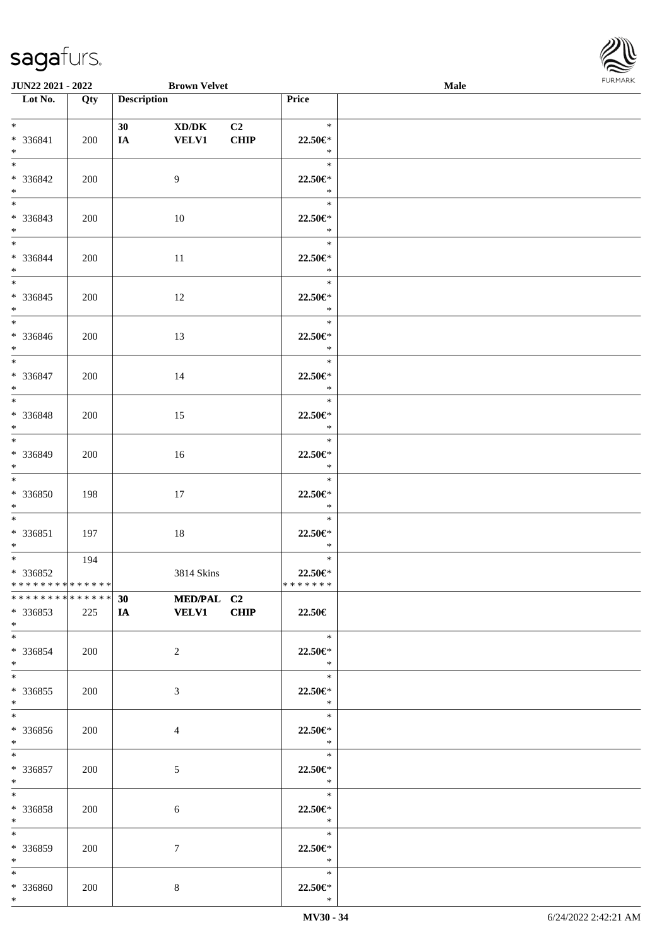

| <b>JUN22 2021 - 2022</b>                                     |     |                       | <b>Brown Velvet</b>          |             |                                                         | Male |  |
|--------------------------------------------------------------|-----|-----------------------|------------------------------|-------------|---------------------------------------------------------|------|--|
| Lot No.                                                      | Qty | <b>Description</b>    |                              |             | <b>Price</b>                                            |      |  |
| $*$<br>$* 336841$<br>$*$                                     | 200 | 30 <sup>°</sup><br>IA | XD/DK<br><b>VELV1</b>        | C2<br>CHIP  | $\ast$<br>22.50€*<br>$\ast$                             |      |  |
| $*$<br>* 336842<br>$*$                                       | 200 |                       | 9                            |             | $\ast$<br>22.50€*<br>$\ast$                             |      |  |
| $\overline{\ast}$<br>* 336843<br>$*$                         | 200 |                       | 10                           |             | $\ast$<br>22.50€*<br>$\ast$                             |      |  |
| $*$<br>* 336844<br>$*$<br>$\overline{\ast}$                  | 200 |                       | 11                           |             | $\ast$<br>22.50€*<br>$\ast$<br>$\ast$                   |      |  |
| * 336845<br>$*$<br>$*$                                       | 200 |                       | 12                           |             | 22.50€*<br>$\ast$<br>$\ast$                             |      |  |
| * 336846<br>$\ast$<br>$*$                                    | 200 |                       | 13                           |             | 22.50€*<br>$\ast$                                       |      |  |
| * 336847<br>$\ast$                                           | 200 |                       | 14                           |             | $\ast$<br>$22.50 \in$ *<br>$\ast$<br>$\ast$             |      |  |
| * 336848<br>$*$<br>$*$                                       | 200 |                       | 15                           |             | 22.50€*<br>$\ast$<br>$\ast$                             |      |  |
| * 336849<br>$\ast$<br>$*$                                    | 200 |                       | 16                           |             | 22.50€*<br>$\ast$<br>$\ast$                             |      |  |
| * 336850<br>$*$<br>$*$                                       | 198 |                       | 17                           |             | 22.50€*<br>$\ast$<br>$\ast$                             |      |  |
| $* 336851$<br>$*$<br>$\overline{\mathbf{r}}$                 | 197 |                       | 18                           |             | 22.50€*<br>$\ast$<br>$\ast$                             |      |  |
| * 336852<br>* * * * * * * * <mark>* * * * * *</mark>         | 194 |                       | 3814 Skins                   |             | 22.50€*<br>*******                                      |      |  |
| * 336853<br>$*$                                              | 225 | IA VELV1              | ************** 30 MED/PAL C2 | <b>CHIP</b> | 22.50€<br>$\ast$                                        |      |  |
| $*$ $-$<br>$*336854$<br>$*$                                  | 200 |                       | $\overline{2}$               |             | 22.50€*<br>$\ast$<br>$\ast$                             |      |  |
| $*$<br>* 336855<br>$\ast$<br>$*$                             | 200 |                       | 3                            |             | 22.50€*<br>$\ast$<br>$\overline{\phantom{0}}$           |      |  |
| * 336856<br>$*$                                              | 200 |                       | $\overline{4}$               |             | $22.50 \in$ *<br>$\ast$<br>$\overline{\qquad \qquad *}$ |      |  |
| $*$<br>* 336857<br>$*$ $-$                                   | 200 |                       | 5                            |             | 22.50€*<br>$\ast$                                       |      |  |
| $*$ and $*$<br>* 336858<br>$*$ $\qquad$<br>$\overline{\ast}$ | 200 |                       | 6                            |             | 22.50€*<br>$\ast$                                       |      |  |
| * 336859<br>$*$ $-$                                          | 200 |                       | $7\phantom{.0}$              |             | $\overline{\phantom{a}}$<br>$22.50 \in$ *<br>$\ast$     |      |  |
| $*$<br>* 336860<br>$\ast$                                    | 200 |                       | 8                            |             | $\ast$<br>22.50€*<br>$\ast$                             |      |  |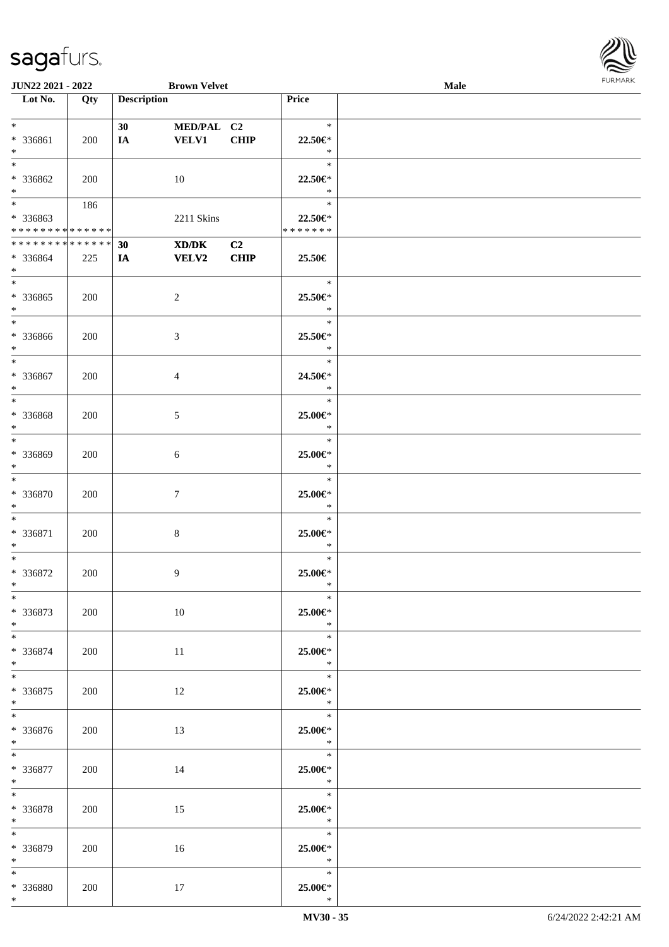

| JUN22 2021 - 2022           |     |                    | <b>Brown Velvet</b>                                                                                  |             |               | Male |  |
|-----------------------------|-----|--------------------|------------------------------------------------------------------------------------------------------|-------------|---------------|------|--|
| Lot No.                     | Qty | <b>Description</b> |                                                                                                      |             | Price         |      |  |
|                             |     |                    |                                                                                                      |             |               |      |  |
| $*$                         |     |                    |                                                                                                      |             | $\ast$        |      |  |
|                             |     | 30                 | MED/PAL C2                                                                                           |             |               |      |  |
| * 336861                    | 200 | IA                 | <b>VELV1</b>                                                                                         | <b>CHIP</b> | 22.50€*       |      |  |
| $\ast$                      |     |                    |                                                                                                      |             | $\ast$        |      |  |
| $\ast$                      |     |                    |                                                                                                      |             | $\ast$        |      |  |
|                             |     |                    |                                                                                                      |             |               |      |  |
| * 336862                    | 200 |                    | 10                                                                                                   |             | 22.50€*       |      |  |
| $\ast$                      |     |                    |                                                                                                      |             | $\ast$        |      |  |
| $\overline{\ast}$           | 186 |                    |                                                                                                      |             | $\ast$        |      |  |
| * 336863                    |     |                    | 2211 Skins                                                                                           |             | 22.50€*       |      |  |
| * * * * * * * * * * * * * * |     |                    |                                                                                                      |             | * * * * * * * |      |  |
|                             |     |                    |                                                                                                      |             |               |      |  |
| * * * * * * * * * * * * * * |     | 30                 | $\boldsymbol{\text{X}}\boldsymbol{\text{D}}\boldsymbol{/}\boldsymbol{\text{D}}\boldsymbol{\text{K}}$ | C2          |               |      |  |
| * 336864                    | 225 | IA                 | <b>VELV2</b>                                                                                         | <b>CHIP</b> | 25.50€        |      |  |
| $\ast$                      |     |                    |                                                                                                      |             |               |      |  |
| $\ast$                      |     |                    |                                                                                                      |             | $\ast$        |      |  |
|                             |     |                    |                                                                                                      |             |               |      |  |
| * 336865                    | 200 |                    | $\sqrt{2}$                                                                                           |             | 25.50€*       |      |  |
| $\ast$                      |     |                    |                                                                                                      |             | $\ast$        |      |  |
| $\overline{\phantom{a}^*}$  |     |                    |                                                                                                      |             | $\ast$        |      |  |
|                             |     |                    |                                                                                                      |             |               |      |  |
| * 336866                    | 200 |                    | $\mathfrak{Z}$                                                                                       |             | 25.50€*       |      |  |
| $\ast$                      |     |                    |                                                                                                      |             | $\ast$        |      |  |
| $\overline{\ast}$           |     |                    |                                                                                                      |             | $\ast$        |      |  |
| * 336867                    | 200 |                    | $\overline{4}$                                                                                       |             | 24.50€*       |      |  |
| $\ast$                      |     |                    |                                                                                                      |             | $\ast$        |      |  |
|                             |     |                    |                                                                                                      |             |               |      |  |
| $\ast$                      |     |                    |                                                                                                      |             | $\ast$        |      |  |
| * 336868                    | 200 |                    | $\sqrt{5}$                                                                                           |             | 25.00€*       |      |  |
| $\ast$                      |     |                    |                                                                                                      |             | $\ast$        |      |  |
| $\ast$                      |     |                    |                                                                                                      |             | $\ast$        |      |  |
|                             |     |                    |                                                                                                      |             |               |      |  |
| * 336869                    | 200 |                    | 6                                                                                                    |             | 25.00€*       |      |  |
| $\ast$                      |     |                    |                                                                                                      |             | $\ast$        |      |  |
| $\overline{\ast}$           |     |                    |                                                                                                      |             | $\ast$        |      |  |
|                             |     |                    |                                                                                                      |             |               |      |  |
| * 336870                    | 200 |                    | $\tau$                                                                                               |             | 25.00€*       |      |  |
| $\ast$                      |     |                    |                                                                                                      |             | $\ast$        |      |  |
| $\ast$                      |     |                    |                                                                                                      |             | $\ast$        |      |  |
| * 336871                    | 200 |                    | $\,8\,$                                                                                              |             | 25.00€*       |      |  |
|                             |     |                    |                                                                                                      |             |               |      |  |
| $\ast$                      |     |                    |                                                                                                      |             | $\ast$        |      |  |
| $\ast$                      |     |                    |                                                                                                      |             | $\ast$        |      |  |
| $* 336872$                  | 200 |                    | 9                                                                                                    |             | 25.00€*       |      |  |
| $*$                         |     |                    |                                                                                                      |             | $\ast$        |      |  |
| $*$                         |     |                    |                                                                                                      |             | $\ast$        |      |  |
|                             |     |                    |                                                                                                      |             |               |      |  |
| $* 336873$                  | 200 |                    | 10                                                                                                   |             | 25.00€*       |      |  |
| $*$                         |     |                    |                                                                                                      |             | $\ast$        |      |  |
| $\ast$                      |     |                    |                                                                                                      |             | $\ast$        |      |  |
|                             |     |                    |                                                                                                      |             |               |      |  |
| * 336874                    | 200 |                    | 11                                                                                                   |             | 25.00€*       |      |  |
| $*$                         |     |                    |                                                                                                      |             | $\rightarrow$ |      |  |
| $*$                         |     |                    |                                                                                                      |             | $\ast$        |      |  |
| $*336875$                   | 200 |                    | 12                                                                                                   |             | 25.00€*       |      |  |
| $*$                         |     |                    |                                                                                                      |             | $\ast$        |      |  |
|                             |     |                    |                                                                                                      |             |               |      |  |
| $\ast$                      |     |                    |                                                                                                      |             | $\ast$        |      |  |
| * 336876                    | 200 |                    | 13                                                                                                   |             | 25.00€*       |      |  |
| $*$ $*$                     |     |                    |                                                                                                      |             | $\ast$        |      |  |
| $\ast$                      |     |                    |                                                                                                      |             | $\ast$        |      |  |
|                             |     |                    |                                                                                                      |             |               |      |  |
| * 336877                    | 200 |                    | 14                                                                                                   |             | 25.00€*       |      |  |
| $*$ $*$                     |     |                    |                                                                                                      |             | $\ast$        |      |  |
| $\ast$                      |     |                    |                                                                                                      |             | $\ast$        |      |  |
|                             |     |                    |                                                                                                      |             |               |      |  |
| * 336878                    | 200 |                    | 15                                                                                                   |             | 25.00€*       |      |  |
| $*$                         |     |                    |                                                                                                      |             | $\ast$        |      |  |
| $\ast$                      |     |                    |                                                                                                      |             | $\ast$        |      |  |
| * 336879                    | 200 |                    | 16                                                                                                   |             | 25.00€*       |      |  |
| $*$ $-$                     |     |                    |                                                                                                      |             | $\ast$        |      |  |
|                             |     |                    |                                                                                                      |             |               |      |  |
| $*$                         |     |                    |                                                                                                      |             | $\ast$        |      |  |
| * 336880                    | 200 |                    | 17                                                                                                   |             | 25.00€*       |      |  |
| $*$                         |     |                    |                                                                                                      |             | $\ast$        |      |  |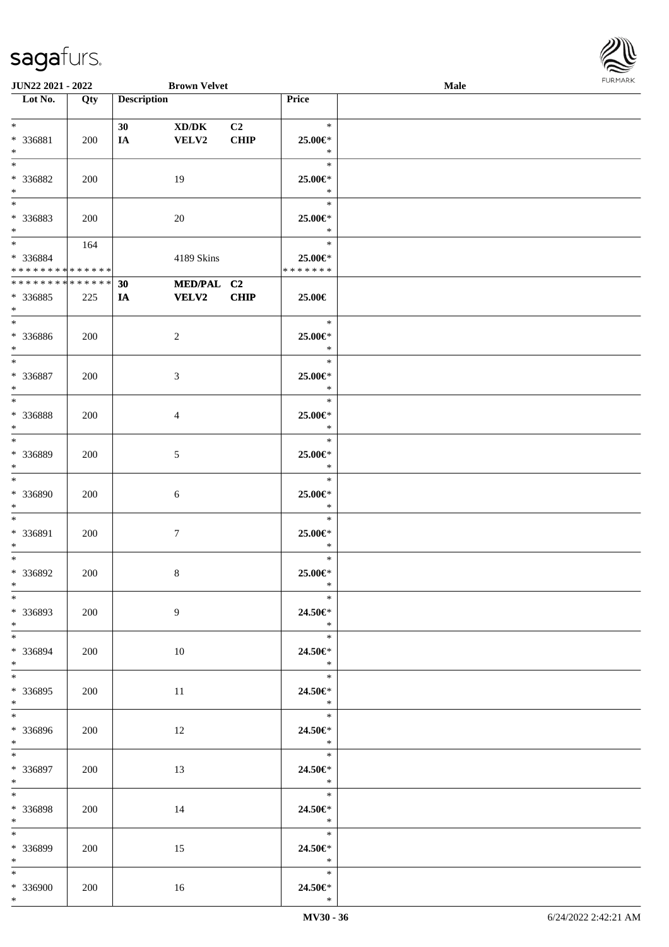

| <b>JUN22 2021 - 2022</b>      |     |                    | <b>Brown Velvet</b> |                |                                               | Male |  |
|-------------------------------|-----|--------------------|---------------------|----------------|-----------------------------------------------|------|--|
| Lot No.                       | Qty | <b>Description</b> |                     |                | Price                                         |      |  |
|                               |     |                    |                     |                |                                               |      |  |
| $*$                           |     | 30                 | XD/DK               | C <sub>2</sub> | $\ast$                                        |      |  |
| * 336881                      | 200 | IA                 | VELV2               | <b>CHIP</b>    | 25.00€*                                       |      |  |
| $\ast$                        |     |                    |                     |                | $\ast$                                        |      |  |
|                               |     |                    |                     |                |                                               |      |  |
| $*$                           |     |                    |                     |                | $\ast$                                        |      |  |
| * 336882                      | 200 |                    | 19                  |                | 25.00€*                                       |      |  |
| $*$                           |     |                    |                     |                | $\ast$                                        |      |  |
|                               |     |                    |                     |                | $\ast$                                        |      |  |
| * 336883                      | 200 |                    | 20                  |                | 25.00€*                                       |      |  |
| $*$                           |     |                    |                     |                | $\ast$                                        |      |  |
|                               |     |                    |                     |                |                                               |      |  |
| $*$ $*$                       | 164 |                    |                     |                | $\ast$                                        |      |  |
| * 336884                      |     |                    | 4189 Skins          |                | 25.00€*                                       |      |  |
| * * * * * * * * * * * * * * * |     |                    |                     |                | * * * * * * *                                 |      |  |
| ******** <mark>******</mark>  |     | 30                 | MED/PAL C2          |                |                                               |      |  |
| * 336885                      | 225 | IA                 | <b>VELV2</b>        | <b>CHIP</b>    | 25.00€                                        |      |  |
| $*$                           |     |                    |                     |                |                                               |      |  |
| $*$                           |     |                    |                     |                | $\ast$                                        |      |  |
|                               |     |                    |                     |                |                                               |      |  |
| * 336886                      | 200 |                    | $\overline{c}$      |                | 25.00€*                                       |      |  |
| $*$                           |     |                    |                     |                | $\ast$                                        |      |  |
| $*$                           |     |                    |                     |                | $\ast$                                        |      |  |
| * 336887                      | 200 |                    | 3                   |                | 25.00€*                                       |      |  |
| $\ast$                        |     |                    |                     |                | $\ast$                                        |      |  |
|                               |     |                    |                     |                | $\ast$                                        |      |  |
| * 336888                      | 200 |                    |                     |                | 25.00€*                                       |      |  |
| $*$                           |     |                    | 4                   |                | $\ast$                                        |      |  |
|                               |     |                    |                     |                |                                               |      |  |
| $*$                           |     |                    |                     |                | $\ast$                                        |      |  |
| * 336889                      | 200 |                    | 5                   |                | 25.00€*                                       |      |  |
| $*$                           |     |                    |                     |                | $\ast$                                        |      |  |
| $*$                           |     |                    |                     |                | $\ast$                                        |      |  |
| * 336890                      | 200 |                    | 6                   |                | 25.00€*                                       |      |  |
| $*$                           |     |                    |                     |                | $\ast$                                        |      |  |
| $*$                           |     |                    |                     |                | $\ast$                                        |      |  |
|                               |     |                    |                     |                |                                               |      |  |
| * 336891                      | 200 |                    | $\boldsymbol{7}$    |                | 25.00€*                                       |      |  |
| $*$                           |     |                    |                     |                | $\ast$                                        |      |  |
| $*$                           |     |                    |                     |                | $\ast$                                        |      |  |
| * 336892                      | 200 |                    | 8                   |                | 25.00€*                                       |      |  |
| $*$                           |     |                    |                     |                | $\ast$                                        |      |  |
| $*$                           |     |                    |                     |                | $\ast$                                        |      |  |
| * 336893                      | 200 |                    | 9                   |                | 24.50€*                                       |      |  |
| $*$                           |     |                    |                     |                | $\ast$                                        |      |  |
| $*$                           |     |                    |                     |                | $\ast$                                        |      |  |
|                               |     |                    |                     |                |                                               |      |  |
| * 336894                      | 200 |                    | 10                  |                | 24.50€*                                       |      |  |
| $*$                           |     |                    |                     |                | $\ast$                                        |      |  |
| $*$                           |     |                    |                     |                | $\ast$                                        |      |  |
| * 336895                      | 200 |                    | 11                  |                | 24.50€*                                       |      |  |
| $*$                           |     |                    |                     |                | $\ast$                                        |      |  |
| $*$                           |     |                    |                     |                | $\rightarrow$                                 |      |  |
| * 336896                      | 200 |                    | 12                  |                | 24.50€*                                       |      |  |
| $*$ $*$                       |     |                    |                     |                | $\ast$                                        |      |  |
| $*$                           |     |                    |                     |                | $\overline{\qquad \qquad }$                   |      |  |
|                               |     |                    |                     |                |                                               |      |  |
| * 336897                      | 200 |                    | 13                  |                | 24.50€*                                       |      |  |
| $*$ $*$                       |     |                    |                     |                | $\ast$                                        |      |  |
| $*$                           |     |                    |                     |                | $\begin{array}{c}\n\ast \\ \ast\n\end{array}$ |      |  |
| * 336898                      | 200 |                    | 14                  |                | 24.50€*                                       |      |  |
| $*$ and $*$                   |     |                    |                     |                | $\ast$                                        |      |  |
| $*$                           |     |                    |                     |                | $\ast$                                        |      |  |
| * 336899                      | 200 |                    | 15                  |                | 24.50€*                                       |      |  |
| $*$ $*$                       |     |                    |                     |                | $\mathbb{R}^n$                                |      |  |
|                               |     |                    |                     |                | $\ast$                                        |      |  |
| $*$                           |     |                    |                     |                |                                               |      |  |
| * 336900                      | 200 |                    | 16                  |                | 24.50€*                                       |      |  |
| $*$                           |     |                    |                     |                | $\ast$                                        |      |  |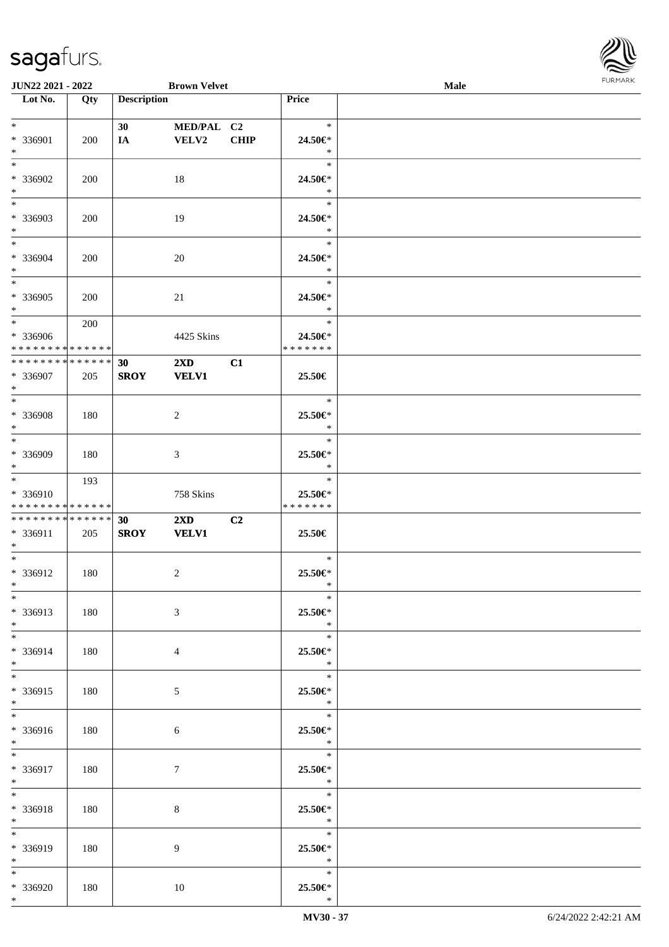

| <b>JUN22 2021 - 2022</b>      |     |                    | <b>Brown Velvet</b>     |             |               | Male |  |
|-------------------------------|-----|--------------------|-------------------------|-------------|---------------|------|--|
| Lot No.                       | Qty | <b>Description</b> |                         |             | Price         |      |  |
|                               |     |                    |                         |             |               |      |  |
| $*$                           |     | 30                 | MED/PAL C2              |             | $\ast$        |      |  |
|                               |     |                    |                         |             |               |      |  |
| * 336901                      | 200 | IA                 | VELV2                   | <b>CHIP</b> | 24.50€*       |      |  |
| $*$                           |     |                    |                         |             | $\ast$        |      |  |
|                               |     |                    |                         |             | $\ast$        |      |  |
| * 336902                      | 200 |                    | 18                      |             | 24.50€*       |      |  |
| $\ast$                        |     |                    |                         |             | $\ast$        |      |  |
|                               |     |                    |                         |             | $\ast$        |      |  |
|                               |     |                    |                         |             |               |      |  |
| * 336903                      | 200 |                    | 19                      |             | 24.50€*       |      |  |
| $*$                           |     |                    |                         |             | $\ast$        |      |  |
| $*$                           |     |                    |                         |             | $\ast$        |      |  |
| $* 336904$                    | 200 |                    | 20                      |             | 24.50€*       |      |  |
|                               |     |                    |                         |             |               |      |  |
| $*$                           |     |                    |                         |             | $\ast$        |      |  |
| $*$                           |     |                    |                         |             | $\ast$        |      |  |
| * 336905                      | 200 |                    | 21                      |             | 24.50€*       |      |  |
| $*$                           |     |                    |                         |             | $\ast$        |      |  |
| $*$                           | 200 |                    |                         |             | $\ast$        |      |  |
|                               |     |                    |                         |             |               |      |  |
| * 336906                      |     |                    | 4425 Skins              |             | 24.50€*       |      |  |
| * * * * * * * * * * * * * * * |     |                    |                         |             | * * * * * * * |      |  |
| * * * * * * * * * * * * * * * |     | 30                 | $2\mathbf{X}\mathbf{D}$ | C1          |               |      |  |
| * 336907                      | 205 | <b>SROY</b>        | <b>VELV1</b>            |             | 25.50€        |      |  |
| $*$                           |     |                    |                         |             |               |      |  |
| $\overline{\ast}$             |     |                    |                         |             | $\ast$        |      |  |
|                               |     |                    |                         |             |               |      |  |
| * 336908                      | 180 |                    | 2                       |             | 25.50€*       |      |  |
| $*$                           |     |                    |                         |             | $\ast$        |      |  |
| $*$                           |     |                    |                         |             | $\ast$        |      |  |
| * 336909                      | 180 |                    | 3                       |             | 25.50€*       |      |  |
| $*$                           |     |                    |                         |             | $\ast$        |      |  |
|                               |     |                    |                         |             |               |      |  |
| $*$                           | 193 |                    |                         |             | $\ast$        |      |  |
| * 336910                      |     |                    | 758 Skins               |             | 25.50€*       |      |  |
| * * * * * * * * * * * * * *   |     |                    |                         |             | * * * * * * * |      |  |
| * * * * * * * * * * * * * * * |     | 30                 | $2\mathbf{X}\mathbf{D}$ | C2          |               |      |  |
|                               |     |                    |                         |             |               |      |  |
| * 336911                      | 205 | <b>SROY</b>        | <b>VELV1</b>            |             | 25.50€        |      |  |
| $*$                           |     |                    |                         |             |               |      |  |
| $*$                           |     |                    |                         |             | $\ast$        |      |  |
| * 336912                      | 180 |                    | 2                       |             | 25.50€*       |      |  |
| $*$                           |     |                    |                         |             | $\ast$        |      |  |
| $\ast$                        |     |                    |                         |             | $\ast$        |      |  |
|                               |     |                    |                         |             |               |      |  |
| * 336913                      | 180 |                    | 3                       |             | 25.50€*       |      |  |
| $*$                           |     |                    |                         |             | $\ast$        |      |  |
| $*$                           |     |                    |                         |             | $\ast$        |      |  |
| * 336914                      | 180 |                    | $\overline{4}$          |             | 25.50€*       |      |  |
|                               |     |                    |                         |             |               |      |  |
| $*$                           |     |                    |                         |             | $\ast$        |      |  |
| $*$                           |     |                    |                         |             | $\ast$        |      |  |
| * 336915                      | 180 |                    | $5\overline{)}$         |             | 25.50€*       |      |  |
| $*$                           |     |                    |                         |             | $\ast$        |      |  |
| $*$                           |     |                    |                         |             | $*$           |      |  |
|                               |     |                    |                         |             |               |      |  |
| * 336916                      | 180 |                    | 6                       |             | 25.50€*       |      |  |
| $*$                           |     |                    |                         |             | $\ast$        |      |  |
| $*$ $*$                       |     |                    |                         |             | $\ast$        |      |  |
| * 336917                      | 180 |                    | $\tau$                  |             | 25.50€*       |      |  |
| $*$ $*$                       |     |                    |                         |             | $\ast$        |      |  |
| $*$                           |     |                    |                         |             | $\ast$        |      |  |
|                               |     |                    |                         |             |               |      |  |
| * 336918                      | 180 |                    | $8\,$                   |             | 25.50€*       |      |  |
| $*$                           |     |                    |                         |             | $\ast$        |      |  |
| $*$                           |     |                    |                         |             | $\ast$        |      |  |
| * 336919                      | 180 |                    | 9                       |             | 25.50€*       |      |  |
|                               |     |                    |                         |             | $\ast$        |      |  |
| $*$ $-$                       |     |                    |                         |             |               |      |  |
| $*$                           |     |                    |                         |             | $\ast$        |      |  |
| * 336920                      | 180 |                    | 10                      |             | 25.50€*       |      |  |
| $*$                           |     |                    |                         |             | $\ast$        |      |  |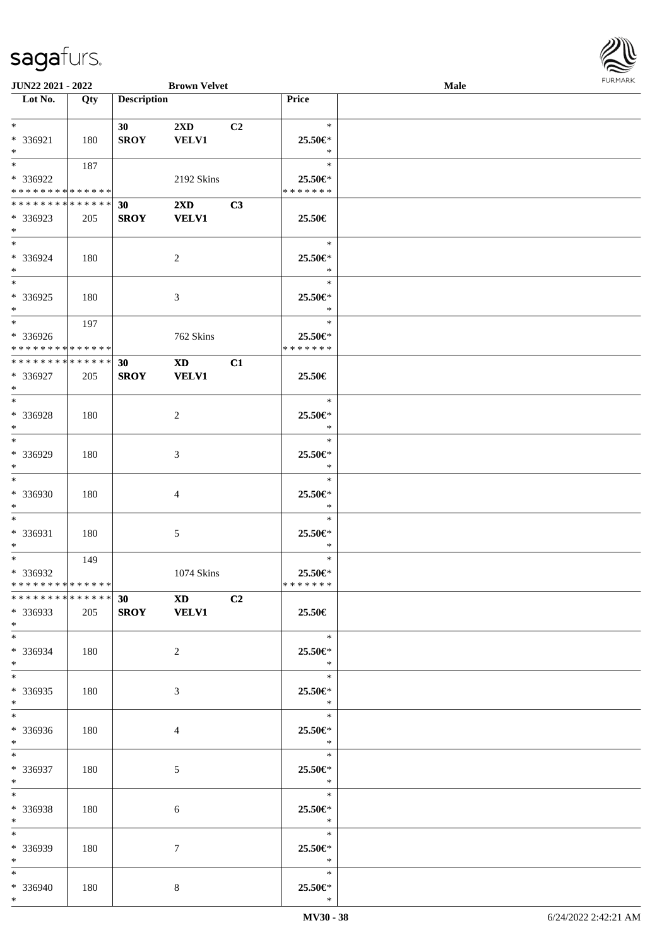

| <b>JUN22 2021 - 2022</b>                   |     |                    | <b>Brown Velvet</b>     |                |               | <b>Male</b> |  |
|--------------------------------------------|-----|--------------------|-------------------------|----------------|---------------|-------------|--|
| Lot No.                                    | Qty | <b>Description</b> |                         |                | Price         |             |  |
|                                            |     |                    |                         |                |               |             |  |
| $*$                                        |     | 30                 | $2\mathbf{X}\mathbf{D}$ | C <sub>2</sub> | $\ast$        |             |  |
| * 336921                                   | 180 | <b>SROY</b>        | <b>VELV1</b>            |                | 25.50€*       |             |  |
| $*$                                        |     |                    |                         |                | $\ast$        |             |  |
|                                            |     |                    |                         |                | $\ast$        |             |  |
|                                            | 187 |                    |                         |                |               |             |  |
| * 336922                                   |     |                    | 2192 Skins              |                | 25.50€*       |             |  |
| * * * * * * * * <mark>* * * * * * *</mark> |     |                    |                         |                | * * * * * * * |             |  |
| * * * * * * * * * * * * * * *              |     | 30                 | $2\mathbf{X}\mathbf{D}$ | C3             |               |             |  |
| * 336923                                   | 205 | <b>SROY</b>        | <b>VELV1</b>            |                | 25.50€        |             |  |
| $*$                                        |     |                    |                         |                |               |             |  |
| $*$                                        |     |                    |                         |                | $\ast$        |             |  |
| * 336924                                   | 180 |                    | 2                       |                | 25.50€*       |             |  |
| $*$                                        |     |                    |                         |                | $\ast$        |             |  |
|                                            |     |                    |                         |                | $\ast$        |             |  |
| * 336925                                   |     |                    |                         |                | 25.50€*       |             |  |
|                                            | 180 |                    | 3                       |                | $\ast$        |             |  |
| $*$                                        |     |                    |                         |                |               |             |  |
| $*$                                        | 197 |                    |                         |                | $\ast$        |             |  |
| * 336926                                   |     |                    | 762 Skins               |                | 25.50€*       |             |  |
| * * * * * * * * * * * * * * *              |     |                    |                         |                | * * * * * * * |             |  |
| * * * * * * * * * * * * * * *              |     | 30                 | $\mathbf{X}\mathbf{D}$  | C1             |               |             |  |
| * 336927                                   | 205 | <b>SROY</b>        | <b>VELV1</b>            |                | 25.50€        |             |  |
| $*$                                        |     |                    |                         |                |               |             |  |
|                                            |     |                    |                         |                | $\ast$        |             |  |
| * 336928                                   | 180 |                    | 2                       |                | 25.50€*       |             |  |
| $*$                                        |     |                    |                         |                | $\ast$        |             |  |
| $*$                                        |     |                    |                         |                | $\ast$        |             |  |
| * 336929                                   | 180 |                    |                         |                | 25.50€*       |             |  |
| $*$                                        |     |                    | 3                       |                | $\ast$        |             |  |
| $\overline{\phantom{0}}$                   |     |                    |                         |                | $\ast$        |             |  |
|                                            |     |                    |                         |                |               |             |  |
| * 336930                                   | 180 |                    | 4                       |                | 25.50€*       |             |  |
| $*$                                        |     |                    |                         |                | $\ast$        |             |  |
| $*$                                        |     |                    |                         |                | $\ast$        |             |  |
| * 336931                                   | 180 |                    | 5                       |                | 25.50€*       |             |  |
| $*$                                        |     |                    |                         |                | $\ast$        |             |  |
| $*$                                        | 149 |                    |                         |                | $\ast$        |             |  |
| * 336932                                   |     |                    | 1074 Skins              |                | 25.50€*       |             |  |
| * * * * * * * * * * * * * * *              |     |                    |                         |                | *******       |             |  |
| * * * * * * * * * * * * * * *              |     |                    | 30 XD C2                |                |               |             |  |
| * 336933                                   | 205 | SROY VELV1         |                         |                | 25.50€        |             |  |
| $*$                                        |     |                    |                         |                |               |             |  |
| $*$                                        |     |                    |                         |                | $\ast$        |             |  |
| * 336934                                   | 180 |                    | 2                       |                | 25.50€*       |             |  |
| $*$                                        |     |                    |                         |                | $\ast$        |             |  |
| $*$                                        |     |                    |                         |                | $\ast$        |             |  |
|                                            |     |                    |                         |                |               |             |  |
| $*336935$                                  | 180 |                    | 3                       |                | 25.50€*       |             |  |
| $*$                                        |     |                    |                         |                | $\ddot{x}$    |             |  |
| $*$                                        |     |                    |                         |                | $\ast$        |             |  |
| * 336936                                   | 180 |                    | 4                       |                | 25.50€*       |             |  |
| $*$                                        |     |                    |                         |                | $\mathbb{R}$  |             |  |
| $*$                                        |     |                    |                         |                | $\ast$        |             |  |
| * 336937                                   | 180 |                    | 5                       |                | 25.50€*       |             |  |
| $*$ $-$                                    |     |                    |                         |                | $\ast$        |             |  |
| $*$                                        |     |                    |                         |                | $\ast$        |             |  |
| * 336938                                   | 180 |                    | 6                       |                | 25.50€*       |             |  |
| $*$                                        |     |                    |                         |                | $\ast$        |             |  |
| $*$                                        |     |                    |                         |                | $\ast$        |             |  |
| * 336939                                   | 180 |                    | $\tau$                  |                | 25.50€*       |             |  |
| $*$                                        |     |                    |                         |                | $\ast$        |             |  |
| $*$                                        |     |                    |                         |                | $\ast$        |             |  |
| * 336940                                   | 180 |                    | 8                       |                | 25.50€*       |             |  |
| $*$                                        |     |                    |                         |                | $\ast$        |             |  |
|                                            |     |                    |                         |                |               |             |  |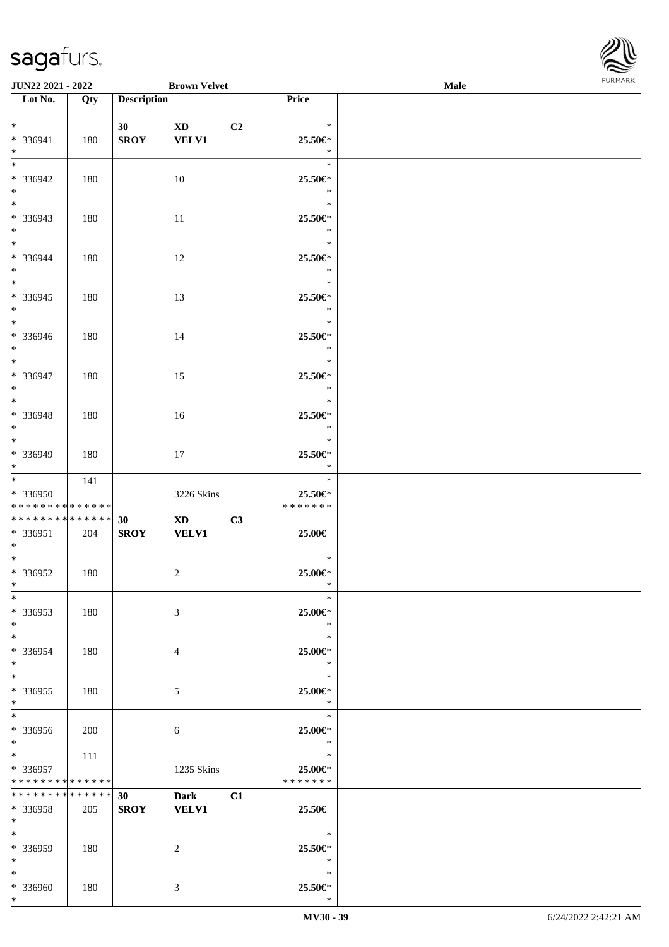\*



| <b>JUN22 2021 - 2022</b>                                           |     |                    | <b>Brown Velvet</b>                    |    |                                     | <b>Male</b> |  |
|--------------------------------------------------------------------|-----|--------------------|----------------------------------------|----|-------------------------------------|-------------|--|
| Lot No.                                                            | Qty | <b>Description</b> |                                        |    | Price                               |             |  |
| $*$<br>* 336941<br>$*$                                             | 180 | 30<br><b>SROY</b>  | $\mathbf{X}\mathbf{D}$<br><b>VELV1</b> | C2 | $\ast$<br>25.50€*<br>$\ast$         |             |  |
| $*$<br>* 336942<br>$*$                                             | 180 |                    | 10                                     |    | $\ast$<br>25.50€*<br>$\ast$         |             |  |
| $*$<br>* 336943<br>$*$                                             | 180 |                    | 11                                     |    | $\ast$<br>25.50€*<br>$\ast$         |             |  |
| $\ddot{x}$<br>* 336944<br>$*$                                      | 180 |                    | 12                                     |    | $\ast$<br>25.50€*<br>$\ast$         |             |  |
| $\overline{\ast}$<br>* 336945<br>$\ddot{x}$                        | 180 |                    | 13                                     |    | $\ast$<br>25.50€*<br>$\ast$         |             |  |
| * 336946<br>$*$                                                    | 180 |                    | 14                                     |    | $\ast$<br>25.50€*<br>$\ast$         |             |  |
| * 336947<br>$*$                                                    | 180 |                    | 15                                     |    | $\ast$<br>25.50€*<br>$\ast$         |             |  |
| $*$<br>* 336948<br>$*$                                             | 180 |                    | 16                                     |    | $\ast$<br>25.50€*<br>$\ast$         |             |  |
| $*$<br>* 336949<br>$*$                                             | 180 |                    | 17                                     |    | $\ast$<br>25.50€*<br>$\ast$         |             |  |
| $\ddot{x}$<br>* 336950<br>* * * * * * * * <mark>* * * * * *</mark> | 141 |                    | 3226 Skins                             |    | $\ast$<br>25.50€*<br>*******        |             |  |
| * * * * * * * * <mark>* * * * * * *</mark><br>$* 336951$<br>$*$    | 204 | 30<br><b>SROY</b>  | XD <sub>2</sub><br><b>VELV1</b>        | C3 | 25.00€                              |             |  |
| $\ast$<br>* 336952<br>$*$ $-$                                      | 180 |                    | $\overline{2}$                         |    | $\ast$<br>25.00€*<br>$\ast$         |             |  |
| $\ast$<br>* 336953<br>$*$                                          | 180 |                    | 3                                      |    | $\ast$<br>25.00€*<br>$\ast$         |             |  |
| $*$ $-$<br>* 336954<br>$\ast$                                      | 180 |                    | $\overline{4}$                         |    | $\ast$<br>25.00€*<br>$\ast$         |             |  |
| $\ddot{x}$<br>* 336955<br>$\ddot{x}$                               | 180 |                    | 5                                      |    | $\ast$<br>25.00€*<br>$\ast$         |             |  |
| $*$<br>* 336956<br>$*$                                             | 200 |                    | 6                                      |    | $\ast$<br>25.00€*<br>$\mathbb{R}^2$ |             |  |
| * 336957<br>* * * * * * * * <mark>* * * * * *</mark>               | 111 |                    | 1235 Skins                             |    | $\ast$<br>25.00€*<br>*******        |             |  |
| * * * * * * * * <mark>* * * * * * *</mark><br>* 336958<br>$\ast$   | 205 | 30<br><b>SROY</b>  | <b>Dark</b><br><b>VELV1</b>            | C1 | 25.50€                              |             |  |
| $*$<br>* 336959<br>$*$                                             | 180 |                    | 2                                      |    | $\ast$<br>25.50€*<br>$*$            |             |  |
| $\ast$<br>* 336960<br>$\ast$                                       | 180 |                    | 3                                      |    | $\ast$<br>25.50€*<br>$\ast$         |             |  |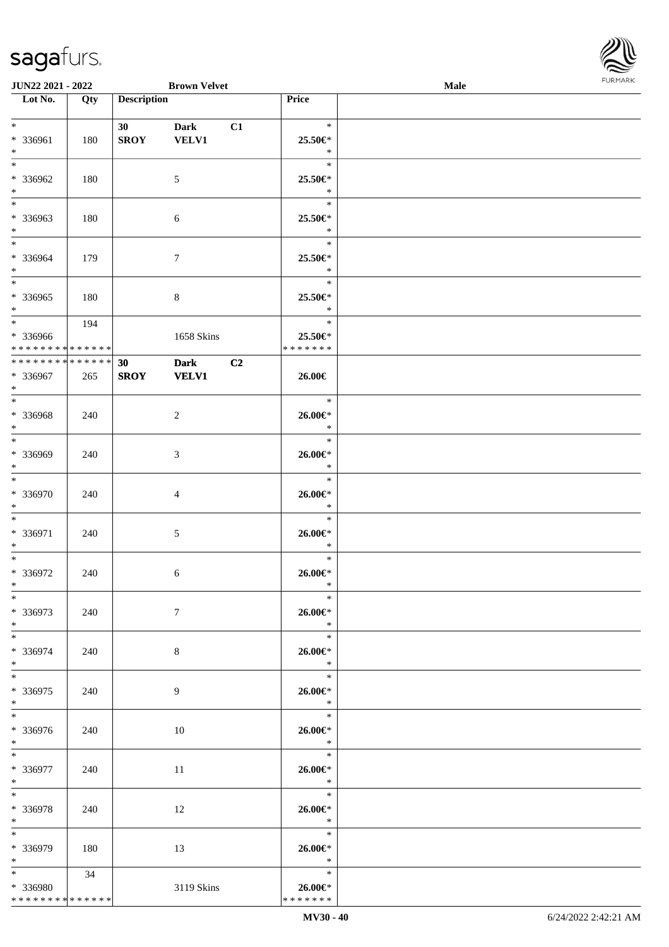

| JUN22 2021 - 2022                  |     |                    | <b>Brown Velvet</b> |                |                          | Male |  |
|------------------------------------|-----|--------------------|---------------------|----------------|--------------------------|------|--|
| Lot No.                            | Qty | <b>Description</b> |                     |                | <b>Price</b>             |      |  |
|                                    |     |                    |                     |                |                          |      |  |
| $*$                                |     | 30                 | <b>Dark</b>         | C1             | $\ast$                   |      |  |
| * 336961                           | 180 | <b>SROY</b>        | <b>VELV1</b>        |                | 25.50€*                  |      |  |
| $\ast$                             |     |                    |                     |                | $\ast$                   |      |  |
| $\overline{\phantom{0}}$           |     |                    |                     |                | $\ast$                   |      |  |
| * 336962                           |     |                    |                     |                |                          |      |  |
|                                    | 180 |                    | $\mathfrak{S}$      |                | 25.50€*                  |      |  |
| $\ast$<br>$\overline{\phantom{0}}$ |     |                    |                     |                | $\ast$                   |      |  |
|                                    |     |                    |                     |                | $\ast$                   |      |  |
| * 336963                           | 180 |                    | $\sqrt{6}$          |                | 25.50€*                  |      |  |
| $*$                                |     |                    |                     |                | $\ast$                   |      |  |
| $\overline{\ast}$                  |     |                    |                     |                | $\ast$                   |      |  |
| * 336964                           | 179 |                    | $\tau$              |                | 25.50€*                  |      |  |
| $\ast$                             |     |                    |                     |                | $\ast$                   |      |  |
| $\overline{\phantom{a}^*}$         |     |                    |                     |                | $\ast$                   |      |  |
| $*336965$                          | 180 |                    | $\,8\,$             |                | 25.50€*                  |      |  |
| $\ast$                             |     |                    |                     |                | $\ast$                   |      |  |
| $\overline{\ast}$                  | 194 |                    |                     |                | $\ast$                   |      |  |
|                                    |     |                    |                     |                |                          |      |  |
| * 336966                           |     |                    | 1658 Skins          |                | 25.50€*<br>* * * * * * * |      |  |
| * * * * * * * * * * * * * *        |     |                    |                     |                |                          |      |  |
| **************                     |     | 30                 | <b>Dark</b>         | C <sub>2</sub> |                          |      |  |
| $* 336967$                         | 265 | <b>SROY</b>        | <b>VELV1</b>        |                | 26.00€                   |      |  |
| $*$                                |     |                    |                     |                |                          |      |  |
| $\ast$                             |     |                    |                     |                | $\ast$                   |      |  |
| * 336968                           | 240 |                    | $\overline{2}$      |                | $26.00 \in$ *            |      |  |
| $\ast$                             |     |                    |                     |                | $\ast$                   |      |  |
| $*$                                |     |                    |                     |                | $\ast$                   |      |  |
| * 336969                           | 240 |                    | 3                   |                | $26.00 \text{E}^*$       |      |  |
| $\ast$                             |     |                    |                     |                | $\ast$                   |      |  |
| $\ast$                             |     |                    |                     |                | $\ast$                   |      |  |
| * 336970                           | 240 |                    |                     |                | $26.00 \in$ *            |      |  |
| $\ast$                             |     |                    | $\overline{4}$      |                | $\ast$                   |      |  |
| $\ast$                             |     |                    |                     |                | $\ast$                   |      |  |
|                                    |     |                    |                     |                |                          |      |  |
| * 336971                           | 240 |                    | $5\,$               |                | 26.00€*                  |      |  |
| $\ast$                             |     |                    |                     |                | $\ast$                   |      |  |
| $\ast$                             |     |                    |                     |                | $\ast$                   |      |  |
| * 336972                           | 240 |                    | 6                   |                | $26.00 \in$              |      |  |
| $*$                                |     |                    |                     |                | $\ast$                   |      |  |
| $*$                                |     |                    |                     |                | $\ast$                   |      |  |
| * 336973                           | 240 |                    | $\tau$              |                | $26.00 \in$              |      |  |
| $*$                                |     |                    |                     |                | $\ast$                   |      |  |
| $*$                                |     |                    |                     |                | $\ast$                   |      |  |
| * 336974                           | 240 |                    | $8\,$               |                | $26.00 \in$              |      |  |
| $*$                                |     |                    |                     |                | $\ast$                   |      |  |
| $*$                                |     |                    |                     |                | $\ast$                   |      |  |
| * 336975                           | 240 |                    | 9                   |                | $26.00 \in$              |      |  |
| $*$                                |     |                    |                     |                | $\ast$                   |      |  |
| $*$                                |     |                    |                     |                | $\ast$                   |      |  |
| * 336976                           |     |                    |                     |                |                          |      |  |
| $*$ $-$                            | 240 |                    | 10                  |                | 26.00€*<br>$\ast$        |      |  |
| $*$ and $*$                        |     |                    |                     |                |                          |      |  |
|                                    |     |                    |                     |                |                          |      |  |
| * 336977                           | 240 |                    | 11                  |                | 26.00€*                  |      |  |
| $*$ $-$                            |     |                    |                     |                | $\ast$                   |      |  |
| $\ast$                             |     |                    |                     |                | $\ast$                   |      |  |
| * 336978                           | 240 |                    | 12                  |                | $26.00 \in$              |      |  |
| $*$                                |     |                    |                     |                | $\ast$                   |      |  |
| $\ast$                             |     |                    |                     |                | $\ast$                   |      |  |
| * 336979                           | 180 |                    | 13                  |                | 26.00€*                  |      |  |
| $*$                                |     |                    |                     |                | $\mathbb{R}$             |      |  |
| $*$ $*$                            | 34  |                    |                     |                | $\ast$                   |      |  |
| * 336980                           |     |                    | 3119 Skins          |                | $26.00 \in$              |      |  |
| * * * * * * * * * * * * * *        |     |                    |                     |                | * * * * * * *            |      |  |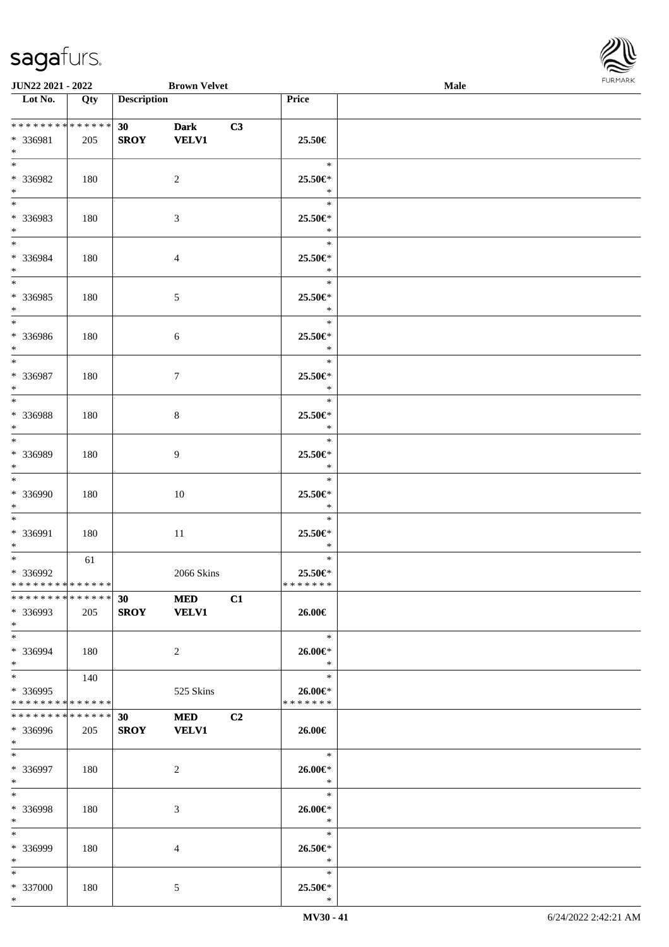

| <b>JUN22 2021 - 2022</b>                                             |     |                    | <b>Brown Velvet</b>         |                |                                                   | Male |  |
|----------------------------------------------------------------------|-----|--------------------|-----------------------------|----------------|---------------------------------------------------|------|--|
| Lot No.                                                              | Qty | <b>Description</b> |                             |                | Price                                             |      |  |
| * 336981<br>$\ast$                                                   | 205 | 30<br><b>SROY</b>  | <b>Dark</b><br><b>VELV1</b> | C3             | 25.50€                                            |      |  |
| $*$<br>* 336982<br>$*$                                               | 180 |                    | 2                           |                | $\ast$<br>25.50€*<br>$\ast$                       |      |  |
| $*$<br>* 336983<br>$\ast$                                            | 180 |                    | 3                           |                | $\ast$<br>25.50€*<br>$\ast$                       |      |  |
| $*$<br>* 336984<br>$*$                                               | 180 |                    | $\overline{4}$              |                | $\ast$<br>25.50€*<br>$\ast$                       |      |  |
| $\overline{\ast}$<br>* 336985<br>$*$                                 | 180 |                    | $\mathfrak{S}$              |                | $\ast$<br>25.50€*<br>$\ast$                       |      |  |
| $\overline{\phantom{0}}$<br>* 336986<br>$*$<br>$\overline{\ast}$     | 180 |                    | 6                           |                | $\ast$<br>25.50€*<br>$\ast$                       |      |  |
| * 336987<br>$\ast$                                                   | 180 |                    | $\tau$                      |                | $\ast$<br>25.50€*<br>$\ast$                       |      |  |
| $\overline{\ast}$<br>* 336988<br>$\ast$                              | 180 |                    | 8                           |                | $\ast$<br>25.50€*<br>$\ast$                       |      |  |
| $*$<br>* 336989<br>$\ast$                                            | 180 |                    | $\overline{9}$              |                | $\ast$<br>25.50€*<br>$\ast$                       |      |  |
| $*$<br>* 336990<br>$*$                                               | 180 |                    | 10                          |                | $\ast$<br>25.50€*<br>$\ast$                       |      |  |
| $*$<br>* 336991<br>$\ast$                                            | 180 |                    | 11                          |                | $\ast$<br>25.50€*<br>$\ast$                       |      |  |
| $\ast$<br>* 336992<br>* * * * * * * * <mark>* * * * * * *</mark>     | 61  |                    | 2066 Skins                  |                | $\ast$<br>25.50€*<br>*******                      |      |  |
| * * * * * * * * * * * * * * *<br>* 336993<br>$*$                     | 205 | SROY VELV1         | <b>30 MED</b>               | C1             | 26.00€                                            |      |  |
| $*$ $-$<br>* 336994<br>$\ddot{\ast}$                                 | 180 |                    | 2                           |                | $*$<br>26.00€*<br>$\ast$                          |      |  |
| $\ddot{x}$<br>* 336995<br>* * * * * * * * <mark>* * * * * * *</mark> | 140 |                    | 525 Skins                   |                | $\ast$<br>$26.00 \in$<br>* * * * * * *            |      |  |
| * * * * * * * * <mark>* * * * * * *</mark><br>* 336996<br>$*$        | 205 | 30<br><b>SROY</b>  | <b>MED</b><br><b>VELV1</b>  | C <sub>2</sub> | 26.00€                                            |      |  |
| $*$ $-$<br>* 336997<br>$*$                                           | 180 |                    | 2                           |                | $\overline{\phantom{a}}$<br>$26.00 \in$<br>$\ast$ |      |  |
| $*$ $-$<br>* 336998<br>$\ast$                                        | 180 |                    | 3                           |                | $\ast$<br>26.00€*<br>$\ast$                       |      |  |
| $*$<br>* 336999<br>$*$ $-$                                           | 180 |                    | $\overline{4}$              |                | $\ast$<br>26.50€*<br>$\ast$                       |      |  |
| $\ddot{x}$<br>* 337000<br>$\ast$                                     | 180 |                    | 5                           |                | $\ast$<br>25.50€*<br>$\ast$                       |      |  |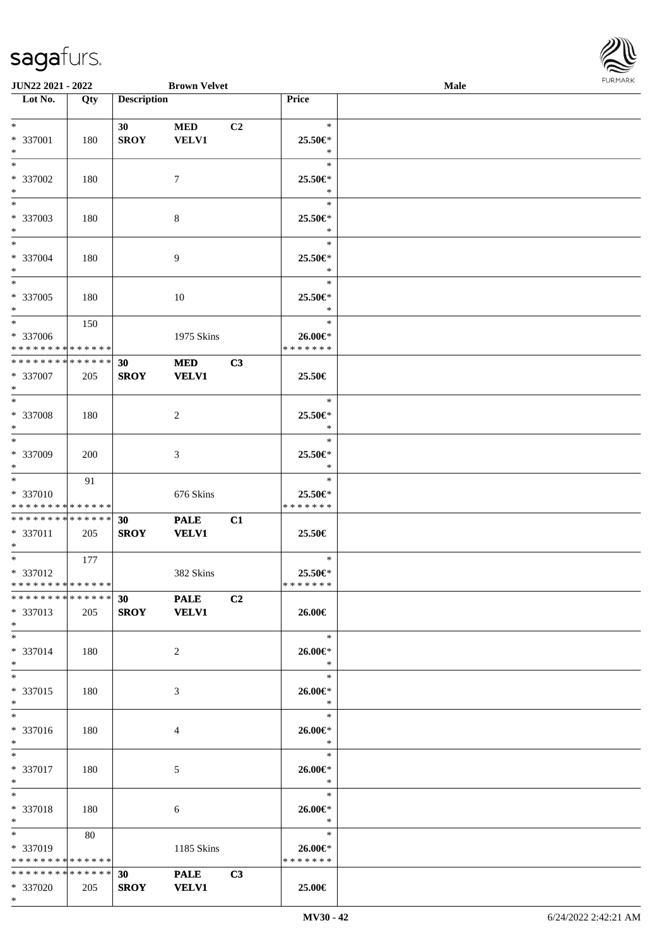\*



| JUN22 2021 - 2022             |     |                    | <b>Brown Velvet</b> |    |               | Male | 101111111111 |
|-------------------------------|-----|--------------------|---------------------|----|---------------|------|--------------|
| Lot No.                       | Qty | <b>Description</b> |                     |    | Price         |      |              |
|                               |     |                    |                     |    |               |      |              |
| $*$                           |     | 30 <sup>°</sup>    | <b>MED</b>          | C2 | $\ast$        |      |              |
| * 337001                      | 180 | <b>SROY</b>        | <b>VELV1</b>        |    | 25.50€*       |      |              |
| $*$                           |     |                    |                     |    | $\ast$        |      |              |
| $*$                           |     |                    |                     |    | $\ast$        |      |              |
| * 337002                      | 180 |                    | 7                   |    | 25.50€*       |      |              |
| $*$                           |     |                    |                     |    | $\ast$        |      |              |
| $\overline{\phantom{0}}$      |     |                    |                     |    | $\ast$        |      |              |
| $* 337003$                    | 180 |                    | 8                   |    | 25.50€*       |      |              |
| $*$                           |     |                    |                     |    | $\ast$        |      |              |
| $*$                           |     |                    |                     |    | $\ast$        |      |              |
| * 337004                      | 180 |                    | 9                   |    | 25.50€*       |      |              |
| $*$                           |     |                    |                     |    | $\ast$        |      |              |
| $\overline{\phantom{0}}$      |     |                    |                     |    | $\ast$        |      |              |
| $* 337005$                    | 180 |                    | 10                  |    | 25.50€*       |      |              |
| $*$                           |     |                    |                     |    | $\ast$        |      |              |
| $*$                           | 150 |                    |                     |    | $\ast$        |      |              |
| $* 337006$                    |     |                    | 1975 Skins          |    | 26.00€*       |      |              |
| * * * * * * * * * * * * * *   |     |                    |                     |    | * * * * * * * |      |              |
| * * * * * * * * * * * * * *   |     | 30                 | <b>MED</b>          | C3 |               |      |              |
| * 337007                      | 205 | <b>SROY</b>        | <b>VELV1</b>        |    | 25.50€        |      |              |
| $*$                           |     |                    |                     |    |               |      |              |
| $*$                           |     |                    |                     |    | $\ast$        |      |              |
| $* 337008$                    | 180 |                    | $\overline{2}$      |    | 25.50€*       |      |              |
| $*$                           |     |                    |                     |    | $\ast$        |      |              |
|                               |     |                    |                     |    | $\ast$        |      |              |
| * 337009                      | 200 |                    | 3                   |    | 25.50€*       |      |              |
| $*$                           |     |                    |                     |    | $\ast$        |      |              |
| $*$                           | 91  |                    |                     |    | $\ast$        |      |              |
| * 337010                      |     |                    | 676 Skins           |    | 25.50€*       |      |              |
| * * * * * * * * * * * * * *   |     |                    |                     |    | * * * * * * * |      |              |
| * * * * * * * * * * * * * *   |     | 30                 | <b>PALE</b>         | C1 |               |      |              |
| * 337011                      | 205 | <b>SROY</b>        | <b>VELV1</b>        |    | 25.50€        |      |              |
| $*$                           |     |                    |                     |    |               |      |              |
| $*$                           | 177 |                    |                     |    | $\ast$        |      |              |
| * 337012                      |     |                    | 382 Skins           |    | 25.50€*       |      |              |
| * * * * * * * * * * * * * *   |     |                    |                     |    | * * * * * * * |      |              |
| * * * * * * * * * * * * * * * |     | 30                 | <b>PALE</b>         | C2 |               |      |              |
| * 337013                      | 205 |                    | SROY VELV1          |    | 26.00€        |      |              |
| $*$                           |     |                    |                     |    |               |      |              |
| $*$                           |     |                    |                     |    | $\ast$        |      |              |
| * 337014                      | 180 |                    | $\overline{2}$      |    | 26.00€*       |      |              |
| $*$                           |     |                    |                     |    | $\ast$        |      |              |
| $*$                           |     |                    |                     |    | $\ast$        |      |              |
| * 337015                      | 180 |                    | 3                   |    | 26.00€*       |      |              |
| $*$                           |     |                    |                     |    | $\ast$        |      |              |
| $*$                           |     |                    |                     |    | $\ast$        |      |              |
| * 337016                      | 180 |                    | 4                   |    | 26.00€*       |      |              |
| $*$                           |     |                    |                     |    | $\ast$        |      |              |
| $*$                           |     |                    |                     |    | $\ast$        |      |              |
| * 337017                      | 180 |                    | 5                   |    | $26.00 \in$ * |      |              |
| $*$ $*$                       |     |                    |                     |    | $\ast$        |      |              |
| $*$                           |     |                    |                     |    | $\ast$        |      |              |
| * 337018                      | 180 |                    | 6                   |    | 26.00€*       |      |              |
| $*$ $-$                       |     |                    |                     |    | $\ast$        |      |              |
| $\ast$                        | 80  |                    |                     |    | $\ast$        |      |              |
| * 337019                      |     |                    | 1185 Skins          |    | 26.00€*       |      |              |
| * * * * * * * * * * * * * *   |     |                    |                     |    | * * * * * * * |      |              |
| ******** <mark>******</mark>  |     | 30                 | <b>PALE</b>         | C3 |               |      |              |
| * 337020                      | 205 | <b>SROY</b>        | <b>VELV1</b>        |    | 25.00€        |      |              |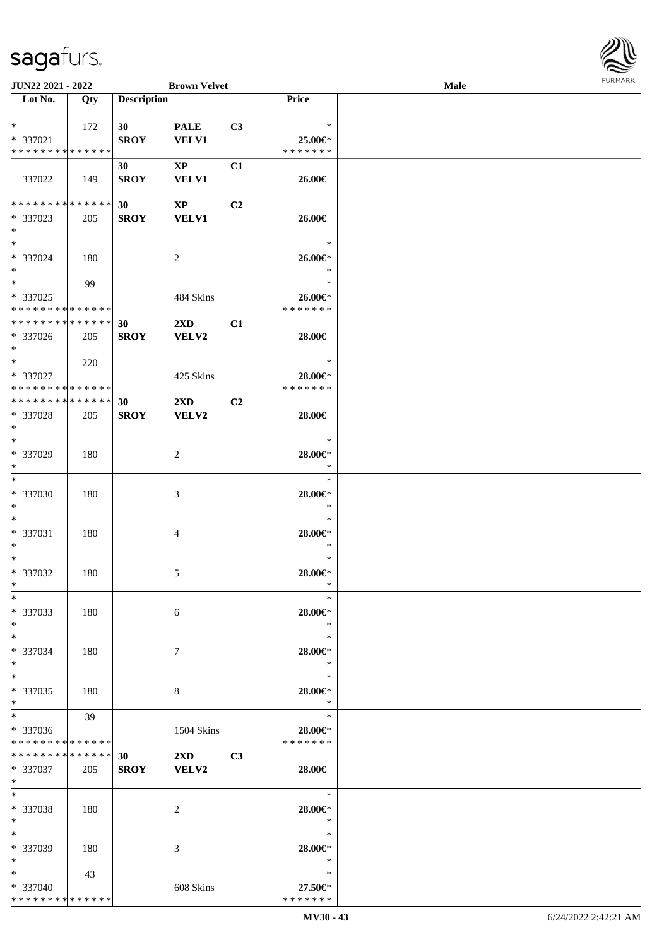

| JUN22 2021 - 2022                  |     |                    | <b>Brown Velvet</b>     |    |                   | Male | <b>FURMARK</b> |
|------------------------------------|-----|--------------------|-------------------------|----|-------------------|------|----------------|
| $\overline{\phantom{1}}$ Lot No.   | Qty | <b>Description</b> |                         |    | Price             |      |                |
| $*$ $*$                            | 172 | 30 <sub>1</sub>    | <b>PALE</b>             | C3 | $\ast$            |      |                |
| * 337021                           |     | <b>SROY</b>        | <b>VELV1</b>            |    | 25.00€*           |      |                |
| * * * * * * * * * * * * * *        |     |                    |                         |    | * * * * * * *     |      |                |
|                                    |     | <b>30</b>          | $\mathbf{X}\mathbf{P}$  | C1 |                   |      |                |
| 337022                             | 149 | <b>SROY</b>        | <b>VELV1</b>            |    | $26.00 \in$       |      |                |
| * * * * * * * * * * * * * *        |     | 30                 | $\mathbf{X}\mathbf{P}$  | C2 |                   |      |                |
| * 337023                           | 205 | <b>SROY</b>        | <b>VELV1</b>            |    | 26.00€            |      |                |
| $*$                                |     |                    |                         |    |                   |      |                |
| $\ast$                             |     |                    |                         |    | $\ast$            |      |                |
| * 337024<br>$*$                    | 180 |                    | $\overline{c}$          |    | 26.00€*<br>$\ast$ |      |                |
| $\ast$                             | 99  |                    |                         |    | $\ast$            |      |                |
| * 337025                           |     |                    | 484 Skins               |    | 26.00€*           |      |                |
| * * * * * * * * * * * * * *        |     |                    |                         |    | * * * * * * *     |      |                |
| * * * * * * * * * * * * * *        |     | 30                 | $2\mathbf{X}\mathbf{D}$ | C1 |                   |      |                |
| * 337026<br>$*$                    | 205 | <b>SROY</b>        | VELV2                   |    | 28.00€            |      |                |
| $*$                                | 220 |                    |                         |    | $\ast$            |      |                |
| * 337027                           |     |                    | 425 Skins               |    | 28.00€*           |      |                |
| * * * * * * * * * * * * * *        |     |                    |                         |    | * * * * * * *     |      |                |
| * * * * * * * * * * * * * *        |     | 30                 | $2\mathbf{X}\mathbf{D}$ | C2 |                   |      |                |
| * 337028<br>$\ast$                 | 205 | <b>SROY</b>        | <b>VELV2</b>            |    | 28.00€            |      |                |
| $\overline{\phantom{a}^*}$         |     |                    |                         |    | $\ast$            |      |                |
| * 337029                           | 180 |                    | $\overline{c}$          |    | 28.00€*           |      |                |
| $\ast$<br>$*$                      |     |                    |                         |    | $\ast$            |      |                |
| * 337030                           | 180 |                    | $\mathfrak{Z}$          |    | $\ast$<br>28.00€* |      |                |
| $\ast$                             |     |                    |                         |    | $\ast$            |      |                |
| $\ast$                             |     |                    |                         |    | $\ast$            |      |                |
| * 337031                           | 180 |                    | 4                       |    | 28.00€*           |      |                |
| $\ast$<br>$\overline{\phantom{0}}$ |     |                    |                         |    | $\ast$<br>$\ast$  |      |                |
| $* 337032$                         | 180 |                    | 5                       |    | $28.00 \in$ *     |      |                |
| $\ast$                             |     |                    |                         |    | $\ast$            |      |                |
| $\ast$                             |     |                    |                         |    | $\ast$            |      |                |
| * 337033                           | 180 |                    | 6                       |    | 28.00€*           |      |                |
| $\ast$<br>$*$                      |     |                    |                         |    | $\ast$<br>$\ast$  |      |                |
| * 337034                           | 180 |                    | $\tau$                  |    | 28.00€*           |      |                |
| $\ast$                             |     |                    |                         |    | $\ast$            |      |                |
| $\overline{\ast}$                  |     |                    |                         |    | $\ast$            |      |                |
| * 337035                           | 180 |                    | $\,8\,$                 |    | 28.00€*<br>$\ast$ |      |                |
| $\ast$<br>$\ast$                   | 39  |                    |                         |    | $\ast$            |      |                |
| * 337036                           |     |                    | 1504 Skins              |    | 28.00€*           |      |                |
| * * * * * * * * * * * * * *        |     |                    |                         |    | * * * * * * *     |      |                |
| * * * * * * * * * * * * * *        |     | 30                 | $2\mathbf{X}\mathbf{D}$ | C3 |                   |      |                |
| $*337037$<br>$\ast$                | 205 | <b>SROY</b>        | <b>VELV2</b>            |    | 28.00€            |      |                |
| $\ast$                             |     |                    |                         |    | $\ast$            |      |                |
| * 337038                           | 180 |                    | 2                       |    | 28.00€*           |      |                |
| $\ast$                             |     |                    |                         |    | $\ast$            |      |                |
| $\ast$                             |     |                    |                         |    | $\ast$            |      |                |
| * 337039<br>$\ast$                 | 180 |                    | 3                       |    | 28.00€*<br>$\ast$ |      |                |
| $\ast$                             | 43  |                    |                         |    | $\ast$            |      |                |
| * 337040                           |     |                    | 608 Skins               |    | 27.50€*           |      |                |
| ******** <mark>******</mark>       |     |                    |                         |    | * * * * * * *     |      |                |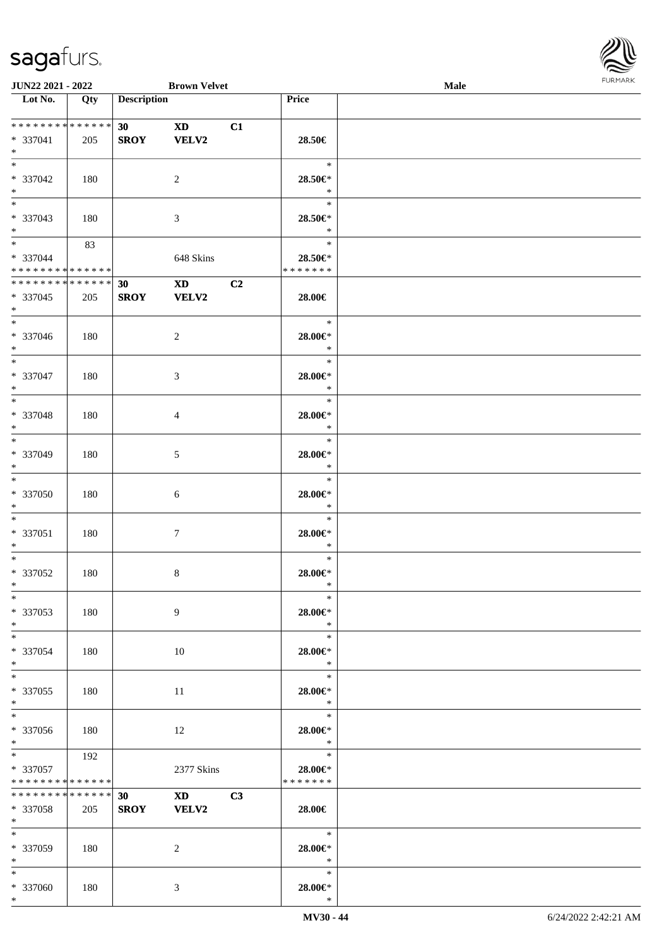\*



| <b>JUN22 2021 - 2022</b>                                      |     |                                | <b>Brown Velvet</b>                     |    |                                    | Male |  |
|---------------------------------------------------------------|-----|--------------------------------|-----------------------------------------|----|------------------------------------|------|--|
| Lot No.                                                       | Qty | <b>Description</b>             |                                         |    | Price                              |      |  |
| ******** <mark>******</mark><br>* 337041<br>$*$               | 205 | 30 <sup>°</sup><br><b>SROY</b> | <b>XD</b><br><b>VELV2</b>               | C1 | 28.50€                             |      |  |
| * 337042<br>$*$                                               | 180 |                                | 2                                       |    | $\ast$<br>28.50€*<br>$\ast$        |      |  |
| * 337043<br>$*$                                               | 180 |                                | 3                                       |    | $\ast$<br>28.50€*<br>$\ast$        |      |  |
| $*$<br>* 337044<br>* * * * * * * * * * * * * *                | 83  |                                | 648 Skins                               |    | $\ast$<br>28.50€*<br>* * * * * * * |      |  |
| * * * * * * * * <mark>* * * * * * *</mark><br>* 337045<br>$*$ | 205 | 30<br><b>SROY</b>              | $\mathbf{X}\mathbf{D}$<br>VELV2         | C2 | 28.00€                             |      |  |
| $\frac{1}{2}$<br>* 337046<br>$*$                              | 180 |                                | 2                                       |    | $\ast$<br>28.00€*<br>$\ast$        |      |  |
| $*$<br>* 337047<br>$*$                                        | 180 |                                | 3                                       |    | $\ast$<br>28.00€*<br>$\ast$        |      |  |
| $*$<br>* 337048<br>$*$                                        | 180 |                                | $\overline{4}$                          |    | $\ast$<br>28.00€*<br>$\ast$        |      |  |
| $\overline{\ast}$<br>* 337049<br>$*$                          | 180 |                                | 5                                       |    | $\ast$<br>28.00€*<br>$\ast$        |      |  |
| $*$<br>* 337050<br>$*$                                        | 180 |                                | 6                                       |    | $\ast$<br>$28.00 \in$ *<br>$\ast$  |      |  |
| $*$<br>* 337051<br>$*$                                        | 180 |                                | $7\phantom{.0}$                         |    | $\ast$<br>$28.00 \in$ *<br>$\ast$  |      |  |
| $*$<br>* 337052<br>$*$                                        | 180 |                                | 8                                       |    | $\ast$<br>28.00€*<br>$\ast$        |      |  |
| $*$<br>* 337053<br>$*$                                        | 180 |                                | 9                                       |    | $\ast$<br>28.00€*<br>$*$           |      |  |
| $*$<br>* 337054<br>$*$                                        | 180 |                                | 10                                      |    | $\ast$<br>28.00€*<br>$\ast$        |      |  |
| $*$ $-$<br>* 337055<br>$*$                                    | 180 |                                | 11                                      |    | $\ast$<br>28.00€*<br>$\ast$        |      |  |
| * 337056<br>$*$                                               | 180 |                                | 12                                      |    | $\ast$<br>28.00€*<br>$\ast$        |      |  |
| $*$<br>* 337057<br>* * * * * * * * <mark>* * * * * *</mark>   | 192 |                                | 2377 Skins                              |    | $\ast$<br>28.00€*<br>* * * * * * * |      |  |
| * * * * * * * * <mark>* * * * * *</mark><br>* 337058<br>$*$   | 205 | 30<br><b>SROY</b>              | $\mathbf{X} \mathbf{D}$<br><b>VELV2</b> | C3 | 28.00€                             |      |  |
| $*$<br>* 337059<br>$*$ $-$                                    | 180 |                                | 2                                       |    | $\ast$<br>28.00€*<br>$*$           |      |  |
| $*$<br>* 337060                                               | 180 |                                | 3                                       |    | $\ast$<br>28.00€*                  |      |  |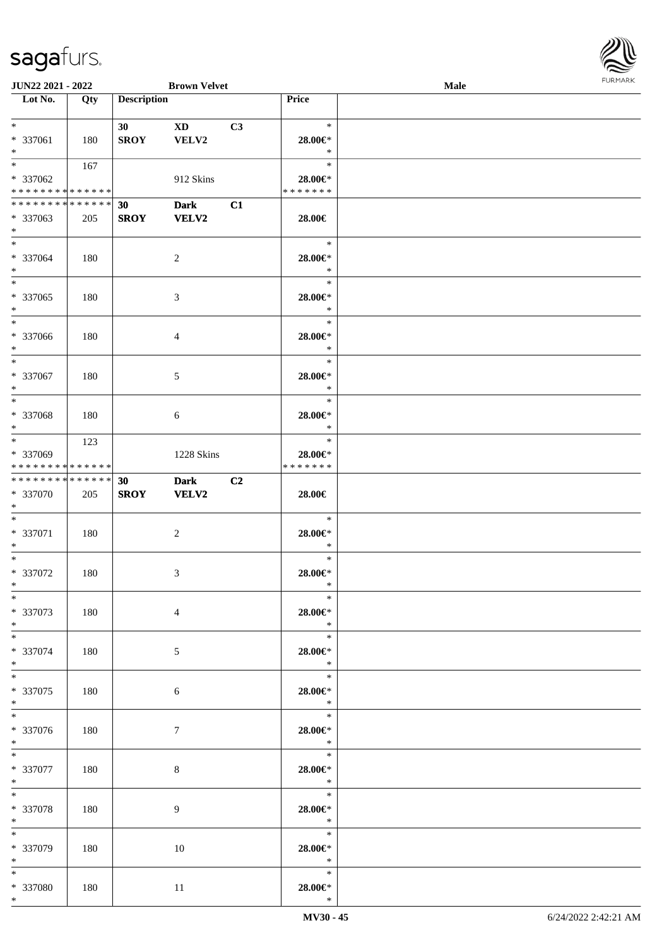

| <b>JUN22 2021 - 2022</b>      |     |                    | <b>Brown Velvet</b> |    |                         | <b>Male</b> |  |
|-------------------------------|-----|--------------------|---------------------|----|-------------------------|-------------|--|
| Lot No.                       | Qty | <b>Description</b> |                     |    | Price                   |             |  |
|                               |     |                    |                     |    |                         |             |  |
| $*$                           |     | 30                 | <b>XD</b>           | C3 | $\ast$                  |             |  |
| * 337061                      | 180 | <b>SROY</b>        | VELV2               |    | 28.00€*                 |             |  |
| $*$                           |     |                    |                     |    | $\ast$                  |             |  |
| $\overline{\ast}$             | 167 |                    |                     |    | $\ast$                  |             |  |
| * 337062                      |     |                    | 912 Skins           |    | 28.00€*                 |             |  |
| * * * * * * * * * * * * * *   |     |                    |                     |    | * * * * * * *           |             |  |
|                               |     |                    |                     |    |                         |             |  |
| * * * * * * * * * * * * * * * |     | 30                 | <b>Dark</b>         | C1 |                         |             |  |
| * 337063                      | 205 | <b>SROY</b>        | <b>VELV2</b>        |    | 28.00€                  |             |  |
| $*$                           |     |                    |                     |    |                         |             |  |
| $*$                           |     |                    |                     |    | $\ast$                  |             |  |
| * 337064                      | 180 |                    | $\overline{c}$      |    | 28.00€*                 |             |  |
| $*$                           |     |                    |                     |    | $\ast$                  |             |  |
|                               |     |                    |                     |    | $\ast$                  |             |  |
| * 337065                      | 180 |                    | 3                   |    | 28.00€*                 |             |  |
| $*$                           |     |                    |                     |    | $\ast$                  |             |  |
| $*$                           |     |                    |                     |    | $\ast$                  |             |  |
| * 337066                      |     |                    |                     |    |                         |             |  |
| $*$                           | 180 |                    | 4                   |    | 28.00€*<br>$\ast$       |             |  |
|                               |     |                    |                     |    |                         |             |  |
| $*$                           |     |                    |                     |    | $\ast$                  |             |  |
| * 337067                      | 180 |                    | 5                   |    | 28.00€*                 |             |  |
| $*$                           |     |                    |                     |    | $\ast$                  |             |  |
| $*$                           |     |                    |                     |    | $\ast$                  |             |  |
| * 337068                      | 180 |                    | 6                   |    | 28.00€*                 |             |  |
| $*$                           |     |                    |                     |    | $\ast$                  |             |  |
| $*$                           | 123 |                    |                     |    | $\ast$                  |             |  |
| * 337069                      |     |                    | 1228 Skins          |    | 28.00€*                 |             |  |
| * * * * * * * * * * * * * *   |     |                    |                     |    | * * * * * * *           |             |  |
| * * * * * * * * * * * * * * * |     | 30                 | <b>Dark</b>         | C2 |                         |             |  |
| * 337070                      | 205 | <b>SROY</b>        | VELV2               |    | 28.00€                  |             |  |
| $*$                           |     |                    |                     |    |                         |             |  |
| $*$                           |     |                    |                     |    | $\ast$                  |             |  |
|                               |     |                    |                     |    |                         |             |  |
| * 337071                      | 180 |                    | $\overline{c}$      |    | 28.00€*                 |             |  |
| $*$                           |     |                    |                     |    | $\ast$                  |             |  |
| $*$                           |     |                    |                     |    | $\ast$                  |             |  |
| $* 337072$                    | 180 |                    | 3                   |    | 28.00€*                 |             |  |
| $*$                           |     |                    |                     |    | $\ast$                  |             |  |
| $*$                           |     |                    |                     |    | $\ast$                  |             |  |
| * 337073                      | 180 |                    | $\overline{4}$      |    | $28.00 \in$ *           |             |  |
| $*$                           |     |                    |                     |    | $\ast$                  |             |  |
| $*$                           |     |                    |                     |    | $\ast$                  |             |  |
| * 337074                      | 180 |                    | 5                   |    | 28.00€*                 |             |  |
| $*$                           |     |                    |                     |    | $\ast$                  |             |  |
| $*$                           |     |                    |                     |    | $\ast$                  |             |  |
| $* 337075$                    |     |                    |                     |    | 28.00€*                 |             |  |
| $*$                           | 180 |                    | 6                   |    | $\rightarrow$           |             |  |
| $*$                           |     |                    |                     |    |                         |             |  |
|                               |     |                    |                     |    | $\ast$                  |             |  |
| * 337076                      | 180 |                    | 7                   |    | $28.00 \in$ *           |             |  |
| $*$                           |     |                    |                     |    | $\ddot{x}$              |             |  |
| $*$                           |     |                    |                     |    | $\ast$                  |             |  |
| $* 337077$                    | 180 |                    | $8\,$               |    | 28.00€*                 |             |  |
| $*$                           |     |                    |                     |    | $\ast$                  |             |  |
| $*$                           |     |                    |                     |    | $\ast$                  |             |  |
| * 337078                      | 180 |                    | 9                   |    | 28.00€*                 |             |  |
| $*$                           |     |                    |                     |    | $\ast$                  |             |  |
| $*$                           |     |                    |                     |    | $\ast$                  |             |  |
| * 337079                      | 180 |                    | 10                  |    | 28.00€*                 |             |  |
| $*$                           |     |                    |                     |    | $\ast$                  |             |  |
| $*$                           |     |                    |                     |    | $\ast$                  |             |  |
|                               |     |                    |                     |    |                         |             |  |
| * 337080<br>$*$               | 180 |                    | 11                  |    | $28.00 \in$ *<br>$\ast$ |             |  |
|                               |     |                    |                     |    |                         |             |  |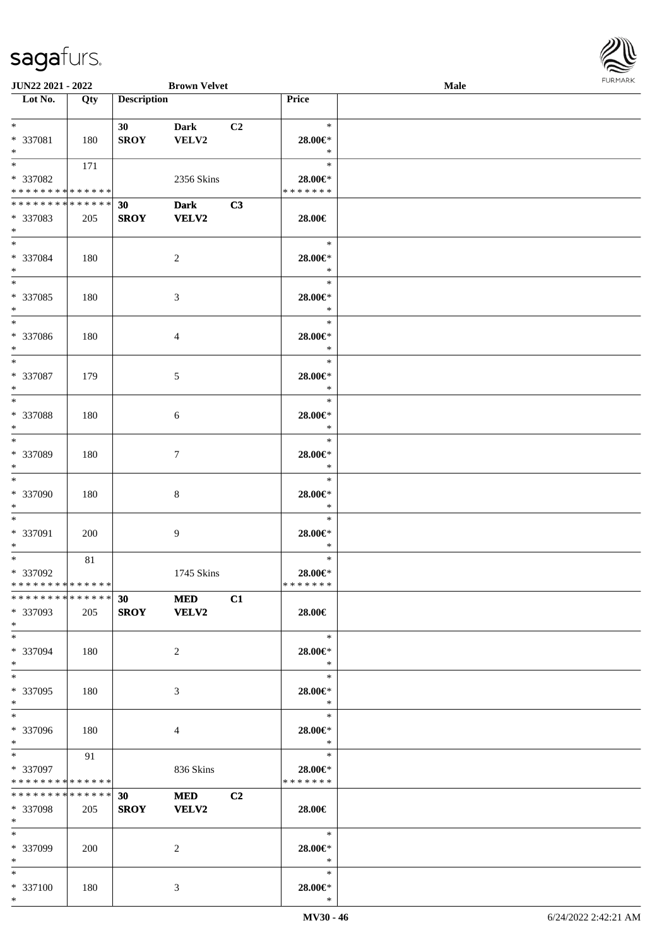

| <b>JUN22 2021 - 2022</b>      |     |                    | <b>Brown Velvet</b> |    |               | <b>Male</b> |  |
|-------------------------------|-----|--------------------|---------------------|----|---------------|-------------|--|
| Lot No.                       | Qty | <b>Description</b> |                     |    | Price         |             |  |
|                               |     |                    |                     |    |               |             |  |
| $*$                           |     | 30                 | <b>Dark</b>         | C2 | $\ast$        |             |  |
| * 337081                      | 180 | <b>SROY</b>        | VELV2               |    | 28.00€*       |             |  |
| $*$                           |     |                    |                     |    | $\ast$        |             |  |
| $*$                           | 171 |                    |                     |    | $\ast$        |             |  |
| * 337082                      |     |                    | 2356 Skins          |    | 28.00€*       |             |  |
| * * * * * * * * * * * * * *   |     |                    |                     |    | * * * * * * * |             |  |
| * * * * * * * * * * * * * * * |     | 30                 | <b>Dark</b>         | C3 |               |             |  |
| * 337083                      | 205 | <b>SROY</b>        | <b>VELV2</b>        |    | 28.00€        |             |  |
| $*$                           |     |                    |                     |    |               |             |  |
| $*$                           |     |                    |                     |    | $\ast$        |             |  |
| * 337084                      | 180 |                    | $\overline{c}$      |    | 28.00€*       |             |  |
| $*$                           |     |                    |                     |    | $\ast$        |             |  |
| $*$                           |     |                    |                     |    | $\ast$        |             |  |
|                               |     |                    |                     |    |               |             |  |
| * 337085                      | 180 |                    | 3                   |    | 28.00€*       |             |  |
| $*$<br>$*$                    |     |                    |                     |    | $\ast$        |             |  |
|                               |     |                    |                     |    | $\ast$        |             |  |
| * 337086                      | 180 |                    | 4                   |    | 28.00€*       |             |  |
| $*$                           |     |                    |                     |    | $\ast$        |             |  |
| $*$                           |     |                    |                     |    | $\ast$        |             |  |
| * 337087                      | 179 |                    | 5                   |    | 28.00€*       |             |  |
| $*$                           |     |                    |                     |    | $\ast$        |             |  |
| $*$                           |     |                    |                     |    | $\ast$        |             |  |
| * 337088                      | 180 |                    | 6                   |    | 28.00€*       |             |  |
| $*$                           |     |                    |                     |    | $\ast$        |             |  |
| $*$                           |     |                    |                     |    | $\ast$        |             |  |
| * 337089                      | 180 |                    | 7                   |    | 28.00€*       |             |  |
| $*$                           |     |                    |                     |    | $\ast$        |             |  |
| $*$                           |     |                    |                     |    | $\ast$        |             |  |
| * 337090                      | 180 |                    | 8                   |    | $28.00 \in$ * |             |  |
| $*$                           |     |                    |                     |    | $\ast$        |             |  |
| $*$                           |     |                    |                     |    | $\ast$        |             |  |
| * 337091                      | 200 |                    | 9                   |    | 28.00€*       |             |  |
| $*$                           |     |                    |                     |    | $\ast$        |             |  |
| $*$                           | 81  |                    |                     |    | $\ast$        |             |  |
| * 337092                      |     |                    | 1745 Skins          |    | 28.00€*       |             |  |
| * * * * * * * * * * * * * * * |     |                    |                     |    | *******       |             |  |
| * * * * * * * * * * * * * * * |     | 30                 | <b>MED</b>          | C1 |               |             |  |
| * 337093                      | 205 |                    | SROY VELV2          |    | 28.00€        |             |  |
| $*$                           |     |                    |                     |    |               |             |  |
| $*$                           |     |                    |                     |    | $\ast$        |             |  |
| * 337094                      | 180 |                    | 2                   |    | 28.00€*       |             |  |
| $*$                           |     |                    |                     |    | $\ast$        |             |  |
| $*$                           |     |                    |                     |    | $\ast$        |             |  |
| * 337095                      | 180 |                    | 3                   |    | 28.00€*       |             |  |
| $*$                           |     |                    |                     |    | $\ast$        |             |  |
| $*$                           |     |                    |                     |    | $\ast$        |             |  |
| * 337096                      | 180 |                    | 4                   |    | 28.00€*       |             |  |
| $*$                           |     |                    |                     |    | $\ast$        |             |  |
| $*$                           | 91  |                    |                     |    | $\ast$        |             |  |
| * 337097                      |     |                    | 836 Skins           |    | 28.00€*       |             |  |
| * * * * * * * * * * * * * *   |     |                    |                     |    | * * * * * * * |             |  |
| * * * * * * * * * * * * * * * |     |                    |                     | C2 |               |             |  |
|                               |     | 30                 | <b>MED</b>          |    |               |             |  |
| * 337098<br>$*$               | 205 | <b>SROY</b>        | <b>VELV2</b>        |    | 28.00€        |             |  |
| $*$                           |     |                    |                     |    | $\ast$        |             |  |
|                               |     |                    |                     |    |               |             |  |
| * 337099                      | 200 |                    | 2                   |    | 28.00€*       |             |  |
| $*$                           |     |                    |                     |    | $\ast$        |             |  |
| $*$                           |     |                    |                     |    | $\ast$        |             |  |
| * 337100                      | 180 |                    | 3                   |    | 28.00€*       |             |  |
| $*$                           |     |                    |                     |    | $\ast$        |             |  |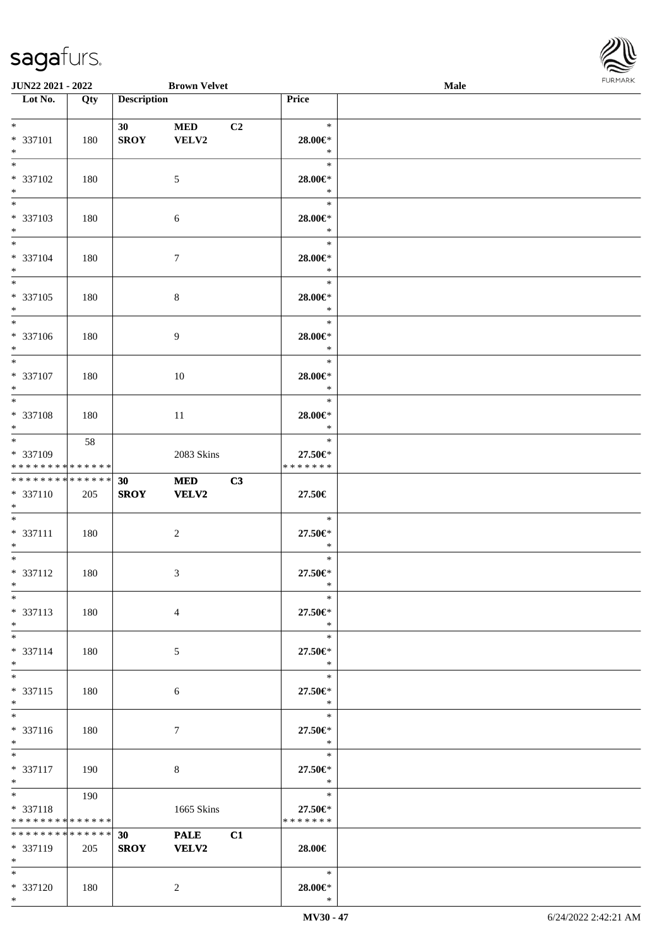

| <b>JUN22 2021 - 2022</b>                               |     |                    | <b>Brown Velvet</b> |                |                          | Male |  |
|--------------------------------------------------------|-----|--------------------|---------------------|----------------|--------------------------|------|--|
| Lot No.                                                | Qty | <b>Description</b> |                     |                | Price                    |      |  |
|                                                        |     |                    |                     |                |                          |      |  |
| $*$                                                    |     | 30                 | <b>MED</b>          | C <sub>2</sub> | $\ast$                   |      |  |
| * 337101                                               | 180 | <b>SROY</b>        | VELV2               |                | 28.00€*                  |      |  |
| $*$                                                    |     |                    |                     |                | $\ast$                   |      |  |
|                                                        |     |                    |                     |                | $\ast$                   |      |  |
| * 337102                                               | 180 |                    | $\mathfrak{S}$      |                | 28.00€*                  |      |  |
| $*$                                                    |     |                    |                     |                | $\ast$                   |      |  |
|                                                        |     |                    |                     |                | $\ast$                   |      |  |
| * 337103                                               | 180 |                    | 6                   |                | 28.00€*                  |      |  |
| $*$                                                    |     |                    |                     |                | $\ast$                   |      |  |
| $*$                                                    |     |                    |                     |                | $\ast$                   |      |  |
| * 337104                                               | 180 |                    | $\tau$              |                | 28.00€*                  |      |  |
| $*$                                                    |     |                    |                     |                | $\ast$                   |      |  |
|                                                        |     |                    |                     |                | $\ast$                   |      |  |
| * 337105                                               | 180 |                    | $\,8\,$             |                | 28.00€*                  |      |  |
| $*$                                                    |     |                    |                     |                | $\ast$                   |      |  |
|                                                        |     |                    |                     |                | $\ast$                   |      |  |
| * 337106                                               | 180 |                    | 9                   |                | 28.00€*                  |      |  |
| $*$                                                    |     |                    |                     |                | $\ast$                   |      |  |
|                                                        |     |                    |                     |                | $\ast$                   |      |  |
| * 337107                                               |     |                    |                     |                | 28.00€*                  |      |  |
| $*$                                                    | 180 |                    | 10                  |                | $\ast$                   |      |  |
|                                                        |     |                    |                     |                | $\ast$                   |      |  |
|                                                        |     |                    |                     |                |                          |      |  |
| * 337108                                               | 180 |                    | 11                  |                | 28.00€*<br>$\ast$        |      |  |
| $*$                                                    |     |                    |                     |                | $\ast$                   |      |  |
|                                                        | 58  |                    |                     |                |                          |      |  |
| * 337109<br>* * * * * * * * <mark>* * * * * * *</mark> |     |                    | 2083 Skins          |                | 27.50€*<br>* * * * * * * |      |  |
| * * * * * * * * <mark>* * * * * * *</mark>             |     |                    |                     |                |                          |      |  |
|                                                        |     | 30                 | <b>MED</b>          | C3             |                          |      |  |
| * 337110                                               | 205 | <b>SROY</b>        | VELV2               |                | 27.50€                   |      |  |
| $*$<br>$*$                                             |     |                    |                     |                | $\ast$                   |      |  |
|                                                        |     |                    |                     |                |                          |      |  |
| * 337111<br>$*$                                        | 180 |                    | $\sqrt{2}$          |                | 27.50€*<br>$\ast$        |      |  |
| $*$                                                    |     |                    |                     |                | $\ast$                   |      |  |
|                                                        |     |                    |                     |                |                          |      |  |
| * 337112<br>$*$                                        | 180 |                    | 3                   |                | 27.50€*<br>$\ast$        |      |  |
| $*$                                                    |     |                    |                     |                | $\ast$                   |      |  |
|                                                        |     |                    |                     |                |                          |      |  |
| * 337113                                               | 180 |                    | $\overline{4}$      |                | 27.50€*                  |      |  |
| $*$<br>$*$                                             |     |                    |                     |                | $\ast$<br>$\ast$         |      |  |
|                                                        |     |                    |                     |                |                          |      |  |
| * 337114                                               | 180 |                    | 5                   |                | 27.50€*                  |      |  |
| $*$                                                    |     |                    |                     |                | $\ast$                   |      |  |
| $*$                                                    |     |                    |                     |                | $\ast$                   |      |  |
| * 337115                                               | 180 |                    | 6                   |                | 27.50€*                  |      |  |
| $*$<br>$\overline{\ }$                                 |     |                    |                     |                | $*$                      |      |  |
|                                                        |     |                    |                     |                | $\ast$                   |      |  |
| * 337116                                               | 180 |                    | $\tau$              |                | 27.50€*                  |      |  |
| $*$                                                    |     |                    |                     |                | $\ast$                   |      |  |
| $*$                                                    |     |                    |                     |                | $\ast$                   |      |  |
| * 337117                                               | 190 |                    | 8                   |                | 27.50€*                  |      |  |
| $*$                                                    |     |                    |                     |                | $\ast$                   |      |  |
| $*$                                                    | 190 |                    |                     |                | $\ast$                   |      |  |
| * 337118                                               |     |                    | 1665 Skins          |                | 27.50€*                  |      |  |
| * * * * * * * * * * * * * *                            |     |                    |                     |                | * * * * * * *            |      |  |
| * * * * * * * * <mark>* * * * * *</mark>               |     | 30                 | <b>PALE</b>         | C1             |                          |      |  |
| * 337119                                               | 205 | <b>SROY</b>        | <b>VELV2</b>        |                | 28.00€                   |      |  |
| $*$                                                    |     |                    |                     |                |                          |      |  |
| $*$                                                    |     |                    |                     |                | $*$                      |      |  |
| * 337120                                               | 180 |                    | 2                   |                | 28.00€*                  |      |  |
| $*$                                                    |     |                    |                     |                | $\ast$                   |      |  |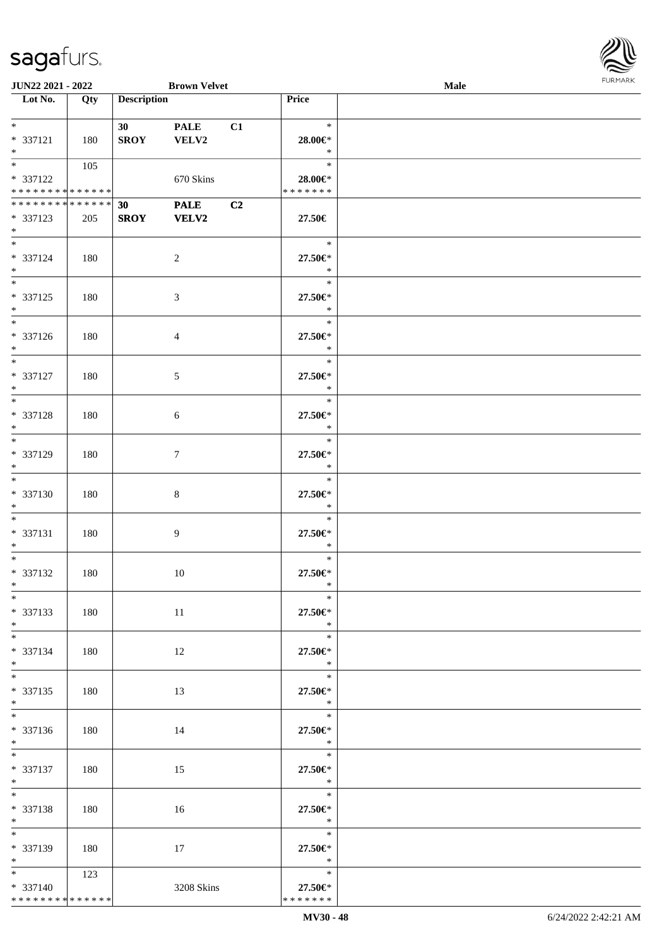

| JUN22 2021 - 2022                                                   |                  |                                | <b>Brown Velvet</b>         |    |                                          | Male | <b>FURMARK</b> |
|---------------------------------------------------------------------|------------------|--------------------------------|-----------------------------|----|------------------------------------------|------|----------------|
| $\overline{\phantom{1}}$ Lot No.                                    | $\overline{Qty}$ | <b>Description</b>             |                             |    | Price                                    |      |                |
| $*$<br>* 337121<br>$\ast$                                           | 180              | 30<br><b>SROY</b>              | <b>PALE</b><br><b>VELV2</b> | C1 | $\ast$<br>28.00€*<br>$\ast$              |      |                |
| $\overline{\phantom{0}}$<br>* 337122<br>* * * * * * * * * * * * * * | 105              |                                | 670 Skins                   |    | $\ast$<br>$28.00 \in$ *<br>* * * * * * * |      |                |
| **************<br>* 337123<br>$*$                                   | 205              | 30 <sup>°</sup><br><b>SROY</b> | <b>PALE</b><br><b>VELV2</b> | C2 | 27.50€                                   |      |                |
| $*$<br>* 337124<br>$*$                                              | 180              |                                | $\sqrt{2}$                  |    | $\ast$<br>27.50€*<br>$\ast$              |      |                |
| $*$<br>$* 337125$<br>$*$                                            | 180              |                                | $\mathfrak{Z}$              |    | $\ast$<br>27.50€*<br>$\ast$              |      |                |
| $\overline{\phantom{0}}$<br>* 337126<br>$*$                         | 180              |                                | $\overline{4}$              |    | $\ast$<br>27.50€*<br>$\ast$              |      |                |
| $\overline{\ast}$<br>$* 337127$<br>$\ast$                           | 180              |                                | $\mathfrak{S}$              |    | $\ast$<br>27.50€*<br>$\ast$              |      |                |
| $\overline{\phantom{0}}$<br>* 337128<br>$\ast$                      | 180              |                                | 6                           |    | $\ast$<br>27.50€*<br>$\ast$              |      |                |
| $\overline{\phantom{0}}$<br>* 337129<br>$\ast$                      | 180              |                                | 7                           |    | $\ast$<br>27.50€*<br>$\ast$              |      |                |
| $\overline{\ast}$<br>* 337130<br>$\ast$                             | 180              |                                | $\,8\,$                     |    | $\ast$<br>27.50€*<br>$\ast$              |      |                |
| $\ast$<br>$* 337131$<br>$\ast$<br>$\overline{\phantom{0}}$          | 180              |                                | $\boldsymbol{9}$            |    | $\ast$<br>27.50€*<br>$\ast$              |      |                |
| * 337132<br>$\ast$                                                  | 180              |                                | 10                          |    | $\ast$<br>27.50€*<br>$\ast$              |      |                |
| $\ast$<br>* 337133<br>$*$                                           | 180              |                                | $11\,$                      |    | $\ast$<br>27.50€*<br>$\ast$              |      |                |
| $*$<br>* 337134<br>$*$<br>$\overline{\ast}$                         | 180              |                                | 12                          |    | $\ast$<br>27.50€*<br>$\ast$              |      |                |
| * 337135<br>$*$                                                     | 180              |                                | 13                          |    | $\ast$<br>27.50€*<br>$\ast$              |      |                |
| $\overline{\phantom{a}^*}$<br>* 337136<br>$*$                       | 180              |                                | 14                          |    | $\ast$<br>27.50€*<br>$\ast$              |      |                |
| $*$<br>* 337137<br>$*$<br>$\overline{\phantom{0}}$                  | 180              |                                | 15                          |    | $\ast$<br>27.50€*<br>$\ast$              |      |                |
| * 337138<br>$*$<br>$\overline{\phantom{0}}$                         | 180              |                                | 16                          |    | $\ast$<br>27.50€*<br>$\ast$              |      |                |
| * 337139<br>$\ast$                                                  | 180              |                                | 17                          |    | $\ast$<br>27.50€*<br>$\ast$              |      |                |
| $*$ $*$<br>* 337140<br>******** <mark>******</mark>                 | 123              |                                | 3208 Skins                  |    | $\ast$<br>27.50€*<br>* * * * * * *       |      |                |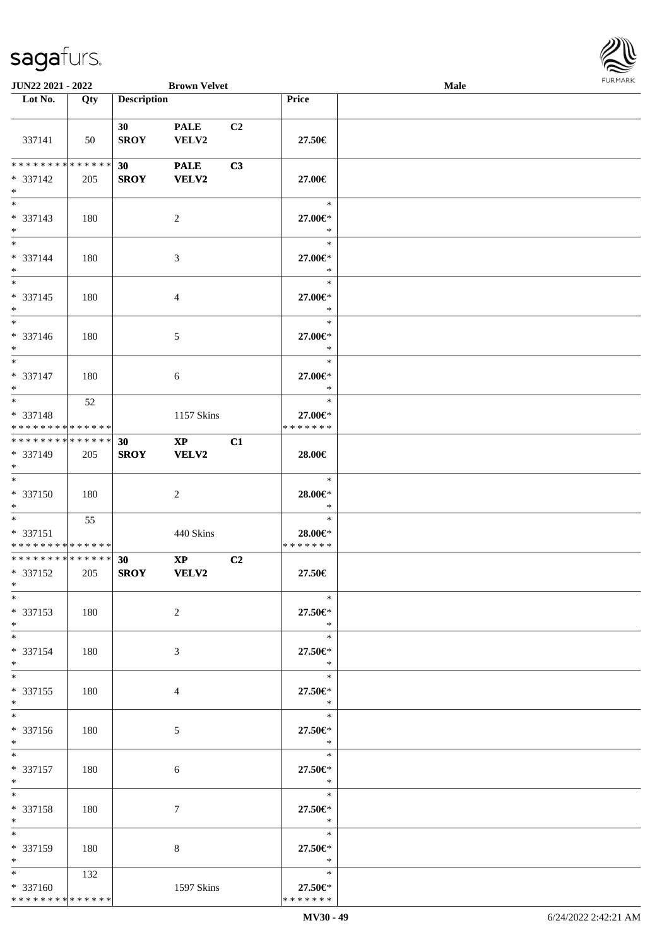

| JUN22 2021 - 2022                                 |     |                    | <b>Brown Velvet</b>                    |                |                                    | <b>Male</b> | <b>FURMARK</b> |
|---------------------------------------------------|-----|--------------------|----------------------------------------|----------------|------------------------------------|-------------|----------------|
| $\overline{\phantom{1}}$ Lot No.                  | Qty | <b>Description</b> |                                        |                | Price                              |             |                |
| 337141                                            | 50  | 30<br><b>SROY</b>  | <b>PALE</b><br>VELV2                   | C <sub>2</sub> | 27.50€                             |             |                |
| * * * * * * * * * * * * * *<br>* 337142<br>$\ast$ | 205 | 30<br><b>SROY</b>  | <b>PALE</b><br><b>VELV2</b>            | C3             | 27.00€                             |             |                |
| $\overline{\phantom{0}}$<br>* 337143<br>$*$       | 180 |                    | $\sqrt{2}$                             |                | $\ast$<br>27.00€*<br>$\ast$        |             |                |
| $*$<br>* 337144<br>$*$                            | 180 |                    | $\mathfrak{Z}$                         |                | $\ast$<br>27.00€*<br>$\ast$        |             |                |
| $*$<br>* 337145<br>$*$                            | 180 |                    | $\overline{4}$                         |                | $\ast$<br>27.00€*<br>$\ast$        |             |                |
| $\overline{\phantom{0}}$<br>* 337146<br>$*$       | 180 |                    | $\sqrt{5}$                             |                | $\ast$<br>27.00€*<br>$\ast$        |             |                |
| $\overline{\phantom{0}}$<br>* 337147<br>$\ast$    | 180 |                    | 6                                      |                | $\ast$<br>27.00€*<br>$\ast$        |             |                |
| * 337148<br>* * * * * * * * * * * * * *           | 52  |                    | 1157 Skins                             |                | $\ast$<br>27.00€*<br>* * * * * * * |             |                |
| **************<br>* 337149<br>$*$                 | 205 | 30<br><b>SROY</b>  | $\mathbf{X}\mathbf{P}$<br><b>VELV2</b> | C1             | 28.00€                             |             |                |
| $\overline{\phantom{0}}$<br>* 337150<br>$\ast$    | 180 |                    | $\sqrt{2}$                             |                | $\ast$<br>$28.00 \in$ *<br>$\ast$  |             |                |
| $*$<br>* 337151<br>* * * * * * * * * * * * * *    | 55  |                    | 440 Skins                              |                | $\ast$<br>28.00€*<br>*******       |             |                |
| **************<br>* 337152<br>$\ast$              | 205 | 30<br><b>SROY</b>  | $\mathbf{X}\mathbf{P}$<br>VELV2        | C2             | 27.50€                             |             |                |
| $\ast$<br>* 337153<br>$\ast$                      | 180 |                    | $\overline{c}$                         |                | $\ast$<br>27.50€*<br>$\ast$        |             |                |
| $*$<br>* 337154<br>$\ast$                         | 180 |                    | 3                                      |                | $\ast$<br>27.50€*<br>$\ast$        |             |                |
| $\ast$<br>$* 337155$<br>$\ast$                    | 180 |                    | 4                                      |                | $\ast$<br>27.50€*<br>$\ast$        |             |                |
| $\overline{\ast}$<br>* 337156<br>$\ast$           | 180 |                    | $\sqrt{5}$                             |                | $\ast$<br>27.50€*<br>$\ast$        |             |                |
| $*$<br>$* 337157$<br>$*$                          | 180 |                    | 6                                      |                | $\ast$<br>27.50€*<br>$\ast$        |             |                |
| $*$<br>* 337158<br>$*$                            | 180 |                    | $\tau$                                 |                | $\ast$<br>27.50€*<br>$\ast$        |             |                |
| $\ast$<br>* 337159<br>$*$                         | 180 |                    | 8                                      |                | $\ast$<br>27.50€*<br>$\ast$        |             |                |
| $*$<br>* 337160<br>******** <mark>******</mark>   | 132 |                    | 1597 Skins                             |                | $\ast$<br>27.50€*<br>* * * * * * * |             |                |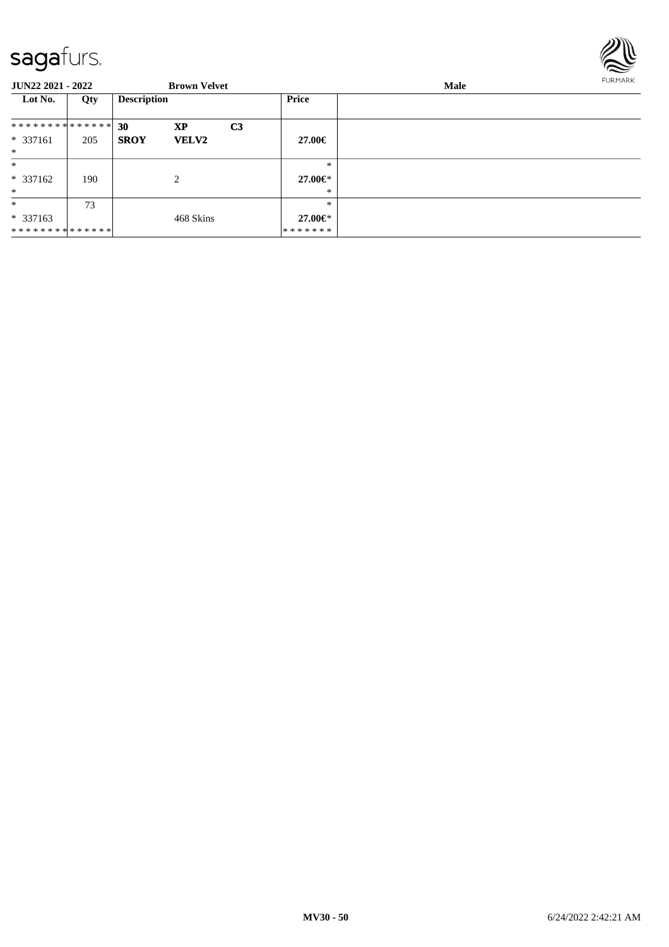

| <b>JUN22 2021 - 2022</b>      |     |                    | <b>Brown Velvet</b> |                |               | <b>FURMARK</b><br>Male |  |
|-------------------------------|-----|--------------------|---------------------|----------------|---------------|------------------------|--|
| Lot No.                       | Qty | <b>Description</b> |                     |                | Price         |                        |  |
| * * * * * * * * * * * * * * * |     | 30                 | XP                  | C <sub>3</sub> |               |                        |  |
| $* 337161$                    | 205 | <b>SROY</b>        | <b>VELV2</b>        |                | 27.00€        |                        |  |
| $\ast$                        |     |                    |                     |                |               |                        |  |
| $*$                           |     |                    |                     |                | $\ast$        |                        |  |
| $* 337162$                    | 190 |                    | 2                   |                | 27.00€*       |                        |  |
| $*$                           |     |                    |                     |                | $\ast$        |                        |  |
| $\ast$                        | 73  |                    |                     |                | $\ast$        |                        |  |
| $*337163$                     |     |                    | 468 Skins           |                | $27.00 \in$ * |                        |  |
| **************                |     |                    |                     |                | *******       |                        |  |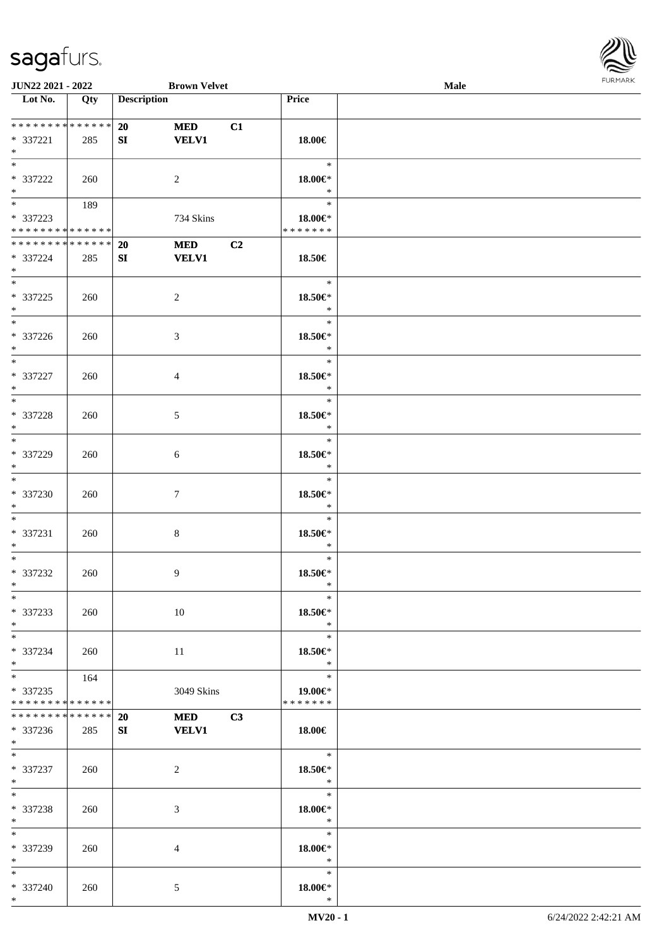

| <b>JUN22 2021 - 2022</b>        |     |                    | <b>Brown Velvet</b> |    |                    | Male |  |
|---------------------------------|-----|--------------------|---------------------|----|--------------------|------|--|
| Lot No.                         | Qty | <b>Description</b> |                     |    | Price              |      |  |
|                                 |     |                    |                     |    |                    |      |  |
| **************                  |     | 20                 | <b>MED</b>          | C1 |                    |      |  |
| * 337221                        | 285 | SI                 | <b>VELV1</b>        |    | 18.00€             |      |  |
| $\ast$                          |     |                    |                     |    |                    |      |  |
| $*$                             |     |                    |                     |    | $\ast$             |      |  |
| * 337222                        | 260 |                    | $\overline{c}$      |    | $18.00 \in$ *      |      |  |
| $*$                             |     |                    |                     |    | $\ast$             |      |  |
|                                 | 189 |                    |                     |    | $\ast$             |      |  |
| * 337223                        |     |                    | 734 Skins           |    | 18.00€*            |      |  |
| * * * * * * * * * * * * * *     |     |                    |                     |    | * * * * * * *      |      |  |
| * * * * * * * * * * * * * *     |     | 20                 | <b>MED</b>          | C2 |                    |      |  |
| * 337224                        | 285 | SI                 | <b>VELV1</b>        |    | 18.50€             |      |  |
| $*$                             |     |                    |                     |    |                    |      |  |
| $*$                             |     |                    |                     |    | $\ast$             |      |  |
|                                 |     |                    |                     |    |                    |      |  |
| * 337225                        | 260 |                    | $\overline{c}$      |    | 18.50€*<br>$\ast$  |      |  |
| $*$<br>$\overline{\phantom{0}}$ |     |                    |                     |    |                    |      |  |
|                                 |     |                    |                     |    | $\ast$             |      |  |
| $* 337226$                      | 260 |                    | $\mathfrak{Z}$      |    | 18.50€*            |      |  |
| $\ast$                          |     |                    |                     |    | $\ast$             |      |  |
| $\ast$                          |     |                    |                     |    | $\ast$             |      |  |
| $* 337227$                      | 260 |                    | $\overline{4}$      |    | 18.50€*            |      |  |
| $*$                             |     |                    |                     |    | $\ast$             |      |  |
| $\overline{\phantom{0}}$        |     |                    |                     |    | $\ast$             |      |  |
| * 337228                        | 260 |                    | $\mathfrak{S}$      |    | 18.50€*            |      |  |
| $\ast$                          |     |                    |                     |    | $\ast$             |      |  |
| $\ast$                          |     |                    |                     |    | $\ast$             |      |  |
| * 337229                        | 260 |                    | 6                   |    | $18.50 \in$        |      |  |
| $*$                             |     |                    |                     |    | $\ast$             |      |  |
| $\overline{\phantom{0}}$        |     |                    |                     |    | $\ast$             |      |  |
| $* 337230$                      | 260 |                    | $\tau$              |    | $18.50 \text{E}^*$ |      |  |
| $*$                             |     |                    |                     |    | $\ast$             |      |  |
| $*$                             |     |                    |                     |    | $\ast$             |      |  |
| * 337231                        | 260 |                    | $\,8\,$             |    | 18.50€*            |      |  |
| $*$                             |     |                    |                     |    | $\ast$             |      |  |
| $*$                             |     |                    |                     |    | $\ast$             |      |  |
|                                 |     |                    |                     |    | $18.50 \in$ *      |      |  |
| $* 337232$<br>$*$               | 260 |                    | 9                   |    | $\ast$             |      |  |
| $*$                             |     |                    |                     |    | $\ast$             |      |  |
|                                 |     |                    |                     |    |                    |      |  |
| * 337233                        | 260 |                    | 10                  |    | 18.50€*            |      |  |
| $*$<br>$\overline{\ast}$        |     |                    |                     |    | $\ast$             |      |  |
|                                 |     |                    |                     |    | $\ast$             |      |  |
| * 337234                        | 260 |                    | 11                  |    | 18.50€*            |      |  |
| $*$                             |     |                    |                     |    | $\ast$             |      |  |
| $*$                             | 164 |                    |                     |    | $\ast$             |      |  |
| * 337235                        |     |                    | 3049 Skins          |    | $19.00 \in$        |      |  |
| * * * * * * * * * * * * * *     |     |                    |                     |    | * * * * * * *      |      |  |
| * * * * * * * * * * * * * *     |     | <b>20</b>          | <b>MED</b>          | C3 |                    |      |  |
| * 337236                        | 285 | SI                 | <b>VELV1</b>        |    | 18.00€             |      |  |
| $*$ $-$                         |     |                    |                     |    |                    |      |  |
| $*$                             |     |                    |                     |    | $\equiv$<br>$\ast$ |      |  |
| * 337237                        | 260 |                    | $\overline{c}$      |    | 18.50€*            |      |  |
| $*$                             |     |                    |                     |    | $\ast$             |      |  |
| $\ast$                          |     |                    |                     |    | $\ast$             |      |  |
| * 337238                        | 260 |                    | 3                   |    | $18.00 \in$ *      |      |  |
| $*$                             |     |                    |                     |    | $\ast$             |      |  |
| $*$                             |     |                    |                     |    | $\ast$             |      |  |
| * 337239                        | 260 |                    | 4                   |    | 18.00€*            |      |  |
| $*$                             |     |                    |                     |    | $\ast$             |      |  |
| $*$                             |     |                    |                     |    | $\ast$             |      |  |
| * 337240                        | 260 |                    | 5                   |    | $18.00 \in$ *      |      |  |
| $*$                             |     |                    |                     |    | $\ast$             |      |  |
|                                 |     |                    |                     |    |                    |      |  |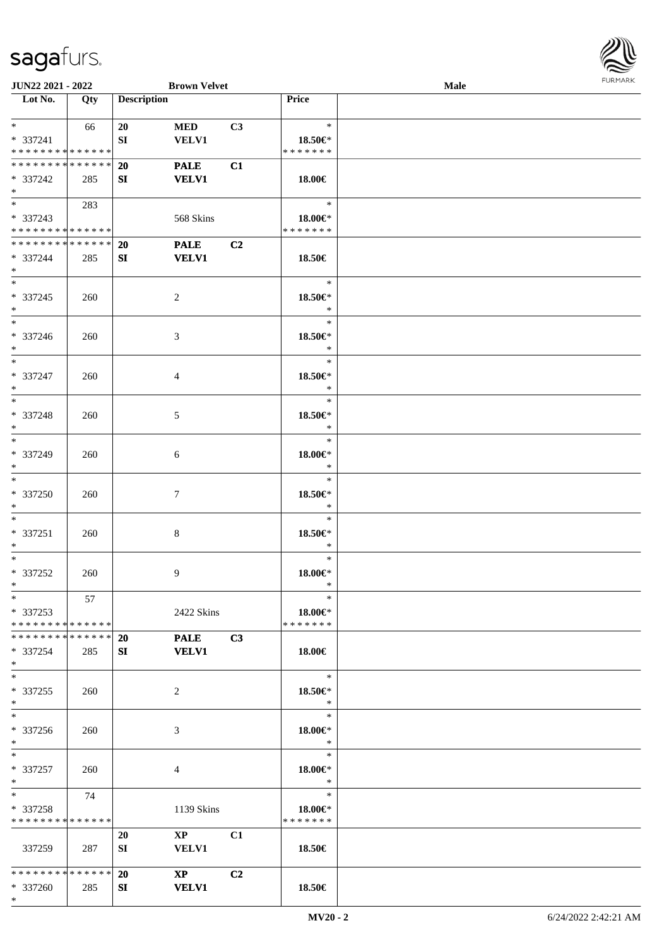\*

**JUN22 2021 - 2022 Brown Velvet**<br> **Lot No.** Qty **Description** 

**Loty Description Price** 

| Male                                                        | <b>FURMARK</b> |
|-------------------------------------------------------------|----------------|
| the control of the control of the control of the control of |                |
|                                                             |                |
|                                                             |                |
|                                                             |                |
|                                                             |                |
|                                                             |                |
|                                                             |                |
|                                                             |                |
|                                                             |                |
|                                                             |                |
|                                                             |                |
|                                                             |                |
|                                                             |                |

| $*$                          | 66  | 20        | <b>MED</b>              | C3             | $\star$       |  |
|------------------------------|-----|-----------|-------------------------|----------------|---------------|--|
| * 337241                     |     | SI        | <b>VELV1</b>            |                | $18.50 \in$ * |  |
| * * * * * * * * * * * * * *  |     |           |                         |                | *******       |  |
| **************               |     | 20        | <b>PALE</b>             | C1             |               |  |
| * 337242                     | 285 | SI        | <b>VELV1</b>            |                | 18.00€        |  |
| $*$ $*$                      |     |           |                         |                |               |  |
| $*$ and $*$                  |     |           |                         |                | $\ast$        |  |
|                              | 283 |           |                         |                |               |  |
| * 337243                     |     |           | 568 Skins               |                | 18.00€*       |  |
| **************               |     |           |                         |                | * * * * * * * |  |
| * * * * * * * * * * * * * *  |     | <b>20</b> | <b>PALE</b>             | C <sub>2</sub> |               |  |
| * 337244                     | 285 | SI        | <b>VELV1</b>            |                | 18.50€        |  |
| $*$                          |     |           |                         |                |               |  |
| $*$                          |     |           |                         |                | $\ast$        |  |
| * 337245                     | 260 |           | 2                       |                | 18.50€*       |  |
| $*$                          |     |           |                         |                | $\ast$        |  |
| $\overline{\phantom{0}}$     |     |           |                         |                |               |  |
|                              |     |           |                         |                | $\ast$        |  |
| * 337246                     | 260 |           | $\mathfrak{Z}$          |                | 18.50€*       |  |
| $*$                          |     |           |                         |                | $\ast$        |  |
| $\overline{\ }$              |     |           |                         |                | $\ast$        |  |
| * 337247                     | 260 |           | $\overline{4}$          |                | 18.50€*       |  |
| $\ast$                       |     |           |                         |                | $\ast$        |  |
| $*$                          |     |           |                         |                | $\ast$        |  |
|                              |     |           |                         |                |               |  |
| * 337248                     | 260 |           | $\mathfrak{S}$          |                | 18.50€*       |  |
| $*$                          |     |           |                         |                | $\ast$        |  |
| $\ast$                       |     |           |                         |                | $\ast$        |  |
| * 337249                     | 260 |           | 6                       |                | $18.00 \in$ * |  |
| $*$                          |     |           |                         |                | $\ast$        |  |
| $\ast$                       |     |           |                         |                | $\ast$        |  |
| * 337250                     |     |           | $\tau$                  |                | 18.50€*       |  |
|                              | 260 |           |                         |                |               |  |
| $*$                          |     |           |                         |                | $*$           |  |
| $*$                          |     |           |                         |                | $\ast$        |  |
| $* 337251$                   | 260 |           | $\bf 8$                 |                | 18.50€*       |  |
| $*$                          |     |           |                         |                | $\ast$        |  |
| $*$                          |     |           |                         |                | $\ast$        |  |
| $* 337252$                   | 260 |           | 9                       |                | 18.00€*       |  |
| $*$                          |     |           |                         |                | $\ast$        |  |
| $*$                          | 57  |           |                         |                | $\ast$        |  |
|                              |     |           |                         |                |               |  |
| $* 337253$                   |     |           | 2422 Skins              |                | $18.00 \in$   |  |
| **************               |     |           |                         |                | * * * * * * * |  |
| ******** <mark>******</mark> |     | <b>20</b> | <b>PALE</b>             | C3             |               |  |
| * 337254                     | 285 | SI        | <b>VELV1</b>            |                | 18.00€        |  |
| $*$                          |     |           |                         |                |               |  |
| $\ast$                       |     |           |                         |                | $\ast$        |  |
| $*337255$                    | 260 |           | $\overline{2}$          |                | 18.50€*       |  |
| $*$                          |     |           |                         |                | $\ast$        |  |
| $\overline{\phantom{a}^*}$   |     |           |                         |                |               |  |
|                              |     |           |                         |                | $\ast$        |  |
| * 337256                     | 260 |           | 3                       |                | 18.00€*       |  |
| $*$                          |     |           |                         |                | $\ast$        |  |
| $*$                          |     |           |                         |                | $\ast$        |  |
| * 337257                     | 260 |           | $\overline{4}$          |                | 18.00€*       |  |
| $*$                          |     |           |                         |                | $\ast$        |  |
| $*$                          | 74  |           |                         |                | $\ast$        |  |
|                              |     |           |                         |                |               |  |
| * 337258                     |     |           | 1139 Skins              |                | $18.00 \in$   |  |
| * * * * * * * * * * * * * *  |     |           |                         |                | * * * * * * * |  |
|                              |     | 20        | $\mathbf{X} \mathbf{P}$ | C1             |               |  |
| 337259                       | 287 | SI        | <b>VELV1</b>            |                | 18.50€        |  |
|                              |     |           |                         |                |               |  |
| * * * * * * * * * * * * * *  |     | <b>20</b> | $\mathbf{X}\mathbf{P}$  | C2             |               |  |
| * 337260                     | 285 | SI        | <b>VELV1</b>            |                | 18.50€        |  |
| $*$                          |     |           |                         |                |               |  |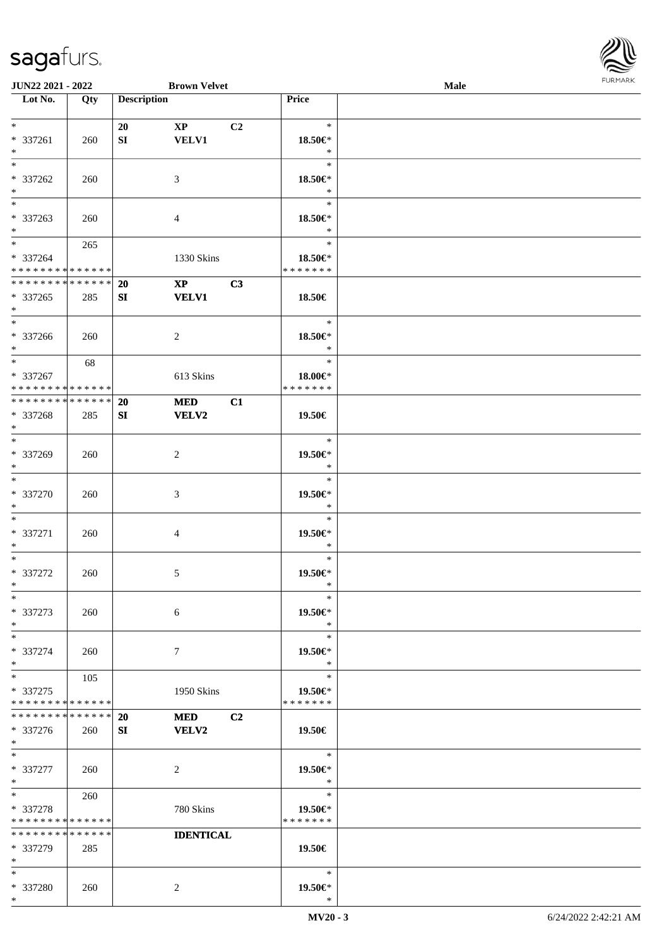

| JUN22 2021 - 2022                  |     |                    | <b>Brown Velvet</b>          |                    | Male |  |
|------------------------------------|-----|--------------------|------------------------------|--------------------|------|--|
| Lot No.                            | Qty | <b>Description</b> |                              | Price              |      |  |
|                                    |     |                    |                              |                    |      |  |
| $\ast$                             |     | 20                 | C2<br>$\mathbf{X}\mathbf{P}$ | $\ast$             |      |  |
| * 337261                           | 260 | SI                 | <b>VELV1</b>                 | 18.50€*            |      |  |
| $\ast$                             |     |                    |                              | $\ast$             |      |  |
| $\overline{\ast}$                  |     |                    |                              | $\ast$             |      |  |
| * 337262                           |     |                    |                              |                    |      |  |
|                                    | 260 |                    | 3                            | 18.50€*            |      |  |
| $\ast$<br>$\overline{\phantom{0}}$ |     |                    |                              | $\ast$             |      |  |
|                                    |     |                    |                              | $\ast$             |      |  |
| * 337263                           | 260 |                    | $\overline{4}$               | 18.50€*            |      |  |
| $*$                                |     |                    |                              | $\ast$             |      |  |
| $\overline{\ast}$                  | 265 |                    |                              | $\ast$             |      |  |
| * 337264                           |     |                    | 1330 Skins                   | 18.50€*            |      |  |
| * * * * * * * * * * * * * *        |     |                    |                              | * * * * * * *      |      |  |
| **************                     |     | 20                 | C3<br>$\mathbf{X}\mathbf{P}$ |                    |      |  |
|                                    |     |                    |                              |                    |      |  |
| * 337265                           | 285 | SI                 | <b>VELV1</b>                 | 18.50€             |      |  |
| $\ast$                             |     |                    |                              |                    |      |  |
| $\overline{\phantom{0}}$           |     |                    |                              | $\ast$             |      |  |
| * 337266                           | 260 |                    | $\overline{2}$               | 18.50€*            |      |  |
| $*$                                |     |                    |                              | $\ast$             |      |  |
| $\ast$                             | 68  |                    |                              | $\ast$             |      |  |
| * 337267                           |     |                    | 613 Skins                    | 18.00€*            |      |  |
| * * * * * * * * * * * * * *        |     |                    |                              | * * * * * * *      |      |  |
| * * * * * * * * * * * * * *        |     |                    | <b>MED</b>                   |                    |      |  |
|                                    |     | 20                 | C1                           |                    |      |  |
| * 337268                           | 285 | SI                 | <b>VELV2</b>                 | 19.50€             |      |  |
| $\ast$                             |     |                    |                              |                    |      |  |
| $\overline{\ast}$                  |     |                    |                              | $\ast$             |      |  |
| * 337269                           | 260 |                    | $\overline{2}$               | 19.50€*            |      |  |
| $\ast$                             |     |                    |                              | $\ast$             |      |  |
| $\ast$                             |     |                    |                              | $\ast$             |      |  |
| * 337270                           | 260 |                    | $\mathfrak{Z}$               | $19.50 \text{E}^*$ |      |  |
| $\ast$                             |     |                    |                              | $\ast$             |      |  |
| $\ast$                             |     |                    |                              | $\ast$             |      |  |
|                                    |     |                    |                              |                    |      |  |
| * 337271                           | 260 |                    | 4                            | 19.50€*            |      |  |
| $\ast$                             |     |                    |                              | $\ast$             |      |  |
| $\ast$                             |     |                    |                              | $\ast$             |      |  |
| $* 337272$                         | 260 |                    | $\mathfrak{S}$               | 19.50€*            |      |  |
| $*$                                |     |                    |                              | $\ast$             |      |  |
| $*$                                |     |                    |                              | $\ast$             |      |  |
| * 337273                           | 260 |                    | $\sqrt{6}$                   | 19.50€*            |      |  |
| $\ast$                             |     |                    |                              | $\ast$             |      |  |
|                                    |     |                    |                              |                    |      |  |
| $\ast$                             |     |                    |                              | $\ast$             |      |  |
| * 337274                           | 260 |                    | $\tau$                       | 19.50€*            |      |  |
| $\ast$                             |     |                    |                              | $\ast$             |      |  |
| $\ast$                             | 105 |                    |                              | $\ast$             |      |  |
| * 337275                           |     |                    | 1950 Skins                   | 19.50€*            |      |  |
| * * * * * * * * * * * * * *        |     |                    |                              | * * * * * * *      |      |  |
| * * * * * * * * * * * * * *        |     | 20                 | <b>MED</b><br>C2             |                    |      |  |
| * 337276                           | 260 | SI                 | VELV2                        | 19.50€             |      |  |
| $*$                                |     |                    |                              |                    |      |  |
| $*$                                |     |                    |                              |                    |      |  |
|                                    |     |                    |                              | $\ast$             |      |  |
| * 337277                           | 260 |                    | $\sqrt{2}$                   | 19.50€*            |      |  |
| $*$                                |     |                    |                              | $\ast$             |      |  |
| $\ast$                             | 260 |                    |                              | $\ast$             |      |  |
| * 337278                           |     |                    | 780 Skins                    | 19.50€*            |      |  |
| * * * * * * * * * * * * * *        |     |                    |                              | * * * * * * *      |      |  |
| * * * * * * * * * * * * * *        |     |                    | <b>IDENTICAL</b>             |                    |      |  |
| * 337279                           | 285 |                    |                              | 19.50€             |      |  |
| $\ast$                             |     |                    |                              |                    |      |  |
|                                    |     |                    |                              |                    |      |  |
| $*$                                |     |                    |                              | $\ast$             |      |  |
| * 337280                           | 260 |                    | $\overline{c}$               | 19.50€*            |      |  |
| $\ast$                             |     |                    |                              | $\ast$             |      |  |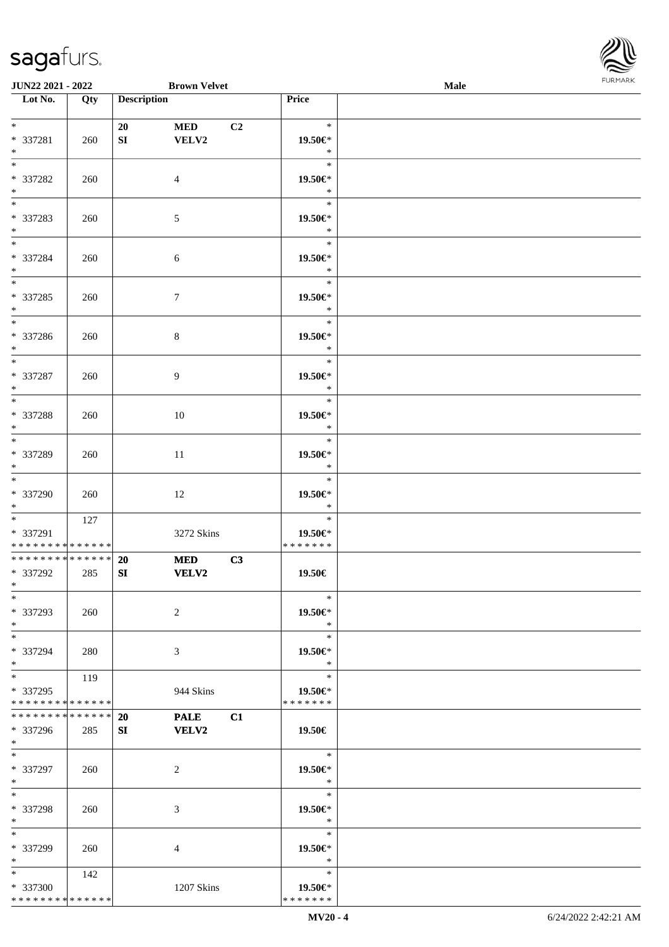

| JUN22 2021 - 2022                    |     | <b>Brown Velvet</b>      |    |                   | Male |  |
|--------------------------------------|-----|--------------------------|----|-------------------|------|--|
| Lot No.                              | Qty | <b>Description</b>       |    | <b>Price</b>      |      |  |
|                                      |     |                          |    |                   |      |  |
| $*$                                  |     | 20<br><b>MED</b>         | C2 | $\ast$            |      |  |
| * 337281                             | 260 | SI<br>VELV2              |    | 19.50€*           |      |  |
| $\ast$                               |     |                          |    | $\ast$            |      |  |
| $\overline{\phantom{0}}$             |     |                          |    | $\ast$            |      |  |
| * 337282                             | 260 | $\overline{4}$           |    | 19.50€*           |      |  |
| $\ast$                               |     |                          |    | $\ast$            |      |  |
| $\overline{\phantom{0}}$             |     |                          |    | $\ast$            |      |  |
| * 337283                             | 260 | $\sqrt{5}$               |    | 19.50€*           |      |  |
| $*$                                  |     |                          |    | $\ast$            |      |  |
| $\overline{\phantom{0}}$             |     |                          |    | $\ast$            |      |  |
| * 337284                             | 260 | 6                        |    | 19.50€*           |      |  |
| $\ast$                               |     |                          |    | $\ast$            |      |  |
| $\overline{\phantom{0}}$             |     |                          |    | $\ast$            |      |  |
|                                      |     |                          |    |                   |      |  |
| * 337285                             | 260 | $\boldsymbol{7}$         |    | 19.50€*<br>$\ast$ |      |  |
| $\ast$<br>$\overline{\phantom{a}^*}$ |     |                          |    | $\ast$            |      |  |
|                                      |     |                          |    |                   |      |  |
| * 337286                             | 260 | $\,8\,$                  |    | 19.50€*           |      |  |
| $*$<br>$\ast$                        |     |                          |    | $\ast$<br>$\ast$  |      |  |
|                                      |     |                          |    |                   |      |  |
| * 337287                             | 260 | 9                        |    | 19.50€*           |      |  |
| $\ast$<br>$\overline{\phantom{0}}$   |     |                          |    | $\ast$            |      |  |
|                                      |     |                          |    | $\ast$            |      |  |
| * 337288                             | 260 | 10                       |    | 19.50€*           |      |  |
| $\ast$                               |     |                          |    | $\ast$            |      |  |
| $\overline{\phantom{0}}$             |     |                          |    | $\ast$            |      |  |
| * 337289                             | 260 | 11                       |    | 19.50€*           |      |  |
| $\ast$                               |     |                          |    | $\ast$            |      |  |
| $\overline{\phantom{0}}$             |     |                          |    | $\ast$            |      |  |
| * 337290                             | 260 | 12                       |    | 19.50€*           |      |  |
| $*$                                  |     |                          |    | $\ast$            |      |  |
| $*$                                  | 127 |                          |    | $\ast$            |      |  |
| * 337291                             |     | 3272 Skins               |    | 19.50€*           |      |  |
| * * * * * * * * * * * * * *          |     |                          |    | * * * * * * *     |      |  |
| ******** <mark>******</mark>         |     | <b>MED</b><br><b>20</b>  | C3 |                   |      |  |
| * 337292                             | 285 | SI<br>VELV2              |    | 19.50€            |      |  |
| $*$                                  |     |                          |    |                   |      |  |
| $*$                                  |     |                          |    | $\ast$            |      |  |
| * 337293                             | 260 | $\overline{2}$           |    | 19.50€*           |      |  |
| $*$                                  |     |                          |    | $\ast$            |      |  |
| $*$                                  |     |                          |    | $\ast$            |      |  |
| * 337294                             | 280 | 3                        |    | 19.50€*           |      |  |
| $*$                                  |     |                          |    | $\ast$            |      |  |
| $\overline{\ast}$                    | 119 |                          |    | $\ast$            |      |  |
| * 337295                             |     | 944 Skins                |    | 19.50€*           |      |  |
| * * * * * * * * * * * * * *          |     |                          |    | * * * * * * *     |      |  |
| * * * * * * * * * * * * * *          |     | <b>20</b><br><b>PALE</b> | C1 |                   |      |  |
| * 337296                             | 285 | <b>VELV2</b><br>SI       |    | 19.50€            |      |  |
| $*$                                  |     |                          |    |                   |      |  |
| $*$                                  |     |                          |    | $\ast$            |      |  |
| * 337297                             | 260 | 2                        |    | 19.50€*           |      |  |
| $*$                                  |     |                          |    | $\ast$            |      |  |
| $*$                                  |     |                          |    | $\ast$            |      |  |
| * 337298                             | 260 | 3                        |    | 19.50€*           |      |  |
| $*$                                  |     |                          |    | $\ast$            |      |  |
| $*$                                  |     |                          |    | $\ast$            |      |  |
| * 337299                             | 260 | 4                        |    | 19.50€*           |      |  |
| $*$                                  |     |                          |    | $\ast$            |      |  |
| $*$                                  | 142 |                          |    | $\ast$            |      |  |
| * 337300                             |     | 1207 Skins               |    | 19.50€*           |      |  |
| * * * * * * * * * * * * * *          |     |                          |    | * * * * * * *     |      |  |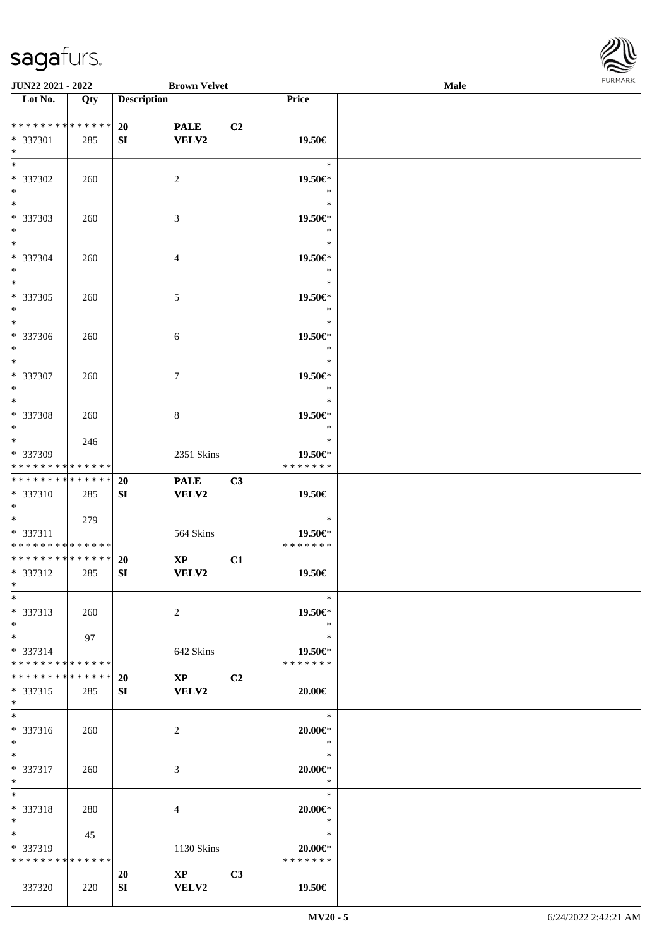

| <b>JUN22 2021 - 2022</b>                               |     |                    | <b>Brown Velvet</b>     |                |                          | Male |  |
|--------------------------------------------------------|-----|--------------------|-------------------------|----------------|--------------------------|------|--|
| Lot No.                                                | Qty | <b>Description</b> |                         |                | Price                    |      |  |
|                                                        |     |                    |                         |                |                          |      |  |
| ******** <mark>******</mark>                           |     | 20                 | <b>PALE</b>             | C <sub>2</sub> |                          |      |  |
| * 337301                                               | 285 | SI                 | VELV2                   |                | 19.50€                   |      |  |
| $*$                                                    |     |                    |                         |                |                          |      |  |
| $*$                                                    |     |                    |                         |                | $\ast$                   |      |  |
| * 337302                                               | 260 |                    | 2                       |                | 19.50€*                  |      |  |
| $*$<br>$\overline{\phantom{0}}$                        |     |                    |                         |                | $\ast$                   |      |  |
|                                                        |     |                    |                         |                | $\ast$                   |      |  |
| * 337303                                               | 260 |                    | 3                       |                | 19.50€*<br>$\ast$        |      |  |
| $*$<br>$*$                                             |     |                    |                         |                | $\ast$                   |      |  |
| * 337304                                               |     |                    |                         |                | 19.50€*                  |      |  |
| $*$                                                    | 260 |                    | $\overline{4}$          |                | $\ast$                   |      |  |
| $*$                                                    |     |                    |                         |                | $\ast$                   |      |  |
| * 337305                                               | 260 |                    | $\mathfrak{S}$          |                | 19.50€*                  |      |  |
| $*$                                                    |     |                    |                         |                | $\ast$                   |      |  |
| $*$                                                    |     |                    |                         |                | $\ast$                   |      |  |
| * 337306                                               | 260 |                    | 6                       |                | 19.50€*                  |      |  |
| $*$                                                    |     |                    |                         |                | $\ast$                   |      |  |
| $\ast$                                                 |     |                    |                         |                | $\ast$                   |      |  |
| * 337307                                               | 260 |                    | 7                       |                | 19.50€*                  |      |  |
| $*$                                                    |     |                    |                         |                | $\ast$                   |      |  |
| $*$                                                    |     |                    |                         |                | $\ast$                   |      |  |
| * 337308                                               | 260 |                    | $8\,$                   |                | 19.50€*                  |      |  |
| $\ast$                                                 |     |                    |                         |                | $\ast$                   |      |  |
| $*$                                                    | 246 |                    |                         |                | $\ast$                   |      |  |
| * 337309                                               |     |                    | 2351 Skins              |                | 19.50€*                  |      |  |
| * * * * * * * * * * * * * *                            |     |                    |                         |                | * * * * * * *            |      |  |
| * * * * * * * * <mark>* * * * * * *</mark>             |     | 20                 | <b>PALE</b>             | C3             |                          |      |  |
| * 337310                                               | 285 | SI                 | VELV2                   |                | 19.50€                   |      |  |
| $*$                                                    |     |                    |                         |                |                          |      |  |
| $*$                                                    | 279 |                    |                         |                | $\ast$                   |      |  |
| * 337311<br>* * * * * * * * <mark>* * * * * * *</mark> |     |                    | 564 Skins               |                | 19.50€*<br>* * * * * * * |      |  |
| * * * * * * * * * * * * * * *                          |     | <b>20</b>          | $\mathbf{X}\mathbf{P}$  | C1             |                          |      |  |
| * 337312                                               | 285 | SI                 | VELV2                   |                | 19.50€                   |      |  |
| $*$                                                    |     |                    |                         |                |                          |      |  |
| $*$                                                    |     |                    |                         |                | $\ast$                   |      |  |
| * 337313                                               | 260 |                    | 2                       |                | 19.50€*                  |      |  |
| $*$                                                    |     |                    |                         |                | $\ast$                   |      |  |
| $*$                                                    | 97  |                    |                         |                | $\ast$                   |      |  |
| * 337314                                               |     |                    | 642 Skins               |                | 19.50€*                  |      |  |
| * * * * * * * * * * * * * * *                          |     |                    |                         |                | * * * * * * *            |      |  |
| * * * * * * * * * * * * * * *                          |     | <b>20</b>          | $\mathbf{X}\mathbf{P}$  | C2             |                          |      |  |
| * 337315                                               | 285 | SI                 | VELV2                   |                | 20.00€                   |      |  |
| $*$                                                    |     |                    |                         |                |                          |      |  |
| $*$                                                    |     |                    |                         |                | $\ast$                   |      |  |
| * 337316                                               | 260 |                    | 2                       |                | $20.00 \in$ *            |      |  |
| $*$<br>$*$                                             |     |                    |                         |                | $\ast$<br>$\ast$         |      |  |
|                                                        |     |                    |                         |                |                          |      |  |
| * 337317<br>$*$                                        | 260 |                    | 3                       |                | $20.00 \in$ *<br>$\ast$  |      |  |
| $*$                                                    |     |                    |                         |                | $\ast$                   |      |  |
| * 337318                                               | 280 |                    | 4                       |                | $20.00 \in$ *            |      |  |
| $*$                                                    |     |                    |                         |                | $\ast$                   |      |  |
| $*$ $*$                                                | 45  |                    |                         |                | $\ast$                   |      |  |
| * 337319                                               |     |                    | 1130 Skins              |                | $20.00 \in$              |      |  |
| * * * * * * * * * * * * * *                            |     |                    |                         |                | * * * * * * *            |      |  |
|                                                        |     | 20                 | $\mathbf{X} \mathbf{P}$ | C3             |                          |      |  |
| 337320                                                 | 220 | SI                 | VELV2                   |                | 19.50€                   |      |  |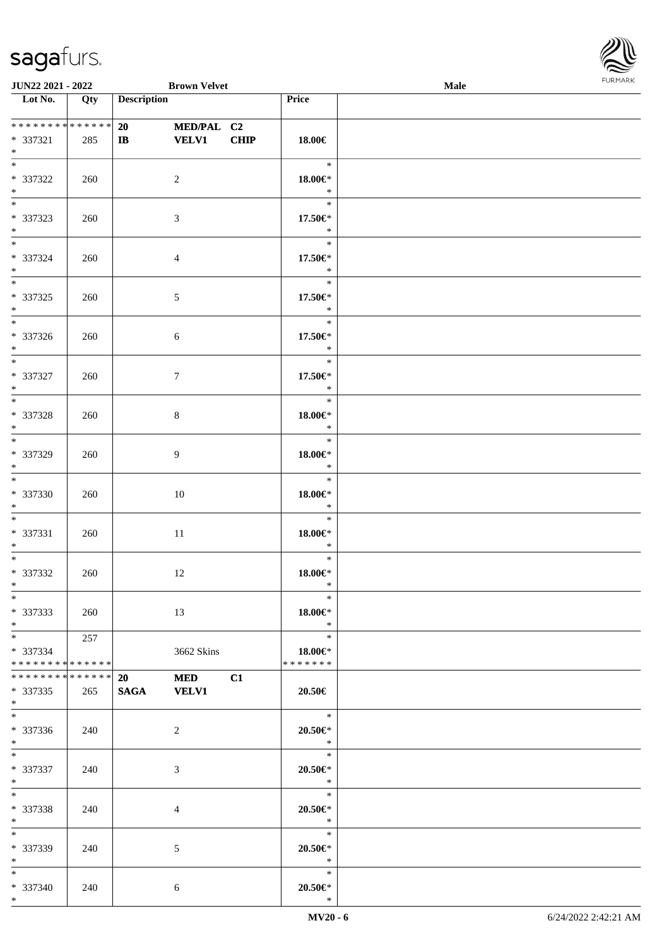

| JUN22 2021 - 2022                                                   |     |                    | <b>Brown Velvet</b>        |             |                                          | Male | $\sim$ |
|---------------------------------------------------------------------|-----|--------------------|----------------------------|-------------|------------------------------------------|------|--------|
| $\overline{\phantom{1}}$ Lot No.                                    | Qty | <b>Description</b> |                            |             | Price                                    |      |        |
| * * * * * * * * * * * * * *<br>* 337321<br>$\ast$                   | 285 | 20<br>$\bf IB$     | MED/PAL C2<br><b>VELV1</b> | <b>CHIP</b> | $18.00\in$                               |      |        |
| $\overline{\phantom{a}^*}$<br>* 337322<br>$\ast$                    | 260 |                    | $\sqrt{2}$                 |             | $\ast$<br>$18.00 \in$ *<br>$\ast$        |      |        |
| $\overline{\ast}$<br>* 337323<br>$\ast$                             | 260 |                    | 3                          |             | $\ast$<br>17.50€*<br>$\ast$              |      |        |
| $\overline{\phantom{0}}$<br>* 337324<br>$\ast$                      | 260 |                    | $\overline{4}$             |             | $\ast$<br>17.50€*<br>$\ast$              |      |        |
| $\overline{\phantom{0}}$<br>$* 337325$<br>$\ast$                    | 260 |                    | $\sqrt{5}$                 |             | $\ast$<br>17.50€*<br>$\ast$              |      |        |
| $\overline{\phantom{0}}$<br>* 337326<br>$\ast$                      | 260 |                    | $\sqrt{6}$                 |             | $\ast$<br>17.50€*<br>$\ast$              |      |        |
| $\overline{\phantom{1}}$<br>$* 337327$<br>$\ast$                    | 260 |                    | $\boldsymbol{7}$           |             | $\ast$<br>17.50€*<br>$\ast$              |      |        |
| $\overline{\phantom{0}}$<br>* 337328<br>$\ast$                      | 260 |                    | $\,8\,$                    |             | $\ast$<br>18.00€*<br>$\ast$              |      |        |
| $\overline{\phantom{0}}$<br>* 337329<br>$\ast$                      | 260 |                    | 9                          |             | $\ast$<br>$18.00 \textrm{E}^*$<br>$\ast$ |      |        |
| $\overline{\ast}$<br>* 337330<br>$\ast$<br>$\overline{\phantom{0}}$ | 260 |                    | 10                         |             | $\ast$<br>$18.00 \textrm{E}^*$<br>$\ast$ |      |        |
| * 337331<br>$*$                                                     | 260 |                    | $11\,$                     |             | $\ast$<br>$18.00 \text{E}^*$<br>$\ast$   |      |        |
| $*$<br>$* 337332$<br>$*$ $*$                                        | 260 |                    | 12                         |             | $\ast$<br>$18.00 \in$ *<br>$\ast$        |      |        |
| $*$<br>* 337333<br>$*$<br>$\overline{\phantom{0}}$                  | 260 |                    | 13                         |             | $\ast$<br>$18.00 \in$<br>$\ast$          |      |        |
| * 337334<br>**************                                          | 257 |                    | 3662 Skins                 |             | $\ast$<br>$18.00 \in$<br>* * * * * * *   |      |        |
| ******** <mark>******</mark><br>$*337335$<br>$*$                    | 265 | 20<br>SAGA VELV1   | <b>MED</b>                 | C1          | 20.50€                                   |      |        |
| $*$<br>* 337336<br>$*$<br>$\overline{\phantom{0}}$                  | 240 |                    | 2                          |             | $\ast$<br>$20.50 \in$ *<br>$\ast$        |      |        |
| * 337337<br>$*$ $-$                                                 | 240 |                    | 3                          |             | $\ast$<br>$20.50 \in$ *<br>$\ast$        |      |        |
| $*$<br>* 337338<br>$*$ $*$                                          | 240 |                    | 4                          |             | $\ast$<br>$20.50 \in$ *<br>$\ast$        |      |        |
| $*$<br>* 337339<br>$*$                                              | 240 |                    | $\mathfrak{S}$             |             | $\ast$<br>$20.50 \in$ *<br>$\ast$        |      |        |
| $\overline{\phantom{0}}$<br>* 337340<br>$*$                         | 240 |                    | 6                          |             | $\ast$<br>$20.50 \in$ *<br>$\ast$        |      |        |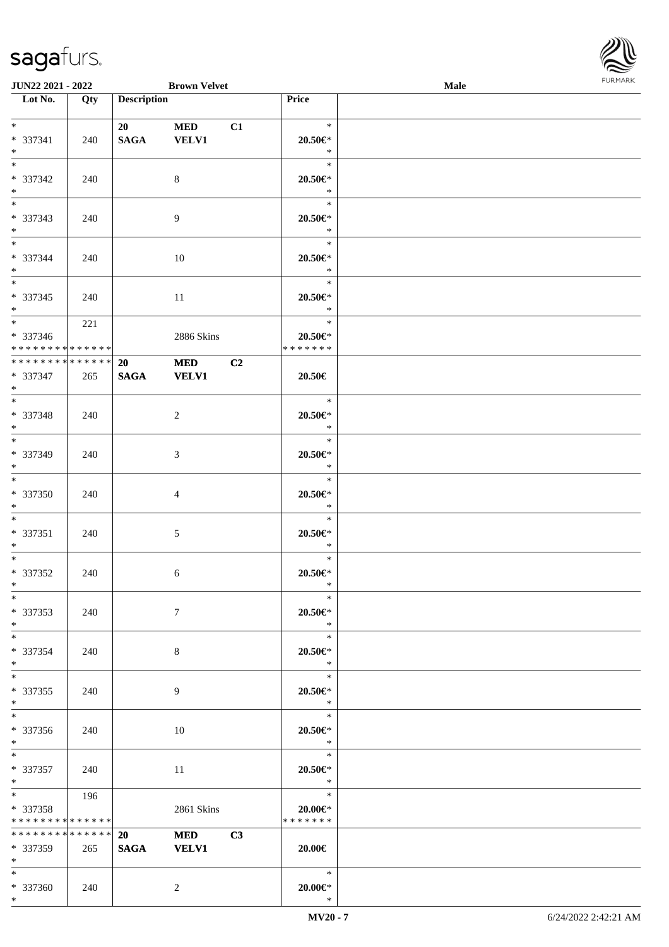\*



| <b>JUN22 2021 - 2022</b>                |     |                    | <b>Brown Velvet</b> |                |                          | Male |  |
|-----------------------------------------|-----|--------------------|---------------------|----------------|--------------------------|------|--|
| Lot No.                                 | Qty | <b>Description</b> |                     |                | Price                    |      |  |
|                                         |     |                    |                     |                |                          |      |  |
| $*$<br>* 337341                         |     | 20                 | <b>MED</b>          | C1             | $\ast$                   |      |  |
| $*$                                     | 240 | <b>SAGA</b>        | <b>VELV1</b>        |                | 20.50€*<br>$\ast$        |      |  |
|                                         |     |                    |                     |                | $\ast$                   |      |  |
| * 337342                                | 240 |                    | 8                   |                | $20.50 \in$ *            |      |  |
| $*$                                     |     |                    |                     |                | $\ast$                   |      |  |
|                                         |     |                    |                     |                | $\ast$                   |      |  |
| * 337343                                | 240 |                    | $\overline{9}$      |                | $20.50 \in$ *            |      |  |
| $*$                                     |     |                    |                     |                | $\ast$                   |      |  |
| $*$                                     |     |                    |                     |                | $\ast$                   |      |  |
| * 337344<br>$*$                         | 240 |                    | 10                  |                | $20.50 \in$ *<br>$\ast$  |      |  |
| $*$                                     |     |                    |                     |                | $\ast$                   |      |  |
| * 337345                                | 240 |                    | 11                  |                | $20.50 \in$ *            |      |  |
| $*$                                     |     |                    |                     |                | $\ast$                   |      |  |
| $*$                                     | 221 |                    |                     |                | $\ast$                   |      |  |
| * 337346                                |     |                    | 2886 Skins          |                | $20.50 \in$ *            |      |  |
| ******** <mark>******</mark>            |     |                    |                     |                | * * * * * * *            |      |  |
| ******** <mark>******</mark>            |     | 20                 | <b>MED</b>          | C <sub>2</sub> |                          |      |  |
| * 337347<br>$*$                         | 265 | <b>SAGA</b>        | <b>VELV1</b>        |                | $20.50\in$               |      |  |
|                                         |     |                    |                     |                | $\ast$                   |      |  |
| * 337348                                | 240 |                    | $\overline{c}$      |                | $20.50 \in$ *            |      |  |
| $*$                                     |     |                    |                     |                | $\ast$                   |      |  |
|                                         |     |                    |                     |                | $\ast$                   |      |  |
| * 337349                                | 240 |                    | 3                   |                | $20.50 \in$ *            |      |  |
| $*$<br>$*$                              |     |                    |                     |                | $\ast$                   |      |  |
|                                         |     |                    |                     |                | $\ast$                   |      |  |
| * 337350<br>$*$                         | 240 |                    | 4                   |                | $20.50 \in$ *<br>$\ast$  |      |  |
| $*$                                     |     |                    |                     |                | $\ast$                   |      |  |
| * 337351                                | 240 |                    | 5                   |                | $20.50 \in$ *            |      |  |
| $*$                                     |     |                    |                     |                | $\ast$                   |      |  |
| $*$                                     |     |                    |                     |                | $\ast$                   |      |  |
| * 337352                                | 240 |                    | 6                   |                | $20.50 \in$              |      |  |
| $*$<br>$*$                              |     |                    |                     |                | $\ast$<br>$\ast$         |      |  |
| * 337353                                | 240 |                    | $7\phantom{.0}$     |                | 20.50€*                  |      |  |
| $*$                                     |     |                    |                     |                | $\ast$                   |      |  |
| $*$                                     |     |                    |                     |                | $\ast$                   |      |  |
| * 337354                                | 240 |                    | 8                   |                | $20.50 \in$ *            |      |  |
| $*$                                     |     |                    |                     |                | $*$                      |      |  |
| $*$                                     |     |                    |                     |                | $\ast$                   |      |  |
| * 337355<br>$*$                         | 240 |                    | 9                   |                | $20.50 \in$ *<br>$*$     |      |  |
| $*$                                     |     |                    |                     |                | $\ast$                   |      |  |
| * 337356                                | 240 |                    | 10                  |                | $20.50 \in$ *            |      |  |
| $*$                                     |     |                    |                     |                | $\ast$                   |      |  |
| $*$                                     |     |                    |                     |                | $\ast$                   |      |  |
| * 337357                                | 240 |                    | 11                  |                | $20.50 \in$ *            |      |  |
| $*$ $-$<br>$*$ $\overline{\phantom{a}}$ |     |                    |                     |                | $\ast$                   |      |  |
| * 337358                                | 196 |                    |                     |                | $\ast$                   |      |  |
| * * * * * * * * * * * * * * *           |     |                    | 2861 Skins          |                | 20.00€*<br>* * * * * * * |      |  |
| ******** <mark>******</mark>            |     | 20                 | <b>MED</b>          | C3             |                          |      |  |
| * 337359                                | 265 | <b>SAGA</b>        | <b>VELV1</b>        |                | $20.00 \in$              |      |  |
| $*$                                     |     |                    |                     |                |                          |      |  |
| $*$                                     |     |                    |                     |                | $\ast$                   |      |  |
| * 337360                                | 240 |                    | 2                   |                | $20.00 \in$ *            |      |  |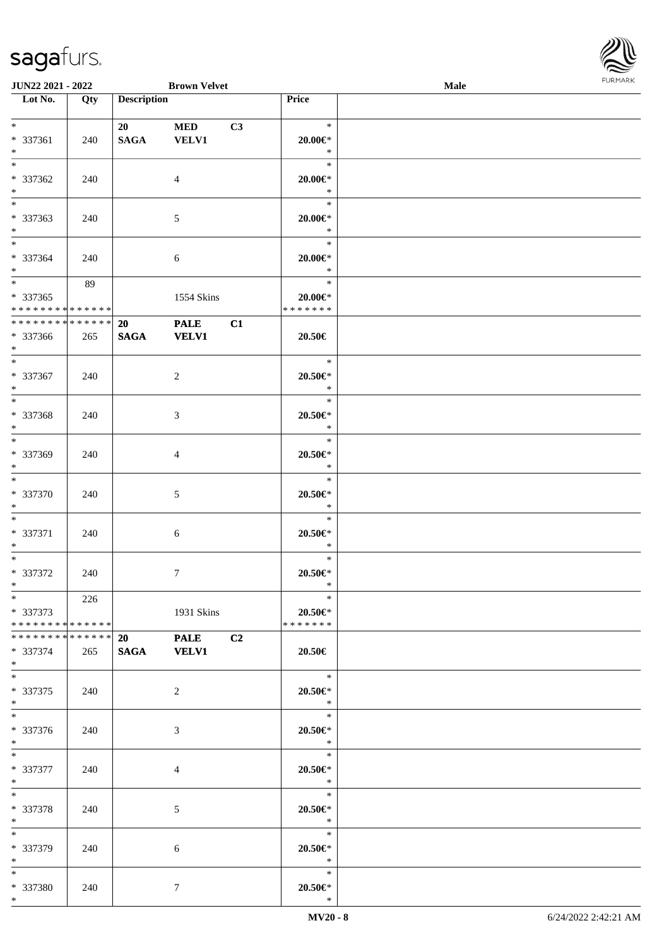

| <b>JUN22 2021 - 2022</b>      |     |                    | <b>Brown Velvet</b> |                |                | Male |  |
|-------------------------------|-----|--------------------|---------------------|----------------|----------------|------|--|
| Lot No.                       | Qty | <b>Description</b> |                     |                | Price          |      |  |
|                               |     |                    |                     |                |                |      |  |
| $*$                           |     | 20                 | <b>MED</b>          | C3             | $\ast$         |      |  |
| * 337361                      | 240 | <b>SAGA</b>        | <b>VELV1</b>        |                | $20.00 \in$ *  |      |  |
| $*$                           |     |                    |                     |                | $\ast$         |      |  |
|                               |     |                    |                     |                | $\ast$         |      |  |
| * 337362                      | 240 |                    | $\overline{4}$      |                | $20.00 \in$ *  |      |  |
| $*$                           |     |                    |                     |                | $\ast$         |      |  |
|                               |     |                    |                     |                | $\ast$         |      |  |
| * 337363                      | 240 |                    | $\mathfrak{S}$      |                | $20.00 \in$ *  |      |  |
| $*$                           |     |                    |                     |                | $\ast$         |      |  |
| $*$                           |     |                    |                     |                | $\ast$         |      |  |
| * 337364                      | 240 |                    | 6                   |                | $20.00 \in$ *  |      |  |
| $*$                           |     |                    |                     |                | $\ast$         |      |  |
|                               | 89  |                    |                     |                | $\ast$         |      |  |
| $* 337365$                    |     |                    | 1554 Skins          |                | $20.00 \in$ *  |      |  |
| * * * * * * * * * * * * * * * |     |                    |                     |                | * * * * * * *  |      |  |
| * * * * * * * * * * * * * * * |     | 20                 | <b>PALE</b>         | C1             |                |      |  |
| * 337366                      | 265 | <b>SAGA</b>        | <b>VELV1</b>        |                | 20.50€         |      |  |
| $*$                           |     |                    |                     |                |                |      |  |
| $*$                           |     |                    |                     |                | $\ast$         |      |  |
| * 337367                      | 240 |                    | 2                   |                | $20.50 \in$    |      |  |
| $*$                           |     |                    |                     |                | $\ast$         |      |  |
| $\overline{\ast}$             |     |                    |                     |                | $\ast$         |      |  |
| * 337368                      | 240 |                    | 3                   |                | $20.50 \in$ *  |      |  |
| $*$                           |     |                    |                     |                | $\ast$         |      |  |
| $*$                           |     |                    |                     |                | $\ast$         |      |  |
| * 337369                      | 240 |                    | 4                   |                | $20.50 \in$ *  |      |  |
| $*$                           |     |                    |                     |                | $\ast$         |      |  |
| $*$                           |     |                    |                     |                | $\ast$         |      |  |
| * 337370                      | 240 |                    | 5                   |                | $20.50 \in$ *  |      |  |
| $*$                           |     |                    |                     |                | $\ast$         |      |  |
| $*$                           |     |                    |                     |                | $\ast$         |      |  |
| * 337371                      | 240 |                    | 6                   |                | $20.50 \in$ *  |      |  |
| $*$                           |     |                    |                     |                | $\ast$         |      |  |
| $*$                           |     |                    |                     |                | $\ast$         |      |  |
| * 337372                      | 240 |                    | $\tau$              |                | $20.50 \in$ *  |      |  |
| $*$                           |     |                    |                     |                | $\ast$         |      |  |
| $*$ $*$                       | 226 |                    |                     |                | $\ast$         |      |  |
| * 337373                      |     |                    | 1931 Skins          |                | $20.50 \in$    |      |  |
| * * * * * * * * * * * * * * * |     |                    |                     |                | * * * * * * *  |      |  |
| * * * * * * * * * * * * * * * |     | 20                 | <b>PALE</b>         | C <sub>2</sub> |                |      |  |
| * 337374                      | 265 |                    | SAGA VELV1          |                | 20.50€         |      |  |
| $*$                           |     |                    |                     |                |                |      |  |
| $*$                           |     |                    |                     |                | $\ast$         |      |  |
| * 337375                      | 240 |                    | 2                   |                | $20.50 \in$ *  |      |  |
| $*$                           |     |                    |                     |                | $\mathbb{R}^n$ |      |  |
| $*$                           |     |                    |                     |                | $\ast$         |      |  |
| * 337376                      | 240 |                    | 3                   |                | $20.50 \in$ *  |      |  |
| $*$ $-$                       |     |                    |                     |                | $\ddot{x}$     |      |  |
| $*$                           |     |                    |                     |                | $\ast$         |      |  |
| * 337377                      | 240 |                    | 4                   |                | $20.50 \in$ *  |      |  |
| $*$ $-$                       |     |                    |                     |                | $\ast$         |      |  |
| $*$                           |     |                    |                     |                | $\ast$         |      |  |
| * 337378                      | 240 |                    | 5                   |                | $20.50 \in$    |      |  |
| $*$                           |     |                    |                     |                | $\ast$         |      |  |
| $*$                           |     |                    |                     |                | $\ast$         |      |  |
| * 337379                      | 240 |                    | 6                   |                | $20.50 \in$ *  |      |  |
| $*$                           |     |                    |                     |                | $\ast$         |      |  |
| $*$                           |     |                    |                     |                | $\ast$         |      |  |
| * 337380                      | 240 |                    | 7                   |                | $20.50 \in$    |      |  |
| $*$                           |     |                    |                     |                | $\ast$         |      |  |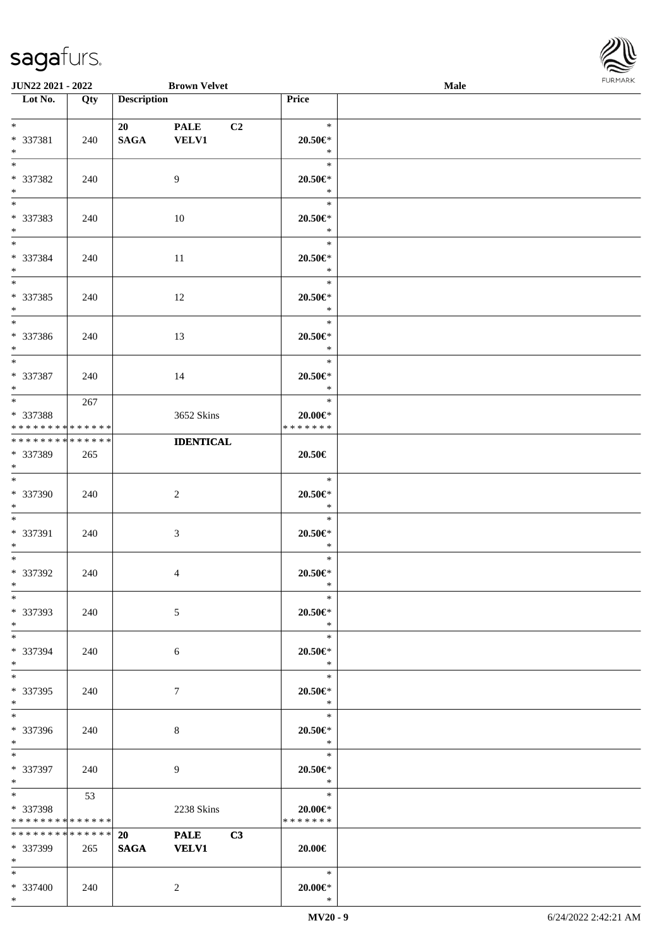\*



| <b>JUN22 2021 - 2022</b>                                                             |     |                    | <b>Brown Velvet</b>                           |                                           | Male |  |
|--------------------------------------------------------------------------------------|-----|--------------------|-----------------------------------------------|-------------------------------------------|------|--|
| Lot No.                                                                              | Qty | <b>Description</b> |                                               | Price                                     |      |  |
| $*$<br>* 337381<br>$*$                                                               | 240 | 20<br><b>SAGA</b>  | <b>PALE</b><br>C <sub>2</sub><br><b>VELV1</b> | $\ast$<br>20.50€*<br>$\ast$               |      |  |
| * 337382<br>$*$                                                                      | 240 |                    | 9                                             | $\ast$<br>$20.50 \in$ *<br>$\ast$         |      |  |
| * 337383<br>$*$                                                                      | 240 |                    | 10                                            | $\ast$<br>$20.50 \in$ *<br>$\ast$         |      |  |
| $*$<br>* 337384<br>$*$                                                               | 240 |                    | 11                                            | $\ast$<br>$20.50 \in$ *<br>$\ast$         |      |  |
| $*$<br>* 337385<br>$*$                                                               | 240 |                    | 12                                            | $\ast$<br>$20.50 \in$ *<br>$\ast$         |      |  |
| * 337386<br>$*$                                                                      | 240 |                    | 13                                            | $\ast$<br>20.50€*<br>$\ast$               |      |  |
| $*$<br>* 337387<br>$*$                                                               | 240 |                    | 14                                            | $\ast$<br>20.50€*<br>$\ast$               |      |  |
| $*$<br>* 337388<br>* * * * * * * * * * * * * *                                       | 267 |                    | 3652 Skins                                    | $\ast$<br>$20.00 \in$ *<br>* * * * * * *  |      |  |
| * * * * * * * * * * * * * *<br>* 337389<br>$*$                                       | 265 |                    | <b>IDENTICAL</b>                              | 20.50€                                    |      |  |
| $*$<br>* 337390<br>$*$                                                               | 240 |                    | 2                                             | $\ast$<br>$20.50 \in$ *<br>$\ast$         |      |  |
| $*$ $-$<br>* 337391<br>$*$                                                           | 240 |                    | $\mathfrak{Z}$                                | $\ast$<br>$20.50 \in$ *<br>$\ast$         |      |  |
| $*$ $-$<br>* 337392<br>$*$ $-$                                                       | 240 |                    | $\overline{4}$                                | $\ast$<br>$20.50 \in$ *<br>$\ast$         |      |  |
| $*$<br>* 337393<br>$*$                                                               | 240 |                    | 5                                             | $\ast$<br>$20.50 \in$<br>$\ast$           |      |  |
| $*$<br>* 337394<br>$*$                                                               | 240 |                    | 6                                             | $\ast$<br>$20.50 \in$<br>$\ast$           |      |  |
| $*$ $-$<br>* 337395<br>$*$                                                           | 240 |                    | $\tau$                                        | $\ast$<br>$20.50 \in$<br>$\ast$           |      |  |
| * 337396<br>$*$                                                                      | 240 |                    | 8                                             | $\ast$<br>$20.50 \in$ *<br>$\mathbb{R}^2$ |      |  |
| $*$ $*$<br>* 337397<br>$*$ $-$                                                       | 240 |                    | 9                                             | $\ast$<br>$20.50 \in$ *<br>$\ast$         |      |  |
| $*$ $\overline{\phantom{1}}$<br>* 337398<br>* * * * * * * * <mark>* * * * * *</mark> | 53  |                    | 2238 Skins                                    | $\ast$<br>$20.00 \in$<br>* * * * * * *    |      |  |
| ******** <mark>******</mark><br>* 337399<br>$\ast$                                   | 265 | 20<br><b>SAGA</b>  | <b>PALE</b><br>C3<br><b>VELV1</b>             | 20.00€                                    |      |  |
| $*$<br>* 337400                                                                      | 240 |                    | $\overline{2}$                                | $\ast$<br>$20.00 \in$ *                   |      |  |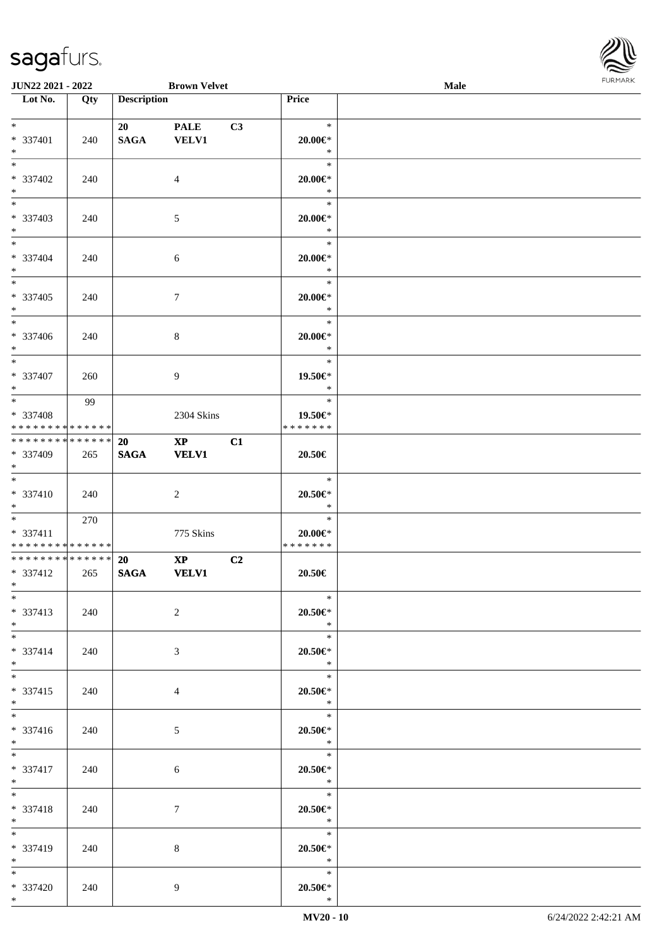

| <b>JUN22 2021 - 2022</b>                 |     |                    | <b>Brown Velvet</b>    |    |                             | Male |  |
|------------------------------------------|-----|--------------------|------------------------|----|-----------------------------|------|--|
| Lot No.                                  | Qty | <b>Description</b> |                        |    | Price                       |      |  |
|                                          |     |                    |                        |    |                             |      |  |
| $*$                                      |     | 20                 | <b>PALE</b>            | C3 | $\ast$                      |      |  |
| * 337401                                 | 240 | <b>SAGA</b>        | <b>VELV1</b>           |    | $20.00 \in$ *               |      |  |
| $*$                                      |     |                    |                        |    | $\ast$                      |      |  |
|                                          |     |                    |                        |    | $\ast$                      |      |  |
| * 337402                                 | 240 |                    | $\overline{4}$         |    | $20.00 \in$ *               |      |  |
| $*$                                      |     |                    |                        |    | $\ast$                      |      |  |
|                                          |     |                    |                        |    | $\ast$                      |      |  |
| * 337403                                 | 240 |                    | 5                      |    | $20.00 \in$ *               |      |  |
| $*$                                      |     |                    |                        |    | $\ast$                      |      |  |
| $*$                                      |     |                    |                        |    | $\ast$                      |      |  |
| * 337404                                 | 240 |                    | 6                      |    | $20.00 \in$ *               |      |  |
| $*$                                      |     |                    |                        |    | $\ast$                      |      |  |
| $*$                                      |     |                    |                        |    | $\ast$                      |      |  |
|                                          |     |                    |                        |    |                             |      |  |
| * 337405                                 | 240 |                    | $7\phantom{.0}$        |    | $20.00 \in$ *<br>$\ast$     |      |  |
| $*$<br>$\overline{\ast}$                 |     |                    |                        |    | $\ast$                      |      |  |
|                                          |     |                    |                        |    |                             |      |  |
| * 337406                                 | 240 |                    | 8                      |    | $20.00 \in$ *               |      |  |
| $*$                                      |     |                    |                        |    | $\ast$                      |      |  |
| $*$                                      |     |                    |                        |    | $\ast$                      |      |  |
| * 337407                                 | 260 |                    | 9                      |    | 19.50€*                     |      |  |
| $*$                                      |     |                    |                        |    | $\ast$                      |      |  |
| $*$                                      | 99  |                    |                        |    | $\ast$                      |      |  |
| * 337408                                 |     |                    | 2304 Skins             |    | 19.50€*                     |      |  |
| * * * * * * * * * * * * * *              |     |                    |                        |    | * * * * * * *               |      |  |
| * * * * * * * * * * * * * *              |     | <b>20</b>          | $\mathbf{X}\mathbf{P}$ | C1 |                             |      |  |
| * 337409                                 | 265 | <b>SAGA</b>        | <b>VELV1</b>           |    | 20.50€                      |      |  |
| $*$                                      |     |                    |                        |    |                             |      |  |
| $*$                                      |     |                    |                        |    | $\ast$                      |      |  |
| * 337410                                 | 240 |                    | 2                      |    | $20.50 \in$ *               |      |  |
| $*$                                      |     |                    |                        |    | $\ast$                      |      |  |
| $*$ $*$                                  | 270 |                    |                        |    | $\ast$                      |      |  |
| * 337411                                 |     |                    | 775 Skins              |    | $20.00 \in$ *               |      |  |
| * * * * * * * * * * * * * *              |     |                    |                        |    | *******                     |      |  |
| * * * * * * * * <mark>* * * * * *</mark> |     | <b>20</b>          | $\mathbf{XP}$          | C2 |                             |      |  |
| * 337412                                 | 265 | <b>SAGA</b>        | <b>VELV1</b>           |    | 20.50€                      |      |  |
| $*$ $*$                                  |     |                    |                        |    |                             |      |  |
| $*$                                      |     |                    |                        |    | $\ast$                      |      |  |
| * 337413                                 | 240 |                    | $\overline{2}$         |    | $20.50 \in$                 |      |  |
| $*$                                      |     |                    |                        |    | $\ast$                      |      |  |
| $*$                                      |     |                    |                        |    | $\ast$                      |      |  |
| * 337414                                 | 240 |                    | 3                      |    | $20.50 \in$ *               |      |  |
| $*$                                      |     |                    |                        |    | $\ast$                      |      |  |
| $*$ $-$                                  |     |                    |                        |    | $\ast$                      |      |  |
| * 337415                                 | 240 |                    | $\overline{4}$         |    | $20.50 \in$                 |      |  |
| $*$                                      |     |                    |                        |    | $\mathbb{R}^2$              |      |  |
|                                          |     |                    |                        |    | $\overline{\phantom{0}}$    |      |  |
| * 337416                                 | 240 |                    | $5\overline{)}$        |    | $20.50 \in$ *               |      |  |
| $*$                                      |     |                    |                        |    | $\ast$                      |      |  |
| $*$ and $*$                              |     |                    |                        |    | $\overline{\qquad \qquad }$ |      |  |
| * 337417                                 | 240 |                    | $\sqrt{6}$             |    | $20.50 \in$ *               |      |  |
| $*$ $-$                                  |     |                    |                        |    | $\ast$                      |      |  |
| $*$ $*$                                  |     |                    |                        |    | $\overline{\phantom{a}}$    |      |  |
| * 337418                                 | 240 |                    | $\tau$                 |    | $20.50 \in$ *               |      |  |
| $*$ $-$                                  |     |                    |                        |    | $\ast$                      |      |  |
| $*$                                      |     |                    |                        |    | $\ast$                      |      |  |
|                                          |     |                    |                        |    |                             |      |  |
| * 337419                                 | 240 |                    | 8                      |    | $20.50 \in$ *<br>$\ast$     |      |  |
| $*$<br>$*$                               |     |                    |                        |    | $\ast$                      |      |  |
|                                          |     |                    |                        |    |                             |      |  |
| * 337420                                 | 240 |                    | 9                      |    | $20.50 \in$                 |      |  |
| $*$                                      |     |                    |                        |    | $\ast$                      |      |  |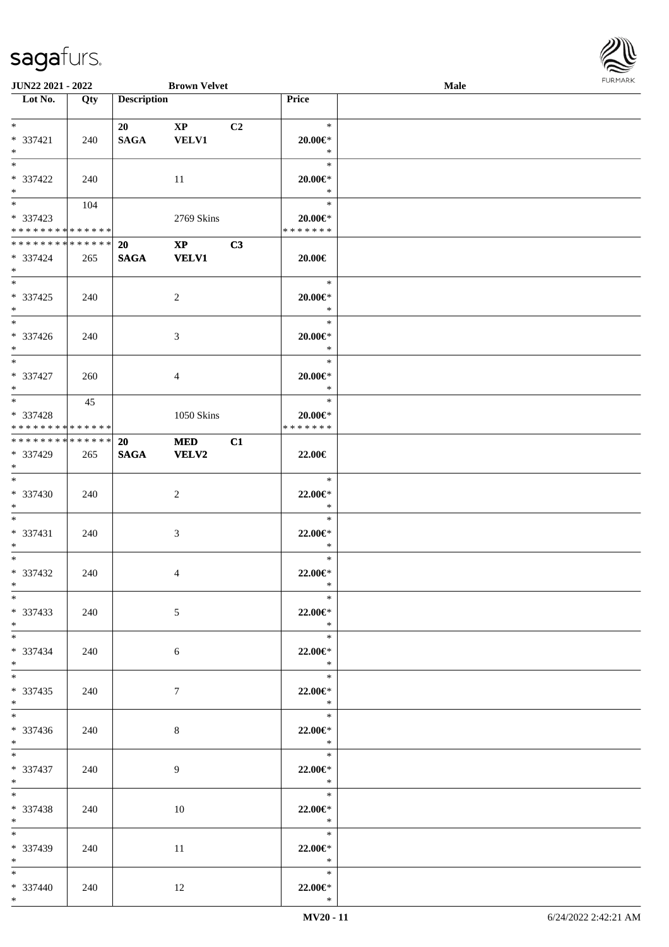

| <b>JUN22 2021 - 2022</b>                  |     |                    | <b>Brown Velvet</b>    |    |                                | <b>Male</b> |  |
|-------------------------------------------|-----|--------------------|------------------------|----|--------------------------------|-------------|--|
| Lot No.                                   | Qty | <b>Description</b> |                        |    | Price                          |             |  |
|                                           |     |                    |                        |    |                                |             |  |
| $*$                                       |     | 20                 | $\mathbf{X}\mathbf{P}$ | C2 | $\ast$                         |             |  |
| * 337421                                  | 240 | <b>SAGA</b>        | <b>VELV1</b>           |    | $20.00 \in$ *                  |             |  |
| $*$                                       |     |                    |                        |    | $\ast$                         |             |  |
| $\overline{\ast}$                         |     |                    |                        |    | $\ast$                         |             |  |
| $* 337422$                                | 240 |                    | 11                     |    | $20.00 \in$ *                  |             |  |
| $*$                                       |     |                    |                        |    | $\ast$                         |             |  |
| $\overline{\ast}$                         | 104 |                    |                        |    | $\ast$                         |             |  |
| * 337423                                  |     |                    | 2769 Skins             |    | $20.00 \in$ *                  |             |  |
| * * * * * * * * * * * * * *               |     |                    |                        |    | * * * * * * *                  |             |  |
| ******** <mark>******</mark>              |     | 20                 | $\mathbf{X}\mathbf{P}$ | C3 |                                |             |  |
| * 337424                                  | 265 | <b>SAGA</b>        | <b>VELV1</b>           |    | 20.00€                         |             |  |
| $*$<br>$\overline{\ast}$                  |     |                    |                        |    |                                |             |  |
|                                           |     |                    |                        |    | $\ast$                         |             |  |
| * 337425                                  | 240 |                    | $\overline{c}$         |    | $20.00 \in$ *                  |             |  |
| $*$<br>$\overline{\phantom{0}}$           |     |                    |                        |    | $\ast$<br>$\ast$               |             |  |
|                                           |     |                    |                        |    |                                |             |  |
| * 337426<br>$*$                           | 240 |                    | 3                      |    | $20.00 \in$ *<br>$\ast$        |             |  |
|                                           |     |                    |                        |    | $\ast$                         |             |  |
|                                           |     |                    |                        |    |                                |             |  |
| * 337427<br>$*$                           | 260 |                    | 4                      |    | $20.00 \in$<br>$\ast$          |             |  |
|                                           | 45  |                    |                        |    | $\ast$                         |             |  |
|                                           |     |                    |                        |    |                                |             |  |
| * 337428<br>* * * * * * * * * * * * * * * |     |                    | 1050 Skins             |    | $20.00 \in$ *<br>* * * * * * * |             |  |
| * * * * * * * * * * * * * * *             |     | <b>20</b>          | <b>MED</b>             | C1 |                                |             |  |
| * 337429                                  | 265 | <b>SAGA</b>        | <b>VELV2</b>           |    | 22.00€                         |             |  |
| $*$                                       |     |                    |                        |    |                                |             |  |
| $\overline{\phantom{0}}$                  |     |                    |                        |    | $\ast$                         |             |  |
| * 337430                                  | 240 |                    | $\overline{c}$         |    | 22.00€*                        |             |  |
| $*$                                       |     |                    |                        |    | $\ast$                         |             |  |
| $*$                                       |     |                    |                        |    | $\ast$                         |             |  |
| * 337431                                  | 240 |                    | 3                      |    | 22.00€*                        |             |  |
| $*$                                       |     |                    |                        |    | $\ast$                         |             |  |
| $*$                                       |     |                    |                        |    | $\ast$                         |             |  |
| $* 337432$                                | 240 |                    | 4                      |    | 22.00€*                        |             |  |
| $*$ $*$                                   |     |                    |                        |    | $\ast$                         |             |  |
| $*$                                       |     |                    |                        |    | $\ast$                         |             |  |
| * 337433                                  | 240 |                    | 5                      |    | 22.00€*                        |             |  |
| $*$                                       |     |                    |                        |    | $\ast$                         |             |  |
| $*$                                       |     |                    |                        |    | $\ast$                         |             |  |
| * 337434                                  | 240 |                    | 6                      |    | 22.00€*                        |             |  |
| $*$ $-$                                   |     |                    |                        |    | $\ast$                         |             |  |
| $*$                                       |     |                    |                        |    | $\ast$                         |             |  |
| $* 337435$                                | 240 |                    | $7\phantom{.0}$        |    | 22.00€*                        |             |  |
| $*$ $-$                                   |     |                    |                        |    | $\rightarrow$                  |             |  |
| $*$                                       |     |                    |                        |    | $\ast$                         |             |  |
| * 337436                                  | 240 |                    | 8                      |    | 22.00€*                        |             |  |
| $*$ $*$                                   |     |                    |                        |    | $\mathbb{R}$                   |             |  |
| $*$ $*$                                   |     |                    |                        |    | $\ast$                         |             |  |
| * 337437<br>$*$ $*$                       | 240 |                    | 9                      |    | 22.00€*<br>$\ast$              |             |  |
| $*$                                       |     |                    |                        |    | $\ast$                         |             |  |
| $* 337438$                                |     |                    |                        |    | 22.00€*                        |             |  |
| $*$ $*$                                   | 240 |                    | 10                     |    | $\ast$                         |             |  |
| $*$                                       |     |                    |                        |    | $\ast$                         |             |  |
| * 337439                                  | 240 |                    | 11                     |    | 22.00 $\in$ *                  |             |  |
| $*$                                       |     |                    |                        |    | $\ast$                         |             |  |
| $*$                                       |     |                    |                        |    | $\ast$                         |             |  |
| * 337440                                  | 240 |                    | 12                     |    | 22.00 $\in$ *                  |             |  |
| $*$                                       |     |                    |                        |    | $\ast$                         |             |  |
|                                           |     |                    |                        |    |                                |             |  |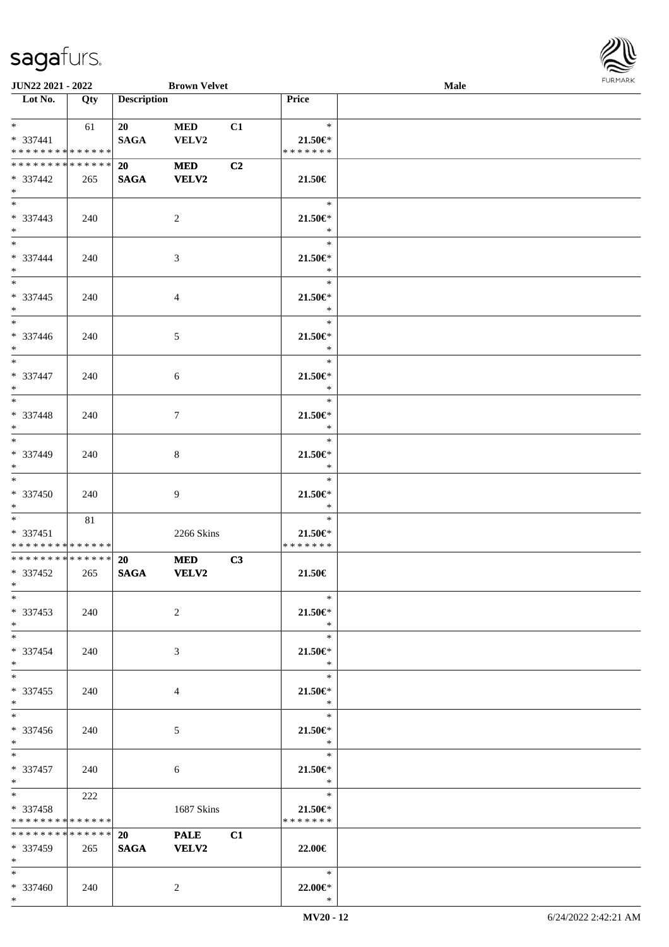

| <b>JUN22 2021 - 2022</b>      |     |                    | <b>Brown Velvet</b> |    |                   | Male |  |
|-------------------------------|-----|--------------------|---------------------|----|-------------------|------|--|
| Lot No.                       | Qty | <b>Description</b> |                     |    | Price             |      |  |
|                               |     |                    |                     |    |                   |      |  |
| $*$ $*$                       | 61  | 20                 | <b>MED</b>          | C1 | $\ast$            |      |  |
| * 337441                      |     | <b>SAGA</b>        | VELV2               |    | $21.50 \in$       |      |  |
| * * * * * * * * * * * * * *   |     |                    |                     |    | * * * * * * *     |      |  |
| * * * * * * * * * * * * * * * |     | <b>20</b>          | <b>MED</b>          | C2 |                   |      |  |
| * 337442                      | 265 | <b>SAGA</b>        | <b>VELV2</b>        |    | 21.50€            |      |  |
| $*$                           |     |                    |                     |    |                   |      |  |
|                               |     |                    |                     |    | $\ast$            |      |  |
| * 337443                      | 240 |                    | $\overline{2}$      |    | $21.50 \in$       |      |  |
| $*$                           |     |                    |                     |    | $\ast$            |      |  |
| $*$                           |     |                    |                     |    | $\ast$            |      |  |
|                               |     |                    |                     |    |                   |      |  |
| * 337444                      | 240 |                    | $\mathfrak{Z}$      |    | 21.50€*<br>$\ast$ |      |  |
| $*$<br>$*$                    |     |                    |                     |    | $\ast$            |      |  |
|                               |     |                    |                     |    |                   |      |  |
| * 337445                      | 240 |                    | 4                   |    | 21.50€*           |      |  |
| $*$<br>$\overline{\ast}$      |     |                    |                     |    | $\ast$            |      |  |
|                               |     |                    |                     |    | $\ast$            |      |  |
| * 337446                      | 240 |                    | 5                   |    | 21.50€*           |      |  |
| $*$                           |     |                    |                     |    | $\ast$            |      |  |
| $\overline{\ast}$             |     |                    |                     |    | $\ast$            |      |  |
| * 337447                      | 240 |                    | 6                   |    | $21.50 \in$       |      |  |
| $*$                           |     |                    |                     |    | $\ast$            |      |  |
| $\overline{\ast}$             |     |                    |                     |    | $\ast$            |      |  |
| * 337448                      | 240 |                    | $\tau$              |    | 21.50€*           |      |  |
| $*$                           |     |                    |                     |    | $\ast$            |      |  |
| $\overline{\phantom{0}}$      |     |                    |                     |    | $\ast$            |      |  |
| * 337449                      | 240 |                    | 8                   |    | 21.50€*           |      |  |
| $*$                           |     |                    |                     |    | $\ast$            |      |  |
| $\overline{\ast}$             |     |                    |                     |    | $\ast$            |      |  |
| $* 337450$                    | 240 |                    | 9                   |    | $21.50 \in$       |      |  |
| $*$                           |     |                    |                     |    | $\ast$            |      |  |
| $*$                           | 81  |                    |                     |    | $\ast$            |      |  |
| * 337451                      |     |                    | 2266 Skins          |    | 21.50€*           |      |  |
| * * * * * * * * * * * * * *   |     |                    |                     |    | * * * * * * *     |      |  |
| ******** <mark>******</mark>  |     | <b>20</b>          | <b>MED</b>          | C3 |                   |      |  |
| * 337452                      | 265 | <b>SAGA</b>        | <b>VELV2</b>        |    | 21.50€            |      |  |
| $*$                           |     |                    |                     |    |                   |      |  |
| $*$                           |     |                    |                     |    | $\ast$            |      |  |
| * 337453                      | 240 |                    | 2                   |    | $21.50 \in$       |      |  |
| $*$                           |     |                    |                     |    | $\ast$            |      |  |
| $*$                           |     |                    |                     |    | $\ast$            |      |  |
| * 337454                      |     |                    |                     |    |                   |      |  |
| $*$                           | 240 |                    | 3                   |    | 21.50€*<br>$\ast$ |      |  |
| $*$                           |     |                    |                     |    | $\ast$            |      |  |
|                               |     |                    |                     |    |                   |      |  |
| * 337455                      | 240 |                    | 4                   |    | 21.50€*<br>$\ast$ |      |  |
| $*$<br>$*$                    |     |                    |                     |    | $\ast$            |      |  |
|                               |     |                    |                     |    |                   |      |  |
| $* 337456$                    | 240 |                    | 5                   |    | $21.50 \in$       |      |  |
| $*$                           |     |                    |                     |    | $\rightarrow$     |      |  |
| $*$                           |     |                    |                     |    | $\ast$            |      |  |
| * 337457                      | 240 |                    | 6                   |    | 21.50€*           |      |  |
| $*$ $-$                       |     |                    |                     |    | $\ast$            |      |  |
| $*$ and $*$                   | 222 |                    |                     |    | $\ast$            |      |  |
| * 337458                      |     |                    | 1687 Skins          |    | $21.50 \in$       |      |  |
| * * * * * * * * * * * * * *   |     |                    |                     |    | * * * * * * *     |      |  |
| * * * * * * * * * * * * * *   |     | 20                 | <b>PALE</b>         | C1 |                   |      |  |
| * 337459                      | 265 | <b>SAGA</b>        | <b>VELV2</b>        |    | 22.00€            |      |  |
| $*$                           |     |                    |                     |    |                   |      |  |
| $*$                           |     |                    |                     |    | $\ast$            |      |  |
| * 337460                      | 240 |                    | $\overline{c}$      |    | 22.00€*           |      |  |
| $*$                           |     |                    |                     |    | $\ast$            |      |  |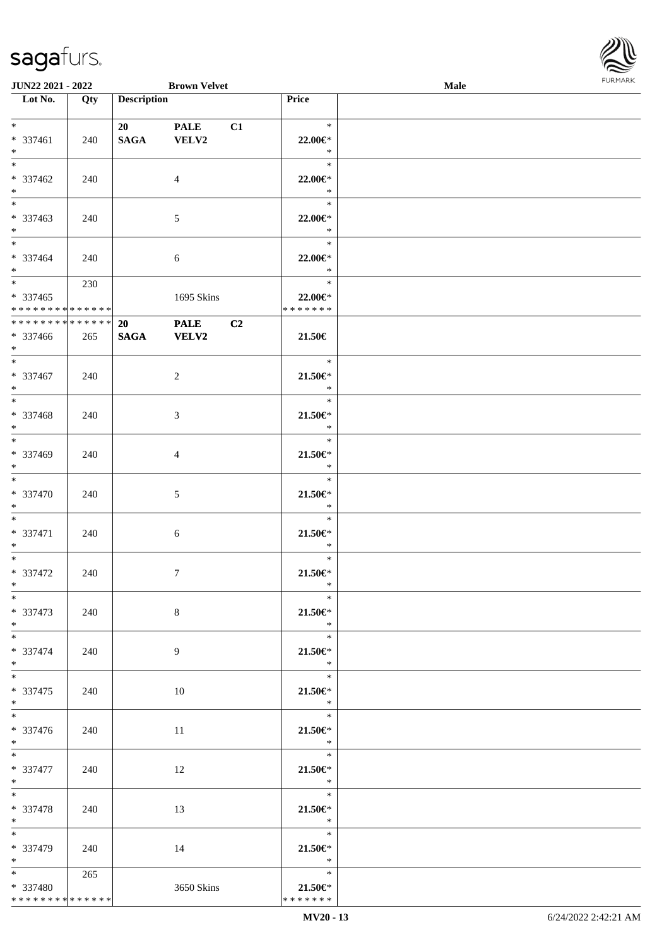

| JUN22 2021 - 2022                          |     |                    | <b>Brown Velvet</b> |    |                       | <b>Male</b> |  |
|--------------------------------------------|-----|--------------------|---------------------|----|-----------------------|-------------|--|
| Lot No.                                    | Qty | <b>Description</b> |                     |    | Price                 |             |  |
|                                            |     |                    |                     |    |                       |             |  |
| $*$                                        |     | 20                 | <b>PALE</b>         | C1 | $\ast$                |             |  |
| * 337461                                   | 240 | <b>SAGA</b>        | VELV2               |    | 22.00€*               |             |  |
| $*$                                        |     |                    |                     |    | $\ast$                |             |  |
| $*$                                        |     |                    |                     |    | $\ast$                |             |  |
| * 337462                                   |     |                    |                     |    | 22.00€*               |             |  |
|                                            | 240 |                    | $\overline{4}$      |    |                       |             |  |
| $\ast$                                     |     |                    |                     |    | $\ast$                |             |  |
|                                            |     |                    |                     |    | $\ast$                |             |  |
| * 337463                                   | 240 |                    | 5                   |    | 22.00€*               |             |  |
| $*$                                        |     |                    |                     |    | $\ast$                |             |  |
| $\overline{\phantom{0}}$                   |     |                    |                     |    | $\ast$                |             |  |
| * 337464                                   | 240 |                    | $\sqrt{6}$          |    | 22.00€*               |             |  |
| $*$                                        |     |                    |                     |    | $\ast$                |             |  |
|                                            | 230 |                    |                     |    | $\ast$                |             |  |
| $* 337465$                                 |     |                    | 1695 Skins          |    | 22.00€*               |             |  |
| * * * * * * * * * * * * * * *              |     |                    |                     |    | * * * * * * *         |             |  |
| ******** <mark>******</mark>               |     |                    |                     |    |                       |             |  |
|                                            |     | 20                 | <b>PALE</b>         | C2 |                       |             |  |
| * 337466                                   | 265 | <b>SAGA</b>        | <b>VELV2</b>        |    | 21.50€                |             |  |
| $*$                                        |     |                    |                     |    |                       |             |  |
|                                            |     |                    |                     |    | $\ast$                |             |  |
| * 337467                                   | 240 |                    | $\overline{c}$      |    | $21.50 \in$           |             |  |
| $*$                                        |     |                    |                     |    | $\ast$                |             |  |
|                                            |     |                    |                     |    | $\ast$                |             |  |
| * 337468                                   | 240 |                    | $\mathfrak{Z}$      |    | $21.50 \in$           |             |  |
| $\ast$                                     |     |                    |                     |    | $\ast$                |             |  |
|                                            |     |                    |                     |    | $\ast$                |             |  |
|                                            |     |                    |                     |    |                       |             |  |
| * 337469                                   | 240 |                    | $\overline{4}$      |    | $21.50 \in$           |             |  |
| $*$<br>$\overline{\phantom{0}}$            |     |                    |                     |    | $\ast$                |             |  |
|                                            |     |                    |                     |    | $\ast$                |             |  |
| * 337470                                   | 240 |                    | $\sqrt{5}$          |    | $21.50 \in$           |             |  |
| $*$                                        |     |                    |                     |    | $\ast$                |             |  |
| $*$                                        |     |                    |                     |    | $\ast$                |             |  |
| * 337471                                   | 240 |                    | $\sqrt{6}$          |    | $21.50 \in$           |             |  |
| $*$                                        |     |                    |                     |    | $\ast$                |             |  |
| $*$                                        |     |                    |                     |    | $\ast$                |             |  |
| * 337472                                   | 240 |                    | $\tau$              |    | $21.50 \in$           |             |  |
| $*$                                        |     |                    |                     |    | $\ast$                |             |  |
| $*$                                        |     |                    |                     |    | $\ast$                |             |  |
| * 337473                                   | 240 |                    | $8\,$               |    | $21.50 \in$           |             |  |
| $*$                                        |     |                    |                     |    | $\ast$                |             |  |
| $*$                                        |     |                    |                     |    | $\ast$                |             |  |
|                                            |     |                    |                     |    |                       |             |  |
| * 337474                                   | 240 |                    | 9                   |    | $21.50 \in$           |             |  |
| $*$                                        |     |                    |                     |    | $\ast$                |             |  |
| $*$                                        |     |                    |                     |    | $\ast$                |             |  |
| $*337475$                                  | 240 |                    | 10                  |    | $21.50 \in$           |             |  |
| $*$                                        |     |                    |                     |    | $\ast$                |             |  |
|                                            |     |                    |                     |    | $\ast$                |             |  |
| * 337476                                   | 240 |                    | 11                  |    | $21.50 \in$           |             |  |
| $*$ $*$                                    |     |                    |                     |    | $\ddot{x}$            |             |  |
| $*$                                        |     |                    |                     |    | $\ast$                |             |  |
| * 337477                                   | 240 |                    | 12                  |    | $21.50 \in$           |             |  |
| $*$                                        |     |                    |                     |    | $\ast$                |             |  |
| $*$                                        |     |                    |                     |    | $\ast$                |             |  |
|                                            |     |                    |                     |    |                       |             |  |
| * 337478                                   | 240 |                    | 13                  |    | $21.50 \in$<br>$\ast$ |             |  |
| $*$                                        |     |                    |                     |    |                       |             |  |
|                                            |     |                    |                     |    | $\ast$                |             |  |
| * 337479                                   | 240 |                    | 14                  |    | $21.50 \in$           |             |  |
| $*$                                        |     |                    |                     |    | $\ast$                |             |  |
| $*$ and $*$                                | 265 |                    |                     |    | $\ast$                |             |  |
| * 337480                                   |     |                    | 3650 Skins          |    | $21.50 \in$           |             |  |
| * * * * * * * * <mark>* * * * * * *</mark> |     |                    |                     |    | * * * * * * *         |             |  |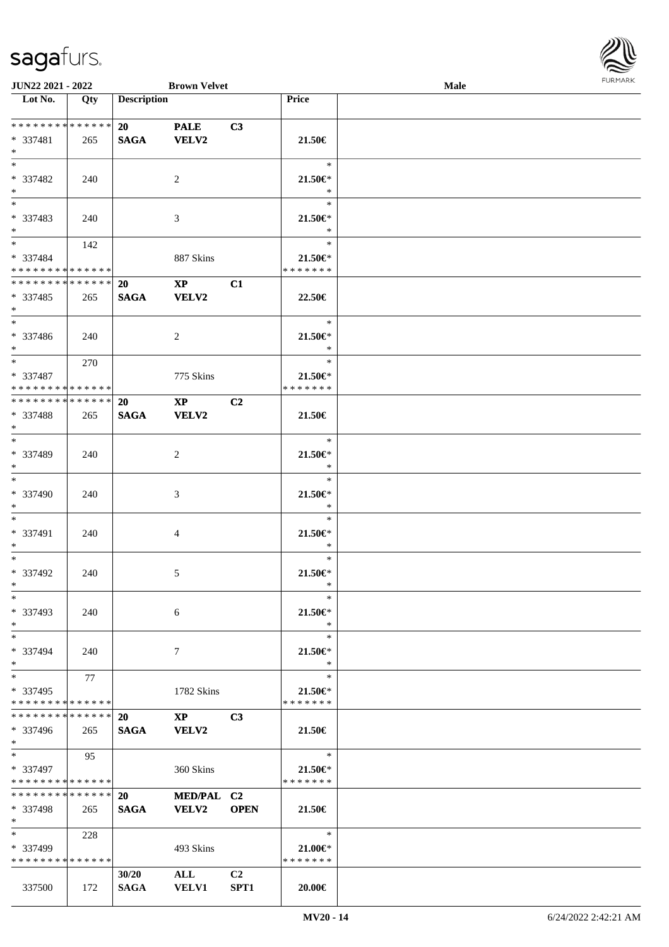

| <b>JUN22 2021 - 2022</b>                   |     |                    | <b>Brown Velvet</b>    |                |               | <b>Male</b> |  |
|--------------------------------------------|-----|--------------------|------------------------|----------------|---------------|-------------|--|
| Lot No.                                    | Qty | <b>Description</b> |                        |                | Price         |             |  |
|                                            |     |                    |                        |                |               |             |  |
| **************                             |     | 20                 | <b>PALE</b>            | C3             |               |             |  |
| * 337481                                   | 265 | <b>SAGA</b>        | <b>VELV2</b>           |                | 21.50€        |             |  |
| $*$                                        |     |                    |                        |                |               |             |  |
| $*$                                        |     |                    |                        |                | $\ast$        |             |  |
| * 337482                                   | 240 |                    | 2                      |                | 21.50€*       |             |  |
| $*$                                        |     |                    |                        |                | $\ast$        |             |  |
|                                            |     |                    |                        |                | $\ast$        |             |  |
| * 337483                                   | 240 |                    | 3                      |                | $21.50 \in$   |             |  |
| $*$                                        |     |                    |                        |                | $\ast$        |             |  |
| $*$                                        | 142 |                    |                        |                | $\ast$        |             |  |
| * 337484                                   |     |                    | 887 Skins              |                | $21.50 \in$ * |             |  |
| * * * * * * * * * * * * * * *              |     |                    |                        |                | * * * * * * * |             |  |
| ******** <mark>******</mark>               |     | 20                 | $\mathbf{X}\mathbf{P}$ | C1             |               |             |  |
| * 337485                                   | 265 | <b>SAGA</b>        | VELV2                  |                | 22.50€        |             |  |
| $*$                                        |     |                    |                        |                |               |             |  |
| $*$                                        |     |                    |                        |                | $\ast$        |             |  |
| * 337486                                   | 240 |                    | 2                      |                | 21.50€*       |             |  |
| $*$                                        |     |                    |                        |                | $\ast$        |             |  |
| $*$ $*$                                    | 270 |                    |                        |                | $\ast$        |             |  |
| * 337487                                   |     |                    | 775 Skins              |                | $21.50 \in$ * |             |  |
| * * * * * * * * <mark>* * * * * * *</mark> |     |                    |                        |                | * * * * * * * |             |  |
| * * * * * * * * * * * * * * *              |     | <b>20</b>          | $\mathbf{X}\mathbf{P}$ | C <sub>2</sub> |               |             |  |
| * 337488                                   | 265 | <b>SAGA</b>        | VELV2                  |                | 21.50€        |             |  |
| $\ast$                                     |     |                    |                        |                |               |             |  |
| $*$                                        |     |                    |                        |                | $\ast$        |             |  |
| * 337489                                   | 240 |                    | 2                      |                | 21.50€*       |             |  |
| $*$                                        |     |                    |                        |                | $\ast$        |             |  |
|                                            |     |                    |                        |                | $\ast$        |             |  |
| * 337490                                   | 240 |                    | 3                      |                | $21.50 \in$   |             |  |
| $*$                                        |     |                    |                        |                | $\ast$        |             |  |
| $*$                                        |     |                    |                        |                | $\ast$        |             |  |
| * 337491                                   | 240 |                    | 4                      |                | $21.50 \in$   |             |  |
| $*$                                        |     |                    |                        |                | $\ast$        |             |  |
| $*$                                        |     |                    |                        |                | $\ast$        |             |  |
| * 337492                                   | 240 |                    | $\mathfrak{S}$         |                | $21.50 \in$   |             |  |
| $*$                                        |     |                    |                        |                | $\ast$        |             |  |
| $*$                                        |     |                    |                        |                | $\ast$        |             |  |
| * 337493                                   | 240 |                    | 6                      |                | 21.50€*       |             |  |
| $*$                                        |     |                    |                        |                | $\ast$        |             |  |
| $*$                                        |     |                    |                        |                | $\ast$        |             |  |
| * 337494                                   | 240 |                    | 7                      |                | $21.50 \in$   |             |  |
| $*$                                        |     |                    |                        |                | $\ast$        |             |  |
| $*$                                        | 77  |                    |                        |                | $\ast$        |             |  |
| * 337495                                   |     |                    | 1782 Skins             |                | $21.50 \in$   |             |  |
| * * * * * * * * * * * * * *                |     |                    |                        |                | * * * * * * * |             |  |
| * * * * * * * * * * * * * * *              |     | <b>20</b>          | $\mathbf{XP}$          | C <sub>3</sub> |               |             |  |
| * 337496                                   | 265 | <b>SAGA</b>        | <b>VELV2</b>           |                | 21.50€        |             |  |
| $*$                                        |     |                    |                        |                |               |             |  |
| $*$                                        | 95  |                    |                        |                | $\ast$        |             |  |
| * 337497                                   |     |                    | 360 Skins              |                | $21.50 \in$   |             |  |
| * * * * * * * * * * * * * *                |     |                    |                        |                | * * * * * * * |             |  |
| * * * * * * * * * * * * * * *              |     | <b>20</b>          | MED/PAL C2             |                |               |             |  |
| * 337498                                   | 265 | <b>SAGA</b>        | <b>VELV2</b>           | <b>OPEN</b>    | 21.50€        |             |  |
| $*$                                        |     |                    |                        |                |               |             |  |
| $*$                                        | 228 |                    |                        |                | $\ast$        |             |  |
| * 337499                                   |     |                    | 493 Skins              |                | $21.00 \in$ * |             |  |
| * * * * * * * * * * * * * *                |     |                    |                        |                | * * * * * * * |             |  |
|                                            |     | 30/20              | <b>ALL</b>             | C2             |               |             |  |
| 337500                                     | 172 | <b>SAGA</b>        | <b>VELV1</b>           | SPT1           | $20.00 \in$   |             |  |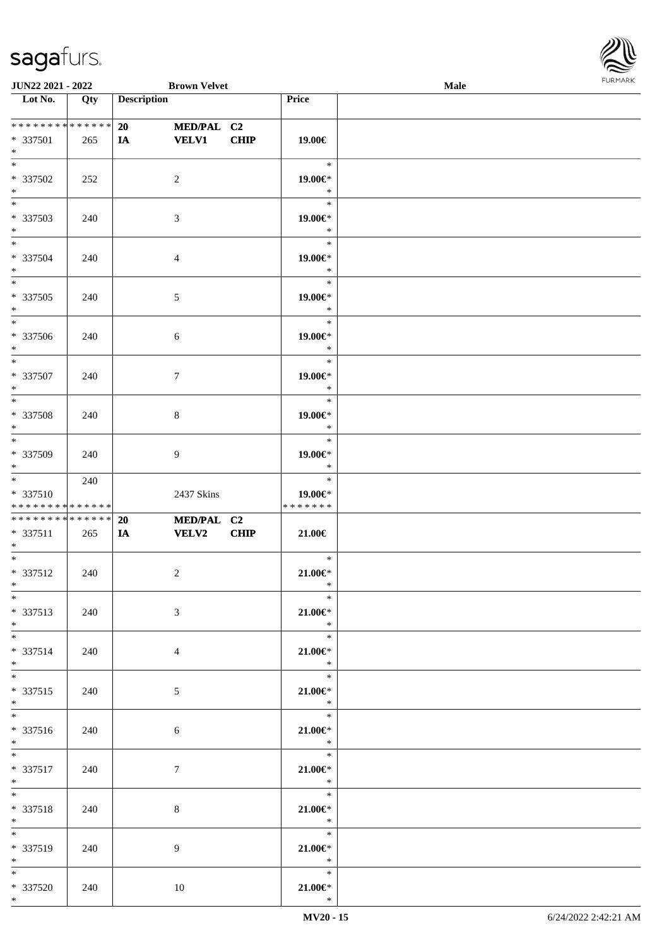

| JUN22 2021 - 2022                              |     |                    | <b>Brown Velvet</b>        |             |                                           | Male | $\sim$ |
|------------------------------------------------|-----|--------------------|----------------------------|-------------|-------------------------------------------|------|--------|
| $\overline{\phantom{1}}$ Lot No.               | Qty | <b>Description</b> |                            |             | Price                                     |      |        |
| * * * * * * * * * * * * * *<br>* 337501<br>$*$ | 265 | 20<br><b>IA</b>    | MED/PAL C2<br><b>VELV1</b> | <b>CHIP</b> | 19.00€                                    |      |        |
| $\overline{\ast}$<br>* 337502<br>$*$           | 252 |                    | $\overline{2}$             |             | $\ast$<br>19.00€*<br>$\ast$               |      |        |
| $\overline{\ast}$<br>* 337503<br>$\ast$        | 240 |                    | $\mathfrak{Z}$             |             | $\ast$<br>19.00€*<br>$\ast$               |      |        |
| $\overline{\phantom{0}}$<br>* 337504<br>$*$    | 240 |                    | $\overline{4}$             |             | $\ast$<br>19.00€*<br>$\ast$               |      |        |
| $\overline{\phantom{0}}$<br>* 337505<br>$*$    | 240 |                    | 5                          |             | $\ast$<br>19.00€*<br>$\ast$               |      |        |
| $*$<br>* 337506<br>$*$                         | 240 |                    | $\sqrt{6}$                 |             | $\ast$<br>19.00€*<br>$\ast$               |      |        |
| $\ast$<br>* 337507<br>$\ast$                   | 240 |                    | $\tau$                     |             | $\ast$<br>19.00€*<br>$\ast$               |      |        |
| $\overline{\phantom{0}}$<br>$* 337508$<br>$*$  | 240 |                    | $\,8\,$                    |             | $\ast$<br>19.00€*<br>$\ast$               |      |        |
| $*$<br>* 337509<br>$*$                         | 240 |                    | 9                          |             | $\ast$<br>19.00€*<br>$\ast$               |      |        |
| $*$<br>* 337510<br>* * * * * * * * * * * * * * | 240 |                    | 2437 Skins                 |             | $\ast$<br>19.00€*<br>* * * * * * *        |      |        |
| * * * * * * * * * * * * * *<br>* 337511<br>$*$ | 265 | 20<br>IA           | MED/PAL C2<br><b>VELV2</b> | <b>CHIP</b> | 21.00€                                    |      |        |
| $\ast$<br>$* 337512$<br>$*$                    | 240 |                    | $\boldsymbol{2}$           |             | $\ast$<br>$21.00 \in$<br>$\ast$           |      |        |
| $*$<br>* 337513<br>$*$                         | 240 |                    | $\mathfrak{Z}$             |             | $\ast$<br>$21.00 \in$<br>$\ast$           |      |        |
| $\overline{\phantom{0}}$<br>* 337514<br>$*$    | 240 |                    | $\overline{4}$             |             | $\ast$<br>$21.00 \in$<br>$\ast$           |      |        |
| $*$<br>$* 337515$<br>$*$                       | 240 |                    | 5 <sub>5</sub>             |             | $\ast$<br>$21.00 \in$<br>$\ast$           |      |        |
| $*$<br>* 337516<br>$*$                         | 240 |                    | 6                          |             | $*$<br>$21.00 \in$ *<br>$\ast$            |      |        |
| $*$<br>* 337517<br>$*$ $*$                     | 240 |                    | 7                          |             | $\ddot{x}$<br>$21.00 \in$ *<br>$\ddot{x}$ |      |        |
| $*$<br>* 337518<br>$*$ and $*$                 | 240 |                    | 8                          |             | $\ast$<br>$21.00 \in$ *<br>$\ddot{x}$     |      |        |
| $*$<br>* 337519<br>$*$ $*$                     | 240 |                    | 9                          |             | $\ast$<br>$21.00 \in$<br>$\ast$           |      |        |
| $*$<br>* 337520<br>$*$                         | 240 |                    | 10                         |             | $\ast$<br>21.00€*<br>$\ast$               |      |        |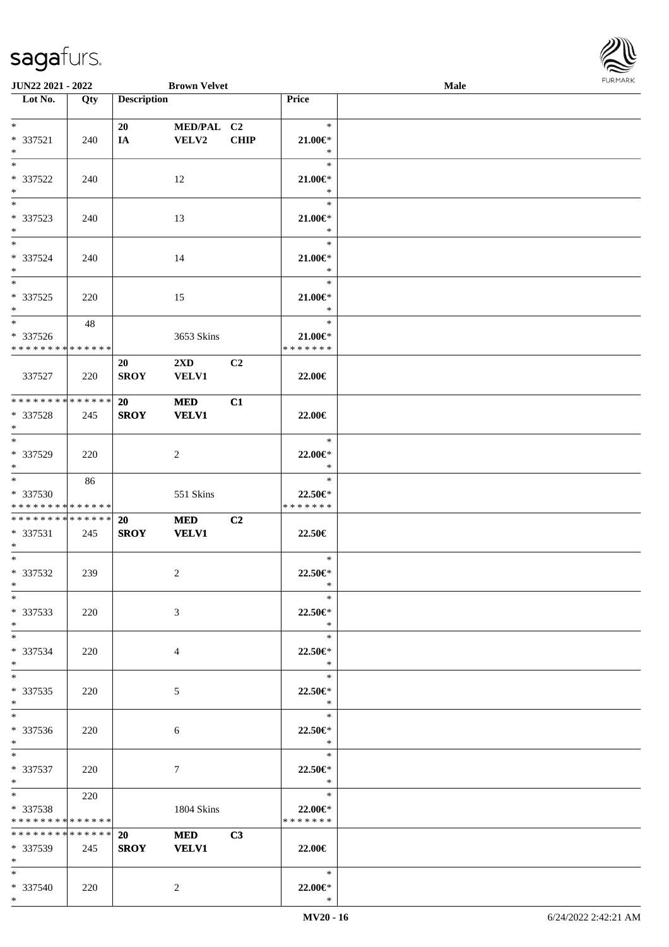| JUN22 2021 - 2022                    |     |                    | <b>Brown Velvet</b>     |                |                          | Male | <b>FURMARI</b> |
|--------------------------------------|-----|--------------------|-------------------------|----------------|--------------------------|------|----------------|
| $\overline{\phantom{1}}$ Lot No.     | Qty | <b>Description</b> |                         |                | Price                    |      |                |
| $*$                                  |     | 20                 | MED/PAL C2              |                | $\ast$                   |      |                |
| $* 337521$                           | 240 | IA                 | <b>VELV2</b>            | <b>CHIP</b>    | $21.00 \in$              |      |                |
| $\ast$                               |     |                    |                         |                | $\ast$                   |      |                |
| $\ast$                               |     |                    |                         |                | $\ast$                   |      |                |
| * 337522                             | 240 |                    | 12                      |                | $21.00 \in$              |      |                |
| $\ast$<br>$\overline{\phantom{a}}$   |     |                    |                         |                | $\ast$<br>$\ast$         |      |                |
| * 337523                             | 240 |                    | 13                      |                | $21.00 \in$              |      |                |
| $*$                                  |     |                    |                         |                | $\ast$                   |      |                |
| $\ast$                               |     |                    |                         |                | $\ast$                   |      |                |
| * 337524                             | 240 |                    | 14                      |                | $21.00 \in$              |      |                |
| $*$                                  |     |                    |                         |                | $\ast$                   |      |                |
| $\ast$                               |     |                    |                         |                | $\ast$                   |      |                |
| * 337525                             | 220 |                    | 15                      |                | 21.00 $\in$ *            |      |                |
| $\ast$<br>$\overline{\phantom{a}^*}$ | 48  |                    |                         |                | $\ast$<br>$\ast$         |      |                |
| * 337526                             |     |                    | 3653 Skins              |                | $21.00 \in$              |      |                |
| ******** <mark>******</mark>         |     |                    |                         |                | * * * * * * *            |      |                |
|                                      |     | 20                 | $2\mathbf{X}\mathbf{D}$ | C2             |                          |      |                |
| 337527                               | 220 | <b>SROY</b>        | <b>VELV1</b>            |                | 22.00€                   |      |                |
|                                      |     |                    |                         |                |                          |      |                |
| ******** <mark>******</mark>         |     | 20                 | <b>MED</b>              | C1             |                          |      |                |
| * 337528                             | 245 | <b>SROY</b>        | <b>VELV1</b>            |                | 22.00€                   |      |                |
| $\ast$<br>$\overline{\ast}$          |     |                    |                         |                | $\ast$                   |      |                |
| * 337529                             | 220 |                    |                         |                | 22.00€*                  |      |                |
| $\ast$                               |     |                    | $\overline{c}$          |                | $\ast$                   |      |                |
| $\overline{\phantom{a}^*}$           | 86  |                    |                         |                | $\ast$                   |      |                |
| * 337530                             |     |                    | 551 Skins               |                | 22.50€*                  |      |                |
| **************                       |     |                    |                         |                | * * * * * * *            |      |                |
| **************                       |     | <b>20</b>          | <b>MED</b>              | C <sub>2</sub> |                          |      |                |
| $* 337531$                           | 245 | <b>SROY</b>        | <b>VELV1</b>            |                | 22.50€                   |      |                |
| $\ast$<br>$\overline{\phantom{1}}$   |     |                    |                         |                |                          |      |                |
|                                      |     |                    |                         |                | $\ast$                   |      |                |
| * 337532<br>$\ast$                   | 239 |                    | $\overline{c}$          |                | 22.50€*<br>$\ast$        |      |                |
| $\ast$                               |     |                    |                         |                | $\ast$                   |      |                |
| * 337533                             | 220 |                    | 3                       |                | 22.50€*                  |      |                |
| $\ast$                               |     |                    |                         |                | $\ast$                   |      |                |
| $\ast$                               |     |                    |                         |                | $\ast$                   |      |                |
| * 337534                             | 220 |                    | 4                       |                | 22.50€*                  |      |                |
| $\ast$<br>$_{\ast}^{-}$              |     |                    |                         |                | $\ast$                   |      |                |
|                                      |     |                    |                         |                | $\ast$                   |      |                |
| $*337535$<br>$\ast$                  | 220 |                    | 5                       |                | 22.50€*<br>$\ast$        |      |                |
| $\ast$                               |     |                    |                         |                | $\ast$                   |      |                |
| * 337536                             | 220 |                    | 6                       |                | 22.50€*                  |      |                |
| $\ast$                               |     |                    |                         |                | $\ast$                   |      |                |
| $\ast$                               |     |                    |                         |                | $\ast$                   |      |                |
| $* 337537$                           | 220 |                    | $\tau$                  |                | 22.50€*                  |      |                |
| $*$                                  |     |                    |                         |                | $\ast$                   |      |                |
| $\ast$                               | 220 |                    |                         |                | $\ast$                   |      |                |
| * 337538<br>**************           |     |                    | 1804 Skins              |                | 22.00€*<br>* * * * * * * |      |                |
| **************                       |     | 20                 | <b>MED</b>              | C3             |                          |      |                |
| * 337539                             | 245 |                    | SROY VELV1              |                | 22.00€                   |      |                |
| $\ast$                               |     |                    |                         |                |                          |      |                |
| $\ast$                               |     |                    |                         |                | $\ast$                   |      |                |
| * 337540                             | 220 |                    | $\overline{c}$          |                | 22.00€*                  |      |                |
| $*$                                  |     |                    |                         |                | $\ast$                   |      |                |

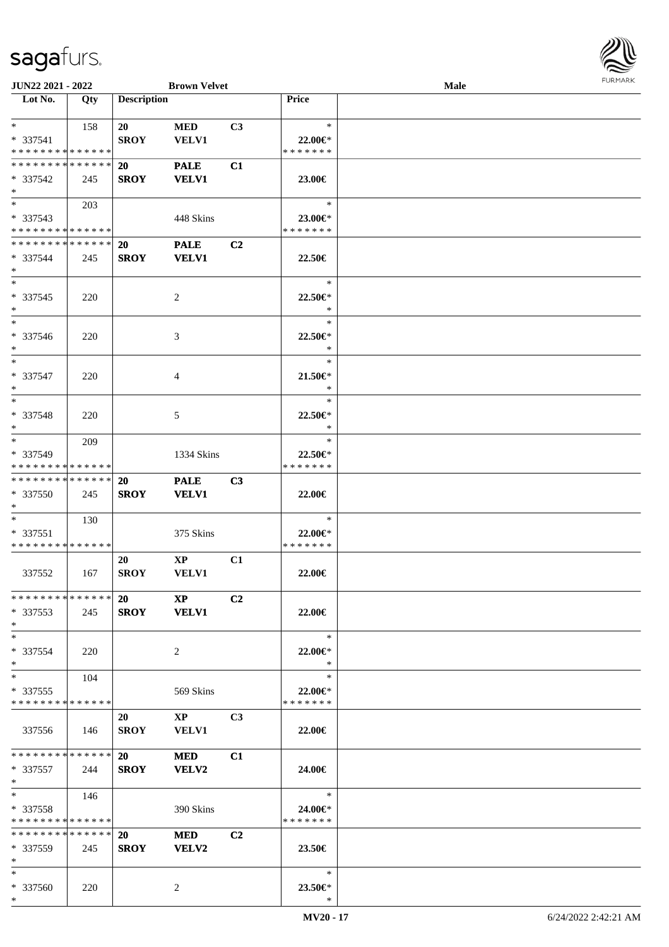\*

| JUN22 2021 - 2022                         |     |                    | <b>Brown Velvet</b>    |                |                              | Male | <b>LOKIJUKV</b> |
|-------------------------------------------|-----|--------------------|------------------------|----------------|------------------------------|------|-----------------|
| $\overline{\phantom{1}}$ Lot No.          | Qty | <b>Description</b> |                        |                | Price                        |      |                 |
|                                           |     |                    |                        |                |                              |      |                 |
| $*$ $*$                                   | 158 | 20                 | <b>MED</b>             | C3             | $\ast$                       |      |                 |
| $* 337541$<br>* * * * * * * * * * * * * * |     | <b>SROY</b>        | VELV1                  |                | 22.00€*<br>* * * * * * *     |      |                 |
| * * * * * * * * * * * * * *               |     | <b>20</b>          | <b>PALE</b>            | C1             |                              |      |                 |
| * 337542<br>$*$                           | 245 | <b>SROY</b>        | <b>VELV1</b>           |                | 23.00€                       |      |                 |
| $*$                                       | 203 |                    |                        |                | $\ast$                       |      |                 |
| * 337543                                  |     |                    | 448 Skins              |                | 23.00€*                      |      |                 |
| * * * * * * * * * * * * * *               |     |                    |                        |                | * * * * * * *                |      |                 |
| * * * * * * * * * * * * * *               |     | <b>20</b>          | <b>PALE</b>            | C2             |                              |      |                 |
| * 337544                                  | 245 | <b>SROY</b>        | <b>VELV1</b>           |                | 22.50€                       |      |                 |
| $*$<br>$\overline{\ }$                    |     |                    |                        |                | $\ast$                       |      |                 |
| * 337545                                  |     |                    |                        |                |                              |      |                 |
| $*$                                       | 220 |                    | $\sqrt{2}$             |                | 22.50€*<br>$\ast$            |      |                 |
| $*$                                       |     |                    |                        |                | $\ast$                       |      |                 |
| $* 337546$                                | 220 |                    | 3                      |                | 22.50€*                      |      |                 |
| $*$                                       |     |                    |                        |                | $\ast$                       |      |                 |
| $*$                                       |     |                    |                        |                | $\ast$                       |      |                 |
| * 337547                                  | 220 |                    | 4                      |                | $21.50 \in$                  |      |                 |
| $*$                                       |     |                    |                        |                | $\ast$                       |      |                 |
| $*$                                       |     |                    |                        |                | $\ast$                       |      |                 |
| * 337548                                  | 220 |                    | 5                      |                | 22.50€*                      |      |                 |
| $*$                                       |     |                    |                        |                | $\ast$                       |      |                 |
| $*$                                       | 209 |                    |                        |                | $\ast$                       |      |                 |
| * 337549<br>* * * * * * * * * * * * * *   |     |                    | 1334 Skins             |                | $22.50 \in$<br>* * * * * * * |      |                 |
| * * * * * * * * * * * * * *               |     | <b>20</b>          | <b>PALE</b>            | C3             |                              |      |                 |
| $*337550$                                 | 245 | <b>SROY</b>        | <b>VELV1</b>           |                | 22.00€                       |      |                 |
| $*$                                       |     |                    |                        |                |                              |      |                 |
| $*$                                       | 130 |                    |                        |                | $\ast$                       |      |                 |
| * 337551                                  |     |                    | 375 Skins              |                | 22.00€*                      |      |                 |
| * * * * * * * * * * * * * *               |     |                    |                        |                | * * * * * * *                |      |                 |
| 337552                                    | 167 | 20<br><b>SROY</b>  | $\bold{XP}$<br>VELV1   | C1             | 22.00€                       |      |                 |
|                                           |     |                    |                        |                |                              |      |                 |
| * * * * * * * * * * * * * * *             |     | <b>20</b>          | $\mathbf{X}\mathbf{P}$ | C <sub>2</sub> |                              |      |                 |
| $*337553$<br>$*$                          | 245 |                    | SROY VELV1             |                | 22.00€                       |      |                 |
| $*$                                       |     |                    |                        |                | $\ast$                       |      |                 |
| * 337554                                  | 220 |                    | $\overline{2}$         |                | 22.00€*                      |      |                 |
| $*$                                       |     |                    |                        |                | $\ast$                       |      |                 |
| $*$ $*$                                   | 104 |                    |                        |                | $\ast$                       |      |                 |
| * 337555                                  |     |                    | 569 Skins              |                | $22.00 \in$ *                |      |                 |
| * * * * * * * * * * * * * * *             |     |                    |                        |                | * * * * * * *                |      |                 |
|                                           |     | 20                 | $\mathbf{XP}$          | C <sub>3</sub> |                              |      |                 |
| 337556                                    | 146 | <b>SROY</b>        | <b>VELV1</b>           |                | 22.00€                       |      |                 |
| * * * * * * * * * * * * * * *             |     |                    |                        |                |                              |      |                 |
| $*337557$                                 |     | 20<br><b>SROY</b>  | <b>MED</b>             | C1             |                              |      |                 |
| $*$                                       | 244 |                    | <b>VELV2</b>           |                | 24.00€                       |      |                 |
| $*$ $*$                                   | 146 |                    |                        |                | $\ast$                       |      |                 |
| * 337558                                  |     |                    | 390 Skins              |                | 24.00€*                      |      |                 |
| * * * * * * * * * * * * * *               |     |                    |                        |                | * * * * * * *                |      |                 |
| * * * * * * * * * * * * * * *             |     | <b>20</b>          | <b>MED</b>             | C <sub>2</sub> |                              |      |                 |
| $*337559$                                 | 245 | <b>SROY</b>        | <b>VELV2</b>           |                | 23.50€                       |      |                 |
| $*$                                       |     |                    |                        |                |                              |      |                 |
| $*$                                       |     |                    |                        |                | $\ast$                       |      |                 |
| * 337560                                  | 220 |                    | $\overline{2}$         |                | 23.50€*                      |      |                 |

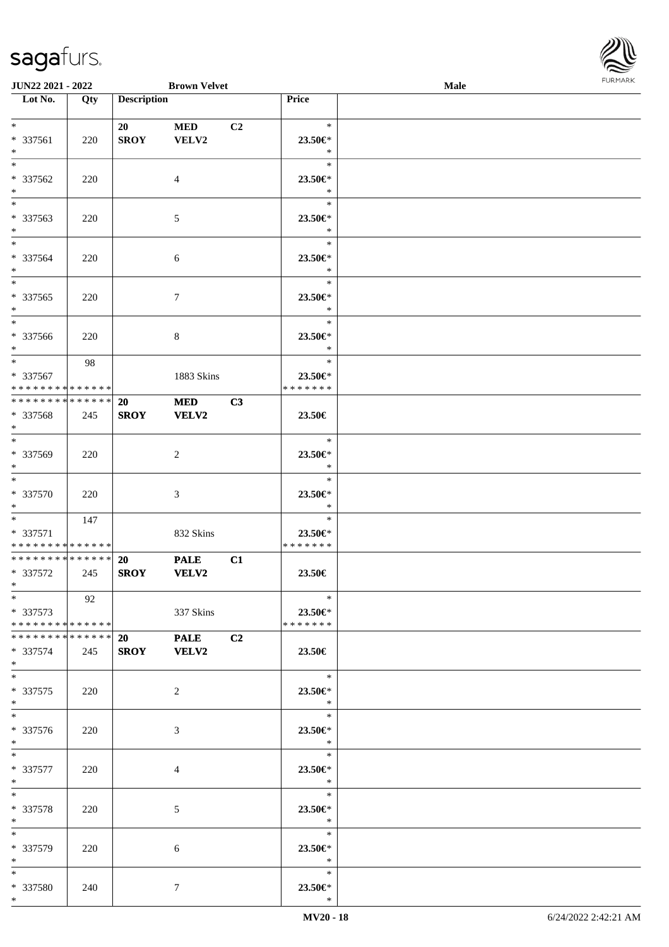

| <b>JUN22 2021 - 2022</b>      |     |                    | <b>Brown Velvet</b> |                |               | Male |  |
|-------------------------------|-----|--------------------|---------------------|----------------|---------------|------|--|
| Lot No.                       | Qty | <b>Description</b> |                     |                | Price         |      |  |
|                               |     |                    |                     |                |               |      |  |
| $*$                           |     | 20                 | <b>MED</b>          | C <sub>2</sub> | $\ast$        |      |  |
| * 337561                      | 220 | <b>SROY</b>        | VELV2               |                | 23.50€*       |      |  |
| $*$                           |     |                    |                     |                | $\ast$        |      |  |
| $*$                           |     |                    |                     |                | $\ast$        |      |  |
| * 337562                      | 220 |                    | 4                   |                | 23.50€*       |      |  |
| $\ast$                        |     |                    |                     |                | $\ast$        |      |  |
| $\overline{\phantom{0}}$      |     |                    |                     |                | $\ast$        |      |  |
| * 337563                      | 220 |                    | $\mathfrak{S}$      |                | 23.50€*       |      |  |
| $*$                           |     |                    |                     |                | $\ast$        |      |  |
| $*$                           |     |                    |                     |                | $\ast$        |      |  |
| * 337564                      | 220 |                    | 6                   |                | 23.50€*       |      |  |
| $*$                           |     |                    |                     |                | $\ast$        |      |  |
|                               |     |                    |                     |                | $\ast$        |      |  |
| * 337565                      | 220 |                    | $\tau$              |                | 23.50€*       |      |  |
| $*$                           |     |                    |                     |                | $\ast$        |      |  |
| $\overline{\ast}$             |     |                    |                     |                | $\ast$        |      |  |
| * 337566                      | 220 |                    | 8                   |                | 23.50€*       |      |  |
| $*$                           |     |                    |                     |                | $\ast$        |      |  |
| $*$                           | 98  |                    |                     |                | $\ast$        |      |  |
| * 337567                      |     |                    | 1883 Skins          |                | 23.50€*       |      |  |
| * * * * * * * * * * * * * *   |     |                    |                     |                | * * * * * * * |      |  |
| * * * * * * * * * * * * * * * |     | 20                 | <b>MED</b>          | C3             |               |      |  |
| * 337568                      | 245 | <b>SROY</b>        | <b>VELV2</b>        |                | 23.50€        |      |  |
| $*$                           |     |                    |                     |                |               |      |  |
| $*$                           |     |                    |                     |                | $\ast$        |      |  |
| * 337569                      | 220 |                    | 2                   |                | 23.50€*       |      |  |
| $*$                           |     |                    |                     |                | $\ast$        |      |  |
| $\overline{\ }$               |     |                    |                     |                | $\ast$        |      |  |
| $* 337570$                    | 220 |                    | 3                   |                | 23.50€*       |      |  |
| $*$                           |     |                    |                     |                | $\ast$        |      |  |
| $*$                           | 147 |                    |                     |                | $\ast$        |      |  |
| $* 337571$                    |     |                    | 832 Skins           |                | 23.50€*       |      |  |
| * * * * * * * * * * * * * *   |     |                    |                     |                | * * * * * * * |      |  |
| * * * * * * * * * * * * * * * |     | 20                 | <b>PALE</b>         | C1             |               |      |  |
| * 337572                      | 245 | <b>SROY</b>        | <b>VELV2</b>        |                | 23.50€        |      |  |
| $*$                           |     |                    |                     |                |               |      |  |
| $*$                           | 92  |                    |                     |                | $\ast$        |      |  |
| * 337573                      |     |                    | 337 Skins           |                | 23.50€*       |      |  |
| * * * * * * * * * * * * * * * |     |                    |                     |                | * * * * * * * |      |  |
| * * * * * * * * * * * * * * * |     | 20                 | <b>PALE</b>         | C <sub>2</sub> |               |      |  |
| * 337574                      | 245 |                    | SROY VELV2          |                | 23.50€        |      |  |
| $*$                           |     |                    |                     |                |               |      |  |
| $*$                           |     |                    |                     |                | $\ast$        |      |  |
| * 337575                      | 220 |                    | 2                   |                | 23.50€*       |      |  |
| $*$                           |     |                    |                     |                | $\ast$        |      |  |
| $*$                           |     |                    |                     |                | $\ast$        |      |  |
| * 337576                      | 220 |                    | 3                   |                | 23.50€*       |      |  |
| $*$                           |     |                    |                     |                | $\ddot{x}$    |      |  |
| $*$                           |     |                    |                     |                | $\ast$        |      |  |
| * 337577                      | 220 |                    | 4                   |                | 23.50€*       |      |  |
| $*$ $*$                       |     |                    |                     |                | $\ast$        |      |  |
| $*$                           |     |                    |                     |                | $\ast$        |      |  |
| * 337578                      | 220 |                    | 5                   |                | 23.50€*       |      |  |
| $*$                           |     |                    |                     |                | $\ast$        |      |  |
| $*$                           |     |                    |                     |                | $\ast$        |      |  |
| * 337579                      | 220 |                    | 6                   |                | 23.50 $\in$ * |      |  |
| $*$                           |     |                    |                     |                | $\ast$        |      |  |
| $*$                           |     |                    |                     |                | $\ast$        |      |  |
| * 337580                      | 240 |                    | 7                   |                | 23.50€*       |      |  |
| $*$                           |     |                    |                     |                | $\ast$        |      |  |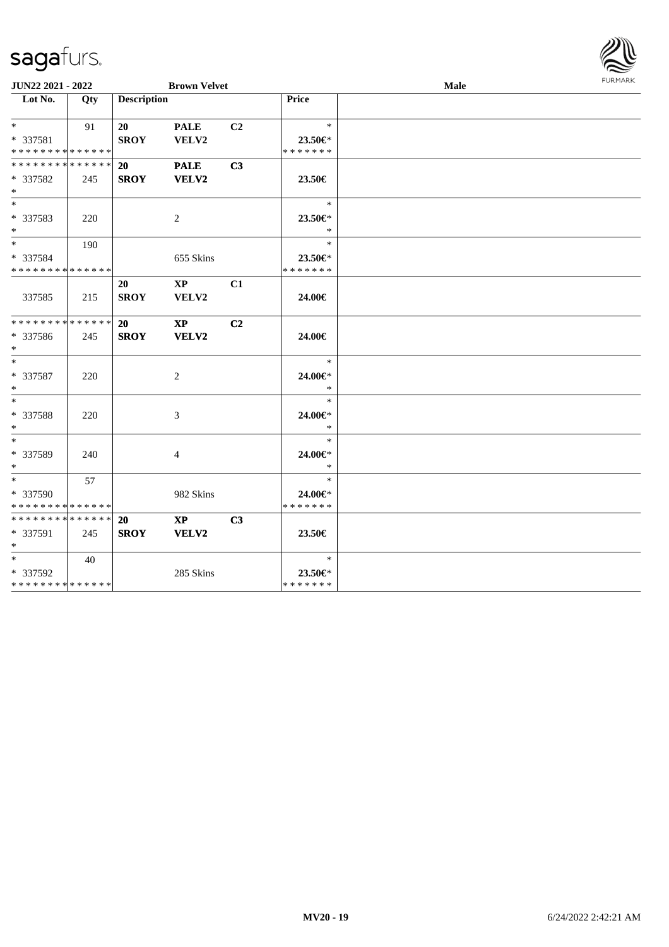| JUN22 2021 - 2022                                                      |     |                          | <b>Brown Velvet</b>                    |                |                                    | Male | <b>FURPIARA</b> |
|------------------------------------------------------------------------|-----|--------------------------|----------------------------------------|----------------|------------------------------------|------|-----------------|
| $\overline{\phantom{1}}$ Lot No.                                       | Qty | <b>Description</b>       |                                        |                | <b>Price</b>                       |      |                 |
| $*$ $*$<br>* 337581                                                    | 91  | 20<br><b>SROY</b>        | <b>PALE</b><br><b>VELV2</b>            | C <sub>2</sub> | $\ast$<br>$23.50 \in$              |      |                 |
| * * * * * * * * * * * * * *<br>* * * * * * * * * * * * * *<br>* 337582 | 245 | <b>20</b><br><b>SROY</b> | <b>PALE</b><br>VELV2                   | C3             | * * * * * * *<br>23.50€            |      |                 |
| $*$                                                                    |     |                          |                                        |                |                                    |      |                 |
| $*$<br>* 337583<br>$*$                                                 | 220 |                          | 2                                      |                | $\ast$<br>23.50€*<br>$\ast$        |      |                 |
| $\overline{\ast}$<br>* 337584                                          | 190 |                          | 655 Skins                              |                | $\ast$<br>$23.50 \in$              |      |                 |
| * * * * * * * * * * * * * *                                            |     |                          |                                        |                | * * * * * * *                      |      |                 |
| 337585                                                                 | 215 | 20<br><b>SROY</b>        | $\mathbf{XP}$<br><b>VELV2</b>          | C1             | 24.00€                             |      |                 |
| * * * * * * * * * * * * * *<br>* 337586<br>$*$                         | 245 | 20<br><b>SROY</b>        | $\mathbf{X}\mathbf{P}$<br><b>VELV2</b> | C2             | 24.00€                             |      |                 |
| $*$<br>* 337587<br>$*$                                                 | 220 |                          | 2                                      |                | $\ast$<br>24.00€*<br>$\ast$        |      |                 |
| $*$<br>* 337588<br>$*$                                                 | 220 |                          | 3                                      |                | $\ast$<br>24.00€*<br>$\ast$        |      |                 |
| $*$<br>* 337589<br>$*$                                                 | 240 |                          | 4                                      |                | $\ast$<br>24.00€*<br>$\ast$        |      |                 |
| $*$ $*$<br>* 337590<br>* * * * * * * * * * * * * *                     | 57  |                          | 982 Skins                              |                | $\ast$<br>24.00€*<br>* * * * * * * |      |                 |
| * * * * * * * * * * * * * * *<br>* 337591<br>$*$                       | 245 | 20<br><b>SROY</b>        | $\mathbf{X}\mathbf{P}$<br><b>VELV2</b> | C3             | 23.50€                             |      |                 |
| $*$ $*$<br>* 337592<br>* * * * * * * * <mark>* * * * * * *</mark>      | 40  |                          | 285 Skins                              |                | $\ast$<br>23.50€*<br>* * * * * * * |      |                 |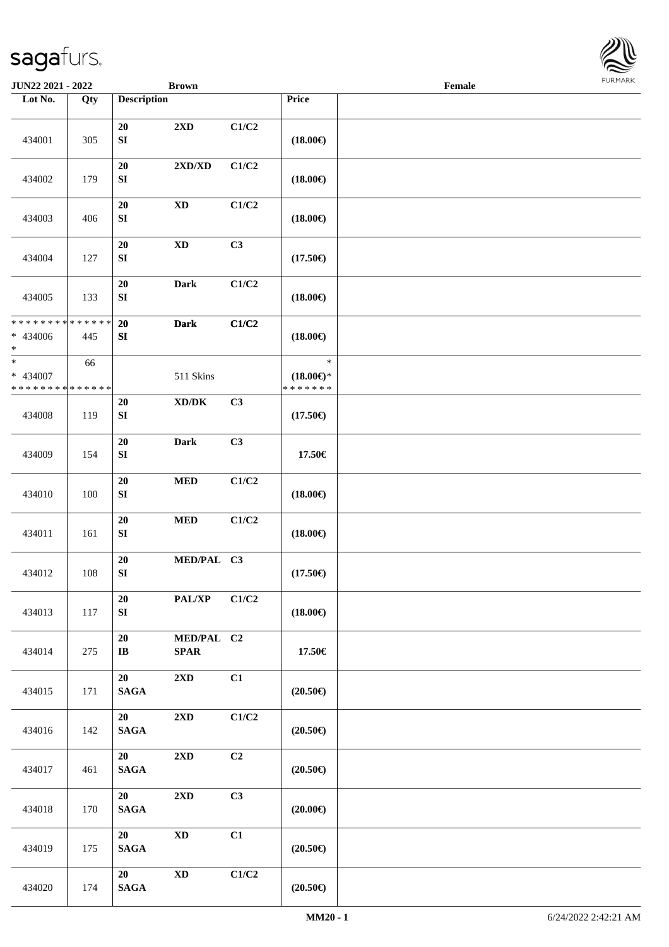434001 305

434002 179

434003 406

434004 127

**JUN22 2021 - 2022 Brown Lot No. Qty Description** 

|                    | <b>Brown</b>                       |                           |                                                | Female | <b>FURMARK</b> |
|--------------------|------------------------------------|---------------------------|------------------------------------------------|--------|----------------|
| <b>Description</b> |                                    |                           | Price                                          |        |                |
| 20<br>${\bf SI}$   | 2XD                                | C1/C2                     | $(18.00\in)$                                   |        |                |
| 20<br>${\bf SI}$   | 2XD/XD                             | C1/C2                     | $(18.00\epsilon)$                              |        |                |
| 20<br>${\bf SI}$   | $\mathbf{X}\mathbf{D}$             | C1/C2                     | $(18.00\epsilon)$                              |        |                |
| 20<br>${\bf SI}$   | $\mathbf{X}\mathbf{D}$             | C3                        | $(17.50\epsilon)$                              |        |                |
| 20<br>${\bf SI}$   | <b>Dark</b>                        | C1/C2                     | $(18.00\epsilon)$                              |        |                |
| 20<br>${\bf SI}$   | <b>Dark</b>                        | C1/C2                     | $(18.00\epsilon)$                              |        |                |
|                    | 511 Skins                          |                           | $\ast$<br>$(18.00\epsilon)$ *<br>* * * * * * * |        |                |
| 20<br>${\bf SI}$   | $\boldsymbol{\text{XD}/\text{DK}}$ | C3                        | $(17.50\epsilon)$                              |        |                |
| 20<br>${\bf SI}$   | Dark                               | C3                        | 17.50€                                         |        |                |
| 20<br>${\bf SI}$   | $\bf MED$                          | $\rm C1/C2$               | $(18.00\epsilon)$                              |        |                |
| 20<br>${\bf SI}$   | $\bf MED$                          | C1/C2                     | $(18.00\in)$                                   |        |                |
| 20<br>${\bf SI}$   | MED/PAL C3                         |                           | $(17.50\in)$                                   |        |                |
| 20<br>${\bf SI}$   | $\mathbf{PAL}/\mathbf{XP}$         | $\mathbf{C1}/\mathbf{C2}$ | $(18.00\in)$                                   |        |                |
| 20<br>IB           | MED/PAL C2<br><b>SPAR</b>          |                           | 17.50€                                         |        |                |

| 434005                                             | 133 | 20<br>SI                     | <b>Dark</b>                         | $\rm C1/C2$               | $(18.00\epsilon)$                              |                      |
|----------------------------------------------------|-----|------------------------------|-------------------------------------|---------------------------|------------------------------------------------|----------------------|
| ******** <mark>******</mark><br>* 434006<br>$\ast$ | 445 | 20<br>SI                     | <b>Dark</b>                         | C1/C2                     | $(18.00\epsilon)$                              |                      |
| $_{*}$<br>* 434007<br>******** <mark>******</mark> | 66  |                              | 511 Skins                           |                           | $\ast$<br>$(18.00\epsilon)$ *<br>* * * * * * * |                      |
| 434008                                             | 119 | 20<br>SI                     | $\bold{X}\bold{D}/\bold{D}\bold{K}$ | C3                        | $(17.50\epsilon)$                              |                      |
| 434009                                             | 154 | 20<br>SI                     | <b>Dark</b>                         | C3                        | 17.50€                                         |                      |
| 434010                                             | 100 | 20<br>${\bf SI}$             | $\bf MED$                           | C1/C2                     | $(18.00\epsilon)$                              |                      |
| 434011                                             | 161 | 20<br>SI                     | $\bf MED$                           | C1/C2                     | $(18.00\epsilon)$                              |                      |
| 434012                                             | 108 | 20<br>SI                     | MED/PAL C3                          |                           | $(17.50\epsilon)$                              |                      |
| 434013                                             | 117 | 20<br>${\bf S}{\bf I}$       | PAL/XP                              | C1/C2                     | $(18.00\epsilon)$                              |                      |
| 434014                                             | 275 | 20<br>$\mathbf{I}\mathbf{B}$ | MED/PAL C2<br><b>SPAR</b>           |                           | 17.50€                                         |                      |
| 434015                                             | 171 | 20<br><b>SAGA</b>            | 2XD                                 | C1                        | $(20.50\epsilon)$                              |                      |
| 434016                                             | 142 | 20<br><b>SAGA</b>            | 2XD                                 | C1/C2                     | $(20.50\epsilon)$                              |                      |
| 434017                                             | 461 | 20<br><b>SAGA</b>            | 2XD                                 | C2                        | $(20.50\epsilon)$                              |                      |
| 434018                                             | 170 | 20<br>$\mathbf{SAGA}$        | 2XD                                 | C <sub>3</sub>            | $(20.00\epsilon)$                              |                      |
| 434019                                             | 175 | 20<br><b>SAGA</b>            | $\mathbf{X}\mathbf{D}$              | C1                        | $(20.50\epsilon)$                              |                      |
| 434020                                             | 174 | 20<br><b>SAGA</b>            | $\mathbf{X}\mathbf{D}$              | $\mathbf{C1}/\mathbf{C2}$ | $(20.50\epsilon)$                              |                      |
|                                                    |     |                              |                                     |                           | MM20 - 1                                       | 6/24/2022 2:42:21 AM |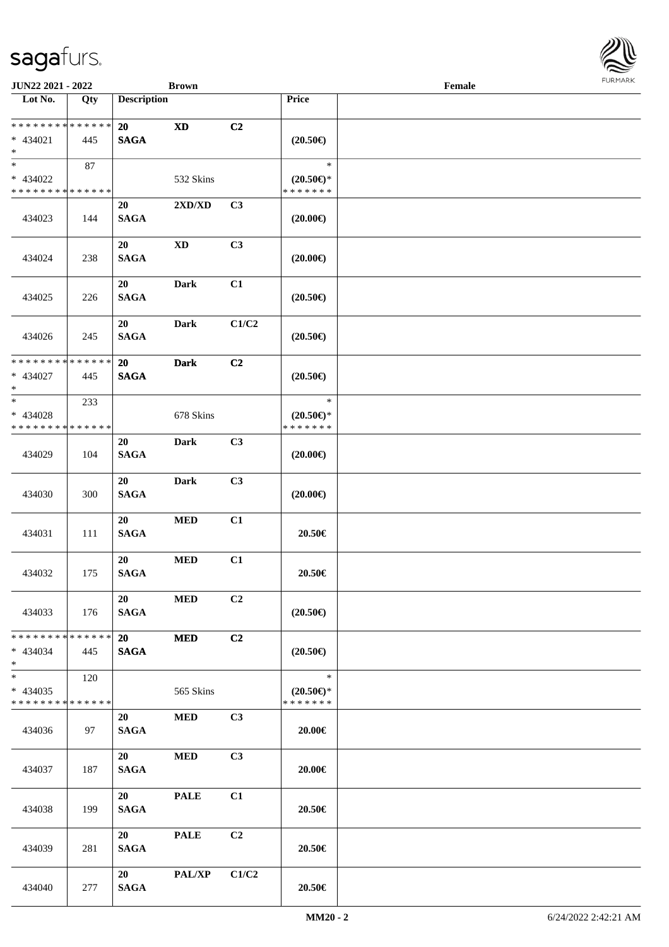

| <b>JUN22 2021 - 2022</b>                   |     |                    | <b>Brown</b>                     |                |                     | Female |  |
|--------------------------------------------|-----|--------------------|----------------------------------|----------------|---------------------|--------|--|
| Lot No.                                    | Qty | <b>Description</b> |                                  |                | Price               |        |  |
|                                            |     |                    |                                  |                |                     |        |  |
| * * * * * * * * <mark>* * * * * * *</mark> |     | <b>20</b>          | $\mathbf{X}\mathbf{D}$           | C2             |                     |        |  |
| * 434021                                   | 445 | <b>SAGA</b>        |                                  |                | $(20.50\epsilon)$   |        |  |
| $*$                                        |     |                    |                                  |                |                     |        |  |
| $\overline{\ }$                            | 87  |                    |                                  |                | $\ast$              |        |  |
| * 434022                                   |     |                    | 532 Skins                        |                | $(20.50\epsilon)$ * |        |  |
| * * * * * * * * * * * * * *                |     |                    |                                  |                | * * * * * * *       |        |  |
|                                            |     | 20                 | $2{\bf X}{\bf D}/{\bf X}{\bf D}$ | C3             |                     |        |  |
| 434023                                     | 144 | <b>SAGA</b>        |                                  |                | $(20.00\epsilon)$   |        |  |
|                                            |     |                    |                                  |                |                     |        |  |
|                                            |     | 20                 | $\mathbf{X}\mathbf{D}$           | C3             |                     |        |  |
| 434024                                     | 238 | <b>SAGA</b>        |                                  |                | $(20.00\epsilon)$   |        |  |
|                                            |     |                    |                                  |                |                     |        |  |
|                                            |     | 20                 | <b>Dark</b>                      | C1             |                     |        |  |
| 434025                                     | 226 | <b>SAGA</b>        |                                  |                | $(20.50\epsilon)$   |        |  |
|                                            |     |                    |                                  |                |                     |        |  |
|                                            |     | 20                 | <b>Dark</b>                      | C1/C2          |                     |        |  |
| 434026                                     | 245 | <b>SAGA</b>        |                                  |                | $(20.50\epsilon)$   |        |  |
|                                            |     |                    |                                  |                |                     |        |  |
| * * * * * * * * * * * * * *                |     | 20                 | <b>Dark</b>                      | C2             |                     |        |  |
| * 434027                                   | 445 | <b>SAGA</b>        |                                  |                | $(20.50\epsilon)$   |        |  |
| $\ast$                                     |     |                    |                                  |                |                     |        |  |
| $*$                                        | 233 |                    |                                  |                | $\ast$              |        |  |
| * 434028                                   |     |                    | 678 Skins                        |                | $(20.50\epsilon)$ * |        |  |
| * * * * * * * * * * * * * *                |     |                    |                                  |                | * * * * * * *       |        |  |
|                                            |     | 20                 | Dark                             | C3             |                     |        |  |
| 434029                                     | 104 | <b>SAGA</b>        |                                  |                | $(20.00\epsilon)$   |        |  |
|                                            |     |                    |                                  |                |                     |        |  |
|                                            |     | 20                 | <b>Dark</b>                      | C3             |                     |        |  |
| 434030                                     | 300 | <b>SAGA</b>        |                                  |                | $(20.00\epsilon)$   |        |  |
|                                            |     |                    |                                  |                |                     |        |  |
|                                            |     | 20                 | $\bf MED$                        | C1             |                     |        |  |
|                                            |     | <b>SAGA</b>        |                                  |                | 20.50€              |        |  |
| 434031                                     | 111 |                    |                                  |                |                     |        |  |
|                                            |     | 20                 | <b>MED</b>                       | C1             |                     |        |  |
|                                            |     | <b>SAGA</b>        |                                  |                | 20.50€              |        |  |
| 434032                                     | 175 |                    |                                  |                |                     |        |  |
|                                            |     | 20                 | <b>MED</b>                       | C2             |                     |        |  |
|                                            |     |                    |                                  |                |                     |        |  |
| 434033                                     | 176 | <b>SAGA</b>        |                                  |                | $(20.50\epsilon)$   |        |  |
| * * * * * * * * * * * * * * *              |     |                    |                                  |                |                     |        |  |
|                                            |     | <b>20</b>          | <b>MED</b>                       | C2             |                     |        |  |
| $* 434034$                                 | 445 | <b>SAGA</b>        |                                  |                | $(20.50\epsilon)$   |        |  |
| $*$<br>$\overline{\phantom{0}}$            |     |                    |                                  |                | $\ast$              |        |  |
|                                            | 120 |                    |                                  |                |                     |        |  |
| $* 434035$                                 |     |                    | 565 Skins                        |                | $(20.50\epsilon)$ * |        |  |
| * * * * * * * * <mark>* * * * * *</mark>   |     |                    |                                  |                | * * * * * * *       |        |  |
|                                            |     | 20                 | <b>MED</b>                       | C3             |                     |        |  |
| 434036                                     | 97  | <b>SAGA</b>        |                                  |                | 20.00€              |        |  |
|                                            |     |                    |                                  |                |                     |        |  |
|                                            |     | 20                 | $\bf MED$                        | C3             |                     |        |  |
| 434037                                     | 187 | <b>SAGA</b>        |                                  |                | 20.00€              |        |  |
|                                            |     |                    |                                  |                |                     |        |  |
|                                            |     | 20                 | <b>PALE</b>                      | C1             |                     |        |  |
| 434038                                     | 199 | <b>SAGA</b>        |                                  |                | 20.50€              |        |  |
|                                            |     |                    |                                  |                |                     |        |  |
|                                            |     | 20                 | <b>PALE</b>                      | C <sub>2</sub> |                     |        |  |
| 434039                                     | 281 | <b>SAGA</b>        |                                  |                | 20.50€              |        |  |
|                                            |     |                    |                                  |                |                     |        |  |
|                                            |     | 20                 | <b>PAL/XP</b>                    | C1/C2          |                     |        |  |
| 434040                                     | 277 | <b>SAGA</b>        |                                  |                | 20.50€              |        |  |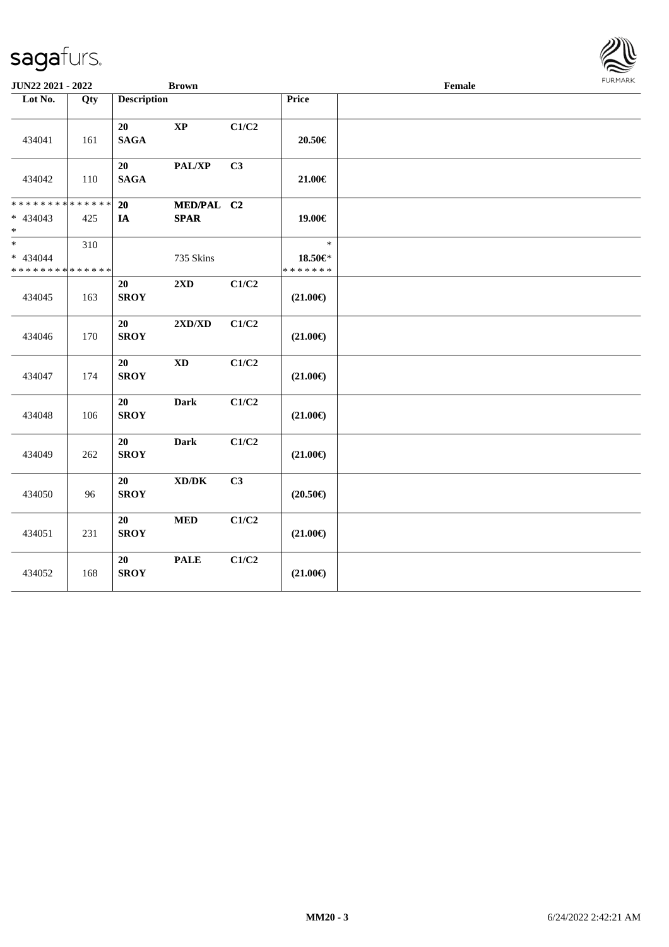| <b>JUN22 2021 - 2022</b>                          |                    |                    | <b>Brown</b>                       |       |                                    | $\ensuremath{\textnormal{\textbf{Female}}}$ | 1.91111111 |
|---------------------------------------------------|--------------------|--------------------|------------------------------------|-------|------------------------------------|---------------------------------------------|------------|
| Lot No.                                           | Qty                | <b>Description</b> |                                    |       | Price                              |                                             |            |
| 434041                                            | 161                | 20<br><b>SAGA</b>  | $\mathbf{X}\mathbf{P}$             | C1/C2 | 20.50€                             |                                             |            |
| 434042                                            | 110                | 20<br><b>SAGA</b>  | $\mathbf{PAL}/\mathbf{XP}$         | C3    | 21.00€                             |                                             |            |
| * * * * * * * *<br>$* 434043$<br>$\ast$           | * * * * * *<br>425 | 20<br>IA           | MED/PAL C2<br><b>SPAR</b>          |       | 19.00€                             |                                             |            |
| $\ast$<br>* 434044<br>* * * * * * * * * * * * * * | 310                |                    | 735 Skins                          |       | $\ast$<br>18.50€*<br>* * * * * * * |                                             |            |
| 434045                                            | 163                | 20<br><b>SROY</b>  | 2XD                                | C1/C2 | $(21.00\epsilon)$                  |                                             |            |
| 434046                                            | 170                | 20<br><b>SROY</b>  | 2XD/XD                             | C1/C2 | $(21.00\in)$                       |                                             |            |
| 434047                                            | 174                | 20<br><b>SROY</b>  | $\mathbf{X}\mathbf{D}$             | C1/C2 | $(21.00\epsilon)$                  |                                             |            |
| 434048                                            | 106                | 20<br><b>SROY</b>  | <b>Dark</b>                        | C1/C2 | $(21.00\epsilon)$                  |                                             |            |
| 434049                                            | 262                | 20<br><b>SROY</b>  | <b>Dark</b>                        | C1/C2 | $(21.00\epsilon)$                  |                                             |            |
| 434050                                            | 96                 | 20<br><b>SROY</b>  | $\boldsymbol{\text{XD}/\text{DK}}$ | C3    | $(20.50\epsilon)$                  |                                             |            |
| 434051                                            | 231                | 20<br><b>SROY</b>  | $\bf MED$                          | C1/C2 | $(21.00\epsilon)$                  |                                             |            |
| 434052                                            | 168                | 20<br><b>SROY</b>  | <b>PALE</b>                        | C1/C2 | $(21.00\epsilon)$                  |                                             |            |

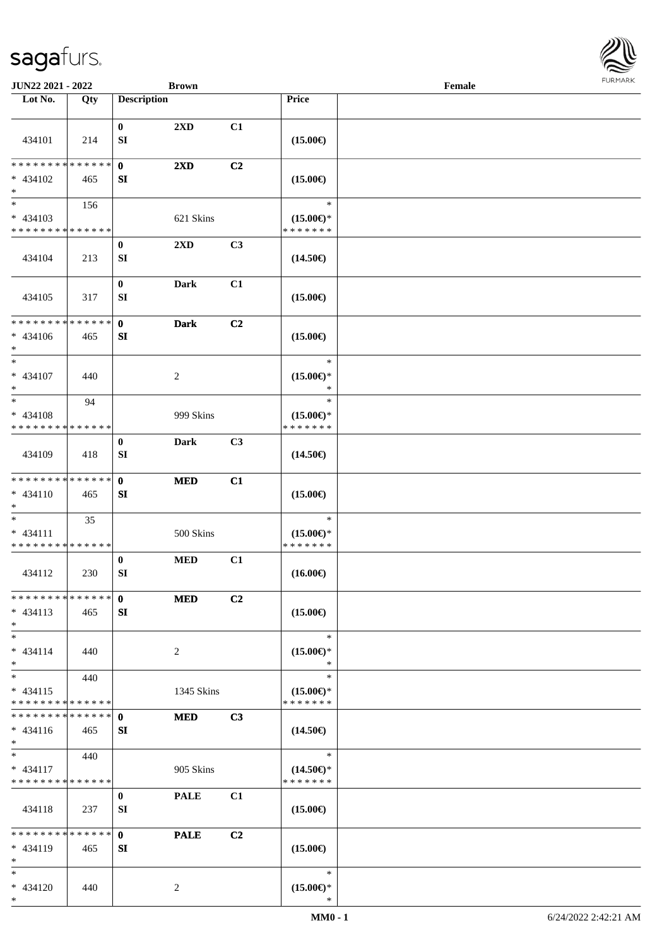

| JUN22 2021 - 2022                                          |     |                    | <b>Brown</b>            |    |                                      | Female |  |
|------------------------------------------------------------|-----|--------------------|-------------------------|----|--------------------------------------|--------|--|
| Lot No.                                                    | Qty | <b>Description</b> |                         |    | Price                                |        |  |
|                                                            |     |                    |                         |    |                                      |        |  |
|                                                            |     | $\bf{0}$           | $2\mathbf{X}\mathbf{D}$ | C1 |                                      |        |  |
| 434101                                                     | 214 | ${\bf SI}$         |                         |    | $(15.00\epsilon)$                    |        |  |
|                                                            |     |                    |                         |    |                                      |        |  |
| * * * * * * * * * * * * * *                                |     | $\bf{0}$           | $2\mathbf{X}\mathbf{D}$ | C2 |                                      |        |  |
| $* 434102$                                                 | 465 | SI                 |                         |    | $(15.00\epsilon)$                    |        |  |
| $\ast$                                                     |     |                    |                         |    |                                      |        |  |
| $\overline{\phantom{1}}$                                   | 156 |                    |                         |    | $\ast$                               |        |  |
| $* 434103$                                                 |     |                    | 621 Skins               |    | $(15.00\epsilon)$ *                  |        |  |
| * * * * * * * * * * * * * *                                |     |                    |                         |    | * * * * * * *                        |        |  |
|                                                            |     | $\bf{0}$           | 2XD                     | C3 |                                      |        |  |
| 434104                                                     | 213 | SI                 |                         |    | $(14.50\epsilon)$                    |        |  |
|                                                            |     |                    |                         |    |                                      |        |  |
|                                                            |     | $\bf{0}$           | <b>Dark</b>             | C1 |                                      |        |  |
| 434105                                                     | 317 | SI                 |                         |    | $(15.00\epsilon)$                    |        |  |
|                                                            |     |                    |                         |    |                                      |        |  |
| * * * * * * * * * * * * * *                                |     | $\mathbf{0}$       | <b>Dark</b>             | C2 |                                      |        |  |
| $* 434106$                                                 | 465 | SI                 |                         |    | $(15.00\epsilon)$                    |        |  |
| $\ast$                                                     |     |                    |                         |    |                                      |        |  |
| $\ast$                                                     |     |                    |                         |    | $\ast$                               |        |  |
| * 434107                                                   | 440 |                    | $\overline{c}$          |    | $(15.00\epsilon)$ *                  |        |  |
| $\ast$                                                     |     |                    |                         |    | $\ast$                               |        |  |
| $\ast$                                                     | 94  |                    |                         |    | $\ast$                               |        |  |
| $* 434108$                                                 |     |                    | 999 Skins               |    | $(15.00\epsilon)$ *                  |        |  |
| * * * * * * * * * * * * * *                                |     |                    |                         |    | * * * * * * *                        |        |  |
|                                                            |     | $\bf{0}$           | <b>Dark</b>             | C3 |                                      |        |  |
| 434109                                                     | 418 | SI                 |                         |    | $(14.50\epsilon)$                    |        |  |
|                                                            |     |                    |                         |    |                                      |        |  |
| **************                                             |     | $\mathbf{0}$       | <b>MED</b>              | C1 |                                      |        |  |
| $* 434110$                                                 | 465 | SI                 |                         |    | $(15.00\epsilon)$                    |        |  |
| $\ast$                                                     |     |                    |                         |    |                                      |        |  |
| $\ast$                                                     | 35  |                    |                         |    | $\ast$                               |        |  |
| $* 434111$                                                 |     |                    | 500 Skins               |    | $(15.00\epsilon)$ *                  |        |  |
| * * * * * * * * * * * * * *                                |     |                    |                         |    | * * * * * * *                        |        |  |
|                                                            |     | $\bf{0}$           | <b>MED</b>              | C1 |                                      |        |  |
| 434112                                                     | 230 | ${\bf SI}$         |                         |    | $(16.00\epsilon)$                    |        |  |
|                                                            |     |                    |                         |    |                                      |        |  |
| * * * * * * * * * * * * * *                                |     | $\mathbf{0}$       | <b>MED</b>              | C2 |                                      |        |  |
| $* 434113$                                                 | 465 | SI                 |                         |    | $(15.00\epsilon)$                    |        |  |
| $*$                                                        |     |                    |                         |    |                                      |        |  |
| $*$                                                        |     |                    |                         |    | $\ast$                               |        |  |
| $* 434114$                                                 | 440 |                    | $\overline{c}$          |    | $(15.00\epsilon)$ *                  |        |  |
| $*$<br>$\overline{\ast}$                                   |     |                    |                         |    | $\ast$                               |        |  |
|                                                            | 440 |                    |                         |    | $\ast$                               |        |  |
| $* 434115$                                                 |     |                    | 1345 Skins              |    | $(15.00\epsilon)$ *                  |        |  |
| * * * * * * * * * * * * * *<br>* * * * * * * * * * * * * * |     |                    |                         |    | * * * * * * *                        |        |  |
|                                                            |     | $\mathbf{0}$       | <b>MED</b>              | C3 |                                      |        |  |
| * 434116<br>$*$                                            | 465 | SI                 |                         |    | $(14.50\epsilon)$                    |        |  |
| $*$                                                        |     |                    |                         |    | $\ast$                               |        |  |
|                                                            | 440 |                    |                         |    |                                      |        |  |
| $* 434117$<br>* * * * * * * * * * * * * *                  |     |                    | 905 Skins               |    | $(14.50\epsilon)$ *<br>* * * * * * * |        |  |
|                                                            |     | $\bf{0}$           |                         | C1 |                                      |        |  |
| 434118                                                     | 237 | SI                 | <b>PALE</b>             |    | $(15.00\epsilon)$                    |        |  |
|                                                            |     |                    |                         |    |                                      |        |  |
| * * * * * * * * * * * * * *                                |     | $\mathbf{0}$       | <b>PALE</b>             | C2 |                                      |        |  |
| $* 434119$                                                 | 465 |                    |                         |    | $(15.00\epsilon)$                    |        |  |
| $\ast$                                                     |     | SI                 |                         |    |                                      |        |  |
| $*$                                                        |     |                    |                         |    | $\ast$                               |        |  |
| * 434120                                                   | 440 |                    | 2                       |    | $(15.00\epsilon)$ *                  |        |  |
| $*$                                                        |     |                    |                         |    | $\ast$                               |        |  |
|                                                            |     |                    |                         |    |                                      |        |  |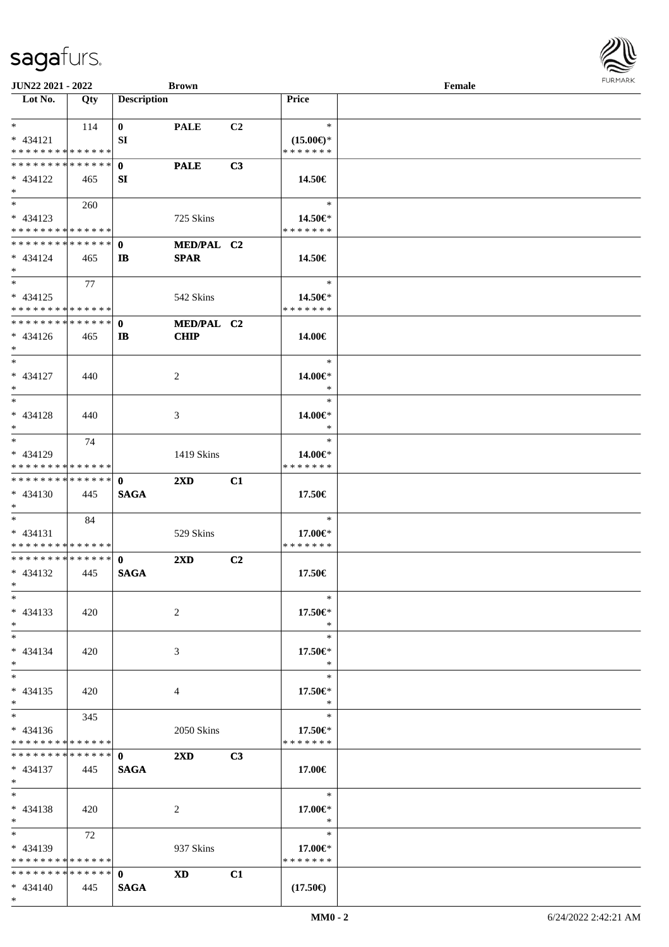**Lot No. Qty Description** 

| $*$                                            | 114   | $\bf{0}$     | <b>PALE</b>             | C <sub>2</sub> | $\ast$                   |  |
|------------------------------------------------|-------|--------------|-------------------------|----------------|--------------------------|--|
| $* 434121$                                     |       | <b>SI</b>    |                         |                | $(15.00\epsilon)$ *      |  |
| * * * * * * * * * * * * * *                    |       |              |                         |                | * * * * * * *            |  |
| **************                                 |       | $\mathbf{0}$ | <b>PALE</b>             | C <sub>3</sub> |                          |  |
| $* 434122$                                     |       | SI           |                         |                | 14.50€                   |  |
|                                                | 465   |              |                         |                |                          |  |
| $*$<br>$\overline{\phantom{0}}$                |       |              |                         |                |                          |  |
|                                                | 260   |              |                         |                | $\ast$                   |  |
| $* 434123$                                     |       |              | 725 Skins               |                | 14.50€*                  |  |
| * * * * * * * * * * * * * *                    |       |              |                         |                | * * * * * * *            |  |
| **************                                 |       | $\mathbf{0}$ | MED/PAL C2              |                |                          |  |
| $* 434124$                                     | 465   | $\mathbf{I}$ | <b>SPAR</b>             |                | 14.50€                   |  |
| $*$                                            |       |              |                         |                |                          |  |
| $*$                                            | 77    |              |                         |                | $\ast$                   |  |
| $* 434125$                                     |       |              | 542 Skins               |                | 14.50€*                  |  |
| **************                                 |       |              |                         |                | * * * * * * *            |  |
| **************                                 |       |              |                         |                |                          |  |
|                                                |       | $\mathbf{0}$ | MED/PAL C2              |                |                          |  |
| $* 434126$                                     | 465   | $\mathbf{I}$ | <b>CHIP</b>             |                | 14.00€                   |  |
| $*$                                            |       |              |                         |                |                          |  |
| $*$                                            |       |              |                         |                | $\ast$                   |  |
| $* 434127$                                     | 440   |              | 2                       |                | 14.00€*                  |  |
| $*$                                            |       |              |                         |                | $\ast$                   |  |
| $\ast$                                         |       |              |                         |                | $\ast$                   |  |
| $* 434128$                                     | 440   |              | 3                       |                | 14.00€*                  |  |
| $*$                                            |       |              |                         |                | $\ast$                   |  |
| $\overline{\phantom{0}}$                       | 74    |              |                         |                | $\ast$                   |  |
|                                                |       |              |                         |                |                          |  |
| $* 434129$                                     |       |              | 1419 Skins              |                | 14.00€*                  |  |
| **************                                 |       |              |                         |                | * * * * * * *            |  |
| **************                                 |       | $\mathbf{0}$ | $2\mathbf{X}\mathbf{D}$ | C1             |                          |  |
| $* 434130$                                     | 445   | <b>SAGA</b>  |                         |                | 17.50€                   |  |
| $*$                                            |       |              |                         |                |                          |  |
|                                                |       |              |                         |                |                          |  |
| $\ast$                                         | -84   |              |                         |                | $\ast$                   |  |
|                                                |       |              |                         |                |                          |  |
| $* 434131$                                     |       |              | 529 Skins               |                | 17.00€*<br>* * * * * * * |  |
| ******** <mark>******</mark><br>************** |       |              |                         |                |                          |  |
|                                                |       | $\mathbf{0}$ | $2\mathbf{X}\mathbf{D}$ | C2             |                          |  |
| $* 434132$                                     | - 445 | <b>SAGA</b>  |                         |                | 17.50€                   |  |
| $*$                                            |       |              |                         |                |                          |  |
| $*$                                            |       |              |                         |                | $\ast$                   |  |
| $* 434133$                                     | 420   |              | 2                       |                | 17.50 $\in$              |  |
| $\ast$                                         |       |              |                         |                | $\ast$                   |  |
| $\ast$                                         |       |              |                         |                | $\ast$                   |  |
| $* 434134$                                     | 420   |              | $\mathfrak{Z}$          |                | 17.50€*                  |  |
| $\ast$                                         |       |              |                         |                | $\ast$                   |  |
| $\ast$                                         |       |              |                         |                | $\ast$                   |  |
|                                                |       |              |                         |                |                          |  |
| $* 434135$                                     | 420   |              | $\overline{4}$          |                | 17.50€*<br>$\ast$        |  |
| $*$                                            |       |              |                         |                |                          |  |
| $\overline{\phantom{1}}$                       | 345   |              |                         |                | $\ast$                   |  |
| $* 434136$                                     |       |              | 2050 Skins              |                | 17.50€*                  |  |
| * * * * * * * * * * * * * *                    |       |              |                         |                | * * * * * * *            |  |
| **************                                 |       | $\mathbf{0}$ | $2\mathbf{X}\mathbf{D}$ | C3             |                          |  |
| $* 434137$                                     | 445   | <b>SAGA</b>  |                         |                | 17.00€                   |  |
| $*$                                            |       |              |                         |                |                          |  |
| $\ast$                                         |       |              |                         |                | $\ast$                   |  |
| $* 434138$                                     | 420   |              | $\overline{c}$          |                | 17.00€*                  |  |
| $\ast$                                         |       |              |                         |                | $\ast$                   |  |
| $_{\ast}^{-}$                                  |       |              |                         |                | $\ast$                   |  |
|                                                | 72    |              |                         |                |                          |  |
| $* 434139$                                     |       |              | 937 Skins               |                | 17.00€*                  |  |
| * * * * * * * * * * * * * *                    |       |              |                         |                | * * * * * * *            |  |
| **************                                 |       | $\mathbf{0}$ | <b>XD</b>               | C1             |                          |  |
| $* 434140$<br>$*$                              | 445   | <b>SAGA</b>  |                         |                | $(17.50\epsilon)$        |  |

 $\overline{\phantom{a}}$ 

**JUN22 2021 - 2022 Brown**<br> **Female**<br> **Female**<br> **Female** 

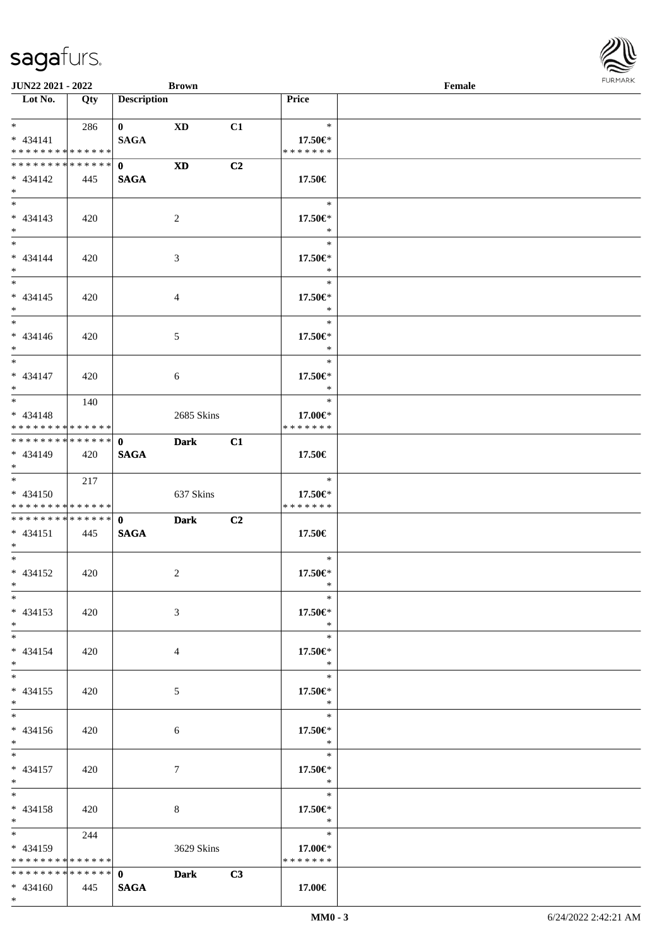| <b>JUN22 2021 - 2022</b>                                                          |     |                             | <b>Brown</b> |    |                                    | Female |  |
|-----------------------------------------------------------------------------------|-----|-----------------------------|--------------|----|------------------------------------|--------|--|
| Lot No.                                                                           | Qty | <b>Description</b>          |              |    | <b>Price</b>                       |        |  |
| $*$ and $*$<br>$* 434141$<br>* * * * * * * * <mark>* * * * * *</mark>             | 286 | $\mathbf{0}$<br><b>SAGA</b> | XD           | C1 | $\ast$<br>17.50€*<br>* * * * * * * |        |  |
| * * * * * * * * * * * * * * *<br>$* 434142$<br>$\ast$                             | 445 | $\mathbf{0}$<br><b>SAGA</b> | <b>XD</b>    | C2 | 17.50€                             |        |  |
| $\overline{\mathbf{r}}$<br>$* 434143$<br>$*$                                      | 420 |                             | 2            |    | $\ast$<br>17.50€*<br>$\ast$        |        |  |
| $*$<br>$* 434144$<br>$*$                                                          | 420 |                             | 3            |    | $\ast$<br>17.50€*<br>$\ast$        |        |  |
| $* 434145$<br>$*$                                                                 | 420 |                             | 4            |    | $\ast$<br>17.50€*<br>$\ast$        |        |  |
| * 434146<br>$*$                                                                   | 420 |                             | 5            |    | $\ast$<br>17.50€*<br>$\ast$        |        |  |
| * 434147<br>$*$                                                                   | 420 |                             | 6            |    | $\ast$<br>$17.50 \in$<br>$\ast$    |        |  |
| $\overline{\ast}$<br>* 434148<br>* * * * * * * * <mark>* * * * * *</mark>         | 140 |                             | 2685 Skins   |    | $\ast$<br>17.00€*<br>* * * * * * * |        |  |
| * 434149<br>$*$                                                                   | 420 | <b>SAGA</b>                 | <b>Dark</b>  | C1 | 17.50€                             |        |  |
| $\overline{\mathbf{r}}$<br>$* 434150$<br>* * * * * * * * <mark>* * * * * *</mark> | 217 |                             | 637 Skins    |    | $\ast$<br>17.50€*<br>* * * * * * * |        |  |
| $* 434151$<br>$*$ $-$                                                             | 445 | <b>SAGA</b>                 | <b>Dark</b>  | C2 | 17.50€                             |        |  |
| $*$ $-$<br>$* 434152$<br>$*$ $-$                                                  | 420 |                             | 2            |    | $\ast$<br>17.50€*<br>$\ast$        |        |  |
| $*$<br>$* 434153$<br>$*$                                                          | 420 |                             | 3            |    | $\ast$<br>$17.50 \in$<br>$*$       |        |  |
| $*$ $-$<br>$* 434154$<br>$*$                                                      | 420 |                             | 4            |    | $\ast$<br>17.50€*<br>$\ast$        |        |  |
| $*$<br>$* 434155$<br>$*$                                                          | 420 |                             | 5            |    | $\ast$<br>17.50€*<br>$\rightarrow$ |        |  |
| $\ddot{x}$<br>$* 434156$<br>$*$                                                   | 420 |                             | 6            |    | $\ast$<br>17.50€*<br>$\mathbb{R}$  |        |  |
| $\ddot{x}$<br>$* 434157$<br>$*$                                                   | 420 |                             | 7            |    | $\ast$<br>17.50€*<br>$\ast$        |        |  |
| $*$ $*$<br>* 434158<br>$*$ $-$<br>$\ddot{x}$                                      | 420 |                             | 8            |    | $\ast$<br>17.50€*<br>$\rightarrow$ |        |  |
| $* 434159$<br>* * * * * * * * * * * * * * *                                       | 244 |                             | 3629 Skins   |    | $\ast$<br>17.00€*<br>* * * * * * * |        |  |
| * * * * * * * * * * * * * * *<br>$* 434160$<br>$\ast$                             | 445 | <b>SAGA</b>                 | 0 Dark       | C3 | 17.00€                             |        |  |

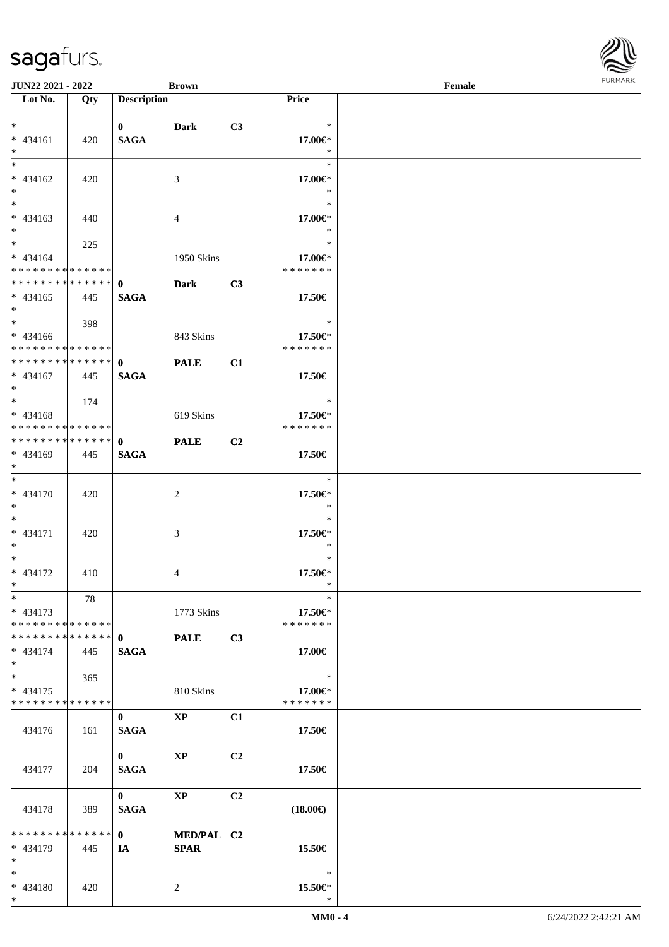| <b>JUN22 2021 - 2022</b>                   |     |                    | <b>Brown</b>           |                |                   | Female |  |
|--------------------------------------------|-----|--------------------|------------------------|----------------|-------------------|--------|--|
| Lot No.                                    | Qty | <b>Description</b> |                        |                | Price             |        |  |
|                                            |     |                    |                        |                |                   |        |  |
| $*$                                        |     | $\mathbf{0}$       | Dark                   | C3             | $*$               |        |  |
| $* 434161$                                 | 420 | <b>SAGA</b>        |                        |                | 17.00€*           |        |  |
| $*$                                        |     |                    |                        |                | $\ast$            |        |  |
| $\overline{\ast}$                          |     |                    |                        |                | $\ast$            |        |  |
| $* 434162$                                 | 420 |                    | 3                      |                | 17.00€*           |        |  |
| $*$                                        |     |                    |                        |                | $\ast$            |        |  |
| $\overline{\phantom{0}}$                   |     |                    |                        |                | $\ast$            |        |  |
| $* 434163$                                 | 440 |                    | 4                      |                | 17.00€*           |        |  |
| $*$                                        |     |                    |                        |                | $\ast$            |        |  |
| $\ddot{x}$                                 | 225 |                    |                        |                | $\ast$            |        |  |
| * 434164                                   |     |                    | 1950 Skins             |                | 17.00€*           |        |  |
| * * * * * * * * <mark>* * * * * *</mark>   |     |                    |                        |                | * * * * * * *     |        |  |
| * * * * * * * * * * * * * * <mark>*</mark> |     | $\mathbf{0}$       | <b>Dark</b>            | C3             |                   |        |  |
| $* 434165$                                 | 445 | <b>SAGA</b>        |                        |                | 17.50€            |        |  |
| $*$                                        |     |                    |                        |                |                   |        |  |
| $\ddot{x}$                                 | 398 |                    |                        |                | $\ast$            |        |  |
| $* 434166$                                 |     |                    | 843 Skins              |                | 17.50€*           |        |  |
| * * * * * * * * <mark>* * * * * * *</mark> |     |                    |                        |                | * * * * * * *     |        |  |
| * * * * * * * * <mark>* * * * * * *</mark> |     | $\mathbf{0}$       | <b>PALE</b>            | C1             |                   |        |  |
| * 434167                                   | 445 | <b>SAGA</b>        |                        |                | 17.50€            |        |  |
| $*$                                        |     |                    |                        |                |                   |        |  |
| $\overline{\mathbf{r}}$                    | 174 |                    |                        |                | $\ast$            |        |  |
| $* 434168$                                 |     |                    | 619 Skins              |                | 17.50€*           |        |  |
| * * * * * * * * <mark>* * * * * *</mark>   |     |                    |                        |                | * * * * * * *     |        |  |
|                                            |     |                    | <b>PALE</b>            | C2             |                   |        |  |
| $* 434169$                                 |     |                    |                        |                |                   |        |  |
| $\ddot{x}$                                 | 445 | <b>SAGA</b>        |                        |                | 17.50€            |        |  |
| $\ast$                                     |     |                    |                        |                | $\ast$            |        |  |
|                                            |     |                    |                        |                |                   |        |  |
| * 434170                                   | 420 |                    | 2                      |                | 17.50€*           |        |  |
| $*$<br>$\ddot{x}$                          |     |                    |                        |                | $\ast$            |        |  |
|                                            |     |                    |                        |                | $\ast$            |        |  |
| * 434171                                   | 420 |                    | 3                      |                | 17.50€*           |        |  |
| $*$<br>$*$ $-$                             |     |                    |                        |                | $\ast$            |        |  |
|                                            |     |                    |                        |                | $\ast$            |        |  |
| * 434172                                   | 410 |                    | 4                      |                | 17.50€*           |        |  |
| $*$ $-$                                    |     |                    |                        |                | $\ast$            |        |  |
| $\ast$                                     | 78  |                    |                        |                | $\ast$            |        |  |
| $* 434173$                                 |     |                    | 1773 Skins             |                | 17.50€*           |        |  |
| * * * * * * * * <mark>* * * * * *</mark>   |     |                    |                        |                | * * * * * * *     |        |  |
|                                            |     |                    | <b>PALE</b>            | C3             |                   |        |  |
| * 434174                                   | 445 | <b>SAGA</b>        |                        |                | 17.00€            |        |  |
| $\ast$<br>$*$                              |     |                    |                        |                |                   |        |  |
|                                            | 365 |                    |                        |                | $\ast$            |        |  |
| * 434175                                   |     |                    | 810 Skins              |                | 17.00€*           |        |  |
| * * * * * * * * <mark>* * * * * * *</mark> |     |                    |                        |                | * * * * * * *     |        |  |
|                                            |     | $\mathbf{0}$       | $\mathbf{X}\mathbf{P}$ | C1             |                   |        |  |
| 434176                                     | 161 | <b>SAGA</b>        |                        |                | 17.50€            |        |  |
|                                            |     |                    |                        |                |                   |        |  |
|                                            |     | $\mathbf{0}$       | <b>XP</b>              | C <sub>2</sub> |                   |        |  |
| 434177                                     | 204 | <b>SAGA</b>        |                        |                | 17.50€            |        |  |
|                                            |     |                    |                        |                |                   |        |  |
|                                            |     | $\mathbf{0}$       | <b>XP</b>              | C2             |                   |        |  |
| 434178                                     | 389 | <b>SAGA</b>        |                        |                | $(18.00\epsilon)$ |        |  |
|                                            |     |                    |                        |                |                   |        |  |
| * * * * * * * * <mark>* * * * * * *</mark> |     | $\mathbf{0}$       | MED/PAL C2             |                |                   |        |  |
| * 434179                                   | 445 | IA.                | <b>SPAR</b>            |                | 15.50€            |        |  |
| $*$                                        |     |                    |                        |                |                   |        |  |
| $\ddot{x}$                                 |     |                    |                        |                | $\ast$            |        |  |
| * 434180                                   | 420 |                    | 2                      |                | 15.50€*           |        |  |
| $\ast$                                     |     |                    |                        |                | $\ast$            |        |  |

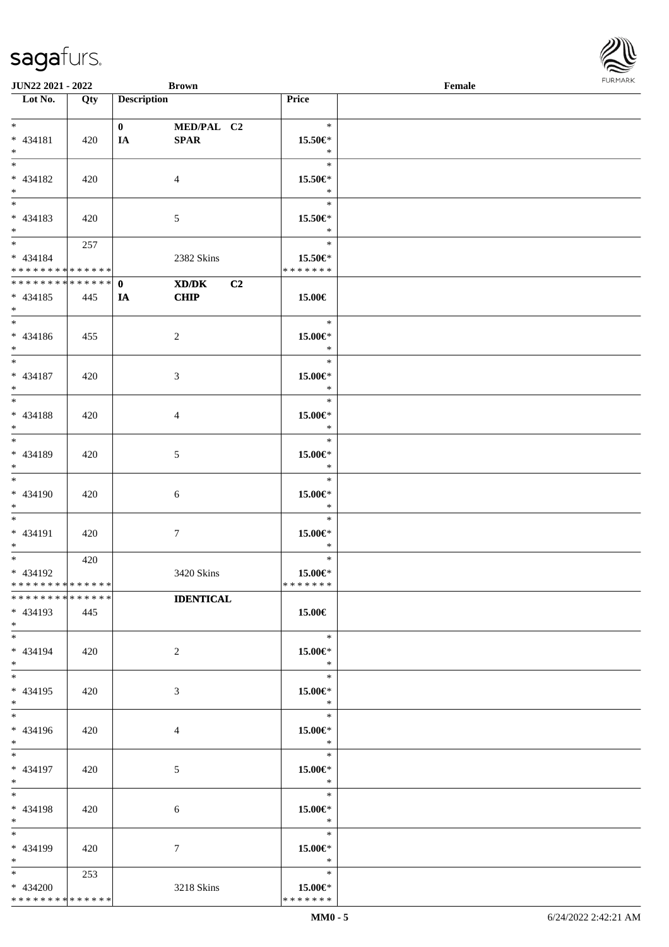| JUN22 2021 - 2022             |     |                    | <b>Brown</b>     |               | Female |  |
|-------------------------------|-----|--------------------|------------------|---------------|--------|--|
| Lot No.                       | Qty | <b>Description</b> |                  | Price         |        |  |
|                               |     |                    |                  |               |        |  |
| $*$                           |     | $\mathbf{0}$       | MED/PAL C2       | $\ast$        |        |  |
|                               |     |                    |                  |               |        |  |
| * 434181                      | 420 | IA                 | SPAR             | 15.50€*       |        |  |
| $\ast$                        |     |                    |                  | $\ast$        |        |  |
| $\overline{\phantom{0}}$      |     |                    |                  | $\ast$        |        |  |
| * 434182                      | 420 |                    | $\overline{4}$   | 15.50€*       |        |  |
| $\ast$                        |     |                    |                  | $\ast$        |        |  |
| $\overline{\phantom{0}}$      |     |                    |                  | $\ast$        |        |  |
|                               |     |                    |                  |               |        |  |
| * 434183                      | 420 |                    | 5                | 15.50€*       |        |  |
| $*$                           |     |                    |                  | $\ast$        |        |  |
| $\overline{\phantom{0}}$      | 257 |                    |                  | $\ast$        |        |  |
| * 434184                      |     |                    | 2382 Skins       | 15.50€*       |        |  |
| * * * * * * * * * * * * * * * |     |                    |                  | * * * * * * * |        |  |
| ******** <mark>******</mark>  |     | $\mathbf{0}$       | C2               |               |        |  |
|                               |     |                    | XD/DK            |               |        |  |
| $* 434185$                    | 445 | IA                 | <b>CHIP</b>      | 15.00€        |        |  |
| $*$                           |     |                    |                  |               |        |  |
| $\overline{\phantom{0}}$      |     |                    |                  | $\ast$        |        |  |
| $* 434186$                    | 455 |                    | $\overline{c}$   | 15.00€*       |        |  |
| $*$                           |     |                    |                  | $\ast$        |        |  |
| $\overline{\phantom{0}}$      |     |                    |                  | $\ast$        |        |  |
|                               |     |                    |                  |               |        |  |
| * 434187                      | 420 |                    | $\mathfrak{Z}$   | $15.00 \in$ * |        |  |
| $*$                           |     |                    |                  | $\ast$        |        |  |
| $\ast$                        |     |                    |                  | $\ast$        |        |  |
| * 434188                      | 420 |                    | $\overline{4}$   | $15.00 \in$ * |        |  |
| $\ast$                        |     |                    |                  | $\ast$        |        |  |
| $\overline{\phantom{0}}$      |     |                    |                  | $\ast$        |        |  |
|                               |     |                    |                  |               |        |  |
| * 434189                      | 420 |                    | $5\overline{)}$  | $15.00 \in$ * |        |  |
| $*$                           |     |                    |                  | $\ast$        |        |  |
| $\overline{\phantom{0}}$      |     |                    |                  | $\ast$        |        |  |
| $* 434190$                    | 420 |                    | $\sqrt{6}$       | 15.00€*       |        |  |
| $*$                           |     |                    |                  | $\ast$        |        |  |
| $*$                           |     |                    |                  | $\ast$        |        |  |
| $* 434191$                    | 420 |                    | $\boldsymbol{7}$ | 15.00€*       |        |  |
| $*$                           |     |                    |                  | $\ast$        |        |  |
| $\overline{\ast}$             |     |                    |                  | $\ast$        |        |  |
|                               | 420 |                    |                  |               |        |  |
| * 434192                      |     |                    | 3420 Skins       | $15.00 \in$ * |        |  |
| ******** <mark>******</mark>  |     |                    |                  | *******       |        |  |
| * * * * * * * * * * * * * * * |     |                    | <b>IDENTICAL</b> |               |        |  |
| $* 434193$                    | 445 |                    |                  | 15.00€        |        |  |
| $*$                           |     |                    |                  |               |        |  |
| $*$                           |     |                    |                  | $\ast$        |        |  |
| * 434194                      | 420 |                    | $\overline{2}$   | 15.00€*       |        |  |
| $*$                           |     |                    |                  | $\ast$        |        |  |
| $\overline{\ast}$             |     |                    |                  |               |        |  |
|                               |     |                    |                  | $\ast$        |        |  |
| * 434195                      | 420 |                    | $\mathfrak{Z}$   | $15.00 \in$ * |        |  |
| $*$                           |     |                    |                  | $\ast$        |        |  |
| $\overline{\phantom{0}}$      |     |                    |                  | $\ast$        |        |  |
| * 434196                      | 420 |                    | $\overline{4}$   | 15.00€*       |        |  |
| $*$                           |     |                    |                  | $\ast$        |        |  |
| $*$                           |     |                    |                  | $\ast$        |        |  |
|                               |     |                    |                  |               |        |  |
| * 434197                      | 420 |                    | $5\phantom{.0}$  | 15.00€*       |        |  |
| $*$                           |     |                    |                  | $\ast$        |        |  |
| $\ast$                        |     |                    |                  | $\ast$        |        |  |
| * 434198                      | 420 |                    | 6                | 15.00€*       |        |  |
| $*$                           |     |                    |                  | $\ast$        |        |  |
| $*$                           |     |                    |                  | $\ast$        |        |  |
| * 434199                      | 420 |                    | $\tau$           | 15.00€*       |        |  |
| $*$                           |     |                    |                  | $\ast$        |        |  |
| $*$                           |     |                    |                  | $\ast$        |        |  |
|                               | 253 |                    |                  |               |        |  |
| * 434200                      |     |                    | 3218 Skins       | 15.00€*       |        |  |
| * * * * * * * * * * * * * *   |     |                    |                  | * * * * * * * |        |  |

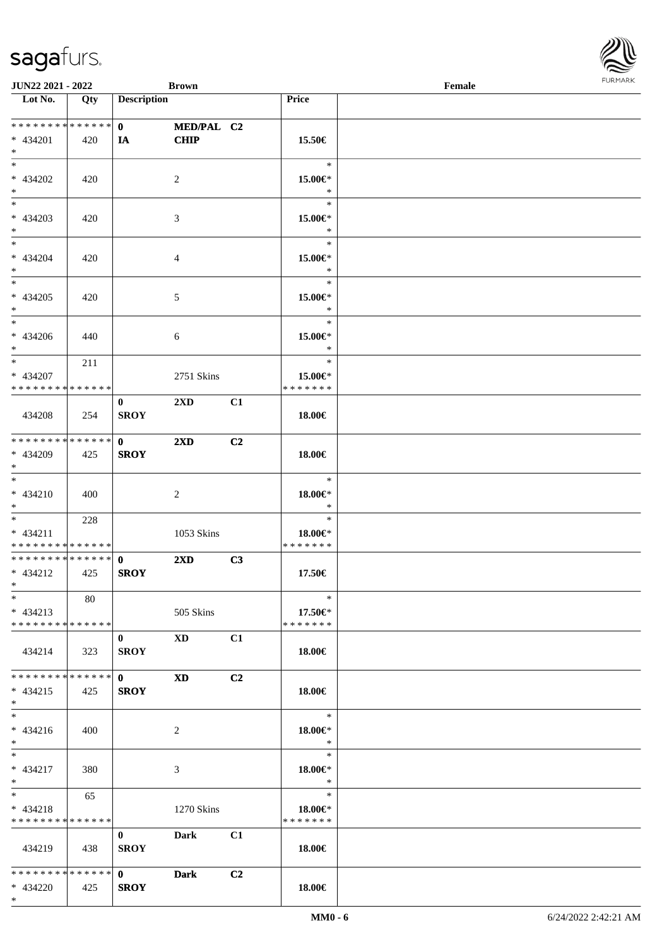| <b>JUN22 2021 - 2022</b>                   |     |                                                                 | <b>Brown</b>            |                |                    | Female |  |
|--------------------------------------------|-----|-----------------------------------------------------------------|-------------------------|----------------|--------------------|--------|--|
| Lot No.                                    | Qty | <b>Description</b>                                              |                         |                | <b>Price</b>       |        |  |
|                                            |     |                                                                 |                         |                |                    |        |  |
| * * * * * * * * <mark>* * * * * * *</mark> |     | $\mathbf{0}$ and $\mathbf{0}$ and $\mathbf{0}$ and $\mathbf{0}$ | MED/PAL C2              |                |                    |        |  |
| * 434201                                   | 420 | IA                                                              | <b>CHIP</b>             |                | 15.50€             |        |  |
| $*$                                        |     |                                                                 |                         |                |                    |        |  |
| $*$                                        |     |                                                                 |                         |                | $\ast$             |        |  |
| * 434202                                   | 420 |                                                                 | $\overline{2}$          |                | 15.00€*            |        |  |
| $*$                                        |     |                                                                 |                         |                | $\ast$             |        |  |
|                                            |     |                                                                 |                         |                | $\ast$             |        |  |
| * 434203                                   | 420 |                                                                 | 3                       |                | 15.00€*            |        |  |
| $*$                                        |     |                                                                 |                         |                | $\ast$             |        |  |
| $*$                                        |     |                                                                 |                         |                | $\ast$             |        |  |
| * 434204                                   | 420 |                                                                 | $\overline{4}$          |                | 15.00€*            |        |  |
| $*$                                        |     |                                                                 |                         |                | $\ast$             |        |  |
| $*$                                        |     |                                                                 |                         |                | $\ast$             |        |  |
| $* 434205$                                 | 420 |                                                                 | $\mathfrak{S}$          |                | 15.00€*            |        |  |
| $*$                                        |     |                                                                 |                         |                | $\ast$             |        |  |
| $*$                                        |     |                                                                 |                         |                | $\ast$             |        |  |
| $* 434206$                                 | 440 |                                                                 | 6                       |                | 15.00€*            |        |  |
| $*$                                        |     |                                                                 |                         |                | $\ast$             |        |  |
| $*$                                        | 211 |                                                                 |                         |                | $\ast$             |        |  |
| * 434207                                   |     |                                                                 | 2751 Skins              |                | 15.00€*            |        |  |
| * * * * * * * * * * * * * * *              |     |                                                                 |                         |                | * * * * * * *      |        |  |
|                                            |     | $\bf{0}$                                                        | 2XD                     | C1             |                    |        |  |
| 434208                                     | 254 | <b>SROY</b>                                                     |                         |                | 18.00€             |        |  |
|                                            |     |                                                                 |                         |                |                    |        |  |
| * * * * * * * * * * * * * * *              |     | $\mathbf 0$                                                     | $2\mathbf{X}\mathbf{D}$ | C2             |                    |        |  |
| * 434209                                   | 425 | <b>SROY</b>                                                     |                         |                | 18.00€             |        |  |
| $*$                                        |     |                                                                 |                         |                |                    |        |  |
| $*$                                        |     |                                                                 |                         |                | $\ast$             |        |  |
| $* 434210$                                 | 400 |                                                                 | 2                       |                | $18.00 \in$ *      |        |  |
| $*$                                        |     |                                                                 |                         |                | $\ast$             |        |  |
| $*$ $*$                                    | 228 |                                                                 |                         |                | $\ast$             |        |  |
| $* 434211$                                 |     |                                                                 | 1053 Skins              |                | 18.00€*            |        |  |
| * * * * * * * * * * * * * *                |     |                                                                 |                         |                | * * * * * * *      |        |  |
| * * * * * * * * * * * * * * *              |     | $\mathbf{0}$                                                    | 2XD                     | C3             |                    |        |  |
| $* 434212$                                 | 425 | <b>SROY</b>                                                     |                         |                | 17.50€             |        |  |
| $*$ $*$                                    |     |                                                                 |                         |                |                    |        |  |
| $*$                                        | 80  |                                                                 |                         |                | $\ast$             |        |  |
| $* 434213$                                 |     |                                                                 | 505 Skins               |                | 17.50€*            |        |  |
| * * * * * * * * * * * * * * *              |     |                                                                 |                         |                | * * * * * * *      |        |  |
|                                            |     | $\mathbf{0}$                                                    | <b>XD</b>               | C1             |                    |        |  |
| 434214                                     | 323 | <b>SROY</b>                                                     |                         |                | 18.00€             |        |  |
|                                            |     |                                                                 |                         |                |                    |        |  |
| * * * * * * * * * * * * * * *              |     | $\mathbf{0}$                                                    | <b>XD</b>               | C <sub>2</sub> |                    |        |  |
| $* 434215$                                 | 425 | <b>SROY</b>                                                     |                         |                | 18.00€             |        |  |
| $*$ $*$                                    |     |                                                                 |                         |                |                    |        |  |
| $*$                                        |     |                                                                 |                         |                | $\ast$             |        |  |
| $* 434216$                                 | 400 |                                                                 | 2                       |                | 18.00€*            |        |  |
| $*$ $*$                                    |     |                                                                 |                         |                | $\ast$             |        |  |
| $*$ $*$                                    |     |                                                                 |                         |                | $\equiv$<br>$\ast$ |        |  |
| $* 434217$                                 | 380 |                                                                 | 3                       |                | 18.00€*            |        |  |
| $*$ $*$                                    |     |                                                                 |                         |                | $\ast$             |        |  |
| $*$ and $*$                                | 65  |                                                                 |                         |                | $\ast$             |        |  |
| $* 434218$                                 |     |                                                                 | 1270 Skins              |                | 18.00€*            |        |  |
| * * * * * * * * * * * * * * *              |     |                                                                 |                         |                | * * * * * * *      |        |  |
|                                            |     | $\mathbf{0}$                                                    | <b>Dark</b>             | C1             |                    |        |  |
| 434219                                     | 438 | <b>SROY</b>                                                     |                         |                | 18.00€             |        |  |
|                                            |     |                                                                 |                         |                |                    |        |  |
| * * * * * * * * * * * * * * *              |     | $\mathbf{0}$                                                    | Dark                    | C2             |                    |        |  |
| * 434220                                   | 425 | <b>SROY</b>                                                     |                         |                | 18.00€             |        |  |
| $*$                                        |     |                                                                 |                         |                |                    |        |  |

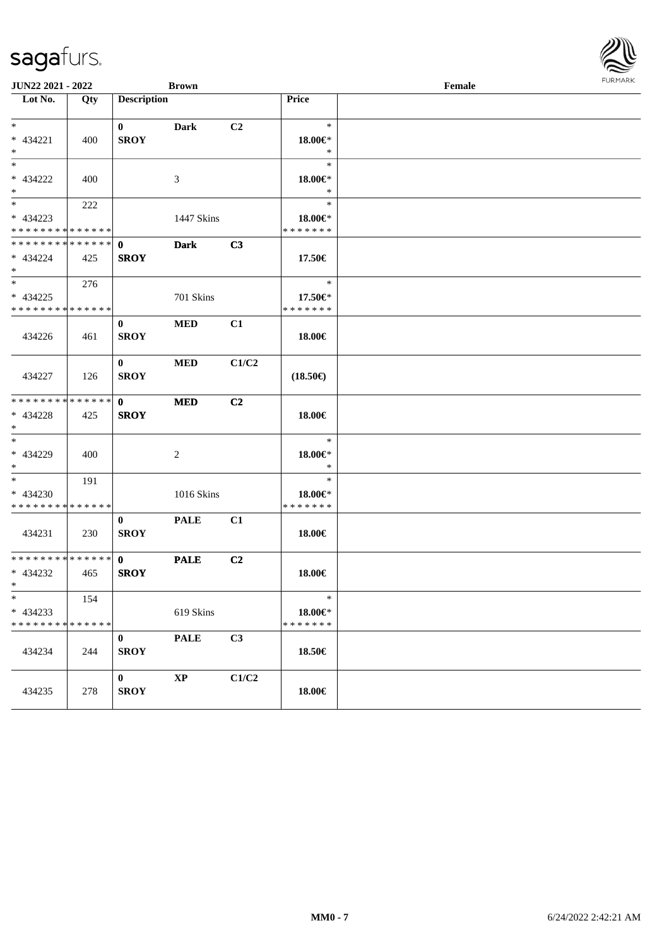| JUN22 2021 - 2022<br><b>Brown</b>                   |     |                             |                | $\ensuremath{\textnormal{\textbf{Female}}}$ |                                          |  |  |
|-----------------------------------------------------|-----|-----------------------------|----------------|---------------------------------------------|------------------------------------------|--|--|
| Lot No.                                             | Qty | <b>Description</b>          |                |                                             | Price                                    |  |  |
| $*$<br>* 434221<br>$*$                              | 400 | $\mathbf{0}$<br><b>SROY</b> | <b>Dark</b>    | C2                                          | $\ast$<br>18.00€*<br>$\ast$              |  |  |
| $*$<br>* 434222<br>$*$                              | 400 |                             | 3              |                                             | $\ast$<br>18.00€*<br>$\ast$              |  |  |
| $*$<br>* 434223<br>* * * * * * * * * * * * * *      | 222 |                             | 1447 Skins     |                                             | $\ast$<br>18.00€*<br>* * * * * * *       |  |  |
| * * * * * * * * * * * * * * *<br>* 434224<br>$*$    | 425 | $\mathbf 0$<br><b>SROY</b>  | <b>Dark</b>    | C3                                          | 17.50€                                   |  |  |
| $* 434225$<br>* * * * * * * * * * * * * *           | 276 |                             | 701 Skins      |                                             | $\ast$<br>17.50€*<br>* * * * * * *       |  |  |
| 434226                                              | 461 | $\bf{0}$<br><b>SROY</b>     | <b>MED</b>     | C1                                          | 18.00€                                   |  |  |
| 434227                                              | 126 | $\mathbf{0}$<br><b>SROY</b> | <b>MED</b>     | C1/C2                                       | $(18.50\epsilon)$                        |  |  |
| * * * * * * * * * * * * * *<br>* 434228<br>$*$      | 425 | $\mathbf{0}$<br><b>SROY</b> | <b>MED</b>     | C2                                          | 18.00€                                   |  |  |
| $*$<br>* 434229<br>$*$                              | 400 |                             | $\overline{2}$ |                                             | $\ast$<br>18.00€*<br>$\ast$              |  |  |
| $*$<br>* 434230<br>* * * * * * * * * * * * * *      | 191 |                             | 1016 Skins     |                                             | $\ast$<br>18.00€*<br>* * * * * * *       |  |  |
| 434231                                              | 230 | $\bf{0}$<br><b>SROY</b>     | <b>PALE</b>    | C1                                          | 18.00€                                   |  |  |
| * * * * * * * * * * * * * * *<br>* 434232<br>$\ast$ | 465 | $\mathbf{0}$<br><b>SROY</b> | <b>PALE</b>    | C <sub>2</sub>                              | 18.00€                                   |  |  |
| $\ast$<br>$* 434233$<br>* * * * * * * * * * * * * * | 154 |                             | 619 Skins      |                                             | $\ast$<br>$18.00 \in$ *<br>* * * * * * * |  |  |
| 434234                                              | 244 | $\bf{0}$<br><b>SROY</b>     | <b>PALE</b>    | C3                                          | 18.50€                                   |  |  |
| 434235                                              | 278 | $\bf{0}$<br><b>SROY</b>     | $\bold{XP}$    | C1/C2                                       | 18.00€                                   |  |  |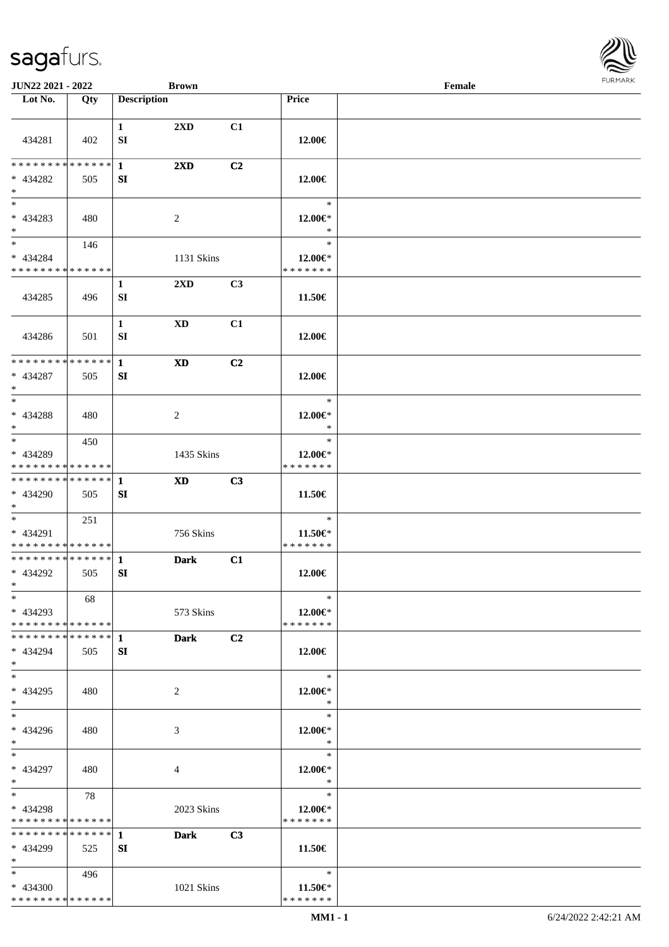

| JUN22 2021 - 2022                                                   |     | <b>Brown</b>                                          |                |                                          | Female |  |
|---------------------------------------------------------------------|-----|-------------------------------------------------------|----------------|------------------------------------------|--------|--|
| Lot No.                                                             | Qty | <b>Description</b>                                    |                | Price                                    |        |  |
|                                                                     |     |                                                       |                |                                          |        |  |
| 434281                                                              | 402 | $2\mathbf{X}\mathbf{D}$<br>$\mathbf{1}$<br>${\bf SI}$ | C1             | 12.00€                                   |        |  |
| * * * * * * * * * * * * * * *<br>$* 434282$<br>$\ast$               | 505 | $\mathbf{1}$<br>$2\mathbf{X}\mathbf{D}$<br>SI         | C2             | 12.00€                                   |        |  |
| $\overline{\phantom{a}^*}$<br>$* 434283$<br>$\ast$<br>$_{\ast}$     | 480 | 2                                                     |                | $\ast$<br>12.00€*<br>$\ast$              |        |  |
| * 434284<br>* * * * * * * * * * * * * *                             | 146 | 1131 Skins                                            |                | $\ast$<br>$12.00 \in$ *<br>* * * * * * * |        |  |
| 434285                                                              | 496 | $\mathbf{1}$<br>$2\mathbf{X}\mathbf{D}$<br>SI         | C3             | 11.50€                                   |        |  |
| 434286                                                              | 501 | $\mathbf{1}$<br><b>XD</b><br>SI                       | C1             | 12.00€                                   |        |  |
| **************<br>* 434287<br>$\ast$                                | 505 | $\mathbf{1}$<br><b>XD</b><br>SI                       | C2             | 12.00€                                   |        |  |
| $\ast$<br>$* 434288$<br>$*$                                         | 480 | $\overline{c}$                                        |                | $\ast$<br>12.00€*<br>$\ast$              |        |  |
| $\overline{\phantom{0}}$<br>* 434289<br>* * * * * * * * * * * * * * | 450 | 1435 Skins                                            |                | $\ast$<br>$12.00 \in$ *<br>* * * * * * * |        |  |
| **************<br>* 434290<br>$*$                                   | 505 | <b>XD</b><br>1<br>SI                                  | C3             | 11.50€                                   |        |  |
| $\ast$<br>* 434291<br>* * * * * * * * * * * * * *                   | 251 | 756 Skins                                             |                | $\ast$<br>11.50€*<br>* * * * * * *       |        |  |
| **************<br>* 434292<br>$*$                                   | 505 | $\mathbf{1}$<br><b>Dark</b><br>SI                     | C1             | 12.00€                                   |        |  |
| $*$<br>$* 434293$<br>* * * * * * * * * * * * * * *                  | 68  | 573 Skins                                             |                | $\ast$<br>$12.00 \in$ *<br>* * * * * * * |        |  |
| * 434294<br>$*$                                                     | 505 | <b>Dark</b><br>SI                                     | C <sub>2</sub> | 12.00€                                   |        |  |
| $\ast$<br>* 434295<br>$*$                                           | 480 | 2                                                     |                | $\ast$<br>12.00€*<br>$\ast$              |        |  |
| $\overline{\phantom{1}}$<br>* 434296<br>$*$                         | 480 | 3                                                     |                | $\ast$<br>12.00€*<br>$\ast$              |        |  |
| $*$<br>* 434297<br>$*$                                              | 480 | 4                                                     |                | $\ast$<br>$12.00 \in$ *<br>$\ast$        |        |  |
| $*$<br>* 434298<br>* * * * * * * * <mark>* * * * * * *</mark>       | 78  | 2023 Skins                                            |                | $\ast$<br>12.00€*<br>* * * * * * *       |        |  |
| * * * * * * * * * * * * * * *<br>* 434299<br>$*$                    | 525 | $\mathbf{1}$<br><b>Dark</b><br>SI                     | C3             | 11.50€                                   |        |  |
| $*$ and $*$<br>$* 434300$<br>* * * * * * * * * * * * * *            | 496 | 1021 Skins                                            |                | $\ast$<br>$11.50 \in$<br>* * * * * * *   |        |  |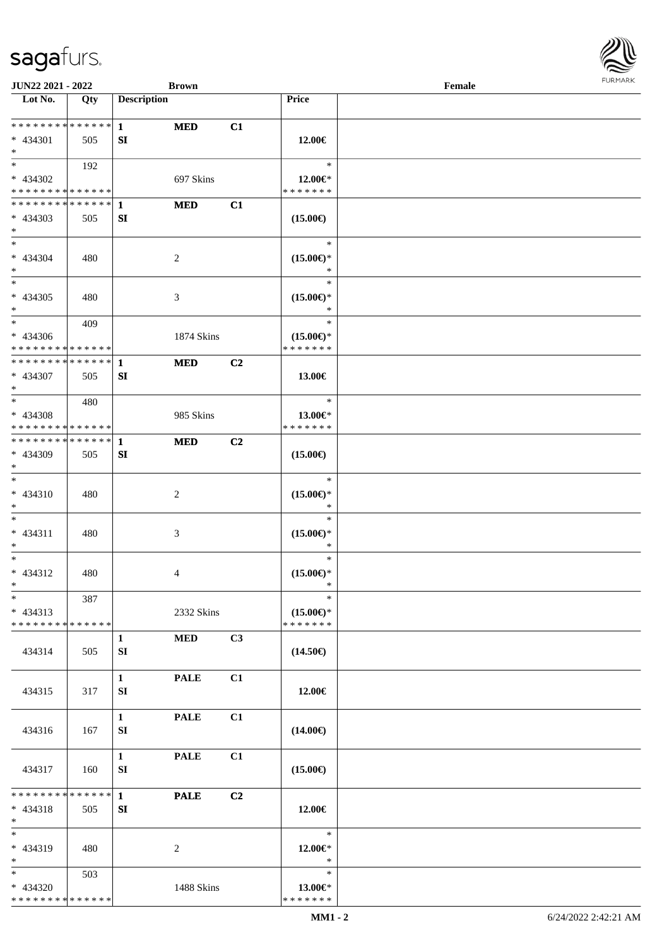

| JUN22 2021 - 2022            |     |                    | <b>Brown</b>     |    |                         | Female |  |
|------------------------------|-----|--------------------|------------------|----|-------------------------|--------|--|
| Lot No.                      | Qty | <b>Description</b> |                  |    | Price                   |        |  |
|                              |     |                    |                  |    |                         |        |  |
| ******** <mark>******</mark> |     | $\mathbf{1}$       | <b>MED</b>       | C1 |                         |        |  |
| $* 434301$                   | 505 | SI                 |                  |    | 12.00€                  |        |  |
| $*$                          |     |                    |                  |    |                         |        |  |
| $*$                          | 192 |                    |                  |    | $\ast$                  |        |  |
| * 434302                     |     |                    | 697 Skins        |    | $12.00 \in$ *           |        |  |
| * * * * * * * * * * * * * *  |     |                    |                  |    | * * * * * * *           |        |  |
| **************               |     | 1                  | <b>MED</b>       | C1 |                         |        |  |
| $* 434303$<br>$*$            | 505 | SI                 |                  |    | $(15.00\epsilon)$       |        |  |
| $*$                          |     |                    |                  |    | $\ast$                  |        |  |
| * 434304                     |     |                    |                  |    | $(15.00\epsilon)$ *     |        |  |
| $*$                          | 480 |                    | $\overline{c}$   |    | $\ast$                  |        |  |
| $*$                          |     |                    |                  |    | $\ast$                  |        |  |
| $* 434305$                   | 480 |                    | $\mathfrak{Z}$   |    | $(15.00\epsilon)$ *     |        |  |
| $*$                          |     |                    |                  |    | $\ast$                  |        |  |
| $*$                          | 409 |                    |                  |    | $\ast$                  |        |  |
| $* 434306$                   |     |                    | 1874 Skins       |    | $(15.00\epsilon)$ *     |        |  |
| * * * * * * * * * * * * * *  |     |                    |                  |    | * * * * * * *           |        |  |
| * * * * * * * * * * * * * *  |     | 1                  | <b>MED</b>       | C2 |                         |        |  |
| * 434307                     | 505 | SI                 |                  |    | 13.00€                  |        |  |
| $*$                          |     |                    |                  |    |                         |        |  |
| $*$                          | 480 |                    |                  |    | $\ast$                  |        |  |
| $* 434308$                   |     |                    | 985 Skins        |    | 13.00€*                 |        |  |
| * * * * * * * * * * * * * *  |     |                    |                  |    | * * * * * * *           |        |  |
| **************               |     | 1                  | <b>MED</b>       | C2 |                         |        |  |
| * 434309                     | 505 | SI                 |                  |    | $(15.00\epsilon)$       |        |  |
| $*$                          |     |                    |                  |    |                         |        |  |
| $\ast$                       |     |                    |                  |    | $\ast$                  |        |  |
| $* 434310$                   | 480 |                    | $\boldsymbol{2}$ |    | $(15.00\epsilon)$ *     |        |  |
| $*$                          |     |                    |                  |    | $\ast$                  |        |  |
| $*$                          |     |                    |                  |    | $\ast$                  |        |  |
| $* 434311$                   | 480 |                    | $\mathfrak{Z}$   |    | $(15.00\epsilon)$ *     |        |  |
| $*$<br>$*$                   |     |                    |                  |    | $\ast$<br>$\ast$        |        |  |
| $* 434312$                   | 480 |                    |                  |    | $(15.00\epsilon)$ *     |        |  |
| $*$                          |     |                    | 4                |    | $\ast$                  |        |  |
| $\ast$                       | 387 |                    |                  |    | $\ast$                  |        |  |
| $* 434313$                   |     |                    | 2332 Skins       |    | $(15.00\epsilon)$ *     |        |  |
| * * * * * * * * * * * * * *  |     |                    |                  |    | * * * * * * *           |        |  |
|                              |     | $\mathbf{1}$       | <b>MED</b>       | C3 |                         |        |  |
| 434314                       | 505 | SI                 |                  |    | $(14.50\epsilon)$       |        |  |
|                              |     |                    |                  |    |                         |        |  |
|                              |     | $\mathbf{1}$       | <b>PALE</b>      | C1 |                         |        |  |
| 434315                       | 317 | SI                 |                  |    | 12.00€                  |        |  |
|                              |     |                    |                  |    |                         |        |  |
|                              |     | $\mathbf{1}$       | <b>PALE</b>      | C1 |                         |        |  |
| 434316                       | 167 | SI                 |                  |    | $(14.00\epsilon)$       |        |  |
|                              |     |                    |                  |    |                         |        |  |
|                              |     | $\mathbf{1}$       | <b>PALE</b>      | C1 |                         |        |  |
| 434317                       | 160 | SI                 |                  |    | $(15.00\epsilon)$       |        |  |
|                              |     |                    |                  |    |                         |        |  |
| * * * * * * * * * * * * * *  |     | $\mathbf{1}$       | <b>PALE</b>      | C2 |                         |        |  |
| $* 434318$                   | 505 | SI                 |                  |    | 12.00€                  |        |  |
| $*$<br>$\ast$                |     |                    |                  |    | $\ast$                  |        |  |
| * 434319                     | 480 |                    |                  |    |                         |        |  |
| $*$                          |     |                    | 2                |    | 12.00 $\in$ *<br>$\ast$ |        |  |
| $*$                          | 503 |                    |                  |    | $\ast$                  |        |  |
| * 434320                     |     |                    | 1488 Skins       |    | 13.00€*                 |        |  |
| * * * * * * * * * * * * * *  |     |                    |                  |    | * * * * * * *           |        |  |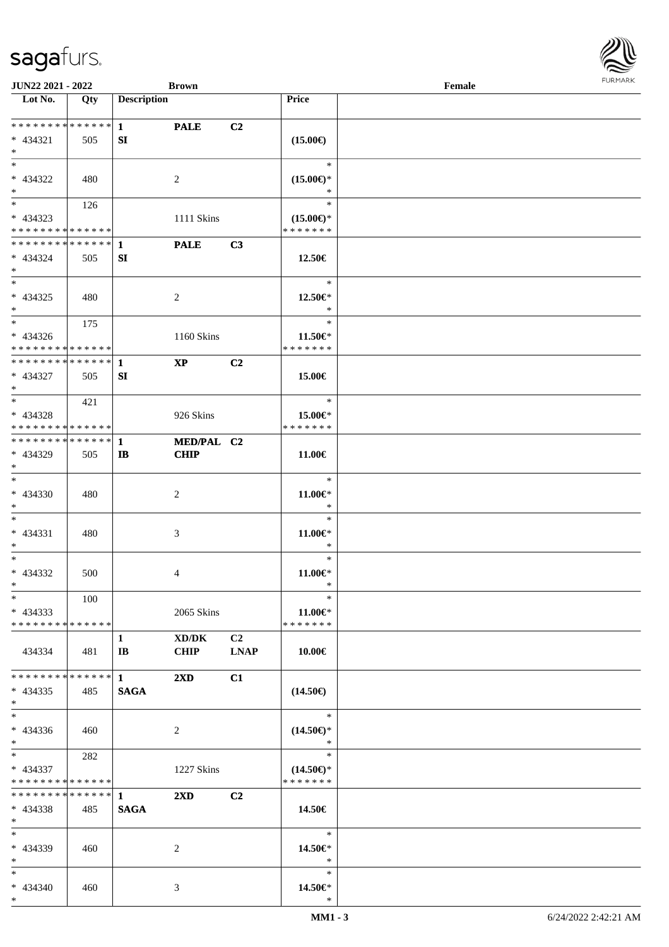

| <b>JUN22 2021 - 2022</b>                                                          |       |                    | <b>Brown</b>              |                   |                                                | Female |  |
|-----------------------------------------------------------------------------------|-------|--------------------|---------------------------|-------------------|------------------------------------------------|--------|--|
| Lot No.                                                                           | Qty   | <b>Description</b> |                           |                   | Price                                          |        |  |
| $* 434321$<br>$*$                                                                 | 505   | SI                 | <b>PALE</b>               | C2                | $(15.00\epsilon)$                              |        |  |
| * 434322<br>$\ast$                                                                | 480   |                    | 2                         |                   | $\ast$<br>$(15.00\epsilon)$ *<br>∗             |        |  |
| $\overline{\mathbf{r}}$<br>* 434323<br>* * * * * * * * <mark>* * * * * * *</mark> | 126   |                    | 1111 Skins                |                   | $\ast$<br>$(15.00\epsilon)$ *<br>* * * * * * * |        |  |
| * 434324<br>$*$                                                                   | 505   | SI                 | <b>PALE</b>               | C3                | 12.50€                                         |        |  |
| $*$<br>$* 434325$<br>$\ddot{\ast}$                                                | 480   |                    | 2                         |                   | $\ast$<br>12.50€*<br>$\ast$                    |        |  |
| $*$<br>* 434326<br>* * * * * * * * <mark>* * * * * * *</mark>                     | 175   |                    | 1160 Skins                |                   | $\ast$<br>11.50 $\in$ *<br>* * * * * * *       |        |  |
| * 434327<br>$*$                                                                   | 505   | SI                 | $\bold{XP}$               | C2                | 15.00€                                         |        |  |
| * 434328<br>* * * * * * * * <mark>* * * * * * *</mark>                            | 421   |                    | 926 Skins                 |                   | $\ast$<br>15.00€*<br>* * * * * * *             |        |  |
| * 434329<br>$\ast$                                                                | 505   | IB                 | MED/PAL C2<br><b>CHIP</b> |                   | $11.00\in$                                     |        |  |
| $\ast$<br>* 434330<br>$*$                                                         | 480   |                    | 2                         |                   | $\ast$<br>$11.00 \in$<br>$\ast$                |        |  |
| $\ddot{x}$<br>$* 434331$<br>$*$                                                   | 480   |                    | 3                         |                   | $\ast$<br>11.00 $\in$ *<br>$\ast$              |        |  |
| $*$<br>* 434332<br>$*$ $-$                                                        | 500   |                    | 4                         |                   | $\ast$<br>$11.00 \in$<br>$\ast$                |        |  |
| $\ast$<br>$*$ 434333<br>* * * * * * * * * * * * * * <mark>*</mark>                | 100   |                    | 2065 Skins                |                   | $\ast$<br>11.00 $\in$ *<br>* * * * * * *       |        |  |
| 434334                                                                            | 481   | 1<br>$\mathbf{IB}$ | XD/DK<br><b>CHIP</b>      | C2<br><b>LNAP</b> | $ $ 10.00€                                     |        |  |
| $* 434335$<br>$*$ $-$                                                             | 485   | <b>SAGA</b>        | $2\mathbf{X}\mathbf{D}$   | C1                | $(14.50\epsilon)$                              |        |  |
| $\ddot{x}$<br>$* 434336$<br>$*$ $-$                                               | 460   |                    | 2                         |                   | $\ast$<br>$(14.50\epsilon)$ *<br>$\star$       |        |  |
| $\ast$<br>* 434337<br>* * * * * * * * * * * * * * *                               | 282   |                    | 1227 Skins                |                   | $\ast$<br>$(14.50\epsilon)$ *<br>* * * * * * * |        |  |
| $* 434338$<br>$\ast$                                                              | 485   | <b>SAGA</b>        | $2\mathbf{X}\mathbf{D}$   | C2                | 14.50 $\in$                                    |        |  |
| $*$ $-$<br>* 434339<br>$*$ $-$                                                    | - 460 |                    | 2                         |                   | $\ast$<br>14.50€*<br>$\ast$                    |        |  |
| $\ddot{x}$<br>* 434340<br>$*$                                                     | 460   |                    | 3                         |                   | $\ast$<br>14.50€*<br>$\ast$                    |        |  |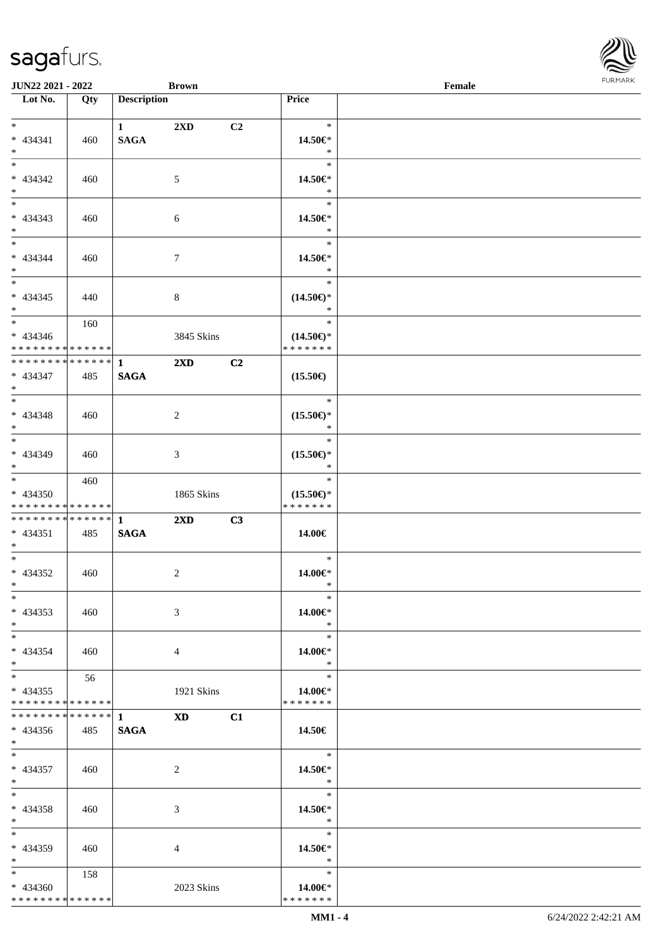**Lot No. Qty Description** 

| $\ast$                                     |                | 1           | $2\mathbf{X}\mathbf{D}$                                                                                                                                                                                                        | C <sub>2</sub> | $\ast$                                |  |
|--------------------------------------------|----------------|-------------|--------------------------------------------------------------------------------------------------------------------------------------------------------------------------------------------------------------------------------|----------------|---------------------------------------|--|
| $* 434341$                                 | 460            | <b>SAGA</b> |                                                                                                                                                                                                                                |                | 14.50€*                               |  |
| $*$                                        |                |             |                                                                                                                                                                                                                                |                | $\ast$                                |  |
| $*$                                        |                |             |                                                                                                                                                                                                                                |                | $\ast$                                |  |
| $* 434342$                                 | 460            |             | $\sqrt{5}$                                                                                                                                                                                                                     |                | 14.50€*                               |  |
| $*$                                        |                |             |                                                                                                                                                                                                                                |                | $\ast$                                |  |
| $\overline{\phantom{0}}$                   |                |             |                                                                                                                                                                                                                                |                | $\ast$                                |  |
| $* 434343$                                 | 460            |             | 6                                                                                                                                                                                                                              |                | 14.50€*                               |  |
| $*$                                        |                |             |                                                                                                                                                                                                                                |                | $\ast$                                |  |
|                                            |                |             |                                                                                                                                                                                                                                |                | $\ast$                                |  |
| $* 434344$                                 | 460            |             | $\tau$                                                                                                                                                                                                                         |                | 14.50€*                               |  |
| $*$                                        |                |             |                                                                                                                                                                                                                                |                | $\ast$                                |  |
|                                            |                |             |                                                                                                                                                                                                                                |                | $\ast$                                |  |
| $* 434345$                                 | 440            |             | 8                                                                                                                                                                                                                              |                | $(14.50\epsilon)$ *                   |  |
| $*$                                        |                |             |                                                                                                                                                                                                                                |                | $\ast$                                |  |
| $\overline{\phantom{0}}$                   | 160            |             |                                                                                                                                                                                                                                |                | $\ast$                                |  |
|                                            |                |             |                                                                                                                                                                                                                                |                |                                       |  |
| $* 434346$<br>******** <mark>******</mark> |                |             | 3845 Skins                                                                                                                                                                                                                     |                | $(14.50\epsilon)$ *<br>* * * * * * *  |  |
| ************** 1                           |                |             |                                                                                                                                                                                                                                |                |                                       |  |
|                                            |                |             | $2XD$ $C2$                                                                                                                                                                                                                     |                |                                       |  |
| $* 434347$                                 | $\vert$ 485    | <b>SAGA</b> |                                                                                                                                                                                                                                |                | $(15.50\epsilon)$                     |  |
| $*$                                        |                |             |                                                                                                                                                                                                                                |                |                                       |  |
| $*$                                        |                |             |                                                                                                                                                                                                                                |                | $\ast$                                |  |
| $* 434348$                                 | 460            |             | $\overline{2}$                                                                                                                                                                                                                 |                | $(15.50\epsilon)$ *                   |  |
| $*$                                        |                |             |                                                                                                                                                                                                                                |                | $\ast$                                |  |
| $\overline{\phantom{0}}$                   |                |             |                                                                                                                                                                                                                                |                | $\ast$                                |  |
| $* 434349$                                 | 460            |             | $\mathfrak{Z}$                                                                                                                                                                                                                 |                | $(15.50\epsilon)$ *                   |  |
| $*$                                        |                |             |                                                                                                                                                                                                                                |                | $\ast$                                |  |
|                                            | 460            |             |                                                                                                                                                                                                                                |                | $\ast$                                |  |
| $* 434350$                                 |                |             | 1865 Skins                                                                                                                                                                                                                     |                | $(15.50\epsilon)$ *                   |  |
|                                            | ************** |             |                                                                                                                                                                                                                                |                | * * * * * * *                         |  |
|                                            |                |             |                                                                                                                                                                                                                                |                |                                       |  |
|                                            |                |             |                                                                                                                                                                                                                                |                |                                       |  |
|                                            |                |             | $2\mathbf{X}\mathbf{D}$                                                                                                                                                                                                        | C3             |                                       |  |
| $* 434351$                                 | 485            | <b>SAGA</b> |                                                                                                                                                                                                                                |                | 14.00€                                |  |
| $*$<br>$\ast$                              |                |             |                                                                                                                                                                                                                                |                | $\ast$                                |  |
|                                            |                |             |                                                                                                                                                                                                                                |                |                                       |  |
| $* 434352$<br>$*$                          | 460            |             | $\overline{c}$                                                                                                                                                                                                                 |                | 14.00€*<br>$\ast$                     |  |
| $*$                                        |                |             |                                                                                                                                                                                                                                |                | $\ast$                                |  |
|                                            |                |             |                                                                                                                                                                                                                                |                |                                       |  |
| $* 434353$                                 | 460            |             | $\mathbf{3}$                                                                                                                                                                                                                   |                | 14.00€*                               |  |
| $\ast$                                     |                |             |                                                                                                                                                                                                                                |                | $\ast$                                |  |
| $*$                                        |                |             |                                                                                                                                                                                                                                |                | $\ast$                                |  |
| $* 434354$                                 | 460            |             | $\overline{4}$                                                                                                                                                                                                                 |                | 14.00€*                               |  |
| $*$                                        |                |             |                                                                                                                                                                                                                                |                | $*$                                   |  |
| $\overline{\phantom{0}}$                   | 56             |             |                                                                                                                                                                                                                                |                | $\ast$                                |  |
| $* 434355$                                 |                |             | 1921 Skins                                                                                                                                                                                                                     |                | 14.00€*                               |  |
| * * * * * * * * * * * * * *                |                |             |                                                                                                                                                                                                                                |                | * * * * * * *                         |  |
|                                            |                |             | XD and the set of the set of the set of the set of the set of the set of the set of the set of the set of the set of the set of the set of the set of the set of the set of the set of the set of the set of the set of the se | C1             |                                       |  |
| $* 434356$                                 | 485            | <b>SAGA</b> |                                                                                                                                                                                                                                |                | 14.50€                                |  |
| $*$ and $*$                                |                |             |                                                                                                                                                                                                                                |                |                                       |  |
| $*$                                        |                |             |                                                                                                                                                                                                                                |                | $\mathcal{L}_{\mathcal{A}}$<br>$\ast$ |  |
| * 434357                                   | - 460          |             | $\overline{c}$                                                                                                                                                                                                                 |                | 14.50€*                               |  |
| $*$                                        |                |             |                                                                                                                                                                                                                                |                | $\ast$                                |  |
| $*$                                        |                |             |                                                                                                                                                                                                                                |                | $\ast$                                |  |
|                                            | 460            |             | $\mathfrak{Z}$                                                                                                                                                                                                                 |                | 14.50€*                               |  |
| $*$                                        |                |             |                                                                                                                                                                                                                                |                | $\ast$                                |  |
| $*$                                        |                |             |                                                                                                                                                                                                                                |                | $\ast$                                |  |
| * 434359                                   | 460            |             | $\overline{4}$                                                                                                                                                                                                                 |                | 14.50€*                               |  |
| $* 434358$<br>$*$                          |                |             |                                                                                                                                                                                                                                |                | $\ast$                                |  |
| $*$                                        | 158            |             |                                                                                                                                                                                                                                |                | $\ast$                                |  |
|                                            |                |             |                                                                                                                                                                                                                                |                |                                       |  |
| * 434360<br>**************                 |                |             | 2023 Skins                                                                                                                                                                                                                     |                | 14.00€*<br>* * * * * * *              |  |

 $\overline{\phantom{a}}$ 

**JUN22 2021 - 2022 Brown**<br> **Female**<br> **Female**<br> **Female** 

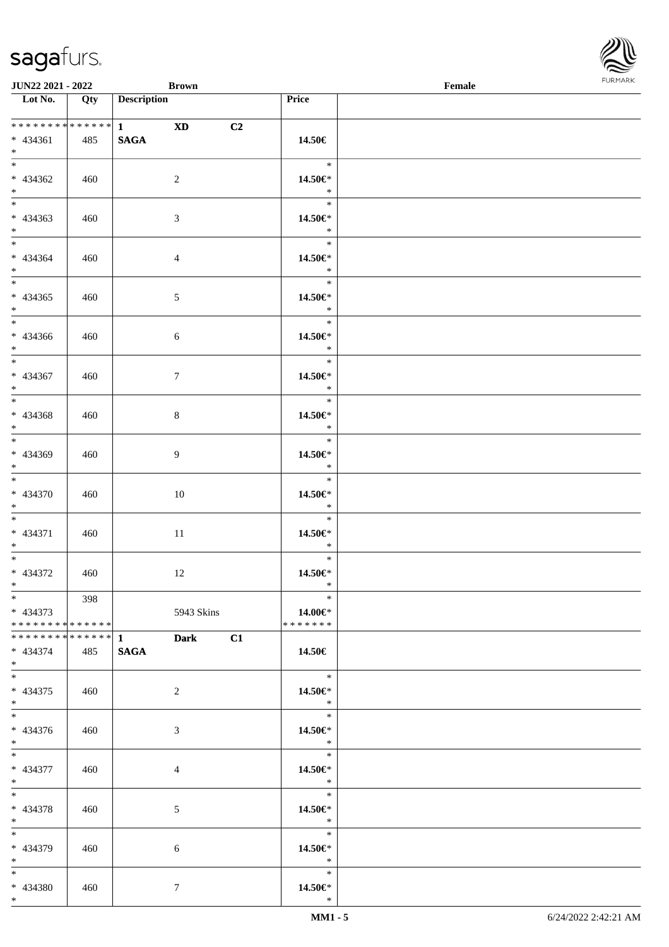

| <b>JUN22 2021 - 2022</b>        |     | <b>Brown</b>               |                          | Female |
|---------------------------------|-----|----------------------------|--------------------------|--------|
| Lot No.                         | Qty | <b>Description</b>         | <b>Price</b>             |        |
|                                 |     |                            |                          |        |
|                                 |     | *************** 1 XD<br>C2 |                          |        |
| $* 434361$                      | 485 | <b>SAGA</b>                | 14.50€                   |        |
| $*$ $\qquad$                    |     |                            |                          |        |
|                                 |     |                            | $\ast$                   |        |
|                                 |     |                            |                          |        |
| * 434362                        | 460 | 2                          | 14.50€*                  |        |
| $*$                             |     |                            | $\ast$                   |        |
| $\overline{\ast}$               |     |                            | $\ast$                   |        |
| $* 434363$                      | 460 | 3                          | 14.50€*                  |        |
| $*$                             |     |                            | $*$                      |        |
| $\ddot{x}$                      |     |                            | $\ast$                   |        |
| * 434364                        | 460 | $\overline{4}$             | 14.50€*                  |        |
| $*$                             |     |                            | $\ast$                   |        |
|                                 |     |                            | $\ast$                   |        |
|                                 |     |                            |                          |        |
| $* 434365$                      | 460 | $\mathfrak{S}$             | 14.50€*                  |        |
| $*$                             |     |                            | $\ast$                   |        |
|                                 |     |                            | $\ast$                   |        |
| $* 434366$                      | 460 | 6                          | 14.50€*                  |        |
| $*$                             |     |                            | $\ast$                   |        |
| $*$                             |     |                            | $\ast$                   |        |
| * 434367                        | 460 | $7\phantom{.0}$            | 14.50€*                  |        |
| $*$                             |     |                            | $*$                      |        |
|                                 |     |                            | $\ast$                   |        |
|                                 |     |                            |                          |        |
| * 434368                        | 460 | 8                          | 14.50€*                  |        |
| $*$                             |     |                            | $\ast$                   |        |
|                                 |     |                            | $\ast$                   |        |
| * 434369                        | 460 | 9                          | 14.50€*                  |        |
| $*$                             |     |                            | $*$                      |        |
|                                 |     |                            | $\ast$                   |        |
| * 434370                        | 460 | 10                         | 14.50€*                  |        |
| $*$ $-$                         |     |                            | $\ast$                   |        |
| $*$ $*$                         |     |                            | $\ast$                   |        |
|                                 |     |                            |                          |        |
| * 434371                        | 460 | 11                         | 14.50€*                  |        |
| $*$                             |     |                            | $\ast$                   |        |
| $*$ $-$                         |     |                            | $\ast$                   |        |
| * 434372                        | 460 | 12                         | 14.50€*                  |        |
| $*$ $*$                         |     |                            | $\ast$                   |        |
| $*$ $\qquad$                    | 398 |                            | $\ast$                   |        |
| * 434373                        |     | 5943 Skins                 | 14.00 $\in$ *            |        |
| * * * * * * * * * * * * * * *   |     |                            | *******                  |        |
| ******** <mark>*******</mark> 1 |     | <b>Dark</b><br>C1          |                          |        |
| * 434374                        | 485 | <b>SAGA</b>                | 14.50€                   |        |
| $*$ $-$                         |     |                            |                          |        |
|                                 |     |                            | $\ast$                   |        |
|                                 |     |                            |                          |        |
| * 434375                        | 460 | 2                          | 14.50€*                  |        |
| $*$                             |     |                            | $\ast$                   |        |
| $*$ $-$                         |     |                            | $\ast$                   |        |
| $* 434376$                      | 460 | 3                          | 14.50€*                  |        |
| $*$                             |     |                            | $\ast$                   |        |
| $*$ $-$                         |     |                            | $\overline{a}$<br>$\ast$ |        |
| * 434377                        | 460 | $\overline{4}$             | 14.50€*                  |        |
| $*$ $-$                         |     |                            | $\ast$                   |        |
| $*$ $-$                         |     |                            | $\overline{\phantom{a}}$ |        |
|                                 |     |                            |                          |        |
| * 434378                        | 460 | 5                          | 14.50€*                  |        |
| $*$ $-$                         |     |                            | $\ast$                   |        |
| $*$                             |     |                            | $\ast$                   |        |
| * 434379                        | 460 | 6                          | 14.50€*                  |        |
| $*$ and $*$                     |     |                            | $\ast$                   |        |
| $*$                             |     |                            | $\ast$                   |        |
| * 434380                        | 460 | $\tau$                     | 14.50€*                  |        |
| $*$                             |     |                            | $\ast$                   |        |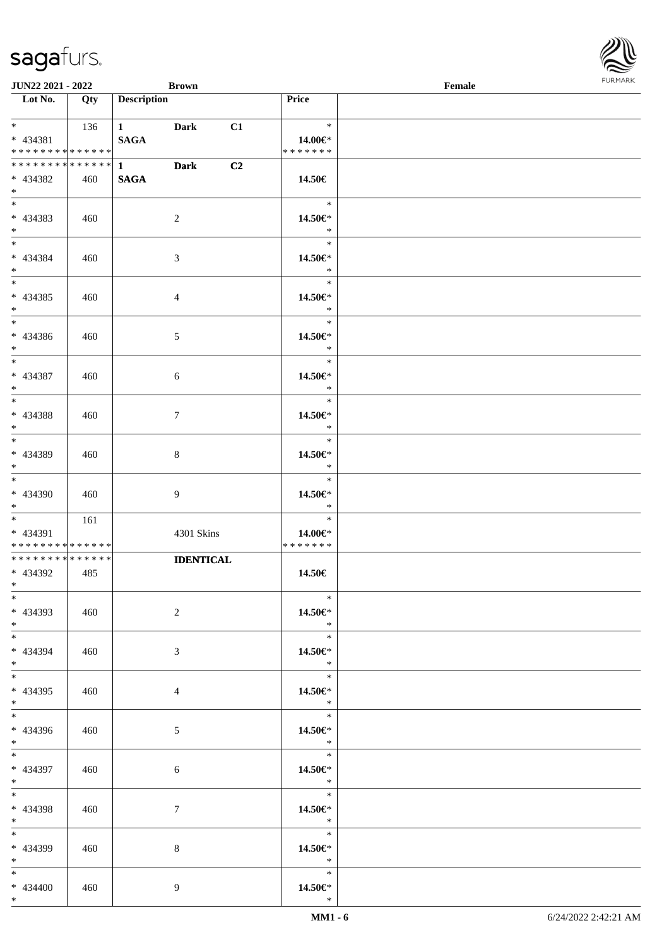\*

| <b>JUN22 2021 - 2022</b>                                                            |            |                                  | <b>Brown</b>                   |                |                                               | Female |  |
|-------------------------------------------------------------------------------------|------------|----------------------------------|--------------------------------|----------------|-----------------------------------------------|--------|--|
| Lot No.                                                                             | Qty        | <b>Description</b>               |                                |                | Price                                         |        |  |
| $\ddot{x}$<br>$* 434381$<br>* * * * * * * * <mark>* * * * * *</mark>                | 136        | 1 Dark<br><b>SAGA</b>            |                                | C1             | $\ast$<br>14.00€*<br>* * * * * * *            |        |  |
| * * * * * * * * * * * * * * *<br>* 434382<br>$*$                                    | 460        | $1 \qquad \qquad$<br><b>SAGA</b> | <b>Dark</b>                    | C <sub>2</sub> | 14.50€                                        |        |  |
| * 434383<br>$\ddot{x}$                                                              | 460        |                                  | 2                              |                | $\ast$<br>14.50€*<br>$\ast$                   |        |  |
| $\ddot{x}$<br>* 434384<br>$*$                                                       | 460        |                                  | 3                              |                | $\ast$<br>14.50€*<br>$\ast$                   |        |  |
| * 434385<br>$*$<br>$*$                                                              | 460        |                                  | $\overline{4}$                 |                | $\ast$<br>14.50€*<br>$\ast$                   |        |  |
| * 434386<br>$\ast$<br>$\overline{\mathbf{r}}$                                       | 460        |                                  | $5\overline{)}$                |                | $\ast$<br>14.50€*<br>$\ast$<br>$\ast$         |        |  |
| * 434387<br>$*$<br>$\overline{\mathbf{r}}$                                          | 460        |                                  | 6                              |                | 14.50€*<br>$\ast$<br>$\ast$                   |        |  |
| * 434388<br>$*$<br>$*$                                                              | 460        |                                  | $\tau$                         |                | 14.50€*<br>$\ast$<br>$\ast$                   |        |  |
| * 434389<br>$\ddot{x}$<br>$\overline{\ast}$                                         | 460        |                                  | 8                              |                | 14.50€*<br>$\ast$<br>$\ast$                   |        |  |
| * 434390<br>$*$<br>$\overline{\mathbf{r}}$                                          | 460<br>161 |                                  | 9                              |                | 14.50€*<br>$\ast$<br>$\ast$                   |        |  |
| * 434391<br>* * * * * * * * <mark>* * * * * *</mark><br>* * * * * * * * * * * * * * |            |                                  | 4301 Skins<br><b>IDENTICAL</b> |                | 14.00€*<br>* * * * * * *                      |        |  |
| * 434392<br>$*$ and $*$<br>$\ast$                                                   | 485        |                                  |                                |                | 14.50€<br>$\ast$                              |        |  |
| * 434393<br>$*$ $\qquad$<br>$*$ $-$                                                 | 460        |                                  | $\overline{2}$                 |                | 14.50€*<br>$\ast$<br>$\ast$                   |        |  |
| * 434394<br>$*$<br>$*$                                                              | 460        |                                  | $\mathfrak{Z}$                 |                | 14.50€*<br>$\ast$<br>$\ast$                   |        |  |
| * 434395<br>$*$<br>$*$ $-$                                                          | 460        |                                  | $\overline{4}$                 |                | 14.50€*<br>$\ast$<br>$\overline{\phantom{a}}$ |        |  |
| * 434396<br>$*$<br>$\overline{\mathbf{r}}$                                          | 460        |                                  | 5 <sub>5</sub>                 |                | 14.50€*<br>$\ddot{x}$<br>$\ast$               |        |  |
| * 434397<br>$*$ $-$<br>$\ddot{x}$                                                   | 460        |                                  | 6                              |                | 14.50€*<br>$\ast$<br>$\ast$                   |        |  |
| * 434398<br>$*$ $-$<br>$*$                                                          | 460        |                                  | $\tau$                         |                | 14.50€*<br>$\ast$<br>$\ast$                   |        |  |
| * 434399<br>$*$ and $*$<br>$*$ $-$                                                  | 460        |                                  | 8                              |                | 14.50€*<br>$\ast$<br>$\ast$                   |        |  |
| * 434400<br>$*$                                                                     | 460        |                                  | 9                              |                | 14.50€*<br>$\ast$                             |        |  |

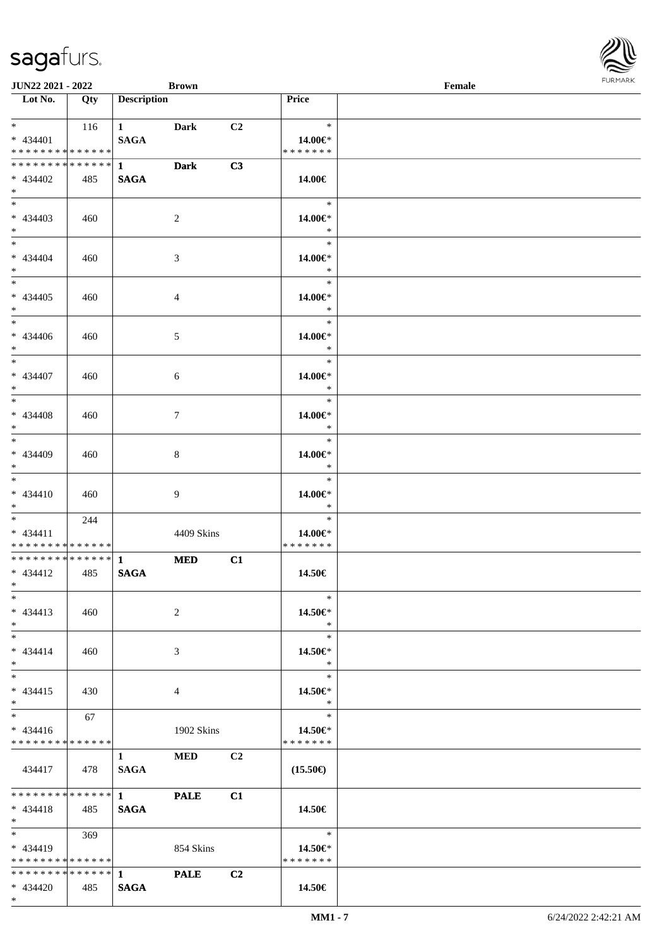\*

| <b>JUN22 2021 - 2022</b><br><b>Brown</b> |     |                        |                |                |                   | Female |  |  |  |
|------------------------------------------|-----|------------------------|----------------|----------------|-------------------|--------|--|--|--|
| Lot No.                                  | Qty | <b>Description</b>     |                |                | <b>Price</b>      |        |  |  |  |
|                                          |     |                        |                |                |                   |        |  |  |  |
| $*$ and $*$                              | 116 | $1 \qquad \qquad$      | <b>Dark</b>    | C <sub>2</sub> | $\ast$            |        |  |  |  |
| $* 434401$                               |     | <b>SAGA</b>            |                |                | 14.00€*           |        |  |  |  |
| * * * * * * * * * * * * * *              |     |                        |                |                | * * * * * * *     |        |  |  |  |
| * * * * * * * * * * * * * * *            |     | $1 \quad \blacksquare$ | <b>Dark</b>    | C3             |                   |        |  |  |  |
| * 434402                                 | 485 | <b>SAGA</b>            |                |                | 14.00€            |        |  |  |  |
| $*$                                      |     |                        |                |                |                   |        |  |  |  |
|                                          |     |                        |                |                | $\ast$            |        |  |  |  |
| $* 434403$                               | 460 |                        | $\sqrt{2}$     |                | 14.00€*           |        |  |  |  |
| $*$                                      |     |                        |                |                | $\ast$            |        |  |  |  |
| $*$                                      |     |                        |                |                | $\ast$            |        |  |  |  |
| $* 434404$                               | 460 |                        | $\mathfrak{Z}$ |                | 14.00€*           |        |  |  |  |
| $*$                                      |     |                        |                |                | $\ast$            |        |  |  |  |
| $*$                                      |     |                        |                |                | $\ast$            |        |  |  |  |
| $* 434405$                               | 460 |                        | $\overline{4}$ |                | 14.00€*           |        |  |  |  |
| $*$                                      |     |                        |                |                | $\ast$            |        |  |  |  |
| $*$                                      |     |                        |                |                | $\ast$            |        |  |  |  |
| * 434406                                 | 460 |                        | 5              |                | 14.00€*           |        |  |  |  |
| $*$                                      |     |                        |                |                | $\ast$            |        |  |  |  |
| $*$                                      |     |                        |                |                | $\ast$            |        |  |  |  |
| * 434407                                 | 460 |                        | 6              |                | 14.00€*           |        |  |  |  |
| $*$                                      |     |                        |                |                | $\ast$            |        |  |  |  |
| $*$                                      |     |                        |                |                | $\ast$            |        |  |  |  |
| * 434408                                 | 460 |                        | $\tau$         |                | 14.00€*           |        |  |  |  |
| $*$                                      |     |                        |                |                | $\ast$            |        |  |  |  |
|                                          |     |                        |                |                | $\ast$            |        |  |  |  |
| * 434409                                 | 460 |                        | 8              |                | 14.00€*           |        |  |  |  |
| $*$                                      |     |                        |                |                | $\ast$            |        |  |  |  |
| $*$                                      |     |                        |                |                | $\ast$            |        |  |  |  |
| $* 434410$                               | 460 |                        | 9              |                | 14.00€*           |        |  |  |  |
| $*$ $-$                                  |     |                        |                |                | $\ast$            |        |  |  |  |
| $*$ $*$                                  | 244 |                        |                |                | $\ast$            |        |  |  |  |
| $* 434411$                               |     |                        | 4409 Skins     |                | 14.00€*           |        |  |  |  |
| * * * * * * * * * * * * * *              |     |                        |                |                | * * * * * * *     |        |  |  |  |
| * * * * * * * * * * * * * * *            |     | $\mathbf{1}$           | <b>MED</b>     | C1             |                   |        |  |  |  |
| $* 434412$                               | 485 | <b>SAGA</b>            |                |                | 14.50€            |        |  |  |  |
| $*$ and $*$                              |     |                        |                |                |                   |        |  |  |  |
| $*$                                      |     |                        |                |                | $\ast$            |        |  |  |  |
| $* 434413$                               | 460 |                        | 2              |                | 14.50€*           |        |  |  |  |
| $*$                                      |     |                        |                |                | $\ast$            |        |  |  |  |
| $*$                                      |     |                        |                |                | $\ast$            |        |  |  |  |
| $* 434414$                               | 460 |                        | 3              |                | 14.50€*           |        |  |  |  |
| $*$                                      |     |                        |                |                | $\ast$            |        |  |  |  |
| $*$                                      |     |                        |                |                | $\ast$            |        |  |  |  |
| $* 434415$                               | 430 |                        | 4              |                | 14.50€*           |        |  |  |  |
| $*$                                      |     |                        |                |                | $*$               |        |  |  |  |
| $*$ $*$                                  | 67  |                        |                |                | $\ast$            |        |  |  |  |
| $* 434416$                               |     |                        | 1902 Skins     |                | 14.50€*           |        |  |  |  |
| * * * * * * * * * * * * * *              |     |                        |                |                | * * * * * * *     |        |  |  |  |
|                                          |     | $1 \quad$              | <b>MED</b>     | C <sub>2</sub> |                   |        |  |  |  |
| 434417                                   | 478 | <b>SAGA</b>            |                |                | $(15.50\epsilon)$ |        |  |  |  |
|                                          |     |                        |                |                |                   |        |  |  |  |
| * * * * * * * * * * * * * * *            |     | $\overline{1}$         | <b>PALE</b>    | C1             |                   |        |  |  |  |
| $* 434418$                               | 485 | <b>SAGA</b>            |                |                | 14.50€            |        |  |  |  |
| $*$ $*$                                  |     |                        |                |                |                   |        |  |  |  |
| $\ast$                                   | 369 |                        |                |                | $\ast$            |        |  |  |  |
| $* 434419$                               |     |                        | 854 Skins      |                | 14.50 $\in$ *     |        |  |  |  |
| * * * * * * * * * * * * * * *            |     |                        |                |                | * * * * * * *     |        |  |  |  |
|                                          |     |                        | <b>PALE</b>    | C <sub>2</sub> |                   |        |  |  |  |
| $* 434420$                               | 485 | <b>SAGA</b>            |                |                | 14.50€            |        |  |  |  |

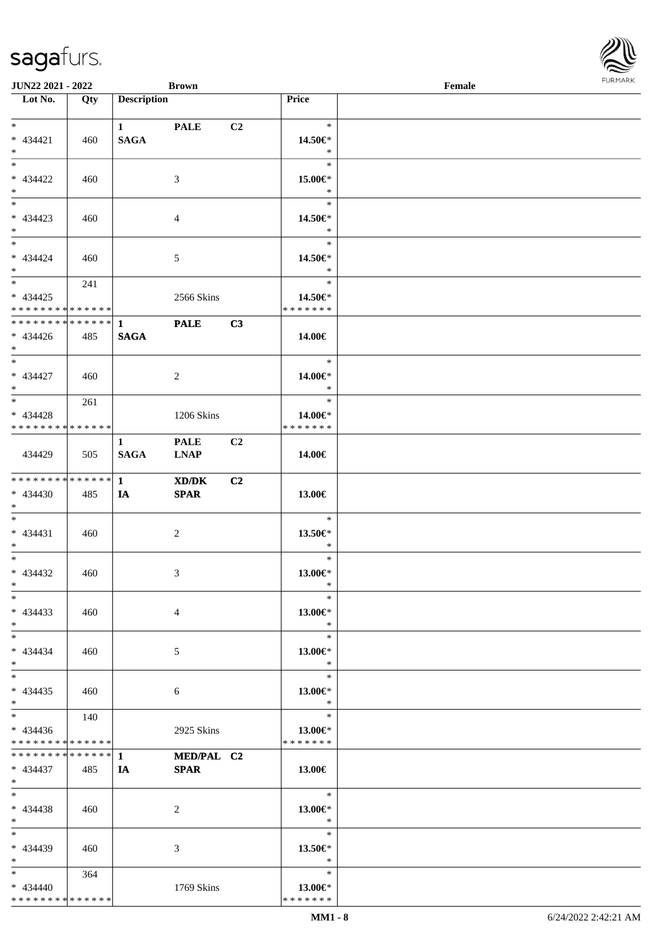| <b>JUN22 2021 - 2022</b>                                     |     |                    | <b>Brown</b>   |                |                         | Female |  |
|--------------------------------------------------------------|-----|--------------------|----------------|----------------|-------------------------|--------|--|
| Lot No.                                                      | Qty | <b>Description</b> |                |                | <b>Price</b>            |        |  |
|                                                              |     |                    |                |                |                         |        |  |
| $*$                                                          |     | $1 \qquad \qquad$  | <b>PALE</b>    | C2             | $\ast$                  |        |  |
| $* 434421$                                                   | 460 | <b>SAGA</b>        |                |                | 14.50€*                 |        |  |
| $*$                                                          |     |                    |                |                | $\ast$                  |        |  |
| $*$                                                          |     |                    |                |                | $\ast$                  |        |  |
| $* 434422$                                                   | 460 |                    | 3              |                | 15.00€*                 |        |  |
| $*$                                                          |     |                    |                |                | $\ast$                  |        |  |
|                                                              |     |                    |                |                | $\ast$                  |        |  |
| $* 434423$                                                   | 460 |                    | $\overline{4}$ |                | 14.50€*                 |        |  |
| $*$                                                          |     |                    |                |                | $\ast$                  |        |  |
| $*$                                                          |     |                    |                |                | $\ast$                  |        |  |
| $* 434424$                                                   | 460 |                    | $\mathfrak{S}$ |                | 14.50€*                 |        |  |
| $*$                                                          |     |                    |                |                | $\ast$                  |        |  |
| $*$                                                          | 241 |                    |                |                | $\ast$                  |        |  |
| $* 434425$                                                   |     |                    | 2566 Skins     |                | 14.50€*                 |        |  |
| * * * * * * * * * * * * * *<br>* * * * * * * * * * * * * * * |     |                    |                |                | * * * * * * *           |        |  |
|                                                              |     | $\mathbf 1$        | <b>PALE</b>    | C3             |                         |        |  |
| $* 434426$<br>$*$ $*$                                        | 485 | <b>SAGA</b>        |                |                | 14.00€                  |        |  |
| $*$                                                          |     |                    |                |                | $\ast$                  |        |  |
| $* 434427$                                                   |     |                    |                |                |                         |        |  |
| $*$                                                          | 460 |                    | 2              |                | 14.00€*<br>$\ast$       |        |  |
| $*$                                                          | 261 |                    |                |                | $\ast$                  |        |  |
| $* 434428$                                                   |     |                    | 1206 Skins     |                | 14.00€*                 |        |  |
| * * * * * * * * * * * * * *                                  |     |                    |                |                | * * * * * * *           |        |  |
|                                                              |     | $\mathbf{1}$       | <b>PALE</b>    | C <sub>2</sub> |                         |        |  |
| 434429                                                       | 505 | <b>SAGA</b>        | <b>LNAP</b>    |                | 14.00€                  |        |  |
|                                                              |     |                    |                |                |                         |        |  |
| * * * * * * * * * * * * * * *                                |     | $\mathbf{1}$       | XD/DK          | C <sub>2</sub> |                         |        |  |
| $* 434430$                                                   | 485 | IA                 | <b>SPAR</b>    |                | 13.00€                  |        |  |
| $*$ $*$                                                      |     |                    |                |                |                         |        |  |
| $*$                                                          |     |                    |                |                | $\ast$                  |        |  |
| $* 434431$                                                   | 460 |                    | $\overline{c}$ |                | 13.50€*                 |        |  |
| $*$ $*$                                                      |     |                    |                |                | $\ast$                  |        |  |
| $*$                                                          |     |                    |                |                | $\ast$                  |        |  |
| $* 434432$                                                   | 460 |                    | 3              |                | 13.00€*                 |        |  |
| $*$ $*$                                                      |     |                    |                |                | $\ast$                  |        |  |
| $*$                                                          |     |                    |                |                | $\ast$                  |        |  |
| $* 434433$                                                   | 460 |                    | 4              |                | 13.00€*                 |        |  |
| $*$                                                          |     |                    |                |                | $\ast$                  |        |  |
| $*$                                                          |     |                    |                |                | $\ast$                  |        |  |
| $* 434434$                                                   | 460 |                    | 5              |                | 13.00€*                 |        |  |
| $*$                                                          |     |                    |                |                | $\ast$                  |        |  |
| $*$                                                          |     |                    |                |                | $\ast$                  |        |  |
| $* 434435$                                                   | 460 |                    | 6              |                | 13.00€*                 |        |  |
| $*$                                                          |     |                    |                |                | $\ast$                  |        |  |
| $*$ $*$                                                      | 140 |                    |                |                | $\ast$                  |        |  |
| $* 434436$                                                   |     |                    | 2925 Skins     |                | 13.00€*                 |        |  |
| * * * * * * * * * * * * * *                                  |     |                    |                |                | * * * * * * *           |        |  |
|                                                              |     |                    | MED/PAL C2     |                |                         |        |  |
| $* 434437$                                                   | 485 | IA                 | <b>SPAR</b>    |                | 13.00€                  |        |  |
| $*$ $-$<br>$*$                                               |     |                    |                |                | $\ast$                  |        |  |
|                                                              |     |                    |                |                |                         |        |  |
| $* 434438$<br>$*$                                            | 460 |                    | 2              |                | 13.00€*<br>$\ast$       |        |  |
| $*$                                                          |     |                    |                |                | $\ast$                  |        |  |
| * 434439                                                     | 460 |                    |                |                |                         |        |  |
| $*$                                                          |     |                    | 3              |                | 13.50 $\in$ *<br>$\ast$ |        |  |
| $*$ $*$                                                      | 364 |                    |                |                | $\ast$                  |        |  |
| $* 434440$                                                   |     |                    | 1769 Skins     |                | 13.00€*                 |        |  |
| * * * * * * * * * * * * * *                                  |     |                    |                |                | * * * * * * *           |        |  |
|                                                              |     |                    |                |                |                         |        |  |

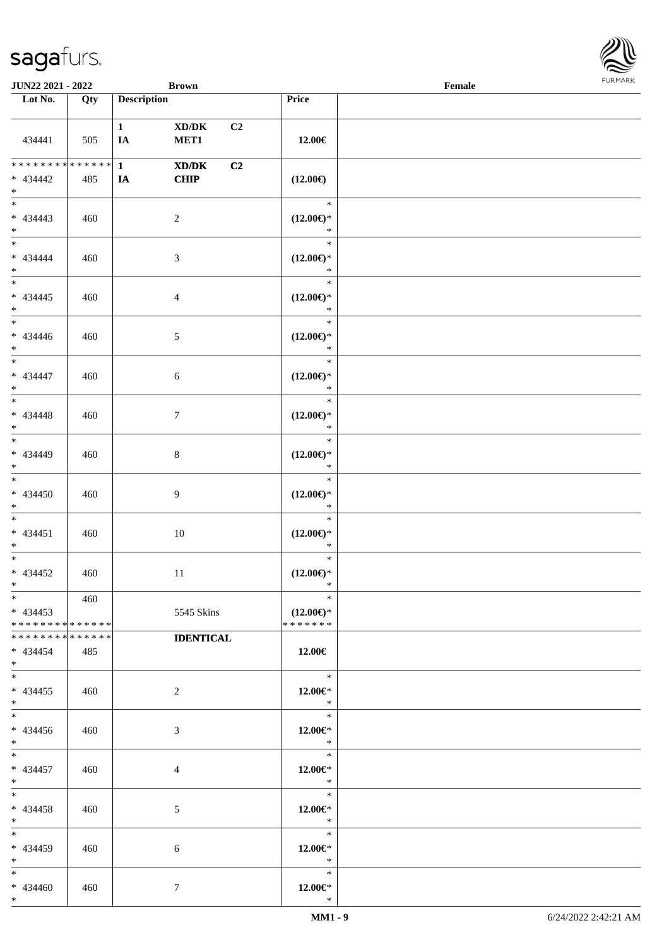| JUN22 2021 - 2022                                                            |                        |                    | <b>Brown</b>                                                                                                 |                |                                                | $\ensuremath{\textnormal{\textbf{Female}}}$ | FURMARK |
|------------------------------------------------------------------------------|------------------------|--------------------|--------------------------------------------------------------------------------------------------------------|----------------|------------------------------------------------|---------------------------------------------|---------|
| $\overline{\phantom{1}}$ Lot No.                                             | Qty                    | <b>Description</b> |                                                                                                              |                | Price                                          |                                             |         |
| 434441                                                                       | 505                    | $\mathbf{1}$<br>IA | $\bold{X}\bold{D}/\bold{D}\bold{K}$<br>MET1                                                                  | C <sub>2</sub> | 12.00€                                         |                                             |         |
| * * * * * * * *<br>$* 434442$<br>$*$                                         | $* * * * * * *$<br>485 | $\mathbf{1}$<br>IA | $\boldsymbol{\text{X}}\boldsymbol{\text{D}}\boldsymbol{/}\boldsymbol{\text{D}}\boldsymbol{\text{K}}$<br>CHIP | C <sub>2</sub> | $(12.00\epsilon)$                              |                                             |         |
| $\frac{1}{1}$<br>$* 434443$<br>$*$                                           | 460                    |                    | $\overline{c}$                                                                                               |                | $\ast$<br>$(12.00\epsilon)$ *<br>$\ast$        |                                             |         |
| $*$<br>$* 434444$<br>$*$<br>$\frac{1}{*}$                                    | 460                    |                    | $\mathfrak{Z}$                                                                                               |                | $\ast$<br>$(12.00\epsilon)$ *<br>$\ast$        |                                             |         |
| $* 434445$<br>$*$<br>$\overline{\phantom{0}}$                                | 460                    |                    | $\overline{4}$                                                                                               |                | $\ast$<br>$(12.00\epsilon)$ *<br>$\ast$        |                                             |         |
| $* 434446$<br>$\ast$<br>$\overline{\phantom{0}}$                             | 460                    |                    | 5                                                                                                            |                | $\ast$<br>$(12.00\epsilon)$ *<br>$\ast$        |                                             |         |
| * 434447<br>$*$<br>$\frac{1}{1}$                                             | 460                    |                    | $\sqrt{6}$                                                                                                   |                | $\ast$<br>$(12.00\epsilon)$ *<br>$\ast$        |                                             |         |
| $* 434448$<br>$\ast$<br>$\overline{\phantom{0}}$                             | 460                    |                    | $\tau$                                                                                                       |                | $\ast$<br>$(12.00\epsilon)$ *<br>$\ast$        |                                             |         |
| $* 434449$<br>$\ast$<br>$\overline{\ast}$                                    | 460                    |                    | $\,8\,$                                                                                                      |                | $\ast$<br>$(12.00\epsilon)$ *<br>$\ast$        |                                             |         |
| $* 434450$<br>$*$                                                            | 460                    |                    | 9                                                                                                            |                | $\ast$<br>$(12.00\epsilon)$ *<br>$\ast$        |                                             |         |
| $* 434451$<br>$*$<br>$\overline{\phantom{0}}$                                | 460                    |                    | $10\,$                                                                                                       |                | $\ast$<br>$(12.00\epsilon)$ *<br>$\ast$        |                                             |         |
| $* 434452$<br>$\ast$                                                         | 460                    |                    | $11\,$                                                                                                       |                | $\ast$<br>$(12.00\epsilon)$ *<br>∗             |                                             |         |
| $*$<br>$* 434453$<br>* * * * * * * * * * * * * *                             | 460                    |                    | 5545 Skins                                                                                                   |                | $\ast$<br>$(12.00\epsilon)$ *<br>* * * * * * * |                                             |         |
| * * * * * * * * * * * * * *<br>$* 434454$<br>$*$<br>$\overline{\phantom{0}}$ | 485                    |                    | <b>IDENTICAL</b>                                                                                             |                | 12.00€                                         |                                             |         |
| $* 434455$<br>$*$                                                            | 460                    |                    | $\overline{2}$                                                                                               |                | $\ast$<br>$12.00 \in$ *<br>$\ast$              |                                             |         |
| $*$<br>$* 434456$<br>$*$<br>$\overline{\phantom{0}}$                         | 460                    |                    | 3                                                                                                            |                | $\ast$<br>$12.00 \in$ *<br>$\ast$              |                                             |         |
| $* 434457$<br>$*$                                                            | 460                    |                    | $\overline{4}$                                                                                               |                | $\ast$<br>$12.00 \in$ *<br>$\ast$              |                                             |         |
| $*$<br>$* 434458$<br>$*$                                                     | 460                    |                    | 5                                                                                                            |                | $\ast$<br>$12.00 \in$ *<br>$\ast$              |                                             |         |
| $\overline{\phantom{a}^*}$<br>$* 434459$<br>$\ast$                           | 460                    |                    | 6                                                                                                            |                | $\ast$<br>$12.00 \in$ *<br>$\ast$              |                                             |         |
| $\ast$<br>$* 434460$<br>$*$                                                  | 460                    |                    | 7                                                                                                            |                | $\ast$<br>$12.00 \in$ *<br>$\ast$              |                                             |         |

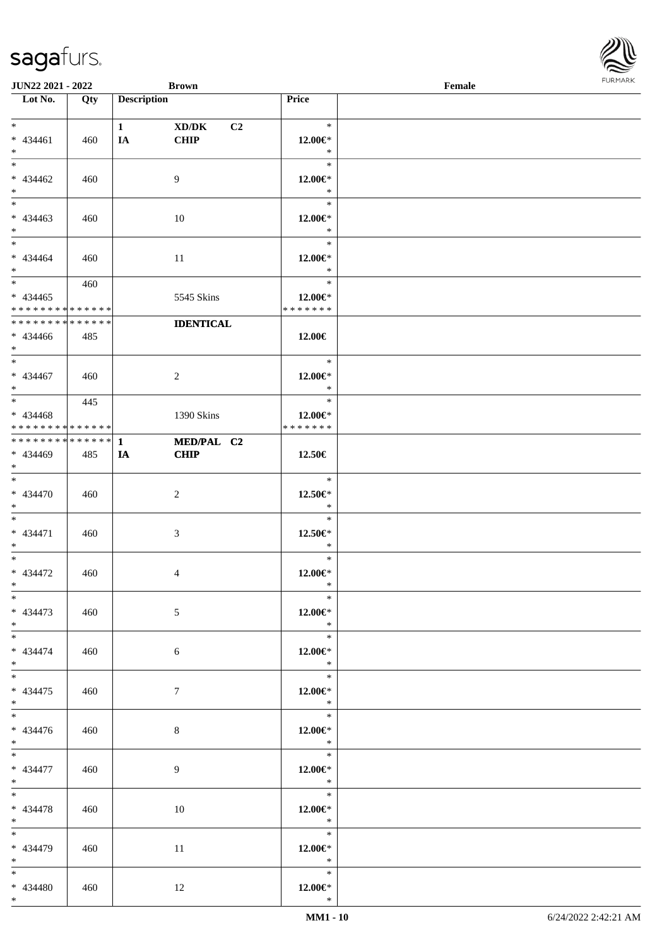| <b>JUN22 2021 - 2022</b>                   |             |                    | <b>Brown</b>     |                              | Female |  |
|--------------------------------------------|-------------|--------------------|------------------|------------------------------|--------|--|
| Lot No.                                    | Qty         | <b>Description</b> |                  | Price                        |        |  |
|                                            |             |                    |                  |                              |        |  |
| $*$                                        |             | $1 \quad$          | XD/DK<br>C2      | $\ast$                       |        |  |
| $* 434461$                                 | 460         | IA                 | <b>CHIP</b>      | $12.00 \in$ *                |        |  |
| $*$                                        |             |                    |                  | $\ast$                       |        |  |
| $\overline{\ast}$                          |             |                    |                  | $\ast$                       |        |  |
| * 434462                                   | 460         |                    | 9                | $12.00 \in$ *                |        |  |
| $*$                                        |             |                    |                  | $\ast$                       |        |  |
|                                            |             |                    |                  | $\ast$                       |        |  |
|                                            |             |                    |                  |                              |        |  |
| $* 434463$                                 | 460         |                    | 10               | $12.00 \in$ *                |        |  |
| $*$                                        |             |                    |                  | $\ast$                       |        |  |
| $*$                                        |             |                    |                  | $\ast$                       |        |  |
| * 434464                                   | 460         |                    | 11               | 12.00€*                      |        |  |
| $*$                                        |             |                    |                  | $\ast$                       |        |  |
| $\overline{\mathbf{r}}$                    | 460         |                    |                  | $\ast$                       |        |  |
| $* 434465$                                 |             |                    | 5545 Skins       | 12.00€*                      |        |  |
| * * * * * * * * <mark>* * * * * * *</mark> |             |                    |                  | * * * * * * *                |        |  |
| * * * * * * * *                            | * * * * * * |                    | <b>IDENTICAL</b> |                              |        |  |
| * 434466                                   | 485         |                    |                  | 12.00€                       |        |  |
| $\ast$                                     |             |                    |                  |                              |        |  |
| $*$                                        |             |                    |                  | $\ast$                       |        |  |
|                                            |             |                    |                  |                              |        |  |
| * 434467                                   | 460         |                    | $\overline{2}$   | 12.00 $\in$ *                |        |  |
| $*$<br>$\overline{\ast}$                   |             |                    |                  | $\ast$                       |        |  |
|                                            | 445         |                    |                  | $\ast$                       |        |  |
| * 434468                                   |             |                    | 1390 Skins       | 12.00€*                      |        |  |
| * * * * * * * * <mark>* * * * * *</mark>   |             |                    |                  | * * * * * * *                |        |  |
| * * * * * * * * * * * * * * <mark>*</mark> |             | 1                  | MED/PAL C2       |                              |        |  |
| * 434469                                   | 485         | IA                 | <b>CHIP</b>      | 12.50€                       |        |  |
| $\ddot{x}$                                 |             |                    |                  |                              |        |  |
| $\ast$                                     |             |                    |                  | $\ast$                       |        |  |
| * 434470                                   | 460         |                    | 2                | 12.50€*                      |        |  |
| $*$                                        |             |                    |                  | $\ast$                       |        |  |
| $\ddot{x}$                                 |             |                    |                  | $\ast$                       |        |  |
|                                            |             |                    |                  |                              |        |  |
| * 434471                                   | 460         |                    | 3                | 12.50€*                      |        |  |
| $\ast$                                     |             |                    |                  | $\ast$                       |        |  |
| $\ddot{x}$                                 |             |                    |                  | $\ast$                       |        |  |
| * 434472                                   | 460         |                    | 4                | $12.00 \in$ *                |        |  |
| $*$ $-$                                    |             |                    |                  | $\ast$                       |        |  |
| $\ast$                                     |             |                    |                  | $\ast$                       |        |  |
| * 434473                                   | 460         |                    | 5                | $12.00 \in$ *                |        |  |
| $*$ $\qquad$                               |             |                    |                  | $\ast$                       |        |  |
| $\overline{\ast}$                          |             |                    |                  | $\overline{\mathbf{r}}$      |        |  |
| * 434474                                   | 460         |                    | 6                | $12.00 \in$ *                |        |  |
| $*$ $-$                                    |             |                    |                  | $\ast$                       |        |  |
| $*$                                        |             |                    |                  | $\ast$                       |        |  |
|                                            |             |                    |                  |                              |        |  |
| * 434475                                   | 460         |                    | $7\phantom{.0}$  | $12.00 \in$ *                |        |  |
| $*$ $-$                                    |             |                    |                  | $\mathbb{R}$                 |        |  |
| $\overline{\mathbf{r}^*}$                  |             |                    |                  |                              |        |  |
| * 434476                                   | 460         |                    | 8                | $12.00 \in$ *                |        |  |
| $*$                                        |             |                    |                  | $\ddot{x}$                   |        |  |
| $*$                                        |             |                    |                  | $\overline{\qquad \qquad *}$ |        |  |
| * 434477                                   | 460         |                    | 9                | $12.00 \in$ *                |        |  |
| $*$                                        |             |                    |                  | $\ast$                       |        |  |
| $\ddot{x}$                                 |             |                    |                  |                              |        |  |
| * 434478                                   | 460         |                    | 10               | $12.00 \in$ *                |        |  |
|                                            |             |                    |                  | $\ast$                       |        |  |
| $*$ $-$                                    |             |                    |                  | $\overline{\phantom{a}}$     |        |  |
|                                            |             |                    |                  |                              |        |  |
| * 434479                                   | 460         |                    | 11               | 12.00€*                      |        |  |
| $*$ $-$                                    |             |                    |                  | $\ast$                       |        |  |
| $*$                                        |             |                    |                  | $\ast$                       |        |  |
| * 434480                                   | 460         |                    | 12               | $12.00 \in$ *                |        |  |
| $*$ $-$                                    |             |                    |                  | $\ast$                       |        |  |
|                                            |             |                    |                  |                              |        |  |

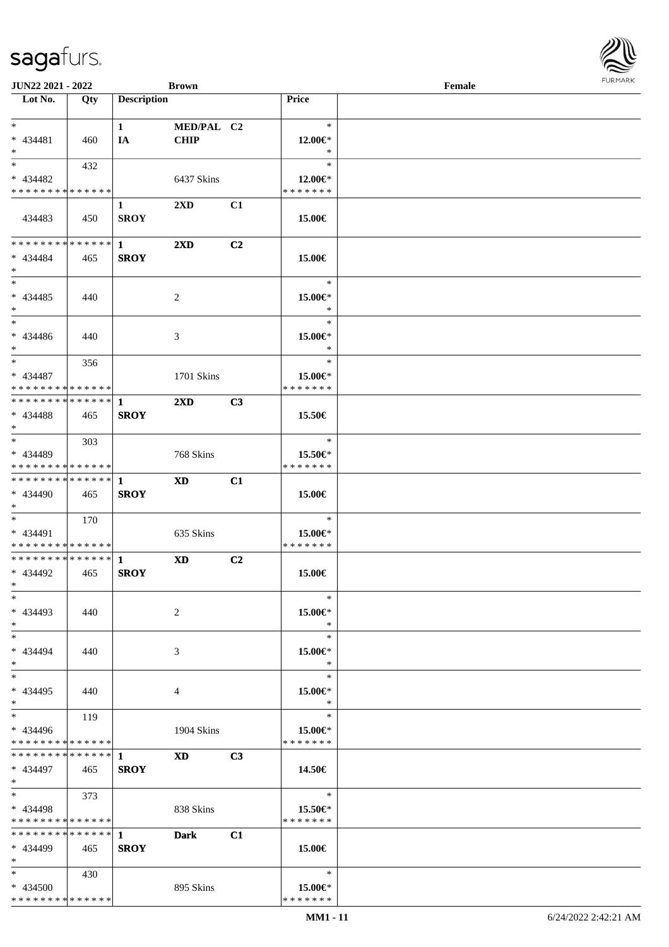| <b>JUN22 2021 - 2022</b>                                                             |             |                    | <b>Brown</b>            |    |                          | Female | $1 \times 1$ |
|--------------------------------------------------------------------------------------|-------------|--------------------|-------------------------|----|--------------------------|--------|--------------|
| Lot No.                                                                              | Qty         | <b>Description</b> |                         |    | <b>Price</b>             |        |              |
|                                                                                      |             |                    |                         |    |                          |        |              |
| $*$ $-$                                                                              |             | $1 \qquad \qquad$  | MED/PAL C2              |    | $\ast$                   |        |              |
| $* 434481$                                                                           | 460         | IA                 | <b>CHIP</b>             |    | 12.00€*                  |        |              |
| $*$                                                                                  |             |                    |                         |    | $\ast$                   |        |              |
|                                                                                      | 432         |                    |                         |    | $\ast$                   |        |              |
| * 434482                                                                             |             |                    | 6437 Skins              |    | 12.00 $\in$ *            |        |              |
| * * * * * * * * * * * * * * *                                                        |             |                    |                         |    | * * * * * * *            |        |              |
|                                                                                      |             | $\mathbf{1}$       | 2XD                     | C1 |                          |        |              |
| 434483                                                                               | 450         | <b>SROY</b>        |                         |    | 15.00€                   |        |              |
|                                                                                      |             |                    |                         |    |                          |        |              |
| * * * * * * * * * * * * * * <mark>*</mark>                                           |             | $\mathbf{1}$       | $2\mathbf{X}\mathbf{D}$ | C2 |                          |        |              |
| * 434484                                                                             | 465         | <b>SROY</b>        |                         |    | 15.00€                   |        |              |
| $\ast$<br>$*$                                                                        |             |                    |                         |    |                          |        |              |
|                                                                                      |             |                    |                         |    | $\ast$                   |        |              |
| * 434485                                                                             | 440         |                    | 2                       |    | 15.00€*                  |        |              |
| $*$                                                                                  |             |                    |                         |    | $\ast$                   |        |              |
| $\ddot{x}$                                                                           |             |                    |                         |    | $\ast$                   |        |              |
| * 434486                                                                             | 440         |                    | 3                       |    | 15.00€*                  |        |              |
| $\ddot{x}$                                                                           |             |                    |                         |    | $\ast$                   |        |              |
| $\ast$                                                                               | 356         |                    |                         |    | $\ast$                   |        |              |
| * 434487                                                                             |             |                    | 1701 Skins              |    | 15.00€*                  |        |              |
| * * * * * * * * <mark>* * * * * *</mark><br>* * * * * * * * <mark>* * * * * *</mark> |             |                    |                         |    | * * * * * * *            |        |              |
|                                                                                      |             | $\mathbf{1}$       | 2XD                     | C3 |                          |        |              |
| * 434488                                                                             | 465         | <b>SROY</b>        |                         |    | 15.50€                   |        |              |
| $*$                                                                                  |             |                    |                         |    |                          |        |              |
| $\ddot{x}$                                                                           | 303         |                    |                         |    | $\ast$                   |        |              |
| * 434489<br>* * * * * * * * * * * * * * *                                            |             |                    | 768 Skins               |    | 15.50€*<br>* * * * * * * |        |              |
| * * * * * * * * * * * * * * <mark>*</mark>                                           |             |                    |                         |    |                          |        |              |
|                                                                                      |             | 1                  | <b>XD</b>               | C1 |                          |        |              |
| * 434490<br>$\ast$                                                                   | 465         | <b>SROY</b>        |                         |    | 15.00€                   |        |              |
| $\ddot{x}$                                                                           | 170         |                    |                         |    | $\ast$                   |        |              |
| * 434491                                                                             |             |                    | 635 Skins               |    | 15.00€*                  |        |              |
| * * * * * * * * <mark>* * * * * *</mark>                                             |             |                    |                         |    | * * * * * * *            |        |              |
| * * * * * * * * * * * * * * <mark>*</mark>                                           |             | $\mathbf{1}$       | <b>XD</b>               | C2 |                          |        |              |
| * 434492                                                                             | 465         | <b>SROY</b>        |                         |    | 15.00€                   |        |              |
| $\ddot{x}$                                                                           |             |                    |                         |    |                          |        |              |
| $\ast$                                                                               |             |                    |                         |    | $\ast$                   |        |              |
| * 434493                                                                             | 440         |                    | 2                       |    | 15.00€*                  |        |              |
| $\ast$                                                                               |             |                    |                         |    | $\ast$                   |        |              |
| $\ast$                                                                               |             |                    |                         |    | $\ast$                   |        |              |
| * 434494                                                                             | 440         |                    | 3                       |    | 15.00€*                  |        |              |
| $\ast$                                                                               |             |                    |                         |    | $\ast$                   |        |              |
| $*$ $-$                                                                              |             |                    |                         |    | $\ast$                   |        |              |
| * 434495                                                                             | 440         |                    | 4                       |    | 15.00€*                  |        |              |
| $\ddot{x}$                                                                           |             |                    |                         |    | $\ast$                   |        |              |
| $*$ $-$                                                                              | 119         |                    |                         |    | $\ast$                   |        |              |
| * 434496                                                                             |             |                    | 1904 Skins              |    | 15.00€*                  |        |              |
| * * * * * * * * <mark>* * * * * *</mark>                                             |             |                    |                         |    | * * * * * * *            |        |              |
| * * * * * * * *                                                                      | * * * * * * | $\mathbf{1}$       | <b>XD</b>               | C3 |                          |        |              |
| * 434497                                                                             | 465         | <b>SROY</b>        |                         |    | 14.50€                   |        |              |
| $*$                                                                                  |             |                    |                         |    |                          |        |              |
| $*$ $*$                                                                              | 373         |                    |                         |    | $\ast$                   |        |              |
| * 434498                                                                             |             |                    | 838 Skins               |    | 15.50€*                  |        |              |
| * * * * * * * * * * * * * * *                                                        |             |                    |                         |    | * * * * * * *            |        |              |
| * * * * * * * * * * * * * * *                                                        |             | $\mathbf 1$        | Dark                    | C1 |                          |        |              |
| * 434499                                                                             | 465         | <b>SROY</b>        |                         |    | 15.00€                   |        |              |
| $\ast$                                                                               |             |                    |                         |    |                          |        |              |
| $*$ and $*$                                                                          | 430         |                    |                         |    | $\ast$                   |        |              |
| * 434500                                                                             |             |                    | 895 Skins               |    | 15.00€*                  |        |              |
| * * * * * * * * * * * * * *                                                          |             |                    |                         |    | * * * * * * *            |        |              |

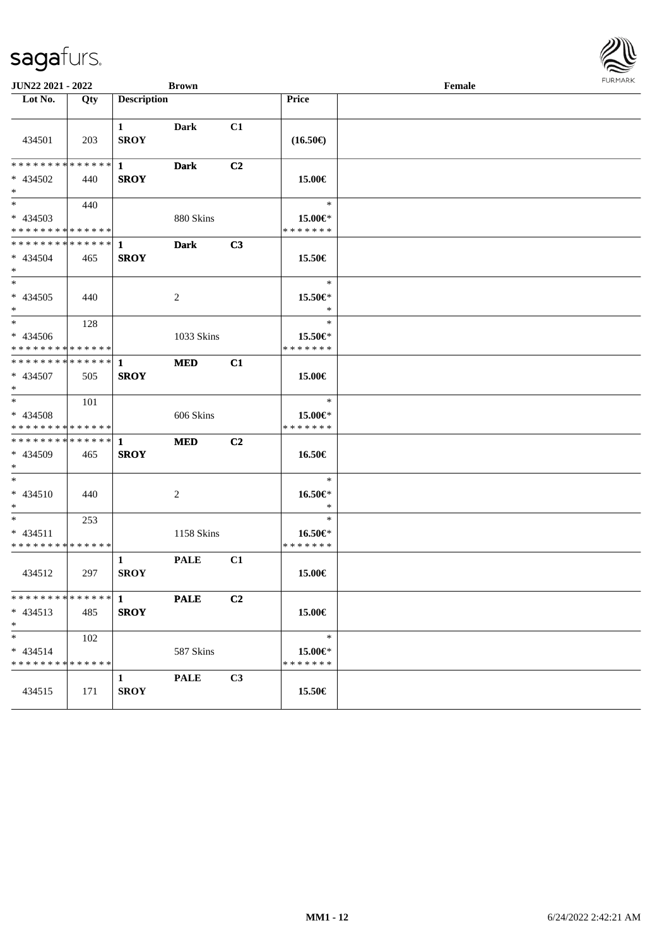| <b>JUN22 2021 - 2022</b><br><b>Brown</b>                                          |     |                             |             |                | Female                                   |  |  |  |
|-----------------------------------------------------------------------------------|-----|-----------------------------|-------------|----------------|------------------------------------------|--|--|--|
| Lot No.                                                                           | Qty | <b>Description</b>          |             |                | <b>Price</b>                             |  |  |  |
| 434501                                                                            | 203 | $\mathbf{1}$<br><b>SROY</b> | Dark        | C1             | $(16.50\epsilon)$                        |  |  |  |
| * * * * * * * * * * * * * * <mark>*</mark><br>* 434502<br>$\ast$                  | 440 | $\mathbf{1}$<br><b>SROY</b> | <b>Dark</b> | C <sub>2</sub> | 15.00€                                   |  |  |  |
| $\overline{\mathbf{r}}$<br>* 434503<br>* * * * * * * * <mark>* * * * * * *</mark> | 440 |                             | 880 Skins   |                | $\ast$<br>15.00€*<br>* * * * * * *       |  |  |  |
| * * * * * * * * <mark>* * * * * * *</mark><br>* 434504<br>$*$                     | 465 | $\mathbf{1}$<br><b>SROY</b> | <b>Dark</b> | C3             | 15.50€                                   |  |  |  |
| $\ast$<br>* 434505<br>$\ast$                                                      | 440 |                             | 2           |                | $\ast$<br>15.50€*<br>$\ast$              |  |  |  |
| $\ast$<br>* 434506<br>* * * * * * * * <mark>* * * * * *</mark>                    | 128 |                             | 1033 Skins  |                | $\ast$<br>$15.50 \in$ *<br>* * * * * * * |  |  |  |
| * * * * * * * * <mark>* * * * * * *</mark><br>* 434507<br>$*$                     | 505 | $\mathbf{1}$<br><b>SROY</b> | <b>MED</b>  | C1             | 15.00€                                   |  |  |  |
| $*$ $-$<br>* 434508<br>* * * * * * * * <mark>* * * * * *</mark>                   | 101 |                             | 606 Skins   |                | $\ast$<br>15.00€*<br>* * * * * * *       |  |  |  |
| * * * * * * * * <mark>* * * * * * *</mark><br>* 434509<br>$\ast$                  | 465 | 1<br><b>SROY</b>            | <b>MED</b>  | C <sub>2</sub> | 16.50€                                   |  |  |  |
| $\ast$<br>$* 434510$<br>$*$                                                       | 440 |                             | 2           |                | $\ast$<br>16.50€*<br>$\ast$              |  |  |  |
| $*$ $*$<br>$* 434511$<br>* * * * * * * * * * * * * *                              | 253 |                             | 1158 Skins  |                | $\ast$<br>16.50€*<br>* * * * * * *       |  |  |  |
| 434512                                                                            | 297 | $\mathbf{1}$<br><b>SROY</b> | <b>PALE</b> | C1             | 15.00€                                   |  |  |  |
| $* 434513$<br>$*$                                                                 | 485 | <b>SROY</b>                 | <b>PALE</b> | C2             | 15.00€                                   |  |  |  |
| $\ast$<br>$* 434514$<br>* * * * * * * * * * * * * * *                             | 102 |                             | 587 Skins   |                | $\ast$<br>15.00€*<br>* * * * * * *       |  |  |  |
| 434515                                                                            | 171 | $\mathbf{1}$<br><b>SROY</b> | <b>PALE</b> | C3             | 15.50€                                   |  |  |  |

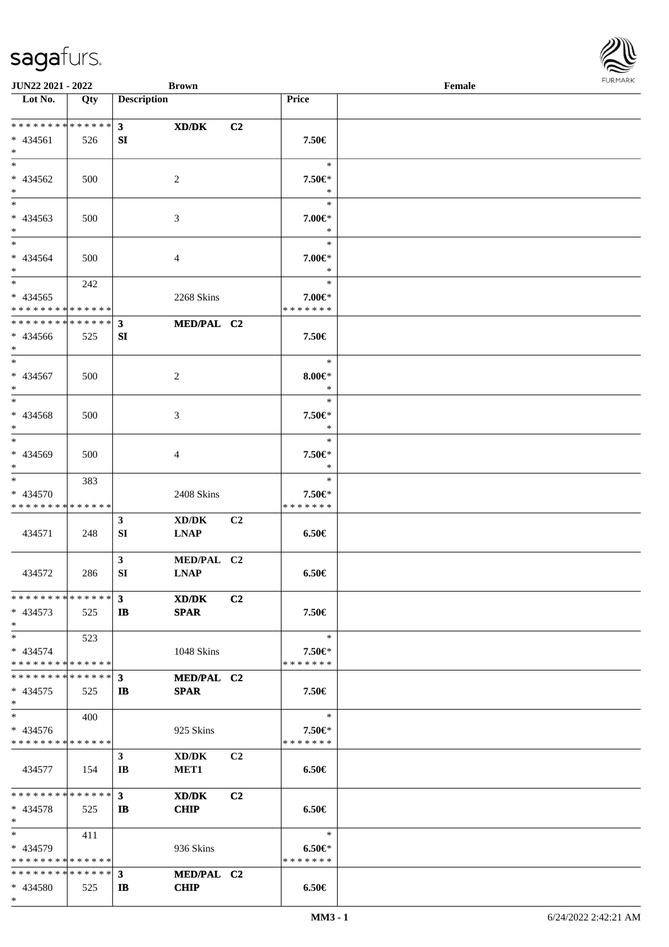\*

| <b>JUN22 2021 - 2022</b>                   |       |                    | <b>Brown</b>     |                |                   | Female | <b>FURPIARA</b> |
|--------------------------------------------|-------|--------------------|------------------|----------------|-------------------|--------|-----------------|
| Lot No.                                    | Qty   | <b>Description</b> |                  |                | Price             |        |                 |
|                                            |       |                    |                  |                |                   |        |                 |
| * * * * * * * * * * * * * * *              |       | $3^{\circ}$        | XD/DK            | C <sub>2</sub> |                   |        |                 |
| * 434561                                   | 526   | SI                 |                  |                | 7.50€             |        |                 |
| $\ast$                                     |       |                    |                  |                |                   |        |                 |
| $*$                                        |       |                    |                  |                | $\ast$            |        |                 |
| * 434562                                   | 500   |                    | 2                |                | 7.50€*            |        |                 |
| $*$                                        |       |                    |                  |                | $\ast$            |        |                 |
| $*$                                        |       |                    |                  |                | $\ast$            |        |                 |
| * 434563                                   | 500   |                    | 3                |                | 7.00€*            |        |                 |
| $*$                                        |       |                    |                  |                | $\ast$            |        |                 |
| $*$                                        |       |                    |                  |                | $\ast$            |        |                 |
| * 434564                                   | 500   |                    | 4                |                | 7.00€*            |        |                 |
| $*$                                        |       |                    |                  |                | $\ast$            |        |                 |
|                                            | 242   |                    |                  |                | $\ast$            |        |                 |
| * 434565                                   |       |                    | 2268 Skins       |                | 7.00€*            |        |                 |
| * * * * * * * * * * * * * *                |       |                    |                  |                | * * * * * * *     |        |                 |
| * * * * * * * * <mark>* * * * * * *</mark> |       | $\mathbf{3}$       | MED/PAL C2       |                |                   |        |                 |
| * 434566                                   | 525   | SI                 |                  |                | 7.50€             |        |                 |
| $*$                                        |       |                    |                  |                |                   |        |                 |
| $*$                                        |       |                    |                  |                | $\ast$            |        |                 |
| * 434567                                   | 500   |                    | 2                |                | $8.00 \in$ *      |        |                 |
| $*$                                        |       |                    |                  |                | $\ast$            |        |                 |
| $*$                                        |       |                    |                  |                | $\ast$            |        |                 |
| * 434568                                   | 500   |                    | 3                |                | 7.50€*            |        |                 |
| $*$                                        |       |                    |                  |                | $\ast$            |        |                 |
| $*$                                        |       |                    |                  |                | $\ast$            |        |                 |
| * 434569                                   | 500   |                    | 4                |                | 7.50 <sup>°</sup> |        |                 |
| $\ast$                                     |       |                    |                  |                | $\ast$            |        |                 |
| $*$                                        | 383   |                    |                  |                | $\ast$            |        |                 |
| * 434570                                   |       |                    | 2408 Skins       |                | 7.50 <sup>°</sup> |        |                 |
| * * * * * * * * * * * * * *                |       |                    |                  |                | * * * * * * *     |        |                 |
|                                            |       | $\mathbf{3}$       | XD/DK            | C <sub>2</sub> |                   |        |                 |
| 434571                                     | 248   | SI                 | <b>LNAP</b>      |                | $6.50 \in$        |        |                 |
|                                            |       |                    |                  |                |                   |        |                 |
|                                            |       | $\mathbf{3}$       | MED/PAL C2       |                |                   |        |                 |
| 434572                                     | 286   | SI                 | <b>LNAP</b>      |                | $6.50 \in$        |        |                 |
|                                            |       |                    |                  |                |                   |        |                 |
| * * * * * * * * * * * * * * *              |       | $\mathbf{3}$       | XD/DK            | C2             |                   |        |                 |
| $* 434573$                                 | 525   | $\mathbf{I}$       | <b>SPAR</b>      |                | 7.50€             |        |                 |
| $\ast$                                     |       |                    |                  |                |                   |        |                 |
| $*$                                        | 523   |                    |                  |                | $\ast$            |        |                 |
| * 434574                                   |       |                    | 1048 Skins       |                | 7.50 <sup>°</sup> |        |                 |
| * * * * * * * * * * * * * *                |       |                    |                  |                | * * * * * * *     |        |                 |
| * * * * * * * * * * * * * * *              |       | $\mathbf{3}$       | MED/PAL C2       |                |                   |        |                 |
| $* 434575$                                 | 525   | IB                 | <b>SPAR</b>      |                | 7.50€             |        |                 |
| $\ast$                                     |       |                    |                  |                |                   |        |                 |
| $*$                                        | 400   |                    |                  |                | $\ast$            |        |                 |
| * 434576                                   |       |                    | 925 Skins        |                | 7.50€*            |        |                 |
| * * * * * * * * * * * * * *                |       |                    |                  |                | * * * * * * *     |        |                 |
|                                            |       | $\mathbf{3}$       | XD/DK            | C <sub>2</sub> |                   |        |                 |
| 434577                                     | - 154 | IB                 | MET <sub>1</sub> |                | $6.50 \in$        |        |                 |
|                                            |       |                    |                  |                |                   |        |                 |
| * * * * * * * * * * * * * * *              |       | $3^{\circ}$        | XD/DK            | C <sub>2</sub> |                   |        |                 |
| * 434578                                   | 525   | $\mathbf{I}$       | <b>CHIP</b>      |                | 6.50€             |        |                 |
| $*$                                        |       |                    |                  |                |                   |        |                 |
| $*$ $-$                                    | 411   |                    |                  |                | $\ast$            |        |                 |
| * 434579                                   |       |                    | 936 Skins        |                | $6.50 \in$        |        |                 |
| * * * * * * * * <mark>* * * * * *</mark>   |       |                    |                  |                | * * * * * * *     |        |                 |
|                                            |       |                    | MED/PAL C2       |                |                   |        |                 |
| * 434580                                   | 525   | IB                 | <b>CHIP</b>      |                | $6.50 \in$        |        |                 |

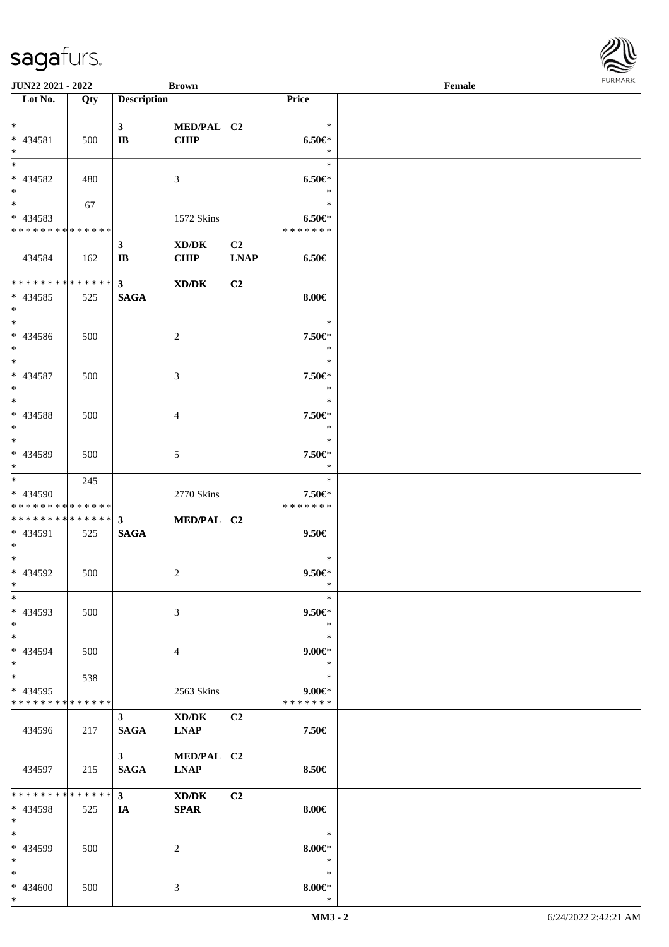| JUN22 2021 - 2022                         |     |                        | <b>Brown</b>   |                |                             | Female | <b>FURPIARA</b> |
|-------------------------------------------|-----|------------------------|----------------|----------------|-----------------------------|--------|-----------------|
| Lot No.                                   | Qty | <b>Description</b>     |                |                | Price                       |        |                 |
|                                           |     |                        |                |                |                             |        |                 |
| $*$                                       |     | 3 <sup>1</sup>         | MED/PAL C2     |                | $\ast$                      |        |                 |
| * 434581                                  | 500 | $\mathbf{I}$ <b>B</b>  | <b>CHIP</b>    |                | $6.50 \in$                  |        |                 |
| $*$                                       |     |                        |                |                | $\ast$                      |        |                 |
| $*$                                       |     |                        |                |                | $\ast$                      |        |                 |
| * 434582                                  | 480 |                        | 3              |                | $6.50 \in$                  |        |                 |
| $*$                                       |     |                        |                |                | $\ast$<br>$\ast$            |        |                 |
| $*$                                       | 67  |                        |                |                |                             |        |                 |
| * 434583<br>* * * * * * * * * * * * * * * |     |                        | 1572 Skins     |                | $6.50 \in$<br>* * * * * * * |        |                 |
|                                           |     | $\mathbf{3}$           | XD/DK          | C <sub>2</sub> |                             |        |                 |
| 434584                                    | 162 | $\mathbf{I}\mathbf{B}$ | <b>CHIP</b>    | <b>LNAP</b>    | $6.50 \in$                  |        |                 |
|                                           |     |                        |                |                |                             |        |                 |
| * * * * * * * * * * * * * * *             |     | $3^{\circ}$            | XD/DK          | C2             |                             |        |                 |
| * 434585                                  | 525 | <b>SAGA</b>            |                |                | $8.00 \in$                  |        |                 |
| $*$                                       |     |                        |                |                |                             |        |                 |
| $*$                                       |     |                        |                |                | $\ast$                      |        |                 |
| * 434586                                  | 500 |                        | 2              |                | 7.50€*                      |        |                 |
| $*$                                       |     |                        |                |                | $\ast$                      |        |                 |
| $*$                                       |     |                        |                |                | $\ast$                      |        |                 |
| * 434587                                  | 500 |                        | $\mathfrak{Z}$ |                | 7.50€*                      |        |                 |
| $*$                                       |     |                        |                |                | $\ast$                      |        |                 |
| $\overline{\ast}$                         |     |                        |                |                | $\ast$                      |        |                 |
| * 434588                                  | 500 |                        | $\overline{4}$ |                | 7.50€*                      |        |                 |
| $*$                                       |     |                        |                |                | $\ast$                      |        |                 |
| $*$                                       |     |                        |                |                | $\ast$                      |        |                 |
| * 434589                                  | 500 |                        | 5              |                | 7.50€*                      |        |                 |
| $*$<br>$*$                                |     |                        |                |                | $\ast$<br>$\ast$            |        |                 |
| * 434590                                  | 245 |                        | 2770 Skins     |                | 7.50€*                      |        |                 |
| * * * * * * * * * * * * * * *             |     |                        |                |                | * * * * * * *               |        |                 |
| ************** 3                          |     |                        | MED/PAL C2     |                |                             |        |                 |
| * 434591                                  | 525 | <b>SAGA</b>            |                |                | $9.50 \in$                  |        |                 |
| $*$                                       |     |                        |                |                |                             |        |                 |
| $*$                                       |     |                        |                |                | $\ast$                      |        |                 |
| * 434592                                  | 500 |                        | 2              |                | $9.50 \in$                  |        |                 |
| $*$                                       |     |                        |                |                | $*$                         |        |                 |
| $*$                                       |     |                        |                |                | $\ast$                      |        |                 |
| $* 434593$                                | 500 |                        | $\mathfrak{Z}$ |                | $9.50 \in$                  |        |                 |
| $*$<br>$*$                                |     |                        |                |                | $\ast$<br>$\ast$            |        |                 |
|                                           |     |                        |                |                |                             |        |                 |
| * 434594<br>$*$                           | 500 |                        | $\overline{4}$ |                | $9.00 \in$<br>$\ast$        |        |                 |
| $*$                                       | 538 |                        |                |                | $\ast$                      |        |                 |
| * 434595                                  |     |                        | 2563 Skins     |                | $9.00 \in$                  |        |                 |
| * * * * * * * * * * * * * * *             |     |                        |                |                | * * * * * * *               |        |                 |
|                                           |     | $3^{\circ}$            | XD/DK          | C2             |                             |        |                 |
| 434596                                    | 217 | SAGA                   | <b>LNAP</b>    |                | 7.50€                       |        |                 |
|                                           |     |                        |                |                |                             |        |                 |
|                                           |     | $3^{\circ}$            | MED/PAL C2     |                |                             |        |                 |
| 434597                                    | 215 | SAGA                   | <b>LNAP</b>    |                | 8.50€                       |        |                 |
|                                           |     |                        |                |                |                             |        |                 |
| * * * * * * * * * * * * * * *             |     | $3^{\circ}$            | XD/DK          | C <sub>2</sub> |                             |        |                 |
| * 434598                                  | 525 | IA                     | <b>SPAR</b>    |                | $8.00 \in$                  |        |                 |
| $*$<br>$*$                                |     |                        |                |                | $\ast$                      |        |                 |
| * 434599                                  | 500 |                        | 2              |                | $8.00 \in$ *                |        |                 |
| $*$                                       |     |                        |                |                | $\ast$                      |        |                 |
| $*$                                       |     |                        |                |                | $\ast$                      |        |                 |
| * 434600                                  | 500 |                        | 3              |                | $8.00 \in$                  |        |                 |
| $*$                                       |     |                        |                |                | $\ast$                      |        |                 |

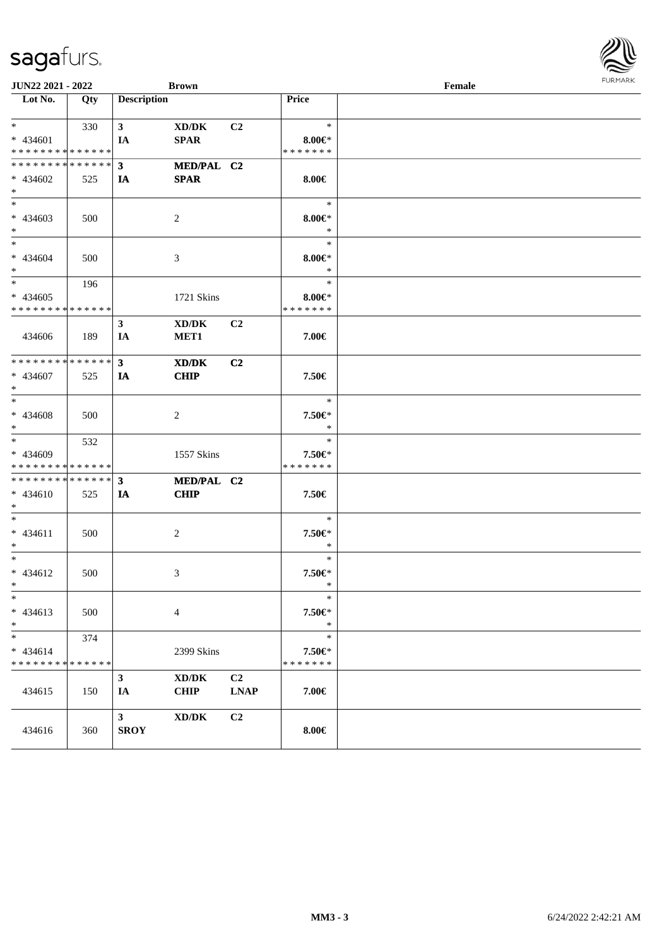| JUN22 2021 - 2022                          |     |                    | <b>Brown</b>                        |                |                  | Female | $1 \times 1$ |  |  |
|--------------------------------------------|-----|--------------------|-------------------------------------|----------------|------------------|--------|--------------|--|--|
| $\overline{\text{Lot No.}}$                | Qty | <b>Description</b> |                                     |                | Price            |        |              |  |  |
| $*$ $*$                                    | 330 | 3 <sup>7</sup>     | XD/DK                               | C <sub>2</sub> | $\ast$           |        |              |  |  |
| * 434601                                   |     | IA                 | <b>SPAR</b>                         |                | $8.00 \in$       |        |              |  |  |
| * * * * * * * * * * * * * *                |     |                    |                                     |                | * * * * * * *    |        |              |  |  |
| * * * * * * * * * * * * * * *              |     | 3 <sup>1</sup>     | MED/PAL C2                          |                |                  |        |              |  |  |
| $* 434602$                                 | 525 | IA                 | <b>SPAR</b>                         |                | $8.00 \in$       |        |              |  |  |
| $*$                                        |     |                    |                                     |                |                  |        |              |  |  |
| $*$                                        |     |                    |                                     |                | $\ast$           |        |              |  |  |
| * 434603                                   | 500 |                    | 2                                   |                | $8.00 \in$       |        |              |  |  |
| $*$                                        |     |                    |                                     |                | $\ast$           |        |              |  |  |
| $*$                                        |     |                    |                                     |                | $\ast$           |        |              |  |  |
| * 434604                                   | 500 |                    | 3                                   |                | $8.00 \in$ *     |        |              |  |  |
| $*$                                        |     |                    |                                     |                | $\ast$           |        |              |  |  |
|                                            | 196 |                    |                                     |                | $\ast$           |        |              |  |  |
| $* 434605$                                 |     |                    | 1721 Skins                          |                | $8.00 \in$ *     |        |              |  |  |
| * * * * * * * * * * * * * *                |     |                    |                                     |                | * * * * * * *    |        |              |  |  |
|                                            |     | $\mathbf{3}$       | XD/DK                               | C <sub>2</sub> |                  |        |              |  |  |
| 434606                                     | 189 | IA                 | MET <sub>1</sub>                    |                | 7.00€            |        |              |  |  |
|                                            |     |                    |                                     |                |                  |        |              |  |  |
| * * * * * * * * * * * * * * *              |     | $\mathbf{3}$       | XD/DK                               | C2             |                  |        |              |  |  |
| $* 434607$                                 | 525 | IA                 | <b>CHIP</b>                         |                | 7.50€            |        |              |  |  |
| $*$                                        |     |                    |                                     |                |                  |        |              |  |  |
| $*$                                        |     |                    |                                     |                | $\ast$           |        |              |  |  |
| * 434608                                   | 500 |                    | 2                                   |                | 7.50€*           |        |              |  |  |
| $*$                                        |     |                    |                                     |                | $\ast$           |        |              |  |  |
| $*$                                        | 532 |                    |                                     |                | $\ast$           |        |              |  |  |
| * 434609                                   |     |                    | 1557 Skins                          |                | 7.50€*           |        |              |  |  |
| * * * * * * * * <mark>* * * * * * *</mark> |     |                    |                                     |                | * * * * * * *    |        |              |  |  |
| ************** 3                           |     |                    | MED/PAL C2                          |                |                  |        |              |  |  |
| * 434610                                   | 525 | IA                 | <b>CHIP</b>                         |                | 7.50€            |        |              |  |  |
| $\ast$                                     |     |                    |                                     |                |                  |        |              |  |  |
| $*$                                        |     |                    |                                     |                | $\ast$           |        |              |  |  |
| $* 434611$<br>$*$                          | 500 |                    | 2                                   |                | 7.50€*<br>$\ast$ |        |              |  |  |
| $*$                                        |     |                    |                                     |                | $\ast$           |        |              |  |  |
| * 434612                                   | 500 |                    |                                     |                | 7.50€*           |        |              |  |  |
| $*$ $-$                                    |     |                    | 3                                   |                | $\ast$           |        |              |  |  |
| $\ast$                                     |     |                    |                                     |                | $\ast$           |        |              |  |  |
| $* 434613$                                 | 500 |                    | $\overline{4}$                      |                | 7.50€*           |        |              |  |  |
| $\ast$                                     |     |                    |                                     |                | $\ast$           |        |              |  |  |
| $\ast$                                     | 374 |                    |                                     |                | $\ast$           |        |              |  |  |
| $* 434614$                                 |     |                    | 2399 Skins                          |                | 7.50€*           |        |              |  |  |
| * * * * * * * * * * * * * *                |     |                    |                                     |                | * * * * * * *    |        |              |  |  |
|                                            |     | $\mathbf{3}$       | $\bold{X}\bold{D}/\bold{D}\bold{K}$ | C2             |                  |        |              |  |  |
| 434615                                     | 150 | IA                 | <b>CHIP</b>                         | <b>LNAP</b>    | 7.00€            |        |              |  |  |
|                                            |     |                    |                                     |                |                  |        |              |  |  |
|                                            |     | $\mathbf{3}$       | $\bold{X}\bold{D}/\bold{D}\bold{K}$ | C <sub>2</sub> |                  |        |              |  |  |
| 434616                                     | 360 | <b>SROY</b>        |                                     |                | $8.00 \in$       |        |              |  |  |
|                                            |     |                    |                                     |                |                  |        |              |  |  |

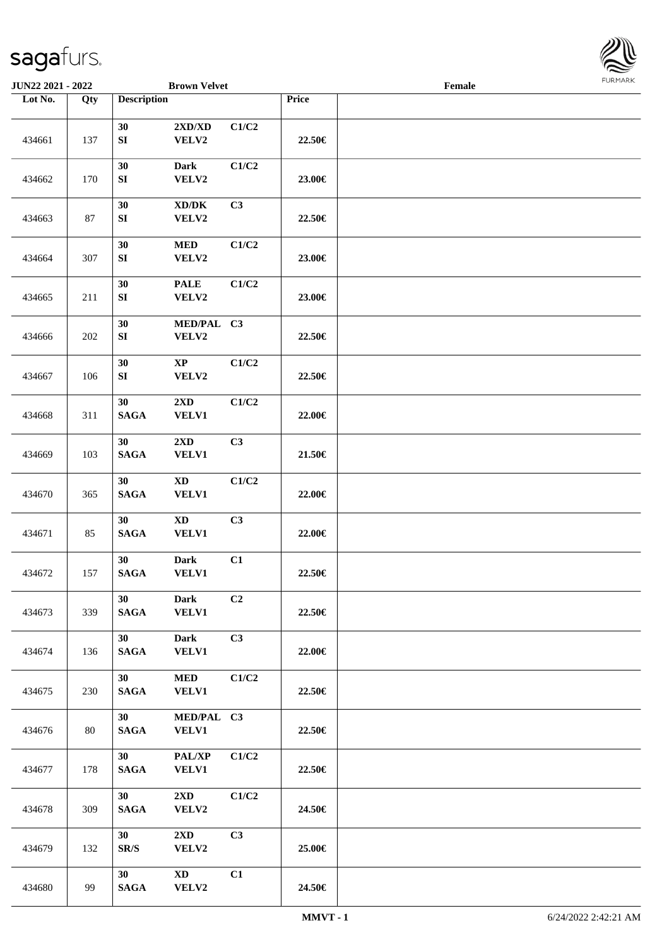

| <b>JUN22 2021 - 2022</b> |     |                                    | <b>Brown Velvet</b>                          |                |        | Female |  |
|--------------------------|-----|------------------------------------|----------------------------------------------|----------------|--------|--------|--|
| Lot No.                  | Qty | <b>Description</b>                 |                                              |                | Price  |        |  |
| 434661                   | 137 | 30<br>${\bf S}{\bf I}$             | $2{\bf X}{\bf D}/{\bf X}{\bf D}$<br>VELV2    | C1/C2          | 22.50€ |        |  |
| 434662                   | 170 | 30<br>${\bf S}{\bf I}$             | Dark<br>VELV2                                | C1/C2          | 23.00€ |        |  |
| 434663                   | 87  | 30<br>${\bf S}{\bf I}$             | $\bold{X}\bold{D}/\bold{D}\bold{K}$<br>VELV2 | C3             | 22.50€ |        |  |
| 434664                   | 307 | 30<br>${\bf S}{\bf I}$             | $\bf MED$<br>VELV2                           | C1/C2          | 23.00€ |        |  |
| 434665                   | 211 | 30<br>SI                           | <b>PALE</b><br>VELV2                         | C1/C2          | 23.00€ |        |  |
| 434666                   | 202 | 30<br>SI                           | MED/PAL C3<br>VELV2                          |                | 22.50€ |        |  |
| 434667                   | 106 | 30<br>SI                           | $\mathbf{XP}$<br>VELV2                       | C1/C2          | 22.50€ |        |  |
| 434668                   | 311 | 30<br><b>SAGA</b>                  | 2XD<br><b>VELV1</b>                          | C1/C2          | 22.00€ |        |  |
| 434669                   | 103 | 30<br><b>SAGA</b>                  | 2XD<br><b>VELV1</b>                          | C3             | 21.50€ |        |  |
| 434670                   | 365 | 30<br>$\mathbf{SAGA}$              | $\mathbf{X}\mathbf{D}$<br>VELV1              | C1/C2          | 22.00€ |        |  |
| 434671                   | 85  | 30<br><b>SAGA</b>                  | $\mathbf{X}\mathbf{D}$<br><b>VELV1</b>       | C3             | 22.00€ |        |  |
| 434672                   | 157 | 30<br><b>SAGA</b>                  | <b>Dark</b><br>VELV1                         | C1             | 22.50€ |        |  |
| 434673                   | 339 | 30<br><b>SAGA</b>                  | <b>Dark</b><br><b>VELV1</b>                  | C <sub>2</sub> | 22.50€ |        |  |
| 434674                   | 136 | 30<br><b>SAGA</b>                  | <b>Dark</b><br><b>VELV1</b>                  | C3             | 22.00€ |        |  |
| 434675                   | 230 | 30<br>$\mathbf{SAGA}$              | $\bf MED$<br><b>VELV1</b>                    | C1/C2          | 22.50€ |        |  |
| 434676                   | 80  | 30 <sup>°</sup><br>$\mathbf{SAGA}$ | MED/PAL C3<br>VELV1                          |                | 22.50€ |        |  |
| 434677                   | 178 | 30<br>$\mathbf{SAGA}$              | PAL/XP<br><b>VELV1</b>                       | C1/C2          | 22.50€ |        |  |
| 434678                   | 309 | 30<br><b>SAGA</b>                  | $2\mathbf{X}\mathbf{D}$<br>VELV2             | C1/C2          | 24.50€ |        |  |
| 434679                   | 132 | 30<br>SR/S                         | $2\mathbf{X}\mathbf{D}$<br>VELV2             | C3             | 25.00€ |        |  |
| 434680                   | 99  | 30<br><b>SAGA</b>                  | $\mathbf{X}\mathbf{D}$<br>VELV2              | C1             | 24.50€ |        |  |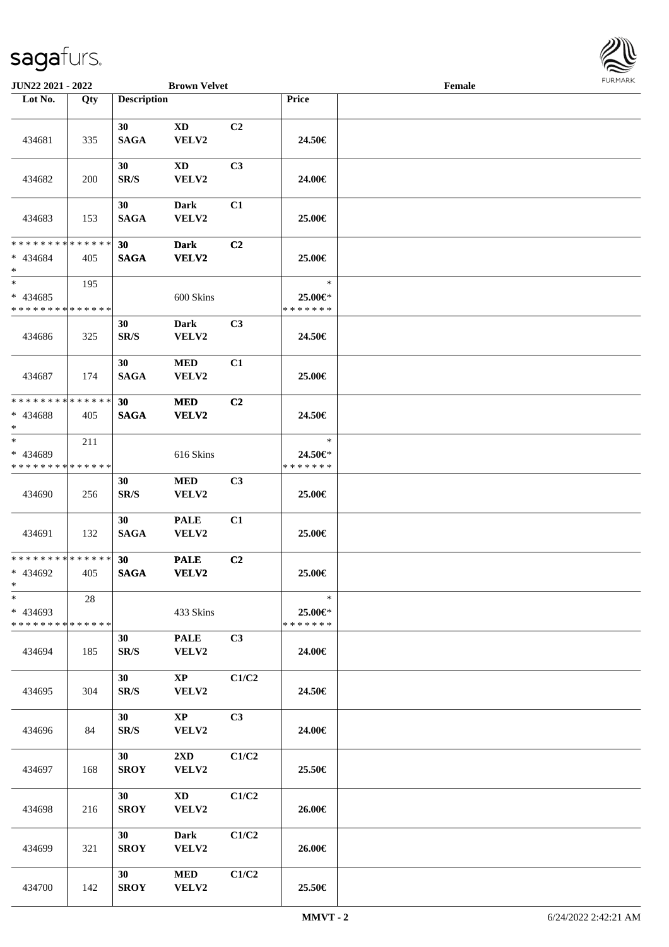

| <b>JUN22 2021 - 2022</b>                            |     |                    | <b>Brown Velvet</b>              |       | Female                             |  |  |  |  |
|-----------------------------------------------------|-----|--------------------|----------------------------------|-------|------------------------------------|--|--|--|--|
| Lot No.                                             | Qty | <b>Description</b> |                                  |       | Price                              |  |  |  |  |
| 434681                                              | 335 | 30<br><b>SAGA</b>  | $\mathbf{X}\mathbf{D}$<br>VELV2  | C2    | 24.50€                             |  |  |  |  |
| 434682                                              | 200 | 30<br>SR/S         | <b>XD</b><br>VELV2               | C3    | 24.00€                             |  |  |  |  |
| 434683                                              | 153 | 30<br><b>SAGA</b>  | <b>Dark</b><br>VELV2             | C1    | 25.00€                             |  |  |  |  |
| * * * * * * * * * * * * * *<br>$* 434684$<br>$*$    | 405 | 30<br><b>SAGA</b>  | <b>Dark</b><br><b>VELV2</b>      | C2    | 25.00€                             |  |  |  |  |
| $\ast$<br>$* 434685$<br>* * * * * * * * * * * * * * | 195 |                    | 600 Skins                        |       | $\ast$<br>25.00€*<br>* * * * * * * |  |  |  |  |
| 434686                                              | 325 | 30<br>SR/S         | Dark<br>VELV2                    | C3    | 24.50€                             |  |  |  |  |
| 434687                                              | 174 | 30<br><b>SAGA</b>  | $\bf MED$<br>VELV2               | C1    | 25.00€                             |  |  |  |  |
| * * * * * * * * * * * * * *<br>* 434688<br>$\ast$   | 405 | 30<br><b>SAGA</b>  | <b>MED</b><br>VELV2              | C2    | 24.50€                             |  |  |  |  |
| $\ast$<br>* 434689<br>* * * * * * * * * * * * * *   | 211 |                    | 616 Skins                        |       | $\ast$<br>24.50€*<br>* * * * * * * |  |  |  |  |
| 434690                                              | 256 | 30<br>SR/S         | <b>MED</b><br>VELV2              | C3    | 25.00€                             |  |  |  |  |
| 434691                                              | 132 | 30<br><b>SAGA</b>  | <b>PALE</b><br>VELV2             | C1    | 25.00€                             |  |  |  |  |
| * * * * * * * * * * * * * *<br>* 434692<br>$*$      | 405 | 30<br><b>SAGA</b>  | <b>PALE</b><br><b>VELV2</b>      | C2    | 25.00€                             |  |  |  |  |
| $\ast$<br>$* 434693$<br>* * * * * * * * * * * * * * | 28  |                    | 433 Skins                        |       | $\ast$<br>25.00€*<br>* * * * * * * |  |  |  |  |
| 434694                                              | 185 | 30<br>SR/S         | <b>PALE</b><br>VELV2             | C3    | 24.00€                             |  |  |  |  |
| 434695                                              | 304 | 30<br>SR/S         | $\bold{XP}$<br>VELV2             | C1/C2 | 24.50€                             |  |  |  |  |
| 434696                                              | 84  | 30<br>SR/S         | $\mathbf{X}\mathbf{P}$<br>VELV2  | C3    | 24.00€                             |  |  |  |  |
| 434697                                              | 168 | 30<br><b>SROY</b>  | $2\mathbf{X}\mathbf{D}$<br>VELV2 | C1/C2 | 25.50€                             |  |  |  |  |
| 434698                                              | 216 | 30<br><b>SROY</b>  | <b>XD</b><br>VELV2               | C1/C2 | 26.00€                             |  |  |  |  |
| 434699                                              | 321 | 30<br><b>SROY</b>  | <b>Dark</b><br>VELV2             | C1/C2 | 26.00€                             |  |  |  |  |
| 434700                                              | 142 | 30<br><b>SROY</b>  | $\bf MED$<br>VELV2               | C1/C2 | 25.50€                             |  |  |  |  |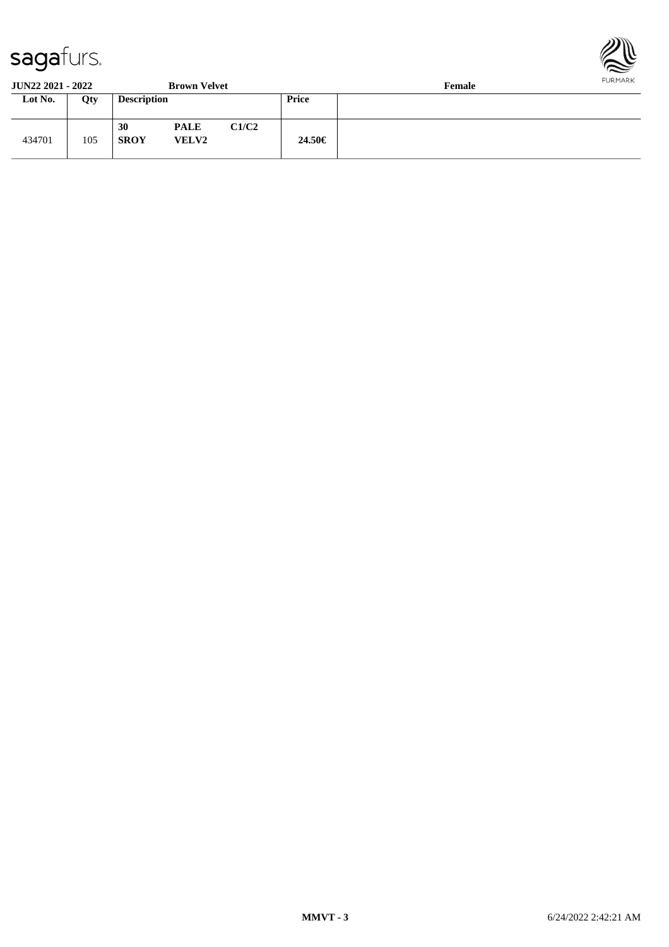

**JUN22 2021 - 2022 Brown Velvet Female**

| JUR <i>ee E</i> vel - <i>Evel</i><br>DIVWII VUIVU |     |                    |                             |       |              | т спіаго |
|---------------------------------------------------|-----|--------------------|-----------------------------|-------|--------------|----------|
| Lot No.                                           | Qty | <b>Description</b> |                             |       | <b>Price</b> |          |
| 434701                                            | 105 | 30<br><b>SROY</b>  | <b>PALE</b><br><b>VELV2</b> | C1/C2 | 24.50€       |          |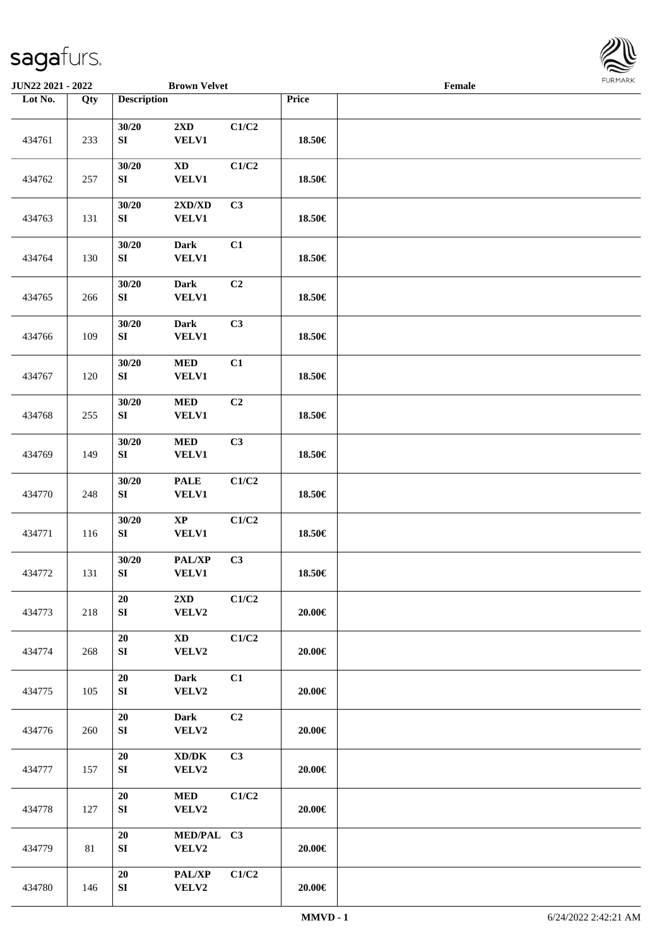

| <b>JUN22 2021 - 2022</b> |        |                                | <b>Brown Velvet</b>                          |       |            | Female |  |
|--------------------------|--------|--------------------------------|----------------------------------------------|-------|------------|--------|--|
| Lot No.                  | Qty    | <b>Description</b>             |                                              |       | Price      |        |  |
| 434761                   | 233    | 30/20<br>${\bf S}{\bf I}$      | $2{\bf X}{\bf D}$<br>VELV1                   | C1/C2 | 18.50€     |        |  |
| 434762                   | 257    | 30/20<br>${\bf SI}$            | $\mathbf{X}\mathbf{D}$<br><b>VELV1</b>       | C1/C2 | 18.50€     |        |  |
| 434763                   | 131    | 30/20<br>${\bf SI}$            | 2XD/XD<br><b>VELV1</b>                       | C3    | 18.50€     |        |  |
| 434764                   | 130    | 30/20<br>${\bf S}{\bf I}$      | <b>Dark</b><br>VELV1                         | C1    | 18.50€     |        |  |
| 434765                   | 266    | 30/20<br>SI                    | <b>Dark</b><br><b>VELV1</b>                  | C2    | 18.50€     |        |  |
| 434766                   | 109    | 30/20<br>SI                    | <b>Dark</b><br>VELV1                         | C3    | 18.50€     |        |  |
| 434767                   | 120    | 30/20<br>${\bf SI}$            | $\bf MED$<br>VELV1                           | C1    | 18.50€     |        |  |
| 434768                   | 255    | 30/20<br>SI                    | $\bf MED$<br><b>VELV1</b>                    | C2    | 18.50€     |        |  |
| 434769                   | 149    | 30/20<br>${\bf S}{\bf I}$      | $\bf MED$<br>VELV1                           | C3    | 18.50€     |        |  |
| 434770                   | 248    | 30/20<br>SI                    | <b>PALE</b><br>VELV1                         | C1/C2 | 18.50€     |        |  |
| 434771                   | 116    | 30/20<br>SI                    | $\bold{XP}$<br><b>VELV1</b>                  | C1/C2 | 18.50€     |        |  |
| 434772                   | 131    | 30/20<br>${\bf S}{\bf I}$      | PAL/XP<br>VELV1                              | C3    | 18.50€     |        |  |
| 434773                   | 218    | 20<br>${\bf S}{\bf I}$         | 2XD<br>VELV2                                 | C1/C2 | 20.00€     |        |  |
| 434774                   | 268    | ${\bf 20}$<br>SI               | <b>XD</b><br>VELV2                           | C1/C2 | 20.00€     |        |  |
| 434775                   | 105    | ${\bf 20}$<br>SI               | <b>Dark</b><br>VELV2                         | C1    | 20.00€     |        |  |
| 434776                   | 260    | ${\bf 20}$<br>${\bf S}{\bf I}$ | <b>Dark</b><br>VELV2                         | C2    | 20.00€     |        |  |
| 434777                   | 157    | $20\,$<br>SI                   | $\bold{X}\bold{D}/\bold{D}\bold{K}$<br>VELV2 | C3    | 20.00€     |        |  |
| 434778                   | 127    | $20\,$<br>${\bf S}{\bf I}$     | <b>MED</b><br>VELV2                          | C1/C2 | 20.00€     |        |  |
| 434779                   | $81\,$ | $20\,$<br>${\bf S}{\bf I}$     | MED/PAL C3<br>VELV2                          |       | 20.00€     |        |  |
| 434780                   | 146    | ${\bf 20}$<br>SI               | PAL/XP<br>VELV2                              | C1/C2 | $20.00\in$ |        |  |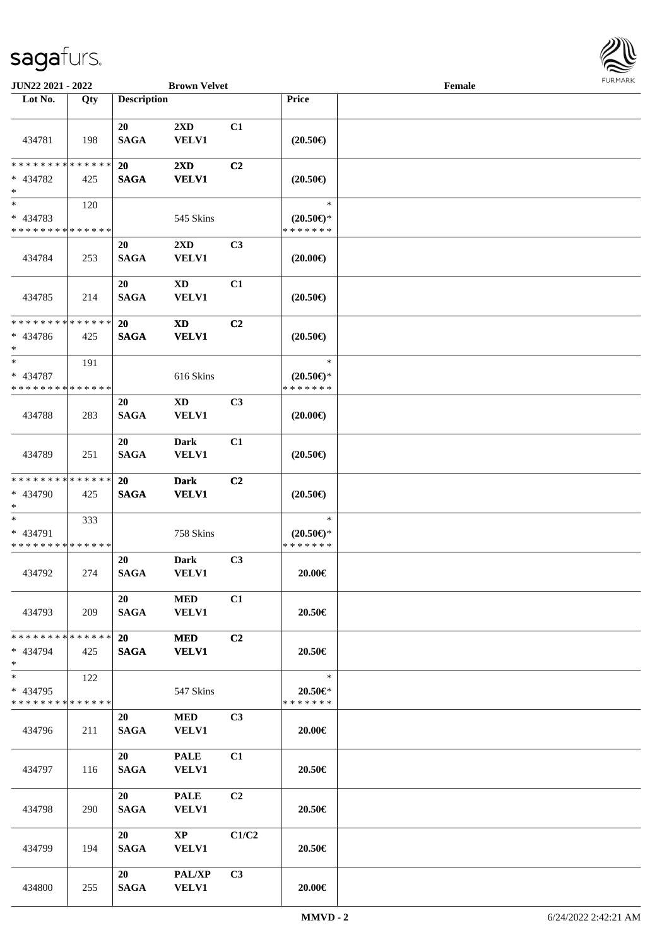

| JUN22 2021 - 2022                                   |                    |                          | <b>Brown Velvet</b>                     |                |                                             | Female |  |
|-----------------------------------------------------|--------------------|--------------------------|-----------------------------------------|----------------|---------------------------------------------|--------|--|
| Lot No.                                             | Qty                | <b>Description</b>       |                                         |                | Price                                       |        |  |
| 434781                                              | 198                | 20<br><b>SAGA</b>        | 2XD<br>VELV1                            | C1             | $(20.50\epsilon)$                           |        |  |
| * * * * * * * *<br>* 434782<br>$\ast$               | * * * * * *<br>425 | 20<br><b>SAGA</b>        | 2XD<br><b>VELV1</b>                     | C <sub>2</sub> | $(20.50\epsilon)$                           |        |  |
| $*$<br>* 434783<br>* * * * * * * * * * * * * *      | 120                |                          | 545 Skins                               |                | $\ast$<br>$(20.50 \in )^*$<br>* * * * * * * |        |  |
| 434784                                              | 253                | 20<br><b>SAGA</b>        | $2\mathbf{X}\mathbf{D}$<br><b>VELV1</b> | C3             | $(20.00\epsilon)$                           |        |  |
| 434785                                              | 214                | 20<br><b>SAGA</b>        | $\mathbf{X}\mathbf{D}$<br><b>VELV1</b>  | C1             | $(20.50\epsilon)$                           |        |  |
| * * * * * * * * * * * * * *<br>* 434786<br>$*$      | 425                | 20<br><b>SAGA</b>        | <b>XD</b><br><b>VELV1</b>               | C <sub>2</sub> | $(20.50\epsilon)$                           |        |  |
| $\ast$<br>$* 434787$<br>* * * * * * * * * * * * * * | 191                |                          | 616 Skins                               |                | $\ast$<br>$(20.50 \in )^*$<br>* * * * * * * |        |  |
| 434788                                              | 283                | 20<br><b>SAGA</b>        | <b>XD</b><br>VELV1                      | C3             | $(20.00\epsilon)$                           |        |  |
| 434789                                              | 251                | 20<br><b>SAGA</b>        | <b>Dark</b><br>VELV1                    | C1             | $(20.50\epsilon)$                           |        |  |
| * * * * * * * * * * * * * *<br>* 434790<br>$*$      | 425                | <b>20</b><br><b>SAGA</b> | <b>Dark</b><br><b>VELV1</b>             | C <sub>2</sub> | $(20.50\epsilon)$                           |        |  |
| $*$<br>* 434791<br>* * * * * * * * * * * * * *      | 333                |                          | 758 Skins                               |                | $\ast$<br>$(20.50 \in )^*$<br>* * * * * * * |        |  |
| 434792                                              | 274                | 20<br><b>SAGA</b>        | <b>Dark</b><br>VELV1                    | C3             | 20.00€                                      |        |  |
| 434793                                              | 209                | 20<br><b>SAGA</b>        | <b>MED</b><br><b>VELV1</b>              | C1             | 20.50€                                      |        |  |
| * * * * * * * * * * * * * *<br>* 434794<br>$*$      | 425                | 20<br><b>SAGA</b>        | <b>MED</b><br><b>VELV1</b>              | C <sub>2</sub> | 20.50€                                      |        |  |
| $*$<br>* 434795<br>* * * * * * * * * * * * * *      | 122                |                          | 547 Skins                               |                | $\ast$<br>20.50€*<br>* * * * * * *          |        |  |
| 434796                                              | 211                | 20<br><b>SAGA</b>        | <b>MED</b><br><b>VELV1</b>              | C3             | 20.00€                                      |        |  |
| 434797                                              | 116                | 20<br><b>SAGA</b>        | <b>PALE</b><br><b>VELV1</b>             | C1             | 20.50€                                      |        |  |
| 434798                                              | 290                | 20<br><b>SAGA</b>        | <b>PALE</b><br><b>VELV1</b>             | C <sub>2</sub> | 20.50€                                      |        |  |
| 434799                                              | 194                | 20<br><b>SAGA</b>        | $\mathbf{XP}$<br><b>VELV1</b>           | C1/C2          | 20.50€                                      |        |  |
| 434800                                              | 255                | 20<br><b>SAGA</b>        | PAL/XP<br><b>VELV1</b>                  | C <sub>3</sub> | $20.00 \in$                                 |        |  |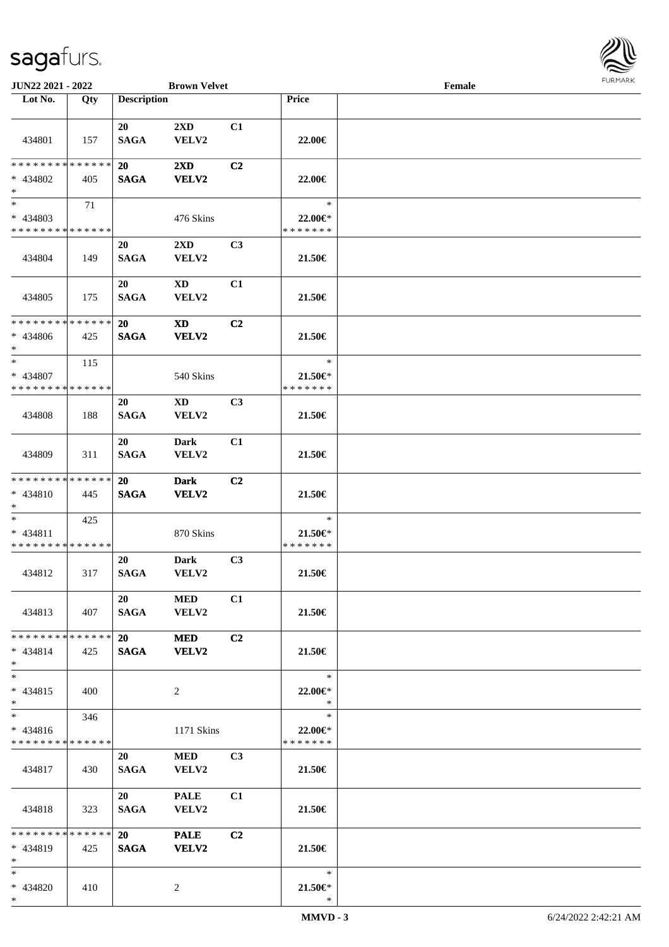

| JUN22 2021 - 2022                                  |     |                          | <b>Brown Velvet</b>              |                |                                          | Female |  |
|----------------------------------------------------|-----|--------------------------|----------------------------------|----------------|------------------------------------------|--------|--|
| Lot No.                                            | Qty | <b>Description</b>       |                                  |                | Price                                    |        |  |
| 434801                                             | 157 | 20<br><b>SAGA</b>        | $2\mathbf{X}\mathbf{D}$<br>VELV2 | C1             | 22.00€                                   |        |  |
| * * * * * * * * * * * * * *<br>* 434802<br>$*$     | 405 | 20<br><b>SAGA</b>        | $2\mathbf{X}\mathbf{D}$<br>VELV2 | C2             | 22.00€                                   |        |  |
| * 434803<br>* * * * * * * * * * * * * *            | 71  |                          | 476 Skins                        |                | $\ast$<br>22.00€<br>* * * * * * *        |        |  |
| 434804                                             | 149 | 20<br><b>SAGA</b>        | 2XD<br>VELV2                     | C <sub>3</sub> | 21.50€                                   |        |  |
| 434805                                             | 175 | 20<br><b>SAGA</b>        | <b>XD</b><br>VELV2               | C1             | 21.50€                                   |        |  |
| * * * * * * * * * * * * * *<br>* 434806<br>$*$     | 425 | <b>20</b><br><b>SAGA</b> | <b>XD</b><br>VELV2               | C2             | 21.50€                                   |        |  |
| $*$<br>* 434807<br>* * * * * * * * * * * * * *     | 115 |                          | 540 Skins                        |                | $\ast$<br>$21.50 \in$<br>* * * * * * *   |        |  |
| 434808                                             | 188 | 20<br><b>SAGA</b>        | XD<br>VELV2                      | C <sub>3</sub> | 21.50€                                   |        |  |
| 434809                                             | 311 | 20<br><b>SAGA</b>        | <b>Dark</b><br>VELV2             | C1             | 21.50€                                   |        |  |
| * * * * * * * * * * * * * *<br>* 434810<br>$*$     | 445 | 20<br><b>SAGA</b>        | <b>Dark</b><br>VELV2             | C2             | 21.50€                                   |        |  |
| $*$<br>* 434811<br>* * * * * * * * * * * * * *     | 425 |                          | 870 Skins                        |                | $\ast$<br>21.50€*<br>* * * * * * *       |        |  |
| 434812                                             | 317 | 20<br><b>SAGA</b>        | <b>Dark</b><br>VELV2             | C3             | 21.50€                                   |        |  |
| 434813                                             | 407 | 20<br>SAGA               | <b>MED</b><br><b>VELV2</b>       | C1             | 21.50€                                   |        |  |
| * * * * * * * * * * * * * * *<br>$* 434814$<br>$*$ | 425 | 20<br><b>SAGA</b>        | <b>MED</b><br><b>VELV2</b>       | C2             | 21.50€                                   |        |  |
| $*$<br>$* 434815$<br>$*$                           | 400 |                          | 2                                |                | $\ast$<br>22.00€*<br>$\ast$              |        |  |
| $*$<br>$* 434816$<br>* * * * * * * * * * * * * *   | 346 |                          | 1171 Skins                       |                | $\ast$<br>$22.00 \in$ *<br>* * * * * * * |        |  |
| 434817                                             | 430 | 20<br><b>SAGA</b>        | <b>MED</b><br><b>VELV2</b>       | C <sub>3</sub> | 21.50€                                   |        |  |
| 434818                                             | 323 | 20<br><b>SAGA</b>        | <b>PALE</b><br>VELV2             | C <sub>1</sub> | 21.50€                                   |        |  |
| * * * * * * * * * * * * * * *<br>$* 434819$<br>$*$ | 425 | <b>20</b><br><b>SAGA</b> | <b>PALE</b><br><b>VELV2</b>      | C <sub>2</sub> | 21.50€                                   |        |  |
| $*$<br>* 434820<br>$*$                             | 410 |                          | 2                                |                | $\ast$<br>$21.50 \in$<br>$\ast$          |        |  |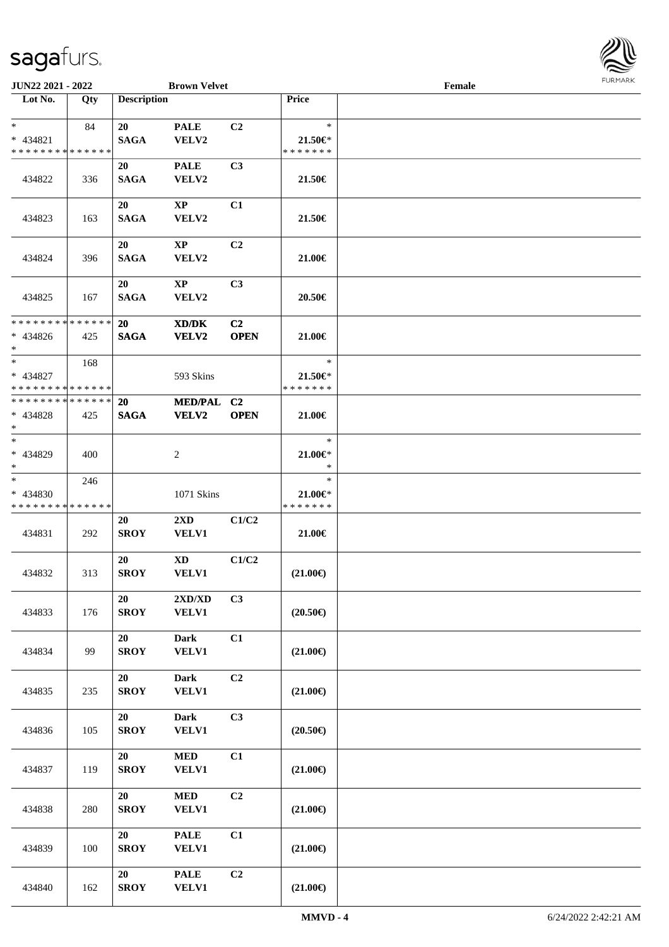**Lot No. Qty Description** 

| $\ast$                                     | 84  | 20                | <b>PALE</b>                 | C2             | $\ast$            |  |
|--------------------------------------------|-----|-------------------|-----------------------------|----------------|-------------------|--|
| * 434821                                   |     | <b>SAGA</b>       | VELV2                       |                | 21.50€*           |  |
| * * * * * * * * <mark>* * * * * * *</mark> |     |                   |                             |                | * * * * * * *     |  |
|                                            |     | 20                | <b>PALE</b>                 | C <sub>3</sub> |                   |  |
| 434822                                     | 336 | <b>SAGA</b>       | VELV2                       |                | 21.50€            |  |
|                                            |     |                   |                             |                |                   |  |
|                                            |     |                   |                             |                |                   |  |
|                                            |     | 20                | $\mathbf{X}\mathbf{P}$      | C1             |                   |  |
| 434823                                     | 163 | <b>SAGA</b>       | VELV2                       |                | 21.50€            |  |
|                                            |     |                   |                             |                |                   |  |
|                                            |     | 20                | $\mathbf{X}\mathbf{P}$      | C <sub>2</sub> |                   |  |
| 434824                                     | 396 | <b>SAGA</b>       | <b>VELV2</b>                |                | 21.00€            |  |
|                                            |     |                   |                             |                |                   |  |
|                                            |     | 20                | $\mathbf{X}\mathbf{P}$      | C <sub>3</sub> |                   |  |
| 434825                                     | 167 | <b>SAGA</b>       | VELV2                       |                | 20.50€            |  |
|                                            |     |                   |                             |                |                   |  |
| * * * * * * * * * * * * * *                |     | 20                | XD/DK                       | C <sub>2</sub> |                   |  |
| $* 434826$                                 | 425 | <b>SAGA</b>       | VELV2                       | <b>OPEN</b>    | 21.00€            |  |
| $*$                                        |     |                   |                             |                |                   |  |
| $*$                                        |     |                   |                             |                | $\ast$            |  |
|                                            | 168 |                   |                             |                |                   |  |
| $* 434827$                                 |     |                   | 593 Skins                   |                | 21.50€*           |  |
| * * * * * * * * * * * * * *                |     |                   |                             |                | * * * * * * *     |  |
| **************                             |     | <b>20</b>         | MED/PAL C2                  |                |                   |  |
| $* 434828$                                 | 425 | <b>SAGA</b>       | VELV2                       | <b>OPEN</b>    | 21.00€            |  |
| $*$                                        |     |                   |                             |                |                   |  |
| $\overline{\ast}$                          |     |                   |                             |                | $\ast$            |  |
| * 434829                                   | 400 |                   | $\overline{c}$              |                | $21.00 \in$       |  |
| $*$                                        |     |                   |                             |                | $\ast$            |  |
| $\overline{\phantom{0}}$                   | 246 |                   |                             |                | $\ast$            |  |
| * 434830                                   |     |                   | 1071 Skins                  |                | $21.00 \in$       |  |
|                                            |     |                   |                             |                | * * * * * * *     |  |
| * * * * * * * * * * * * * *                |     |                   |                             |                |                   |  |
|                                            |     | 20                | $2\mathbf{X}\mathbf{D}$     | C1/C2          |                   |  |
| 434831                                     | 292 | <b>SROY</b>       | <b>VELV1</b>                |                | 21.00€            |  |
|                                            |     |                   |                             |                |                   |  |
|                                            |     | 20                | $\mathbf{X}\mathbf{D}$      | C1/C2          |                   |  |
| 434832                                     | 313 | <b>SROY</b>       | VELV1                       |                | $(21.00\epsilon)$ |  |
|                                            |     |                   |                             |                |                   |  |
|                                            |     | 20                | 2XD/XD                      | C <sub>3</sub> |                   |  |
| 434833                                     | 176 | <b>SROY</b>       | <b>VELV1</b>                |                | $(20.50\epsilon)$ |  |
|                                            |     |                   |                             |                |                   |  |
|                                            |     | 20                | <b>Dark</b>                 | C1             |                   |  |
| 434834                                     | 99  | <b>SROY</b>       | <b>VELV1</b>                |                | $(21.00\epsilon)$ |  |
|                                            |     |                   |                             |                |                   |  |
|                                            |     |                   |                             |                |                   |  |
|                                            |     | 20                | <b>Dark</b>                 | C2             |                   |  |
| 434835                                     | 235 | <b>SROY</b>       | <b>VELV1</b>                |                | $(21.00\epsilon)$ |  |
|                                            |     |                   |                             |                |                   |  |
|                                            |     | 20                | <b>Dark</b>                 | C3             |                   |  |
| 434836                                     | 105 | <b>SROY</b>       | <b>VELV1</b>                |                | $(20.50\epsilon)$ |  |
|                                            |     |                   |                             |                |                   |  |
|                                            |     | 20                | <b>MED</b>                  | C1             |                   |  |
| 434837                                     | 119 | <b>SROY</b>       | <b>VELV1</b>                |                | $(21.00\epsilon)$ |  |
|                                            |     |                   |                             |                |                   |  |
|                                            |     | 20                | $\bf MED$                   | C2             |                   |  |
|                                            |     | <b>SROY</b>       | <b>VELV1</b>                |                | $(21.00\epsilon)$ |  |
|                                            |     |                   |                             |                |                   |  |
| 434838                                     | 280 |                   |                             |                |                   |  |
|                                            |     |                   |                             |                |                   |  |
|                                            |     | 20                | <b>PALE</b>                 | C1             |                   |  |
| 434839                                     | 100 | <b>SROY</b>       | <b>VELV1</b>                |                | $(21.00\epsilon)$ |  |
|                                            |     |                   |                             |                |                   |  |
| 434840                                     | 162 | 20<br><b>SROY</b> | <b>PALE</b><br><b>VELV1</b> | C2             | $(21.00\epsilon)$ |  |

 $\overline{\phantom{a}}$ 

**JUN22 2021 - 2022 Brown Velvet Female**<br> **Lot No.** Qty **Description Price Female** 

a)

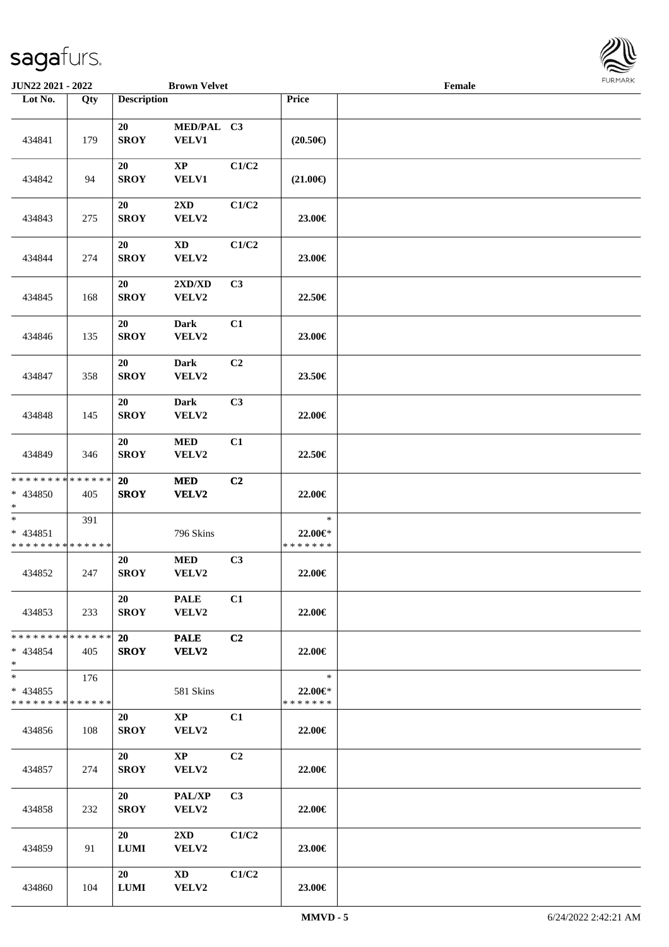

| <b>JUN22 2021 - 2022</b>                                      |     |                    | <b>Brown Velvet</b>              |                |                                    | Female |  |
|---------------------------------------------------------------|-----|--------------------|----------------------------------|----------------|------------------------------------|--------|--|
| Lot No.                                                       | Qty | <b>Description</b> |                                  |                | Price                              |        |  |
| 434841                                                        | 179 | 20<br><b>SROY</b>  | MED/PAL C3<br>VELV1              |                | $(20.50\epsilon)$                  |        |  |
| 434842                                                        | 94  | 20<br><b>SROY</b>  | $\bold{XP}$<br><b>VELV1</b>      | C1/C2          | $(21.00\epsilon)$                  |        |  |
| 434843                                                        | 275 | 20<br><b>SROY</b>  | $2\mathbf{X}\mathbf{D}$<br>VELV2 | C1/C2          | 23.00€                             |        |  |
| 434844                                                        | 274 | 20<br><b>SROY</b>  | $\mathbf{X}\mathbf{D}$<br>VELV2  | C1/C2          | 23.00€                             |        |  |
| 434845                                                        | 168 | 20<br><b>SROY</b>  | 2XD/XD<br>VELV2                  | C3             | 22.50€                             |        |  |
| 434846                                                        | 135 | 20<br><b>SROY</b>  | Dark<br>VELV2                    | C1             | 23.00€                             |        |  |
| 434847                                                        | 358 | 20<br><b>SROY</b>  | Dark<br>VELV2                    | C2             | 23.50€                             |        |  |
| 434848                                                        | 145 | 20<br><b>SROY</b>  | Dark<br>VELV2                    | C3             | 22.00€                             |        |  |
| 434849                                                        | 346 | 20<br><b>SROY</b>  | <b>MED</b><br>VELV2              | C1             | 22.50€                             |        |  |
| * * * * * * * * * * * * * *<br>* 434850<br>$*$                | 405 | 20<br><b>SROY</b>  | $\bf MED$<br>VELV2               | C2             | 22.00€                             |        |  |
| $*$<br>* 434851<br>* * * * * * * * * * * * * *                | 391 |                    | 796 Skins                        |                | $\ast$<br>22.00€*<br>* * * * * * * |        |  |
| 434852                                                        | 247 | 20<br><b>SROY</b>  | <b>MED</b><br>VELV2              | C3             | 22.00€                             |        |  |
| 434853                                                        | 233 | 20<br><b>SROY</b>  | <b>PALE</b><br>VELV2             | C1             | 22.00€                             |        |  |
| * * * * * * * * <mark>* * * * * *</mark><br>$* 434854$<br>$*$ | 405 | 20<br><b>SROY</b>  | <b>PALE</b><br><b>VELV2</b>      | C2             | 22.00€                             |        |  |
| $*$<br>* 434855<br>* * * * * * * * * * * * * *                | 176 |                    | 581 Skins                        |                | $\ast$<br>22.00€*<br>* * * * * * * |        |  |
| 434856                                                        | 108 | 20<br><b>SROY</b>  | $\mathbf{XP}$<br>VELV2           | C1             | 22.00€                             |        |  |
| 434857                                                        | 274 | 20<br><b>SROY</b>  | $\mathbf{XP}$<br>VELV2           | C <sub>2</sub> | 22.00€                             |        |  |
| 434858                                                        | 232 | 20<br><b>SROY</b>  | <b>PAL/XP</b><br>VELV2           | C <sub>3</sub> | 22.00€                             |        |  |
| 434859                                                        | 91  | 20<br>$\bf LUMI$   | $2\mathbf{X}\mathbf{D}$<br>VELV2 | C1/C2          | 23.00€                             |        |  |
| 434860                                                        | 104 | 20<br>$\bf LUMI$   | XD<br>VELV2                      | C1/C2          | 23.00€                             |        |  |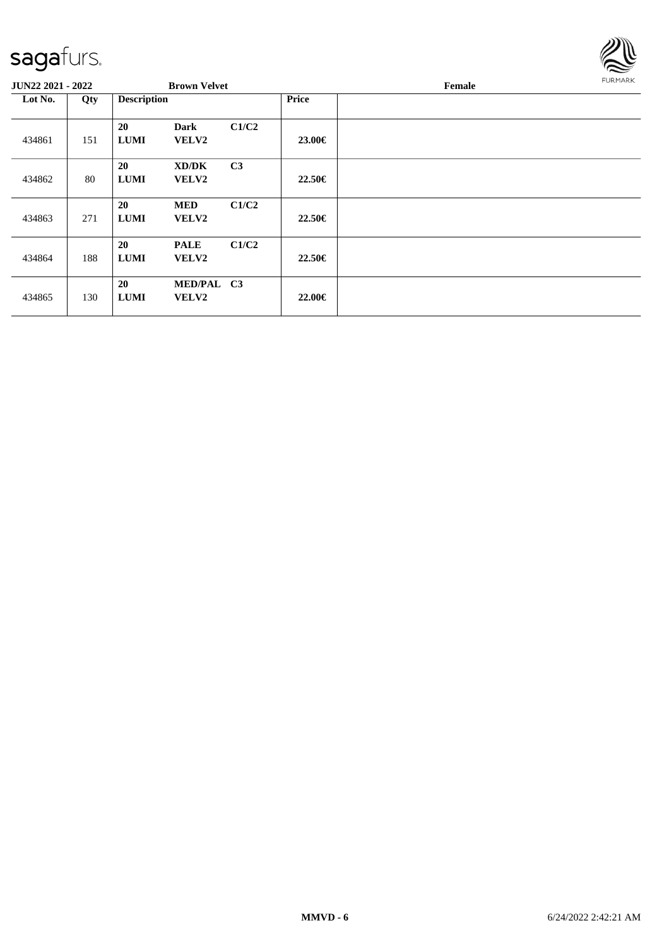

| <b>JUN22 2021 - 2022</b> |     |                    | <b>Brown Velvet</b>        |                |              | Female | <b>FURMARK</b> |
|--------------------------|-----|--------------------|----------------------------|----------------|--------------|--------|----------------|
| Lot No.<br>Qty           |     | <b>Description</b> |                            |                | <b>Price</b> |        |                |
| 434861                   | 151 | 20<br><b>LUMI</b>  | <b>Dark</b><br>VELV2       | C1/C2          | 23.00€       |        |                |
| 434862                   | 80  | 20<br><b>LUMI</b>  | XD/DK<br><b>VELV2</b>      | C <sub>3</sub> | 22.50€       |        |                |
| 434863                   | 271 | 20<br><b>LUMI</b>  | <b>MED</b><br>VELV2        | C1/C2          | 22.50€       |        |                |
| 434864                   | 188 | 20<br><b>LUMI</b>  | <b>PALE</b><br>VELV2       | C1/C2          | 22.50€       |        |                |
| 434865                   | 130 | 20<br><b>LUMI</b>  | MED/PAL C3<br><b>VELV2</b> |                | 22.00€       |        |                |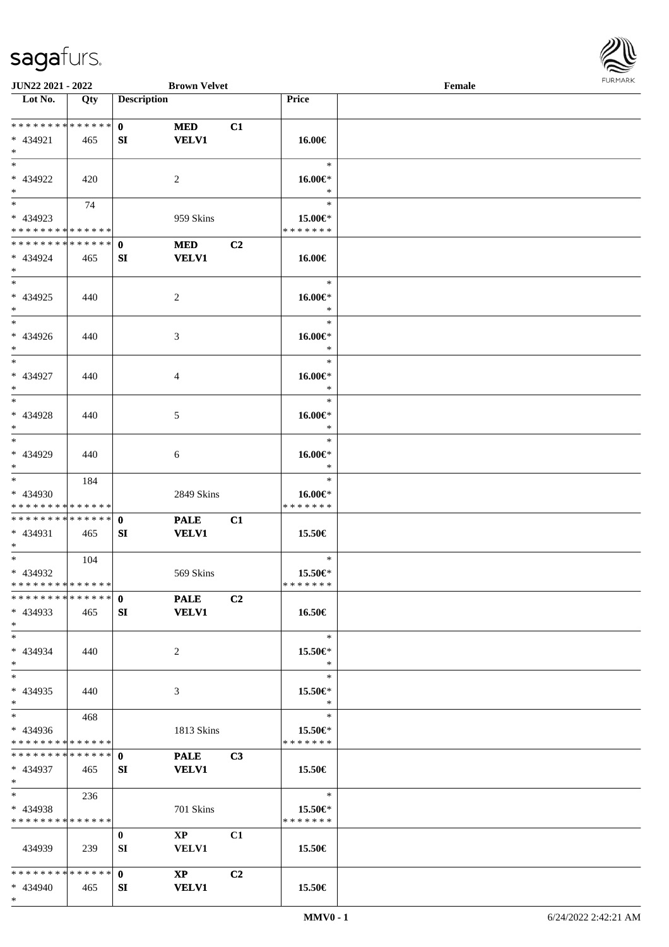\*



| <b>JUN22 2021 - 2022</b>                   |     |                    | <b>Brown Velvet</b>    |                |                   | Female |  |
|--------------------------------------------|-----|--------------------|------------------------|----------------|-------------------|--------|--|
| Lot No.                                    | Qty | <b>Description</b> |                        |                | <b>Price</b>      |        |  |
|                                            |     |                    |                        |                |                   |        |  |
| * * * * * * * * <mark>* * * * * * *</mark> |     | $\mathbf{0}$       | <b>MED</b>             | C1             |                   |        |  |
| * 434921                                   | 465 | SI                 | <b>VELV1</b>           |                | 16.00€            |        |  |
| $*$                                        |     |                    |                        |                |                   |        |  |
| $*$                                        |     |                    |                        |                | $\ast$            |        |  |
| * 434922                                   | 420 |                    | 2                      |                | 16.00€*           |        |  |
| $\ast$                                     |     |                    |                        |                | $\ast$            |        |  |
| $*$                                        | 74  |                    |                        |                | $\ast$            |        |  |
| * 434923                                   |     |                    | 959 Skins              |                | 15.00€*           |        |  |
| * * * * * * * * * * * * * *                |     |                    |                        |                | * * * * * * *     |        |  |
| * * * * * * * * * * * * * * *              |     | $\mathbf{0}$       | <b>MED</b>             | C <sub>2</sub> |                   |        |  |
| * 434924                                   | 465 | SI                 | <b>VELV1</b>           |                | 16.00€            |        |  |
| $*$                                        |     |                    |                        |                |                   |        |  |
| $*$                                        |     |                    |                        |                | $\ast$            |        |  |
| * 434925                                   |     |                    |                        |                |                   |        |  |
|                                            | 440 |                    | 2                      |                | 16.00€*<br>$\ast$ |        |  |
| $*$<br>$*$                                 |     |                    |                        |                | $\ast$            |        |  |
|                                            |     |                    |                        |                |                   |        |  |
| * 434926                                   | 440 |                    | 3                      |                | 16.00€*           |        |  |
| $*$                                        |     |                    |                        |                | $\ast$            |        |  |
| $*$                                        |     |                    |                        |                | $\ast$            |        |  |
| * 434927                                   | 440 |                    | 4                      |                | 16.00€*           |        |  |
| $*$                                        |     |                    |                        |                | $\ast$            |        |  |
|                                            |     |                    |                        |                | $\ast$            |        |  |
| * 434928                                   | 440 |                    | 5                      |                | 16.00€*           |        |  |
| $*$                                        |     |                    |                        |                | $\ast$            |        |  |
| $*$                                        |     |                    |                        |                | $\ast$            |        |  |
| * 434929                                   | 440 |                    | 6                      |                | 16.00€*           |        |  |
| $*$                                        |     |                    |                        |                | $\ast$            |        |  |
| $*$                                        | 184 |                    |                        |                | $\ast$            |        |  |
| * 434930                                   |     |                    | 2849 Skins             |                | 16.00€*           |        |  |
| * * * * * * * * * * * * * *                |     |                    |                        |                | * * * * * * *     |        |  |
| * * * * * * * * <mark>* * * * * * *</mark> |     | $\mathbf{0}$       | <b>PALE</b>            | C1             |                   |        |  |
| * 434931                                   | 465 | SI                 | <b>VELV1</b>           |                | 15.50€            |        |  |
| $*$ $*$                                    |     |                    |                        |                |                   |        |  |
| $*$                                        | 104 |                    |                        |                | $\ast$            |        |  |
| * 434932                                   |     |                    | 569 Skins              |                | 15.50€*           |        |  |
| * * * * * * * * * * * * * * *              |     |                    |                        |                | * * * * * * *     |        |  |
| * * * * * * * * * * * * * * *              |     | 0 PALE             |                        | C <sub>2</sub> |                   |        |  |
| $* 434933$                                 | 465 | SI                 | <b>VELV1</b>           |                | 16.50€            |        |  |
| $*$                                        |     |                    |                        |                |                   |        |  |
| $*$                                        |     |                    |                        |                | $\ast$            |        |  |
| * 434934                                   | 440 |                    | 2                      |                | 15.50€*           |        |  |
| $*$                                        |     |                    |                        |                | $\ast$            |        |  |
| $*$                                        |     |                    |                        |                | $\ast$            |        |  |
| * 434935                                   | 440 |                    | 3                      |                | 15.50€*           |        |  |
| $*$                                        |     |                    |                        |                | $\ast$            |        |  |
| $*$ $*$                                    | 468 |                    |                        |                | $\ast$            |        |  |
| * 434936                                   |     |                    | 1813 Skins             |                | 15.50€*           |        |  |
| * * * * * * * * * * * * * * *              |     |                    |                        |                | * * * * * * *     |        |  |
|                                            |     |                    | <b>PALE</b>            | C <sub>3</sub> |                   |        |  |
|                                            |     |                    |                        |                |                   |        |  |
| * 434937                                   | 465 | SI                 | <b>VELV1</b>           |                | 15.50€            |        |  |
| $*$ and $*$<br>$\ddot{x}$                  |     |                    |                        |                | $\mathbb{R}^n$    |        |  |
|                                            | 236 |                    |                        |                |                   |        |  |
| * 434938                                   |     |                    | 701 Skins              |                | 15.50 $\in$ *     |        |  |
| * * * * * * * * * * * * * * *              |     |                    |                        |                | * * * * * * *     |        |  |
|                                            |     | $\bf{0}$           | $\mathbf{X}\mathbf{P}$ | C1             |                   |        |  |
| 434939                                     | 239 | SI                 | <b>VELV1</b>           |                | 15.50€            |        |  |
|                                            |     |                    |                        |                |                   |        |  |
|                                            |     |                    | $\mathbf{X}\mathbf{P}$ | C <sub>2</sub> |                   |        |  |
| * 434940                                   | 465 | SI                 | <b>VELV1</b>           |                | 15.50€            |        |  |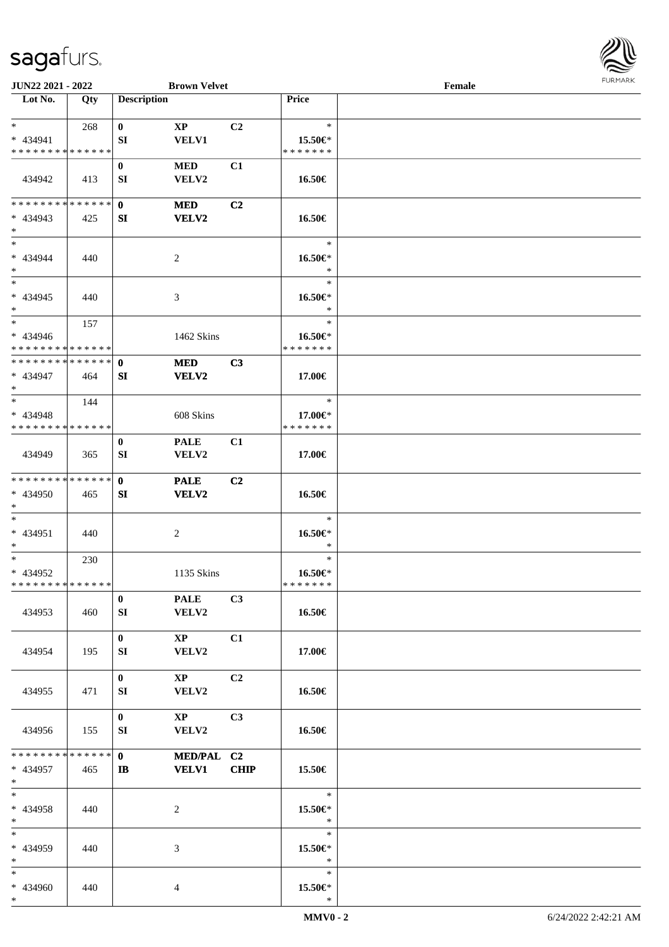

| JUN22 2021 - 2022                                    |     |                    | <b>Brown Velvet</b>                    |                |                                       | Female |  |
|------------------------------------------------------|-----|--------------------|----------------------------------------|----------------|---------------------------------------|--------|--|
| Lot No.                                              | Qty | <b>Description</b> |                                        |                | Price                                 |        |  |
| $*$ $*$<br>$* 434941$<br>* * * * * * * * * * * * * * | 268 | $\bf{0}$<br>SI     | $\mathbf{X}\mathbf{P}$<br><b>VELV1</b> | C <sub>2</sub> | $\ast$<br>15.50€*<br>* * * * * * *    |        |  |
| 434942                                               | 413 | $\bf{0}$<br>SI     | $\bf MED$<br>VELV2                     | C1             | 16.50€                                |        |  |
| * * * * * * * * * * * * * * *<br>$* 434943$<br>$*$   | 425 | $\mathbf{0}$<br>SI | <b>MED</b><br>VELV2                    | C2             | 16.50€                                |        |  |
| $*$<br>* 434944<br>$*$                               | 440 |                    | $\overline{c}$                         |                | $\ast$<br>16.50€*<br>$\ast$           |        |  |
| $\ast$<br>$* 434945$<br>$*$                          | 440 |                    | 3                                      |                | $\ast$<br>16.50€*<br>$\ast$           |        |  |
| $*$<br>* 434946<br>* * * * * * * * * * * * * *       | 157 |                    | 1462 Skins                             |                | $\ast$<br>16.50€*<br>* * * * * * *    |        |  |
| **************<br>* 434947<br>$*$                    | 464 | $\mathbf{0}$<br>SI | <b>MED</b><br><b>VELV2</b>             | C3             | 17.00€                                |        |  |
| $*$<br>* 434948<br>* * * * * * * * * * * * * *       | 144 |                    | 608 Skins                              |                | $\ast$<br>17.00€*<br>* * * * * * *    |        |  |
| 434949                                               | 365 | $\bf{0}$<br>SI     | <b>PALE</b><br>VELV2                   | C1             | 17.00€                                |        |  |
| * * * * * * * * * * * * * *<br>* 434950<br>$*$       | 465 | $\mathbf{0}$<br>SI | <b>PALE</b><br><b>VELV2</b>            | C2             | 16.50€                                |        |  |
| $*$<br>$* 434951$<br>$*$                             | 440 |                    | $\overline{c}$                         |                | $\ast$<br>16.50€*<br>$\ast$           |        |  |
| $*$<br>* 434952<br>* * * * * * * * * * * * * *       | 230 |                    | 1135 Skins                             |                | $\ast$<br>16.50€*<br>*******          |        |  |
| 434953                                               | 460 | $\bf{0}$<br>SI     | <b>PALE</b><br>VELV2                   | C3             | 16.50€                                |        |  |
| 434954                                               | 195 | $\mathbf{0}$<br>SI | $\mathbf{XP}$<br>VELV2                 | C1             | 17.00€                                |        |  |
| 434955                                               | 471 | $\bf{0}$<br>SI     | $\mathbf{X}\mathbf{P}$<br>VELV2        | C2             | 16.50€                                |        |  |
| 434956<br>* * * * * * * * * * * * * * *              | 155 | $\bf{0}$<br>SI     | $\mathbf{XP}$<br>VELV2                 | C3             | 16.50€                                |        |  |
| * 434957<br>$*$ $-$                                  | 465 | $\mathbf{0}$<br>IB | MED/PAL C2<br><b>VELV1</b>             | <b>CHIP</b>    | 15.50€                                |        |  |
| $*$<br>* 434958<br>$*$<br>$*$                        | 440 |                    | 2                                      |                | $\ast$<br>15.50€*<br>$\ast$<br>$\ast$ |        |  |
| * 434959<br>$*$                                      | 440 |                    | 3                                      |                | 15.50€*<br>$\ast$                     |        |  |
| $*$<br>* 434960<br>$*$                               | 440 |                    | 4                                      |                | $\ast$<br>15.50€*<br>$\ast$           |        |  |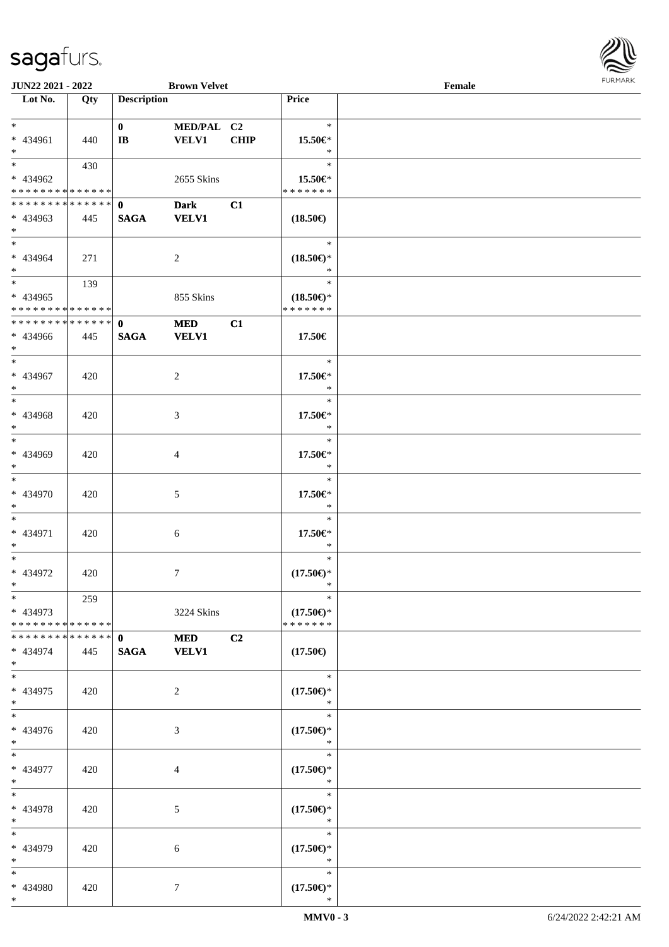

| <b>JUN22 2021 - 2022</b>                   |     |                    | <b>Brown Velvet</b> |             |                     | Female |  |
|--------------------------------------------|-----|--------------------|---------------------|-------------|---------------------|--------|--|
| Lot No.                                    | Qty | <b>Description</b> |                     |             | Price               |        |  |
|                                            |     |                    |                     |             |                     |        |  |
| $*$                                        |     | $\mathbf{0}$       | MED/PAL C2          |             | $\ast$              |        |  |
| * 434961                                   | 440 | $\bf{IB}$          | <b>VELV1</b>        | <b>CHIP</b> | 15.50€*             |        |  |
| $*$                                        |     |                    |                     |             | $\ast$              |        |  |
|                                            | 430 |                    |                     |             | $\ast$              |        |  |
| * 434962                                   |     |                    | 2655 Skins          |             | 15.50€*             |        |  |
| * * * * * * * * * * * * * *                |     |                    |                     |             | * * * * * * *       |        |  |
| * * * * * * * * * * * * * * *              |     |                    | <b>Dark</b>         |             |                     |        |  |
|                                            |     | $\mathbf{0}$       |                     | C1          |                     |        |  |
| * 434963                                   | 445 | <b>SAGA</b>        | <b>VELV1</b>        |             | $(18.50\epsilon)$   |        |  |
| $*$                                        |     |                    |                     |             |                     |        |  |
| $*$                                        |     |                    |                     |             | $\ast$              |        |  |
| * 434964                                   | 271 |                    | 2                   |             | $(18.50\epsilon)$ * |        |  |
| $*$                                        |     |                    |                     |             | $\ast$              |        |  |
| $*$                                        | 139 |                    |                     |             | $\ast$              |        |  |
| $* 434965$                                 |     |                    | 855 Skins           |             | $(18.50\epsilon)$ * |        |  |
| * * * * * * * * <mark>* * * * * * *</mark> |     |                    |                     |             | * * * * * * *       |        |  |
| * * * * * * * * * * * * * * *              |     | $\mathbf{0}$       | <b>MED</b>          | C1          |                     |        |  |
| * 434966                                   | 445 | <b>SAGA</b>        | <b>VELV1</b>        |             | 17.50€              |        |  |
| $*$                                        |     |                    |                     |             |                     |        |  |
| $*$                                        |     |                    |                     |             | $\ast$              |        |  |
| * 434967                                   | 420 |                    | 2                   |             | 17.50€*             |        |  |
| $*$                                        |     |                    |                     |             | $\ast$              |        |  |
|                                            |     |                    |                     |             | $\ast$              |        |  |
| * 434968                                   |     |                    |                     |             | 17.50€*             |        |  |
| $\ast$                                     | 420 |                    | 3                   |             | $\ast$              |        |  |
| $*$                                        |     |                    |                     |             | $\ast$              |        |  |
|                                            |     |                    |                     |             |                     |        |  |
| * 434969                                   | 420 |                    | 4                   |             | 17.50€*             |        |  |
| $*$                                        |     |                    |                     |             | $\ast$              |        |  |
| $\overline{\cdot}$                         |     |                    |                     |             | $\ast$              |        |  |
| * 434970                                   | 420 |                    | 5                   |             | 17.50€*             |        |  |
| $*$                                        |     |                    |                     |             | $\ast$              |        |  |
| $*$                                        |     |                    |                     |             | $\ast$              |        |  |
| * 434971                                   | 420 |                    | 6                   |             | 17.50€*             |        |  |
| $*$                                        |     |                    |                     |             | $\ast$              |        |  |
| $*$                                        |     |                    |                     |             | $\ast$              |        |  |
| * 434972                                   | 420 |                    | 7                   |             | $(17.50\epsilon)$ * |        |  |
| $*$                                        |     |                    |                     |             | $\ast$              |        |  |
| $*$                                        | 259 |                    |                     |             | $\ast$              |        |  |
| * 434973                                   |     |                    | 3224 Skins          |             | $(17.50\epsilon)$ * |        |  |
| * * * * * * * * * * * * * * *              |     |                    |                     |             | * * * * * * *       |        |  |
| * * * * * * * * * * * * * * *              |     | $\mathbf{0}$       | <b>MED</b>          | C2          |                     |        |  |
| * 434974                                   |     | <b>SAGA</b>        | <b>VELV1</b>        |             | $(17.50\epsilon)$   |        |  |
| $*$                                        | 445 |                    |                     |             |                     |        |  |
| $*$                                        |     |                    |                     |             | $\ast$              |        |  |
|                                            |     |                    |                     |             |                     |        |  |
| * 434975                                   | 420 |                    | 2                   |             | $(17.50\epsilon)$ * |        |  |
| $*$                                        |     |                    |                     |             | $\ast$              |        |  |
| $*$                                        |     |                    |                     |             | $\ast$              |        |  |
| * 434976                                   | 420 |                    | 3                   |             | $(17.50\epsilon)$ * |        |  |
| $*$                                        |     |                    |                     |             | $\ast$              |        |  |
| $*$                                        |     |                    |                     |             | $\ast$              |        |  |
| * 434977                                   | 420 |                    | 4                   |             | $(17.50\epsilon)$ * |        |  |
| $*$                                        |     |                    |                     |             | $\ast$              |        |  |
| $*$                                        |     |                    |                     |             | $\ast$              |        |  |
| * 434978                                   | 420 |                    | 5                   |             | $(17.50\epsilon)$ * |        |  |
| $*$                                        |     |                    |                     |             | $\ast$              |        |  |
| $*$                                        |     |                    |                     |             | $\ast$              |        |  |
| * 434979                                   | 420 |                    | 6                   |             | $(17.50\epsilon)$ * |        |  |
| $*$                                        |     |                    |                     |             | $\ast$              |        |  |
| $*$                                        |     |                    |                     |             | $\ast$              |        |  |
| * 434980                                   | 420 |                    | $\tau$              |             | $(17.50\epsilon)$ * |        |  |
| $*$                                        |     |                    |                     |             | $\ast$              |        |  |
|                                            |     |                    |                     |             |                     |        |  |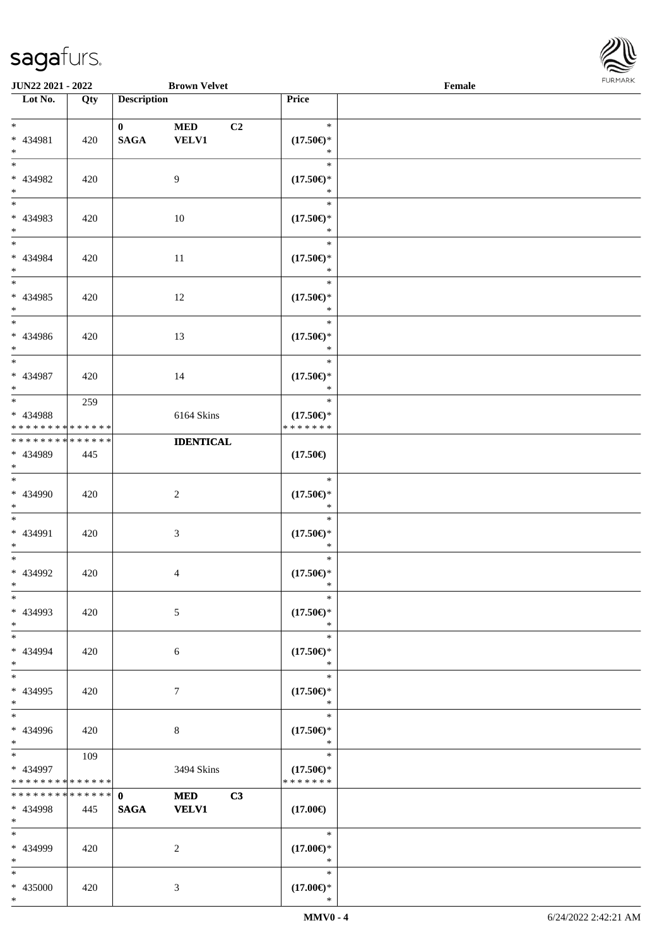\*



| <b>JUN22 2021 - 2022</b>                                                    |                    |                             | <b>Brown Velvet</b>                          |                                                | Female |  |
|-----------------------------------------------------------------------------|--------------------|-----------------------------|----------------------------------------------|------------------------------------------------|--------|--|
| Lot No.                                                                     | Qty                | <b>Description</b>          |                                              | Price                                          |        |  |
| $*$<br>* 434981<br>$*$                                                      | 420                | $\mathbf{0}$<br><b>SAGA</b> | <b>MED</b><br>C <sub>2</sub><br><b>VELV1</b> | $\ast$<br>$(17.50\epsilon)$ *<br>$\ast$        |        |  |
| $\overline{\ }$<br>* 434982<br>$*$                                          | 420                |                             | $\overline{9}$                               | $\ast$<br>$(17.50\epsilon)$ *<br>$\ast$        |        |  |
| * 434983<br>$\ast$                                                          | 420                |                             | 10                                           | $\ast$<br>$(17.50\epsilon)$ *<br>$\ast$        |        |  |
| $\ddot{x}$<br>* 434984<br>$*$                                               | 420                |                             | 11                                           | $\ast$<br>$(17.50\epsilon)$ *<br>$\ast$        |        |  |
| $\overline{\ast}$<br>* 434985<br>$*$                                        | 420                |                             | 12                                           | $\ast$<br>$(17.50\epsilon)$ *<br>$\ast$        |        |  |
| * 434986<br>$*$<br>$\overline{\ast}$                                        | 420                |                             | 13                                           | $\ast$<br>$(17.50\epsilon)$ *<br>$\ast$        |        |  |
| * 434987<br>$*$                                                             | 420                |                             | 14                                           | $\ast$<br>$(17.50\epsilon)$ *<br>$\ast$        |        |  |
| $\overline{\ast}$<br>* 434988<br>* * * * * * * * <mark>* * * * * * *</mark> | 259                |                             | 6164 Skins                                   | $\ast$<br>$(17.50\epsilon)$ *<br>* * * * * * * |        |  |
| * * * * * * * * * * * * * *<br>* 434989<br>$*$                              | 445                |                             | <b>IDENTICAL</b>                             | $(17.50\epsilon)$                              |        |  |
| $\ddot{x}$<br>* 434990<br>$*$                                               | 420                |                             | 2                                            | $\ast$<br>$(17.50\epsilon)$ *<br>$\ast$        |        |  |
| $*$<br>* 434991<br>$*$                                                      | 420                |                             | $\mathfrak{Z}$                               | $\ast$<br>$(17.50\epsilon)$ *<br>$\ast$        |        |  |
| $*$<br>* 434992<br>$*$                                                      | 420                |                             | $\overline{4}$                               | $\ast$<br>$(17.50\epsilon)$ *<br>$\ast$        |        |  |
| $\ast$<br>* 434993<br>$*$                                                   | 420                |                             | 5                                            | $\ast$<br>$(17.50\epsilon)$ *<br>$\ast$        |        |  |
| $*$<br>* 434994<br>$*$                                                      | 420                |                             | 6                                            | $\ast$<br>$(17.50\epsilon)$ *<br>$\ast$        |        |  |
| $*$<br>* 434995<br>$*$                                                      | 420                |                             | $7\phantom{.0}$                              | $\ast$<br>$(17.50\epsilon)$ *<br>$\ast$        |        |  |
| $\overline{\ast}$<br>* 434996<br>$*$                                        | 420                |                             | $\,8\,$                                      | $\ast$<br>$(17.50\epsilon)$ *<br>$\ast$        |        |  |
| $\overline{\mathbf{r}}$<br>* 434997<br>* * * * * * * *                      | 109<br>* * * * * * |                             | 3494 Skins                                   | $\ast$<br>$(17.50\epsilon)$ *<br>* * * * * * * |        |  |
| * * * * * * * *<br>* 434998<br>$*$                                          | * * * * * *<br>445 | $\mathbf{0}$<br><b>SAGA</b> | C3<br><b>MED</b><br><b>VELV1</b>             | $(17.00\epsilon)$                              |        |  |
| $\ast$<br>* 434999<br>$*$                                                   | 420                |                             | 2                                            | $\ast$<br>$(17.00\epsilon)$ *<br>$\ast$        |        |  |
| $*$<br>* 435000<br>$\ast$                                                   | 420                |                             | 3                                            | $\ast$<br>$(17.00\epsilon)$ *<br>$\ast$        |        |  |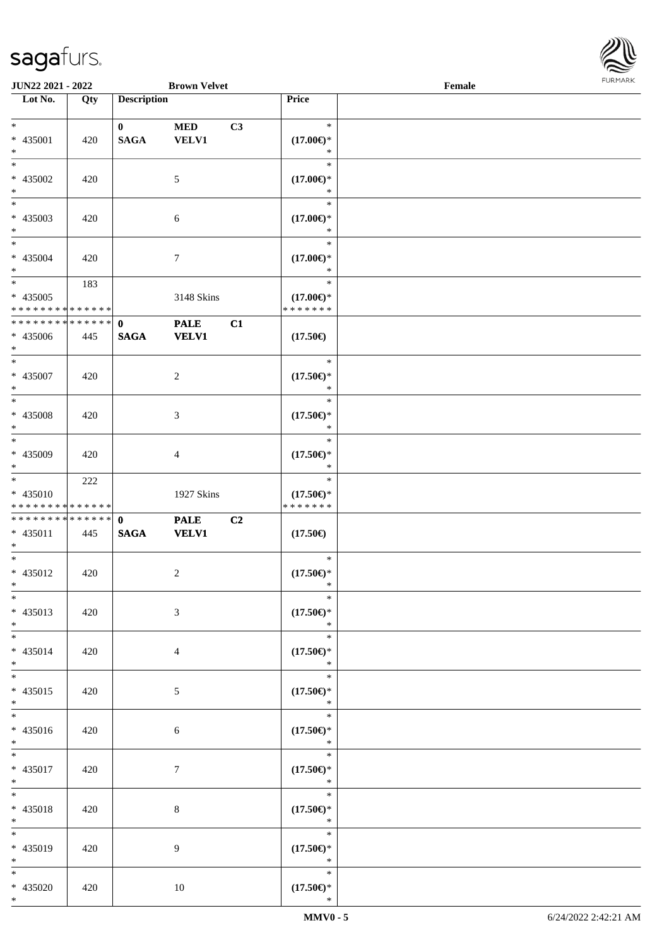

| <b>JUN22 2021 - 2022</b>                   |     |                    | <b>Brown Velvet</b> |                |                                      | Female |  |
|--------------------------------------------|-----|--------------------|---------------------|----------------|--------------------------------------|--------|--|
| Lot No.                                    | Qty | <b>Description</b> |                     |                | Price                                |        |  |
|                                            |     |                    |                     |                |                                      |        |  |
| $*$                                        |     | $\mathbf{0}$       | <b>MED</b>          | C3             | $\ast$                               |        |  |
| * 435001                                   | 420 | <b>SAGA</b>        | <b>VELV1</b>        |                | $(17.00\epsilon)$ *                  |        |  |
| $\ast$                                     |     |                    |                     |                | ∗                                    |        |  |
| $*$                                        |     |                    |                     |                | $\ast$                               |        |  |
| * 435002                                   | 420 |                    | 5                   |                | $(17.00\epsilon)$ *                  |        |  |
| $*$                                        |     |                    |                     |                | *                                    |        |  |
|                                            |     |                    |                     |                | $\ast$                               |        |  |
| * 435003                                   | 420 |                    | 6                   |                | $(17.00\epsilon)$ *                  |        |  |
| $*$                                        |     |                    |                     |                | *                                    |        |  |
| $*$                                        |     |                    |                     |                | $\ast$                               |        |  |
| $* 435004$                                 | 420 |                    | 7                   |                | $(17.00\epsilon)$ *                  |        |  |
| $*$                                        |     |                    |                     |                | $\ast$                               |        |  |
| $*$                                        | 183 |                    |                     |                | $\ast$                               |        |  |
| $* 435005$                                 |     |                    | 3148 Skins          |                | $(17.00\epsilon)$ *                  |        |  |
| * * * * * * * * <mark>* * * * * * *</mark> |     |                    |                     |                | * * * * * * *                        |        |  |
| * * * * * * * * * * * * * * *              |     | $\mathbf 0$        | <b>PALE</b>         | C1             |                                      |        |  |
| * 435006                                   | 445 | <b>SAGA</b>        | <b>VELV1</b>        |                | $(17.50\epsilon)$                    |        |  |
| $*$                                        |     |                    |                     |                |                                      |        |  |
| $*$                                        |     |                    |                     |                | $\ast$                               |        |  |
| * 435007                                   | 420 |                    | 2                   |                | $(17.50\epsilon)$ *                  |        |  |
| $\ast$                                     |     |                    |                     |                | $\ast$                               |        |  |
|                                            |     |                    |                     |                | $\ast$                               |        |  |
| * 435008                                   | 420 |                    | 3                   |                | $(17.50\epsilon)$ *                  |        |  |
| $\ast$                                     |     |                    |                     |                | $\ast$                               |        |  |
|                                            |     |                    |                     |                | $\ast$                               |        |  |
| * 435009                                   | 420 |                    | 4                   |                | $(17.50\epsilon)$ *                  |        |  |
| $*$                                        |     |                    |                     |                | *                                    |        |  |
| $*$                                        | 222 |                    |                     |                | $\ast$                               |        |  |
| * 435010<br>* * * * * * * * * * * * * *    |     |                    | 1927 Skins          |                | $(17.50\epsilon)$ *<br>* * * * * * * |        |  |
| * * * * * * * * * * * * * * *              |     |                    |                     |                |                                      |        |  |
|                                            |     | $\mathbf{0}$       | <b>PALE</b>         | C <sub>2</sub> |                                      |        |  |
| $* 435011$<br>$*$                          | 445 | <b>SAGA</b>        | <b>VELV1</b>        |                | $(17.50\epsilon)$                    |        |  |
| $*$                                        |     |                    |                     |                | $\ast$                               |        |  |
| * 435012                                   | 420 |                    | 2                   |                | $(17.50\epsilon)$ *                  |        |  |
| $*$                                        |     |                    |                     |                | $\ast$                               |        |  |
| $\ast$                                     |     |                    |                     |                | $\ast$                               |        |  |
| $* 435013$                                 | 420 |                    | 3                   |                | $(17.50\epsilon)$ *                  |        |  |
| $*$                                        |     |                    |                     |                | $\ast$                               |        |  |
| $*$                                        |     |                    |                     |                | $\ast$                               |        |  |
| * 435014                                   | 420 |                    | 4                   |                | $(17.50\epsilon)$ *                  |        |  |
| $*$                                        |     |                    |                     |                | $\ast$                               |        |  |
| $*$                                        |     |                    |                     |                | $\ast$                               |        |  |
| $* 435015$                                 | 420 |                    | 5                   |                | $(17.50\epsilon)$ *                  |        |  |
| $*$                                        |     |                    |                     |                | $\ast$                               |        |  |
| $*$                                        |     |                    |                     |                | $\ast$                               |        |  |
| * 435016                                   | 420 |                    | 6                   |                | $(17.50\epsilon)$ *                  |        |  |
| $*$                                        |     |                    |                     |                | $\ast$                               |        |  |
| $*$                                        |     |                    |                     |                | $\ast$                               |        |  |
| * 435017                                   | 420 |                    | 7                   |                | $(17.50\epsilon)$ *                  |        |  |
| $*$                                        |     |                    |                     |                | $\ast$                               |        |  |
| $*$                                        |     |                    |                     |                | $\ast$                               |        |  |
| * 435018                                   | 420 |                    | 8                   |                | $(17.50\epsilon)$ *                  |        |  |
| $*$                                        |     |                    |                     |                | $\ast$                               |        |  |
| $*$                                        |     |                    |                     |                | $\ast$                               |        |  |
| * 435019                                   | 420 |                    | 9                   |                | $(17.50\epsilon)$ *                  |        |  |
| $*$                                        |     |                    |                     |                | $\ast$                               |        |  |
| $*$                                        |     |                    |                     |                | $\ast$                               |        |  |
| * 435020                                   | 420 |                    | 10                  |                | $(17.50\epsilon)$ *                  |        |  |
| $*$                                        |     |                    |                     |                | $\ast$                               |        |  |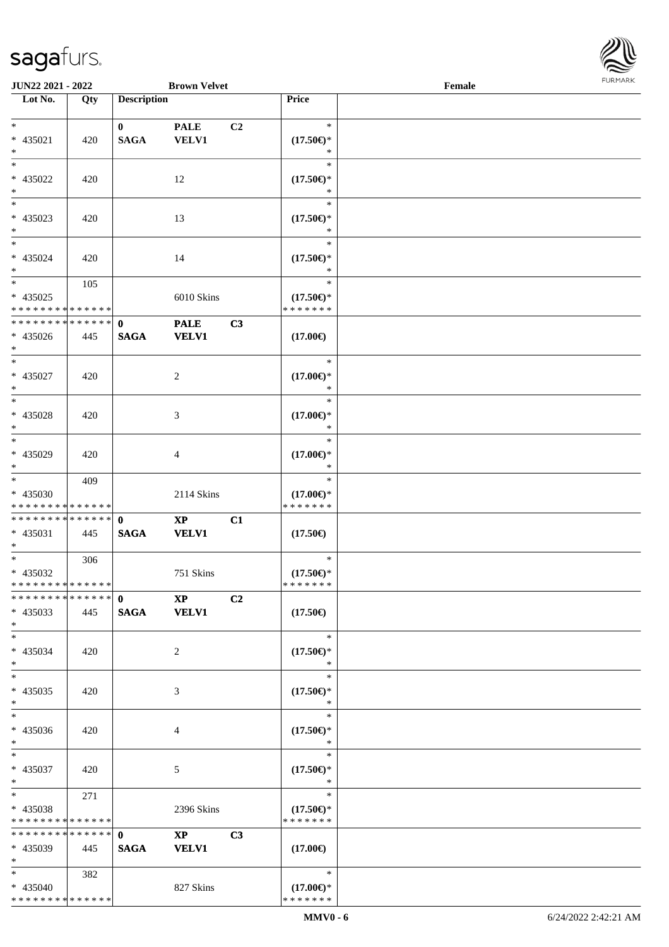

| JUN22 2021 - 2022                  |     |                    | <b>Brown Velvet</b>     |    |                     | Female |  |
|------------------------------------|-----|--------------------|-------------------------|----|---------------------|--------|--|
| Lot No.                            | Qty | <b>Description</b> |                         |    | Price               |        |  |
|                                    |     |                    |                         |    |                     |        |  |
| $\ast$                             |     | $\mathbf{0}$       | <b>PALE</b>             | C2 | $\ast$              |        |  |
| * 435021                           | 420 | <b>SAGA</b>        | <b>VELV1</b>            |    | $(17.50\epsilon)$ * |        |  |
| $\ast$                             |     |                    |                         |    | $\ast$              |        |  |
| $\ast$                             |     |                    |                         |    | $\ast$              |        |  |
|                                    |     |                    |                         |    |                     |        |  |
| * 435022                           | 420 |                    | 12                      |    | $(17.50\epsilon)$ * |        |  |
| $\ast$                             |     |                    |                         |    | $\ast$              |        |  |
| $\overline{\phantom{a}^*}$         |     |                    |                         |    | $\ast$              |        |  |
| * 435023                           | 420 |                    | 13                      |    | $(17.50\epsilon)$ * |        |  |
| $\ast$                             |     |                    |                         |    | *                   |        |  |
| $\overline{\ast}$                  |     |                    |                         |    | $\ast$              |        |  |
| $* 435024$                         | 420 |                    | 14                      |    | $(17.50\epsilon)$ * |        |  |
| $\ast$                             |     |                    |                         |    | $\ast$              |        |  |
| $\ast$                             | 105 |                    |                         |    | $\ast$              |        |  |
| $* 435025$                         |     |                    | 6010 Skins              |    | $(17.50\epsilon)$ * |        |  |
| * * * * * * * * * * * * * *        |     |                    |                         |    | * * * * * * *       |        |  |
|                                    |     |                    |                         |    |                     |        |  |
| **************                     |     | $\mathbf{0}$       | <b>PALE</b>             | C3 |                     |        |  |
| $* 435026$                         | 445 | <b>SAGA</b>        | <b>VELV1</b>            |    | $(17.00\epsilon)$   |        |  |
| $*$                                |     |                    |                         |    |                     |        |  |
| $\ast$                             |     |                    |                         |    | $\ast$              |        |  |
| * 435027                           | 420 |                    | $\overline{c}$          |    | $(17.00\epsilon)$ * |        |  |
| $\ast$                             |     |                    |                         |    | $\ast$              |        |  |
| $\ast$                             |     |                    |                         |    | $\ast$              |        |  |
| $* 435028$                         | 420 |                    | 3                       |    | $(17.00\epsilon)$ * |        |  |
| $\ast$                             |     |                    |                         |    | $\ast$              |        |  |
| $\overline{\phantom{a}^*}$         |     |                    |                         |    | $\ast$              |        |  |
|                                    |     |                    |                         |    |                     |        |  |
| $* 435029$                         | 420 |                    | 4                       |    | $(17.00\epsilon)$ * |        |  |
| $\ast$<br>$\overline{\phantom{0}}$ |     |                    |                         |    | $\ast$              |        |  |
|                                    | 409 |                    |                         |    | $\ast$              |        |  |
| * 435030                           |     |                    | 2114 Skins              |    | $(17.00\epsilon)$ * |        |  |
| * * * * * * * * * * * * * *        |     |                    |                         |    | * * * * * * *       |        |  |
| **************                     |     | $\mathbf{0}$       | $\mathbf{XP}$           | C1 |                     |        |  |
| $* 435031$                         | 445 | <b>SAGA</b>        | <b>VELV1</b>            |    | $(17.50\epsilon)$   |        |  |
| $*$                                |     |                    |                         |    |                     |        |  |
| $*$                                | 306 |                    |                         |    | $\ast$              |        |  |
| $* 435032$                         |     |                    | 751 Skins               |    | $(17.50\epsilon)$ * |        |  |
| **************                     |     |                    |                         |    | * * * * * * *       |        |  |
| * * * * * * * * * * * * * * *      |     | $\mathbf{0}$       | $\mathbf{X} \mathbf{P}$ | C2 |                     |        |  |
| $* 435033$                         | 445 |                    | SAGA VELV1              |    | $(17.50\epsilon)$   |        |  |
| $*$                                |     |                    |                         |    |                     |        |  |
| $*$                                |     |                    |                         |    | $\ast$              |        |  |
| * 435034                           | 420 |                    | 2                       |    | $(17.50\epsilon)$ * |        |  |
| $*$                                |     |                    |                         |    | ∗                   |        |  |
| $\overline{\phantom{1}}$           |     |                    |                         |    | $\ast$              |        |  |
| * 435035                           |     |                    | 3                       |    | $(17.50\epsilon)$ * |        |  |
| $*$                                | 420 |                    |                         |    | $\ast$              |        |  |
| $\ast$                             |     |                    |                         |    |                     |        |  |
|                                    |     |                    |                         |    | $\ast$              |        |  |
| * 435036                           | 420 |                    | 4                       |    | $(17.50\epsilon)$ * |        |  |
| $*$                                |     |                    |                         |    | $\ast$              |        |  |
| $*$                                |     |                    |                         |    | $\ast$              |        |  |
| * 435037                           | 420 |                    | $\mathfrak{S}$          |    | $(17.50\epsilon)$ * |        |  |
| $*$                                |     |                    |                         |    | $\ast$              |        |  |
| $*$                                | 271 |                    |                         |    | $\ast$              |        |  |
| * 435038                           |     |                    | 2396 Skins              |    | $(17.50\epsilon)$ * |        |  |
| * * * * * * * * * * * * * *        |     |                    |                         |    | * * * * * * *       |        |  |
| * * * * * * * * * * * * * *        |     | $\mathbf{0}$       | $\mathbf{XP}$           | C3 |                     |        |  |
| * 435039                           | 445 | <b>SAGA</b>        | <b>VELV1</b>            |    | $(17.00\epsilon)$   |        |  |
| $*$                                |     |                    |                         |    |                     |        |  |
| $*$                                | 382 |                    |                         |    | $\ast$              |        |  |
| $* 435040$                         |     |                    | 827 Skins               |    | $(17.00\epsilon)$ * |        |  |
| * * * * * * * * * * * * * *        |     |                    |                         |    | * * * * * * *       |        |  |
|                                    |     |                    |                         |    |                     |        |  |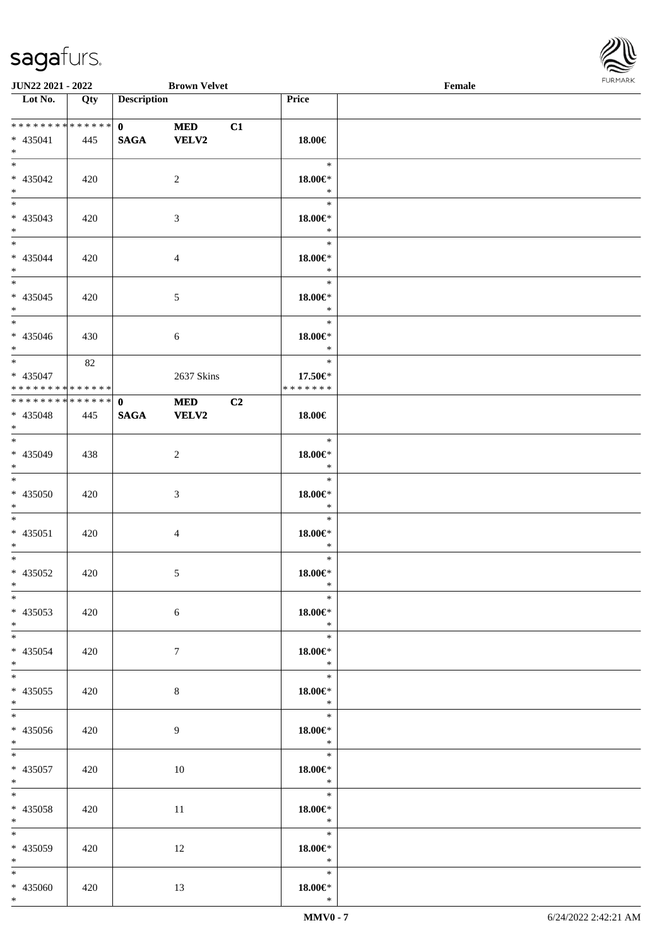

| <b>JUN22 2021 - 2022</b>                   |     |                    | <b>Brown Velvet</b> |                |                   | Female |  |
|--------------------------------------------|-----|--------------------|---------------------|----------------|-------------------|--------|--|
| Lot No.                                    | Qty | <b>Description</b> |                     |                | Price             |        |  |
|                                            |     |                    |                     |                |                   |        |  |
| **************                             |     | $\mathbf{0}$       | <b>MED</b>          | C1             |                   |        |  |
| * 435041                                   | 445 | <b>SAGA</b>        | <b>VELV2</b>        |                | 18.00€            |        |  |
| $*$                                        |     |                    |                     |                |                   |        |  |
|                                            |     |                    |                     |                | $\ast$            |        |  |
| * 435042                                   | 420 |                    | 2                   |                | $18.00 \in$ *     |        |  |
| $*$                                        |     |                    |                     |                | $\ast$            |        |  |
|                                            |     |                    |                     |                | $\ast$            |        |  |
| * 435043                                   | 420 |                    | 3                   |                | $18.00 \in$ *     |        |  |
| $*$                                        |     |                    |                     |                | $\ast$            |        |  |
| $*$                                        |     |                    |                     |                | $\ast$            |        |  |
| * 435044                                   | 420 |                    | $\overline{4}$      |                | $18.00 \in$ *     |        |  |
| $*$                                        |     |                    |                     |                | $\ast$<br>$\ast$  |        |  |
|                                            |     |                    |                     |                |                   |        |  |
| $* 435045$                                 | 420 |                    | 5                   |                | 18.00€*<br>$\ast$ |        |  |
| $*$                                        |     |                    |                     |                | $\ast$            |        |  |
|                                            |     |                    |                     |                | $18.00 \in$       |        |  |
| * 435046<br>$*$                            | 430 |                    | 6                   |                | $\ast$            |        |  |
| $*$                                        | 82  |                    |                     |                | $\ast$            |        |  |
| * 435047                                   |     |                    | 2637 Skins          |                | 17.50€*           |        |  |
| * * * * * * * * <mark>* * * * * *</mark>   |     |                    |                     |                | * * * * * * *     |        |  |
| * * * * * * * * <mark>* * * * * * *</mark> |     | $\mathbf{0}$       | <b>MED</b>          | C <sub>2</sub> |                   |        |  |
| * 435048                                   | 445 | <b>SAGA</b>        | <b>VELV2</b>        |                | 18.00€            |        |  |
| $*$                                        |     |                    |                     |                |                   |        |  |
|                                            |     |                    |                     |                | $\ast$            |        |  |
| * 435049                                   | 438 |                    | 2                   |                | $18.00 \in$ *     |        |  |
| $*$                                        |     |                    |                     |                | $\ast$            |        |  |
| $*$                                        |     |                    |                     |                | $\ast$            |        |  |
| * 435050                                   | 420 |                    | $\mathfrak{Z}$      |                | $18.00 \in$ *     |        |  |
| $*$                                        |     |                    |                     |                | $\ast$            |        |  |
| $*$ $-$                                    |     |                    |                     |                | $\ast$            |        |  |
| * 435051                                   | 420 |                    | 4                   |                | $18.00 \in$       |        |  |
| $*$                                        |     |                    |                     |                | $\ast$            |        |  |
| $*$ $-$                                    |     |                    |                     |                | $\ast$            |        |  |
| * 435052                                   | 420 |                    | $\mathfrak{S}$      |                | $18.00 \in$ *     |        |  |
| $*$ $-$                                    |     |                    |                     |                | $\ast$            |        |  |
| $*$                                        |     |                    |                     |                | $\ast$            |        |  |
| * 435053                                   | 420 |                    | 6                   |                | $18.00 \in$ *     |        |  |
| $*$<br>$*$ $*$                             |     |                    |                     |                | $\ast$<br>$\ast$  |        |  |
| * 435054                                   | 420 |                    | $7\phantom{.0}$     |                | $18.00 \in$ *     |        |  |
| $*$                                        |     |                    |                     |                | $\ast$            |        |  |
| $*$                                        |     |                    |                     |                | $\ast$            |        |  |
| * 435055                                   | 420 |                    | 8                   |                | $18.00 \in$ *     |        |  |
| $*$                                        |     |                    |                     |                | $\rightarrow$     |        |  |
|                                            |     |                    |                     |                | $\ast$            |        |  |
| * 435056                                   | 420 |                    | 9                   |                | $18.00 \in$ *     |        |  |
| $*$                                        |     |                    |                     |                | $\mathbb{R}^2$    |        |  |
| $\ddot{x}$                                 |     |                    |                     |                | $\ast$            |        |  |
| * 435057                                   | 420 |                    | 10                  |                | 18.00€*           |        |  |
| $*$ $-$                                    |     |                    |                     |                | $\ast$            |        |  |
| $*$ $-$                                    |     |                    |                     |                | $\ast$            |        |  |
| * 435058                                   | 420 |                    | 11                  |                | 18.00€*           |        |  |
| $*$                                        |     |                    |                     |                | $\ast$            |        |  |
| $*$                                        |     |                    |                     |                | $\ast$            |        |  |
| * 435059                                   | 420 |                    | 12                  |                | 18.00€*<br>$\ast$ |        |  |
| $*$ $\qquad$<br>$*$                        |     |                    |                     |                | $\ast$            |        |  |
| * 435060                                   | 420 |                    | 13                  |                | $18.00 \in$ *     |        |  |
| $*$                                        |     |                    |                     |                | $\ast$            |        |  |
|                                            |     |                    |                     |                |                   |        |  |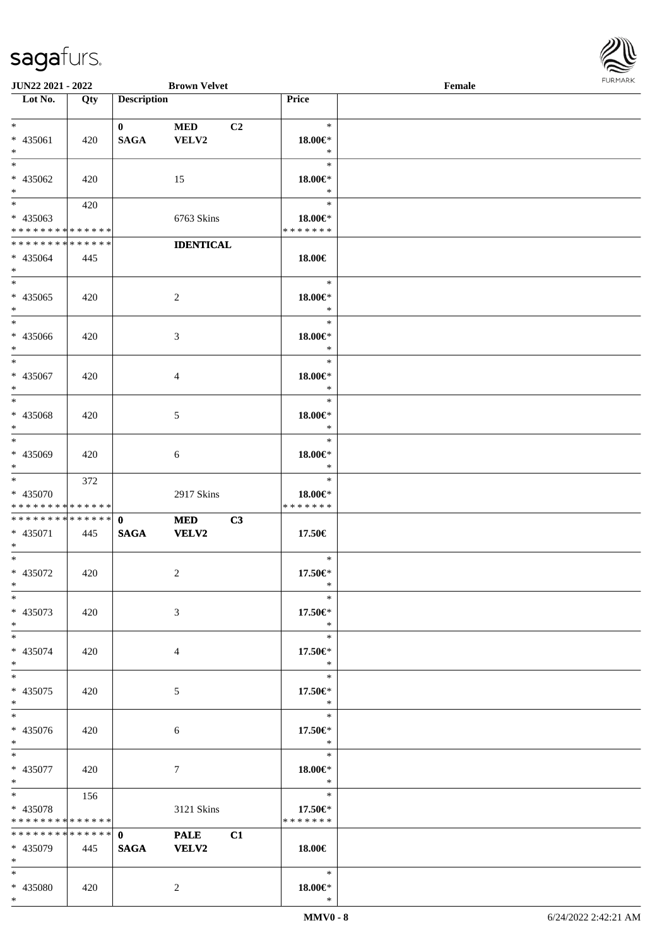\*



| JUN22 2021 - 2022                                                 |     |                             | <b>Brown Velvet</b>               |                                    | $1 \times 1 \times 1 \times 1 \times 1$<br>Female |  |  |  |
|-------------------------------------------------------------------|-----|-----------------------------|-----------------------------------|------------------------------------|---------------------------------------------------|--|--|--|
| Lot No.                                                           | Qty | <b>Description</b>          |                                   | Price                              |                                                   |  |  |  |
| $*$ $*$<br>* 435061<br>$*$                                        | 420 | $\mathbf{0}$<br><b>SAGA</b> | <b>MED</b><br>C2<br>VELV2         | $\ast$<br>18.00€*<br>$\ast$        |                                                   |  |  |  |
| $\overline{\ }$<br>* 435062<br>$*$                                | 420 |                             | 15                                | $\ast$<br>18.00€*<br>$\ast$        |                                                   |  |  |  |
| $*$<br>* 435063<br>* * * * * * * * * * * * * *                    | 420 |                             | 6763 Skins                        | $\ast$<br>18.00€*<br>* * * * * * * |                                                   |  |  |  |
| * * * * * * * * * * * * * *<br>* 435064<br>$*$                    | 445 |                             | <b>IDENTICAL</b>                  | 18.00€                             |                                                   |  |  |  |
| * 435065<br>$*$                                                   | 420 |                             | 2                                 | $\ast$<br>18.00€*<br>$\ast$        |                                                   |  |  |  |
| $*$<br>* 435066<br>$*$                                            | 420 |                             | $\mathfrak{Z}$                    | $\ast$<br>18.00€*<br>$\ast$        |                                                   |  |  |  |
| $*$<br>* 435067<br>$*$                                            | 420 |                             | $\overline{4}$                    | $\ast$<br>18.00€*<br>$\ast$        |                                                   |  |  |  |
| $\overline{\phantom{0}}$<br>* 435068<br>$*$                       | 420 |                             | 5                                 | $\ast$<br>18.00€*<br>$\ast$        |                                                   |  |  |  |
| $*$<br>* 435069<br>$*$                                            | 420 |                             | 6                                 | $\ast$<br>18.00€*<br>$\ast$        |                                                   |  |  |  |
| * 435070<br>* * * * * * * * * * * * * *                           | 372 |                             | 2917 Skins                        | $\ast$<br>18.00€*<br>* * * * * * * |                                                   |  |  |  |
| * * * * * * * * * * * * * * <mark>*</mark><br>* 435071<br>$*$     | 445 | $\mathbf{0}$<br><b>SAGA</b> | <b>MED</b><br>C3<br><b>VELV2</b>  | 17.50€                             |                                                   |  |  |  |
| $*$<br>* 435072<br>$*$ $-$                                        | 420 |                             | $\overline{c}$                    | $\ast$<br>17.50€*<br>$\ast$        |                                                   |  |  |  |
| $*$<br>* 435073<br>$*$                                            | 420 |                             | $\mathfrak{Z}$                    | $\ast$<br>17.50€*<br>$\ast$        |                                                   |  |  |  |
| $*$ $-$<br>* 435074<br>$*$                                        | 420 |                             | $\overline{4}$                    | $\ast$<br>17.50€*<br>$\ast$        |                                                   |  |  |  |
| $*$<br>* 435075<br>$*$                                            | 420 |                             | 5                                 | $\ast$<br>17.50€*<br>$\ast$        |                                                   |  |  |  |
| $*$<br>* 435076<br>$*$                                            | 420 |                             | 6                                 | $\ast$<br>17.50€*<br>$\ast$        |                                                   |  |  |  |
| $*$<br>* 435077<br>$*$                                            | 420 |                             | $\tau$                            | $\ast$<br>18.00€*<br>$\ddot{x}$    |                                                   |  |  |  |
| $*$ $*$<br>* 435078<br>* * * * * * * * <mark>* * * * * *</mark>   | 156 |                             | 3121 Skins                        | $\ast$<br>17.50€*<br>* * * * * * * |                                                   |  |  |  |
| * * * * * * * * <mark>* * * * * * *</mark><br>* 435079<br>$*$ $-$ | 445 | $\mathbf{0}$<br><b>SAGA</b> | <b>PALE</b><br>C1<br><b>VELV2</b> | $18.00 \in$                        |                                                   |  |  |  |
| $*$ $-$<br>* 435080<br>$*$                                        | 420 |                             | 2                                 | $\ast$<br>18.00€*<br>$\ast$        |                                                   |  |  |  |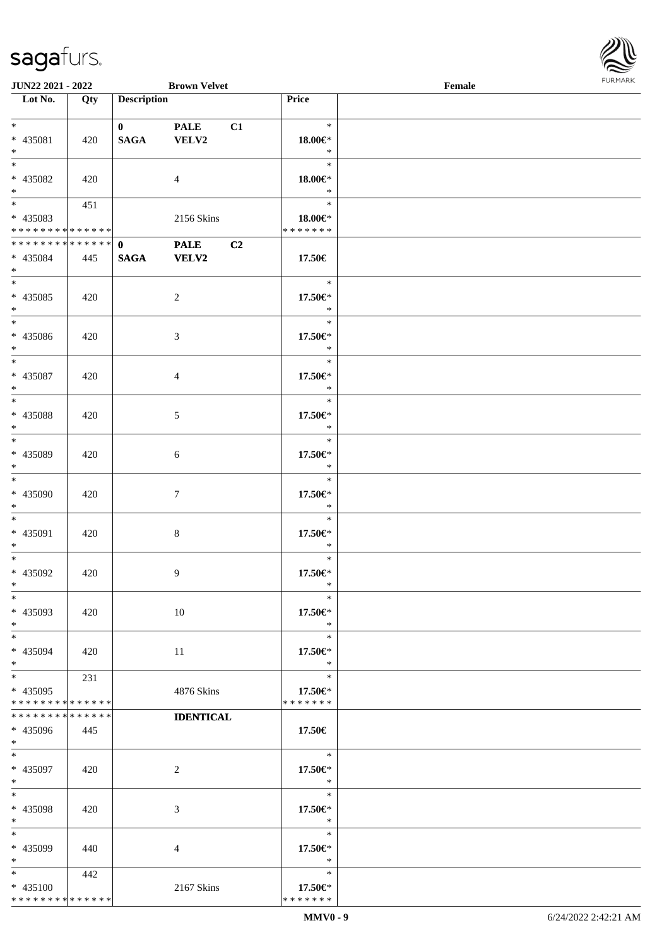

| JUN22 2021 - 2022           |     |                    | <b>Brown Velvet</b> |                    | Female |  |
|-----------------------------|-----|--------------------|---------------------|--------------------|--------|--|
| Lot No.                     | Qty | <b>Description</b> |                     | Price              |        |  |
|                             |     |                    |                     |                    |        |  |
| $*$                         |     | $\mathbf{0}$       | <b>PALE</b><br>C1   | $\ast$             |        |  |
| * 435081                    | 420 | <b>SAGA</b>        | VELV2               | $18.00 \in$ *      |        |  |
| $\ast$                      |     |                    |                     | $\ast$             |        |  |
| $\overline{\phantom{0}}$    |     |                    |                     | $\ast$             |        |  |
| * 435082                    | 420 |                    | $\overline{4}$      | 18.00€*            |        |  |
| $\ast$                      |     |                    |                     | $\ast$             |        |  |
|                             | 451 |                    |                     | $\ast$             |        |  |
| * 435083                    |     |                    | 2156 Skins          | 18.00€*            |        |  |
| * * * * * * * * * * * * * * |     |                    |                     | * * * * * * *      |        |  |
| **************              |     | $\mathbf{0}$       | <b>PALE</b><br>C2   |                    |        |  |
| * 435084                    | 445 | <b>SAGA</b>        | <b>VELV2</b>        | 17.50€             |        |  |
| $*$                         |     |                    |                     |                    |        |  |
| $\overline{\phantom{0}}$    |     |                    |                     | $\ast$             |        |  |
|                             |     |                    |                     |                    |        |  |
| * 435085                    | 420 |                    | $\overline{c}$      | 17.50€*            |        |  |
| $\ast$                      |     |                    |                     | $\ast$             |        |  |
| $\overline{\phantom{a}^*}$  |     |                    |                     | $\ast$             |        |  |
| * 435086                    | 420 |                    | $\mathfrak{Z}$      | 17.50€*            |        |  |
| $\ast$                      |     |                    |                     | $\ast$             |        |  |
| $\overline{\ast}$           |     |                    |                     | $\ast$             |        |  |
| * 435087                    | 420 |                    | $\overline{4}$      | 17.50€*            |        |  |
| $\ast$                      |     |                    |                     | $\ast$             |        |  |
| $*$                         |     |                    |                     | $\ast$             |        |  |
| * 435088                    | 420 |                    | $\mathfrak{S}$      | 17.50€*            |        |  |
| $\ast$                      |     |                    |                     | $\ast$             |        |  |
| $\overline{\phantom{0}}$    |     |                    |                     | $\ast$             |        |  |
| * 435089                    | 420 |                    | $\sqrt{6}$          | 17.50€*            |        |  |
| $\ast$                      |     |                    |                     | $\ast$             |        |  |
| $\overline{\phantom{0}}$    |     |                    |                     | $\ast$             |        |  |
| * 435090                    | 420 |                    | $\tau$              | $17.50 \text{E}^*$ |        |  |
| $*$                         |     |                    |                     | $\ast$             |        |  |
| $*$                         |     |                    |                     | $\ast$             |        |  |
|                             |     |                    |                     |                    |        |  |
| $* 435091$                  | 420 |                    | $\,8\,$             | 17.50€*            |        |  |
| $*$                         |     |                    |                     | $\ast$             |        |  |
| $*$                         |     |                    |                     | $\ast$             |        |  |
| * 435092                    | 420 |                    | 9                   | $17.50 \in$        |        |  |
| $*$                         |     |                    |                     | $\ast$             |        |  |
| $*$                         |     |                    |                     | $\ast$             |        |  |
| * 435093                    | 420 |                    | 10                  | 17.50€*            |        |  |
| $*$                         |     |                    |                     | $\ast$             |        |  |
| $*$                         |     |                    |                     | $\ast$             |        |  |
| * 435094                    | 420 |                    | 11                  | 17.50€*            |        |  |
| $*$                         |     |                    |                     | $\ast$             |        |  |
| $*$                         | 231 |                    |                     | $\ast$             |        |  |
| * 435095                    |     |                    | 4876 Skins          | 17.50€*            |        |  |
| * * * * * * * * * * * * * * |     |                    |                     | * * * * * * *      |        |  |
| * * * * * * * * * * * * * * |     |                    | <b>IDENTICAL</b>    |                    |        |  |
| * 435096                    | 445 |                    |                     | 17.50€             |        |  |
| $*$                         |     |                    |                     |                    |        |  |
| $*$                         |     |                    |                     | $\ast$             |        |  |
| * 435097                    | 420 |                    | $\overline{c}$      | 17.50€*            |        |  |
| $*$                         |     |                    |                     | $\ast$             |        |  |
| $\ast$                      |     |                    |                     | $\ast$             |        |  |
|                             |     |                    |                     |                    |        |  |
| * 435098                    | 420 |                    | 3                   | 17.50€*            |        |  |
| $*$                         |     |                    |                     | $\ast$             |        |  |
| $\ast$                      |     |                    |                     | $\ast$             |        |  |
| * 435099                    | 440 |                    | 4                   | 17.50€*            |        |  |
| $\ast$                      |     |                    |                     | $\ast$             |        |  |
| $*$                         | 442 |                    |                     | $\ast$             |        |  |
| * 435100                    |     |                    | 2167 Skins          | 17.50€*            |        |  |
| * * * * * * * * * * * * * * |     |                    |                     | * * * * * * *      |        |  |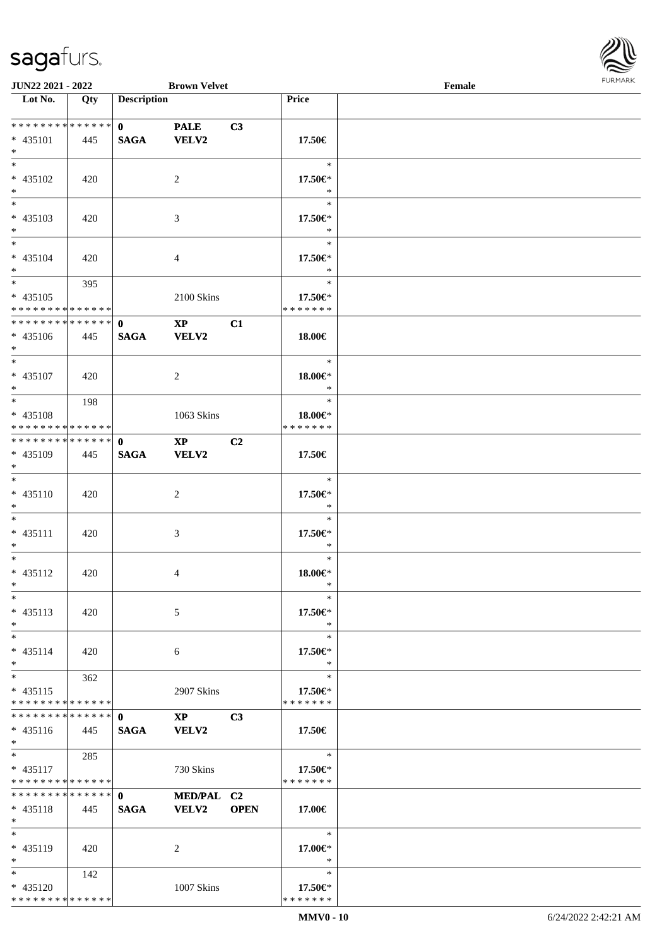

| JUN22 2021 - 2022               |     |                    | <b>Brown Velvet</b>    |                |               | Female |  |
|---------------------------------|-----|--------------------|------------------------|----------------|---------------|--------|--|
| Lot No.                         | Qty | <b>Description</b> |                        |                | Price         |        |  |
|                                 |     |                    |                        |                |               |        |  |
| **************                  |     | $\mathbf{0}$       | <b>PALE</b>            | C3             |               |        |  |
| $* 435101$                      | 445 | <b>SAGA</b>        | <b>VELV2</b>           |                | 17.50€        |        |  |
| $\ast$                          |     |                    |                        |                |               |        |  |
| $\overline{\ast}$               |     |                    |                        |                | $\ast$        |        |  |
|                                 |     |                    |                        |                |               |        |  |
| * 435102                        | 420 |                    | 2                      |                | 17.50€*       |        |  |
| $*$<br>$\overline{\phantom{0}}$ |     |                    |                        |                | $\ast$        |        |  |
|                                 |     |                    |                        |                | $\ast$        |        |  |
| $* 435103$                      | 420 |                    | $\mathfrak{Z}$         |                | 17.50€*       |        |  |
| $*$                             |     |                    |                        |                | $\ast$        |        |  |
| $\ast$                          |     |                    |                        |                | $\ast$        |        |  |
| $* 435104$                      | 420 |                    | $\overline{4}$         |                | 17.50€*       |        |  |
| $\ast$                          |     |                    |                        |                | $\ast$        |        |  |
| $*$                             | 395 |                    |                        |                | $\ast$        |        |  |
| $* 435105$                      |     |                    | 2100 Skins             |                | 17.50€*       |        |  |
| * * * * * * * * * * * * * * *   |     |                    |                        |                | * * * * * * * |        |  |
| **************                  |     |                    |                        |                |               |        |  |
|                                 |     | $\mathbf{0}$       | $\mathbf{XP}$          | C1             |               |        |  |
| $* 435106$                      | 445 | <b>SAGA</b>        | <b>VELV2</b>           |                | 18.00€        |        |  |
| $*$                             |     |                    |                        |                |               |        |  |
| $*$                             |     |                    |                        |                | $\ast$        |        |  |
| * 435107                        | 420 |                    | 2                      |                | 18.00€*       |        |  |
| $*$                             |     |                    |                        |                | $\ast$        |        |  |
| $*$                             | 198 |                    |                        |                | $\ast$        |        |  |
| * 435108                        |     |                    | 1063 Skins             |                | 18.00€*       |        |  |
| * * * * * * * * * * * * * * *   |     |                    |                        |                | * * * * * * * |        |  |
| **************                  |     | $\mathbf 0$        | $\mathbf{X}\mathbf{P}$ | C <sub>2</sub> |               |        |  |
| * 435109                        | 445 | <b>SAGA</b>        | <b>VELV2</b>           |                | 17.50€        |        |  |
| $*$                             |     |                    |                        |                |               |        |  |
| $*$                             |     |                    |                        |                | $\ast$        |        |  |
|                                 |     |                    |                        |                |               |        |  |
| $* 435110$                      | 420 |                    | $\sqrt{2}$             |                | 17.50€*       |        |  |
| $*$                             |     |                    |                        |                | $\ast$        |        |  |
| $*$                             |     |                    |                        |                | $\ast$        |        |  |
| $* 435111$                      | 420 |                    | 3                      |                | 17.50€*       |        |  |
| $*$                             |     |                    |                        |                | $\ast$        |        |  |
| $*$                             |     |                    |                        |                | $\ast$        |        |  |
| $* 435112$                      | 420 |                    | 4                      |                | $18.00 \in$ * |        |  |
| $*$                             |     |                    |                        |                | $\ast$        |        |  |
| $*$                             |     |                    |                        |                | $\ast$        |        |  |
| $* 435113$                      | 420 |                    | 5                      |                | 17.50€*       |        |  |
| $*$                             |     |                    |                        |                | $\ast$        |        |  |
| $*$                             |     |                    |                        |                | $\ast$        |        |  |
| $* 435114$                      | 420 |                    |                        |                | 17.50€*       |        |  |
|                                 |     |                    | 6                      |                | $\ast$        |        |  |
| $*$<br>$*$                      |     |                    |                        |                | $\ast$        |        |  |
|                                 | 362 |                    |                        |                |               |        |  |
| $* 435115$                      |     |                    | 2907 Skins             |                | 17.50€*       |        |  |
| * * * * * * * * * * * * * *     |     |                    |                        |                | * * * * * * * |        |  |
| **************                  |     | $\mathbf{0}$       | $\mathbf{X}\mathbf{P}$ | C <sub>3</sub> |               |        |  |
| $* 435116$                      | 445 | <b>SAGA</b>        | <b>VELV2</b>           |                | 17.50€        |        |  |
| $*$                             |     |                    |                        |                |               |        |  |
| $*$                             | 285 |                    |                        |                | $\ast$        |        |  |
| $* 435117$                      |     |                    | 730 Skins              |                | 17.50€*       |        |  |
| * * * * * * * * * * * * * *     |     |                    |                        |                | * * * * * * * |        |  |
| * * * * * * * * * * * * * *     |     | $\mathbf{0}$       | MED/PAL C2             |                |               |        |  |
| $* 435118$                      | 445 | <b>SAGA</b>        | <b>VELV2</b>           | <b>OPEN</b>    | 17.00€        |        |  |
| $*$                             |     |                    |                        |                |               |        |  |
| $*$                             |     |                    |                        |                | $\ast$        |        |  |
|                                 |     |                    |                        |                |               |        |  |
| * 435119                        | 420 |                    | 2                      |                | 17.00€*       |        |  |
| $*$                             |     |                    |                        |                | $\ast$        |        |  |
| $*$                             | 142 |                    |                        |                | $\ast$        |        |  |
| * 435120                        |     |                    | 1007 Skins             |                | 17.50€*       |        |  |
| * * * * * * * * * * * * * *     |     |                    |                        |                | * * * * * * * |        |  |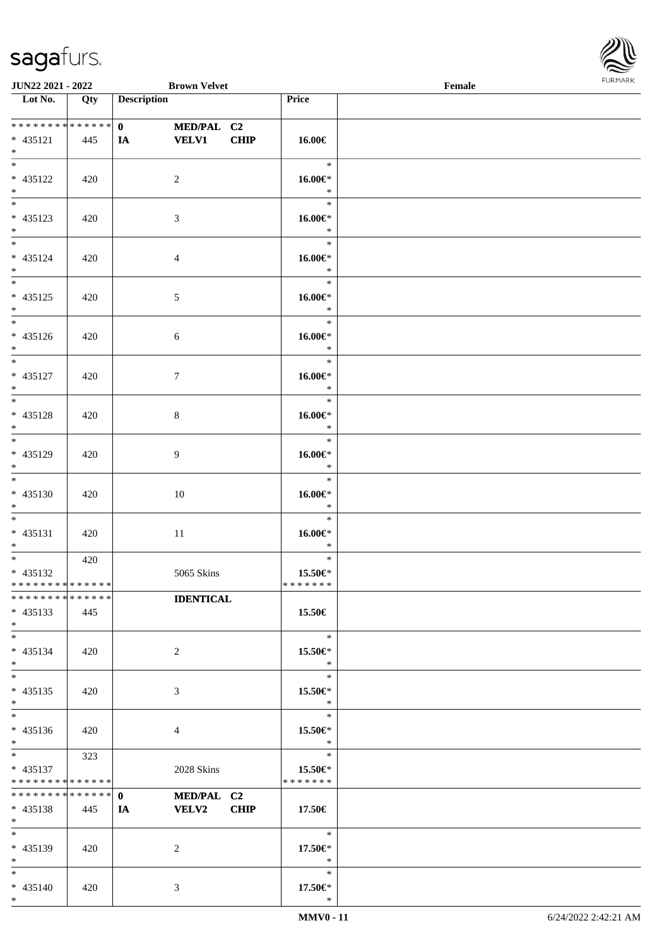

| JUN22 2021 - 2022                                      |     | <b>Brown Velvet</b>                                             |                                    | Female | 1.91511111515 |
|--------------------------------------------------------|-----|-----------------------------------------------------------------|------------------------------------|--------|---------------|
| $\overline{\phantom{1}}$ Lot No.                       | Qty | <b>Description</b>                                              | Price                              |        |               |
| ******** <mark>******</mark><br>$* 435121$<br>$*$      | 445 | $\mathbf{0}$<br>MED/PAL C2<br><b>VELV1</b><br><b>CHIP</b><br>IA | 16.00€                             |        |               |
| $* 435122$<br>$*$                                      | 420 | $\overline{c}$                                                  | $\ast$<br>$16.00 \in$<br>$\ast$    |        |               |
| * 435123<br>$*$                                        | 420 | 3                                                               | $\ast$<br>$16.00 \in$<br>$\ast$    |        |               |
| $\overline{\ast}$<br>$* 435124$<br>$*$                 | 420 | 4                                                               | $\ast$<br>$16.00 \in$<br>$\ast$    |        |               |
| $\overline{\ }$<br>$* 435125$<br>$*$                   | 420 | 5                                                               | $\ast$<br>$16.00 \in$ *<br>$\ast$  |        |               |
| $\overline{\phantom{0}}$<br>$* 435126$<br>$*$          | 420 | 6                                                               | $\ast$<br>$16.00 \in$<br>$\ast$    |        |               |
| $*$<br>$* 435127$<br>$*$<br>$\overline{\phantom{0}}$   | 420 | $\tau$                                                          | $\ast$<br>$16.00 \in$ *<br>$\ast$  |        |               |
| $* 435128$<br>$*$                                      | 420 | 8                                                               | $\ast$<br>$16.00 \in$<br>$\ast$    |        |               |
| $\overline{\ast}$<br>* 435129<br>$*$                   | 420 | 9                                                               | $\ast$<br>16.00€*<br>$\ast$        |        |               |
| $*$<br>$* 435130$<br>$*$                               | 420 | 10                                                              | $\ast$<br>$16.00 \in$ *<br>$\ast$  |        |               |
| $*$<br>$* 435131$<br>$*$<br>$*$                        | 420 | 11                                                              | $\ast$<br>$16.00 \in$<br>$\ast$    |        |               |
| * 435132<br>* * * * * * * * * * * * * * *              | 420 | 5065 Skins                                                      | $\ast$<br>15.50€*<br>*******       |        |               |
| * * * * * * * * * * * * * *<br>$* 435133$<br>$*$       | 445 | <b>IDENTICAL</b>                                                | 15.50€                             |        |               |
| $*$<br>* 435134<br>$*$                                 | 420 | 2                                                               | $\ast$<br>15.50 $\in$ *<br>$\ast$  |        |               |
| $*$<br>* 435135<br>$*$                                 | 420 | 3                                                               | $\ast$<br>15.50€*<br>$\ast$        |        |               |
| $*$<br>$* 435136$<br>$*$                               | 420 | 4                                                               | $\ast$<br>15.50€*<br>$\ast$        |        |               |
| $*$<br>$* 435137$<br>* * * * * * * * * * * * * *       | 323 | 2028 Skins                                                      | $\ast$<br>15.50€*<br>* * * * * * * |        |               |
| * * * * * * * * * * * * * * *<br>$* 435138$<br>$*$ $-$ | 445 | $\mathbf{0}$<br>MED/PAL C2<br><b>VELV2</b><br><b>CHIP</b><br>IA | 17.50€                             |        |               |
| $*$<br>* 435139<br>$*$ $*$                             | 420 | 2                                                               | $\ast$<br>17.50€*<br>$\ast$        |        |               |
| $*$<br>* 435140<br>$*$                                 | 420 | 3                                                               | $\ast$<br>17.50€*<br>$\ast$        |        |               |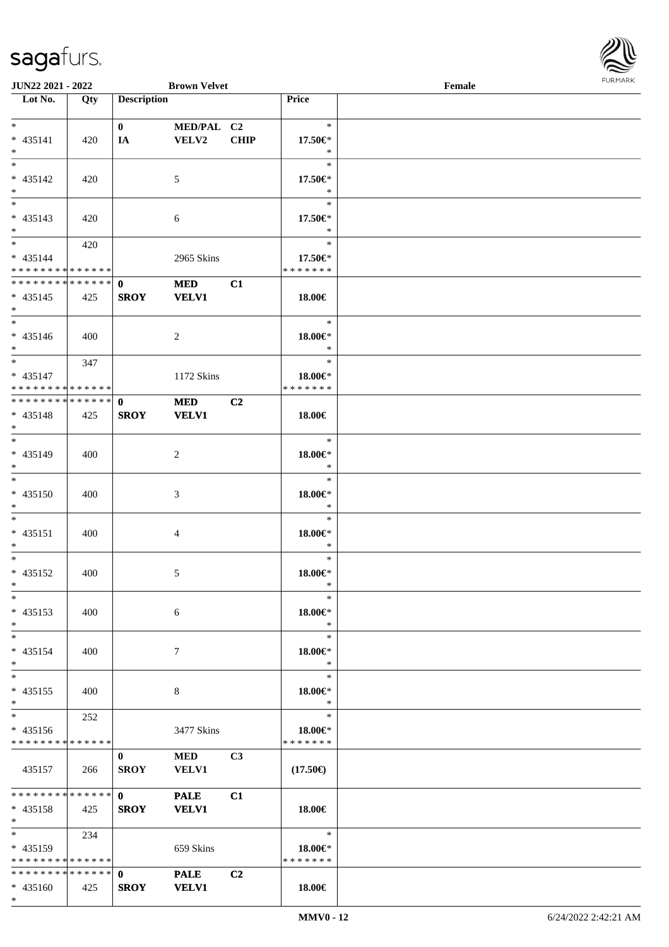

| <b>JUN22 2021 - 2022</b>                    |     |                    | <b>Brown Velvet</b> |                |                               | Female |  |
|---------------------------------------------|-----|--------------------|---------------------|----------------|-------------------------------|--------|--|
| Lot No.                                     | Qty | <b>Description</b> |                     |                | Price                         |        |  |
|                                             |     |                    |                     |                |                               |        |  |
| $*$                                         |     | $\mathbf{0}$       | MED/PAL C2          |                | $\ast$                        |        |  |
| * 435141                                    | 420 | IA                 | VELV2               | <b>CHIP</b>    | 17.50€*                       |        |  |
| $*$                                         |     |                    |                     |                | $\ast$                        |        |  |
|                                             |     |                    |                     |                | $\ast$                        |        |  |
| * 435142                                    | 420 |                    | 5                   |                | 17.50€*                       |        |  |
| $*$                                         |     |                    |                     |                | $\ast$                        |        |  |
|                                             |     |                    |                     |                | $\ast$                        |        |  |
| * 435143                                    | 420 |                    | 6                   |                | 17.50€*                       |        |  |
| $*$                                         |     |                    |                     |                | $\ast$                        |        |  |
| $*$                                         | 420 |                    |                     |                | $\ast$                        |        |  |
| $* 435144$                                  |     |                    |                     |                |                               |        |  |
| * * * * * * * * * * * * * *                 |     |                    | 2965 Skins          |                | 17.50€*<br>* * * * * * *      |        |  |
| * * * * * * * * <mark>* * * * * * *</mark>  |     |                    |                     |                |                               |        |  |
|                                             |     | $\mathbf{0}$       | <b>MED</b>          | C1             |                               |        |  |
| $* 435145$                                  | 425 | <b>SROY</b>        | <b>VELV1</b>        |                | 18.00€                        |        |  |
| $*$                                         |     |                    |                     |                |                               |        |  |
| $*$                                         |     |                    |                     |                | $\ast$                        |        |  |
| $* 435146$                                  | 400 |                    | 2                   |                | 18.00€*                       |        |  |
| $*$                                         |     |                    |                     |                | $\ast$                        |        |  |
| $*$                                         | 347 |                    |                     |                | $\ast$                        |        |  |
| $* 435147$                                  |     |                    | 1172 Skins          |                | 18.00€*                       |        |  |
| * * * * * * * * <mark>* * * * * *</mark>    |     |                    |                     |                | * * * * * * *                 |        |  |
| * * * * * * * * * * * * * * <mark>*</mark>  |     | $\mathbf{0}$       | <b>MED</b>          | C2             |                               |        |  |
| * 435148                                    | 425 | <b>SROY</b>        | <b>VELV1</b>        |                | 18.00€                        |        |  |
| $*$                                         |     |                    |                     |                |                               |        |  |
| $\overline{\ast}$                           |     |                    |                     |                | $\ast$                        |        |  |
| * 435149                                    | 400 |                    | 2                   |                | 18.00€*                       |        |  |
| $*$                                         |     |                    |                     |                | $\ast$                        |        |  |
| $*$                                         |     |                    |                     |                | $\ast$                        |        |  |
| * 435150                                    | 400 |                    | 3                   |                | 18.00€*                       |        |  |
| $*$                                         |     |                    |                     |                | $\ast$                        |        |  |
| $*$                                         |     |                    |                     |                | $\ast$                        |        |  |
| $* 435151$                                  | 400 |                    |                     |                | 18.00€*                       |        |  |
| $*$                                         |     |                    | 4                   |                | $\ast$                        |        |  |
| $*$                                         |     |                    |                     |                | $\ast$                        |        |  |
|                                             |     |                    |                     |                |                               |        |  |
| * 435152                                    | 400 |                    | 5                   |                | 18.00€*                       |        |  |
| $*$ $-$                                     |     |                    |                     |                | $\ast$                        |        |  |
| $\ast$                                      |     |                    |                     |                | $\ast$                        |        |  |
| * 435153                                    | 400 |                    | 6                   |                | 18.00€*                       |        |  |
| $*$                                         |     |                    |                     |                | $\ast$                        |        |  |
| $*$                                         |     |                    |                     |                | $\ast$                        |        |  |
| * 435154                                    | 400 |                    | 7                   |                | 18.00€*                       |        |  |
| $\ast$                                      |     |                    |                     |                | $\ast$                        |        |  |
| $*$                                         |     |                    |                     |                | $\ast$                        |        |  |
| $* 435155$                                  | 400 |                    | 8                   |                | 18.00€*                       |        |  |
| $*$                                         |     |                    |                     |                | $\ast$                        |        |  |
|                                             | 252 |                    |                     |                | $\ast$                        |        |  |
| * 435156                                    |     |                    | 3477 Skins          |                | 18.00€*                       |        |  |
| * * * * * * * * * * * * * * *               |     |                    |                     |                | * * * * * * *                 |        |  |
|                                             |     | $\mathbf{0}$       | <b>MED</b>          | C <sub>3</sub> |                               |        |  |
| 435157                                      | 266 | <b>SROY</b>        | <b>VELV1</b>        |                | $(17.50\epsilon)$             |        |  |
|                                             |     |                    |                     |                |                               |        |  |
| * * * * * * * * * * * * * * <mark>*</mark>  |     | $\mathbf{0}$       | <b>PALE</b>         | C1             |                               |        |  |
| $* 435158$                                  | 425 | <b>SROY</b>        | <b>VELV1</b>        |                | 18.00€                        |        |  |
| $*$                                         |     |                    |                     |                |                               |        |  |
| $*$ and $*$                                 | 234 |                    |                     |                | $\bullet$ $\bullet$ $\bullet$ |        |  |
|                                             |     |                    |                     |                |                               |        |  |
| $* 435159$<br>* * * * * * * * * * * * * * * |     |                    | 659 Skins           |                | 18.00€*<br>* * * * * * *      |        |  |
| * * * * * * * * * * * * * * *               |     |                    |                     |                |                               |        |  |
|                                             |     | $\mathbf{0}$       | <b>PALE</b>         | C <sub>2</sub> |                               |        |  |
| $* 435160$                                  | 425 | <b>SROY</b>        | <b>VELV1</b>        |                | 18.00€                        |        |  |
| $*$                                         |     |                    |                     |                |                               |        |  |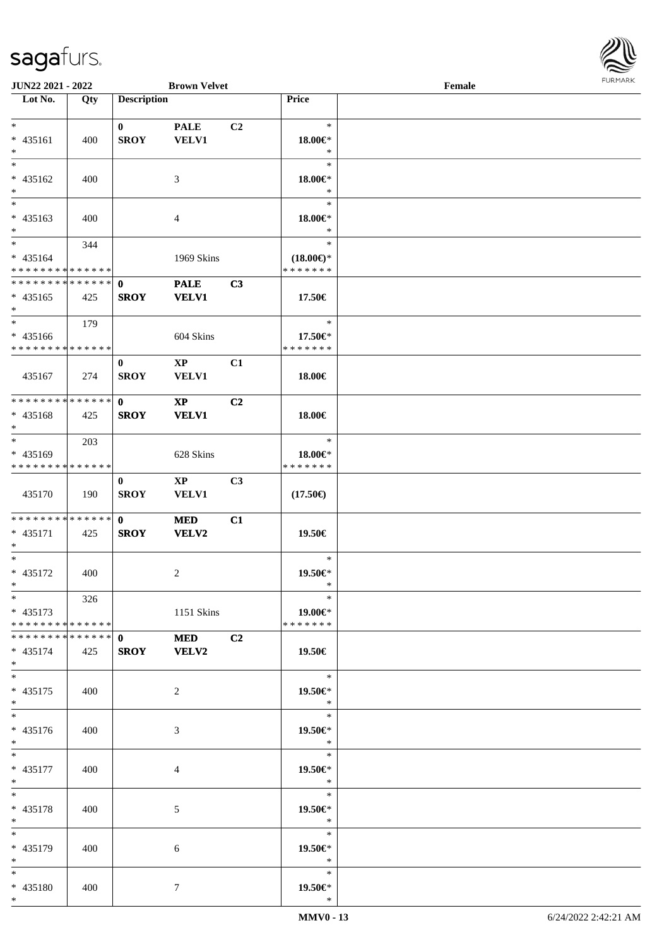

| <b>JUN22 2021 - 2022</b>                   |     |                               | <b>Brown Velvet</b>    |                |                     | Female |  |
|--------------------------------------------|-----|-------------------------------|------------------------|----------------|---------------------|--------|--|
| Lot No.                                    | Qty | <b>Description</b>            |                        |                | Price               |        |  |
|                                            |     |                               |                        |                |                     |        |  |
| $*$                                        |     | $\bf{0}$                      | <b>PALE</b>            | C <sub>2</sub> | $\ast$              |        |  |
| * 435161                                   | 400 | <b>SROY</b>                   | VELV1                  |                | 18.00€*             |        |  |
| $*$                                        |     |                               |                        |                | $\ast$              |        |  |
| $\overline{\ast}$                          |     |                               |                        |                | $\ast$              |        |  |
| * 435162                                   | 400 |                               | 3                      |                | 18.00€*             |        |  |
| $*$                                        |     |                               |                        |                | $\ast$              |        |  |
|                                            |     |                               |                        |                | $\ast$              |        |  |
| * 435163                                   | 400 |                               | $\overline{4}$         |                | 18.00€*             |        |  |
| $*$                                        |     |                               |                        |                | $\ast$              |        |  |
| $*$                                        | 344 |                               |                        |                | $\ast$              |        |  |
| $* 435164$                                 |     |                               | 1969 Skins             |                | $(18.00\epsilon)$ * |        |  |
| * * * * * * * * * * * * * *                |     |                               |                        |                | * * * * * * *       |        |  |
| * * * * * * * * <mark>* * * * * * *</mark> |     | $\mathbf{0}$                  | <b>PALE</b>            | C3             |                     |        |  |
| $* 435165$                                 | 425 | <b>SROY</b>                   | <b>VELV1</b>           |                | 17.50€              |        |  |
| $\ast$                                     |     |                               |                        |                |                     |        |  |
| $*$                                        | 179 |                               |                        |                | $\ast$              |        |  |
| * 435166                                   |     |                               | 604 Skins              |                | 17.50€*             |        |  |
| * * * * * * * * * * * * * * *              |     |                               |                        |                | * * * * * * *       |        |  |
|                                            |     | $\bf{0}$                      | $\mathbf{X}\mathbf{P}$ | C1             |                     |        |  |
| 435167                                     | 274 | <b>SROY</b>                   | VELV1                  |                | 18.00€              |        |  |
|                                            |     |                               |                        |                |                     |        |  |
| * * * * * * * * <mark>* * * * * *</mark>   |     | $\mathbf{0}$                  | $\mathbf{XP}$          | C2             |                     |        |  |
| * 435168                                   | 425 | <b>SROY</b>                   | <b>VELV1</b>           |                | 18.00€              |        |  |
| $*$                                        |     |                               |                        |                |                     |        |  |
| $\overline{\ast}$                          | 203 |                               |                        |                | $\ast$              |        |  |
| * 435169                                   |     |                               | 628 Skins              |                | 18.00€*             |        |  |
| * * * * * * * * * * * * * *                |     |                               |                        |                | * * * * * * *       |        |  |
|                                            |     | $\bf{0}$                      | $\mathbf{X}\mathbf{P}$ | C <sub>3</sub> |                     |        |  |
| 435170                                     | 190 | <b>SROY</b>                   | <b>VELV1</b>           |                | $(17.50\epsilon)$   |        |  |
|                                            |     |                               |                        |                |                     |        |  |
| * * * * * * * * * * * * * * *              |     | $\mathbf{0}$                  | <b>MED</b>             | C1             |                     |        |  |
| * 435171                                   | 425 | <b>SROY</b>                   | VELV2                  |                | 19.50€              |        |  |
| $\ast$                                     |     |                               |                        |                |                     |        |  |
| $*$                                        |     |                               |                        |                | $\ast$              |        |  |
| * 435172                                   | 400 |                               | 2                      |                | 19.50€*             |        |  |
| $*$ $-$                                    |     |                               |                        |                | $\ast$              |        |  |
| $*$                                        | 326 |                               |                        |                | $\ast$              |        |  |
| $* 435173$                                 |     |                               | 1151 Skins             |                | 19.00€*             |        |  |
| * * * * * * * * <mark>* * * * * *</mark>   |     |                               |                        |                | * * * * * * *       |        |  |
| * * * * * * * * * * * * * * <mark>*</mark> |     | $\mathbf{0}$ and $\mathbf{0}$ | <b>MED</b>             | C <sub>2</sub> |                     |        |  |
| $* 435174$                                 | 425 | <b>SROY</b>                   | <b>VELV2</b>           |                | 19.50€              |        |  |
| $*$                                        |     |                               |                        |                |                     |        |  |
| $*$                                        |     |                               |                        |                | $\ast$              |        |  |
| $* 435175$                                 | 400 |                               | 2                      |                | 19.50€*             |        |  |
| $*$                                        |     |                               |                        |                | $\ast$              |        |  |
|                                            |     |                               |                        |                | $\ast$              |        |  |
| * 435176                                   | 400 |                               | 3                      |                | 19.50€*             |        |  |
| $*$                                        |     |                               |                        |                | $*$                 |        |  |
| $*$ $*$                                    |     |                               |                        |                | $\ast$              |        |  |
| * 435177                                   | 400 |                               | 4                      |                | 19.50€*             |        |  |
| $*$ $-$                                    |     |                               |                        |                | $\ast$              |        |  |
| $*$ $-$                                    |     |                               |                        |                | $\ast$              |        |  |
| * 435178                                   | 400 |                               | 5                      |                | 19.50€*             |        |  |
| $*$                                        |     |                               |                        |                | $\ast$              |        |  |
| $*$ $-$                                    |     |                               |                        |                | $\ast$              |        |  |
| * 435179                                   | 400 |                               | 6                      |                | 19.50€*             |        |  |
| $*$ $\qquad$                               |     |                               |                        |                | $\ast$              |        |  |
| $*$ $*$                                    |     |                               |                        |                | $\ast$              |        |  |
| * 435180                                   | 400 |                               | $\tau$                 |                | 19.50€*             |        |  |
| $*$                                        |     |                               |                        |                | $\ast$              |        |  |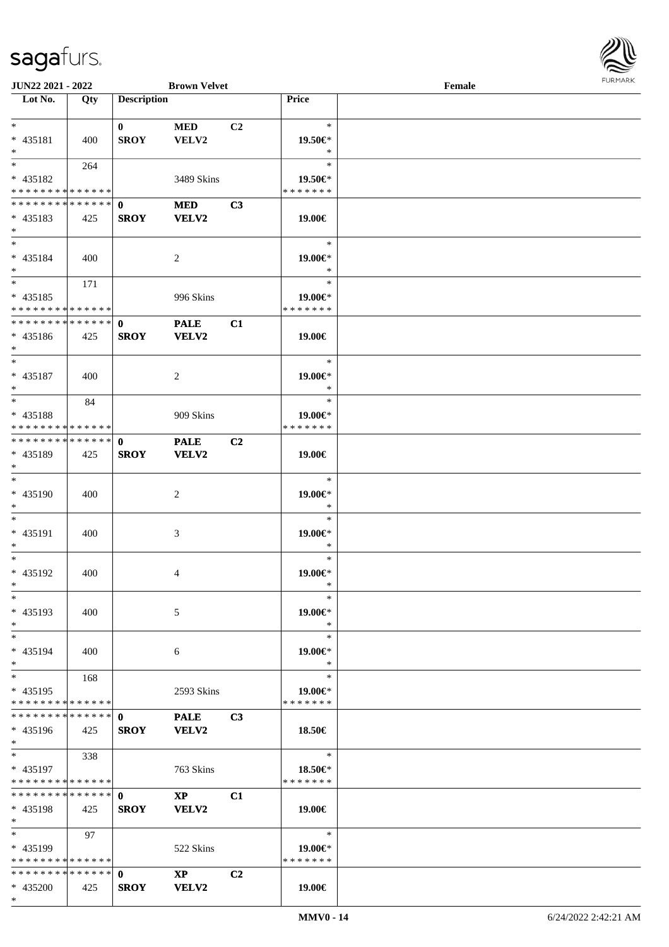

| <b>JUN22 2021 - 2022</b>                                     |     |                    | <b>Brown Velvet</b>    |                |                  | Female |  |
|--------------------------------------------------------------|-----|--------------------|------------------------|----------------|------------------|--------|--|
| Lot No.                                                      | Qty | <b>Description</b> |                        |                | Price            |        |  |
|                                                              |     |                    |                        |                |                  |        |  |
| $*$                                                          |     | $\mathbf{0}$       | <b>MED</b>             | C <sub>2</sub> | $\ast$           |        |  |
| * 435181                                                     | 400 | <b>SROY</b>        | VELV2                  |                | 19.50€*          |        |  |
| $*$                                                          |     |                    |                        |                | $\ast$           |        |  |
|                                                              | 264 |                    |                        |                | $\ast$           |        |  |
| * 435182                                                     |     |                    | 3489 Skins             |                | 19.50€*          |        |  |
| * * * * * * * * * * * * * *                                  |     |                    |                        |                | * * * * * * *    |        |  |
| * * * * * * * * * * * * * * *                                |     | $\mathbf 0$        | <b>MED</b>             | C3             |                  |        |  |
| $* 435183$                                                   | 425 | <b>SROY</b>        | VELV2                  |                | 19.00€           |        |  |
| $*$                                                          |     |                    |                        |                |                  |        |  |
| $*$                                                          |     |                    |                        |                | $\ast$           |        |  |
| * 435184                                                     | 400 |                    | 2                      |                | 19.00€*          |        |  |
| $*$                                                          |     |                    |                        |                | $\ast$           |        |  |
| $*$                                                          | 171 |                    |                        |                | $\ast$           |        |  |
| $* 435185$                                                   |     |                    | 996 Skins              |                | 19.00 $\in$ *    |        |  |
| * * * * * * * * * * * * * *                                  |     |                    |                        |                | * * * * * * *    |        |  |
| * * * * * * * * * * * * * * *                                |     | $\mathbf{0}$       | <b>PALE</b>            | C1             |                  |        |  |
| $* 435186$                                                   | 425 | <b>SROY</b>        | VELV2                  |                | 19.00€           |        |  |
| $*$                                                          |     |                    |                        |                |                  |        |  |
| $*$                                                          |     |                    |                        |                | $\ast$           |        |  |
| * 435187                                                     | 400 |                    | $\overline{2}$         |                | 19.00€*          |        |  |
| $*$<br>$*$                                                   |     |                    |                        |                | $\ast$<br>$\ast$ |        |  |
|                                                              | 84  |                    |                        |                |                  |        |  |
| * 435188                                                     |     |                    | 909 Skins              |                | 19.00€*          |        |  |
| * * * * * * * * * * * * * *<br>* * * * * * * * * * * * * * * |     |                    |                        |                | * * * * * * *    |        |  |
|                                                              |     | $\mathbf 0$        | <b>PALE</b>            | C <sub>2</sub> |                  |        |  |
| * 435189<br>$*$                                              | 425 | <b>SROY</b>        | VELV2                  |                | 19.00€           |        |  |
| $*$                                                          |     |                    |                        |                | $\ast$           |        |  |
| * 435190                                                     |     |                    |                        |                | 19.00€*          |        |  |
| $*$                                                          | 400 |                    | 2                      |                | $\ast$           |        |  |
| $*$                                                          |     |                    |                        |                | $\ast$           |        |  |
| * 435191                                                     | 400 |                    | 3                      |                | 19.00€*          |        |  |
| $\ast$                                                       |     |                    |                        |                | $\ast$           |        |  |
| $*$                                                          |     |                    |                        |                | $\ast$           |        |  |
| * 435192                                                     | 400 |                    | 4                      |                | 19.00€*          |        |  |
| $*$ $-$                                                      |     |                    |                        |                | $\ast$           |        |  |
| $\ast$                                                       |     |                    |                        |                | $\ast$           |        |  |
| * 435193                                                     | 400 |                    | 5                      |                | 19.00€*          |        |  |
| $*$                                                          |     |                    |                        |                | $\ast$           |        |  |
| $*$                                                          |     |                    |                        |                | $\ast$           |        |  |
| * 435194                                                     | 400 |                    | 6                      |                | 19.00€*          |        |  |
| $*$                                                          |     |                    |                        |                | $\ast$           |        |  |
| $*$ $-$                                                      | 168 |                    |                        |                | $\ast$           |        |  |
| * 435195                                                     |     |                    | 2593 Skins             |                | 19.00€*          |        |  |
| * * * * * * * * * * * * * *                                  |     |                    |                        |                | * * * * * * *    |        |  |
| * * * * * * * * * * * * * * *                                |     | $\mathbf{0}$       | <b>PALE</b>            | C <sub>3</sub> |                  |        |  |
| * 435196                                                     | 425 | <b>SROY</b>        | <b>VELV2</b>           |                | 18.50€           |        |  |
| $*$                                                          |     |                    |                        |                |                  |        |  |
| $*$ $-$                                                      | 338 |                    |                        |                | $\ast$           |        |  |
| * 435197                                                     |     |                    | 763 Skins              |                | 18.50€*          |        |  |
| * * * * * * * * * * * * * *                                  |     |                    |                        |                | * * * * * * *    |        |  |
| * * * * * * * * * * * * * * <mark>*</mark>                   |     | $\mathbf{0}$       | $\mathbf{XP}$          | C1             |                  |        |  |
| * 435198                                                     | 425 | <b>SROY</b>        | VELV2                  |                | 19.00€           |        |  |
| $\ast$                                                       |     |                    |                        |                |                  |        |  |
| $*$                                                          | 97  |                    |                        |                | $\ast$           |        |  |
| * 435199                                                     |     |                    | 522 Skins              |                | 19.00€*          |        |  |
| * * * * * * * * * * * * * * *                                |     |                    |                        |                | * * * * * * *    |        |  |
|                                                              |     |                    | $\mathbf{X}\mathbf{P}$ | C2             |                  |        |  |
| * 435200                                                     | 425 | <b>SROY</b>        | VELV2                  |                | 19.00€           |        |  |
| $*$                                                          |     |                    |                        |                |                  |        |  |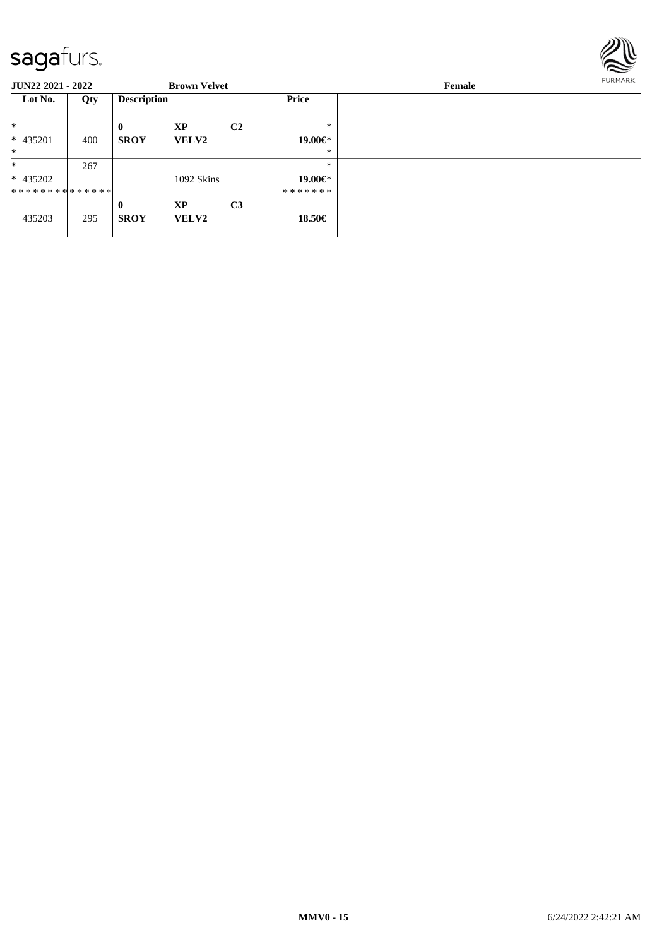

| <b>JUN22 2021 - 2022</b>      |     |                    | <b>Brown Velvet</b> |                |              | <b>FURMARK</b><br>Female |  |
|-------------------------------|-----|--------------------|---------------------|----------------|--------------|--------------------------|--|
| Lot No.                       | Qty | <b>Description</b> |                     |                | <b>Price</b> |                          |  |
| $\ast$                        |     | $\mathbf{0}$       | <b>XP</b>           | C <sub>2</sub> | $\ast$       |                          |  |
| * 435201                      | 400 | <b>SROY</b>        | <b>VELV2</b>        |                | 19.00€*      |                          |  |
| $*$                           |     |                    |                     |                | $\ast$       |                          |  |
| $\ast$                        | 267 |                    |                     |                | $*$          |                          |  |
| * 435202                      |     |                    | 1092 Skins          |                | 19.00€*      |                          |  |
| * * * * * * * * * * * * * * * |     |                    |                     |                | *******      |                          |  |
|                               |     | $\mathbf{0}$       | XP                  | C <sub>3</sub> |              |                          |  |
| 435203                        | 295 | <b>SROY</b>        | <b>VELV2</b>        |                | 18.50€       |                          |  |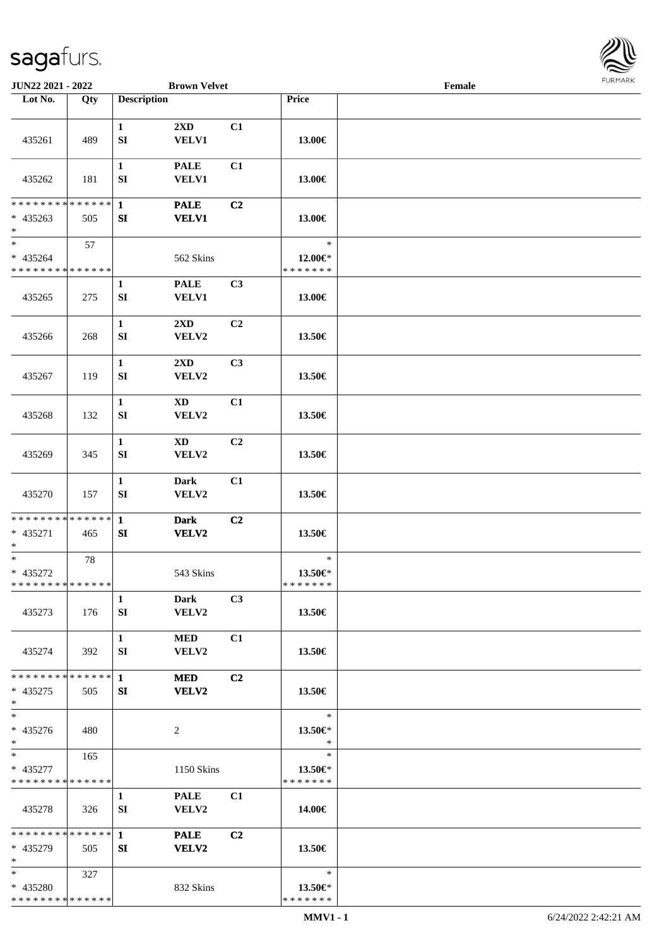

| JUN22 2021 - 2022                                   |     |                            | <b>Brown Velvet</b>              |                |                                    | Female |  |
|-----------------------------------------------------|-----|----------------------------|----------------------------------|----------------|------------------------------------|--------|--|
| Lot No.                                             | Qty | <b>Description</b>         |                                  |                | Price                              |        |  |
| 435261                                              | 489 | $\mathbf{1}$<br>SI         | 2XD<br><b>VELV1</b>              | C1             | 13.00€                             |        |  |
| 435262                                              | 181 | $\mathbf{1}$<br>SI         | <b>PALE</b><br><b>VELV1</b>      | C1             | 13.00€                             |        |  |
| * * * * * * * * * * * * * *<br>$* 435263$<br>$*$    | 505 | $\mathbf{1}$<br>SI         | <b>PALE</b><br><b>VELV1</b>      | C2             | 13.00€                             |        |  |
| $\ast$<br>$* 435264$<br>* * * * * * * * * * * * * * | 57  |                            | 562 Skins                        |                | $\ast$<br>12.00€*<br>* * * * * * * |        |  |
| 435265                                              | 275 | $\mathbf{1}$<br>SI         | <b>PALE</b><br><b>VELV1</b>      | C3             | 13.00€                             |        |  |
| 435266                                              | 268 | $\mathbf{1}$<br>SI         | $2\mathbf{X}\mathbf{D}$<br>VELV2 | C2             | 13.50€                             |        |  |
| 435267                                              | 119 | $\mathbf{1}$<br>SI         | 2XD<br>VELV2                     | C3             | 13.50€                             |        |  |
| 435268                                              | 132 | $\mathbf{1}$<br>SI         | $\mathbf{X}\mathbf{D}$<br>VELV2  | C1             | 13.50€                             |        |  |
| 435269                                              | 345 | $\mathbf{1}$<br>SI         | <b>XD</b><br>VELV2               | C2             | 13.50€                             |        |  |
| 435270                                              | 157 | $\mathbf{1}$<br>${\bf SI}$ | <b>Dark</b><br>VELV2             | C1             | 13.50€                             |        |  |
| **************<br>* 435271<br>$*$                   | 465 | $\mathbf{1}$<br>SI         | <b>Dark</b><br><b>VELV2</b>      | C2             | 13.50€                             |        |  |
| $*$<br>* 435272<br>* * * * * * * * * * * * * *      | 78  |                            | 543 Skins                        |                | $\ast$<br>13.50€*<br>*******       |        |  |
| 435273                                              | 176 | $\mathbf{1}$<br>SI         | <b>Dark</b><br>VELV2             | C3             | 13.50€                             |        |  |
| 435274                                              | 392 | $\mathbf{1}$<br>SI         | <b>MED</b><br><b>VELV2</b>       | C1             | 13.50€                             |        |  |
| * * * * * * * * * * * * * *<br>$* 435275$<br>$*$    | 505 | $\mathbf{1}$<br>SI         | <b>MED</b><br>VELV2              | C <sub>2</sub> | 13.50€                             |        |  |
| $\overline{\phantom{1}}$<br>* 435276<br>$*$         | 480 |                            | 2                                |                | $\ast$<br>13.50€*<br>$\ast$        |        |  |
| $*$<br>* 435277<br>* * * * * * * * * * * * * *      | 165 |                            | 1150 Skins                       |                | $\ast$<br>13.50€*<br>* * * * * * * |        |  |
| 435278                                              | 326 | $\mathbf{1}$<br>SI         | <b>PALE</b><br>VELV2             | C1             | 14.00€                             |        |  |
| **************<br>$* 435279$<br>$*$                 | 505 | $\mathbf{1}$<br>SI         | <b>PALE</b><br>VELV2             | C2             | 13.50€                             |        |  |
| $*$<br>* 435280<br>* * * * * * * * * * * * * *      | 327 |                            | 832 Skins                        |                | $\ast$<br>13.50€*<br>* * * * * * * |        |  |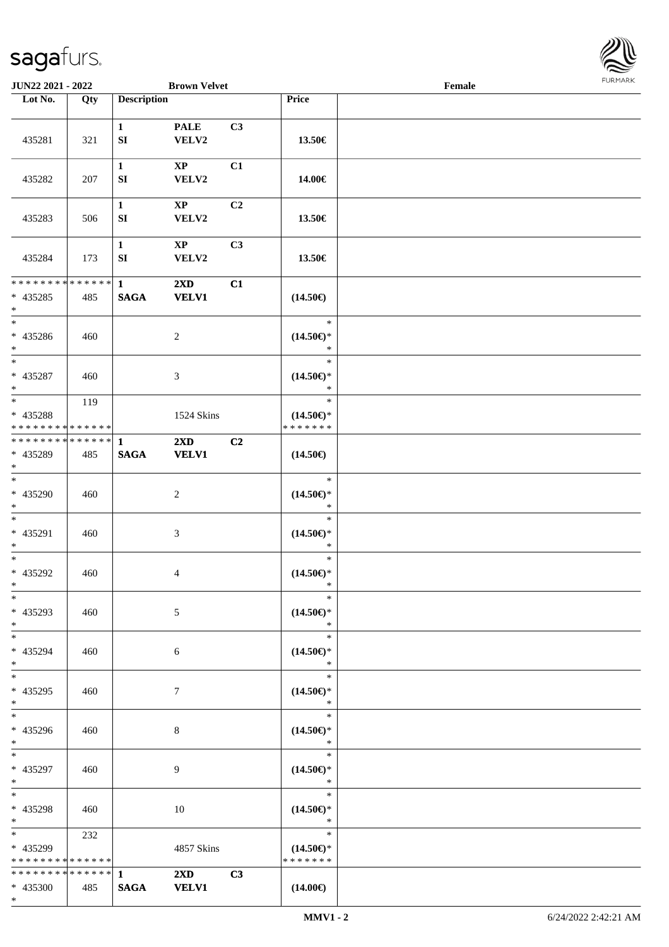

| JUN22 2021 - 2022                                                   |     |                                  | <b>Brown Velvet</b>                     |                |                                                | Female |  |
|---------------------------------------------------------------------|-----|----------------------------------|-----------------------------------------|----------------|------------------------------------------------|--------|--|
| Lot No.                                                             | Qty | <b>Description</b>               |                                         |                | <b>Price</b>                                   |        |  |
| 435281                                                              | 321 | $\mathbf{1}$<br>${\bf S}{\bf I}$ | <b>PALE</b><br>VELV2                    | C3             | 13.50€                                         |        |  |
| 435282                                                              | 207 | $\mathbf{1}$<br>SI               | $\mathbf{X}\mathbf{P}$<br>VELV2         | C1             | 14.00€                                         |        |  |
| 435283                                                              | 506 | $\mathbf{1}$<br>SI               | $\mathbf{X}\mathbf{P}$<br>VELV2         | C <sub>2</sub> | 13.50€                                         |        |  |
| 435284                                                              | 173 | $\mathbf{1}$<br>SI               | $\mathbf{X}\mathbf{P}$<br>VELV2         | C3             | 13.50€                                         |        |  |
| **************<br>$* 435285$<br>$\ast$                              | 485 | $\mathbf{1}$<br><b>SAGA</b>      | $2\mathbf{X}\mathbf{D}$<br><b>VELV1</b> | C1             | $(14.50\epsilon)$                              |        |  |
| $\overline{\phantom{a}^*}$<br>$* 435286$<br>$*$                     | 460 |                                  | $\sqrt{2}$                              |                | $\ast$<br>$(14.50\epsilon)$ *<br>$\ast$        |        |  |
| $\overline{\phantom{a}^*}$<br>* 435287<br>$*$                       | 460 |                                  | 3                                       |                | $\ast$<br>$(14.50\epsilon)$ *<br>$\ast$        |        |  |
| $\overline{\phantom{0}}$<br>* 435288<br>* * * * * * * * * * * * * * | 119 |                                  | 1524 Skins                              |                | $\ast$<br>$(14.50\epsilon)$ *<br>* * * * * * * |        |  |
| **************<br>* 435289<br>$*$                                   | 485 | 1<br><b>SAGA</b>                 | $2\mathbf{X}\mathbf{D}$<br><b>VELV1</b> | C2             | $(14.50\epsilon)$                              |        |  |
| $\overline{\phantom{a}^*}$<br>* 435290<br>$*$                       | 460 |                                  | $\sqrt{2}$                              |                | $\ast$<br>$(14.50\epsilon)$ *<br>$\ast$        |        |  |
| $*$<br>* 435291<br>$*$                                              | 460 |                                  | $\mathfrak{Z}$                          |                | $\ast$<br>$(14.50\epsilon)$ *<br>$\ast$        |        |  |
| $*$<br>* 435292<br>$*$                                              | 460 |                                  | $\overline{4}$                          |                | $\ast$<br>$(14.50\epsilon)$ *<br>$\ast$        |        |  |
| $*$<br>* 435293<br>$*$                                              | 460 |                                  | 5                                       |                | $\ast$<br>$(14.50\epsilon)$ *<br>$\ast$        |        |  |
| $\ast$<br>* 435294<br>$*$                                           | 460 |                                  | 6                                       |                | $\ast$<br>$(14.50\epsilon)$ *<br>$\ast$        |        |  |
| $\overline{\ast}$<br>* 435295<br>$*$                                | 460 |                                  | $7\phantom{.0}$                         |                | $\ast$<br>$(14.50\mathsf{E})^*$<br>$\ast$      |        |  |
| $\overline{\phantom{0}}$<br>* 435296<br>$*$                         | 460 |                                  | 8                                       |                | $\ast$<br>$(14.50\epsilon)$ *<br>$\ast$        |        |  |
| $*$<br>* 435297<br>$*$                                              | 460 |                                  | 9                                       |                | $\ast$<br>$(14.50\epsilon)$ *<br>$\ast$        |        |  |
| $\ast$<br>* 435298<br>$*$                                           | 460 |                                  | 10                                      |                | $\ast$<br>$(14.50\epsilon)$ *<br>$\ast$        |        |  |
| $\ast$<br>* 435299<br>* * * * * * * * * * * * * *                   | 232 |                                  | 4857 Skins                              |                | $\ast$<br>$(14.50\epsilon)$ *<br>* * * * * * * |        |  |
| * * * * * * * * * * * * * * *<br>* 435300<br>$*$                    | 485 | $\mathbf{1}$<br><b>SAGA</b>      | $2\mathbf{X}\mathbf{D}$<br><b>VELV1</b> | C3             | $(14.00\epsilon)$                              |        |  |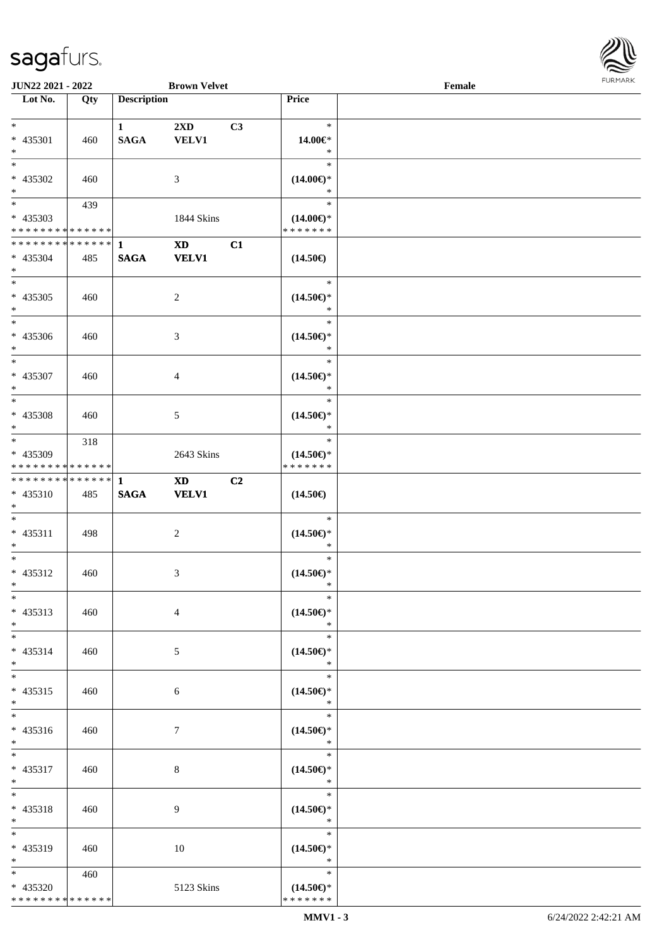

| <b>JUN22 2021 - 2022</b>                |     |                    | <b>Brown Velvet</b>     |    |                                      | Female |  |
|-----------------------------------------|-----|--------------------|-------------------------|----|--------------------------------------|--------|--|
| Lot No.                                 | Qty | <b>Description</b> |                         |    | Price                                |        |  |
|                                         |     |                    |                         |    |                                      |        |  |
| $*$                                     |     | $\mathbf{1}$       | $2\mathbf{X}\mathbf{D}$ | C3 | $\ast$                               |        |  |
| * 435301                                | 460 | <b>SAGA</b>        | <b>VELV1</b>            |    | 14.00€*                              |        |  |
| $*$                                     |     |                    |                         |    | $\ast$                               |        |  |
| $\overline{\ast}$                       |     |                    |                         |    | $\ast$                               |        |  |
| $* 435302$                              | 460 |                    | 3                       |    | $(14.00\epsilon)$ *                  |        |  |
| $\ast$                                  |     |                    |                         |    | $\ast$                               |        |  |
|                                         | 439 |                    |                         |    | $\ast$                               |        |  |
| * 435303                                |     |                    | 1844 Skins              |    | $(14.00\epsilon)$ *                  |        |  |
| * * * * * * * * * * * * * *             |     |                    |                         |    | * * * * * * *                        |        |  |
| ******** <mark>******</mark>            |     | $\mathbf{1}$       | $\mathbf{X}\mathbf{D}$  | C1 |                                      |        |  |
| * 435304                                | 485 | <b>SAGA</b>        | <b>VELV1</b>            |    | $(14.50\epsilon)$                    |        |  |
| $*$                                     |     |                    |                         |    |                                      |        |  |
| $*$                                     |     |                    |                         |    | $\ast$                               |        |  |
| $* 435305$                              | 460 |                    | $\overline{c}$          |    | $(14.50\epsilon)$ *                  |        |  |
| $*$                                     |     |                    |                         |    | $\ast$                               |        |  |
| $*$                                     |     |                    |                         |    | $\ast$                               |        |  |
| $* 435306$                              | 460 |                    | 3                       |    | $(14.50\epsilon)$ *                  |        |  |
| $*$<br>$\overline{\phantom{0}}$         |     |                    |                         |    | $\ast$                               |        |  |
|                                         |     |                    |                         |    | $\ast$                               |        |  |
| * 435307                                | 460 |                    | $\overline{4}$          |    | $(14.50\epsilon)$ *                  |        |  |
| $*$                                     |     |                    |                         |    | $\ast$                               |        |  |
|                                         |     |                    |                         |    | $\ast$                               |        |  |
| * 435308                                | 460 |                    | $\mathfrak{S}$          |    | $(14.50\epsilon)$ *                  |        |  |
| $*$                                     |     |                    |                         |    | $\ast$<br>$\ast$                     |        |  |
|                                         | 318 |                    |                         |    |                                      |        |  |
| * 435309<br>* * * * * * * * * * * * * * |     |                    | 2643 Skins              |    | $(14.50\epsilon)$ *<br>* * * * * * * |        |  |
| * * * * * * * * * * * * * * *           |     | $\mathbf{1}$       | <b>XD</b>               | C2 |                                      |        |  |
| * 435310                                | 485 | $\mathbf{SAGA}$    | <b>VELV1</b>            |    | $(14.50\epsilon)$                    |        |  |
| $*$                                     |     |                    |                         |    |                                      |        |  |
| $*$                                     |     |                    |                         |    | $\ast$                               |        |  |
| * 435311                                | 498 |                    | $\sqrt{2}$              |    | $(14.50\epsilon)$ *                  |        |  |
| $*$                                     |     |                    |                         |    | $\ast$                               |        |  |
| $*$                                     |     |                    |                         |    | $\ast$                               |        |  |
| * 435312                                | 460 |                    | 3                       |    | $(14.50\epsilon)$ *                  |        |  |
| $*$                                     |     |                    |                         |    | $\ast$                               |        |  |
| $\ast$                                  |     |                    |                         |    | $\ast$                               |        |  |
| $* 435313$                              | 460 |                    | $\overline{4}$          |    | $(14.50\epsilon)$ *                  |        |  |
| $*$                                     |     |                    |                         |    | $\ast$                               |        |  |
| $*$                                     |     |                    |                         |    | $\ast$                               |        |  |
| * 435314                                | 460 |                    | 5                       |    | $(14.50\epsilon)$ *                  |        |  |
| $*$                                     |     |                    |                         |    | $\ast$                               |        |  |
| $*$                                     |     |                    |                         |    | $\ast$                               |        |  |
| $* 435315$                              | 460 |                    | 6                       |    | $(14.50\epsilon)$ *                  |        |  |
| $*$                                     |     |                    |                         |    | $\ast$                               |        |  |
| $\overline{\phantom{0}}$                |     |                    |                         |    | $\ast$                               |        |  |
| $* 435316$                              | 460 |                    | 7                       |    | $(14.50\epsilon)$ *                  |        |  |
| $*$ $-$                                 |     |                    |                         |    | $\ast$                               |        |  |
| $*$ $*$                                 |     |                    |                         |    | $\ast$                               |        |  |
| $* 435317$                              | 460 |                    | 8                       |    | $(14.50\epsilon)$ *                  |        |  |
| $*$ $-$                                 |     |                    |                         |    | $\ast$                               |        |  |
| $*$                                     |     |                    |                         |    | $\ast$                               |        |  |
| * 435318                                | 460 |                    | 9                       |    | $(14.50\epsilon)$ *                  |        |  |
| $*$                                     |     |                    |                         |    | $\ast$                               |        |  |
| $*$                                     |     |                    |                         |    | $\ast$                               |        |  |
| * 435319                                | 460 |                    | 10                      |    | $(14.50\epsilon)$ *                  |        |  |
| $*$ $-$                                 |     |                    |                         |    | $\ast$                               |        |  |
| $*$ and $*$                             | 460 |                    |                         |    | $\ast$                               |        |  |
| * 435320                                |     |                    | 5123 Skins              |    | $(14.50\epsilon)$ *                  |        |  |
| * * * * * * * * * * * * * *             |     |                    |                         |    | * * * * * * *                        |        |  |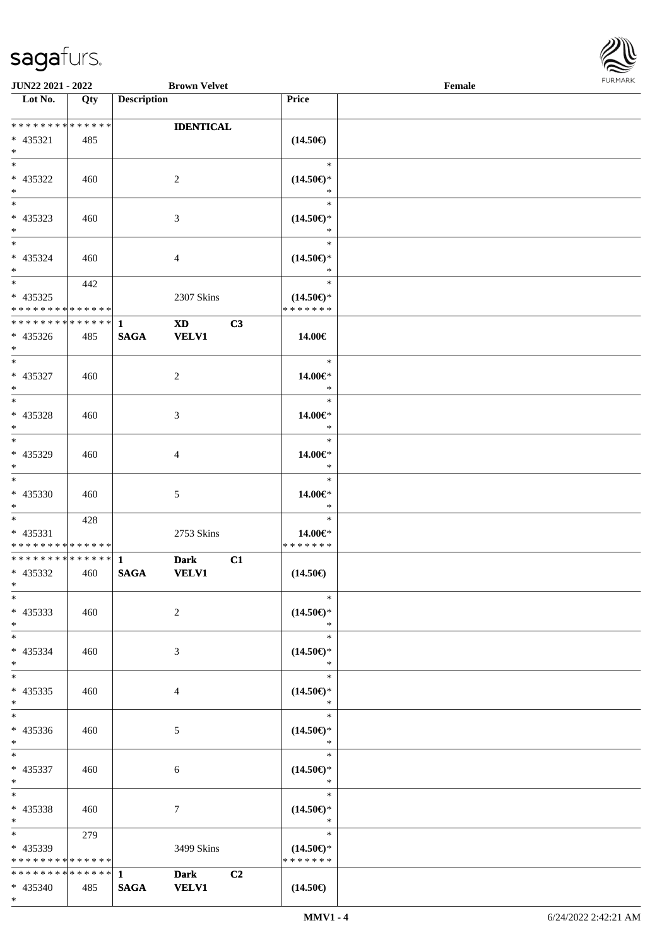

| JUN22 2021 - 2022                         |     |                    | <b>Brown Velvet</b>    |    |                          | Female | 1.911171777 |
|-------------------------------------------|-----|--------------------|------------------------|----|--------------------------|--------|-------------|
| $\overline{\phantom{1}}$ Lot No.          | Qty | <b>Description</b> |                        |    | Price                    |        |             |
|                                           |     |                    |                        |    |                          |        |             |
| ******** <mark>******</mark>              |     |                    | <b>IDENTICAL</b>       |    |                          |        |             |
| * 435321                                  | 485 |                    |                        |    | $(14.50\epsilon)$        |        |             |
| $*$                                       |     |                    |                        |    |                          |        |             |
| $\overline{\phantom{0}}$                  |     |                    |                        |    | $\ast$                   |        |             |
| * 435322                                  | 460 |                    | 2                      |    | $(14.50\epsilon)$ *      |        |             |
| $*$                                       |     |                    |                        |    | $\ast$                   |        |             |
| $*$                                       |     |                    |                        |    | $\ast$                   |        |             |
| * 435323                                  | 460 |                    | 3                      |    | $(14.50\epsilon)$ *      |        |             |
| $\ast$                                    |     |                    |                        |    | $\ast$                   |        |             |
| $\overline{\phantom{0}}$                  |     |                    |                        |    | $\ast$                   |        |             |
| * 435324                                  | 460 |                    | 4                      |    | $(14.50\epsilon)$ *      |        |             |
| $*$                                       |     |                    |                        |    | $\ast$                   |        |             |
|                                           | 442 |                    |                        |    | $\ast$                   |        |             |
| * 435325                                  |     |                    | 2307 Skins             |    | $(14.50\epsilon)$ *      |        |             |
| * * * * * * * * * * * * * *               |     |                    |                        |    | * * * * * * *            |        |             |
| * * * * * * * * * * * * * * *             |     | $\mathbf{1}$       | $\mathbf{X}\mathbf{D}$ | C3 |                          |        |             |
| * 435326                                  | 485 | <b>SAGA</b>        | <b>VELV1</b>           |    | 14.00€                   |        |             |
| $*$                                       |     |                    |                        |    |                          |        |             |
| $*$                                       |     |                    |                        |    | $\ast$                   |        |             |
| $* 435327$                                | 460 |                    | 2                      |    | 14.00€*                  |        |             |
| $*$<br>$\overline{\phantom{0}}$           |     |                    |                        |    | $\ast$                   |        |             |
|                                           |     |                    |                        |    | $\ast$                   |        |             |
| $* 435328$                                | 460 |                    | 3                      |    | 14.00€*                  |        |             |
| $*$                                       |     |                    |                        |    | $\ast$                   |        |             |
| $*$                                       |     |                    |                        |    | $\ast$                   |        |             |
| * 435329                                  | 460 |                    | 4                      |    | 14.00€*                  |        |             |
| $*$<br>$\overline{\phantom{0}}$           |     |                    |                        |    | $\ast$                   |        |             |
|                                           |     |                    |                        |    | $\ast$                   |        |             |
| $* 435330$                                | 460 |                    | 5                      |    | 14.00€*                  |        |             |
| $*$                                       |     |                    |                        |    | $\ast$<br>$\ast$         |        |             |
|                                           | 428 |                    |                        |    |                          |        |             |
| $* 435331$<br>* * * * * * * * * * * * * * |     |                    | 2753 Skins             |    | 14.00€*<br>* * * * * * * |        |             |
| * * * * * * * * * * * * * * *             |     | $\mathbf{1}$       |                        | C1 |                          |        |             |
| * 435332                                  |     | <b>SAGA</b>        | <b>Dark</b>            |    |                          |        |             |
| $*$ $-$                                   | 460 |                    | <b>VELV1</b>           |    | $(14.50\epsilon)$        |        |             |
| $*$                                       |     |                    |                        |    | $\ast$                   |        |             |
| $* 435333$                                | 460 |                    | 2                      |    | $(14.50\epsilon)$ *      |        |             |
| $*$                                       |     |                    |                        |    | $\ast$                   |        |             |
| $\overline{\phantom{0}}$                  |     |                    |                        |    | $\ast$                   |        |             |
| * 435334                                  | 460 |                    | 3                      |    | $(14.50\epsilon)$ *      |        |             |
| $*$                                       |     |                    |                        |    | $\ast$                   |        |             |
| $*$                                       |     |                    |                        |    | $\ast$                   |        |             |
| * 435335                                  | 460 |                    | 4                      |    | $(14.50\epsilon)$ *      |        |             |
| $*$                                       |     |                    |                        |    | $\ast$                   |        |             |
| $*$                                       |     |                    |                        |    | $\ast$                   |        |             |
| $* 435336$                                | 460 |                    | 5                      |    | $(14.50\epsilon)$ *      |        |             |
| $*$                                       |     |                    |                        |    | $\ast$                   |        |             |
| $*$                                       |     |                    |                        |    | $\ast$                   |        |             |
| * 435337                                  | 460 |                    | 6                      |    | $(14.50\epsilon)$ *      |        |             |
| $*$                                       |     |                    |                        |    | $\ast$                   |        |             |
| $*$                                       |     |                    |                        |    | $\ast$                   |        |             |
| $* 435338$                                | 460 |                    | 7                      |    | $(14.50\epsilon)$ *      |        |             |
| $*$ $*$                                   |     |                    |                        |    | $\ast$                   |        |             |
| $*$ and $*$                               | 279 |                    |                        |    | $\ast$                   |        |             |
| * 435339                                  |     |                    | 3499 Skins             |    | $(14.50\epsilon)$ *      |        |             |
| * * * * * * * * * * * * * *               |     |                    |                        |    | * * * * * * *            |        |             |
| * * * * * * * * * * * * * * *             |     | $\mathbf{1}$       | <b>Dark</b>            | C2 |                          |        |             |
| * 435340                                  | 485 | <b>SAGA</b>        | <b>VELV1</b>           |    | $(14.50\epsilon)$        |        |             |
| $*$                                       |     |                    |                        |    |                          |        |             |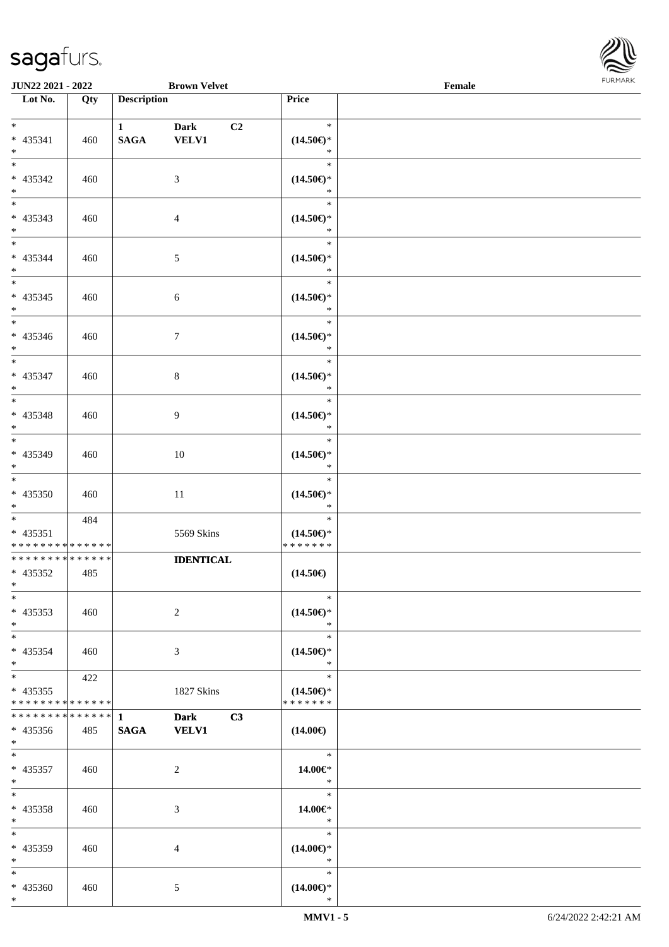\*



| JUN22 2021 - 2022                                                     |     |                                       | <b>Brown Velvet</b>               |                                                | $\ensuremath{\textnormal{\textbf{Female}}}$ | <b>FURMARK</b> |
|-----------------------------------------------------------------------|-----|---------------------------------------|-----------------------------------|------------------------------------------------|---------------------------------------------|----------------|
| $\overline{\phantom{1}}$ Lot No.                                      | Qty | <b>Description</b>                    |                                   | Price                                          |                                             |                |
|                                                                       |     |                                       |                                   |                                                |                                             |                |
| $*$<br>$* 435341$<br>$\ast$                                           | 460 | $1 \quad \blacksquare$<br><b>SAGA</b> | <b>Dark</b><br>C2<br><b>VELV1</b> | $\ast$<br>$(14.50\epsilon)$ *<br>$\ast$        |                                             |                |
| $\overline{\phantom{0}}$<br>* 435342<br>$*$                           | 460 |                                       | $\mathfrak{Z}$                    | $\ast$<br>$(14.50\epsilon)$ *<br>$\ast$        |                                             |                |
| $\overline{\phantom{a}^*}$<br>$* 435343$<br>$*$                       | 460 |                                       | $\overline{4}$                    | $\ast$<br>$(14.50\epsilon)*$<br>$\ast$         |                                             |                |
| $*$<br>* 435344<br>$*$                                                | 460 |                                       | $\sqrt{5}$                        | $\ast$<br>$(14.50\epsilon)$ *<br>$\ast$        |                                             |                |
| $\ast$<br>$* 435345$<br>$*$                                           | 460 |                                       | $\sqrt{6}$                        | $\ast$<br>$(14.50\epsilon)$ *<br>$\ast$        |                                             |                |
| $\overline{\phantom{0}}$<br>$* 435346$<br>$\ast$                      | 460 |                                       | $\tau$                            | $\ast$<br>$(14.50\epsilon)$ *<br>$\ast$        |                                             |                |
| $\overline{\phantom{0}}$<br>* 435347<br>$\ast$                        | 460 |                                       | $8\,$                             | $\ast$<br>$(14.50\epsilon)$ *<br>$\ast$        |                                             |                |
| $\overline{\phantom{0}}$<br>* 435348<br>$\ast$                        | 460 |                                       | 9                                 | $\ast$<br>$(14.50\epsilon)$ *<br>$\ast$        |                                             |                |
| $\overline{\phantom{0}}$<br>* 435349<br>$\ast$                        | 460 |                                       | $10\,$                            | $\ast$<br>$(14.50\epsilon)$ *<br>$\ast$        |                                             |                |
| $\overline{\phantom{a}^*}$<br>$* 435350$<br>$\ast$                    | 460 |                                       | $11\,$                            | $\ast$<br>$(14.50\epsilon)$ *<br>$\ast$        |                                             |                |
| $*$<br>$* 435351$<br>* * * * * * * * * * * * * *                      | 484 |                                       | 5569 Skins                        | $\ast$<br>$(14.50\epsilon)$ *<br>*******       |                                             |                |
| * * * * * * * * * * * * * *<br>* 435352<br>$\ast$                     | 485 |                                       | <b>IDENTICAL</b>                  | $(14.50\epsilon)$                              |                                             |                |
| $_{\ast}$<br>* 435353<br>$\ast$                                       | 460 |                                       | $\overline{c}$                    | $\ast$<br>$(14.50\epsilon)$ *<br>$\ast$        |                                             |                |
| $\ast$<br>* 435354<br>$*$                                             | 460 |                                       | $\mathfrak{Z}$                    | $\ast$<br>$(14.50ε)$ *<br>$\ast$               |                                             |                |
| $\overline{\phantom{0}}$<br>$* 435355$<br>* * * * * * * * * * * * * * | 422 |                                       | 1827 Skins                        | $\ast$<br>$(14.50\epsilon)$ *<br>* * * * * * * |                                             |                |
| * * * * * * * * * * * * * * *<br>$* 435356$<br>$*$                    | 485 | $\mathbf{1}$<br><b>SAGA</b>           | C3<br><b>Dark</b><br><b>VELV1</b> | $(14.00\epsilon)$                              |                                             |                |
| $\ast$<br>$* 435357$<br>$\ast$                                        | 460 |                                       | $\overline{2}$                    | $\ast$<br>14.00€*<br>$\ast$                    |                                             |                |
| $\overline{\phantom{0}}$<br>* 435358<br>$\ast$                        | 460 |                                       | 3                                 | $\ast$<br>14.00€*<br>$\ast$                    |                                             |                |
| $_{\ast}^{-}$<br>* 435359<br>$\ast$                                   | 460 |                                       | $\overline{4}$                    | $\ast$<br>$(14.00\epsilon)$ *<br>$\ast$        |                                             |                |
| $\ast$<br>$* 435360$<br>$*$                                           | 460 |                                       | 5                                 | $\ast$<br>$(14.00\in)\!\!^*$<br>$\ast$         |                                             |                |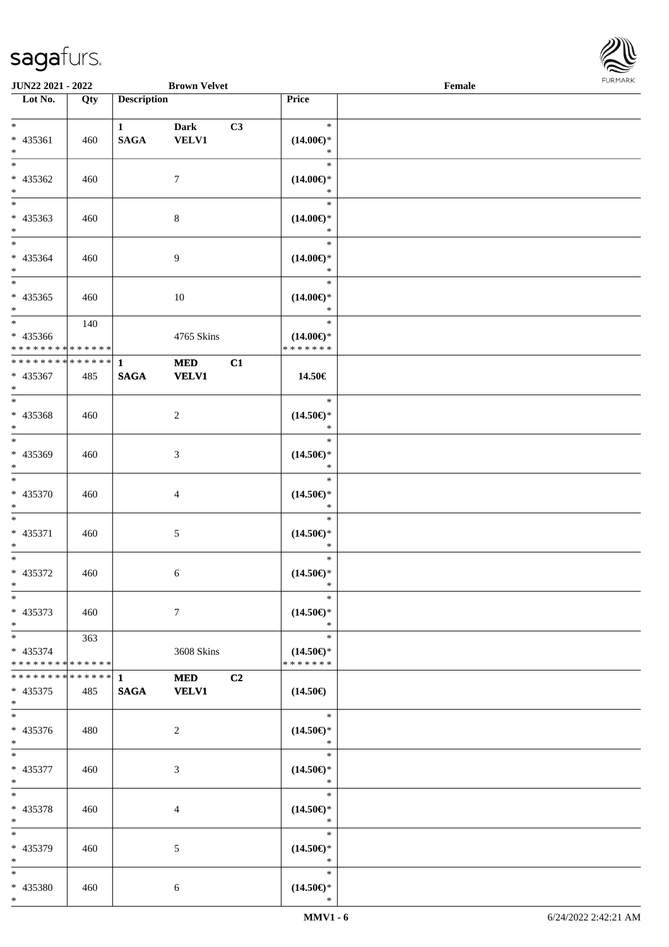

| <b>JUN22 2021 - 2022</b>      |     |                    | <b>Brown Velvet</b> |    |                               | Female |  |
|-------------------------------|-----|--------------------|---------------------|----|-------------------------------|--------|--|
| Lot No.                       | Qty | <b>Description</b> |                     |    | Price                         |        |  |
|                               |     |                    |                     |    |                               |        |  |
| $*$                           |     | $\mathbf{1}$       | <b>Dark</b>         | C3 | $\ast$                        |        |  |
| * 435361                      | 460 | <b>SAGA</b>        | <b>VELV1</b>        |    | $(14.00\epsilon)$ *           |        |  |
| $*$                           |     |                    |                     |    | $\ast$<br>$\ast$              |        |  |
|                               |     |                    |                     |    |                               |        |  |
| * 435362                      | 460 |                    | $\tau$              |    | $(14.00\epsilon)$ *<br>$\ast$ |        |  |
| $*$                           |     |                    |                     |    | $\ast$                        |        |  |
|                               |     |                    |                     |    |                               |        |  |
| * 435363<br>$*$               | 460 |                    | $\,8\,$             |    | $(14.00\epsilon)$ *<br>*      |        |  |
| $*$                           |     |                    |                     |    | $\ast$                        |        |  |
| * 435364                      |     |                    |                     |    |                               |        |  |
| $*$                           | 460 |                    | 9                   |    | $(14.00\epsilon)$ *<br>$\ast$ |        |  |
| $\overline{\ast}$             |     |                    |                     |    | $\ast$                        |        |  |
| * 435365                      | 460 |                    | 10                  |    | $(14.00\epsilon)$ *           |        |  |
| $*$                           |     |                    |                     |    | $\ast$                        |        |  |
|                               | 140 |                    |                     |    | $\ast$                        |        |  |
| * 435366                      |     |                    | 4765 Skins          |    | $(14.00\epsilon)$ *           |        |  |
| * * * * * * * * * * * * * * * |     |                    |                     |    | * * * * * * *                 |        |  |
| ******** <mark>******</mark>  |     | $\mathbf{1}$       | <b>MED</b>          | C1 |                               |        |  |
| * 435367                      | 485 | <b>SAGA</b>        | <b>VELV1</b>        |    | 14.50€                        |        |  |
| $*$                           |     |                    |                     |    |                               |        |  |
|                               |     |                    |                     |    | $\ast$                        |        |  |
| * 435368                      | 460 |                    | 2                   |    | $(14.50\epsilon)$ *           |        |  |
| $*$                           |     |                    |                     |    | $\ast$                        |        |  |
|                               |     |                    |                     |    | $\ast$                        |        |  |
| * 435369                      | 460 |                    | 3                   |    | $(14.50\epsilon)$ *           |        |  |
| $*$                           |     |                    |                     |    | $\ast$                        |        |  |
| $*$                           |     |                    |                     |    | $\ast$                        |        |  |
| * 435370                      | 460 |                    | $\overline{4}$      |    | $(14.50\epsilon)$ *           |        |  |
| $*$                           |     |                    |                     |    | $\ast$                        |        |  |
| $*$                           |     |                    |                     |    | $\ast$                        |        |  |
| * 435371                      | 460 |                    | 5                   |    | $(14.50\epsilon)$ *           |        |  |
| $\ast$<br>$*$                 |     |                    |                     |    | $\ast$<br>$\ast$              |        |  |
|                               |     |                    |                     |    |                               |        |  |
| * 435372<br>$*$               | 460 |                    | 6                   |    | $(14.50\epsilon)$ *<br>$\ast$ |        |  |
| $*$                           |     |                    |                     |    | $\ast$                        |        |  |
| * 435373                      | 460 |                    | $\tau$              |    | $(14.50\epsilon)$ *           |        |  |
| $*$                           |     |                    |                     |    | $\ast$                        |        |  |
| $*$ $*$                       | 363 |                    |                     |    | $\ast$                        |        |  |
| * 435374                      |     |                    | 3608 Skins          |    | $(14.50\epsilon)$ *           |        |  |
| * * * * * * * * * * * * * * * |     |                    |                     |    | * * * * * * *                 |        |  |
|                               |     |                    | <b>MED</b>          | C2 |                               |        |  |
| $* 435375$                    | 485 | <b>SAGA</b>        | <b>VELV1</b>        |    | $(14.50\epsilon)$             |        |  |
| $*$                           |     |                    |                     |    |                               |        |  |
| $*$                           |     |                    |                     |    | $*$                           |        |  |
| * 435376                      | 480 |                    | 2                   |    | $(14.50\epsilon)$ *           |        |  |
| $*$                           |     |                    |                     |    | $\ast$                        |        |  |
| $*$ $-$                       |     |                    |                     |    | $\ast$                        |        |  |
| * 435377                      | 460 |                    | 3                   |    | $(14.50\epsilon)$ *           |        |  |
| $*$                           |     |                    |                     |    | $\ast$                        |        |  |
| $*$                           |     |                    |                     |    | $\ast$                        |        |  |
| * 435378                      | 460 |                    | 4                   |    | $(14.50\epsilon)$ *           |        |  |
| $*$                           |     |                    |                     |    | $\ast$                        |        |  |
| $*$                           |     |                    |                     |    | $\ast$                        |        |  |
| * 435379<br>$*$               | 460 |                    | 5                   |    | $(14.50\epsilon)$ *<br>$\ast$ |        |  |
| $*$                           |     |                    |                     |    | $\ast$                        |        |  |
| * 435380                      | 460 |                    | $\sqrt{6}$          |    | $(14.50\epsilon)$ *           |        |  |
| $*$                           |     |                    |                     |    | $\ast$                        |        |  |
|                               |     |                    |                     |    |                               |        |  |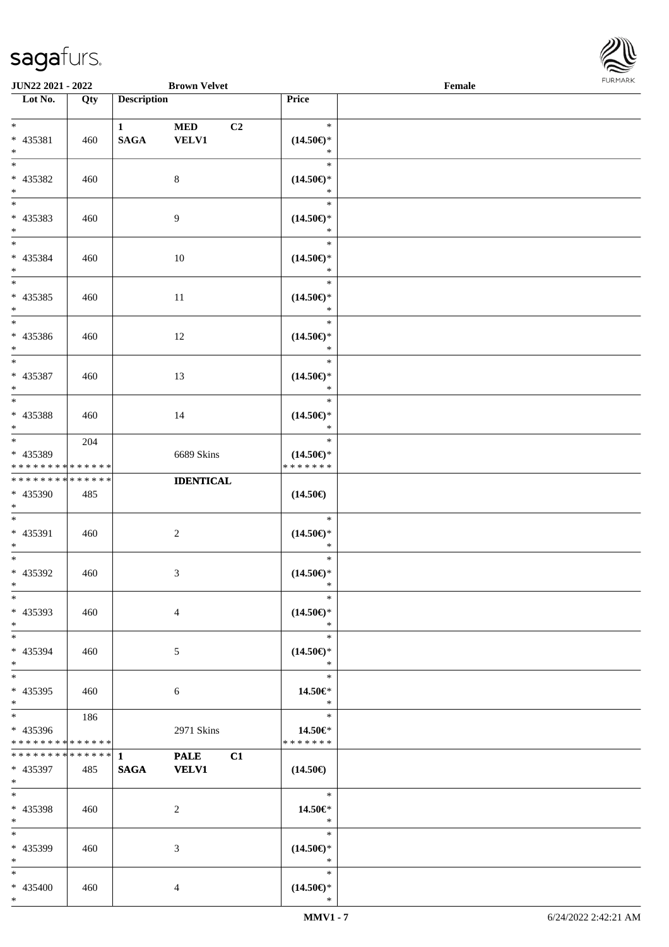\*



| JUN22 2021 - 2022                                                            |     |                                       | <b>Brown Velvet</b>               |                                                | $\ensuremath{\textnormal{\textbf{Female}}}$ | FURMARK |
|------------------------------------------------------------------------------|-----|---------------------------------------|-----------------------------------|------------------------------------------------|---------------------------------------------|---------|
| $\overline{\phantom{1}}$ Lot No.                                             | Qty | <b>Description</b>                    |                                   | Price                                          |                                             |         |
| $\ast$<br>$* 435381$<br>$\ast$                                               | 460 | $1 \quad \blacksquare$<br><b>SAGA</b> | <b>MED</b><br>C2<br><b>VELV1</b>  | $\ast$<br>$(14.50\epsilon)$ *<br>$\ast$        |                                             |         |
| $\overline{\phantom{1}}$<br>* 435382<br>$\ast$<br>$\overline{\phantom{a}^*}$ | 460 |                                       | $\,8\,$                           | $\ast$<br>$(14.50\epsilon)*$<br>$\ast$         |                                             |         |
| * 435383<br>$*$                                                              | 460 |                                       | 9                                 | $\ast$<br>$(14.50\epsilon)*$<br>$\ast$         |                                             |         |
| $*$<br>* 435384<br>$*$                                                       | 460 |                                       | 10                                | $\ast$<br>$(14.50\epsilon)$ *<br>$\ast$        |                                             |         |
| $\ast$<br>$* 435385$<br>$*$                                                  | 460 |                                       | 11                                | $\ast$<br>$(14.50\epsilon)$ *<br>$\ast$        |                                             |         |
| $\overline{\phantom{0}}$<br>* 435386<br>$\ast$                               | 460 |                                       | 12                                | $\ast$<br>$(14.50\epsilon)$ *<br>$\ast$        |                                             |         |
| $\overline{\phantom{0}}$<br>* 435387<br>$\ast$                               | 460 |                                       | 13                                | $\ast$<br>$(14.50\epsilon)$ *<br>$\ast$        |                                             |         |
| $\overline{\ast}$<br>* 435388<br>$\ast$                                      | 460 |                                       | 14                                | $\ast$<br>$(14.50\epsilon)*$<br>$\ast$         |                                             |         |
| $\overline{\phantom{0}}$<br>* 435389<br>* * * * * * * * * * * * * *          | 204 |                                       | 6689 Skins                        | $\ast$<br>$(14.50\epsilon)$ *<br>* * * * * * * |                                             |         |
| ******** <mark>******</mark><br>* 435390<br>$\ast$                           | 485 |                                       | <b>IDENTICAL</b>                  | $(14.50\epsilon)$                              |                                             |         |
| $\ast$<br>$* 435391$<br>$\ast$                                               | 460 |                                       | $\sqrt{2}$                        | $\ast$<br>$(14.50\epsilon)$ *<br>$\ast$        |                                             |         |
| $\overline{\phantom{0}}$<br>* 435392<br>$\ast$                               | 460 |                                       | $\mathfrak{Z}$                    | $\ast$<br>$(14.50\epsilon)$ *<br>$\ast$        |                                             |         |
| $_{\ast}$<br>* 435393<br>$\ast$                                              | 460 |                                       | $\overline{4}$                    | $\ast$<br>$(14.50\epsilon)$ *<br>$\ast$        |                                             |         |
| $\ast$<br>* 435394<br>$\ast$                                                 | 460 |                                       | $\mathfrak{S}$                    | $\ast$<br>$(14.50\epsilon)$ *<br>$\ast$        |                                             |         |
| $\frac{1}{*}$<br>* 435395<br>$\ast$                                          | 460 |                                       | $\sqrt{6}$                        | $\ast$<br>14.50€*<br>$\ast$                    |                                             |         |
| $_{\ast}^{-}$<br>* 435396<br>* * * * * * * * * * * * * *                     | 186 |                                       | 2971 Skins                        | $\ast$<br>14.50€*<br>* * * * * * *             |                                             |         |
| * * * * * * * * * * * * * *<br>* 435397<br>$*$                               | 485 | $\mathbf{1}$<br><b>SAGA</b>           | <b>PALE</b><br>C1<br><b>VELV1</b> | $(14.50\epsilon)$                              |                                             |         |
| $\overline{\phantom{0}}$<br>* 435398<br>$*$                                  | 460 |                                       | $\overline{c}$                    | $\ast$<br>14.50€*<br>$\ast$                    |                                             |         |
| $_{\ast}^{-}$<br>* 435399<br>$\ast$                                          | 460 |                                       | $\mathfrak{Z}$                    | $\ast$<br>$(14.50\epsilon)$ *<br>$\ast$        |                                             |         |
| $\ast$<br>* 435400<br>$*$                                                    | 460 |                                       | 4                                 | $\ast$<br>$(14.50\epsilon)*$<br>$\ast$         |                                             |         |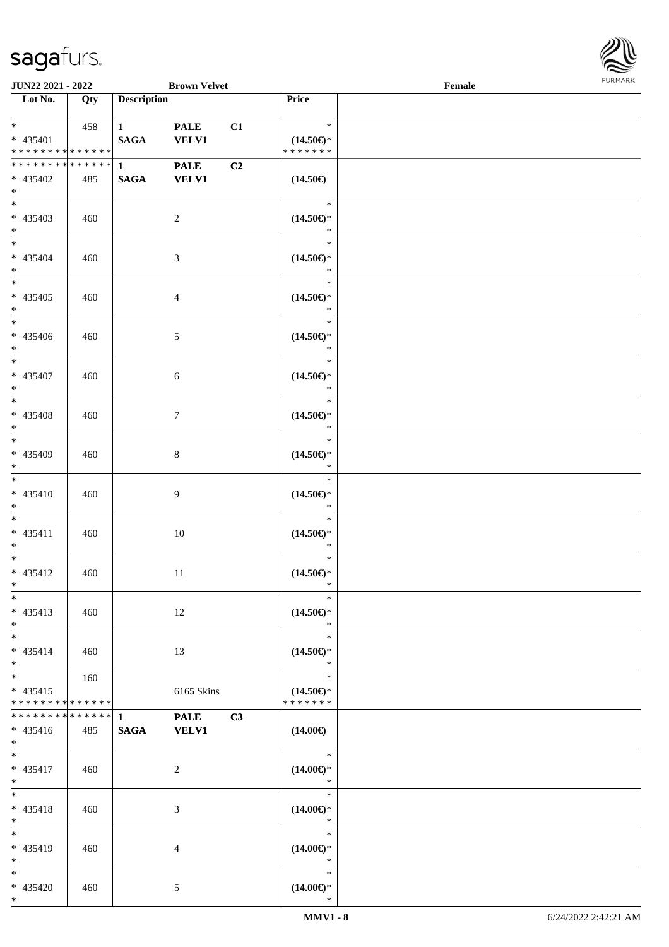

| <b>JUN22 2021 - 2022</b>                               |     |                                 | <b>Brown Velvet</b>         |    |                                                | Female |  |
|--------------------------------------------------------|-----|---------------------------------|-----------------------------|----|------------------------------------------------|--------|--|
| Lot No.                                                | Qty | <b>Description</b>              |                             |    | Price                                          |        |  |
| $*$ $*$                                                | 458 | $1 \quad \blacksquare$          | <b>PALE</b>                 | C1 | $\ast$                                         |        |  |
| * 435401<br>* * * * * * * * * * * * * *                |     | <b>SAGA</b>                     | <b>VELV1</b>                |    | $(14.50\epsilon)$ *<br>* * * * * * *           |        |  |
| * * * * * * * * * * * * * * *<br>* 435402<br>$*$       | 485 | $\mathbf{1}$<br><b>SAGA</b>     | <b>PALE</b><br><b>VELV1</b> | C2 | $(14.50\epsilon)$                              |        |  |
| * 435403<br>$*$                                        | 460 |                                 | $\overline{2}$              |    | $\ast$<br>$(14.50\epsilon)$ *<br>$\ast$        |        |  |
| $*$<br>$* 435404$<br>$*$                               | 460 |                                 | $\mathfrak{Z}$              |    | $\ast$<br>$(14.50\epsilon)$ *<br>$\ast$        |        |  |
| $*$<br>$* 435405$<br>$*$                               | 460 |                                 | $\overline{4}$              |    | $\ast$<br>$(14.50\epsilon)$ *<br>$\ast$        |        |  |
| $*$<br>* 435406<br>$*$                                 | 460 |                                 | $\mathfrak{S}$              |    | $\ast$<br>$(14.50\epsilon)$ *<br>$\ast$        |        |  |
| * 435407<br>$*$                                        | 460 |                                 | 6                           |    | $\ast$<br>$(14.50\epsilon)$ *<br>$\ast$        |        |  |
| * 435408<br>$*$                                        | 460 |                                 | $\boldsymbol{7}$            |    | $\ast$<br>$(14.50\epsilon)$ *<br>$\ast$        |        |  |
| $\overline{\phantom{0}}$<br>* 435409<br>$*$            | 460 |                                 | $\,8\,$                     |    | $\ast$<br>$(14.50\epsilon)$ *<br>$\ast$        |        |  |
| $*$<br>$* 435410$<br>$*$                               | 460 |                                 | $\overline{9}$              |    | $\ast$<br>$(14.50\epsilon)$ *<br>$\ast$        |        |  |
| $*$<br>$* 435411$<br>$*$                               | 460 |                                 | 10                          |    | $\ast$<br>$(14.50\epsilon)$ *<br>$\ast$        |        |  |
| $*$<br>* 435412<br>$*$ $*$                             | 460 |                                 | $11\,$                      |    | $\ast$<br>$(14.50\epsilon)$ *<br>$\ast$        |        |  |
| $\ast$<br>$* 435413$<br>$*$                            | 460 |                                 | 12                          |    | $\ast$<br>$(14.50\epsilon)$ *<br>$\ast$        |        |  |
| $*$<br>$* 435414$<br>$*$                               | 460 |                                 | 13                          |    | $\ast$<br>$(14.50\epsilon)$ *<br>$\ast$        |        |  |
| $*$<br>$* 435415$<br>* * * * * * * * * * * * * *       | 160 |                                 | 6165 Skins                  |    | $\ast$<br>$(14.50\epsilon)$ *<br>* * * * * * * |        |  |
| * * * * * * * * * * * * * * *<br>$* 435416$<br>$*$ $*$ | 485 | $\mathbf{1}$<br>$\mathbf{SAGA}$ | <b>PALE</b><br><b>VELV1</b> | C3 | $(14.00\epsilon)$                              |        |  |
| $*$<br>$* 435417$<br>$*$                               | 460 |                                 | 2                           |    | $\ast$<br>$(14.00\epsilon)$ *<br>$\ast$        |        |  |
| $*$<br>* 435418<br>$*$                                 | 460 |                                 | 3                           |    | $\ast$<br>$(14.00\epsilon)$ *<br>$\ast$        |        |  |
| $*$<br>* 435419<br>$*$                                 | 460 |                                 | $\overline{4}$              |    | $\ast$<br>$(14.00\epsilon)$ *<br>$\ast$        |        |  |
| $*$<br>* 435420<br>$*$                                 | 460 |                                 | 5                           |    | $\ast$<br>$(14.00\epsilon)$ *<br>$\ast$        |        |  |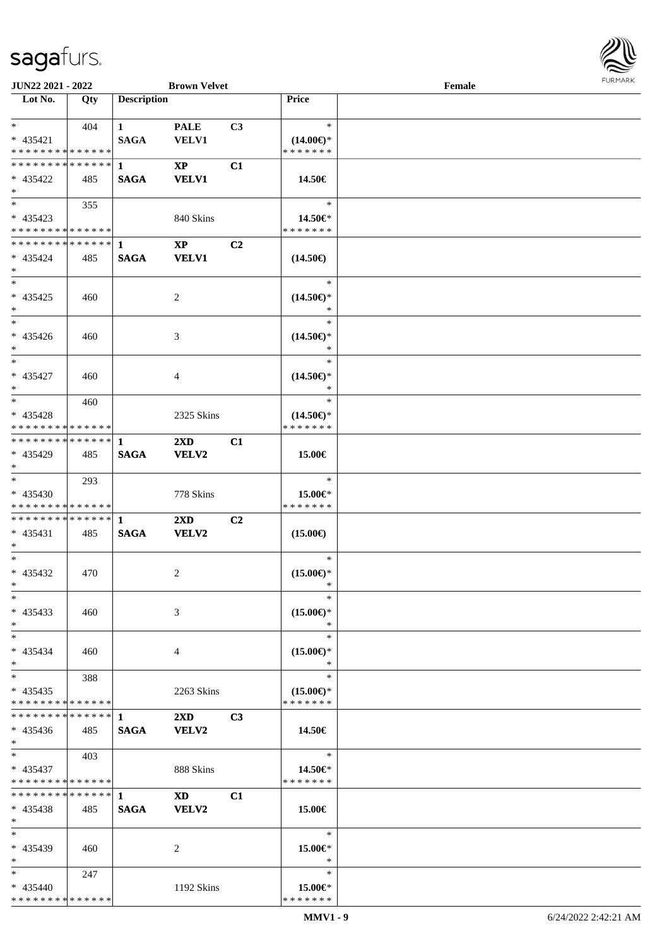

| JUN22 2021 - 2022                         |     |                    | <b>Brown Velvet</b>     |                |                                      | Female |  |
|-------------------------------------------|-----|--------------------|-------------------------|----------------|--------------------------------------|--------|--|
| Lot No.                                   | Qty | <b>Description</b> |                         |                | Price                                |        |  |
|                                           |     |                    |                         |                |                                      |        |  |
| $*$                                       | 404 | $\mathbf{1}$       | <b>PALE</b>             | C3             | $\ast$                               |        |  |
| $* 435421$                                |     | <b>SAGA</b>        | <b>VELV1</b>            |                | $(14.00\epsilon)$ *                  |        |  |
| * * * * * * * * * * * * * *               |     |                    |                         |                | * * * * * * *                        |        |  |
| * * * * * * * * * * * * * * *             |     | $\mathbf{1}$       | $\mathbf{X}\mathbf{P}$  | C1             |                                      |        |  |
| $* 435422$                                | 485 | <b>SAGA</b>        | <b>VELV1</b>            |                | 14.50€                               |        |  |
| $\ast$                                    |     |                    |                         |                |                                      |        |  |
| $\overline{\phantom{0}}$                  | 355 |                    |                         |                | $\ast$                               |        |  |
| $* 435423$                                |     |                    | 840 Skins               |                | 14.50€*                              |        |  |
| * * * * * * * * * * * * * *               |     |                    |                         |                | * * * * * * *                        |        |  |
| **************                            |     | $\mathbf{1}$       | $\mathbf{X}\mathbf{P}$  | C2             |                                      |        |  |
| $* 435424$                                | 485 | <b>SAGA</b>        | <b>VELV1</b>            |                | $(14.50\epsilon)$                    |        |  |
| $*$<br>$\ast$                             |     |                    |                         |                |                                      |        |  |
|                                           |     |                    |                         |                | $\ast$                               |        |  |
| $* 435425$                                | 460 |                    | $\overline{2}$          |                | $(14.50\epsilon)$ *                  |        |  |
| $\ast$<br>$\overline{\phantom{1}}$        |     |                    |                         |                | $\ast$<br>$\ast$                     |        |  |
|                                           |     |                    |                         |                |                                      |        |  |
| $* 435426$<br>$\ast$                      | 460 |                    | 3                       |                | $(14.50\epsilon)$ *<br>*             |        |  |
| $\ast$                                    |     |                    |                         |                | $\ast$                               |        |  |
|                                           |     |                    |                         |                |                                      |        |  |
| * 435427<br>$\ast$                        | 460 |                    | 4                       |                | $(14.50\epsilon)$ *<br>$\ast$        |        |  |
| $*$                                       |     |                    |                         |                | $\ast$                               |        |  |
|                                           | 460 |                    |                         |                |                                      |        |  |
| * 435428<br>* * * * * * * * * * * * * *   |     |                    | 2325 Skins              |                | $(14.50\epsilon)$ *<br>* * * * * * * |        |  |
| **************                            |     |                    |                         |                |                                      |        |  |
| * 435429                                  | 485 | 1                  | 2XD                     | C1             |                                      |        |  |
| $*$                                       |     | <b>SAGA</b>        | <b>VELV2</b>            |                | 15.00€                               |        |  |
| $*$                                       | 293 |                    |                         |                | $\ast$                               |        |  |
| $* 435430$                                |     |                    | 778 Skins               |                | 15.00€*                              |        |  |
| * * * * * * * * * * * * * *               |     |                    |                         |                | * * * * * * *                        |        |  |
| ******** <mark>*******</mark> 1           |     |                    | $2\mathbf{X}\mathbf{D}$ | C2             |                                      |        |  |
| $* 435431$                                | 485 | <b>SAGA</b>        | <b>VELV2</b>            |                | $(15.00\epsilon)$                    |        |  |
| $*$                                       |     |                    |                         |                |                                      |        |  |
| $*$                                       |     |                    |                         |                | $\ast$                               |        |  |
| * 435432                                  | 470 |                    | 2                       |                | $(15.00\epsilon)$ *                  |        |  |
| $*$                                       |     |                    |                         |                | $\ast$                               |        |  |
| $*$                                       |     |                    |                         |                | $\ast$                               |        |  |
| $* 435433$                                | 460 |                    | 3                       |                | $(15.00\epsilon)$ *                  |        |  |
| $*$                                       |     |                    |                         |                | ∗                                    |        |  |
| $*$                                       |     |                    |                         |                | $\ast$                               |        |  |
| $* 435434$                                | 460 |                    | 4                       |                | $(15.00\epsilon)$ *                  |        |  |
| $*$                                       |     |                    |                         |                | ∗                                    |        |  |
| $*$                                       | 388 |                    |                         |                | $\ast$                               |        |  |
| $* 435435$                                |     |                    | 2263 Skins              |                | $(15.00\epsilon)$ *                  |        |  |
| * * * * * * * * * * * * * *               |     |                    |                         |                | * * * * * * *                        |        |  |
| **************                            |     | $\mathbf{1}$       | $2\mathbf{X}\mathbf{D}$ | C <sub>3</sub> |                                      |        |  |
| $* 435436$                                | 485 | <b>SAGA</b>        | <b>VELV2</b>            |                | 14.50€                               |        |  |
| $*$                                       |     |                    |                         |                |                                      |        |  |
| $*$ $*$                                   | 403 |                    |                         |                | $\ast$                               |        |  |
| $* 435437$                                |     |                    | 888 Skins               |                | 14.50€*                              |        |  |
| * * * * * * * * * * * * * *               |     |                    |                         |                | * * * * * * *                        |        |  |
| * * * * * * * * * * * * * * *             |     | $\mathbf{1}$       | <b>XD</b>               | C1             |                                      |        |  |
| $* 435438$                                | 485 | <b>SAGA</b>        | <b>VELV2</b>            |                | 15.00€                               |        |  |
| $*$                                       |     |                    |                         |                |                                      |        |  |
| $*$                                       |     |                    |                         |                | $\ast$                               |        |  |
| $* 435439$                                | 460 |                    | 2                       |                | 15.00€*                              |        |  |
| $*$                                       |     |                    |                         |                | $\ast$                               |        |  |
| $*$                                       | 247 |                    |                         |                | $\ast$                               |        |  |
| $* 435440$<br>* * * * * * * * * * * * * * |     |                    | 1192 Skins              |                | 15.00€*<br>* * * * * * *             |        |  |
|                                           |     |                    |                         |                |                                      |        |  |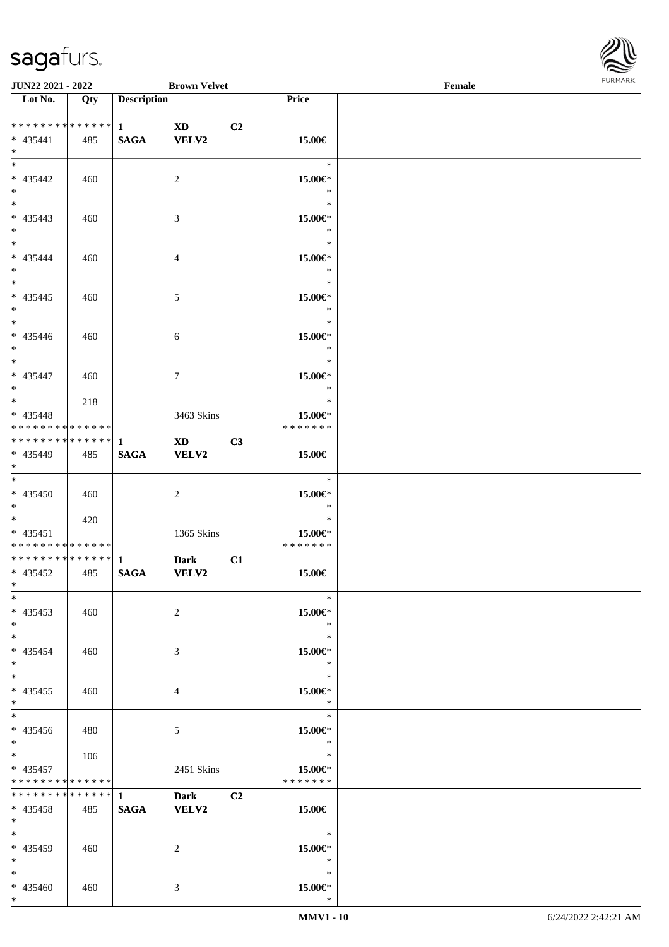\*



| <b>JUN22 2021 - 2022</b>                                             |     |                    | <b>Brown Velvet</b>                                                                                                                                                                                                                     |                |                                     | Female |  |
|----------------------------------------------------------------------|-----|--------------------|-----------------------------------------------------------------------------------------------------------------------------------------------------------------------------------------------------------------------------------------|----------------|-------------------------------------|--------|--|
| Lot No.                                                              | Qty | <b>Description</b> |                                                                                                                                                                                                                                         |                | Price                               |        |  |
| $* 435441$<br>$*$                                                    | 485 | <b>SAGA</b>        | XD <b>XD</b><br><b>VELV2</b>                                                                                                                                                                                                            | C <sub>2</sub> | 15.00€                              |        |  |
| $\overline{\ast}$<br>$* 435442$<br>$*$                               | 460 |                    | 2                                                                                                                                                                                                                                       |                | $\ast$<br>15.00€*<br>$\ast$         |        |  |
| $\overline{\ast}$<br>* 435443<br>$*$                                 | 460 |                    | 3                                                                                                                                                                                                                                       |                | $\ast$<br>15.00€*<br>$\ast$         |        |  |
| $*$<br>* 435444<br>$*$                                               | 460 |                    | $\overline{4}$                                                                                                                                                                                                                          |                | $\ast$<br>15.00€*<br>$\ast$         |        |  |
| $\overline{\ast}$<br>* 435445<br>$*$                                 | 460 |                    | $\mathfrak{S}$                                                                                                                                                                                                                          |                | $\ast$<br>15.00€*<br>$\ast$         |        |  |
| * 435446<br>$*$                                                      | 460 |                    | 6                                                                                                                                                                                                                                       |                | $\ast$<br>15.00€*<br>$\ast$         |        |  |
| * 435447<br>$*$                                                      | 460 |                    | $\tau$                                                                                                                                                                                                                                  |                | $\ast$<br>15.00€*<br>$\ast$         |        |  |
| * 435448<br>* * * * * * * * <mark>* * * * * * *</mark>               | 218 |                    | 3463 Skins                                                                                                                                                                                                                              |                | $\ast$<br>15.00€*<br>* * * * * * *  |        |  |
| * 435449<br>$*$                                                      | 485 | <b>SAGA</b>        | XD and the set of the set of the set of the set of the set of the set of the set of the set of the set of the set of the set of the set of the set of the set of the set of the set of the set of the set of the set of the se<br>VELV2 | C3             | 15.00€                              |        |  |
| $*$<br>* 435450<br>$*$                                               | 460 |                    | 2                                                                                                                                                                                                                                       |                | $\ast$<br>15.00€*<br>$\ast$         |        |  |
| $\ddot{x}$<br>$* 435451$<br>* * * * * * * * <mark>* * * * * *</mark> | 420 |                    | 1365 Skins                                                                                                                                                                                                                              |                | $\ast$<br>15.00€*<br>* * * * * * *  |        |  |
| $* 435452$<br>$*$ $-$                                                | 485 | <b>SAGA</b>        | <b>Dark</b><br><b>VELV2</b>                                                                                                                                                                                                             | C1             | 15.00€                              |        |  |
| $\ast$<br>$* 435453$<br>$*$                                          | 460 |                    | 2                                                                                                                                                                                                                                       |                | $\ast$<br>15.00€*<br>$\ast$         |        |  |
| $*$ $-$<br>$* 435454$<br>$*$ $-$                                     | 460 |                    | 3                                                                                                                                                                                                                                       |                | $\ast$<br>15.00€*<br>$\ast$         |        |  |
| $*$ $-$<br>$* 435455$<br>$*$                                         | 460 |                    | $\overline{4}$                                                                                                                                                                                                                          |                | $\ast$<br>15.00€*<br>$\ast$         |        |  |
| $\ddot{x}$<br>$* 435456$<br>$*$                                      | 480 |                    | $5\overline{)}$                                                                                                                                                                                                                         |                | $\ast$<br>15.00€*<br>$\ddot{x}$     |        |  |
| $*$<br>$* 435457$<br>* * * * * * * * <mark>* * * * * *</mark> *      | 106 |                    | 2451 Skins                                                                                                                                                                                                                              |                | $\ast$<br>15.00€*<br>* * * * * * *  |        |  |
| $* 435458$<br>$\ast$                                                 | 485 | <b>SAGA</b>        | <b>Dark</b><br><b>VELV2</b>                                                                                                                                                                                                             | C <sub>2</sub> | 15.00€                              |        |  |
| $\ddot{x}$<br>* 435459<br>$*$ $-$                                    | 460 |                    | $\overline{2}$                                                                                                                                                                                                                          |                | $\ast$<br>15.00€*<br>$\sim$ $\star$ |        |  |
| $\ast$<br>* 435460                                                   | 460 |                    | 3                                                                                                                                                                                                                                       |                | $\ast$<br>15.00€*                   |        |  |

\*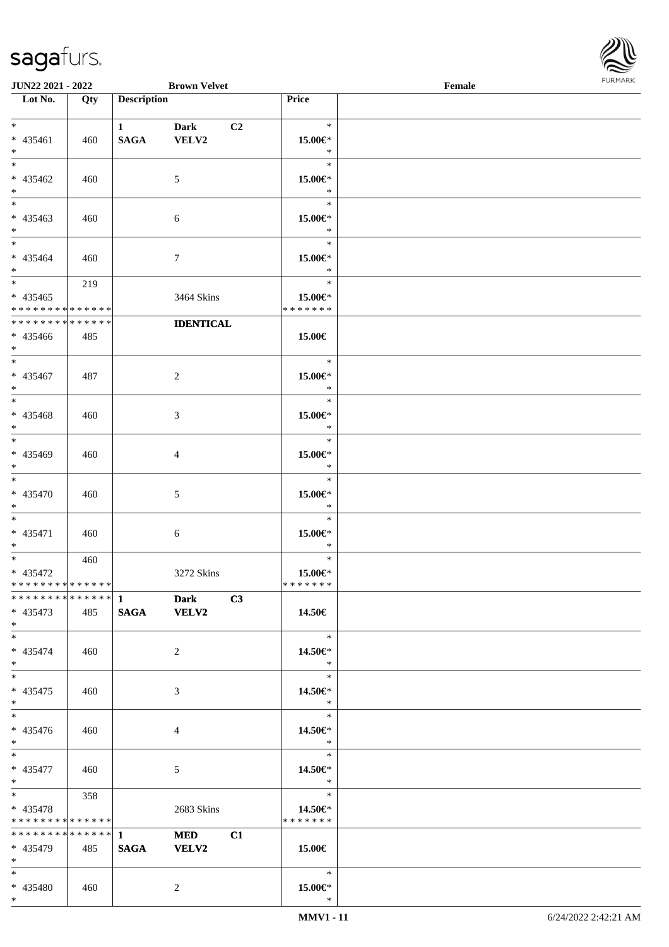

| <b>JUN22 2021 - 2022</b>                        |     |                    | <b>Brown Velvet</b>    |                |                   | Female |  |
|-------------------------------------------------|-----|--------------------|------------------------|----------------|-------------------|--------|--|
| Lot No.                                         | Qty | <b>Description</b> |                        |                | Price             |        |  |
|                                                 |     |                    |                        |                |                   |        |  |
| $*$                                             |     | $\mathbf{1}$       | <b>Dark</b>            | C <sub>2</sub> | $\ast$            |        |  |
| * 435461                                        | 460 | <b>SAGA</b>        | VELV2                  |                | 15.00€*           |        |  |
| $*$                                             |     |                    |                        |                | $\ast$            |        |  |
| $\overline{\ast}$                               |     |                    |                        |                | $\ast$            |        |  |
| * 435462                                        | 460 |                    | 5                      |                | 15.00€*           |        |  |
| $*$                                             |     |                    |                        |                | $\ast$            |        |  |
| $\overline{\ast}$                               |     |                    |                        |                | $\ast$            |        |  |
| * 435463                                        | 460 |                    | 6                      |                | 15.00€*           |        |  |
| $*$                                             |     |                    |                        |                | $\ast$            |        |  |
| $*$                                             |     |                    |                        |                | $\ast$            |        |  |
| * 435464                                        |     |                    |                        |                |                   |        |  |
| $*$                                             | 460 |                    | $\tau$                 |                | 15.00€*<br>$\ast$ |        |  |
|                                                 |     |                    |                        |                | $\ast$            |        |  |
|                                                 | 219 |                    |                        |                |                   |        |  |
| $* 435465$                                      |     |                    | 3464 Skins             |                | 15.00€*           |        |  |
| * * * * * * * * * * * * * *                     |     |                    |                        |                | * * * * * * *     |        |  |
| * * * * * * * * * * * * * *                     |     |                    | <b>IDENTICAL</b>       |                |                   |        |  |
| $* 435466$                                      | 485 |                    |                        |                | 15.00€            |        |  |
| $*$                                             |     |                    |                        |                |                   |        |  |
|                                                 |     |                    |                        |                | $\ast$            |        |  |
| * 435467                                        | 487 |                    | 2                      |                | 15.00€*           |        |  |
| $*$                                             |     |                    |                        |                | $\ast$            |        |  |
|                                                 |     |                    |                        |                | $\ast$            |        |  |
| * 435468                                        | 460 |                    | 3                      |                | 15.00€*           |        |  |
| $*$                                             |     |                    |                        |                | $\ast$            |        |  |
|                                                 |     |                    |                        |                | $\ast$            |        |  |
| * 435469                                        | 460 |                    | 4                      |                | 15.00€*           |        |  |
| $*$                                             |     |                    |                        |                | $\ast$            |        |  |
| $*$                                             |     |                    |                        |                | $\ast$            |        |  |
| * 435470                                        | 460 |                    | 5                      |                | 15.00€*           |        |  |
| $*$                                             |     |                    |                        |                | $\ast$            |        |  |
| $*$                                             |     |                    |                        |                | $\ast$            |        |  |
| * 435471                                        | 460 |                    | 6                      |                | 15.00€*           |        |  |
| $*$                                             |     |                    |                        |                | $\ast$            |        |  |
| $*$ $-$                                         | 460 |                    |                        |                | $\ast$            |        |  |
| * 435472                                        |     |                    | 3272 Skins             |                | 15.00€*           |        |  |
| * * * * * * * * * * * * * *                     |     |                    |                        |                | *******           |        |  |
| ******** <sup>*</sup> ****** <sup></sup> 1 Dark |     |                    | $\overline{\text{C3}}$ |                |                   |        |  |
| * 435473                                        | 485 |                    | SAGA VELV2             |                | 14.50€            |        |  |
| $*$                                             |     |                    |                        |                |                   |        |  |
| $*$                                             |     |                    |                        |                | $\ast$            |        |  |
|                                                 |     |                    |                        |                |                   |        |  |
| $* 435474$                                      | 460 |                    | 2                      |                | 14.50€*<br>$*$    |        |  |
| $*$<br>$*$                                      |     |                    |                        |                | $\ast$            |        |  |
|                                                 |     |                    |                        |                |                   |        |  |
| $* 435475$                                      | 460 |                    | 3                      |                | 14.50€*           |        |  |
| $*$                                             |     |                    |                        |                | $\ast$            |        |  |
|                                                 |     |                    |                        |                | $\ast$            |        |  |
| * 435476                                        | 460 |                    | 4                      |                | 14.50€*           |        |  |
| $*$                                             |     |                    |                        |                | $\ast$            |        |  |
| $*$ $*$                                         |     |                    |                        |                | $\ast$            |        |  |
| * 435477                                        | 460 |                    | 5                      |                | 14.50€*           |        |  |
| $*$ $-$                                         |     |                    |                        |                | $*$               |        |  |
| $\ast$                                          | 358 |                    |                        |                | $\ast$            |        |  |
| * 435478                                        |     |                    | 2683 Skins             |                | 14.50€*           |        |  |
| * * * * * * * * <mark>* * * * * *</mark>        |     |                    |                        |                | * * * * * * *     |        |  |
| * * * * * * * * * * * * * * <mark>*</mark>      |     | $\mathbf{1}$       | <b>MED</b>             | C1             |                   |        |  |
| * 435479                                        | 485 | <b>SAGA</b>        | <b>VELV2</b>           |                | 15.00€            |        |  |
| $*$ $-$                                         |     |                    |                        |                |                   |        |  |
| $*$                                             |     |                    |                        |                | $\ast$            |        |  |
| * 435480                                        | 460 |                    | 2                      |                | 15.00€*           |        |  |
| $*$                                             |     |                    |                        |                | $\ast$            |        |  |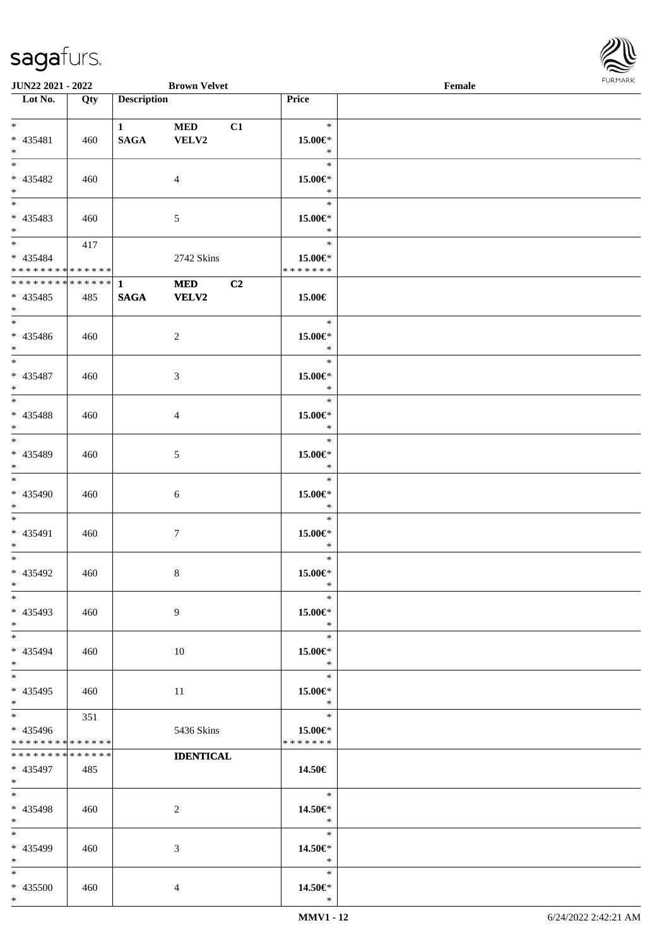

| <b>JUN22 2021 - 2022</b>                 |     |                    | <b>Brown Velvet</b> |    |                   | Female |  |
|------------------------------------------|-----|--------------------|---------------------|----|-------------------|--------|--|
| Lot No.                                  | Qty | <b>Description</b> |                     |    | Price             |        |  |
|                                          |     |                    |                     |    |                   |        |  |
| $*$                                      |     | $1 \qquad \qquad$  | <b>MED</b>          | C1 | $\ast$            |        |  |
| $* 435481$                               | 460 | <b>SAGA</b>        | VELV2               |    | 15.00€*           |        |  |
| $*$                                      |     |                    |                     |    | $\ast$            |        |  |
| $\overline{\ast}$                        |     |                    |                     |    | $\ast$            |        |  |
| * 435482                                 | 460 |                    | $\overline{4}$      |    | 15.00€*           |        |  |
| $*$                                      |     |                    |                     |    | $\ast$            |        |  |
| $\overline{\phantom{0}}$                 |     |                    |                     |    | $\ast$            |        |  |
| * 435483                                 | 460 |                    | 5                   |    | 15.00€*           |        |  |
| $*$                                      |     |                    |                     |    | $\ast$            |        |  |
| $*$                                      |     |                    |                     |    | $\ast$            |        |  |
|                                          | 417 |                    |                     |    |                   |        |  |
| * 435484                                 |     |                    | 2742 Skins          |    | 15.00€*           |        |  |
| * * * * * * * * <mark>* * * * * *</mark> |     |                    |                     |    | * * * * * * *     |        |  |
|                                          |     |                    | <b>MED</b>          | C2 |                   |        |  |
| * 435485                                 | 485 | <b>SAGA</b>        | <b>VELV2</b>        |    | 15.00€            |        |  |
| $*$                                      |     |                    |                     |    |                   |        |  |
|                                          |     |                    |                     |    | $\ast$            |        |  |
| * 435486                                 | 460 |                    | 2                   |    | 15.00€*           |        |  |
| $*$                                      |     |                    |                     |    | $\ast$            |        |  |
| $\overline{\phantom{0}}$                 |     |                    |                     |    | $\ast$            |        |  |
| * 435487                                 | 460 |                    | 3                   |    | 15.00€*           |        |  |
| $*$                                      |     |                    |                     |    | $\ast$            |        |  |
| $\overline{\ast}$                        |     |                    |                     |    | $\ast$            |        |  |
| * 435488                                 | 460 |                    | $\overline{4}$      |    | 15.00€*           |        |  |
| $*$                                      |     |                    |                     |    | $\ast$            |        |  |
| $*$                                      |     |                    |                     |    | $\ast$            |        |  |
| * 435489                                 | 460 |                    | 5                   |    | 15.00€*           |        |  |
| $*$                                      |     |                    |                     |    | $\ast$            |        |  |
| $*$                                      |     |                    |                     |    | $\ast$            |        |  |
| * 435490                                 |     |                    |                     |    |                   |        |  |
|                                          | 460 |                    | 6                   |    | 15.00€*<br>$\ast$ |        |  |
| $*$<br>$*$ $-$                           |     |                    |                     |    | $\ast$            |        |  |
|                                          |     |                    |                     |    |                   |        |  |
| * 435491                                 | 460 |                    | $\tau$              |    | 15.00€*           |        |  |
| $\ast$                                   |     |                    |                     |    | $\ast$            |        |  |
| $\ast$                                   |     |                    |                     |    | $\ast$            |        |  |
| * 435492                                 | 460 |                    | $8\,$               |    | 15.00€*           |        |  |
| $\ast$                                   |     |                    |                     |    | $\ast$            |        |  |
| $\ast$                                   |     |                    |                     |    | $\ast$            |        |  |
| * 435493                                 | 460 |                    | 9                   |    | 15.00€*           |        |  |
| $*$                                      |     |                    |                     |    | $\ast$            |        |  |
| $*$                                      |     |                    |                     |    | $\ast$            |        |  |
| * 435494                                 | 460 |                    | 10                  |    | 15.00€*           |        |  |
| $\ast$                                   |     |                    |                     |    | $\ast$            |        |  |
| $*$                                      |     |                    |                     |    | $\ast$            |        |  |
| * 435495                                 | 460 |                    | 11                  |    | 15.00€*           |        |  |
| $\ast$                                   |     |                    |                     |    | $\ast$            |        |  |
| $\overline{\ast}$                        | 351 |                    |                     |    | $\ast$            |        |  |
| * 435496                                 |     |                    | 5436 Skins          |    | 15.00€*           |        |  |
| * * * * * * * * <mark>* * * * * *</mark> |     |                    |                     |    | * * * * * * *     |        |  |
| * * * * * * * * <mark>* * * * * *</mark> |     |                    | <b>IDENTICAL</b>    |    |                   |        |  |
| * 435497                                 | 485 |                    |                     |    | 14.50€            |        |  |
| $*$ and $*$                              |     |                    |                     |    |                   |        |  |
| $*$ $-$                                  |     |                    |                     |    | $-$ *             |        |  |
| * 435498                                 | 460 |                    | 2                   |    | 14.50€*           |        |  |
| $*$ $-$                                  |     |                    |                     |    | $*$               |        |  |
| $*$                                      |     |                    |                     |    | $\ast$            |        |  |
|                                          |     |                    |                     |    |                   |        |  |
| * 435499                                 | 460 |                    | 3                   |    | 14.50€*           |        |  |
| $*$                                      |     |                    |                     |    | $\ast$            |        |  |
| $*$                                      |     |                    |                     |    | $\ast$            |        |  |
| * 435500                                 | 460 |                    | $\overline{4}$      |    | 14.50€*           |        |  |
| $*$                                      |     |                    |                     |    | $\ast$            |        |  |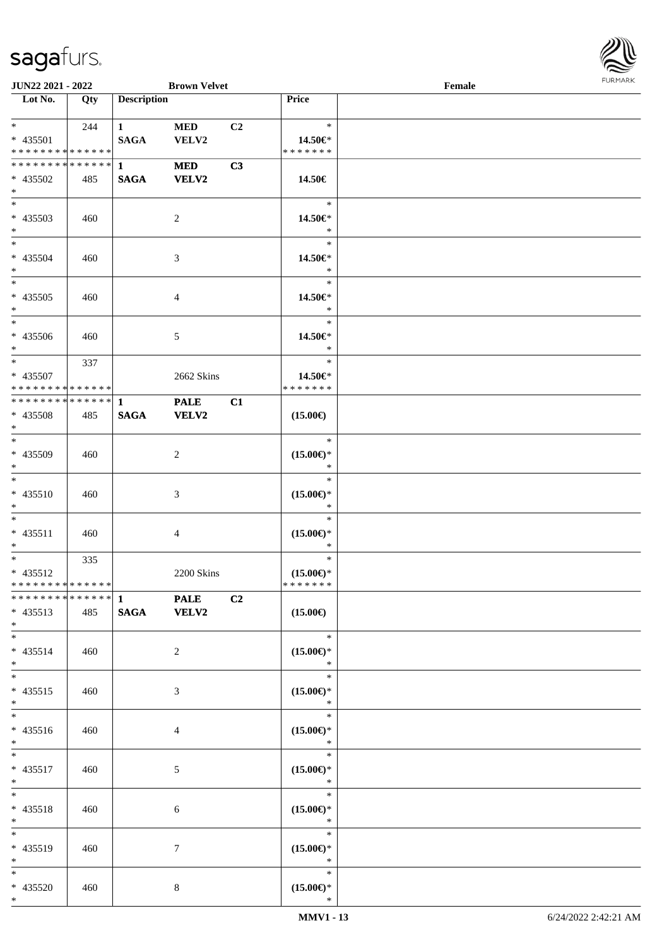

| <b>JUN22 2021 - 2022</b>                               |     |                                       | <b>Brown Velvet</b>         |                |                                                | Female |  |
|--------------------------------------------------------|-----|---------------------------------------|-----------------------------|----------------|------------------------------------------------|--------|--|
| Lot No.                                                | Qty | <b>Description</b>                    |                             |                | Price                                          |        |  |
| $*$ $*$<br>* 435501<br>* * * * * * * * * * * * * *     | 244 | $1 \quad \blacksquare$<br><b>SAGA</b> | <b>MED</b><br>VELV2         | C2             | $\ast$<br>14.50€*<br>* * * * * * *             |        |  |
| * * * * * * * * * * * * * * *<br>* 435502<br>$*$       | 485 | $\mathbf{1}$<br><b>SAGA</b>           | <b>MED</b><br><b>VELV2</b>  | C3             | 14.50€                                         |        |  |
| $*$<br>* 435503<br>$*$                                 | 460 |                                       | 2                           |                | $\ast$<br>14.50€*<br>$\ast$                    |        |  |
| $*$<br>* 435504<br>$*$                                 | 460 |                                       | 3                           |                | $\ast$<br>14.50€*<br>$\ast$                    |        |  |
| $* 435505$<br>$*$<br>$\overline{\ast}$                 | 460 |                                       | 4                           |                | $\ast$<br>14.50€*<br>$\ast$                    |        |  |
| $* 435506$<br>$*$                                      | 460 |                                       | 5                           |                | $\ast$<br>14.50€*<br>$\ast$                    |        |  |
| $*$<br>* 435507<br>* * * * * * * * * * * * * * *       | 337 |                                       | 2662 Skins                  |                | $\ast$<br>14.50€*<br>* * * * * * *             |        |  |
| ************** 1<br>* 435508<br>$*$                    | 485 | <b>SAGA</b>                           | <b>PALE</b><br><b>VELV2</b> | C1             | $(15.00\epsilon)$                              |        |  |
| $*$<br>$* 435509$<br>$*$                               | 460 |                                       | 2                           |                | $\ast$<br>$(15.00\epsilon)$ *<br>$\ast$        |        |  |
| $\overline{\ast}$<br>$* 435510$<br>$*$                 | 460 |                                       | 3                           |                | $\ast$<br>$(15.00\epsilon)$ *<br>$\ast$        |        |  |
| $*$<br>* 435511<br>$*$                                 | 460 |                                       | 4                           |                | $\ast$<br>$(15.00\epsilon)$ *<br>$\ast$        |        |  |
| $*$<br>$* 435512$<br>* * * * * * * * * * * * * * *     | 335 |                                       | 2200 Skins                  |                | $\ast$<br>$(15.00\epsilon)$ *<br>* * * * * * * |        |  |
| ******** <sup>*</sup> ****** 1 PALE<br>* 435513<br>$*$ | 485 | SAGA VELV2                            |                             | C <sub>2</sub> | $(15.00\epsilon)$                              |        |  |
| $*$<br>$* 435514$<br>$*$                               | 460 |                                       | 2                           |                | $\ast$<br>$(15.00\epsilon)$ *<br>$\ast$        |        |  |
| $*$<br>$* 435515$<br>$*$                               | 460 |                                       | 3                           |                | $\ast$<br>$(15.00\epsilon)$ *<br>$\ast$        |        |  |
| $*$<br>$* 435516$<br>$*$                               | 460 |                                       | 4                           |                | $\ast$<br>$(15.00\epsilon)$ *<br>$\ast$        |        |  |
| $*$<br>* 435517<br>$*$ $-$                             | 460 |                                       | $\mathfrak{S}$              |                | $\ast$<br>$(15.00\epsilon)$ *<br>$\ast$        |        |  |
| $*$<br>* 435518<br>$*$                                 | 460 |                                       | 6                           |                | $\ast$<br>$(15.00\epsilon)$ *<br>$\ast$        |        |  |
| $*$<br>* 435519<br>$*$                                 | 460 |                                       | 7                           |                | $\ast$<br>$(15.00\epsilon)$ *<br>$\ast$        |        |  |
| $*$<br>* 435520<br>$*$                                 | 460 |                                       | 8                           |                | $\ast$<br>$(15.00\epsilon)$ *<br>$\ast$        |        |  |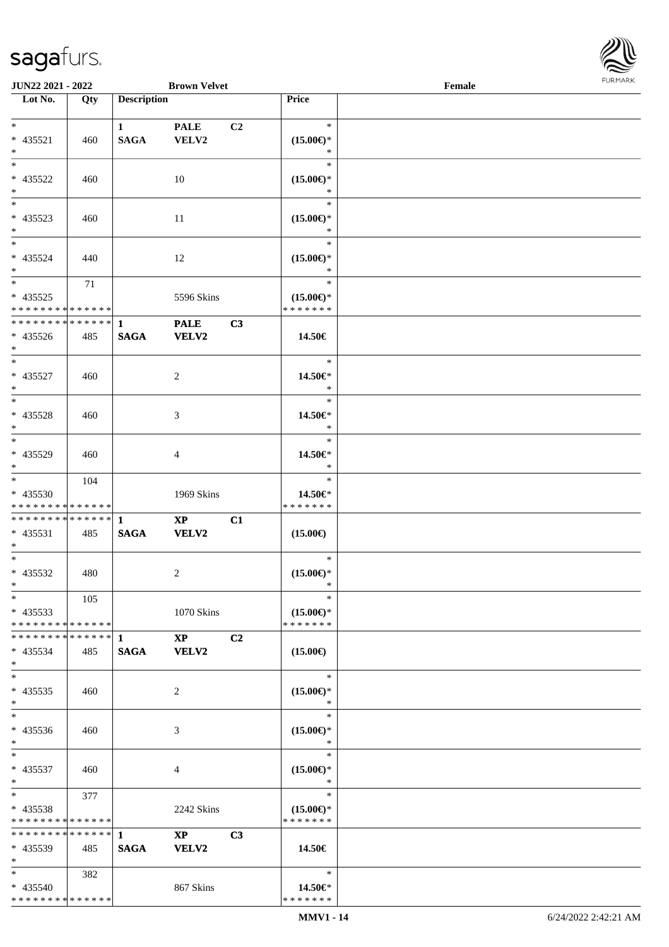

| <b>JUN22 2021 - 2022</b>      |     |                    | <b>Brown Velvet</b>    |                |                               | Female |  |
|-------------------------------|-----|--------------------|------------------------|----------------|-------------------------------|--------|--|
| Lot No.                       | Qty | <b>Description</b> |                        |                | Price                         |        |  |
|                               |     |                    |                        |                |                               |        |  |
| $*$                           |     | $\mathbf{1}$       | <b>PALE</b>            | C <sub>2</sub> | $\ast$                        |        |  |
| * 435521                      | 460 | <b>SAGA</b>        | VELV2                  |                | $(15.00\epsilon)$ *           |        |  |
| $*$                           |     |                    |                        |                | $\ast$                        |        |  |
| $*$                           |     |                    |                        |                | $\ast$                        |        |  |
| * 435522                      | 460 |                    | 10                     |                | $(15.00\epsilon)$ *           |        |  |
| $\ast$                        |     |                    |                        |                | $\ast$                        |        |  |
|                               |     |                    |                        |                | $\ast$                        |        |  |
| * 435523                      | 460 |                    | 11                     |                | $(15.00\epsilon)$ *           |        |  |
| $*$                           |     |                    |                        |                | $\ast$                        |        |  |
| $*$                           |     |                    |                        |                | $\ast$                        |        |  |
| * 435524                      | 440 |                    | 12                     |                | $(15.00\epsilon)$ *           |        |  |
| $*$                           |     |                    |                        |                | $\ast$                        |        |  |
| $*$                           | 71  |                    |                        |                | $\ast$                        |        |  |
| * 435525                      |     |                    | 5596 Skins             |                | $(15.00\epsilon)$ *           |        |  |
| * * * * * * * * * * * * * * * |     |                    |                        |                | * * * * * * *                 |        |  |
| * * * * * * * * * * * * * * * |     | $\mathbf{1}$       | <b>PALE</b>            | C3             |                               |        |  |
| $* 435526$                    | 485 | <b>SAGA</b>        | <b>VELV2</b>           |                | 14.50€                        |        |  |
| $*$                           |     |                    |                        |                |                               |        |  |
| $*$                           |     |                    |                        |                | $\ast$                        |        |  |
| $* 435527$                    | 460 |                    | $\overline{2}$         |                | 14.50€*                       |        |  |
| $*$                           |     |                    |                        |                | $\ast$                        |        |  |
| $\overline{\ast}$             |     |                    |                        |                | $\ast$                        |        |  |
| * 435528                      | 460 |                    | 3                      |                | 14.50€*                       |        |  |
| $*$                           |     |                    |                        |                | $\ast$                        |        |  |
|                               |     |                    |                        |                | $\ast$                        |        |  |
| $* 435529$                    | 460 |                    | 4                      |                | 14.50€*                       |        |  |
| $*$                           |     |                    |                        |                | $\ast$                        |        |  |
| $*$                           | 104 |                    |                        |                | $\ast$                        |        |  |
| * 435530                      |     |                    | 1969 Skins             |                | 14.50€*                       |        |  |
| * * * * * * * * * * * * * *   |     |                    |                        |                | * * * * * * *                 |        |  |
| * * * * * * * * * * * * * * * |     | $\mathbf{1}$       | $\mathbf{X}\mathbf{P}$ | C1             |                               |        |  |
| * 435531                      | 485 | <b>SAGA</b>        | <b>VELV2</b>           |                | $(15.00\epsilon)$             |        |  |
| $*$<br>$*$                    |     |                    |                        |                | $\ast$                        |        |  |
|                               |     |                    |                        |                |                               |        |  |
| * 435532<br>$*$ $*$           | 480 |                    | $\overline{2}$         |                | $(15.00\epsilon)$ *<br>$\ast$ |        |  |
| $*$                           | 105 |                    |                        |                | $\ast$                        |        |  |
| $* 435533$                    |     |                    | 1070 Skins             |                | $(15.00\epsilon)$ *           |        |  |
| * * * * * * * * * * * * * * * |     |                    |                        |                | * * * * * * *                 |        |  |
| * * * * * * * * * * * * * * * |     | -1                 | $\mathbf{X}\mathbf{P}$ | C2             |                               |        |  |
| $* 435534$                    | 485 | <b>SAGA</b>        | <b>VELV2</b>           |                | $(15.00\epsilon)$             |        |  |
| $*$                           |     |                    |                        |                |                               |        |  |
| $*$                           |     |                    |                        |                | $\ast$                        |        |  |
| $* 435535$                    | 460 |                    | 2                      |                | $(15.00\epsilon)$ *           |        |  |
| $*$                           |     |                    |                        |                | $\ast$                        |        |  |
| $*$                           |     |                    |                        |                | $\ast$                        |        |  |
| * 435536                      | 460 |                    | 3                      |                | $(15.00\epsilon)$ *           |        |  |
| $*$                           |     |                    |                        |                | $\ast$                        |        |  |
| $*$                           |     |                    |                        |                | $\ast$                        |        |  |
| * 435537                      | 460 |                    | 4                      |                | $(15.00\epsilon)$ *           |        |  |
| $*$                           |     |                    |                        |                | $\ast$                        |        |  |
| $*$ $*$                       | 377 |                    |                        |                | $\ast$                        |        |  |
| $* 435538$                    |     |                    | 2242 Skins             |                | $(15.00\epsilon)$ *           |        |  |
| * * * * * * * * * * * * * *   |     |                    |                        |                | * * * * * * *                 |        |  |
| * * * * * * * * * * * * * * * |     | $\mathbf{1}$       | $\mathbf{X}\mathbf{P}$ | C3             |                               |        |  |
| * 435539                      | 485 | <b>SAGA</b>        | VELV2                  |                | 14.50€                        |        |  |
| $*$                           |     |                    |                        |                |                               |        |  |
| $*$                           | 382 |                    |                        |                | $\ast$                        |        |  |
| * 435540                      |     |                    | 867 Skins              |                | 14.50€*                       |        |  |
| * * * * * * * * * * * * * *   |     |                    |                        |                | * * * * * * *                 |        |  |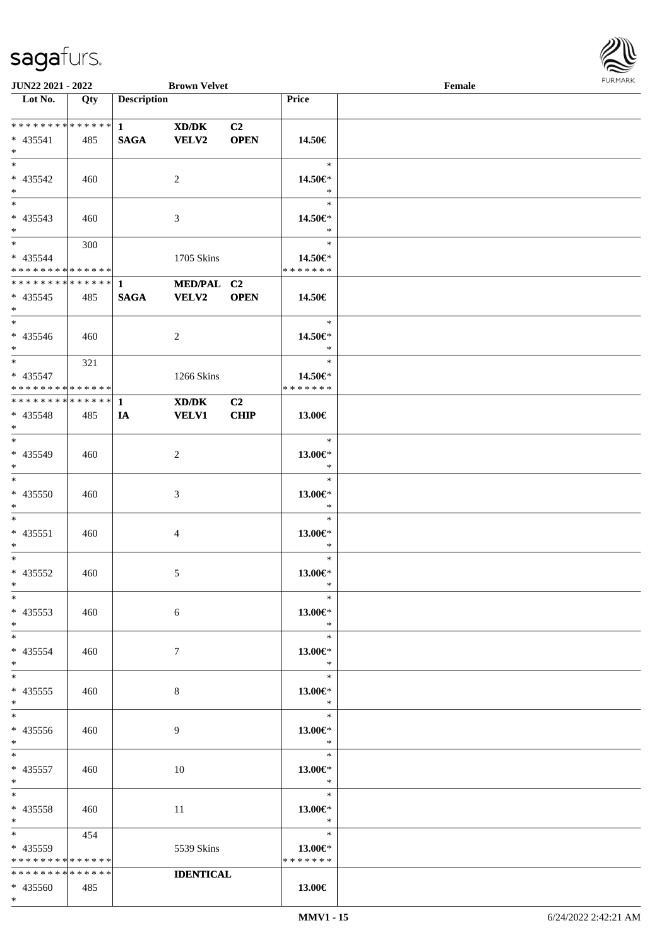\*

 $\mathbf{I}$ 



| <b>JUN22 2021 - 2022</b>                                              |     |                    | <b>Brown Velvet</b>        |                               |                                         | Female |  |
|-----------------------------------------------------------------------|-----|--------------------|----------------------------|-------------------------------|-----------------------------------------|--------|--|
| Lot No.                                                               | Qty | <b>Description</b> |                            |                               | Price                                   |        |  |
|                                                                       |     |                    | XD/DK                      | C <sub>2</sub><br><b>OPEN</b> |                                         |        |  |
| $* 435541$<br>$*$<br>$\overline{\ast}$                                | 485 | <b>SAGA</b>        | <b>VELV2</b>               |                               | 14.50€<br>$\ast$                        |        |  |
| * 435542<br>$*$                                                       | 460 |                    | 2                          |                               | 14.50€*<br>$\ast$                       |        |  |
| * 435543<br>$*$                                                       | 460 |                    | 3                          |                               | $\ast$<br>14.50€*<br>$\ast$             |        |  |
| $\ddot{x}$<br>* 435544<br>* * * * * * * * <mark>* * * * * *</mark>    | 300 |                    | 1705 Skins                 |                               | $\ast$<br>14.50€*<br>* * * * * * *      |        |  |
| $* 435545$<br>$*$                                                     | 485 | <b>SAGA</b>        | MED/PAL C2<br><b>VELV2</b> | <b>OPEN</b>                   | 14.50€                                  |        |  |
| $*$<br>$* 435546$<br>$\ast$                                           | 460 |                    | 2                          |                               | $\ast$<br>14.50€*<br>$\ast$             |        |  |
| $\ddot{x}$<br>* 435547<br>* * * * * * * * * * * * * * <mark>*</mark>  | 321 |                    | 1266 Skins                 |                               | $\ast$<br>14.50€*<br>* * * * * * *      |        |  |
| * 435548<br>$\ast$                                                    | 485 | IA                 | XD/DK<br><b>VELV1</b>      | C2<br><b>CHIP</b>             | 13.00€                                  |        |  |
| $*$<br>* 435549<br>$*$                                                | 460 |                    | 2                          |                               | $\ast$<br>13.00€*<br>$\ast$             |        |  |
| $*$<br>* 435550<br>$*$                                                | 460 |                    | 3                          |                               | $\ast$<br>13.00€*<br>$\ast$             |        |  |
| $*$ $-$<br>$* 435551$<br>$\ddot{x}$                                   | 460 |                    | $\overline{4}$             |                               | $\ast$<br>13.00€*<br>$\ast$             |        |  |
| $*$ $-$<br>* 435552<br>$\ast$                                         | 460 |                    | $\mathfrak{S}$             |                               | $\ast$<br>13.00€*<br>$\ast$             |        |  |
| $\ast$<br>$* 435553$<br>$\ddot{x}$                                    | 460 |                    | 6                          |                               | $\ast$<br>13.00€*<br>$\ast$             |        |  |
| $*$ $-$<br>* 435554<br>$*$                                            | 460 |                    | $7\phantom{.0}$            |                               | $\ast$<br>13.00€*<br>$\ast$             |        |  |
| $*$ $-$<br>$* 435555$<br>$*$                                          | 460 |                    | 8                          |                               | $\ast$<br>13.00€*<br>$\rightarrow$      |        |  |
| $*$<br>* 435556<br>$*$                                                | 460 |                    | 9                          |                               | $\ast$<br>13.00€*<br>$\ast$             |        |  |
| $*$ $-$<br>$* 435557$<br>$*$                                          | 460 |                    | 10                         |                               | $\equiv$<br>$\ast$<br>13.00€*<br>$\ast$ |        |  |
| $*$ $-$<br>$* 435558$<br>$*$ $-$                                      | 460 |                    | 11                         |                               | $\ast$<br>13.00€*<br>$\ast$             |        |  |
| $*$ and $*$<br>* 435559<br>* * * * * * * * <mark>* * * * * *</mark> * | 454 |                    | 5539 Skins                 |                               | $\ast$<br>13.00€*<br>* * * * * * *      |        |  |
| * * * * * * * * <mark>* * * * * *</mark>                              |     |                    | <b>IDENTICAL</b>           |                               |                                         |        |  |
| * 435560                                                              | 485 |                    |                            |                               | 13.00€                                  |        |  |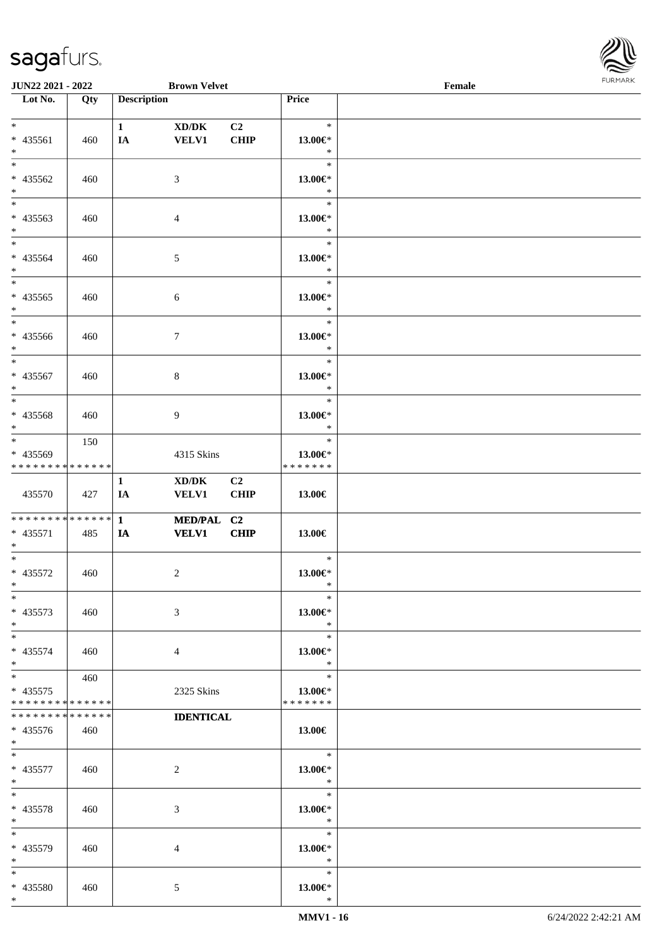

| <b>JUN22 2021 - 2022</b>                             |     |                    | <b>Brown Velvet</b>                                 |                   |                                          | Female |  |
|------------------------------------------------------|-----|--------------------|-----------------------------------------------------|-------------------|------------------------------------------|--------|--|
| Lot No.                                              | Qty | <b>Description</b> |                                                     |                   | Price                                    |        |  |
| $*$                                                  |     | $\mathbf{1}$       | XD/DK                                               | C <sub>2</sub>    | $\ast$                                   |        |  |
| * 435561<br>$*$                                      | 460 | IA                 | <b>VELV1</b>                                        | <b>CHIP</b>       | 13.00€*<br>$\ast$                        |        |  |
| $*$<br>* 435562<br>$*$                               | 460 |                    | 3                                                   |                   | $\ast$<br>13.00€*<br>$\ast$              |        |  |
| * 435563<br>$*$                                      | 460 |                    | 4                                                   |                   | $\ast$<br>13.00€*<br>$\ast$              |        |  |
| $*$<br>* 435564<br>$*$                               | 460 |                    | 5                                                   |                   | $\ast$<br>13.00€*<br>$\ast$              |        |  |
| $*$<br>$* 435565$<br>$*$                             | 460 |                    | $\sqrt{6}$                                          |                   | $\ast$<br>13.00€*<br>$\ast$              |        |  |
| $*$<br>* 435566<br>$*$                               | 460 |                    | $\tau$                                              |                   | $\ast$<br>13.00€*<br>$\ast$              |        |  |
| $*$<br>* 435567<br>$*$                               | 460 |                    | 8                                                   |                   | $\ast$<br>13.00€*<br>$\ast$              |        |  |
| * 435568<br>$*$                                      | 460 |                    | 9                                                   |                   | $\ast$<br>13.00€*<br>$\ast$              |        |  |
| $*$<br>* 435569<br>* * * * * * * * * * * * * *       | 150 |                    | 4315 Skins                                          |                   | $\ast$<br>13.00 $\in$ *<br>* * * * * * * |        |  |
| 435570                                               | 427 | $\mathbf{1}$<br>IA | $\bold{X}\bold{D}/\bold{D}\bold{K}$<br><b>VELV1</b> | C2<br><b>CHIP</b> | 13.00€                                   |        |  |
| ******** <mark>******</mark><br>* 435571<br>$*$      | 485 | $\mathbf{1}$<br>IA | MED/PAL C2<br><b>VELV1</b>                          | <b>CHIP</b>       | 13.00€                                   |        |  |
| $*$<br>* 435572<br>$*$ $-$                           | 460 |                    | 2                                                   |                   | $\ast$<br>13.00€*<br>$\ast$              |        |  |
| $*$<br>* 435573<br>$*$                               | 460 |                    | 3                                                   |                   | $\ast$<br>13.00€*<br>$\ast$              |        |  |
| $*$<br>* 435574<br>$*$                               | 460 |                    | 4                                                   |                   | $\ast$<br>13.00€*<br>$\ast$              |        |  |
| $*$ $*$<br>$* 435575$<br>* * * * * * * * * * * * * * | 460 |                    | 2325 Skins                                          |                   | $\ast$<br>13.00 $\in$ *<br>* * * * * * * |        |  |
| * * * * * * * * * * * * * *<br>* 435576<br>$*$ $*$   | 460 |                    | <b>IDENTICAL</b>                                    |                   | 13.00€                                   |        |  |
| $*$ $*$<br>* 435577<br>$*$                           | 460 |                    | 2                                                   |                   | $\ast$<br>13.00€*<br>$\ast$              |        |  |
| $*$<br>* 435578<br>$*$                               | 460 |                    | 3                                                   |                   | $\ast$<br>13.00€*<br>$\ast$              |        |  |
| $*$<br>* 435579<br>$*$                               | 460 |                    | 4                                                   |                   | $\ast$<br>13.00€*<br>$\ast$              |        |  |
| $*$<br>* 435580<br>$\ast$                            | 460 |                    | 5                                                   |                   | $\ast$<br>13.00€*<br>$\ast$              |        |  |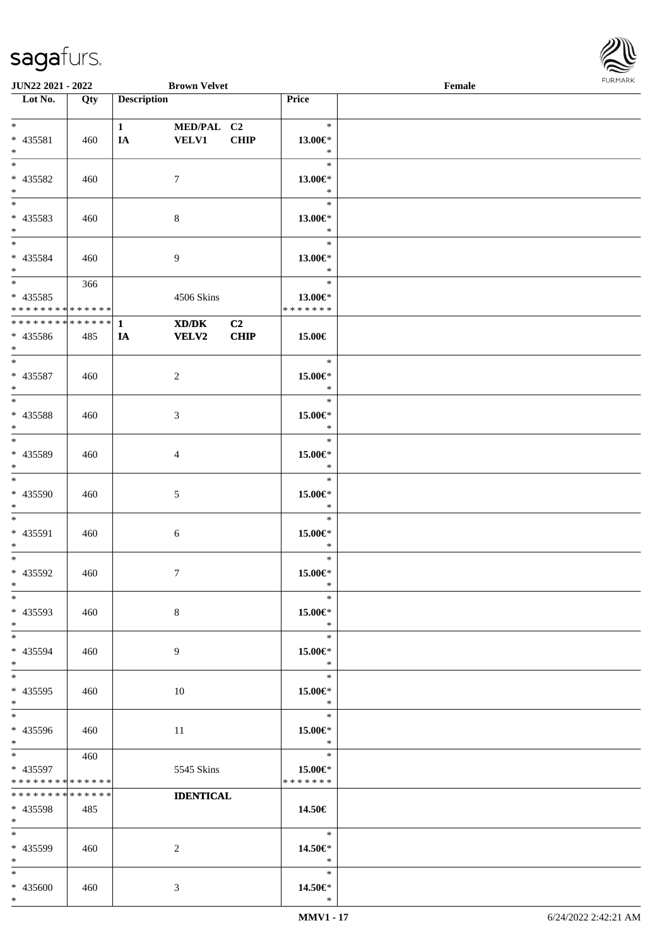

| <b>JUN22 2021 - 2022</b>                                         |     |                         | <b>Brown Velvet</b>        |                   |                                        | Female |  |
|------------------------------------------------------------------|-----|-------------------------|----------------------------|-------------------|----------------------------------------|--------|--|
| Lot No.                                                          | Qty | <b>Description</b>      |                            |                   | Price                                  |        |  |
| $*$<br>* 435581<br>$*$                                           | 460 | $1 \qquad \qquad$<br>IA | MED/PAL C2<br><b>VELV1</b> | <b>CHIP</b>       | $\ast$<br>13.00€*<br>$\ast$            |        |  |
| $* 435582$<br>$*$                                                | 460 |                         | 7                          |                   | $\ast$<br>13.00€*<br>$\ast$            |        |  |
| * 435583<br>$*$                                                  | 460 |                         | $\,8\,$                    |                   | $\ast$<br>13.00€*<br>$\ast$            |        |  |
| $*$<br>$* 435584$<br>$*$                                         | 460 |                         | 9                          |                   | $\ast$<br>13.00€*<br>$\ast$            |        |  |
| $\overline{\ast}$<br>$* 435585$<br>* * * * * * * * * * * * * * * | 366 |                         | 4506 Skins                 |                   | $\ast$<br>13.00€*<br>* * * * * * *     |        |  |
| * * * * * * * * * * * * * * *<br>* 435586<br>$*$                 | 485 | $\mathbf{1}$<br>IA      | XD/DK<br>VELV2             | C2<br><b>CHIP</b> | 15.00€                                 |        |  |
| $*$<br>* 435587<br>$*$                                           | 460 |                         | 2                          |                   | $\ast$<br>15.00€*<br>$\ast$            |        |  |
| * 435588<br>$*$                                                  | 460 |                         | 3                          |                   | $\ast$<br>15.00€*<br>$\ast$            |        |  |
| $*$<br>$* 435589$<br>$*$                                         | 460 |                         | 4                          |                   | $\ast$<br>$15.00 \in$ *<br>$\ast$      |        |  |
| * 435590<br>$*$                                                  | 460 |                         | 5                          |                   | $\ast$<br>$15.00 \text{E}^*$<br>$\ast$ |        |  |
| $*$<br>* 435591<br>$*$                                           | 460 |                         | 6                          |                   | $\ast$<br>$15.00 \in$ *<br>$\ast$      |        |  |
| $*$<br>$* 435592$<br>$*$                                         | 460 |                         | $\tau$                     |                   | $\ast$<br>15.00€*<br>$\ast$            |        |  |
| $*$<br>* 435593<br>$*$                                           | 460 |                         | $8\,$                      |                   | $\ast$<br>15.00€*<br>$\ast$            |        |  |
| $*$<br>* 435594<br>$*$                                           | 460 |                         | 9                          |                   | $\ast$<br>15.00€*<br>$\ast$            |        |  |
| $*$<br>$* 435595$<br>$*$                                         | 460 |                         | 10                         |                   | $\ast$<br>15.00€*<br>$\ast$            |        |  |
| $*$<br>* 435596<br>$*$                                           | 460 |                         | 11                         |                   | $\ast$<br>15.00€*<br>$\ast$            |        |  |
| $*$ $*$<br>* 435597<br>* * * * * * * * * * * * * *               | 460 |                         | 5545 Skins                 |                   | $\ast$<br>15.00€*<br>* * * * * * *     |        |  |
| * * * * * * * * * * * * * *<br>* 435598<br>$*$ $*$               | 485 |                         | <b>IDENTICAL</b>           |                   | 14.50€                                 |        |  |
| $*$ $-$<br>* 435599<br>$*$                                       | 460 |                         | 2                          |                   | $\ast$<br>14.50€*<br>$\ast$            |        |  |
| $*$<br>* 435600<br>$*$                                           | 460 |                         | 3                          |                   | $\ast$<br>14.50€*<br>$\ast$            |        |  |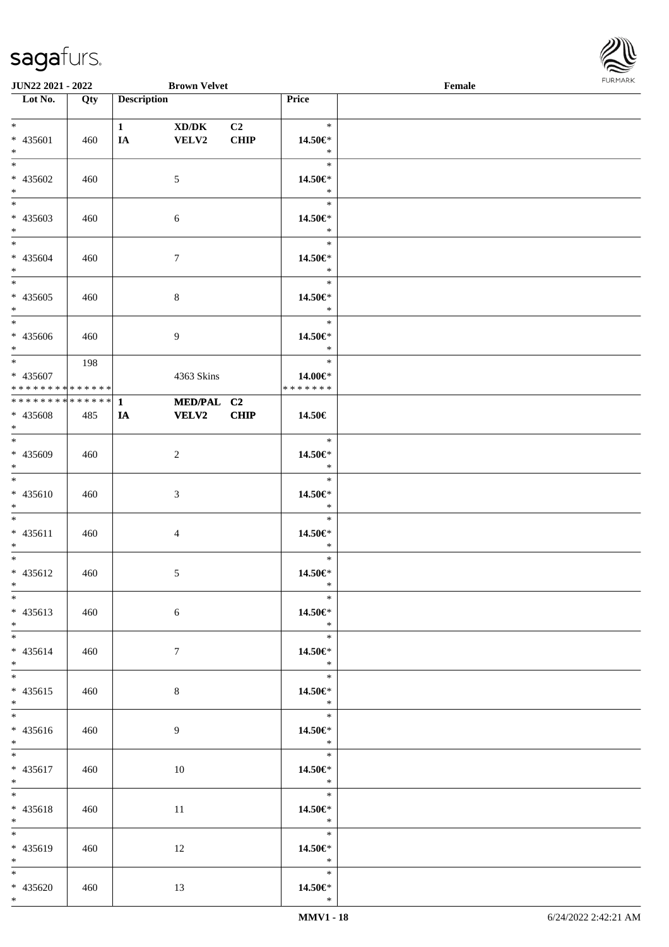

| <b>JUN22 2021 - 2022</b>                               |     |                         | <b>Brown Velvet</b>        |                               |                                                       | Female |  |
|--------------------------------------------------------|-----|-------------------------|----------------------------|-------------------------------|-------------------------------------------------------|--------|--|
| Lot No.                                                | Qty | <b>Description</b>      |                            |                               | Price                                                 |        |  |
| $*$<br>* 435601<br>$*$                                 | 460 | $1 \qquad \qquad$<br>IA | XD/DK<br>VELV2             | C <sub>2</sub><br><b>CHIP</b> | $\ast$<br>14.50€*<br>$\ast$                           |        |  |
| $\overline{\ast}$<br>* 435602<br>$\ast$                | 460 |                         | 5                          |                               | $\ast$<br>14.50€*<br>$\ast$                           |        |  |
| $*$<br>* 435603<br>$*$                                 | 460 |                         | 6                          |                               | $\ast$<br>14.50€*<br>$\ast$                           |        |  |
| $\ddot{x}$<br>* 435604<br>$*$<br>$\overline{\ast}$     | 460 |                         | $\tau$                     |                               | $\ast$<br>14.50€*<br>$\ast$                           |        |  |
| * 435605<br>$*$                                        | 460 |                         | $\,8\,$                    |                               | $\ast$<br>14.50€*<br>$\ast$                           |        |  |
| * 435606<br>$\ast$<br>$\ddot{x}$                       | 460 |                         | $\overline{9}$             |                               | $\ast$<br>14.50€*<br>$\ast$                           |        |  |
| * 435607<br>* * * * * * * * <mark>* * * * * * *</mark> | 198 |                         | 4363 Skins                 |                               | $\ast$<br>14.00€*<br>*******                          |        |  |
| * 435608<br>$\ast$                                     | 485 | IA                      | MED/PAL C2<br><b>VELV2</b> | <b>CHIP</b>                   | 14.50€                                                |        |  |
| $*$<br>* 435609<br>$*$                                 | 460 |                         | $\overline{2}$             |                               | $\ast$<br>14.50€*<br>$\ast$                           |        |  |
| $*$<br>* 435610<br>$*$                                 | 460 |                         | $\sqrt{3}$                 |                               | $\ast$<br>14.50€*<br>$\ast$                           |        |  |
| $*$ $-$<br>$* 435611$<br>$\ddot{x}$                    | 460 |                         | $\overline{4}$             |                               | $\ast$<br>14.50€*<br>$\ast$                           |        |  |
| $\ddot{x}$<br>* 435612<br>$\ast$                       | 460 |                         | 5                          |                               | $\ast$<br>14.50€*<br>$\ast$                           |        |  |
| $\ast$<br>* 435613<br>$*$                              | 460 |                         | 6                          |                               | $\ast$<br>14.50€*<br>$\ast$                           |        |  |
| $*$<br>* 435614<br>$*$ $-$                             | 460 |                         | $7\phantom{.0}$            |                               | $\ast$<br>14.50€*<br>$\ast$                           |        |  |
| $*$<br>* 435615<br>$*$<br>$\overline{\mathbf{r}^*}$    | 460 |                         | $8\phantom{.}$             |                               | $*$<br>14.50€*<br>$\ast$                              |        |  |
| * 435616<br>$*$                                        | 460 |                         | 9                          |                               | $\overline{\phantom{a}}$<br>14.50€*<br>$\mathbb{R}^2$ |        |  |
| $\overline{\ast}$<br>* 435617<br>$*$                   | 460 |                         | 10                         |                               | $*$<br>14.50€*<br>$\ast$                              |        |  |
| $\ddot{x}$<br>* 435618<br>$*$ $-$                      | 460 |                         | 11                         |                               | $\ast$<br>14.50€*<br>$\ast$                           |        |  |
| * 435619<br>$*$                                        | 460 |                         | 12                         |                               | $\ast$<br>14.50€*<br>$\ast$                           |        |  |
| $*$<br>* 435620<br>$*$                                 | 460 |                         | 13                         |                               | $\ast$<br>14.50€*<br>$\ast$                           |        |  |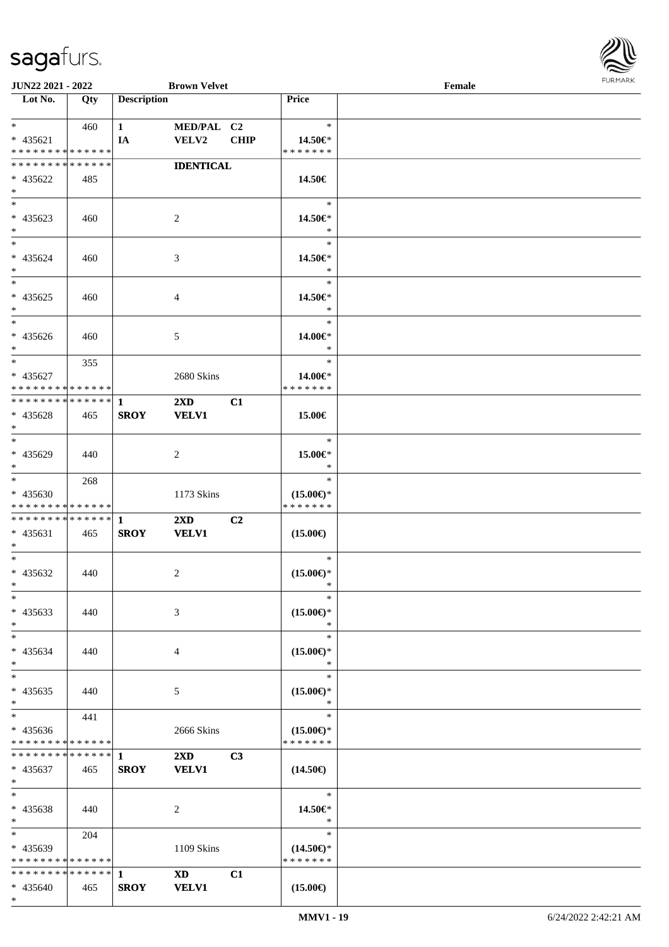

| <b>JUN22 2021 - 2022</b>      |     |                    | <b>Brown Velvet</b>     |                |                     | Female |  |
|-------------------------------|-----|--------------------|-------------------------|----------------|---------------------|--------|--|
| Lot No.                       | Qty | <b>Description</b> |                         |                | Price               |        |  |
|                               |     |                    |                         |                |                     |        |  |
| $*$ $-$                       | 460 | $\mathbf{1}$       | MED/PAL C2              |                | $\ast$              |        |  |
| * 435621                      |     | IA                 | <b>VELV2</b>            | <b>CHIP</b>    | 14.50€*             |        |  |
| * * * * * * * * * * * * * *   |     |                    |                         |                | * * * * * * *       |        |  |
| * * * * * * * * * * * * * *   |     |                    | <b>IDENTICAL</b>        |                |                     |        |  |
| * 435622                      | 485 |                    |                         |                | 14.50€              |        |  |
| $*$                           |     |                    |                         |                |                     |        |  |
| $*$                           |     |                    |                         |                | $\ast$              |        |  |
| * 435623                      | 460 |                    | 2                       |                | 14.50€*             |        |  |
| $*$                           |     |                    |                         |                | $\ast$              |        |  |
| $*$                           |     |                    |                         |                | $\ast$              |        |  |
| * 435624                      | 460 |                    | 3                       |                | 14.50€*             |        |  |
| $*$                           |     |                    |                         |                | $\ast$              |        |  |
| $*$                           |     |                    |                         |                | $\ast$              |        |  |
| $* 435625$                    | 460 |                    | $\overline{4}$          |                | 14.50€*             |        |  |
| $*$                           |     |                    |                         |                | $\ast$              |        |  |
| $*$                           |     |                    |                         |                | $\ast$              |        |  |
| $* 435626$                    | 460 |                    | 5                       |                | 14.00€*             |        |  |
| $*$                           |     |                    |                         |                | $\ast$              |        |  |
| $*$                           | 355 |                    |                         |                | $\ast$              |        |  |
| * 435627                      |     |                    | 2680 Skins              |                | 14.00€*             |        |  |
| * * * * * * * * * * * * * * * |     |                    |                         |                | * * * * * * *       |        |  |
| ************** 1              |     |                    | $2\mathbf{X}\mathbf{D}$ | C1             |                     |        |  |
| * 435628                      | 465 | <b>SROY</b>        | <b>VELV1</b>            |                | 15.00€              |        |  |
| $\ast$                        |     |                    |                         |                |                     |        |  |
| $*$                           |     |                    |                         |                | $\ast$              |        |  |
| * 435629                      | 440 |                    | 2                       |                | 15.00€*             |        |  |
| $*$                           |     |                    |                         |                | $\ast$              |        |  |
|                               | 268 |                    |                         |                | $\ast$              |        |  |
| * 435630                      |     |                    | 1173 Skins              |                | $(15.00\epsilon)$ * |        |  |
| * * * * * * * * * * * * * *   |     |                    |                         |                | * * * * * * *       |        |  |
|                               |     |                    | $2\mathbf{X}\mathbf{D}$ | C2             |                     |        |  |
| * 435631                      | 465 | <b>SROY</b>        | <b>VELV1</b>            |                | $(15.00\epsilon)$   |        |  |
| $*$                           |     |                    |                         |                |                     |        |  |
| $*$                           |     |                    |                         |                | $\ast$              |        |  |
| * 435632                      | 440 |                    | 2                       |                | $(15.00\epsilon)$ * |        |  |
| $*$ $*$                       |     |                    |                         |                | $\ast$              |        |  |
| $\ast$                        |     |                    |                         |                | $\ast$              |        |  |
| * 435633                      | 440 |                    | 3                       |                | $(15.00\epsilon)$ * |        |  |
| $*$                           |     |                    |                         |                | ∗                   |        |  |
| $*$                           |     |                    |                         |                | $\ast$              |        |  |
| * 435634                      | 440 |                    | 4                       |                | $(15.00\epsilon)$ * |        |  |
| $*$                           |     |                    |                         |                | $\ast$              |        |  |
| $*$                           |     |                    |                         |                | $\ast$              |        |  |
| $* 435635$                    | 440 |                    | 5                       |                | $(15.00\epsilon)$ * |        |  |
| $*$                           |     |                    |                         |                | $\ast$              |        |  |
| $*$                           | 441 |                    |                         |                | $\ast$              |        |  |
| * 435636                      |     |                    | 2666 Skins              |                | $(15.00\epsilon)$ * |        |  |
| * * * * * * * * * * * * * *   |     |                    |                         |                | * * * * * * *       |        |  |
| * * * * * * * * * * * * * * * |     | $\mathbf{1}$       | $2\mathbf{X}\mathbf{D}$ | C <sub>3</sub> |                     |        |  |
| * 435637                      | 465 | <b>SROY</b>        | <b>VELV1</b>            |                | $(14.50\epsilon)$   |        |  |
| $*$                           |     |                    |                         |                |                     |        |  |
| $*$                           |     |                    |                         |                | $\ast$              |        |  |
| * 435638                      | 440 |                    | 2                       |                | 14.50€*             |        |  |
| $*$                           |     |                    |                         |                | $\ast$              |        |  |
| $*$ $*$                       | 204 |                    |                         |                | $\ast$              |        |  |
| * 435639                      |     |                    | 1109 Skins              |                | $(14.50\epsilon)$ * |        |  |
| * * * * * * * * * * * * * *   |     |                    |                         |                | * * * * * * *       |        |  |
| * * * * * * * * * * * * * * * |     | -1                 | <b>XD</b>               | C1             |                     |        |  |
| * 435640                      | 465 | <b>SROY</b>        | <b>VELV1</b>            |                | $(15.00\epsilon)$   |        |  |
| $*$                           |     |                    |                         |                |                     |        |  |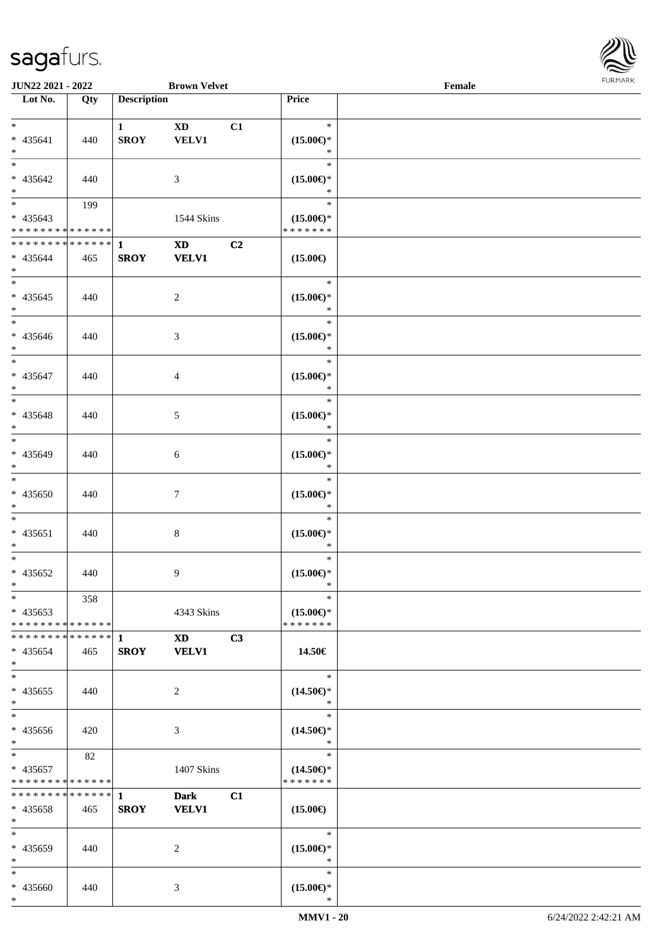

| <b>JUN22 2021 - 2022</b>                                                                             |            |                             | <b>Brown Velvet</b>                                              |    |                                                | Female |  |
|------------------------------------------------------------------------------------------------------|------------|-----------------------------|------------------------------------------------------------------|----|------------------------------------------------|--------|--|
| Lot No.                                                                                              | Qty        | <b>Description</b>          |                                                                  |    | Price                                          |        |  |
| $*$<br>* 435641<br>$*$                                                                               | 440        | $\mathbf{1}$<br><b>SROY</b> | <b>XD</b><br><b>VELV1</b>                                        | C1 | $\ast$<br>$(15.00\epsilon)$ *<br>$\ast$        |        |  |
| * 435642<br>$*$                                                                                      | 440        |                             | 3                                                                |    | $\ast$<br>$(15.00\epsilon)$ *<br>$\ast$        |        |  |
| * 435643<br>* * * * * * * * <mark>* * * * * * *</mark>                                               | 199        |                             | 1544 Skins                                                       |    | $\ast$<br>$(15.00\epsilon)$ *<br>* * * * * * * |        |  |
| * * * * * * * * <mark>* * * * * * *</mark><br>* 435644<br>$*$                                        | 465        | $\mathbf{1}$<br><b>SROY</b> | $\boldsymbol{\mathrm{X}}\boldsymbol{\mathrm{D}}$<br><b>VELV1</b> | C2 | $(15.00\epsilon)$<br>$\ast$                    |        |  |
| $* 435645$<br>$*$<br>$\overline{\ast}$                                                               | 440        |                             | $\overline{2}$                                                   |    | $(15.00\epsilon)$ *<br>$\ast$<br>$\ast$        |        |  |
| * 435646<br>$*$                                                                                      | 440        |                             | 3                                                                |    | $(15.00\epsilon)$ *<br>$\ast$<br>$\ast$        |        |  |
| * 435647<br>$*$                                                                                      | 440        |                             | $\overline{4}$                                                   |    | $(15.00\epsilon)$ *<br>$\ast$<br>$\ast$        |        |  |
| * 435648<br>$*$<br>$\overline{\ast}$                                                                 | 440        |                             | 5                                                                |    | $(15.00\epsilon)$ *<br>$\ast$<br>$\ast$        |        |  |
| * 435649<br>$*$<br>$*$                                                                               | 440        |                             | 6                                                                |    | $(15.00\epsilon)$ *<br>$\ast$<br>$\ast$        |        |  |
| $* 435650$<br>$*$<br>$*$                                                                             | 440        |                             | $\tau$                                                           |    | $(15.00\epsilon)$ *<br>$\ast$<br>$\ast$        |        |  |
| $* 435651$<br>$\ast$<br>$*$                                                                          | 440        |                             | $8\,$                                                            |    | $(15.00\epsilon)$ *<br>$\ast$<br>$\ast$        |        |  |
| * 435652<br>$*$ $-$<br>$*$                                                                           | 440<br>358 |                             | 9                                                                |    | $(15.00\epsilon)$ *<br>$\ast$<br>$\ast$        |        |  |
| $* 435653$<br>* * * * * * * * <mark>* * * * * *</mark><br>* * * * * * * * * * * * * * <mark>*</mark> |            | 1                           | 4343 Skins<br><b>XD</b>                                          | C3 | $(15.00\epsilon)$ *<br>* * * * * * *           |        |  |
| $* 435654$<br>$*$<br>$*$                                                                             | 465        | <b>SROY</b>                 | <b>VELV1</b>                                                     |    | 14.50€<br>$\ast$                               |        |  |
| * 435655<br>$*$                                                                                      | 440        |                             | 2                                                                |    | $(14.50\epsilon)$ *<br>$\ast$<br>$\ast$        |        |  |
| * 435656<br>$*$<br>$*$ $*$                                                                           | 420<br>82  |                             | 3                                                                |    | $(14.50\epsilon)$ *<br>$\ast$<br>$\ast$        |        |  |
| $* 435657$<br>* * * * * * * * <mark>* * * * * *</mark><br>* * * * * * * * * * * * * * <mark>*</mark> |            | $\mathbf{1}$                | 1407 Skins<br><b>Dark</b>                                        | C1 | $(14.50\epsilon)$ *<br>* * * * * * *           |        |  |
| $* 435658$<br>$*$<br>$*$                                                                             | 465        | <b>SROY</b>                 | <b>VELV1</b>                                                     |    | $(15.00\epsilon)$<br>$\ast$                    |        |  |
| * 435659<br>$*$<br>$*$                                                                               | 440        |                             | 2                                                                |    | $(15.00\epsilon)$ *<br>$\ast$<br>$\ast$        |        |  |
| * 435660<br>$*$                                                                                      | 440        |                             | 3                                                                |    | $(15.00\epsilon)$ *<br>$\ast$                  |        |  |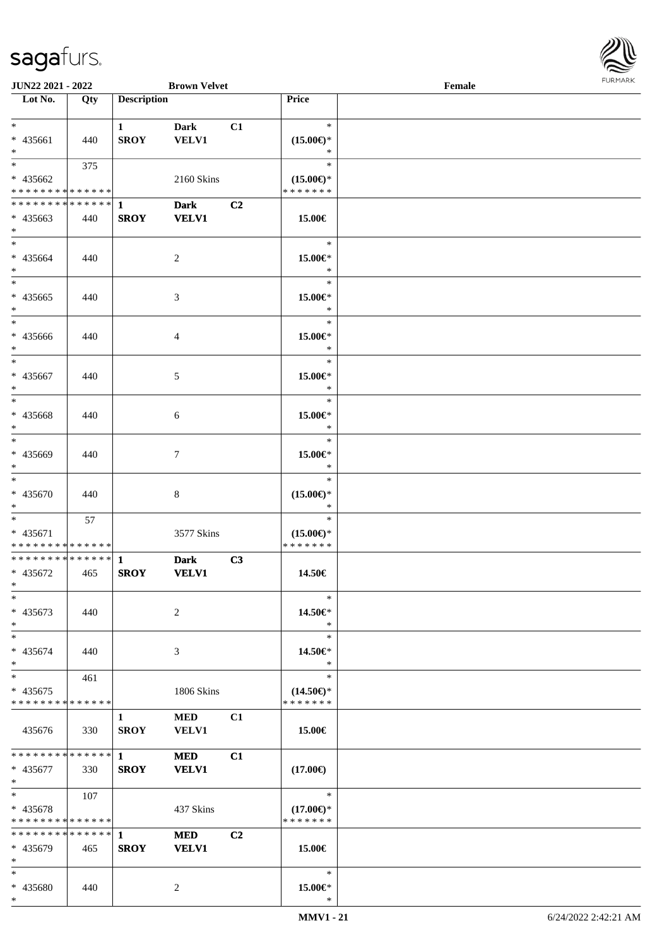

| <b>JUN22 2021 - 2022</b>                   |     |                        | <b>Brown Velvet</b> |    |                     | Female |  |
|--------------------------------------------|-----|------------------------|---------------------|----|---------------------|--------|--|
| Lot No.                                    | Qty | <b>Description</b>     |                     |    | Price               |        |  |
|                                            |     |                        |                     |    |                     |        |  |
| $*$                                        |     | $\mathbf{1}$           | Dark                | C1 | $\ast$              |        |  |
| * 435661                                   | 440 | <b>SROY</b>            | <b>VELV1</b>        |    | $(15.00\epsilon)$ * |        |  |
| $*$                                        |     |                        |                     |    | ∗                   |        |  |
|                                            | 375 |                        |                     |    | $\ast$              |        |  |
| * 435662                                   |     |                        | 2160 Skins          |    | $(15.00\epsilon)$ * |        |  |
| * * * * * * * * * * * * * *                |     |                        |                     |    | * * * * * * *       |        |  |
| ******** <mark>******</mark>               |     | 1                      | <b>Dark</b>         | C2 |                     |        |  |
|                                            |     |                        |                     |    |                     |        |  |
| $* 435663$<br>$*$                          | 440 | <b>SROY</b>            | <b>VELV1</b>        |    | 15.00€              |        |  |
| $*$                                        |     |                        |                     |    | $\ast$              |        |  |
|                                            |     |                        |                     |    |                     |        |  |
| * 435664                                   | 440 |                        | $\overline{2}$      |    | 15.00€*             |        |  |
| $*$                                        |     |                        |                     |    | $\ast$              |        |  |
|                                            |     |                        |                     |    | $\ast$              |        |  |
| * 435665                                   | 440 |                        | 3                   |    | 15.00€*             |        |  |
| $\ast$                                     |     |                        |                     |    | $\ast$              |        |  |
| $*$                                        |     |                        |                     |    | $\ast$              |        |  |
| * 435666                                   | 440 |                        | $\overline{4}$      |    | 15.00€*             |        |  |
| $*$                                        |     |                        |                     |    | $\ast$              |        |  |
| $*$                                        |     |                        |                     |    | $\ast$              |        |  |
| * 435667                                   | 440 |                        | 5                   |    | 15.00€*             |        |  |
| $*$                                        |     |                        |                     |    | $\ast$              |        |  |
|                                            |     |                        |                     |    | $\ast$              |        |  |
|                                            |     |                        |                     |    |                     |        |  |
| * 435668                                   | 440 |                        | 6                   |    | 15.00€*             |        |  |
| $*$                                        |     |                        |                     |    | $\ast$              |        |  |
| $\overline{\phantom{0}}$                   |     |                        |                     |    | $\ast$              |        |  |
| * 435669                                   | 440 |                        | 7                   |    | 15.00€*             |        |  |
| $*$                                        |     |                        |                     |    | $\ast$              |        |  |
| $*$                                        |     |                        |                     |    | $\ast$              |        |  |
| * 435670                                   | 440 |                        | $\,8\,$             |    | $(15.00\epsilon)$ * |        |  |
| $*$                                        |     |                        |                     |    | $\ast$              |        |  |
| $*$                                        | 57  |                        |                     |    | $\ast$              |        |  |
| * 435671                                   |     |                        | 3577 Skins          |    | $(15.00\epsilon)$ * |        |  |
| * * * * * * * * * * * * * *                |     |                        |                     |    | * * * * * * *       |        |  |
| * * * * * * * * <mark>* * * * * * *</mark> |     | $\mathbf{1}$           | <b>Dark</b>         | C3 |                     |        |  |
| * 435672                                   | 465 | <b>SROY</b>            | <b>VELV1</b>        |    | 14.50€              |        |  |
| $*$ $-$                                    |     |                        |                     |    |                     |        |  |
| $\ast$                                     |     |                        |                     |    | $\ast$              |        |  |
|                                            |     |                        |                     |    |                     |        |  |
| * 435673                                   | 440 |                        | 2                   |    | 14.50€*             |        |  |
| $*$                                        |     |                        |                     |    | $\ast$              |        |  |
| $*$                                        |     |                        |                     |    | $\ast$              |        |  |
| * 435674                                   | 440 |                        | 3                   |    | 14.50€*             |        |  |
| $\ast$                                     |     |                        |                     |    | $\ast$              |        |  |
| $*$ $-$                                    | 461 |                        |                     |    | $\ast$              |        |  |
| * 435675                                   |     |                        | 1806 Skins          |    | $(14.50\epsilon)$ * |        |  |
| * * * * * * * * * * * * * *                |     |                        |                     |    | * * * * * * *       |        |  |
|                                            |     | $\mathbf{1}$           | MED                 | C1 |                     |        |  |
| 435676                                     | 330 | <b>SROY</b>            | <b>VELV1</b>        |    | 15.00€              |        |  |
|                                            |     |                        |                     |    |                     |        |  |
| * * * * * * * * * * * * * * <mark>*</mark> |     | $1 \quad \blacksquare$ | <b>MED</b>          | C1 |                     |        |  |
|                                            |     |                        |                     |    |                     |        |  |
| * 435677                                   | 330 | <b>SROY</b>            | <b>VELV1</b>        |    | $(17.00\epsilon)$   |        |  |
| $*$                                        |     |                        |                     |    |                     |        |  |
| $*$ $-$                                    | 107 |                        |                     |    | $\ast$              |        |  |
| * 435678                                   |     |                        | 437 Skins           |    | $(17.00\epsilon)$ * |        |  |
| * * * * * * * * <mark>* * * * * *</mark>   |     |                        |                     |    | * * * * * * *       |        |  |
| ******** <mark>******</mark>               |     | $\mathbf{1}$           | <b>MED</b>          | C2 |                     |        |  |
| * 435679                                   | 465 | <b>SROY</b>            | <b>VELV1</b>        |    | 15.00€              |        |  |
| $\ast$                                     |     |                        |                     |    |                     |        |  |
| $*$                                        |     |                        |                     |    | $\ast$              |        |  |
| * 435680                                   | 440 |                        | 2                   |    | 15.00€*             |        |  |
| $*$                                        |     |                        |                     |    | $\ast$              |        |  |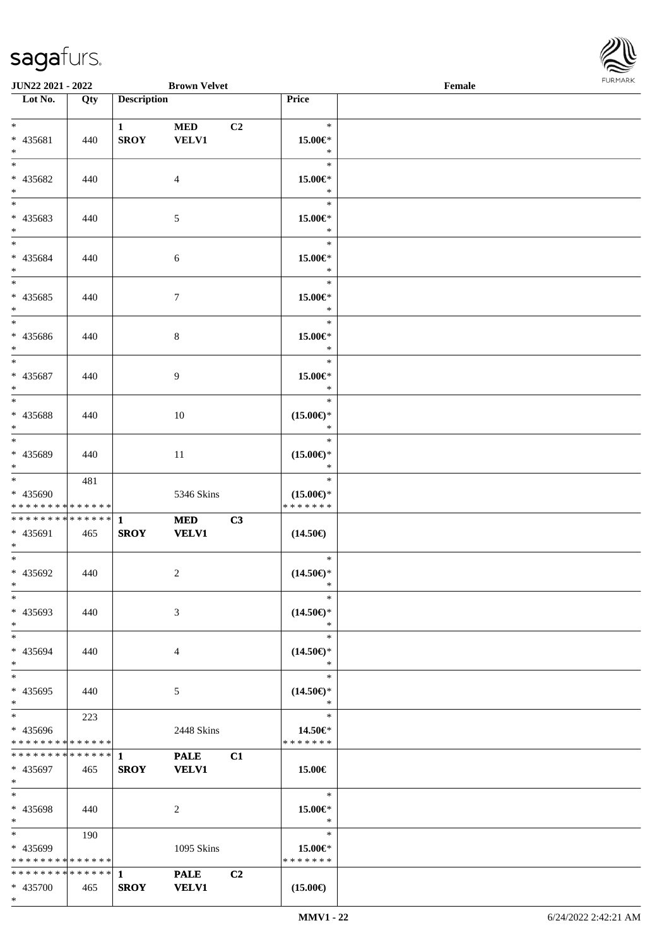\*



| <b>JUN22 2021 - 2022</b>                               |     |                    | <b>Brown Velvet</b> |                |                          | Female |  |
|--------------------------------------------------------|-----|--------------------|---------------------|----------------|--------------------------|--------|--|
| Lot No.                                                | Qty | <b>Description</b> |                     |                | Price                    |        |  |
|                                                        |     |                    |                     |                |                          |        |  |
| $*$                                                    |     | $\mathbf{1}$       | <b>MED</b>          | C <sub>2</sub> | $\ast$                   |        |  |
| * 435681                                               | 440 | <b>SROY</b>        | <b>VELV1</b>        |                | 15.00€*                  |        |  |
| $*$                                                    |     |                    |                     |                | $\ast$                   |        |  |
| $*$                                                    |     |                    |                     |                | $\ast$                   |        |  |
| * 435682                                               | 440 |                    | $\overline{4}$      |                | 15.00€*                  |        |  |
| $\ast$                                                 |     |                    |                     |                | $\ast$                   |        |  |
|                                                        |     |                    |                     |                | $\ast$                   |        |  |
| * 435683                                               | 440 |                    | 5                   |                | 15.00€*                  |        |  |
| $*$                                                    |     |                    |                     |                | $\ast$                   |        |  |
| $*$                                                    |     |                    |                     |                | $\ast$                   |        |  |
| * 435684                                               | 440 |                    | 6                   |                | 15.00€*                  |        |  |
| $*$                                                    |     |                    |                     |                | $\ast$                   |        |  |
| $\overline{\ast}$                                      |     |                    |                     |                | $\ast$                   |        |  |
| * 435685                                               | 440 |                    | $\tau$              |                | 15.00€*                  |        |  |
| $*$                                                    |     |                    |                     |                | $\ast$                   |        |  |
| $\overline{\mathbf{r}}$                                |     |                    |                     |                | $\ast$                   |        |  |
| * 435686                                               | 440 |                    | 8                   |                | 15.00€*                  |        |  |
| $*$                                                    |     |                    |                     |                | $\ast$                   |        |  |
| $*$                                                    |     |                    |                     |                | $\ast$                   |        |  |
| * 435687                                               | 440 |                    | 9                   |                | 15.00€*                  |        |  |
| $*$                                                    |     |                    |                     |                | $\ast$                   |        |  |
| $\overline{\ast}$                                      |     |                    |                     |                | $\ast$                   |        |  |
| * 435688                                               | 440 |                    | 10                  |                | $(15.00\epsilon)$ *      |        |  |
| $\ast$                                                 |     |                    |                     |                | $\ast$                   |        |  |
| $*$                                                    |     |                    |                     |                | $\ast$                   |        |  |
| * 435689                                               | 440 |                    | 11                  |                | $(15.00\epsilon)$ *      |        |  |
| $\ddot{x}$                                             |     |                    |                     |                | $\ast$                   |        |  |
| $*$                                                    | 481 |                    |                     |                | $\ast$                   |        |  |
| * 435690                                               |     |                    | 5346 Skins          |                | $(15.00\epsilon)$ *      |        |  |
| * * * * * * * * <mark>* * * * * * *</mark>             |     |                    |                     |                | * * * * * * *            |        |  |
|                                                        |     |                    | <b>MED</b>          | C3             |                          |        |  |
| * 435691                                               | 465 | <b>SROY</b>        | <b>VELV1</b>        |                | $(14.50\epsilon)$        |        |  |
| $*$                                                    |     |                    |                     |                |                          |        |  |
| $*$                                                    |     |                    |                     |                | $\ast$                   |        |  |
| * 435692                                               | 440 |                    | 2                   |                | $(14.50\epsilon)$ *      |        |  |
| $*$ $-$                                                |     |                    |                     |                | $\ast$                   |        |  |
| $\ast$                                                 |     |                    |                     |                | $\ast$                   |        |  |
| * 435693                                               | 440 |                    | 3                   |                | $(14.50\epsilon)$ *      |        |  |
| $*$                                                    |     |                    |                     |                | $\ast$                   |        |  |
| $*$ $-$                                                |     |                    |                     |                | $\ast$                   |        |  |
| * 435694                                               | 440 |                    | 4                   |                | $(14.50\epsilon)$ *      |        |  |
| $\ddot{x}$                                             |     |                    |                     |                | $\ast$                   |        |  |
| $\ddot{x}$                                             |     |                    |                     |                | $\ast$                   |        |  |
| * 435695                                               | 440 |                    |                     |                | $(14.50\epsilon)$ *      |        |  |
| $\ddot{x}$                                             |     |                    | 5                   |                | $\ast$                   |        |  |
| $*$ $-$                                                | 223 |                    |                     |                | $\ast$                   |        |  |
| * 435696                                               |     |                    | 2448 Skins          |                | 14.50€*                  |        |  |
| * * * * * * * * <mark>* * * * * *</mark> *             |     |                    |                     |                | * * * * * * *            |        |  |
|                                                        |     |                    | <b>PALE</b>         | C1             |                          |        |  |
| * 435697                                               |     | <b>SROY</b>        | <b>VELV1</b>        |                |                          |        |  |
| $*$                                                    | 465 |                    |                     |                | 15.00€                   |        |  |
| $\ddot{x}$                                             |     |                    |                     |                | $\ast$                   |        |  |
| * 435698                                               |     |                    |                     |                | 15.00€*                  |        |  |
| $\ddot{x}$                                             | 440 |                    | 2                   |                | $\ast$                   |        |  |
| $\ddot{x}$                                             | 190 |                    |                     |                | $\ast$                   |        |  |
|                                                        |     |                    |                     |                |                          |        |  |
| * 435699<br>* * * * * * * * <mark>* * * * * *</mark> * |     |                    | 1095 Skins          |                | 15.00€*<br>* * * * * * * |        |  |
|                                                        |     |                    |                     |                |                          |        |  |
|                                                        |     |                    | <b>PALE</b>         | C <sub>2</sub> |                          |        |  |
| * 435700                                               | 465 | <b>SROY</b>        | <b>VELV1</b>        |                | $(15.00\epsilon)$        |        |  |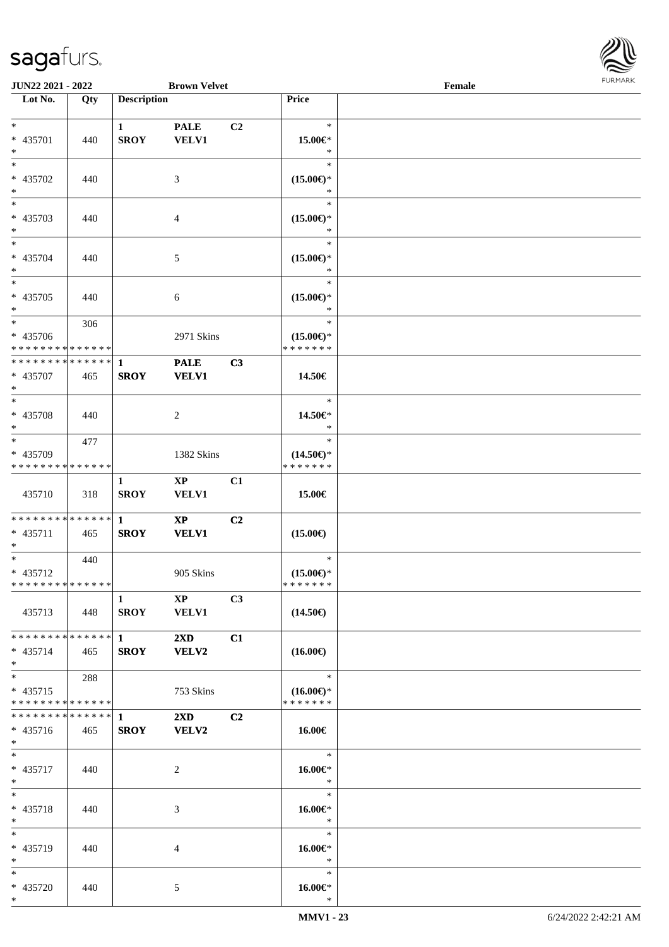

| <b>JUN22 2021 - 2022</b>                   |     |                    | <b>Brown Velvet</b>     |                |                     | Female |  |
|--------------------------------------------|-----|--------------------|-------------------------|----------------|---------------------|--------|--|
| Lot No.                                    | Qty | <b>Description</b> |                         |                | Price               |        |  |
|                                            |     |                    |                         |                |                     |        |  |
| $*$                                        |     | $\mathbf{1}$       | <b>PALE</b>             | C <sub>2</sub> | $\ast$              |        |  |
| * 435701                                   | 440 | <b>SROY</b>        | VELV1                   |                | 15.00€*             |        |  |
| $*$                                        |     |                    |                         |                | $\ast$              |        |  |
|                                            |     |                    |                         |                | $\ast$              |        |  |
| * 435702                                   | 440 |                    | 3                       |                | $(15.00\epsilon)$ * |        |  |
| $*$                                        |     |                    |                         |                | $\ast$              |        |  |
|                                            |     |                    |                         |                | $\ast$              |        |  |
| * 435703                                   | 440 |                    | $\overline{4}$          |                | $(15.00\epsilon)$ * |        |  |
| $*$                                        |     |                    |                         |                | $\ast$              |        |  |
| $*$                                        |     |                    |                         |                | $\ast$              |        |  |
| * 435704                                   | 440 |                    | 5                       |                | $(15.00\epsilon)$ * |        |  |
| $*$                                        |     |                    |                         |                | $\ast$              |        |  |
| $\overline{\ast}$                          |     |                    |                         |                | $\ast$              |        |  |
| * 435705                                   | 440 |                    | 6                       |                | $(15.00\epsilon)$ * |        |  |
| $*$                                        |     |                    |                         |                | $\ast$              |        |  |
| $\overline{\ast}$                          | 306 |                    |                         |                | $\ast$              |        |  |
| * 435706                                   |     |                    | 2971 Skins              |                | $(15.00\epsilon)$ * |        |  |
| * * * * * * * * * * * * * *                |     |                    |                         |                | * * * * * * *       |        |  |
| * * * * * * * * <mark>* * * * * * *</mark> |     | $\mathbf{1}$       | <b>PALE</b>             | C3             |                     |        |  |
| * 435707                                   | 465 | <b>SROY</b>        | <b>VELV1</b>            |                | 14.50€              |        |  |
| $*$                                        |     |                    |                         |                |                     |        |  |
|                                            |     |                    |                         |                | $\ast$              |        |  |
| * 435708                                   | 440 |                    | 2                       |                | 14.50€*             |        |  |
| $*$                                        |     |                    |                         |                | $\ast$              |        |  |
| $\overline{\mathbf{r}^*}$                  | 477 |                    |                         |                | $\ast$              |        |  |
| * 435709                                   |     |                    | 1382 Skins              |                | $(14.50\epsilon)$ * |        |  |
| * * * * * * * * * * * * * *                |     |                    |                         |                | * * * * * * *       |        |  |
|                                            |     | $\mathbf{1}$       | $\mathbf{X}\mathbf{P}$  | C1             |                     |        |  |
| 435710                                     | 318 | <b>SROY</b>        | <b>VELV1</b>            |                | 15.00€              |        |  |
|                                            |     |                    |                         |                |                     |        |  |
| * * * * * * * * * * * * * * <mark>*</mark> |     | $\mathbf{1}$       | $\mathbf{X}\mathbf{P}$  | C2             |                     |        |  |
| * 435711                                   | 465 | <b>SROY</b>        | <b>VELV1</b>            |                | $(15.00\epsilon)$   |        |  |
| $*$                                        |     |                    |                         |                |                     |        |  |
| $*$ $-$                                    | 440 |                    |                         |                | $\ast$              |        |  |
| * 435712                                   |     |                    | 905 Skins               |                | $(15.00\epsilon)$ * |        |  |
| * * * * * * * * * * * * * * *              |     |                    |                         |                | *******             |        |  |
|                                            |     | $\mathbf{1}$       | $\mathbf{X}\mathbf{P}$  | C3             |                     |        |  |
| 435713                                     | 448 | <b>SROY</b>        | <b>VELV1</b>            |                | $(14.50\epsilon)$   |        |  |
|                                            |     |                    |                         |                |                     |        |  |
| * * * * * * * * <mark>* * * * * *</mark> * |     | $1 \qquad \qquad$  | $2\mathbf{X}\mathbf{D}$ | C1             |                     |        |  |
| $* 435714$                                 | 465 | <b>SROY</b>        | VELV2                   |                | $(16.00\epsilon)$   |        |  |
| $*$                                        |     |                    |                         |                |                     |        |  |
| $*$ $-$                                    | 288 |                    |                         |                | $\ast$              |        |  |
| $* 435715$                                 |     |                    | 753 Skins               |                | $(16.00\epsilon)$ * |        |  |
| * * * * * * * * * * * * * *                |     |                    |                         |                | * * * * * * *       |        |  |
|                                            |     |                    | $2\mathbf{X}\mathbf{D}$ | C2             |                     |        |  |
| $* 435716$                                 | 465 | <b>SROY</b>        | VELV2                   |                | 16.00€              |        |  |
| $*$                                        |     |                    |                         |                |                     |        |  |
| $*$ $-$                                    |     |                    |                         |                | $\ast$              |        |  |
| * 435717                                   | 440 |                    | 2                       |                | 16.00€*             |        |  |
| $*$                                        |     |                    |                         |                | $\ast$              |        |  |
| $*$ $-$                                    |     |                    |                         |                | $\ast$              |        |  |
| * 435718                                   | 440 |                    | 3                       |                | 16.00€*             |        |  |
| $*$                                        |     |                    |                         |                | $\ast$              |        |  |
| $*$                                        |     |                    |                         |                | $\ast$              |        |  |
| * 435719                                   | 440 |                    | 4                       |                | 16.00€*             |        |  |
| $*$                                        |     |                    |                         |                | $\ast$              |        |  |
| $*$                                        |     |                    |                         |                | $\ast$              |        |  |
| * 435720                                   | 440 |                    | 5                       |                | 16.00€*             |        |  |
| $*$                                        |     |                    |                         |                | $\ast$              |        |  |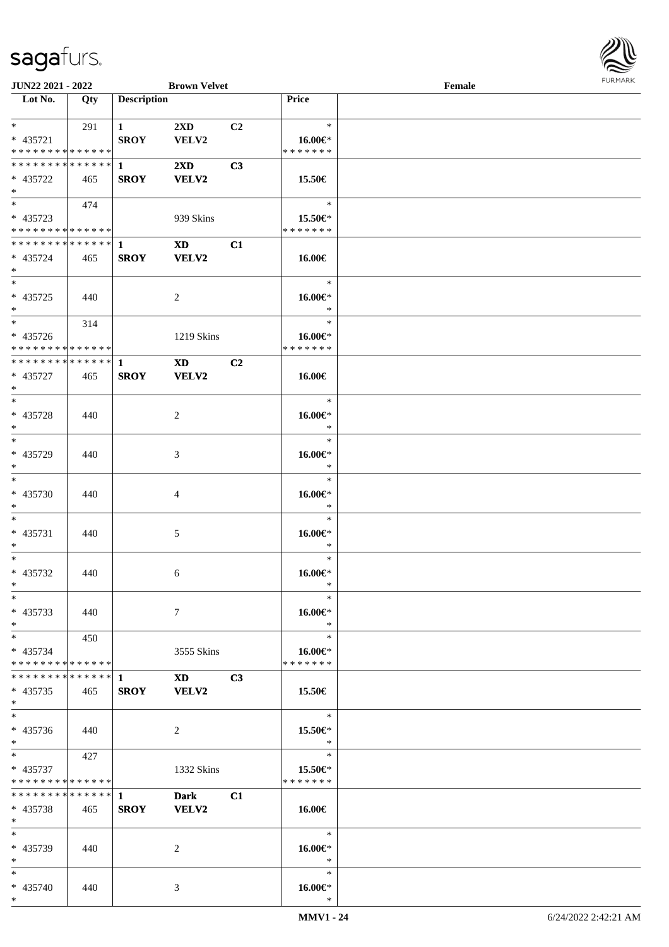

| <b>JUN22 2021 - 2022</b>      |     |                    | <b>Brown Velvet</b>                                                                                                                                                                                                            |                |               | Female |  |
|-------------------------------|-----|--------------------|--------------------------------------------------------------------------------------------------------------------------------------------------------------------------------------------------------------------------------|----------------|---------------|--------|--|
| Lot No.                       | Qty | <b>Description</b> |                                                                                                                                                                                                                                |                | Price         |        |  |
|                               |     |                    |                                                                                                                                                                                                                                |                |               |        |  |
| $*$                           | 291 | $\mathbf{1}$       | 2XD                                                                                                                                                                                                                            | C2             | $\ast$        |        |  |
| * 435721                      |     | <b>SROY</b>        | VELV2                                                                                                                                                                                                                          |                | 16.00€*       |        |  |
| * * * * * * * * * * * * * *   |     |                    |                                                                                                                                                                                                                                |                | * * * * * * * |        |  |
| * * * * * * * * * * * * * * * |     |                    |                                                                                                                                                                                                                                |                |               |        |  |
|                               |     | $\mathbf{1}$       | $2\mathbf{X}\mathbf{D}$                                                                                                                                                                                                        | C3             |               |        |  |
| * 435722                      | 465 | <b>SROY</b>        | VELV2                                                                                                                                                                                                                          |                | 15.50€        |        |  |
| $*$                           |     |                    |                                                                                                                                                                                                                                |                |               |        |  |
| $*$                           | 474 |                    |                                                                                                                                                                                                                                |                | $\ast$        |        |  |
| $* 435723$                    |     |                    | 939 Skins                                                                                                                                                                                                                      |                | 15.50€*       |        |  |
| * * * * * * * * * * * * * *   |     |                    |                                                                                                                                                                                                                                |                | * * * * * * * |        |  |
| * * * * * * * * * * * * * * * |     | $\mathbf{1}$       | $\mathbf{X}\mathbf{D}$                                                                                                                                                                                                         | C1             |               |        |  |
| * 435724                      | 465 | <b>SROY</b>        | VELV2                                                                                                                                                                                                                          |                | 16.00€        |        |  |
|                               |     |                    |                                                                                                                                                                                                                                |                |               |        |  |
| $*$                           |     |                    |                                                                                                                                                                                                                                |                |               |        |  |
| $*$                           |     |                    |                                                                                                                                                                                                                                |                | $\ast$        |        |  |
| $* 435725$                    | 440 |                    | 2                                                                                                                                                                                                                              |                | 16.00€*       |        |  |
| $*$                           |     |                    |                                                                                                                                                                                                                                |                | $\ast$        |        |  |
| $*$                           | 314 |                    |                                                                                                                                                                                                                                |                | $\ast$        |        |  |
| * 435726                      |     |                    | 1219 Skins                                                                                                                                                                                                                     |                | 16.00€*       |        |  |
| * * * * * * * * * * * * * * * |     |                    |                                                                                                                                                                                                                                |                | * * * * * * * |        |  |
| * * * * * * * * * * * * * * * |     | 1                  | <b>XD</b>                                                                                                                                                                                                                      | C <sub>2</sub> |               |        |  |
|                               |     |                    |                                                                                                                                                                                                                                |                |               |        |  |
| * 435727                      | 465 | <b>SROY</b>        | VELV2                                                                                                                                                                                                                          |                | 16.00€        |        |  |
| $*$                           |     |                    |                                                                                                                                                                                                                                |                |               |        |  |
| $*$                           |     |                    |                                                                                                                                                                                                                                |                | $\ast$        |        |  |
| * 435728                      | 440 |                    | 2                                                                                                                                                                                                                              |                | 16.00€*       |        |  |
| $*$                           |     |                    |                                                                                                                                                                                                                                |                | $\ast$        |        |  |
| $*$                           |     |                    |                                                                                                                                                                                                                                |                | $\ast$        |        |  |
| * 435729                      | 440 |                    | 3                                                                                                                                                                                                                              |                | 16.00€*       |        |  |
| $*$                           |     |                    |                                                                                                                                                                                                                                |                | $\ast$        |        |  |
| $*$                           |     |                    |                                                                                                                                                                                                                                |                | $\ast$        |        |  |
|                               |     |                    |                                                                                                                                                                                                                                |                |               |        |  |
| $* 435730$                    | 440 |                    | 4                                                                                                                                                                                                                              |                | $16.00 \in$   |        |  |
| $*$                           |     |                    |                                                                                                                                                                                                                                |                | $\ast$        |        |  |
| $*$                           |     |                    |                                                                                                                                                                                                                                |                | $\ast$        |        |  |
| $* 435731$                    | 440 |                    | 5                                                                                                                                                                                                                              |                | 16.00€*       |        |  |
| $*$                           |     |                    |                                                                                                                                                                                                                                |                | $\ast$        |        |  |
| $*$                           |     |                    |                                                                                                                                                                                                                                |                | $\ast$        |        |  |
| $* 435732$                    | 440 |                    | 6                                                                                                                                                                                                                              |                | 16.00€*       |        |  |
| $*$                           |     |                    |                                                                                                                                                                                                                                |                | $\ast$        |        |  |
|                               |     |                    |                                                                                                                                                                                                                                |                |               |        |  |
| $*$                           |     |                    |                                                                                                                                                                                                                                |                | $\ast$        |        |  |
| * 435733                      | 440 |                    | $\tau$                                                                                                                                                                                                                         |                | 16.00€*       |        |  |
| $*$                           |     |                    |                                                                                                                                                                                                                                |                | $\ast$        |        |  |
| $*$ $*$                       | 450 |                    |                                                                                                                                                                                                                                |                | $\ast$        |        |  |
| * 435734                      |     |                    | 3555 Skins                                                                                                                                                                                                                     |                | 16.00€*       |        |  |
| * * * * * * * * * * * * * * * |     |                    |                                                                                                                                                                                                                                |                | * * * * * * * |        |  |
| * * * * * * * * * * * * * * * |     | 1                  | XD and the set of the set of the set of the set of the set of the set of the set of the set of the set of the set of the set of the set of the set of the set of the set of the set of the set of the set of the set of the se | C <sub>3</sub> |               |        |  |
| $* 435735$                    | 465 | <b>SROY</b>        | VELV2                                                                                                                                                                                                                          |                | 15.50€        |        |  |
| $*$                           |     |                    |                                                                                                                                                                                                                                |                |               |        |  |
| $*$                           |     |                    |                                                                                                                                                                                                                                |                |               |        |  |
|                               |     |                    |                                                                                                                                                                                                                                |                | $\ast$        |        |  |
| * 435736                      | 440 |                    | 2                                                                                                                                                                                                                              |                | 15.50€*       |        |  |
| $*$                           |     |                    |                                                                                                                                                                                                                                |                | $\ast$        |        |  |
| $*$                           | 427 |                    |                                                                                                                                                                                                                                |                | $\ast$        |        |  |
| * 435737                      |     |                    | 1332 Skins                                                                                                                                                                                                                     |                | 15.50€*       |        |  |
| * * * * * * * * * * * * * *   |     |                    |                                                                                                                                                                                                                                |                | * * * * * * * |        |  |
| * * * * * * * * * * * * * * * |     | $\mathbf{1}$       | <b>Dark</b>                                                                                                                                                                                                                    | C1             |               |        |  |
| $* 435738$                    | 465 | <b>SROY</b>        | <b>VELV2</b>                                                                                                                                                                                                                   |                | 16.00€        |        |  |
| $*$                           |     |                    |                                                                                                                                                                                                                                |                |               |        |  |
|                               |     |                    |                                                                                                                                                                                                                                |                |               |        |  |
| $*$                           |     |                    |                                                                                                                                                                                                                                |                | $\ast$        |        |  |
| * 435739                      | 440 |                    | 2                                                                                                                                                                                                                              |                | 16.00€*       |        |  |
| $*$                           |     |                    |                                                                                                                                                                                                                                |                | $\ast$        |        |  |
| $*$                           |     |                    |                                                                                                                                                                                                                                |                | $\ast$        |        |  |
| * 435740                      | 440 |                    | 3                                                                                                                                                                                                                              |                | 16.00€*       |        |  |
| $*$                           |     |                    |                                                                                                                                                                                                                                |                | $\ast$        |        |  |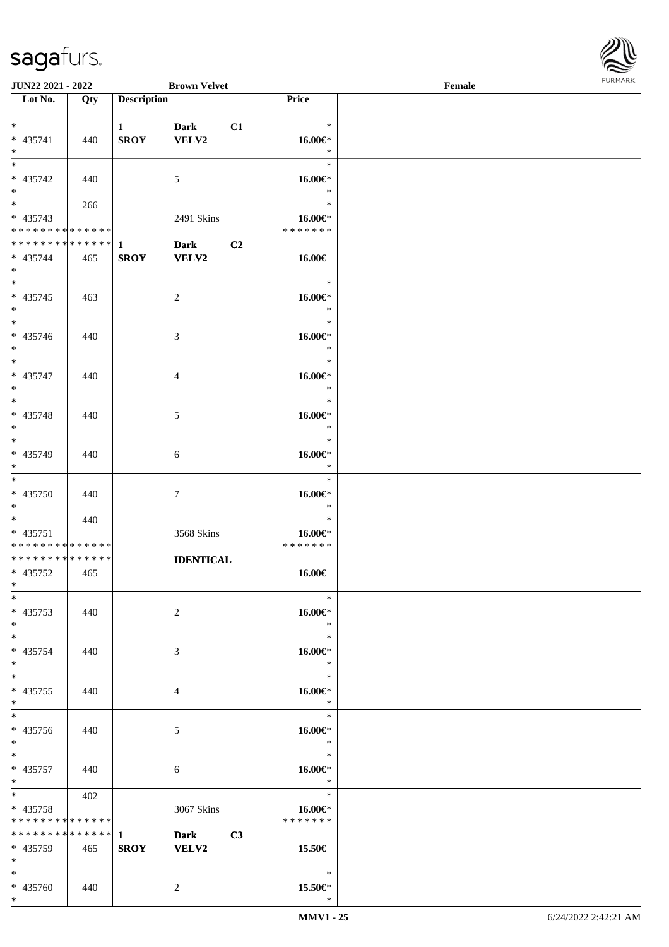

| <b>JUN22 2021 - 2022</b>                   |     |                    | <b>Brown Velvet</b> |               | Female |  |
|--------------------------------------------|-----|--------------------|---------------------|---------------|--------|--|
| Lot No.                                    | Qty | <b>Description</b> |                     | Price         |        |  |
|                                            |     |                    |                     |               |        |  |
| $*$                                        |     | $\mathbf{1}$       | <b>Dark</b><br>C1   | $\ast$        |        |  |
| * 435741                                   | 440 | <b>SROY</b>        | VELV2               | 16.00€*       |        |  |
| $\ast$                                     |     |                    |                     | $\ast$        |        |  |
| $*$                                        |     |                    |                     | $\ast$        |        |  |
| * 435742                                   | 440 |                    | 5                   | 16.00€*       |        |  |
| $*$                                        |     |                    |                     | $\ast$        |        |  |
|                                            | 266 |                    |                     | $\ast$        |        |  |
| * 435743                                   |     |                    | 2491 Skins          | 16.00€*       |        |  |
| * * * * * * * * * * * * * *                |     |                    |                     | * * * * * * * |        |  |
| ******** <mark>******</mark>               |     | $\mathbf{1}$       | <b>Dark</b><br>C2   |               |        |  |
| * 435744                                   |     |                    | VELV2               |               |        |  |
| $*$                                        | 465 | <b>SROY</b>        |                     | 16.00€        |        |  |
| $*$                                        |     |                    |                     | $\ast$        |        |  |
|                                            |     |                    |                     |               |        |  |
| $* 435745$                                 | 463 |                    | $\overline{2}$      | 16.00€*       |        |  |
| $*$<br>$\overline{\phantom{0}}$            |     |                    |                     | $\ast$        |        |  |
|                                            |     |                    |                     | $\ast$        |        |  |
| * 435746                                   | 440 |                    | 3                   | $16.00 \in$   |        |  |
| $*$                                        |     |                    |                     | $\ast$        |        |  |
|                                            |     |                    |                     | $\ast$        |        |  |
| * 435747                                   | 440 |                    | 4                   | $16.00 \in$   |        |  |
| $\ast$                                     |     |                    |                     | $\ast$        |        |  |
|                                            |     |                    |                     | $\ast$        |        |  |
| * 435748                                   | 440 |                    | 5                   | 16.00€*       |        |  |
| $*$                                        |     |                    |                     | $\ast$        |        |  |
|                                            |     |                    |                     | $\ast$        |        |  |
| * 435749                                   | 440 |                    | 6                   | 16.00€*       |        |  |
| $*$                                        |     |                    |                     | $\ast$        |        |  |
| $\overline{\ast}$                          |     |                    |                     | $\ast$        |        |  |
| * 435750                                   | 440 |                    | $\overline{7}$      | 16.00€*       |        |  |
| $*$                                        |     |                    |                     | $\ast$        |        |  |
|                                            | 440 |                    |                     | $\ast$        |        |  |
| $* 435751$                                 |     |                    | 3568 Skins          | 16.00€*       |        |  |
| * * * * * * * * <mark>* * * * * * *</mark> |     |                    |                     | * * * * * * * |        |  |
| * * * * * * * * <mark>* * * * * * *</mark> |     |                    | <b>IDENTICAL</b>    |               |        |  |
| * 435752                                   | 465 |                    |                     | 16.00€        |        |  |
| $*$ $*$                                    |     |                    |                     |               |        |  |
| $*$                                        |     |                    |                     | $\ast$        |        |  |
|                                            |     |                    |                     |               |        |  |
| * 435753                                   | 440 |                    | 2                   | $16.00 \in$   |        |  |
| $*$                                        |     |                    |                     | $\ast$        |        |  |
| $*$                                        |     |                    |                     | $\ast$        |        |  |
| * 435754                                   | 440 |                    | 3                   | 16.00€*       |        |  |
| $*$                                        |     |                    |                     | $\ast$        |        |  |
| $*$                                        |     |                    |                     | $\ast$        |        |  |
| $* 435755$                                 | 440 |                    | 4                   | 16.00€*       |        |  |
| $*$                                        |     |                    |                     | $\ast$        |        |  |
| $*$                                        |     |                    |                     | $\ast$        |        |  |
| * 435756                                   | 440 |                    | 5                   | 16.00€*       |        |  |
| $*$                                        |     |                    |                     | $\ast$        |        |  |
| $*$                                        |     |                    |                     | $\ast$        |        |  |
| $* 435757$                                 | 440 |                    | 6                   | 16.00€*       |        |  |
| $*$                                        |     |                    |                     | $\ast$        |        |  |
| $*$ $*$                                    | 402 |                    |                     | $\ast$        |        |  |
| * 435758                                   |     |                    | 3067 Skins          | $16.00 \in$   |        |  |
| * * * * * * * * * * * * * *                |     |                    |                     | * * * * * * * |        |  |
| * * * * * * * * * * * * * * *              |     | $\mathbf{1}$       | <b>Dark</b><br>C3   |               |        |  |
| * 435759                                   | 465 | <b>SROY</b>        | <b>VELV2</b>        | 15.50€        |        |  |
| $*$                                        |     |                    |                     |               |        |  |
| $*$                                        |     |                    |                     | $\ast$        |        |  |
| * 435760                                   | 440 |                    | 2                   | 15.50€*       |        |  |
| $*$                                        |     |                    |                     | $\ast$        |        |  |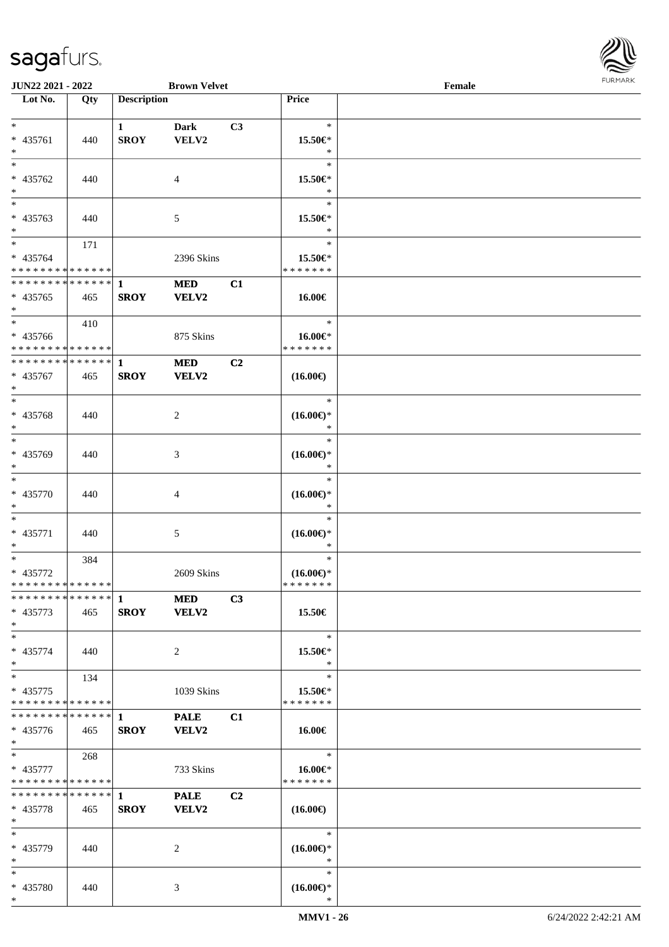

| <b>JUN22 2021 - 2022</b>                               |     |                    | <b>Brown Velvet</b> |                |                                | Female |  |
|--------------------------------------------------------|-----|--------------------|---------------------|----------------|--------------------------------|--------|--|
| Lot No.                                                | Qty | <b>Description</b> |                     |                | Price                          |        |  |
|                                                        |     |                    |                     |                |                                |        |  |
| $\ast$                                                 |     | $\mathbf{1}$       | <b>Dark</b>         | C3             | $\ast$                         |        |  |
| * 435761                                               | 440 | <b>SROY</b>        | VELV2               |                | 15.50€*                        |        |  |
| $\ast$                                                 |     |                    |                     |                | $\ast$                         |        |  |
| $\overline{\ast}$                                      |     |                    |                     |                | $\ast$                         |        |  |
| * 435762                                               | 440 |                    | $\overline{4}$      |                | 15.50€*                        |        |  |
| $\ast$                                                 |     |                    |                     |                | $\ast$                         |        |  |
|                                                        |     |                    |                     |                | $\ast$                         |        |  |
| * 435763                                               | 440 |                    | 5                   |                | 15.50€*                        |        |  |
| $\ast$                                                 |     |                    |                     |                | $\ast$                         |        |  |
| $*$                                                    | 171 |                    |                     |                | $\ast$                         |        |  |
| * 435764                                               |     |                    | 2396 Skins          |                | 15.50€*                        |        |  |
| * * * * * * * * <mark>* * * * * * *</mark>             |     |                    |                     |                | * * * * * * *                  |        |  |
| * * * * * * * * <mark>* * * * * * *</mark>             |     | $\mathbf{1}$       | <b>MED</b>          | C1             |                                |        |  |
| * 435765                                               | 465 | <b>SROY</b>        | VELV2               |                | 16.00€                         |        |  |
| $\ast$                                                 |     |                    |                     |                |                                |        |  |
| $\overline{\ast}$                                      |     |                    |                     |                | $\ast$                         |        |  |
|                                                        | 410 |                    |                     |                |                                |        |  |
| * 435766<br>* * * * * * * * <mark>* * * * * * *</mark> |     |                    | 875 Skins           |                | 16.00€*<br>* * * * * * *       |        |  |
| * * * * * * * * * * * * * * <mark>*</mark>             |     |                    |                     |                |                                |        |  |
|                                                        |     | $\mathbf{1}$       | <b>MED</b>          | C2             |                                |        |  |
| * 435767                                               | 465 | <b>SROY</b>        | VELV2               |                | $(16.00\epsilon)$              |        |  |
| $\ast$                                                 |     |                    |                     |                |                                |        |  |
| $\ddot{x}$                                             |     |                    |                     |                | $\ast$                         |        |  |
| * 435768                                               | 440 |                    | 2                   |                | $(16.00\epsilon)$ *            |        |  |
| $\ast$                                                 |     |                    |                     |                | $\ast$                         |        |  |
| $*$                                                    |     |                    |                     |                | $\ast$                         |        |  |
| * 435769                                               | 440 |                    | 3                   |                | $(16.00\mathbb{E})^*$          |        |  |
| $\ast$                                                 |     |                    |                     |                | $\ast$                         |        |  |
| $\ast$                                                 |     |                    |                     |                | $\ast$                         |        |  |
| * 435770                                               | 440 |                    | 4                   |                | $(16.00\epsilon)$ *            |        |  |
| $\ast$                                                 |     |                    |                     |                | $\ast$                         |        |  |
| $\ast$                                                 |     |                    |                     |                | $\ast$                         |        |  |
| * 435771                                               | 440 |                    | 5                   |                | $(16.00\epsilon)$ *            |        |  |
| $\ast$                                                 |     |                    |                     |                | $\ast$                         |        |  |
| $*$                                                    | 384 |                    |                     |                | $\ast$                         |        |  |
| * 435772                                               |     |                    | 2609 Skins          |                | $(16.00\epsilon)$ *            |        |  |
| * * * * * * * * <mark>* * * * * *</mark>               |     |                    |                     |                | * * * * * * *                  |        |  |
|                                                        |     |                    | <b>MED</b>          | C3             |                                |        |  |
| * 435773                                               | 465 |                    | SROY VELV2          |                | 15.50€                         |        |  |
| $*$                                                    |     |                    |                     |                |                                |        |  |
| $*$ $-$                                                |     |                    |                     |                | $\ast$                         |        |  |
| * 435774                                               | 440 |                    | 2                   |                | 15.50€*                        |        |  |
| $\ast$                                                 |     |                    |                     |                | $\ast$                         |        |  |
| $\ddot{x}$                                             | 134 |                    |                     |                | $\ast$                         |        |  |
| * 435775                                               |     |                    | 1039 Skins          |                | 15.50€*                        |        |  |
| * * * * * * * * <mark>* * * * * *</mark>               |     |                    |                     |                | * * * * * * *                  |        |  |
|                                                        |     |                    | <b>PALE</b>         | C1             |                                |        |  |
| * 435776                                               | 465 | <b>SROY</b>        | <b>VELV2</b>        |                | $16.00 \in$                    |        |  |
|                                                        |     |                    |                     |                |                                |        |  |
| $*$<br>$\overline{\ast}$                               |     |                    |                     |                | $\ast$                         |        |  |
|                                                        | 268 |                    |                     |                |                                |        |  |
| * 435777<br>* * * * * * * * <mark>* * * * * *</mark>   |     |                    | 733 Skins           |                | 16.00 $\in$ *<br>* * * * * * * |        |  |
|                                                        |     |                    |                     |                |                                |        |  |
|                                                        |     |                    | <b>PALE</b>         | C <sub>2</sub> |                                |        |  |
| * 435778                                               | 465 | <b>SROY</b>        | <b>VELV2</b>        |                | $(16.00\epsilon)$              |        |  |
| $\ast$                                                 |     |                    |                     |                |                                |        |  |
| $\ast$                                                 |     |                    |                     |                | $\ast$                         |        |  |
| * 435779                                               | 440 |                    | 2                   |                | $(16.00\epsilon)$ *            |        |  |
| $*$                                                    |     |                    |                     |                | $\ast$                         |        |  |
| $*$                                                    |     |                    |                     |                | $\ast$                         |        |  |
| * 435780                                               | 440 |                    | 3                   |                | $(16.00\epsilon)$ *            |        |  |
| $\ast$                                                 |     |                    |                     |                | $\ast$                         |        |  |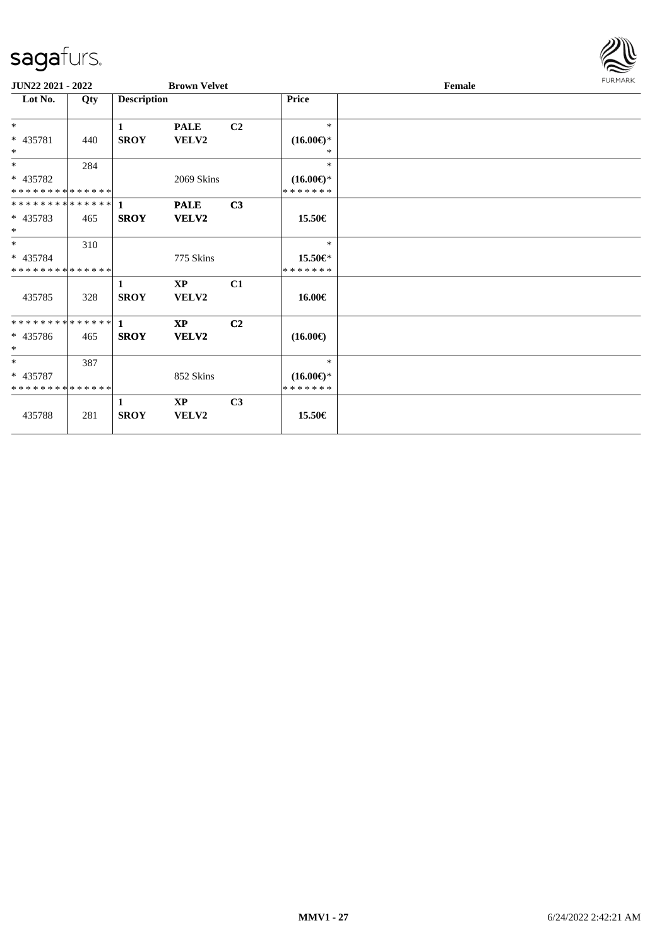

| JUN22 2021 - 2022                       |     |                    | <b>Brown Velvet</b>    |                |                                      | Female |  |  |  |  |
|-----------------------------------------|-----|--------------------|------------------------|----------------|--------------------------------------|--------|--|--|--|--|
| Lot No.                                 | Qty | <b>Description</b> |                        |                | <b>Price</b>                         |        |  |  |  |  |
| $*$                                     |     | 1                  | <b>PALE</b>            | C <sub>2</sub> | $\ast$                               |        |  |  |  |  |
| * 435781<br>$\ast$                      | 440 | <b>SROY</b>        | <b>VELV2</b>           |                | $(16.00\epsilon)$ *<br>*             |        |  |  |  |  |
| $*$                                     | 284 |                    |                        |                | $\ast$                               |        |  |  |  |  |
| * 435782<br>* * * * * * * * * * * * * * |     |                    | 2069 Skins             |                | $(16.00\epsilon)$ *<br>* * * * * * * |        |  |  |  |  |
| **************                          |     | $\mathbf{1}$       | <b>PALE</b>            | C3             |                                      |        |  |  |  |  |
| * 435783<br>$\ast$                      | 465 | <b>SROY</b>        | VELV2                  |                | 15.50€                               |        |  |  |  |  |
| $*$                                     | 310 |                    |                        |                | $\ast$                               |        |  |  |  |  |
| * 435784<br>* * * * * * * * * * * * * * |     |                    | 775 Skins              |                | 15.50€*<br>* * * * * * *             |        |  |  |  |  |
| 435785                                  | 328 | 1<br><b>SROY</b>   | <b>XP</b><br>VELV2     | C1             | 16.00€                               |        |  |  |  |  |
| **************                          |     | $\mathbf{1}$       | $\mathbf{X}\mathbf{P}$ | C <sub>2</sub> |                                      |        |  |  |  |  |
| * 435786<br>$*$                         | 465 | <b>SROY</b>        | VELV2                  |                | $(16.00\epsilon)$                    |        |  |  |  |  |
| $*$                                     | 387 |                    |                        |                | $\ast$                               |        |  |  |  |  |
| * 435787<br>* * * * * * * * * * * * * * |     |                    | 852 Skins              |                | $(16.00\epsilon)$ *<br>* * * * * * * |        |  |  |  |  |
|                                         |     | 1                  | $\mathbf{X}\mathbf{P}$ | C3             |                                      |        |  |  |  |  |
| 435788                                  | 281 | <b>SROY</b>        | VELV2                  |                | 15.50€                               |        |  |  |  |  |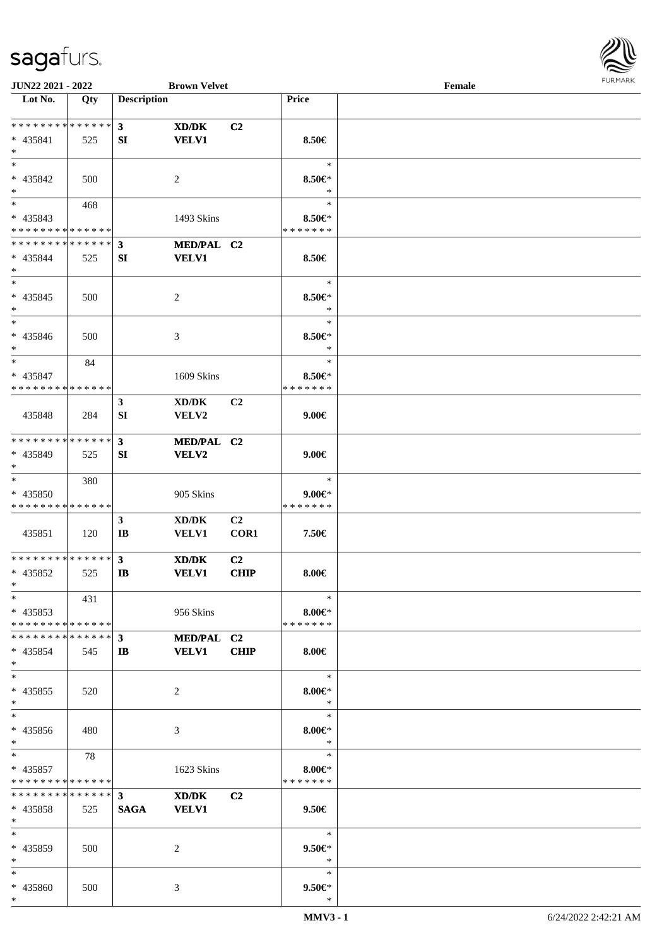

| JUN22 2021 - 2022                                      |       |                              | <b>Brown Velvet</b>                          |                        |                                         | Female |  |
|--------------------------------------------------------|-------|------------------------------|----------------------------------------------|------------------------|-----------------------------------------|--------|--|
| Lot No.                                                | Qty   | <b>Description</b>           |                                              |                        | Price                                   |        |  |
| * * * * * * * * * * * * * * *<br>* 435841<br>$*$       | 525   | 3<br>SI                      | XD/DK<br><b>VELV1</b>                        | C2                     | 8.50€                                   |        |  |
| $*$<br>* 435842<br>$*$                                 | 500   |                              | 2                                            |                        | $\ast$<br>$8.50 \in$<br>$\ast$          |        |  |
| $*$<br>* 435843<br>* * * * * * * * * * * * * *         | 468   |                              | 1493 Skins                                   |                        | $\ast$<br>$8.50 \in$<br>* * * * * * *   |        |  |
| * * * * * * * * * * * * * * *<br>* 435844<br>$*$       | 525   | $\mathbf{3}$<br>SI           | MED/PAL C2<br><b>VELV1</b>                   |                        | 8.50€                                   |        |  |
| $*$<br>* 435845<br>$*$                                 | 500   |                              | 2                                            |                        | $\ast$<br>$8.50 \in$<br>$\ast$          |        |  |
| $*$<br>* 435846<br>$*$                                 | 500   |                              | 3                                            |                        | $\ast$<br>$8.50 \in$<br>$\ast$          |        |  |
| $\ast$<br>* 435847<br>* * * * * * * * * * * * * * *    | 84    |                              | 1609 Skins                                   |                        | $\ast$<br>$8.50 \in$<br>* * * * * * *   |        |  |
| 435848                                                 | 284   | $\mathbf{3}$<br>SI           | XD/DK<br>VELV2                               | C <sub>2</sub>         | $9.00 \in$                              |        |  |
| * * * * * * * * * * * * * * *<br>* 435849<br>$*$       | 525   | $\mathbf{3}$<br>SI           | MED/PAL C2<br>VELV2                          |                        | $9.00 \in$                              |        |  |
| $*$<br>* 435850<br>* * * * * * * * * * * * * *         | 380   |                              | 905 Skins                                    |                        | $\ast$<br>$9.00 \in$ *<br>* * * * * * * |        |  |
| 435851                                                 | 120   | $\mathbf{3}$<br>IB           | $\bold{X}\bold{D}/\bold{D}\bold{K}$<br>VELV1 | C <sub>2</sub><br>COR1 | 7.50€                                   |        |  |
| * * * * * * * * * * * * * * *<br>* 435852<br>$*$ $-$   | 525   | $\mathbf{3}$<br>$\mathbf{I}$ | XD/DK<br><b>VELV1</b>                        | C2<br><b>CHIP</b>      | $8.00 \in$                              |        |  |
| $*$<br>$* 435853$<br>* * * * * * * * * * * * * * *     | 431   |                              | 956 Skins                                    |                        | $\ast$<br>$8.00 \in$ *<br>* * * * * * * |        |  |
| * * * * * * * * * * * * * * *<br>$* 435854$<br>$*$     | - 545 | $3^{\circ}$<br>IB            | <b>MED/PAL C2</b><br><b>VELV1</b>            | <b>CHIP</b>            | $8.00 \in$                              |        |  |
| $*$<br>* 435855<br>$*$                                 | 520   |                              | 2                                            |                        | $\ast$<br>$8.00 \in$ *<br>$\ast$        |        |  |
| $*$<br>* 435856<br>$*$                                 | 480   |                              | 3                                            |                        | $\ast$<br>$8.00 \in$<br>$\ast$          |        |  |
| $*$ $*$<br>$* 435857$<br>* * * * * * * * * * * * * * * | 78    |                              | 1623 Skins                                   |                        | $\ast$<br>$8.00 \in$<br>* * * * * * *   |        |  |
| $* 435858$<br>$*$                                      | 525   | <b>SAGA</b>                  | XD/DK<br><b>VELV1</b>                        | C2                     | $9.50\in$                               |        |  |
| $*$<br>* 435859<br>$*$                                 | 500   |                              | 2                                            |                        | $\ast$<br>$9.50 \in$<br>$\ast$          |        |  |
| $*$<br>* 435860<br>$*$                                 | 500   |                              | 3                                            |                        | $\ast$<br>$9.50 \in$<br>$\ast$          |        |  |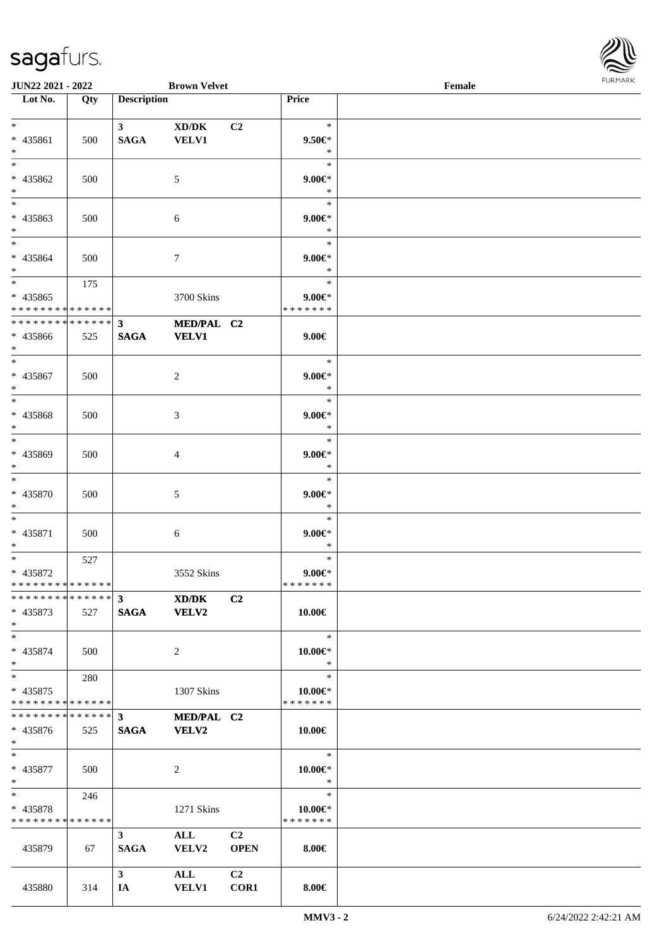

| <b>JUN22 2021 - 2022</b>                        |     |                    | <b>Brown Velvet</b> |                |                        | Female |  |
|-------------------------------------------------|-----|--------------------|---------------------|----------------|------------------------|--------|--|
| Lot No.                                         | Qty | <b>Description</b> |                     |                | Price                  |        |  |
|                                                 |     |                    |                     |                |                        |        |  |
| $*$                                             |     | 3 <sup>7</sup>     | XD/DK               | C2             | $\ast$                 |        |  |
| * 435861                                        | 500 | <b>SAGA</b>        | <b>VELV1</b>        |                | $9.50 \in$             |        |  |
| $*$                                             |     |                    |                     |                | $\ast$                 |        |  |
| $\ast$                                          |     |                    |                     |                | $\ast$                 |        |  |
| * 435862                                        | 500 |                    | 5                   |                | $9.00 \in$ *           |        |  |
| $*$                                             |     |                    |                     |                | $\ast$                 |        |  |
| $\overline{\phantom{0}}$                        |     |                    |                     |                | $\ast$                 |        |  |
| * 435863                                        |     |                    |                     |                |                        |        |  |
|                                                 | 500 |                    | 6                   |                | $9.00 \in$ *<br>$\ast$ |        |  |
| $*$                                             |     |                    |                     |                |                        |        |  |
| $*$                                             |     |                    |                     |                | $\ast$                 |        |  |
| * 435864                                        | 500 |                    | $\tau$              |                | $9.00 \in$ *           |        |  |
| $*$                                             |     |                    |                     |                | $\ast$                 |        |  |
| $*$                                             | 175 |                    |                     |                | $\ast$                 |        |  |
| * 435865                                        |     |                    | 3700 Skins          |                | $9.00 \in$ *           |        |  |
| * * * * * * * * <mark>* * * * * * *</mark>      |     |                    |                     |                | * * * * * * *          |        |  |
| * * * * * * * * * * * * * * *                   |     | $\mathbf{3}$       | MED/PAL C2          |                |                        |        |  |
| * 435866                                        | 525 | <b>SAGA</b>        | <b>VELV1</b>        |                | $9.00 \in$             |        |  |
| $*$                                             |     |                    |                     |                |                        |        |  |
| $*$                                             |     |                    |                     |                | $\ast$                 |        |  |
|                                                 |     |                    |                     |                |                        |        |  |
| * 435867                                        | 500 |                    | 2                   |                | $9.00 \in$ *           |        |  |
| $\ast$                                          |     |                    |                     |                | $\ast$                 |        |  |
| $*$                                             |     |                    |                     |                | $\ast$                 |        |  |
| * 435868                                        | 500 |                    | 3                   |                | $9.00 \in$ *           |        |  |
| $*$                                             |     |                    |                     |                | $\ast$                 |        |  |
| $*$                                             |     |                    |                     |                | $\ast$                 |        |  |
| * 435869                                        | 500 |                    | 4                   |                | $9.00 \in$ *           |        |  |
| $\ast$                                          |     |                    |                     |                | $\ast$                 |        |  |
| $*$                                             |     |                    |                     |                | $\ast$                 |        |  |
|                                                 |     |                    |                     |                |                        |        |  |
| * 435870                                        | 500 |                    | 5                   |                | $9.00 \in$ *           |        |  |
| $\ast$                                          |     |                    |                     |                | $\ast$                 |        |  |
| $*$                                             |     |                    |                     |                | $\ast$                 |        |  |
| * 435871                                        | 500 |                    | 6                   |                | $9.00 \in$ *           |        |  |
| $\ast$                                          |     |                    |                     |                | $\ast$                 |        |  |
| $*$ $-$                                         | 527 |                    |                     |                | $\ast$                 |        |  |
| * 435872                                        |     |                    | 3552 Skins          |                | $9.00 \in$             |        |  |
| * * * * * * * * <mark>* * * * * *</mark>        |     |                    |                     |                | *******                |        |  |
| ******** <sup>*</sup> ****** <sup>3</sup> XD/DK |     |                    |                     | C <sub>2</sub> |                        |        |  |
| * 435873                                        | 527 |                    | SAGA VELV2          |                | 10.00€                 |        |  |
| $*$                                             |     |                    |                     |                |                        |        |  |
| $*$                                             |     |                    |                     |                | $\ast$                 |        |  |
|                                                 |     |                    |                     |                |                        |        |  |
| * 435874                                        | 500 |                    | 2                   |                | $10.00 \in$ *          |        |  |
| $*$                                             |     |                    |                     |                | $\ast$                 |        |  |
| $*$                                             | 280 |                    |                     |                | $\ast$                 |        |  |
| $* 435875$                                      |     |                    | 1307 Skins          |                | 10.00€*                |        |  |
| * * * * * * * * <mark>* * * * * * *</mark>      |     |                    |                     |                | * * * * * * *          |        |  |
|                                                 |     |                    | MED/PAL C2          |                |                        |        |  |
| $* 435876$                                      | 525 | <b>SAGA</b>        | <b>VELV2</b>        |                | 10.00€                 |        |  |
| $*$ $-$                                         |     |                    |                     |                |                        |        |  |
| $*$ $-$                                         |     |                    |                     |                | $\ast$                 |        |  |
|                                                 |     |                    |                     |                |                        |        |  |
| * 435877                                        | 500 |                    | 2                   |                | $10.00 \in$ *          |        |  |
| $*$ $-$                                         |     |                    |                     |                | $\ast$                 |        |  |
| $*$ and $*$                                     | 246 |                    |                     |                | $\ast$                 |        |  |
| * 435878                                        |     |                    | 1271 Skins          |                | 10.00€*                |        |  |
| * * * * * * * * <mark>* * * * * *</mark>        |     |                    |                     |                | * * * * * * *          |        |  |
|                                                 |     | 3 <sup>1</sup>     | <b>ALL</b>          | C <sub>2</sub> |                        |        |  |
| 435879                                          | 67  | <b>SAGA</b>        | <b>VELV2</b>        | <b>OPEN</b>    | $8.00 \in$             |        |  |
|                                                 |     |                    |                     |                |                        |        |  |
|                                                 |     | 3 <sup>7</sup>     | ALL                 | C2             |                        |        |  |
| 435880                                          | 314 | IA                 | <b>VELV1</b>        | COR1           | $8.00 \in$             |        |  |
|                                                 |     |                    |                     |                |                        |        |  |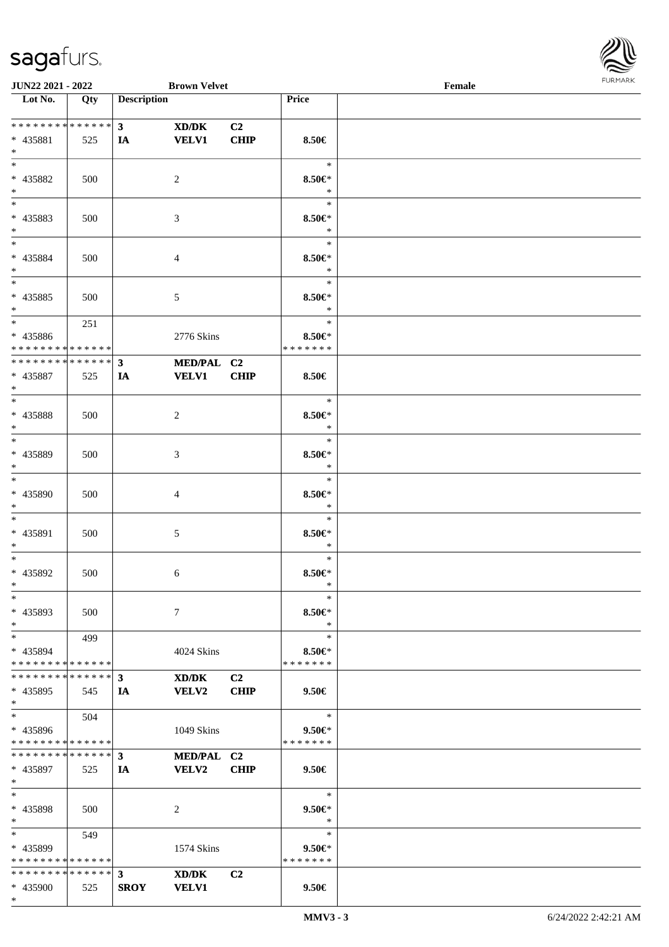\*



| <b>JUN22 2021 - 2022</b>                   |     |                    | <b>Brown Velvet</b> |                |                      | Female |  |
|--------------------------------------------|-----|--------------------|---------------------|----------------|----------------------|--------|--|
| Lot No.                                    | Qty | <b>Description</b> |                     |                | Price                |        |  |
|                                            |     |                    |                     |                |                      |        |  |
| * * * * * * * * * * * * * * *              |     | 3 <sup>7</sup>     | XD/DK               | C <sub>2</sub> |                      |        |  |
| * 435881                                   | 525 | IA                 | <b>VELV1</b>        | <b>CHIP</b>    | 8.50€                |        |  |
| $*$                                        |     |                    |                     |                |                      |        |  |
| $*$                                        |     |                    |                     |                | $\ast$               |        |  |
| * 435882                                   | 500 |                    | 2                   |                | $8.50 \in$           |        |  |
| $*$                                        |     |                    |                     |                | $\ast$               |        |  |
| $\overline{\ast}$                          |     |                    |                     |                | $\ast$               |        |  |
| * 435883                                   |     |                    |                     |                |                      |        |  |
|                                            | 500 |                    | 3                   |                | $8.50 \in$<br>$\ast$ |        |  |
| $*$<br>$*$                                 |     |                    |                     |                |                      |        |  |
|                                            |     |                    |                     |                | $\ast$               |        |  |
| * 435884                                   | 500 |                    | $\overline{4}$      |                | $8.50 \in$           |        |  |
| $*$                                        |     |                    |                     |                | $\ast$               |        |  |
| $*$                                        |     |                    |                     |                | $\ast$               |        |  |
| * 435885                                   | 500 |                    | 5                   |                | $8.50 \in$           |        |  |
| $*$                                        |     |                    |                     |                | $\ast$               |        |  |
| $*$                                        | 251 |                    |                     |                | $\ast$               |        |  |
| * 435886                                   |     |                    | 2776 Skins          |                | $8.50 \in$           |        |  |
| * * * * * * * * <mark>* * * * * *</mark> * |     |                    |                     |                | * * * * * * *        |        |  |
| * * * * * * * * * * * * * * *              |     | $3^{\circ}$        | MED/PAL C2          |                |                      |        |  |
| * 435887                                   | 525 | IA                 | <b>VELV1</b>        | <b>CHIP</b>    | 8.50€                |        |  |
| $*$                                        |     |                    |                     |                |                      |        |  |
| $*$                                        |     |                    |                     |                | $\ast$               |        |  |
| * 435888                                   |     |                    |                     |                | $8.50 \in$           |        |  |
| $*$                                        | 500 |                    | 2                   |                | $\ast$               |        |  |
|                                            |     |                    |                     |                | $\ast$               |        |  |
|                                            |     |                    |                     |                |                      |        |  |
| * 435889                                   | 500 |                    | 3                   |                | $8.50 \in$           |        |  |
| $*$                                        |     |                    |                     |                | $\ast$               |        |  |
| $*$                                        |     |                    |                     |                | $\ast$               |        |  |
| * 435890                                   | 500 |                    | 4                   |                | $8.50 \in$           |        |  |
| $*$                                        |     |                    |                     |                | $\ast$               |        |  |
| $*$                                        |     |                    |                     |                | $\ast$               |        |  |
| * 435891                                   | 500 |                    | 5                   |                | $8.50 \in$           |        |  |
| $\ast$                                     |     |                    |                     |                | $\ast$               |        |  |
| $*$                                        |     |                    |                     |                | $\ast$               |        |  |
| * 435892                                   | 500 |                    | 6                   |                | $8.50 \in$           |        |  |
| $*$                                        |     |                    |                     |                | $\ast$               |        |  |
| $\ast$                                     |     |                    |                     |                | $\ast$               |        |  |
| * 435893                                   | 500 |                    | $\tau$              |                | $8.50 \in$           |        |  |
| $*$                                        |     |                    |                     |                | $\ast$               |        |  |
| $*$                                        | 499 |                    |                     |                | $\ast$               |        |  |
| * 435894                                   |     |                    | 4024 Skins          |                | $8.50 \in$           |        |  |
| * * * * * * * * <mark>* * * * * *</mark>   |     |                    |                     |                | * * * * * * *        |        |  |
| * * * * * * * * * * * * * * *              |     |                    |                     |                |                      |        |  |
|                                            |     | $3^{\circ}$        | XD/DK               | C2             |                      |        |  |
| * 435895                                   | 545 | IA                 | <b>VELV2</b>        | <b>CHIP</b>    | $9.50 \in$           |        |  |
| $*$                                        |     |                    |                     |                |                      |        |  |
| $*$ $-$                                    | 504 |                    |                     |                | $\ast$               |        |  |
| * 435896                                   |     |                    | 1049 Skins          |                | $9.50 \in$           |        |  |
| * * * * * * * * * * * * * * *              |     |                    |                     |                | * * * * * * *        |        |  |
| * * * * * * * * * * * * * * <mark>*</mark> |     | 3 <sup>7</sup>     | MED/PAL C2          |                |                      |        |  |
| * 435897                                   | 525 | IA                 | <b>VELV2</b>        | <b>CHIP</b>    | $9.50 \in$           |        |  |
| $*$                                        |     |                    |                     |                |                      |        |  |
| $*$                                        |     |                    |                     |                | $\ast$               |        |  |
| * 435898                                   | 500 |                    | 2                   |                | $9.50 \in$           |        |  |
| $*$                                        |     |                    |                     |                | $\ast$               |        |  |
| $*$ $-$                                    | 549 |                    |                     |                | $\ast$               |        |  |
| * 435899                                   |     |                    | 1574 Skins          |                | $9.50 \in$           |        |  |
| * * * * * * * * <mark>* * * * * *</mark>   |     |                    |                     |                | * * * * * * *        |        |  |
|                                            |     |                    | XD/DK               | C <sub>2</sub> |                      |        |  |
| * 435900                                   | 525 | <b>SROY</b>        | <b>VELV1</b>        |                | $9.50 \in$           |        |  |
|                                            |     |                    |                     |                |                      |        |  |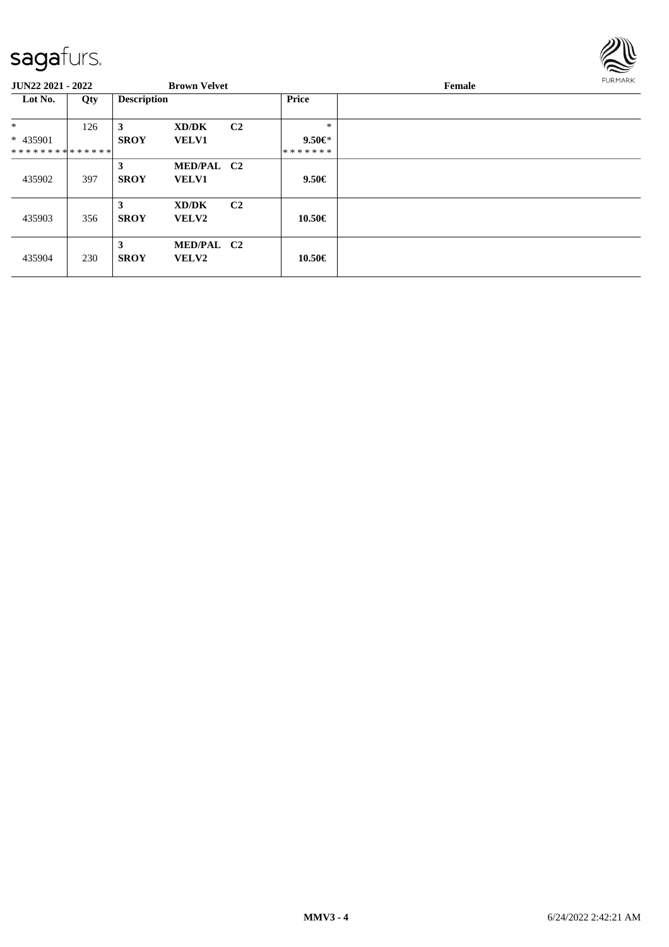

| <b>JUN22 2021 - 2022</b>      |     |                    | <b>Brown Velvet</b> |                |              | Female | <b>FURMARK</b> |
|-------------------------------|-----|--------------------|---------------------|----------------|--------------|--------|----------------|
| Lot No.                       | Qty | <b>Description</b> |                     |                | <b>Price</b> |        |                |
| $*$                           | 126 | 3                  | XD/DK               | C <sub>2</sub> | $\ast$       |        |                |
| * 435901                      |     | <b>SROY</b>        | <b>VELV1</b>        |                | $9.50 \in$   |        |                |
| * * * * * * * * * * * * * * * |     |                    |                     |                | *******      |        |                |
|                               |     | 3                  | MED/PAL C2          |                |              |        |                |
| 435902                        | 397 | <b>SROY</b>        | <b>VELV1</b>        |                | 9.50€        |        |                |
|                               |     | 3                  | XD/DK               | C <sub>2</sub> |              |        |                |
| 435903                        | 356 | <b>SROY</b>        | VELV2               |                | 10.50€       |        |                |
| 435904                        | 230 | 3<br><b>SROY</b>   | MED/PAL C2<br>VELV2 |                | 10.50€       |        |                |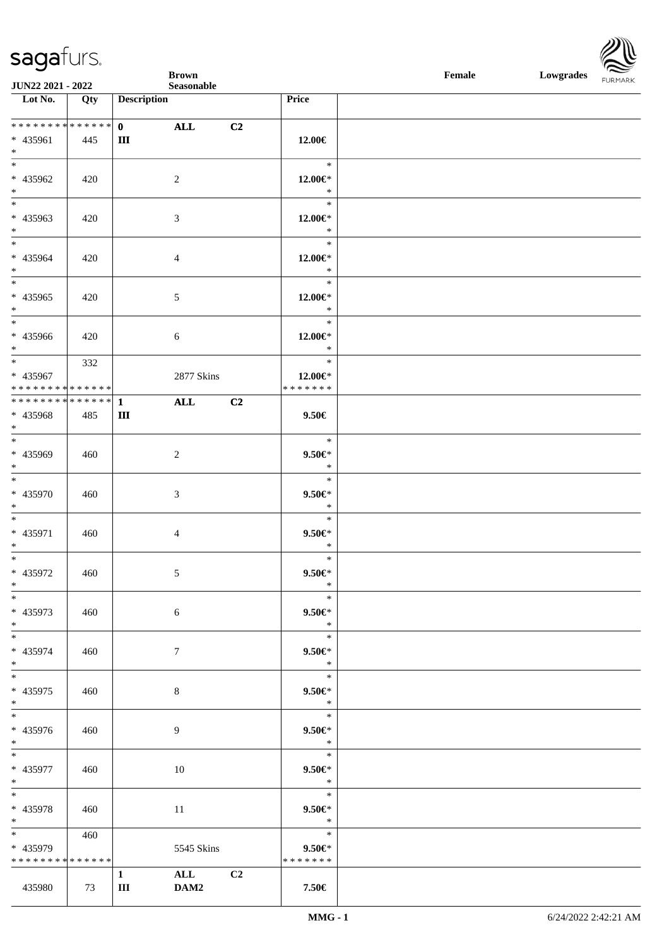| $\overline{\phantom{a}}$         |     |                               | <b>Brown</b>   |                |                      | Female | Lowgrades FURMARK |  |
|----------------------------------|-----|-------------------------------|----------------|----------------|----------------------|--------|-------------------|--|
| JUN22 2021 - 2022                |     |                               | Seasonable     |                |                      |        |                   |  |
| $\overline{\phantom{1}}$ Lot No. | Qty | <b>Description</b>            |                |                | Price                |        |                   |  |
| ******** <mark>******</mark>     |     | $\mathbf{0}$ and $\mathbf{0}$ | ALL            | C2             |                      |        |                   |  |
| * 435961                         | 445 | Ш                             |                |                | 12.00€               |        |                   |  |
| $*$                              |     |                               |                |                |                      |        |                   |  |
| $*$                              |     |                               |                |                | $\ast$               |        |                   |  |
| * 435962                         | 420 |                               | $\overline{2}$ |                | 12.00€*              |        |                   |  |
| $*$                              |     |                               |                |                | $\ast$               |        |                   |  |
|                                  |     |                               |                |                | $\ast$               |        |                   |  |
| * 435963                         | 420 |                               | 3              |                | 12.00€*              |        |                   |  |
| $*$<br>$*$                       |     |                               |                |                | $\ast$<br>$\ast$     |        |                   |  |
| * 435964                         | 420 |                               | $\overline{4}$ |                | $12.00 \in$ *        |        |                   |  |
| $*$                              |     |                               |                |                | $\ast$               |        |                   |  |
|                                  |     |                               |                |                | $\ast$               |        |                   |  |
| $* 435965$                       | 420 |                               | $\sqrt{5}$     |                | $12.00 \in$ *        |        |                   |  |
| $*$                              |     |                               |                |                | $\ast$               |        |                   |  |
| $*$                              |     |                               |                |                | $\ast$               |        |                   |  |
| $* 435966$                       | 420 |                               | $\sqrt{6}$     |                | 12.00€*              |        |                   |  |
| $*$<br>$*$                       | 332 |                               |                |                | $\ast$<br>$\ast$     |        |                   |  |
| * 435967                         |     |                               | 2877 Skins     |                | $12.00 \in$ *        |        |                   |  |
| * * * * * * * * * * * * * * *    |     |                               |                |                | * * * * * * *        |        |                   |  |
|                                  |     |                               | $\mathbf{ALL}$ | C <sub>2</sub> |                      |        |                   |  |
| $* 435968$                       | 485 | Ш                             |                |                | $9.50 \in$           |        |                   |  |
| $*$                              |     |                               |                |                |                      |        |                   |  |
|                                  |     |                               |                |                | $\ast$               |        |                   |  |
| * 435969<br>$*$                  | 460 |                               | $\overline{c}$ |                | $9.50 \in$<br>$\ast$ |        |                   |  |
| $\overline{\ast}$                |     |                               |                |                | $\ast$               |        |                   |  |
| * 435970                         | 460 |                               | $\mathfrak{Z}$ |                | $9.50 \in$           |        |                   |  |
| $*$                              |     |                               |                |                | $\ast$               |        |                   |  |
| $*$                              |     |                               |                |                | $\ast$               |        |                   |  |
| * 435971                         | 460 |                               | $\overline{4}$ |                | $9.50 \in$           |        |                   |  |
| $*$                              |     |                               |                |                | $\ast$               |        |                   |  |
| $\ast$                           |     |                               |                |                | $\ast$               |        |                   |  |
| * 435972<br>$*$                  | 460 |                               | 5 <sup>5</sup> |                | $9.50 \in$<br>$\ast$ |        |                   |  |
| $*$                              |     |                               |                |                | $\ast$               |        |                   |  |
| * 435973                         | 460 |                               | 6              |                | $9.50 \in$           |        |                   |  |
| $*$                              |     |                               |                |                | $\ast$               |        |                   |  |
| $*$                              |     |                               |                |                | $\ast$               |        |                   |  |
| * 435974                         | 460 |                               | $\tau$         |                | $9.50 \in$           |        |                   |  |
| $*$<br>$*$                       |     |                               |                |                | $\ast$<br>$\ast$     |        |                   |  |
| * 435975                         | 460 |                               | 8              |                | $9.50 \in$           |        |                   |  |
| $*$                              |     |                               |                |                | $\ast$               |        |                   |  |
| $*$                              |     |                               |                |                | $\ast$               |        |                   |  |
| * 435976                         | 460 |                               | 9              |                | $9.50 \in$           |        |                   |  |
| $*$                              |     |                               |                |                | $\ast$               |        |                   |  |
| $*$                              |     |                               |                |                | $\ast$               |        |                   |  |
| * 435977                         | 460 |                               | 10             |                | $9.50 \in$           |        |                   |  |
| $*$<br>$*$                       |     |                               |                |                | $\ast$<br>$\ast$     |        |                   |  |
| * 435978                         | 460 |                               | 11             |                | $9.50 \in$           |        |                   |  |
| $*$                              |     |                               |                |                | $\ast$               |        |                   |  |
| $*$ and $*$                      | 460 |                               |                |                | $\ast$               |        |                   |  |
| * 435979                         |     |                               | 5545 Skins     |                | $9.50 \in$           |        |                   |  |
| * * * * * * * * * * * * * *      |     |                               |                |                | * * * * * * *        |        |                   |  |
|                                  |     | $\mathbf{1}$                  | ALL            | C2             |                      |        |                   |  |
| 435980                           | 73  | $\rm III$                     | DAM2           |                | 7.50€                |        |                   |  |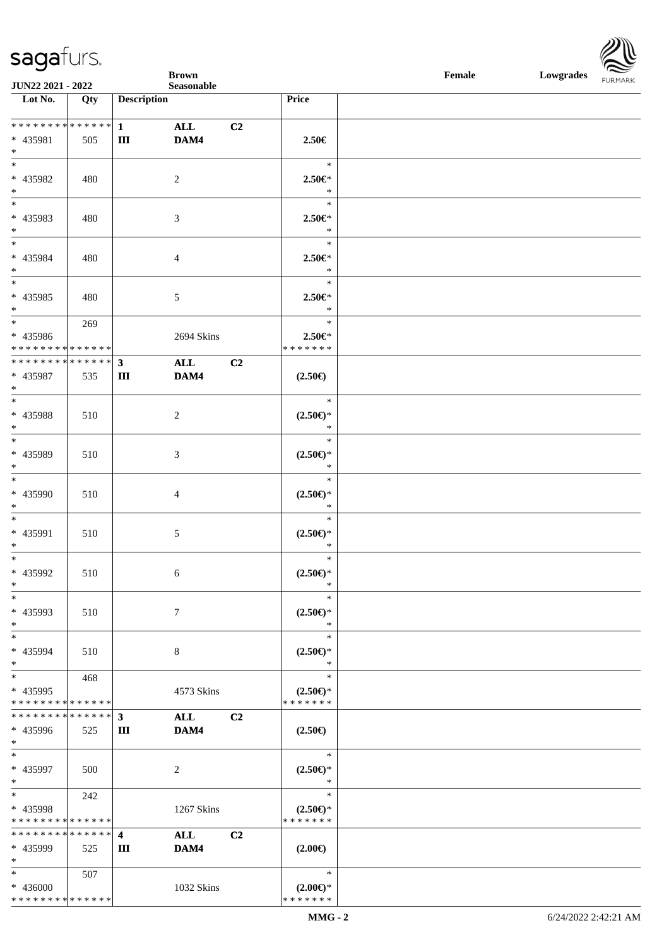|                                                 |             |                    | <b>Brown</b>   |    |                              | Female<br>Lowgrades FURMARK |  |  |
|-------------------------------------------------|-------------|--------------------|----------------|----|------------------------------|-----------------------------|--|--|
| JUN22 2021 - 2022                               |             |                    | Seasonable     |    |                              |                             |  |  |
| Lot No.                                         | Qty         | <b>Description</b> |                |    | Price                        |                             |  |  |
| ******** <mark>******</mark>                    |             | $1$ and $1$        |                |    |                              |                             |  |  |
| * 435981                                        |             | Ш                  | ALL<br>DAM4    | C2 | 2.50€                        |                             |  |  |
| $*$                                             | 505         |                    |                |    |                              |                             |  |  |
| $\overline{\ast}$                               |             |                    |                |    | $\ast$                       |                             |  |  |
| $* 435982$                                      | 480         |                    | $\overline{c}$ |    | $2.50 \in$                   |                             |  |  |
| $*$                                             |             |                    |                |    | $\ast$                       |                             |  |  |
| $\overline{\phantom{0}}$                        |             |                    |                |    | $\ast$                       |                             |  |  |
| * 435983                                        | 480         |                    | 3              |    | $2.50 \in$ *                 |                             |  |  |
| $*$                                             |             |                    |                |    | $\ast$                       |                             |  |  |
| $\overline{\phantom{a}^*}$                      |             |                    |                |    | $\ast$                       |                             |  |  |
| * 435984                                        | 480         |                    | 4              |    | $2.50 \in$                   |                             |  |  |
| $*$                                             |             |                    |                |    | $\ast$                       |                             |  |  |
| $\overline{\phantom{0}}$                        |             |                    |                |    | $\ast$                       |                             |  |  |
| $* 435985$                                      | 480         |                    | 5              |    | $2.50 \in$                   |                             |  |  |
| $*$                                             |             |                    |                |    | $\ast$                       |                             |  |  |
| $*$                                             | 269         |                    |                |    | $\ast$                       |                             |  |  |
| * 435986                                        |             |                    | 2694 Skins     |    | $2.50 \in$                   |                             |  |  |
| * * * * * * * * * * * * * *                     |             |                    |                |    | *******                      |                             |  |  |
| **************                                  |             | $\mathbf{3}$       | ALL            | C2 |                              |                             |  |  |
| * 435987                                        | 535         | Ш                  | DAM4           |    | $(2.50\epsilon)$             |                             |  |  |
| $*$<br>$\overline{\ast}$                        |             |                    |                |    |                              |                             |  |  |
|                                                 |             |                    |                |    | $\ast$                       |                             |  |  |
| $* 435988$                                      | 510         |                    | $\overline{c}$ |    | $(2.50\epsilon)$ *<br>$\ast$ |                             |  |  |
| $*$<br>$*$                                      |             |                    |                |    | $\ast$                       |                             |  |  |
| * 435989                                        |             |                    |                |    |                              |                             |  |  |
| $*$                                             | 510         |                    | 3              |    | $(2.50\epsilon)$ *<br>$\ast$ |                             |  |  |
| $*$                                             |             |                    |                |    | $\ast$                       |                             |  |  |
| $* 435990$                                      | 510         |                    | 4              |    | $(2.50\epsilon)$ *           |                             |  |  |
| $*$                                             |             |                    |                |    | $\ast$                       |                             |  |  |
| $\overline{\phantom{0}}$                        |             |                    |                |    | $\ast$                       |                             |  |  |
| * 435991                                        | 510         |                    | 5              |    | $(2.50 \in )^*$              |                             |  |  |
| $*$                                             |             |                    |                |    | $\ast$                       |                             |  |  |
| $*$                                             |             |                    |                |    | $\ast$                       |                             |  |  |
| * 435992                                        | 510         |                    | 6              |    | $(2.50\epsilon)$ *           |                             |  |  |
| $\ast$                                          |             |                    |                |    | $\ast$                       |                             |  |  |
| $\ast$                                          |             |                    |                |    | $\ast$                       |                             |  |  |
| * 435993                                        | 510         |                    | $\tau$         |    | $(2.50 \in )^*$              |                             |  |  |
| $\ast$                                          |             |                    |                |    | $\ast$                       |                             |  |  |
| $\frac{1}{1}$                                   |             |                    |                |    | $\ast$                       |                             |  |  |
| * 435994                                        | 510         |                    | $\,8\,$        |    | $(2.50 \in )^*$              |                             |  |  |
| $\ast$                                          |             |                    |                |    | $\ast$                       |                             |  |  |
| $\ast$                                          | 468         |                    |                |    | $\ast$                       |                             |  |  |
| * 435995                                        |             |                    | 4573 Skins     |    | $(2.50 \in )^*$              |                             |  |  |
| ******** <mark>******</mark><br>* * * * * * * * |             |                    |                |    | * * * * * * *                |                             |  |  |
|                                                 | * * * * * * | $\mathbf{3}$       | <b>ALL</b>     | C2 |                              |                             |  |  |
| * 435996<br>$\ast$                              | 525         | Ш                  | DAM4           |    | $(2.50\epsilon)$             |                             |  |  |
| $\ast$                                          |             |                    |                |    | $\ast$                       |                             |  |  |
| * 435997                                        | 500         |                    | 2              |    | $(2.50 \in )^*$              |                             |  |  |
| $\ast$                                          |             |                    |                |    | $\ast$                       |                             |  |  |
| $\ast$                                          | 242         |                    |                |    | $\ast$                       |                             |  |  |
| * 435998                                        |             |                    | 1267 Skins     |    | $(2.50\epsilon)$ *           |                             |  |  |
| * * * * * * * * * * * * * *                     |             |                    |                |    | * * * * * * *                |                             |  |  |
| * * * * * * * * * * * * * * *                   |             | 4                  | ALL            | C2 |                              |                             |  |  |
| * 435999                                        | 525         | Ш                  | DAM4           |    | $(2.00\epsilon)$             |                             |  |  |
| $\ast$                                          |             |                    |                |    |                              |                             |  |  |
| $\overline{\phantom{a}^*}$                      | 507         |                    |                |    | $\ast$                       |                             |  |  |
| * 436000                                        |             |                    | 1032 Skins     |    | $(2.00\epsilon)$ *           |                             |  |  |
| * * * * * * * * * * * * * *                     |             |                    |                |    | * * * * * * *                |                             |  |  |